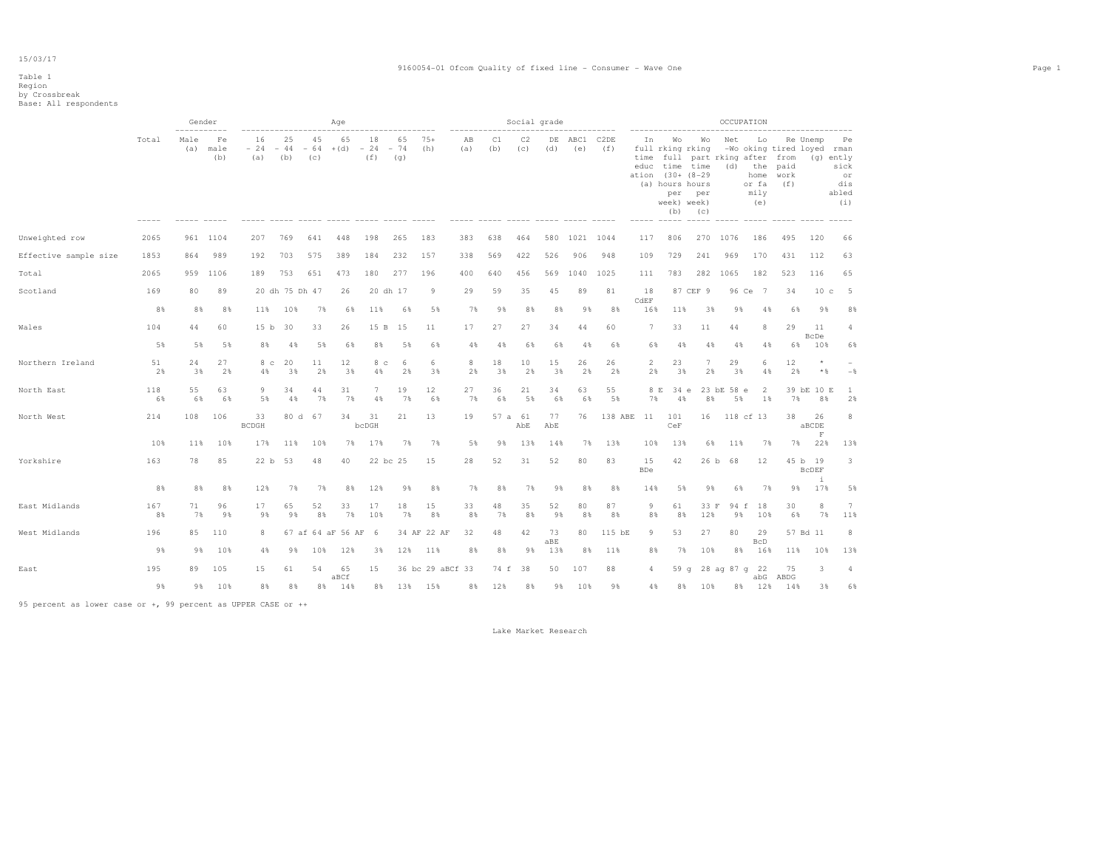## Table 1 Region by Crossbreak Base: All respondents

|                       |           | ----------- | Gender            |                      |                    |           | Age                     |                      | ---------------    |                  | $-- - - - - -$ |           | Social grade   |           |                | ----------  | -------------------             |                  |                                                                                          |                                          | OCCUPATION                                | ------------------------                          |                               |                                         |
|-----------------------|-----------|-------------|-------------------|----------------------|--------------------|-----------|-------------------------|----------------------|--------------------|------------------|----------------|-----------|----------------|-----------|----------------|-------------|---------------------------------|------------------|------------------------------------------------------------------------------------------|------------------------------------------|-------------------------------------------|---------------------------------------------------|-------------------------------|-----------------------------------------|
|                       | Total     | Male<br>(a) | Fe<br>male<br>(b) | 16<br>$-24$<br>(a)   | 25<br>$-44$<br>(b) | 45<br>(c) | 65<br>$-64$ + (d) $-24$ | 18<br>(f)            | 65<br>$-74$<br>(q) | $75+$<br>(h)     | AB<br>(a)      | C1<br>(b) | C2<br>(c)      | (d)       | DE ABC1<br>(e) | C2DE<br>(f) | In<br>time<br>ation (30+ (8-29) | Wo<br>per<br>(b) | Wo<br>full rking rking<br>educ time time<br>(a) hours hours<br>per<br>week) week)<br>(C) | Net<br>full part rking after from<br>(d) | Lo<br>the<br>home<br>or fa<br>mily<br>(e) | -Wo oking tired loyed rman<br>paid<br>work<br>(f) | Re Unemp<br>(g) ently         | Pe<br>sick<br>or<br>dis<br>abled<br>(i) |
| Unweighted row        | 2065      | 961         | 1104              | 207                  | 769                | 641       | 448                     | 198                  | 265                | 183              | 383            | 638       | 464            | 580       | 1021           | 1044        | 117                             | 806              | 270                                                                                      | 1076                                     | 186                                       | 495                                               | 120                           | 66                                      |
| Effective sample size | 1853      | 864         | 989               | 192                  | 703                | 575       | 389                     | 184                  | 232                | 157              | 338            | 569       | 422            | 526       | 906            | 948         | 109                             | 729              | 241                                                                                      | 969                                      | 170                                       | 431                                               | 112                           | 63                                      |
| Total                 | 2065      | 959         | 1106              | 189                  | 753                | 651       | 473                     | 180                  | 277                | 196              | 400            | 640       | 456            | 569       | 1040           | 1025        | 111                             | 783              | 282                                                                                      | 1065                                     | 182                                       | 523                                               | 116                           | 65                                      |
| Scotland              | 169       | 80          | 89                |                      | 20 dh 75 Dh 47     |           | 26                      |                      | 20 dh 17           | 9                | 29             | 59        | 35             | 45        | 89             | 81          | 18                              |                  | 87 CEF 9                                                                                 | 96 Ce                                    | $\overline{7}$                            | 34                                                | 10 <sub>c</sub>               | $-5$                                    |
|                       | 8%        | 8%          | 8%                | 11%                  | 10%                | 7%        | 6%                      | 11%                  | 6%                 | 5%               | 7%             | 9%        | 8%             | 8%        | 98             | 8%          | CdEF<br>16%                     | 11%              | 3%                                                                                       | 9%                                       | 4%                                        | 6%                                                | 9%                            | 8%                                      |
| Wales                 | 104       | 44          | 60                | 15 <sub>b</sub>      | 30                 | 33        | 26                      | 15 B                 | 15                 | 11               | 17             | 27        | 27             | 34        | 44             | 60          | $\tau$                          | 33               | 11                                                                                       | 44                                       | 8                                         | 29                                                | 11                            | 4                                       |
|                       | 5%        | 5%          | 5%                | 8%                   | 4%                 | 5%        | 6%                      | 8%                   | 5%                 | 6%               | 4%             | 4%        | 6%             | 6%        | 4%             | 6%          | 6%                              | 4%               | 4%                                                                                       | 4%                                       | 4%                                        | 6%                                                | <b>BcDe</b><br>10%            | 6%                                      |
| Northern Ireland      | 51<br>2%  | 24<br>3%    | 27<br>2%          | 8 <sub>c</sub><br>4% | 20<br>3%           | 11<br>2%  | 12<br>3%                | 8 <sub>c</sub><br>4% | -6<br>2%           | 6<br>3%          | 8<br>2%        | 18<br>3%  | 10<br>2%       | 15<br>3%  | 26<br>2%       | 26<br>2%    | $\overline{2}$<br>2%            | 23<br>3%         | 7<br>2%                                                                                  | 29<br>3%                                 | 6<br>4%                                   | 12<br>2%                                          | $\star$<br>$\star$ &          | $-$                                     |
| North East            | 118<br>6% | 55<br>6%    | 63<br>6%          | 9<br>5%              | 34<br>4%           | 44<br>7%  | 31<br>7%                | 7<br>4%              | 19<br>7%           | $12 \,$<br>6%    | 27<br>7%       | 36<br>6%  | 21<br>5%       | 34<br>6%  | 63<br>6%       | 55<br>5%    | 8 E<br>7%                       | 34 e<br>4%       | 8%                                                                                       | 23 bE 58 e<br>5%                         | 2<br>$1\%$                                | 7%                                                | 39 bE 10 E<br>8%              | $\mathbf{1}$<br>2%                      |
| North West            | 214       | 108         | 106               | 33<br><b>BCDGH</b>   | 80 d               | - 67      | 34                      | 31<br>bcDGH          | 21                 | 13               | 19             |           | 57 a 61<br>AbE | 77<br>AbE | 76             | 138 ABE     | 11                              | 101<br>CeF       | 16                                                                                       |                                          | 118 cf 13                                 | 38                                                | 26<br>aBCDE<br>F              | 8                                       |
|                       | 10%       | 11%         | 10%               | 17%                  | 11%                | 10%       | 7%                      | 17%                  | 7%                 | 7%               | 5%             | 98        | 13%            | 14%       | 7%             | 13%         | 10%                             | 13%              | 6%                                                                                       | 11%                                      | 7%                                        | 7%                                                | 22%                           | 13%                                     |
| Yorkshire             | 163       | 78          | 85                | 22 b                 | 53                 | 48        | 40                      |                      | 22 bc 25           | 15               | 28             | 52        | 31             | 52        | 80             | 83          | 15<br><b>BDe</b>                | 42               | 26 b                                                                                     | 68                                       | 12                                        |                                                   | 45 b 19<br><b>BCDEF</b><br>i. | 3                                       |
|                       | 8%        | 8%          | 8%                | 12%                  | 7%                 | 7%        | 8%                      | 12%                  | 9%                 | 8%               | 7%             | 8%        | 7%             | 9%        | 8%             | 8%          | 14%                             | 5%               | 98                                                                                       | 6%                                       | 7%                                        | 98                                                | 17%                           | 5%                                      |
| East Midlands         | 167<br>8% | 71<br>7%    | 96<br>9%          | 17<br>9%             | 65<br>9%           | 52<br>8%  | 33<br>7%                | 17<br>10%            | 18<br>7%           | 15<br>8%         | 33<br>8%       | 48<br>7%  | 35<br>8%       | 52<br>9%  | 80<br>8%       | 87<br>8%    | 9<br>8%                         | 61<br>8%         | 33 F<br>12%                                                                              | 94 f<br>9%                               | 18<br>10%                                 | 30<br>6%                                          | 8<br>7%                       | $7\phantom{.0}$<br>11%                  |
| West Midlands         | 196       | 85          | 110               | 8                    |                    |           | 67 af 64 aF 56 AF       | - 6                  |                    | 34 AF 22 AF      | 32             | 48        | 42             | 73<br>aBE | 80             | 115 bE      | 9                               | 53               | 27                                                                                       | 80                                       | 29<br><b>BcD</b>                          |                                                   | 57 Bd 11                      | 8                                       |
|                       | 9%        | 9%          | 10%               | 4%                   | 9%                 | 10%       | 12%                     | 3%                   | 12%                | 11%              | 8%             | 8%        | 9%             | 13%       | 8%             | 11%         | 8%                              | 7%               | 10%                                                                                      | 8%                                       | 16%                                       | 11%                                               | 10%                           | 13%                                     |
| East                  | 195       | 89          | 105               | 15                   | 61                 | 54        | 65<br>aBCf              | 15                   |                    | 36 bc 29 aBCf 33 |                |           | 74 f 38        | 50        | 107            | 88          | 4                               |                  |                                                                                          | 59 q 28 aq 87 q 22                       | abG                                       | 75<br>ABDG                                        | 3                             | 4                                       |
|                       | 9%        | 9%          | 10%               | 8%                   | 8%                 | 8%        | 14%                     | 8%                   |                    | 13% 15%          | 8%             | 12%       | 8%             | 9%        | 10%            | 9%          | $4\%$                           | 8%               | 10%                                                                                      |                                          | 8% 12%                                    | 14%                                               | 3%                            | 6%                                      |

95 percent as lower case or +, 99 percent as UPPER CASE or ++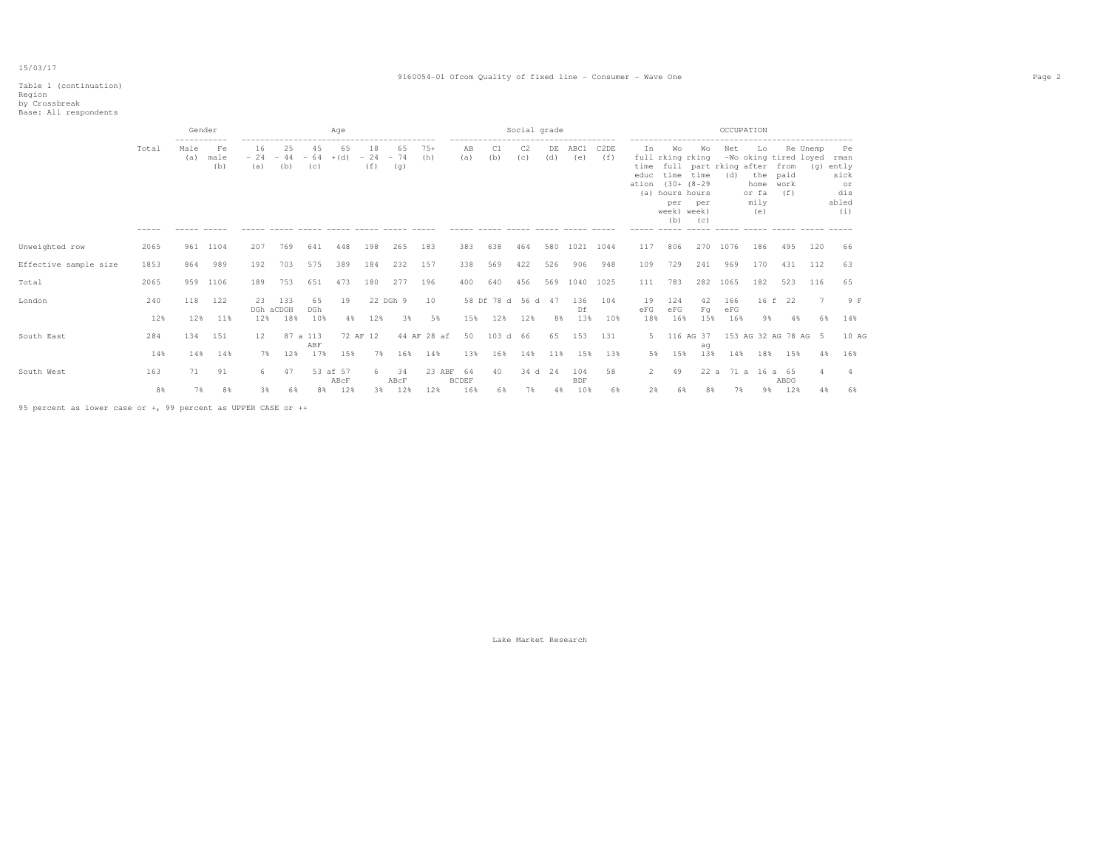#### Table 1 (continuation)

|                       |            | Gender      |                   |                        |                    |                     | Age              |                    |                    |                       |                    |                            | Social grade          |           |                  |                          |                             |                                                                                       |                                                                                            |                   | OCCUPATION                                                         |                             |                       |                                                              |  |
|-----------------------|------------|-------------|-------------------|------------------------|--------------------|---------------------|------------------|--------------------|--------------------|-----------------------|--------------------|----------------------------|-----------------------|-----------|------------------|--------------------------|-----------------------------|---------------------------------------------------------------------------------------|--------------------------------------------------------------------------------------------|-------------------|--------------------------------------------------------------------|-----------------------------|-----------------------|--------------------------------------------------------------|--|
|                       | Total      | Male<br>(a) | Fe<br>male<br>(b) | 16<br>$-24$<br>(a)     | 25<br>$-44$<br>(b) | 4.5<br>$-64$<br>(c) | 65<br>$+(d)$     | 18<br>$-24$<br>(f) | 65<br>$-74$<br>(q) | $75+$<br>(h)          | AB<br>(a)          | -------------------<br>(b) | C <sub>2</sub><br>(c) | DE<br>(d) | ABC1<br>(e)      | C <sub>2</sub> DE<br>(f) | In<br>time<br>educ<br>ation | W∩<br>full rking rking<br>(a) hours hours<br>per<br>week) week)<br>(b)<br>$- - - - -$ | .<br>Wo<br>full part rking after<br>time time<br>$(30 + (8 - 29$<br>per<br>(C)<br>$------$ | Net<br>(d)        | Lo<br>-Wo oking tired loyed<br>the<br>home<br>or fa<br>mily<br>(e) | from<br>paid<br>work<br>(f) | Re Unemp              | Pe<br>rman<br>(q) ently<br>sick<br>or<br>dis<br>abled<br>(i) |  |
| Unweighted row        | 2065       | 961         | 1104              | 207                    | 769                | 641                 | 448              | 198                | 265                | 183                   | 383                | 638                        | 464                   | 580       | 1021             | 1044                     | 117                         | 806                                                                                   | 270                                                                                        | 1076              | 186                                                                | 495                         | 120                   | -66                                                          |  |
| Effective sample size | 1853       | 864         | 989               | 192                    | 703                | 575                 | 389              | 184                | 232                | 157                   | 338                | 569                        | 422                   | 526       | 906              | 948                      | 109                         | 729                                                                                   | 241                                                                                        | 969               | 170                                                                | 431                         | 112                   | 63                                                           |  |
| Total                 | 2065       | 959         | 1106              | 189                    | 753                | 651                 | 473              | 180                | 277                | 196                   | 400                | 640                        | 456                   |           | 569 1040         | 1025                     | 111                         | 783                                                                                   | 282                                                                                        | 1065              | 182                                                                | 523                         | 116                   | 65                                                           |  |
| London                | 240<br>12% | 118<br>12%  | 122<br>11%        | 23<br>DGh aCDGH<br>12% | 133<br>18%         | 65<br>DGh<br>10%    | 19<br>4%         | 12%                | 22 DGh 9<br>3%     | 10<br>5%              | 15%                | 58 Df 78 d 56 d 47<br>12%  | 12%                   | 8%        | 136<br>Df<br>13% | 104<br>10%               | 19<br>eFG<br>18%            | 124<br>eFG<br>16%                                                                     | 42<br>$F\sigma$<br>15%                                                                     | 166<br>eFG<br>16% | 9%                                                                 | 16 f 22<br>4%               | $7\phantom{.0}$<br>6% | 9 F<br>14%                                                   |  |
| South East            | 284<br>14% | 134<br>14%  | 151<br>14%        | 12<br>7%               | 87 a 113<br>12%    | ABF<br>17%          | 15%              | 72 AF 12<br>7%     | 16%                | 44 AF 28 af<br>14%    | 50<br>13%          | 103 d 66<br>16%            | 14%                   | 65<br>11% | 153<br>15%       | 131<br>13%               | 5.<br>5%                    | 116 AG 37<br>15%                                                                      | ag<br>13%                                                                                  | 14%               | 153 AG 32 AG 78 AG 5<br>18%                                        | 15%                         | 4 %                   | 10 AG<br>16%                                                 |  |
| South West            | 163        | 71          | 91                | 6                      | 47                 |                     | 53 af 57<br>ABCF | 6.                 | 34<br>ABcF         | 23 ABF                | 64<br><b>BCDEF</b> | 40                         | 34 d 24               |           | 104<br>BDF       | 58                       | $\overline{2}$              | 49                                                                                    |                                                                                            |                   | 22 a 71 a 16 a 65                                                  | ABDG                        | 4                     |                                                              |  |
|                       | 8%         | 7%          | 8%                | 38.                    |                    |                     | 6% 8% 12%        |                    |                    | 3.% 1.2.% 1.2.% 1.6.% |                    |                            | 6% 7% 4% 10%          |           |                  | 68                       |                             |                                                                                       | 2.8 6.8 8.8 7.8 9.8 1.2.8                                                                  |                   |                                                                    |                             | 4 %                   | 6%                                                           |  |

95 percent as lower case or +, 99 percent as UPPER CASE or ++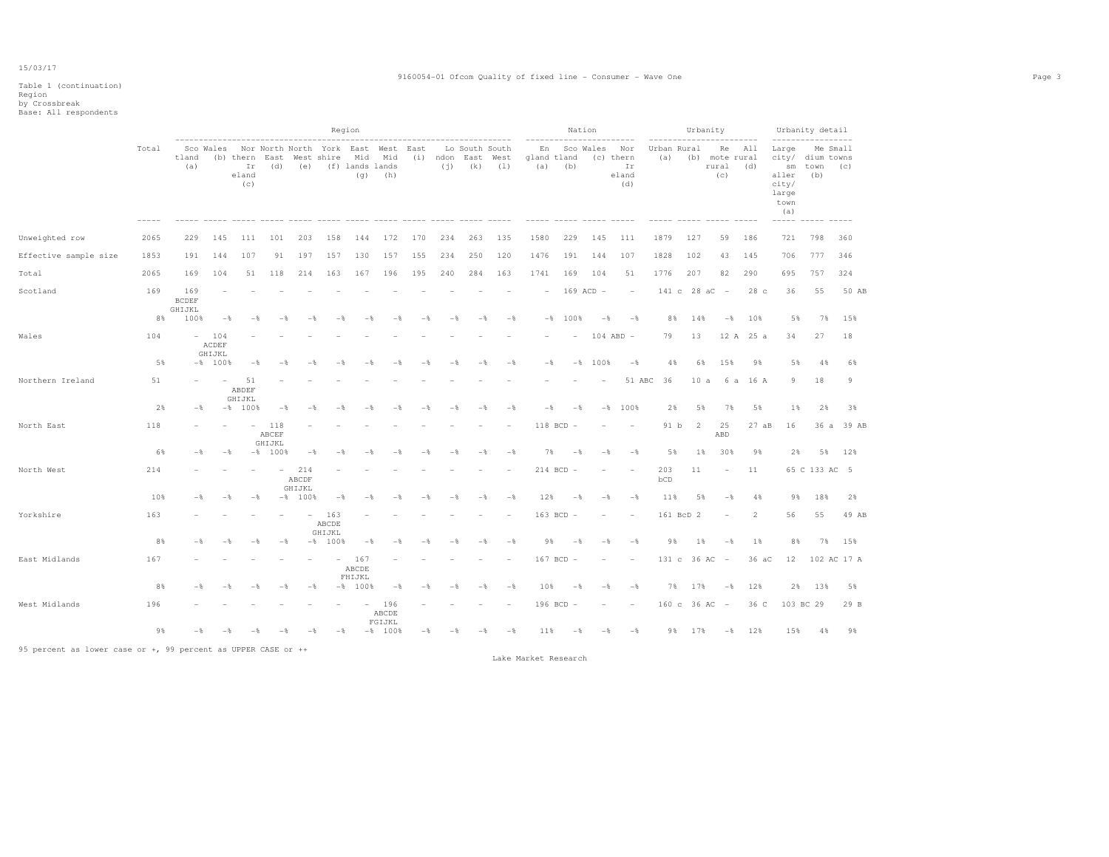### Region by Crossbreak Base: All respondents

| ---------<br>. | ------------------------------<br>___<br>. |  |
|----------------|--------------------------------------------|--|
|                |                                            |  |
|                |                                            |  |

|                       |       |                               |                        |                                                                                                  |                        |                        |                         | Region                 |                        |     |      |                                     |                    |                          |                | Nation         |                                        |                    |                 | Urbanity                       |               |                                                                                          | Urbanity detail |             |
|-----------------------|-------|-------------------------------|------------------------|--------------------------------------------------------------------------------------------------|------------------------|------------------------|-------------------------|------------------------|------------------------|-----|------|-------------------------------------|--------------------|--------------------------|----------------|----------------|----------------------------------------|--------------------|-----------------|--------------------------------|---------------|------------------------------------------------------------------------------------------|-----------------|-------------|
|                       | Total | tland<br>(a)                  |                        | Sco Wales Nor North North York East West East<br>(b) thern East West shire<br>Ir<br>eland<br>(C) |                        |                        | (d) (e) (f) lands lands |                        | Mid Mid<br>$(q)$ (h)   |     |      | Lo South South<br>$(j)$ $(k)$ $(1)$ | (i) ndon East West | En<br>qland tland<br>(a) | (b)            | Sco Wales      | Nor<br>(c) thern<br>Ir<br>eland<br>(d) | Urban Rural<br>(a) |                 | (b) mote rural<br>rural<br>(C) | Re All<br>(d) | Large<br>city/ dium towns<br>sm<br>aller<br>city/<br>large<br>town<br>(a)<br>$- - - - -$ | town (c)<br>(b) | Me Small    |
| Unweighted row        | 2065  | 229                           | 145                    | 111                                                                                              | 101                    | 203                    | 158                     | 144                    | 172                    | 170 | 234  | 263                                 | 135                | 1580                     | 229            | 145            | 111                                    | 1879               | 127             | 59                             | 186           | 721                                                                                      | 798             | 360         |
| Effective sample size | 1853  | 191                           | 144                    | 107                                                                                              | 91                     | 197                    | 157                     | 130                    | 157                    | 155 | 234  | 250                                 | 120                | 1476                     | 191            | 144            | 107                                    | 1828               | 102             | 43                             | 145           | 706                                                                                      | 777             | 346         |
| Total                 | 2065  | 169                           | 104                    | 51                                                                                               | 118                    | 214                    | 163                     | 167                    | 196                    | 195 | 240  | 284                                 | 163                | 1741                     | 169            | 104            | 51                                     | 1776               | 207             | 82                             | 290           | 695                                                                                      | 757             | 324         |
| Scotland              | 169   | 169<br><b>BCDEF</b><br>GHIJKL |                        |                                                                                                  |                        |                        |                         |                        |                        |     |      |                                     |                    |                          | 169 ACD -      |                | $\overline{\phantom{a}}$               |                    | 141 c 28 aC -   |                                | 28 c          | 36                                                                                       | 55              | 50 AB       |
|                       | 8%    | 100%                          | $-\frac{6}{5}$         | $-$                                                                                              | -8                     | -*                     | $-$                     | $-$                    | $-$                    | $-$ | $-$  | $-$                                 | $-\frac{6}{5}$     |                          | $-$ % 100 %    | $-$            | $-\frac{6}{5}$                         | 8%                 | 14%             | $-\frac{6}{6}$                 | 10%           | 5%                                                                                       | 7%              | 15%         |
| Wales                 | 104   | $\sim$                        | 104<br>ACDEF<br>GHIJKL |                                                                                                  |                        |                        |                         |                        |                        |     |      |                                     |                    |                          |                |                | $104$ ABD $-$                          | 79                 | 13              |                                | 12 A 25 a     | 34                                                                                       | 27              | 18          |
|                       | 5%    |                               | $-$ % 100 %            | $-$                                                                                              | $-$                    | $-$                    | $-$                     | $-$                    | $-$                    | $-$ | $-$  | $-$                                 | $-\frac{6}{5}$     | $-\frac{6}{5}$           | $-$            | 100%           | $-$ 8                                  | 4%                 | 6%              | 15%                            | 9%            | 5%                                                                                       | 4%              | 6%          |
| Northern Ireland      | 51    |                               |                        | 51<br>ABDEF<br>GHIJKL                                                                            |                        |                        |                         |                        |                        |     |      |                                     |                    |                          |                |                | 51 ABC                                 | 36                 | 10 a            |                                | 6 a 16 A      | 9                                                                                        | 18              | 9           |
|                       | 2%    | $-$                           |                        | $-8$ 100%                                                                                        | $-$                    |                        |                         |                        |                        |     | - 2  |                                     | $-$ %              | $-$                      | $-$            | $-$ 8          | 100%                                   | 2%                 | 5%              | 7%                             | 5%            | $1\%$                                                                                    | 2%              | 3%          |
| North East            | 118   |                               |                        |                                                                                                  | 118<br>ABCEF<br>GHIJKL |                        |                         |                        |                        |     |      |                                     |                    |                          | 118 BCD -      |                |                                        | 91 b               | 2               | 25<br>ABD                      | 27aB          | 16                                                                                       | 36a             | 39 AB       |
|                       | 6%    | $-$                           | $-$                    |                                                                                                  | $-8$ 100%              | $-$                    |                         |                        |                        |     |      |                                     | $-$                | 7%                       | $-8$           | $-$            | $-$                                    | 5%                 | 1%              | 30%                            | 9%            | 2%                                                                                       | 5%              | 12%         |
| North West            | 214   |                               |                        |                                                                                                  |                        | 214<br>ABCDF<br>GHIJKL |                         |                        |                        |     |      |                                     |                    |                          | 214 BCD -      |                |                                        | 203<br>bCD         | 11              | $\overline{a}$                 | 11            |                                                                                          | 65 C 133 AC 5   |             |
|                       | 10%   | $-$                           | $-$                    | $-$                                                                                              |                        | $-$ % 100 %            | $-\frac{6}{5}$          | $-$                    | -8                     |     |      | $ \frac{6}{35}$                     | $-\frac{6}{6}$     | 12%                      | $-$ %          | $-$            | $-$                                    | 11%                | 5%              | $-\frac{6}{5}$                 | 4%            | 9%                                                                                       | 18%             | 2%          |
| Yorkshire             | 163   |                               |                        |                                                                                                  |                        |                        | 163<br>ABCDE<br>GHIJKL  |                        |                        |     |      |                                     |                    |                          | 163 BCD -      |                |                                        |                    | 161 BcD 2       |                                | 2             | 56                                                                                       | 55              | 49 AB       |
|                       | 8%    | $-$                           | $-$                    | $-$                                                                                              | $-$                    |                        | $-$ % 100 %             | $-$                    | $-$                    | - 2 | $-8$ | $-$                                 | $-$                | 9 %                      | $-$            | $-$            | $-$                                    | 9 %                | $1\%$           | $-$                            | $1\%$         | 8%                                                                                       | 7%              | 15%         |
| East Midlands         | 167   |                               |                        |                                                                                                  |                        |                        |                         | 167<br>ABCDE<br>FHIJKL |                        |     |      |                                     |                    |                          | 167 BCD -      |                | $\overline{\phantom{a}}$               |                    | 131 c 36 AC -   |                                | 36 aC         | 12                                                                                       |                 | 102 AC 17 A |
|                       | 8%    | $-$                           |                        |                                                                                                  |                        | $-$                    |                         | $-$ % 100 %            | $-\frac{6}{5}$         | $-$ | $-$  | $-$ %                               | $-\frac{6}{5}$     | 10%                      | $-\frac{6}{5}$ | $-$            | $-$ 8                                  | 7%                 | 17%             | $-\frac{6}{5}$                 | 12%           | 2%                                                                                       | 13%             | 5%          |
| West Midlands         | 196   |                               |                        |                                                                                                  |                        |                        |                         |                        | 196<br>ABCDE<br>FGIJKL |     |      |                                     |                    |                          | 196 BCD -      |                |                                        |                    | $160 c 36 AC -$ |                                | 36 C          |                                                                                          | 103 BC 29       | 29 B        |
|                       | 9%    | $-$                           |                        |                                                                                                  | $ \approx$             | $-$ %                  | $-$                     |                        | $-$ % 100 %            | $-$ | $-$  | $-\frac{6}{5}$                      | $-$                | 11%                      | $-$            | $-\frac{6}{5}$ | $-$ 8                                  | 9%                 | 17%             |                                | $-$ % 12 %    | 15%                                                                                      | 4%              | 9%          |

95 percent as lower case or +, 99 percent as UPPER CASE or ++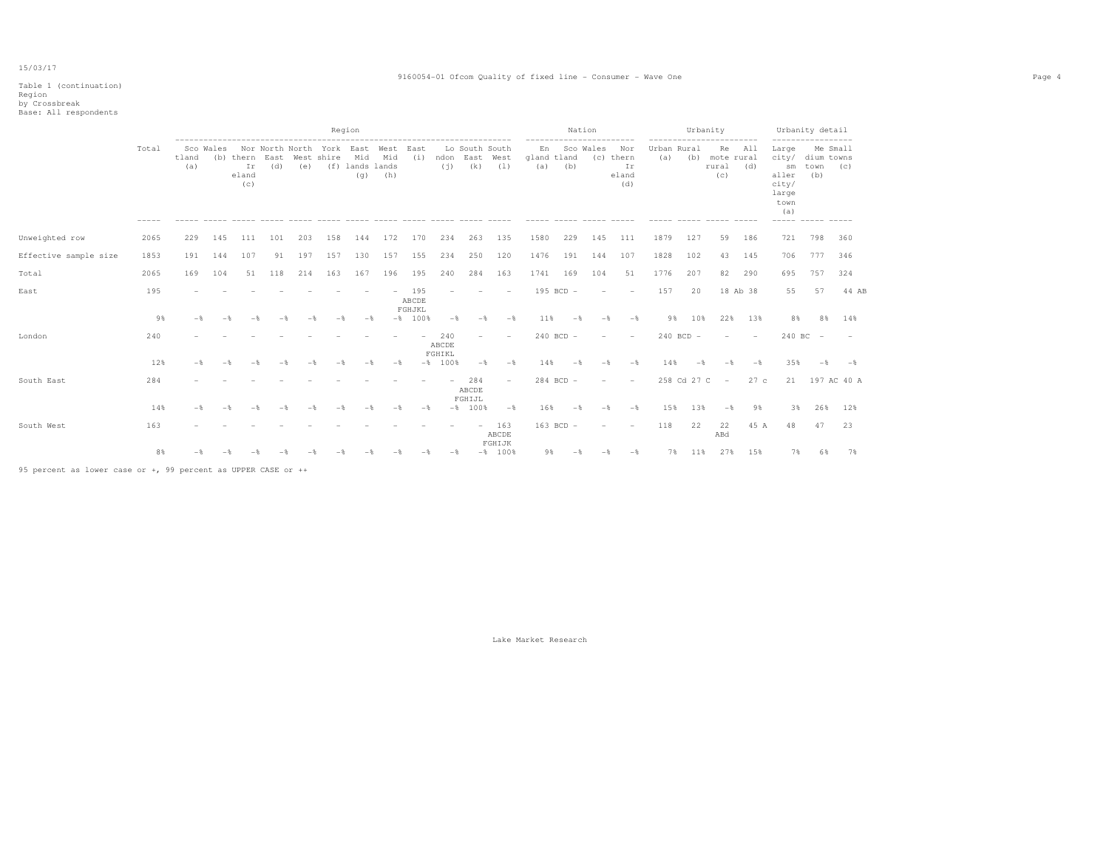Table 1 (continuation)

## Region by Crossbreak Base: All respondents

|                       |                      |              |           |                    |                                                                    |     |     | Region                        | ------------------------------------ |                        |                        |                                         |                          |                                                        | Nation        |                          |                                                       |                    | Urbanity      | ------------------------       |                              |                                                                               | Urbanity detail<br>-----------------  |             |
|-----------------------|----------------------|--------------|-----------|--------------------|--------------------------------------------------------------------|-----|-----|-------------------------------|--------------------------------------|------------------------|------------------------|-----------------------------------------|--------------------------|--------------------------------------------------------|---------------|--------------------------|-------------------------------------------------------|--------------------|---------------|--------------------------------|------------------------------|-------------------------------------------------------------------------------|---------------------------------------|-------------|
|                       | Total<br>$- - - - -$ | tland<br>(a) | Sco Wales | Ir<br>eland<br>(C) | Nor North North York East West<br>(b) thern East West shire<br>(d) | (e) |     | Mid<br>(f) lands lands<br>(q) | Mid<br>(h)                           | East<br>(i)            | (i)                    | Lo South South<br>ndon East West<br>(k) | (1)                      | -----------<br>En<br>gland tland<br>(a)<br>$- - - - -$ | (b)           | -----------<br>Sco Wales | Nor<br>(c) thern<br>Ir<br>eland<br>(d)<br>$- - - - -$ | Urban Rural<br>(a) |               | (b) mote rural<br>rural<br>(C) | Re All<br>(d)<br>$- - - - -$ | Large<br>city/<br>sm<br>aller<br>city/<br>large<br>town<br>(a)<br>$- - - - -$ | Me Small<br>dium towns<br>town<br>(b) | (C)         |
| Unweighted row        | 2065                 | 229          | 145       | 111                | 101                                                                | 203 | 158 | 144                           | 172                                  | 170                    | 234                    | 263                                     | 135                      | 1580                                                   | 229           | 145                      | 111                                                   | 1879               | 127           | 59                             | 186                          | 721                                                                           | 798                                   | 360         |
| Effective sample size | 1853                 | 191          | 144       | 107                | 91                                                                 | 197 | 157 | 130                           | 157                                  | 155                    | 234                    | 250                                     | 120                      | 1476                                                   | 191           | 144                      | 107                                                   | 1828               | 102           | 43                             | 145                          | 706                                                                           | 777                                   | 346         |
| Total                 | 2065                 | 169          | 104       | 51                 | 118                                                                | 214 | 163 | 167                           | 196                                  | 195                    | 240                    | 284                                     | 163                      | 1741                                                   | 169           | 104                      | 51                                                    | 1776               | 207           | 82                             | 290                          | 695                                                                           | 757                                   | 324         |
| East                  | 195                  |              |           |                    |                                                                    |     |     |                               |                                      | 195<br>ABCDE<br>FGHJKL |                        |                                         |                          |                                                        | $195$ BCD $-$ |                          |                                                       | 157                | 20            |                                | 18 Ab 38                     | 55                                                                            | 57                                    | 44 AB       |
|                       | 9%                   |              |           |                    |                                                                    |     |     | $-$                           |                                      | $-$ % 100 %            | $-$                    | $-$                                     | $-$                      | 11%                                                    |               | $-\frac{6}{3}$           | $-\frac{6}{5}$                                        | 9%                 | 10%           | 22%                            | 13%                          | 8%                                                                            | 8%                                    | 14%         |
| London                | 240                  |              |           |                    |                                                                    |     |     |                               |                                      |                        | 240<br>ABCDE<br>FGHIKL | $\equiv$                                |                          |                                                        | $240$ BCD $-$ |                          |                                                       |                    | $240$ BCD $-$ | $\sim$                         | $\overline{\phantom{a}}$     |                                                                               | $240 BC -$                            |             |
|                       | 12%                  |              |           |                    |                                                                    |     |     |                               | $-$                                  |                        | $-$ % 100 %            | $-\frac{6}{5}$                          | $-$                      | 14%                                                    | $-$           | $-$                      | $-$                                                   | 14%                |               |                                |                              | 35%                                                                           | $-$                                   | $-$         |
| South East            | 284                  |              |           |                    |                                                                    |     |     |                               |                                      |                        |                        | 284<br>ABCDE<br>FGHIJL                  | $\overline{\phantom{a}}$ |                                                        | 284 BCD -     |                          |                                                       |                    | 258 Cd 27 C   | $\overline{\phantom{a}}$       | 27c                          | 21                                                                            |                                       | 197 AC 40 A |
|                       | 14%                  |              |           |                    |                                                                    |     |     |                               |                                      | $-$                    |                        | $-8$ 100%                               | $-$                      | 16%                                                    | $-$           | $-$                      | $-$                                                   | 15%                | 13%           | $-$                            | 9%                           | 3%                                                                            | 26%                                   | 12%         |
| South West            | 163                  |              |           |                    |                                                                    |     |     |                               |                                      |                        |                        | $\overline{\phantom{a}}$                | 163<br>ABCDE<br>FGHIJK   |                                                        | $163$ BCD $-$ |                          |                                                       | 118                | 22            | 22<br>ABd                      | 45 A                         | 48                                                                            | 47                                    | 23          |
|                       | 8%                   |              |           |                    |                                                                    |     |     |                               |                                      |                        |                        |                                         | $-8$ 100%                | 98                                                     |               |                          | $-\frac{6}{5}$                                        | 7%                 | 11%           | 27%                            | 15%                          | 7%                                                                            |                                       | 7%          |
|                       |                      |              |           |                    |                                                                    |     |     |                               |                                      |                        |                        |                                         |                          |                                                        |               |                          |                                                       |                    |               |                                |                              |                                                                               |                                       |             |

95 percent as lower case or +, 99 percent as UPPER CASE or ++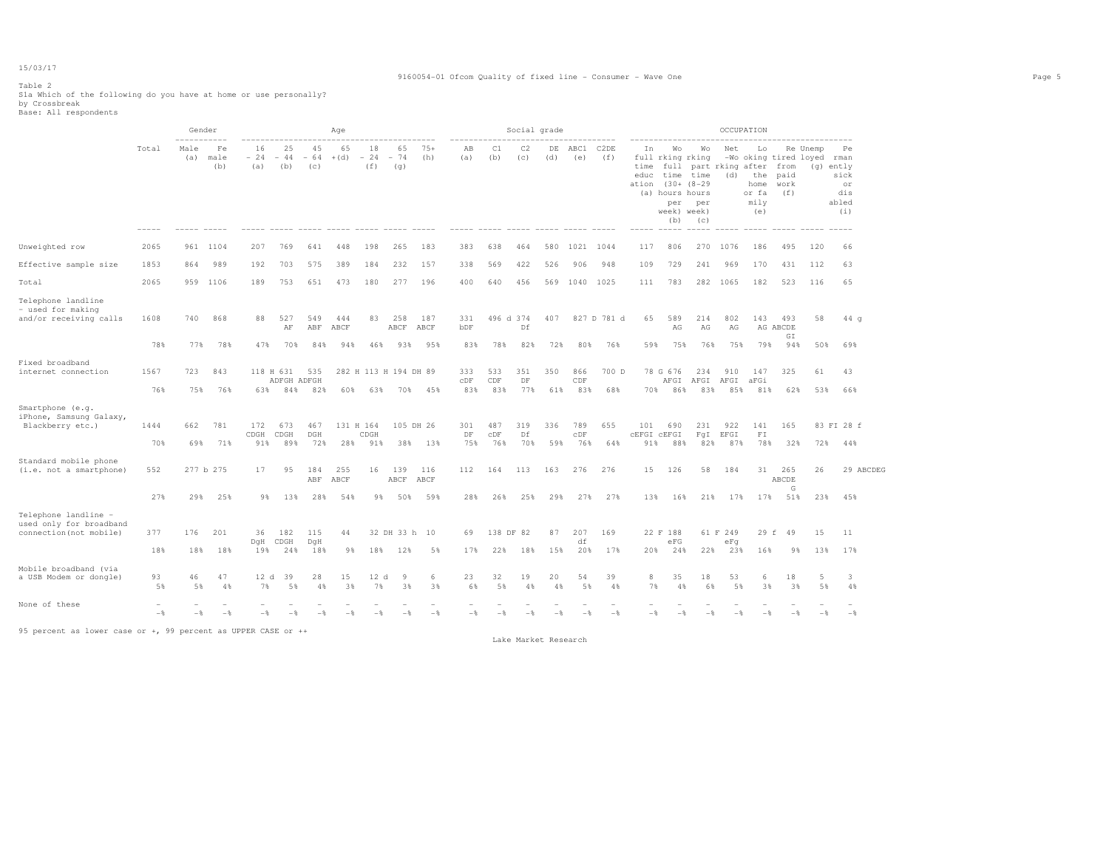#### 9160054-01 Ofcom Quality of fixed line - Consumer - Wave One Page 5

Table 2 Sla Which of the following do you have at home or use personally?<br>by Crossbreak<br>Base: All respondents

| -----------<br>Male<br>45<br>65<br>18<br>Total<br>Fe<br>16<br>25<br>65<br>(a)<br>$-24 -44$<br>$+(d)$<br>$-74$<br>male<br>$-64$<br>$-24$<br>(b)<br>(b)<br>(f)<br>(q)<br>(a)<br>(c) | $75+$<br>(h) | AB<br>(a)  | C1<br>(b)           | C2<br>(c) | (d)      | DE ABC1<br>(e)      | C2DE        | In                               | Wo                                                                     | Wo                                           | Net        | Lo                                                |                           | -----------------------<br>Re Unemp | Pe                                             |
|-----------------------------------------------------------------------------------------------------------------------------------------------------------------------------------|--------------|------------|---------------------|-----------|----------|---------------------|-------------|----------------------------------|------------------------------------------------------------------------|----------------------------------------------|------------|---------------------------------------------------|---------------------------|-------------------------------------|------------------------------------------------|
|                                                                                                                                                                                   |              |            |                     |           |          |                     | (f)         | time<br>educ<br>ation (30+ (8-29 | full rking rking<br>time time<br>(a) hours hours<br>week) week)<br>(b) | full part rking after from<br>per per<br>(C) |            | (d) the paid<br>home work<br>or fa<br>mily<br>(e) | (f)                       | -Wo oking tired loyed rman          | (g) ently<br>sick<br>or<br>dis<br>abled<br>(i) |
| Unweighted row<br>2065<br>961 1104<br>207<br>769<br>641<br>448<br>198<br>265                                                                                                      | 183          | 383        | 638                 | 464       |          | 580 1021 1044       |             | 117                              | 806                                                                    |                                              | 270 1076   | 186                                               | 495                       | 120                                 | 66                                             |
| Effective sample size<br>1853<br>989<br>192<br>703<br>575<br>389<br>184<br>232<br>864                                                                                             | 157          | 338        | 569                 | 422       | 526      | 906                 | 948         | 109                              | 729                                                                    | 241                                          | 969        | 170                                               | 431                       | 112                                 | 63                                             |
| Total<br>651<br>2065<br>959 1106<br>189<br>753<br>473<br>180<br>277                                                                                                               | 196          | 400        | 640                 | 456       |          | 569 1040 1025       |             | 111                              | 783                                                                    | 282 1065                                     |            | 182                                               | 523                       | 116                                 | 65                                             |
| Telephone landline<br>- used for making<br>and/or receiving calls<br>1608<br>868<br>527<br>549<br>258<br>740<br>88<br>444<br>83<br>AF<br>ABF<br>ABCF<br>ABCF ABCF                 | 187          | 331<br>bDF | 496 d 374           | Df        | 407      |                     | 827 D 781 d | 65                               | 589<br>AG                                                              | 214<br>AG                                    | 802<br>AG  |                                                   | 143 493<br>AG ABCDE<br>GI | 58                                  | 44q                                            |
| 78%<br>77%<br>78%<br>47%<br>70%<br>84%<br>94%<br>46%<br>93%                                                                                                                       | 95%          | 83%        | 78%                 | 82%       | 72%      | 80%                 | 76%         | 59%                              | 75%                                                                    | 76%                                          | 75%        |                                                   | 798 948                   | 50%                                 | 69%                                            |
| Fixed broadband<br>internet connection<br>1567<br>843<br>118 H 631<br>535<br>282 H 113 H 194 DH 89<br>723<br>ADFGH ADFGH                                                          |              | 333<br>CDF | 533<br>CDF          | 351<br>DF | 350      | 866<br>CDF          | 700 D       |                                  | 78 G 676                                                               | 234<br>AFGI AFGI AFGI aFGi                   | 910        | 147                                               | 325                       | 61                                  | 43                                             |
| 76%<br>76%<br>84%<br>82%<br>75%<br>63%<br>60%<br>63%<br>70%                                                                                                                       | 45%          | 83%        | 83%                 | 77%       | 61%      | 83%                 | 68%         |                                  | 70% 86%                                                                | 83%                                          | 85%        | 81%                                               | 62%                       | 53%                                 | 66%                                            |
| Smartphone (e.g.<br>iPhone, Samsung Galaxy,<br>781<br>Blackberry etc.)<br>172<br>673<br>467<br>131 H 164<br>105 DH 26<br>1444<br>662<br>DGH<br>CDGH<br>CDGH<br>CDGH               |              | 301<br>DF  | 487<br>$_{\rm CDF}$ | 319<br>Df | 336      | 789<br>$_{\rm CDF}$ | 655         | 101<br>CEFGI CEFGI               | 690                                                                    | 231<br>FqI EFGI                              | 922        | 141<br>FT                                         | 165                       |                                     | 83 FI 28 f                                     |
| 70%<br>71%<br>91%<br>89%<br>72%<br>28%<br>91%<br>38%<br>69%                                                                                                                       | 13%          | 75%        | 76%                 | 70%       | 59%      | 76%                 | 64%         | 91%                              | 88%                                                                    | 82%                                          | 87%        | 78%                                               | 32%                       | 72%                                 | 44%                                            |
| Standard mobile phone<br>95<br>184<br>255<br>139<br>(i.e. not a smartphone)<br>552<br>277 b 275<br>17<br>16<br>ABF<br>ABCF<br>ABCF ABCF                                           | 116          | 112        | 164                 | 113       | 163      | 276                 | 276         | 15                               | 126                                                                    | 58                                           | 184        |                                                   | 31 265<br>ABCDE           | 26                                  | 29 ABCDEG                                      |
| 27%<br>25%<br>28%<br>29%<br>9%<br>13%<br>54%<br>$9\%$<br>50%                                                                                                                      | 59%          | 28%        | 26%                 | 25%       | 29%      | 27%                 | 27%         | 13%                              | 16%                                                                    | 21%                                          | 17%        | 17%                                               | G<br>51%                  | 23%                                 | 45%                                            |
| Telephone landline -<br>used only for broadband<br>connection(not mobile)<br>377<br>201<br>182<br>115<br>32 DH 33 h 10<br>176<br>36<br>44                                         |              | 69         | 138 DF 82           |           | 87       | 207                 | 169         |                                  | 22 F 188                                                               |                                              | 61 F 249   |                                                   | 29 f 49                   | 15                                  | 11                                             |
| DqH CDGH<br>DqH<br>18%<br>18%<br>18%<br>19%<br>24%<br>18%<br>98<br>18%<br>12%                                                                                                     | 5%           | 17%        | 22%                 | 18%       | 15%      | df<br>20%           | 17%         | 20%                              | eFG<br>24%                                                             | 22%                                          | eFq<br>23% | 16%                                               | 98                        | 13%                                 | 17%                                            |
| Mobile broadband (via<br>47<br>39<br>15<br>12 d<br>$\overline{9}$<br>a USB Modem or dongle)<br>93<br>46<br>12 d<br>28<br>7%<br>3%<br>7%<br>3%<br>5%<br>5%<br>4%<br>5%<br>4%       | 6<br>3%      | 23<br>6%   | 32<br>5%            | 19<br>4%  | 20<br>4% | 54<br>5%            | 39<br>4%    | 8<br>7%                          | 35<br>4%                                                               | 18<br>6%                                     | 53<br>5%   | 6<br>3%                                           | 18<br>38                  | 5<br>5%                             | 3<br>4%                                        |
| None of these<br>$-\frac{6}{5}$<br>$-$<br>$-\frac{6}{5}$<br>$-$<br>$-\frac{6}{25}$<br>$-$<br>$-$<br>$-$                                                                           | $-$          | $-$        | $-$                 | $-$       | $-$      | $-$                 | $-$         | $-$                              | $-$                                                                    | $-$                                          | $-$        | $-$                                               | $-$                       | $-$                                 | $-$                                            |

95 percent as lower case or +, 99 percent as UPPER CASE or ++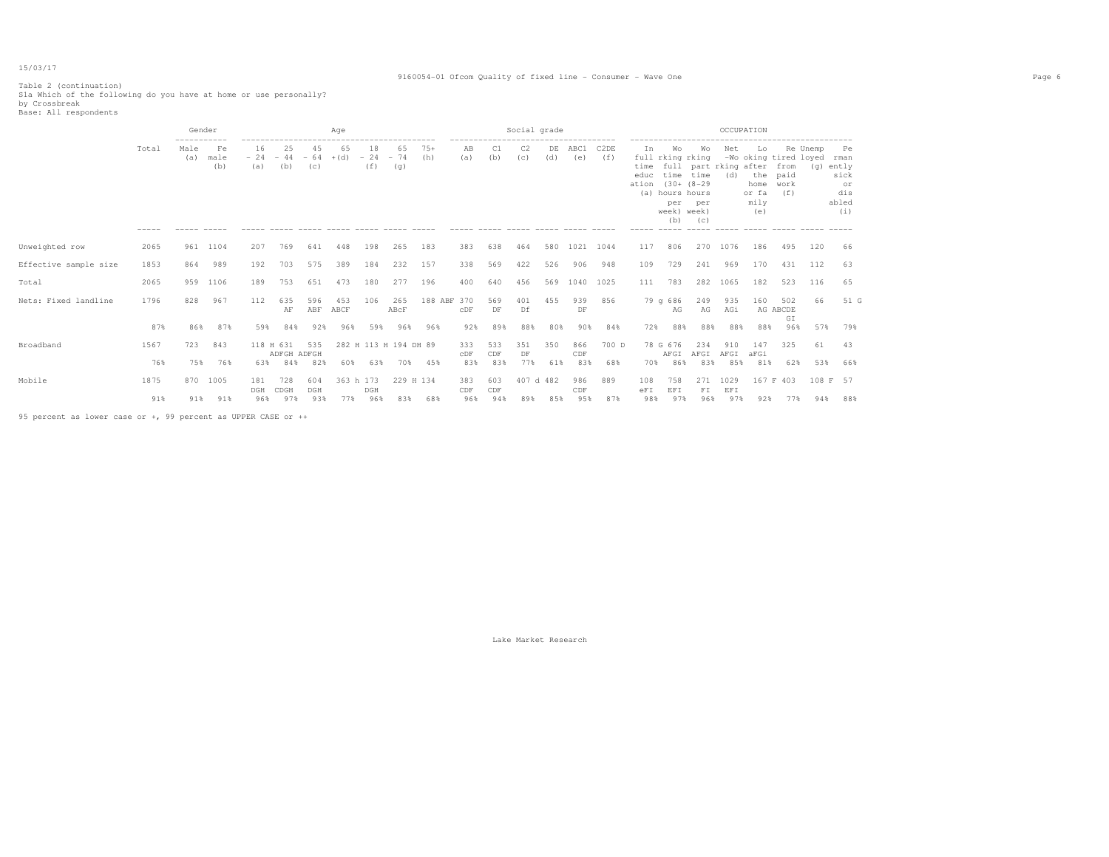#### 9160054-01 Ofcom Quality of fixed line - Consumer - Wave One Page 6

Table 2 (continuation) S1a Which of the following do you have at home or use personally? by Crossbreak Base: All respondents

|                       |       | Gender      |                   |                    |                          |                    | Age          |                    |                       |              |            | ------------------------- | Social grade |           |             |             |                             |                                                                  |                                                                                                                                 |             | OCCUPATION                                |                                                           |          |                                                        |  |
|-----------------------|-------|-------------|-------------------|--------------------|--------------------------|--------------------|--------------|--------------------|-----------------------|--------------|------------|---------------------------|--------------|-----------|-------------|-------------|-----------------------------|------------------------------------------------------------------|---------------------------------------------------------------------------------------------------------------------------------|-------------|-------------------------------------------|-----------------------------------------------------------|----------|--------------------------------------------------------|--|
|                       | Total | Male<br>(a) | Fe<br>male<br>(b) | 16<br>$-24$<br>(a) | 25<br>$-44$<br>(b)       | 45<br>$-64$<br>(C) | 65<br>$+(d)$ | 18<br>$-24$<br>(f) | 65<br>$-74$<br>(q)    | $75+$<br>(h) | AB<br>(a)  | C1<br>(b)                 | C2<br>(C)    | DE<br>(d) | ABC1<br>(e) | C2DE<br>(f) | In<br>time<br>educ<br>ation | Wo<br>per<br>week) week)<br>(b)<br>$\cdots \cdots \cdots \cdots$ | Wo<br>full rking rking<br>full part rking after<br>time time<br>$(30 + (8 - 29$<br>(a) hours hours<br>per<br>(C)<br>$- - - - -$ | Net<br>(d)  | Lo<br>the<br>home<br>or fa<br>mily<br>(e) | -Wo oking tired loyed rman<br>from<br>paid<br>work<br>(f) | Re Unemp | Pe<br>$(q)$ ently<br>sick<br>or<br>dis<br>abled<br>(i) |  |
| Unweighted row        | 2065  | 961         | 1104              | 207                | 769                      | 641                | 448          | 198                | 265                   | 183          | 383        | 638                       | 464          | 580       | 1021 1044   |             | 117                         | 806                                                              |                                                                                                                                 | 270 1076    | 186                                       | 495                                                       | 120      | 66                                                     |  |
| Effective sample size | 1853  | 864         | 989               | 192                | 703                      | 575                | 389          | 184                | 232                   | 157          | 338        | 569                       | 422          | 526       | 906         | 948         | 109                         | 729                                                              | 241                                                                                                                             | 969         | 170                                       | 431                                                       | 112      | 63                                                     |  |
| Total                 | 2065  | 959         | 1106              | 189                | 753                      | 651                | 473          | 180                | 277                   | 196          | 400        | 640                       | 456          | 569       | 1040 1025   |             | 111                         | 783                                                              | 282                                                                                                                             | 1065        | 182                                       | 523                                                       | 116      | 65                                                     |  |
| Nets: Fixed landline  | 1796  | 828         | 967               | 112                | 635<br>AF                | 596<br>ABF         | 453<br>ABCF  | 106                | 265<br>ABCF           | 188 ABF 370  | CDF        | 569<br>DF                 | 401<br>Df    | 455       | 939<br>DF   | 856         |                             | 79q686<br>AG                                                     | 249<br>AG                                                                                                                       | 935<br>AGi  | 160                                       | 502<br>AG ABCDE<br>GI                                     | 66       | 51 G                                                   |  |
|                       | 87%   | 86%         | 87%               | 59%                | 84%                      | 92%                | 96%          | 59%                | 96%                   | 96%          | 92%        | 89%                       | 88%          | 80%       | 90%         | 84%         | 72%                         | 88%                                                              | 88%                                                                                                                             | 88%         | 88%                                       | 96%                                                       | 57%      | 79%                                                    |  |
| Broadband             | 1567  | 723         | 843               |                    | 118 H 631<br>ADFGH ADFGH | 535                |              |                    | 282 H 113 H 194 DH 89 |              | 333<br>CDF | 533<br>CDF                | 351<br>DF    | 350       | 866<br>CDF  | 700 D       |                             | 78 G 676<br>AFGI                                                 | 234<br>AFGI                                                                                                                     | 910<br>AFGI | 147<br>aFGi                               | 325                                                       | 61       | 43                                                     |  |
|                       | 76%   | 75%         | 76%               | 63%                | 84%                      | 82%                | 60%          | 63%                | 70%                   | 45%          | 83%        | 83%                       | 77%          | 61%       | 83%         | 68%         | 70%                         | 86%                                                              | 83%                                                                                                                             | 85%         | 81%                                       | 62%                                                       | 53%      | 66%                                                    |  |
| Mobile                | 1875  | 870         | 1005              | 181<br>DGH         | 728<br>CDGH              | 604<br>DGH         | 363 h 173    | DGH                | 229 H 134             |              | 383<br>CDF | 603<br>CDF                | 407 d 482    |           | 986<br>CDF  | 889         | 108<br>eFI                  | 758<br>EFI                                                       | 271<br>FI                                                                                                                       | 1029<br>EFI |                                           | 167 F 403                                                 |          | 108 F 57                                               |  |
|                       | 91%   | 91%         | 91%               | 96%                | 97%                      | 93%                | 77%          | 96%                | 83%                   | 68%          | 96%        | 94%                       | 89%          | 85%       | 95%         | 87%         | 98%                         | 97%                                                              | 96%                                                                                                                             | 97%         | 92%                                       | 77%                                                       | 94%      | 88%                                                    |  |

95 percent as lower case or +, 99 percent as UPPER CASE or ++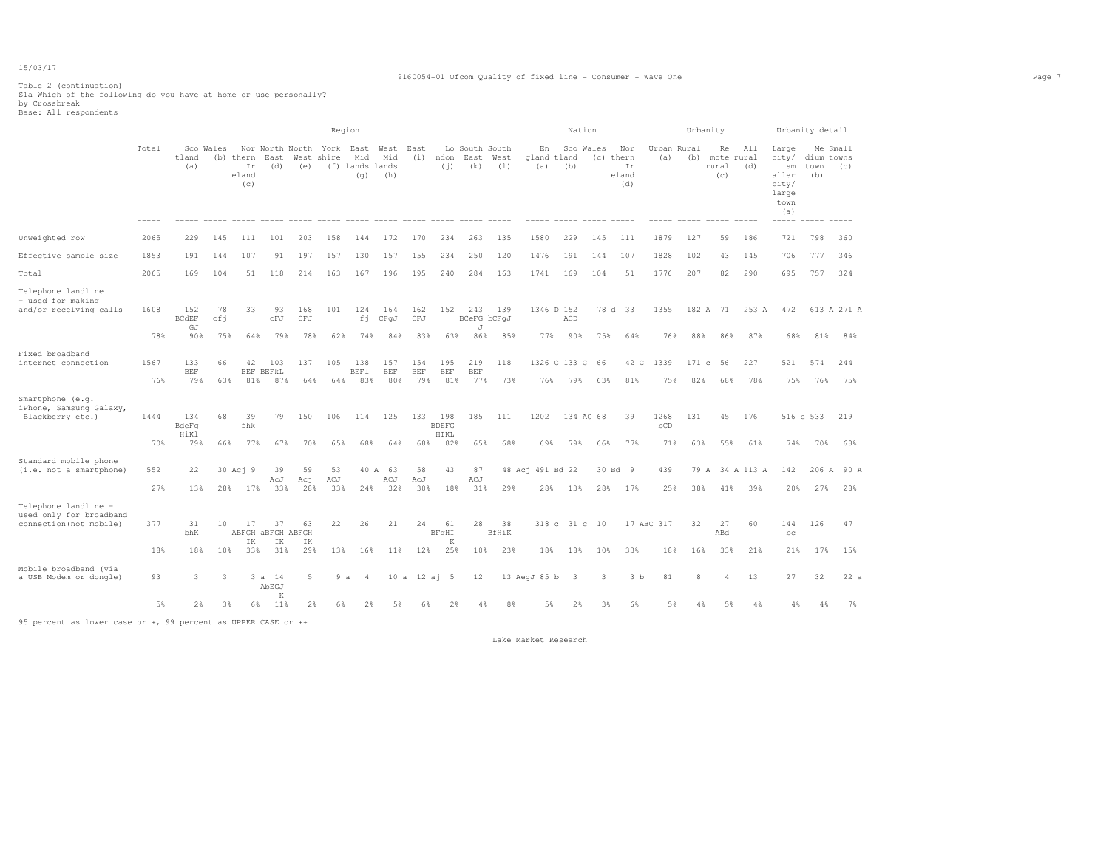#### 9160054-01 Ofcom Quality of fixed line - Consumer - Wave One Page 7

# Table 2 (continuation) S1a Which of the following do you have at home or use personally? by Crossbreak Base: All respondents

|                                                                            |             |                                  |                  |                                 |                                      |                   |                    | Region                                |                          |                   |                                    |                                |                    |                          |                          | Nation                 |                           |                    | Urbanity      |                                  |                        |                                                                                        | Urbanity detail           |                    |
|----------------------------------------------------------------------------|-------------|----------------------------------|------------------|---------------------------------|--------------------------------------|-------------------|--------------------|---------------------------------------|--------------------------|-------------------|------------------------------------|--------------------------------|--------------------|--------------------------|--------------------------|------------------------|---------------------------|--------------------|---------------|----------------------------------|------------------------|----------------------------------------------------------------------------------------|---------------------------|--------------------|
|                                                                            | Total       | tland<br>(a)                     | Sco Wales        | (b) thern<br>Ir<br>eland<br>(c) | Nor North North<br>East<br>(d)       | (e)               | York<br>West shire | East<br>Mid<br>(f) lands lands<br>(q) | West<br>Mid<br>(h)       | East<br>(i)       | ndon<br>(i)                        | Lo South South<br>East<br>(k)  | West<br>(1)        | En<br>gland tland<br>(a) | (b)                      | Sco Wales<br>(c) thern | Nor<br>Ir<br>eland<br>(d) | Urban Rural<br>(a) | (b)           | Re<br>mote rural<br>rural<br>(c) | All<br>(d)             | Large<br>city/<br>$\mathop{\rm sm}\nolimits$<br>aller<br>city/<br>large<br>town<br>(a) | dium towns<br>town<br>(b) | Me Small<br>(C)    |
| Unweighted row                                                             | 2065        | 229                              | 145              | 111                             | 101                                  | 203               | 158                | 144                                   | 172                      | 170               | 234                                | 263                            | 135                | 1580                     | 229                      | 145                    | 111                       | 1879               | 127           | 59                               | 186                    | 721                                                                                    | 798                       | 360                |
| Effective sample size                                                      | 1853        | 191                              | 144              | 107                             | 91                                   | 197               | 157                | 130                                   | 157                      | 155               | 234                                | 250                            | 120                | 1476                     | 191                      | 144                    | 107                       | 1828               | 102           | 43                               | 145                    | 706                                                                                    | 777                       | 346                |
| Total                                                                      | 2065        | 169                              | 104              | 51                              | 118                                  | 214               | 163                | 167                                   | 196                      | 195               | 240                                | 284                            | 163                | 1741                     | 169                      | 104                    | 51                        | 1776               | 207           | 82                               | 290                    | 695                                                                                    | 757                       | 324                |
| Telephone landline<br>- used for making<br>and/or receiving calls          | 1608<br>78% | 152<br><b>BCdEF</b><br>GJ<br>90% | 78<br>cfi<br>75% | 33<br>64%                       | 93<br>cFJ<br>79%                     | 168<br>CFJ<br>78% | 101<br>62%         | 124<br>fi<br>74%                      | 164<br>CFqJ<br>84%       | 162<br>CFJ<br>83% | 152<br>63%                         | 243<br>BCeFG bCFqJ<br>J<br>86% | 139<br>85%         | 77%                      | 1346 D 152<br>ACD<br>90% | 75%                    | 78 d 33<br>64%            | 1355<br>76%        | 182 A<br>88%  | 71<br>86%                        | 253 A<br>87%           | 472<br>68%                                                                             | 81%                       | 613 A 271 A<br>84% |
| Fixed broadband<br>internet connection                                     | 1567<br>76% | 133<br><b>BEF</b><br>79%         | 66<br>63%        | 42<br>81%                       | 103<br>BEF BEFKL<br>87%              | 137<br>64%        | 105<br>64%         | 138<br>BEF1<br>83%                    | 157<br><b>BEF</b><br>80% | 154<br>BEF<br>79% | 195<br><b>BEF</b><br>81%           | 219<br><b>BEF</b><br>77%       | 118<br>73%         | 76%                      | 1326 C 133 C<br>79%      | 66<br>63%              | 42 C<br>81%               | 1339<br>75%        | 171 с<br>82%  | 56<br>68%                        | 227<br>78%             | 521<br>75%                                                                             | 574<br>76%                | 244<br>75%         |
| Smartphone (e.g.<br>iPhone, Samsung Galaxy,<br>Blackberry etc.)            | 1444<br>70% | 134<br>BdeFq<br>HiKl<br>79%      | 68<br>66%        | 39<br>fhk<br>77%                | 79<br>67%                            | 150<br>70%        | 106<br>65%         | 114<br>68%                            | 125<br>64%               | 133<br>68%        | 198<br><b>BDEFG</b><br>HIKL<br>82% | 185<br>65%                     | 111<br>68%         | 1202<br>69%              | 79%                      | 134 AC 68<br>66%       | 39<br>77%                 | 1268<br>bCD<br>71% | 131<br>63%    | 45<br>55%                        | 176<br>61%             | 74%                                                                                    | 516 c 533<br>70%          | 219<br>68%         |
| Standard mobile phone<br>(i.e. not a smartphone)                           | 552<br>27%  | 22<br>13%                        | 28%              | 30 Aci 9<br>17%                 | 39<br>AcJ<br>33%                     | 59<br>Aci<br>28%  | 53<br>ACJ<br>33%   | 24%                                   | 40 A 63<br>ACJ<br>32%    | 58<br>AcJ<br>30%  | 43<br>18%                          | 87<br>ACJ<br>31%               | 29%                | 48 Acj 491 Bd 22<br>28%  | 13%                      | 28%                    | 30 Bd 9<br>17%            | 439<br>25%         | 38%           | 41%                              | 79 A 34 A 113 A<br>39% | 142<br>20%                                                                             | 206 A<br>27%              | 90 A<br>28%        |
| Telephone landline -<br>used only for broadband<br>connection (not mobile) | 377<br>18%  | 31<br>bhK<br>18%                 | 10<br>10%        | 17<br>IK<br>33%                 | 37<br>ABFGH ABFGH ABFGH<br>IK<br>31% | 63<br>IK<br>29%   | 22<br>13%          | 26<br>16%                             | 21                       | 24<br>12%         | 61<br>BFqHI<br>K<br>25%            | 28<br>10%                      | 38<br>BfHiK<br>23% | 318 <sub>c</sub><br>18%  | 18%                      | 31 c 10<br>10%         | 33%                       | 17 ABC 317<br>18%  | 32<br>16%     | 27<br>ABd<br>33%                 | 60<br>21%              | 144<br>bc<br>21%                                                                       | 126<br>17%                | 47<br>15%          |
| Mobile broadband (via<br>a USB Modem or dongle)                            | 93          | 3                                | 3.               |                                 | 3 a 14<br>AbEGJ                      | 5                 | 9a                 | 4                                     | 11%                      | 10 a 12 aj 5      |                                    | 12                             |                    | 13 AegJ 85 b             | 3                        | 3                      | 3 <sub>b</sub>            | 81                 | $\mathcal{R}$ | $\overline{4}$                   | 13                     | 27                                                                                     | 32                        | 22a                |
|                                                                            | 5%          | 2%                               | 3%               | 6%                              | K<br>11%                             | 2%                | 6%                 | 2%                                    | 5%                       | 6%                | 2%                                 | $4\%$                          | 8%                 | 5%                       | 2%                       | 3%                     | 6%                        | 5%                 | 4%            | 5%                               | 4%                     | 4%                                                                                     | 4%                        | 7%                 |

95 percent as lower case or +, 99 percent as UPPER CASE or ++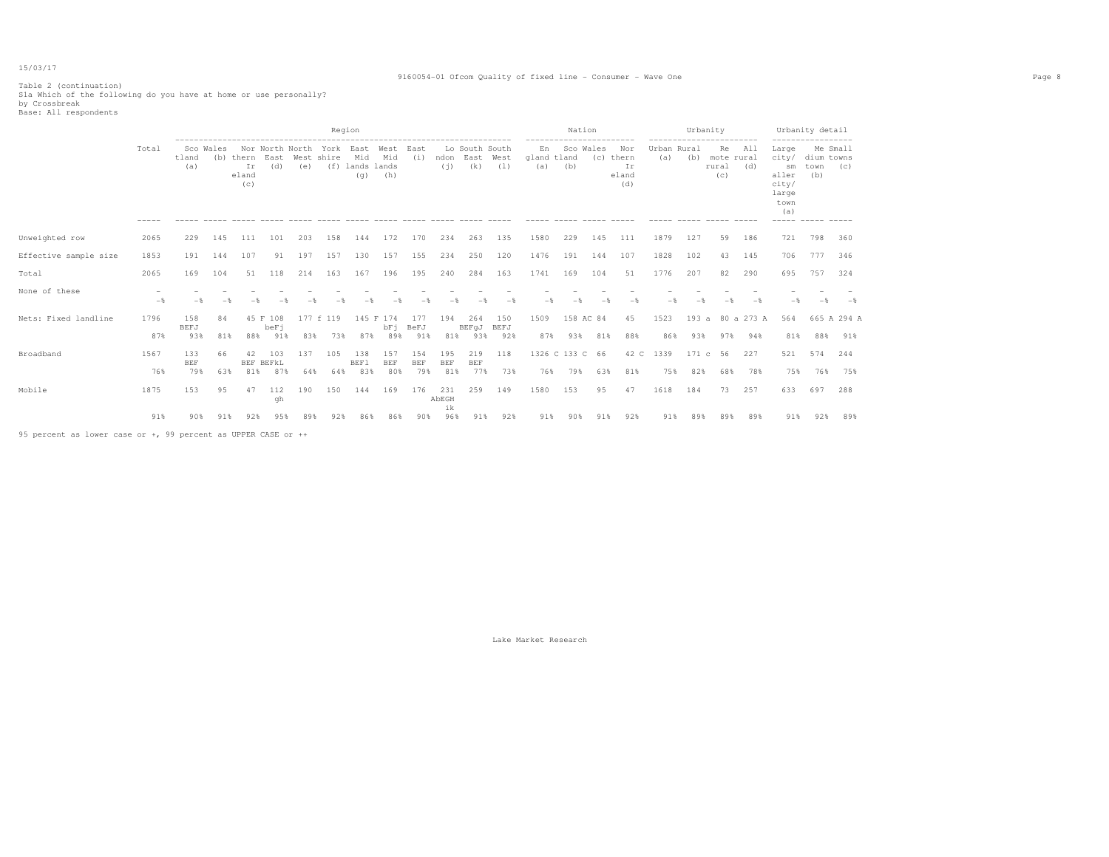#### 9160054-01 Ofcom Quality of fixed line - Consumer - Wave One Page 8

# Table 2 (continuation) S1a Which of the following do you have at home or use personally? by Crossbreak Base: All respondents

|                       |             |                          |           |                                                 |                             |            | Region                              |                               |                          |                          |                          |                                         |            |                          | Nation                 |           |                                        |                    | Urbanity     |                                                               |                         |                                                                         | Urbanity detail                                 |                    |
|-----------------------|-------------|--------------------------|-----------|-------------------------------------------------|-----------------------------|------------|-------------------------------------|-------------------------------|--------------------------|--------------------------|--------------------------|-----------------------------------------|------------|--------------------------|------------------------|-----------|----------------------------------------|--------------------|--------------|---------------------------------------------------------------|-------------------------|-------------------------------------------------------------------------|-------------------------------------------------|--------------------|
|                       | Total       | tland<br>(a)             | Sco Wales | (b) thern East West shire<br>Ir<br>eland<br>(c) | (d)                         | (e)        | Nor North North York East West East | Mid<br>(f) lands lands<br>(q) | Mid<br>(h)               | (i)                      | (i)                      | Lo South South<br>ndon East West<br>(k) | (1)        | En<br>gland tland<br>(a) | Sco Wales<br>(b)       | (c) thern | ---------<br>Nor<br>Ir<br>eland<br>(d) | Urban Rural<br>(a) | (b)          | -------------------------<br>Re<br>mote rural<br>rural<br>(C) | All<br>(d)              | Large<br>city/<br>sm<br>aller<br>city/<br>large<br>town<br>(a)<br>----- | ------------------<br>dium towns<br>town<br>(b) | Me Small<br>(C)    |
| Unweighted row        | 2065        | 229                      | 145       | 111                                             | 101                         | 203        | 158                                 | 144                           | 172                      | 170                      | 234                      | 263                                     | 135        | 1580                     | 229                    | 145       | 111                                    | 1879               | 127          | 59                                                            | 186                     | 721                                                                     | 798                                             | 360                |
| Effective sample size | 1853        | 191                      | 144       | 107                                             | 91                          | 197        | 157                                 | 130                           | 157                      | 155                      | 234                      | 250                                     | 120        | 1476                     | 191                    | 144       | 107                                    | 1828               | 102          | 43                                                            | 145                     | 706                                                                     | 777                                             | 346                |
| Total                 | 2065        | 169                      | 104       | 51                                              | 118                         | 214        | 163                                 | 167                           | 196                      | 195                      | 240                      | 284                                     | 163        | 1741                     | 169                    | 104       | 51                                     | 1776               | 207          | 82                                                            | 290                     | 695                                                                     | 757                                             | 324                |
| None of these         | $-$         |                          |           |                                                 |                             |            |                                     |                               |                          |                          |                          |                                         | $-$        | $-$                      |                        |           |                                        |                    |              |                                                               |                         | $-$                                                                     | $-$                                             | $-$                |
| Nets: Fixed landline  | 1796<br>87% | 158<br>BEFJ<br>93%       | 84<br>81% |                                                 | 45 F 108<br>beFi<br>88% 91% | 83%        | 177 f 119<br>73%                    | 87%                           | 145 F 174<br>bFi<br>89%  | 177<br>BeFJ<br>91%       | 194<br>81%               | 264<br>BEFqJ BEFJ<br>93%                | 150<br>92% | 1509<br>87%              | 158 AC 84<br>93%       | 81%       | 45<br>88%                              | 1523<br>86%        | 93%          | 97%                                                           | 193 a 80 a 273 A<br>94% | 564<br>81%                                                              | 88%                                             | 665 A 294 A<br>91% |
| Broadband             | 1567<br>76% | 133<br><b>BEF</b><br>79% | 66<br>63% | 42<br>81%                                       | 103<br>BEF BEFKL<br>87%     | 137<br>64% | 105<br>64%                          | 138<br><b>BEF1</b><br>83%     | 157<br><b>BEF</b><br>80% | 154<br><b>BEF</b><br>79% | 195<br><b>BEF</b><br>81% | 219<br><b>BEF</b><br>77%                | 118<br>73% | 76%                      | 1326 C 133 C 66<br>79% | 63%       | 42 C<br>81%                            | 1339<br>75%        | 171 c<br>82% | 56<br>68%                                                     | 227<br>78%              | 521<br>75%                                                              | 574<br>76%                                      | 244<br>75%         |
| Mobile                | 1875        | 153                      | 95        | 47                                              | 112<br>qh                   | 190        | 150                                 | 144                           | 169                      | 176                      | 231<br>AbEGH<br>ik       | 259                                     | 149        | 1580                     | 153                    | 95        | 47                                     | 1618               | 184          | 73                                                            | 257                     | 633                                                                     | 697                                             | 288                |
|                       | 91%         | 90%                      | 91%       | 92%                                             | 95%                         | 89%        | 92%                                 | 86%                           | 86%                      | 90%                      | 96%                      | 91%                                     | 92%        | 91%                      | 90%                    | 91%       | 92%                                    | 91%                | 89%          | 89%                                                           | 89%                     | 91%                                                                     | 92%                                             | 89%                |

95 percent as lower case or +, 99 percent as UPPER CASE or ++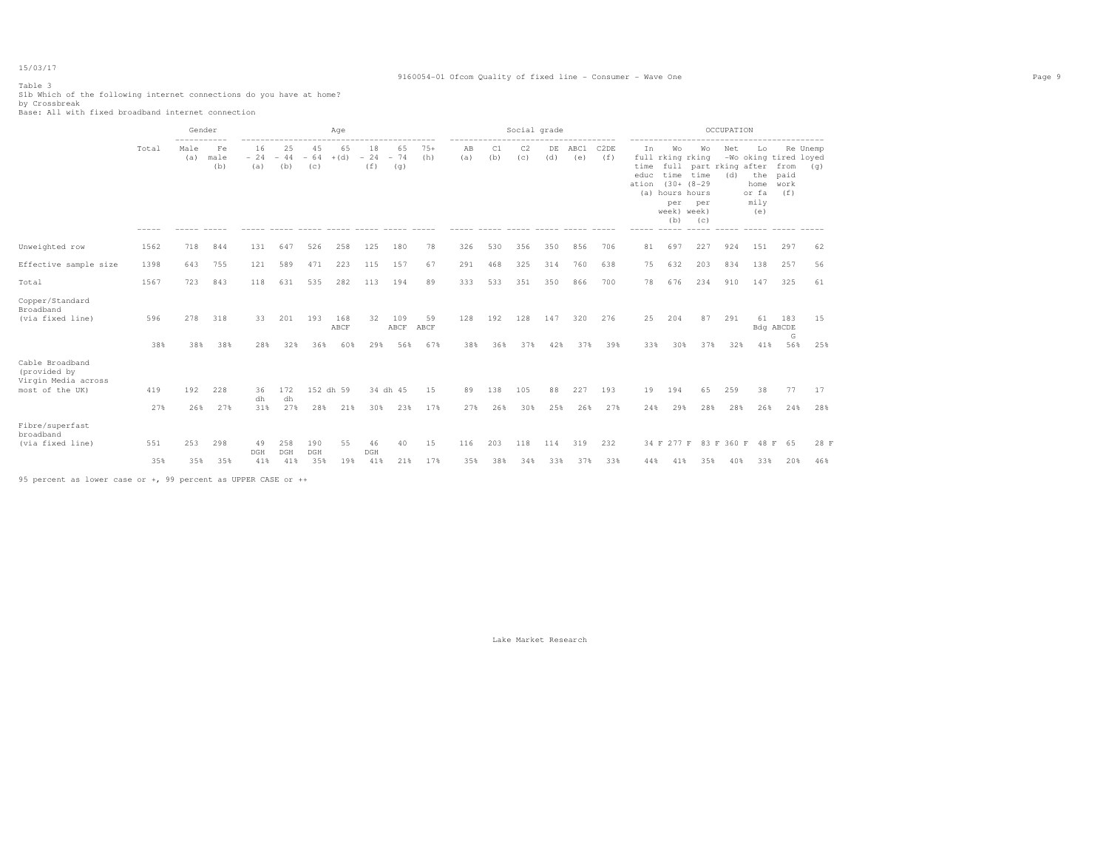#### 9160054-01 Ofcom Quality of fixed line - Consumer - Wave One Page 9

Table 3

Slb Which of the following internet connections do you have at home?<br>by Crossbreak<br>Base: All with fixed broadband internet connection

|                                                                           |            | Gender      |                   |                    |                    |                    | Age                |                    |                    |                   |            |            | Social grade |            |             |             |                             |                                                                        |                                                                            | OCCUPATION |                                                                    |                              |                 |
|---------------------------------------------------------------------------|------------|-------------|-------------------|--------------------|--------------------|--------------------|--------------------|--------------------|--------------------|-------------------|------------|------------|--------------|------------|-------------|-------------|-----------------------------|------------------------------------------------------------------------|----------------------------------------------------------------------------|------------|--------------------------------------------------------------------|------------------------------|-----------------|
|                                                                           | Total      | Male<br>(a) | Fe<br>male<br>(b) | 16<br>$-24$<br>(a) | 25<br>$-44$<br>(b) | 45<br>$-64$<br>(C) | 65<br>$+(d)$       | 18<br>$-24$<br>(f) | 65<br>$-74$<br>(g) | $75+$<br>(h)      | AB<br>(a)  | C1<br>(b)  | C2<br>(c)    | DE<br>(d)  | ABC1<br>(e) | C2DE<br>(f) | In<br>time<br>educ<br>ation | Wo<br>full rking rking<br>(a) hours hours<br>per<br>week) week)<br>(b) | Wo<br>full part rking after<br>time time<br>$(30 + 18 - 29)$<br>per<br>(c) | Net<br>(d) | Lo<br>-Wo oking tired loyed<br>the<br>home<br>or fa<br>mily<br>(e) | from<br>paid<br>work<br>(f)  | Re Unemp<br>(q) |
| Unweighted row                                                            | 1562       | 718         | 844               | 131                | 647                | 526                | 258                | 125                | 180                | 78                | 326        | 530        | 356          | 350        | 856         | 706         | 81                          | 697                                                                    | 227                                                                        | 924        | 151                                                                | 297                          | 62              |
| Effective sample size                                                     | 1398       | 643         | 755               | 121                | 589                | 471                | 223                | 115                | 157                | 67                | 291        | 468        | 325          | 314        | 760         | 638         | 75                          | 632                                                                    | 203                                                                        | 834        | 138                                                                | 257                          | 56              |
| Total                                                                     | 1567       | 723         | 843               | 118                | 631                | 535                | 282                | 113                | 194                | 89                | 333        | 533        | 351          | 350        | 866         | 700         | 78                          | 676                                                                    | 234                                                                        | 910        | 147                                                                | 325                          | 61              |
| Copper/Standard<br>Broadband<br>(via fixed line)                          | 596<br>38% | 278<br>38%  | 318<br>38%        | 33<br>28%          | 201<br>32%         | 193<br>36%         | 168<br>ABCF<br>60% | 32<br>29%          | 109<br>ABCF<br>56% | 59<br>ABCF<br>67% | 128<br>38% | 192<br>36% | 128<br>37%   | 147<br>42% | 320<br>37%  | 276<br>39%  | 25<br>33%                   | 204<br>30%                                                             | 87<br>37%                                                                  | 291<br>32% | 61<br>41%                                                          | 183<br>Bdg ABCDE<br>G<br>56% | 15<br>25%       |
| Cable Broadband<br>(provided by<br>Virgin Media across<br>most of the UK) | 419<br>27% | 192<br>26%  | 228<br>27%        | 36<br>dh<br>31%    | 172<br>dh<br>27%   | 28%                | 152 dh 59<br>21%   | 30%                | 34 dh 45<br>23%    | 15<br>17%         | 89<br>27%  | 138<br>26% | 105<br>30%   | 88<br>25%  | 227<br>26%  | 193<br>27%  | 19<br>24%                   | 194<br>29%                                                             | 65<br>28%                                                                  | 259<br>28% | 38<br>26%                                                          | 77<br>24%                    | 17<br>28%       |
| Fibre/superfast<br>broadband<br>(via fixed line)                          | 551        | 253         | 298               | 49<br>DGH          | 258<br>DGH         | 190<br>DGH         | 55                 | 46<br>DGH          | 40                 | 15                | 116        | 203        | 118          | 114        | 319         | 232         |                             | 34 F 277 F                                                             |                                                                            | 83 F 360 F |                                                                    | 48 F 65                      | 28 F            |
|                                                                           | 35%        | 35%         | 35%               | 41%                | 41%                | 35%                | 19%                | 41%                | 21%                | 17%               | 35%        | 38%        | 34%          | 33%        | 37%         | 33%         | 44%                         | 41%                                                                    | 35%                                                                        | 40%        | 33%                                                                | 20%                          | 46%             |

95 percent as lower case or +, 99 percent as UPPER CASE or ++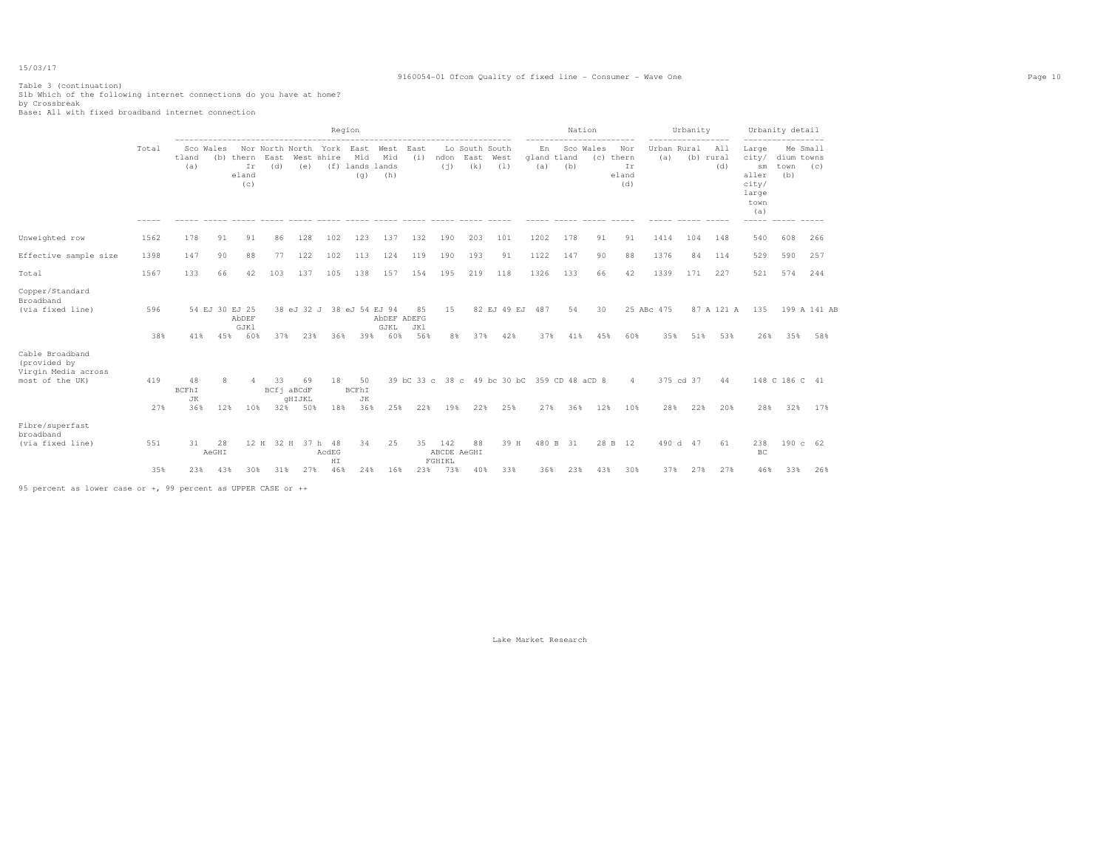#### 9160054-01 Ofcom Quality of fixed line - Consumer - Wave One Page 10

## Table 3 (continuation) S1b Which of the following internet connections do you have at home? by Crossbreak Base: All with fixed broadband internet connection

|                                                                           |                        |                          | Region                |                                 |                                          |                                   |                                    |                                  |                            |                  |                      |                          |                                                    |            |                    | Nation    |                                        |                    | Urbanity         | -------                 |                                                                         | Urbanity detail           |                     |
|---------------------------------------------------------------------------|------------------------|--------------------------|-----------------------|---------------------------------|------------------------------------------|-----------------------------------|------------------------------------|----------------------------------|----------------------------|------------------|----------------------|--------------------------|----------------------------------------------------|------------|--------------------|-----------|----------------------------------------|--------------------|------------------|-------------------------|-------------------------------------------------------------------------|---------------------------|---------------------|
|                                                                           | Total<br>$\frac{1}{2}$ | tland<br>(a)             | Sco Wales             | (b) thern<br>Ir<br>eland<br>(c) | Nor North North York East<br>East<br>(d) | (e)                               | West shire                         | Mid<br>(f) lands lands<br>(q)    | West<br>Mid<br>(h)         | East<br>(i)      | ndon<br>(i)          | East<br>(k)              | Lo South South<br>West<br>(1)                      | En<br>(a)  | gland tland<br>(b) | Sco Wales | Nor<br>(c) thern<br>Ir<br>eland<br>(d) | Urban Rural<br>(a) |                  | All<br>(b) rural<br>(d) | Large<br>city/<br>sm<br>aller<br>city/<br>large<br>town<br>(a)<br>----- | dium towns<br>town<br>(b) | Me Small<br>(C)     |
| Unweighted row                                                            | 1562                   | 178                      | 91                    | 91                              | 86                                       | 128                               | 102                                | 123                              | 137                        | 132              | 190                  | 203                      | 101                                                | 1202       | 178                | 91        | 91                                     | 1414               | 104              | 148                     | 540                                                                     | 608                       | 266                 |
| Effective sample size                                                     | 1398                   | 147                      | 90                    | 88                              | 77                                       | 122                               | 102                                | 113                              | 124                        | 119              | 190                  | 193                      | 91                                                 | 1122       | 147                | 90        | 88                                     | 1376               | 84               | 114                     | 529                                                                     | 590                       | 257                 |
| Total                                                                     | 1567                   | 133                      | 66                    | 42                              | 103                                      | 137                               | 105                                | 138                              | 157                        | 154              | 195                  | 219                      | 118                                                | 1326       | 133                | 66        | 42                                     | 1339               | 171              | 227                     | 521                                                                     | 574                       | 244                 |
| Copper/Standard<br>Broadband<br>(via fixed line)                          | 596<br>38%             | 41%                      | 54 EJ 30 EJ 25<br>45% | AbDEF<br>GJK1<br>60%            | 37%                                      | 23%                               | 36%                                | 38 eJ 32 J 38 eJ 54 EJ 94<br>39% | AbDEF ADEFG<br>GJKL<br>60% | 85<br>JK1<br>56% | 15                   | 8%<br>37%                | 82 EJ 49 EJ<br>42%                                 | 487<br>37% | 54<br>41%          | 30<br>45% | 60%                                    | 25 ABc 475<br>35%  | 51%              | 87 A 121 A<br>53%       | 135<br>26%                                                              | 35%                       | 199 A 141 AB<br>58% |
| Cable Broadband<br>(provided by<br>Virgin Media across<br>most of the UK) | 419<br>27%             | 48<br>BCFhI<br>JK<br>36% | 12%                   | 4<br>10%                        | 33<br>32%                                | 69<br>BCfi aBCdF<br>GHIJKL<br>50% | 18<br>18%                          | 50<br>BCFhI<br>JK<br>36%         | 25%                        | 22%              | 19%                  | 22%                      | 39 bC 33 c 38 c 49 bc 30 bC 359 CD 48 aCD 8<br>25% | 27%        | 36%                | 12%       | $\overline{4}$<br>10%                  | 28%                | 375 cd 37<br>22% | 44<br>20%               | 28%                                                                     | 148 C 186 C 41<br>32%     | 17%                 |
| Fibre/superfast<br>broadband<br>(via fixed line)                          | 551<br>35%             | 31<br>23%                | 28<br>AeGHI<br>43%    | 12 H<br>30%                     | 31%                                      | 27%                               | 32 H 37 h 48<br>AcdEG<br>HI<br>46% | 34<br>24%                        | 25<br>16%                  | 35<br>23%        | 142<br>FGHIKL<br>73% | 88<br>ABCDE AeGHI<br>40% | 39 H<br>33%                                        | 36%        | 480 B 31<br>23%    | 43%       | 28 B 12<br>30%                         | 37%                | 490 d 47<br>27%  | 61<br>27%               | 238<br>BC<br>46%                                                        | 190 c 62<br>33%           | 26%                 |
|                                                                           |                        |                          |                       |                                 |                                          |                                   |                                    |                                  |                            |                  |                      |                          |                                                    |            |                    |           |                                        |                    |                  |                         |                                                                         |                           |                     |

95 percent as lower case or +, 99 percent as UPPER CASE or ++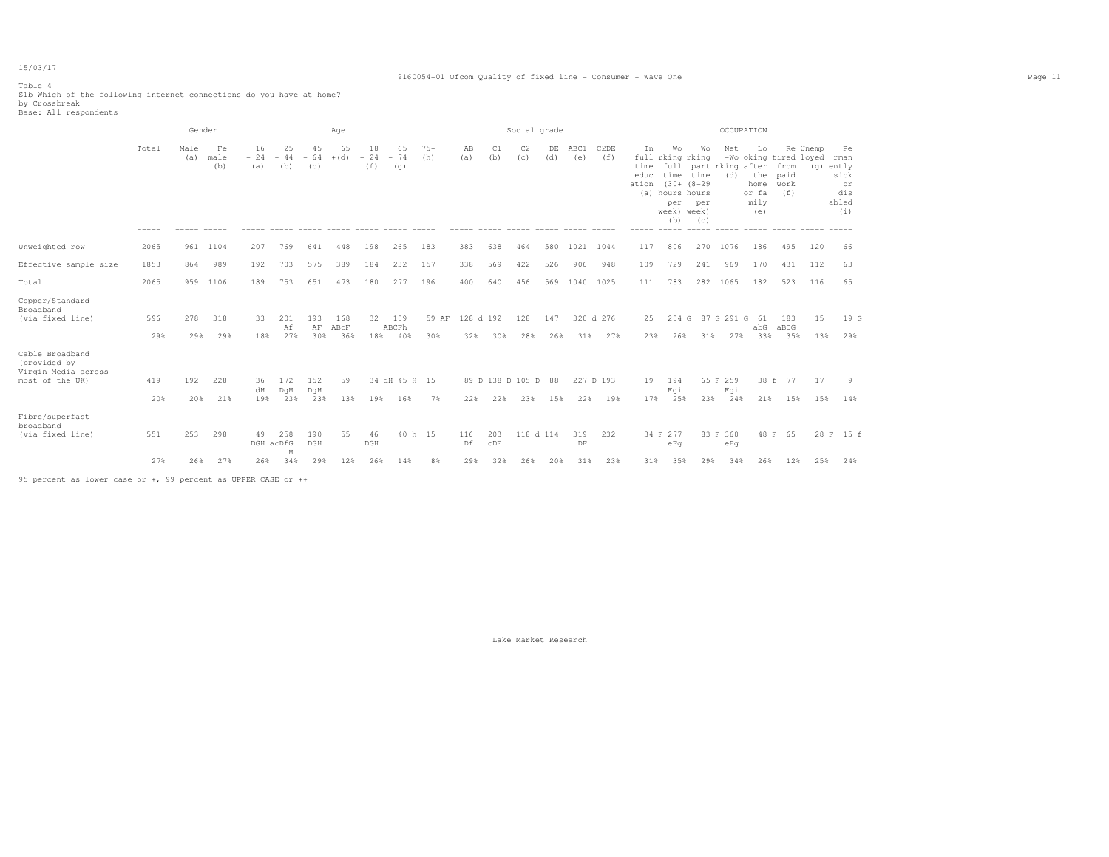#### 9160054-01 Ofcom Quality of fixed line - Consumer - Wave One Page 11

Table 4 S1b Which of the following internet connections do you have at home? by Crossbreak Base: All respondents

|                                                                           |            | Gender<br>----------- |                   |                        |                    |                    | Age                |                    |                      |               |                  |                         | Social grade     |            |                  |                  |                             |                                                                        |                                                                           |                        | OCCUPATION                                |                                                        |           |                                                              |
|---------------------------------------------------------------------------|------------|-----------------------|-------------------|------------------------|--------------------|--------------------|--------------------|--------------------|----------------------|---------------|------------------|-------------------------|------------------|------------|------------------|------------------|-----------------------------|------------------------------------------------------------------------|---------------------------------------------------------------------------|------------------------|-------------------------------------------|--------------------------------------------------------|-----------|--------------------------------------------------------------|
|                                                                           | Total      | Male<br>(a)           | Fe<br>male<br>(b) | 16<br>$-24$<br>(a)     | 25<br>$-44$<br>(b) | 45<br>$-64$<br>(C) | 65<br>$+(d)$       | 18<br>$-24$<br>(f) | 65<br>$-74$<br>(q)   | $75+$<br>(h)  | AB<br>(a)        | C1<br>(b)               | C2<br>(c)        | DE<br>(d)  | ABC1<br>(e)      | C2DE<br>(f)      | In<br>time<br>educ<br>ation | Wo<br>full rking rking<br>(a) hours hours<br>per<br>week) week)<br>(b) | Wo<br>full part rking after<br>time time<br>$(30 + (8 - 29$<br>per<br>(C) | Net<br>(d)             | Lo<br>the<br>home<br>or fa<br>mily<br>(e) | -Wo oking tired loyed<br>from<br>paid<br>work<br>(f f) | Re Unemp  | Pe<br>rman<br>(g) ently<br>sick<br>or<br>dis<br>abled<br>(i) |
| Unweighted row                                                            | 2065       | 961                   | 1104              | 207                    | 769                | 641                | 448                | 198                | 265                  | 183           | 383              | 638                     | 464              | 580        |                  | 1021 1044        | 117                         | 806                                                                    | 270                                                                       | 1076                   | 186                                       | 495                                                    | 120       | 66                                                           |
| Effective sample size                                                     | 1853       | 864                   | 989               | 192                    | 703                | 575                | 389                | 184                | 232                  | 157           | 338              | 569                     | 422              | 526        | 906              | 948              | 109                         | 729                                                                    | 241                                                                       | 969                    | 170                                       | 431                                                    | 112       | 63                                                           |
| Total                                                                     | 2065       | 959                   | 1106              | 189                    | 753                | 651                | 473                | 180                | 277                  | 196           | 400              | 640                     | 456              | 569        |                  | 1040 1025        | 111                         | 783                                                                    | 282                                                                       | 1065                   | 182                                       | 523                                                    | 116       | 65                                                           |
| Copper/Standard<br>Broadband<br>(via fixed line)                          | 596<br>29% | 278<br>29%            | 318<br>29%        | 33<br>18%              | 201<br>Αf<br>27%   | 193<br>AF<br>30%   | 168<br>ABCF<br>36% | 32<br>18%          | 109<br>ABCFh<br>40%  | 59 AF<br>30%  | 128 d 192<br>32% | 30%                     | 128<br>28%       | 147<br>26% | 31%              | 320 d 276<br>27% | 25<br>23%                   | 204 G<br>26%                                                           | 31%                                                                       | 87 G 291 G<br>27%      | 61<br>abG<br>33%                          | 183<br>aBDG<br>35%                                     | 15<br>13% | 19 G<br>29%                                                  |
| Cable Broadband<br>(provided by<br>Virgin Media across<br>most of the UK) | 419<br>20% | 192<br>20%            | 228<br>21%        | 36<br>dH<br>19%        | 172<br>DqH<br>23%  | 152<br>DqH<br>23%  | 59<br>13%          | 19%                | 34 dH 45 H 15<br>16% | 7%            | 22%              | 89 D 138 D 105 D<br>22% | 23%              | 88<br>15%  | 22%              | 227 D 193<br>19% | 19<br>17%                   | 194<br>Fqi<br>25%                                                      | 23%                                                                       | 65 F 259<br>Fqi<br>24% | 21%                                       | 38 f 77<br>15%                                         | 17<br>15% | 9<br>14%                                                     |
| Fibre/superfast<br>broadband<br>(via fixed line)                          | 551<br>27% | 253<br>26%            | 298<br>27%        | 49<br>DGH acDfG<br>26% | 258<br>H<br>34%    | 190<br>DGH<br>29%  | 55<br>12%          | 46<br>DGH<br>26%   | 14%                  | 40 h 15<br>8% | 116<br>Df<br>29% | 203<br>CDF<br>32%       | 118 d 114<br>26% | 20%        | 319<br>DF<br>31% | 232<br>23%       | 31%                         | 34 F 277<br>eFq<br>35%                                                 | 29%                                                                       | 83 F 360<br>eFq<br>34% | 26%                                       | 48 F 65<br>12%                                         | 25%       | 28 F 15 f<br>24%                                             |
|                                                                           |            |                       |                   |                        |                    |                    |                    |                    |                      |               |                  |                         |                  |            |                  |                  |                             |                                                                        |                                                                           |                        |                                           |                                                        |           |                                                              |

95 percent as lower case or +, 99 percent as UPPER CASE or ++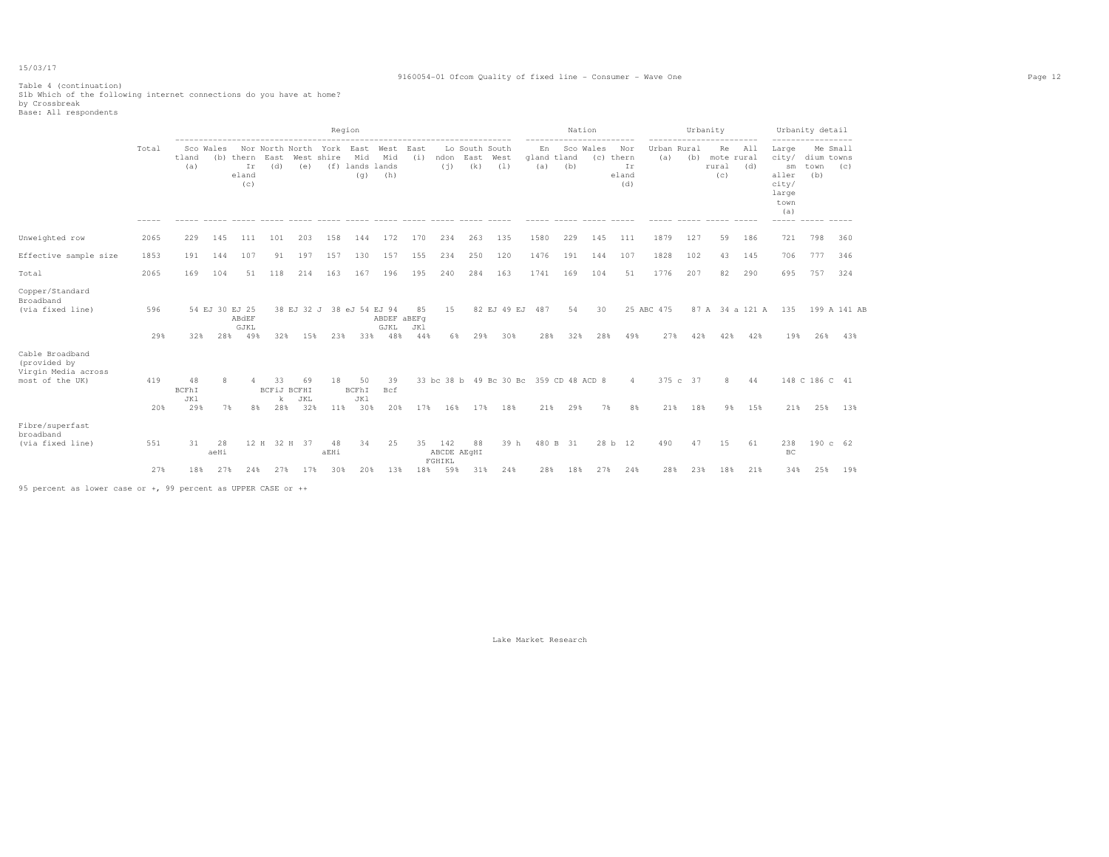#### 9160054-01 Ofcom Quality of fixed line - Consumer - Wave One Page 12

Table 4 (continuation) S1b Which of the following internet connections do you have at home? by Crossbreak Base: All respondents

|                                                                           |            |                           |            |                                        |                                       |                  |                                  | Region                        | ----------------------------                 |                  |                              |                                    |      |                                               |           | Nation    |                                        |                   |                    | Urbanity<br>-----------          |            |                                                                         | Urbanity detail                       |                     |
|---------------------------------------------------------------------------|------------|---------------------------|------------|----------------------------------------|---------------------------------------|------------------|----------------------------------|-------------------------------|----------------------------------------------|------------------|------------------------------|------------------------------------|------|-----------------------------------------------|-----------|-----------|----------------------------------------|-------------------|--------------------|----------------------------------|------------|-------------------------------------------------------------------------|---------------------------------------|---------------------|
|                                                                           | Total      | tland<br>(a)              | Sco Wales  | (b) thern East<br>Ir<br>eland<br>(C)   | (d)                                   | (e)              | West shire                       | Mid<br>(f) lands lands<br>(q) | Nor North North York East West<br>Mid<br>(h) | East<br>(i)      | ndon<br>(i)                  | Lo South South<br>East West<br>(k) | (1)  | En<br>gland tland<br>(a)                      | (b)       | Sco Wales | Nor<br>(c) thern<br>Ir<br>eland<br>(d) | (a)               | Urban Rural<br>(b) | Re<br>mote rural<br>rural<br>(C) | All<br>(d) | Large<br>city/<br>sm<br>aller<br>city/<br>large<br>town<br>(a)<br>----- | Me Small<br>dium towns<br>town<br>(b) | (C)                 |
| Unweighted row                                                            | 2065       | 229                       | 145        | 111                                    | 101                                   | 203              | 158                              | 144                           | 172                                          | 170              | 234                          | 263                                | 135  | 1580                                          | 229       | 145       | 111                                    | 1879              | 127                | 59                               | 186        | 721                                                                     | 798                                   | 360                 |
| Effective sample size                                                     | 1853       | 191                       | 144        | 107                                    | 91                                    | 197              | 157                              | 130                           | 157                                          | 155              | 234                          | 250                                | 120  | 1476                                          | 191       | 144       | 107                                    | 1828              | 102                | 43                               | 145        | 706                                                                     | 777                                   | 346                 |
| Total                                                                     | 2065       | 169                       | 104        | 51                                     | 118                                   | 214              | 163                              | 167                           | 196                                          | 195              | 240                          | 284                                | 163  | 1741                                          | 169       | 104       | 51                                     | 1776              | 207                | 82                               | 290        | 695                                                                     | 757                                   | 324                 |
| Copper/Standard<br>Broadband<br>(via fixed line)                          | 596<br>29% | 32%                       | 28%        | 54 EJ 30 EJ 25<br>ABdEF<br>GJKL<br>49% | 32%                                   | 15%              | 38 EJ 32 J 38 eJ 54 EJ 94<br>23% | 33%                           | ABDEF aBEFa<br>GJKL<br>48%                   | 85<br>JK1<br>44% | 15<br>6%                     | 29%                                | 30%  | 82 EJ 49 EJ 487<br>28%                        | 54<br>32% | 30<br>28% | 49%                                    | 25 ABC 475<br>27% | 42%                | 42%                              | 42%        | 87 A 34 a 121 A 135<br>19%                                              | 26%                                   | 199 A 141 AB<br>43% |
| Cable Broadband<br>(provided by<br>Virgin Media across<br>most of the UK) | 419<br>20% | 48<br>BCFhI<br>JK1<br>29% | 8          | 4<br>7%<br>8%                          | 33.<br><b>BCFiJ BCFHI</b><br>k<br>28% | 69<br>JKL<br>32% | 18<br>11%                        | 50<br>BCFhI<br>JK1<br>30%     | 39<br>Bcf<br>20%                             | 17%              | 16%                          | 17%                                | 18%  | 33 bc 38 b 49 Bc 30 Bc 359 CD 48 ACD 8<br>21% | 29%       | 7%        | 4<br>8%                                | 21%               | 375 c 37<br>18%    | $\mathsf{R}$<br>98               | 44<br>15%  | 21%                                                                     | 148 C 186 C 41<br>25%                 | 13%                 |
| Fibre/superfast<br>broadband<br>(via fixed line)                          | 551        | 31                        | 28<br>aeHi |                                        | 12 H 32 H 37                          |                  | 48<br>aEHi                       | 34                            | 25                                           | 35               | 142<br>ABCDE AEqHI<br>FGHIKL | 88                                 | 39 h |                                               | 480 B 31  |           | 28 b 12                                | 490               | 47                 | 15                               | 61         | 238<br>BC                                                               | 190c62                                |                     |
|                                                                           | 27%        | 18%                       | 27%        | 24%                                    | 27%                                   | 17%              | 30%                              | 20%                           | 13%                                          | 18%              | 59%                          | 31%                                | 24%  | 28%                                           | 18%       | 27%       | 24%                                    | 28%               | 23%                | 18%                              | 21%        | 34%                                                                     | 25%                                   | 19%                 |

95 percent as lower case or +, 99 percent as UPPER CASE or ++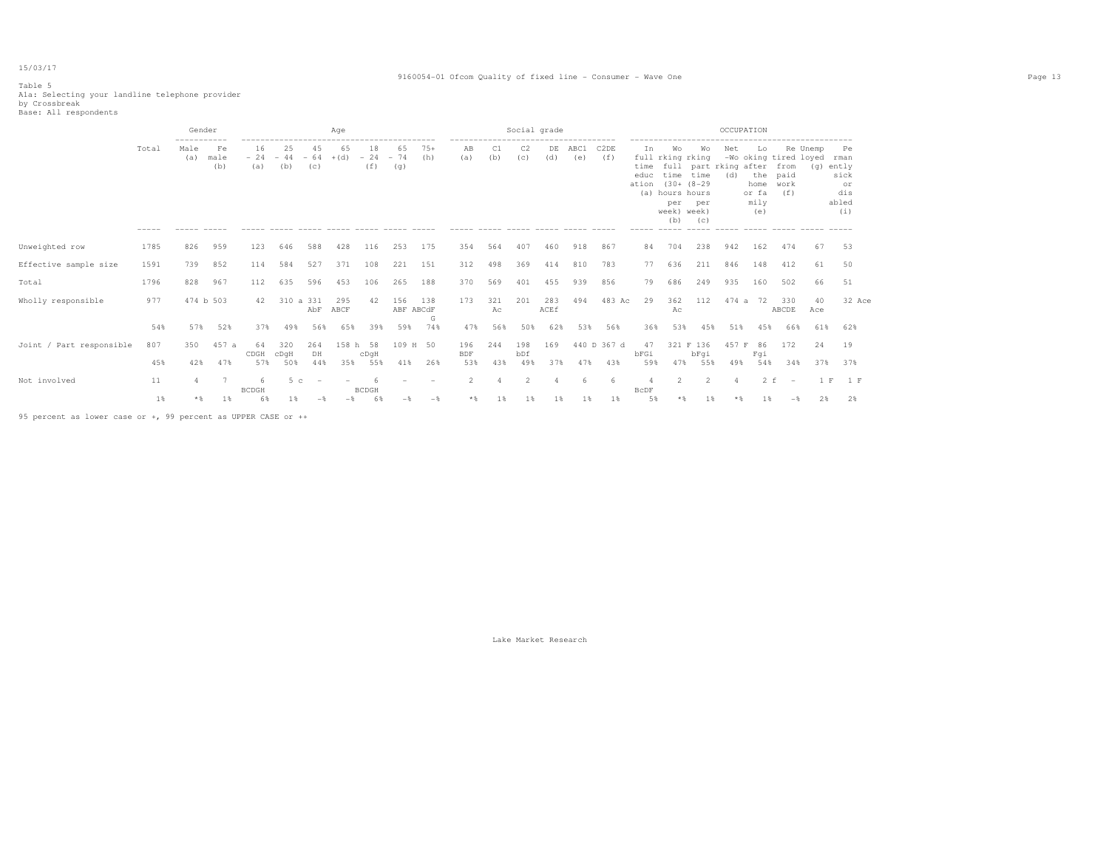#### 9160054-01 Ofcom Quality of fixed line - Consumer - Wave One Page 13

Table 5 Ala: Selecting your landline telephone provider<br>by Crossbreak<br>Base: All respondents

|                          |       | Gender      |                   |                    |                    |                                 | Age          |                    |                    |              |                   |           | Social grade          |             |             |                          |                      |                                                                               |                                                                                 | OCCUPATION |                                                          |                                          |                 |                                                          |  |
|--------------------------|-------|-------------|-------------------|--------------------|--------------------|---------------------------------|--------------|--------------------|--------------------|--------------|-------------------|-----------|-----------------------|-------------|-------------|--------------------------|----------------------|-------------------------------------------------------------------------------|---------------------------------------------------------------------------------|------------|----------------------------------------------------------|------------------------------------------|-----------------|----------------------------------------------------------|--|
|                          | Total | Male<br>(a) | Fe<br>male<br>(b) | 16<br>$-24$<br>(a) | 25<br>$-44$<br>(b) | 45<br>$-64$<br>(C)              | 65<br>$+(d)$ | 18<br>$-24$<br>(f) | 65<br>$-74$<br>(q) | $75+$<br>(h) | AB<br>(a)         | C1<br>(b) | C <sub>2</sub><br>(C) | DE<br>(d)   | ABC1<br>(e) | C <sub>2</sub> DE<br>(f) | In.<br>educ<br>ation | Wo<br>time<br>$(30 + (8 - 29$<br>(a) hours hours<br>per<br>week) week)<br>(b) | Wo<br>full rking rking<br>time full part rking after from<br>time<br>per<br>(C) | Net<br>(d) | Lo<br>home work<br>or fa<br>mily<br>(e)<br>$\frac{1}{2}$ | -Wo oking tired loyed<br>the paid<br>(f) | Re Unemp<br>(q) | Pe<br>rman<br>ently<br>sick<br>or<br>dis<br>abled<br>(i) |  |
| Unweighted row           | 1785  | 826         | 959               | 123                | 646                | 588                             | 428          | 116                | 253                | 175          | 354               | 564       | 407                   | 460         | 918         | 867                      | 84                   | 704                                                                           | 238                                                                             | 942        | 162                                                      | 474                                      | 67              | 53                                                       |  |
| Effective sample size    | 1591  | 739         | 852               | 114                | 584                | 527                             | 371          | 108                | 221                | 151          | 312               | 498       | 369                   | 414         | 810         | 783                      | 77                   | 636                                                                           | 211                                                                             | 846        | 148                                                      | 412                                      | 61              | 50                                                       |  |
| Total                    | 1796  | 828         | 967               | 112                | 635                | 596                             | 453          | 106                | 265                | 188          | 370               | 569       | 401                   | 455         | 939         | 856                      | 79                   | 686                                                                           | 249                                                                             | 935        | 160                                                      | 502                                      | 66              | 51                                                       |  |
| Wholly responsible       | 977   |             | 474 b 503         | 42                 | 310 a 331          | AbF                             | 295<br>ABCF  | 42                 | 156<br>ABF ABCdF   | 138<br>G     | 173               | 321<br>Ac | 201                   | 283<br>ACEf | 494         | 483 Ac                   | 29                   | 362<br>Aс                                                                     | 112                                                                             | 474 a      | 72                                                       | 330<br>ABCDE                             | 40<br>Ace       | 32 Ace                                                   |  |
|                          | 54%   | 57%         | 52%               | 37%                | 49%                | 56%                             | 65%          | 39%                | 59%                | 74%          | 47%               | 56%       | 50%                   | 62%         | 53%         | 56%                      | 36%                  | 53%                                                                           | 45%                                                                             | 51%        | 45%                                                      | 66%                                      | 61%             | 62%                                                      |  |
| Joint / Part responsible | 807   | 350         | 457 a             | 64<br>CDGH         | 320<br>$c$ DqH     | 264<br>DH                       | 158 h        | 58<br>cDqH         | 109 H 50           |              | 196<br><b>BDF</b> | 244       | 198<br>bDf            | 169         |             | 440 D 367 d              | 47<br>bFGi           |                                                                               | 321 F 136<br>bFqi                                                               | 457 F      | 86<br>Fqi                                                | 172                                      | 24              | 19                                                       |  |
|                          | 45%   | 42%         | 47%               | 57%                | 50%                | 44%                             | 35%          | 55%                | 41%                | 26%          | 53%               | 43%       | 49%                   | 37%         | 47%         | 43%                      | 59%                  | 47%                                                                           | 55%                                                                             | 49%        | 54%                                                      | 34%                                      | 37%             | 37%                                                      |  |
| Not involved             | 11    |             |                   | 6<br><b>BCDGH</b>  | 5 <sub>c</sub>     | $\hspace{0.1mm}-\hspace{0.1mm}$ | $\sim$       | <b>BCDGH</b>       |                    |              | $\overline{2}$    | 4         | $\overline{2}$        |             | -6          | - 6                      | 4<br>BcDF            | $\overline{2}$                                                                | $\overline{2}$                                                                  | $\Delta$   | $2-f$                                                    | $\overline{\phantom{a}}$                 | 1 F             | 1 F                                                      |  |
|                          | $1\%$ | $*$         | 1%                | 6%                 | 1 %                |                                 |              | 6%                 |                    | $-$          | $*$ &             | 1%        | 1%                    | 1%          | 1%          | 1                        | 5%                   | $*$                                                                           | 1%                                                                              | $*$        | 1%                                                       | $-$                                      | 2%              | 2%                                                       |  |

95 percent as lower case or +, 99 percent as UPPER CASE or ++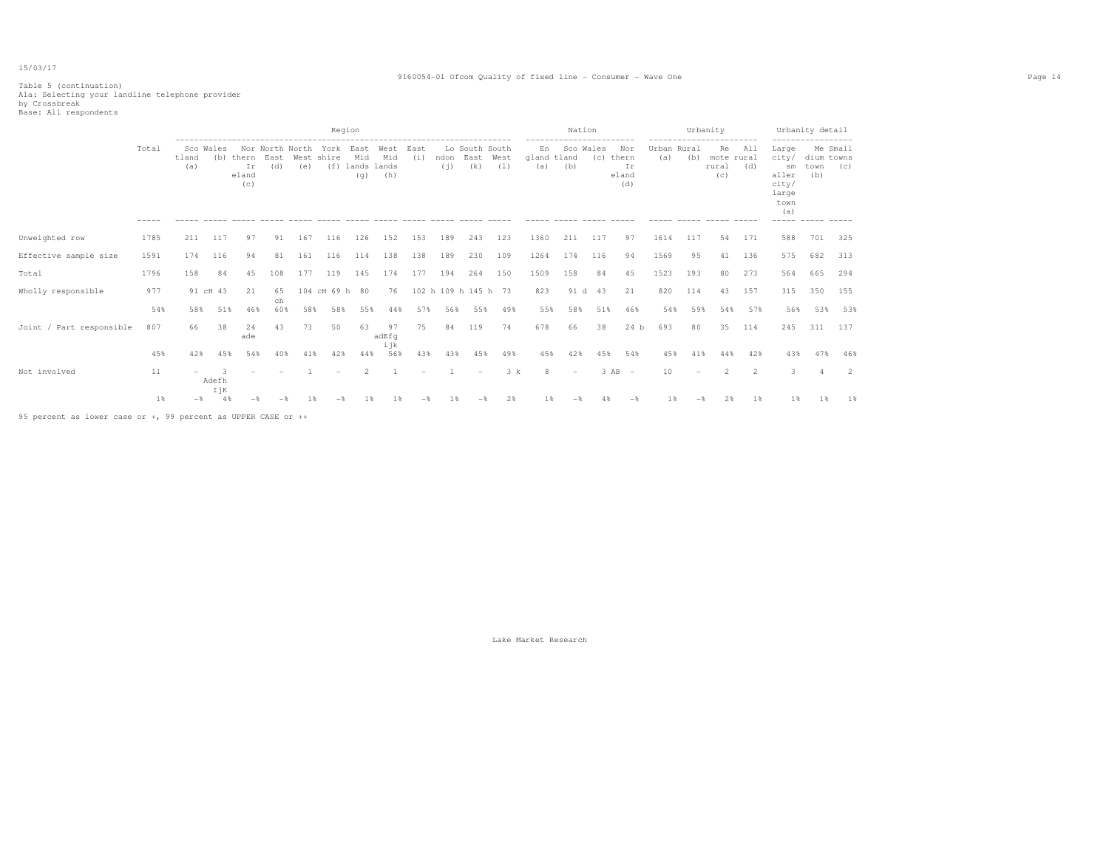#### 9160054-01 Ofcom Quality of fixed line - Consumer - Wave One Page 14

Table 5 (continuation) A1a: Selecting your landline telephone provider by Crossbreak Base: All respondents

|                                                               |       |              |              | ---------------------------------    |           |     | Region                             |                               |                         |             |                      |                               |             |                          | Nation                   |     |                                                |                    |     | Urbanity<br>.                    |                |                                                                               | Urbanity detail           |                 |
|---------------------------------------------------------------|-------|--------------|--------------|--------------------------------------|-----------|-----|------------------------------------|-------------------------------|-------------------------|-------------|----------------------|-------------------------------|-------------|--------------------------|--------------------------|-----|------------------------------------------------|--------------------|-----|----------------------------------|----------------|-------------------------------------------------------------------------------|---------------------------|-----------------|
|                                                               | Total | tland<br>(a) | Sco Wales    | (b) thern East<br>Ir<br>eland<br>(c) | (d)       | (e) | Nor North North York<br>West shire | Mid<br>(f) lands lands<br>(q) | East West<br>Mid<br>(h) | East<br>(i) | ndon<br>(i)          | Lo South South<br>East<br>(k) | West<br>(1) | En<br>gland tland<br>(a) | Sco Wales<br>(b)         | (C) | --------<br>Nor<br>thern<br>Ir<br>eland<br>(d) | Urban Rural<br>(a) | (b) | Re<br>mote rural<br>rural<br>(C) | All<br>(d)     | Large<br>city/<br>sm<br>aller<br>city/<br>large<br>town<br>(a)<br>$- - - - -$ | dium towns<br>town<br>(b) | Me Small<br>(C) |
| Unweighted row                                                | 1785  | 211          | 117          | 97                                   | 91        | 167 | 116                                | 126                           | 152                     | 153         | 189                  | 243                           | 123         | 1360                     | 211                      | 117 | 97                                             | 1614               | 117 | 54                               | 171            | 588                                                                           | 701                       | 325             |
| Effective sample size                                         | 1591  | 174          | 116          | 94                                   | 81        | 161 | 116                                | 114                           | 138                     | 138         | 189                  | 230                           | 109         | 1264                     | 174                      | 116 | 94                                             | 1569               | 95  | 41                               | 136            | 575                                                                           | 682                       | 313             |
| Total                                                         | 1796  | 158          | 84           | 45                                   | 108       | 177 | 119                                | 145                           | 174                     | 177         | 194                  | 264                           | 150         | 1509                     | 158                      | 84  | 45                                             | 1523               | 193 | 80                               | 273            | 564                                                                           | 665                       | 294             |
| Wholly responsible                                            | 977   |              | 91 cH 43     | 21                                   | 65        |     | 104 cH 69 h 80                     |                               | 76                      |             | 102 h 109 h 145 h 73 |                               |             | 823                      | 91 d                     | 43  | 21                                             | 820                | 114 | 43                               | 157            | 315                                                                           | 350                       | 155             |
|                                                               | 54%   | 58%          | 51%          | 46%                                  | ch<br>60% | 58% | 58%                                | 55%                           | 44%                     | 57%         | 56%                  | 55%                           | 49%         | 55%                      | 58%                      | 51% | 46%                                            | 54%                | 59% | 54%                              | 57%            | 56%                                                                           | 53%                       | 53%             |
| Joint / Part responsible                                      | 807   | 66           | 38           | 24<br>ade                            | 43        | 73  | 50                                 | 63                            | 97<br>adEfq             | 75          |                      | 84 119                        | 74          | 678                      | 66                       | 38  | 24 b                                           | 693                | 80  | 35                               | 114            | 245                                                                           | 311                       | 137             |
|                                                               | 45%   | 42%          | 45%          | 54%                                  | 40%       | 41% | 42%                                | 44%                           | ijk<br>56%              | 43%         | 43%                  | 45%                           | 49%         | 45%                      | 42%                      | 45% | 54%                                            | 45%                | 41% | 44%                              | 42%            | 43%                                                                           | 47%                       | 46%             |
| Not involved                                                  | 11    |              | Adefh<br>IjK |                                      |           |     |                                    |                               |                         |             |                      | ۰                             | 3 k         | 8                        | $\overline{\phantom{a}}$ |     | $3$ AB $-$                                     | 10                 |     | 2                                | $\overline{2}$ | 3                                                                             |                           | -2              |
|                                                               | 1%    | $-$ 8        | 4%           |                                      |           | 1 % |                                    |                               |                         |             | 1 %                  |                               | 2%          | 1 %                      |                          |     | -8                                             | 1%                 | $-$ | 2%                               | 1%             | 1%                                                                            | 1 %                       | 1%              |
| 95 percent as lower case or +, 99 percent as UPPER CASE or ++ |       |              |              |                                      |           |     |                                    |                               |                         |             |                      |                               |             |                          |                          |     |                                                |                    |     |                                  |                |                                                                               |                           |                 |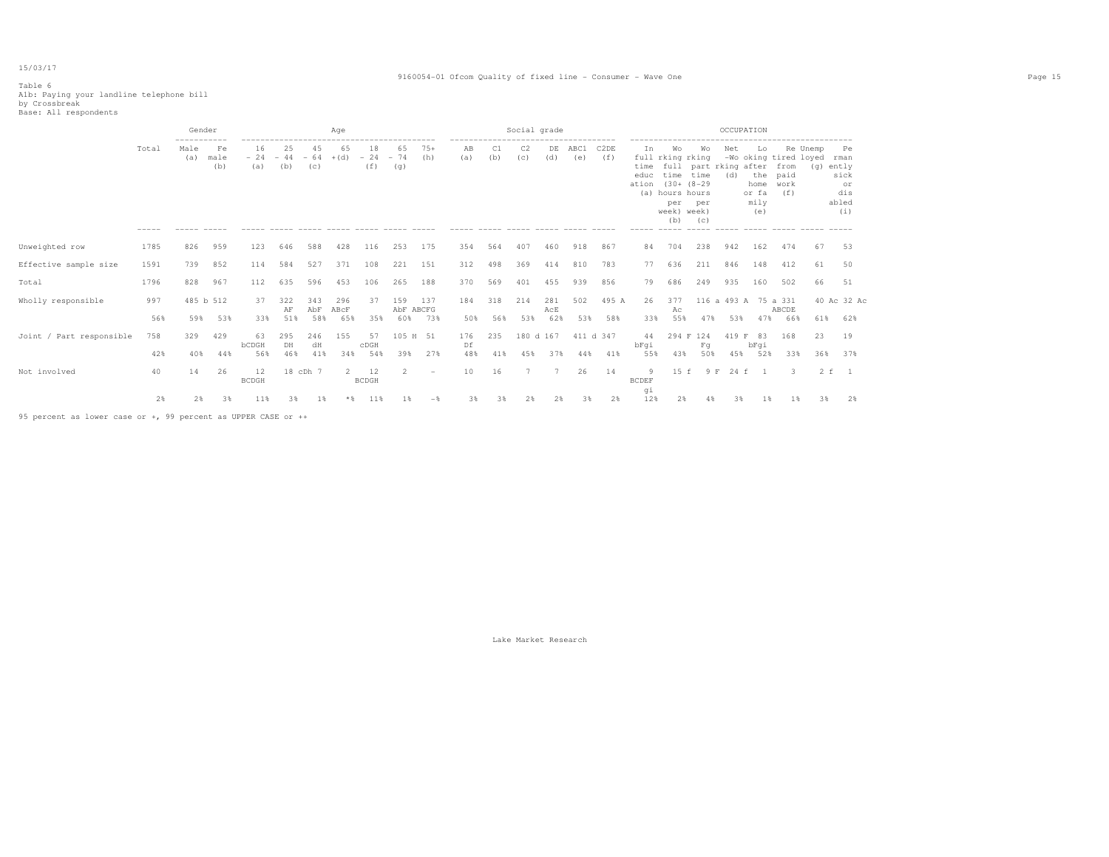#### 9160054-01 Ofcom Quality of fixed line - Consumer - Wave One Page 15

## Table 6 A1b: Paying your landline telephone bill by Crossbreak Base: All respondents

|                          |                      | Gender                     |                                    |                    |                    |                    | Age                |                                                       |                    |                                 |                                          |               | Social grade                    |                   |                                                       |                          |                              |                                                                                                         |                                           | OCCUPATION           |                                                                    |                             |                       |                                                 |
|--------------------------|----------------------|----------------------------|------------------------------------|--------------------|--------------------|--------------------|--------------------|-------------------------------------------------------|--------------------|---------------------------------|------------------------------------------|---------------|---------------------------------|-------------------|-------------------------------------------------------|--------------------------|------------------------------|---------------------------------------------------------------------------------------------------------|-------------------------------------------|----------------------|--------------------------------------------------------------------|-----------------------------|-----------------------|-------------------------------------------------|
|                          | Total<br>$- - - - -$ | -----------<br>Male<br>(a) | Fe<br>male<br>(b)<br>$- - - - - -$ | 16<br>$-24$<br>(a) | 25<br>$-44$<br>(b) | 45<br>$-64$<br>(c) | 65<br>$+(d)$       | 18<br>$-24$<br>(f)<br>------ ----- ------ ----- ----- | 65<br>$-74$<br>(q) | $75+$<br>(h)<br>$\cdots$        | ------------------<br>AB<br>(a)<br>----- | (b)<br>------ | C <sub>2</sub><br>(c)<br>______ | DE<br>(d)         | ---------------<br>ABC1<br>(e)<br>------ ------ ----- | C <sub>2</sub> DE<br>(f) | Ιn.<br>time<br>educ<br>ation | Wo<br>full rking rking<br>time time<br>$(30 + (8 - 29)$<br>(a) hours hours<br>per<br>week) week)<br>(b) | Wo<br>full part rking after<br>per<br>(C) | Net<br>(d)           | Lo<br>-Wo oking tired loyed<br>the<br>home<br>or fa<br>mily<br>(e) | from<br>paid<br>work<br>(f) | Re Unemp<br>(g) ently | Pe<br>rman<br>sick<br>or<br>dis<br>abled<br>(i) |
| Unweighted row           | 1785                 | 826                        | 959                                | 123                | 646                | 588                | 428                | 116                                                   | 253                | 175                             | 354                                      | 564           | 407                             | 460               | 918                                                   | 867                      | 84                           | 704                                                                                                     | 238                                       | 942                  | 162                                                                | 474                         | 67                    | 53                                              |
| Effective sample size    | 1591                 | 739                        | 852                                | 114                | 584                | 527                | 371                | 108                                                   | 221                | 151                             | 312                                      | 498           | 369                             | 414               | 810                                                   | 783                      | 77                           | 636                                                                                                     | 211                                       | 846                  | 148                                                                | 412                         | 61                    | 50                                              |
| Total                    | 1796                 | 828                        | 967                                | 112                | 635                | 596                | 453                | 106                                                   | 265                | 188                             | 370                                      | 569           | 401                             | 455               | 939                                                   | 856                      | 79                           | 686                                                                                                     | 249                                       | 935                  | 160                                                                | 502                         | 66                    | 51                                              |
| Wholly responsible       | 997                  | 59%                        | 485 b 512                          | 37                 | 322<br>AF          | 343<br>AbF<br>58%  | 296<br>ABCF<br>65% | -37                                                   | 159<br>AbF ABCFG   | 137<br>73%                      | 184                                      | 318           | 214                             | 281<br>AcE<br>62% | 502                                                   | 495 A                    | 26                           | 377<br>Aс<br>55%                                                                                        |                                           | 116 a 493 A 75 a 331 |                                                                    | ABCDE                       |                       | 40 Ac 32 Ac                                     |
| Joint / Part responsible | 56%<br>758           | 329                        | 53%<br>429                         | 33%<br>63<br>bCDGH | 51%<br>295         | 246                | 155                | 35%<br>57<br>cDGH                                     | 60%<br>105 H 51    |                                 | 50%<br>176<br>Df                         | 56%<br>235    | 53%<br>180 d 167                |                   | 53%                                                   | 58%<br>411 d 347         | 33%<br>44                    |                                                                                                         | 47%<br>294 F 124                          | 53%<br>419 F         | 47%<br>83                                                          | 66%<br>168                  | 61%<br>23             | 62%<br>19                                       |
|                          | 42%                  | 40%                        | 44%                                | 56%                | DH<br>46%          | dH<br>41%          | 34%                | 54%                                                   | 39%                | 27%                             | 48%                                      | 41%           | 45%                             | 37%               | 44%                                                   | 41%                      | bFqi<br>55%                  | 43%                                                                                                     | Fq<br>50%                                 | 45%                  | bFqi<br>52%                                                        | 33%                         |                       | 36% 37%                                         |
| Not involved             | 40                   | 14                         | 26                                 | 12<br><b>BCDGH</b> |                    | 18 cDh 7           | $2^{\circ}$        | 12<br><b>BCDGH</b>                                    | $\overline{2}$     | $\hspace{0.1mm}-\hspace{0.1mm}$ | 10                                       | 16            | $7\phantom{.0}$                 | 7                 | 26                                                    | 14                       | -9<br><b>BCDEF</b>           | 15 f                                                                                                    | 9 F                                       |                      | 24 f 1                                                             | 3                           |                       | 2 f 1                                           |
|                          | 2%                   | 2%                         | 3%                                 | 11%                | 38                 | 1 %                | $*$                | 11%                                                   | 1 %                | $-$                             | 3%                                       | 3%            | 2%                              | 2%                | 3%                                                    | 2%                       | qi<br>12%                    | 2%                                                                                                      |                                           | 3%                   | 1 %                                                                | 1 %                         | 3%                    | 2%                                              |

95 percent as lower case or +, 99 percent as UPPER CASE or ++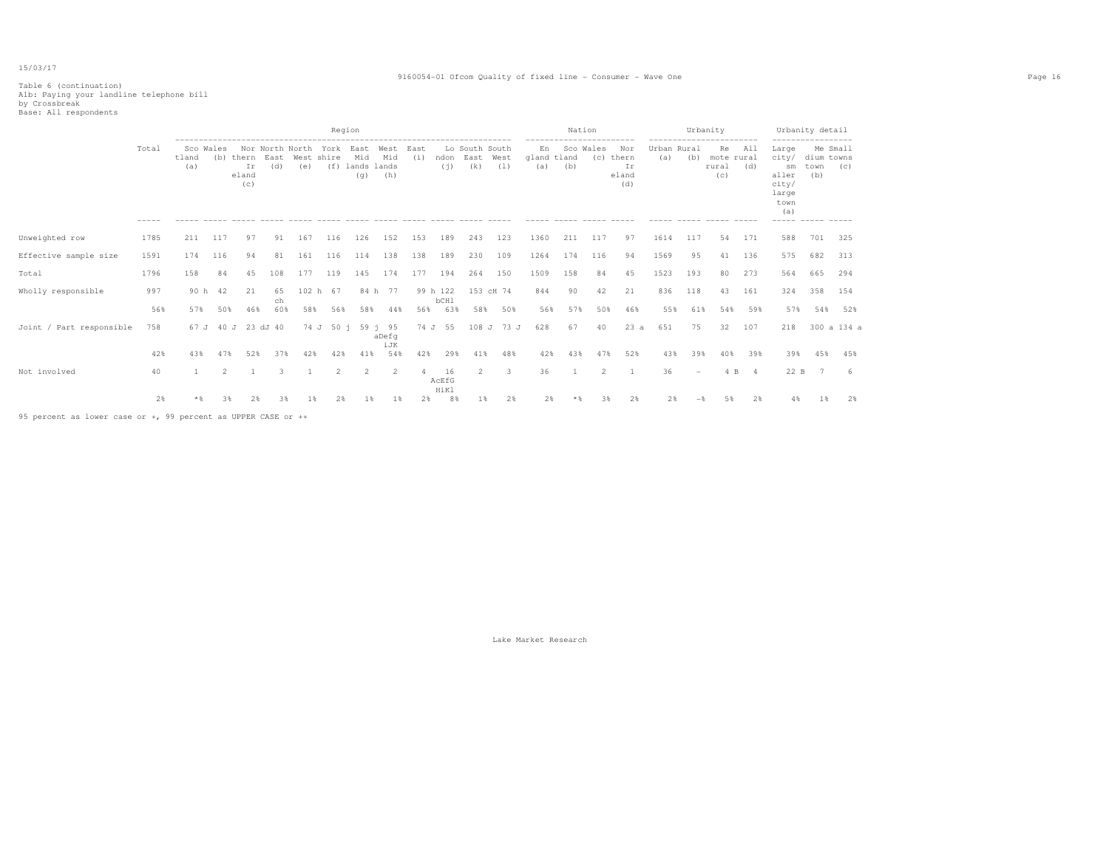#### 9160054-01 Ofcom Quality of fixed line - Consumer - Wave One Page 16

# Table 6 (continuation) A1b: Paying your landline telephone bill by Crossbreak Base: All respondents

|                          |                      |                           |             |                                 |              |                                                | Region                   |                               |                    |             |                     |                               |                   |                                         | Nation                                       |                |                                                                     |                    | Urbanity  |                                                             |                                                   |                                                                                                    | Urbanity detail           |                    |
|--------------------------|----------------------|---------------------------|-------------|---------------------------------|--------------|------------------------------------------------|--------------------------|-------------------------------|--------------------|-------------|---------------------|-------------------------------|-------------------|-----------------------------------------|----------------------------------------------|----------------|---------------------------------------------------------------------|--------------------|-----------|-------------------------------------------------------------|---------------------------------------------------|----------------------------------------------------------------------------------------------------|---------------------------|--------------------|
|                          | Total<br>$- - - - -$ | Sco Wales<br>tland<br>(a) |             | (b) thern<br>Ir<br>eland<br>(c) | East<br>(d)  | Nor North North York East<br>West shire<br>(e) |                          | Mid<br>(f) lands lands<br>(q) | West<br>Mid<br>(h) | East<br>(i) | ndon<br>(i)         | Lo South South<br>East<br>(k) | West<br>(1)       | En<br>gland tland<br>(a)<br>$- - - - -$ | ------------------------<br>Sco Wales<br>(b) | (c)            | Nor<br>thern<br>Ir<br>eland<br>(d)<br>$\cdots \cdots \cdots \cdots$ | Urban Rural<br>(a) | (b)       | -----------------------<br>Re<br>mote rural<br>rural<br>(C) | All<br>(d)<br>$\qquad \qquad - \qquad - \qquad -$ | -----------------<br>Large<br>city/<br>sm<br>aller<br>city/<br>large<br>town<br>(a)<br>$- - - - -$ | dium towns<br>town<br>(b) | Me Small<br>(C)    |
| Unweighted row           | 1785                 | 211                       | 117         | 97                              | 91           | 167                                            | 116                      | 126                           | 152                | 153         | 189                 | 243                           | 123               | 1360                                    | 211                                          | 117            | 97                                                                  | 1614               | 117       | 54                                                          | 171                                               | 588                                                                                                | 701                       | 325                |
| Effective sample size    | 1591                 | 174                       | 116         | 94                              | 81           | 161                                            | 116                      | 114                           | 138                | 138         | 189                 | 230                           | 109               | 1264                                    | 174                                          | 116            | 94                                                                  | 1569               | 95        | 41                                                          | 136                                               | 575                                                                                                | 682                       | 313                |
| Total                    | 1796                 | 158                       | 84          | 45                              | 108          | 177                                            | 119                      | 145                           | 174                | 177         | 194                 | 264                           | 150               | 1509                                    | 158                                          | 84             | 45                                                                  | 1523               | 193       | 80                                                          | 273                                               | 564                                                                                                | 665                       | 294                |
| Wholly responsible       | 997                  | 90 h                      | 42          | 21                              | 65<br>ch     |                                                | 102 h 67                 |                               | 84 h 77            |             | 99 h 122<br>bCH1    |                               | 153 cH 74         | 844                                     | 90                                           | 42             | 21                                                                  | 836                | 118       | 43                                                          | 161                                               | 324                                                                                                | 358                       | 154                |
| Joint / Part responsible | 56%<br>758           | 57%<br>67 J               | 50%<br>40 J | 46%<br>23                       | 60%<br>dJ 40 | 58%<br>74 J                                    | 56%<br>50 i              | 58%                           | 44%<br>59 i 95     | 56%<br>74 J | 63%<br>55           | 58%                           | 50%<br>108 J 73 J | 56%<br>628                              | 57%<br>67                                    | 50%<br>40      | 46%<br>23a                                                          | 55%<br>651         | 61%<br>75 | 54%<br>32                                                   | 59%<br>107                                        | 57%<br>218                                                                                         | 54%                       | 52%<br>300 a 134 a |
|                          |                      |                           |             |                                 |              |                                                |                          |                               | aDefq<br>iJK       |             |                     |                               |                   |                                         |                                              |                |                                                                     |                    |           |                                                             |                                                   |                                                                                                    |                           |                    |
|                          | 42%                  | 43%                       |             | 52%                             | 37%          | 42%                                            |                          | 41%                           | 54%                | 42%         | 29%                 | 41%                           | 48%               | 42%                                     | 43%                                          | 47%            | 52%                                                                 | 43%                | 39%       | 40%                                                         | 39%                                               | 39%                                                                                                | 45%                       | 45%                |
| Not involved             | 40                   |                           |             |                                 |              |                                                | $\mathfrak{D}_{1}^{(1)}$ | 2                             | 2                  |             | 16<br>AcEfG<br>HiKl | -2                            | 3                 | 36                                      |                                              | $\mathfrak{D}$ |                                                                     | 36                 |           | 4 B                                                         | $\overline{4}$                                    | 22 B                                                                                               |                           |                    |
|                          | 2%                   |                           |             |                                 |              |                                                |                          |                               |                    | 2%          | 8%                  |                               | 2%                | 2%                                      |                                              |                | 2%                                                                  |                    |           |                                                             | 2%                                                |                                                                                                    |                           | 2%                 |

95 percent as lower case or +, 99 percent as UPPER CASE or ++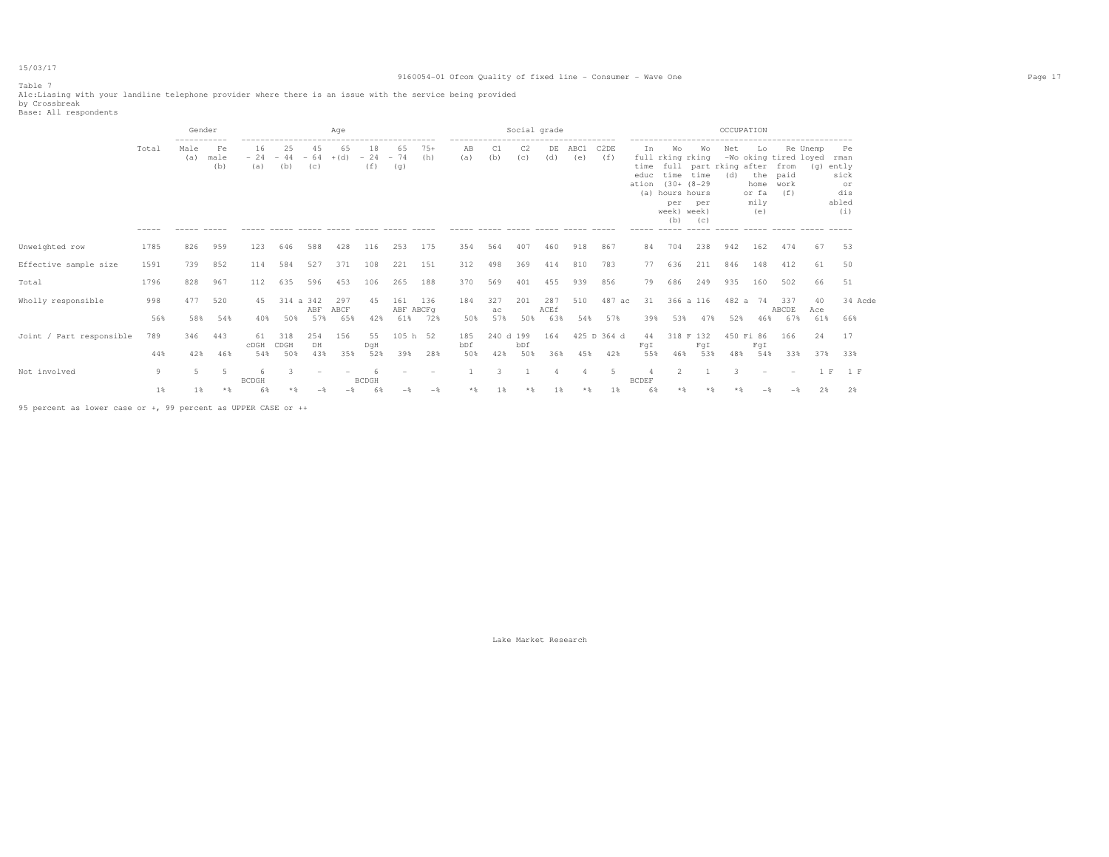#### 9160054-01 Ofcom Quality of fixed line - Consumer - Wave One Page 17

Table 7

Alc:Liasing with your landline telephone provider where there is an issue with the service being provided<br>by Crossbreak<br>Base: All respondents

|                          |                      | Gender                               |                                                    |                              |                         |            | Age                |                    |                                                             |              |                                                                   |                  | Social grade          |                    |                                       |                          |                                                 |                                                                                                                      |                                                   | OCCUPATION                                                               |                                    |                                                          |                  |                                                          |
|--------------------------|----------------------|--------------------------------------|----------------------------------------------------|------------------------------|-------------------------|------------|--------------------|--------------------|-------------------------------------------------------------|--------------|-------------------------------------------------------------------|------------------|-----------------------|--------------------|---------------------------------------|--------------------------|-------------------------------------------------|----------------------------------------------------------------------------------------------------------------------|---------------------------------------------------|--------------------------------------------------------------------------|------------------------------------|----------------------------------------------------------|------------------|----------------------------------------------------------|
|                          | Total<br>$- - - - -$ | -----------<br>Male<br>(a)<br>------ | Fe<br>male<br>(b)<br>$\cdots \cdots \cdots \cdots$ | 16<br>$-24$<br>(a)<br>------ | 25<br>$-44 - 64$<br>(b) | 45<br>(C)  | 65<br>$+(d)$       | 18<br>$-24$<br>(f) | 65<br>$-74$<br>(q)<br>----- ----- ----- ---- ---- ----- --- | $75+$<br>(h) | -------------------------------------<br>AB<br>(a)<br>------ ---- | C1<br>(b)        | C <sub>2</sub><br>(C) | DE<br>(d)          | ABC1<br>(e)<br>----- ----- ----- ---- | C <sub>2</sub> DE<br>(f) | In<br>time<br>educ<br>ation (30+ (8-29<br>----- | Wo<br>full rking rking<br>time time<br>(a) hours hours<br>per<br>week) week)<br>(b)<br>$\cdots \cdots \cdots \cdots$ | Wo<br>per<br>(C)<br>$\cdots \cdots \cdots \cdots$ | Net<br>full part rking after<br>(d)<br>----- ----- ----- ----- ---- ---- | Lo<br>home<br>or fa<br>mily<br>(e) | -Wo oking tired loyed<br>from<br>the paid<br>work<br>(f) | Re Unemp<br>(q)  | Pe<br>rman<br>ently<br>sick<br>or<br>dis<br>abled<br>(i) |
| Unweighted row           | 1785                 | 826                                  | 959                                                | 123                          | 646                     | 588        | 428                | 116                | 253                                                         | 175          | 354                                                               | 564              | 407                   | 460                | 918                                   | 867                      | 84                                              | 704                                                                                                                  | 238                                               | 942                                                                      | 162                                | 474                                                      | 67               | 53                                                       |
| Effective sample size    | 1591                 | 739                                  | 852                                                | 114                          | 584                     | 527        | 371                | 108                | 221                                                         | 151          | 312                                                               | 498              | 369                   | 414                | 810                                   | 783                      | 77                                              | 636                                                                                                                  | 211                                               | 846                                                                      | 148                                | 412                                                      | 61               | 50                                                       |
| Total                    | 1796                 | 828                                  | 967                                                | 112                          | 635                     | 596        | 453                | 106                | 265                                                         | 188          | 370                                                               | 569              | 401                   | 455                | 939                                   | 856                      | 79                                              | 686                                                                                                                  | 249                                               | 935                                                                      | 160                                | 502                                                      | 66               | 51                                                       |
| Wholly responsible       | 998<br>56%           | 477<br>58%                           | 520<br>54%                                         | 45<br>40%                    | 314 a 342<br>50%        | ABF<br>57% | 297<br>ABCF<br>65% | 45<br>42%          | 161<br>ABF ABCFq<br>61%                                     | 136<br>72%   | 184<br>50%                                                        | 327<br>ac<br>57% | 201<br>50%            | 287<br>ACEf<br>63% | 510<br>54%                            | 487 ac<br>57%            | 31<br>39%                                       | 53%                                                                                                                  | 366 a 116<br>47%                                  | 482 a<br>52%                                                             | 74<br>46%                          | 337<br>ABCDE<br>67%                                      | 40<br>Ace<br>61% | 34 Acde<br>66%                                           |
| Joint / Part responsible | 789                  | 346                                  | 443                                                | 61<br>cDGH                   | 318<br>CDGH             | 254<br>DH  | 156                | 55<br>DqH          | 105 h 52                                                    |              | 185<br>bDf                                                        | 240 d 199        | bDf                   | 164                |                                       | 425 D 364 d              | 44<br>FqI                                       |                                                                                                                      | 318 F 132<br>FqI                                  |                                                                          | 450 Fi 86<br>FqI                   | 166                                                      | 24               | 17                                                       |
|                          | 44%                  | 42%                                  | 46%                                                | 54%                          | 50%                     | 43%        | 35%                | 52%                | 39%                                                         | 28%          | 50%                                                               | 42%              | 50%                   | 36%                | 45%                                   | 42%                      | 55%                                             | 46%                                                                                                                  | 53%                                               | 48%                                                                      | 54%                                | 33%                                                      | 37%              | 33%                                                      |
| Not involved             | 9                    | 5                                    | -5                                                 | Б<br><b>BCDGH</b>            |                         |            |                    | <b>BCDGH</b>       |                                                             |              |                                                                   | 3                |                       |                    |                                       | 5                        | <b>BCDEF</b>                                    | $\overline{2}$                                                                                                       |                                                   |                                                                          |                                    |                                                          | 1 F              | 1 F                                                      |
|                          | 1%                   | 1 %                                  | **                                                 | 6%                           |                         | $ \ast$    | $-$                | 6%                 | $-$                                                         | $-$          |                                                                   | 1 %              |                       | $1\%$              |                                       | $1\%$                    | 6%                                              | **                                                                                                                   |                                                   |                                                                          | $-$                                | $-$                                                      | 2%               | 2%                                                       |

95 percent as lower case or +, 99 percent as UPPER CASE or ++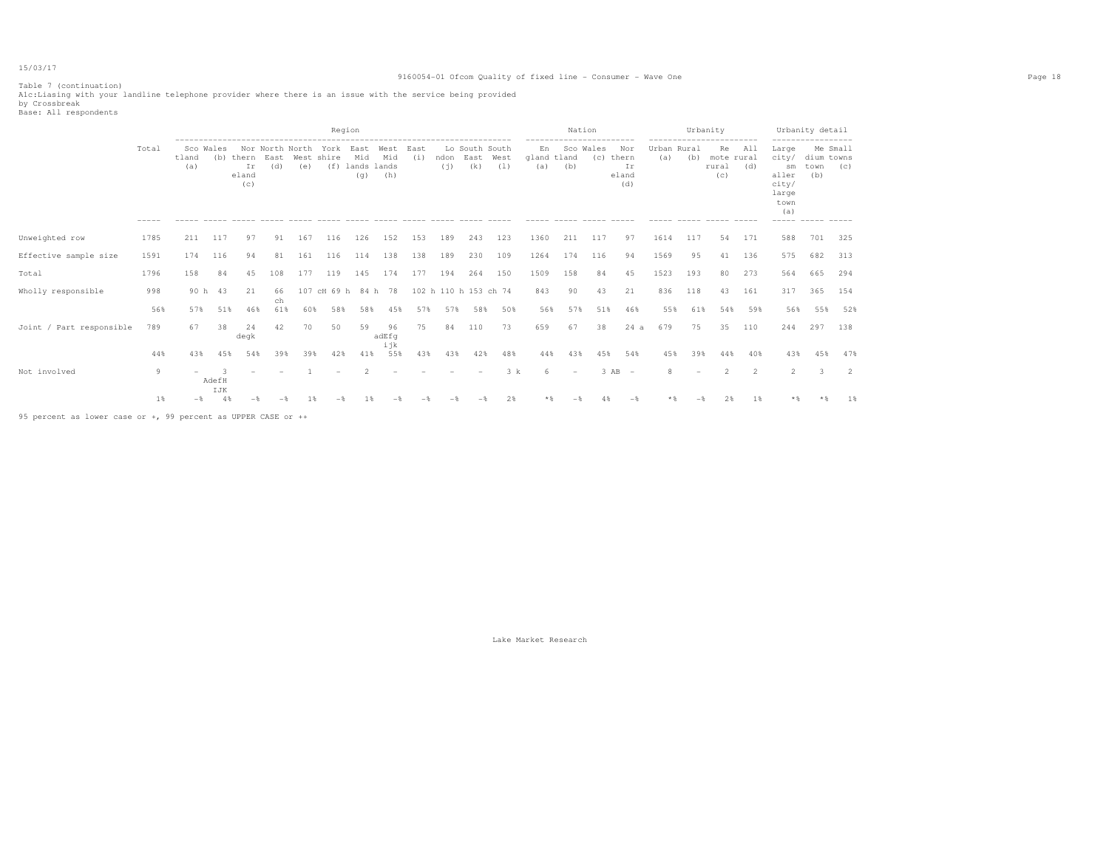#### 9160054-01 Ofcom Quality of fixed line - Consumer - Wave One Page 18

Table 7 (continuation) A1c:Liasing with your landline telephone provider where there is an issue with the service being provided by Crossbreak Base: All respondents

|                          |       |                          |           |                                 |                                |     | Region                  |                               |                    |             |             |                               |             |                          | Nation                                       |     |                                    |                    |     | Urbanity                                                     |            |                                                                                                     | Urbanity detail           |                 |
|--------------------------|-------|--------------------------|-----------|---------------------------------|--------------------------------|-----|-------------------------|-------------------------------|--------------------|-------------|-------------|-------------------------------|-------------|--------------------------|----------------------------------------------|-----|------------------------------------|--------------------|-----|--------------------------------------------------------------|------------|-----------------------------------------------------------------------------------------------------|---------------------------|-----------------|
|                          | Total | tland<br>(a)             | Sco Wales | (b) thern<br>Ir<br>eland<br>(c) | Nor North North<br>East<br>(d) | (e) | York East<br>West shire | Mid<br>(f) lands lands<br>(q) | West<br>Mid<br>(h) | East<br>(i) | ndon<br>(i) | Lo South South<br>East<br>(k) | West<br>(1) | En<br>gland tland<br>(a) | ------------------------<br>Sco Wales<br>(b) | (C) | Nor<br>thern<br>Ir<br>eland<br>(d) | Urban Rural<br>(a) | (b) | ------------------------<br>Re<br>mote rural<br>rural<br>(C) | All<br>(d) | ------------------<br>Large<br>city/<br>sm<br>aller<br>city/<br>large<br>town<br>(a)<br>$- - - - -$ | dium towns<br>town<br>(b) | Me Small<br>(C) |
| Unweighted row           | 1785  | 211                      | 117       | 97                              | 91                             | 167 | 116                     | 126                           | 152                | 153         | 189         | 243                           | 123         | 1360                     | 211                                          | 117 | 97                                 | 1614               | 117 | 54                                                           | 171        | 588                                                                                                 | 701                       | 325             |
| Effective sample size    | 1591  | 174                      | 116       | 94                              | 81                             | 161 | 116                     | 114                           | 138                | 138         | 189         | 230                           | 109         | 1264                     | 174                                          | 116 | 94                                 | 1569               | 95  | 41                                                           | 136        | 575                                                                                                 | 682                       | 313             |
| Total                    | 1796  | 158                      | 84        | 45                              | 108                            | 177 | 119                     | 145                           | 174                | 177         | 194         | 264                           | 150         | 1509                     | 158                                          | 84  | 45                                 | 1523               | 193 | 80                                                           | 273        | 564                                                                                                 | 665                       | 294             |
| Wholly responsible       | 998   |                          | 90 h 43   | 21                              | 66<br>ch                       |     | 107 cH 69 h 84 h 78     |                               |                    |             |             | 102 h 110 h 153 ch 74         |             | 843                      | 90                                           | 43  | 21                                 | 836                | 118 | 43                                                           | 161        | 317                                                                                                 | 365                       | 154             |
|                          | 56%   | 57%                      | 51%       | 46%                             | 61%                            | 60% | 58%                     | 58%                           | 45%                | 57%         | 57%         | 58%                           | 50%         | 56%                      | 57%                                          | 51% | 46%                                | 55%                | 61% | 54%                                                          | 59%        | 56%                                                                                                 | 55%                       | 52%             |
| Joint / Part responsible | 789   | 67                       | 38        | 24<br>degk                      | 42                             | 70  | 50                      | 59                            | 96<br>adEfq        | 75          | 84          | 110                           | 73          | 659                      | 67                                           | 38  | 24a                                | 679                | 75  | 35                                                           | 110        | 244                                                                                                 | 297                       | 138             |
|                          | 44%   | 43%                      | 45%       | 54%                             | 39%                            | 39% | 42%                     | 41%                           | ijk<br>55%         | 43%         | 43%         | 42%                           | 48%         | 44%                      | 43%                                          | 45% | 54%                                | 45%                | 39% | 44%                                                          | 40%        | 43%                                                                                                 | 45%                       | 47%             |
| Not involved             | 9     | $\overline{\phantom{a}}$ | AdefH     |                                 |                                |     |                         |                               |                    |             |             |                               | 3 k         | 6                        | $\sim$                                       |     | $3$ AB $-$                         | 8                  |     |                                                              | 2          | $\mathcal{L}$                                                                                       | 3                         | 2               |
|                          | $1\%$ | $-$                      | IJK<br>4% |                                 |                                |     |                         |                               |                    |             |             |                               | 2%          |                          |                                              |     | $-$                                |                    |     | 2%                                                           | 1 %        |                                                                                                     |                           | 1%              |

95 percent as lower case or +, 99 percent as UPPER CASE or ++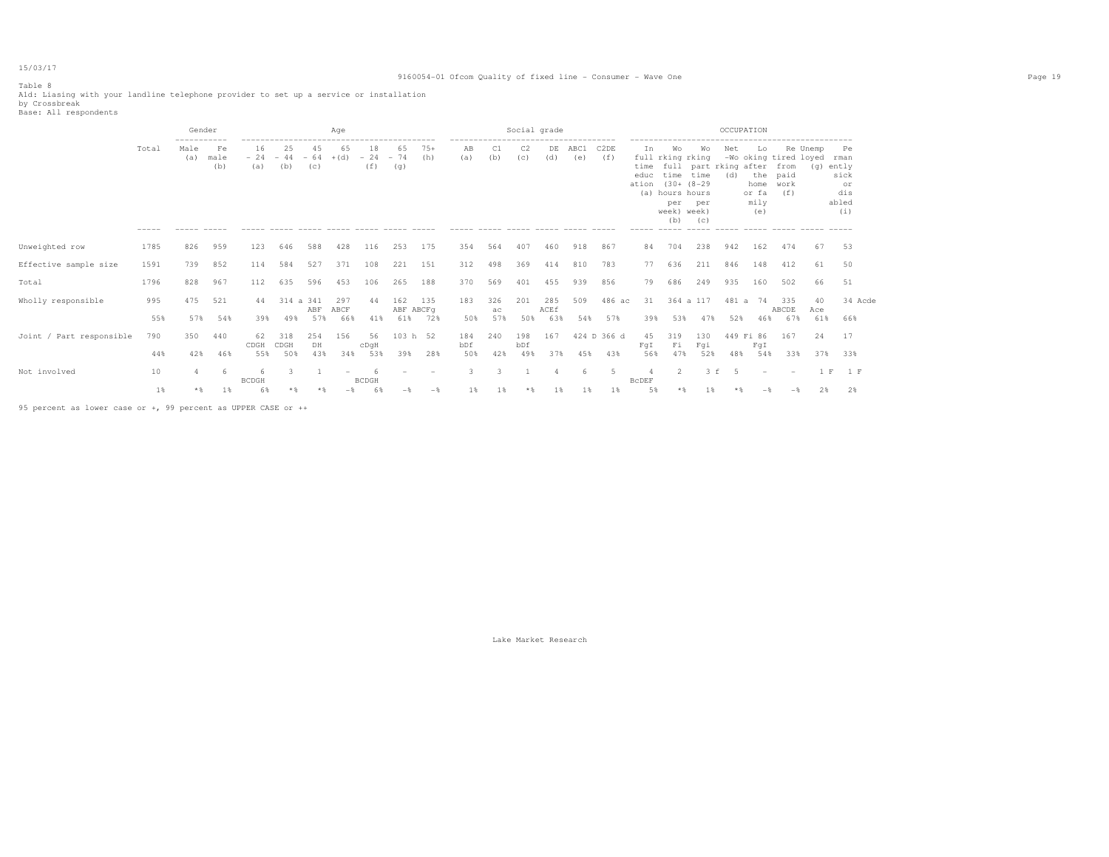### Table 8

#### 9160054-01 Ofcom Quality of fixed line - Consumer - Wave One Page 19

Ald: Liasing with your landline telephone provider to set up a service or installation<br>by Crossbreak<br>Base: All respondents

|                          |                      | Gender                                     |                   |                    |                    |                    | Aqe          |                    |                          |              |            |           |                       | Social grade |                |                          |                              |                                                                                                        |                                           | OCCUPATION |                                            |                                                      |                 |                                                          |
|--------------------------|----------------------|--------------------------------------------|-------------------|--------------------|--------------------|--------------------|--------------|--------------------|--------------------------|--------------|------------|-----------|-----------------------|--------------|----------------|--------------------------|------------------------------|--------------------------------------------------------------------------------------------------------|-------------------------------------------|------------|--------------------------------------------|------------------------------------------------------|-----------------|----------------------------------------------------------|
|                          | Total<br>$- - - - -$ | -----------<br>Male<br>(a)<br>------ ----- | Fe<br>male<br>(b) | 16<br>$-24$<br>(a) | 25<br>$-44$<br>(b) | 45<br>$-64$<br>(C) | 65<br>$+(d)$ | 18<br>$-24$<br>(f) | 65<br>$-74$<br>(q)       | $75+$<br>(h) | AB<br>(a)  | C1<br>(b) | C <sub>2</sub><br>(C) | DE<br>(d)    | ABC1<br>(e)    | C <sub>2</sub> DE<br>(f) | In.<br>time<br>educ<br>ation | Wo<br>full rking rking<br>time time<br>$(30 + (8 - 29$<br>(a) hours hours<br>per<br>week) week)<br>(b) | Wo<br>full part rking after<br>per<br>(C) | Net<br>(d) | Lo.<br>the<br>home<br>or fa<br>mily<br>(e) | -Wo oking tired loyed<br>from<br>paid<br>work<br>(f) | Re Unemp<br>(q) | Pe<br>rman<br>ently<br>sick<br>or<br>dis<br>abled<br>(i) |
| Unweighted row           | 1785                 | 826                                        | 959               | 123                | 646                | 588                | 428          | 116                | 253                      | 175          | 354        | 564       | 407                   | 460          | 918            | 867                      | 84                           | 704                                                                                                    | 238                                       | 942        | 162                                        | 474                                                  | 67              | 53                                                       |
| Effective sample size    | 1591                 | 739                                        | 852               | 114                | 584                | 527                | 371          | 108                | 221                      | 151          | 312        | 498       | 369                   | 414          | 810            | 783                      | 77                           | 636                                                                                                    | 211                                       | 846        | 148                                        | 412                                                  | 61              | 50                                                       |
| Total                    | 1796                 | 828                                        | 967               | 112                | 635                | 596                | 453          | 106                | 265                      | 188          | 370        | 569       | 401                   | 455          | 939            | 856                      | 79                           | 686                                                                                                    | 249                                       | 935        | 160                                        | 502                                                  | 66              | 51                                                       |
| Wholly responsible       | 995                  | 475                                        | 521               | 44                 | 314 a 341          | ABF                | 297<br>ABCF  | 44                 | 162<br>ABF ABCFq         | 135          | 183        | 326<br>ac | 201                   | 285<br>ACEf  | 509            | 486 ac                   | 31                           |                                                                                                        | 364 a 117                                 | 481 a      | 74                                         | 335<br>ABCDE                                         | 40<br>Ace       | 34 Acde                                                  |
|                          | 55%                  | 57%                                        | 54%               | 39%                | 49%                | 57%                | 66%          | 41%                | 61%                      | 72%          | 50%        | 57%       | 50%                   | 63%          | 54%            | 57%                      | 39%                          | 53%                                                                                                    | 47%                                       | 52%        | 46%                                        | 67%                                                  | 61%             | 66%                                                      |
| Joint / Part responsible | 790                  | 350                                        | 440               | 62<br>CDGH         | 318<br>CDGH        | 254<br>DH          | 156          | 56<br>cDqH         | 103 h 52                 |              | 184<br>bDf | 240       | 198<br>bDf            | 167          |                | 424 D 366 d              | 45<br>FqI                    | 319<br>Fi                                                                                              | 130<br>Fqi                                | 449 Fi 86  | FqI                                        | 167                                                  | 24              | 17                                                       |
|                          | 44%                  | 42%                                        | 46%               | 55%                | 50%                | 43%                | 34%          | 53%                | 39%                      | 28%          | 50%        | 42%       | 49%                   | 37%          | 45%            | 43%                      | 56%                          | 47%                                                                                                    | 52%                                       | 48%        | 54%                                        | 33%                                                  | 37%             | 33%                                                      |
| Not involved             | 10                   | 4                                          | -6                | 6.<br><b>BCDGH</b> | 3.                 |                    | $\sim$       | -6<br><b>BCDGH</b> | $\overline{\phantom{a}}$ |              | 3          | 3.        |                       |              | 6              | 5                        | <b>BCDEF</b>                 | $\overline{2}$                                                                                         | $3-f$                                     | -5         | $\overline{\phantom{0}}$                   | $\overline{\phantom{a}}$                             | 1 F             | 1 F                                                      |
|                          | 1%                   |                                            | 1 %               | 6%                 |                    |                    |              |                    |                          |              | 1%         | 1 %       |                       |              | 1 <sup>8</sup> | $1\%$                    | 5%                           |                                                                                                        |                                           |            |                                            |                                                      |                 | 2%                                                       |

95 percent as lower case or +, 99 percent as UPPER CASE or ++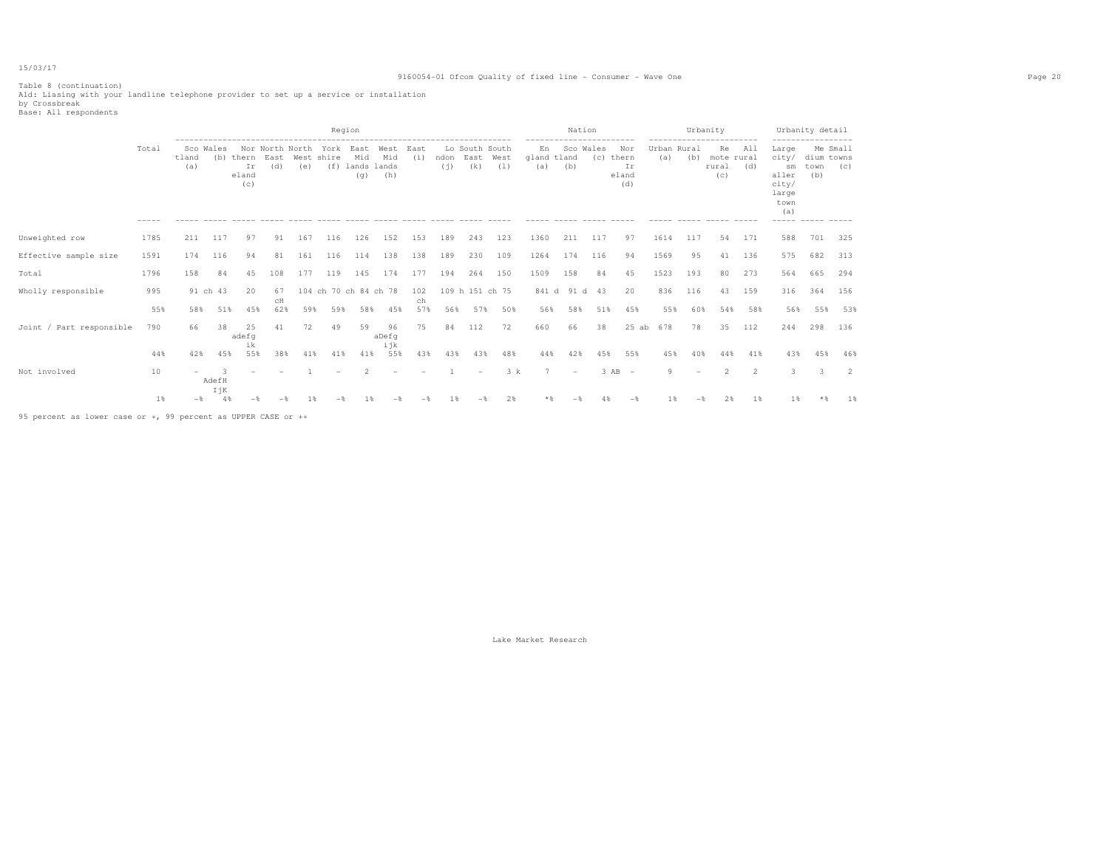Table 8 (continuation) A1d: Liasing with your landline telephone provider to set up a service or installation by Crossbreak Base: All respondents

|                                                               |       |              |                   |                             |             |                |                   | Region                                                      |             |             |     |                                    |             |                          | Nation                                       |     |                                        |                    |        | Urbanity                                                     |            |                                                                                               | Urbanity detail           |                 |
|---------------------------------------------------------------|-------|--------------|-------------------|-----------------------------|-------------|----------------|-------------------|-------------------------------------------------------------|-------------|-------------|-----|------------------------------------|-------------|--------------------------|----------------------------------------------|-----|----------------------------------------|--------------------|--------|--------------------------------------------------------------|------------|-----------------------------------------------------------------------------------------------|---------------------------|-----------------|
|                                                               | Total | tland<br>(a) | Sco Wales<br>(b)  | thern<br>Ir<br>eland<br>(C) | East<br>(d) | (e)            | West shire<br>(f) | Nor North North York East West<br>Mid<br>lands lands<br>(q) | Mid<br>(h)  | East<br>(i) | (i) | Lo South South<br>ndon East<br>(k) | West<br>(1) | En<br>gland tland<br>(a) | ------------------------<br>Sco Wales<br>(b) |     | Nor<br>(c) thern<br>Ir<br>eland<br>(d) | Urban Rural<br>(a) | (b)    | ------------------------<br>Re<br>mote rural<br>rural<br>(C) | All<br>(d) | ------------------<br>Large<br>city/<br>sm<br>aller<br>city/<br>large<br>town<br>(a)<br>----- | dium towns<br>town<br>(b) | Me Small<br>(C) |
| Unweighted row                                                | 1785  | 211          | 117               | 97                          | 91          | 167            | 116               | 126                                                         | 152         | 153         | 189 | 243                                | 123         | 1360                     | 211                                          | 117 | 97                                     | 1614               | 117    | 54                                                           | 171        | 588                                                                                           | 701                       | 325             |
| Effective sample size                                         | 1591  | 174          | 116               | 94                          | 81          | 161            | 116               | 114                                                         | 138         | 138         | 189 | 230                                | 109         | 1264                     | 174                                          | 116 | 94                                     | 1569               | 95     | 41                                                           | 136        | 575                                                                                           | 682                       | 313             |
| Total                                                         | 1796  | 158          | 84                | 45                          | 108         | 177            | 119               | 145                                                         | 174         | 177         | 194 | 264                                | 150         | 1509                     | 158                                          | 84  | 45                                     | 1523               | 193    | 80                                                           | 273        | 564                                                                                           | 665                       | 294             |
| Wholly responsible                                            | 995   |              | 91 ch 43          | 20                          | 67<br>CH    |                |                   | 104 ch 70 ch 84 ch 78                                       |             | 102<br>ch   |     | 109 h 151 ch 75                    |             |                          | 841 d 91 d 43                                |     | 20                                     | 836                | 116    | 43                                                           | 159        | 316                                                                                           | 364                       | 156             |
|                                                               | 55%   | 58%          | 51%               | 45%                         | 62%         | 59%            | 59%               | 58%                                                         | 45%         | 57%         | 56% | 57%                                | 50%         | 56%                      | 58%                                          | 51% | 45%                                    | 55%                | 60%    | 54%                                                          | 58%        | 56%                                                                                           | 55%                       | 53%             |
| Joint / Part responsible                                      | 790   | 66           | 38                | 2.5<br>adefq                | 41          | 72             | 49                | 59                                                          | 96<br>aDefq | 75          | 84  | 112                                | 72          | 660                      | 66                                           | 38  | $25$ ab                                | 678                | 78     | 35                                                           | 112        | 244                                                                                           | 298                       | 136             |
|                                                               | 44%   | 42%          | 45%               | ik<br>55%                   | 38%         | 41%            | 41%               | 41%                                                         | ijk<br>55%  | 43%         | 43% | 43%                                | 48%         | 44%                      | 42%                                          | 45% | 55%                                    | 45%                | 40%    | 44%                                                          | 41%        | 43%                                                                                           | 45%                       | 46%             |
| Not involved                                                  | 10    | -            | 3<br>AdefH<br>IjK |                             |             |                |                   |                                                             |             |             |     | $\overline{\phantom{a}}$           | 3 k         |                          | $\overline{\phantom{a}}$                     |     | 3 AB<br>$\overline{\phantom{a}}$       | 9                  | $\sim$ | 2                                                            | 2          | $\mathcal{R}$                                                                                 | $\mathcal{R}$             | $\mathcal{L}$   |
|                                                               | 1%    | $-$ %        | 4%                |                             |             | 1 <sup>8</sup> |                   |                                                             |             |             |     |                                    | 2%          | $*$ &                    |                                              |     | $-$                                    | 18                 |        | 2%                                                           | 1%         | $1\%$                                                                                         |                           | 1%              |
| 95 percent as lower case or +, 99 percent as UPPER CASE or ++ |       |              |                   |                             |             |                |                   |                                                             |             |             |     |                                    |             |                          |                                              |     |                                        |                    |        |                                                              |            |                                                                                               |                           |                 |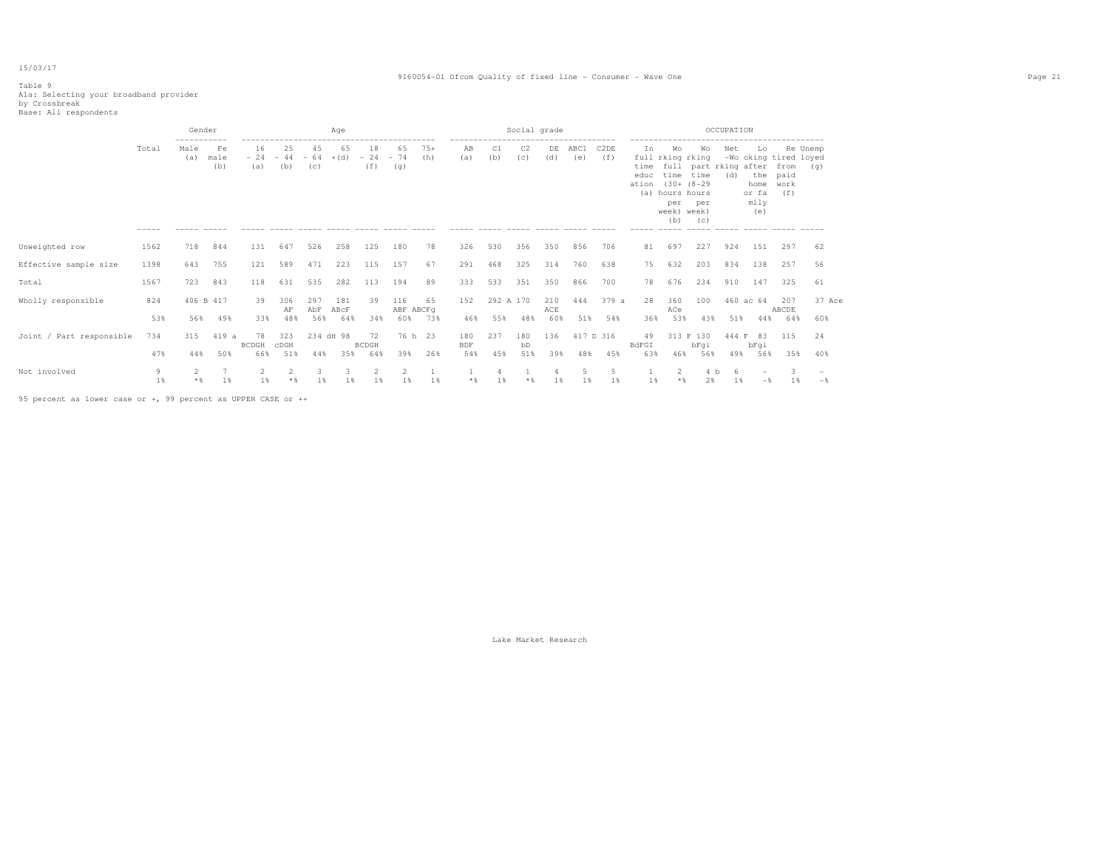#### 9160054-01 Ofcom Quality of fixed line - Consumer - Wave One Page 21

### Table 9

A1a: Selecting your broadband provider by Crossbreak Base: All respondents

|                          |                      | Gender                |                                                    |                              |                    |                          | Age                |                                                            |                         |              |                                                                                              |                  | Social grade          |                   |             |                  |                             |                                                                                                        |                                           | OCCUPATION   |                                                                    |                             |                 |  |
|--------------------------|----------------------|-----------------------|----------------------------------------------------|------------------------------|--------------------|--------------------------|--------------------|------------------------------------------------------------|-------------------------|--------------|----------------------------------------------------------------------------------------------|------------------|-----------------------|-------------------|-------------|------------------|-----------------------------|--------------------------------------------------------------------------------------------------------|-------------------------------------------|--------------|--------------------------------------------------------------------|-----------------------------|-----------------|--|
|                          | Total<br>$- - - - -$ | ------<br>Male<br>(a) | Fe<br>male<br>(b)<br>$\cdots \cdots \cdots \cdots$ | 16<br>$-24$<br>(a)<br>------ | 25<br>$-44$<br>(b) | 45<br>$-64 + (d)$<br>(C) | 65                 | 18<br>$-24$<br>(f)<br>------ ----- ----- ----- ----- ----- | 65<br>$-74$<br>(q)      | $75+$<br>(h) | -------------------------------------<br>ΆB<br>(a)<br>----- ----- ----- ---- ---- ----- ---- | C1<br>(b)        | C <sub>2</sub><br>(c) | DE<br>(d)         | ABC1<br>(e) | C2DE<br>(f)      | In<br>time<br>educ<br>ation | Wо<br>full rking rking<br>time time<br>$(30 + (8 - 29$<br>(a) hours hours<br>per<br>week) week)<br>(b) | Wо<br>full part rking after<br>per<br>(C) | Net<br>(d)   | Lo<br>-Wo oking tired loyed<br>the<br>home<br>or fa<br>mily<br>(e) | from<br>paid<br>work<br>(f) | Re Unemp<br>(q) |  |
| Unweighted row           | 1562                 | 718                   | 844                                                | 131                          | 647                | 526                      | 258                | 125                                                        | 180                     | 78           | 326                                                                                          | 530              | 356                   | 350               | 856         | 706              | 81                          | 697                                                                                                    | 227                                       | 924          | 151                                                                | 297                         | 62              |  |
| Effective sample size    | 1398                 | 643                   | 755                                                | 121                          | 589                | 471                      | 223                | 115                                                        | 157                     | 67           | 291                                                                                          | 468              | 325                   | 314               | 760         | 638              | 75                          | 632                                                                                                    | 203                                       | 834          | 138                                                                | 257                         | 56              |  |
| Total                    | 1567                 | 723                   | 843                                                | 118                          | 631                | 535                      | 282                | 113                                                        | 194                     | 89           | 333                                                                                          | 533              | 351                   | 350               | 866         | 700              | 78                          | 676                                                                                                    | 234                                       | 910          | 147                                                                | 325                         | 61              |  |
| Wholly responsible       | 824<br>53%           | 406 B 417<br>56%      | 49%                                                | 39<br>33%                    | 306<br>AF<br>48%   | 297<br>AbF<br>56%        | 181<br>ABCF<br>64% | 39<br>34%                                                  | 116<br>ABF ABCFq<br>60% | 65<br>73%    | 152<br>46%                                                                                   | 292 A 170<br>55% | 48%                   | 210<br>ACE<br>60% | 444<br>51%  | 379 a<br>54%     | 28<br>36%                   | 360<br>ACe<br>53%                                                                                      | 100<br>43%                                | 51%          | 460 ac 64<br>44%                                                   | 207<br>ABCDE<br>64%         | 37 Ace<br>60%   |  |
| Joint / Part responsible | 734<br>47%           | 315<br>44%            | 419 a<br>50%                                       | 78<br><b>BCDGH</b><br>66%    | 323<br>CDGH<br>51% | 234 dH 98<br>44%         | 35%                | 72<br><b>BCDGH</b><br>64%                                  | 76 h 23<br>39%          | 26%          | 180<br><b>BDF</b><br>54%                                                                     | 237<br>45%       | 180<br>bD<br>51%      | 136<br>39%        | 48%         | 417 D 316<br>45% | 49<br>BdFGI<br>63%          | 46%                                                                                                    | 313 F 130<br>bFqi<br>56%                  | 444 F<br>49% | 83<br>bFqi<br>56%                                                  | 115<br>35%                  | 24<br>40%       |  |
| Not involved             | 9<br>1%              | 2<br>$*$              | 1%                                                 | 2<br>1%                      | $*$ &              | $1\%$                    | $1\%$              | 2<br>1%                                                    | 1%                      | 1%           | $*$ &                                                                                        | 1%               | $*$ &                 | 1%                | 5<br>1 %    | $1\%$            | 1%                          | 2<br>$*$ &                                                                                             | 4 b<br>2%                                 | -6<br>1%     | $-$                                                                | 3<br>18                     | $-\frac{6}{5}$  |  |

95 percent as lower case or +, 99 percent as UPPER CASE or ++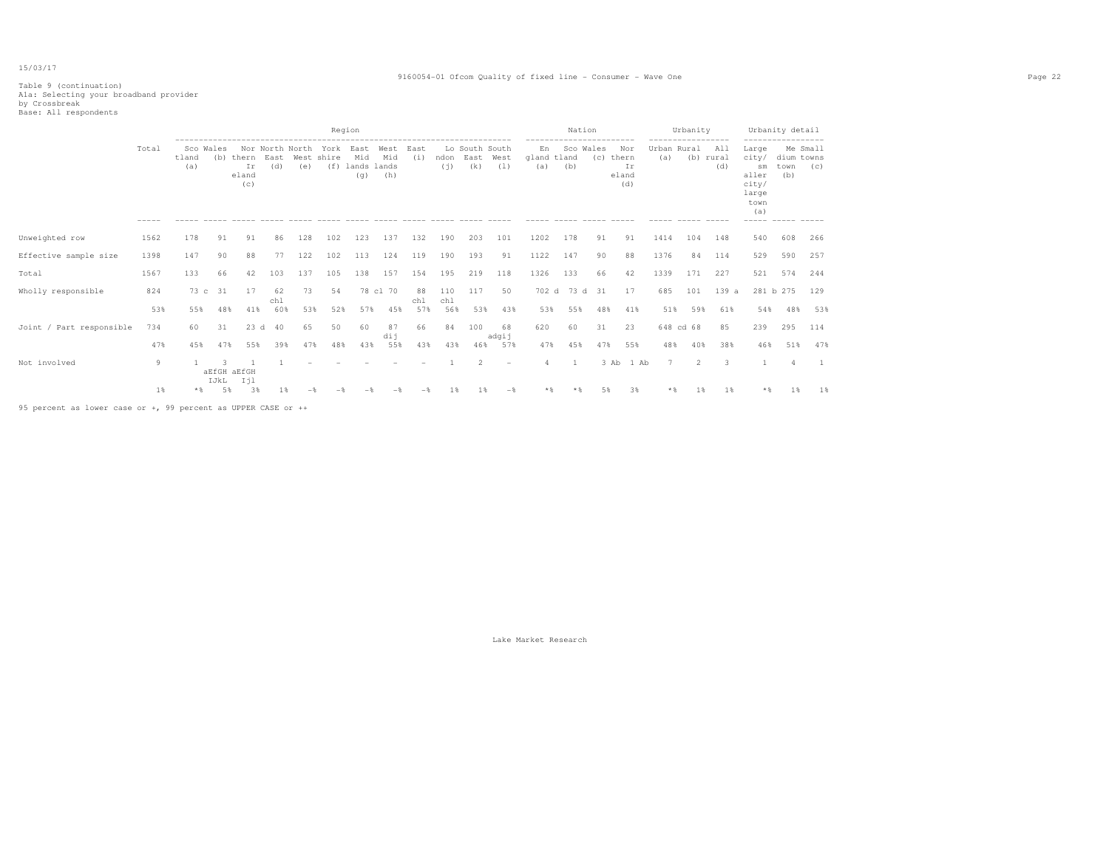#### 9160054-01 Ofcom Quality of fixed line - Consumer - Wave One Page 22

# Table 9 (continuation) A1a: Selecting your broadband provider by Crossbreak Base: All respondents

|                          |                      |                           |         |                                 |             |     |                                         | Region                        |                    |             |            |                                    |                |                                                     | Nation        |                       |                                                   |                                         | Urbanity    |                         |                                                                | Urbanity detail                                                       |                 |
|--------------------------|----------------------|---------------------------|---------|---------------------------------|-------------|-----|-----------------------------------------|-------------------------------|--------------------|-------------|------------|------------------------------------|----------------|-----------------------------------------------------|---------------|-----------------------|---------------------------------------------------|-----------------------------------------|-------------|-------------------------|----------------------------------------------------------------|-----------------------------------------------------------------------|-----------------|
|                          | Total<br>$- - - - -$ | Sco Wales<br>tland<br>(a) |         | (b) thern<br>Ir<br>eland<br>(c) | East<br>(d) | (e) | Nor North North York East<br>West shire | Mid<br>(f) lands lands<br>(q) | West<br>Mid<br>(h) | East<br>(i) | (i)        | Lo South South<br>ndon East<br>(k) | West<br>(1)    | -----------<br>En<br>gland tland<br>(a)<br>$------$ | (b)           | .<br>Sco Wales<br>(C) | Nor<br>thern<br>Ir<br>eland<br>(d)<br>$- - - - -$ | -----------------<br>Urban Rural<br>(a) | ------ ---- | All<br>(b) rural<br>(d) | Large<br>city/<br>sm<br>aller<br>city/<br>large<br>town<br>(a) | ------------------<br>dium towns<br>town<br>(b)<br>------ ----- ----- | Me Small<br>(C) |
| Unweighted row           | 1562                 | 178                       | 91      | 91                              | 86          | 128 | 102                                     | 123                           | 137                | 132         | 190        | 203                                | 101            | 1202                                                | 178           | 91                    | 91                                                | 1414                                    | 104         | 148                     | 540                                                            | 608                                                                   | 266             |
| Effective sample size    | 1398                 | 147                       | 90      | 88                              | 77          | 122 | 102                                     | 113                           | 124                | 119         | 190        | 193                                | 91             | 1122                                                | 147           | 90                    | 88                                                | 1376                                    | 84          | 114                     | 529                                                            | 590                                                                   | 257             |
| Total                    | 1567                 | 133                       | 66      | 42                              | 103         | 137 | 105                                     | 138                           | 157                | 154         | 195        | 219                                | 118            | 1326                                                | 133           | 66                    | 42                                                | 1339                                    | 171         | 227                     | 521                                                            | 574                                                                   | 244             |
| Wholly responsible       | 824                  |                           | 73 c 31 | 17                              | 62<br>chl   | 73  | 54                                      |                               | 78 cl 70           | 88<br>chl   | 110<br>chl | 117                                | 50             |                                                     | 702 d 73 d 31 |                       | 17                                                | 685                                     | 101         | 139 a                   |                                                                | 281 b 275                                                             | 129             |
|                          | 53%                  | 55%                       | 48%     | 41%                             | 60%         | 53% | 52%                                     | 57%                           | 45%                | 57%         | 56%        | 53%                                | 43%            | 53%                                                 | 55%           | 48%                   | 41%                                               | 51%                                     | 59%         | 61%                     | 54%                                                            | 48%                                                                   | 53%             |
| Joint / Part responsible | 734                  | 60                        | 31      | 23d                             | 40          | 65  | 50                                      | 60                            | 87<br>dij          | 66          | 84         | 100                                | 68<br>adgij    | 620                                                 | 60            | 31                    | 23                                                |                                         | 648 cd 68   | 85                      | 239                                                            | 295                                                                   | 114             |
|                          | 47%                  | 45%                       | 47%     | 55%                             | 39%         | 47% | 48%                                     | 43%                           | 55%                | 43%         | 43%        | 46%                                | 57%            | 47%                                                 | 45%           | 47%                   | 55%                                               | 48%                                     | 40%         | 38%                     | 46%                                                            | 51%                                                                   | 47%             |
| Not involved             | 9                    |                           | IJkL    | <b>aEfGH aEfGH</b><br>Ijl       |             |     |                                         |                               |                    |             |            |                                    |                |                                                     |               |                       | 3 Ab 1 Ab                                         | $\overline{7}$                          | 2           |                         |                                                                |                                                                       |                 |
|                          | $1\%$                | $*$                       | 5%      | 3%                              | 1 %         |     |                                         |                               |                    |             | 1 %        | 1 %                                | $-\frac{6}{2}$ | $*$                                                 | $*$ &         | 5%                    | 3%                                                | $*$ &                                   | 1 %         | 1 %                     | $*$ &                                                          | 1 %                                                                   | 1%              |
|                          |                      |                           |         |                                 |             |     |                                         |                               |                    |             |            |                                    |                |                                                     |               |                       |                                                   |                                         |             |                         |                                                                |                                                                       |                 |

95 percent as lower case or +, 99 percent as UPPER CASE or ++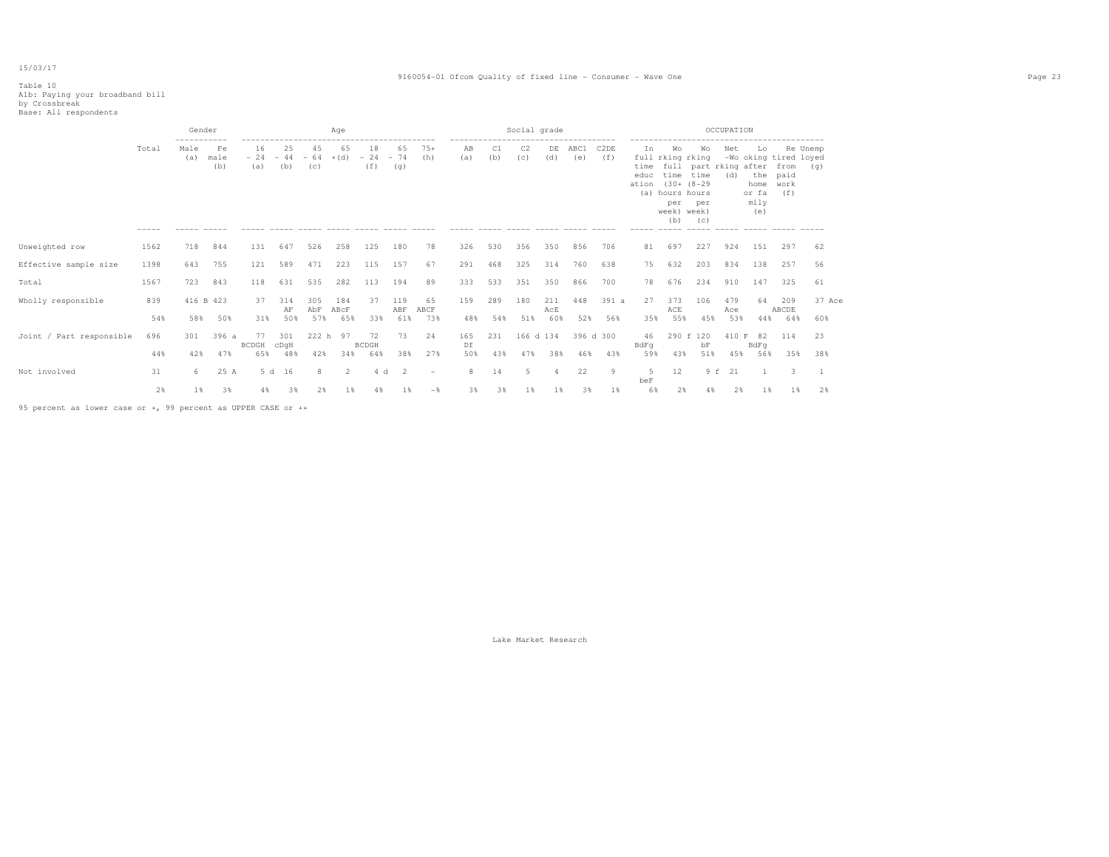#### 9160054-01 Ofcom Quality of fixed line - Consumer - Wave One Page 23

# Table 10 A1b: Paying your broadband bill by Crossbreak Base: All respondents

|                          |                      | Gender           |                   |                    |                    |                    | Aqe                |                    |                    |                          |            |            | Social grade          |                   |             |                          |                                  |                                                                                                                                         |                                           | OCCUPATION        |                                           |                                                      |                 |  |
|--------------------------|----------------------|------------------|-------------------|--------------------|--------------------|--------------------|--------------------|--------------------|--------------------|--------------------------|------------|------------|-----------------------|-------------------|-------------|--------------------------|----------------------------------|-----------------------------------------------------------------------------------------------------------------------------------------|-------------------------------------------|-------------------|-------------------------------------------|------------------------------------------------------|-----------------|--|
|                          | Total<br>$- - - - -$ | Male<br>(a)      | Fe<br>male<br>(b) | 16<br>$-24$<br>(a) | 25<br>$-44$<br>(b) | 45<br>$-64$<br>(c) | 65<br>$+(d)$       | 18<br>$-24$<br>(f) | 65<br>$-74$<br>(q) | $75+$<br>(h)             | AB<br>(a)  | C1<br>(b)  | C <sub>2</sub><br>(C) | DE<br>(d)         | ABC1<br>(e) | C <sub>2</sub> DE<br>(f) | In<br>time<br>educ<br>ation      | Wo<br>full rking rking<br>time time<br>$(30 + (8 - 29$<br>(a) hours hours<br>per<br>week) week)<br>(b)<br>$\cdots \cdots \cdots \cdots$ | Wo<br>full part rking after<br>per<br>(C) | Net<br>(d)        | Lo<br>the<br>home<br>or fa<br>mily<br>(e) | -Wo oking tired loyed<br>from<br>paid<br>work<br>(f) | Re Unemp<br>(q) |  |
| Unweighted row           | 1562                 | 718              | 844               | 131                | 647                | 526                | 258                | 125                | 180                | 78                       | 326        | 530        | 356                   | 350               | 856         | 706                      | 81                               | 697                                                                                                                                     | 227                                       | 924               | 151                                       | 297                                                  | 62              |  |
| Effective sample size    | 1398                 | 643              | 755               | 121                | 589                | 471                | 223                | 115                | 157                | 67                       | 291        | 468        | 325                   | 314               | 760         | 638                      | 75                               | 632                                                                                                                                     | 203                                       | 834               | 138                                       | 257                                                  | 56              |  |
| Total                    | 1567                 | 723              | 843               | 118                | 631                | 535                | 282                | 113                | 194                | 89                       | 333        | 533        | 351                   | 350               | 866         | 700                      | 78                               | 676                                                                                                                                     | 234                                       | 910               | 147                                       | 325                                                  | 61              |  |
| Wholly responsible       | 839<br>54%           | 416 B 423<br>58% | 50%               | 37<br>31%          | 314<br>AF<br>50%   | 305<br>AbF<br>57%  | 184<br>ABCF<br>65% | 37<br>33%          | 119<br>ABF<br>61%  | 65<br>ABCF<br>73%        | 159<br>48% | 289<br>54% | 180<br>51%            | 211<br>AcE<br>60% | 448<br>52%  | 391 a<br>56%             | 27<br>35%                        | 373<br>ACE<br>55%                                                                                                                       | 106<br>45%                                | 479<br>Ace<br>53% | 64<br>44%                                 | 209<br>ABCDE<br>64%                                  | 37 Ace<br>60%   |  |
| Joint / Part responsible | 696                  | 301              | 396 a             | 77<br>BCDGH        | 301<br>cDqH        | 222 h              | 97                 | 72<br><b>BCDGH</b> | 73                 | 24                       | 165<br>Df  | 231        | 166 d 134             |                   |             | 396 d 300                | 46<br>BdFq                       |                                                                                                                                         | 290 f 120<br>bF                           | 410 F             | 82<br>BdFq                                | 114                                                  | 23              |  |
|                          | 44%                  | 42%              | 47%               | 65%                | 48%                | 42%                | 34%                | 64%                | 38%                | 27%                      | 50%        | 43%        | 47%                   | 38%               | 46%         | 43%                      | 59%                              | 43%                                                                                                                                     | 51%                                       | 45%               | 56%                                       | 35%                                                  | 38%             |  |
| Not involved             | 31                   | 6.               | 25 A              |                    | 5 d 16             | 8                  | 2                  | 4 d                | $\overline{2}$     | $\overline{\phantom{a}}$ | 8          | 14         | 5                     | 4                 | 22          | $\overline{9}$           | $\overline{\mathfrak{n}}$<br>beF | 12                                                                                                                                      |                                           | 9 f 21            | $\overline{1}$                            | 3                                                    | - 1             |  |
|                          | 2%                   | 1%               | 3%                | 4%                 | 3%                 | 2%                 | 1%                 | 4%                 | 1%                 | $-$                      | 3%         | 3%         | 1%                    | 1%                | 3%          | 1%                       | 6%                               | 2%                                                                                                                                      | 4%                                        | 2%                | 1%                                        | 18                                                   | 2%              |  |

95 percent as lower case or +, 99 percent as UPPER CASE or ++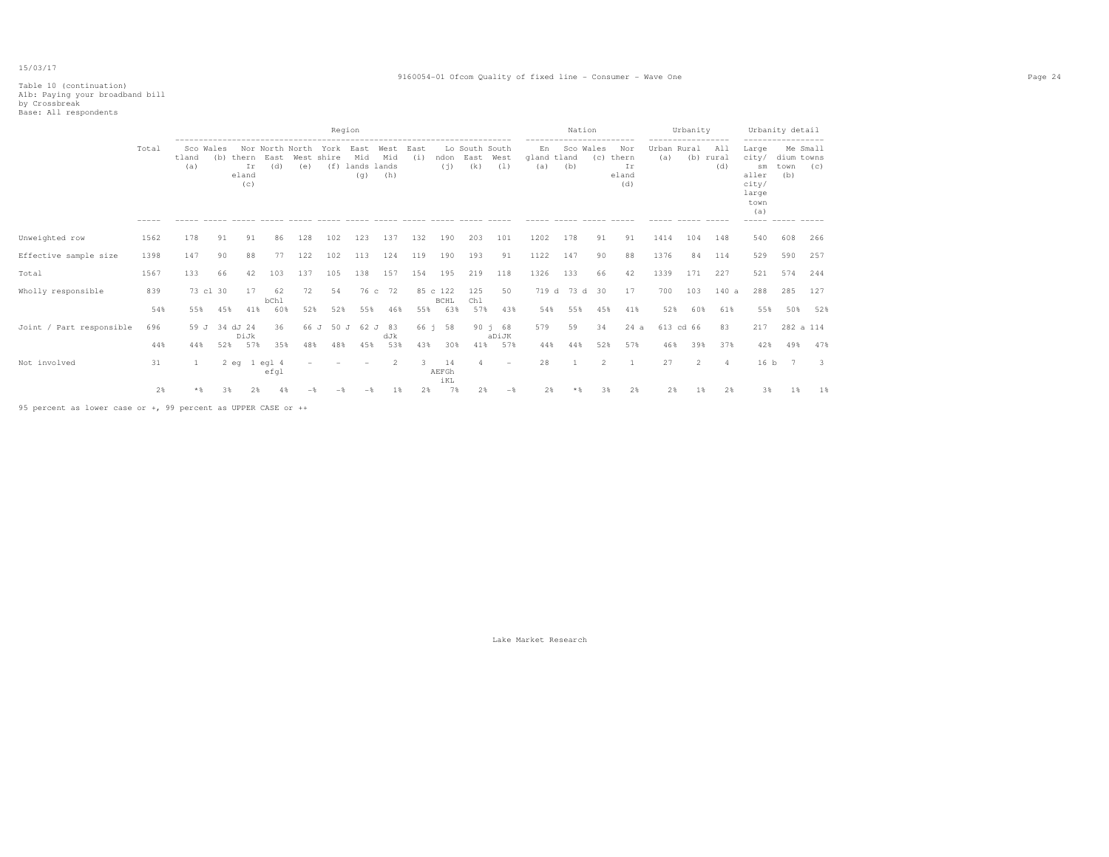#### 9160054-01 Ofcom Quality of fixed line - Consumer - Wave One Page 24

# Table 10 (continuation) A1b: Paying your broadband bill by Crossbreak Base: All respondents

|                          |       |                           |          |                             |                 |     |                                    | Region                                |                                                            |             |                         |                               |                          |                          | Nation        |                  |                                                  |                    | Urbanity          |                         |                                                                         | Urbanity detail           |                          |
|--------------------------|-------|---------------------------|----------|-----------------------------|-----------------|-----|------------------------------------|---------------------------------------|------------------------------------------------------------|-------------|-------------------------|-------------------------------|--------------------------|--------------------------|---------------|------------------|--------------------------------------------------|--------------------|-------------------|-------------------------|-------------------------------------------------------------------------|---------------------------|--------------------------|
|                          | Total | Sco Wales<br>tland<br>(a) | (b)      | thern<br>Ir<br>eland<br>(c) | East<br>(d)     | (e) | Nor North North York<br>West shire | East<br>Mid<br>(f) lands lands<br>(q) | ------------------------------------<br>West<br>Mid<br>(h) | East<br>(i) | ndon<br>(i)             | Lo South South<br>East<br>(k) | West<br>(1)              | En<br>gland tland<br>(a) | (b)           | Sco Wales<br>(C) | ----------<br>Nor<br>thern<br>Ir<br>eland<br>(d) | Urban Rural<br>(a) | ----------------- | All<br>(b) rural<br>(d) | Large<br>city/<br>sm<br>aller<br>city/<br>large<br>town<br>(a)<br>----- | dium towns<br>town<br>(b) | Me Small<br>(C)          |
| Unweighted row           | 1562  | 178                       | 91       | 91                          | 86              | 128 | 102                                | 123                                   | 137                                                        | 132         | 190                     | 203                           | 101                      | 1202                     | 178           | 91               | 91                                               | 1414               | 104               | 148                     | 540                                                                     | 608                       | 266                      |
| Effective sample size    | 1398  | 147                       | 90       | 88                          | 77              | 122 | 102                                | 113                                   | 124                                                        | 119         | 190                     | 193                           | 91                       | 1122                     | 147           | 90               | 88                                               | 1376               | 84                | 114                     | 529                                                                     | 590                       | 257                      |
| Total                    | 1567  | 133                       | 66       | 42                          | 103             | 137 | 105                                | 138                                   | 157                                                        | 154         | 195                     | 219                           | 118                      | 1326                     | 133           | 66               | 42                                               | 1339               | 171               | 227                     | 521                                                                     | 574                       | 244                      |
| Wholly responsible       | 839   | 73 cl 30                  |          | 17                          | 62<br>bChl      | 72  | 54                                 |                                       | 76 c 72                                                    |             | 85 c 122<br><b>BCHL</b> | 125<br>Chl                    | 50                       |                          | 719 d 73 d 30 |                  | 17                                               | 700                | 103               | 140a                    | 288                                                                     | 285                       | 127                      |
|                          | 54%   | 55%                       | 45%      | 41%                         | 60%             | 52% | 52%                                | 55%                                   | 46%                                                        | 55%         | 63%                     | 57%                           | 43%                      | 54%                      | 55%           | 45%              | 41%                                              | 52%                | 60%               | 61%                     | 55%                                                                     | 50%                       | 52%                      |
| Joint / Part responsible | 696   | 59 J                      | 34 dJ 24 | DiJk                        | 36              |     | 66 J 50 J                          | 62 J                                  | 83<br>dJk                                                  | 66 i        | 58                      |                               | 90 i 68<br>aDiJK         | 579                      | 59            | 34               | 24a                                              |                    | 613 cd 66         | 83                      | 217                                                                     | 282 a 114                 |                          |
|                          | 44%   | 44%                       | 52%      | 57%                         | 35%             | 48% | 48%                                | 45%                                   | 53%                                                        | 43%         | 30%                     | 41%                           | 57%                      | 44%                      | 44%           | 52%              | 57%                                              | 46%                | 39%               | 37%                     | 42%                                                                     | 49%                       | 47%                      |
| Not involved             | 31    | 1                         | $2$ eq   |                             | 1 eql 4<br>efq1 |     |                                    |                                       | 2                                                          | 3.          | 14<br>AEFGh<br>iKL      |                               | $\overline{\phantom{a}}$ | 28                       |               | $\mathcal{L}$    | -1                                               | 27                 | 2                 | 4                       |                                                                         | 16 b 7                    | $\overline{\phantom{a}}$ |
|                          | 2%    | $*$                       | 3%       | 2%                          | 4%              |     |                                    | $-$                                   | 1 %                                                        | 2%          | 7%                      | 2%                            | $-$                      | 2%                       |               | 3%               | 2%                                               | 2%                 | 1%                | 2%                      | 3%                                                                      | 1 %                       | 1%                       |

95 percent as lower case or +, 99 percent as UPPER CASE or ++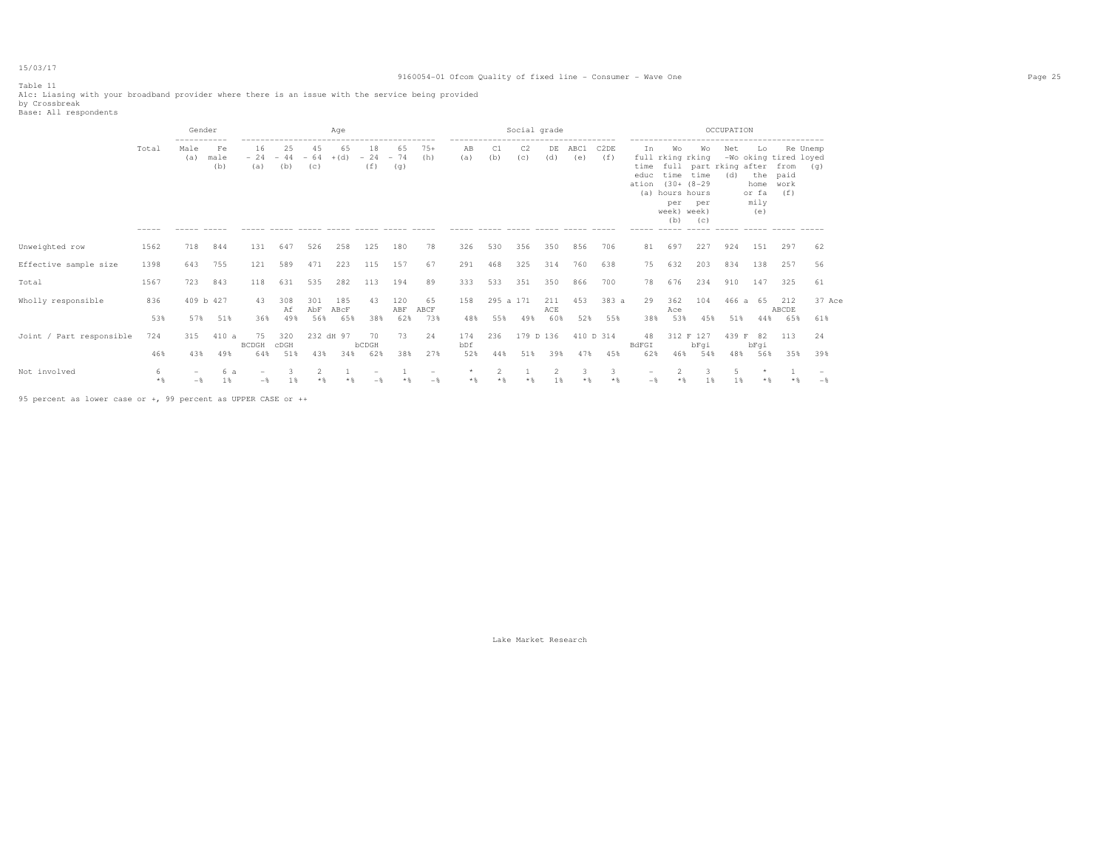### Table 11

Alc: Liasing with your broadband provider where there is an issue with the service being provided<br>by Crossbreak<br>Base: All respondents

|                          |                      | Gender                              |                             |                    |                               |                   | Aqe                |                    |                    |                   |                                                                                           |                  | Social grade          |                             |                   |                          |                                     |                                                                    |                                                                           | OCCUPATION   |                                           |                                                          |               |  |
|--------------------------|----------------------|-------------------------------------|-----------------------------|--------------------|-------------------------------|-------------------|--------------------|--------------------|--------------------|-------------------|-------------------------------------------------------------------------------------------|------------------|-----------------------|-----------------------------|-------------------|--------------------------|-------------------------------------|--------------------------------------------------------------------|---------------------------------------------------------------------------|--------------|-------------------------------------------|----------------------------------------------------------|---------------|--|
|                          | Total<br>$- - - - -$ | -----------<br>Male<br>(a)<br>----- | Fe<br>male<br>(b)<br>------ | 16<br>$-24$<br>(a) | 25<br>$-44 - 64 + (d)$<br>(b) | 45<br>(C)         | 65                 | 18<br>$-24$<br>(f) | 65<br>$-74$<br>(q) | $75+$<br>(h)      | -------------------------------------<br>AB<br>(a)<br>----- ----- ----- ----- ----- ----- | (b)              | C <sub>2</sub><br>(C) | DE<br>(d)                   | ABC1<br>(e)       | C <sub>2</sub> DE<br>(f) | Ιn.<br>time<br>educ<br>ation<br>(a) | Wo<br>full rking rking<br>hours hours<br>per<br>week) week)<br>(b) | Wo<br>full part rking after<br>time time<br>$(30 + (8 - 29$<br>per<br>(C) | Net<br>(d)   | Lo<br>the<br>home<br>or fa<br>mily<br>(e) | -Wo oking tired loyed<br>from (q)<br>paid<br>work<br>(f) | Re Unemp      |  |
| Unweighted row           | 1562                 | 718                                 | 844                         | 131                | 647                           | 526               | 258                | 125                | 180                | 78                | 326                                                                                       | 530              | 356                   | 350                         | 856               | 706                      | 81                                  | 697                                                                | 227                                                                       | 924          | 151                                       | 297                                                      | 62            |  |
| Effective sample size    | 1398                 | 643                                 | 755                         | 121                | 589                           | 471               | 223                | 115                | 157                | 67                | 291                                                                                       | 468              | 325                   | 314                         | 760               | 638                      | 75                                  | 632                                                                | 203                                                                       | 834          | 138                                       | 257                                                      | 56            |  |
| Total                    | 1567                 | 723                                 | 843                         | 118                | 631                           | 535               | 282                | 113                | 194                | 89                | 333                                                                                       | 533              | 351                   | 350                         | 866               | 700                      | 78                                  | 676                                                                | 234                                                                       | 910          | 147                                       | 325                                                      | 61            |  |
| Wholly responsible       | 836<br>53%           | 409 b 427<br>57%                    | 51%                         | 43<br>36%          | 308<br>Αf<br>49%              | 301<br>AbF<br>56% | 185<br>ABcF<br>65% | 43<br>38%          | 120<br>ABF<br>62%  | 65<br>ABCF<br>73% | 158<br>48%                                                                                | 295 a 171<br>55% | 49%                   | 211<br>ACE<br>60%           | 453<br>52%        | 383 a<br>55%             | 29<br>38%                           | 362<br>Ace<br>53%                                                  | 104<br>45%                                                                | 466 a<br>51% | 65<br>44%                                 | 212<br>ABCDE<br>65%                                      | 37 Ace<br>61% |  |
| Joint / Part responsible | 724                  | 315                                 | 410a                        | 75<br><b>BCDGH</b> | 320<br>CDGH                   | 232 dH 97<br>43%  |                    | 70<br>bCDGH        | 73                 | 24                | 174<br>bDf                                                                                | 236              | 179 D 136             |                             |                   | 410 D 314                | 48<br>BdFGI                         |                                                                    | 312 F 127<br>bFqi                                                         | 439 F        | 82<br>bFqi                                | 113                                                      | 24            |  |
| Not involved             | 46%<br>6<br>$*$ &    | 43%<br>$-$                          | 49%<br>6 a<br>1%            | 64%<br>$-$         | 51%<br>1%                     | 2<br>$*$          | 34%                | 62%                | 38%                | 27%<br>$-$        | 52%                                                                                       | 44%<br>2         | 51%                   | 39%<br>$\overline{2}$<br>1% | 47%<br>3<br>$*$ & | 45%<br>3<br>$*$ &        | 62%<br>$-\frac{6}{25}$              | 46%                                                                | 54%<br>3<br>1 %                                                           | 48%          | 56%<br>$\star$                            | 35%                                                      | 39%<br>$-$    |  |

95 percent as lower case or +, 99 percent as UPPER CASE or ++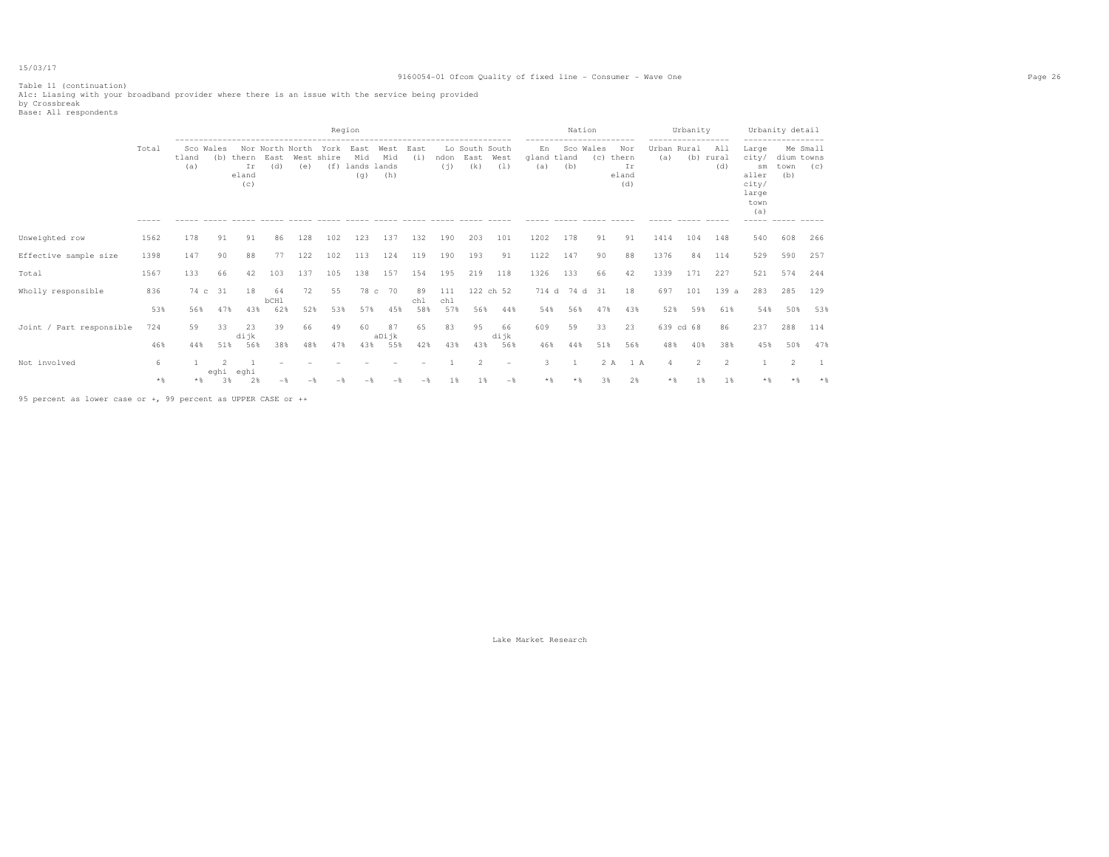#### 9160054-01 Ofcom Quality of fixed line - Consumer - Wave One Page 26

Table 11 (continuation)

Alc: Liasing with your broadband provider where there is an issue with the service being provided<br>by Crossbreak<br>Base: All respondents

|                          |                |              |                  |                             |                          |                        |                              | Region                                                |                    | -------------------------------              |                   |                               |                   |                          | Nation            |           |                                    |                      | Urbanity              |                       |                                                                               | Urbanity detail           |                 |
|--------------------------|----------------|--------------|------------------|-----------------------------|--------------------------|------------------------|------------------------------|-------------------------------------------------------|--------------------|----------------------------------------------|-------------------|-------------------------------|-------------------|--------------------------|-------------------|-----------|------------------------------------|----------------------|-----------------------|-----------------------|-------------------------------------------------------------------------------|---------------------------|-----------------|
|                          | Total<br>----- | tland<br>(a) | Sco Wales<br>(b) | thern<br>Ir<br>eland<br>(c) | East<br>(d)              | Nor North North<br>(e) | York<br>West shire<br>______ | East<br>Mid<br>(f) lands lands<br>(q)<br>------ ----- | West<br>Mid<br>(h) | East<br>(i)<br>$\cdots \cdots \cdots \cdots$ | ndon<br>(i)       | Lo South South<br>East<br>(k) | West<br>(1)       | En<br>gland tland<br>(a) | Sco Wales<br>(b)  | (C)       | Nor<br>thern<br>Ir<br>eland<br>(d) | Urban Rural<br>(a)   | (b) rural             | All<br>(d)            | Large<br>city/<br>sm<br>aller<br>city/<br>large<br>town<br>(a)<br>$- - - - -$ | dium towns<br>town<br>(b) | Me Small<br>(C) |
| Unweighted row           | 1562           | 178          | 91               | 91                          | 86                       | 128                    | 102                          | 123                                                   | 137                | 132                                          | 190               | 203                           | 101               | 1202                     | 178               | 91        | 91                                 | 1414                 | 104                   | 148                   | 540                                                                           | 608                       | 266             |
| Effective sample size    | 1398           | 147          | 90               | 88                          | 77                       | 122                    | 102                          | 113                                                   | 124                | 119                                          | 190               | 193                           | 91                | 1122                     | 147               | 90        | 88                                 | 1376                 | 84                    | 114                   | 529                                                                           | 590                       | 257             |
| Total                    | 1567           | 133          | 66               | 42                          | 103                      | 137                    | 105                          | 138                                                   | 157                | 154                                          | 195               | 219                           | 118               | 1326                     | 133               | 66        | 42                                 | 1339                 | 171                   | 227                   | 521                                                                           | 574                       | 244             |
| Wholly responsible       | 836<br>53%     | 74 с<br>56%  | 31<br>47%        | 18<br>43%                   | 64<br><b>bCH1</b><br>62% | 72<br>52%              | 55<br>53%                    | 78 c<br>57%                                           | 70<br>45%          | 89<br>chl<br>58%                             | 111<br>chl<br>57% | 56%                           | 122 ch 52<br>44%  | 54%                      | 714 d 74 d<br>56% | 31<br>47% | 18<br>43%                          | 697<br>52%           | 101<br>59%            | 139a<br>61%           | 283<br>54%                                                                    | 285<br>50%                | 129<br>53%      |
| Joint / Part responsible | 724<br>46%     | 59<br>44%    | 33<br>51%        | 23<br>dijk<br>56%           | 39<br>38%                | 66<br>48%              | 49<br>47%                    | 60<br>43%                                             | 87<br>aDijk<br>55% | 65<br>42%                                    | 83<br>43%         | 95<br>43%                     | 66<br>dijk<br>56% | 609<br>46%               | 59<br>44%         | 33<br>51% | 23<br>56%                          | 639 cd 68<br>48%     | 40%                   | 86<br>38%             | 237<br>45%                                                                    | 288<br>50%                | 114<br>47%      |
| Not involved             | 6<br>**        | * *          | eghi eghi<br>3%  | 2%                          | $-$                      |                        |                              |                                                       | $-$                | $-$                                          | 1 %               | $\overline{2}$<br>1 %         | $\sim$<br>$-$     | 3<br>$*$                 | **                | 2 A<br>3% | 1 A<br>2%                          | $\overline{4}$<br>** | $\overline{2}$<br>1 % | $\overline{2}$<br>1 % | * %                                                                           | $\mathfrak{D}$            | $*$             |
|                          |                |              |                  |                             |                          |                        |                              |                                                       |                    |                                              |                   |                               |                   |                          |                   |           |                                    |                      |                       |                       |                                                                               |                           |                 |

95 percent as lower case or +, 99 percent as UPPER CASE or ++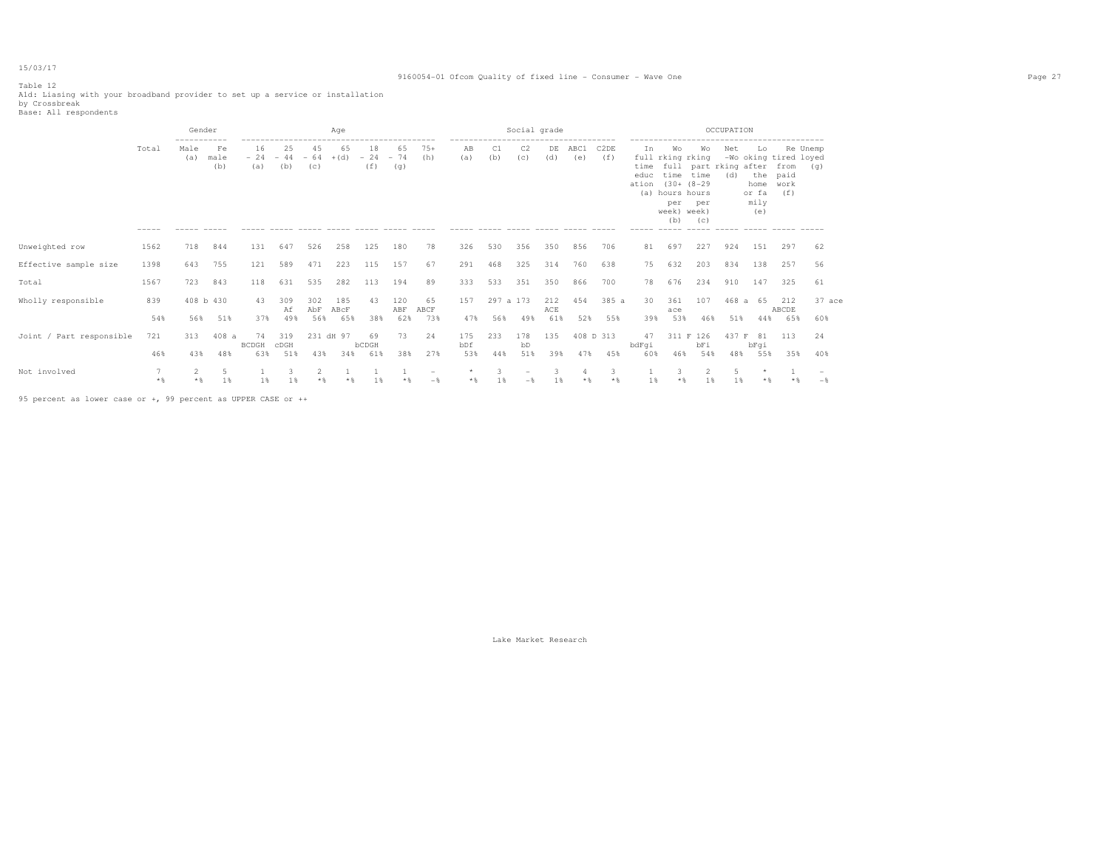#### 9160054-01 Ofcom Quality of fixed line - Consumer - Wave One Page 27

Table 12 Ald: Liasing with your broadband provider to set up a service or installation<br>by Crossbreak<br>Base: All respondents

|                          |                | Gender           |                   |                    |                    |                    | Age                |                    |                    |                   |                               |                  | Social grade          |                   |             |                                                           |                                                   |                                                                                                                |                                                              | OCCUPATION                  |                                                                                                   |                             |                 |  |
|--------------------------|----------------|------------------|-------------------|--------------------|--------------------|--------------------|--------------------|--------------------|--------------------|-------------------|-------------------------------|------------------|-----------------------|-------------------|-------------|-----------------------------------------------------------|---------------------------------------------------|----------------------------------------------------------------------------------------------------------------|--------------------------------------------------------------|-----------------------------|---------------------------------------------------------------------------------------------------|-----------------------------|-----------------|--|
|                          | Total<br>----- | Male<br>(a)      | Fe<br>male<br>(b) | 16<br>$-24$<br>(a) | 25<br>$-44$<br>(b) | 45<br>$-64$<br>(C) | 65<br>$+(d)$       | 18<br>$-24$<br>(f) | 65<br>$-74$<br>(q) | $75+$<br>(h)      | ----------------<br>AB<br>(a) | C1<br>(b)        | C <sub>2</sub><br>(c) | DE<br>(d)         | ABC1<br>(e) | C <sub>2</sub> DE<br>(f)<br>$\cdots \cdots \cdots \cdots$ | In<br>time<br>educ<br>ation (30+ (8-29)<br>------ | Wo<br>full rking rking<br>time time<br>(a) hours hours<br>per<br>week)<br>(b)<br>$\cdots \cdots \cdots \cdots$ | Wо<br>full part rking after<br>per<br>week)<br>(C)<br>______ | Net<br>(d)<br>$\frac{1}{2}$ | Lo<br>-Wo oking tired loyed<br>the<br>home<br>or fa<br>mily<br>(e)<br>$\qquad \qquad - - - - - -$ | from<br>paid<br>work<br>(f) | Re Unemp<br>(q) |  |
| Unweighted row           | 1562           | 718              | 844               | 131                | 647                | 526                | 258                | 125                | 180                | 78                | 326                           | 530              | 356                   | 350               | 856         | 706                                                       | 81                                                | 697                                                                                                            | 227                                                          | 924                         | 151                                                                                               | 297                         | 62              |  |
| Effective sample size    | 1398           | 643              | 755               | 121                | 589                | 471                | 223                | 115                | 157                | 67                | 291                           | 468              | 325                   | 314               | 760         | 638                                                       | 75                                                | 632                                                                                                            | 203                                                          | 834                         | 138                                                                                               | 257                         | 56              |  |
| Total                    | 1567           | 723              | 843               | 118                | 631                | 535                | 282                | 113                | 194                | 89                | 333                           | 533              | 351                   | 350               | 866         | 700                                                       | 78                                                | 676                                                                                                            | 234                                                          | 910                         | 147                                                                                               | 325                         | 61              |  |
| Wholly responsible       | 839<br>54%     | 408 b 430<br>56% | 51%               | 43<br>37%          | 309<br>Αf<br>49%   | 302<br>AbF<br>56%  | 185<br>ABcF<br>65% | 43<br>38%          | 120<br>ABF<br>62%  | 65<br>ABCF<br>73% | 157<br>47%                    | 297 a 173<br>56% | 49%                   | 212<br>ACE<br>61% | 454<br>52%  | 385 a<br>55%                                              | 30<br>39%                                         | 361<br>ace<br>53%                                                                                              | 107<br>46%                                                   | 468a<br>51%                 | 65<br>44%                                                                                         | 212<br>ABCDE<br>65%         | 37 ace<br>60%   |  |
| Joint / Part responsible | 721<br>46%     | 313<br>43%       | 408a<br>48%       | 74<br>BCDGH<br>63% | 319<br>CDGH<br>51% | 231 dH 97<br>43%   | 34%                | 69<br>bCDGH<br>61% | 73<br>38%          | 24<br>27%         | 175<br>bDf<br>53%             | 233<br>44%       | 178<br>bD<br>51%      | 135<br>39%        | 47%         | 408 D 313<br>45%                                          | 47<br>bdFqi<br>60%                                | 46%                                                                                                            | 311 F 126<br>bFi<br>54%                                      | 437 F<br>48%                | 81<br>bFqi<br>55%                                                                                 | 113<br>35%                  | 24<br>40%       |  |
| Not involved             | 7<br>$*$       | 2<br>$*$         | 5<br>1%           | 1%                 |                    | 2                  |                    | 1%                 |                    | $-$               | $\star$                       | 1%               |                       | 3<br>1%           | $\Delta$    | 3<br>$*$ &                                                | 1 %                                               | 3.                                                                                                             | 2<br>1 %                                                     | 5<br>1%                     | $\star$                                                                                           |                             | $-$             |  |

95 percent as lower case or +, 99 percent as UPPER CASE or ++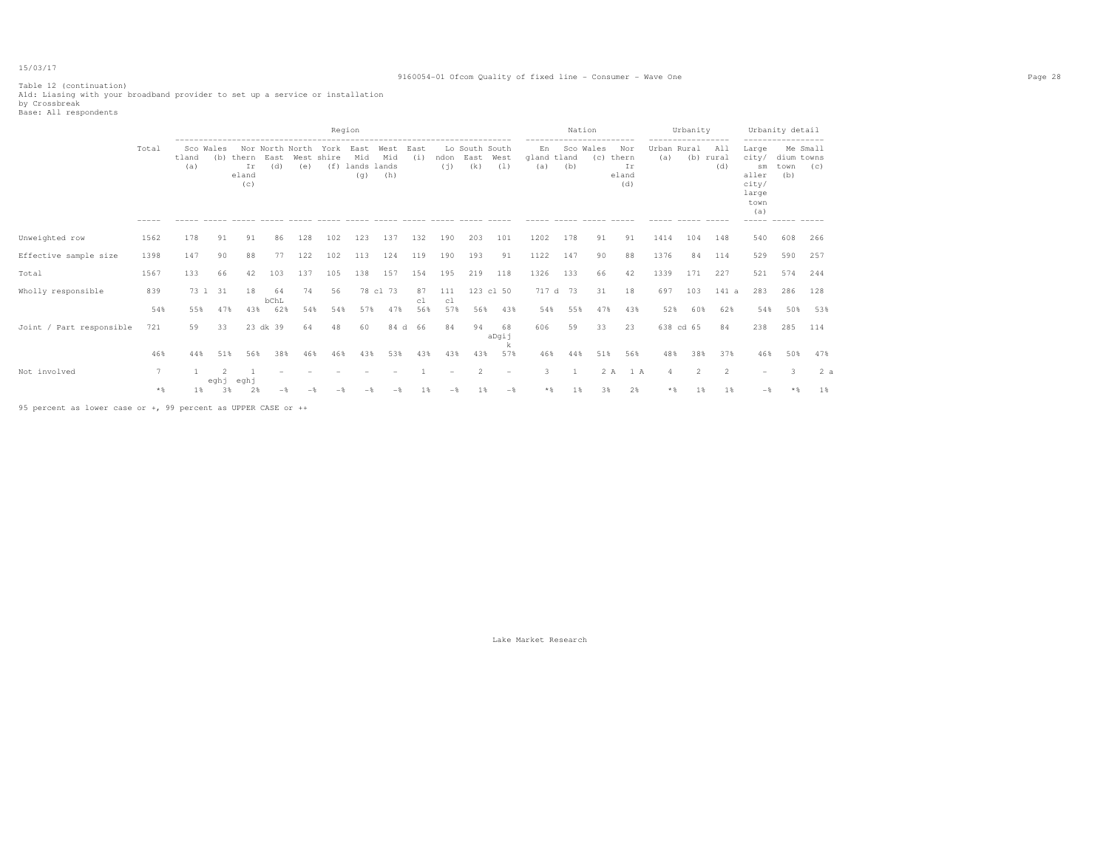#### 9160054-01 Ofcom Quality of fixed line - Consumer - Wave One Page 28

Table 12 (continuation) A1d: Liasing with your broadband provider to set up a service or installation by Crossbreak Base: All respondents

|                          |                        |              |                              |                             |                                |             |               | Region                                |                    |             |             |                               |                                 |                                      | ------------------------             | Nation           |                                                |                                  | Urbanity<br>----------------- |                         |                                                                                 | Urbanity detail<br>-----------------  |                 |
|--------------------------|------------------------|--------------|------------------------------|-----------------------------|--------------------------------|-------------|---------------|---------------------------------------|--------------------|-------------|-------------|-------------------------------|---------------------------------|--------------------------------------|--------------------------------------|------------------|------------------------------------------------|----------------------------------|-------------------------------|-------------------------|---------------------------------------------------------------------------------|---------------------------------------|-----------------|
|                          | Total<br>$- - - - - -$ | tland<br>(a) | Sco Wales<br>(b)<br>$------$ | thern<br>Ir<br>eland<br>(c) | Nor North North<br>East<br>(d) | West<br>(e) | York<br>shire | East<br>Mid<br>(f) lands lands<br>(q) | West<br>Mid<br>(h) | East<br>(i) | ndon<br>(i) | Lo South South<br>East<br>(k) | West<br>(1)                     | En<br>qland tland<br>(a)<br>$------$ | (b)<br>$\cdots \cdots \cdots \cdots$ | Sco Wales<br>(C) | Nor<br>thern<br>Ir<br>eland<br>(d)<br>$------$ | Urban Rural<br>(a)<br>$-- - - -$ | ------ -----                  | All<br>(b) rural<br>(d) | Large<br>city/<br>sm<br>aller<br>city/<br>large<br>town<br>(a)<br>$- - - - - -$ | dium towns<br>town<br>(b)<br>$------$ | Me Small<br>(C) |
| Unweighted row           | 1562                   | 178          | 91                           | 91                          | 86                             | 128         | 102           | 123                                   | 137                | 132         | 190         | 203                           | 101                             | 1202                                 | 178                                  | 91               | 91                                             | 1414                             | 104                           | 148                     | 540                                                                             | 608                                   | 266             |
| Effective sample size    | 1398                   | 147          | 90                           | 88                          | 77                             | 122         | 102           | 113                                   | 124                | 119         | 190         | 193                           | 91                              | 1122                                 | 147                                  | 90               | 88                                             | 1376                             | 84                            | 114                     | 529                                                                             | 590                                   | 257             |
| Total                    | 1567                   | 133          | 66                           | 42                          | 103                            | 137         | 105           | 138                                   | 157                | 154         | 195         | 219                           | 118                             | 1326                                 | 133                                  | 66               | 42                                             | 1339                             | 171                           | 227                     | 521                                                                             | 574                                   | 244             |
| Wholly responsible       | 839                    |              | 73 1 31                      | 18                          | 64                             | 74          | 56            |                                       | 78 cl 73           | 87          | 111         |                               | 123 cl 50                       |                                      | 717 d 73                             | 31               | 18                                             | 697                              | 103                           | 141 a                   | 283                                                                             | 286                                   | 128             |
|                          | 54%                    | 55%          | 47%                          | 43%                         | bChL<br>62%                    | 54%         | 54%           | 57%                                   | 47%                | c1<br>56%   | c1<br>57%   | 56%                           | 43%                             | 54%                                  | 55%                                  | 47%              | 43%                                            | 52%                              | 60%                           | 62%                     | 54%                                                                             | 50%                                   | 53%             |
| Joint / Part responsible | 721                    | 59           | 33                           |                             | 23 dk 39                       | 64          | 48            | 60                                    | 84 d               | - 66        | 84          | 94                            | 68<br>aDgij                     | 606                                  | 59                                   | 33               | 23                                             |                                  | 638 cd 65                     | 84                      | 238                                                                             | 285                                   | 114             |
|                          | 46%                    | 44%          | 51%                          | 56%                         | 38%                            | 46%         | 46%           | 43%                                   | 53%                | 43%         | 43%         | 43%                           | k<br>57%                        | 46%                                  | 44%                                  | 51%              | 56%                                            | 48%                              | 38%                           | 37%                     | 46%                                                                             | 50%                                   | 47%             |
| Not involved             |                        |              |                              | eghj                        |                                |             |               |                                       |                    |             |             | $\overline{c}$                | $\hspace{0.1mm}-\hspace{0.1mm}$ | 3.                                   |                                      |                  | 2A<br>1 A                                      |                                  | $\mathcal{L}$                 | $\overline{2}$          |                                                                                 | $\mathcal{R}$                         | 2a              |
|                          | $*$                    | $1\%$        | eghj<br>3%                   | 2%                          | $-$                            |             |               |                                       |                    | 1%          | $-$         | 1%                            | $-$                             | $*$ $\%$                             | 1%                                   | 3%               | 2%                                             | * %                              | 1%                            | 1%                      | $-$                                                                             |                                       | 1%              |

95 percent as lower case or +, 99 percent as UPPER CASE or ++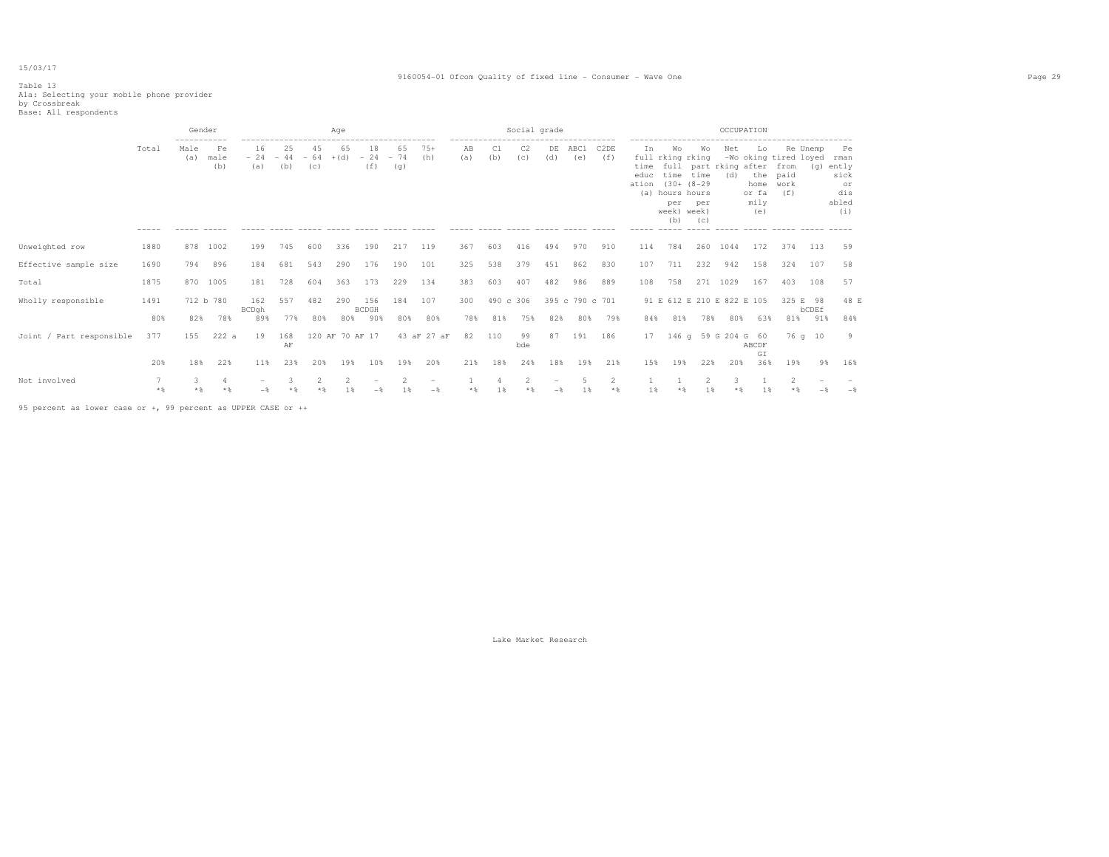#### 9160054-01 Ofcom Quality of fixed line - Consumer - Wave One Page 29

# Table 13 A1a: Selecting your mobile phone provider by Crossbreak Base: All respondents

|                          |       | Gender      |                   |                    |                    |                    | Age             |                                                       |                    |                                               |           |           | Social grade                                      |                          |                 |                          |                              |                                                                        |                                                                            |            | OCCUPATION                                |                                                                                              |          |                                                              |
|--------------------------|-------|-------------|-------------------|--------------------|--------------------|--------------------|-----------------|-------------------------------------------------------|--------------------|-----------------------------------------------|-----------|-----------|---------------------------------------------------|--------------------------|-----------------|--------------------------|------------------------------|------------------------------------------------------------------------|----------------------------------------------------------------------------|------------|-------------------------------------------|----------------------------------------------------------------------------------------------|----------|--------------------------------------------------------------|
|                          | Total | Male<br>(a) | Fe<br>male<br>(b) | 16<br>$-24$<br>(a) | 25<br>$-44$<br>(b) | 45<br>$-64$<br>(C) | 65<br>$+(d)$    | 18<br>$-24$<br>(f)<br>------ ----- ------ ----- ----- | 65<br>$-74$<br>(q) | $75+$<br>(h)<br>$\cdots \cdots \cdots \cdots$ | AB<br>(a) | C1<br>(b) | C <sub>2</sub><br>(C)<br>------ ----- ----- ----- | DE<br>(d)                | ABC1<br>(e)     | C <sub>2</sub> DE<br>(f) | Ιn.<br>time<br>educ<br>ation | Wo<br>full rking rking<br>(a) hours hours<br>per<br>week) week)<br>(b) | Wo<br>full part rking after<br>time time<br>$(30 + (8 - 29)$<br>per<br>(C) | Net<br>(d) | Lo<br>the<br>home<br>or fa<br>mily<br>(e) | -Wo oking tired loyed<br>from<br>paid<br>work<br>(f)<br>------ ----- ----- ----- ----- ----- | Re Unemp | Pe<br>rman<br>(g) ently<br>sick<br>or<br>dis<br>abled<br>(i) |
| Unweighted row           | 1880  | 878         | 1002              | 199                | 745                | 600                | 336             | 190                                                   | 217                | 119                                           | 367       | 603       | 416                                               | 494                      | 970             | 910                      | 114                          | 784                                                                    | 260                                                                        | 1044       | 172                                       | 374                                                                                          | 113      | 59                                                           |
| Effective sample size    | 1690  | 794         | 896               | 184                | 681                | 543                | 290             | 176                                                   | 190                | 101                                           | 325       | 538       | 379                                               | 451                      | 862             | 830                      | 107                          | 711                                                                    | 232                                                                        | 942        | 158                                       | 324                                                                                          | 107      | 58                                                           |
| Total                    | 1875  | 870         | 1005              | 181                | 728                | 604                | 363             | 173                                                   | 229                | 134                                           | 383       | 603       | 407                                               | 482                      | 986             | 889                      | 108                          | 758                                                                    |                                                                            | 271 1029   | 167                                       | 403                                                                                          | 108      | 57                                                           |
| Wholly responsible       | 1491  |             | 712 b 780         | 162<br>BCDgh       | 557                | 482                | 290             | 156<br><b>BCDGH</b>                                   | 184 107            |                                               | 300       | 490 c 306 |                                                   |                          | 395 c 790 c 701 |                          |                              |                                                                        | 91 E 612 E 210 E 822 E 105                                                 |            |                                           | 325 E 98                                                                                     | bCDEf    | 48 E                                                         |
|                          | 80%   | 82%         | 78%               | 89%                | 77%                | 80%                | 80%             | 90%                                                   | 80%                | 80%                                           | 78%       | 81%       | 75%                                               | 82%                      | 80%             | 79%                      | 84%                          | 81%                                                                    | 78%                                                                        | 80%        | 63%                                       | 81%                                                                                          | 91%      | 84%                                                          |
| Joint / Part responsible | 377   | 155         | 222a              | 19                 | 168<br>AF          |                    | 120 AF 70 AF 17 |                                                       |                    | 43 aF 27 aF                                   | 82        | 110       | 99<br>bde                                         | 87                       | 191             | 186                      | 17                           |                                                                        | 146 g 59 G 204 G 60                                                        |            | ABCDF<br>GI                               |                                                                                              | 76 q 10  | 9                                                            |
|                          | 20%   | 18%         | 22%               | 11%                | 23%                | 20%                | 19%             | 10%                                                   | 19%                | 20%                                           | 21%       | 18%       | 24%                                               | 18%                      | 19%             | 21%                      | 15%                          | 19%                                                                    | 22%                                                                        | 20%        | 36%                                       | 19%                                                                                          | 98       | 16%                                                          |
| Not involved             | $*$ & |             |                   |                    |                    | 2                  | $\overline{2}$  |                                                       | $\mathfrak{D}$     | $\qquad \qquad -$<br>$-$                      | $*$ &     |           | $\mathfrak{D}$                                    | $\overline{\phantom{a}}$ | 1 %             | 2<br>$*$ &               | 1 %                          |                                                                        | 1 %                                                                        |            | 1%                                        |                                                                                              |          | $-$                                                          |

95 percent as lower case or +, 99 percent as UPPER CASE or ++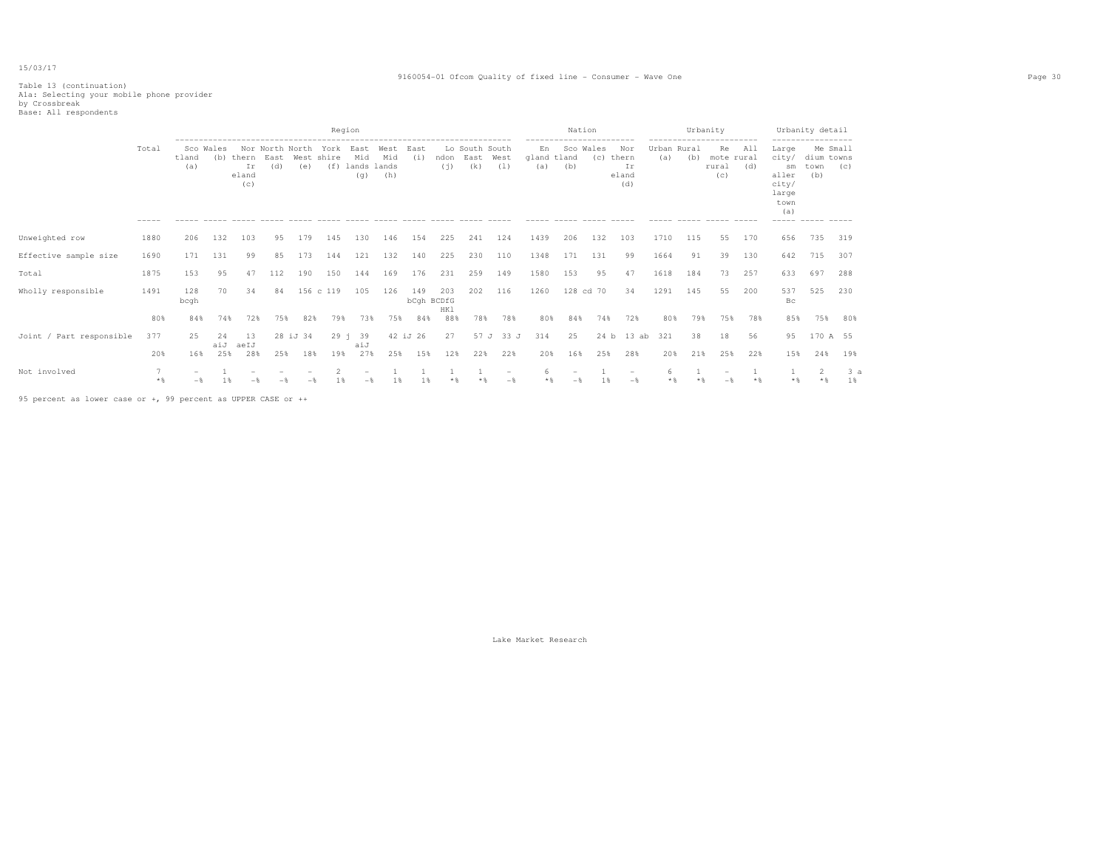#### 9160054-01 Ofcom Quality of fixed line - Consumer - Wave One Page 30

# Table 13 (continuation) A1a: Selecting your mobile phone provider by Crossbreak Base: All respondents

|                          |                      |                        |                  |                             |                                |          | Region                    |                             |                             |             |                          |                               |             |                                                       | Nation                                                |                  |                                    |                                   |     | Urbanity                                                                           |            |                                                                                     | Urbanity detail                                             |          |
|--------------------------|----------------------|------------------------|------------------|-----------------------------|--------------------------------|----------|---------------------------|-----------------------------|-----------------------------|-------------|--------------------------|-------------------------------|-------------|-------------------------------------------------------|-------------------------------------------------------|------------------|------------------------------------|-----------------------------------|-----|------------------------------------------------------------------------------------|------------|-------------------------------------------------------------------------------------|-------------------------------------------------------------|----------|
|                          | Total<br>$- - - - -$ | tland<br>(a)<br>------ | Sco Wales<br>(b) | thern<br>Ir<br>eland<br>(c) | Nor North North<br>East<br>(d) | (e)      | York<br>West shire<br>(f) | East<br>Mid<br>lands<br>(q) | West<br>Mid<br>lands<br>(h) | East<br>(i) | ndon<br>(i)              | Lo South South<br>East<br>(k) | West<br>(1) | En<br>gland tland<br>(a)<br>$\qquad \qquad - - - - -$ | ------------------------<br>(b)<br>------ ----- ----- | Sco Wales<br>(C) | Nor<br>thern<br>Ir<br>eland<br>(d) | Urban Rural<br>(a)<br>$- - - - -$ | (b) | ------------------------<br>Re<br>mote rural<br>rural<br>(c)<br>------ ----- ----- | All<br>(d) | Large<br>city/<br>sm<br>aller<br>city/<br>large<br>town<br>(a)<br>------ ----- ---- | ------------------<br>Me Small<br>dium towns<br>town<br>(b) | (C)      |
| Unweighted row           | 1880                 | 206                    | 132              | 103                         | 9.5                            | 179      | 145                       | 130                         | 146                         | 154         | 225                      | 241                           | 124         | 1439                                                  | 206                                                   | 132              | 103                                | 1710                              | 115 | 55                                                                                 | 170        | 656                                                                                 | 735                                                         | 319      |
| Effective sample size    | 1690                 | 171                    | 131              | 99                          | 85                             | 173      | 144                       | 121                         | 132                         | 140         | 225                      | 230                           | 110         | 1348                                                  | 171                                                   | 131              | 99                                 | 1664                              | 91  | 39                                                                                 | 130        | 642                                                                                 | 715                                                         | 307      |
| Total                    | 1875                 | 153                    | 95               | 47                          | 112                            | 190      | 150                       | 144                         | 169                         | 176         | 231                      | 259                           | 149         | 1580                                                  | 153                                                   | 95               | 47                                 | 1618                              | 184 | 73                                                                                 | 257        | 633                                                                                 | 697                                                         | 288      |
| Wholly responsible       | 1491                 | 128<br>bcgh            | 70               | 34                          | 84                             |          | 156 c 119                 | 105                         | 126                         | 149         | 203<br>bCqh BCDfG<br>HK1 | 202                           | 116         | 1260                                                  |                                                       | 128 cd 70        | 34                                 | 1291                              | 145 | 55                                                                                 | 200        | 537<br>Bc                                                                           | 525                                                         | 230      |
|                          | 80%                  | 84%                    | 74%              | 72%                         | 75%                            | 82%      | 79%                       | 73%                         | 75%                         | 84%         | 88%                      | 78%                           | 78%         | 80%                                                   | 84%                                                   | 74%              | 72%                                | 80%                               | 79% | 75%                                                                                | 78%        | 85%                                                                                 | 75%                                                         | 80%      |
| Joint / Part responsible | 377                  | 25                     | 2.4<br>aiJ       | -13<br>aeIJ                 |                                | 28 iJ 34 | $29 - 1$                  | 39<br>aiJ                   |                             | 42 iJ 26    | 27                       | 57 J                          | 33 J        | 314                                                   | 25                                                    | 24 b             | 13 ab                              | 321                               | 38  | 18                                                                                 | 56         | 95                                                                                  | 170 A 55                                                    |          |
|                          | 20%                  | 16%                    | 25%              | 28%                         | 25%                            | 18%      | 19%                       | 27%                         | 25%                         | 15%         | 12%                      | 22%                           | 22%         | 20%                                                   | 16%                                                   | 25%              | 28%                                | 20%                               | 21% | 25%                                                                                | 22%        | 15%                                                                                 | 24%                                                         | 19%      |
| Not involved             | $*$                  |                        |                  |                             |                                |          |                           |                             |                             |             |                          |                               |             | 6                                                     |                                                       |                  |                                    | 6                                 |     |                                                                                    |            |                                                                                     |                                                             | 3a<br>1% |

95 percent as lower case or +, 99 percent as UPPER CASE or ++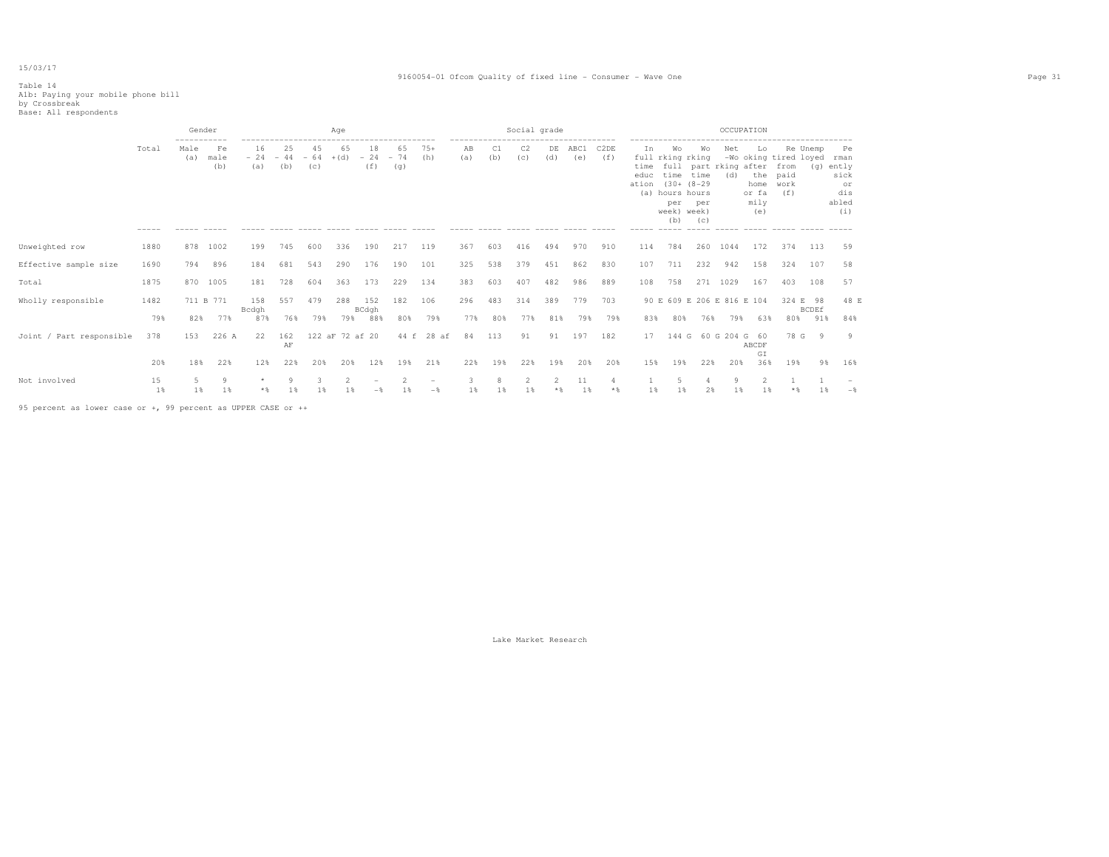#### 9160054-01 Ofcom Quality of fixed line - Consumer - Wave One Page 31

# Table 14 A1b: Paying your mobile phone bill by Crossbreak Base: All respondents

|                          |             | Gender      |                   |                    |                    |                    | Age                   |                    |                                          |                                        |                             |           | Social grade |            |                              |                         |                              |                                                                                     |                                                               | OCCUPATION |                                           |                                                      |                |                                                                |  |
|--------------------------|-------------|-------------|-------------------|--------------------|--------------------|--------------------|-----------------------|--------------------|------------------------------------------|----------------------------------------|-----------------------------|-----------|--------------|------------|------------------------------|-------------------------|------------------------------|-------------------------------------------------------------------------------------|---------------------------------------------------------------|------------|-------------------------------------------|------------------------------------------------------|----------------|----------------------------------------------------------------|--|
|                          | Total       | Male<br>(a) | Fe<br>male<br>(b) | 16<br>$-24$<br>(a) | 25<br>$-44$<br>(b) | 45<br>$-64$<br>(C) | 65<br>$+(d)$          | 18<br>$-24$<br>(f) | ------------------<br>65<br>$-74$<br>(g) | $75+$<br>(h)                           | --------------<br>AB<br>(a) | C1<br>(b) | C2<br>(c)    | DE<br>(d)  | -------------<br>ABC1<br>(e) | C2DE<br>(f)             | Ιn.<br>time<br>educ<br>ation | Wo<br>full rking rking<br>time time<br>(a) hours hours<br>per<br>week) week)<br>(b) | Wо<br>full part rking after<br>$(30 + 18 - 29)$<br>per<br>(C) | Net<br>(d) | Lo<br>the<br>home<br>or fa<br>mily<br>(e) | -Wo oking tired loyed<br>from<br>paid<br>work<br>(f) | Re Unemp       | Pe<br>rman<br>$(q)$ ently<br>sick<br>or<br>dis<br>abled<br>(i) |  |
| Unweighted row           | 1880        | 878         | 1002              | 199                | 745                | 600                | 336                   | 190                | 217                                      | 119                                    | 367                         | 603       | 416          | 494        | 970                          | 910                     | 114                          | 784                                                                                 | 260                                                           | 1044       | 172                                       | 374                                                  | 113            | 59                                                             |  |
| Effective sample size    | 1690        | 794         | 896               | 184                | 681                | 543                | 290                   | 176                | 190                                      | 101                                    | 325                         | 538       | 379          | 451        | 862                          | 830                     | 107                          | 711                                                                                 | 232                                                           | 942        | 158                                       | 324                                                  | 107            | 58                                                             |  |
| Total                    | 1875        | 870         | 1005              | 181                | 728                | 604                | 363                   | 173                | 229                                      | 134                                    | 383                         | 603       | 407          | 482        | 986                          | 889                     | 108                          | 758                                                                                 | 271                                                           | 1029       | 167                                       | 403                                                  | 108            | 57                                                             |  |
| Wholly responsible       | 1482        | 711 B 771   |                   | 158<br>Bcdgh       | 557                | 479                | 288                   | 152<br>BCdgh       | 182                                      | 106                                    | 296                         | 483       | 314          | 389        | 779                          | 703                     |                              |                                                                                     | 90 E 609 E 206 E 816 E 104                                    |            |                                           | 324 E 98                                             | <b>BCDEf</b>   | 48 E                                                           |  |
|                          | 79%         | 82%         | 77%               | 87%                | 76%                | 79%                | 79%                   | 88%                | 80%                                      | 79%                                    | 77%                         | 80%       | 77%          | 81%        | 79%                          | 79%                     | 83%                          | 80%                                                                                 | 76%                                                           | 79%        | 63%                                       | 80%                                                  | 91%            | 84%                                                            |  |
| Joint / Part responsible | 378         | 153         | 226 A             | 22                 | 162<br>AF          |                    | 122 aF 72 af 20       |                    | 44 f                                     | 28 af                                  | 84                          | 113       | 91           | 91         | 197                          | 182                     | 17                           |                                                                                     | 144 G 60 G 204 G 60                                           |            | ABCDF<br>GI                               | 78 G                                                 | $\overline{9}$ | 9                                                              |  |
|                          | 20%         | 18%         | 22%               | 12%                | 22%                | 20%                | 20%                   | 12%                | 19%                                      | 21%                                    | 22%                         | 19%       | 22%          | 19%        | 20%                          | 20%                     | 15%                          | 19%                                                                                 | 22%                                                           | 20%        | 36%                                       | 19%                                                  | 98             | 16%                                                            |  |
| Not involved             | 15<br>$1$ % | 5<br>1%     | 9<br>1%           | $\star$<br>* &     | Q<br>1 %           | 3<br>1 %           | $\mathfrak{D}$<br>1 % |                    | $\mathfrak{D}$<br>1 %                    | $\hspace{0.1mm}-\hspace{0.1mm}$<br>$-$ | 1%                          | 1 %       | 1%           | 2<br>$*$ & | 11<br>$1\%$                  | $\overline{4}$<br>$*$ & | 1 %                          | $\overline{5}$<br>1 %                                                               | 2%                                                            | Q<br>1 %   | 1 %                                       | $*$ &                                                | 1 %            | $ \delta$                                                      |  |

95 percent as lower case or +, 99 percent as UPPER CASE or ++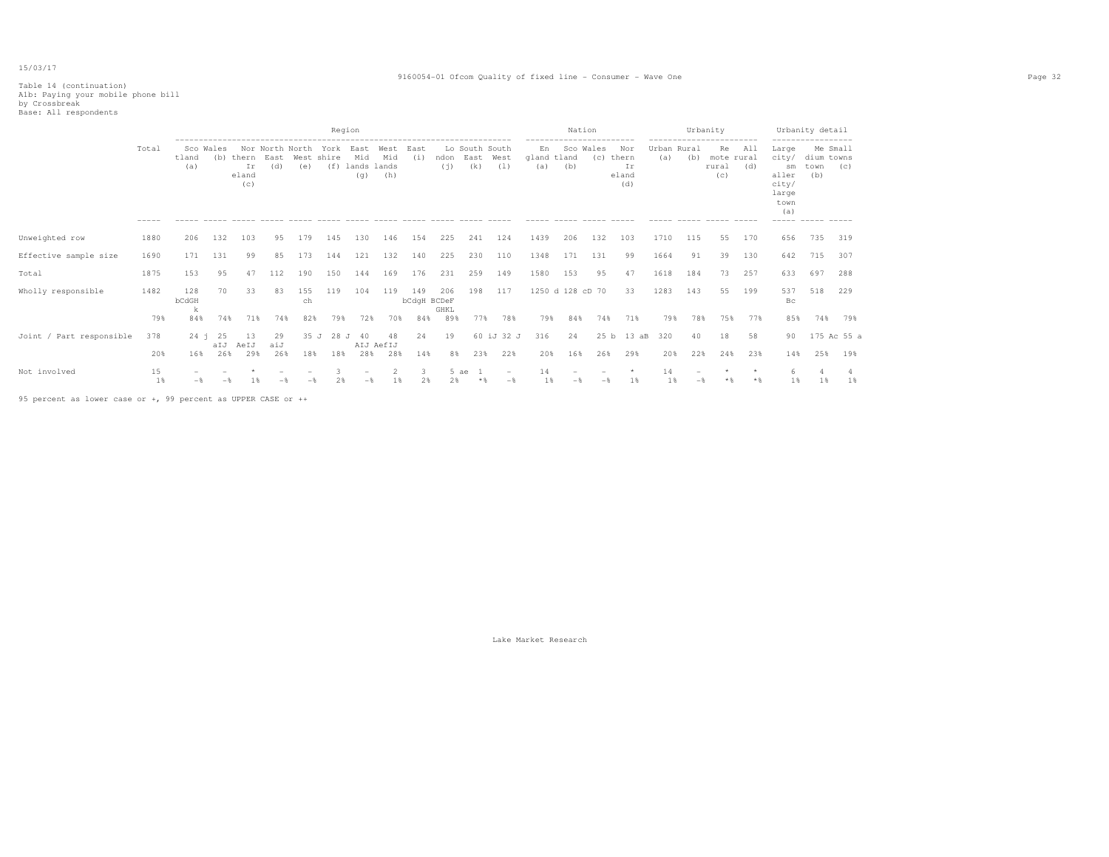#### 9160054-01 Ofcom Quality of fixed line - Consumer - Wave One Page 32

# Table 14 (continuation) A1b: Paying your mobile phone bill by Crossbreak Base: All respondents

|                          |             |                   |                  |                                  |                  |                        | Region             |                                   |                             |                    |             |                               |                   |                          | Nation                                       |     |                                    |                    |           | Urbanity                                                    |                        |                                                                               | Urbanity detail           |                    |
|--------------------------|-------------|-------------------|------------------|----------------------------------|------------------|------------------------|--------------------|-----------------------------------|-----------------------------|--------------------|-------------|-------------------------------|-------------------|--------------------------|----------------------------------------------|-----|------------------------------------|--------------------|-----------|-------------------------------------------------------------|------------------------|-------------------------------------------------------------------------------|---------------------------|--------------------|
|                          | Total       | tland<br>(a)      | Sco Wales<br>(b) | thern East<br>Ir<br>eland<br>(c) | (d)              | Nor North North<br>(e) | York<br>West shire | East<br>Mid<br>$(f)$ lands<br>(q) | West<br>Mid<br>lands<br>(h) | East<br>(i)        | ndon<br>(i) | Lo South South<br>East<br>(k) | West<br>(1)       | En<br>gland tland<br>(a) | ------------------------<br>Sco Wales<br>(b) | (C) | Nor<br>thern<br>Ir<br>eland<br>(d) | Urban Rural<br>(a) | (b)       | -----------------------<br>Re<br>mote rural<br>rural<br>(C) | All<br>(d)<br>$------$ | Large<br>city/<br>sm<br>aller<br>city/<br>large<br>town<br>(a)<br>$- - - - -$ | dium towns<br>town<br>(b) | Me Small<br>(C)    |
| Unweighted row           | 1880        | 206               | 132              | 103                              | 95               | 179                    | 145                | 130                               | 146                         | 154                | 225         | 241                           | 124               | 1439                     | 206                                          | 132 | 103                                | 1710               | 115       | 55                                                          | 170                    | 656                                                                           | 735                       | 319                |
| Effective sample size    | 1690        | 171               | 131              | 99                               | 85               | 173                    | 144                | 121                               | 132                         | 140                | 225         | 230                           | 110               | 1348                     | 171                                          | 131 | 99                                 | 1664               | 91        | 39                                                          | 130                    | 642                                                                           | 715                       | 307                |
| Total                    | 1875        | 153               | 95               | 47                               | 112              | 190                    | 150                | 144                               | 169                         | 176                | 231         | 259                           | 149               | 1580                     | 153                                          | 95  | 47                                 | 1618               | 184       | 73                                                          | 257                    | 633                                                                           | 697                       | 288                |
| Wholly responsible       | 1482        | 128<br>bCdGH<br>k | 70               | 33                               | 83               | 155<br>ch              | 119                | 104                               | 119                         | 149<br>bCdgH BCDeF | 206<br>GHKL | 198                           | 117               |                          | 1250 d 128 cD 70                             |     | 33                                 | 1283               | 143       | 55                                                          | 199                    | 537<br>Bс                                                                     | 518                       | 229                |
|                          | 79%         | 84%               | 74%              | 71%                              | 74%              | 82%                    | 79%                | 72%                               | 70%                         | 84%                | 89%         | 77%                           | 78%               | 79%                      | 84%                                          | 74% | 71%                                | 79%                | 78%       | 75%                                                         | 77%                    | 85%                                                                           | 74%                       | 79%                |
| Joint / Part responsible | 378<br>20%  | $24 - i$<br>16%   | 25<br>aIJ<br>26% | 13<br>AeIJ<br>29%                | 29<br>aiJ<br>26% | 35 J<br>18%            | 28<br>18%          | 40<br>$\cdot$ T<br>28%            | 48<br>AIJ AefIJ<br>28%      | 24<br>14%          | 19<br>8%    | 23%                           | 60 iJ 32 J<br>22% | 316<br>20%               | 24<br>16%                                    | 26% | 25 b 13 aB<br>29%                  | 320<br>20%         | 40<br>22% | 18<br>24%                                                   | 58<br>23%              | 90<br>14%                                                                     | 25%                       | 175 Ac 55 a<br>19% |
| Not involved             | 15<br>$1\%$ |                   |                  |                                  |                  |                        |                    | $-$                               | 1 %                         | 3<br>2%            | 2.8         | 5 ae                          | $\qquad \qquad$   | 14                       |                                              |     | 1%                                 | 14<br>1%           | —※        |                                                             |                        | 1%                                                                            | 1%                        | 1%                 |

95 percent as lower case or +, 99 percent as UPPER CASE or ++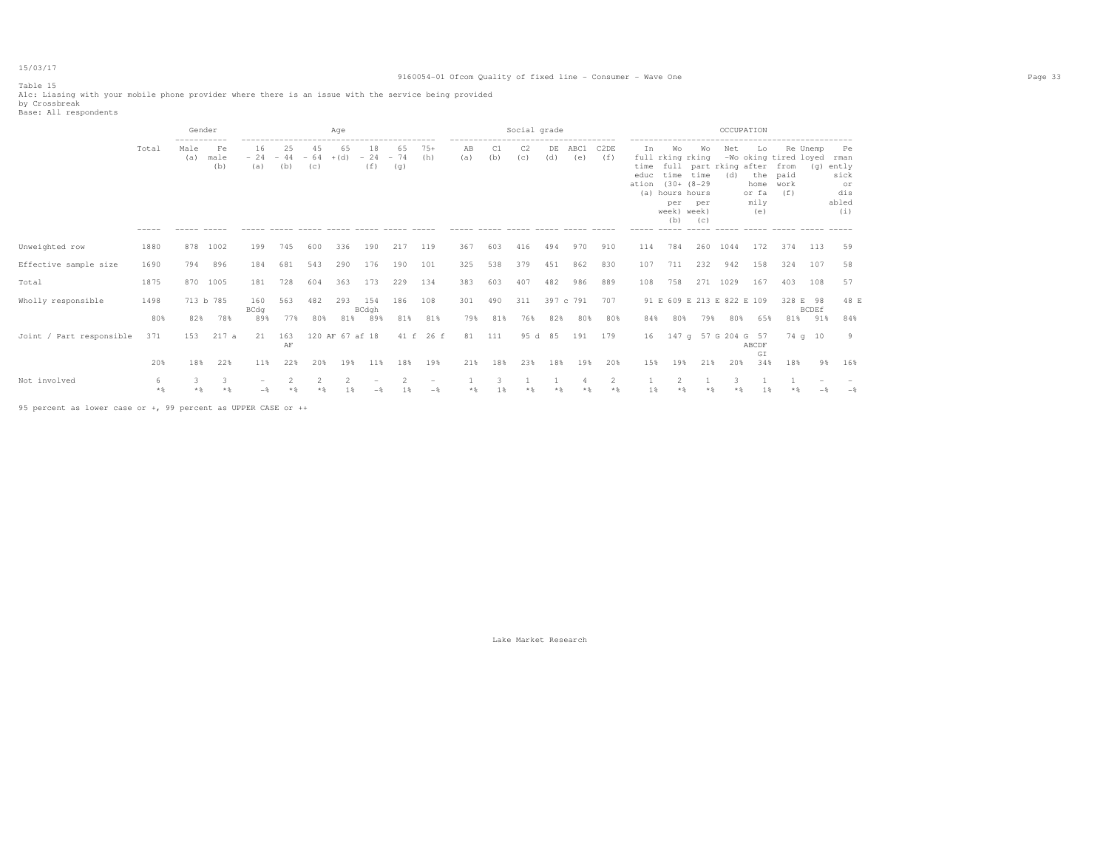#### 9160054-01 Ofcom Quality of fixed line - Consumer - Wave One Page 33

Table 15 Alc: Liasing with your mobile phone provider where there is an issue with the service being provided<br>by Crossbreak<br>Base: All respondents

|                          |             | Gender<br>----------- |                   |                        |                         |                          | Age             |                     |                    |                                        |                                                    |            | Social grade          |           |                  |             |                             |                                                                        |                                                                                   |                                                           | OCCUPATION                                 |                                                           |                                 |                                                      |
|--------------------------|-------------|-----------------------|-------------------|------------------------|-------------------------|--------------------------|-----------------|---------------------|--------------------|----------------------------------------|----------------------------------------------------|------------|-----------------------|-----------|------------------|-------------|-----------------------------|------------------------------------------------------------------------|-----------------------------------------------------------------------------------|-----------------------------------------------------------|--------------------------------------------|-----------------------------------------------------------|---------------------------------|------------------------------------------------------|
|                          | Total       | Male<br>(a)           | Fe<br>male<br>(b) | 16<br>$-24 -44$<br>(a) | 25<br>(b)               | 45<br>$-64$ + (d)<br>(C) | 65              | 18<br>$-24$<br>(f)  | 65<br>$-74$<br>(q) | $75+$<br>(h)                           | -------------------------------------<br>AB<br>(a) | C1<br>(b)  | C <sub>2</sub><br>(C) | DE<br>(d) | ABC1<br>(e)      | C2DE<br>(f) | In<br>time<br>educ<br>ation | Wo<br>full rking rking<br>(a) hours hours<br>per<br>week) week)<br>(b) | Wo<br>time time<br>$(30 + (8 - 29$<br>per<br>(C)<br>$\cdots \cdots \cdots \cdots$ | Net<br>full part rking after<br>(d)<br>------ ----- ----- | Lo.<br>the<br>home<br>or fa<br>mily<br>(e) | -Wo oking tired loyed rman<br>from<br>paid<br>work<br>(f) | Re Unemp                        | Pe<br>(g) ently<br>sick<br>or<br>dis<br>abled<br>(i) |
| Unweighted row           | 1880        | 878                   | 1002              | 199                    | 745                     | 600                      | 336             | 190                 | 217                | 119                                    | 367                                                | 603        | 416                   | 494       | 970              | 910         | 114                         | 784                                                                    | 260                                                                               | 1044                                                      | 172                                        | 374                                                       | 113                             | 59                                                   |
| Effective sample size    | 1690        | 794                   | 896               | 184                    | 681                     | 543                      | 290             | 176                 | 190                | 101                                    | 325                                                | 538        | 379                   | 451       | 862              | 830         | 107                         | 711                                                                    | 232                                                                               | 942                                                       | 158                                        | 324                                                       | 107                             | 58                                                   |
| Total                    | 1875        | 870                   | 1005              | 181                    | 728                     | 604                      | 363             | 173                 | 229                | 134                                    | 383                                                | 603        | 407                   | 482       | 986              | 889         | 108                         | 758                                                                    |                                                                                   | 271 1029                                                  | 167                                        | 403                                                       | 108                             | 57                                                   |
| Wholly responsible       | 1498<br>80% | 82%                   | 713 b 785<br>78%  | 160<br>BCdq<br>89%     | 563<br>77%              | 482<br>80%               | 293<br>81%      | 154<br>BCdgh<br>89% | 186<br>81%         | 108<br>81%                             | 301<br>79%                                         | 490<br>81% | 311<br>76%            | 82%       | 397 c 791<br>80% | 707<br>80%  | 84%                         | 91 E 609 E 213 E 822 E 109<br>80%                                      | 79%                                                                               | 80%                                                       | 65%                                        | 81%                                                       | 328 E 98<br><b>BCDEf</b><br>91% | 48 E<br>84%                                          |
| Joint / Part responsible | 371         | 153                   | 217a              | 21                     | 163<br>AF               |                          | 120 AF 67 af 18 |                     |                    | 41 f 26 f                              | 81                                                 | 111        | 95 d                  | 85        | 191              | 179         | 16                          |                                                                        |                                                                                   | 147 q 57 G 204 G 57                                       | ABCDF                                      |                                                           | 74q10                           | -9                                                   |
|                          | 20%         | 18%                   | 22%               | 11%                    | 22%                     | 20%                      | 19%             | 11%                 | 18%                | 19%                                    | 21%                                                | 18%        | 23%                   | 18%       | 19%              | 20%         | 15%                         | 19%                                                                    | 21%                                                                               | 20%                                                       | GI<br>34%                                  | 18%                                                       | 9 %                             | 16%                                                  |
| Not involved             | 6<br>$*$ &  |                       | 3.<br>$*$ &       |                        | $\mathfrak{D}$<br>$*$ & |                          | $\mathfrak{D}$  |                     |                    | $\hspace{0.1mm}-\hspace{0.1mm}$<br>$-$ | $*$ &                                              |            |                       |           |                  | 2<br>$*$ &  | 1 <sup>8</sup>              | $\overline{2}$                                                         |                                                                                   |                                                           |                                            |                                                           |                                 | $-$                                                  |

95 percent as lower case or +, 99 percent as UPPER CASE or ++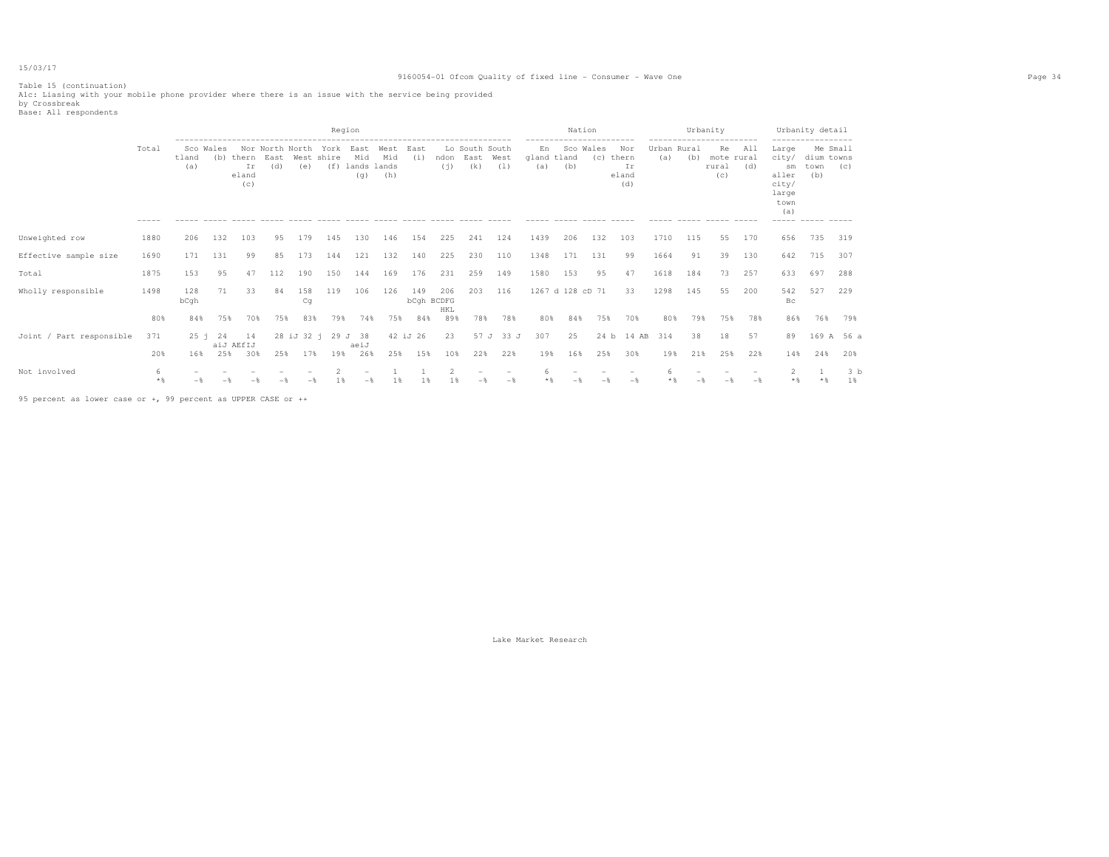#### 9160054-01 Ofcom Quality of fixed line - Consumer - Wave One Page 34

Table 15 (continuation) A1c: Liasing with your mobile phone provider where there is an issue with the service being provided by Crossbreak Base: All respondents

|                          |                        |              |                  |                                  |     |                        | Region                  |                           |                             |             |                          |                               |             |                          | Nation                          |                  |                                    |                    |     | Urbanity                                                    |            |                                                                | Urbanity detail                       |                      |
|--------------------------|------------------------|--------------|------------------|----------------------------------|-----|------------------------|-------------------------|---------------------------|-----------------------------|-------------|--------------------------|-------------------------------|-------------|--------------------------|---------------------------------|------------------|------------------------------------|--------------------|-----|-------------------------------------------------------------|------------|----------------------------------------------------------------|---------------------------------------|----------------------|
|                          | Total                  | tland<br>(a) | Sco Wales<br>(b) | thern East<br>Ir<br>eland<br>(c) | (d) | Nor North North<br>(e) | York East<br>West shire | Mid<br>$(f)$ lands<br>(q) | West<br>Mid<br>lands<br>(h) | East<br>(i) | ndon<br>(i)              | Lo South South<br>East<br>(k) | West<br>(1) | En<br>gland tland<br>(a) | ------------------------<br>(b) | Sco Wales<br>(C) | Nor<br>thern<br>Ir<br>eland<br>(d) | Urban Rural<br>(a) | (b) | -----------------------<br>Re<br>mote rural<br>rural<br>(C) | All<br>(d) | Large<br>city/<br>sm<br>aller<br>city/<br>large<br>town<br>(a) | Me Small<br>dium towns<br>town<br>(b) | (C)                  |
| Unweighted row           | 1880                   | 206          | 132              | 103                              | 95  | 179                    | 145                     | 130                       | 146                         | 154         | 225                      | 241                           | 124         | 1439                     | 206                             | 132              | 103                                | 1710               | 115 | 55                                                          | 170        | 656                                                            | 735                                   | 319                  |
| Effective sample size    | 1690                   | 171          | 131              | 99                               | 85  | 173                    | 144                     | 121                       | 132                         | 140         | 225                      | 230                           | 110         | 1348                     | 171                             | 131              | 99                                 | 1664               | 91  | 39                                                          | 130        | 642                                                            | 715                                   | 307                  |
| Total                    | 1875                   | 153          | 95               | 47                               | 112 | 190                    | 150                     | 144                       | 169                         | 176         | 231                      | 259                           | 149         | 1580                     | 153                             | 95               | 47                                 | 1618               | 184 | 73                                                          | 257        | 633                                                            | 697                                   | 288                  |
| Wholly responsible       | 1498                   | 128<br>bCqh  | 71               | 33.                              | 84  | 158<br>Cq              | 119                     | 106                       | 126                         | 149         | 206<br>bCqh BCDFG<br>HKL | 203                           | 116         |                          | 1267 d 128 cD 71                |                  | 33                                 | 1298               | 145 | 55                                                          | 200        | 542<br>Bc                                                      | 527                                   | 229                  |
|                          | 80%                    | 84%          | 75%              | 70%                              | 75% | 83%                    | 79%                     | 74%                       | 75%                         | 84%         | 89%                      | 78%                           | 78%         | 80%                      | 84%                             | 75%              | 70%                                | 80%                | 79% | 75%                                                         | 78%        | 86%                                                            | 76%                                   | 79%                  |
| Joint / Part responsible | 371                    | 25 i         | 24               | 14<br>aiJ AEfIJ                  |     |                        | 28 iJ 32 i 29 J 38      | aeiJ                      |                             | 42 iJ 26    | 23                       |                               | 57 J 33 J   | 307                      | 25                              |                  | 24 b 14 AB                         | 314                | 38  | 18                                                          | 57         | 89                                                             |                                       | 169 A 56 a           |
|                          | 20%                    | 16%          | 25%              | 30%                              | 25% | 17%                    | 19%                     | 26%                       | 25%                         | 15%         | 10%                      | 22%                           | 22%         | 19%                      | 16%                             | 25%              | 30%                                | 19%                | 21% | 25%                                                         | 22%        | 14%                                                            | 24%                                   | 20%                  |
| Not involved             | 6<br>$*$ $\frac{6}{3}$ |              |                  |                                  |     |                        |                         |                           | 1 %                         | 1 %         | 1 %                      |                               |             | 6                        |                                 |                  |                                    |                    |     |                                                             |            |                                                                |                                       | 3 <sub>b</sub><br>1% |

95 percent as lower case or +, 99 percent as UPPER CASE or ++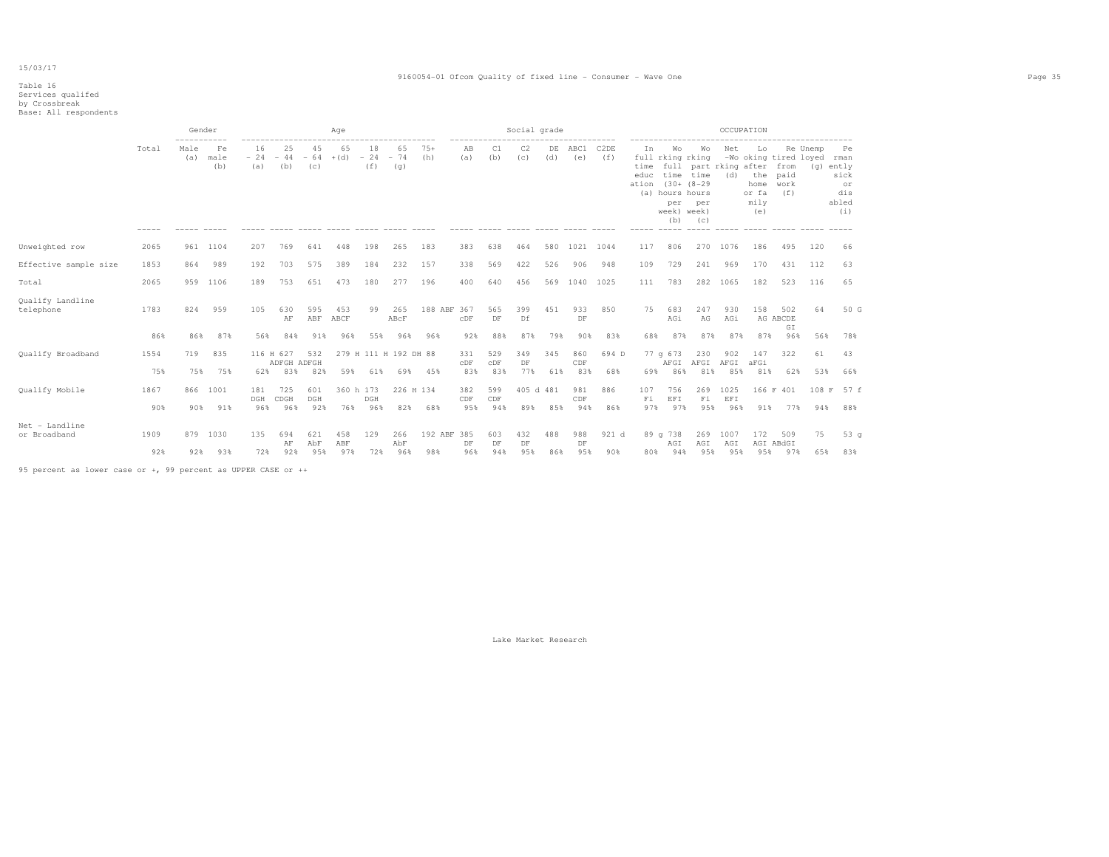#### 9160054-01 Ofcom Quality of fixed line - Consumer - Wave One Page 35

### Table 16 Services qualifed by Crossbreak Base: All respondents

|                                |             | ----------- | Gender            |                    |                    |                    | Aqe               |                    |                       |                    |                    |                  | Social grade          |            |                  |                          |                             |                                                                        |                                                                           |                    | OCCUPATION                                |                                                      |                 |                                                          |
|--------------------------------|-------------|-------------|-------------------|--------------------|--------------------|--------------------|-------------------|--------------------|-----------------------|--------------------|--------------------|------------------|-----------------------|------------|------------------|--------------------------|-----------------------------|------------------------------------------------------------------------|---------------------------------------------------------------------------|--------------------|-------------------------------------------|------------------------------------------------------|-----------------|----------------------------------------------------------|
|                                | Total       | Male<br>(a) | Fe<br>male<br>(b) | 16<br>$-24$<br>(a) | 25<br>$-44$<br>(b) | 45<br>$-64$<br>(c) | 65<br>$+(d)$      | 18<br>$-24$<br>(f) | 65<br>$-74$<br>(q)    | $75+$<br>(h)       | AB<br>(a)          | C1<br>(b)        | C <sub>2</sub><br>(c) | DE<br>(d)  | ABC1<br>(e)      | C <sub>2</sub> DE<br>(f) | In<br>time<br>educ<br>ation | Wo<br>full rking rking<br>(a) hours hours<br>per<br>week) week)<br>(b) | Wo<br>full part rking after<br>time time<br>$(30 + (8 - 29$<br>per<br>(C) | Net<br>(d)         | Lo<br>the<br>home<br>or fa<br>mily<br>(e) | -Wo oking tired loyed<br>from<br>paid<br>work<br>(f) | Re Unemp<br>(q) | Pe<br>rman<br>ently<br>sick<br>or<br>dis<br>abled<br>(i) |
| Unweighted row                 | 2065        |             | 961 1104          | 207                | 769                | 641                | 448               | 198                | 265                   | 183                | 383                | 638              | 464                   | 580        | 1021 1044        |                          | 117                         | 806                                                                    | 270                                                                       | 1076               | 186                                       | 495                                                  | 120             | 66                                                       |
| Effective sample size          | 1853        | 864         | 989               | 192                | 703                | 575                | 389               | 184                | 232                   | 157                | 338                | 569              | 422                   | 526        | 906              | 948                      | 109                         | 729                                                                    | 241                                                                       | 969                | 170                                       | 431                                                  | 112             | 63                                                       |
| Total                          | 2065        | 959         | 1106              | 189                | 753                | 651                | 473               | 180                | 277                   | 196                | 400                | 640              | 456                   | 569        | 1040 1025        |                          | 111                         | 783                                                                    | 282                                                                       | 1065               | 182                                       | 523                                                  | 116             | 65                                                       |
| Qualify Landline<br>telephone  | 1783        | 824         | 959               | 105                | 630<br>AF          | 595<br>ABF         | 453<br>ABCF       | 99                 | 265<br>ABcF           | 188 ABF 367        | $_{\rm CDF}$       | 565<br>DF        | 399<br>Df             | 451        | 933<br>DF        | 850                      | 75                          | 683<br>AGi                                                             | 247<br>AG                                                                 | 930<br>AGi         | 158                                       | 502<br>AG ABCDE<br>$\mathbb{G}\,\mathbb{I}$          | 64              | 50 G                                                     |
|                                | 86%         | 86%         | 87%               | 56%                | 84%                | 91%                | 96%               | 55%                | 96%                   | 96%                | 92%                | 88%              | 87%                   | 79%        | 90%              | 83%                      | 68%                         | 87%                                                                    | 87%                                                                       | 87%                | 87%                                       | 96%                                                  | 56%             | 78%                                                      |
| Qualify Broadband              | 1554        | 719         | 835               | 116 H 627          | ADFGH ADFGH        | 532                |                   |                    | 279 H 111 H 192 DH 88 |                    | 331<br>CDF         | 529<br>CDF       | 349<br>DF             | 345        | 860<br>CDF       | 694 D                    |                             | $77$ q 673<br>AFGI                                                     | 230<br>AFGI                                                               | 902<br>AFGI        | 147<br>aFGi                               | 322                                                  | 61              | 43                                                       |
|                                | 75%         | 75%         | 75%               | 62%                | 83%                | 82%                | 59%               | 61%                | 69%                   | 45%                | 83%                | 83%              | 77%                   | 61%        | 83%              | 68%                      | 69%                         | 86%                                                                    | 81%                                                                       | 85%                | 81%                                       | 62%                                                  | 53%             | 66%                                                      |
| Qualify Mobile                 | 1867        | 866         | 1001              | 181<br>DGH         | 725<br>CDGH        | 601<br>DGH         | 360 h 173         | DGH                | 226 H 134             |                    | 382<br>${\rm CDF}$ | 599<br>CDF       |                       | 405 d 481  | 981<br>CDF       | 886                      | 107<br>Fi                   | 756<br>EFI                                                             | 269<br>Fi                                                                 | 1025<br>EFI        |                                           | 166 F 401                                            | 108 F           | 57 f                                                     |
|                                | 90%         | 90%         | 91%               | 96%                | 96%                | 92%                | 76%               | 96%                | 82%                   | 68%                | 95%                | 94%              | 89%                   | 85%        | 94%              | 86%                      | 97%                         | 97%                                                                    | 95%                                                                       | 96%                | 91%                                       | 77%                                                  | 94%             | 88%                                                      |
| Net - Landline<br>or Broadband | 1909<br>92% | 879<br>92%  | 1030<br>93%       | 135<br>72%         | 694<br>AF<br>92%   | 621<br>AbF<br>95%  | 458<br>ABF<br>97% | 129<br>72%         | 266<br>AbF<br>96%     | 192 ABF 385<br>98% | DF<br>96%          | 603<br>DF<br>94% | 432<br>DF<br>95%      | 488<br>86% | 988<br>DF<br>95% | 921 d<br>90%             | 80%                         | 89 g 738<br>AGI<br>94%                                                 | 269<br>AGI<br>95%                                                         | 1007<br>AGI<br>95% | 172<br>95%                                | 509<br>AGI ABdGI<br>97%                              | 75<br>65%       | 53 <sub>q</sub><br>83%                                   |
|                                |             |             |                   |                    |                    |                    |                   |                    |                       |                    |                    |                  |                       |            |                  |                          |                             |                                                                        |                                                                           |                    |                                           |                                                      |                 |                                                          |

95 percent as lower case or +, 99 percent as UPPER CASE or ++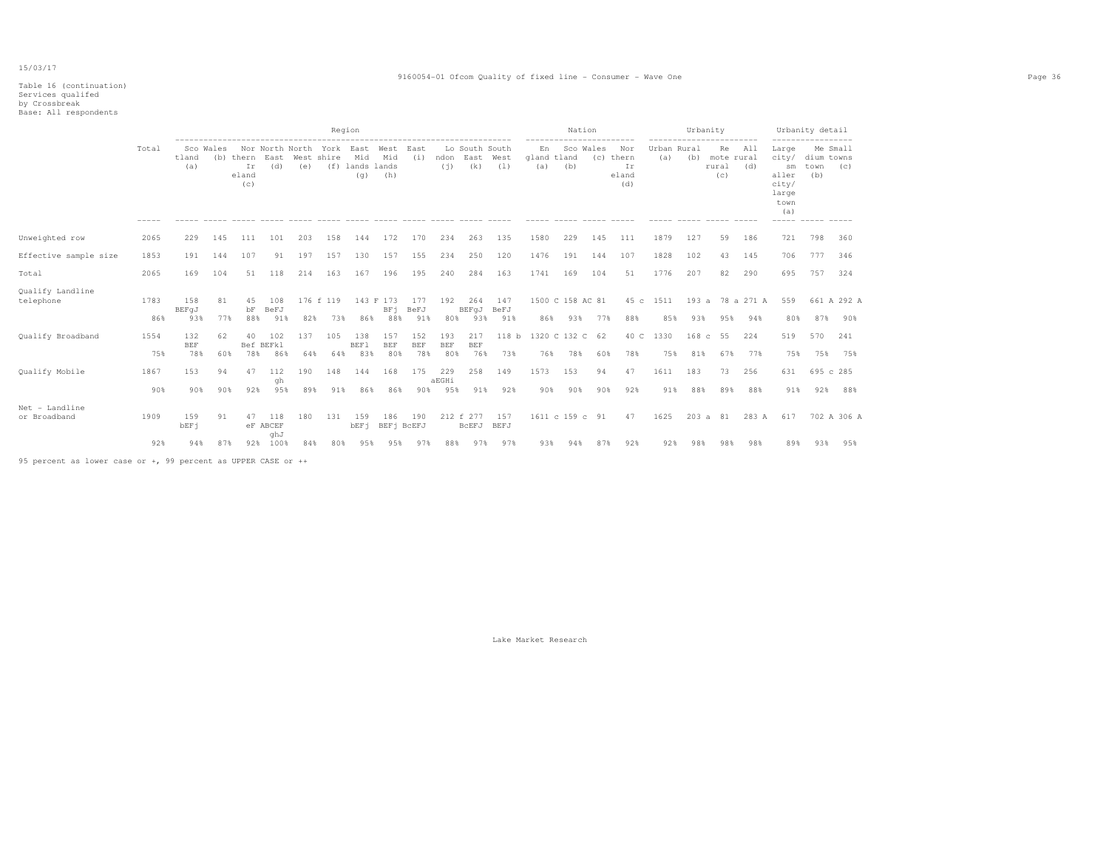|                                |             | Region                   |           |                                 |                         |            |                                                   |                               |                                     |                          |                          |                               |                         | Nation<br>------------------------ |                         |           |                                        | Urbanity<br>----------------------- |             |                                  |                         | Urbanity detail<br>-----------------                           |                                       |                    |
|--------------------------------|-------------|--------------------------|-----------|---------------------------------|-------------------------|------------|---------------------------------------------------|-------------------------------|-------------------------------------|--------------------------|--------------------------|-------------------------------|-------------------------|------------------------------------|-------------------------|-----------|----------------------------------------|-------------------------------------|-------------|----------------------------------|-------------------------|----------------------------------------------------------------|---------------------------------------|--------------------|
|                                | Total       | tland<br>(a)             | Sco Wales | (b) thern<br>Ir<br>eland<br>(c) | East<br>(d)             | (e)        | Nor North North York East West East<br>West shire | Mid<br>(f) lands lands<br>(q) | Mid<br>(h)                          | (i)                      | ndon<br>(i)              | Lo South South<br>East<br>(k) | West<br>(1)             | En<br>gland tland<br>(a)           | Sco Wales<br>(b)        |           | Nor<br>(c) thern<br>Ir<br>eland<br>(d) | Urban Rural<br>(a)                  | (b)         | Re<br>mote rural<br>rural<br>(C) | All<br>(d)              | Large<br>city/<br>sm<br>aller<br>city/<br>large<br>town<br>(a) | Me Small<br>dium towns<br>town<br>(b) | (C)                |
| Unweighted row                 | 2065        | 229                      | 145       | 111                             | 101                     | 203        | 158                                               | 144                           | 172                                 | 170                      | 234                      | 263                           | 135                     | 1580                               | 229                     | 145       | 111                                    | 1879                                | 127         | 59                               | 186                     | 721                                                            | 798                                   | 360                |
| Effective sample size          | 1853        | 191                      | 144       | 107                             | 91                      | 197        | 157                                               | 130                           | 157                                 | 155                      | 234                      | 250                           | 120                     | 1476                               | 191                     | 144       | 107                                    | 1828                                | 102         | 43                               | 145                     | 706                                                            | 777                                   | 346                |
| Total                          | 2065        | 169                      | 104       | 51                              | 118                     | 214        | 163                                               | 167                           | 196                                 | 195                      | 240                      | 284                           | 163                     | 1741                               | 169                     | 104       | 51                                     | 1776                                | 207         | 82                               | 290                     | 695                                                            | 757                                   | 324                |
| Qualify Landline<br>telephone  | 1783<br>86% | 158<br>BEFqJ<br>93%      | 81<br>77% | 45<br>bF<br>88%                 | 108<br>BeFJ<br>91%      | 82%        | 176 f 119<br>73%                                  | 86%                           | 143 F 173<br>BF <sub>i</sub><br>88% | 177<br>BeFJ<br>91%       | 192<br>80%               | 264<br>BEFqJ BeFJ<br>93%      | 147<br>91%              | 86%                                | 1500 C 158 AC 81<br>93% | 77%       | 88%                                    | 45 c 1511<br>85%                    | 93%         | 95%                              | 193 a 78 a 271 A<br>94% | 559<br>80%                                                     | 87%                                   | 661 A 292 A<br>90% |
| Qualify Broadband              | 1554<br>75% | 132<br><b>BEF</b><br>78% | 62<br>60% | 40<br>78%                       | 102<br>Bef BEFkl<br>86% | 137<br>64% | 105<br>64%                                        | 138<br><b>BEF1</b><br>83%     | 157<br><b>BEF</b><br>80%            | 152<br><b>BEF</b><br>78% | 193<br><b>BEF</b><br>80% | 217<br><b>BEF</b><br>76%      | 118 <sub>b</sub><br>73% | 76%                                | 1320 C 132 C 62<br>78%  | 60%       | 40 C<br>78%                            | 1330<br>75%                         | 168c<br>81% | 55<br>67%                        | 224<br>77%              | 519<br>75%                                                     | 570<br>75%                            | 241<br>75%         |
| Qualify Mobile                 | 1867<br>90% | 153<br>90%               | 94<br>90% | 47<br>92%                       | 112<br>qh<br>95%        | 190<br>89% | 148<br>91%                                        | 144<br>86%                    | 168<br>86%                          | 175<br>90%               | 229<br>aEGHi<br>95%      | 258<br>91%                    | 149<br>92%              | 1573<br>90%                        | 153<br>90%              | 94<br>90% | 47<br>92%                              | 1611<br>91%                         | 183<br>88%  | 73<br>89%                        | 256<br>88%              | 631<br>91%                                                     | 695 c 285<br>92%                      | 88%                |
| Net - Landline<br>or Broadband | 1909        | 159<br>bEF <sub>1</sub>  | 91        | 47                              | 118<br>eF ABCEF<br>qhJ  | 180        | 131                                               | 159<br>bEF <sub>1</sub>       | 186<br>BEF <sub>1</sub> BCEFJ       | 190                      |                          | 212 f 277<br>BCEFJ BEFJ       | 157                     |                                    | 1611 c 159 c 91         |           | 47                                     | 1625                                |             | 203 a 81                         |                         | 283 A 617                                                      |                                       | 702 A 306 A        |
|                                | 92%         | 94%                      | 87%       |                                 | 92% 100%                | 84%        | 80%                                               | 9.5%                          | 95%                                 | 97%                      | 88%                      | 97%                           | 97%                     | 93%                                | 94%                     | 87%       | 92%                                    | 92%                                 | 98%         | 98%                              | 98%                     | 89%                                                            | 93%                                   | 95%                |

95 percent as lower case or +, 99 percent as UPPER CASE or ++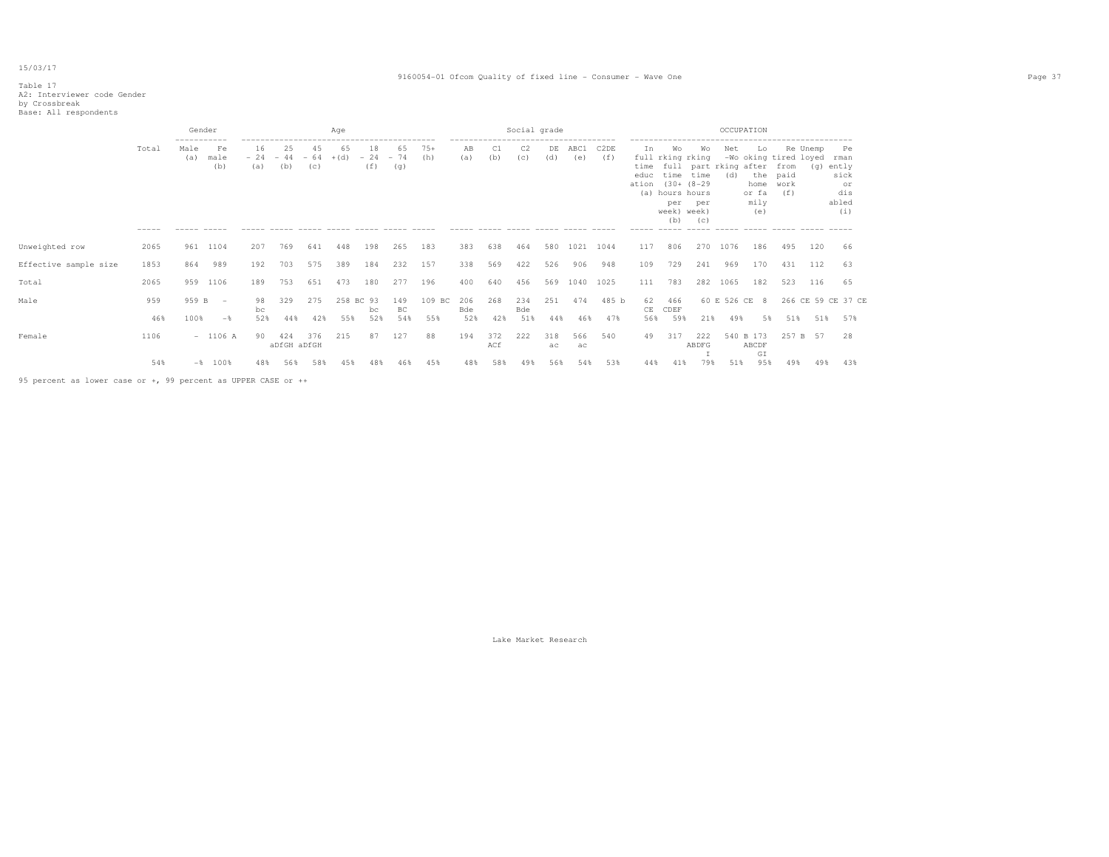#### 9160054-01 Ofcom Quality of fixed line - Consumer - Wave One Page 37

### Table 17 A2: Interviewer code Gender by Crossbreak Base: All respondents

|                       |               | ----------- | Gender             |                    |              |                    |                    | Aae                                  |                                      |                                                    |                    |            |            | Social grade |                          |                             |                                                                                |                                                                      |                                      |                                                                    |                             | OCCUPATION               |                                                          |     |                    |  |
|-----------------------|---------------|-------------|--------------------|--------------------|--------------|--------------------|--------------------|--------------------------------------|--------------------------------------|----------------------------------------------------|--------------------|------------|------------|--------------|--------------------------|-----------------------------|--------------------------------------------------------------------------------|----------------------------------------------------------------------|--------------------------------------|--------------------------------------------------------------------|-----------------------------|--------------------------|----------------------------------------------------------|-----|--------------------|--|
|                       | Total         | Fe<br>male  | 16<br>$-24$<br>(a) | 25<br>$-44$<br>(b) | $-64$<br>(c) | 65<br>$+(d)$       | 18<br>$-24$<br>(f) | 65<br>$-74$<br>(g)                   | $75+$<br>(h)                         | -------------------------------------<br>AB<br>(a) | C1<br>(b)          | C2<br>(C)  | DE<br>(d)  | ABC1<br>(e)  | C <sub>2</sub> DE<br>(f) | Ιn<br>time<br>educ<br>ation | Wo<br>full rking rking<br>time<br>(a) hours hours<br>per<br>week) week)<br>(b) | Wo<br>full part rking after<br>time<br>$(30 + (8 - 29$<br>per<br>(C) | Net<br>(d)                           | Lo<br>-Wo oking tired loyed<br>the<br>home<br>or fa<br>mily<br>(e) | from<br>paid<br>work<br>(f) | Re Unemp<br>(q)          | Pe<br>rman<br>ently<br>sick<br>or<br>dis<br>abled<br>(i) |     |                    |  |
| Unweighted row        | -----<br>2065 | 961         | 1104               |                    | 207          | 769                | 641                | $\cdots \cdots \cdots \cdots$<br>448 | $\cdots \cdots \cdots \cdots$<br>198 | 265                                                | $- - - - -$<br>183 | 383        | 638        | 464          | 580                      | 1021                        | 1044                                                                           | 117                                                                  | $\cdots \cdots \cdots \cdots$<br>806 | $- - - - -$<br>270                                                 | $\frac{1}{2}$<br>1076       | ------ -----<br>186      | 495                                                      | 120 | -66                |  |
| Effective sample size | 1853          | 864         | 989                |                    | 192          | 703                | 575                | 389                                  | 184                                  | 232                                                | 157                | 338        | 569        | 422          | 526                      | 906                         | 948                                                                            | 109                                                                  | 729                                  | 241                                                                | 969                         | 170                      | 431                                                      | 112 | -63                |  |
| Total                 | 2065          | 959         | 1106               |                    | 189          | 753                | 651                | 473                                  | 180                                  | 277                                                | 196                | 400        | 640        | 456          | 569                      | 1040                        | 1025                                                                           | 111                                                                  | 783                                  | 282                                                                | 1065                        | 182                      | 523                                                      | 116 | 65                 |  |
| Male                  | 959           | 959 B       | $-$                |                    | 98<br>bc     | 329                | 275                |                                      | 258 BC 93<br>bc                      | 149<br>BC                                          | 109 BC             | 206<br>Bde | 268        | 234<br>Bde   | 251                      | 474                         | 485 b                                                                          | 62<br>CE.                                                            | 466<br>CDEF                          |                                                                    | 60 E 526 CE                 | 8                        |                                                          |     | 266 CE 59 CE 37 CE |  |
|                       | 46%           | 100%        |                    | $-$                | 52%          | 44%                | 42%                | 55%                                  | 52%                                  | 54%                                                | 55%                | 52%        | 42%        | 51%          | 44%                      | 46%                         | 47%                                                                            | 56%                                                                  | 59%                                  | 21%                                                                | 49%                         | 5%                       | 51%                                                      | 51% | 57%                |  |
| Female                | 1106          |             | $-1106 A$          |                    | 90           | 424<br>aDfGH aDfGH | 376                | 215                                  | 87                                   | 127                                                | 88                 | 194        | 372<br>ACf | 222          | 318<br>ac                | 566<br>ac                   | 540                                                                            | 49                                                                   | 317                                  | 222<br>ABDFG                                                       |                             | 540 B 173<br>ABCDF<br>GI | 257 B                                                    | 57  | 28                 |  |
|                       | 54%           |             | $-8$ 100%          |                    | 48%          | 56%                | 58%                | 45%                                  | 48%                                  | 46%                                                | 45%                | 48%        | 58%        | 49%          | 56%                      | 54%                         | 53%                                                                            | 44%                                                                  | 41%                                  | 79%                                                                | 51%                         | 95%                      | 49%                                                      | 49% | 43%                |  |

95 percent as lower case or +, 99 percent as UPPER CASE or ++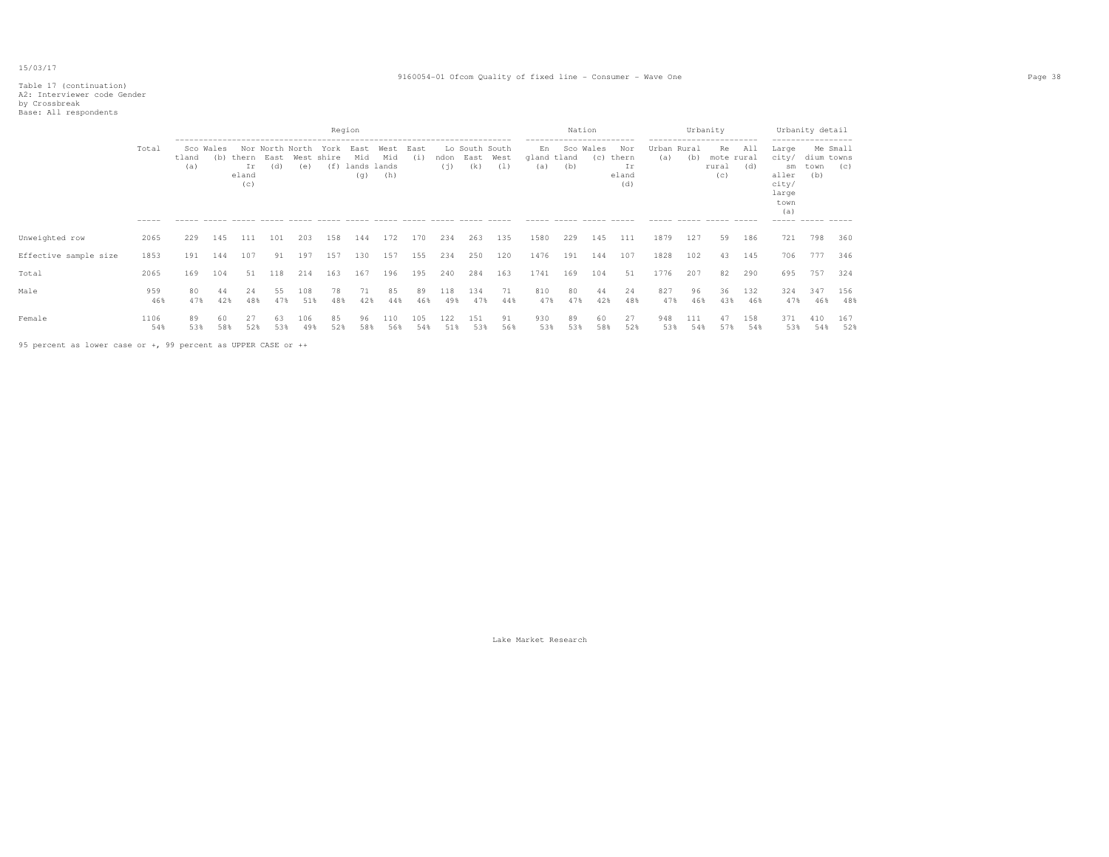# Table 17 (continuation) A2: Interviewer code Gender by Crossbreak Base: All respondents

|                       |             |              |                  |                             |                                |            | Region                    |                                   |                    |             |             |                               |             | ------------------------ | Nation     |              |                                    | ------------------------      | Urbanity   |                                  |            | ------------------                                             | Urbanity detail           |                 |
|-----------------------|-------------|--------------|------------------|-----------------------------|--------------------------------|------------|---------------------------|-----------------------------------|--------------------|-------------|-------------|-------------------------------|-------------|--------------------------|------------|--------------|------------------------------------|-------------------------------|------------|----------------------------------|------------|----------------------------------------------------------------|---------------------------|-----------------|
|                       | Total       | tland<br>(a) | Sco Wales<br>(b) | thern<br>Ιr<br>eland<br>(C) | Nor North North<br>East<br>(d) | (e)        | York<br>West shire<br>(f) | East<br>Mid<br>lands lands<br>(q) | West<br>Mid<br>(h) | East<br>(i) | ndon<br>(i) | Lo South South<br>East<br>(k) | West<br>(1) | En<br>gland tland<br>(a) | Sco<br>(b) | Wales<br>(C) | Nor<br>thern<br>Ιr<br>eland<br>(d) | Urban Rural<br>(a)            | (b)        | Re<br>mote rural<br>rural<br>(C) | All<br>(d) | Large<br>city/<br>sm<br>aller<br>city/<br>large<br>town<br>(a) | dium towns<br>town<br>(b) | Me Small<br>(C) |
|                       | $------$    |              |                  |                             |                                |            |                           |                                   |                    |             |             |                               |             | $\frac{1}{2}$            | $\cdots$   | ------ ----- |                                    | $\cdots \cdots \cdots \cdots$ |            | ------ ----- -----               |            | ----- ----- -----                                              |                           |                 |
| Unweighted row        | 2065        | 229          | 145              | 111                         | 101                            | 203        | 158                       | 144                               | 172                | 170         | 234         | 263                           | 135         | 1580                     | 229        | 145          | 111                                | 1879                          | 127        | 59                               | 186        | 721                                                            | 798                       | 360             |
| Effective sample size | 1853        | 191          | 144              | 107                         | 91                             | 197        | 157                       | 130                               | 157                | 155         | 234         | 250                           | 120         | 1476                     | 191        | 144          | 107                                | 1828                          | 102        | 43                               | 145        | 706                                                            | 777                       | 346             |
| Total                 | 2065        | 169          | 104              | 51                          | 118                            | 214        | 163                       | 167                               | 196                | 195         | 240         | 284                           | 163         | 1741                     | 169        | 104          | 51                                 | 1776                          | 207        | 82                               | 290        | 695                                                            | 757                       | 324             |
| Male                  | 959<br>46%  | 80<br>47%    | 44<br>42%        | 24<br>48%                   | 55<br>47%                      | 108<br>51% | 78<br>48%                 | 71<br>42%                         | 85<br>44%          | 89<br>46%   | 118<br>49%  | 134<br>47%                    | 71<br>44%   | 810<br>47%               | 80<br>47%  | 44<br>42%    | 24<br>48%                          | 827<br>47%                    | 96<br>46%  | 36<br>43%                        | 132<br>46% | 324<br>47%                                                     | 347<br>46%                | 156<br>48%      |
| Female                | 1106<br>54% | 89<br>53%    | 60<br>58%        | 52%                         | 53%                            | 106<br>49% | 85<br>52%                 | 96<br>58%                         | 110<br>56%         | 105<br>54%  | 122<br>51%  | 151<br>53%                    | 91<br>56%   | 930<br>53%               | 89<br>53%  | 60<br>58%    | 27<br>52%                          | 948<br>53%                    | 111<br>54% | 47<br>57%                        | 158<br>54% | 371<br>53%                                                     | 410<br>54%                | 167<br>52%      |

95 percent as lower case or +, 99 percent as UPPER CASE or ++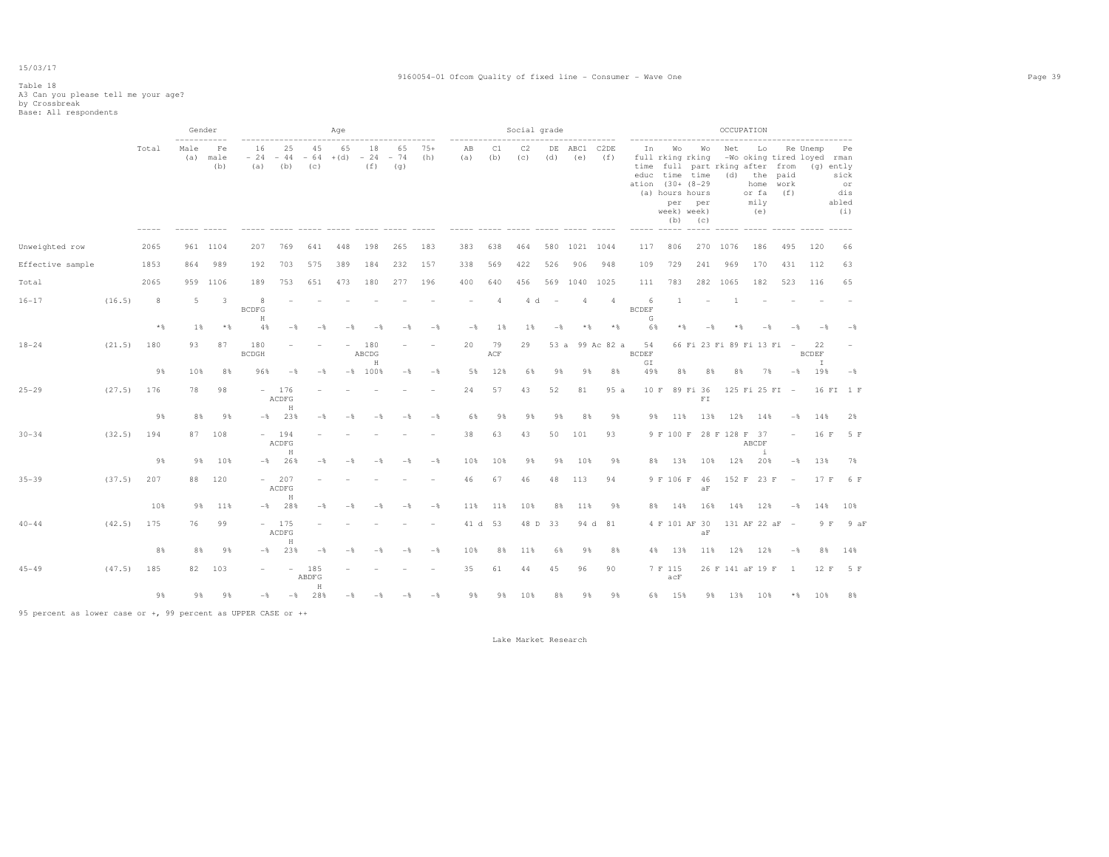### Table 18 A3 Can you please tell me your age? by Crossbreak Base: All respondents

|                                                               |        |       | Gender<br>----------- |                         |                        |                            |                    | Aqe             |                    |                    |                |           |                | Social grade |                                 |                |                          |                          | -------------------                                                                                                                             |                          |            | OCCUPATION        |                           |                          | ----------------------                        |                                                  |
|---------------------------------------------------------------|--------|-------|-----------------------|-------------------------|------------------------|----------------------------|--------------------|-----------------|--------------------|--------------------|----------------|-----------|----------------|--------------|---------------------------------|----------------|--------------------------|--------------------------|-------------------------------------------------------------------------------------------------------------------------------------------------|--------------------------|------------|-------------------|---------------------------|--------------------------|-----------------------------------------------|--------------------------------------------------|
|                                                               |        | Total | Male<br>(a)           | Fe<br>male<br>(b)       | 16<br>$-24$<br>(a)     | 25<br>$-44$<br>(b)         | 45<br>$-64$<br>(C) | 65<br>$+(d)$    | 18<br>$-24$<br>(f) | 65<br>$-74$<br>(q) | $75+$<br>(h)   | AB<br>(a) | C1<br>(b)      | C2<br>(c)    | DE<br>(d)                       | ABC1<br>(e)    | C <sub>2</sub> DE<br>(f) | In                       | Wo<br>full rking rking<br>time full part rking after from<br>educ time time<br>ation (30+ (8-29<br>(a) hours hours<br>per<br>week) week)<br>(b) | Wo<br>per<br>(C)         | Net<br>(d) | the<br>or fa      | Lo<br>home<br>mily<br>(e) | paid<br>work<br>(f)      | Re Unemp<br>-Wo oking tired loyed rman<br>(q) | Pe<br>ently<br>sick<br>or<br>dis<br>abled<br>(i) |
| Unweighted row                                                |        | 2065  |                       | 961 1104                | 207                    | 769                        | 641                | 448             | 198                | 265                | 183            | 383       | 638            | 464          | 580                             | 1021 1044      |                          | 117                      | 806                                                                                                                                             |                          | 270 1076   |                   | 186                       | 495                      | 120                                           | 66                                               |
| Effective sample                                              |        | 1853  | 864                   | 989                     | 192                    | 703                        | 575                | 389             | 184                | 232                | 157            | 338       | 569            | 422          | 526                             | 906            | 948                      | 109                      | 729                                                                                                                                             | 241                      | 969        |                   | 170                       | 431                      | 112                                           | 63                                               |
| Total                                                         |        | 2065  | 959                   | 1106                    | 189                    | 753                        | 651                | 473             | 180                | 277                | 196            | 400       | 640            | 456          | 569                             | 1040           | 1025                     | 111                      | 783                                                                                                                                             | 282                      | 1065       |                   | 182                       | 523                      | 116                                           | 65                                               |
| $16 - 17$                                                     | (16.5) | 8     | 5                     | $\overline{\mathbf{3}}$ | 8<br><b>BCDFG</b><br>H |                            |                    |                 |                    |                    |                |           | $\overline{4}$ | 4 d          | $\hspace{0.1mm}-\hspace{0.1mm}$ | $\overline{4}$ | $\overline{4}$           | 6<br><b>BCDEF</b><br>G   | 1                                                                                                                                               |                          |            | $\mathbf{1}$      |                           |                          |                                               |                                                  |
|                                                               |        | $*$   | 1%                    | $*$                     | 4%                     | $-\,$                      | $-\frac{6}{5}$     | $-\frac{6}{5}$  | $-$                | $-$                | $-$            | $-$       | 1%             | 1%           | $-\frac{6}{6}$                  | $\star$ $\,$   | $*$                      | 6%                       | $*$ &                                                                                                                                           | $-$                      |            | $*$ $\frac{6}{3}$ | $-$ %                     | $-\frac{6}{5}$           | $-$                                           | $-$                                              |
| $18 - 24$                                                     | (21.5) | 180   | 93                    | 87                      | 180<br><b>BCDGH</b>    |                            |                    |                 | 180<br>ABCDG<br>H  |                    |                | 20        | 79<br>ACF      | 29           |                                 |                | 53 a 99 Ac 82 a          | 54<br><b>BCDEF</b><br>GI |                                                                                                                                                 |                          |            |                   | 66 Fi 23 Fi 89 Fi 13 Fi - |                          | 22<br><b>BCDEF</b><br>$\mathbb{I}$            |                                                  |
|                                                               |        | 9%    | 10%                   | 8%                      | 96%                    | $-$                        | $-$                |                 | $-$ % 100 %        | $-$                | $-$            | 5%        | 12%            | 6%           | 9%                              | 9%             | 8%                       | 49%                      | 8%                                                                                                                                              | 8%                       |            | 8%                | 7%                        | $-\frac{6}{6}$           | 19%                                           | $-$ 8                                            |
| $25 - 29$                                                     | (27.5) | 176   | 78                    | 98                      | $\sim$                 | 176<br>ACDFG<br>$\rm H$    |                    |                 |                    |                    |                | 24        | 57             | 43           | 52                              | 81             | 95a                      | 10 F                     |                                                                                                                                                 | 89 Fi 36<br>${\rm F\,I}$ |            |                   | 125 Fi 25 FI -            |                          |                                               | 16 FI 1 F                                        |
|                                                               |        | 9%    | 8%                    | 98                      | $-$ 8                  | 23%                        | $-$                | $-$             |                    |                    | $ \frac{6}{2}$ | 6%        | 9%             | 9%           | 9%                              | 8%             | 9%                       | 9%                       | 11%                                                                                                                                             | 13%                      |            | 12%               | 14%                       | $-$                      | 14%                                           | 2%                                               |
| $30 - 34$                                                     | (32.5) | 194   | 87                    | 108                     |                        | $-194$<br>ACDFG<br>$\rm H$ |                    |                 |                    |                    |                | 38        | 63             | 43           | 50                              | 101            | 93                       |                          | 9 F 100 F 28 F 128 F 37                                                                                                                         |                          |            | ABCDF             | $\pm$                     | $\overline{\phantom{0}}$ | 16 F                                          | 5 F                                              |
|                                                               |        | 9%    | 9%                    | 10%                     | $-8$                   | 26%                        | $-$                | $-$ %           | $-$                | $-$ 8              | $-$ %          | 10%       | 10%            | 9%           | 9%                              | 10%            | 9%                       | 8%                       | 13%                                                                                                                                             | 10%                      |            | 12%               | 20%                       | $-\frac{6}{5}$           | 13%                                           | 7%                                               |
| $35 - 39$                                                     | (37.5) | 207   | 88                    | 120                     |                        | $-207$<br>ACDFG<br>H       |                    |                 |                    |                    |                | 46        | 67             | 46           | 48                              | 113            | 94                       |                          | 9 F 106 F 46                                                                                                                                    | AF                       |            |                   | 152 F 23 F                | $\overline{\phantom{a}}$ |                                               | 17 F 6 F                                         |
|                                                               |        | 10%   | 9%                    | 11%                     | $-$ %                  | 28%                        | $-$                |                 |                    | -8                 | $-$            | 11%       | 11%            | 10%          | 8%                              | 11%            | 9%                       | 8%                       | 14%                                                                                                                                             | 16%                      |            | 14% 12%           |                           | $-\frac{6}{5}$           | 14%                                           | 10%                                              |
| $40 - 44$                                                     | (42.5) | 175   | 76                    | 99                      |                        | $-175$<br>ACDFG<br>$\,$ H  |                    |                 |                    |                    |                | 41 d      | 53             | 48 D         | 33                              |                | 94 d 81                  |                          | 4 F 101 AF 30                                                                                                                                   | aF                       |            |                   | 131 AF 22 aF -            |                          | 9 F                                           | 9aF                                              |
|                                                               |        | 8%    | 8%                    | 98                      | $-$ 8                  | 23%                        | $-$                | $ \frac{6}{35}$ |                    |                    | $-$            | 10%       | 8%             | 11%          | 6%                              | 9%             | 8%                       | 4%                       | 13%                                                                                                                                             | 11%                      |            | 12%               | 12%                       | $-$                      | 8%                                            | 14%                                              |
| $45 - 49$                                                     | (47.5) | 185   | 82                    | 103                     |                        | $\sim$                     | 185<br>ABDFG<br>H  |                 |                    |                    |                | 35        | 61             | 44           | 45                              | 96             | 90                       |                          | 7 F 115<br>acF                                                                                                                                  |                          |            |                   | 26 F 141 aF 19 F          | -1                       | 12 F                                          | 5 F                                              |
|                                                               |        | 9%    | 9%                    | 9%                      | $-$                    | $-$                        | 28%                | $-$             | $-$                | $-$                | $-$            | 9%        | 98             | 10%          | 8%                              | 9%             | 9%                       |                          | 6% 15%                                                                                                                                          |                          |            | 9% 13% 10%        |                           | $*$ $\mathcal{E}$        | 10%                                           | 8%                                               |
| 95 percent as lower case or +, 99 percent as UPPER CASE or ++ |        |       |                       |                         |                        |                            |                    |                 |                    |                    |                |           |                |              |                                 |                |                          |                          |                                                                                                                                                 |                          |            |                   |                           |                          |                                               |                                                  |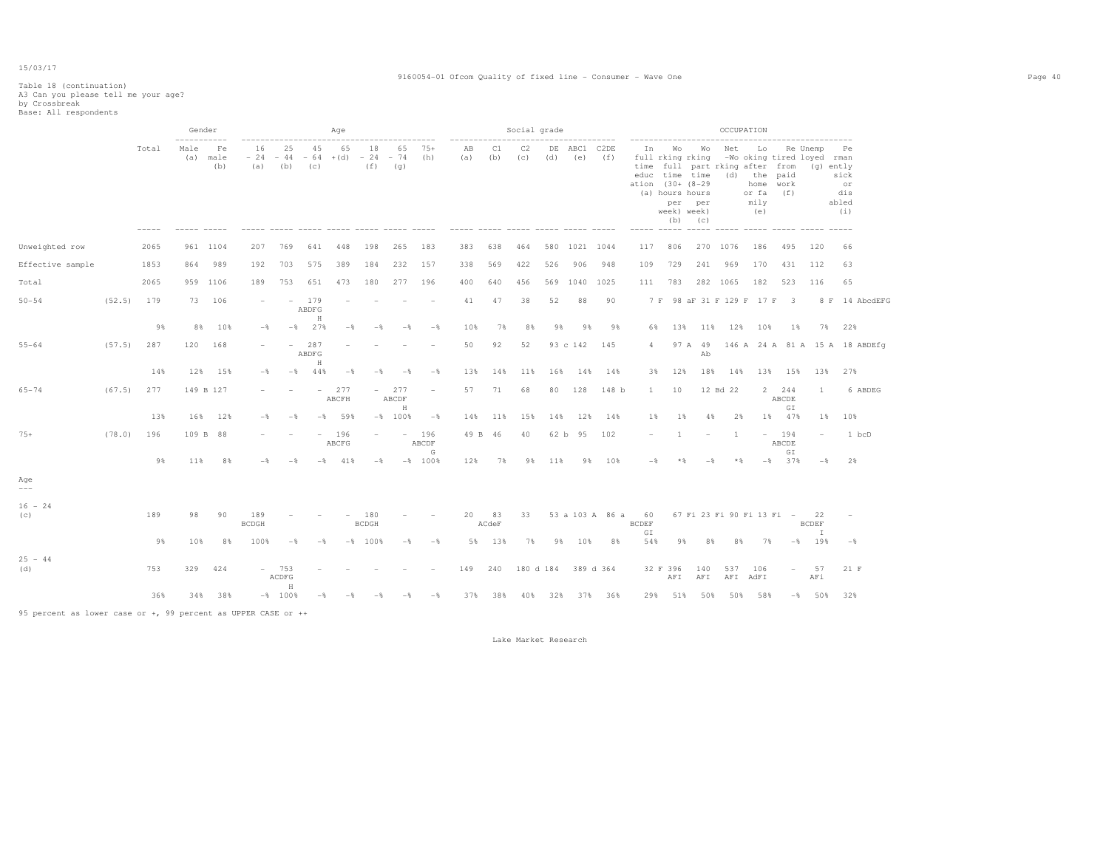#### 9160054-01 Ofcom Quality of fixed line - Consumer - Wave One Page 40

# Table 18 (continuation) A3 Can you please tell me your age? by Crossbreak Base: All respondents

|                  |        |       | Gender<br>----------- |                   |                     |                                             |                          | Aqe             |                     |                          |                          |           |             | Social grade |           |                  |                 | -------------------      |                                                                            |                              |            | OCCUPATION                                                                   |                       | -----------------------                             |                                         |
|------------------|--------|-------|-----------------------|-------------------|---------------------|---------------------------------------------|--------------------------|-----------------|---------------------|--------------------------|--------------------------|-----------|-------------|--------------|-----------|------------------|-----------------|--------------------------|----------------------------------------------------------------------------|------------------------------|------------|------------------------------------------------------------------------------|-----------------------|-----------------------------------------------------|-----------------------------------------|
|                  |        | Total | Male<br>(a)           | Fe<br>male<br>(b) | 16<br>$-24$<br>(a)  | 25<br>44<br>$\overline{\phantom{a}}$<br>(b) | 45<br>$-64$<br>(c)       | 65<br>$+(d)$    | 18<br>$-24$<br>(f)  | 65<br>$-74$<br>(q)       | $75+$<br>(h)             | AB<br>(a) | C1<br>(b)   | C2<br>(c)    | DE<br>(d) | ABC1 C2DE<br>(e) | (f)             | In<br>ation (30+ (8-29)  | Wo<br>full rking rking<br>educ time time<br>(a) hours hours<br>week) week) | Wo<br>per per<br>$(b)$ $(c)$ | Net<br>(d) | Lo<br>time full part rking after from<br>the<br>home<br>or fa<br>mily<br>(e) | paid<br>work<br>(f)   | Re Unemp<br>-Wo oking tired loyed rman<br>(g) ently | Pe<br>sick<br>or<br>dis<br>abled<br>(i) |
| Unweighted row   |        | 2065  |                       | 961 1104          | 207                 | 769                                         | 641                      | 448             | 198                 | 265                      | 183                      | 383       | 638         | 464          | 580       | 1021 1044        |                 | 117                      | 806                                                                        |                              | 270 1076   | 186                                                                          | 495                   | 120                                                 | 66                                      |
| Effective sample |        | 1853  | 864                   | 989               | 192                 | 703                                         | 575                      | 389             | 184                 | 232                      | 157                      | 338       | 569         | 422          | 526       | 906              | 948             | 109                      | 729                                                                        | 241                          | 969        | 170                                                                          | 431                   | 112                                                 | 63                                      |
| Total            |        | 2065  | 959                   | 1106              | 189                 | 753                                         | 651                      | 473             | 180                 | 277                      | 196                      | 400       | 640         | 456          | 569       | 1040             | 1025            | 111                      | 783                                                                        |                              | 282 1065   | 182                                                                          | 523                   | 116                                                 | 65                                      |
| $50 - 54$        | (52.5) | 179   | 73                    | 106               |                     | $\overline{\phantom{0}}$                    | 179<br>ABDFG             |                 |                     |                          |                          | 41        | 47          | 38           | 52        | 88               | 90              |                          |                                                                            |                              |            | 7 F 98 aF 31 F 129 F 17 F 3                                                  |                       |                                                     | 8 F 14 AbcdEFG                          |
|                  |        | 9%    | 8%                    | 10%               | $-\frac{6}{5}$      |                                             | $\rm H$<br>$-$ % 27 %    | $-$             | $-$                 | $-\frac{6}{5}$           | $-$ 8                    | 10%       | 7%          | 8%           | 9%        | 98               | 98              | 6%                       | 13%                                                                        | 11%                          |            | 12% 10%                                                                      | 1%                    |                                                     | 7% 22%                                  |
| $55 - 64$        | (57.5) | 287   | 120                   | 168               |                     |                                             | 287<br>ABDFG<br>$\rm H$  |                 |                     |                          |                          | 50        | 92          | 52           |           | 93 c 142         | 145             | 4                        |                                                                            | 97 A 49<br>Ab                |            |                                                                              |                       |                                                     | 146 A 24 A 81 A 15 A 18 ABDEfg          |
|                  |        | 14%   | 12%                   | 15%               | $-\frac{6}{5}$      | $-$ 8                                       | 44%                      | $-\frac{6}{5}$  | $-$                 | $-$                      | $-$ 8                    | 13%       | 14%         | 11%          | 16%       | 14%              | 14%             | 3%                       | 12%                                                                        | 18%                          | 14%        | 13%                                                                          | 15%                   | 13%                                                 | 27%                                     |
| $65 - 74$        | (67.5) | 277   |                       | 149 B 127         |                     |                                             |                          | $-277$<br>ABCFH | $\sim$              | 277<br>ABCDF<br>H        | $\overline{\phantom{0}}$ | 57        | 71          | 68           | 80        | 128              | 148 b           | $\mathbf{1}$             | 10                                                                         |                              | 12 Bd 22   |                                                                              | 2 244<br>ABCDE<br>GI  | $\mathbf{1}$                                        | 6 ABDEG                                 |
|                  |        | 13%   | 16%                   | 12%               | $-\frac{6}{5}$      | $-\frac{6}{5}$                              | $ \delta$                | 59%             |                     | $-$ % 100 %              | $-$ 8                    | 14%       | 11%         | 15%          | 14%       | 12%              | 14%             | 1%                       | $1\%$                                                                      | 4%                           | 2%         | 1%                                                                           | 47%                   | $1\%$                                               | 10%                                     |
| $75+$            | (78.0) | 196   |                       | 109 B 88          |                     |                                             | $\overline{\phantom{a}}$ | 196<br>ABCFG    |                     | $\overline{\phantom{a}}$ | 196<br>ABCDF<br>G        |           | 49 B 46     | 40           |           | 62 b 95          | 102             | $\overline{\phantom{0}}$ | -1.                                                                        | $\overline{\phantom{a}}$     | 1          |                                                                              | $-194$<br>ABCDE<br>GI | $\overline{\phantom{a}}$                            | 1 bcD                                   |
|                  |        | 9%    | 11%                   | 8%                | $-$                 | $-$                                         | $ \frac{8}{3}$           | 41%             | $-\frac{6}{5}$      |                          | $-$ % 100 %              | 12%       | 7%          | 9%           | 11%       | 9%               | 10%             | $-$ 8                    | $*$ &                                                                      | $-$                          | $*$        |                                                                              | $-$ % 37 %            | $-\frac{6}{6}$                                      | 2%                                      |
| Age<br>$---$     |        |       |                       |                   |                     |                                             |                          |                 |                     |                          |                          |           |             |              |           |                  |                 |                          |                                                                            |                              |            |                                                                              |                       |                                                     |                                         |
| $16 - 24$<br>(c) |        | 189   | 98                    | 90                | 189<br><b>BCDGH</b> |                                             |                          |                 | 180<br><b>BCDGH</b> |                          |                          | 20        | 83<br>ACdeF | 33           |           |                  | 53 a 103 A 86 a | 60<br><b>BCDEF</b><br>GI |                                                                            |                              |            | 67 Fi 23 Fi 90 Fi 13 Fi -                                                    |                       | 22<br><b>BCDEF</b><br>$\mathbb{I}$                  |                                         |
|                  |        | 9%    | 10%                   | 8%                | 100%                | $-$                                         | $-$                      |                 | $-$ % 100 %         | $-$                      | $-\frac{6}{5}$           | 5%        | 13%         | 7%           | 9%        | 10%              | 8%              | 54%                      | 9%                                                                         | 8%                           | 8%         | 7%                                                                           |                       | $-8$ 198                                            | $-$                                     |
| $25 - 44$<br>(d) |        | 753   | 329                   | 424               |                     | $-753$<br>ACDFG                             |                          |                 |                     |                          |                          | 149       | 240         | 180 d 184    |           |                  | 389 d 364       |                          | 32 F 396<br>AFI                                                            | 140<br>AFI                   | 537        | 106<br>AFI AdFI                                                              | $\sim$                | 57<br>AFi                                           | 21 F                                    |
|                  |        | 36%   | 34%                   | 38%               |                     | $\rm H$<br>$-$ % 100 %                      | $-$                      |                 |                     | - 2                      | $-$                      | 37%       | 38%         | 40%          |           |                  | 32% 37% 36%     |                          | 29% 51%                                                                    | 50%                          | 50%        | 58%                                                                          |                       | $-8$ 50%                                            | 32%                                     |

95 percent as lower case or +, 99 percent as UPPER CASE or ++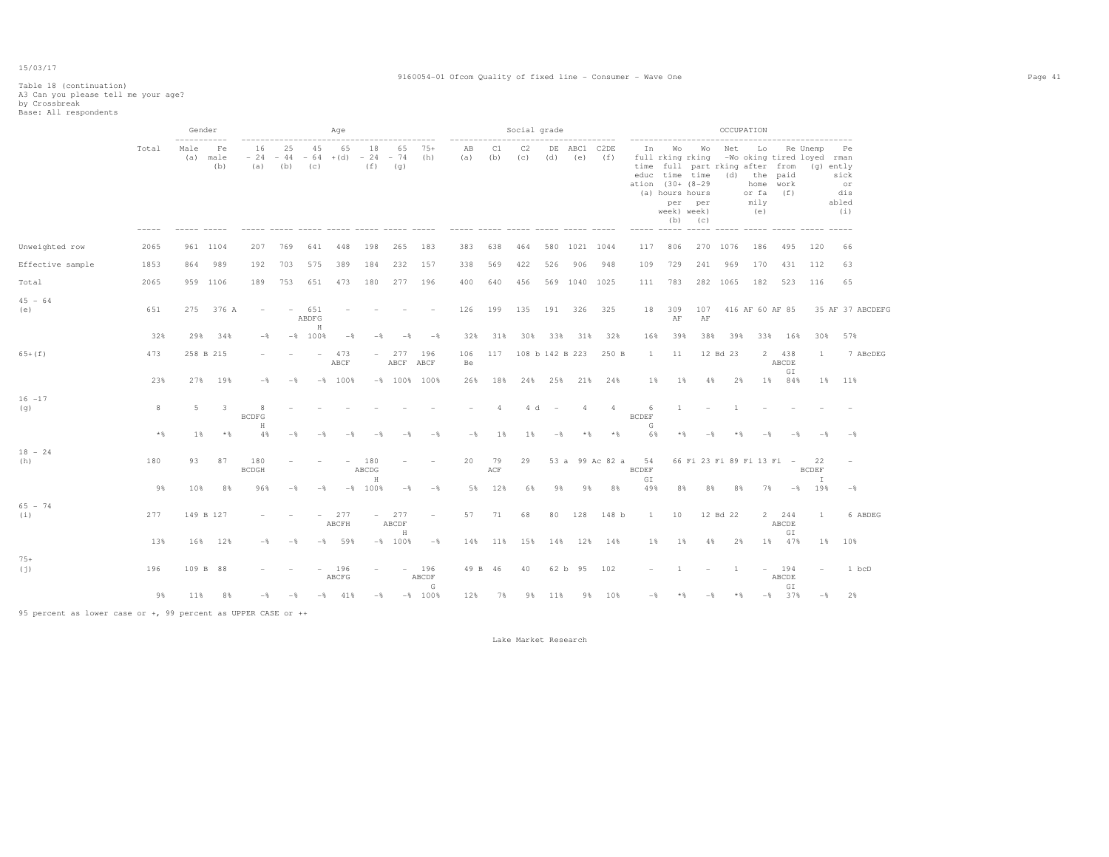#### 9160054-01 Ofcom Quality of fixed line - Consumer - Wave One Page 41

# Table 18 (continuation) A3 Can you please tell me your age? by Crossbreak Base: All respondents

|                  |       |             | Gender                  |                        |                    |                          | Age          |                          |                          |                          |                |                                        | Social grade |           |                 |                          |                          |                                                                                                                                                   |                              |                | OCCUPATION                                                     |                                            |                                        |                                                      |  |
|------------------|-------|-------------|-------------------------|------------------------|--------------------|--------------------------|--------------|--------------------------|--------------------------|--------------------------|----------------|----------------------------------------|--------------|-----------|-----------------|--------------------------|--------------------------|---------------------------------------------------------------------------------------------------------------------------------------------------|------------------------------|----------------|----------------------------------------------------------------|--------------------------------------------|----------------------------------------|------------------------------------------------------|--|
|                  | Total | Male<br>(a) | Fe<br>male<br>(b)       | 16<br>$-24$<br>(a)     | 25<br>$-44$<br>(b) | 45<br>$-64$<br>(c)       | 65<br>$+(d)$ | 18<br>$-24$<br>(f)       | 65<br>$-74$<br>(q)       | $75+$<br>(h)             | AB<br>(a)      | C1<br>(b)                              | C2<br>(c)    | DE<br>(d) | ABC1<br>(e)     | C <sub>2</sub> DE<br>(f) | In<br>ation              | Wo<br>full rking rking<br>time full part rking after from<br>educ time time<br>$(30 + (8 - 29$<br>(a) hours hours<br>week) week)<br>$\frac{1}{2}$ | Wо<br>per per<br>$(b)$ $(c)$ | Net            | Lo<br>(d) the<br>home<br>or fa<br>mily<br>(e)<br>$\frac{1}{2}$ | paid<br>work<br>(f)                        | Re Unemp<br>-Wo oking tired loyed rman | Pe<br>(g) ently<br>sick<br>or<br>dis<br>abled<br>(i) |  |
| Unweighted row   | 2065  |             | 961 1104                | 207                    | 769                | 641                      | 448          | 198                      | 265                      | 183                      | 383            | 638                                    | 464          | 580       | 1021 1044       |                          | 117                      | 806                                                                                                                                               | 270 1076                     |                | 186                                                            | 495                                        | 120                                    | 66                                                   |  |
| Effective sample | 1853  | 864         | 989                     | 192                    | 703                | 575                      | 389          | 184                      | 232                      | 157                      | 338            | 569                                    | 422          | 526       | 906             | 948                      | 109                      | 729                                                                                                                                               | 241                          | 969            | 170                                                            | 431                                        | 112                                    | 63                                                   |  |
| Total            | 2065  |             | 959 1106                | 189                    | 753                | 651                      | 473          | 180                      | 277                      | 196                      | 400            | 640                                    | 456          |           | 569 1040 1025   |                          | 111                      | 783                                                                                                                                               |                              | 282 1065       | 182                                                            | 523                                        | 116                                    | 65                                                   |  |
| $45 - 64$<br>(e) | 651   | 275         | 376 A                   |                        |                    | 651<br>ABDFG             |              |                          |                          |                          | 126            | 199                                    | 135          | 191       | 326             | 325                      | 18                       | 309<br>AF                                                                                                                                         | 107<br>AF                    |                | 416 AF 60 AF 85                                                |                                            |                                        | 35 AF 37 ABCDEFG                                     |  |
|                  | 32%   | 29%         | 34%                     | $-$                    |                    | $\rm H$<br>$-$ % 100 %   | $-$          | $-$                      | $-$                      | $-$                      | 32%            | 31%                                    | 30%          | 33%       | 31%             | 32%                      | 16%                      | 39%                                                                                                                                               | 38%                          | 39%            | 33%                                                            | 16%                                        | 30%                                    | 57%                                                  |  |
| $65+ (f)$        | 473   |             | 258 B 215               |                        |                    | $\overline{\phantom{a}}$ | 473<br>ABCF  | $\overline{\phantom{a}}$ | 277<br>ABCF ABCF         | 196                      | 106<br>Be      | 117                                    |              |           | 108 b 142 B 223 | 250 B                    | $\mathbf{1}$             | 11                                                                                                                                                |                              | 12 Bd 23       |                                                                | 2 438<br>ABCDE<br>$\mathbb{G}\,\mathbb{I}$ | 1                                      | 7 ABcDEG                                             |  |
|                  | 23%   | 27%         | 19%                     | $-\frac{6}{5}$         | - %                |                          | $-$ % 100 %  |                          |                          | $-$ 100 % 100 %          | 26%            | 18%                                    | 24%          | 25%       | 21%             | 24%                      | $1\%$                    | $1\%$                                                                                                                                             | 4%                           | 2%             | $1\%$                                                          | 84%                                        |                                        | 1% 11%                                               |  |
| $16 - 17$<br>(g) | 8     | 5           | $\overline{\mathbf{3}}$ | 8<br><b>BCDFG</b><br>H |                    |                          |              |                          |                          |                          |                | 4                                      | 4 d          | $\sim$    | 4               | 4                        | 6<br><b>BCDEF</b><br>G   | $\mathbf{1}$                                                                                                                                      |                              | $\overline{1}$ |                                                                |                                            |                                        |                                                      |  |
|                  | $*$   | 1%          | $*$                     | 4%                     | $-$                | $-\frac{6}{2}$           |              |                          |                          | $-$                      | $-\frac{6}{6}$ | 1%                                     | $1\%$        | $-$       | $*$             | $*$                      | 6%                       | $*$ &                                                                                                                                             | $-$                          | $*$            |                                                                |                                            |                                        | $-$                                                  |  |
| $18 - 24$<br>(h) | 180   | 93          | 87                      | 180<br><b>BCDGH</b>    |                    |                          |              | 180<br>ABCDG<br>H        |                          |                          | 20             | 79<br>$\mathbb{A}\mathbb{C}\mathbb{F}$ | 29           |           |                 | 53 a 99 Ac 82 a          | 54<br><b>BCDEF</b><br>GI |                                                                                                                                                   | 66 Fi 23 Fi 89 Fi 13 Fi -    |                |                                                                |                                            | 22<br><b>BCDEF</b><br>$\mathbb{I}$     |                                                      |  |
|                  | 9%    | 10%         | 8%                      | 96%                    | $-$                | $-$                      |              | $-$ % 100 %              | $-$                      | $-$                      | 5%             | 12%                                    | 6%           | 9%        | 9%              | 8%                       | 49%                      | 8%                                                                                                                                                | 8%                           | 8%             | 7%                                                             | $-$ 8                                      | 19%                                    | $-$ 8                                                |  |
| $65 - 74$<br>(i) | 277   |             | 149 B 127               |                        |                    |                          | 277<br>ABCFH |                          | $-277$<br>ABCDF<br>H     | $\overline{\phantom{a}}$ | 57             | 71                                     | 68           | 80        | 128             | 148 b                    | $\mathbf{1}$             | 10                                                                                                                                                |                              | 12 Bd 22       |                                                                | 2 244<br>ABCDE<br>GI                       | 1                                      | 6 ABDEG                                              |  |
|                  | 13%   |             | 16% 12%                 | $-$                    | $ \frac{6}{2}$     | $-$ %                    | 59%          |                          | $-$ % 100 %              | $-$                      | 14%            | 11%                                    | 15%          | 14%       |                 | 12% 14%                  | $1\%$                    | 1%                                                                                                                                                | 4%                           | 2%             |                                                                | 1% 47%                                     | $1\%$                                  | 10%                                                  |  |
| $75+$<br>(j)     | 196   |             | 109 B 88                |                        |                    |                          | 196<br>ABCFG |                          | $\overline{\phantom{a}}$ | 196<br>ABCDF             |                | 49 B 46                                | 40           | 62 b      | 95              | 102                      |                          | -1                                                                                                                                                |                              | $\overline{1}$ |                                                                | $-194$<br>ABCDE                            |                                        | 1 bcD                                                |  |
|                  | 9%    | 11%         | 8%                      | $-$                    | $-\frac{6}{5}$     | $ \delta$                | 41%          | $-\frac{6}{5}$           |                          | G<br>$-8$ 100%           | 12%            | 7%                                     | 9%           | 11%       | 9%              | 10%                      | $-$ %                    | $*$ &                                                                                                                                             | $-\frac{6}{5}$               | $*$ &          |                                                                | GI<br>$-$ % 37 %                           | $-$ 8                                  | 2%                                                   |  |

95 percent as lower case or +, 99 percent as UPPER CASE or ++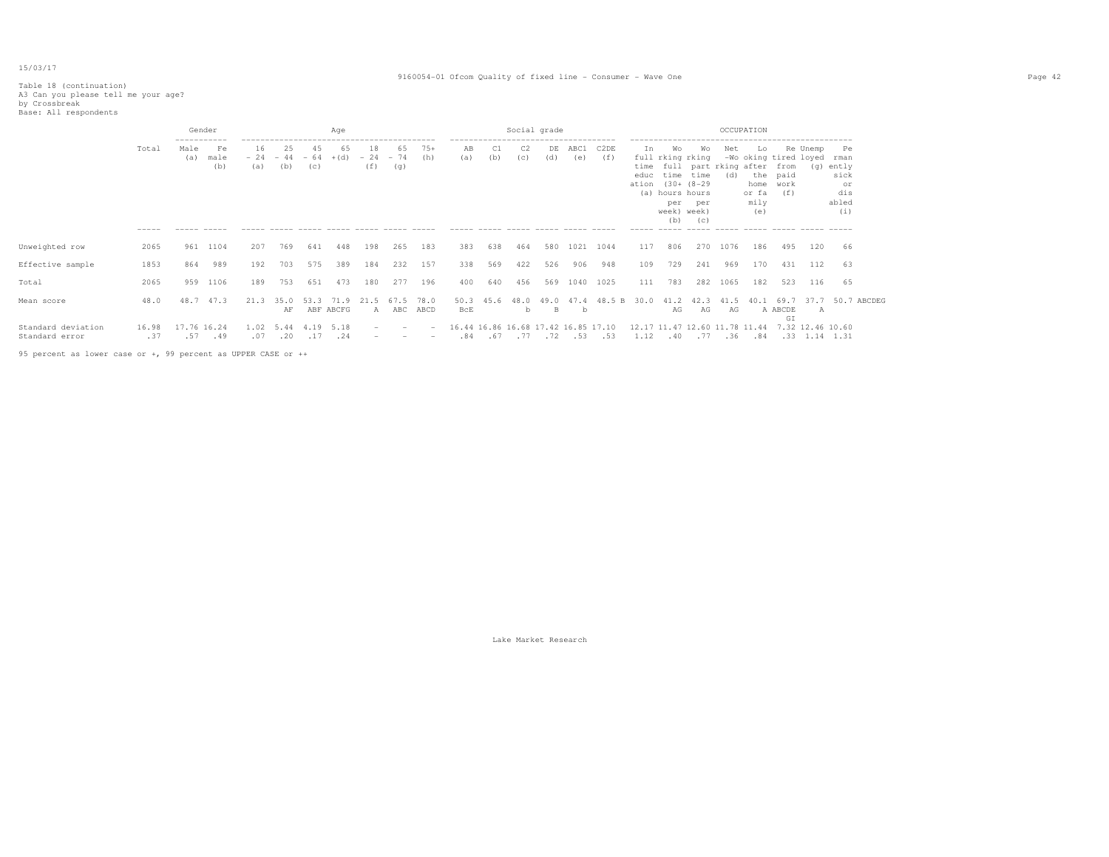#### 9160054-01 Ofcom Quality of fixed line - Consumer - Wave One Page 42

# Table 18 (continuation) A3 Can you please tell me your age? by Crossbreak Base: All respondents

|                                      |              |             | Gender                           |                    |                                             |           | Aqe                    |                                 |                         |                                                      |                    |      |           | Social grade |                                                      |                                                            |                     |                                 |                                                                                         |            | OCCUPATION                                                                                          |                         |                  |                                                  |
|--------------------------------------|--------------|-------------|----------------------------------|--------------------|---------------------------------------------|-----------|------------------------|---------------------------------|-------------------------|------------------------------------------------------|--------------------|------|-----------|--------------|------------------------------------------------------|------------------------------------------------------------|---------------------|---------------------------------|-----------------------------------------------------------------------------------------|------------|-----------------------------------------------------------------------------------------------------|-------------------------|------------------|--------------------------------------------------|
|                                      | Total        | Male<br>(a) | -----------<br>Fe<br>male<br>(b) | 16<br>$-24$<br>(a) | 25<br>(b)                                   | 45<br>(C) | 65<br>$-44 - 64 + (d)$ | 18<br>(f)                       | 65<br>$-24 - 74$<br>(q) | $75+$<br>(h)                                         | AB<br>(a)          | (b)  | C2<br>(c) | DE<br>(d)    | -------------------------------------<br>ABC1<br>(e) | C2DE<br>(f)                                                | In<br>educ<br>ation | Wо<br>per<br>week) week)<br>(b) | Wo<br>full rking rking<br>time time<br>$(30 + (8 - 29$<br>(a) hours hours<br>per<br>(C) | Net<br>(d) | Lo<br>-Wo oking tired loyed rman<br>time full part rking after from<br>home<br>or fa<br>mily<br>(e) | the paid<br>work<br>(f) | Re Unemp<br>(q)  | Pe<br>ently<br>sick<br>or<br>dis<br>abled<br>(i) |
|                                      |              |             |                                  |                    |                                             |           |                        |                                 |                         |                                                      |                    |      |           |              |                                                      |                                                            |                     |                                 |                                                                                         |            |                                                                                                     |                         |                  |                                                  |
| Unweighted row                       | 2065         |             | 961 1104                         | 207                | 769                                         | 641       | 448                    | 198                             | 265                     | 183                                                  | 383                | 638  | 464       | 580          | 1021                                                 | 1044                                                       | 117                 | 806                             | 270                                                                                     | 1076       | 186                                                                                                 | 495                     | 120              | 66                                               |
| Effective sample                     | 1853         | 864         | 989                              | 192                | 703                                         | 575       | 389                    | 184                             | 232                     | 157                                                  | 338                | 569  | 422       | 526          | 906                                                  | 948                                                        | 109                 | 729                             | 241                                                                                     | 969        | 170                                                                                                 | 431                     | 112              | 63                                               |
| Total                                | 2065         | 959         | 1106                             | 189                | 753                                         | 651       | 473                    | 180                             | 277                     | 196                                                  | 400                | 640  | 456       | 569          | 1040                                                 | 1025                                                       | 111                 | 783                             |                                                                                         | 282 1065   | 182                                                                                                 | 523                     | 116              | 65                                               |
| Mean score                           | 48.0         | 48.7        | 47.3                             | 21.3               | 35.0<br>AF                                  | 53.3      | 71.9<br>ABF ABCFG      | 21.5<br>A                       | 67.5                    | 78.0<br>ABC ABCD                                     | 50.3<br><b>BcE</b> | 45.6 | 48.0<br>b |              | 49.0 47.4<br>b                                       | 48.5 B 30.0                                                |                     | 41.2<br>AG                      | 42.3<br>AG                                                                              | 41.5<br>AG | 40.1                                                                                                | 69.7<br>A ABCDE         | A                | 37.7 50.7 ABCDEG                                 |
| Standard deviation<br>Standard error | 16.98<br>.37 |             | 17.76 16.24<br>.57 .49           |                    | $1.02$ 5.44 4.19<br>$.07$ $.20$ $.17$ $.24$ |           | 5.18                   | $\hspace{0.1mm}-\hspace{0.1mm}$ |                         | $\overline{\phantom{0}}$<br>$\overline{\phantom{0}}$ |                    |      |           |              | 16.44 16.86 16.68 17.42 16.85 17.10                  | .84 .31 .14 1.31 .53 .53 .1.12 .40 .77 .36 .84 .33 .14 .31 |                     |                                 |                                                                                         |            | 12.17 11.47 12.60 11.78 11.44                                                                       | GI                      | 7.32 12.46 10.60 |                                                  |

95 percent as lower case or +, 99 percent as UPPER CASE or ++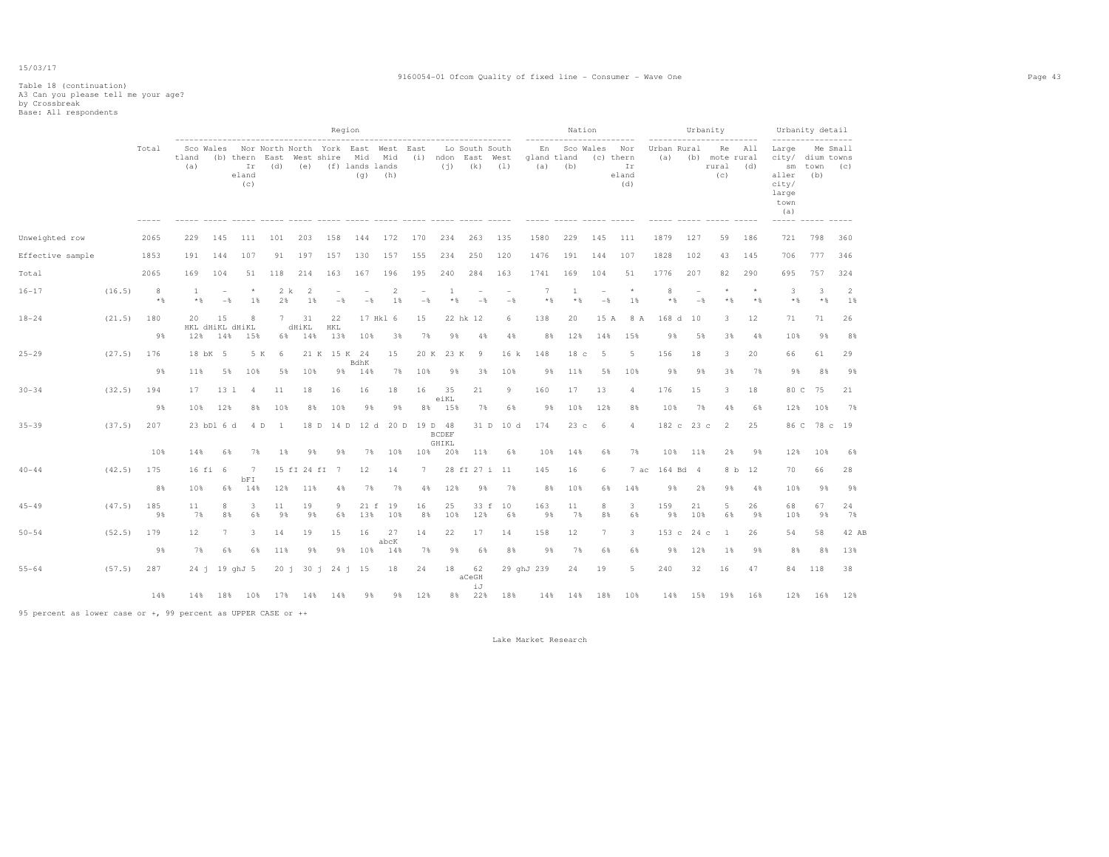#### 9160054-01 Ofcom Quality of fixed line - Consumer - Wave One Page 43

# Table 18 (continuation) A3 Can you please tell me your age? by Crossbreak Base: All respondents

|                  |              |            |              |                                 |                                                                                                          |                     |                    |                                 | Region                          |                |                                 |                       |                                     |                                 |                    | ------------------------     | Nation                          |                                 |                    |            | Urbanity<br>------------------------     |                  | ------------------                                                        | Urbanity detail                  |          |
|------------------|--------------|------------|--------------|---------------------------------|----------------------------------------------------------------------------------------------------------|---------------------|--------------------|---------------------------------|---------------------------------|----------------|---------------------------------|-----------------------|-------------------------------------|---------------------------------|--------------------|------------------------------|---------------------------------|---------------------------------|--------------------|------------|------------------------------------------|------------------|---------------------------------------------------------------------------|----------------------------------|----------|
|                  |              | Total      | tland<br>(a) |                                 | Sco Wales Nor North North York East West East<br>(b) thern East West shire Mid Mid<br>Ir<br>eland<br>(c) |                     |                    | (d) (e) (f) lands lands         |                                 | $(q)$ (h)      |                                 |                       | Lo South South<br>$(i)$ $(k)$ $(1)$ | (i) ndon East West              | qland tland<br>(a) | En Sco Wales Nor<br>(b)      |                                 | (c) thern<br>Ir<br>eland<br>(d) | Urban Rural<br>(a) |            | Re All<br>(b) mote rural<br>rural<br>(C) | (d)              | Large<br>city/ dium towns<br>sm<br>aller<br>city/<br>large<br>town<br>(a) | town (c)<br>(b)                  | Me Small |
| Unweighted row   |              | 2065       | 229          | 145                             | 111                                                                                                      | 101                 | 203                | 158                             | 144                             | 172            | 170                             | 234                   | 263                                 | 135                             | 1580               | 229                          | 145                             | 111                             | 1879               | 127        | 59                                       | 186              | 721                                                                       | 798                              | 360      |
| Effective sample |              | 1853       | 191          | 144                             | 107                                                                                                      | 91                  | 197                | 157                             | 130                             | 157            | 155                             | 234                   | 250                                 | 120                             | 1476               | 191                          | 144                             | 107                             | 1828               | 102        | 43                                       | 145              | 706                                                                       | 777                              | 346      |
| Total            |              | 2065       | 169          | 104                             | 51                                                                                                       | 118                 | 214                | 163                             | 167                             | 196            | 195                             | 240                   | 284                                 | 163                             | 1741               | 169                          | 104                             | 51                              | 1776               | 207        | 82                                       | 290              | 695                                                                       | 757                              | 324      |
| $16 - 17$        | (16.5)       | 8<br>$*$ & | 1<br>$*$ &   | $\overline{\phantom{a}}$<br>$-$ | $\star$<br>1%                                                                                            | 2 k<br>2%           | 2<br>1%            | $\overline{\phantom{a}}$<br>$-$ | $\overline{\phantom{a}}$<br>$-$ | 2<br>1%        | $\overline{\phantom{a}}$<br>$-$ | $\mathbf{1}$<br>$*$ % | $\overline{\phantom{a}}$<br>$-$     | $\overline{\phantom{a}}$<br>$-$ | $7\phantom{.0}$    | <sup>1</sup><br>$*$<br>$*$ % | $\overline{\phantom{m}}$<br>$-$ | $\star$<br>1%                   | 8<br>$*$ &         | $-$        | $*$                                      | $\star$<br>$*$ & | 3<br>$*$ %                                                                | $\overline{\mathbf{3}}$<br>$*$ % | 2<br>1%  |
| $18 - 24$        | (21.5)       | 180<br>9%  | 20<br>12%    | 15<br>14%                       | 8<br>HKL dHiKL dHiKL<br>15%                                                                              | 7<br>6%             | 31<br>dHiKL<br>14% | 22<br>HKL<br>13%                | 10%                             | 17 Hk1 6<br>3% | 15<br>7%                        | 9%                    | 22 hk 12<br>4%                      | 6<br>4%                         | 138                | 20<br>12%<br>8%              | 15 A<br>14%                     | 8 A<br>15%                      | 168 d<br>9%        | 10<br>5%   | 3<br>3%                                  | 12<br>4%         | 71<br>10%                                                                 | 71<br>9%                         | 26<br>8% |
| $25 - 29$        | (27.5)       | 176        |              | 18 bK 5                         |                                                                                                          | 5 K<br>- 6          |                    | 21 K 15 K 24                    | BdhK                            | 15             | 20 K                            | 23 K                  | -9                                  | 16 k                            | 148                | 18 <sub>c</sub>              | -5                              | -5                              | 156                | 18         | 3                                        | 20               | 66                                                                        | 61                               | 29       |
|                  |              | 9%         | 11%          | 5%                              | 10%                                                                                                      | 5%                  | 10%                | 9%                              | 14%                             | 7%             | 10%                             | 9%                    | 3%                                  | 10%                             |                    | 9%<br>11%                    | 5%                              | 10%                             | 9%                 | 9%         | 3%                                       | 7%               | 9%                                                                        | 8%                               | 9%       |
| $30 - 34$        | (32.5)       | 194        | 17           | 13 1                            | $\overline{4}$                                                                                           | 11                  | 18                 | 16                              | 16                              | 18             | 16                              | 35<br>eiKL            | 21                                  | 9                               | 160                | 17                           | 13                              | $\overline{4}$                  | 176                | 15         | 3                                        | 18               | 80 C                                                                      | 75                               | 21       |
|                  |              | 9%         | 10%          | 12%                             | 8%                                                                                                       | 10%                 | 8%                 | 10%                             | 9%                              | 9%             | 8%                              | 15%                   | 7%                                  | 6%                              |                    | 9%<br>10%                    | 12%                             | 8%                              | 10%                | 7%         | 4%                                       | 6%               | 12%                                                                       | 10%                              | 7%       |
| $35 - 39$        | (37.5)       | 207        |              | 23 bD1 6 d                      |                                                                                                          | 4 D<br>$\mathbf{1}$ | 18 D               | 14 D                            | 12 d                            |                | 20 D 19 D 48                    | <b>BCDEF</b><br>GHIKL |                                     | 31 D 10 d                       | 174                | 23c                          | - 6                             | $\overline{4}$                  |                    | 182 c 23 c | 2                                        | 25               | 86 C                                                                      |                                  | 78 c 19  |
|                  |              | 10%        | 14%          | 6%                              | 7%                                                                                                       | 1%                  | 9%                 | 9%                              | 7%                              | 10%            | 10%                             | 20%                   | 11%                                 | 6%                              | 10%                | 14%                          | 6%                              | 7%                              | 10%                | 11%        | 2%                                       | 9%               | 12%                                                                       | 10%                              | 6%       |
| $40 - 44$        | (42.5)       | 175        |              | 16 fi 6                         | 7<br>bFI                                                                                                 |                     |                    | 15 fI 24 fI 7                   | 12                              | 14             | $7\phantom{.0}$                 |                       | 28 fl 27 i 11                       |                                 | 145                | 16                           | 6                               |                                 | 7 ac 164 Bd 4      |            |                                          | 8 b 12           | 70                                                                        | 66                               | 28       |
|                  |              | 8%         | 10%          |                                 | 14%<br>6%                                                                                                | 12%                 | 11%                | 4%                              | 7%                              | 7%             | 4%                              | 12%                   | 9%                                  | 7%                              |                    | 8%<br>10%                    | 6%                              | 14%                             | 9%                 | 2%         | 9%                                       | 4%               | 10%                                                                       | 9%                               | 9%       |
| $45 - 49$        | $(47.5)$ 185 | 98         | 11<br>7%     | 8<br>8%                         | 3<br>6%                                                                                                  | 11<br>9%            | 19<br>98           | 9<br>6%                         | 21 f<br>13%                     | 19<br>10%      | 16<br>8%                        | 25<br>10%             | 33 f<br>12%                         | 10<br>6%                        | 163                | 11<br>98<br>7%               | 8<br>8%                         | 3<br>6%                         | 159<br>9%          | 21<br>10%  | 5<br>6%                                  | 26<br>98         | 68<br>10%                                                                 | 67<br>98                         | 24<br>7% |
| $50 - 54$        | $(52.5)$ 179 |            | 12           | 7                               | 3.                                                                                                       | 14                  | 19                 | 15                              | 16                              | 27<br>abcK     | 14                              | 22                    | 17                                  | 14                              | 158                | 12                           | $7\phantom{.0}$                 | 3                               |                    | 153 c 24 c | -1                                       | 26               | 54                                                                        | 58                               | 42 AB    |
|                  |              | 9%         | 7%           | 6%                              | 6%                                                                                                       | 11%                 | 9%                 | 9%                              | 10%                             | 14%            | 7%                              | 9%                    | 6%                                  | 8%                              |                    | 9%<br>7%                     | 6%                              | 6%                              | 9%                 | 12%        | 1%                                       | 9%               | 8%                                                                        | 8%                               | 13%      |
| $55 - 64$        | (57.5)       | 287        |              |                                 | 24 j 19 ghJ 5                                                                                            |                     |                    | 20 j 30 j 24 j 15               |                                 | 18             | 24                              | 18                    | 62<br>aCeGH                         |                                 | 29 ghJ 239         | 24                           | 19                              | 5                               | 240                | 32         | 16                                       | 47               | 84                                                                        | 118                              | 38       |
|                  |              | 14%        | 14%          | 18%                             | 10%                                                                                                      | 17%                 | 14%                | 14%                             | 9%                              | 9%             | 12%                             | 8%                    | iJ<br>22%                           | 18%                             | 14%                | 14%                          | 18%                             | 10%                             | 14%                | 15%        | 19%                                      | 16%              | 12%                                                                       | 16%                              | 12%      |

95 percent as lower case or +, 99 percent as UPPER CASE or ++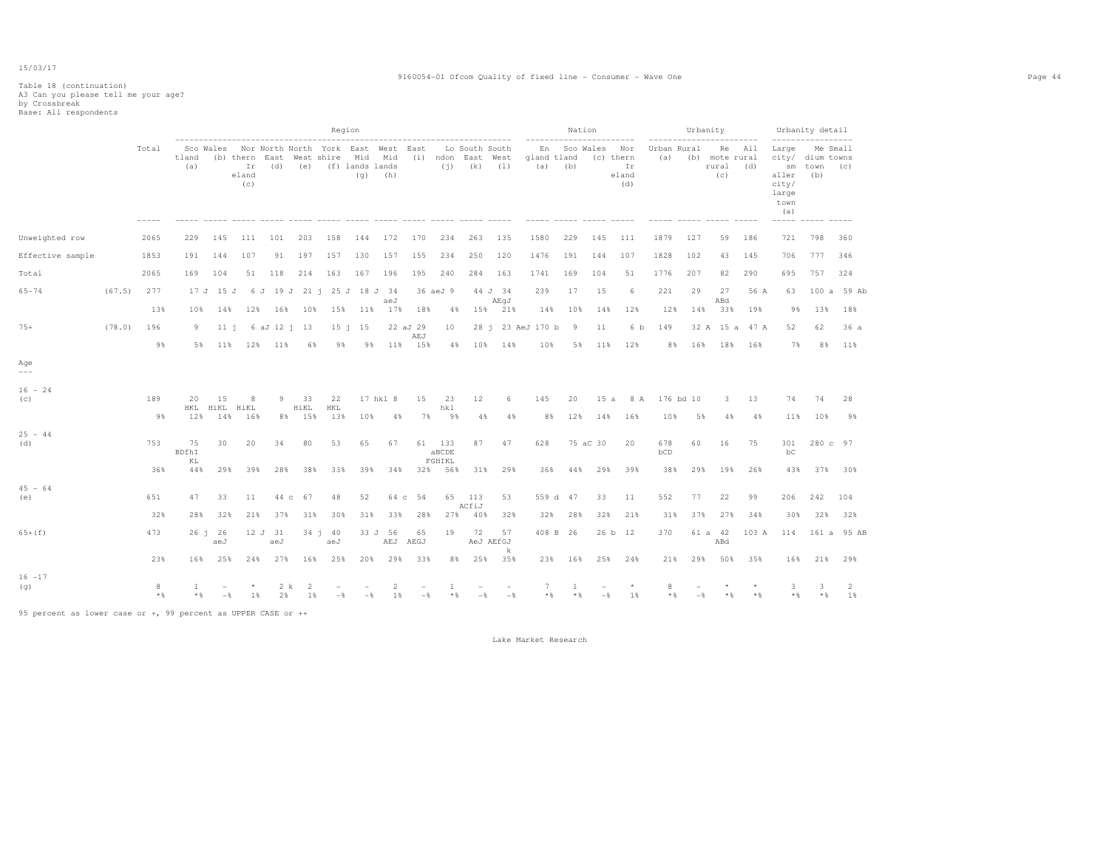#### 9160054-01 Ofcom Quality of fixed line - Consumer - Wave One Page 44

# Table 18 (continuation) A3 Can you please tell me your age? by Crossbreak Base: All respondents

|                                      |        |            |              |                |                    |                |                      | Region                                                                                                           |                |                      |                 |                   |                                                           |                      |                    | Nation      | -----------------------       |                     |                    | Urbanity | -----------------------                  |                |                                                       | Urbanity detail<br>------------------                                |                      |
|--------------------------------------|--------|------------|--------------|----------------|--------------------|----------------|----------------------|------------------------------------------------------------------------------------------------------------------|----------------|----------------------|-----------------|-------------------|-----------------------------------------------------------|----------------------|--------------------|-------------|-------------------------------|---------------------|--------------------|----------|------------------------------------------|----------------|-------------------------------------------------------|----------------------------------------------------------------------|----------------------|
|                                      |        | Total      | tland<br>(a) |                | eland<br>(c)       |                |                      | Sco Wales Nor North North York East West East<br>(b) thern East West shire Mid Mid<br>Ir (d) (e) (f) lands lands | (q)            | (h)                  |                 |                   | Lo South South<br>(i) ndon East West<br>$(j)$ $(k)$ $(1)$ |                      | gland tland<br>(a) | (b)         | En Sco Wales Nor<br>(c) thern | Ir<br>eland<br>(d)  | Urban Rural<br>(a) |          | Re All<br>(b) mote rural<br>rural<br>(C) | (d)            | Large<br>sm<br>aller<br>city/<br>large<br>town<br>(a) | Me Small<br>city/ dium towns<br>town (c)<br>(b)<br>----- ----- ----- |                      |
| Unweighted row                       |        | 2065       | 229          | 145            | 111                | 101            | 203                  | 158                                                                                                              |                | 144 172              | 170             | 234               | 263                                                       | 135                  | 1580               | 229         | 145                           | 111                 | 1879               | 127      | 59                                       | 186            | 721                                                   | 798                                                                  | 360                  |
| Effective sample                     |        | 1853       | 191          | 144            | 107                | 91             | 197                  | 157                                                                                                              | 130            | 157                  | 155             | 234               | 250                                                       | 120                  | 1476               | 191         | 144                           | 107                 | 1828               | 102      | 43                                       | 145            | 706                                                   | 777                                                                  | 346                  |
| Total                                |        | 2065       | 169          | 104            | 51                 | 118            | 214                  | 163                                                                                                              | 167            | 196                  | 195             | 240               | 284                                                       | 163                  | 1741               | 169         | 104                           | 51                  | 1776               | 207      | 82                                       | 290            | 695                                                   | 757                                                                  | 324                  |
| $65 - 74$                            | (67.5) | 277        |              | 17 J 15 J      |                    |                |                      | 6 J 19 J 21 i 25 J 18 J 34                                                                                       |                | aeJ                  |                 | 36 aeJ 9          |                                                           | 44 J 34<br>AEqJ      | 239                | 17          | 15                            | 6                   | 221                | 29       | 27<br>ABd                                | 56 A           | 63                                                    | 100a                                                                 | 59 Ab                |
|                                      |        | 13%        | 10%          | 14%            | 12%                |                | 16% 10%              |                                                                                                                  | 15% 11% 17%    |                      | 18%             | 4%                | 15%                                                       | 21%                  | 14%                | 10%         | 14%                           | 12%                 | 12%                | 14%      | 33%                                      | 19%            | 9%                                                    | 13%                                                                  | 18%                  |
| $75+$                                | (78.0) | 196        | 9            | 11 i           |                    | 6 aJ 12 i 13   |                      |                                                                                                                  | $15 \t1 \t15$  |                      | 22 aJ 29<br>AEJ | 10                |                                                           |                      | 28 j 23 AeJ 170 b  | 9           | 11                            | 6 b                 | 149                |          |                                          | 32 A 15 a 47 A | 52                                                    | 62                                                                   | 36a                  |
|                                      |        | 9%         |              | 5% 11%         | 12%                | 11%            | 6%                   | 9%                                                                                                               | 9%             |                      | 11% 15%         | 4%                | 10%                                                       | 14%                  | 10%                | 5%          | 11%                           | 12%                 | 8%                 | 16%      |                                          | 18% 16%        | 7%                                                    | 8%                                                                   | 11%                  |
| Age<br>$---$                         |        |            |              |                |                    |                |                      |                                                                                                                  |                |                      |                 |                   |                                                           |                      |                    |             |                               |                     |                    |          |                                          |                |                                                       |                                                                      |                      |
| $16 - 24$<br>$\left( \infty \right)$ |        | 189        | 20           | 15             | 8<br>HKL HiKL HiKL | 9              | 33<br>HiKL<br>8% 15% | 22<br>HKL<br>13%                                                                                                 | 10%            | 17 hkl 8             | 15              | 23<br>hkl         | 12<br>4%                                                  | 6                    | 145<br>8%          | 20          |                               | 15 a 8 A<br>14% 16% | 176 bd 10<br>10%   |          | $3 -$                                    | 13             | 74                                                    | 74<br>10%                                                            | 28<br>9%             |
|                                      |        | 98         | 12%          | 14%            | 16%                |                |                      |                                                                                                                  |                | 4%                   | 7%              | 98                |                                                           | 4%                   |                    | 12%         |                               |                     |                    | 5%       | 4%                                       | 4%             | 11%                                                   |                                                                      |                      |
| $25 - 44$<br>(d)                     |        | 753        | 75<br>BDfhI  | 30             | 20                 | 34             | 80                   | 53                                                                                                               | 65             | 67                   |                 | 61 133<br>aBCDE   | 87                                                        | 47                   | 628                |             | 75 aC 30                      | 20                  | 678<br>bCD         | 60       | 16                                       | 75             | 301<br>bC                                             | 280 c 97                                                             |                      |
|                                      |        | 36%        | KL<br>44%    | 29%            | 39%                | 28%            | 38%                  | 33%                                                                                                              | 39%            | 34%                  |                 | FGHIKL<br>32% 56% | 31%                                                       | 29%                  | 36%                | 44%         | 29%                           | 39%                 | 38%                | 29%      | 19%                                      | 26%            | 43%                                                   |                                                                      | 37% 30%              |
| $45 - 64$<br>(e)                     |        | 651        | 47           | 33             | 11                 |                | 44 c 67              | 48                                                                                                               | 52             |                      | 64 c 54         | 65                | 113<br>ACfiJ                                              | 53                   |                    | 559 d 47    | 33                            | 11                  | 552                | 77       | 22                                       | 99             | 206                                                   | 242                                                                  | 104                  |
|                                      |        | 32%        | 28%          | 32%            | 21%                | 37%            | 31%                  | 30%                                                                                                              | 31%            | 33%                  | 28%             | 27%               | 40%                                                       | 32%                  | 32%                | 28%         | 32%                           | 21%                 | 31%                | 37%      | 27%                                      | 34%            | 30%                                                   | 32%                                                                  | 32%                  |
| $65+ (f)$                            |        | 473        |              | 26 j 26<br>aeJ |                    | 12 J 31<br>aeJ |                      | $34 \t1 \t40$<br>aeJ                                                                                             |                | 33 J 56<br>AEJ       | 65<br>AEGJ      | 19                | 72                                                        | 57<br>AeJ AEfGJ<br>k |                    | 408 B 26    |                               | 26 b 12             | 370                |          | 61 a 42<br>ABd                           | 103 A          |                                                       |                                                                      | 114 161 a 95 AB      |
|                                      |        | 23%        | 16%          | 25%            | 24%                | 27%            | 16%                  | 25%                                                                                                              | 20%            | 29%                  | 33%             | 8%                | 25%                                                       | 35%                  |                    | 23% 16%     | 25%                           | 24%                 | 21%                | 29%      | 50%                                      | 35%            | 16%                                                   | 21%                                                                  | 29%                  |
| $16 - 17$<br>(g)                     |        | 8<br>$*$ & | 1<br>$*$     | $-\frac{6}{5}$ | $1\%$              | 2 k<br>2%      | 2<br>1%              | $-$                                                                                                              | $-\frac{6}{5}$ | $\overline{2}$<br>1% | $-\frac{6}{5}$  | 1<br>$\star$ &    | $-\frac{6}{5}$                                            | $-$                  | 7<br>$*$ &         | -1<br>$*$ & | $-$                           | $\star$<br>1%       | 8<br>$*$ %         | $-$      | $*$                                      | $*$ %          | 3<br>$\star$ &                                        | 3<br>$*$ &                                                           | $\overline{2}$<br>1% |

95 percent as lower case or +, 99 percent as UPPER CASE or ++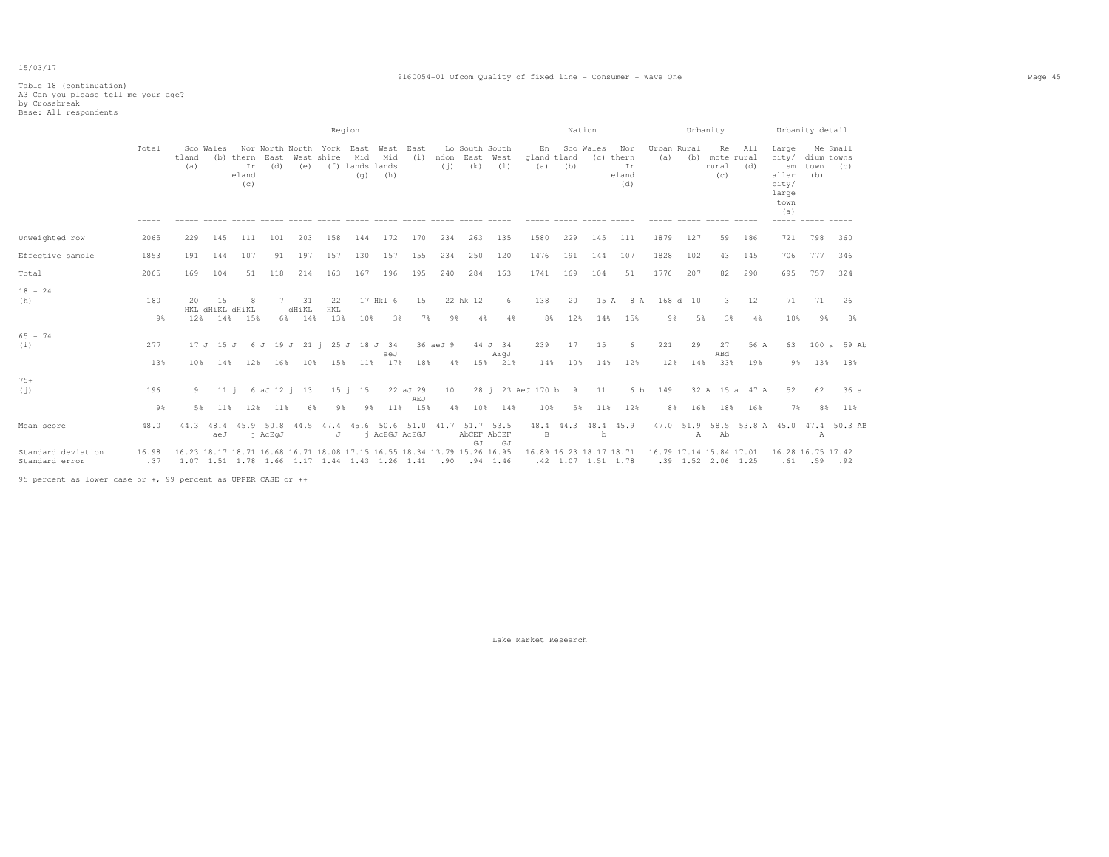#### 9160054-01 Ofcom Quality of fixed line - Consumer - Wave One Page 45

# Table 18 (continuation) A3 Can you please tell me your age? by Crossbreak Base: All respondents

|                                      |              |              |                                |                                 |                                          |                    |                   | Region                                       |                    |                        |                                                                                |                                         |                            |                               | Nation           | .                    |                           | ----------------------- | Urbanity             |                                      |                          |                                                                | Urbanity detail                       |                    |
|--------------------------------------|--------------|--------------|--------------------------------|---------------------------------|------------------------------------------|--------------------|-------------------|----------------------------------------------|--------------------|------------------------|--------------------------------------------------------------------------------|-----------------------------------------|----------------------------|-------------------------------|------------------|----------------------|---------------------------|-------------------------|----------------------|--------------------------------------|--------------------------|----------------------------------------------------------------|---------------------------------------|--------------------|
|                                      | Total        | tland<br>(a) | Sco Wales                      | (b) thern<br>Ir<br>eland<br>(c) | Nor North North York East<br>East<br>(d) | West shire<br>(e)  |                   | Mid<br>(f) lands lands<br>(q)                | West<br>Mid<br>(h) | East<br>(i)            | (i)                                                                            | Lo South South<br>ndon East West<br>(k) | (1)                        | En<br>gland tland<br>(a)      | Sco Wales<br>(b) | (c) thern            | Nor<br>Ir<br>eland<br>(d) | Urban Rural<br>(a)      |                      | Re<br>(b) mote rural<br>rural<br>(C) | All<br>(d)               | Large<br>city/<br>sm<br>aller<br>city/<br>large<br>town<br>(a) | Me Small<br>dium towns<br>town<br>(b) | (C)                |
| Unweighted row                       | 2065         | 229          | 145                            | 111                             | 101                                      | 203                | 158               | 144                                          | 172                | 170                    | 234                                                                            | 263                                     | 135                        | 1580                          | 229              | 145                  | 111                       | 1879                    | 127                  | 59                                   | 186                      | 721                                                            | 798                                   | 360                |
| Effective sample                     | 1853         | 191          | 144                            | 107                             | 91                                       | 197                | 157               | 130                                          | 157                | 155                    | 234                                                                            | 250                                     | 120                        | 1476                          | 191              | 144                  | 107                       | 1828                    | 102                  | 43                                   | 145                      | 706                                                            | 777                                   | 346                |
| Total                                | 2065         | 169          | 104                            | 51                              | 118                                      | 214                | 163               | 167                                          | 196                | 195                    | 240                                                                            | 284                                     | 163                        | 1741                          | 169              | 104                  | 51                        | 1776                    | 207                  | 82                                   | 290                      | 695                                                            | 757                                   | 324                |
| $18 - 24$<br>(h)                     | 180<br>98    | 20<br>12%    | -1.5<br>HKL dHiKL dHiKL<br>14% | -8<br>15%                       | 7<br>6%                                  | 31<br>dHiKL<br>14% | 22<br>HKL<br>13%  | 10%                                          | 17 Hk1 6<br>3%     | 15<br>7%               | 9%                                                                             | 22 hk 12<br>4%                          | 6<br>4%                    | 138<br>8%                     | 20<br>12%        | 15 A<br>14%          | 8 A<br>15%                | 9%                      | 168 d 10<br>5%       | 3<br>3%                              | 12<br>4%                 | 71<br>10%                                                      | 71<br>9%                              | 26<br>8%           |
| $65 - 74$<br>(i)                     | 277<br>13%   | 10%          | 17 J 15 J<br>14%               | 12%                             | 6 J 19 J 21 i<br>16%                     | 10%                | 15%               | 25 J 18 J 34<br>11%                          | aeJ<br>17%         | 18%                    | 36 aeJ 9<br>4%                                                                 |                                         | 44 J 34<br>AEqJ<br>15% 21% | 239<br>14%                    | 17<br>10%        | 15<br>14%            | - 6<br>12%                | 221<br>12%              | 29<br>14%            | 27<br>ABd<br>33%                     | 56 A<br>19%              | 63<br>98                                                       | 13%                                   | 100 a 59 Ab<br>18% |
| $75+$<br>(i)                         | 196<br>9%    | 9<br>5%      | 11 i<br>11%                    | 12%                             | 6 aJ 12 i 13<br>11%                      | 6%                 | 9%                | $15 \t1 \t15$<br>98                          | 11%                | 22 aJ 29<br>AEJ<br>15% | 10                                                                             |                                         | 4% 10% 14%                 | 28 i 23 AeJ 170 b 9 11<br>10% | 5%               | 11%                  | 6 b<br>12%                | 149<br>8%               | 16%                  | 18%                                  | 32 A 15 a 47 A<br>16%    | 52<br>7%                                                       | 62<br>8%                              | 36 a<br>11%        |
| Mean score                           | 48.0         | 44.3         | 48.4<br>aeJ                    |                                 | 45.9 50.8<br>i AcEqJ                     | 44.5               | 47.4<br>$\cdot$ T |                                              | i AcEGJ AcEGJ      |                        | 45.6 50.6 51.0 41.7 51.7 53.5                                                  | AbCEF AbCEF<br>GJ                       | GJ                         | 48.4 44.3<br>B                |                  | 48.4 45.9<br>b       |                           |                         | 47.0 51.9 58.5<br>A  | Ab                                   | 53.8 A 45.0 47.4 50.3 AB |                                                                | А                                     |                    |
| Standard deviation<br>Standard error | 16.98<br>.37 |              |                                |                                 |                                          |                    |                   | 1.07 1.51 1.78 1.66 1.17 1.44 1.43 1.26 1.41 |                    |                        | 16.23 18.17 18.71 16.68 16.71 18.08 17.15 16.55 18.34 13.79 15.26 16.95<br>.90 |                                         | .94 1.46                   | 16.89 16.23 18.17 18.71       |                  | $.42$ 1.07 1.51 1.78 |                           | 16.79 17.14 15.84 17.01 | $.39$ 1.52 2.06 1.25 |                                      |                          | 16.28 16.75 17.42                                              | $.61$ $.59$ $.92$                     |                    |

95 percent as lower case or +, 99 percent as UPPER CASE or ++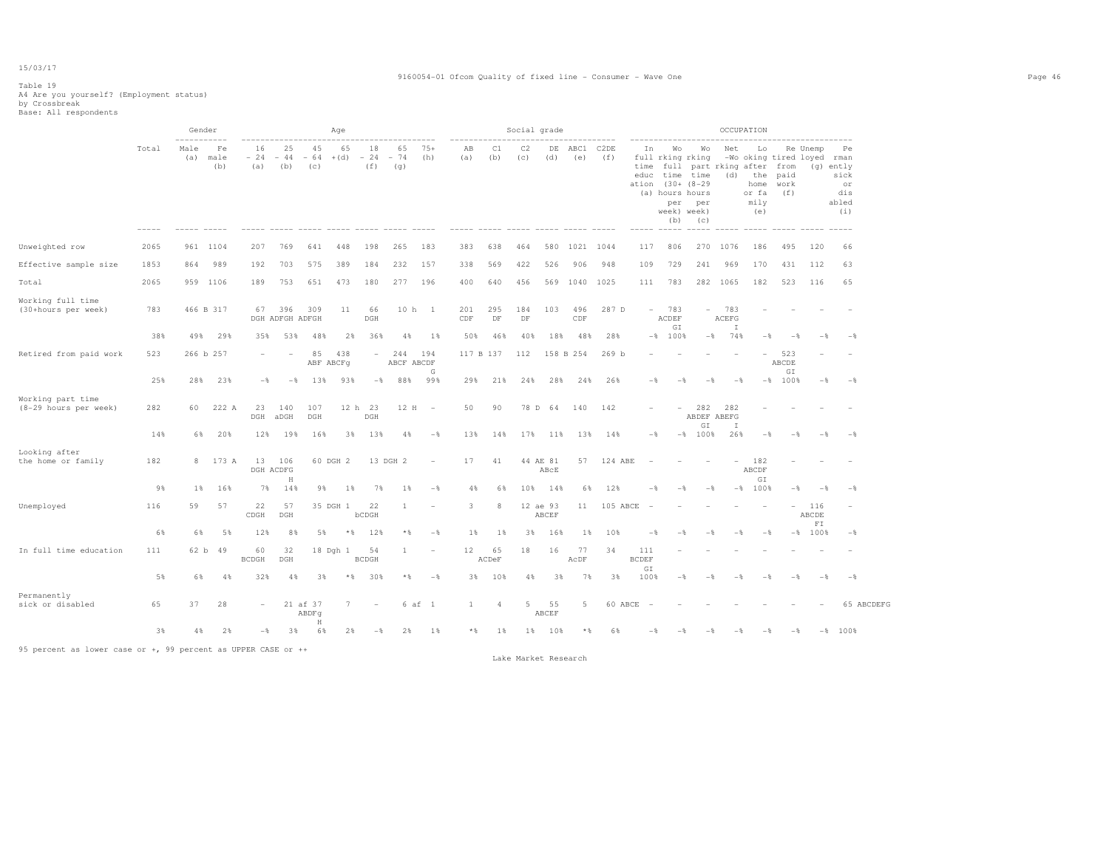#### 9160054-01 Ofcom Quality of fixed line - Consumer - Wave One Page 46

### Table 19 A4 Are you yourself? (Employment status) by Crossbreak Base: All respondents

|                                            |       | $--- - -$   | Gender            |                    |                        |                    | Age             |                          |                    |                          |                     |                | Social grade    |                   |             |                  |                             |                                                                                                         |                          |                                     | OCCUPATION                                |                             |                                        |                                                      |
|--------------------------------------------|-------|-------------|-------------------|--------------------|------------------------|--------------------|-----------------|--------------------------|--------------------|--------------------------|---------------------|----------------|-----------------|-------------------|-------------|------------------|-----------------------------|---------------------------------------------------------------------------------------------------------|--------------------------|-------------------------------------|-------------------------------------------|-----------------------------|----------------------------------------|------------------------------------------------------|
|                                            | Total | Male<br>(a) | Fe<br>male<br>(b) | 16<br>$-24$<br>(a) | 25<br>$-44$<br>(b)     | 45<br>$-64$<br>(c) | 65<br>$+(d)$    | 18<br>$-24$<br>(f)       | 65<br>$-74$<br>(q) | $75+$<br>(h)             | AB<br>(a)           | C1<br>(b)      | C2<br>(C)       | DE<br>(d)         | ABC1<br>(e) | C2DE<br>(f)      | In<br>time<br>educ<br>ation | Wo<br>full rking rking<br>time time<br>$(30 + 18 - 29)$<br>(a) hours hours<br>per<br>week) week)<br>(b) | Wo<br>per<br>(C)         | Net<br>full part rking after<br>(d) | Lo<br>the<br>home<br>or fa<br>mily<br>(e) | from<br>paid<br>work<br>(f) | Re Unemp<br>-Wo oking tired loyed rman | Pe<br>(q) ently<br>sick<br>or<br>dis<br>abled<br>(i) |
| Unweighted row                             | 2065  |             | 961 1104          | 207                | 769                    | 641                | 448             | 198                      | 265                | 183                      | 383                 | 638            | 464             | 580               | 1021 1044   |                  | 117                         | 806                                                                                                     |                          | 270 1076                            | 186                                       | 495                         | 120                                    | 66                                                   |
| Effective sample size                      | 1853  | 864         | 989               | 192                | 703                    | 575                | 389             | 184                      | 232                | 157                      | 338                 | 569            | 422             | 526               | 906         | 948              | 109                         | 729                                                                                                     | 241                      | 969                                 | 170                                       | 431                         | 112                                    | 63                                                   |
| Total                                      | 2065  | 959         | 1106              | 189                | 753                    | 651                | 473             | 180                      | 277                | 196                      | 400                 | 640            | 456             |                   | 569 1040    | 1025             | 111                         | 783                                                                                                     |                          | 282 1065                            | 182                                       | 523                         | 116                                    | 65                                                   |
| Working full time<br>(30+hours per week)   | 783   |             | 466 B 317         | 67                 | 396<br>DGH ADFGH ADFGH | 309                | 11              | 66<br>DGH                | 10 <sub>h</sub>    | $\mathbf{1}$             | 201<br>$_{\rm CDF}$ | 295<br>DF      | 184<br>$\rm DF$ | 103               | 496<br>CDF  | 287 D            | $\overline{\phantom{a}}$    | 783<br>ACDEF<br>$\mathbb{G}\, \mathbb{I}$                                                               |                          | 783<br>ACEFG<br>I                   |                                           |                             |                                        |                                                      |
|                                            | 38%   | 49%         | 29%               | 35%                | 53%                    | 488                | 2%              | 36%                      | 4%                 | 1%                       | 50%                 | 46%            | 40%             | 18%               | 48%         | 28%              |                             | $-8$ 100%                                                                                               | $-$ %                    | 74%                                 | $-$                                       |                             |                                        |                                                      |
| Retired from paid work                     | 523   |             | 266 b 257         |                    | ۰                      | 85<br>ABF ABCFq    | 438             | $\overline{\phantom{0}}$ | 244<br>ABCF ABCDF  | 194<br>G                 | 117 B 137           |                | 112             |                   | 158 B 254   | 269 <sub>b</sub> |                             |                                                                                                         |                          |                                     | $\overline{\phantom{0}}$                  | 523<br>ABCDE<br>GI          |                                        |                                                      |
|                                            | 25%   | 28%         | 23%               | $-$                | $-$                    | 13%                | 93%             | $-$                      | 88%                | 99%                      | 29%                 | 21%            | 24%             | 28%               | 24%         | 26%              | $-\frac{6}{6}$              | $-$                                                                                                     | $-$                      | $-$                                 |                                           | $-$ % 100 %                 | $-$                                    | $-$                                                  |
| Working part time<br>(8-29 hours per week) | 282   | 60          | 222 A             | 23<br>DGH          | 140<br>aDGH            | 107<br>DGH         |                 | 12 h 23<br>DGH           | 12 H               | $\sim$                   | 50                  | 90             | 78 D            | 64                | 140         | 142              |                             |                                                                                                         | 282<br>ABDEF ABEFG<br>GI | 282<br>I                            |                                           |                             |                                        |                                                      |
|                                            | 14%   | 6%          | 20%               | 12%                | 19%                    | 16%                | 3%              | 13%                      | 4%                 | $-\frac{6}{5}$           | 13%                 | 14%            | 17%             | 11%               | 13%         | 14%              | $-\frac{6}{6}$              | $-$ %                                                                                                   | 100%                     | 26%                                 | $-\frac{6}{5}$                            | $-$                         | $-$                                    | $-\frac{6}{9}$                                       |
| Looking after<br>the home or family        | 182   | 8           | 173 A             | 13                 | 106<br>DGH ACDFG       |                    | 60 DGH 2        |                          | 13 DGH 2           | $\overline{\phantom{a}}$ | 17                  | 41             |                 | 44 AE 81<br>ABCE  | 57          | 124 ABE          |                             |                                                                                                         |                          |                                     | 182<br>ABCDF                              |                             |                                        |                                                      |
|                                            | 9%    | $1\%$       | 16%               | 7%                 | H<br>14%               | 9%                 | $1\%$           | 7%                       | $1\%$              | $-\frac{6}{5}$           | 4%                  | 6%             | 10%             | 14%               | 6%          | 12%              | $-$                         |                                                                                                         | $-$ s                    |                                     | GI<br>$-$ % 100 %                         | - %                         | $-$                                    | $-$                                                  |
| Unemployed                                 | 116   | 59          | 57                | 22<br>CDGH         | 57<br>DGH              |                    | 35 DGH 1        | 22<br>bCDGH              | $\mathbf{1}$       |                          | 3                   | -8             |                 | 12 ae 93<br>ABCEF | 11          | 105 ABCE         |                             |                                                                                                         |                          |                                     |                                           | $\overline{\phantom{a}}$    | 116<br>ABCDE                           |                                                      |
|                                            | 6%    | 6%          | 5%                | 12%                | 8%                     | 5%                 | $*$ &           | 12%                      | * *                | $-\frac{6}{5}$           | 1%                  | 1%             | 3%              | 16%               | 1%          | 10%              | $-$                         |                                                                                                         |                          | $-\frac{6}{5}$                      | $-\frac{6}{5}$                            |                             | FT<br>$-$ % 100 %                      | $-\frac{6}{5}$                                       |
| In full time education                     | 111   | 62 b        | 49                | 60<br><b>BCDGH</b> | 32<br>DGH              |                    | 18 Dgh 1        | 54<br><b>BCDGH</b>       | $\mathbf{1}$       | $\overline{\phantom{m}}$ | 12                  | 65<br>ACDeF    | 18              | 16                | 77<br>AcDF  | 34               | 111<br><b>BCDEF</b>         |                                                                                                         |                          |                                     |                                           |                             |                                        |                                                      |
|                                            | 5%    | 6%          | 4%                | 32%                | 4%                     | 3%                 | $*$ &           | 30%                      | * %                | $-$ %                    | 3%                  | 10%            | 4%              | 3%                | 7%          | 3%               | GI<br>100%                  | $-$ %                                                                                                   | $-$                      | $-$                                 | $-$ %                                     | $-$                         | $-$                                    | $-\frac{6}{9}$                                       |
| Permanently<br>sick or disabled            | 65    | 37          | 28                |                    |                        | 21 af 37<br>ABDFq  | $7\phantom{.0}$ |                          |                    | 6 af 1                   | $\mathbf{1}$        | $\overline{4}$ | 5               | 55<br>ABCEF       | 5           | 60 ABCE          | $\sim$                      |                                                                                                         |                          |                                     |                                           |                             |                                        | 65 ABCDEFG                                           |
|                                            | 3%    | 4 %         | 2%                | $-$                | 3%                     | H<br>6%            | 2%              | $-$                      | 2%                 | $1\%$                    | $*$                 | 1%             | $1\%$           | 10%               | $*$ &       | 6%               |                             |                                                                                                         |                          |                                     |                                           |                             |                                        | $-8$ 100%                                            |

95 percent as lower case or +, 99 percent as UPPER CASE or ++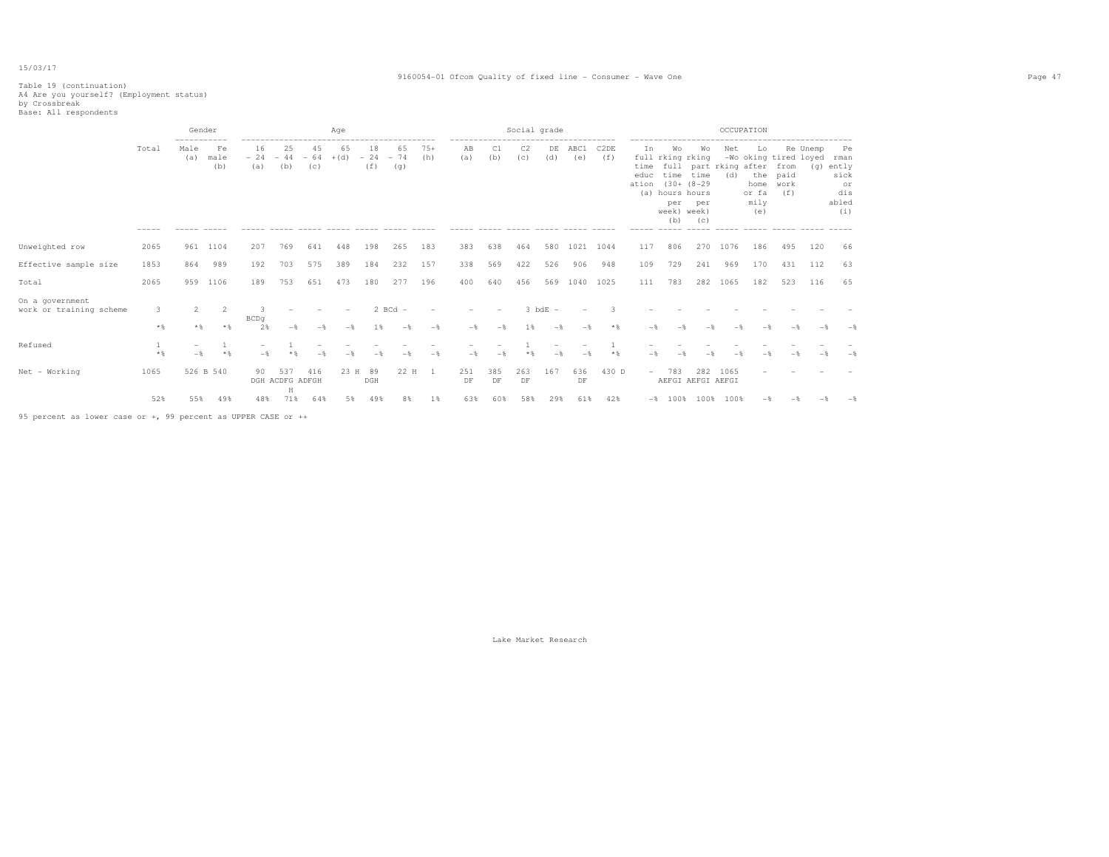#### 9160054-01 Ofcom Quality of fixed line - Consumer - Wave One Page 47

# Table 19 (continuation) A4 Are you yourself? (Employment status) by Crossbreak Base: All respondents

|                                            |          | Gender<br>----------- |                   |                    |                             |                    | Age          |                    |                    |                |                                                    |           | Social grade          |                               |               |             |                             |                                                                                |                                             |                                     | OCCUPATION                                |                                                      |                 |                                                          |
|--------------------------------------------|----------|-----------------------|-------------------|--------------------|-----------------------------|--------------------|--------------|--------------------|--------------------|----------------|----------------------------------------------------|-----------|-----------------------|-------------------------------|---------------|-------------|-----------------------------|--------------------------------------------------------------------------------|---------------------------------------------|-------------------------------------|-------------------------------------------|------------------------------------------------------|-----------------|----------------------------------------------------------|
|                                            | Total    | Male<br>(a)           | Fe<br>male<br>(b) | 16<br>$-24$<br>(a) | 25<br>$-44$<br>(b)          | 45<br>$-64$<br>(C) | 65<br>$+(d)$ | 18<br>$-24$<br>(f) | 65<br>$-74$<br>(g) | $75+$<br>(h)   | -------------------------------------<br>AB<br>(a) | C1<br>(b) | C <sub>2</sub><br>(c) | DE<br>(d)                     | ABC1<br>(e)   | C2DE<br>(f) | Ιn<br>time<br>educ<br>ation | Wо<br>full rking rking<br>time<br>(a) hours hours<br>per<br>week) week)<br>(b) | Wo<br>time<br>$(30 + (8 - 29$<br>per<br>(C) | Net<br>full part rking after<br>(d) | Lo<br>the<br>home<br>or fa<br>mily<br>(e) | -Wo oking tired loyed<br>from<br>paid<br>work<br>(f) | Re Unemp<br>(q) | Pe<br>rman<br>ently<br>sick<br>or<br>dis<br>abled<br>(i) |
| Unweighted row                             | 2065     | 961                   | 1104              | 207                | 769                         | 641                | 448          | 198                | 265                | 183            | 383                                                | 638       | 464                   |                               | 580 1021 1044 |             | 117                         | 806                                                                            | 270                                         | 1076                                | 186                                       | 495                                                  | 120             | 66                                                       |
| Effective sample size                      | 1853     | 864                   | 989               | 192                | 703                         | 575                | 389          | 184                | 232                | 157            | 338                                                | 569       | 422                   | 526                           | 906           | 948         | 109                         | 729                                                                            | 241                                         | 969                                 | 170                                       | 431                                                  | 112             | 63                                                       |
| Total                                      | 2065     | 959                   | 1106              | 189                | 753                         | 651                | 473          | 180                | 277                | 196            | 400                                                | 640       | 456                   | 569                           | 1040          | 1025        | 111                         | 783                                                                            | 282                                         | 1065                                | 182                                       | 523                                                  | 116             | 65                                                       |
| On a government<br>work or training scheme | 3<br>$*$ | **                    | 2<br>$*$          | BCDq<br>2%         | $-$                         | $-$                | $-$          | 1%                 | $2$ BCd $-$<br>$-$ | $-$            | $-$                                                | $-$       | 1%                    | $3$ bdE $-$<br>$-\frac{6}{2}$ | $-$           | $*$         |                             |                                                                                |                                             |                                     |                                           |                                                      |                 |                                                          |
| Refused                                    | $*$      | $-$                   | $*$               | $-$                |                             |                    |              |                    |                    | - %            | $-$                                                |           |                       | $-\frac{6}{2}$                | $-$           | $*$         |                             |                                                                                |                                             |                                     |                                           |                                                      |                 |                                                          |
| Net - Working                              | 1065     |                       | 526 B 540         | 90                 | 537<br>DGH ACDFG ADFGH<br>Η | 416                |              | 23 H 89<br>DGH     | 22 H               | $\overline{1}$ | 251<br>DF                                          | 385<br>DF | 263<br>DF             | 167                           | 636<br>DF     | 430 D       | $-$                         | 783<br>AEFGI AEFGI AEFGI                                                       | 282                                         | 1065                                |                                           |                                                      |                 |                                                          |
|                                            | 52%      | 55%                   | 49%               | 48%                | 71%                         | 64%                | 5%           | 498                | 8%                 | 1%             | 63%                                                | 60%       | 58%                   | 29%                           | 61%           | 42%         |                             | $-$ % 100 %                                                                    | 100%                                        | 100%                                |                                           |                                                      |                 |                                                          |

95 percent as lower case or +, 99 percent as UPPER CASE or ++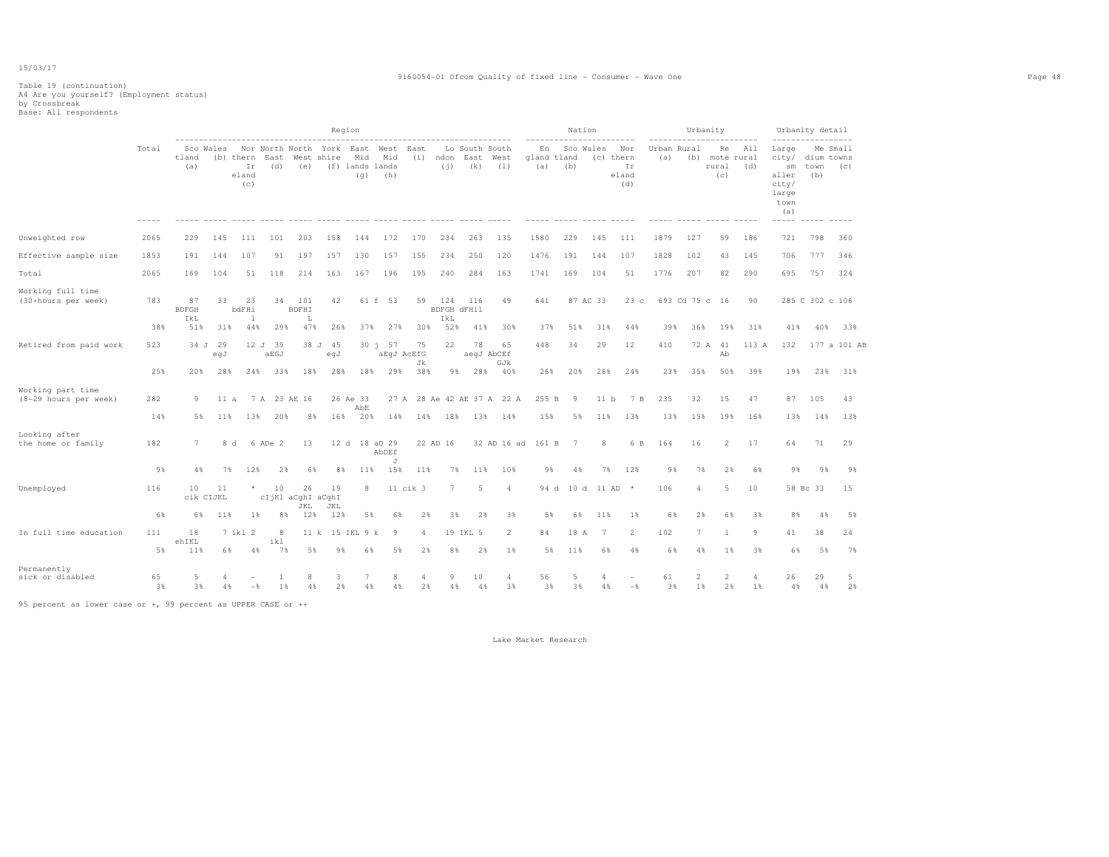#### 9160054-01 Ofcom Quality of fixed line - Consumer - Wave One Page 48

# Table 19 (continuation) A4 Are you yourself? (Employment status) by Crossbreak Base: All respondents

|                                            |                      |                           |                 |                                 |                         |                          | Region                                  |                               |                    |                                                 |                           |                               |                            |                          |    | Nation           |                   |                           |                    | Urbanity             |                                      |            |                                                                         | Urbanity detail           |                 |
|--------------------------------------------|----------------------|---------------------------|-----------------|---------------------------------|-------------------------|--------------------------|-----------------------------------------|-------------------------------|--------------------|-------------------------------------------------|---------------------------|-------------------------------|----------------------------|--------------------------|----|------------------|-------------------|---------------------------|--------------------|----------------------|--------------------------------------|------------|-------------------------------------------------------------------------|---------------------------|-----------------|
|                                            | Total<br>$- - - - -$ | tland<br>(a)              | Sco Wales       | (b) thern<br>Ir<br>eland<br>(c) | East<br>(d)             | (e)                      | Nor North North York East<br>West shire | Mid<br>(f) lands lands<br>(q) | West<br>Mid<br>(h) | East<br>(i)<br>----- ----- ----- ---- ---- ---- | ndon<br>(i)               | Lo South South<br>East<br>(k) | West<br>(1)                | En<br>gland tland<br>(a) |    | Sco Wales<br>(b) | (c) thern         | Nor<br>Ir<br>eland<br>(d) | Urban Rural<br>(a) |                      | Re<br>(b) mote rural<br>rural<br>(c) | All<br>(d) | Large<br>city/<br>sm<br>aller<br>city/<br>large<br>town<br>(a)<br>----- | dium towns<br>town<br>(b) | Me Small<br>(C) |
| Unweighted row                             | 2065                 | 229                       | 145             | 111                             | 101                     | 203                      | 158                                     | 144                           | 172                | 170                                             | 234                       | 263                           | 135                        | 1580                     |    | 229              | 145               | 111                       | 1879               | 127                  | 59                                   | 186        | 721                                                                     | 798                       | 360             |
| Effective sample size                      | 1853                 | 191                       | 144             | 107                             | 91                      | 197                      | 157                                     | 130                           | 157                | 155                                             | 234                       | 250                           | 120                        | 1476                     |    | 191              | 144               | 107                       | 1828               | 102                  | 43                                   | 145        | 706                                                                     | 777                       | 346             |
| Total                                      | 2065                 | 169                       | 104             | 51                              | 118                     | 214                      | 163                                     | 167                           | 196                | 195                                             | 240                       | 284                           | 163                        | 1741                     |    | 169              | 104               | 51                        | 1776               | 207                  | 82                                   | 290        | 695                                                                     | 757                       | 324             |
| Working full time<br>(30+hours per week)   | 783                  | 87<br><b>BDFGH</b><br>IkL | 33              | 23<br>bdFHi<br><b>1</b>         | 34                      | 101<br><b>BDFHI</b><br>L | 42                                      |                               | 61 f 53            | 59                                              | 124<br>BDFGH dFHil<br>IkL | 116                           | 49                         | 641                      |    | 87 AC 33         |                   | 23c                       |                    | 693 Cd 75 c 16       |                                      | 90         |                                                                         | 285 C 302 c 106           |                 |
|                                            | 38%                  | 51%                       | 31%             | 44%                             | 29%                     | 47%                      | 26%                                     | 37%                           | 27%                | 30%                                             | 52%                       | 41%                           | 30%                        | 37%                      |    | 51%              | 31%               | 44%                       | 39%                | 36%                  | 19%                                  | 31%        | 41%                                                                     | 40%                       | 33%             |
| Retired from paid work                     | 523                  |                           | 34 J 29<br>egJ  |                                 | 12 J 39<br>aEGJ         |                          | 38 J 45<br>eqJ                          |                               | 30 j 57            | 75<br>aEqJ AcEfG<br>Jk                          | 22                        | 78                            | 65<br>aeqJ AbCEf           | 448                      |    | 34               | 29                | 12                        | 410                |                      | 72 A 41<br>Ab                        | 113 A      | 132                                                                     |                           | 177 a 101 AB    |
|                                            | 25%                  | 20%                       | 28%             | 24%                             | 33%                     | 18%                      | 28%                                     | 18%                           | 29%                | 38%                                             | 9%                        | 28%                           | GJk<br>40%                 | 26%                      |    | 20%              | 28%               | 24%                       | 23%                | 35%                  | 50%                                  | 39%        | 19%                                                                     | 23%                       | 31%             |
| Working part time<br>(8-29 hours per week) | 282                  | 9                         | 11a             |                                 | 7 A 23 AE 16            |                          |                                         | 26 Ae 33<br>AbE               |                    |                                                 |                           |                               | 27 A 28 Ae 42 AE 37 A 22 A | 255 B                    |    | -9               | 11 b              | 7 B                       | 235                | 32                   | 15                                   | 47         | 87                                                                      | 105                       | 43              |
|                                            | 14%                  | 5%                        | 11%             | 13%                             | 20%                     | 8%                       | 16%                                     | 20%                           | 14%                | 14%                                             | 18%                       | 13%                           | 14%                        | 15%                      |    | 5%               | 11%               | 13%                       | 13%                | 15%                  | 19%                                  | 16%        | 13%                                                                     | 14%                       | 13%             |
| Looking after<br>the home or family        | 182                  | $7\phantom{.0}$           | 8 d             |                                 | 6 ADe 2                 | 13                       |                                         | 12 d 18 aD 29                 | AbDEf              |                                                 | 22 AD 16                  |                               | 32 AD 16 ad                | 161 B                    |    | $7^{\circ}$      | 8                 | 6 B                       | 164                | 16                   | 2                                    | 17         | 64                                                                      | 71                        | 29              |
|                                            | 9%                   | 4%                        | 7%              | 12%                             | 2%                      | 6%                       | 8%                                      | 11%                           | J<br>15%           | 11%                                             | 7%                        | 11%                           | 10%                        |                          | 9% | 4%               | 7%                | 12%                       | 9%                 | 7%                   | 2%                                   | 6%         | 9%                                                                      | 9%                        | 9%              |
| Unemployed                                 | 116                  | 10                        | 11<br>cik CIJKL | $\star$                         | 10<br>cIjKl aCghI aCghI | 26<br>JKL                | 19<br>JKL                               | 8                             |                    | $11$ cik $3$                                    | $7\phantom{.0}$           | 5                             | $\overline{4}$             |                          |    |                  | 94 d 10 d 11 AD * |                           | 106                | $\overline{a}$       | 5                                    | 10         |                                                                         | 58 Bc 33                  | 15              |
|                                            | 6%                   | 6%                        | 11%             | $1\%$                           | 8%                      | 12%                      | 12%                                     | 5%                            | 6%                 | 2%                                              | 3%                        | 2%                            | 3%                         |                          | 5% | 6%               | 11%               | $1\%$                     | 6%                 | 2%                   | 6%                                   | 3%         | 8%                                                                      | 4%                        | 5%              |
| In full time education                     | 111                  | 18<br>ehIKL               |                 | 7 ikl 2                         | 8<br>ikl                |                          | 11 k 15 IKL 9 k                         |                               | -9                 | $\overline{4}$                                  |                           | 19 IKL 5                      | $\overline{2}$             | 84                       |    | 18 A             | 7                 | $\overline{2}$            | 102                | $\overline{7}$       | $\overline{1}$                       | 9          | 41                                                                      | 38                        | 24              |
|                                            | 5%                   | 11%                       | 6%              | 4%                              | 7%                      | 5%                       | 9%                                      | 6%                            | 5%                 | 2%                                              | 8%                        | 2%                            | 1%                         |                          | 5% | 11%              | 6%                | 4%                        | 6%                 | 4%                   | 1 %                                  | 3%         | 6%                                                                      | 5%                        | 7%              |
| Permanently<br>sick or disabled            | 65<br>3%             | 5<br>3%                   | 4%              | $-\frac{6}{5}$                  | $\overline{1}$<br>1%    | 8<br>4%                  | 3<br>2%                                 | 7<br>4%                       | 8<br>4%            | $\Delta$<br>2%                                  | 9<br>4%                   | 10<br>4%                      | $\overline{4}$<br>3%       | 56                       | 3% | 5<br>3%          | 4<br>4%           | $-$                       | 61<br>3%           | $\overline{2}$<br>1% | $\overline{2}$<br>2%                 | 4<br>1%    | 26<br>4%                                                                | 29<br>4%                  | 5<br>2%         |

95 percent as lower case or +, 99 percent as UPPER CASE or ++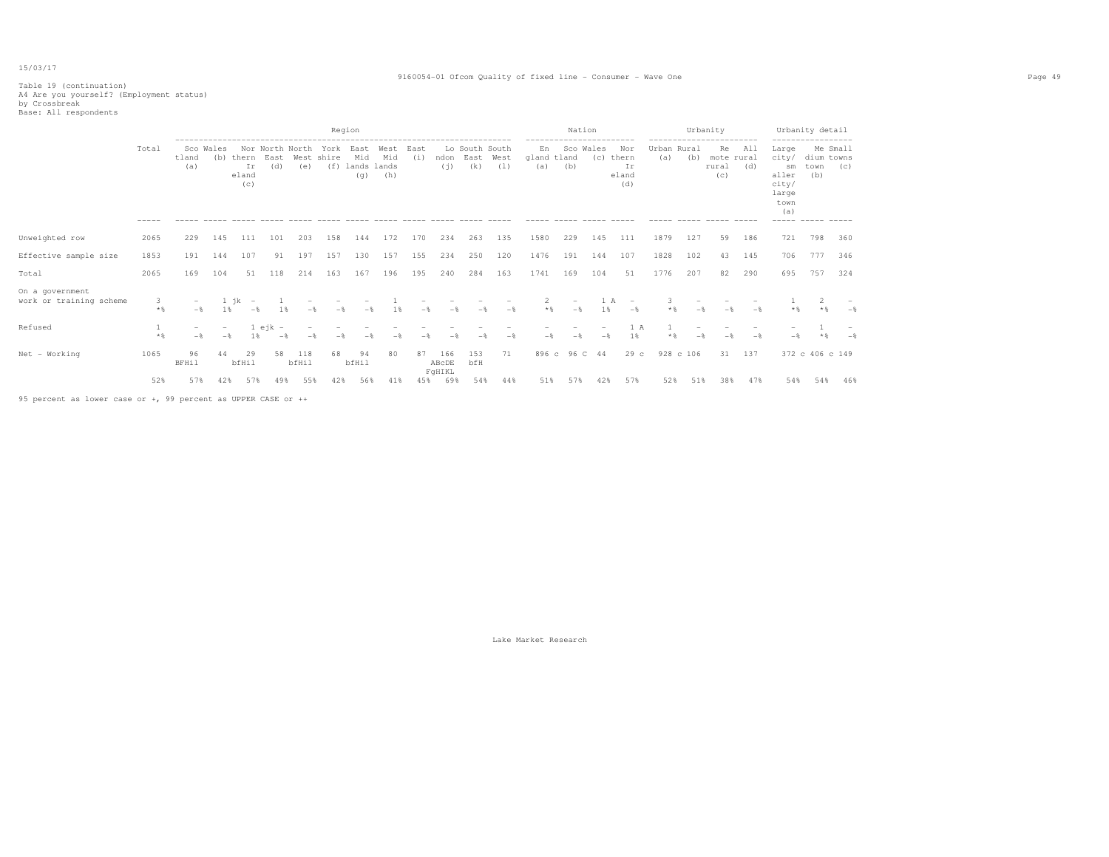#### 9160054-01 Ofcom Quality of fixed line - Consumer - Wave One Page 49

# Table 19 (continuation) A4 Are you yourself? (Employment status) by Crossbreak Base: All respondents

|                                            |                |                    |                                 |                                       |                  |                                |                      | Region                            |                    |             |               |                               |             |                          | ------------------------ | Nation           |                                    |                    |           | Urbanity<br>------------------------ |            |                                                                               | Urbanity detail<br>----------------- |                 |
|--------------------------------------------|----------------|--------------------|---------------------------------|---------------------------------------|------------------|--------------------------------|----------------------|-----------------------------------|--------------------|-------------|---------------|-------------------------------|-------------|--------------------------|--------------------------|------------------|------------------------------------|--------------------|-----------|--------------------------------------|------------|-------------------------------------------------------------------------------|--------------------------------------|-----------------|
|                                            | Total<br>----- | tland<br>(a)       | Sco Wales<br>(b)                | thern<br>Ir<br>eland<br>(c)           | East<br>(d)      | Nor North North<br>West<br>(e) | York<br>shire<br>(f) | East<br>Mid<br>lands lands<br>(q) | West<br>Mid<br>(h) | East<br>(i) | ndon<br>(j)   | Lo South South<br>East<br>(k) | West<br>(1) | En<br>gland tland<br>(a) | (b)                      | Sco Wales<br>(c) | Nor<br>thern<br>Ir<br>eland<br>(d) | Urban Rural<br>(a) | (b)       | Re<br>mote rural<br>rural<br>(C)     | All<br>(d) | Large<br>city/<br>sm<br>aller<br>city/<br>large<br>town<br>(a)<br>$- - - - -$ | dium towns<br>town<br>(b)            | Me Small<br>(C) |
| Unweighted row                             | 2065           | 229                | 145                             | 111                                   | 101              | 203                            | 158                  | 144                               | 172                | 170         | 234           | 263                           | 135         | 1580                     | 229                      | 145              | 111                                | 1879               | 127       | 59                                   | 186        | 721                                                                           | 798                                  | 360             |
| Effective sample size                      | 1853           | 191                | 144                             | 107                                   | 91               | 197                            | 157                  | 130                               | 157                | 155         | 234           | 250                           | 120         | 1476                     | 191                      | 144              | 107                                | 1828               | 102       | 43                                   | 145        | 706                                                                           | 777                                  | 346             |
| Total                                      | 2065           | 169                | 104                             | 51                                    | 118              | 214                            | 163                  | 167                               | 196                | 195         | 240           | 284                           | 163         | 1741                     | 169                      | 104              | 51                                 | 1776               | 207       | 82                                   | 290        | 695                                                                           | 757                                  | 324             |
| On a government<br>work or training scheme | 3<br>$*$ &     | $-$<br>$-$         | 1 %                             | ik<br>$\overline{\phantom{a}}$<br>$-$ |                  | $-$                            | $-$                  | $-$                               |                    | $-$         | $-$           |                               | $-$         | $*$                      | $-$                      | 1%               | $\overline{\phantom{a}}$<br>$-$    |                    | $-$       | $-$ %                                | $-$        |                                                                               |                                      |                 |
| Refused                                    | $*$            | $-$<br>$-$         | $\overline{\phantom{a}}$<br>$-$ | 1%                                    | $1$ ejk -<br>$-$ | $-$                            |                      |                                   |                    |             |               |                               | $-$         | $-$                      | $-$                      | -*               | 1 A<br>1%                          | $*$ %              | $-$       |                                      | $-$        |                                                                               |                                      |                 |
| Net - Working                              | 1065           | 96<br><b>BFHil</b> | 44                              | 29<br>bfHil                           | 58               | 118<br>bfHil                   | 68                   | 94<br>bfHil                       | 80                 | 87          | 166<br>ABCDE  | 153<br>bfH                    | 71          |                          | 896 c 96 C 44            |                  | 29c                                |                    | 928 c 106 | 31                                   | 137        |                                                                               | 372 c 406 c 149                      |                 |
|                                            | 52%            | 57%                | 42%                             | 57%                                   | 49%              | 55%                            | 42%                  | 56%                               | 41%                | 45%         | FqHIKL<br>69% | 54%                           | 44%         | 51%                      | 57%                      | 42%              | 57%                                | 52%                | 51%       | 38%                                  | 47%        | 54%                                                                           | 54%                                  | 46%             |

95 percent as lower case or +, 99 percent as UPPER CASE or ++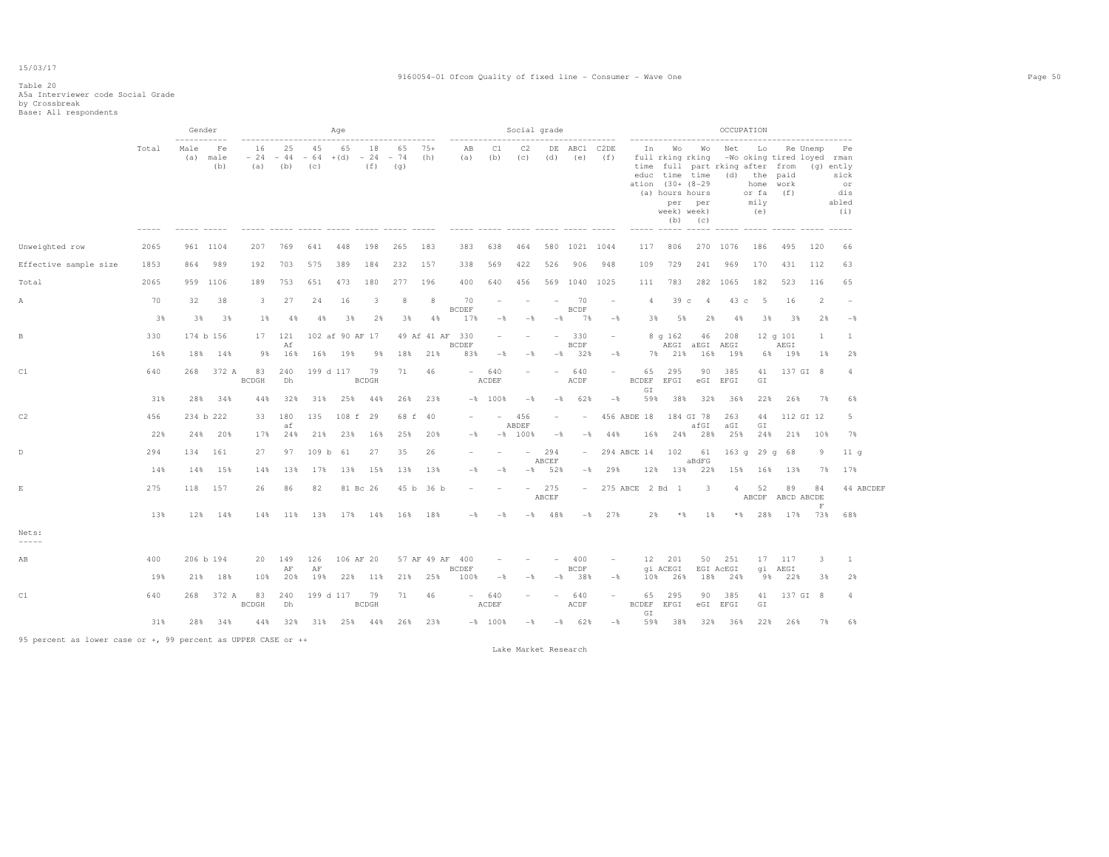### Table 20 A5a Interviewer code Social Grade by Crossbreak Base: All respondents

|                                                               |       |                            | Gender            |                        |           |                    | Aqe               |                    |                    |                 |                      |                |                          | Social grade             |                            |                          |                                 |                                                                                                                                             |                              |                  | OCCUPATION                                                                                                                                                          |                      |               |                                                      |
|---------------------------------------------------------------|-------|----------------------------|-------------------|------------------------|-----------|--------------------|-------------------|--------------------|--------------------|-----------------|----------------------|----------------|--------------------------|--------------------------|----------------------------|--------------------------|---------------------------------|---------------------------------------------------------------------------------------------------------------------------------------------|------------------------------|------------------|---------------------------------------------------------------------------------------------------------------------------------------------------------------------|----------------------|---------------|------------------------------------------------------|
|                                                               | Total | -----------<br>Male<br>(a) | Fe<br>male<br>(b) | 16<br>$-24 -44$<br>(a) | 25<br>(b) | 45<br>$-64$<br>(c) | 65<br>$+(d) - 24$ | 18<br>(f)          | 65<br>$-74$<br>(q) | $75+$<br>(h)    | AB<br>(a)            | C1<br>(b)      | C2<br>(C)                | DE<br>(d)                | -----------<br>ABC1<br>(e) | C2DE<br>(f)              | In                              | -------------------<br>Wo<br>full rking rking<br>educ time time<br>ation (30+ (8-29<br>(a) hours hours<br>week) week)<br>------ ----- ----- | Wo<br>per per<br>$(b)$ $(c)$ | Net              | ------------------------<br>Lo<br>-Wo oking tired loyed rman<br>time full part rking after from<br>(d) the paid<br>home work<br>or fa<br>mily<br>(e)<br>$- - - - -$ | (f)<br>$\frac{1}{2}$ | Re Unemp      | Pe<br>(g) ently<br>sick<br>or<br>dis<br>abled<br>(i) |
| Unweighted row                                                | 2065  |                            | 961 1104          | 207                    | 769       | 641                | 448               | 198                | 265                | 183             | 383                  | 638            | 464                      | 580                      | 1021 1044                  |                          | 117                             | 806                                                                                                                                         |                              | 270 1076         | 186                                                                                                                                                                 | 495                  | 120           | 66                                                   |
| Effective sample size                                         | 1853  | 864                        | 989               | 192                    | 703       | 575                | 389               | 184                | 232                | 157             | 338                  | 569            | 422                      | 526                      | 906                        | 948                      | 109                             | 729                                                                                                                                         | 241                          | 969              | 170                                                                                                                                                                 | 431                  | 112           | 63                                                   |
| Total                                                         | 2065  |                            | 959 1106          | 189                    | 753       | 651                | 473               | 180                | 277                | 196             | 400                  | 640            | 456                      |                          | 569 1040                   | 1025                     | 111                             | 783                                                                                                                                         | 282                          | 1065             | 182                                                                                                                                                                 | 523                  | 116           | 65                                                   |
| A                                                             | 70    | 32                         | 38                | 3                      | 27        | 24                 | 16                | 3                  | 8                  | 8               | 70<br><b>BCDEF</b>   |                |                          | $\overline{\phantom{a}}$ | 70<br><b>BCDF</b>          |                          | $\overline{4}$                  | 39 <sub>c</sub>                                                                                                                             | $\overline{4}$               | 43               | 5<br>$\circ$                                                                                                                                                        | 16                   | $\mathcal{L}$ |                                                      |
|                                                               | 3%    | 3%                         | 3%                | 1%                     | 4%        | 4%                 | 3%                | 2%                 | 3%                 | 4%              | 17%                  | $-$            | $-$                      | $-\frac{6}{6}$           | 7%                         | $-\frac{6}{6}$           | 3%                              | 5%                                                                                                                                          | 2%                           | 4%               | 3%                                                                                                                                                                  | 3%                   | 2%            | $-\frac{6}{9}$                                       |
| $_{\rm B}$                                                    | 330   |                            | 174 b 156         | 17                     | 121<br>Af |                    | 102 af 90 AF 17   |                    |                    | 49 Af 41 AF 330 | <b>BCDEF</b>         |                |                          |                          | 330<br><b>BCDF</b>         |                          |                                 | 8q162                                                                                                                                       | 46<br>AEGI aEGI              | 208<br>AEGI      |                                                                                                                                                                     | 12q101<br>AEGI       | 1             | 1                                                    |
|                                                               | 16%   | 18%                        | 14%               | 98                     | 16%       | 16%                | 19%               | 98                 | 18%                | 21%             | 83%                  | $-\frac{6}{9}$ | $-$                      | -%                       | 32%                        | $-\frac{6}{5}$           | 7%                              | 21%                                                                                                                                         | 16%                          | 19%              |                                                                                                                                                                     | 6% 19%               | 18            | 2%                                                   |
| C1                                                            | 640   | 268                        | 372 A             | 83<br><b>BCDGH</b>     | 240<br>Dh |                    | 199 d 117         | 79<br><b>BCDGH</b> | 71                 | 46              | $-$                  | 640<br>ACDEF   |                          |                          | 640<br>ACDF                |                          | 65<br><b>BCDEF</b><br>GI        | 295<br>EFGI                                                                                                                                 | 90<br>$\rm eG1$              | 385<br>EFGI      | 41<br>GI                                                                                                                                                            |                      | 137 GI 8      | $\overline{4}$                                       |
|                                                               | 31%   | 28%                        | 34%               | 44%                    | 32%       | 31%                | 25%               | 44%                | 26%                | 23%             |                      | $-$ % 100 %    | $-$                      | $-\frac{6}{5}$           | 62%                        | $-$                      | 59%                             | 38%                                                                                                                                         | 32%                          | 36%              | 22%                                                                                                                                                                 | 26%                  | 7%            | 6%                                                   |
| C2                                                            | 456   |                            | 234 b 222         | 33                     | 180<br>af | 135                | 108 f 29          |                    |                    | 68 f 40         |                      |                | 456<br>ABDEF             | $\overline{\phantom{a}}$ |                            |                          | 456 ABDE 18                     |                                                                                                                                             | 184 GI 78<br>afGI            | 263<br>aGI       | 44<br>GI                                                                                                                                                            |                      | 112 GI 12     | 5                                                    |
|                                                               | 22%   | 24%                        | 20%               | 17%                    | 24%       | 21%                | 23%               | 16%                | 25%                | 20%             | $-$                  | $-$ 8          | 100%                     | $-$                      | $-$                        | 44%                      | 16%                             | 24%                                                                                                                                         | 28%                          | 25%              | 24%                                                                                                                                                                 | 21%                  | 10%           | 7%                                                   |
| $\mathbb{D}$                                                  | 294   | 134                        | 161               | 27                     | 97        | 109 <sub>b</sub>   | 61                | 27                 | 35                 | 26              |                      |                | $\overline{\phantom{a}}$ | 294<br>ABCEF             | $\overline{\phantom{a}}$   |                          | 294 ABCE 14 102                 |                                                                                                                                             | 61<br>aBdFG                  |                  | 163q29q                                                                                                                                                             | 68                   | 9             | 11q                                                  |
|                                                               | 14%   | 14%                        | 15%               | 14%                    | 13%       | 17%                | 13%               | 15%                | 13%                | 13%             | $-$                  | $-$            | $ \delta$                | 52%                      | $-$ 8                      | 29%                      | 12%                             | 13%                                                                                                                                         | 22%                          | 15%              | 16%                                                                                                                                                                 | 13%                  | 7%            | 17%                                                  |
| $\mathop{}\!\textnormal{E}$                                   | 275   | 118                        | 157               | 26                     | 86        | 82                 |                   | 81 Bc 26           |                    | 45 b 36 b       |                      |                | $-$                      | 275<br>ABCEF             | $\sim$                     |                          | 275 ABCE 2 Bd 1                 |                                                                                                                                             | 3                            | $\overline{4}$   | 52<br>ABCDF ABCD ABCDE                                                                                                                                              | 89                   | 84<br>F       | 44 ABCDEF                                            |
|                                                               | 13%   |                            | 12% 14%           | 14%                    |           | 11% 13%            |                   | 17% 14%            | 16%                | 18%             | $-$                  | $-$            | $-$                      | 48%                      | $-$                        | 2.7%                     | 2%                              | $*$ &                                                                                                                                       | 1 %                          |                  | $*$ % 28 %                                                                                                                                                          | 17%                  | 73%           | 68%                                                  |
| Nets:<br>$- - - - - -$                                        |       |                            |                   |                        |           |                    |                   |                    |                    |                 |                      |                |                          |                          |                            |                          |                                 |                                                                                                                                             |                              |                  |                                                                                                                                                                     |                      |               |                                                      |
| AB                                                            | 400   |                            | 206 b 194         | 20                     | 149       | 126                | 106 AF 20         |                    |                    | 57 AF 49 AF 400 |                      |                |                          |                          | 400                        |                          | 12                              | 201                                                                                                                                         | 50                           | 251              | 17                                                                                                                                                                  | 117                  | 3             | 1                                                    |
|                                                               | 19%   | 21%                        | 18%               | 10%                    | AF<br>20% | AF<br>19%          |                   | 22% 11%            | 21%                | 25%             | <b>BCDEF</b><br>100% | $-$            | $-\frac{6}{5}$           | $-\frac{6}{2}$           | <b>BCDF</b><br>38%         | $-$                      | 10%                             | qi ACEGI<br>26%                                                                                                                             | 18%                          | EGI ACEGI<br>24% | 98                                                                                                                                                                  | qi AEGI<br>22%       | 3%            | 2%                                                   |
| C1                                                            | 640   | 268                        | 372 A             | 83<br><b>BCDGH</b>     | 240<br>Dh |                    | 199 d 117         | 79<br><b>BCDGH</b> | 71                 | 46              | $\sim$               | 640<br>ACDEF   |                          | $\overline{\phantom{0}}$ | 640<br>ACDF                | $\overline{\phantom{a}}$ | 65                              | 295<br>BCDEF EFGI                                                                                                                           | 90                           | 385<br>eGI EFGI  | 41<br>$\mathbb{G}\, \mathbb{I}$                                                                                                                                     |                      | 137 GI 8      | $\overline{4}$                                       |
|                                                               | 31%   | 28%                        | 34%               | 44%                    | 32%       |                    | 31% 25% 44%       |                    | 26%                | 23%             |                      | $-8$ 100%      | $-\frac{6}{5}$           | $-$                      | 62%                        | $-$                      | $\mathbb{G}\,\mathbb{I}$<br>59% | 38%                                                                                                                                         | 32%                          | 36%              | 22%                                                                                                                                                                 | 26%                  | 7%            | 6%                                                   |
| 95 percent as lower case or +, 99 percent as UPPER CASE or ++ |       |                            |                   |                        |           |                    |                   |                    |                    |                 |                      |                |                          |                          |                            |                          |                                 |                                                                                                                                             |                              |                  |                                                                                                                                                                     |                      |               |                                                      |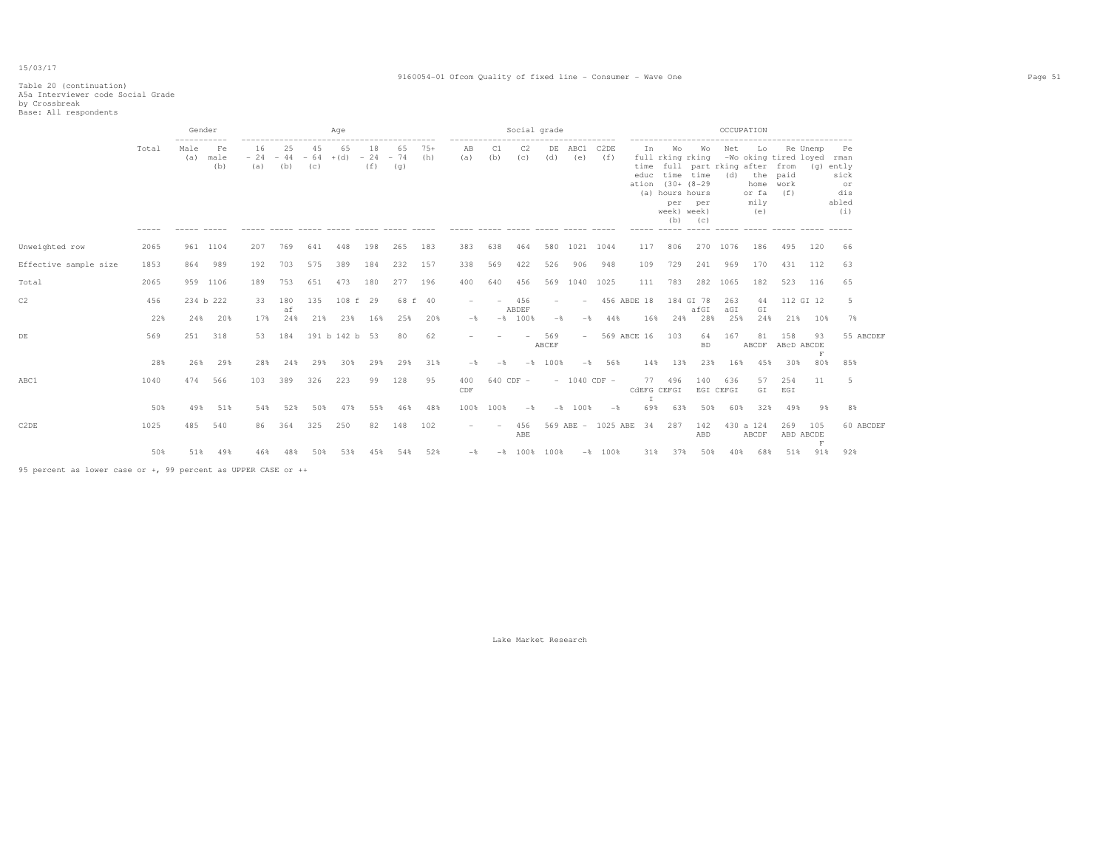#### 9160054-01 Ofcom Quality of fixed line - Consumer - Wave One Page 51

# Table 20 (continuation) A5a Interviewer code Social Grade by Crossbreak Base: All respondents

|                       |       | Gender                     |                   |                                     |           |           | Aqe                                   |           |                                |              |                            |           | Social grade  |                          |                                  |                          |                             |                                                                                                      |                                                                       |                  | OCCUPATION                                               |                              |                                             |                                                      |
|-----------------------|-------|----------------------------|-------------------|-------------------------------------|-----------|-----------|---------------------------------------|-----------|--------------------------------|--------------|----------------------------|-----------|---------------|--------------------------|----------------------------------|--------------------------|-----------------------------|------------------------------------------------------------------------------------------------------|-----------------------------------------------------------------------|------------------|----------------------------------------------------------|------------------------------|---------------------------------------------|------------------------------------------------------|
|                       | Total | -----------<br>Male<br>(a) | Fe<br>male<br>(b) | ----------------------<br>16<br>(a) | 25<br>(b) | 45<br>(c) | 65<br>$-24 - 44 - 64 + (d) - 24 - 74$ | 18<br>(f) | -----------------<br>65<br>(g) | $75+$<br>(h) | -------------<br>AB<br>(a) | C1<br>(b) | C2<br>(c)     | (d)                      | --------------<br>DE ABC1<br>(e) | C <sub>2</sub> DE<br>(f) | Ιn<br>time<br>educ<br>ation | Wo<br>full rking rking<br>time time<br>$(30 + (8-29$<br>(a) hours hours<br>per<br>week) week)<br>(b) | -------------------<br>Wo<br>full part rking after from<br>per<br>(C) | Net<br>(d)       | Lo<br>-Wo oking tired loyed rman<br>or fa<br>mily<br>(e) | the paid<br>home work<br>(f) | ----------------------<br>Re Unemp          | Pe<br>(q) ently<br>sick<br>or<br>dis<br>abled<br>(i) |
| Unweighted row        | 2065  |                            | 961 1104          | 207                                 | 769       | 641       | 448                                   | 198       | 265                            | 183          | 383                        | 638       | 464           |                          | 580 1021 1044                    |                          | 117                         | 806                                                                                                  | 270                                                                   | 1076             | 186                                                      | 495                          | 120                                         | 66                                                   |
| Effective sample size | 1853  | 864                        | 989               | 192                                 | 703       | 575       | 389                                   | 184       | 232                            | 157          | 338                        | 569       | 422           | 526                      | 906                              | 948                      | 109                         | 729                                                                                                  | 241                                                                   | 969              | 170                                                      | 431                          | 112                                         | 63                                                   |
| Total                 | 2065  |                            | 959 1106          | 189                                 | 753       | 651       | 473                                   | 180       | 277                            | 196          | 400                        | 640       | 456           |                          | 569 1040 1025                    |                          | 111                         | 783                                                                                                  |                                                                       | 282 1065         | 182                                                      | 523                          | 116                                         | 65                                                   |
| C2                    | 456   |                            | 234 b 222         | 33                                  | 180<br>af | 135       | 108 f 29                              |           |                                | 68 f 40      |                            |           | 456<br>ABDEF  | $\overline{\phantom{a}}$ | $\overline{\phantom{0}}$         |                          | 456 ABDE 18                 |                                                                                                      | 184 GI 78<br>afGI                                                     | 263<br>aGI       | 44<br>GI                                                 |                              | 112 GI 12                                   | 5                                                    |
|                       | 22%   |                            | 24% 20%           | 17%                                 | 24%       | 21%       | 23%                                   | 16%       | 25%                            | 20%          | $-$                        |           | $-8$ 100%     | $-$                      | $-$                              | 44%                      | 16%                         | 24%                                                                                                  | 28%                                                                   | 25%              | 24%                                                      | 21%                          | 10%                                         | 7%                                                   |
| DE                    | 569   | 251                        | 318               | 53                                  | 184       |           | 191 b 142 b 53                        |           | 80                             | 62           |                            |           |               | 569<br>ABCEF             | $\overline{\phantom{a}}$         |                          | 569 ABCE 16                 | 103                                                                                                  | 64<br><b>BD</b>                                                       | 167              | 81<br>ABCDF                                              | 158<br>ABcD ABCDE            | 93<br>F                                     | 55 ABCDEF                                            |
|                       | 28%   | 26%                        | 29%               | 28%                                 | 24%       | 29%       | 30%                                   | 29%       | 29%                            | 31%          | $-$ %                      | $-$       |               | $-$ % 100 %              | $-$                              | 56%                      | 14%                         | 13%                                                                                                  | 23%                                                                   | 16%              | 45%                                                      | 30%                          | 80%                                         | 85%                                                  |
| ABC1                  | 1040  | 474                        | 566               | 103                                 | 389       | 326       | 223                                   | 99        | 128                            | 95           | 400<br>CDF                 |           | $640$ CDF $-$ |                          | $- 1040$ CDF $-$                 |                          | CdEFG CEFGI                 | 77 496                                                                                               | 140                                                                   | 636<br>EGI CEFGI | 57<br>GI                                                 | 254<br>EGI                   | 11                                          | -5                                                   |
|                       | 50%   | 49%                        | 51%               | 54%                                 | 52%       | 50%       | 47%                                   | 55%       | 46%                            | 48%          | 100%                       | 100%      | $-$           | $-$                      | 100%                             | $-$                      | 69%                         | 63%                                                                                                  | 50%                                                                   | 60%              | 32%                                                      | 49%                          | 9%                                          | 8%                                                   |
| C2DE                  | 1025  | 485                        | 540               | 86                                  | 364       | 325       | 250                                   | 82        | 148                            | 102          |                            |           | 456<br>ABE    |                          |                                  | 569 ABE - 1025 ABE       | 34                          | 287                                                                                                  | 142<br>ABD                                                            |                  | 430 a 124<br>ABCDF                                       | 269                          | 105<br>ABD ABCDE<br>$\overline{\mathbf{F}}$ | 60 ABCDEF                                            |
|                       | 50%   | 51%                        | 49%               | 46%                                 | 48%       | 50%       | 53%                                   | 45%       | 54%                            | 52%          | $-$                        | $-$       | 100%          | 100%                     |                                  | $-8$ 100%                | 31%                         | 37%                                                                                                  | 50%                                                                   | 40%              | 68%                                                      | 51%                          | 91%                                         | 92%                                                  |

95 percent as lower case or +, 99 percent as UPPER CASE or ++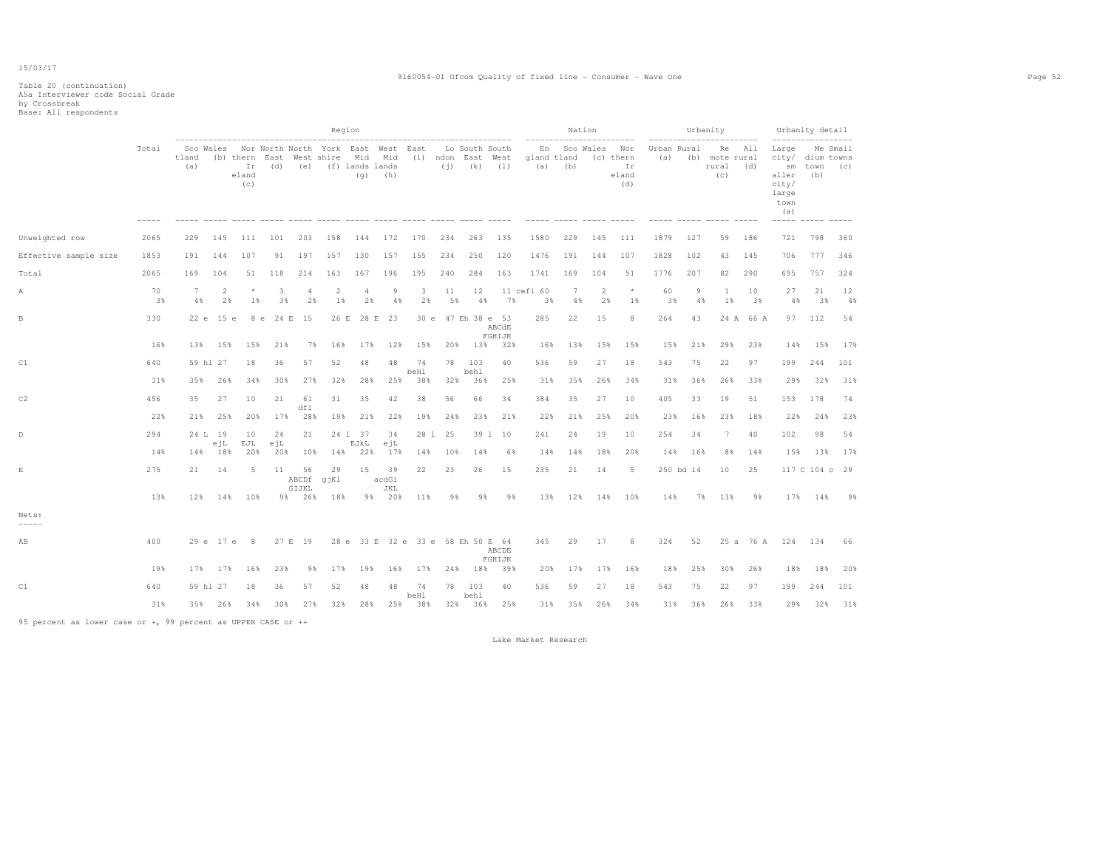#### 9160054-01 Ofcom Quality of fixed line - Consumer - Wave One Page 52

# Table 20 (continuation) A5a Interviewer code Social Grade by Crossbreak Base: All respondents

|                        |          |                       |                      |                    |                           |                           | Region                                                                   |                      |                    |                                   |          |                 |                                      |                          |         | Nation               |                                        |                    | Urbanity  |                                      |            | Urbanity detail                                                           |                 |          |
|------------------------|----------|-----------------------|----------------------|--------------------|---------------------------|---------------------------|--------------------------------------------------------------------------|----------------------|--------------------|-----------------------------------|----------|-----------------|--------------------------------------|--------------------------|---------|----------------------|----------------------------------------|--------------------|-----------|--------------------------------------|------------|---------------------------------------------------------------------------|-----------------|----------|
|                        | Total    | tland<br>(a)          |                      | Ir<br>eland<br>(c) | (b) thern East West shire |                           | Sco Wales Nor North North York East West East<br>(d) (e) (f) lands lands | Mid Mid<br>(q)       | (h)                |                                   |          | $(i)$ (k) $(1)$ | Lo South South<br>(i) ndon East West | En<br>gland tland<br>(a) | (b)     | Sco Wales            | Nor<br>(c) thern<br>Ir<br>eland<br>(d) | Urban Rural<br>(a) |           | Re<br>(b) mote rural<br>rural<br>(C) | All<br>(d) | Large<br>city/ dium towns<br>sm<br>aller<br>city/<br>large<br>town<br>(a) | town (c)<br>(b) | Me Small |
| Unweighted row         | 2065     | 229                   | 145                  | 111                | 101                       | 203                       | 158                                                                      | 144                  | 172                | 170                               | 234      | 263             | 135                                  | 1580                     | 229     | 145                  | 111                                    | 1879               | 127       | 59                                   | 186        | 721                                                                       | 798             | 360      |
| Effective sample size  | 1853     | 191                   | 144                  | 107                | 91                        | 197                       | 157                                                                      | 130                  | 157                | 155                               | 234      | 250             | 120                                  | 1476                     | 191     | 144                  | 107                                    | 1828               | 102       | 43                                   | 145        | 706                                                                       | 777             | 346      |
| Total                  | 2065     | 169                   | 104                  | 51                 | 118                       | 214                       | 163                                                                      | 167                  | 196                | 195                               | 240      | 284             | 163                                  | 1741                     | 169     | 104                  | 51                                     | 1776               | 207       | 82                                   | 290        | 695                                                                       | 757             | 324      |
| Α                      | 70<br>3% | $7\phantom{.0}$<br>4% | $\overline{2}$<br>2% | $\star$<br>1%      | 3<br>3%                   | 4<br>2%                   | $\overline{c}$<br>1%                                                     | $\overline{4}$<br>2% | 9<br>4%            | 3<br>2%                           | 11<br>5% | 12<br>4%        | 7%                                   | 11 cefi 60<br>3%         | 7<br>4% | $\overline{2}$<br>2% | $^{\star}$<br>1%                       | 60<br>3%           | 9<br>4%   | <sup>1</sup><br>1%                   | 10<br>3%   | 27<br>4%                                                                  | 21<br>3%        | 12<br>4% |
| B                      | 330      | 22 e                  | 15 e                 | 8 e                | 24 E                      | 15                        | 26 E                                                                     | 28 E                 | 23                 | 30e                               |          |                 | 47 Eh 38 e 53<br>ABCdE<br>FGHIJK     | 285                      | 22      | 15                   | 8                                      | 264                | 43        |                                      | 24 A 66 A  |                                                                           | 97 112          | 54       |
|                        | 16%      | 13%                   | 15%                  | 15%                | 21%                       | 7%                        | 16%                                                                      | 17%                  | 12%                | 15%                               | 20%      | 13%             | 32%                                  | 16%                      | 13%     | 15%                  | 15%                                    | 15%                | 21%       | 29%                                  | 23%        | 14%                                                                       | 15%             | 17%      |
| C1                     | 640      |                       | 59 hl 27             | 18                 | 36                        | 57                        | 52                                                                       | 48                   | 48                 | 74<br>beHl                        | 78       | 103<br>behl     | 40                                   | 536                      | 59      | 27                   | 18                                     | 543                | 75        | 22                                   | 97         | 199                                                                       | 244             | 101      |
|                        | 31%      | 35%                   | 26%                  | 34%                | 30%                       | 27%                       | 32%                                                                      | 28%                  | 25%                | 38%                               | 32%      | 36%             | 25%                                  | 31%                      | 35%     | 26%                  | 34%                                    | 31%                | 36%       | 26%                                  | 33%        | 29%                                                                       | 32%             | 31%      |
| C2                     | 456      | 35                    | 27                   | 10                 | 21                        | 61<br>dfi                 | 31                                                                       | 35                   | 42                 | 38                                | 56       | 66              | 34                                   | 384                      | 35      | 27                   | 10                                     | 405                | 33        | 19                                   | 51         | 153                                                                       | 178             | 74       |
|                        | 22%      | 21%                   | 25%                  | 20%                | 17%                       | 28%                       | 19%                                                                      | 21%                  | 22%                | 19%                               | 24%      | 23%             | 21%                                  | 22%                      | 21%     | 25%                  | 20%                                    | 23%                | 16%       | 23%                                  | 18%        | 22%                                                                       | 24%             | 23%      |
| D                      | 294      |                       | 24 L 19<br>ejL       | 10<br>EJL          | 24<br>ejL                 | 21                        |                                                                          | 24 1 37<br>EJkL      | 34<br>ejL          |                                   | 28 1 25  |                 | 39 1 10                              | 241                      | 24      | 19                   | 10                                     | 254                | 34        | 7                                    | 40         | 102                                                                       | 98              | 54       |
|                        | 14%      | 14%                   | 18%                  | 20%                | 20%                       | 10%                       | 14%                                                                      | 22%                  | 17%                | 14%                               | 10%      | 14%             | 6%                                   | 14%                      | 14%     | 18%                  | 20%                                    | 14%                | 16%       | 8%                                   | 14%        | 15%                                                                       | 13%             | 17%      |
| $\mathbf E$            | 275      | 21                    | 14                   | -5                 | 11                        | 56<br>ABCDf qjKl<br>GIJKL | 29                                                                       | 15                   | 39<br>acdGi<br>JKL | 22                                | 23       | 26              | 15                                   | 235                      | 21      | 14                   | 5                                      |                    | 250 bd 14 | 10                                   | 25         |                                                                           | 117 C 104 c 29  |          |
|                        | 13%      |                       |                      | 12% 14% 10%        |                           | 9% 26%                    | 18%                                                                      |                      | 9% 20%             | 11%                               | 98       | 98              | 98                                   | 13%                      | 12%     | 14%                  | 10%                                    | 14%                | 7%        | 13%                                  | 98         | 17%                                                                       | 14%             | 9%       |
| Nets:<br>$- - - - - -$ |          |                       |                      |                    |                           |                           |                                                                          |                      |                    |                                   |          |                 |                                      |                          |         |                      |                                        |                    |           |                                      |            |                                                                           |                 |          |
| AB                     | 400      |                       |                      | 29 e 17 e 8        |                           | 27 E 19                   |                                                                          |                      |                    | 28 e 33 E 32 e 33 e 58 Eh 50 E 64 |          |                 | ABCDE<br>FGHIJK                      | 345                      | 29      | 17                   | 8                                      | 324                | 52        |                                      | 25 a 76 A  | 124 134                                                                   |                 | 66       |
|                        | 19%      | 17%                   | 17%                  | 16%                | 23%                       | 98                        | 17%                                                                      | 19%                  | 16%                | 17%                               | 24%      | 18%             | 39%                                  | 20%                      | 17%     | 17%                  | 16%                                    | 18%                | 25%       | 30%                                  | 26%        | 18%                                                                       | 18%             | 20%      |
| C1                     | 640      |                       | 59 hl 27             | 18                 | 36                        | 57                        | 52                                                                       | 48                   | 48                 | 74<br>beHl                        | 78       | 103<br>behl     | 40                                   | 536                      | 59      | 27                   | 18                                     | 543                | 75        | 22                                   | 97         | 199                                                                       | 244             | 101      |
|                        | 31%      |                       | 35% 26%              | 34%                | 30%                       | 27%                       | 32%                                                                      | 28%                  |                    | 25% 38%                           |          | 32% 36%         | 25%                                  | 31%                      | 35%     | 26%                  | 34%                                    | 31%                | 36%       | 26%                                  | 33%        | 29%                                                                       | 32%             | 31%      |

95 percent as lower case or +, 99 percent as UPPER CASE or ++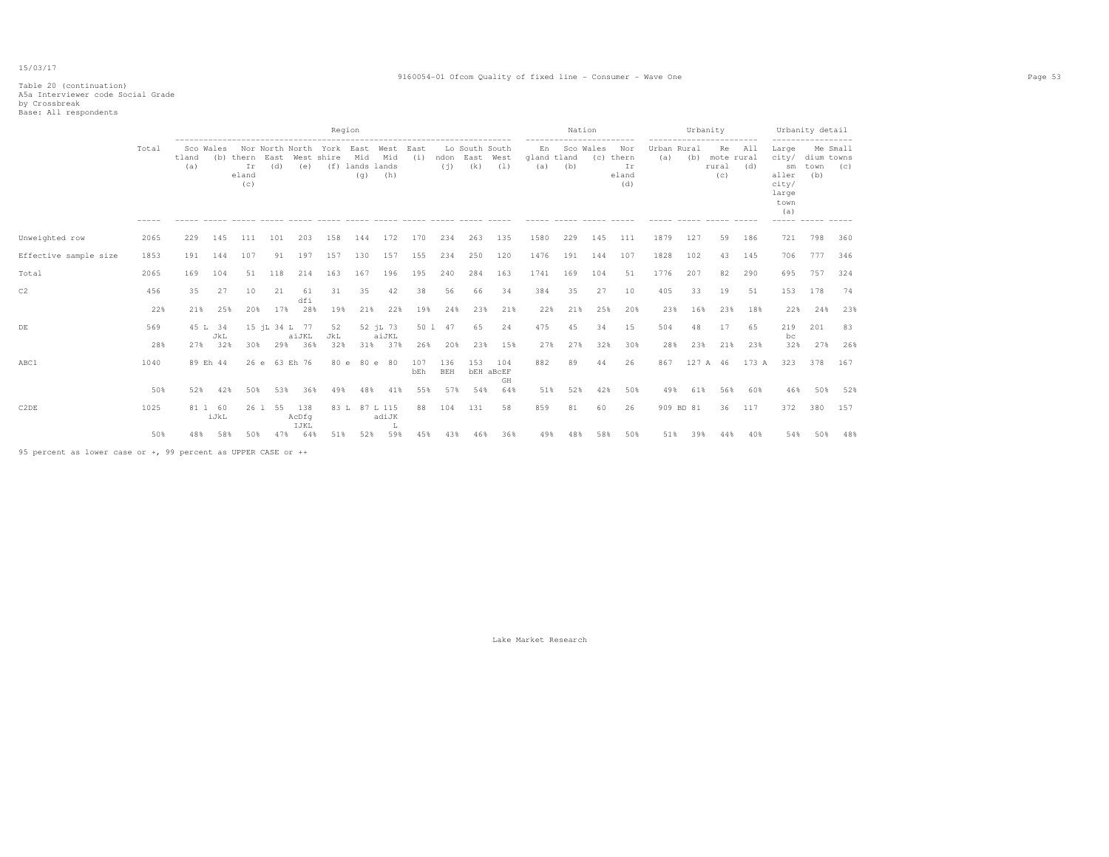#### 9160054-01 Ofcom Quality of fixed line - Consumer - Wave One Page 53

# Table 20 (continuation) A5a Interviewer code Social Grade by Crossbreak Base: All respondents

|                       |       |              |                 |                    |                                                                            |              |           | Region                        |                                                   |            |                   |                                         |                               |                          |                     | Nation    |                                                      |                    | Urbanity  |                                                                 |            |                                                                | Urbanity detail                                             |     |
|-----------------------|-------|--------------|-----------------|--------------------|----------------------------------------------------------------------------|--------------|-----------|-------------------------------|---------------------------------------------------|------------|-------------------|-----------------------------------------|-------------------------------|--------------------------|---------------------|-----------|------------------------------------------------------|--------------------|-----------|-----------------------------------------------------------------|------------|----------------------------------------------------------------|-------------------------------------------------------------|-----|
|                       | Total | tland<br>(a) | Sco Wales       | Ir<br>eland<br>(c) | --------------------------------------<br>(b) thern East West shire<br>(d) | (e)          |           | Mid<br>(f) lands lands<br>(q) | Nor North North York East West East<br>Mid<br>(h) | (i)        | (i)               | Lo South South<br>ndon East West<br>(k) | (1)                           | En<br>gland tland<br>(a) | ------------<br>(b) | Sco Wales | ----------<br>Nor<br>(c) thern<br>Ir<br>eland<br>(d) | Urban Rural<br>(a) |           | -----------------------<br>Re<br>(b) mote rural<br>rural<br>(c) | All<br>(d) | Large<br>city/<br>sm<br>aller<br>city/<br>large<br>town<br>(a) | ------------------<br>Me Small<br>dium towns<br>town<br>(b) | (C) |
| Unweighted row        | 2065  | 229          | 145             | 111                | 101                                                                        | 203          | 158       | 144                           | 172                                               | 170        | 234               | 263                                     | 135                           | 1580                     | 229                 | 145       | 111                                                  | 1879               | 127       | 59                                                              | 186        | 721                                                            | 798                                                         | 360 |
| Effective sample size | 1853  | 191          | 144             | 107                | 91                                                                         | 197          | 157       | 130                           | 157                                               | 155        | 234               | 250                                     | 120                           | 1476                     | 191                 | 144       | 107                                                  | 1828               | 102       | 43                                                              | 145        | 706                                                            | 777                                                         | 346 |
| Total                 | 2065  | 169          | 104             | 51                 | 118                                                                        | 214          | 163       | 167                           | 196                                               | 195        | 240               | 284                                     | 163                           | 1741                     | 169                 | 104       | 51                                                   | 1776               | 207       | 82                                                              | 290        | 695                                                            | 757                                                         | 324 |
| C2                    | 456   | 35           | 27              | 10                 | 21                                                                         | 61           | 31        | 35                            | 42                                                | 38         | 56                | 66                                      | 34                            | 384                      | 35                  | 27        | 10                                                   | 405                | 33        | 19                                                              | 51         | 153                                                            | 178                                                         | 74  |
|                       | 22%   | 21%          | 25%             | 20%                | 17%                                                                        | dfi<br>28%   | 19%       | 21%                           | 22%                                               | 19%        | 24%               | 23%                                     | 21%                           | 22%                      | 21%                 | 25%       | 20%                                                  | 23%                | 16%       | 23%                                                             | 18%        | 22%                                                            | 24%                                                         | 23% |
| DE                    | 569   |              | 45 L 34<br>JkL  |                    | 15 jL 34 L 77                                                              | aiJKL        | 52<br>JkL |                               | 52 jL 73<br>aiJKL                                 |            | 50 1 47           | 65                                      | 24                            | 475                      | 45                  | 34        | 15                                                   | 504                | 48        | 17                                                              | 65         | 219<br>bc                                                      | 201                                                         | 83  |
|                       | 28%   | 27%          | 32%             | 30%                | 29%                                                                        | 36%          | 32%       |                               | 31% 37%                                           | 26%        | 20%               | 23%                                     | 15%                           | 27%                      | 27%                 | 32%       | 30%                                                  | 28%                | 23%       | 21%                                                             | 23%        | 32%                                                            | 27%                                                         | 26% |
| ABC1                  | 1040  |              | 89 Eh 44        |                    | 26 e 63 Eh 76                                                              |              |           | 80 e 80 e 80                  |                                                   | 107<br>bEh | 136<br><b>BEH</b> | 153                                     | 104<br><b>bEH</b> aBCEF<br>GH | 882                      | 89                  | 44        | 26                                                   | 867                |           | 127 A 46                                                        | 173 A      | 323                                                            | 378                                                         | 167 |
|                       | 50%   | 52%          | 42%             | 50%                | 53%                                                                        | 36%          | 49%       | 48%                           | 41%                                               | 55%        | 57%               | 54%                                     | 64%                           | 51%                      | 52%                 | 42%       | 50%                                                  | 49%                | 61%       | 56%                                                             | 60%        | 46%                                                            | 50%                                                         | 52% |
| C2DE                  | 1025  |              | 81 1 60<br>iJkL |                    | 26 1 55                                                                    | 138<br>AcDfq |           | 83 L 87 L 115                 | adiJK                                             | 88         | 104               | 131                                     | 58                            | 859                      | 81                  | 60        | 26                                                   |                    | 909 BD 81 | 36                                                              | 117        | 372                                                            | 380                                                         | 157 |
|                       | 50%   | 48%          | 58%             | 50%                | 47%                                                                        | IJKL<br>64%  | 51%       | 52%                           | 59%                                               | 45%        | 43%               | 46%                                     | 36%                           | 49%                      | 48%                 | 58%       | 50%                                                  | 51%                | 39%       | 44%                                                             | 40%        | 54%                                                            | 50%                                                         | 48% |

95 percent as lower case or +, 99 percent as UPPER CASE or ++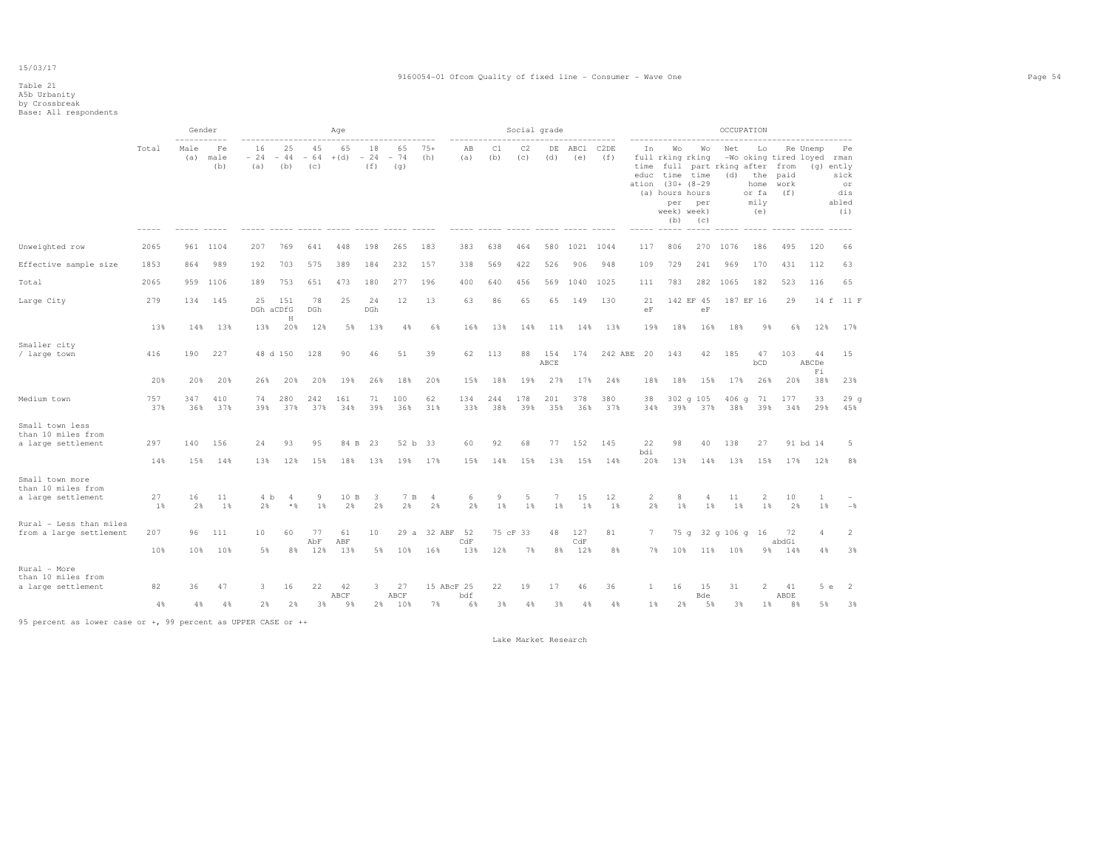#### 9160054-01 Ofcom Quality of fixed line - Consumer - Wave One Page 54

### Table 21 A5b Urbanity by Crossbreak Base: All respondents

|                                                             |            | Gender<br>$- - - - -$ |                   |                    |                    |                                             | Age          |                                                    |                    |                |            |            | Social grade |             |             |             |                    |                                                                                                         |                        |                | OCCUPATION                                                              |                     |                                        |                                                      |
|-------------------------------------------------------------|------------|-----------------------|-------------------|--------------------|--------------------|---------------------------------------------|--------------|----------------------------------------------------|--------------------|----------------|------------|------------|--------------|-------------|-------------|-------------|--------------------|---------------------------------------------------------------------------------------------------------|------------------------|----------------|-------------------------------------------------------------------------|---------------------|----------------------------------------|------------------------------------------------------|
|                                                             | Total      | Male<br>(a)           | Fe<br>male<br>(b) | 16<br>$-24$<br>(a) | 25<br>$-44$<br>(b) | 45<br>64<br>$\overline{\phantom{a}}$<br>(c) | 65<br>$+(d)$ | 18<br>24<br>$\hspace{0.1mm}-\hspace{0.1mm}$<br>(f) | 65<br>$-74$<br>(q) | $75+$<br>(h)   | AВ<br>(a)  | C1<br>(b)  | C2<br>(c)    | DE<br>(d)   | ABC1<br>(e) | C2DE<br>(f) | In<br>time<br>educ | Wo<br>full rking rking<br>time time<br>ation (30+ (8-29<br>(a) hours hours<br>per<br>week) week)<br>(b) | Wо<br>per<br>(C)       | Net<br>(d)     | Lo<br>full part rking after from<br>the<br>home<br>or fa<br>mily<br>(e) | paid<br>work<br>(f) | Re Unemp<br>-Wo oking tired loyed rman | Pe<br>(g) ently<br>sick<br>or<br>dis<br>abled<br>(i) |
| Unweighted row                                              | 2065       | 961                   | 1104              | 207                | 769                | 641                                         | 448          | 198                                                | 265                | 183            | 383        | 638        | 464          | 580         |             | 1021 1044   | 117                | 806                                                                                                     | 270                    | 1076           | 186                                                                     | 495                 | 120                                    | 66                                                   |
| Effective sample size                                       | 1853       | 864                   | 989               | 192                | 703                | 575                                         | 389          | 184                                                | 232                | 157            | 338        | 569        | 422          | 526         | 906         | 948         | 109                | 729                                                                                                     | 241                    | 969            | 170                                                                     | 431                 | 112                                    | 63                                                   |
| Total                                                       | 2065       | 959                   | 1106              | 189                | 753                | 651                                         | 473          | 180                                                | 277                | 196            | 400        | 640        | 456          | 569         | 1040        | 1025        | 111                | 783                                                                                                     | 282                    | 1065           | 182                                                                     | 523                 | 116                                    | 65                                                   |
| Large City                                                  | 279        | 134                   | 145               | 25<br>DGh aCDfG    | 151<br>H           | 78<br><b>DGh</b>                            | 25           | 24<br>DGh                                          | 12                 | 13             | 63         | 86         | 65           | 65          | 149         | 130         | 21<br>eF           |                                                                                                         | 142 EF 45<br>$\rm{eF}$ |                | 187 EF 16                                                               | 29                  |                                        | 14 f 11 F                                            |
|                                                             | 13%        | 14%                   | 13%               | 13%                | 20%                | 12%                                         | 5%           | 13%                                                | 4%                 | 6%             | 16%        | 13%        | 14%          | 11%         | 14%         | 13%         | 19%                | 18%                                                                                                     | 16%                    | 18%            | 9%                                                                      | 6%                  | 12%                                    | 17%                                                  |
| Smaller city<br>/ large town                                | 416        | 190                   | 227               | 48 d 150           |                    | 128                                         | 90           | 46                                                 | 51                 | 39             | 62         | 113        | 88           | 154<br>ABCE | 174         | 242 ABE     | 20                 | 143                                                                                                     | 42                     | 185            | 47<br>bCD                                                               | 103                 | 44<br>ABCDe                            | 15                                                   |
|                                                             | 20%        | 20%                   | 20%               | 26%                | 20%                | 20%                                         | 19%          | 26%                                                | 18%                | 20%            | 15%        | 18%        | 19%          | 27%         | 17%         | 24%         | 18%                | 18%                                                                                                     | 15%                    | 17%            | 26%                                                                     | 20%                 | Fi<br>38%                              | 23%                                                  |
| Medium town                                                 | 757<br>37% | 347<br>36%            | 410<br>37%        | 74<br>39%          | 280<br>37%         | 242<br>37%                                  | 161<br>34%   | 71<br>39%                                          | 100<br>36%         | 62<br>31%      | 134<br>33% | 244<br>38% | 178<br>39%   | 201<br>35%  | 378<br>36%  | 380<br>37%  | 38<br>34%          | 39%                                                                                                     | 302 g 105<br>37%       | $406$ q<br>38% | 71<br>39%                                                               | 177<br>34%          | 33<br>29%                              | 29q<br>45%                                           |
| Small town less<br>than 10 miles from<br>a large settlement | 297        | 140                   | 156               | 24                 | 93                 | 95                                          | 84 B         | 23                                                 | 52 b               | 33             | 60         | 92         | 68           | 77          | 152         | 145         | 22                 | 98                                                                                                      | 40                     | 138            | 27                                                                      |                     | 91 bd 14                               | 5                                                    |
|                                                             | 14%        | 15%                   | 14%               | 13%                | 12%                | 15%                                         | 18%          | 13%                                                | 19%                | 17%            | 15%        | 14%        | 15%          | 13%         | 15%         | 14%         | bdi<br>20%         | 13%                                                                                                     | 14%                    | 13%            | 15%                                                                     | 17%                 | 12%                                    | 8%                                                   |
| Small town more<br>than 10 miles from<br>a large settlement | 27         | 16                    | 11                | 4 b                | 4                  | 9                                           | 10 B         | 3                                                  | 7 B                | $\overline{4}$ | 6          | 9          | 5            | 7           | 15          | 12          | 2                  | 8                                                                                                       | $\overline{4}$         | 11             | $\overline{2}$                                                          | 10                  | 1                                      |                                                      |
|                                                             | 1%         | 2%                    | 1%                | 2%                 | $*$ &              | 1%                                          | 2%           | 2%                                                 | 2%                 | 2%             | 2%         | 1%         | 1%           | 1%          | 1%          | 1%          | 2%                 | 1%                                                                                                      | 1%                     | 1%             | 1%                                                                      | 2%                  | $1\%$                                  | $-$                                                  |
| Rural - Less than miles<br>from a large settlement          | 207        | 96                    | 111               | 10                 | 60                 | 77<br>AbF                                   | 61<br>ABF    | 10                                                 |                    | 29 a 32 ABF    | 52<br>CdF  |            | 75 cF 33     | 48          | 127<br>CdF  | 81          | 7                  | 75 g                                                                                                    |                        | 32 g 106 g 16  |                                                                         | 72<br>abdGi         | 4                                      | $\overline{2}$                                       |
|                                                             | 10%        | 10%                   | 10%               | 5%                 | 8%                 | 12%                                         | 13%          | 5%                                                 | 10%                | 16%            | 13%        | 12%        | 7%           | 8%          | 12%         | 8%          | 7%                 | 10%                                                                                                     | 11%                    | 10%            |                                                                         | 9% 14%              | 4%                                     | 3%                                                   |
| Rural - More<br>than 10 miles from<br>a large settlement    | 82         | 36                    | 47                | 3.                 | 16                 | 22                                          | 42           | 3                                                  | 27                 | 15 ABcF 25     |            | 22         | 19           | 17          | 46          | 36          | $\mathbf{1}$       | 16                                                                                                      | 15                     | 31             | 2                                                                       | 41                  | 5e                                     | $\overline{2}$                                       |
|                                                             | 4%         | 4%                    | 4%                | 2%                 | 2%                 | 3%                                          | ABCF<br>9%   | 2%                                                 | ABCF<br>10%        | 7%             | bdf<br>6%  | 3%         | 4%           | 3%          | 4%          | 4%          | $1\%$              | 2%                                                                                                      | Bde<br>5%              | 3%             | 1%                                                                      | ABDE<br>8%          | 5%                                     | 3%                                                   |

95 percent as lower case or +, 99 percent as UPPER CASE or ++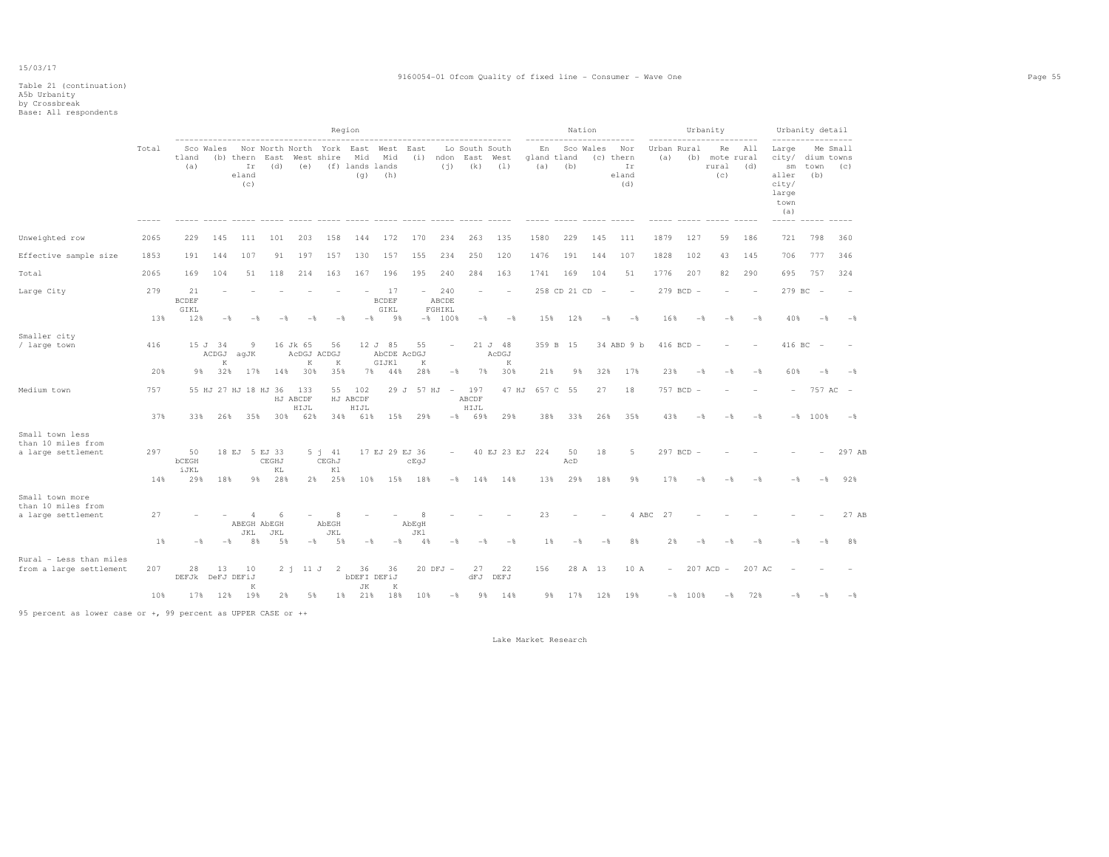# Table 21 (continuation) A5b Urbanity by Crossbreak Base: All respondents

|                                                             |                                            |                            |                |                             |                       |                              |                                                                                                       | Region                     |                            |                                       |                           |                                                           |                                 |                          |                | Nation           |                |                                        |                    |                  | Urbanity                                 |            | Urbanity detail                                                                      |                          |                |
|-------------------------------------------------------------|--------------------------------------------|----------------------------|----------------|-----------------------------|-----------------------|------------------------------|-------------------------------------------------------------------------------------------------------|----------------------------|----------------------------|---------------------------------------|---------------------------|-----------------------------------------------------------|---------------------------------|--------------------------|----------------|------------------|----------------|----------------------------------------|--------------------|------------------|------------------------------------------|------------|--------------------------------------------------------------------------------------|--------------------------|----------------|
|                                                             | Total                                      | tland<br>(a)               |                | Ir<br>eland<br>(c)          |                       |                              | Sco Wales Nor North North York East West East<br>(b) thern East West shire<br>(d) (e) (f) lands lands | Mid Mid                    | $(q)$ (h)                  |                                       |                           | Lo South South<br>(i) ndon East West<br>$(i)$ $(k)$ $(l)$ |                                 | En<br>gland tland<br>(a) | (b)            |                  | Sco Wales      | Nor<br>(c) thern<br>Ir<br>eland<br>(d) | Urban Rural<br>(a) |                  | Re<br>(b) mote rural<br>rural (d)<br>(C) | All        | Large<br>city/ dium towns<br>$\texttt{sm}$<br>aller<br>city/<br>large<br>town<br>(a) | town (c)<br>(b)          | Me Small       |
| Unweighted row                                              | 2065                                       | 229                        | 145            | 111                         | 101                   | 203                          | 158                                                                                                   | 144                        | 172                        | 170                                   | 234                       | 263                                                       | 135                             | 1580                     |                | 229              | 145            | 111                                    | 1879               | 127              | 59                                       | 186        | 721                                                                                  | 798                      | 360            |
| Effective sample size                                       | 1853                                       | 191                        | 144            | 107                         | 91                    | 197                          | 157                                                                                                   | 130                        | 157                        | 155                                   | 234                       | 250                                                       | 120                             | 1476                     |                | 191              | 144            | 107                                    | 1828               | 102              | 43                                       | 145        | 706                                                                                  | 777                      | 346            |
| Total                                                       | 2065                                       | 169                        | 104            | 51                          | 118                   | 214                          | 163                                                                                                   | 167                        | 196                        | 195                                   | 240                       | 284                                                       | 163                             | 1741                     | 169            |                  | 104            | 51                                     | 1776               | 207              | 82                                       | 290        | 695                                                                                  | 757                      | 324            |
| Large City                                                  | 279                                        | 21<br><b>BCDEF</b><br>GIKL |                |                             |                       |                              |                                                                                                       |                            | 17<br><b>BCDEF</b><br>GIKL |                                       | $-240$<br>ABCDE<br>FGHIKL | $\overline{a}$                                            | $\hspace{0.1mm}-\hspace{0.1mm}$ |                          | 258 CD 21 CD - |                  |                | $\overline{\phantom{a}}$               |                    | $279$ BCD $-$    |                                          |            | 279 BC                                                                               | $\overline{\phantom{a}}$ |                |
|                                                             | 13%                                        | 12%                        | $-\frac{6}{5}$ | $-$                         | $-$                   | $-$                          | $-$ %                                                                                                 | $-$                        | $9\%$                      |                                       | $-8$ 100%                 | $-$ 8                                                     | $-$                             |                          | 15%            | 12%              | $-\frac{6}{5}$ | $-\frac{6}{5}$                         | 16%                | $-\frac{6}{5}$   | $-\frac{6}{5}$                           | $-$        | 40%                                                                                  | $-$ 8                    | $-$            |
| Smaller city<br>/ large town                                | 416                                        |                            | 15 J 34<br>K   | -9<br>ACDGJ aqJK            |                       | 16 Jk 65<br>AcDGJ ACDGJ<br>K | 56<br>K                                                                                               |                            | 12 J 85<br>GIJK1           | 55<br>AbCDE AcDGJ<br>K                | $\overline{\phantom{a}}$  |                                                           | 21 J 48<br>AcDGJ<br>K           |                          | 359 B 15       |                  |                | 34 ABD 9 b                             |                    | $416 BCD -$      |                                          |            | 416 BC                                                                               | $\hspace{0.1mm}$         |                |
|                                                             | 20%                                        | 98                         | 32%            | 17%                         | 14%                   | 30%                          | 35%                                                                                                   | 7%                         | 44%                        | 28%                                   | $-\frac{6}{9}$            | 7%                                                        | 30%                             | 21%                      |                | 9%               | 32%            | 17%                                    | 23%                | $-$              | $-$                                      | $-$        | 60%                                                                                  | $-$                      | $-$            |
| Medium town                                                 | 757                                        |                            |                | 55 HJ 27 HJ 18 HJ 36 133    |                       | HJ ABCDF<br>HIJL             |                                                                                                       | 55 102<br>HJ ABCDF<br>HIJL |                            | 29 J 57 HJ - 197                      |                           | ABCDF<br>HIJL                                             |                                 | 47 HJ 657 C 55           |                |                  | 27             | 18                                     |                    | 757 BCD -        |                                          |            |                                                                                      |                          | 757 AC -       |
|                                                             | 37%                                        | 33%                        | 26%            |                             | 35% 30% 62%           |                              |                                                                                                       | 34% 61%                    | 15%                        | 29%                                   |                           | $-$ 8 698                                                 | 29%                             |                          | 38%            | 33%              | 26%            | 35%                                    | 43%                | $-$              | $-$                                      | $-$        |                                                                                      | $-$ % 100 %              | $ \frac{6}{5}$ |
| Small town less<br>than 10 miles from<br>a large settlement | 297<br>14%                                 | 50<br>bCEGH<br>iJKL<br>29% | 18%            | 18 EJ 5 EJ 33               | CEGHJ<br>KL<br>9% 28% |                              | $5 \t1 \t41$<br>CEGhJ<br>K1<br>2% 25%                                                                 |                            |                            | 17 EJ 29 EJ 36<br>cEqJ<br>10% 15% 18% | $\sim$                    |                                                           | 40 EJ 23 EJ 224<br>$-8$ 14% 14% |                          | 13%            | 50<br>AcD<br>29% | 18<br>18%      | 5<br>9%                                | 17%                | 297 BCD -<br>$-$ | $-$                                      | $-$        | $-$                                                                                  | $-$                      | 297 AB<br>92%  |
| Small town more<br>than 10 miles from<br>a large settlement | 27                                         |                            |                | JKL                         | ABEGH AbEGH<br>JKL    |                              | 8<br>AbEGH<br>JKL                                                                                     |                            |                            | $\mathbf{R}$<br>AbEqH<br>JK1          |                           |                                                           |                                 | 23                       |                |                  |                | 4 ABC                                  | 27                 |                  |                                          |            |                                                                                      |                          | 27 AB          |
|                                                             | 1%                                         | $-$                        |                | 8%<br>$-$                   | 5%                    | $-$                          | 5%                                                                                                    | $-$                        | $-$                        | 4%                                    | $-\frac{6}{5}$            | $-$                                                       | $-\frac{6}{5}$                  |                          | 1%             | $-$              | $-$            | 8%                                     | 2%                 | $-$              | $-$                                      | $-$        | - 2                                                                                  |                          | 8%             |
| Rural - Less than miles<br>from a large settlement          | 207                                        | 28                         | 13             | 10<br>DEFJk DeFJ DEFiJ<br>K |                       |                              | 2 i 11 J 2 36                                                                                         | <b>bDEFI DEFiJ</b><br>JК   | 36<br>K                    |                                       | $20$ DFJ $-$              | 27                                                        | 22<br>dFJ DEFJ                  | 156                      |                |                  | 28 A 13        | 10 A                                   | $\sim$             |                  | $207$ ACD $-$                            | 207 AC     |                                                                                      |                          |                |
|                                                             | 10%                                        |                            |                | 17% 12% 19%                 | 2%                    | 5%                           |                                                                                                       | 1% 21%                     | 18%                        | 10%                                   | $ \frac{6}{5}$            |                                                           | 9% 14%                          |                          | 9% 17%         |                  | 12%            | 19%                                    |                    | $-8$ 100%        |                                          | $-$ % 72 % | -*                                                                                   |                          | $-$            |
|                                                             | <b>Contract Contract Contract Contract</b> |                            |                | -----------                 |                       |                              |                                                                                                       |                            |                            |                                       |                           |                                                           |                                 |                          |                |                  |                |                                        |                    |                  |                                          |            |                                                                                      |                          |                |

95 percent as lower case or +, 99 percent as UPPER CASE or ++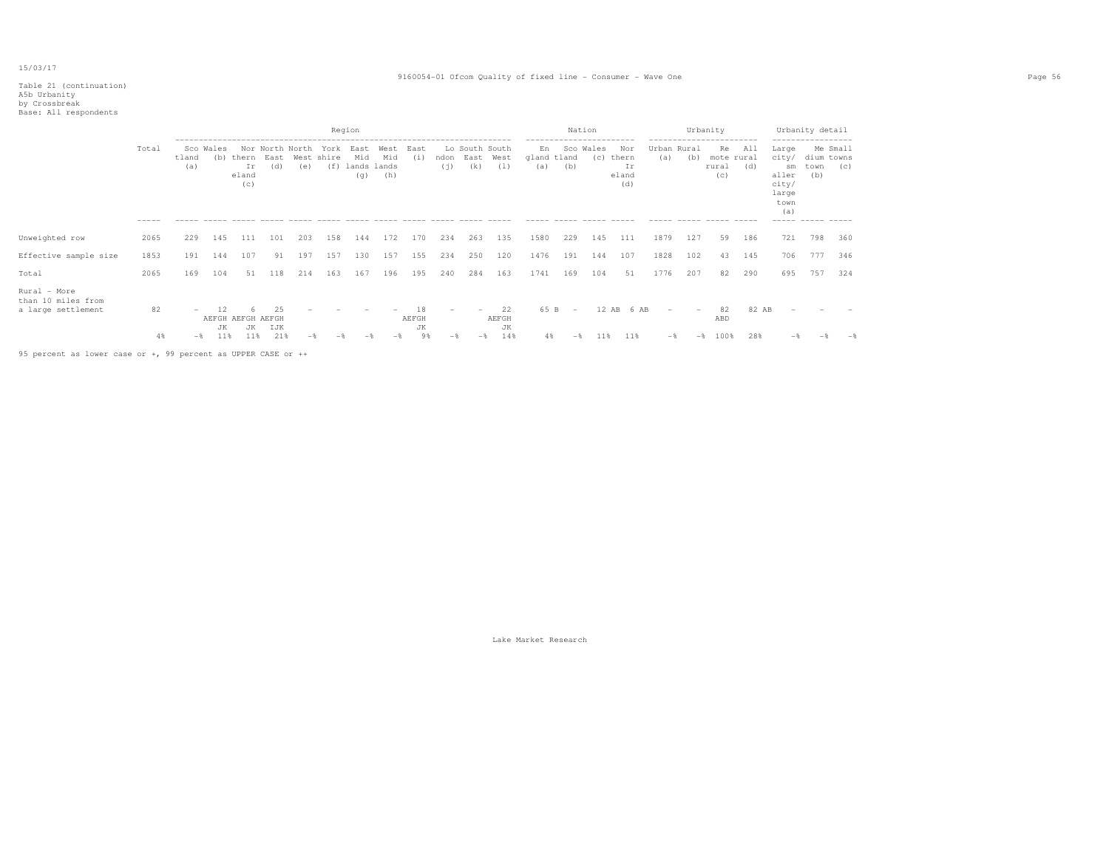### Table 21 (continuation) A5b Urbanity by Crossbreak Base: All respondents

|  | ------<br>. |  |  |  | --------------------------- |  |  |  | . |  |
|--|-------------|--|--|--|-----------------------------|--|--|--|---|--|
|  |             |  |  |  |                             |  |  |  |   |  |
|  |             |  |  |  |                             |  |  |  |   |  |

|                                                          |                   |              |                  |                                       |                        |     |                           | Region                            |                    |                         |                                   |                                              |                          |                                                        | Nation                          |                  |                                                                                  |                                 |       | Urbanity                                         |              |                                                                | Urbanity detail                                                |                                                  |
|----------------------------------------------------------|-------------------|--------------|------------------|---------------------------------------|------------------------|-----|---------------------------|-----------------------------------|--------------------|-------------------------|-----------------------------------|----------------------------------------------|--------------------------|--------------------------------------------------------|---------------------------------|------------------|----------------------------------------------------------------------------------|---------------------------------|-------|--------------------------------------------------|--------------|----------------------------------------------------------------|----------------------------------------------------------------|--------------------------------------------------|
|                                                          | Total<br>$------$ | tland<br>(a) | Sco Wales<br>(b) | thern East<br>Ιr<br>eland<br>(c)      | Nor North North<br>(d) | (e) | York<br>West shire<br>(f) | East<br>Mid<br>lands lands<br>(q) | West<br>Mid<br>(h) | East<br>(i)             | ndon<br>(i)                       | Lo South South<br>East<br>(k)<br>------ ---- | West<br>(1)              | -----------<br>En<br>gland tland<br>(a)<br>$- - - - -$ | (b)                             | Sco Wales<br>(C) | ---------<br>Nor<br>thern<br>Ir<br>eland<br>(d)<br>$\cdots \cdots \cdots \cdots$ | ---------<br>Urban Rural<br>(a) | (b)   | ------------<br>Re<br>mote rural<br>rural<br>(C) | All<br>(d)   | Large<br>city/<br>sm<br>aller<br>city/<br>large<br>town<br>(a) | ------------------<br>dium towns<br>town<br>(b)<br>----- ----- | Me Small<br>(C)<br>$\cdots \cdots \cdots \cdots$ |
| Unweighted row                                           | 2065              | 229          | 145              | 111                                   | 101                    | 203 | 158                       | 144                               | 172                | 170                     | 234                               | 263                                          | 135                      | 1580                                                   | 229                             | 145              | 111                                                                              | 1879                            | 127   | 59                                               | 186          | 721                                                            | 798                                                            | 360                                              |
| Effective sample size                                    | 1853              | 191          | 144              | 107                                   | 91                     | 197 | 157                       | 130                               | 157                | 155                     | 234                               | 250                                          | 120                      | 1476                                                   | 191                             | 144              | 107                                                                              | 1828                            | 102   | 43                                               | 145          | 706                                                            | 777                                                            | 346                                              |
| Total                                                    | 2065              | 169          | 104              | 51                                    | 118                    | 214 | 163                       | 167                               | 196                | 195                     | 240                               | 284                                          | 163                      | 1741                                                   | 169                             | 104              | 51                                                                               | 1776                            | 207   | 82                                               | 290          | 695                                                            | 757                                                            | 324                                              |
| Rural – More<br>than 10 miles from<br>a large settlement | 82<br>4%          | $-$          | JK<br>11%        | AEFGH AEFGH AEFGH<br><b>JK</b><br>11% | 25<br>IJK<br>21%       |     |                           |                                   | $-$                | 18<br>AEFGH<br>JК<br>98 | $\overline{\phantom{0}}$<br>$-$ % | -*                                           | 22<br>AEFGH<br>JК<br>14% | 65 B<br>4%                                             | $\hspace{0.1mm}-\hspace{0.1mm}$ | 12 AB            | 6 AB<br>11%                                                                      | $-$<br>$ \%$                    | $-$ * | 82<br>ABD<br>100%                                | 82 AB<br>28% |                                                                |                                                                |                                                  |

95 percent as lower case or +, 99 percent as UPPER CASE or ++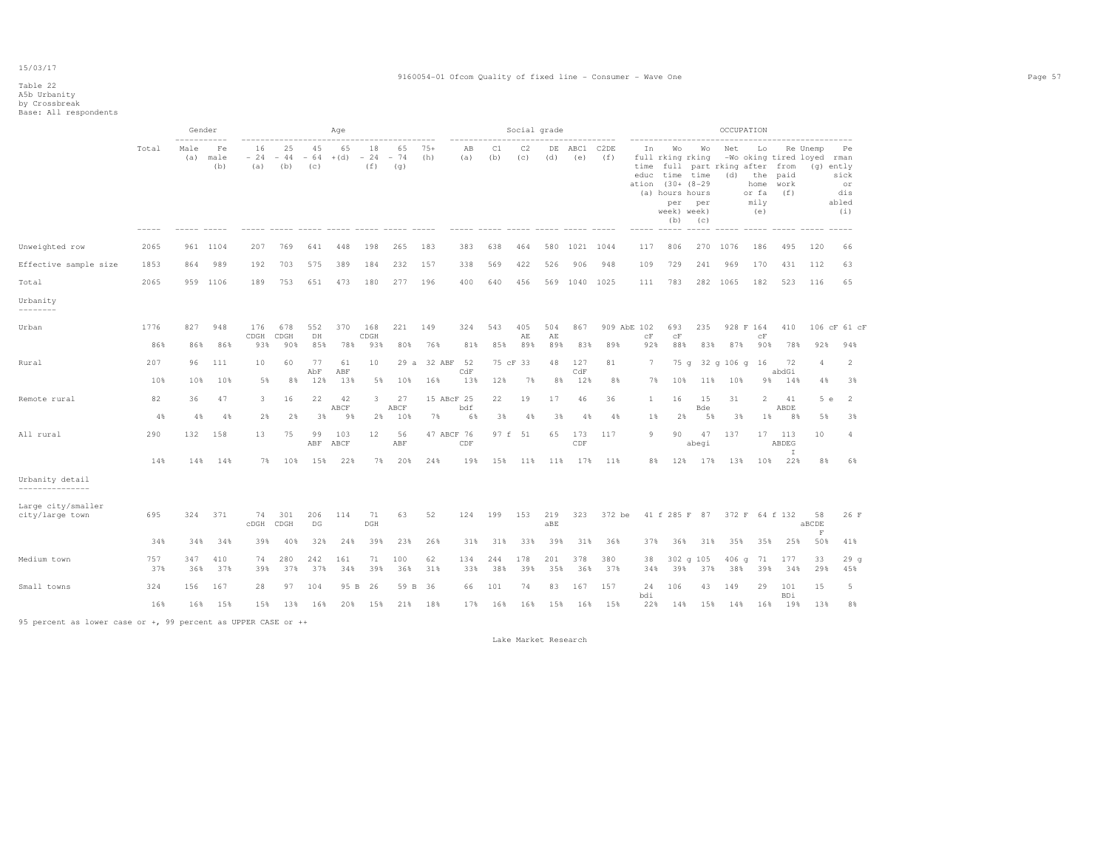# Table 22 A5b Urbanity by Crossbreak Base: All respondents

|                                       |             | Gender                     |                   |                    |                    |                    | Age          |                    |                    |                |                                         |            | Social grade     |                  |             |                    |            |                                                                                                                              |                                                     | OCCUPATION                       |                                                                  |                     |                                                     |                                         |
|---------------------------------------|-------------|----------------------------|-------------------|--------------------|--------------------|--------------------|--------------|--------------------|--------------------|----------------|-----------------------------------------|------------|------------------|------------------|-------------|--------------------|------------|------------------------------------------------------------------------------------------------------------------------------|-----------------------------------------------------|----------------------------------|------------------------------------------------------------------|---------------------|-----------------------------------------------------|-----------------------------------------|
|                                       | Total       | -----------<br>Male<br>(a) | Fe<br>male<br>(b) | 16<br>$-24$<br>(a) | 25<br>$-44$<br>(b) | 45<br>$-64$<br>(C) | 65<br>$+(d)$ | 18<br>$-24$<br>(f) | 65<br>$-74$<br>(q) | $75+$<br>(h)   | AB<br>(a)                               | C1<br>(b)  | C2<br>(C)        | DE<br>(d)        | ABC1<br>(e) | C2DE<br>(f)        | In         | Wo<br>full rking rking<br>educ time time<br>ation (30+ (8-29<br>(a) hours hours<br>per<br>week) week)<br>(b)<br>------ ----- | Wo<br>time full part rking after from<br>per<br>(C) | Net<br>$\qquad \qquad - - - - -$ | Lo<br>$(d)$ the<br>home<br>or fa<br>mily<br>(e)<br>$--- - - - -$ | paid<br>work<br>(f) | Re Unemp<br>-Wo oking tired loyed rman<br>(g) ently | Pe<br>sick<br>or<br>dis<br>abled<br>(i) |
| Unweighted row                        | 2065        |                            | 961 1104          | 207                | 769                | 641                | 448          | 198                | 265                | 183            | 383                                     | 638        | 464              | 580              | 1021 1044   |                    | 117        | 806                                                                                                                          | 270                                                 | 1076                             | 186                                                              | 495                 | 120                                                 | 66                                      |
| Effective sample size                 | 1853        | 864                        | 989               | 192                | 703                | 575                | 389          | 184                | 232                | 157            | 338                                     | 569        | 422              | 526              | 906         | 948                | 109        | 729                                                                                                                          | 241                                                 | 969                              | 170                                                              | 431                 | 112                                                 | 63                                      |
| Total                                 | 2065        |                            | 959 1106          | 189                | 753                | 651                | 473          | 180                | 277                | 196            | 400                                     | 640        | 456              |                  | 569 1040    | 1025               | 111        | 783                                                                                                                          |                                                     | 282 1065                         | 182                                                              | 523                 | 116                                                 | 65                                      |
| Urbanity<br>---------                 |             |                            |                   |                    |                    |                    |              |                    |                    |                |                                         |            |                  |                  |             |                    |            |                                                                                                                              |                                                     |                                  |                                                                  |                     |                                                     |                                         |
| Urban                                 | 1776<br>86% | 827<br>86%                 | 948<br>86%        | 176<br>CDGH<br>93% | 678<br>CDGH<br>90% | 552<br>DH<br>85%   | 370<br>78%   | 168<br>CDGH<br>93% | 221<br>80%         | 149<br>76%     | 324<br>81%                              | 543<br>85% | 405<br>AE<br>89% | 504<br>AE<br>89% | 867<br>83%  | 909 AbE 102<br>89% | cF<br>92%  | 693<br>${\rm cF}$<br>88%                                                                                                     | 235<br>83%                                          | 87%                              | 928 F 164<br>CF<br>90%                                           | 410<br>78%          | 92%                                                 | 106 cF 61 cF<br>94%                     |
| Rural                                 | 207         | 96                         | 111               | 10                 | 60                 | 77                 | 61           | 10                 |                    | 29 a 32 ABF 52 |                                         |            | 75 cF 33         | 48               | 127         | 81                 | 7          | 75q                                                                                                                          |                                                     | 32 g 106 g 16                    |                                                                  | 72                  | 4                                                   | $\mathfrak{D}$                          |
|                                       | 10%         | 10%                        | 10%               | 5%                 | 8%                 | AbF<br>12%         | ABF<br>13%   | 5%                 | 10%                | 16%            | $\mathbb{C}\mathrm{d}\mathbb{F}$<br>13% | 12%        | 7%               | 8%               | CdF<br>12%  | 8%                 | 7%         | 10%                                                                                                                          | 11%                                                 | 10%                              | 98                                                               | abdGi<br>14%        | 4%                                                  | 3%                                      |
| Remote rural                          | 82          | 36                         | 47                | 3.                 | 16                 | 22                 | 42<br>ABCF   | 3                  | 27<br>ABCF         | 15 ABcF 25     | bdf                                     | 22         | 19               | 17               | 46          | 36                 | 1          | 16                                                                                                                           | 15<br>Bde                                           | 31                               | $\overline{2}$                                                   | 41<br>ABDE          | 5e                                                  | $\overline{2}$                          |
|                                       | 4%          | 4%                         | 4%                | 2%                 | 2%                 | 3%                 | 9%           | $2\%$              | 10%                | 7%             | 6%                                      | 3%         | 4%               | 3%               | 4%          | 4%                 | $1\%$      | 2%                                                                                                                           | 5%                                                  | 38                               | 18                                                               | 8%                  | 5%                                                  | 38                                      |
| All rural                             | 290         | 132                        | 158               | 13                 | 75                 | 99<br>ABF          | 103<br>ABCF  | 12                 | 56<br>ABF          | 47 ABCF 76     | CDF                                     |            | 97 f 51          | 65               | 173<br>CDF  | 117                | 9          | 90                                                                                                                           | 47<br>abegi                                         | 137                              | 17                                                               | 113<br>ABDEG<br>Ι.  | 10                                                  | 4                                       |
|                                       | 14%         | 14%                        | 14%               | 7%                 | 10%                | 15%                | 22%          | 7%                 | 20%                | 24%            | 19%                                     | 15%        | 11%              | 11%              | 17%         | 11%                | 8%         | 12%                                                                                                                          | 17%                                                 | 13%                              | 10%                                                              | 22%                 | 8%                                                  | 6%                                      |
| Urbanity detail<br>---------------    |             |                            |                   |                    |                    |                    |              |                    |                    |                |                                         |            |                  |                  |             |                    |            |                                                                                                                              |                                                     |                                  |                                                                  |                     |                                                     |                                         |
| Large city/smaller<br>city/large town | 695         | 324                        | 371               | 74<br>CDGH         | 301<br>CDGH        | 206<br>DG          | 114          | 71<br>DGH          | 63                 | 52             | 124                                     | 199        | 153              | 219<br>aBE       | 323         | 372 be             |            | 41 f 285 F 87                                                                                                                |                                                     |                                  | 372 F 64 f 132                                                   |                     | 58<br>aBCDE                                         | 26 F                                    |
|                                       | 34%         | 34%                        | 34%               | 39%                | 40%                | 32%                | 24%          | 39%                | 23%                | 26%            | 31%                                     | 31%        | 33%              | 39%              | 31%         | 36%                | 37%        | 36%                                                                                                                          | 31%                                                 | 35%                              | 35%                                                              | 25%                 | $\mathbf F$<br>50%                                  | 41%                                     |
| Medium town                           | 757<br>37%  | 347<br>36%                 | 410<br>37%        | 74<br>39%          | 280<br>37%         | 242<br>37%         | 161<br>34%   | 71<br>39%          | 100<br>36%         | 62<br>31%      | 134<br>33%                              | 244<br>38% | 178<br>39%       | 201<br>35%       | 378<br>36%  | 380<br>37%         | 38<br>34%  | 39%                                                                                                                          | 302 g 105<br>37%                                    | 406 <sub>g</sub><br>38%          | 71<br>39%                                                        | 177<br>34%          | 33<br>29%                                           | 29 <sub>g</sub><br>45%                  |
| Small towns                           | 324         | 156                        | 167               | 28                 | 97                 | 104                | 95 B         | -26                | 59 B               | 36             | 66                                      | 101        | 74               | 83               | 167         | 157                | 24         | 106                                                                                                                          | 43                                                  | 149                              | 29                                                               | 101                 | 15                                                  | 5                                       |
|                                       | 16%         | 16%                        | 15%               | 15%                | 13%                | 16%                | 20%          | 15%                | 21%                | 18%            | 17%                                     | 16%        | 16%              | 15%              | 16%         | 15%                | bdi<br>22% | 14%                                                                                                                          | 15%                                                 | 14%                              | 16%                                                              | BDi<br>19%          | 13%                                                 | 8%                                      |

95 percent as lower case or +, 99 percent as UPPER CASE or ++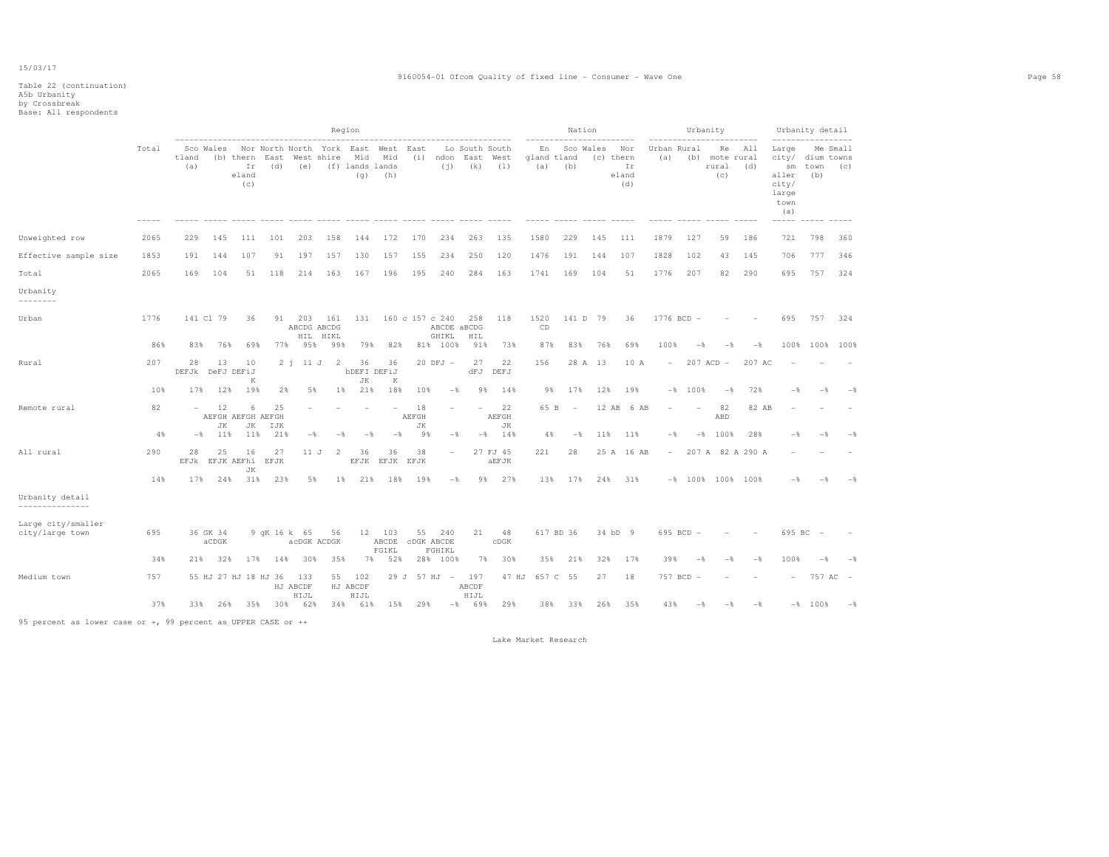|                                       |       |                          |                   |                              |                                                                    |                       |                 | Region                         |                          |                   |                                         |                       |                   |                          |                          | Nation    |                                        |                          |           | Urbanity                             |                  |                                                                                        | Urbanity detail                       |                |
|---------------------------------------|-------|--------------------------|-------------------|------------------------------|--------------------------------------------------------------------|-----------------------|-----------------|--------------------------------|--------------------------|-------------------|-----------------------------------------|-----------------------|-------------------|--------------------------|--------------------------|-----------|----------------------------------------|--------------------------|-----------|--------------------------------------|------------------|----------------------------------------------------------------------------------------|---------------------------------------|----------------|
|                                       | Total | tland<br>(a)             | Sco Wales         | Ιr<br>eland<br>(c)           | Nor North North York East West<br>(b) thern East West shire<br>(d) | (e)                   |                 | Mid<br>(f) lands lands<br>(g)  | Mid<br>(h)               | East              | (i) ndon East West<br>(i)               | Lo South South<br>(k) | (1)               | En<br>gland tland<br>(a) | (b)                      | Sco Wales | Nor<br>(c) thern<br>Ιr<br>eland<br>(d) | Urban Rural<br>(a)       |           | Re<br>(b) mote rural<br>rural<br>(C) | All<br>(d)       | Large<br>city/<br>$\mathop{\rm sm}\nolimits$<br>aller<br>city/<br>large<br>town<br>(a) | Me Small<br>dium towns<br>town<br>(b) | (C)            |
| Unweighted row                        | 2065  | 229                      | 145               | 111                          | 101                                                                | 203                   | 158             | 144                            | 172                      | 170               | 234                                     | 263                   | 135               | 1580                     | 229                      | 145       | 111                                    | 1879                     | 127       | 59                                   | 186              | 721                                                                                    | 798                                   | 360            |
| Effective sample size                 | 1853  | 191                      | 144               | 107                          | 91                                                                 | 197                   | 157             | 130                            | 157                      | 155               | 234                                     | 250                   | 120               | 1476                     | 191                      | 144       | 107                                    | 1828                     | 102       | 43                                   | 145              | 706                                                                                    | 777                                   | 346            |
| Total                                 | 2065  | 169                      | 104               | 51                           | 118                                                                | 214                   | 163             | 167                            | 196                      | 195               | 240                                     | 284                   | 163               | 1741                     | 169                      | 104       | 51                                     | 1776                     | 207       | 82                                   | 290              | 695                                                                                    | 757                                   | 324            |
| Urbanity<br>--------                  |       |                          |                   |                              |                                                                    |                       |                 |                                |                          |                   |                                         |                       |                   |                          |                          |           |                                        |                          |           |                                      |                  |                                                                                        |                                       |                |
| Urban                                 | 1776  |                          | 141 Cl 79         | 36                           |                                                                    | 91 203<br>ABCDG ABCDG | 161<br>HIL HIKL | 131                            |                          |                   | 160 c 157 c 240<br>ABCDE aBCDG<br>GHIKL | 258<br>HIL            | 118               | 1520<br>CD               |                          | 141 D 79  | 36                                     | 1776 BCD -               |           |                                      |                  | 695                                                                                    | 757                                   | 324            |
|                                       | 86%   | 83%                      | 76%               | 69%                          | 77%                                                                | 95%                   | 99%             | 79%                            | 82%                      |                   | 81% 100%                                | 91%                   | 73%               | 87%                      | 83%                      | 76%       | 69%                                    | 100%                     | $-$ %     | $-$                                  | $-$              | 100%                                                                                   | 100% 100%                             |                |
| Rural                                 | 207   | 28<br>DEFJk              | 13                | 10<br>DeFJ DEFiJ<br>K        | 2j                                                                 | 11 J                  | -2              | 36<br><b>bDEFI DEFiJ</b><br>JK | 36<br>K                  |                   | $20$ DFJ $-$                            | 27<br>dFJ             | 22<br>DEFJ        | 156                      |                          | 28 A 13   | 10 A                                   | $\overline{\phantom{a}}$ |           | $207$ ACD $-$                        | 207 AC           |                                                                                        |                                       |                |
|                                       | 10%   | 17%                      | 12%               | 19%                          | 2%                                                                 | 5%                    | $1\%$           | 21%                            | 18%                      | 10%               | $-$ 8                                   | 9%                    | 14%               | 98                       | 17%                      | 12%       | 19%                                    |                          | $-8$ 100% | $-$                                  | 72%              | -*                                                                                     | -*                                    |                |
| Remote rural                          | 82    | $\overline{\phantom{a}}$ | 12<br>JK          | 6<br>AEFGH AEFGH AEFGH<br>JK | 25<br>IJK                                                          |                       |                 |                                |                          | 18<br>AEFGH<br>JК |                                         | ۰                     | 22<br>AEFGH<br>JK | 65 B                     | $\overline{\phantom{a}}$ | 12 AB     | 6 AB                                   |                          |           | 82<br>ABD                            | 82 AB            |                                                                                        |                                       |                |
|                                       | 4%    | $-$                      | 11%               | 11%                          | 21%                                                                | $-$                   | $ \frac{6}{3}$  | -*                             | $-$                      | 9%                | $-$                                     | $-$ %                 | 14%               | 4%                       | $-\frac{6}{5}$           | 11%       | 11%                                    | $-$                      |           | $-$ % 100 %                          | 28%              | -*                                                                                     | -*                                    |                |
| All rural                             | 290   | 28<br>EFJk               | 25                | 16<br>EFJK AEFhi<br>JK       | 27<br>EFJK                                                         | 11 J                  | -2              | 36<br>EFJK                     | 36<br>EFJK               | 38<br>EFJK        | ۰                                       |                       | 27 FJ 45<br>aEFJK | 221                      | 28                       |           | 25 A 16 AB                             | $-$                      |           |                                      | 207 A 82 A 290 A |                                                                                        |                                       |                |
|                                       | 14%   | 17%                      | 24%               | 31%                          | 23%                                                                | 5%                    | 1%              | 21%                            | 18%                      | 19%               | $-$ 8                                   | 9%                    | 27%               | 13%                      | 17%                      | 24%       | 31%                                    |                          |           | $-$ 100 % 100 % 100 %                |                  | $-$                                                                                    |                                       |                |
| Urbanity detail<br>---------------    |       |                          |                   |                              |                                                                    |                       |                 |                                |                          |                   |                                         |                       |                   |                          |                          |           |                                        |                          |           |                                      |                  |                                                                                        |                                       |                |
| Large city/smaller<br>city/large town | 695   |                          | 36 GK 34<br>aCDGK |                              | 9 qK 16 k 65                                                       | acDGK ACDGK           | 56              |                                | 12 103<br>ABCDE<br>FGIKL |                   | 55 240<br><b>CDGK ABCDE</b><br>FGHIKL   | 21                    | 48<br>CDGK        |                          | 617 BD 36                |           | 34 bD 9                                |                          | 695 BCD - |                                      |                  |                                                                                        | 695 BC -                              |                |
|                                       | 34%   | 21%                      | 32%               | 17%                          | 14%                                                                | 30%                   | 35%             | 7%                             | 52%                      |                   | 28% 100%                                | 7%                    | 30%               | 35%                      | 21%                      | 32%       | 17%                                    | 39%                      | $-$       | $-$                                  | $-$              | 100%                                                                                   | $-\frac{6}{5}$                        | $-$            |
| Medium town                           | 757   |                          |                   | 55 HJ 27 HJ 18 HJ 36         |                                                                    | 133<br>HJ ABCDF       |                 | 55 102<br>HJ ABCDF             |                          |                   | 29 J 57 HJ -                            | 197<br>ABCDF          | 47 HJ             | 657 C                    | 55                       | 27        | 18                                     | 757 BCD                  |           |                                      |                  | $\overline{\phantom{0}}$                                                               | 757 AC -                              |                |
|                                       | 37%   | 33%                      |                   | 26% 35%                      |                                                                    | HIJL<br>30% 62%       |                 | HIJL<br>34% 61%                | 15%                      | 29%               |                                         | HIJL<br>$-8$ 69%      | 29%               | 38%                      | 33%                      | 26%       | 35%                                    | 43%                      | $-$       | $-$                                  | $-$              |                                                                                        | $-8$ 100%                             | $-\frac{6}{9}$ |

95 percent as lower case or +, 99 percent as UPPER CASE or ++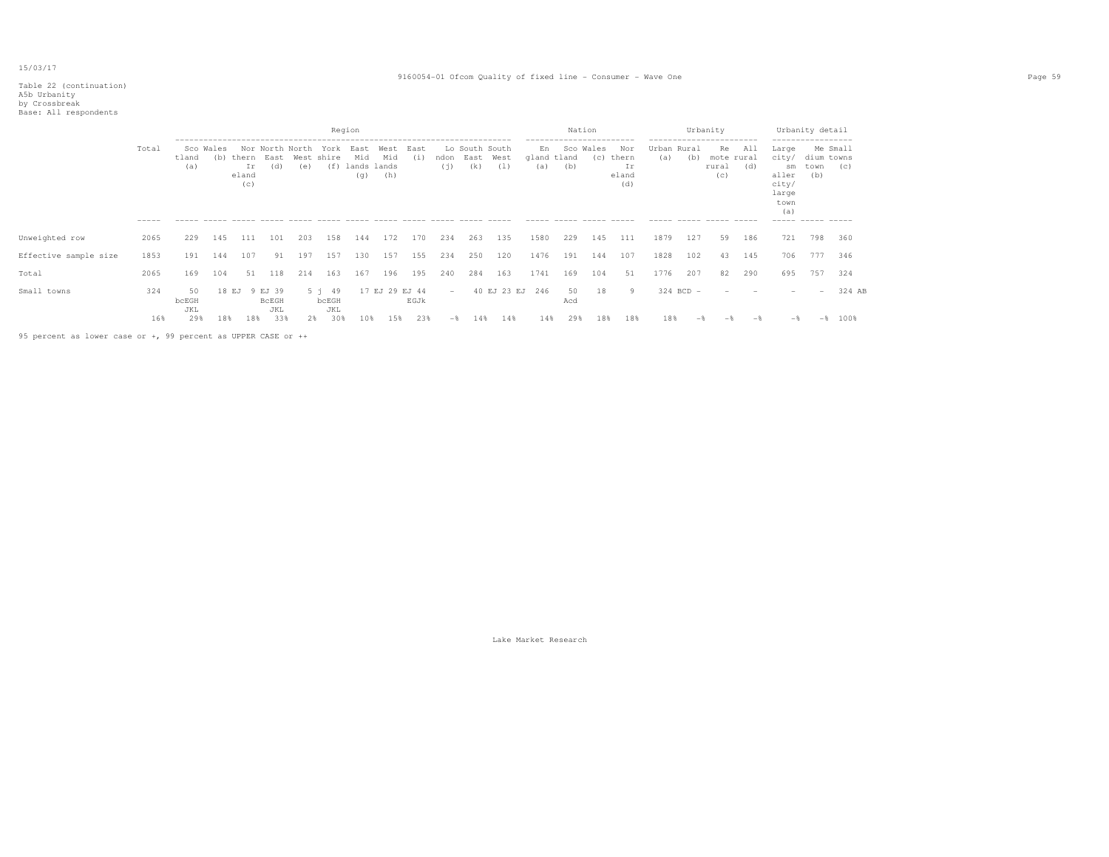#### Table 22 (continuation) A5b Urbanity

 by Crossbreak Base: All respondents Region Nation Urbanity Urbanity detail ----------------------------------------------------------------------- ----------------------- ----------------------- ----------------- Me Small Total Sco Wales Nor-North-North York East West East Lo South-South En Sco-Wales Nor Urban-Rural Re All Large<br>tland (b) thern East West-shire Mid Mid (i) ndon East West gland-tland (c) thern (a) (b) mote-rural city/ city/ dium towns tland (b) thern East West shire Mid Mid (i) ndon East West gland tland (c) thern (a) (b) mote rural (a) ir (d) (e) (f) lands lands (j) (k) (l) (a) (b) Ir rural (d) sm town (c) (a) Ir (d) (e) (f) lands lands (j) (k) (l) (a) (b) Ir rural (d) sm town (d) sm town (g) (h) (c) aller (b) cland (g) (h)  $\frac{1}{2}$  (c) aller (b) and (c) aller (b)  $\frac{1}{2}$  (c) aller (b)  $\frac{1}{2}$  (c) aller (b)  $\frac{1}{2}$  (c eland (g) (h) eland (c) aller (b)  $(c)$  (d) city/ large town (a) ----- ----- ----- ----- ----- ----- ----- ----- ----- ----- ----- ----- ----- ----- ----- ----- ----- ----- ----- ----- ----- ----- ----- ----- ----- ----- Unweighted row 2065 229 145 111 101 203 158 144 172 170 234 263 135 1580 229 145 111 1879 127 59 186 721 798 360 Effective sample size 1853 191 144 107 91 197 157 130 157 155 234 250 120 1476 191 144 107 1828 102 43 145 706 777 346 Total 2065 169 104 51 118 214 163 167 196 195 240 284 163 1741 169 104 51 1776 207 82 290 695 757 324 Small towns 324 50 18 EJ 9 EJ 39 5 j 49 17 EJ 29 EJ 44 - 40 EJ 23 EJ 246 50 18 9 324 BCD - - - - - - 324 AB<br>bcEGH bcEGH bcEGH EGJk Acd bcEGH BcEGH bcEGH bcEGH BcEGH BCEGH BGJk Acd and Bcegh and Bcegh and Bcegh and Bcegh and Bcegh and Bcegh and Bcegh and Bcegh and Bcegh and Bcegh and Bcegh and Bcegh and Bcegh and Bcegh and Bcegh and Bcegh and Bcegh and Bce JKL JKL JKL 16% 29% 18% 18% 33% 2% 30% 10% 15% 23% -% 14% 14% 14% 29% 18% 18% 18% -% -% -% -% -% 100% 95 percent as lower case or +, 99 percent as UPPER CASE or ++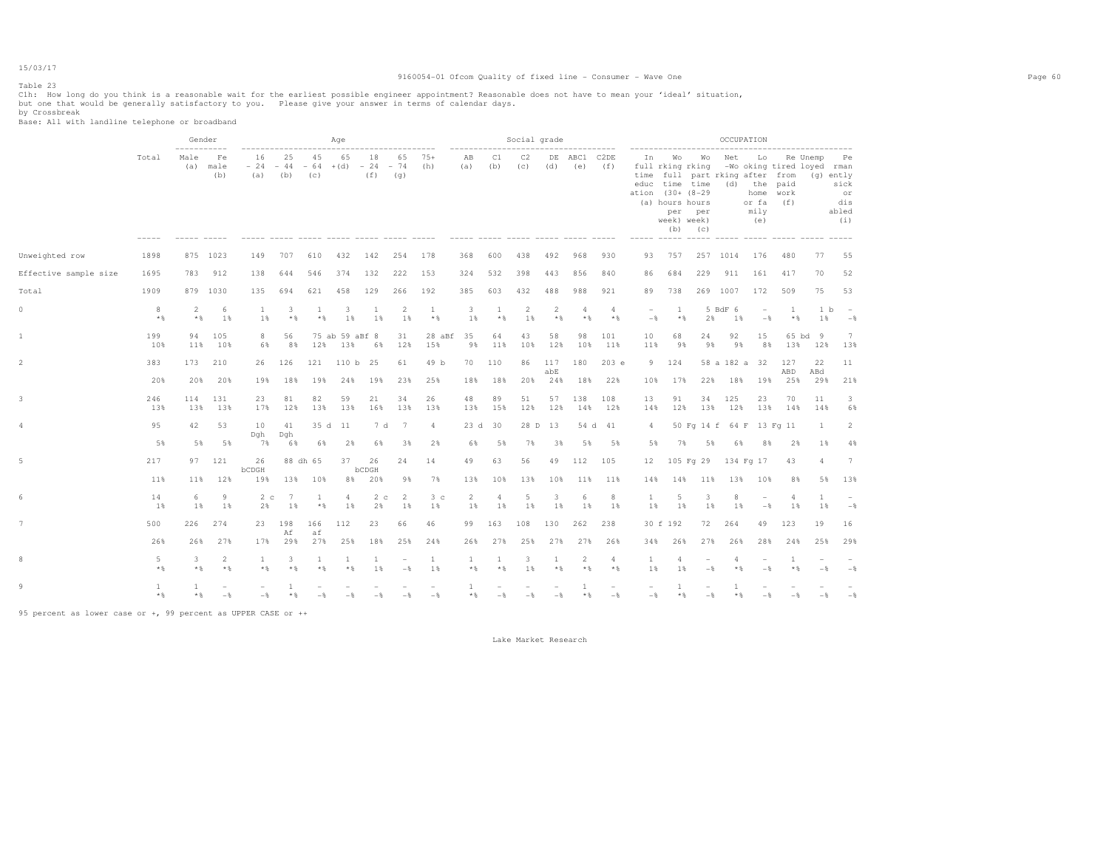#### Table 23

#### 9160054-01 Ofcom Quality of fixed line - Consumer - Wave One Page 60

Clh: How long do you think is a reasonable wait for the earliest possible engineer appointment? Reasonable does not have to mean your 'ideal' situation,<br>but one that would be generally satisfactory to you. Please give y

by Crossbreak Base: All with landline telephone or broadband

|                       |                     | Gender                      |                   |                                 |            |                     | Age                                                             |                      |                                 |                       |                             |            | Social grade          |            |                                                                                   |                         |                                                    |                       |                                                                                                         |                                        | OCCUPATION                           |                                                                                              |                      |                                   |
|-----------------------|---------------------|-----------------------------|-------------------|---------------------------------|------------|---------------------|-----------------------------------------------------------------|----------------------|---------------------------------|-----------------------|-----------------------------|------------|-----------------------|------------|-----------------------------------------------------------------------------------|-------------------------|----------------------------------------------------|-----------------------|---------------------------------------------------------------------------------------------------------|----------------------------------------|--------------------------------------|----------------------------------------------------------------------------------------------|----------------------|-----------------------------------|
|                       | Total               | ------------<br>Male<br>(a) | Fe<br>male<br>(b) | ------------------<br>16<br>(a) | 25<br>(b)  | 45<br>(C)           | ----------------------<br>65<br>$-24 - 44 - 64 + (d) - 24 - 74$ | 18<br>(f)            | (q)                             | 65 75+<br>(h)         | --------------<br>AB<br>(a) | C1<br>(b)  | C2<br>(C)             | (d)        | ----------------<br>DE ABC1 C2DE<br>(e)<br>----- ----- ----- ---- ---- ----- ---- | (f)                     | ------------------------<br>In<br>ation (30+ (8-29 |                       | Wo Wo<br>full rking rking<br>educ time time<br>(a) hours hours<br>per per<br>week) week)<br>$(b)$ $(c)$ | Net<br>time full part rking after from | (d) the paid<br>or fa<br>mily<br>(e) | ------------------------<br>Lo Re Unemp Pe<br>-Wo oking tired loyed rman<br>home work<br>(f) | (g) ently            | sick<br>or<br>dis<br>abled<br>(i) |
| Unweighted row        | 1898                |                             | 875 1023          | 149                             | 707        | 610                 | 432                                                             | 142                  | 254                             | 178                   | 368                         | 600        | 438                   | 492        | 968                                                                               | 930                     | 93                                                 | 757                   |                                                                                                         | 257 1014                               | 176                                  | 480                                                                                          | 77                   | 55                                |
| Effective sample size | 1695                | 783                         | 912               | 138                             | 644        | 546                 | 374                                                             | 132                  | 222                             | 153                   | 324                         | 532        | 398                   | 443        | 856                                                                               | 840                     | 86                                                 | 684                   | 229                                                                                                     | 911                                    | 161                                  | 417                                                                                          | 70                   | 52                                |
| Total                 | 1909                |                             | 879 1030          | 135                             | 694        | 621                 | 458                                                             | 129                  | 266                             | 192                   | 385                         | 603        | 432                   | 488        | 988                                                                               | 921                     | 89                                                 | 738                   |                                                                                                         | 269 1007                               | 172                                  | 509                                                                                          | 75                   | 53                                |
| $\circ$               | 8<br>$*$ &          | 2<br>$*$ &                  | 6<br>1%           | <sup>1</sup><br>1 %             | 3<br>$*$ & | $\mathbf{1}$<br>$*$ | 3<br>1%                                                         | 1<br>1%              | $\overline{2}$<br>1%            | <sup>1</sup><br>$*$ % | 3<br>1%                     | 1<br>$*$ % | $\overline{2}$<br>1 % | 2<br>$*$   | $\overline{4}$<br>$*$ &                                                           | $\overline{4}$<br>$*$   | $\overline{\phantom{a}}$<br>$-$ 8                  | $\mathbf{1}$<br>$*$ & | 2%                                                                                                      | 5 BdF 6<br>1%                          | $\overline{\phantom{a}}$<br>$-$      | $\overline{1}$<br>$*$ &                                                                      | 1 <sub>b</sub><br>1% | $\sim$<br>$-$                     |
| 1                     | 199<br>10%          | 94<br>11%                   | 105<br>10%        | 8<br>6%                         | 56<br>8 %  | 12%                 | 75 ab 59 aBf 8<br>13%                                           | 6%                   | 31<br>12%                       | 28 aBf<br>15%         | 35<br>9%                    | 64<br>11%  | 43<br>10%             | 58<br>12%  | 98<br>10%                                                                         | 101<br>11%              | 10<br>11%                                          | 68<br>98              | 24<br>9%                                                                                                | 92<br>9%                               | 15<br>8%                             | 13%                                                                                          | 65 bd 9<br>12%       | $7\phantom{.0}$<br>13%            |
|                       | 383                 | 173                         | 210               | 26                              | 126        | 121                 | 110 b 25                                                        |                      | 61                              | 49 b                  | 70                          | 110        | 86                    | 117<br>abE | 180                                                                               | 203 e                   |                                                    | 9 124                 |                                                                                                         | 58 a 182 a 32                          |                                      | 127<br>ABD                                                                                   | 22<br>ABd            | 11                                |
|                       | 20%                 | 20%                         | 20%               | 19%                             | 18%        | 19%                 | 24%                                                             | 19%                  | 23%                             | 25%                   | 18%                         | 18%        | 20%                   | 24%        | 18%                                                                               | 22%                     | 10%                                                | 17%                   |                                                                                                         | 22% 18% 19%                            |                                      | 25%                                                                                          | 29%                  | 21%                               |
|                       | 246<br>13%          | 114<br>13%                  | 131<br>13%        | 23<br>17%                       | 81<br>12%  | 82<br>13%           | 59<br>13%                                                       | 21<br>16%            | 34<br>13%                       | 26<br>13%             | 48<br>13%                   | 89<br>15%  | 51<br>12%             | 57<br>12%  | 138                                                                               | 108<br>14% 12%          | 13<br>14%                                          | 91<br>12%             | 34                                                                                                      | 125<br>13% 12%                         | 23<br>13%                            | 70<br>14%                                                                                    | 11<br>14%            | -3<br>6%                          |
| 4                     | 95                  | 42                          | 53                | 10<br>Dgh                       | 41<br>Dqh  |                     | 35 d 11                                                         |                      | 7 d 7                           | $\overline{4}$        | 23 d 30                     |            |                       | 28 D 13    |                                                                                   | 54 d 41                 | 4                                                  |                       |                                                                                                         | 50 Fq 14 f 64 F 13 Fq 11               |                                      |                                                                                              | -1                   | 2                                 |
|                       | 5%                  | 5%                          | 5%                | 7%                              | 6%         | 6%                  | 2%                                                              | 6%                   | 3%                              | 2%                    | 6%                          | 5%         | 7%                    | 3%         | 5%                                                                                | 5%                      | 5%                                                 | 7%                    | 5%                                                                                                      | 6%                                     | 8%                                   | 2%                                                                                           | 1%                   | 4%                                |
| 5.                    | 217                 |                             | 97 121            | 26<br>bCDGH                     |            | 88 dh 65            | 37                                                              | 26<br>bCDGH          | 24                              | 14                    | 49                          | 63         | 56                    | 49         | 112                                                                               | 105                     | 12 <sup>7</sup>                                    |                       | 105 Fg 29                                                                                               |                                        | 134 Fg 17                            | 43                                                                                           | $\overline{4}$       | 7                                 |
|                       | 11%                 | 11%                         | 12%               | 19%                             |            | 13% 10%             | 8%                                                              | 20%                  | 9%                              | 7%                    | 13%                         | 10%        | 13%                   | 10%        | 11%                                                                               | 11%                     | 14%                                                | 14%                   | 11%                                                                                                     | 13%                                    | 10%                                  | 8%                                                                                           | 5%                   | 13%                               |
|                       | 14<br>1%            | 6<br>1%                     | 9<br>1%           | 2 <sub>c</sub><br>2%            | 7<br>1 %   | 1<br>$*$            | 4<br>1%                                                         | 2 <sub>c</sub><br>2% | 2<br>18                         | 3 <sub>c</sub><br>1%  | 2<br>1%                     | 4<br>1%    | 5<br>1%               | 3<br>1%    | 6<br>1%                                                                           | 8<br>1%                 | $\mathbf{1}$<br>1%                                 | 5<br>1%               | 3<br>1%                                                                                                 | 8<br>1%                                | $\overline{\phantom{a}}$<br>$-$      | 4<br>1%                                                                                      | 1<br>1 %             | $-$                               |
|                       | 500                 | 226                         | 274               | 23                              | 198<br>Af  | 166<br>af           | 112                                                             | 23                   | 66                              | 46                    | 99                          | 163        | 108                   | 130        | 262                                                                               | 238                     |                                                    | 30 f 192              | 72                                                                                                      | 264                                    | 49                                   | 123                                                                                          | 19                   | 16                                |
|                       | 26%                 | 26%                         | 27%               | 17%                             | 29%        | 27%                 | 25%                                                             | 18%                  | 25%                             | 24%                   | 26%                         | 27%        | 25%                   | 27%        | 27%                                                                               | 26%                     | 34%                                                | 26%                   | 27%                                                                                                     | 26%                                    | 28%                                  | 24%                                                                                          | 25%                  | 29%                               |
|                       | 5<br>$*$            | 3<br>$*$ &                  | 2<br>$*$          | $\mathbf{1}$<br>$*$ &           | 3<br>$*$ & | 1<br>$*$            | 1<br>$*$                                                        | 1<br>1 %             | $\overline{\phantom{a}}$<br>$-$ | $\mathbf{1}$<br>1%    | $\mathbf{1}$<br>$*$ &       | 1<br>$*$ & | 3<br>1 %              | 1<br>$*$   | 2<br>$*$ &                                                                        | $\overline{4}$<br>$*$ % | $\mathbf{1}$<br>1%                                 | 4<br>1%               | $\overline{\phantom{a}}$<br>$-$                                                                         | 4<br>$*$                               | $\overline{\phantom{a}}$<br>$-$      | -1<br>$*$ &                                                                                  | $-$                  | $-\frac{6}{3}$                    |
|                       | $\mathbf{1}$<br>$*$ | $*$ &                       | $-$               | $-$                             | $*$        | $-$                 | $-$                                                             | $-$                  | $-$                             | $-$                   | $\mathbf{1}$<br>$*$         | $-$        | $-$                   | $-$        | $\mathbf{1}$<br>* *                                                               | $-$                     | $-$                                                | $*$                   | $-$                                                                                                     | * &                                    | $-$                                  | $-$                                                                                          | $-$                  | $-\frac{6}{3}$                    |

95 percent as lower case or +, 99 percent as UPPER CASE or ++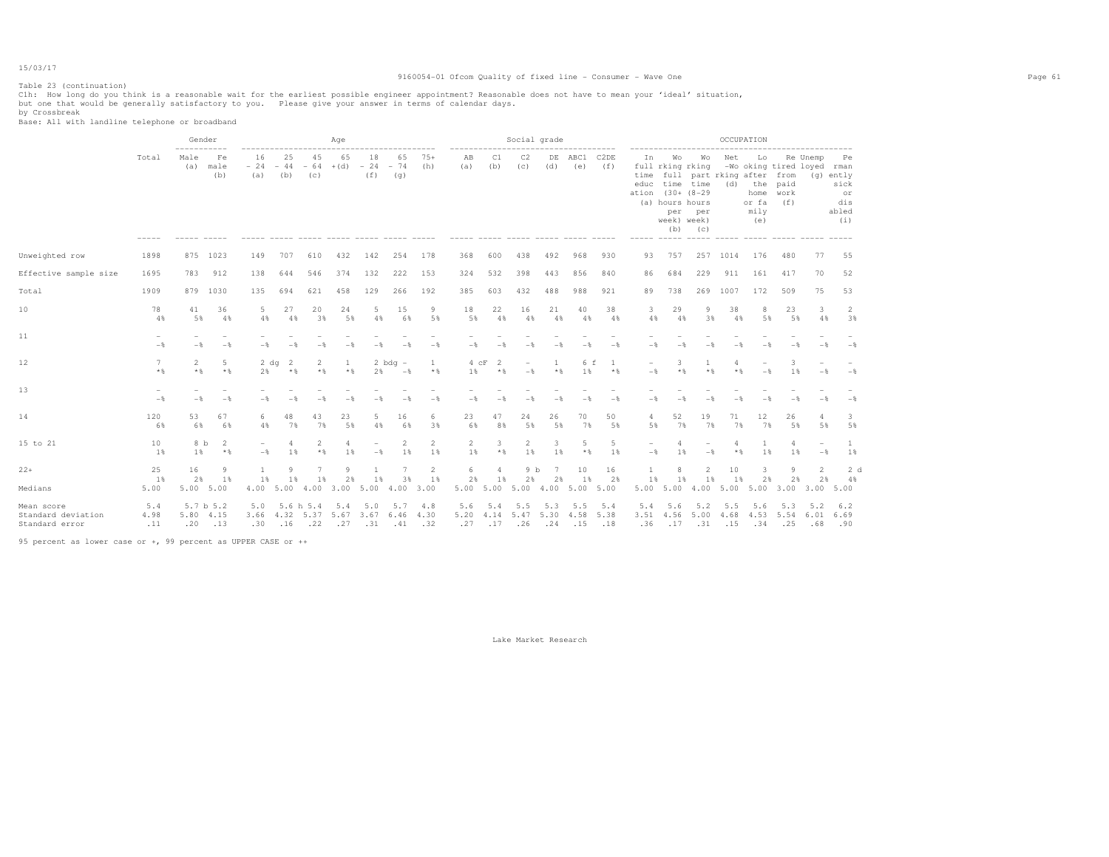### Table 23 (continuation)

#### 9160054-01 Ofcom Quality of fixed line - Consumer - Wave One Page 61

Clh: How long do you think is a reasonable wait for the earliest possible engineer appointment? Reasonable does not have to mean your 'ideal' situation,<br>but one that would be generally satisfactory to you. Please give y

by Crossbreak Base: All with landline telephone or broadband

|                                                    |                                 | Gender<br>-----------   |                   |                                    |                  |                         | Age                            |                                                                      |                                    |                       |                                          |                              | Social grade                    |                       |                               |             |                                                       |                                       |                                                               |                    | OCCUPATION                                                                                                     |                                |                      |                                                        |  |
|----------------------------------------------------|---------------------------------|-------------------------|-------------------|------------------------------------|------------------|-------------------------|--------------------------------|----------------------------------------------------------------------|------------------------------------|-----------------------|------------------------------------------|------------------------------|---------------------------------|-----------------------|-------------------------------|-------------|-------------------------------------------------------|---------------------------------------|---------------------------------------------------------------|--------------------|----------------------------------------------------------------------------------------------------------------|--------------------------------|----------------------|--------------------------------------------------------|--|
|                                                    | Total                           | Male<br>(a)             | Fe<br>male<br>(b) | 16<br>$-24 - 44 - 64 + (d)$<br>(a) | 25<br>(b)        | 45<br>(c)               | 65                             | 18<br>$-24$<br>(f)                                                   | 65<br>$-74$<br>(q)                 | $75+$<br>(h)          | AB<br>(a)                                | C1<br>(b)                    | C <sub>2</sub><br>(C)           | DE<br>(d)             | ABC1 C2DE<br>(e)              | (f)         | ------------------<br>In<br>time<br>ation (30+ (8-29) | (a) hours hours<br>week) week)<br>(b) | Wo Wo<br>full rking rking<br>educ time time<br>per per<br>(C) | Net                | Lo<br>-Wo oking tired loyed rman<br>full part rking after from<br>(d) the paid<br>home<br>or fa<br>mily<br>(e) | work<br>(f)                    | Re Unemp             | Pe<br>$(q)$ ently<br>sick<br>or<br>dis<br>abled<br>(i) |  |
| Unweighted row                                     | 1898                            | 875                     | 1023              | 149                                | 707              | 610                     | 432                            | 142                                                                  | 254                                | 178                   | 368                                      | 600                          | 438                             | 492                   | 968                           | 930         | 93                                                    | 757                                   | 257                                                           | 1014               | 176                                                                                                            | 480                            | 77                   | 55                                                     |  |
| Effective sample size                              | 1695                            | 783                     | 912               | 138                                | 644              | 546                     | 374                            | 132                                                                  | 222                                | 153                   | 324                                      | 532                          | 398                             | 443                   | 856                           | 840         | 86                                                    | 684                                   | 229                                                           | 911                | 161                                                                                                            | 417                            | 70                   | 52                                                     |  |
| Total                                              | 1909                            |                         | 879 1030          | 135                                | 694              | 621                     | 458                            | 129                                                                  | 266                                | 192                   | 385                                      | 603                          | 432                             | 488                   | 988                           | 921         | 89                                                    | 738                                   | 269                                                           | 1007               | 172                                                                                                            | 509                            | 75                   | 53                                                     |  |
| 10                                                 | 78<br>4%                        | 41<br>5%                | 36<br>4%          | 5<br>4%                            | 27<br>4%         | 20<br>3%                | 24<br>5%                       | 5<br>4%                                                              | 15<br>6%                           | 9<br>5%               | 18<br>5%                                 | 22<br>4%                     | 16<br>4%                        | 21<br>4%              | 40<br>4%                      | 38<br>4%    | 3<br>4%                                               | 29<br>4%                              | 9<br>3%                                                       | 38<br>4%           | 8<br>5%                                                                                                        | 23<br>5%                       | 3<br>4%              | 2<br>3%                                                |  |
| 11                                                 | $-$                             | $-$                     | $-$               | $-$                                | $-$              | $-\frac{6}{2}$          | $-\frac{6}{2}$                 | - *                                                                  | $-$                                | $-$                   | $-$                                      | $-$                          | $-$                             | $-\frac{6}{2}$        | $-$                           | $-$         | $-$                                                   | $-$                                   | $-$                                                           |                    |                                                                                                                | $-$                            | $-$                  | $-$                                                    |  |
| 12 <sub>2</sub>                                    | 7<br>$*$                        | $\overline{2}$<br>$*$ & | -5<br>$*$ %       | 2 dq<br>2%                         | -2<br>$*$ %      | $\overline{2}$<br>$*$ & | $\mathbf{1}$<br>$*$            | 2%                                                                   | $2$ bdg $-$<br>$-$                 | $\mathbf{1}$<br>$*$ % | $4$ $cF$<br>1%                           | $\overline{2}$<br>$*$ &      | $\overline{\phantom{a}}$<br>$-$ | 1<br>$*$ &            | 6 f<br>1%                     | -1<br>$*$ & | $\overline{\phantom{0}}$<br>$-$                       | 3<br>$*$ %                            | $\mathbf{1}$<br>$*$ %                                         | 4<br>$*$           | $-$                                                                                                            | 3<br>1%                        | $-$                  | $-$                                                    |  |
| 13                                                 | $\overline{\phantom{a}}$<br>$-$ | $-$                     | $-\frac{6}{5}$    | $-$                                | $-$              | $-$                     | $-$                            | $-$                                                                  | $-$                                | $-$                   | $-$                                      | $-$                          | $-$                             | $-$                   | $-$                           | $-$         | $-$                                                   | $-$                                   | $-$                                                           |                    |                                                                                                                | $-$                            | $-$                  | $-$                                                    |  |
| 14                                                 | 120<br>6%                       | 53<br>6%                | 67<br>6%          | 6<br>4%                            | 48<br>7%         | 43<br>7%                | 23<br>5%                       | 5<br>4%                                                              | 16<br>6%                           | 6<br>3%               | 23<br>6%                                 | 47<br>8%                     | 24<br>5%                        | 26<br>5%              | 70<br>7%                      | 50<br>5%    | 4<br>5%                                               | 52<br>7%                              | 19<br>7%                                                      | 71<br>7%           | 12<br>7%                                                                                                       | 26<br>5%                       | 5%                   | 3<br>5%                                                |  |
| 15 to 21                                           | 10<br>$1\%$                     | 8 b<br>1 %              | 2<br>$*$          | $\overline{\phantom{a}}$<br>$-$    | 4<br>1%          | $\overline{2}$<br>$*$ % | 4<br>1 %                       | $-$                                                                  | $\overline{2}$<br>1 %              | $\overline{2}$<br>1 % | $\overline{2}$<br>1%                     | 3<br>$*$ &                   | $\overline{2}$<br>1%            | 3<br>1%               | 5<br>$*$ %                    | 5<br>1%     | $\qquad \qquad -$<br>$-$                              | $\overline{4}$<br>1 %                 | $-$                                                           | $*$                | 1 %                                                                                                            | 1 %                            | $-$                  | $\mathbf{1}$<br>1%                                     |  |
| $22+$<br>Medians                                   | 25<br>1%<br>5.00                | 16<br>2%<br>5.00 5.00   | 9<br>1%           | 1<br>1%<br>4.00                    | 9<br>1 %         | $7\phantom{.0}$<br>1 %  | Q<br>2%<br>5.00 4.00 3.00 5.00 | $\mathbf{1}$<br>1%                                                   | $7\phantom{.0}$<br>3%<br>4.00 3.00 | 2<br>1%               | 6<br>2%<br>5.00 5.00 5.00 4.00 5.00 5.00 | $\overline{4}$<br>1%         | 9 <sub>b</sub><br>2%            | $7\phantom{.0}$<br>2% | 10<br>1 %                     | 16<br>2%    | $\mathbf{1}$<br>1%<br>5.00 5.00                       | 8<br>1%                               | $\overline{2}$<br>1%<br>4.00 5.00                             | 10<br>1%           | 2%                                                                                                             | 9<br>2%<br>5.00 3.00 3.00 5.00 | $\overline{2}$<br>2% | 2d<br>4%                                               |  |
| Mean score<br>Standard deviation<br>Standard error | 5.4<br>4.98<br>.11              | 5.80 4.15<br>.20        | 5.7 b 5.2<br>.13  | 5.0<br>3.66<br>.30                 | 5.6 h 5.4<br>.16 |                         | 5.4                            | 5.0<br>4.32 5.37 5.67 3.67 6.46<br>$.22 \t .27 \t .31 \t .41 \t .32$ | $5.7$ 4.8                          | 4.30                  | 5.6<br>5.20<br>.27                       | 5.4<br>4.14 5.47 5.30<br>.17 | 5.5<br>.26                      | 5.3                   | 5.5<br>4.58 5.38<br>$.24-.15$ | 5.4<br>.18  | 5.4<br>.36                                            | 5.6                                   | 5.2<br>3.51 4.56 5.00<br>$.17-.31$                            | 5.5<br>4.68<br>.15 | 5.6<br>4.53 5.54 6.01 6.69<br>.34                                                                              | 5.3<br>.25                     | 5.2<br>.68           | 6.2<br>.90                                             |  |

95 percent as lower case or +, 99 percent as UPPER CASE or ++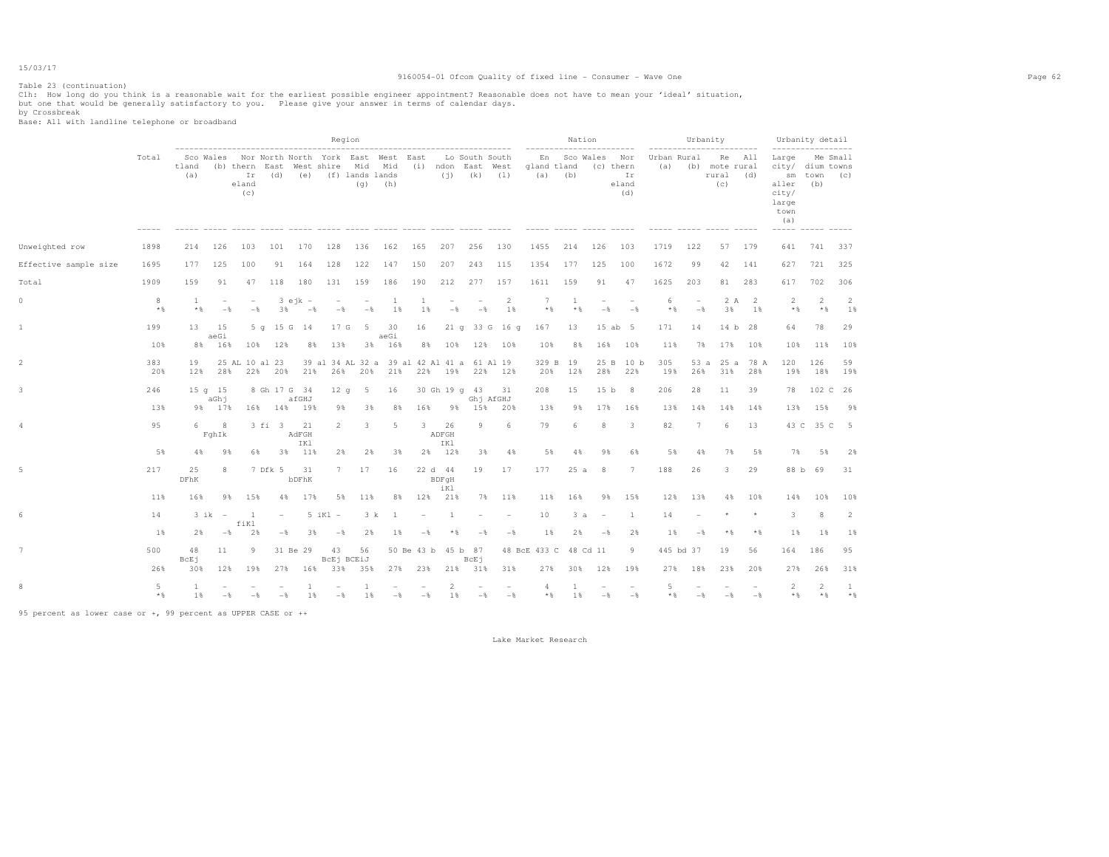#### Table 23 (continuation)

#### 9160054-01 Ofcom Quality of fixed line - Consumer - Wave One Page 62

Clh: How long do you think is a reasonable wait for the earliest possible engineer appointment? Reasonable does not have to mean your 'ideal' situation,<br>but one that would be generally satisfactory to you. Please give y

by Crossbreak Base: All with landline telephone or broadband

|                       |            |                   |                                   |                                 |                          |                              |                                                                                                           | Region                            |                   |                           |                                            |                                |                                      |                              |                                              | Nation                          | -----------                            |                    |                                   | Urbanity                                                   |                                | Urbanity detail                                                                                          |                         |                      |
|-----------------------|------------|-------------------|-----------------------------------|---------------------------------|--------------------------|------------------------------|-----------------------------------------------------------------------------------------------------------|-----------------------------------|-------------------|---------------------------|--------------------------------------------|--------------------------------|--------------------------------------|------------------------------|----------------------------------------------|---------------------------------|----------------------------------------|--------------------|-----------------------------------|------------------------------------------------------------|--------------------------------|----------------------------------------------------------------------------------------------------------|-------------------------|----------------------|
|                       | Total      | tland<br>(a)      |                                   | Ir<br>eland<br>(c)              | (d)                      |                              | Sco Wales Nor North North York East West East<br>(b) thern East West shire Mid Mid<br>(e) (f) lands lands | (q)                               | (h)               |                           | (j)                                        | (k) (1)<br>$- - - - - - - - -$ | Lo South South<br>(i) ndon East West | gland tland                  | -------------<br>En Sco Wales<br>$(a)$ $(b)$ |                                 | Nor<br>(c) thern<br>Ir<br>eland<br>(d) | Urban Rural<br>(a) |                                   | ------------------------<br>(b) mote rural<br>rural<br>(c) | Re All<br>(d)                  | ------------------<br>Large<br>city/ dium towns<br>aller<br>city/<br>large<br>town<br>(a)<br>$- - - - -$ | sm town (c)<br>(b)      | Me Small             |
| Unweighted row        | 1898       | 214               | 126                               | 103                             | 101                      | 170                          | 128                                                                                                       | 136                               | 162               | 165                       | 207                                        | 256                            | 130                                  | 1455                         | 214                                          | 126                             | 103                                    | 1719               | 122                               | 57                                                         | 179                            | 641                                                                                                      | 741                     | 337                  |
| Effective sample size | 1695       | 177               | 125                               | 100                             | 91                       | 164                          | 128                                                                                                       | 122                               | 147               | 150                       | 207                                        | 243                            | 115                                  | 1354                         | 177                                          | 125                             | 100                                    | 1672               | 99                                | 42                                                         | 141                            | 627                                                                                                      | 721                     | 325                  |
| Total                 | 1909       | 159               | 91                                | 47                              | 118                      | 180                          | 131                                                                                                       | 159                               | 186               | 190                       | 212                                        | 277                            | 157                                  | 1611                         | 159                                          | 91                              | 47                                     | 1625               | 203                               | 81                                                         | 283                            | 617                                                                                                      | 702                     | 306                  |
| 0                     | 8<br>$*$ & | <b>1</b><br>$*$   | $\overline{\phantom{a}}$<br>$-$ 8 | $\overline{\phantom{a}}$<br>$-$ | 3%                       | $3$ ejk $-$<br>$-$ 8         | $\overline{\phantom{a}}$<br>$-$                                                                           | $\overline{\phantom{a}}$<br>$-$ 8 | -1<br>1%          | -1<br>1%                  | $\overline{\phantom{0}}$<br>$-\frac{6}{5}$ | $\qquad \qquad -$<br>$-$       | 2<br>1%                              | 7<br>$*$                     | -1<br>$*$ &                                  | $\overline{\phantom{a}}$<br>$-$ | $-$                                    | 6<br>$*$ %         | $\overline{\phantom{a}}$<br>$-$ 8 | 2 A<br>3%                                                  | $\overline{\phantom{0}}$<br>1% | 2<br>$*$ &                                                                                               | $\overline{2}$<br>$*$ % | $\overline{2}$<br>1% |
| 1                     | 199<br>10% | 13<br>8%          | 15<br>aeGi<br>16%                 | 10%                             | 12%                      | 5 q 15 G 14<br>8%            | 17 G<br>13%                                                                                               | -5<br>3%                          | 30<br>aeGi<br>16% | 16<br>8%                  | 10%                                        | 12%                            | 21 q 33 G 16 q<br>10%                | 167<br>10%                   | 13<br>8%                                     | 16%                             | 15 ab 5<br>10%                         | 171<br>11%         | 14<br>7%                          | 17%                                                        | 14 b 28<br>10%                 | 64<br>10%                                                                                                | 78<br>11%               | 29<br>10%            |
| 2                     | 383<br>20% | 19<br>12%         | 28%                               | 25 AL 10 al 23                  | 22% 20%                  | 21%                          | 39 al 34 AL 32 a 39 al 42 Al 41 a 61 Al 19                                                                | 26% 20%                           | 21%               |                           |                                            | 22% 19% 22%                    | 12%                                  | 20%                          | 329 B 19<br>12%                              | 25 B<br>28%                     | 10 <sub>b</sub><br>22%                 | 305<br>19%         | 53a<br>26%                        | 25a<br>31%                                                 | 78 A<br>28%                    | 120<br>19%                                                                                               | 126<br>18%              | 59<br>19%            |
|                       | 246<br>13% | 98                | $15q$ 15<br>aGhj<br>17%           |                                 | 16% 14%                  | 8 Gh 17 G 34<br>afGHJ<br>19% | 12 <sub>g</sub><br>98                                                                                     | 5<br>3%                           | 16<br>8%          | 16%                       | 98                                         | 30 Gh 19 q 43<br>15%           | 31<br>Ghj AfGHJ<br>20%               | 208<br>13%                   | 15<br>98                                     | 15 <sub>b</sub><br>17%          | 8<br>16%                               | 206<br>13%         | 28<br>14%                         | 11<br>14%                                                  | 39<br>14%                      | 78<br>13%                                                                                                | 102 C<br>15%            | 26<br>98             |
|                       | 95         | 6                 | 8<br>FghIk                        |                                 | 3 fi 3                   | 21<br>AdFGH                  | 2                                                                                                         | 3                                 | 5                 | 3                         | 26<br>ADFGH                                | 9                              | 6                                    | 79                           | 6                                            | 8                               | 3                                      | 82                 | 7                                 | 6                                                          | 13                             |                                                                                                          | 43 C 35 C               | $-5$                 |
|                       | 5%         | $4\%$             | 9%                                | 6%                              |                          | IKl<br>3% 11%                | 2%                                                                                                        | 2%                                | 3%                | 2%                        | IKl<br>12%                                 | 3%                             | 4%                                   | 5%                           | 4%                                           | 9%                              | 6%                                     | 5%                 | 4%                                | 7%                                                         | 5%                             | 7%                                                                                                       | 5%                      | 2%                   |
|                       | 217        | 25<br>DFhK        | 8                                 |                                 | 7 Dfk 5                  | 31<br>bDFhK                  | 7                                                                                                         | 17                                | 16                |                           | 22 d 44<br>BDFqH<br>iKl                    | 19                             | 17                                   | 177                          | 25a                                          | 8                               | $7\phantom{.0}$                        | 188                | 26                                | 3                                                          | 29                             | 88 b                                                                                                     | 69                      | 31                   |
|                       | 11%        | 16%               | 9%                                | 15%                             | $4\%$                    | 17%                          | 5%                                                                                                        | 11%                               | 8%                | 12%                       | 21%                                        | 7%                             | 11%                                  | 11%                          | 16%                                          | 98                              | 15%                                    | 12%                | 13%                               | 4%                                                         | 10%                            | 14%                                                                                                      | 10%                     | 10%                  |
|                       | 14         |                   | $3ik -$                           | -1<br>fiKl                      | $\overline{\phantom{a}}$ |                              | $5$ iKl $-$                                                                                               | 3 k                               | -1                | $\overline{\phantom{a}}$  | 1                                          |                                |                                      | 10                           | 3a                                           | $\overline{a}$                  | 1                                      | 14                 |                                   |                                                            |                                | 3                                                                                                        | 8                       | $\overline{2}$       |
|                       | 1%         | 2%                | $-$                               | 2%                              | $ \delta$                | 3%                           | $-$ %                                                                                                     | 2%                                | 1%                | $-$                       | $*$ &                                      | $-$ %                          | $-\frac{6}{5}$                       | $1\%$                        | 2%                                           | $-$ 8                           | 2%                                     | 1%                 | $-$                               | $*$                                                        | $*$ $\frac{6}{5}$              | $1\%$                                                                                                    | $1\%$                   | 1%                   |
|                       | 500<br>26% | 48<br>BcEj<br>30% | 11<br>12%                         | 9<br>19%                        |                          | 31 Be 29                     | 43<br>BcEj BCEiJ<br>27% 16% 33%                                                                           | 56<br>35%                         | 27%               | 50 Be 43 b 45 b 87<br>23% | 21%                                        | BcEj<br>31%                    | 31%                                  | 48 BcE 433 C 48 Cd 11<br>27% | 30%                                          | 12%                             | 9<br>19%                               | 27%                | 445 bd 37<br>18%                  | 19<br>23%                                                  | 56<br>20%                      | 164<br>27%                                                                                               | 186<br>26%              | 95<br>31%            |
|                       | 5<br>$*$   | 1<br>1%           | $-$                               | $-$                             | $ \delta$                | $1\%$                        | $-$                                                                                                       | 1%                                | $-$ 8             | $-$                       | $\overline{2}$<br>1%                       | $-$                            | $-$                                  | 4<br>$*$                     | 1%                                           | $-\frac{6}{5}$                  | $-$ 8                                  | 5<br>$*$ %         | $-\frac{6}{5}$                    | $-\frac{6}{5}$                                             | $-\frac{6}{5}$                 | 2<br>$*$ %                                                                                               | $\overline{2}$<br>$*$ & | -1<br>$*$ %          |

95 percent as lower case or +, 99 percent as UPPER CASE or ++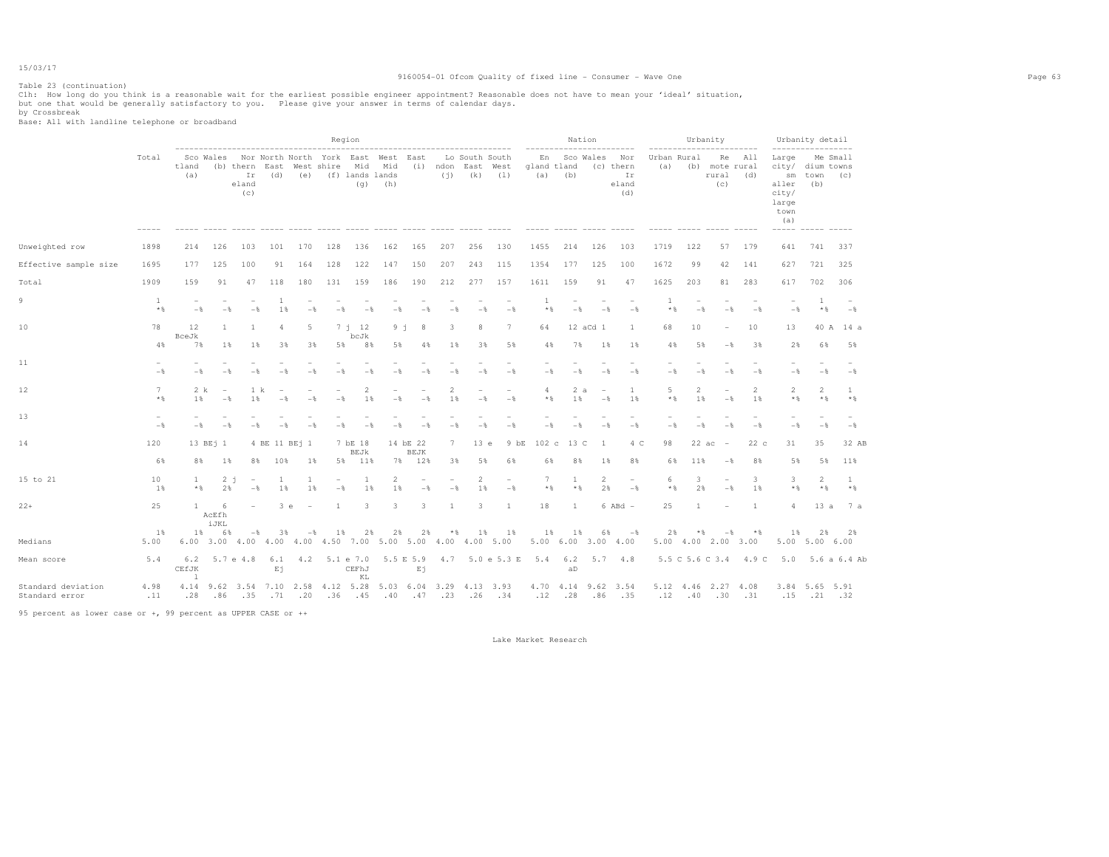### Table 23 (continuation)

#### 9160054-01 Ofcom Quality of fixed line - Consumer - Wave One Page 63

Clh: How long do you think is a reasonable wait for the earliest possible engineer appointment? Reasonable does not have to mean your 'ideal' situation,<br>but one that would be generally satisfactory to you. Please give y

by Crossbreak Base: All with landline telephone or broadband

|                                      |                                            |                              |                                        |                                                                    |                                                                                   |                  |                      | Region                              |                                                 |                                  |                      |                                     |                                 |                                                           |                                     | Nation         |                                                     |                         |                            | Urbanity                                   |                                     |                                                          | Urbanity detail                                                          |                   |
|--------------------------------------|--------------------------------------------|------------------------------|----------------------------------------|--------------------------------------------------------------------|-----------------------------------------------------------------------------------|------------------|----------------------|-------------------------------------|-------------------------------------------------|----------------------------------|----------------------|-------------------------------------|---------------------------------|-----------------------------------------------------------|-------------------------------------|----------------|-----------------------------------------------------|-------------------------|----------------------------|--------------------------------------------|-------------------------------------|----------------------------------------------------------|--------------------------------------------------------------------------|-------------------|
|                                      | Total                                      | tland<br>(a)                 |                                        | Ir<br>eland<br>(c)                                                 | Sco Wales Nor North North York East West East<br>(b) thern East West shire<br>(d) |                  | (e) (f) lands lands  | Mid Mid                             | ----------------------------------<br>$(q)$ (h) |                                  |                      | Lo South South<br>$(i)$ $(k)$ $(1)$ | (i) ndon East West              | $- - - - - - - - - -$<br>En<br>gland tland<br>$(a)$ $(b)$ |                                     | Sco Wales      | .<br>Nor<br>(c) thern<br>Ir<br>eland<br>(d)         | (a)                     | Urban Rural                | (b) mote rural<br>rural (d)<br>(C)         | .<br>Re All                         | Large<br>aller<br>city/<br>large<br>town<br>(a)<br>----- | ------------------<br>Me Small<br>city/ dium towns<br>sm town (c)<br>(b) |                   |
| Unweighted row                       | 1898                                       | 214                          | 126                                    | 103                                                                | 101                                                                               | 170              | 128                  | 136                                 | 162                                             | 165                              | 207                  | 256                                 | 130                             | 1455                                                      | 214                                 | 126            | 103                                                 | 1719                    | 122                        | 57                                         | 179                                 | 641                                                      | 741                                                                      | 337               |
| Effective sample size                | 1695                                       | 177                          | 125                                    | 100                                                                | 91                                                                                | 164              | 128                  | 122                                 | 147                                             | 150                              | 207                  | 243                                 | 115                             | 1354                                                      | 177                                 | 125            | 100                                                 | 1672                    | 99                         | 42                                         | 141                                 | 627                                                      | 721                                                                      | 325               |
| Total                                | 1909                                       | 159                          | 91                                     | 47                                                                 | 118                                                                               | 180              | 131                  | 159                                 | 186                                             | 190                              | 212                  | 277                                 | 157                             | 1611                                                      | 159                                 | 91             | 47                                                  | 1625                    | 203                        | 81                                         | 283                                 | 617                                                      | 702                                                                      | 306               |
| 9                                    | $\mathbf{1}$<br>$*$ &                      | $-$                          | $-\frac{6}{5}$                         | $-$                                                                | $\overline{1}$<br>1%                                                              | $-$              | $-$                  | $-$                                 | $-$                                             | $-$                              | $-$                  | $-$                                 | $-\frac{6}{6}$                  | 1<br>$*$ %                                                |                                     | $-$            | $-$<br>$-$                                          | $\overline{1}$<br>$*$ % | $-$                        | $-$                                        | $-$                                 | $-$                                                      | $\mathbf{1}$<br>$*$ &                                                    | $-$               |
| 10                                   | 78<br>4%                                   | 12<br>BceJk<br>7%            | 1<br>1%                                | 1<br>18                                                            | $\overline{4}$<br>3%                                                              | 5<br>3%          | 5%                   | $7 \t12$<br>bcJk<br>8%              | $9 - 1$<br>5%                                   | 8<br>4%                          | 3<br>1%              | 8<br>3%                             | $7\phantom{.0}$<br>5%           | 64<br>4%                                                  |                                     | 12 aCd 1<br>7% | <sup>1</sup><br>1%<br>1%                            | 68<br>4%                | 10<br>5%                   | $\overline{\phantom{a}}$<br>$-\frac{6}{5}$ | 10<br>38                            | 13<br>2%                                                 | 6%                                                                       | 40 A 14 a<br>5%   |
| 11                                   | $\overline{\phantom{a}}$<br>$-$            | $-$                          | $-$                                    |                                                                    | $-$                                                                               |                  | $-$                  | $-$                                 | $-$                                             | $-$                              | $-$                  | $-$                                 | $\overline{\phantom{a}}$<br>$-$ | $\overline{\phantom{0}}$<br>$-$                           |                                     | $-$            | $-$<br>$-$                                          | $-$                     | $-$                        | $-$                                        | $-$                                 | $\overline{\phantom{0}}$<br>$-$                          | $-$                                                                      | $-$               |
| 12                                   | 7<br>$*$ &                                 | 1 %                          | 2 k<br>$\overline{\phantom{a}}$<br>$-$ | 1 k<br>1%                                                          | $-$                                                                               | $-$              | $-$                  | 2<br>1%                             | $-$                                             | $-$                              | 2<br>1%              | $-$                                 | $\equiv$<br>$-$                 | $\overline{4}$<br>$*$ %                                   |                                     | 2a<br>1%       | <sup>1</sup><br>$\sim$<br>1%<br>$-$                 | 5<br>$*$ %              | 2<br>1%                    | $\overline{\phantom{a}}$<br>$-$            | $\overline{2}$<br>1%                | $\overline{2}$<br>$\star$ &                              | $\overline{2}$<br>$*$                                                    | 1<br>$*$ %        |
| 13                                   | $\overline{\phantom{a}}$<br>$-\frac{6}{5}$ | $-$                          | $-$                                    |                                                                    |                                                                                   |                  |                      | - 2                                 |                                                 |                                  | $-$                  | $-$                                 | $-$                             | $-$                                                       |                                     | $ \frac{6}{3}$ | $-\frac{6}{5}$<br>$-$                               | $-$                     | $-$                        |                                            | $-$                                 | $-$                                                      | $-\frac{6}{5}$                                                           | $-\frac{6}{5}$    |
| 14                                   | 120                                        |                              | 13 BE <sub>1</sub> 1                   |                                                                    | 4 BE 11 BEj 1                                                                     |                  |                      | 7 bE 18<br><b>BEJk</b>              |                                                 | 14 bE 22<br><b>BEJK</b>          | 7                    | 13 e                                | 9 bE                            | 102 <sub>c</sub>                                          |                                     | 13 C           | 4 C<br>$\overline{1}$                               | 98                      | 22ac                       |                                            | 22c                                 | 31                                                       | 35                                                                       | 32 AB             |
| 15 to 21                             | 6%<br>10<br>1%                             | 8%<br>$\mathbf{1}$<br>$*$ &  | 1%<br>2%                               | 8%<br>$2 - i$<br>$\hspace{0.1mm}-\hspace{0.1mm}$<br>$-\frac{6}{5}$ | 10%<br>1<br>1%                                                                    | $1\%$<br>1<br>1% | 5%<br>$-\frac{6}{5}$ | 11%<br>1<br>1%                      | 7%<br>$\mathfrak{D}$<br>1%                      | 12%<br>$-$                       | 3%<br>$-\frac{6}{5}$ | 5%<br>$\mathfrak{D}$<br>1%          | 6%<br>۰<br>$-\frac{6}{5}$       | 6%<br>$7\phantom{.0}$<br>$\star$ $\,$                     | 1                                   | 8%<br>$*$ %    | $1\%$<br>8%<br>$\mathbf{2}$<br>2%<br>$-\frac{6}{5}$ | 6%<br>6<br>$*$ &        | 11%<br>3<br>2%             | $-$<br>۰<br>$-\frac{6}{5}$                 | 8%<br>$\overline{\mathbf{3}}$<br>1% | 5%<br>3<br>$\star$ &                                     | 5%<br>2<br>$*$ &                                                         | 11%<br>1<br>$*$ & |
| $22+$                                | 25                                         | $\mathbf{1}$                 | -6<br>AcEfh<br>iJKL                    |                                                                    | 3 e                                                                               |                  | $\overline{1}$       | 3                                   | 3                                               | 3                                | $\mathbf{1}$         | 3.                                  | $\overline{1}$                  | 18                                                        | $\overline{1}$                      |                | $6$ ABd $-$                                         | 25                      | $\mathbf{1}$               |                                            | $\overline{1}$                      | 4                                                        | 13a                                                                      | 7 a               |
| Medians                              | 1%<br>5.00                                 |                              | $1\%$<br>6%                            | $-$                                                                | 3%<br>6.00 3.00 4.00 4.00 4.00 4.50 7.00 5.00 5.00 4.00 4.00 5.00                 | $-$ 8            | 18                   | 2%                                  | 2%                                              | 2%                               | * %                  | $1\%$                               | 1%                              | 1%                                                        | 1%                                  |                | 6%<br>$ \frac{8}{3}$<br>5.00 6.00 3.00 4.00         | 2%                      | $*$<br>5.00 4.00 2.00 3.00 | $-$                                        | $*$                                 | 1%                                                       | 2%<br>$5.00$ $5.00$ $6.00$                                               | 2%                |
| Mean score                           | 5.4                                        | 6.2<br>CEfJK<br>$\mathbf{1}$ |                                        | 5.7 e 4.8                                                          | 6.1<br>Ej                                                                         | 4.2              |                      | $5.1 \text{ e } 7.0$<br>CEFhJ<br>KL |                                                 | 5.5 E 5.9<br>Ej                  |                      |                                     | 4.7 5.0 e 5.3 E                 | 5.4                                                       | 6.2<br>aD                           | 5.7            | 4.8                                                 |                         | 5.5 C 5.6 C 3.4            |                                            | 4.9 C                               | 5.0                                                      |                                                                          | 5.6 a 6.4 Ab      |
| Standard deviation<br>Standard error | 4.98<br>.11                                | 4.14<br>.28                  | 9.62<br>.86                            | 3.54<br>.35                                                        | 7.10 2.58<br>$.71 - .20$                                                          |                  | .36                  | $4.12$ 5.28<br>.45                  | .40                                             | $5.03 \quad 6.04$<br>$.47 - .23$ |                      |                                     | 3.29 4.13 3.93<br>$.26 - .34$   |                                                           | 4.70 4.14 9.62<br>$.12$ $.28$ $.86$ |                | 3.54<br>.35                                         | .12                     | 5.12 4.46 2.27 4.08        | .40.30                                     | .31                                 | 3.84<br>.15                                              | 5.65 5.91<br>$.21 \t .32$                                                |                   |
|                                      |                                            |                              |                                        |                                                                    |                                                                                   |                  |                      |                                     |                                                 |                                  |                      |                                     |                                 |                                                           |                                     |                |                                                     |                         |                            |                                            |                                     |                                                          |                                                                          |                   |

95 percent as lower case or +, 99 percent as UPPER CASE or ++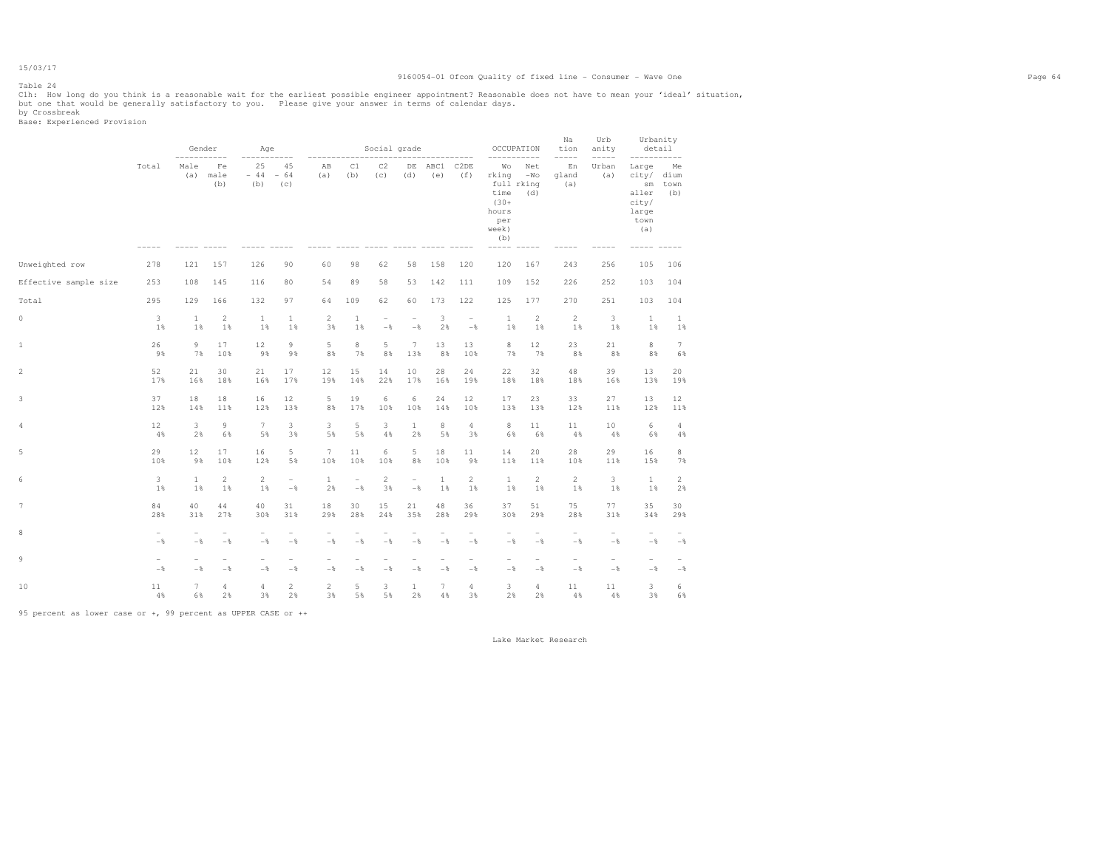### 15/03/17 Table 24

#### 9160054-01 Ofcom Quality of fixed line - Consumer - Wave One Page 64

Clh: How long do you think is a reasonable wait for the earliest possible engineer appointment? Reasonable does not have to mean your 'ideal' situation,<br>but one that would be generally satisfactory to you. Please give y

by Crossbreak<br>Base: Experienced Provision

|                       |                                 | Gender                          |                                 | Age                                        |                                 |                                            |                                 | Social grade                    |                                 |                                 |                                 | OCCUPATION                                                                   |                                            | Na<br>tion<br>$---$             | Urb<br>anity<br>-----           | Urbanity<br>detail                                                                     |                           |
|-----------------------|---------------------------------|---------------------------------|---------------------------------|--------------------------------------------|---------------------------------|--------------------------------------------|---------------------------------|---------------------------------|---------------------------------|---------------------------------|---------------------------------|------------------------------------------------------------------------------|--------------------------------------------|---------------------------------|---------------------------------|----------------------------------------------------------------------------------------|---------------------------|
|                       | Total                           | Male<br>(a)                     | Fe<br>male<br>(b)               | 25<br>$-44$<br>(b)                         | 45<br>$-64$<br>(c)              | AB<br>(a)                                  | C1<br>(b)                       | C2<br>(c)                       | $\rm{DE}$<br>(d)                | ABC1<br>(e)                     | C2DE<br>(f)                     | Wo<br>rking<br>full rking<br>time<br>$(30 +$<br>hours<br>per<br>week)<br>(b) | Net<br>$-WO$<br>(d)                        | En<br>gland<br>(a)              | Urban<br>(a)                    | Large<br>city/<br>$\mathop{\rm sm}\nolimits$<br>aller<br>city/<br>large<br>town<br>(a) | Me<br>dium<br>town<br>(b) |
| Unweighted row        | 278                             | 121                             | 157                             | 126                                        | 90                              | 60                                         | 98                              | 62                              | 58                              | 158                             | 120                             | 120                                                                          | 167                                        | 243                             | 256                             | 105                                                                                    | 106                       |
| Effective sample size | 253                             | 108                             | 145                             | 116                                        | 80                              | 54                                         | 89                              | 58                              | 53                              | 142                             | 111                             | 109                                                                          | 152                                        | 226                             | 252                             | 103                                                                                    | 104                       |
| Total                 | 295                             | 129                             | 166                             | 132                                        | 97                              | 64                                         | 109                             | 62                              | 60                              | 173                             | 122                             | 125                                                                          | 177                                        | 270                             | 251                             | 103                                                                                    | 104                       |
| $\circ$               | 3                               | 1                               | $\overline{2}$                  | $\mathbf{1}$                               | $\mathbf{1}$                    | $\overline{c}$                             | $\mathbf{1}$                    | $\overline{\phantom{a}}$        | $\overline{\phantom{a}}$        | 3                               | $\overline{\phantom{0}}$        | $\mathbf{1}$                                                                 | $\overline{2}$                             | $\overline{2}$                  | 3                               | 1                                                                                      | 1                         |
|                       | 1%                              | 1%                              | 1%                              | 1%                                         | 1%                              | 3%                                         | 1%                              | $-$ %                           | $-$                             | 2%                              | $-$                             | 1%                                                                           | 1%                                         | 1%                              | 1%                              | 1%                                                                                     | $1\%$                     |
| 1                     | 26                              | 9                               | 17                              | 12                                         | 9                               | 5                                          | 8                               | 5                               | $7\phantom{.0}$                 | 13                              | 13                              | 8                                                                            | 12                                         | 23                              | 21                              | 8                                                                                      | $7\phantom{.0}$           |
|                       | 9%                              | 7%                              | 10%                             | 9%                                         | 9%                              | 8%                                         | 7%                              | 8%                              | 13%                             | 8%                              | 10%                             | 7%                                                                           | 7%                                         | 8%                              | 8%                              | 8%                                                                                     | 6%                        |
| 2                     | 52                              | 21                              | 30                              | 21                                         | 17                              | 12                                         | 15                              | 14                              | 10                              | 28                              | 24                              | 22                                                                           | 32                                         | 48                              | 39                              | 13                                                                                     | 20                        |
|                       | 17%                             | 16%                             | 18%                             | 16%                                        | 17%                             | 19%                                        | 14%                             | 22%                             | 17%                             | 16%                             | 19%                             | 18%                                                                          | 18%                                        | 18%                             | 16%                             | 13%                                                                                    | 19%                       |
| 3                     | 37                              | 18                              | 18                              | 16                                         | 12                              | 5                                          | 19                              | 6                               | 6                               | 24                              | 12                              | 17                                                                           | 23                                         | 33                              | 27                              | 13                                                                                     | 12                        |
|                       | 12%                             | 14%                             | 11%                             | 12%                                        | 13%                             | 8%                                         | 17%                             | 10%                             | 10%                             | 14%                             | 10%                             | 13%                                                                          | 13%                                        | 12%                             | 11%                             | 12%                                                                                    | 11%                       |
| 4                     | 12                              | 3                               | $\overline{9}$                  | $\tau$                                     | 3                               | 3                                          | 5                               | 3                               | $\mathbf{1}$                    | 8                               | 4                               | $\,$ 8                                                                       | 11                                         | 11                              | 10                              | 6                                                                                      | $\overline{4}$            |
|                       | 4%                              | 2%                              | 6%                              | 5%                                         | 3%                              | 5%                                         | 5%                              | 4%                              | 2%                              | 5%                              | 3%                              | 6%                                                                           | 6%                                         | 4%                              | 4%                              | 6%                                                                                     | $4\,$                     |
| 5                     | 29                              | 12                              | 17                              | 16                                         | 5                               | $7\phantom{.0}$                            | 11                              | $\epsilon$                      | 5                               | 18                              | 11                              | 14                                                                           | 20                                         | 28                              | 29                              | 16                                                                                     | 8                         |
|                       | 10%                             | 9%                              | 10%                             | 12%                                        | 5%                              | 10%                                        | 10%                             | 10%                             | 8%                              | 10%                             | 9%                              | 11%                                                                          | 11%                                        | 10%                             | 11%                             | 15%                                                                                    | 7%                        |
| 6                     | 3                               | 1                               | $\overline{c}$                  | $\overline{2}$                             | $\overline{\phantom{0}}$        | $\mathbf{1}$                               | $\overline{\phantom{a}}$        | $\sqrt{2}$                      | $\overline{\phantom{a}}$        | $\mathbf{1}$                    | $\overline{a}$                  | $\mathbf{1}$                                                                 | $\overline{c}$                             | $\sqrt{2}$                      | 3                               | $\mathbf{1}$                                                                           | $\overline{c}$            |
|                       | 1%                              | 1%                              | 1%                              | 1%                                         | $-\,$ $\,$                      | 2%                                         | $-\frac{6}{6}$                  | 3%                              | $-$                             | 1%                              | 1%                              | 1%                                                                           | 1%                                         | 1%                              | 1%                              | 1%                                                                                     | 2%                        |
| $\overline{7}$        | 84                              | 40                              | 44                              | 40                                         | 31                              | 18                                         | 30                              | 15                              | 21                              | 48                              | 36                              | 37                                                                           | 51                                         | 75                              | 77                              | 35                                                                                     | 30                        |
|                       | 28%                             | 31%                             | 27%                             | 30%                                        | 31%                             | 29%                                        | 28%                             | 24%                             | 35%                             | 28%                             | 29%                             | 30%                                                                          | 29%                                        | 28%                             | 31%                             | 34%                                                                                    | 29%                       |
| 8                     | $\overline{\phantom{0}}$<br>$-$ | $-$ 8                           | $\overline{\phantom{a}}$<br>$-$ | $\overline{\phantom{m}}$<br>$-\frac{6}{6}$ | $\overline{\phantom{a}}$<br>$-$ | $\overline{\phantom{m}}$<br>$-\frac{6}{6}$ | ÷<br>$-$                        | ۰<br>$-$ 8                      | ۰<br>$-$                        | $-\frac{6}{6}$                  | $\overline{\phantom{0}}$<br>$-$ | $\overline{\phantom{m}}$<br>$-\frac{6}{6}$                                   | $\overline{\phantom{m}}$<br>$-$            | $\overline{\phantom{m}}$<br>$-$ | $\overline{\phantom{a}}$<br>$-$ | $\overline{\phantom{a}}$<br>$-\frac{6}{6}$                                             | $-\frac{6}{6}$            |
| 9                     | $\overline{\phantom{a}}$<br>$-$ | $\overline{\phantom{a}}$<br>$-$ | $\overline{\phantom{a}}$<br>$-$ | $\overline{\phantom{a}}$<br>$-$            | $\overline{\phantom{0}}$<br>$-$ | $\overline{\phantom{a}}$<br>$-$            | $\overline{\phantom{a}}$<br>$-$ | $\overline{\phantom{a}}$<br>$-$ | $\overline{\phantom{a}}$<br>$-$ | $\overline{\phantom{a}}$<br>$-$ | $-$<br>$-$                      | $\overline{\phantom{a}}$<br>$-$                                              | $\overline{\phantom{a}}$<br>$-\frac{6}{6}$ | $\overline{\phantom{m}}$<br>$-$ | $-$<br>$-$                      | $\overline{\phantom{a}}$<br>$-$                                                        | $-\,$ $\,$                |
| 10                    | 11                              | 7                               | $\overline{4}$                  | $\overline{4}$                             | $\overline{c}$                  | $\mathbf{2}$                               | 5                               | 3                               | $\mathbf{1}$                    | 7                               | 4                               | 3                                                                            | $\overline{4}$                             | 11                              | 11                              | 3                                                                                      | 6                         |
|                       | 4%                              | 6%                              | 2%                              | 3%                                         | 2%                              | 3%                                         | 5%                              | 5%                              | 2%                              | 4%                              | 3%                              | 2%                                                                           | 2%                                         | 4%                              | 4%                              | 3%                                                                                     | 6%                        |

95 percent as lower case or +, 99 percent as UPPER CASE or ++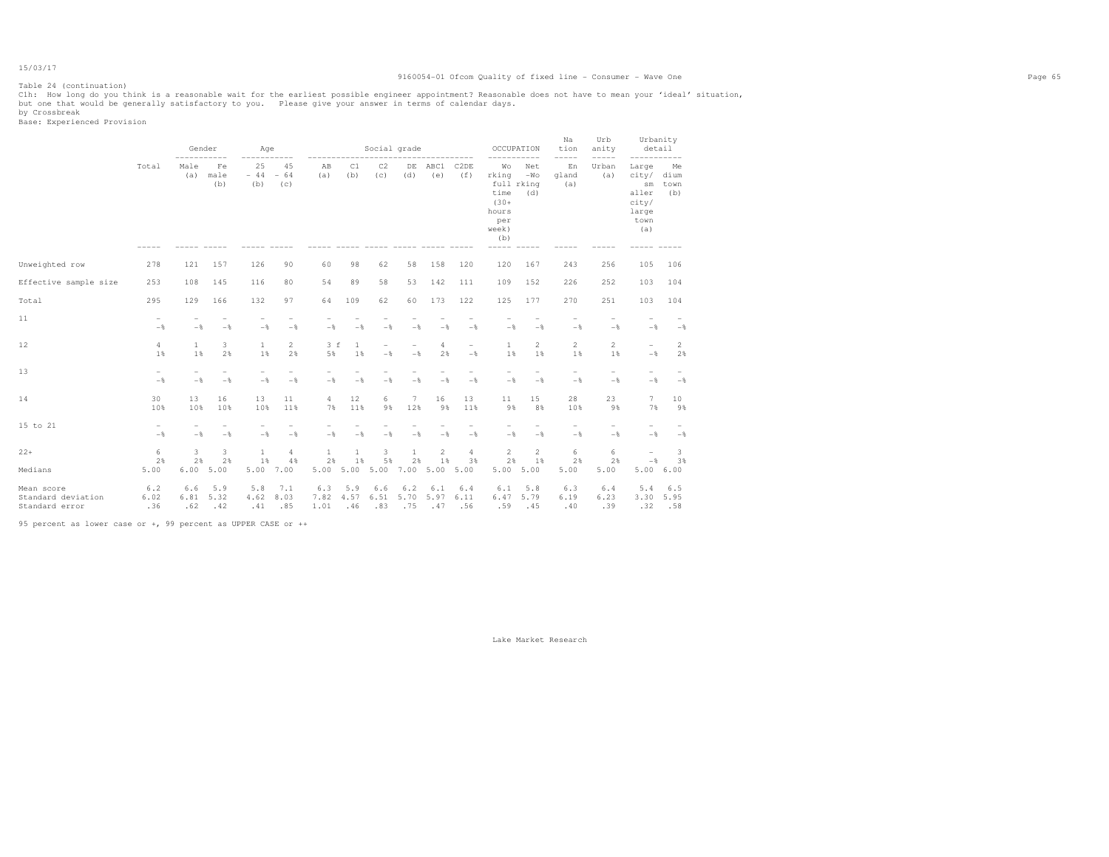#### 9160054-01 Ofcom Quality of fixed line - Consumer - Wave One Page 65

Clh: How long do you think is a reasonable wait for the earliest possible engineer appointment? Reasonable does not have to mean your 'ideal' situation,<br>but one that would be generally satisfactory to you. Please give y

by Crossbreak<br>Base: Experienced Provision

Table 24 (continuation)

|                                                    |                                            | Gender             |                    | Age                     |                                   |                     |                    | Social grade       |                                 |                    |                                            | OCCUPATION                                                                   |                     | Na<br>tion                  | Urb<br>anity                    |                                                                     | Urbanity<br>detail   |  |
|----------------------------------------------------|--------------------------------------------|--------------------|--------------------|-------------------------|-----------------------------------|---------------------|--------------------|--------------------|---------------------------------|--------------------|--------------------------------------------|------------------------------------------------------------------------------|---------------------|-----------------------------|---------------------------------|---------------------------------------------------------------------|----------------------|--|
|                                                    | Total                                      | Male<br>(a)        | Fe<br>male<br>(b)  | 25<br>$-44 - 64$<br>(b) | 45<br>(C)                         | AB<br>(a)           | C1<br>(b)          | C2<br>(C)          | DE<br>(d)                       | ABC1<br>(e)        | C2DE<br>(f)                                | Wo<br>rking<br>full rking<br>time<br>$(30 +$<br>hours<br>per<br>week)<br>(b) | Net<br>$-WO$<br>(d) | -----<br>En<br>gland<br>(a) | -----<br>Urban<br>(a)           | Large<br>city/ dium<br>sm<br>aller<br>city/<br>large<br>town<br>(a) | Me<br>town<br>(b)    |  |
| Unweighted row                                     | 278                                        | 121                | 157                | 126                     | 90                                | 60                  | 98                 | 62                 | 58                              | 158                | 120                                        | 120                                                                          | 167                 | 243                         | 256                             | 105                                                                 | 106                  |  |
|                                                    |                                            |                    |                    |                         |                                   |                     |                    |                    |                                 |                    |                                            |                                                                              |                     |                             |                                 |                                                                     |                      |  |
| Effective sample size                              | 253                                        | 108                | 145                | 116                     | 80                                | 54                  | 89                 | 58                 | 53                              | 142                | 111                                        | 109                                                                          | 152                 | 226                         | 252                             | 103                                                                 | 104                  |  |
| Total                                              | 295                                        | 129                | 166                | 132                     | 97                                | 64                  | 109                | 62                 | 60                              | 173                | 122                                        | 125                                                                          | 177                 | 270                         | 251                             | 103                                                                 | 104                  |  |
| 11                                                 | $\overline{\phantom{a}}$<br>$-\frac{6}{6}$ | $-$ 8              | $-\frac{6}{6}$     | $-$                     | $-$ %                             | $-$                 | $-$                | $-$                | $-$ 8                           | $-\frac{6}{6}$     | $-$                                        | $-$                                                                          | $-$                 | $-$ %                       | $-$ 8                           | $\qquad \qquad -$<br>$-$                                            | $-$                  |  |
| 12                                                 | $\overline{4}$<br>1 %                      | 1<br>1%            | 3<br>2%            | $\mathbf{1}$<br>1%      | $\overline{2}$<br>2%              | 3 f<br>5%           | $\mathbf{1}$<br>1% | $-$                | $\overline{\phantom{0}}$<br>$-$ | 4<br>2%            | $\overline{\phantom{m}}$<br>$-\frac{6}{5}$ | 1<br>1%                                                                      | 2<br>1%             | 2<br>1%                     | $\overline{2}$<br>1%            | $\overline{\phantom{0}}$<br>$-\frac{6}{5}$                          | $\overline{2}$<br>2% |  |
| 13                                                 | $\overline{\phantom{a}}$<br>$-$            | $-\frac{6}{5}$     | $-$                | $-$                     | $\overline{\phantom{0}}$<br>$-$ % | $-$                 | $-$                | $-$                | $-$                             | $-$                | L.<br>$-$                                  | $-$                                                                          | $-\frac{6}{5}$      | -<br>$-$                    | $\overline{\phantom{0}}$<br>$-$ | $\overline{\phantom{0}}$<br>$-$                                     | $-\frac{6}{5}$       |  |
| 14                                                 | 30<br>10%                                  | 13<br>10%          | 16<br>10%          | 13<br>10%               | 11<br>11%                         | 4<br>7%             | 12<br>11%          | 6<br>9%            | 7<br>12%                        | 16<br>9%           | 13<br>11%                                  | 11<br>9%                                                                     | 15<br>8%            | 28<br>10%                   | 23<br>9%                        | $7\phantom{.}$<br>7%                                                | 10<br>9%             |  |
| 15 to 21                                           | $\overline{\phantom{a}}$<br>$-$            | $-$                | $-$                | $-$                     | $-$ %                             | $-\frac{6}{6}$      | $-$                | $-$                | $-$ 8                           | $-\frac{6}{6}$     | $\overline{\phantom{0}}$<br>$-\frac{6}{6}$ | $-$                                                                          | $-\frac{6}{6}$      | $-$<br>$-$                  | $\overline{\phantom{0}}$<br>$-$ | $\overline{\phantom{a}}$<br>$-\frac{6}{6}$                          | $-$                  |  |
| $22+$                                              | 6<br>2%                                    | 3<br>2%            | 3<br>2%            | $\mathbf{1}$<br>1%      | $\overline{4}$<br>4%              | $\mathbf{1}$<br>2%  | $\mathbf{1}$<br>1% | 3<br>5%            | $\mathbf{1}$<br>2%              | 2<br>1%            | $\overline{4}$<br>3%                       | 2<br>2%                                                                      | $\overline{2}$      | 6<br>2%                     | 6<br>2%                         | $\overline{\phantom{m}}$<br>$-\,$                                   | 3<br>3%              |  |
| Medians                                            | 5.00                                       | 6.00               | 5.00               | 5.00                    | 7.00                              | 5.00                | 5.00               | 5.00 7.00          |                                 | 5.00               | 5.00                                       |                                                                              | $1\%$<br>5.00 5.00  | 5.00                        | 5.00                            |                                                                     | 5.006.00             |  |
| Mean score<br>Standard deviation<br>Standard error | 6.2<br>6.02<br>.36                         | 6.6<br>6.81<br>.62 | 5.9<br>5.32<br>.42 | 5.8<br>4.62<br>.41      | 7.1<br>8.03<br>.85                | 6.3<br>7.82<br>1.01 | 5.9<br>4.57<br>.46 | 6.6<br>6.51<br>.83 | 6.2<br>5.70<br>.75              | 6.1<br>5.97<br>.47 | 6.4<br>6.11<br>.56                         | 6.1<br>6.47<br>.59                                                           | 5.8<br>5.79<br>.45  | 6.3<br>6.19<br>.40          | 6.4<br>6.23<br>.39              | 5.4<br>3.30<br>.32                                                  | 6.5<br>5.95<br>.58   |  |

95 percent as lower case or +, 99 percent as UPPER CASE or ++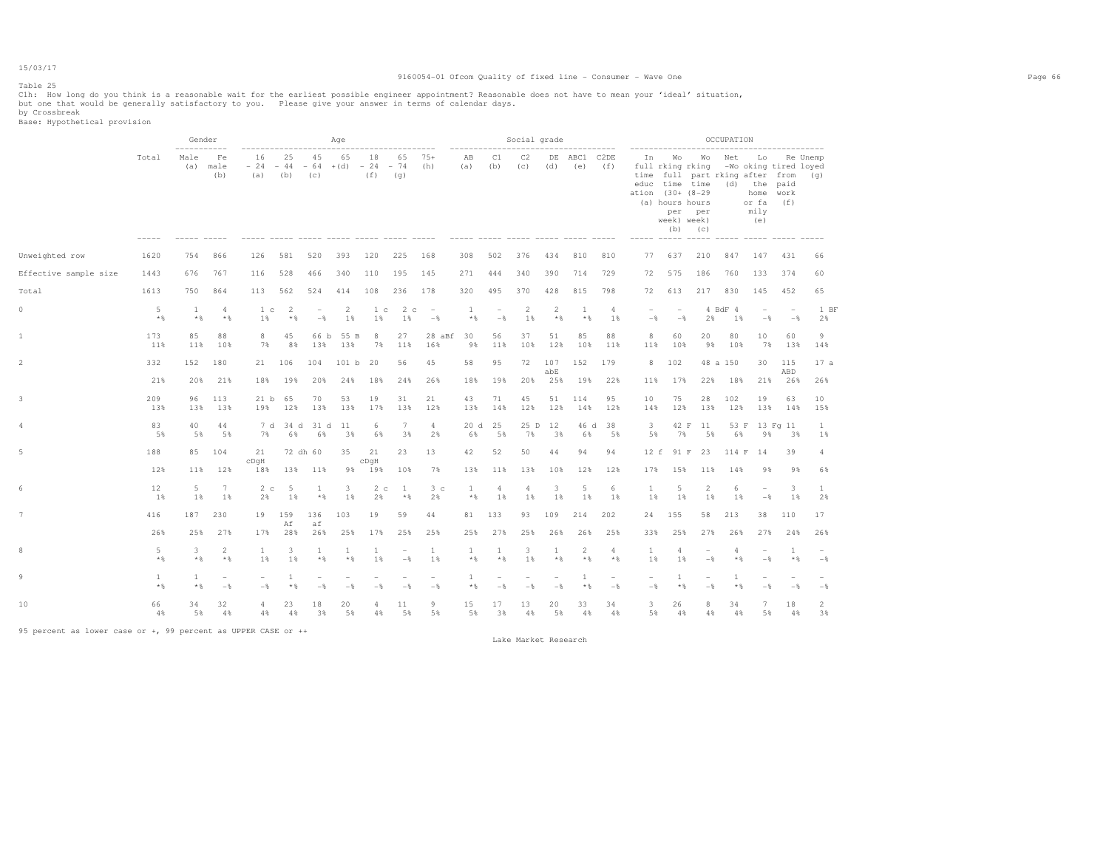#### Table 25

Clh: How long do you think is a reasonable wait for the earliest possible engineer appointment? Reasonable does not have to mean your 'ideal' situation,<br>but one that would be generally satisfactory to you. Please give yo

|                       |                       | ------------          | Gender                          |                                               |                     |                         | Age                   |                         |                                 |                                            |                          |                                            | Social grade                         |                                 |                                       |                                            |                                 |                                                                                                                       |                                            | OCCUPATION    |                                                                                                                                           |                                 |                      |
|-----------------------|-----------------------|-----------------------|---------------------------------|-----------------------------------------------|---------------------|-------------------------|-----------------------|-------------------------|---------------------------------|--------------------------------------------|--------------------------|--------------------------------------------|--------------------------------------|---------------------------------|---------------------------------------|--------------------------------------------|---------------------------------|-----------------------------------------------------------------------------------------------------------------------|--------------------------------------------|---------------|-------------------------------------------------------------------------------------------------------------------------------------------|---------------------------------|----------------------|
|                       | Total                 | Male<br>(a)           | Fe<br>male<br>(b)               | -----------------------<br>16<br>$-24$<br>(a) | 25<br>$-44$<br>(b)  | 45<br>$-64$ +(d)<br>(c) | 65                    | 18<br>$-24 - 74$<br>(f) | .<br>65<br>(g)                  | $75+$<br>(h)                               | -----------<br>AB<br>(a) | C1<br>(b)                                  | C2<br>(C)<br>----- ----- ----- ----- | (d)                             | --------------<br>DE ABC1 C2DE<br>(e) | (f)                                        | In                              | ------------------<br>Wo<br>full rking rking<br>educ time time<br>ation (30+ (8-29)<br>(a) hours hours<br>week) week) | per per<br>$(b)$ $(c)$                     | Wo Net        | ----------------------<br>Lo<br>-Wo oking tired loyed<br>time full part rking after from (q)<br>$(d)$ the<br>home<br>or fa<br>mily<br>(e) | paid<br>work<br>(f)             | Re Unemp             |
| Unweighted row        | 1620                  | 754                   | 866                             | 126                                           | 581                 | 520                     | 393                   | 120                     | 225                             | 168                                        | 308                      | 502                                        | 376                                  | 434                             | 810                                   | 810                                        | 77                              | 637                                                                                                                   | 210                                        | 847           | 147                                                                                                                                       | 431                             | 66                   |
| Effective sample size | 1443                  | 676                   | 767                             | 116                                           | 528                 | 466                     | 340                   | 110                     | 195                             | 145                                        | 271                      | 444                                        | 340                                  | 390                             | 714                                   | 729                                        | 72                              | 575                                                                                                                   | 186                                        | 760           | 133                                                                                                                                       | 374                             | 60                   |
| Total                 | 1613                  | 750                   | 864                             | 113                                           | 562                 | 524                     | 414                   | 108                     | 236                             | 178                                        | 320                      | 495                                        | 370                                  | 428                             | 815                                   | 798                                        | 72                              | 613                                                                                                                   | 217                                        | 830           | 145                                                                                                                                       | 452                             | 65                   |
| $\circ$               | 5<br>$*$              | $\mathbf{1}$<br>$*$ % | $\overline{4}$<br>$*$ %         | 1 <sub>c</sub><br>1%                          | -2<br>$*$ &         | $\sim$<br>$-$           | 2<br>1%               | 1 <sup>c</sup><br>1%    | 2c<br>1%                        | $\sim$<br>$-$                              | 1<br>$*$ %               | $\overline{\phantom{a}}$<br>$-\frac{6}{6}$ | $\overline{2}$<br>1%                 | $\overline{2}$<br>$*$           | $\mathbf{1}$<br>$\star$ $\,$          | $\overline{4}$<br>1%                       | $ \,$<br>$-$                    | $\sim$<br>$-$                                                                                                         | 2%                                         | 4 BdF 4<br>1% | $\overline{\phantom{a}}$<br>$-$                                                                                                           | $\sim$<br>$-$                   | 1 BF<br>2%           |
| 1                     | 173<br>11%            | 85<br>11%             | 88<br>10%                       | 8<br>7%                                       | 45<br>8%            | 66 b<br>13%             | 55 B<br>13%           | 8<br>7%                 | 27<br>11%                       | 28 aBf<br>16%                              | 30<br>9%                 | 56<br>11%                                  | 37<br>10%                            | 51<br>12%                       | 85<br>10%                             | 88<br>11%                                  | 8<br>11%                        | 60<br>10%                                                                                                             | 20<br>9%                                   | 80<br>10%     | 10 <sup>°</sup><br>7%                                                                                                                     | 60<br>13%                       | 9<br>14%             |
| 2                     | 332                   | 152                   | 180                             | 21                                            | 106                 | 104                     | 101 b                 | 20                      | 56                              | 45                                         | 58                       | 95                                         | 72                                   | 107<br>abE                      | 152                                   | 179                                        | 8                               | 102                                                                                                                   |                                            | 48 a 150      | 30                                                                                                                                        | 115<br>ABD                      | 17a                  |
|                       | 21%                   | 20%                   | 21%                             | 18%                                           | 19%                 | 20%                     | 24%                   | 18%                     | 24%                             | 26%                                        | 18%                      | 19%                                        | 20%                                  | 25%                             | 19%                                   | 22%                                        | 11%                             | 17%                                                                                                                   | 22%                                        | 18%           | 21%                                                                                                                                       | 26%                             | 26%                  |
| 3                     | 209<br>13%            | 96<br>13%             | 113<br>13%                      | 21 b 65<br>19%                                | 12%                 | 70<br>13%               | 53<br>13%             | 19<br>17%               | 31<br>13%                       | 21<br>12%                                  | 43<br>13%                | 71<br>14%                                  | 45<br>12%                            | 51<br>12%                       | 114<br>14%                            | 95<br>12%                                  | 10<br>14%                       | 75<br>12%                                                                                                             | 28<br>13%                                  | 102<br>12%    | 19<br>13%                                                                                                                                 | 63<br>14%                       | 10<br>15%            |
| 4                     | 83<br>5%              | 40<br>5%              | 44<br>5%                        | 7%                                            | 7 d 34 d 31 d<br>6% | 6%                      | 11<br>3%              | 6<br>6%                 | $7\phantom{.0}$<br>3%           | $\overline{4}$<br>2%                       | 20d<br>6%                | 25<br>5%                                   | 25 D<br>7%                           | 12<br>3%                        | 46 d<br>6%                            | 38<br>5%                                   | $\mathbf{3}$<br>5%              | 42 F<br>7%                                                                                                            | 11<br>5%                                   | 53 F<br>6%    | 9%                                                                                                                                        | 13 Fg 11<br>3%                  | $\mathbf{1}$<br>1%   |
| 5                     | 188                   |                       | 85 104                          | 21<br>$c$ DqH                                 | 72 dh 60            |                         | 35                    | 21<br>cDqH              | 23                              | 13                                         | 42                       | 52                                         | 50                                   | 44                              | 94                                    | 94                                         | 12 f                            | 91 F                                                                                                                  | 23                                         | 114 F         | 14                                                                                                                                        | 39                              | 4                    |
|                       | 12%                   | 11%                   | 12%                             | 18%                                           | 13%                 | 11%                     | 98                    | 19%                     | 10%                             | 7%                                         | 13%                      | 11%                                        | 13%                                  | 10%                             | 12%                                   | 12%                                        | 17%                             | 15%                                                                                                                   | 11%                                        | 14%           | 9%                                                                                                                                        | 9%                              | 6%                   |
| 6                     | 12<br>1%              | 5<br>1%               | 7<br>1%                         | 2c<br>2%                                      | - 5<br>1%           | <sup>1</sup><br>$*$     | 3<br>1%               | 2 <sub>c</sub><br>2%    | $\mathbf{1}$<br>$*$ %           | 3 <sub>c</sub><br>2%                       | -1<br>$*$ %              | $\overline{4}$<br>1%                       | 4<br>1%                              | 3<br>1%                         | 5<br>1%                               | 6<br>1%                                    | $\mathbf{1}$<br>1%              | 5<br>1%                                                                                                               | $\overline{2}$<br>1%                       | 6<br>1%       | $\overline{\phantom{a}}$<br>$-$                                                                                                           | 3<br>1%                         | 1<br>2%              |
| 7                     | 416                   | 187                   | 230                             | 19                                            | 159<br>Αf           | 136<br>af               | 103                   | 19                      | 59                              | 44                                         | 81                       | 133                                        | 93                                   | 109                             | 214                                   | 202                                        | 24                              | 155                                                                                                                   | 58                                         | 213           | 38                                                                                                                                        | 110                             | 17                   |
|                       | 26%                   | 25%                   | 27%                             | 17%                                           | 28%                 | 26%                     | 25%                   | 17%                     | 25%                             | 25%                                        | 25%                      | 27%                                        | 25%                                  | 26%                             | 26%                                   | 25%                                        | 33%                             | 25%                                                                                                                   | 27%                                        | 26%           | 27%                                                                                                                                       | 24%                             | 26%                  |
| 8                     | 5<br>$*$ &            | 3<br>$*$ &            | 2<br>$*$                        | 1<br>1%                                       | 3<br>1%             | <sup>1</sup><br>$*$ &   | <sup>1</sup><br>$*$ % | 1<br>1%                 | $\overline{\phantom{a}}$<br>$-$ | 1<br>1%                                    | 1<br>$*$ %               | 1<br>$*$ %                                 | 3<br>1%                              | <b>1</b><br>$*$                 | 2<br>$*$                              | $\overline{4}$<br>$*$                      | $\mathbf{1}$<br>1%              | 4<br>1%                                                                                                               | $\overline{\phantom{a}}$<br>$-\frac{6}{5}$ | 4<br>$*$      | $-$                                                                                                                                       | -1<br>$*$                       | $-\frac{6}{5}$       |
| 9                     | <sup>1</sup><br>$*$ % | $\mathbf{1}$<br>$*$ % | $\overline{\phantom{a}}$<br>$-$ | $\overline{\phantom{0}}$<br>$-\frac{6}{5}$    | 1<br>$*$ %          | ۰<br>$-$                | $-$                   | $-$                     | $\overline{\phantom{a}}$<br>$-$ | $\overline{\phantom{a}}$<br>$-\frac{6}{5}$ | $\mathbf{1}$<br>$*$ %    | $\overline{\phantom{a}}$<br>$-$            | $\overline{\phantom{a}}$<br>$-$      | $\overline{\phantom{a}}$<br>$-$ | 1<br>$*$ %                            | $\overline{\phantom{a}}$<br>$-\frac{6}{6}$ | $\overline{\phantom{a}}$<br>$-$ | 1<br>$*$ %                                                                                                            | $\overline{\phantom{a}}$<br>$-$            | 1<br>$*$ %    | $\overline{\phantom{0}}$<br>$-$                                                                                                           | $\overline{\phantom{a}}$<br>$-$ | $-$                  |
| 10                    | 66<br>4%              | 34<br>5%              | 32<br>$4\%$                     | 4<br>4%                                       | 23<br>4%            | 18<br>3%                | 20<br>5%              | 4<br>4%                 | 11<br>5%                        | 9<br>5%                                    | 15<br>5%                 | 17<br>3%                                   | 13<br>4%                             | 20<br>5%                        | 33<br>4%                              | 34<br>4%                                   | 3<br>5%                         | 26<br>4%                                                                                                              | 8<br>4%                                    | 34<br>4%      | 7<br>5%                                                                                                                                   | 18<br>4%                        | $\overline{2}$<br>3% |

95 percent as lower case or +, 99 percent as UPPER CASE or ++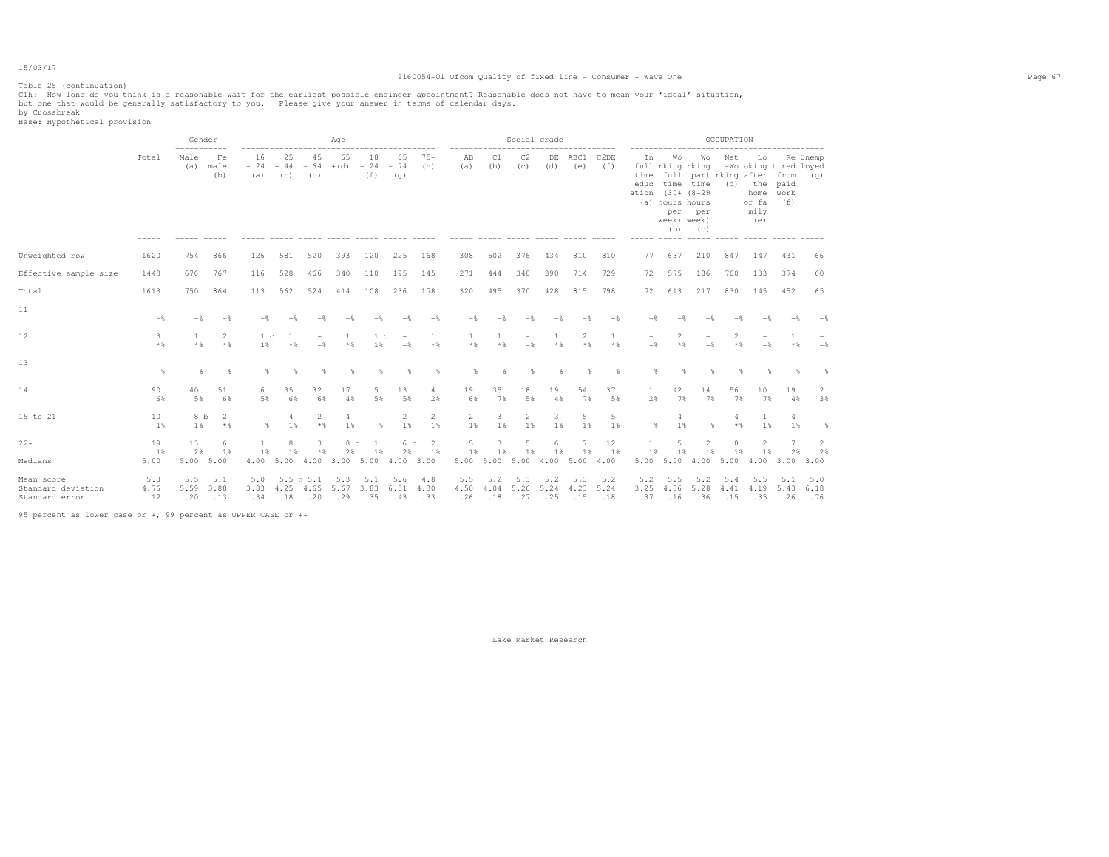### Table 25 (continuation)

#### 9160054-01 Ofcom Quality of fixed line - Consumer - Wave One Page 67

Clh: How long do you think is a reasonable wait for the earliest possible engineer appointment? Reasonable does not have to mean your 'ideal' situation,<br>but one that would be generally satisfactory to you. Please give y

by Crossbreak<br>Base: Hypothetical provision

|                                                    |                                            | Gender<br>----------- |                    |                                            |                          |                                            | Age                               |                                            |                                            |                      |                          |                    |                                            | Social grade       |                    | ---------                |                                      | ------------------                                                  |                                                                                                                   | OCCUPATION     | -------------------                                                                         |                    |                    |
|----------------------------------------------------|--------------------------------------------|-----------------------|--------------------|--------------------------------------------|--------------------------|--------------------------------------------|-----------------------------------|--------------------------------------------|--------------------------------------------|----------------------|--------------------------|--------------------|--------------------------------------------|--------------------|--------------------|--------------------------|--------------------------------------|---------------------------------------------------------------------|-------------------------------------------------------------------------------------------------------------------|----------------|---------------------------------------------------------------------------------------------|--------------------|--------------------|
|                                                    | Total<br>$- - - - - -$                     | Male<br>(a)           | Fe<br>male<br>(b)  | 16<br>$-24 -44$<br>(a)                     | 25<br>(b)                | 45<br>(c)                                  | 65<br>$-64$ + (d) $-24$ - 74      | 18<br>(f)                                  | ---------------<br>65<br>(q)               | $75+$<br>(h)         | -----------<br>AB<br>(a) | C1<br>(b)          | C2<br>(c)                                  | (d)                | DE ABC1<br>(e)     | C <sub>2</sub> DE<br>(f) | In<br>time<br>educ<br>ation<br>----- | Wo<br>(a) hours hours<br>per<br>week) week)<br>(b)<br>$- - - - - -$ | Wo<br>full rking rking<br>full part rking after from<br>time time<br>$(30 + (8 - 29$<br>per<br>(C)<br>$- - - - -$ | Net<br>(d)     | Lo<br>-Wo oking tired loyed<br>the paid<br>home work<br>or fa<br>mily<br>(e)<br>$- - - - -$ | (f)                | Re Unemp<br>(q)    |
| Unweighted row                                     | 1620                                       | 754                   | 866                | 126                                        | 581                      | 520                                        | 393                               | 120                                        | 225                                        | 168                  | 308                      | 502                | 376                                        | 434                | 810                | 810                      | 77                                   | 637                                                                 | 210                                                                                                               | 847            | 147                                                                                         | 431                | 66                 |
| Effective sample size                              | 1443                                       | 676                   | 767                | 116                                        | 528                      | 466                                        | 340                               | 110                                        | 195                                        | 145                  | 271                      | 444                | 340                                        | 390                | 714                | 729                      | 72                                   | 575                                                                 | 186                                                                                                               | 760            | 133                                                                                         | 374                | 60                 |
| Total                                              | 1613                                       | 750                   | 864                | 113                                        | 562                      | 524                                        | 414                               | 108                                        | 236                                        | 178                  | 320                      | 495                | 370                                        | 428                | 815                | 798                      | 72                                   | 613                                                                 | 217                                                                                                               | 830            | 145                                                                                         | 452                | 65                 |
| 11                                                 | $\overline{\phantom{a}}$<br>$-\frac{6}{5}$ | $-$                   | $-\frac{6}{5}$     | $-$                                        | $-\frac{6}{25}$          |                                            | $-\frac{6}{2}$                    |                                            |                                            | $-\frac{6}{5}$       | $-$                      | $-$                | $-\frac{6}{25}$                            | $-\frac{6}{2}$     |                    | $-\frac{6}{5}$           | $-$                                  | $-$                                                                 | $-$                                                                                                               |                |                                                                                             | $-\frac{6}{5}$     | $-\frac{6}{5}$     |
| 12                                                 | 3<br>$*$ &                                 | $\mathbf{1}$<br>$*$ & | 2<br>$*$ &         | 1 <sub>c</sub><br>1%                       | -1<br>$*$ %              | $\overline{\phantom{a}}$<br>$-\frac{6}{5}$ | 1<br>$*$                          | 1 <sup>c</sup><br>1%                       | $\overline{\phantom{a}}$<br>$-\frac{6}{5}$ | -1<br>$*$ &          | 1<br>$\star$ $\S$        | $*$ %              | $\overline{\phantom{a}}$<br>$-\frac{6}{5}$ | 1<br>$*$           | 2<br>$\star$ &     | 1<br>$*$ &               | $\overline{\phantom{a}}$<br>$-$      | 2<br>$*$ &                                                          | $\overline{\phantom{0}}$<br>$-$                                                                                   | 2<br>$*$ &     | $\overline{\phantom{a}}$<br>$-$                                                             | 1<br>$*$           | $-$                |
| 13                                                 | $-$                                        | $-$                   | $-$ 8              | $-\frac{6}{5}$                             | $-$                      | $-$                                        | $-$                               | $-$                                        | $-\frac{6}{5}$                             | $-$                  | $-$                      | $-\frac{6}{5}$     | $-\frac{6}{5}$                             | $-$                | $-$                | $-\frac{6}{5}$           | $-$                                  | $-$                                                                 | $-\frac{6}{25}$                                                                                                   | $-\frac{6}{2}$ | $-$                                                                                         | $-$                | $-\frac{6}{5}$     |
| 14                                                 | 90<br>6%                                   | 40<br>5%              | 51<br>6%           | 6<br>5%                                    | 35<br>6%                 | 32<br>6%                                   | 17<br>4%                          | 5<br>5%                                    | 13<br>5%                                   | 4<br>2%              | 19<br>6%                 | 35<br>7%           | 18<br>5%                                   | 19<br>4%           | 54<br>7%           | 37<br>5%                 | $\mathbf{1}$<br>2%                   | 42<br>7%                                                            | 14<br>7%                                                                                                          | 56<br>7%       | 10<br>7%                                                                                    | 19<br>4%           | 2<br>3%            |
| 15 to 21                                           | 10<br>1%                                   | 8 b<br>1%             | -2<br>$*$ %        | $\overline{\phantom{a}}$<br>$-\frac{6}{6}$ | 4<br>1%                  | 2<br>$*$ %                                 | 4<br>1%                           | $\overline{\phantom{m}}$<br>$-\frac{6}{5}$ | 2<br>1%                                    | $\overline{2}$<br>1% | $\overline{2}$<br>1%     | 3.<br>1%           | $\overline{2}$<br>1%                       | 3<br>1%            | 5<br>1%            | 5<br>1%                  | $\overline{a}$<br>$-$                | $\overline{4}$<br>1%                                                | $-\frac{6}{5}$                                                                                                    | 4<br>$*$ %     | $\mathbf{1}$<br>1%                                                                          | 4<br>1%            | $-$ 8              |
| $22+$                                              | 19<br>1%                                   | 13<br>2%              | 6<br>1%            | -1<br>1%                                   | 8<br>1%                  | 3<br>$*$                                   | 8 с<br>2%                         | <sup>1</sup><br>1%                         | 6 с<br>2%                                  | -2<br>1%             | 5<br>1%                  | 1%                 | 5<br>1%                                    | 6<br>1%            | 1%                 | 12<br>1%                 | 1%                                   | 1%                                                                  | $\overline{c}$<br>1%                                                                                              | 8<br>1%        | $\overline{2}$<br>1%                                                                        | 2%                 | 2                  |
| Medians                                            | 5.00                                       | 5.00                  | 5.00               | 4.00                                       | 5.004.00                 |                                            | 3.00 5.00 4.00 3.00               |                                            |                                            |                      | 5.00 5.00 5.00           |                    |                                            |                    | 4.00 5.00 4.00     |                          |                                      | 5.00 5.00                                                           | 4.00                                                                                                              | 5.00           | 4.00                                                                                        | 3.00               | 2%<br>3.00         |
| Mean score<br>Standard deviation<br>Standard error | 5.3<br>4.76<br>.12                         | 5.5<br>5.59<br>.20    | 5.1<br>3.88<br>.13 | 5.0<br>3.83<br>.34                         | 5.5 h 5.1<br>4.25<br>.18 | 4.65<br>.20                                | 5.3<br>5.67 3.83 6.51 4.30<br>.29 | 5.1<br>.35                                 | 5.6<br>.43                                 | 4.8<br>.33           | 5.5<br>4.50<br>.26       | 5.2<br>4.04<br>.18 | 5.3<br>5.26<br>.27                         | 5.2<br>5.24<br>.25 | 5.3<br>4.23<br>.15 | 5.2<br>5.24<br>.18       | 5.2<br>3.25<br>.37                   | 5.5<br>4.06<br>.16                                                  | 5.2<br>5.28<br>.36                                                                                                | 5.4<br>.15     | 5.5<br>4.41 4.19<br>.35                                                                     | 5.1<br>5.43<br>.26 | 5.0<br>6.18<br>.76 |

95 percent as lower case or +, 99 percent as UPPER CASE or ++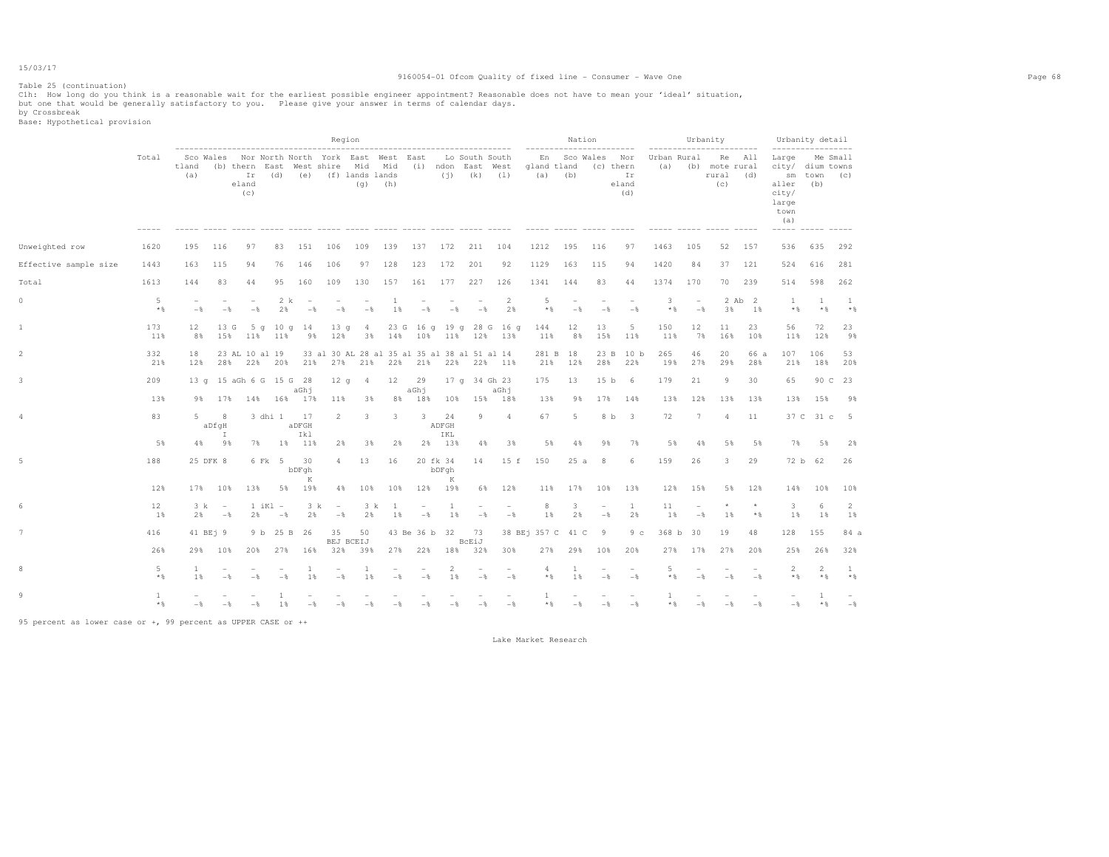#### Table 25 (continuation)

#### 9160054-01 Ofcom Quality of fixed line - Consumer - Wave One Page 68

Clh: How long do you think is a reasonable wait for the earliest possible engineer appointment? Reasonable does not have to mean your 'ideal' situation,<br>but one that would be generally satisfactory to you. Please give y

by Crossbreak<br>Base: Hypothetical provision

|                       |                       |                                 |                                 |                                                                                                    |                        |                                            |                                              | Region                          | ------------------------------------           |                                   |                         |                                   |                                                 |                              |                                                      | Nation                            |                                            |                    |                                            | Urbanity<br>------------------------         |                | Urbanity detail<br>------------------                                                       |                    |                         |
|-----------------------|-----------------------|---------------------------------|---------------------------------|----------------------------------------------------------------------------------------------------|------------------------|--------------------------------------------|----------------------------------------------|---------------------------------|------------------------------------------------|-----------------------------------|-------------------------|-----------------------------------|-------------------------------------------------|------------------------------|------------------------------------------------------|-----------------------------------|--------------------------------------------|--------------------|--------------------------------------------|----------------------------------------------|----------------|---------------------------------------------------------------------------------------------|--------------------|-------------------------|
|                       | Total                 | tland<br>(a)                    |                                 | Sco Wales Nor North North York East West East<br>(b) thern East West shire Mid Mid<br>eland<br>(c) | $Ir$ (d)               |                                            | (e) (f) lands lands                          |                                 | $(q)$ (h)<br>----- ----- ----- ---- ----- ---- |                                   |                         | $(j)$ $(k)$ $(1)$                 | Lo South South<br>(i) ndon East West            | gland tland<br>$\frac{1}{2}$ | -----------------------<br>En Sco Wales<br>$(a)$ (b) | (c) thern                         | Nor<br>Ir<br>eland<br>(d)<br>$\frac{1}{2}$ | Urban Rural<br>(a) |                                            | Re All<br>(b) mote rural<br>rural (d)<br>(C) |                | Large Me Small<br>city/ dium towns<br>aller<br>city/<br>large<br>town<br>(a)<br>$- - - - -$ | sm town (c)<br>(b) |                         |
| Unweighted row        | 1620                  | 195                             | 116                             | 97                                                                                                 | 83                     | 151                                        | 106                                          | 109                             | 139                                            | 137                               | 172                     | 211                               | 104                                             | 1212                         | 195                                                  | 116                               | 97                                         | 1463               | 105                                        | 52                                           | 157            | 536                                                                                         | 635                | 292                     |
| Effective sample size | 1443                  | 163                             | 115                             | 94                                                                                                 | 76                     | 146                                        | 106                                          | 97                              | 128                                            | 123                               | 172                     | 201                               | 92                                              | 1129                         | 163                                                  | 115                               | 94                                         | 1420               | 84                                         | 37                                           | 121            | 524                                                                                         | 616                | 281                     |
| Total                 | 1613                  | 144                             | 83                              | 44                                                                                                 | 95                     | 160                                        | 109                                          | 130                             | 157                                            | 161                               | 177                     | 227                               | 126                                             | 1341                         | 144                                                  | 83                                | 44                                         | 1374               | 170                                        | 70                                           | 239            | 514                                                                                         | 598                | 262                     |
| 0                     | 5<br>$*$ &            | $\overline{\phantom{0}}$<br>$-$ | $\overline{\phantom{m}}$<br>$-$ | $\overline{\phantom{m}}$<br>$-$                                                                    | 2 k<br>2%              | $\overline{\phantom{a}}$<br>$-\frac{6}{6}$ | $\overline{\phantom{a}}$<br>$-$              | $\overline{\phantom{a}}$<br>$-$ | -1<br>1%                                       | $\overline{\phantom{a}}$<br>$-$   | $-$                     | $\overline{\phantom{a}}$<br>$-$   | $\overline{2}$<br>2%                            | 5<br>$*$ &                   | $\overline{\phantom{a}}$<br>$-$                      | $\overline{\phantom{a}}$<br>$-$   | $-$                                        | 3<br>$*$ &         | $\overline{\phantom{a}}$<br>$-\frac{6}{6}$ | 3%                                           | 2 Ab 2<br>1%   | $\mathbf{1}$<br>$\star$ &                                                                   | -1<br>$*$          | -1<br>$*$ %             |
|                       | 173<br>11%            | $12 \overline{ }$<br>8%         | 15%                             | 13 G                                                                                               | 5 a 10 a 14<br>11% 11% | 9%                                         | 13q<br>12%                                   | $\frac{4}{3}$<br>3%             |                                                |                                   |                         |                                   | 23 G 16 g 19 g 28 G 16 g<br>14% 10% 11% 12% 13% | 144<br>11%                   | 12<br>8%                                             | 13<br>15%                         | 5<br>11%                                   | 150<br>11%         | 12<br>7%                                   | 11<br>16%                                    | 23<br>10%      | 56<br>11%                                                                                   | 72<br>12%          | 23<br>9%                |
| 2                     | 332<br>21%            | 18<br>12%                       |                                 | 23 AL 10 al 19<br>28% 22% 20%                                                                      |                        | 21%                                        | 33 al 30 AL 28 al 35 al 35 al 38 al 51 al 14 |                                 |                                                |                                   |                         |                                   | 27% 21% 22% 21% 22% 22% 11%                     | 21%                          | 281 B 18<br>12%                                      | 28%                               | 23 B 10 b<br>22%                           | 265<br>19%         | 46<br>27%                                  | 20<br>29%                                    | 66 a<br>28%    | 107<br>21%                                                                                  | 106<br>18%         | 53<br>20%               |
| 3                     | 209                   |                                 |                                 | 13 q 15 aGh 6 G 15 G 28                                                                            |                        | aGhi                                       | 12q                                          | 4                               | 12                                             | 29<br>aGhj                        |                         |                                   | 17 q 34 Gh 23<br>aGhj                           | 175                          | 13                                                   | 15 <sub>b</sub>                   | - 6                                        | 179                | 21                                         | 9                                            | 30             | 65                                                                                          | 90 C               | -23                     |
|                       | 13%                   | 9%                              | 17%                             | 14%                                                                                                | 16%                    | 17%                                        | 11%                                          | 3%                              | 8%                                             | 18%                               | 10%                     | 15%                               | 18%                                             | 13%                          | 98                                                   | 17%                               | 14%                                        | 13%                | 12%                                        | 13%                                          | 13%            | 13%                                                                                         | 15%                | 98                      |
|                       | 83                    | 5                               | 8<br>aDfgH<br>$\mathbb{I}$      |                                                                                                    | 3 dhi 1                | 17<br>aDFGH<br>Ikl                         | 2                                            | 3                               | 3                                              | 3                                 | 24<br>ADFGH<br>IKL      | 9                                 | $\overline{a}$                                  | 67                           | 5                                                    |                                   | 8 b 3                                      | 72                 | $7\phantom{.0}$                            | 4                                            | 11             |                                                                                             | 37 C 31 c          | $-5$                    |
|                       | 5%                    | $4\%$                           | 9%                              | 7%                                                                                                 |                        | 1% 11%                                     | 2%                                           | 3%                              | 2%                                             |                                   | 2% 13%                  | 4%                                | 3%                                              | 5%                           | 4%                                                   | 9%                                | 7%                                         | 5%                 | 4%                                         | 5%                                           | 5%             | 7%                                                                                          | 5%                 | 2%                      |
|                       | 188                   |                                 | 25 DFK 8                        |                                                                                                    | 6 Fk 5                 | 30<br>bDFqh<br>K                           | $\overline{4}$                               | 13                              | 16                                             |                                   | 20 fk 34<br>bDFqh<br>K  | 14                                | 15 f                                            | 150                          | 25a                                                  | 8                                 | 6                                          | 159                | 26                                         | 3                                            | 29             |                                                                                             | 72 b 62            | 26                      |
|                       | 12%                   |                                 | 17% 10%                         | 13%                                                                                                |                        | 5% 19%                                     | 4%                                           | 10%                             | 10%                                            |                                   | 12% 19%                 | 6%                                | 12%                                             | 11%                          | 17%                                                  | 10%                               | 13%                                        | 12%                | 15%                                        | 5%                                           | 12%            | 14%                                                                                         | 10%                | 10%                     |
|                       | 12<br>1%              | 3 k<br>2%                       | $\sim$<br>$-\frac{6}{5}$        | 2%                                                                                                 | $1$ iKl $-$<br>$-$ 8   | 3 k<br>2%                                  | $\hspace{0.1mm}-\hspace{0.1mm}$<br>$-$       | 3 k<br>2%                       | -1<br>1%                                       | $\overline{\phantom{a}}$<br>$-$ % | 1<br>1%                 | $\overline{\phantom{a}}$<br>$-$ 8 | $\overline{\phantom{a}}$<br>$-\frac{6}{6}$      | 8<br>1%                      | 3<br>2%                                              | $\overline{\phantom{a}}$<br>$-$ % | $\mathbf{1}$<br>2%                         | 11<br>1%           | $\overline{\phantom{0}}$<br>$-\frac{6}{6}$ | $1\%$                                        | $\star$<br>$*$ | 3<br>$1\%$                                                                                  | -6<br>1%           | $\overline{2}$<br>$1\%$ |
|                       | 416                   |                                 | 41 BE <sub>1</sub> 9            |                                                                                                    | 9 b 25 B 26            |                                            | 35                                           | 50<br>BEJ BCEIJ                 |                                                |                                   | 43 Be 36 b 32           | -73<br>BcEiJ                      |                                                 | 38 BEj 357 C 41 C            |                                                      | - 9                               | 9 <sub>c</sub>                             | 368 b              | 30                                         | 19                                           | 48             | 128                                                                                         | 155                | 84 a                    |
|                       | 26%                   | 29%                             | 10%                             | 20%                                                                                                | 27%                    | 16%                                        | 32%                                          | 39%                             | 27%                                            | 22%                               | 18%                     | 32%                               | 30%                                             | 27%                          | 29%                                                  | 10%                               | 20%                                        | 27%                | 17%                                        | 27%                                          | 20%            | 25%                                                                                         | 26%                | 32%                     |
|                       | 5<br>$*$              | <sup>1</sup><br>1               | $-$                             | $-$                                                                                                | $-$                    | 1<br>1%                                    | $-\frac{6}{5}$                               | -1<br>1%                        | $-\frac{6}{5}$                                 | $-\frac{6}{5}$                    | $\overline{2}$<br>$1\%$ | $-\frac{6}{5}$                    | $\sim$<br>$-\frac{6}{6}$                        | 4<br>$*$                     | 1<br>1%                                              | $-$                               | $\sim$<br>$-$                              | 5<br>$*$ %         | $-$                                        | $-$                                          | $-\frac{6}{5}$ | 2<br>$*$ &                                                                                  | 2<br>$*$ &         | 1<br>$*$ %              |
|                       | $\mathbf{1}$<br>$*$ & | $-$                             | $-$                             | $-$                                                                                                | -1.<br>1 %             | $-$                                        | $-$                                          | $-$                             | $-$                                            | $-$                               | $-$                     | $-$                               | $-$                                             | 1<br>$*$ &                   | $-$                                                  | $-\frac{6}{5}$                    | $-$                                        | 1<br>$*$ &         | $-$                                        | $-$                                          | $-$            | $-\frac{6}{5}$                                                                              | 1<br>$\star$ &     | $-\frac{6}{6}$          |

95 percent as lower case or +, 99 percent as UPPER CASE or ++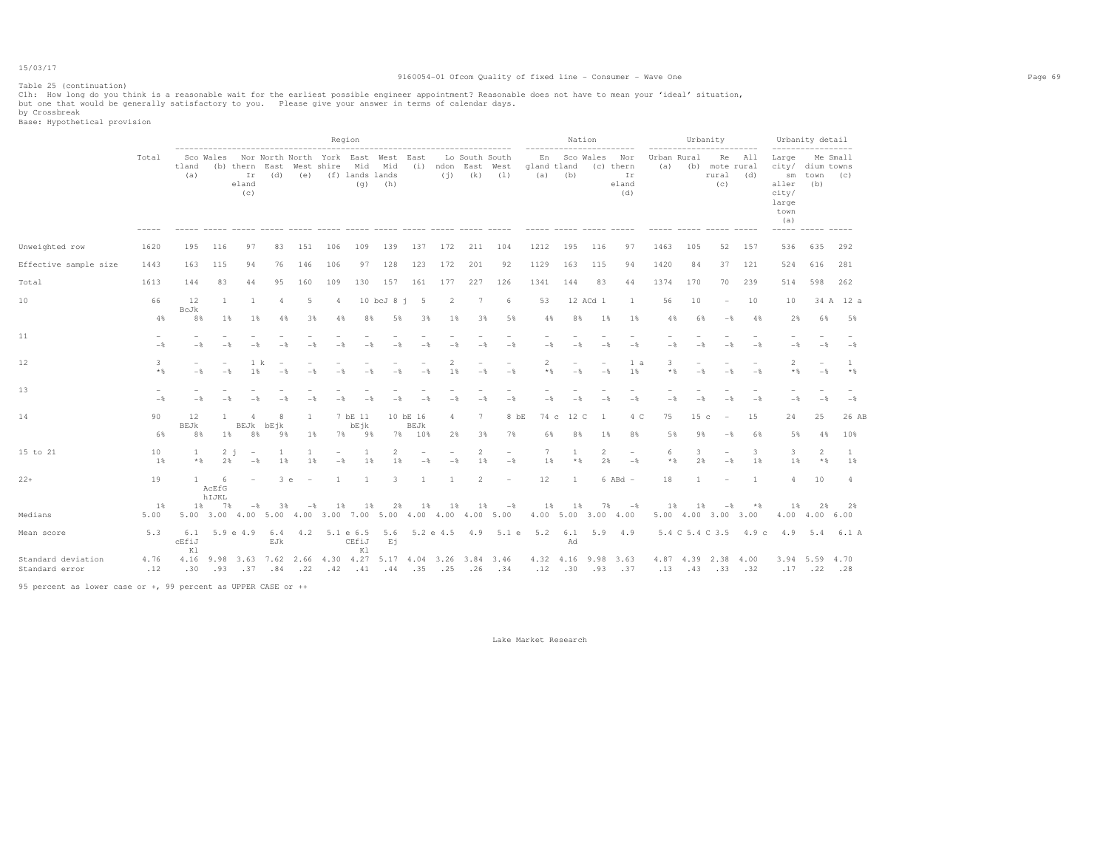### Table 25 (continuation)

#### 9160054-01 Ofcom Quality of fixed line - Consumer - Wave One Page 69

Clh: How long do you think is a reasonable wait for the earliest possible engineer appointment? Reasonable does not have to mean your 'ideal' situation,<br>but one that would be generally satisfactory to you. Please give y

by Crossbreak<br>Base: Hypothetical provision

|                                      |                |                                            |                       |                                                              |                      |                         |                                                                                                            | Region                   |                         |                            |              | -----------------------------------                               |                                            |                   |                       | Nation<br>------------------------ |                                                |                | ------------------------                       | Urbanity                        |                       |                                                                                    | Urbanity detail                                      |                |
|--------------------------------------|----------------|--------------------------------------------|-----------------------|--------------------------------------------------------------|----------------------|-------------------------|------------------------------------------------------------------------------------------------------------|--------------------------|-------------------------|----------------------------|--------------|-------------------------------------------------------------------|--------------------------------------------|-------------------|-----------------------|------------------------------------|------------------------------------------------|----------------|------------------------------------------------|---------------------------------|-----------------------|------------------------------------------------------------------------------------|------------------------------------------------------|----------------|
|                                      | Total          | tland<br>(a)                               |                       | --------------------------------------<br>Ir<br>eland<br>(C) | (d)                  |                         | Sco Wales Nor North North York East West East<br>(b) thern East West shire<br>(e) (f) lands lands          | (q)                      | (h)                     |                            |              | Lo South South<br>Mid Mid (i) ndon East West<br>$(i)$ $(k)$ $(1)$ |                                            | En<br>gland tland | $(a)$ $(b)$           | Sco Wales                          | Nor<br>(c) thern<br>Ir<br>eland<br>(d)         |                | Urban Rural<br>(a) (b) mote rural              | rural (d)<br>(C)                | Re All                | Large<br>city/ dium towns<br>aller<br>city/<br>large<br>town<br>(a)<br>$- - - - -$ | ------------------<br>Me Small<br>sm town (c)<br>(b) |                |
| Unweighted row                       | 1620           | 195                                        | 116                   | 97                                                           | 83                   | 151                     | 106                                                                                                        | 109                      | 139                     | 137                        | 172          | 211                                                               | 104                                        | 1212              | 195                   | 116                                | 97                                             | 1463           | 105                                            | 52                              | 157                   | 536                                                                                | 635                                                  | 292            |
| Effective sample size                | 1443           | 163                                        | 115                   | 94                                                           | 76                   | 146                     | 106                                                                                                        | 97                       | 128                     | 123                        | 172          | 201                                                               | 92                                         | 1129              | 163                   | 115                                | 94                                             | 1420           | 84                                             | 37                              | 121                   | 524                                                                                | 616                                                  | 281            |
| Total                                | 1613           | 144                                        | 83                    | 44                                                           | 9.5                  | 160                     | 109                                                                                                        | 130                      | 157                     | 161                        | 177          | 227                                                               | 126                                        | 1341              | 144                   | 83                                 | 44                                             | 1374           | 170                                            | 70                              | 239                   | 514                                                                                | 598                                                  | 262            |
| 10                                   | 66             | 12<br>BcJk                                 | 1                     | 1                                                            | $\overline{4}$       | 5                       | $\overline{4}$                                                                                             |                          | $10$ bcJ $8$ j          | 5                          | 2            | $7\phantom{.0}$                                                   | 6                                          | 53                |                       | 12 ACd 1                           | -1                                             | 56             | 10                                             | $\overline{a}$                  | 10                    | 10                                                                                 |                                                      | 34 A 12 a      |
|                                      | 4%             | 8%                                         | 1%                    | 18                                                           | 4%                   | 38                      | 4%                                                                                                         | 8%                       | 5%                      | 38                         | 18           | 38                                                                | 5%                                         | 4%                | 8%                    | $1\%$                              | $1\%$                                          | 4%             | 6%                                             | $-$                             | 4%                    | 2%                                                                                 | 6%                                                   | 5%             |
| 11                                   | $-\frac{6}{5}$ | $-$                                        | $-$                   | $-$                                                          | $-$                  | $-$                     | $-$                                                                                                        | $-$                      | $-$                     | $-$                        | $-$          | $-\frac{6}{5}$                                                    | $-\frac{6}{5}$                             | $-\frac{6}{3}$    | $-$                   | $-\frac{6}{5}$                     | $-$                                            | $-\frac{6}{5}$ | $-\frac{6}{2}$                                 | $-$                             | $-$                   | $-\frac{6}{5}$                                                                     | $-\frac{6}{5}$                                       | $-$ %          |
| 12                                   | 3<br>$*$ &     | $\overline{\phantom{a}}$<br>$-\frac{6}{5}$ | ۰<br>$-$              | 1 k<br>1%                                                    |                      |                         | $-\frac{6}{2}$                                                                                             | $-\frac{6}{3}$           | $-$                     | $-$                        | 2<br>1%      | ÷,<br>$-\frac{6}{5}$                                              | $\overline{\phantom{0}}$<br>$-\frac{6}{5}$ | 2<br>$*$          | $\sim$<br>$-$         | $\overline{\phantom{a}}$<br>$-$    | 1 a<br>1%                                      | 3<br>$*$       | $-$                                            | $\overline{\phantom{a}}$<br>$-$ | $-$                   | $\overline{2}$<br>$\star$ &                                                        | $\overline{\phantom{0}}$<br>$-\frac{6}{5}$           | 1<br>$*$       |
| 13                                   | $-$            | $-$                                        | $-$                   | $-$                                                          | $-8$                 | $-$                     | $-$                                                                                                        | $-$                      | $-$                     | $-$                        | $-$          | $-$                                                               | $-\frac{6}{6}$                             | $-$               | $-$                   | $-$                                | $-\frac{6}{6}$                                 | $-$            | $-$                                            |                                 | $-$                   | $-\frac{6}{5}$                                                                     | $-\frac{6}{5}$                                       | $-\frac{6}{6}$ |
| 14                                   | 90<br>6%       | 12<br>BEJk<br>8%                           | $\mathbf{1}$<br>$1\%$ | 8%                                                           | R<br>BEJk bEjk<br>9% | $\overline{1}$<br>$1\%$ |                                                                                                            | 7 bE 11<br>bEjk<br>7% 9% |                         | 10 bE 16<br>BEJk<br>7% 10% | 4<br>2%      | $\tau$<br>3%                                                      | 8 bE<br>7%                                 | 6%                | 74 c 12 C<br>8%       | -1<br>$1\%$                        | 4 C<br>8%                                      | 75<br>5%       | 15 <sub>c</sub><br>9%                          | $\overline{\phantom{a}}$<br>$-$ | 15<br>6%              | 24<br>5%                                                                           | 25<br>4%                                             | 26 AB<br>10%   |
| 15 to 21                             | 10<br>1%       | 1<br>$*$ &                                 | 2%                    | 2 i<br>$\overline{\phantom{a}}$<br>$-$                       | 1<br>1%              | -1<br>1 %               | $-$                                                                                                        | 1<br>1%                  | $\mathbf{2}$<br>1 %     | $-$                        | $-$          | $\overline{2}$<br>1%                                              | $\overline{\phantom{0}}$<br>$-$            | 7<br>1%           | $\mathbf{1}$<br>$*$ & | $\mathbf{2}$<br>2.8                | $\overline{\phantom{a}}$<br>$-$                | 6<br>$*$ %     | 3<br>2%                                        | $-$                             | 3<br>1%               | $\overline{\mathbf{3}}$<br>1 %                                                     | 2<br>$*$ &                                           | 1<br>1 %       |
| $22+$                                | 19             | $\mathbf{1}$                               | -6<br>AcEfG<br>hIJKL  | $\overline{\phantom{a}}$                                     | 3e                   | $\sim$                  | <sup>1</sup>                                                                                               | 1                        | $\overline{\mathbf{3}}$ | <sup>1</sup>               | <sup>1</sup> | $\overline{2}$                                                    | $\overline{\phantom{a}}$                   | 12                | <sup>1</sup>          |                                    | $6$ ABd $-$                                    | 18             | 1                                              | $\overline{\phantom{a}}$        | <sup>1</sup>          | $\overline{4}$                                                                     | 10                                                   | $\Delta$       |
| Medians                              | $1\%$<br>5.00  |                                            | 1% 7%                 | $-$                                                          | 3%                   | $-$ %                   | 1%<br>5.00 3.00 4.00 5.00 4.00 3.00 7.00 5.00 4.00 4.00 4.00 5.00                                          | 1%                       | 2%                      |                            | 1% 1%        | 1%                                                                | $ \frac{6}{3}$                             |                   | 1% 1%                 | 7%                                 | $-$ 8<br>4.00 5.00 3.00 4.00                   |                | 1% 1%<br>5.00 4.00 3.00 3.00                   | $-$ 8                           | $\star$ &             | $1\%$                                                                              | 2%<br>4.00 4.00 6.00                                 | 2%             |
| Mean score                           | 5.3            | 6.1<br>cEfiJ<br>K1                         |                       | $5.9 \text{ e } 4.9$                                         | EJk                  |                         |                                                                                                            | CEfiJ<br>K1              | Ei                      |                            |              |                                                                   | 6.4 4.2 5.1 e 6.5 5.6 5.2 e 4.5 4.9 5.1 e  | 5.2               | 6.1<br>Ad             | 5.9                                | 4.9                                            |                |                                                |                                 | 5.4 C 5.4 C 3.5 4.9 c | 4.9                                                                                |                                                      | 5.4 6.1 A      |
| Standard deviation<br>Standard error | 4.76<br>.12    | .30                                        |                       |                                                              |                      |                         | 4.16 9.98 3.63 7.62 2.66 4.30 4.27 5.17 4.04 3.26 3.84 3.46<br>.93 .37 .84 .22 .42 .41 .44 .35 .25 .26 .34 |                          |                         |                            |              |                                                                   |                                            |                   |                       |                                    | 4.32 4.16 9.98 3.63<br>$.12$ $.30$ $.93$ $.37$ |                | 4.87 4.39 2.38 4.00<br>$.13$ $.43$ $.33$ $.32$ |                                 |                       |                                                                                    | 3.94 5.59 4.70<br>$.17$ $.22$ $.28$                  |                |

95 percent as lower case or +, 99 percent as UPPER CASE or ++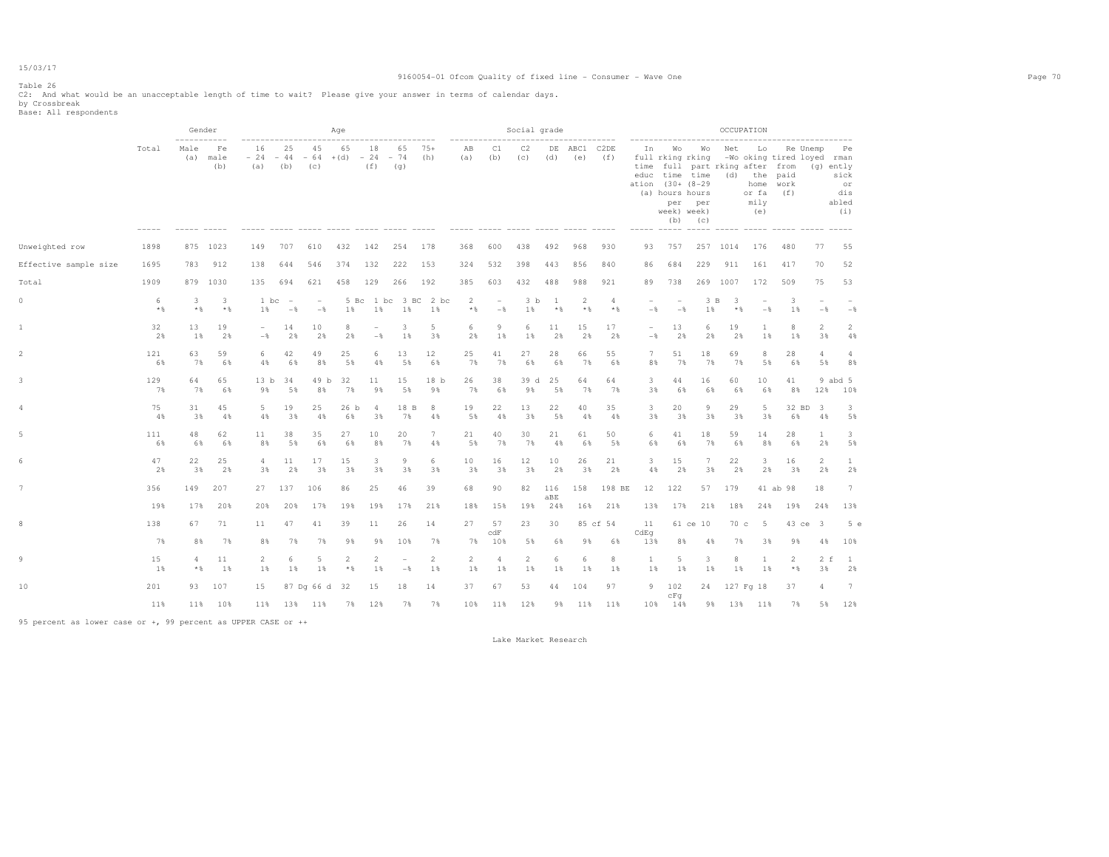#### Table 26

C2: And what would be an unacceptable length of time to wait? Please give your answer in terms of calendar days.<br>by Crossbreak<br>Base: All respondents

|                       |             |             | Gender            |                         |                                        |                                              | Age                   |                                 |                                  |                       |                           |                                            | Social grade         |             |                     |                       |                                 |                                            |                                                                                                                                                                            |            | OCCUPATION                                                                       |             |                      |                                                      |
|-----------------------|-------------|-------------|-------------------|-------------------------|----------------------------------------|----------------------------------------------|-----------------------|---------------------------------|----------------------------------|-----------------------|---------------------------|--------------------------------------------|----------------------|-------------|---------------------|-----------------------|---------------------------------|--------------------------------------------|----------------------------------------------------------------------------------------------------------------------------------------------------------------------------|------------|----------------------------------------------------------------------------------|-------------|----------------------|------------------------------------------------------|
|                       | Total       | Male<br>(a) | Fe<br>male<br>(b) | 16<br>(a)               | 25<br>(b)                              | 45<br>$-24 - 44 - 64 + (d) - 24 - 74$<br>(C) | 65                    | 18<br>(f)                       | ---------------<br>65<br>(q)     | $75+$<br>(h)          | ------------<br>AB<br>(a) | C1<br>(b)                                  | C2<br>(c)            | (d)         | DE ABC1 C2DE<br>(e) | (f)                   | In                              | week) week)                                | ----------------------<br>Wo Wo<br>full rking rking<br>time full part rking after from<br>educ time time<br>ation (30+ (8-29)<br>(a) hours hours<br>per per<br>$(b)$ $(c)$ | Net        | Lo<br>-Wo oking tired loyed rman<br>(d) the paid<br>home<br>or fa<br>mily<br>(e) | work<br>(f) | Re Unemp             | Pe<br>(g) ently<br>sick<br>or<br>dis<br>abled<br>(i) |
| Unweighted row        | 1898        |             | 875 1023          | 149                     | 707                                    | 610                                          | 432                   | 142                             | 254                              | 178                   | 368                       | 600                                        | 438                  | 492         | 968                 | 930                   | 93                              | 757                                        |                                                                                                                                                                            | 257 1014   | 176                                                                              | 480         | 77                   | 55                                                   |
| Effective sample size | 1695        | 783         | 912               | 138                     | 644                                    | 546                                          | 374                   | 132                             | 222                              | 153                   | 324                       | 532                                        | 398                  | 443         | 856                 | 840                   | 86                              | 684                                        | 229                                                                                                                                                                        | 911        | 161                                                                              | 417         | 70                   | 52                                                   |
| Total                 | 1909        |             | 879 1030          | 135                     | 694                                    | 621                                          | 458                   | 129                             | 266                              | 192                   | 385                       | 603                                        | 432                  | 488         | 988                 | 921                   | 89                              | 738                                        |                                                                                                                                                                            | 269 1007   | 172                                                                              | 509         | 75                   | 53                                                   |
| 0                     | 6<br>$*$    | 3<br>$*$ &  | 3<br>$*$          | 1 bc<br>1%              | $\hspace{0.1mm}-\hspace{0.1mm}$<br>$-$ | $\overline{\phantom{a}}$<br>$-$              | 5 Bc<br>1%            | 1%                              | 1 bc 3 BC<br>1%                  | 2 bc<br>1%            | 2<br>$*$ &                | $\overline{\phantom{a}}$<br>$-\frac{6}{6}$ | 3 <sub>b</sub><br>1% | -1<br>$*$ & | 2<br>$*$ &          | $\overline{4}$<br>$*$ | $\overline{\phantom{a}}$<br>$-$ | $\overline{\phantom{a}}$<br>$-\frac{6}{6}$ | 3 <sub>B</sub><br>1%                                                                                                                                                       | 3<br>$*$ & | $-$                                                                              | 3<br>1%     | $-$                  | $-$                                                  |
| 1                     | 32<br>2%    | 13<br>1%    | 19<br>2%          | $\sim$<br>$-$           | 14<br>2%                               | 10<br>2%                                     | 8<br>2%               | $\overline{\phantom{0}}$<br>$-$ | $\mathbf{3}$<br>1%               | 5<br>3%               | 6<br>2%                   | 9<br>1%                                    | 6<br>1%              | 11<br>2%    | 15<br>2%            | 17<br>2%              | $\sim$<br>$-$ 8                 | 13<br>2%                                   | 6<br>2%                                                                                                                                                                    | 19<br>2%   | 1<br>1%                                                                          | 8<br>$1\%$  | $\overline{2}$<br>3% | $\overline{2}$<br>4%                                 |
| $\overline{2}$        | 121<br>6%   | 63<br>7%    | 59<br>6%          | 6<br>4%                 | 42<br>6%                               | 49<br>8%                                     | 25<br>5%              | 6<br>4%                         | 13<br>5%                         | 12<br>6%              | 25<br>7%                  | 41<br>7%                                   | 27<br>6%             | 28<br>6%    | 66<br>7%            | 55<br>6%              | 7<br>8%                         | 51<br>7%                                   | 18<br>7%                                                                                                                                                                   | 69<br>7%   | 8<br>5%                                                                          | 28<br>6%    | 4<br>5%              | $\overline{4}$<br>8%                                 |
| 3                     | 129<br>7%   | 64<br>7%    | 65<br>6%          | 13 <sub>b</sub><br>9%   | 34<br>5%                               | 49 b<br>8%                                   | 32<br>7%              | 11<br>9%                        | 15<br>5%                         | 18 <sub>b</sub><br>9% | 26<br>7%                  | 38<br>6%                                   | 39 d<br>9%           | 25<br>5%    | 64<br>7%            | 64<br>7%              | 3.<br>3%                        | 44<br>6%                                   | 16<br>6%                                                                                                                                                                   | 60<br>6%   | 10<br>6%                                                                         | 41<br>8%    | 12%                  | 9 abd 5<br>10%                                       |
| 4                     | 75<br>4%    | 31<br>3%    | 45<br>4%          | 5<br>4%                 | 19<br>3%                               | 25<br>4%                                     | 26 b<br>6%            | $\overline{4}$<br>3%            | 18 B<br>7%                       | 8<br>4%               | 19<br>5%                  | 22<br>4%                                   | 13<br>3%             | 22<br>5%    | 40<br>4%            | 35<br>4%              | 3<br>3%                         | 20<br>3%                                   | 9<br>3%                                                                                                                                                                    | 29<br>3%   | 5<br>3%                                                                          | 6%          | 32 BD 3<br>4%        | 3<br>5%                                              |
|                       | 111<br>6%   | 48<br>6%    | 62<br>6%          | 11<br>8%                | 38<br>5%                               | 35<br>6%                                     | 27<br>6%              | 10<br>8%                        | 20<br>7%                         | $7\phantom{.0}$<br>4% | 21<br>5%                  | 40<br>7%                                   | 30<br>7%             | 21<br>4%    | 61<br>6%            | 50<br>5%              | 6<br>6%                         | 41<br>6%                                   | 18<br>7%                                                                                                                                                                   | 59<br>6%   | 14<br>8%                                                                         | 28<br>6%    | $\mathbf{1}$<br>2%   | 3<br>5%                                              |
| 6                     | 47<br>2%    | 22<br>3%    | 25<br>2%          | $\overline{4}$<br>3%    | 11<br>2%                               | 17<br>3%                                     | 15<br>3%              | $\overline{\mathbf{3}}$<br>3%   | 9<br>3%                          | 6<br>3%               | 10<br>3%                  | 16<br>3%                                   | 12<br>3%             | 10<br>2%    | 26<br>3%            | 21<br>2%              | 3<br>4%                         | 15<br>2%                                   | $\tau$<br>3%                                                                                                                                                               | 22<br>2%   | 3<br>2%                                                                          | 16<br>3%    | $\overline{2}$<br>2% | $\mathbf{1}$<br>2%                                   |
|                       | 356         | 149         | 207               | 27                      | 137                                    | 106                                          | 86                    | 25                              | 46                               | 39                    | 68                        | 90                                         | 82                   | 116<br>aBE  | 158                 | 198 BE                | 12                              | 122                                        | 57                                                                                                                                                                         | 179        |                                                                                  | 41 ab 98    | 18                   | 7                                                    |
|                       | 19%         | 17%         | 20%               | 20%                     | 20%                                    | 17%                                          | 19%                   | 19%                             | 17%                              | 21%                   | 18%                       | 15%                                        | 19%                  | 24%         |                     | 16% 21%               | 13%                             | 17%                                        | 21%                                                                                                                                                                        | 18%        | 24%                                                                              | 19%         | 24%                  | 13%                                                  |
| 8                     | 138         | 67          | 71                | 11                      | 47                                     | 41                                           | 39                    | 11                              | 26                               | 14                    | 27                        | 57<br>c dF                                 | 23                   | 30          |                     | 85 cf 54              | 11<br>CdEq                      |                                            | 61 ce 10                                                                                                                                                                   | 70c        | $-5$                                                                             |             | 43 ce 3              | 5e                                                   |
|                       | 7%          | 8%          | 7%                | 8%                      | 7%                                     | 7%                                           | 9%                    | 9%                              | 10%                              | 7%                    | 7%                        | 10%                                        | 5%                   | 6%          | 9%                  | 6%                    | 13%                             | 8%                                         | 4%                                                                                                                                                                         | 7%         | 3%                                                                               | 9%          | 4%                   | 10%                                                  |
| 9                     | 15<br>$1\%$ | 4<br>* %    | 11<br>1%          | $\overline{2}$<br>$1\%$ | 6<br>1%                                | 5<br>$1\%$                                   | $\overline{2}$<br>$*$ | $\overline{c}$<br>$1\%$         | $\overline{a}$<br>$-\frac{6}{6}$ | 2<br>$1\%$            | 2<br>1%                   | 4<br>$1\%$                                 | $\overline{2}$<br>1% | 6<br>1%     | 6<br>$1\%$          | 8<br>1%               | <sup>1</sup><br>$1\%$           | 5<br>1%                                    | 3<br>1%                                                                                                                                                                    | 8<br>$1\%$ | <b>1</b><br>1%                                                                   | 2<br>$*$ &  | $2-f$<br>3%          | $\mathbf{1}$<br>2%                                   |
| 10                    | 201         | 93          | 107               | 15                      |                                        | 87 Dq 66 d 32                                |                       | 15                              | 18                               | 14                    | 37                        | 67                                         | 53                   | 44          | 104                 | 97                    |                                 | 9 102                                      | 24                                                                                                                                                                         |            | 127 Fg 18                                                                        | 37          | 4                    | 7                                                    |
|                       | 11%         | 11%         | 10%               | 11%                     |                                        | 13% 11%                                      | 7%                    | 12%                             | 7%                               | 7%                    | 10%                       | 11%                                        | 12%                  | 9%          | 11%                 | 11%                   |                                 | cFq<br>10% 14%                             | 9%                                                                                                                                                                         |            | 13% 11%                                                                          | 7%          | 5%                   | 12%                                                  |

95 percent as lower case or +, 99 percent as UPPER CASE or ++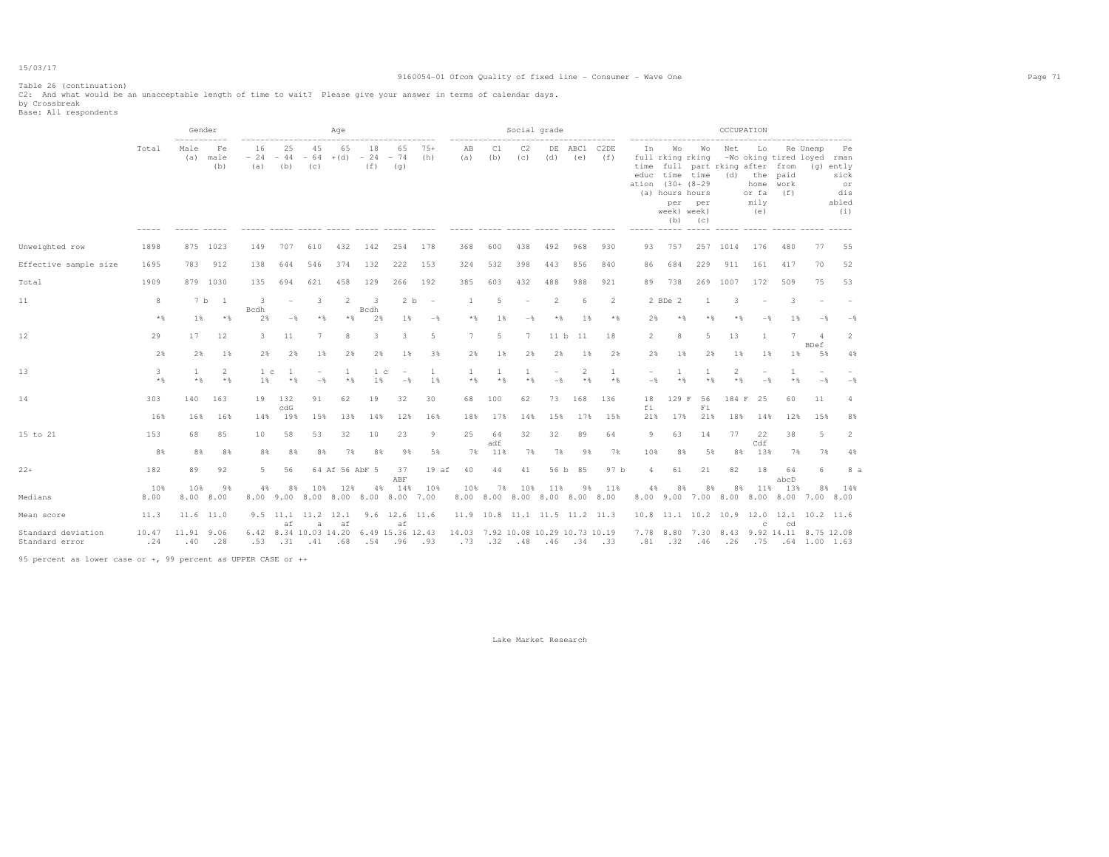#### 9160054-01 Ofcom Quality of fixed line - Consumer - Wave One Page 71

Table 26 (continuation) C2: And what would be an unacceptable length of time to wait? Please give your answer in terms of calendar days. by Crossbreak Base: All respondents

|                                                               |              | Gender                    |                         |                      |                          |                                              | Age            |                                 |                                 |                |                                           |            | Social grade                         |                |                |                     |                | -----------------                                                          |                                                                                     |            | OCCUPATION                                                                       |                       |                        |                                                      |
|---------------------------------------------------------------|--------------|---------------------------|-------------------------|----------------------|--------------------------|----------------------------------------------|----------------|---------------------------------|---------------------------------|----------------|-------------------------------------------|------------|--------------------------------------|----------------|----------------|---------------------|----------------|----------------------------------------------------------------------------|-------------------------------------------------------------------------------------|------------|----------------------------------------------------------------------------------|-----------------------|------------------------|------------------------------------------------------|
|                                                               | Total        | Male<br>(a)               | Fe<br>male<br>(b)       | 16<br>$-24$<br>(a)   | 25<br>$-44$<br>(b)       | 45<br>$-64$<br>(C)                           | 65<br>$+(d)$   | 18<br>$-24$<br>(f)              | 65<br>$-74$<br>(q)              | $75+$<br>(h)   | AB<br>(a)                                 | C1<br>(b)  | C2<br>(C)                            | DE<br>(d)      | (e)            | ABC1 C2DE<br>(f)    | In.            | Wo<br>educ time time<br>ation (30+ (8-29<br>(a) hours hours<br>week) week) | Wo<br>full rking rking<br>time full part rking after from<br>per per<br>$(b)$ $(c)$ | Net        | Lo<br>-Wo oking tired loyed rman<br>(d) the paid<br>home<br>or fa<br>mily<br>(e) | work<br>(f)           | Re Unemp               | Pe<br>(g) ently<br>sick<br>or<br>dis<br>abled<br>(i) |
| Unweighted row                                                | 1898         |                           | 875 1023                | 149                  | 707                      | 610                                          | 432            | 142                             | 254                             | 178            | 368                                       | 600        | 438                                  | 492            | 968            | 930                 | 93             | 757                                                                        |                                                                                     | 257 1014   | 176                                                                              | 480                   | 77                     | 55                                                   |
| Effective sample size                                         | 1695         | 783                       | 912                     | 138                  | 644                      | 546                                          | 374            | 132                             | 222                             | 153            | 324                                       | 532        | 398                                  | 443            | 856            | 840                 | 86             | 684                                                                        | 229                                                                                 | 911        | 161                                                                              | 417                   | 70                     | 52                                                   |
| Total                                                         | 1909         |                           | 879 1030                | 135                  | 694                      | 621                                          | 458            | 129                             | 266                             | 192            | 385                                       | 603        | 432                                  | 488            | 988            | 921                 | 89             | 738                                                                        |                                                                                     | 269 1007   | 172                                                                              | 509                   | 75                     | 53                                                   |
| 11                                                            | 8            |                           | 7 b 1                   | -3<br>Bcdh           | $\overline{\phantom{0}}$ | 3                                            | 2              | $\overline{\mathbf{3}}$<br>Bcdh | 2 b                             | $\sim$         | $\mathbf{1}$                              | 5          | $\overline{\phantom{a}}$             | $\overline{2}$ | 6              | 2                   |                | 2 BDe 2                                                                    | 1                                                                                   | 3          |                                                                                  | 3                     |                        |                                                      |
|                                                               | $*$          | 1%                        | $*$                     | 2%                   | $-\frac{6}{5}$           | $*$                                          | $*$            | 2%                              | $1\%$                           | $-$ 8          | $*$ &                                     | $1\%$      | $-$                                  | $*$            | 1%             | $*$                 | 2%             | $*$                                                                        | $*$ %                                                                               | $*$        | $-$                                                                              | 1%                    | $-$                    | $-$                                                  |
| 12                                                            | 29           | 17                        | 12                      | 3                    | 11                       | 7                                            | 8              | 3                               | 3                               | 5              | 7                                         | 5          | $7\phantom{.0}$                      | 11 b           | 11             | 18                  | $\overline{2}$ | 8                                                                          | 5                                                                                   | 13         | 1                                                                                | 7                     | $\overline{4}$<br>BDef | 2                                                    |
|                                                               | 2%           | 2%                        | $1\%$                   | $2\%$                | 2%                       | $1\%$                                        | 2%             | 2%                              | $1\%$                           | 3%             | $2\%$                                     | $1\%$      | 2%                                   | $2\%$          | $1\%$          | 2%                  | 2%             | $1\%$                                                                      | 2%                                                                                  | $1\%$      | 1%                                                                               | $1\%$                 | 5%                     | 4%                                                   |
| 13                                                            | 3<br>$*$     | $\mathbf{1}$<br>$\star$ & | $\overline{2}$<br>$*$ % | 1 <sub>c</sub><br>1% | 1<br>$*$ &               | $\overline{\phantom{a}}$<br>$-\frac{6}{5}$   | 1<br>$*$ &     | 1 <sub>c</sub><br>1%            | $\overline{\phantom{a}}$<br>$-$ | <b>1</b><br>1% | 1<br>$*$ &                                | 1<br>$*$ % | 1<br>$*$ &                           | $-$            | 2<br>$\star$ & | $\mathbf{1}$<br>$*$ | $-$            | 1<br>$*$ %                                                                 | 1<br>$*$ &                                                                          | 2<br>$*$ & | $-$                                                                              | $\mathbf{1}$<br>$*$ & | $-$                    | $-$                                                  |
| 14                                                            | 303          | 140                       | 163                     | 19                   | 132<br>c dG              | 91                                           | 62             | 19                              | 32                              | 30             | 68                                        | 100        | 62                                   | 73             | 168            | 136                 | 18<br>fi       | 129 F                                                                      | 56<br>Fi                                                                            | 184 F      | 25                                                                               | 60                    | 11                     | $\overline{4}$                                       |
|                                                               | 16%          | 16%                       | 16%                     | 14%                  | 19%                      | 15%                                          | 13%            | 14%                             | 12%                             | 16%            | 18%                                       | 17%        | 14%                                  | 15%            | 17%            | 15%                 | 21%            | 17%                                                                        | 21%                                                                                 | 18%        | 14%                                                                              | 12%                   | 15%                    | 8%                                                   |
| 15 to 21                                                      | 153          | 68                        | 85                      | 10                   | 58                       | 53                                           | 32             | 10                              | 23                              | 9              | 25                                        | 64<br>adf  | 32                                   | 32             | 89             | 64                  | 9              | 63                                                                         | 14                                                                                  | 77         | 22<br>Cdf                                                                        | 38                    | 5                      | 2                                                    |
|                                                               | 8%           | 8%                        | 8%                      | 8%                   | 8%                       | 8%                                           | 7%             | 8%                              | 9%                              | 5%             | 7%                                        | 11%        | 7%                                   | 7%             | 9%             | 7%                  | 10%            | 8%                                                                         | 5%                                                                                  | 8%         | 13%                                                                              | 7%                    | 7%                     | 4%                                                   |
| $22+$                                                         | 182          | 89                        | 92                      | 5                    | 56                       |                                              | 64 Af 56 AbF 5 |                                 | 37<br>ABF                       | 19af           | 40                                        | 44         | 41                                   | 56 b           | 85             | 97 b                | 4              | 61                                                                         | 21                                                                                  | 82         | 18                                                                               | 64<br>abcD            | 6                      | 8 a                                                  |
| Medians                                                       | 10%<br>8.00  | 10%                       | 9%<br>8.00 8.00         | 4%                   | 8%                       | 10%<br>8.00 9.00 8.00 8.00 8.00 8.00 7.00    | 12%            | 4%                              | 14%                             | 10%            | 10%                                       | 7%         | 10%<br>8.00 8.00 8.00 8.00 8.00 8.00 | 11%            | 9%             | 11%                 | 4%             | 8%                                                                         | 8%<br>8.00 9.00 7.00 8.00 8.00 8.00 7.00 8.00                                       | 8%         | 11%                                                                              | 13%                   | 8%                     | 14%                                                  |
| Mean score                                                    | 11.3         |                           | 11.6 11.0               |                      | af                       | 9.5 11.1 11.2 12.1                           | af             |                                 | $9.6$ 12.6 11.6<br>af           |                |                                           |            | 11.9 10.8 11.1 11.5 11.2 11.3        |                |                |                     |                |                                                                            | 10.8 11.1 10.2 10.9 12.0 12.1 10.2 11.6                                             |            | $\circ$                                                                          |                       |                        |                                                      |
| Standard deviation<br>Standard error                          | 10.47<br>.24 | 11.91 9.06<br>.40         | .28                     | .53                  | .31                      | $\mathbf{a}$<br>6.42 8.34 10.03 14.20<br>.41 | .68            | 6.49 15.36 12.43<br>.54         | .96                             | .93            | 14.03 7.92 10.08 10.29 10.73 10.19<br>.73 | .32        | .48                                  | .46            | .34            | .33                 | .81            | .32                                                                        | 7.78 8.80 7.30 8.43 9.92 14.11 8.75 12.08<br>.46                                    | .26        | .75                                                                              | cd                    |                        | $.64$ 1.00 1.63                                      |
| 95 percent as lower case or +, 99 percent as UPPER CASE or ++ |              |                           |                         |                      |                          |                                              |                |                                 |                                 |                |                                           |            |                                      |                |                |                     |                |                                                                            |                                                                                     |            |                                                                                  |                       |                        |                                                      |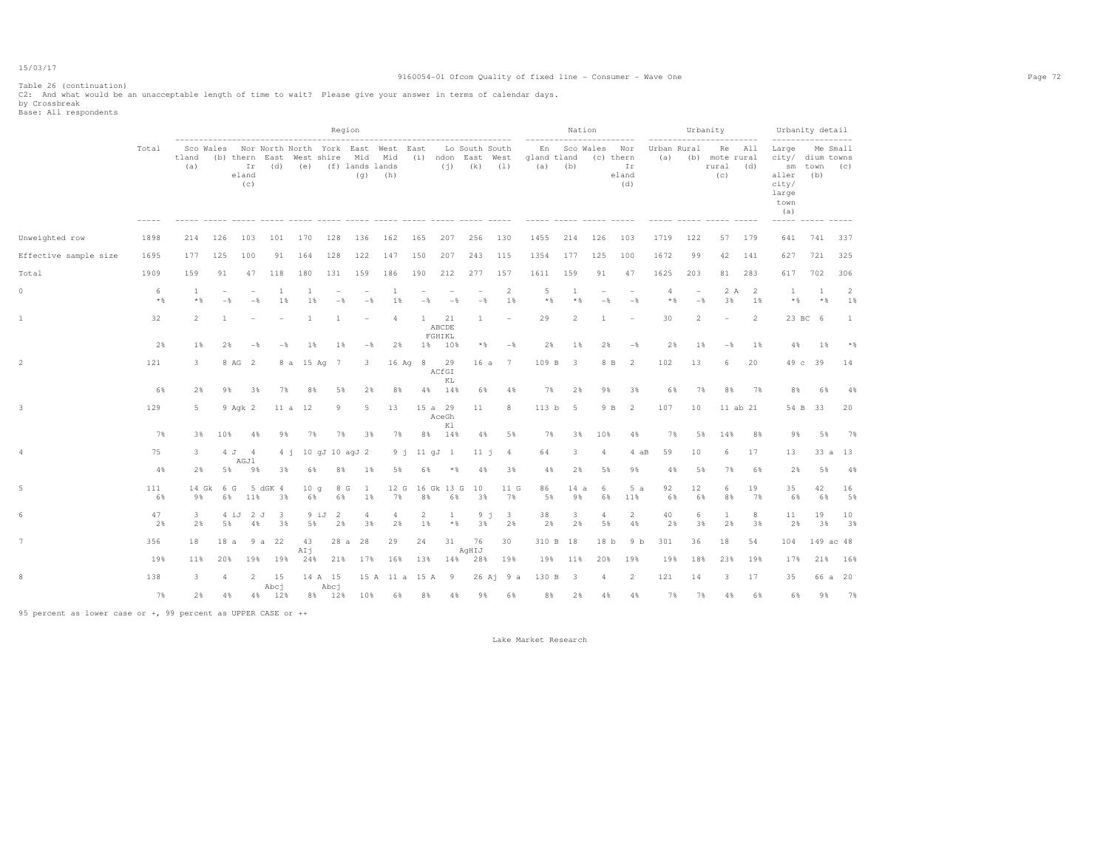#### 9160054-01 Ofcom Quality of fixed line - Consumer - Wave One Page 72

Table 26 (continuation)

|                       |            |              |                                            |                    |                       |                         |                 | Region                                                                      |                  |                          |                        |             |                                                         |                    |                          | Nation    |                                 |                                 |                    |                                 | Urbanity                                     |          | Urbanity detail                                                     |                    |           |
|-----------------------|------------|--------------|--------------------------------------------|--------------------|-----------------------|-------------------------|-----------------|-----------------------------------------------------------------------------|------------------|--------------------------|------------------------|-------------|---------------------------------------------------------|--------------------|--------------------------|-----------|---------------------------------|---------------------------------|--------------------|---------------------------------|----------------------------------------------|----------|---------------------------------------------------------------------|--------------------|-----------|
|                       | Total      | tland<br>(a) |                                            | Ir<br>eland<br>(c) | (b) thern East<br>(d) |                         |                 | Sco Wales Nor North North York East West East<br>(e) (f) lands lands<br>(q) | (h)              |                          | (i)                    | $(k)$ $(1)$ | Lo South South<br>West shire Mid Mid (i) ndon East West | gland tland<br>(a) | En Sco Wales<br>(b)      |           | Nor<br>(c) thern<br>Ir<br>eland | (d)                             | Urban Rural<br>(a) |                                 | Re All<br>(b) mote rural<br>rural (d)<br>(C) |          | Large<br>city/ dium towns<br>aller<br>city/<br>large<br>town<br>(a) | sm town (c)<br>(b) | Me Small  |
| Unweighted row        | 1898       | 214          | 126                                        | 103                | 101                   | 170                     | 128             | 136                                                                         | 162              | 165                      | 207                    | 256         | 130                                                     | 1455               | 214                      | 126       |                                 | 103                             | 1719               | 122                             | 57                                           | 179      | 641                                                                 | 741                | 337       |
| Effective sample size | 1695       | 177          | 125                                        | 100                | 91                    | 164                     | 128             | 122                                                                         | 147              | 150                      | 207                    | 243         | 115                                                     | 1354               | 177                      | 125       | 100                             |                                 | 1672               | 99                              | 42                                           | 141      | 627                                                                 | 721                | 325       |
| Total                 | 1909       | 159          | 91                                         | 47                 | 118                   | 180                     | 131             | 159                                                                         | 186              | 190                      | 212                    | 277         | 157                                                     | 1611               | 159                      |           | 91                              | 47                              | 1625               | 203                             | 81                                           | 283      | 617                                                                 | 702                | 306       |
| 0                     | 6<br>$*$ % | 1<br>$*$ &   | $\overline{\phantom{a}}$<br>$-\frac{6}{5}$ |                    | 1<br>$-$              | 1<br>1%<br>1%           | $-$             | $-$                                                                         | 1<br>1%          | $-$                      | $-$                    | $-$         | 2<br>1%                                                 | -5<br>$*$ %        | 1                        | $*$ %     | ۰<br>$-$                        | $\overline{\phantom{a}}$<br>$-$ | 4<br>$*$ %         | $\overline{\phantom{m}}$<br>$-$ | 2 A<br>3%                                    | -2<br>1% | -1<br>$*$                                                           | 1<br>$*$ &         | 2<br>1%   |
|                       | 32         | 2            | -1.                                        |                    |                       | $\mathbf{1}$            | -1              |                                                                             | $\overline{4}$   | $\mathbf{1}$             | 21<br>ABCDE<br>FGHIKL  | 1           |                                                         | 29                 | 2                        |           | -1                              |                                 | 30                 | $\overline{2}$                  |                                              | 2        |                                                                     | 23 BC 6            | 1         |
|                       | 2%         | 1%           | $2\%$                                      |                    | $-$ %                 | $1\%$<br>$-\frac{6}{5}$ | 1%              | $-\frac{6}{5}$                                                              | 2%               |                          | 1% 10%                 | * %         | $-$                                                     | 2%                 |                          | 1%        | 2%                              | $-\frac{6}{5}$                  | 2%                 | 1%                              | $-\frac{6}{5}$                               | $1\%$    | 4%                                                                  | 1%                 | $*$ &     |
| $\overline{2}$        | 121        | 3            |                                            | 8 AG 2             |                       | 8 a 15 Aq 7             |                 | 3                                                                           |                  | $16 \text{ Aq} 8$        | 29<br>ACfGI<br>KL      | 16a         | 7                                                       | 109 B              | $\overline{\mathbf{3}}$  |           | 8 B                             | 2                               | 102                | 13                              | 6                                            | 20       |                                                                     | 49 c 39            | 14        |
|                       | 6%         | 2%           | 9%                                         |                    | 3%                    | 7%<br>8%                | 5%              | 2%                                                                          | 8%               |                          | 4% 14%                 | 6%          | 4%                                                      | 7%                 | 2%                       |           | 9%                              | 3%                              | 6%                 | 7%                              | 8%                                           | 7%       | 8%                                                                  | 6%                 | 4%        |
| 3                     | 129        | 5            |                                            | 9 Agk 2            |                       | 11 a<br>12              | 9               | $5 -$                                                                       | 13               |                          | 15 a 29<br>AceGh<br>Κl | 11          | 8                                                       | 113 <sub>b</sub>   | -5                       |           | 9 B                             | 2                               | 107                | 10                              | 11 ab 21                                     |          |                                                                     | 54 B 33            | 20        |
|                       | 7%         | 3%           | 10%                                        |                    | $4\%$                 | 98<br>7%                | 7%              | 3%                                                                          | 7%               | 8%                       | 14%                    | 4%          | 5%                                                      | 7%                 |                          | 3%        | 10%                             | 4%                              | 7%                 | 5%                              | 14%                                          | 8%       | 98                                                                  | 5%                 | 7%        |
| 4                     | 75         | 3            |                                            | 4 J 4<br>AGJ1      |                       | 4 j 10 gJ 10 agJ 2      |                 |                                                                             | $9 - 1$          |                          | 11 qJ 1                | 11 i        | $\overline{4}$                                          | 64                 | 3                        |           | $\overline{4}$                  | 4 aB                            | 59                 | 10                              | 6                                            | 17       | 13                                                                  |                    | 33 a 13   |
|                       | 4%         | 2%           | 5%                                         |                    | 9%                    | 3%<br>6%                | 8%              | $1\%$                                                                       | 5%               | 6%                       | $*$ %                  | 4%          | 3%                                                      | 4%                 |                          | 2%        | 5%                              | 9%                              | 4%                 | 5%                              | 7%                                           | 6%       | 2%                                                                  | 5%                 | 4%        |
|                       | 111<br>6%  | 9%           | 14 Gk<br>6 G                               | 6% 11%             | 5 dGK 4<br>3%         | 10q<br>6%               | 8 G<br>6%       | $\mathbf{1}$<br>1%                                                          | 7%               | 12 G 16 Gk 13 G 10<br>8% | 6%                     | 3%          | 11 G<br>7%                                              | 86<br>5%           |                          | 14a<br>9% | 6<br>6%                         | 5a<br>11%                       | 92<br>6%           | 12<br>6%                        | 6<br>8%                                      | 19<br>7% | 35<br>6%                                                            | 42<br>6%           | 16<br>5%  |
|                       | 47<br>2%   | 3<br>2%      | 5%                                         | 4 iJ               | 2 J<br>3<br>4%        | 3%<br>5%                | 9 iJ<br>2<br>2% | 4<br>3%                                                                     | 4<br>2%          | 2<br>$1\%$               | $\mathbf{1}$<br>* %    | 3%          | 9j<br>3<br>2%                                           | 38<br>2%           | 3                        | 2%        | 4<br>5%                         | $\overline{c}$<br>4%            | 40<br>2%           | 6<br>3%                         | 1<br>2%                                      | 8<br>38  | 11<br>2%                                                            | 19<br>3%           | 10<br>3%  |
|                       | 356        | 18           | 18a                                        |                    | 9 a 22                | 43<br>AIj               |                 | 28 a 28                                                                     | 29               | 24                       | 31                     | 76<br>AqHIJ | 30                                                      | 310 B              | 18                       |           | 18 <sub>b</sub>                 | 9 <sub>b</sub>                  | 301                | 36                              | 18                                           | 54       | 104                                                                 |                    | 149 ac 48 |
|                       | 19%        | 11%          | 20%                                        | 19%                | 19%                   | 24%                     | 21%             | 17%                                                                         | 16%              | 13%                      | 14%                    | 28%         | 19%                                                     | 19%                | 11%                      |           | 20%                             | 19%                             | 19%                | 18%                             | 23%                                          | 19%      | 17%                                                                 | 21%                | 16%       |
| 8                     | 138        | 3            | $\overline{4}$                             |                    | 2<br>15<br>Abcj       |                         | 14 A 15<br>Abcj |                                                                             | 15 A 11 a 15 A 9 |                          |                        |             | $26$ Aj $9$ a                                           | 130 B              | $\overline{\phantom{a}}$ |           | $\overline{4}$                  | 2                               | 121                | 14                              | 3                                            | 17       | 35                                                                  |                    | 66 a 20   |
|                       | 7%         | 2%           | 4%                                         |                    | 4% 12%                |                         |                 | 8% 12% 10%                                                                  | 6%               | 8%                       | 4%                     | 9%          | 6%                                                      | 8%                 |                          | 2%        | 4%                              | 4%                              | 7%                 | 7%                              | 4%                                           | 6%       | 6%                                                                  | 9%                 | 7%        |

95 percent as lower case or +, 99 percent as UPPER CASE or ++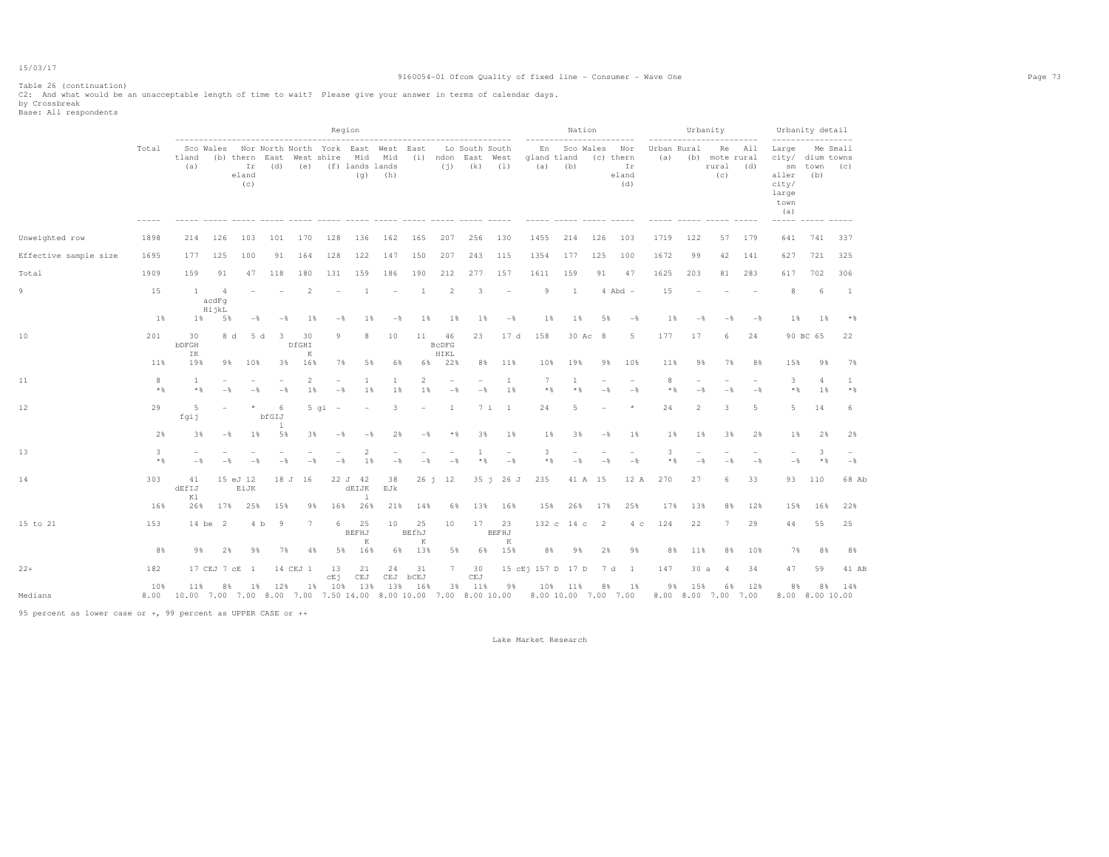## 9160054-01 Ofcom Quality of fixed line - Consumer - Wave One Page 73

Table 26 (continuation)

C2: And what would be an unacceptable length of time to wait? Please give your answer in terms of calendar days.<br>by Crossbreak<br>Base: All respondents

|                       |            |                       |                                  |                                                               |                       |                  |                            | Region                      |                          |                          |                            |                   |                        |                                                                                                                |                   | Nation         |                |                                        |                    |                            | Urbanity<br>-----------            |        | ------------------                                                  | Urbanity detail       |                       |  |
|-----------------------|------------|-----------------------|----------------------------------|---------------------------------------------------------------|-----------------------|------------------|----------------------------|-----------------------------|--------------------------|--------------------------|----------------------------|-------------------|------------------------|----------------------------------------------------------------------------------------------------------------|-------------------|----------------|----------------|----------------------------------------|--------------------|----------------------------|------------------------------------|--------|---------------------------------------------------------------------|-----------------------|-----------------------|--|
|                       | Total      | tland<br>(a)          |                                  | Sco Wales Nor North North York East West East<br>eland<br>(C) |                       |                  | Ir (d) (e) (f) lands lands |                             | $(q)$ (h)                |                          |                            | $(i)$ $(k)$ $(1)$ | Lo South South         | (b) thern East West shire Mid Mid (i) ndon East West gland tland<br>$(a)$ $(b)$                                | En Sco Wales      |                |                | Nor<br>(c) thern<br>Ir<br>eland<br>(d) | Urban Rural<br>(a) |                            | (b) mote rural<br>rural (d)<br>(C) | Re All | Large<br>city/ dium towns<br>aller<br>city/<br>large<br>town<br>(a) | sm town (c)<br>(b)    | Me Small              |  |
| Unweighted row        | 1898       | 214                   | 126                              | 103                                                           | 101                   | 170              | 128                        | 136                         | 162                      | 165                      | 207                        | 256               | 130                    | 1455                                                                                                           | 214               |                | 126            | 103                                    | 1719               | 122                        | 57                                 | 179    | 641                                                                 | 741                   | 337                   |  |
| Effective sample size | 1695       | 177                   | 125                              | 100                                                           | 91                    | 164              | 128                        | 122                         | 147                      | 150                      | 207                        | 243               | 115                    | 1354                                                                                                           | 177               |                | 125            | 100                                    | 1672               | 99                         | 42                                 | 141    | 627                                                                 | 721                   | 325                   |  |
| Total                 | 1909       | 159                   | 91                               | 47                                                            | 118                   | 180              | 131                        | 159                         | 186                      | 190                      | 212                        | 277               | 157                    | 1611                                                                                                           | 159               |                | 91             | 47                                     | 1625               | 203                        | 81                                 | 283    | 617                                                                 | 702                   | 306                   |  |
| 9                     | 15         | 1                     | $\overline{4}$<br>acdFq<br>HijkL | $\overline{\phantom{a}}$                                      |                       | 2                | $\overline{\phantom{a}}$   | -1                          | $\overline{\phantom{a}}$ | <sup>1</sup>             | 2                          | 3                 | $\sim$ $-$             | 9                                                                                                              | <sup>1</sup>      |                |                | $4$ Abd $-$                            | 15                 |                            |                                    |        | 8                                                                   | 6                     | $\overline{1}$        |  |
|                       | $1\%$      | 1%                    | 5%                               | $-$                                                           | $-$ %                 | 1%               | $-$                        | 18                          | $-$ 8                    | 1%                       | 1%                         | $1\%$             | $-$                    |                                                                                                                | 1%                | 1%             | 5%             | $-\frac{6}{5}$                         | $1\%$              | $-\frac{6}{5}$             | $-\frac{6}{5}$                     | $-$    | $1\%$                                                               | 1%                    | $*$                   |  |
| 10                    | 201        | 30<br>bDFGH<br>ΙK     |                                  | 8 d<br>5 d                                                    | - 3                   | 30<br>DfGHI<br>K | 9                          | 8                           | 10                       | 11                       | 46<br><b>BcDFG</b><br>HIKL | 23                | 17 d                   | 158                                                                                                            |                   | 30 Ac 8        |                | 5                                      | 177                | 17                         | 6                                  | 24     |                                                                     | 90 BC 65              | 22                    |  |
|                       | 11%        | 19%                   |                                  | 9%<br>10%                                                     | 3%                    | 16%              | 7%                         | 5%                          | 6%                       | 68                       | 22%                        |                   | 8% 11%                 | 10%                                                                                                            |                   | 19%            | 9%             | 10%                                    | 11%                | 9%                         | 7%                                 | 8%     | 15%                                                                 | 9%                    | 7%                    |  |
| 11                    | 8<br>$*$ & | <sup>1</sup><br>$*$ & |                                  | $-$<br>$-\frac{6}{5}$                                         | $-\frac{6}{5}$        | 2<br>$1\%$       | $-\frac{6}{5}$             | 1<br>1%                     | 1<br>1%                  | 2<br>1%                  | $-\frac{6}{5}$             | $-\frac{6}{6}$    | 1<br>$1\%$             | 7                                                                                                              | $*$               | -1<br>$*$ %    | $-\frac{6}{5}$ | $-$                                    | 8<br>$*$ &         | $-$                        | $-$                                | $-$    | 3<br>$\star$ &                                                      | 4<br>1%               | $\mathbf{1}$<br>$*$ & |  |
| 12                    | 29         | 5<br>fqij             |                                  | $\star$                                                       | 6<br>bfGIJ<br>-1      |                  | $5$ qi $-$                 | $\overline{\phantom{m}}$    | $\overline{\mathbf{3}}$  | $\overline{\phantom{a}}$ | 1                          |                   | $7i$ 1                 | 24                                                                                                             |                   | 5              |                | $\star$                                | 24                 | 2                          | 3                                  | -5     | 5                                                                   | 14                    | 6                     |  |
|                       | 2%         | 3%                    |                                  | $-\frac{6}{5}$<br>$1\%$                                       | 5%                    | 3%               | $-$                        | $-$                         | 2%                       | $-\frac{6}{5}$           | $*$                        | 3%                | $1\%$                  |                                                                                                                | $1\%$             | 3%             | $-\frac{6}{5}$ | 1%                                     | $1\%$              | $1\%$                      | 38                                 | 2%     | $1\%$                                                               | 2%                    | 2%                    |  |
| 13                    | 3<br>$*$ & |                       |                                  |                                                               |                       |                  | $-$                        | $\overline{2}$<br>1         | $-$                      | $-$                      | $-$                        | 1<br>$*$ %        | $-\frac{6}{5}$         | 3                                                                                                              | $*$ $\frac{6}{5}$ | $-\frac{6}{5}$ | $-$            | $-\frac{6}{5}$                         | 3<br>$*$ &         | $-$                        |                                    | $-$    | $-\frac{6}{5}$                                                      | 3<br>$*$ &            | $-\frac{6}{6}$        |  |
| 14                    | 303        | 41<br>dEfIJ<br>Κl     |                                  | 15 eJ 12<br>EiJK                                              |                       | 18 J 16          |                            | 22 J 42<br>dEIJK<br>$\perp$ | 38<br>EJk                |                          | $26 \t1 \t12$              |                   | $35 \div 26 \text{ J}$ | 235                                                                                                            |                   | 41 A 15        |                | 12 A                                   | 270                | 27                         | 6                                  | 33     | 93                                                                  | 110                   | 68 Ab                 |  |
|                       | 16%        | 26%                   | 17%                              | 25%                                                           | 15%                   | 98               | 16%                        | 26%                         | 21%                      | 14%                      | 68                         |                   | 13% 16%                | 15%                                                                                                            |                   | 26%            | 17%            | 25%                                    | 17%                | 13%                        | 8%                                 | 12%    | 15%                                                                 | 16%                   | 22%                   |  |
| 15 to 21              | 153        |                       | 14 be 2                          |                                                               | 4 b<br>$\overline{9}$ | $7\phantom{.0}$  | 6                          | 25<br>BEFHJ<br>K            | 10                       | 25<br>BEfhJ<br>K         | 10                         | 17                | 23<br>BEFHJ<br>K       |                                                                                                                | 132 c 14 c 2      |                |                | $4\degree$ c                           | 124                | 22                         | 7                                  | 29     | 44                                                                  | 55                    | 25                    |  |
|                       | 8%         | 9%                    | 2%                               | 9%                                                            | 7%                    | 4%               | 5%                         | 16%                         | 6%                       | 13%                      | 5%                         | 6%                | 15%                    |                                                                                                                | 8%                | 9%             | 2%             | 9%                                     | 8%                 | 11%                        | 8%                                 | 10%    | 7%                                                                  | 8%                    | 8%                    |  |
| $22+$                 | 182        |                       | 17 CEJ 7 cE                      | $\mathbf{1}$                                                  |                       | 14 CEJ 1         | 13<br>cEj                  | 21<br>CEJ                   | 24                       | 31<br>CEJ bCEJ           |                            | 7 30<br>CEJ       |                        | 15 cEj 157 D 17 D                                                                                              |                   |                | 7 d            | $\overline{1}$                         | 147                | 30a                        | $\overline{4}$                     | 34     | 47                                                                  | 59                    | 41 AB                 |  |
| Medians               | 10%        | 11%                   | 8%                               | 1%                                                            | 12%                   |                  | 1% 10% 13%                 |                             |                          | 13% 16%                  |                            | 3% 11%            | 98                     | 8.00  10.00  7.00  7.00  7.00  7.00  7.50  14.00  8.00  10.00  7.00  8.00  10.00  7.00  7.00  7.00  7.00  7.00 | 10% 11%           |                | 8%             | 1%                                     | 9%                 | 15%<br>8.00 8.00 7.00 7.00 |                                    | 6% 12% | 8%                                                                  | 8%<br>8.00 8.00 10.00 | 14%                   |  |
|                       |            |                       |                                  |                                                               |                       |                  |                            |                             |                          |                          |                            |                   |                        |                                                                                                                |                   |                |                |                                        |                    |                            |                                    |        |                                                                     |                       |                       |  |

95 percent as lower case or +, 99 percent as UPPER CASE or ++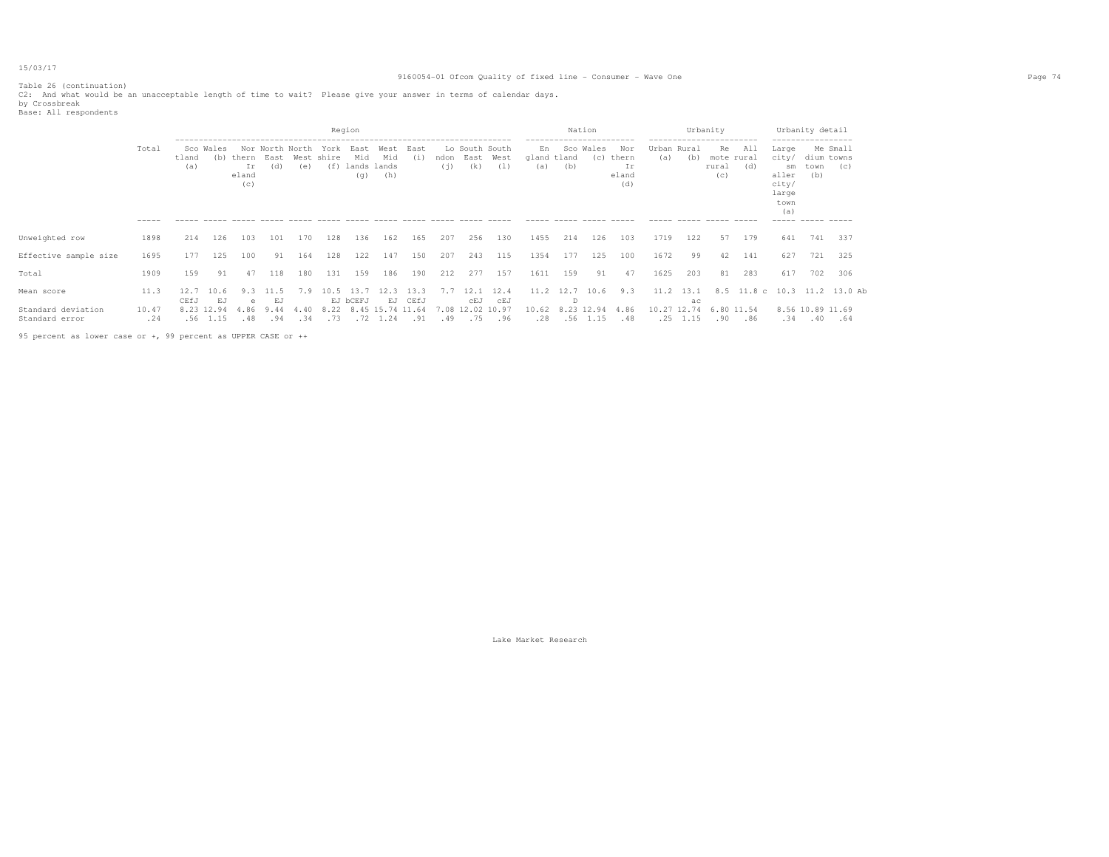## 9160054-01 Ofcom Quality of fixed line - Consumer - Wave One Page 74

Table 26 (continuation) C2: And what would be an unacceptable length of time to wait? Please give your answer in terms of calendar days.<br>by Crossbreak<br>Base: All respondents

| DUUCI NII LUUVUINUIILU |  |  |  |  |  |  |  |
|------------------------|--|--|--|--|--|--|--|
|                        |  |  |  |  |  |  |  |

|                                      |              |              |                          |                    |                        |                                  |              | Region                            |                                            |              |     |                                         |             |                          |                 | Nation           |                                    |                    |                        | Urbanity                         |            |                                                                | Urbanity detail           |                              |  |
|--------------------------------------|--------------|--------------|--------------------------|--------------------|------------------------|----------------------------------|--------------|-----------------------------------|--------------------------------------------|--------------|-----|-----------------------------------------|-------------|--------------------------|-----------------|------------------|------------------------------------|--------------------|------------------------|----------------------------------|------------|----------------------------------------------------------------|---------------------------|------------------------------|--|
|                                      | Total        | tland<br>(a) | Sco Wales                | Ir<br>eland<br>(C) | Nor North North<br>(d) | (b) thern East West shire<br>(e) | York<br>(f)  | East<br>Mid<br>lands lands<br>(q) | West<br>Mid<br>(h)                         | East<br>(i)  | (i) | Lo South South<br>ndon East West<br>(k) | (1)         | En<br>gland tland<br>(a) | (b)             | Sco Wales<br>(C) | Nor<br>thern<br>Ir<br>eland<br>(d) | Urban Rural<br>(a) | (b)                    | Re<br>mote rural<br>rural<br>(C) | All<br>(d) | Large<br>city/<br>sm<br>aller<br>city/<br>large<br>town<br>(a) | dium towns<br>town<br>(b) | Me Small<br>(C)              |  |
|                                      |              |              |                          |                    |                        |                                  |              |                                   |                                            |              |     |                                         |             |                          |                 |                  |                                    |                    |                        |                                  |            |                                                                |                           |                              |  |
| Unweighted row                       | 1898         | 214          | 126                      | 103                | 101                    | 170                              | 128          | 136                               | 162                                        | 165          | 207 | 256                                     | 130         | 1455                     | 214             | 126              | 103                                | 1719               | 122                    | 57                               | 179        | 641                                                            | 741                       | 337                          |  |
| Effective sample size                | 1695         | 177          | 125                      | 100                | 91                     | 164                              | 128          | 122                               | 147                                        | 150          | 207 | 243                                     | 115         | 1354                     | 177             | 125              | 100                                | 1672               | 99                     | 42                               | 141        | 627                                                            | 721                       | 325                          |  |
| Total                                | 1909         | 159          | 91                       | 47                 | 118                    | 180                              | 131          | 159                               | 186                                        | 190          | 212 | 277                                     | 157         | 1611                     | 159             | 91               | 47                                 | 1625               | 203                    | 81                               | 283        | 617                                                            | 702                       | 306                          |  |
| Mean score                           | 11.3         | 12.7<br>CEfJ | 10.6<br>EJ               | 9.3                | 11 5<br>E.T            | 7.9                              | 10.5         | -13.7<br>EJ bCEFJ                 | 12.3                                       | 13.3<br>CEfJ | 7.7 | 12.1                                    | 12.4<br>CEJ |                          | 11.2 12.7 10.6  |                  | 9.3                                |                    | $11.2$ $13.1$          |                                  |            |                                                                |                           | 8.5 11.8 c 10.3 11.2 13.0 Ab |  |
| Standard deviation<br>Standard error | 10.47<br>.24 |              | 8.23 12.94<br>$.56$ 1.15 | e<br>4.86<br>.48   | 9.44<br>.94            | 4.40<br>.34                      | 8.22<br>. 73 |                                   | EJ<br>8.45 15.74 11.64<br>$.72 \quad 1.24$ | .91          | .49 | CEJ<br>7.08 12.02 10.97                 | .75 .96     | 10.62<br>.28             | D<br>8.23 12.94 | $.56$ 1.15       | 4.86<br>.48                        | 10.27 12.74        | ac<br>$.25 \quad 1.15$ | 6.80 11.54<br>.90                | .86        | .34                                                            | 8.56 10.89 11.69<br>.40   | .64                          |  |

95 percent as lower case or +, 99 percent as UPPER CASE or ++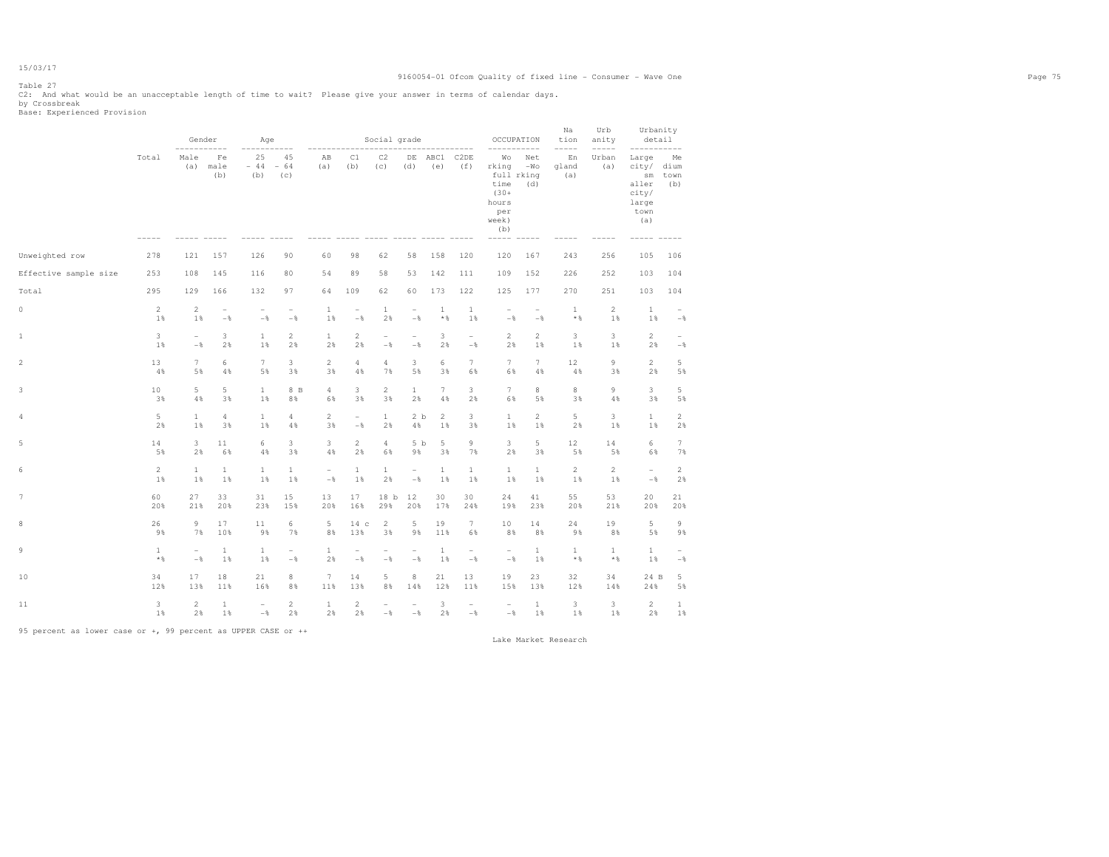# Table 27

C2: And what would be an unacceptable length of time to wait? Please give your answer in terms of calendar days.<br>by Crossbreak<br>Base: Experienced Provision

|                       |                | Gender<br>-----------    |                          | Age                      |                          |                           |                          | Social grade             |                          |                |                          | $- - - -$                                                                   | OCCUPATION                        | Na<br>tion<br>$--- - - -$ | Urb<br>anity<br>$----$ | Urbanity<br>detail                                             |                           |
|-----------------------|----------------|--------------------------|--------------------------|--------------------------|--------------------------|---------------------------|--------------------------|--------------------------|--------------------------|----------------|--------------------------|-----------------------------------------------------------------------------|-----------------------------------|---------------------------|------------------------|----------------------------------------------------------------|---------------------------|
|                       | Total          | Male<br>(a)              | Fe<br>male<br>(b)        | 25<br>$-44$<br>(b)       | 45<br>$-64$<br>(c)       | AB<br>(a)<br>------ ----- | C1<br>(b)                | C2<br>(c)                | DE<br>(d)                | ABC1<br>(e)    | C2DE<br>(f)              | Wо<br>rking<br>time<br>$(30 +$<br>hours<br>per<br>week)<br>(b)<br>$- - - -$ | Net<br>$-WO$<br>full rking<br>(d) | En<br>gland<br>(a)        | Urban<br>(a)           | Large<br>city/<br>sm<br>aller<br>city/<br>large<br>town<br>(a) | Me<br>dium<br>town<br>(b) |
| Unweighted row        | 278            | 121                      | 157                      | 126                      | 90                       | 60                        | 98                       | 62                       | 58                       | 158            | 120                      | 120                                                                         | 167                               | 243                       | 256                    | 105                                                            | 106                       |
| Effective sample size | 253            | 108                      | 145                      | 116                      | 80                       | 54                        | 89                       | 58                       | 53                       | 142            | 111                      | 109                                                                         | 152                               | 226                       | 252                    | 103                                                            | 104                       |
| Total                 | 295            | 129                      | 166                      | 132                      | 97                       | 64                        | 109                      | 62                       | 60                       | 173            | 122                      | 125                                                                         | 177                               | 270                       | 251                    | 103                                                            | 104                       |
| $\circ$               | $\overline{2}$ | $\overline{c}$           | $\overline{\phantom{a}}$ | $\overline{\phantom{a}}$ | $\overline{\phantom{a}}$ | $\mathbf{1}$              | $\overline{\phantom{a}}$ | $\mathbf{1}$             | $\overline{\phantom{a}}$ | $\mathbf{1}$   | $\mathbf{1}$             | $\overline{a}$                                                              | $\overline{\phantom{a}}$          | $\mathbf{1}$              | $\overline{2}$         | $\mathbf{1}$                                                   | $\overline{\phantom{a}}$  |
|                       | 1%             | 1%                       | $-$                      | $-\frac{6}{6}$           | $-$ %                    | 1%                        | $-$                      | 2%                       | $-$                      | $*$ %          | 1%                       | $-\frac{6}{6}$                                                              | $-$                               | $*$ %                     | 1%                     | 1%                                                             | $-$                       |
| 1                     | 3              | $\overline{\phantom{a}}$ | 3                        | $\mathbf{1}$             | $\overline{c}$           | $\mathbf{1}$              | $\overline{c}$           | $\overline{\phantom{0}}$ | $\overline{\phantom{a}}$ | 3              | $\overline{\phantom{a}}$ | $\overline{c}$                                                              | $\overline{2}$                    | 3                         | 3                      | $\overline{2}$                                                 | $\overline{\phantom{0}}$  |
|                       | 1%             | $-$                      | 2%                       | 1%                       | 2%                       | 2%                        | 2%                       | $-$                      | $-$                      | 2%             | $-$                      | 2%                                                                          | 1%                                | 1%                        | 1%                     | 2%                                                             | $-$                       |
| $\sqrt{2}$            | 13             | 7                        | 6                        | $\tau$                   | 3                        | 2                         | $\overline{4}$           | $\overline{4}$           | 3                        | 6              | $\overline{7}$           | $\overline{7}$                                                              | $7\phantom{.0}$                   | 12                        | 9                      | $\overline{2}$                                                 | 5                         |
|                       | 4%             | 5%                       | 4%                       | 5%                       | 3%                       | 3%                        | 4%                       | 7%                       | 5%                       | 3%             | 6%                       | 6%                                                                          | $4\%$                             | 4%                        | 3%                     | 2%                                                             | 5%                        |
| 3                     | 10             | 5                        | 5                        | $\mathbf{1}$             | 8 B                      | $\sqrt{4}$                | 3                        | $\overline{c}$           | $\mathbf{1}$             | $\overline{7}$ | 3                        | $7\phantom{.}$                                                              | 8                                 | 8                         | 9                      | 3                                                              | 5                         |
|                       | 3%             | 4%                       | 3%                       | 1%                       | 8%                       | 6%                        | 3%                       | 3%                       | 2%                       | 4%             | 2%                       | 6%                                                                          | 5%                                | 3%                        | 4%                     | 3%                                                             | 5%                        |
| $\overline{4}$        | 5              | $\mathbf{1}$             | $\overline{4}$           | $\mathbf{1}$             | $\overline{4}$           | $\sqrt{2}$                | $\overline{\phantom{0}}$ | $\mathbf{1}$             | 2 b                      | $\overline{c}$ | 3                        | $\mathbf 1$                                                                 | $\mathbf{2}$                      | 5                         | 3                      | $\mathbf{1}$                                                   | $\overline{a}$            |
|                       | 2%             | 1%                       | 3%                       | 1%                       | 4%                       | 3%                        | $-$                      | 2%                       | 4%                       | 1%             | 3%                       | 1%                                                                          | 1%                                | 2%                        | 1%                     | 1%                                                             | 2%                        |
| 5                     | 14             | 3                        | 11                       | 6                        | 3                        | 3                         | $\overline{2}$           | 4                        | 5 b                      | 5              | 9                        | 3                                                                           | 5                                 | 12                        | 14                     | 6                                                              | $7\phantom{.}$            |
|                       | 5%             | 2%                       | 6%                       | 4%                       | 3%                       | 4%                        | 2%                       | 6%                       | 9%                       | 3%             | 7%                       | 2%                                                                          | 3%                                | 5%                        | 5%                     | 6%                                                             | 7%                        |
| 6                     | $\overline{2}$ | $\mathbf{1}$             | $\mathbf{1}$             | 1                        | 1                        | $\overline{\phantom{a}}$  | 1                        | 1                        | $\overline{\phantom{a}}$ | 1              | $\mathbf{1}$             | $\mathbf{1}$                                                                | 1                                 | $\overline{c}$            | $\overline{2}$         | $\overline{\phantom{0}}$                                       | $\overline{2}$            |
|                       | 1%             | 1%                       | 1%                       | 1%                       | 1%                       | $-\,$                     | 1%                       | 2%                       | $-\,$                    | 1%             | 1%                       | 1%                                                                          | 1%                                | 1%                        | 1%                     | $-\,$                                                          | 2%                        |
| $7\phantom{.0}$       | 60             | 27                       | 33                       | 31                       | 15                       | 13                        | 17                       | 18 <sub>b</sub>          | 12                       | 30             | 30                       | 24                                                                          | 41                                | 55                        | 53                     | 20                                                             | 21                        |
|                       | 20%            | 21%                      | 20%                      | 23%                      | 15%                      | 20%                       | 16%                      | 29%                      | 20%                      | 17%            | 24%                      | 19%                                                                         | 23%                               | 20%                       | 21%                    | 20%                                                            | 20%                       |
| 8                     | 26             | $\circ$                  | 17                       | 11                       | 6                        | $\,$ 5                    | 14 <sub>c</sub>          | $\sqrt{2}$               | 5                        | 19             | $7\phantom{.}$           | 10                                                                          | 14                                | 24                        | 19                     | 5                                                              | 9                         |
|                       | 9%             | 7%                       | 10%                      | 9%                       | 7%                       | 8%                        | 13%                      | 3%                       | 9%                       | 11%            | 6%                       | 8%                                                                          | 8%                                | 9%                        | 8%                     | 5%                                                             | 9%                        |
| 9                     | $\mathbf{1}$   | $\overline{\phantom{0}}$ | $\mathbf{1}$             | $\mathbf{1}$             | $\overline{\phantom{a}}$ | $\mathbf{1}$              | $\overline{\phantom{a}}$ | $\overline{\phantom{0}}$ | $\overline{\phantom{a}}$ | $\mathbf{1}$   | $\overline{\phantom{0}}$ | $\overline{\phantom{a}}$                                                    | $\mathbf{1}$                      | $\mathbf{1}$              | $\mathbf{1}$           | $\mathbf{1}$                                                   | $\overline{\phantom{0}}$  |
|                       | $\star$ $\,$   | $-\,$ %                  | $1$ %                    | 1%                       | $-\,$                    | 2%                        | $-\,$                    | $-\,$                    | $-\,$                    | 1%             | $-\,$ $\,$               | $-\,$                                                                       | 1%                                | $\star$ &                 | $*$ &                  | $1\,$                                                          | $-\,$ $\,$                |
| 10                    | 34             | 17                       | 18                       | 21                       | 8                        | $7\phantom{.0}$           | 14                       | 5                        | 8                        | 21             | 13                       | 19                                                                          | 23                                | 32                        | 34                     | 24 B                                                           | 5                         |
|                       | 12%            | 13%                      | 11%                      | 16%                      | 8%                       | 11%                       | 13%                      | 8%                       | 14%                      | 12%            | 11%                      | 15%                                                                         | 13%                               | 12%                       | 14%                    | 24%                                                            | 5%                        |
| 11                    | 3              | 2                        | $\mathbf{1}$             | $\overline{\phantom{a}}$ | $\overline{2}$           | $\mathbf{1}$              | $\overline{c}$           | $\overline{\phantom{0}}$ | $\overline{\phantom{a}}$ | 3              | $\overline{\phantom{a}}$ | $\overline{\phantom{a}}$                                                    | $\mathbf{1}$                      | 3                         | 3                      | $\overline{c}$                                                 | $\mathbf{1}$              |
|                       | 1%             | 2%                       | 1%                       | $-\,$                    | 2%                       | 2%                        | 2%                       | $-$                      | $-$                      | 2%             | $-$                      | $-\,$                                                                       | 1%                                | 1%                        | 1%                     | 2%                                                             | 1%                        |

95 percent as lower case or +, 99 percent as UPPER CASE or ++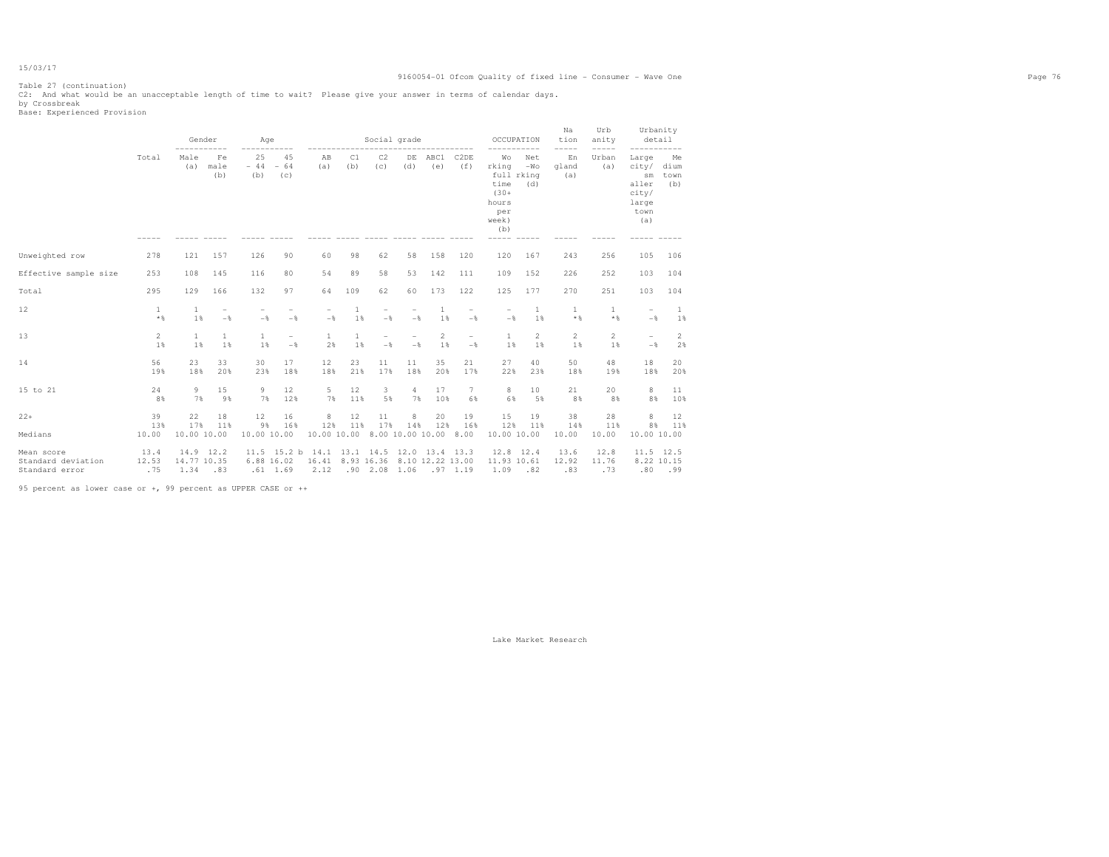## 9160054-01 Ofcom Quality of fixed line - Consumer - Wave One Page 76

Table 27 (continuation)

C2: And what would be an unacceptable length of time to wait? Please give your answer in terms of calendar days.<br>by Crossbreak<br>Base: Experienced Provision

|                                                    |                              | Gender                          |                                            | Age                      | -----                                      |                                                                                        |                    | Social grade<br>----------------------- |                |             |                                            | OCCUPATION                                                                            | -----               | Na<br>tion<br>-----  | Urb<br>anity<br>$--- - - -$ | Urbanity<br>detail<br>-----------                                                      |                           |
|----------------------------------------------------|------------------------------|---------------------------------|--------------------------------------------|--------------------------|--------------------------------------------|----------------------------------------------------------------------------------------|--------------------|-----------------------------------------|----------------|-------------|--------------------------------------------|---------------------------------------------------------------------------------------|---------------------|----------------------|-----------------------------|----------------------------------------------------------------------------------------|---------------------------|
|                                                    | Total                        | Male<br>(a)                     | Fe<br>male<br>(b)                          | 25<br>$-44$<br>(b)       | 45<br>$-64$<br>(C)                         | AB<br>(a)                                                                              | C1<br>(b)          | C2<br>(c)                               | DE<br>(d)      | ABC1<br>(e) | C2DE<br>(f)                                | Wo<br>rking<br>full rking<br>time<br>$(30 +$<br>hours<br>per<br>week)<br>(b)<br>----- | Net<br>$-WO$<br>(d) | En<br>gland<br>(a)   | Urban<br>(a)                | Large<br>city/<br>$\mathop{\rm sm}\nolimits$<br>aller<br>city/<br>large<br>town<br>(a) | Me<br>dium<br>town<br>(b) |
| Unweighted row                                     | 278                          | 121                             | 157                                        | 126                      | 90                                         | 60                                                                                     | 98                 | 62                                      | 58             | 158         | 120                                        | 120                                                                                   | 167                 | 243                  | 256                         | 105                                                                                    | 106                       |
| Effective sample size                              | 253                          | 108                             | 145                                        | 116                      | 80                                         | 54                                                                                     | 89                 | 58                                      | 53             | 142         | 111                                        | 109                                                                                   | 152                 | 226                  | 252                         | 103                                                                                    | 104                       |
| Total                                              | 295                          | 129                             | 166                                        | 132                      | 97                                         | 64                                                                                     | 109                | 62                                      | 60             | 173         | 122                                        | 125                                                                                   | 177                 | 270                  | 251                         | 103                                                                                    | 104                       |
| 12                                                 | $\mathbf{1}$<br>$\star$ $\,$ | 1<br>1%                         | $\overline{\phantom{m}}$<br>$-\frac{6}{5}$ | $\qquad \qquad -$<br>$-$ | $-\frac{6}{5}$                             | $-\frac{6}{5}$                                                                         | $\mathbf{1}$<br>1% | $-$                                     | $-$            | 1%          | $\overline{\phantom{a}}$<br>$-\frac{6}{5}$ | $-$                                                                                   | $1\,$<br>1%         | 1<br>$*$ %           | 1<br>$*$ &                  | $\overline{\phantom{a}}$<br>$-\frac{6}{6}$                                             | $\mathbf{1}$<br>1%        |
| 13                                                 | 2<br>1%                      | $\mathbf{1}$<br>1%              | 1<br>1%                                    | 1<br>1%                  | $\overline{\phantom{m}}$<br>$-\frac{6}{5}$ | 1<br>2%                                                                                | 1<br>1%            | $\equiv$<br>$-$                         | $-\frac{6}{6}$ | 2<br>1%     | $\overline{\phantom{m}}$<br>$-\frac{6}{6}$ | 1<br>1%                                                                               | 2<br>1%             | 2<br>1%              | 2<br>1%                     | $\overline{\phantom{a}}$<br>$-\frac{6}{6}$                                             | $\overline{2}$<br>2%      |
| 14                                                 | 56<br>19%                    | 23<br>18%                       | 33<br>20%                                  | 30<br>23%                | 17<br>18%                                  | 12<br>18%                                                                              | 23<br>21%          | 11<br>17%                               | 11<br>18%      | 35<br>20%   | 21<br>17%                                  | 27<br>22%                                                                             | 40<br>23%           | 50<br>18%            | 48<br>19%                   | 18<br>18%                                                                              | 20<br>20%                 |
| 15 to 21                                           | 24<br>8%                     | 9<br>7%                         | 15<br>9%                                   | 9<br>7%                  | 12<br>12%                                  | 5<br>7%                                                                                | 12<br>11%          | 3<br>5%                                 | 4<br>7%        | 17<br>10%   | 7<br>6%                                    | 8<br>6%                                                                               | 10<br>5%            | 21<br>8%             | 20<br>8%                    | 8<br>8%                                                                                | 11<br>10%                 |
| $22+$<br>Medians                                   | 39<br>13%<br>10.00           | 22<br>17%<br>10.00 10.00        | 18<br>11%                                  | 12<br>9%<br>10.00 10.00  | 16<br>16%                                  | 8<br>12%<br>10.00 10.00 8.00 10.00 10.00                                               | 12<br>11%          | 11<br>17%                               | 8<br>14%       | 20<br>12%   | 19<br>16%<br>8.00                          | 15<br>12%<br>10.00 10.00                                                              | 19<br>11%           | 38<br>14%<br>10.00   | 28<br>11%<br>10.00          | 8<br>8%<br>10.00 10.00                                                                 | 12<br>11%                 |
| Mean score<br>Standard deviation<br>Standard error | 13.4<br>12.53<br>.75         | 14.9<br>14.77 10.35<br>1.34 .83 | 12.2                                       | 6.88 16.02               | .61 1.69                                   | 11.5 15.2 b 14.1 13.1 14.5 12.0 13.4 13.3<br>16.41 8.93 16.36 8.10 12.22 13.00<br>2.12 |                    | $.90$ 2.08 1.06                         |                | .97 1.19    |                                            | 12.8 12.4<br>11.93 10.61<br>1.09 .82                                                  |                     | 13.6<br>12.92<br>.83 | 12.8<br>11.76<br>.73        | 11.5 12.5<br>8.22 10.15                                                                | .80.99                    |

95 percent as lower case or +, 99 percent as UPPER CASE or ++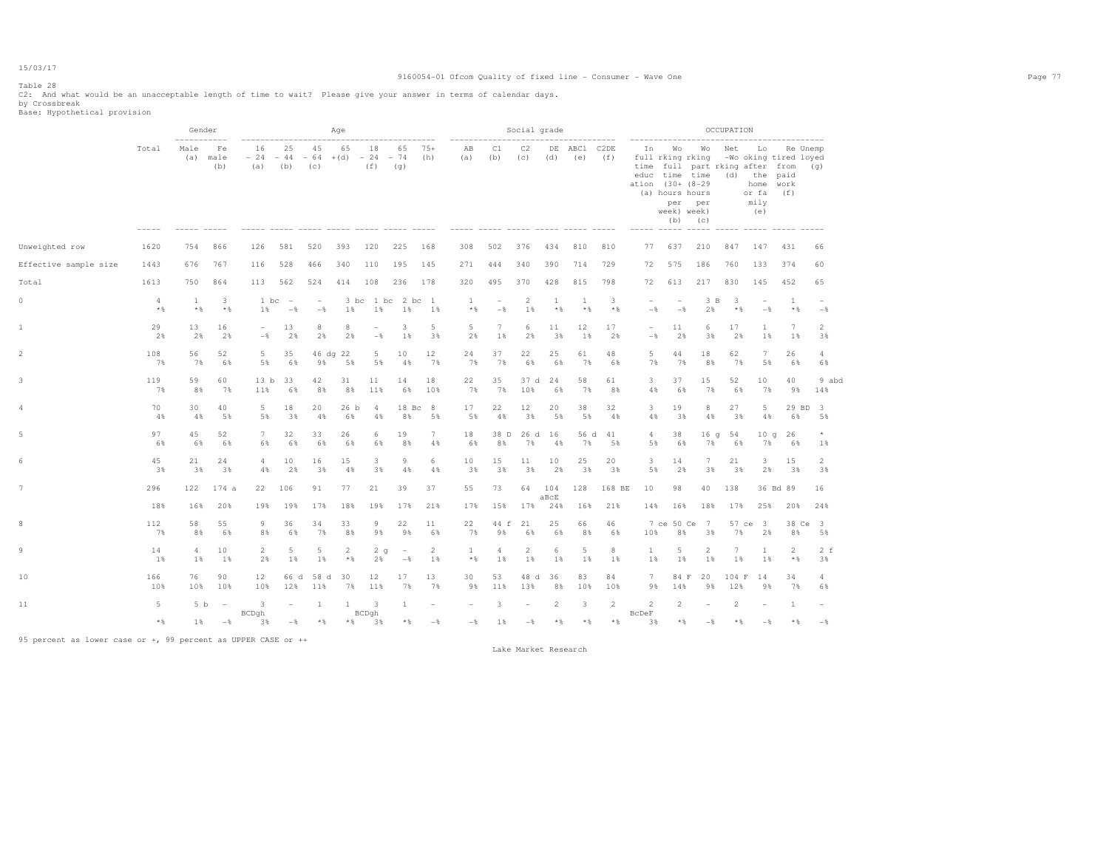## 9160054-01 Ofcom Quality of fixed line - Consumer - Wave One Page 77

Table 28

C2: And what would be an unacceptable length of time to wait? Please give your answer in terms of calendar days. by Crossbreak Base: Hypothetical provision

|                       |            | Gender              |                   |                                 |                   |                          | Age                   |                                              |                                                   |                       |                              |                                            | Social grade         |                |                     |                |                          | ---------------                                                           |                                                                                  | OCCUPATION   |                                             |                                           |                                   |
|-----------------------|------------|---------------------|-------------------|---------------------------------|-------------------|--------------------------|-----------------------|----------------------------------------------|---------------------------------------------------|-----------------------|------------------------------|--------------------------------------------|----------------------|----------------|---------------------|----------------|--------------------------|---------------------------------------------------------------------------|----------------------------------------------------------------------------------|--------------|---------------------------------------------|-------------------------------------------|-----------------------------------|
|                       | Total      | Male<br>(a)         | Fe<br>male<br>(b) | 16<br>(a)                       | 25<br>$(b)$ $(c)$ | 45                       | 65                    | 18<br>$-24 - 44 - 64 + (d) - 24 - 74$<br>(f) | 65<br>(q)<br>----- ----- ----- -----              | $75+$<br>(h)          | AB<br>(a)                    | C1<br>(b)                                  | C2<br>(c)            | (d)            | DE ABC1 C2DE<br>(e) | (f)            | ation (30+ (8-29)        | In Wo<br>full rking rking<br>(a) hours hours<br>per<br>week) week)<br>(b) | time full part rking after from (q)<br>educ time time (d) the paid<br>per<br>(C) | Wo Net       | Lo<br>or fa<br>mily<br>(e)<br>$\frac{1}{2}$ | -Wo oking tired loyed<br>home work<br>(f) | Re Unemp                          |
| Unweighted row        | 1620       | 754                 | 866               | 126                             | 581               | 520                      | 393                   | 120                                          | 225                                               | 168                   | 308                          | 502                                        | 376                  | 434            | 810                 | 810            | 77                       | 637                                                                       | 210                                                                              | 847          | 147                                         | 431                                       | 66                                |
| Effective sample size | 1443       | 676                 | 767               | 116                             | 528               | 466                      | 340                   | 110                                          | 195                                               | 145                   | 271                          | 444                                        | 340                  | 390            | 714                 | 729            | 72                       | 575                                                                       | 186                                                                              | 760          | 133                                         | 374                                       | 60                                |
| Total                 | 1613       | 750                 | 864               | 113                             | 562               | 524                      | 414                   | 108                                          | 236                                               | 178                   | 320                          | 495                                        | 370                  | 428            | 815                 | 798            | 72                       | 613                                                                       | 217                                                                              | 830          | 145                                         | 452                                       | 65                                |
| $\circ$               | 4<br>$*$ & | <sup>1</sup><br>$*$ | 3<br>$*$          | 1 bc<br>1%                      | $\sim$<br>$-$     | $\sim$<br>$-\frac{6}{6}$ | 1%                    | 3 bc 1 bc<br>1%                              | 2 bc 1<br>1%                                      | 1%                    | $\mathbf{1}$<br>$\star$ $\,$ | $\overline{\phantom{a}}$<br>$-\frac{6}{6}$ | 2<br>1%              | -1<br>$*$      | 1<br>$*$            | 3<br>$*$ %     | $\sim$<br>$-$            | $\overline{\phantom{a}}$<br>$-\frac{6}{6}$                                | 3 B<br>2%                                                                        | -3<br>$*$ %  | $\overline{\phantom{m}}$<br>$-$             | 1<br>$*$ &                                | $\overline{\phantom{a}}$<br>$-$ 8 |
| 1                     | 29<br>2%   | 13<br>2%            | 16<br>2%          | $\overline{\phantom{0}}$<br>$-$ | 13<br>2%          | 8<br>2%                  | 8<br>2%               | $\overline{a}$<br>$-$                        | 3<br>1%                                           | 5<br>3%               | 5<br>2%                      | 7<br>1%                                    | 6<br>2%              | 11<br>3%       | 12<br>18            | 17<br>2%       | $\sim$<br>$-\frac{6}{5}$ | 11<br>2%                                                                  | 6<br>3%                                                                          | 17<br>2%     | $\mathbf{1}$<br>1%                          | 7<br>1%                                   | 2<br>3%                           |
| $\overline{2}$        | 108<br>7%  | 56<br>7%            | 52<br>6%          | 5<br>5%                         | 35<br>6%          | 9%                       | 46 dg 22<br>5%        | 5<br>5%                                      | 10<br>4%                                          | 12<br>7%              | 24<br>7%                     | 37<br>7%                                   | 22<br>6%             | 25<br>6%       | 61<br>7%            | 48<br>6%       | 5<br>7%                  | 44<br>7%                                                                  | 18<br>8%                                                                         | 62<br>7%     | $7\phantom{.0}$<br>5%                       | 26<br>6%                                  | 4<br>6%                           |
| 3                     | 119<br>7%  | 59<br>8%            | 60<br>7%          | 13 <sub>b</sub><br>11%          | 33<br>6%          | 42<br>8%                 | 31<br>8%              | 11<br>11%                                    | 14<br>6%                                          | 18<br>10%             | 22<br>7%                     | 35<br>7%                                   | 37 d<br>10%          | 24<br>6%       | 58<br>7%            | 61<br>8%       | 3<br>4%                  | 37<br>6%                                                                  | 15<br>7%                                                                         | 52<br>6%     | 10<br>7%                                    | 40<br>9%                                  | 9 abd<br>14%                      |
| 4                     | 70<br>4%   | 30<br>4%            | 40<br>5%          | 5<br>5%                         | 18<br>3%          | 20<br>4%                 | 26 <sub>b</sub><br>6% | 4<br>4%                                      | $18$ Bc<br>8%                                     | 8<br>5%               | 17<br>5%                     | 22<br>4%                                   | 12<br>3%             | 20<br>5%       | 38<br>5%            | 32<br>4%       | 3<br>4%                  | 19<br>3%                                                                  | 8<br>4%                                                                          | 27<br>3%     | 5<br>4%                                     | 29 BD<br>6%                               | $\overline{\mathbf{3}}$<br>5%     |
| 5.                    | 97<br>6%   | 45<br>6%            | 52<br>6%          | 7<br>6%                         | 32<br>6%          | 33<br>6%                 | 26<br>6%              | 6<br>6%                                      | 19<br>8%                                          | $7\phantom{.0}$<br>4% | 18<br>6%                     | 38 D<br>8%                                 | 7%                   | 26 d 16<br>4%  | 56 d<br>7%          | 41<br>5%       | $\overline{4}$<br>5%     | 38<br>6%                                                                  | 16 <sub>q</sub><br>7%                                                            | 54<br>6%     | 10q<br>7%                                   | 26<br>6%                                  | $\star$<br>1%                     |
| 6                     | 45<br>3%   | 21<br>3%            | 24<br>3%          | $\overline{4}$<br>4%            | 10<br>2%          | 16<br>3%                 | 15<br>4%              | 3<br>3%                                      | $\overline{9}$<br>4%                              | 6<br>4%               | 10<br>3%                     | 15<br>3%                                   | 11<br>3%             | 10<br>2%       | 25<br>3%            | 20<br>3%       | 3<br>5%                  | 14<br>2%                                                                  | $7\phantom{.0}$<br>3%                                                            | 21<br>3%     | 3<br>2%                                     | 15<br>3%                                  | 2<br>3%                           |
|                       | 296        | 122                 | 174a              | 22                              | 106               | 91                       | 77                    | 21                                           | 39                                                | 37                    | 55                           | 73                                         | 64                   | 104<br>aBcE    | 128                 | 168 BE         | 10                       | 98                                                                        | 40                                                                               | 138          |                                             | 36 Bd 89                                  | 16                                |
|                       | 18%        | 16%                 | 20%               | 19%                             | 19%               | 17%                      | 18%                   | 19%                                          | 17%                                               | 21%                   | 17%                          | 15%                                        | 17%                  | 24%            | 16%                 | 21%            | 14%                      | 16%                                                                       | 18%                                                                              | 17%          | 25%                                         | 20%                                       | 24%                               |
| 8                     | 112<br>7%  | 58<br>8%            | 55<br>6%          | 9<br>8%                         | 36<br>6%          | 34<br>7%                 | 33<br>8%              | 9<br>9%                                      | 22<br>9%                                          | 11<br>6%              | 22<br>7%                     | 44 f<br>9%                                 | 21<br>6%             | 25<br>6%       | 66<br>8%            | 46<br>6%       | 10%                      | 7 ce 50 Ce<br>8%                                                          | 7<br>3%                                                                          | 57 ce<br>7%  | $\overline{\mathbf{3}}$<br>2%               | 8%                                        | 38 Ce 3<br>5%                     |
| q                     | 14<br>1%   | 4<br>1%             | 10<br>1%          | $\overline{2}$<br>2%            | 5<br>1%           | 5<br>1%                  | $\overline{2}$<br>$*$ | 2q<br>2%                                     | $\hspace{0.1mm}-\hspace{0.1mm}$<br>$-\frac{6}{5}$ | 2<br>1%               | $\mathbf{1}$<br>$\star$ $\,$ | 4<br>1%                                    | $\overline{2}$<br>1% | 6<br>1%        | 5<br>1%             | 8<br>1%        | $\mathbf{1}$<br>1%       | 5<br>1%                                                                   | $\overline{2}$<br>1%                                                             | 7<br>1%      | $\mathbf{1}$<br>1%                          | $\overline{2}$<br>$*$ %                   | $2-f$<br>3%                       |
| 10                    | 166<br>10% | 76<br>10%           | 90<br>10%         | 12<br>10%                       | 66 d<br>12%       | 58 d<br>11%              | 30<br>7%              | 12<br>11%                                    | 17<br>7%                                          | 13<br>7%              | 30<br>98                     | 53<br>11%                                  | 48 d<br>13%          | 36<br>8%       | 83<br>10%           | 84<br>10%      | 7<br>9%                  | 84 F<br>14%                                                               | 20<br>9%                                                                         | 104 F<br>12% | 14<br>9%                                    | 34<br>7%                                  | 4<br>6%                           |
| 11                    | $5 -$      | 5 <sub>b</sub>      | $\sim$ $-$        | $\overline{\mathbf{3}}$         |                   | <sup>1</sup>             | <sup>1</sup>          | $\overline{\phantom{a}}$                     | 1                                                 |                       |                              | 3                                          |                      | $\overline{2}$ | 3                   | $\overline{2}$ | $\overline{2}$           | 2                                                                         |                                                                                  | 2            |                                             | $\mathbf{1}$                              | $\overline{\phantom{a}}$          |
|                       | $*$ %      | 1%                  | $-\frac{6}{6}$    | BCDqh<br>3%                     | $-$               | $*$ &                    | $\star$ $\,$          | BCDah<br>3%                                  | $\star$ $\,$                                      | $-$                   | $-\frac{6}{6}$               | 1%                                         | $-$ 8                | $\star$ $\,$   | $*$ %               | $*$ %          | <b>BcDeF</b><br>3%       | $*$ &                                                                     | $-$                                                                              | $*$          | $-$                                         | $\star$ &                                 | $-$ %                             |

95 percent as lower case or +, 99 percent as UPPER CASE or ++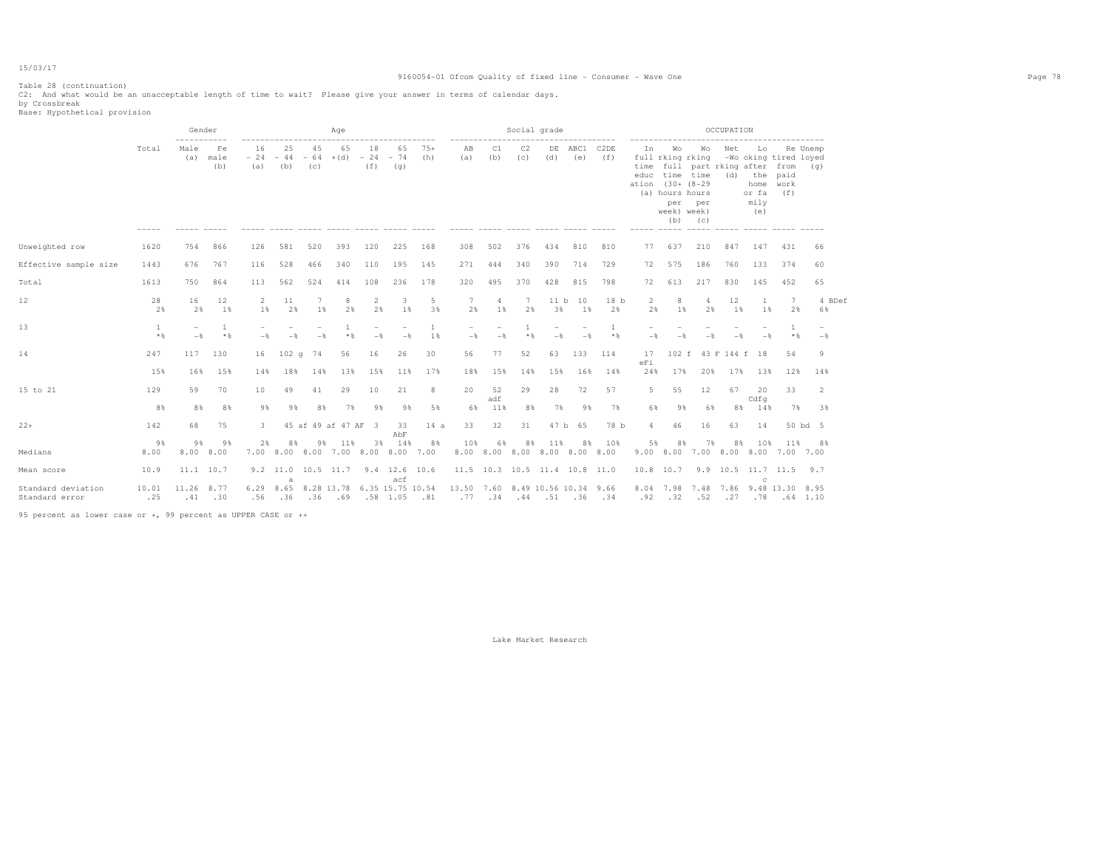Table 28 (continuation) C2: And what would be an unacceptable length of time to wait? Please give your answer in terms of calendar days. by Crossbreak Base: Hypothetical provision

|                                      |              | Gender         |                   |                    |                               |           | Age                 |                      |                                                          |                    |                                  |           | Social grade                        |            |             |                          |                        |                                                                                          |                                                         | OCCUPATION |                                                    |                                                  |                                 |  |
|--------------------------------------|--------------|----------------|-------------------|--------------------|-------------------------------|-----------|---------------------|----------------------|----------------------------------------------------------|--------------------|----------------------------------|-----------|-------------------------------------|------------|-------------|--------------------------|------------------------|------------------------------------------------------------------------------------------|---------------------------------------------------------|------------|----------------------------------------------------|--------------------------------------------------|---------------------------------|--|
|                                      | Total        | Male<br>(a)    | Fe<br>male<br>(b) | 16<br>$-24$<br>(a) | 25<br>$-44 - 64 + (d)$<br>(b) | 45<br>(C) | 65                  | 18<br>$-24$<br>(f)   | 65<br>$-74$<br>(q)                                       | $75+$<br>(h)       | AB<br>(a)                        | C1<br>(b) | C2<br>(C)                           | DE<br>(d)  | ABC1<br>(e) | C <sub>2</sub> DE<br>(f) | In<br>ation (30+ (8-29 | Wo<br>full rking rking<br>educ time time<br>(a) hours hours<br>per<br>week) week)<br>(b) | Wo<br>time full part rking after from (q)<br>per<br>(C) | Net        | Lo<br>(d) the paid<br>home<br>or fa<br>mily<br>(e) | Re Unemp<br>-Wo oking tired loyed<br>work<br>(f) |                                 |  |
| Unweighted row                       | 1620         | 754            | 866               | 126                | 581                           | 520       | 393                 | 120                  | 225                                                      | 168                | 308                              | 502       | 376                                 | 434        | 810         | 810                      | 77                     | 637                                                                                      | 210                                                     | 847        | 147                                                | 431                                              | 66                              |  |
| Effective sample size                | 1443         | 676            | 767               | 116                | 528                           | 466       | 340                 | 110                  | 195                                                      | 145                | 271                              | 444       | 340                                 | 390        | 714         | 729                      | 72                     | 575                                                                                      | 186                                                     | 760        | 133                                                | 374                                              | 60                              |  |
| Total                                | 1613         | 750            | 864               | 113                | 562                           | 524       | 414                 | 108                  | 236                                                      | 178                | 320                              | 495       | 370                                 | 428        | 815         | 798                      | 72                     | 613                                                                                      | 217                                                     | 830        | 145                                                | 452                                              | 65                              |  |
| 12                                   | 28<br>2%     | 16<br>2%       | 12<br>1%          | 2<br>1%            | 11<br>2%                      | 1%        | 8<br>2%             | $\overline{2}$<br>2% | 3<br>1%                                                  | 5<br>3%            | 7<br>2%                          | 4<br>1%   | 7<br>2%                             | 11 b<br>3% | 10<br>1%    | 18 <sub>b</sub><br>2%    | $\overline{c}$<br>2%   | 8<br>1%                                                                                  | 4<br>2%                                                 | 12<br>1%   | 1%                                                 | 7<br>2%                                          | 4 BDef<br>6%                    |  |
| 13                                   | 1<br>$*$     | $-\frac{6}{5}$ | 1<br>$*$          | $-\frac{6}{5}$     | $-$                           | $-$       | $*$ &               | $-$                  | $-$                                                      | $\mathbf{1}$<br>1% | $-$                              | $-$       | $*$ &                               | $-$        | $-$         | $\mathbf{1}$<br>$*$ &    | $-$                    |                                                                                          |                                                         |            | $-$                                                | $\mathbf{1}$<br>$*$ &                            | $\overline{\phantom{a}}$<br>$-$ |  |
| 14                                   | 247          | 117            | 130               | 16                 | 102q                          | 74        | 56                  | 16                   | 26                                                       | 30                 | 56                               | 77        | 52                                  | 63         | 133         | 114                      | 17<br>eFi              |                                                                                          | 102 f 43 F 144 f 18                                     |            |                                                    | 54                                               | 9                               |  |
|                                      | 15%          | 16%            | 15%               | 14%                | 18%                           | 14%       | 13%                 | 15%                  | 11%                                                      | 17%                | 18%                              | 15%       | 14%                                 | 15%        | 16%         | 14%                      | 24%                    | 17%                                                                                      | 20%                                                     | 17%        | 13%                                                | 12%                                              | 14%                             |  |
| 15 to 21                             | 129          | 59             | 70                | 10                 | 49                            | 41        | 29                  | 10                   | 21                                                       | 8                  | 20                               | 52<br>adf | 29                                  | 28         | 72          | 57                       | 5                      | 55                                                                                       | 12                                                      | 67         | 20<br>Cdfq                                         | 33                                               | 2                               |  |
|                                      | 8%           | 8%             | 8%                | 9%                 | 9%                            | 8%        | 7%                  | 9%                   | 9%                                                       | 5%                 | 6%                               | 11%       | 8%                                  | 7%         | 9 %         | 7%                       | 6%                     | 98                                                                                       | 68                                                      | 8%         | 14%                                                | 7%                                               | 3%                              |  |
| $22+$                                | 142          | 68             | 75                | 3.                 |                               |           | 45 af 49 af 47 AF 3 |                      | 33<br>AbF                                                | 14a                | 33                               | 32        | 31                                  |            | 47 b 65     | 78 b                     | 4                      | 46                                                                                       | 16                                                      | 63         | 14                                                 |                                                  | 50 bd 5                         |  |
| Medians                              | 98<br>8.00   | 9%<br>8.00     | 9%<br>8.00        | 2%                 | 8%                            | 9%        | 11%                 | 3%                   | 14%<br>7.00 8.00 8.00 7.00 8.00 8.00 7.00                | 8%                 | 10%                              | 6%        | 8%<br>8.00 8.00 8.00 8.00 8.00 8.00 | 11%        | 8%          | 10%                      | 5%                     | 8%                                                                                       | 7%<br>9.00 8.00 7.00 8.00 8.00 7.00 7.00                | 8%         | 10%                                                | 11%                                              | 8%                              |  |
| Mean score                           | 10.9         | 11.1 10.7      |                   |                    |                               |           |                     |                      | 9.2 11.0 10.5 11.7 9.4 12.6 10.6                         |                    |                                  |           | 11.5 10.3 10.5 11.4 10.8 11.0       |            |             |                          |                        | 10.8 10.7                                                                                |                                                         |            | 9.9 10.5 11.7 11.5                                 |                                                  | 9.7                             |  |
| Standard deviation<br>Standard error | 10.01<br>.25 | 11.26<br>.41   | 8.77<br>.30       | .56                | a<br>$.36$ $.36$ $.69$        |           |                     |                      | acf<br>6.29 8.65 8.28 13.78 6.35 15.75 10.54<br>.58 1.05 | .81                | 13.50 7.60 8.49 10.56 10.34 9.66 |           | .77 .34 .44 .51 .36 .34             |            |             |                          |                        | 8.04 7.98 7.48<br>$.92 - .32$                                                            | .52                                                     |            | C.<br>7.86 9.48 13.30                              | $.27$ $.78$ $.64$ 1.10                           | 8.95                            |  |

95 percent as lower case or +, 99 percent as UPPER CASE or ++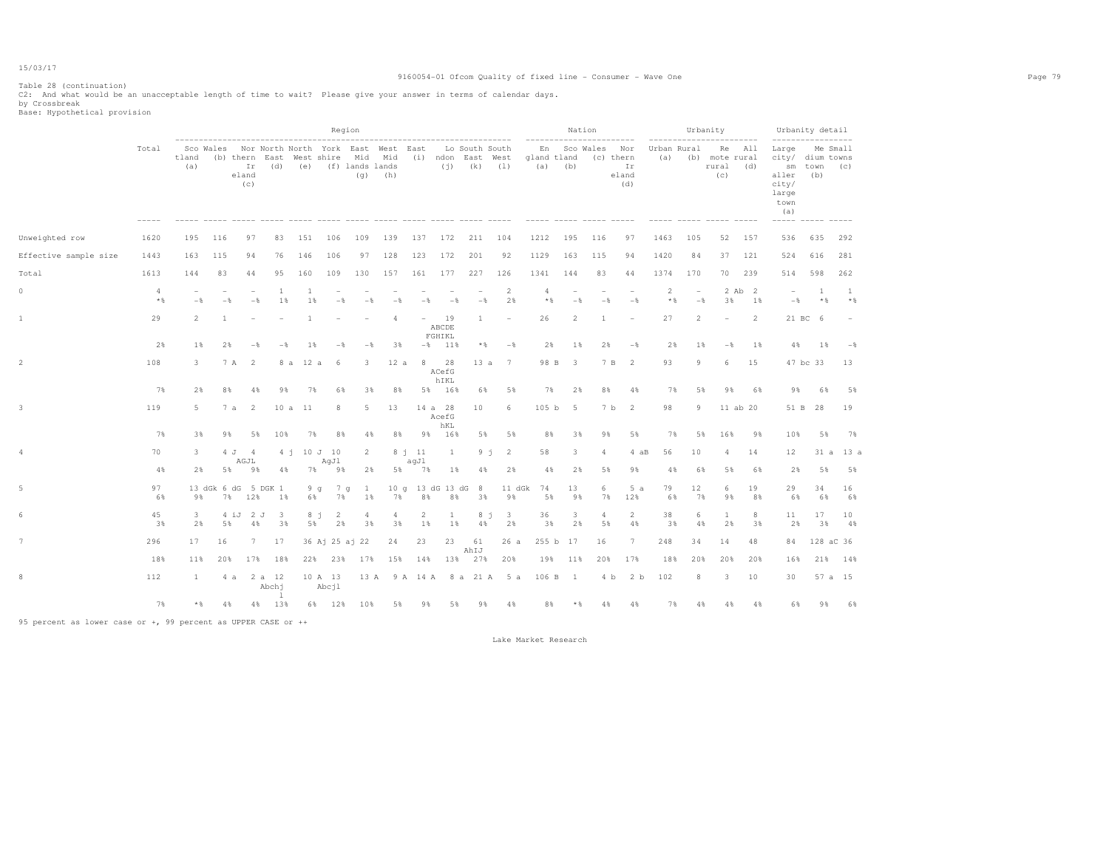## 9160054-01 Ofcom Quality of fixed line - Consumer - Wave One Page 79

Table 28 (continuation)

C2: And what would be an unacceptable length of time to wait? Please give your answer in terms of calendar days. by Crossbreak Base: Hypothetical provision

|                       |            |                |                          |                      |                                                                                                                                                         |             |                     | Region             |                                               |                          |                         |              |                                                                                        |           |           | Nation                          |                                                        |                          |                          |                                 | Urbanity                           |              | $\frac{1}{2}$                                                                                | Urbanity detail    |           |  |
|-----------------------|------------|----------------|--------------------------|----------------------|---------------------------------------------------------------------------------------------------------------------------------------------------------|-------------|---------------------|--------------------|-----------------------------------------------|--------------------------|-------------------------|--------------|----------------------------------------------------------------------------------------|-----------|-----------|---------------------------------|--------------------------------------------------------|--------------------------|--------------------------|---------------------------------|------------------------------------|--------------|----------------------------------------------------------------------------------------------|--------------------|-----------|--|
|                       | Total      | tland<br>(a)   |                          | eland<br>(c)         | -----------------------------------<br>Sco Wales Nor North North York East West East<br>(b) thern East West shire Mid Mid<br>Ir (d) (e) (f) lands lands |             |                     |                    | --------------------------------<br>$(q)$ (h) |                          |                         |              | Lo South South<br>(i) ndon East West gland tland<br>$(i)$ $(k)$ $(1)$<br>$\frac{1}{2}$ |           | $(a)$ (b) |                                 | ---------<br>En Sco Wales Nor Urban Rural<br>(c) thern | Ir<br>eland<br>(d)       | $- - - - - - - -$<br>(a) |                                 | (b) mote rural<br>rural (d)<br>(c) | .<br>Re All  | Large Me Small<br>city/ dium towns<br>aller<br>city/<br>large<br>town<br>(a)<br>------ ----- | sm town (c)<br>(b) |           |  |
| Unweighted row        | 1620       | 195            | 116                      | 97                   | 83                                                                                                                                                      | 151         | 106                 | 109                | 139                                           | 137                      | 172                     | 211          | 104                                                                                    | 1212      | 195       |                                 | 116                                                    | 97                       | 1463                     | 105                             | 52                                 | 157          | 536                                                                                          | 635                | 292       |  |
| Effective sample size | 1443       | 163            | 115                      | 94                   | 76                                                                                                                                                      | 146         | 106                 | 97                 | 128                                           | 123                      | 172                     | 201          | 92                                                                                     | 1129      | 163       |                                 | 115                                                    | 94                       | 1420                     | 84                              | 37                                 | 121          | 524                                                                                          | 616                | 281       |  |
| Total                 | 1613       | 144            | 83                       | 44                   | 95                                                                                                                                                      | 160         | 109                 | 130                | 157                                           | 161                      | 177                     | 227          | 126                                                                                    | 1341      | 144       |                                 | 83                                                     | 44                       | 1374                     | 170                             | 70                                 | 239          | 514                                                                                          | 598                | 262       |  |
| $\circ$               | 4<br>$*$ & | $-$            | $\qquad \qquad -$<br>$-$ | $-$                  | -1<br>1%                                                                                                                                                | 1<br>1%     | $-$                 | $-$                | $-$                                           | $-$                      | $-$                     | $-$          | 2<br>2%                                                                                | 4         | $*$ %     | $\overline{\phantom{a}}$<br>$-$ | $-$                                                    | $-$                      | 2<br>$*$ %               | $\overline{\phantom{a}}$<br>$-$ | 3%                                 | 2 Ab 2<br>1% | $\overline{\phantom{a}}$<br>$-\frac{6}{6}$                                                   | -1<br>$*$ %        | -1<br>$*$ |  |
| 1                     | 29         | $\overline{2}$ | 1                        |                      |                                                                                                                                                         | -1.         |                     |                    | $\overline{4}$                                | $\overline{\phantom{a}}$ | 19<br>ABCDE<br>FGHIKL   | $\mathbf{1}$ | $\overline{\phantom{a}}$                                                               | 26        |           | $\overline{2}$                  | 1                                                      |                          | 27                       | 2                               | $\overline{\phantom{m}}$           | 2            |                                                                                              | 21 BC 6            |           |  |
|                       | 2%         | 1%             |                          | $2\%$<br>$-$         | $-$                                                                                                                                                     | 1%          | $-$                 | $-$                | 3%                                            |                          | $-8$ 11%                | $\star$ &    | $-$                                                                                    |           | 2%        | $1\%$                           | 2%                                                     | $-\frac{6}{6}$           | 2%                       | $1\%$                           | $-\frac{6}{5}$                     | 1%           | 4%                                                                                           | 1%                 | $-$       |  |
|                       | 108        | 3              |                          | 7 A 2                |                                                                                                                                                         | 12 a<br>8 a | 6                   | 3                  | 12a                                           | 8                        | 28<br>ACefG<br>hIKL     | 13a          | 7                                                                                      |           | 98 B      | $\overline{\phantom{a}}$        | 7 B 2                                                  |                          | 93                       | 9                               | 6                                  | 15           |                                                                                              | 47 bc 33           | 13        |  |
|                       | 7%         | 2%             |                          | 8%<br>4%             | 9%                                                                                                                                                      | 7%          | 6%                  | 3%                 | 8%                                            |                          | 5% 16%                  | 6%           | 5%                                                                                     |           | 7%        | 2%                              | 8%                                                     | 4%                       | 7%                       | 5%                              | 9%                                 | 6%           | 9%                                                                                           | 6%                 | 5%        |  |
| 3                     | 119        | 5              |                          | 7a<br>$\overline{2}$ |                                                                                                                                                         | 10 a 11     | 8                   | 5                  | 13                                            |                          | 14 a 28<br>AcefG<br>hKL | 10           | 6                                                                                      | 105 b     |           | 5                               | 7 b                                                    | $\overline{\phantom{0}}$ | 98                       | 9                               |                                    | 11 ab 20     |                                                                                              | 51 B 28            | 19        |  |
|                       | 7%         | 3%             |                          | 9%                   | 5%<br>10%                                                                                                                                               | 7%          | 8%                  | 4%                 | 8%                                            |                          | 9% 16%                  | 5%           | 5%                                                                                     |           | 8%        | 3%                              | 98                                                     | 5%                       | 7%                       | 5%                              | 16%                                | 98           | 10%                                                                                          | 5%                 | 7%        |  |
| 4                     | 70         | 3              |                          | 4 J 4<br>AGJL        |                                                                                                                                                         |             | 4 i 10 J 10<br>AqJl | 2                  |                                               | 8j11<br>agJl             | $\mathbf{1}$            |              | 2<br>9j                                                                                | 58        |           | 3                               | $\overline{4}$                                         | 4 aB                     | 56                       | 10                              | $\overline{4}$                     | 14           | 12                                                                                           | 31 a               | 13 a      |  |
|                       | 4%         | 2%             |                          | 5%<br>98             | $4\%$                                                                                                                                                   | 7%          | 9%                  | 2%                 | 5%                                            | 7%                       | 1%                      | 4%           | 2%                                                                                     | 4%        |           | 2%                              | 5%                                                     | 9%                       | 4%                       | 6%                              | 5%                                 | 6%           | 2%                                                                                           | 5%                 | 5%        |  |
| 5                     | 97<br>6%   | 9%             |                          | 7% 12%               | 13 dGk 6 dG 5 DGK 1<br>1%                                                                                                                               | 6%          | 9q7q<br>7%          | $\mathbf{1}$<br>1% | 7%                                            | 10 g 13 dG 13 dG 8<br>8% | 8%                      | 3%           | 9%                                                                                     | 11 dGk 74 | 5%        | 13<br>9%                        | 6<br>7%                                                | 5a<br>12%                | 79<br>6%                 | 12<br>7%                        | 6<br>9%                            | 19<br>8%     | 29<br>6%                                                                                     | 34<br>6%           | 16<br>6%  |  |
|                       | 45<br>3%   | 3<br>2%        |                          | 4 iJ 2 J<br>5%<br>4% | $\overline{\phantom{a}}$<br>3%                                                                                                                          | 5%          | 8j<br>-2<br>2%      | 4<br>3%            | 4<br>3%                                       | 2<br>1%                  | $\mathbf{1}$<br>1%      | 4%           | 8j<br>$\overline{\mathbf{3}}$<br>2%                                                    | 36        | 3%        | 3<br>2%                         | 4<br>5%                                                | $\overline{2}$<br>4%     | 38<br>3%                 | 6<br>4%                         | 1<br>2%                            | 8<br>3%      | 11<br>2%                                                                                     | 17<br>3%           | 10<br>4%  |  |
|                       | 296        | 17             | 16                       |                      | 7 17                                                                                                                                                    |             | 36 Aj 25 aj 22      |                    | 24                                            | 23                       | 23                      | 61<br>AhIJ   | 26a                                                                                    |           | 255 b 17  |                                 | 16                                                     | $7\phantom{.0}$          | 248                      | 34                              | 14                                 | 48           | 84                                                                                           |                    | 128 aC 36 |  |
|                       | 18%        | 11%            | 20%                      | 17%                  | 18%                                                                                                                                                     |             | 22% 23%             | 17%                | 15%                                           | 14%                      | 13%                     | 27%          | 20%                                                                                    | 19%       |           | 11%                             | 20%                                                    | 17%                      | 18%                      | 20%                             | 20%                                | 20%          | 16%                                                                                          | 21%                | 14%       |  |
| 8                     | 112        | 1              |                          | 4 a                  | 2 a 12<br>Abchj<br>-1                                                                                                                                   |             | 10 A 13<br>Abcil    |                    |                                               |                          |                         |              | 13 A 9 A 14 A 8 a 21 A 5 a                                                             |           | 106 B 1   |                                 | 4 b                                                    | 2 b                      | 102                      | 8                               | 3                                  | 10           | 30                                                                                           |                    | 57 a 15   |  |
|                       | 7%         | $*$            | 4%                       |                      | 4% 13%                                                                                                                                                  |             |                     | 6% 12% 10%         | 5%                                            | 9%                       | 5%                      | 98           | 4%                                                                                     |           | 8%        | $*$                             | 4%                                                     | 4%                       | 7%                       | 4%                              | 4%                                 | 4%           | 6%                                                                                           | 9%                 | 6%        |  |

95 percent as lower case or +, 99 percent as UPPER CASE or ++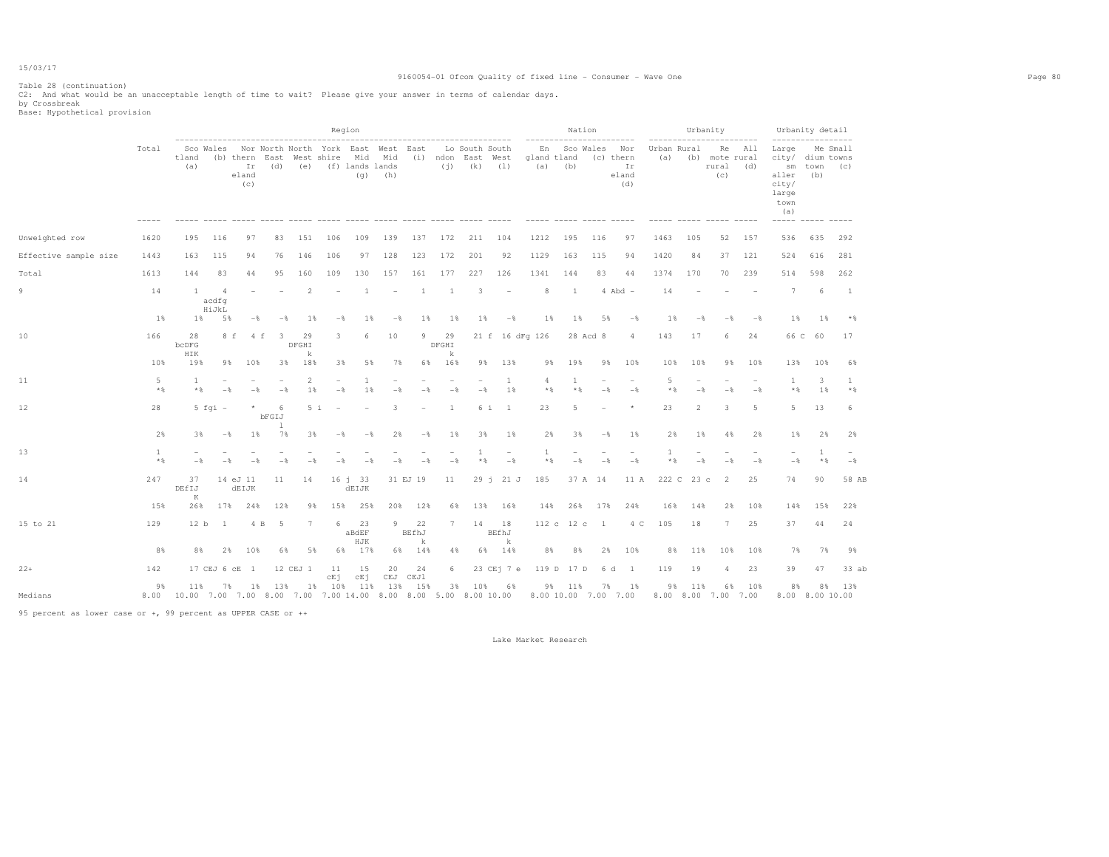## 9160054-01 Ofcom Quality of fixed line - Consumer - Wave One Page 80

|                       |            |                    |                            |                                                                                                          |                          |                      | Region              |                        |                          |                          |                  |                |                                                     |                                                                                          |                     | Nation   |                |                           |                    | Urbanity   | .                                        |       | Urbanity detail                                                                          |             |                 |
|-----------------------|------------|--------------------|----------------------------|----------------------------------------------------------------------------------------------------------|--------------------------|----------------------|---------------------|------------------------|--------------------------|--------------------------|------------------|----------------|-----------------------------------------------------|------------------------------------------------------------------------------------------|---------------------|----------|----------------|---------------------------|--------------------|------------|------------------------------------------|-------|------------------------------------------------------------------------------------------|-------------|-----------------|
|                       | Total      | tland<br>(a)       |                            | Sco Wales Nor North North York East West East<br>(b) thern East West shire Mid Mid<br>Ir<br>eland<br>(c) | (d)                      |                      | (e) (f) lands lands | (q)                    | (h)                      |                          | (i)              |                | Lo South South<br>(i) ndon East West<br>$(k)$ $(1)$ | gland tland<br>(a)                                                                       | En Sco Wales<br>(b) |          | (c) thern      | Nor<br>Ir<br>eland<br>(d) | Urban Rural<br>(a) |            | Re<br>(b) mote rural<br>rural (d)<br>(c) | All   | Large<br>city/ dium towns<br>sm<br>aller<br>city/<br>large<br>town<br>(a)<br>$--- - - -$ | town<br>(b) | Me Small<br>(C) |
| Unweighted row        | 1620       | 195                | 116                        | 97                                                                                                       | 83                       | 151                  | 106                 | 109                    | 139                      | 137                      | 172              | 211            | 104                                                 | 1212                                                                                     | 195                 | 116      |                | 97                        | 1463               | 105        | 52                                       | 157   | 536                                                                                      | 635         | 292             |
| Effective sample size | 1443       | 163                | 115                        | 94                                                                                                       | 76                       | 146                  | 106                 |                        | 97 128                   | 123                      | 172              | 201            | 92                                                  | 1129                                                                                     | 163                 | 115      |                | 94                        | 1420               | 84         | 37                                       | 121   | 524                                                                                      | 616         | 281             |
| Total                 | 1613       | 144                | 83                         | 44                                                                                                       | 95                       | 160                  | 109                 | 130                    | 157                      | 161                      | 177              | 227            | 126                                                 | 1341                                                                                     | 144                 |          | 83             | 44                        | 1374               | 170        | 70                                       | 239   | 514                                                                                      | 598         | 262             |
| 9                     | 14         | $\overline{1}$     | $\Delta$<br>acdfg<br>HiJkL |                                                                                                          |                          | 2                    |                     | -1                     | $\overline{\phantom{a}}$ | 1                        | 1                | 3              | $\overline{\phantom{a}}$                            | 8                                                                                        | <sup>1</sup>        |          | $4$ Abd $-$    |                           | 14                 |            |                                          |       | $\overline{7}$                                                                           | 6           | $\mathbf{1}$    |
|                       | 1%         | $1\%$              | 5%                         | $-$                                                                                                      | $-$                      | 1%                   | $-\frac{6}{6}$      | $1\%$                  | $-\frac{6}{6}$           | $1\%$                    | $1\%$            | $1\%$          | $-\frac{6}{6}$                                      |                                                                                          | $1\%$               | $1\%$    | 5%             | $-\frac{6}{6}$            | $1\%$              | $-$        | $-$                                      | $-$ % | $1\%$                                                                                    | $1\%$       | $*$             |
| 10                    | 166        | 28<br>bcDFG<br>HIK |                            | 8 f<br>4 f                                                                                               | $\overline{\phantom{a}}$ | 29<br>DFGHI<br>k     | 3                   | 6                      | 10                       | 9                        | 29<br>DFGHI<br>k |                |                                                     | 21 f 16 dFg 126                                                                          |                     | 28 Acd 8 |                | 4                         | 143                | 17         | 6                                        | 24    | 66 C                                                                                     | 60          | 17              |
|                       | 10%        | 19%                |                            | 9%<br>10%                                                                                                | 38                       | 18%                  | 3%                  | 5%                     | 7%                       | 68                       | 16%              | 9%             | 13%                                                 |                                                                                          | 19%<br>98           |          | 98             | 10%                       | 10%                | 10%        | 9%                                       | 10%   | 13%                                                                                      | 10%         | 6%              |
| 11                    | 5<br>$*$ & | 1<br>$*$ &         | $-\frac{6}{5}$             | $-\frac{6}{5}$                                                                                           | $-\frac{6}{3}$           | $\mathfrak{D}$<br>1% | $-$ %               | 1<br>1%                | $-\frac{6}{5}$           | $-\frac{6}{5}$           | $-\frac{6}{5}$   | $-\frac{6}{5}$ | 1<br>1%                                             | 4                                                                                        | $\mathbf{1}$<br>$*$ | $*$ %    | $-\frac{6}{6}$ | $-$                       | -5<br>$*$ &        | $-$        | $-$                                      | $-$   | $\mathbf{1}$<br>$*$ &                                                                    | 3<br>1%     | 1<br>$*$ %      |
| 12                    | 28         |                    | $5$ fgi $-$                | $\star$                                                                                                  | -6<br>bFGIJ<br>1         | 5i                   |                     |                        | 3                        | $\overline{\phantom{0}}$ | 1                |                | 6 i<br>$\mathbf{1}$                                 | 23                                                                                       | 5                   |          |                |                           | 23                 | 2          | 3                                        | 5     | 5                                                                                        | 13          | 6               |
|                       | 2%         | 3%                 | $-\frac{6}{5}$             | $1\%$                                                                                                    | 7%                       | 3%                   | $-\frac{6}{5}$      | $-\frac{6}{5}$         | 2%                       | $-\frac{6}{5}$           | $1\%$            | 3%             | $1\%$                                               |                                                                                          | 2%                  | 3%       | $-$            | $1\%$                     | 2%                 | $1\%$      | 4%                                       | 2%    | $1\%$                                                                                    | 2%          | 2%              |
| 13                    | 1<br>$*$ % | $-$                | $-$                        | $-$                                                                                                      | $-8$                     | $-$                  | $-$                 | $ \frac{6}{2}$         | $ \frac{6}{2}$           | $-$                      | $-$              | $*$ %          | $-$                                                 | 1                                                                                        | $*$ &               | $-$      | $-$            | $-\frac{6}{5}$            | * *                | $-$        | $-$                                      | $-$   | $-$                                                                                      | 1<br>$*$ %  | $-$             |
| 14                    | 247        | 37<br>DEfIJ<br>K   |                            | 14 eJ 11<br><b>dEIJK</b>                                                                                 | 11                       | 14                   |                     | $16 \t1 \t33$<br>dEIJK |                          | 31 EJ 19                 | 11               |                | $29$ i $21$ J                                       | 185                                                                                      |                     | 37 A 14  |                | 11 A                      |                    | 222 C 23 c | 2                                        | 25    | 74                                                                                       | 90          | 58 AB           |
|                       | 15%        | 26%                | 17%                        | 24%                                                                                                      | 12%                      | 9%                   | 15%                 | 25%                    | 20%                      | 12%                      | 6%               |                | 13% 16%                                             | 14%                                                                                      | 26%                 |          | 17%            | 24%                       | 16%                | 14%        | 2%                                       | 10%   | 14%                                                                                      | 15%         | 22%             |
| 15 to 21              | 129        | 12 b               | $\overline{1}$             | 4 B                                                                                                      | $-5$                     | $7\phantom{.0}$      | 6                   | 23<br>aBdEF<br>HJK     | 9                        | 22<br>BEfhJ<br>k         | 7                | 14             | 18<br>BEfhJ<br>k                                    |                                                                                          | 112 c 12 c          |          | $\mathbf{1}$   | 4 C                       | 105                | 18         | $7\phantom{.0}$                          | 25    | 37                                                                                       | 44          | 24              |
|                       | 8%         | 8%                 | 2%                         | 10%                                                                                                      | 6%                       | 5%                   | 6%                  | 17%                    |                          | 6% 14%                   | 4%               |                | 6% 14%                                              |                                                                                          | 8%                  | 8%       | 2%             | 10%                       | 8%                 | 11%        | 10%                                      | 10%   | 7%                                                                                       | 7%          | 9%              |
| $22+$                 | 142        |                    |                            | 17 CEJ 6 cE 1                                                                                            |                          | 12 CEJ 1             | 11<br>cEj           | 15<br>cEj              | 20                       | 24<br>CEJ CEJ1           | 6                |                | 23 CEj 7 e                                          |                                                                                          | 119 D               | 17 D     | 6 d            | $\overline{1}$            | 119                | 19         | $\overline{4}$                           | 23    | 39                                                                                       | 47          | 33 ab           |
| Medians               | 9%         | 11%                | 7%                         | 1%                                                                                                       | 13%                      | 1%                   | 10%                 | 11%                    | 13%                      | 15%                      | 3%               | 10%            | 6%                                                  | 8.00 10.00 7.00 7.00 8.00 7.00 7.00 14.00 8.00 8.00 5.00 8.00 10.00 8.00 10.00 7.00 7.00 | 9%<br>11%           |          | 7%             | 1%                        | 98                 | 11%        | 6%<br>8.00 8.00 7.00 7.00                | 10%   | 8%<br>8.00 8.00 10.00                                                                    | 8%          | 13%             |

95 percent as lower case or +, 99 percent as UPPER CASE or ++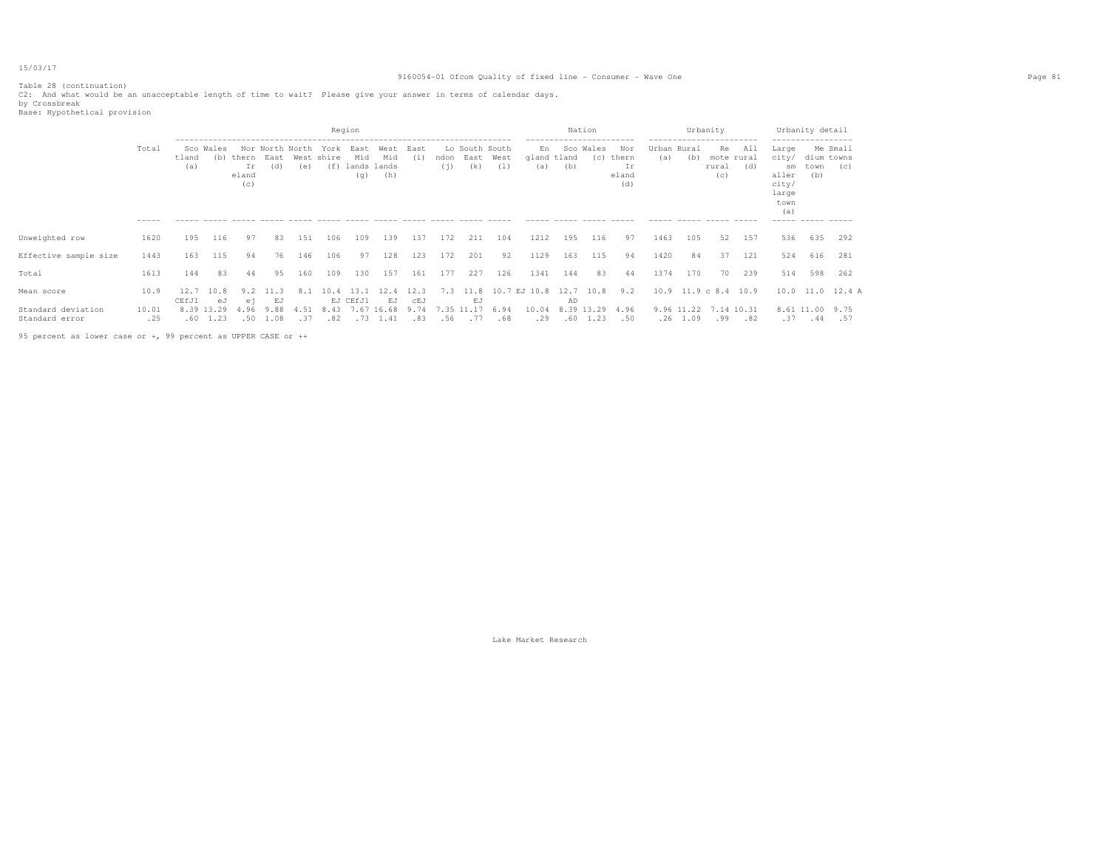## 9160054-01 Ofcom Quality of fixed line - Consumer - Wave One Page 81

Table 28 (continuation) C2: And what would be an unacceptable length of time to wait? Please give your answer in terms of calendar days. by Crossbreak Base: Hypothetical provision

|                                      |              |              |                                      |                    |                     |                                                 | Region      |                    |                                       |                    |                |                                         |             |                          |     | Nation                         |                                    |                    | Urbanity                 |                                  |            |                                                                | Urbanity detail           |                        |
|--------------------------------------|--------------|--------------|--------------------------------------|--------------------|---------------------|-------------------------------------------------|-------------|--------------------|---------------------------------------|--------------------|----------------|-----------------------------------------|-------------|--------------------------|-----|--------------------------------|------------------------------------|--------------------|--------------------------|----------------------------------|------------|----------------------------------------------------------------|---------------------------|------------------------|
|                                      | Total        | tland<br>(a) | Sco Wales<br>(b)                     | Ir<br>eland<br>(C) | (d)                 | Nor North North<br>thern East West shire<br>(e) | York        | East<br>Mid<br>(q) | West<br>Mid<br>(f) lands lands<br>(h) | East<br>(i)        | (i)            | Lo South South<br>ndon East West<br>(k) | (1)         | En<br>gland tland<br>(a) | (b) | Sco Wales<br>(c)               | Nor<br>thern<br>Ir<br>eland<br>(d) | Urban Rural<br>(a) | (b)                      | Re<br>mote rural<br>rural<br>(c) | All<br>(d) | Large<br>city/<br>sm<br>aller<br>city/<br>large<br>town<br>(a) | dium towns<br>town<br>(b) | Me Small<br>(C)        |
|                                      |              |              |                                      |                    |                     |                                                 |             |                    |                                       |                    |                |                                         |             |                          |     |                                |                                    |                    |                          |                                  |            |                                                                |                           |                        |
| Unweighted row                       | 1620         | 195          | 116                                  | 97                 | 83                  | 151                                             | 106         | 109                | 139                                   | 137                | 172            | 211                                     | 104         | 1212                     | 195 | 116                            | 97                                 | 1463               | 105                      | 52                               | 157        | 536                                                            |                           | 635 292                |
| Effective sample size                | 1443         | 163          | 115                                  | 94                 | 76                  | 146                                             | 106         | 97                 | 128                                   | 123                | 172            | 201                                     | 92          | 1129                     | 163 | 115                            | 94                                 | 1420               | 84                       | 37                               | 121        | 524                                                            | 616                       | 281                    |
| Total                                | 1613         | 144          | 83                                   | 44                 | 95                  | 160                                             | 109         | 130                | 157                                   | 161                | 177            | 227                                     | 126         | 1341                     | 144 | 83                             | 44                                 | 1374               | 170                      | 70                               | 239        | 514                                                            | 598                       | 262                    |
| Mean score                           | 10.9         | 12.7         | 10.8                                 |                    | 113                 | 8.1                                             | 10.4        | 13.1               | 12.4                                  | 12.3               | 7.3            | 11.8                                    |             | 10.7 EJ 10.8             |     | 12.7 10.8                      | 9.2                                |                    | 10.9 11.9 c 8.4 10.9     |                                  |            |                                                                |                           | $10.0$ $11.0$ $12.4$ A |
| Standard deviation<br>Standard error | 10.01<br>.25 | CEfJ1        | еJ<br>8.39 13.29<br>$.60 \quad 1.23$ | еi<br>4.96<br>.50  | EJ.<br>9.88<br>1.08 | 4.51<br>.37                                     | 8.43<br>.82 | EJ CEfJ1           | EJ<br>7.67 16.68<br>$.73 \quad 1.41$  | CEJ<br>9.74<br>.83 | 7.35 11<br>.56 | EJ<br>.17<br>.77                        | 6.94<br>.68 | 10.04<br>.29             | AD  | 8.39 13.29<br>$.60 \quad 1.23$ | 4.96<br>.50                        |                    | 9.96 11.22<br>$.26$ 1.09 | 7.14 10.31<br>.99                | .82        | .37                                                            | 8.61 11.00 9.75<br>.44    | .57                    |

95 percent as lower case or +, 99 percent as UPPER CASE or ++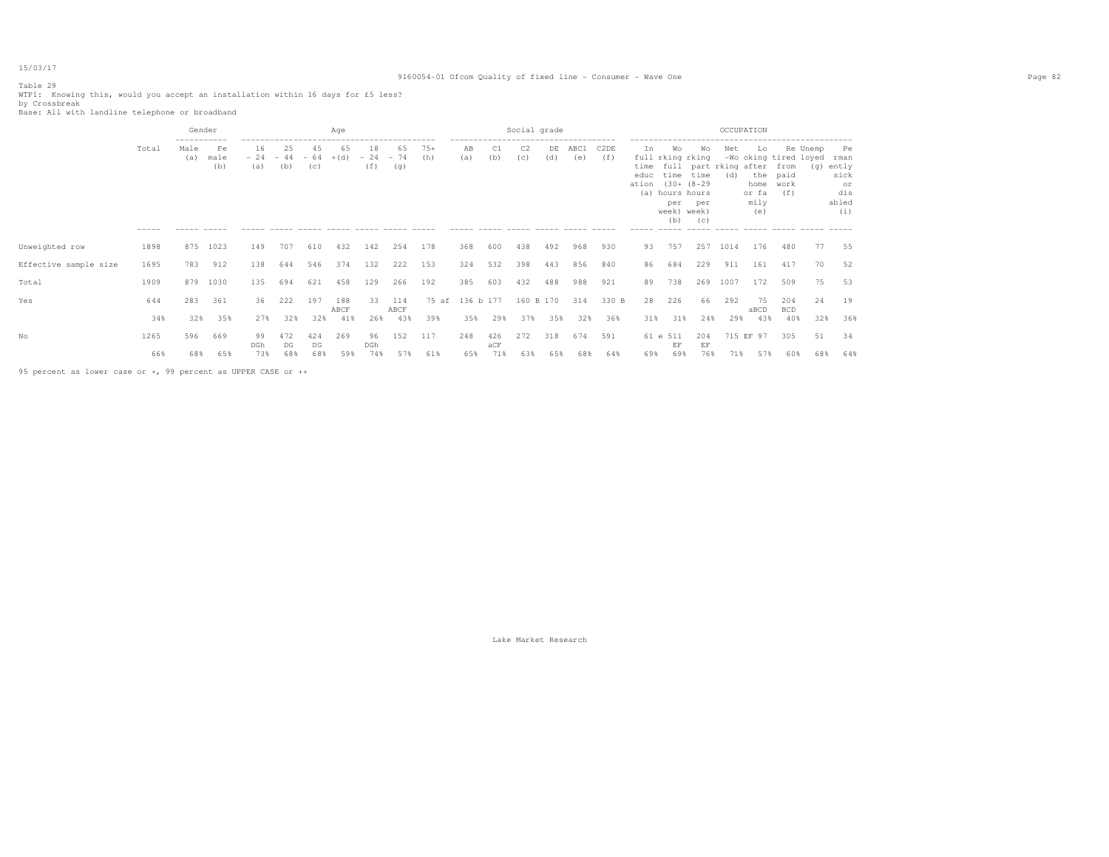## 9160054-01 Ofcom Quality of fixed line - Consumer - Wave One Page 82

Table 29 WTP1: Knowing this, would you accept an installation within 16 days for £5 less?<br>by Crossbreak<br>Base: All with landline telephone or broadband

|                       |                      | Gender                               |                                                    |                     |                                    |           | Age         |                    |                                                          |              |                          |                                                                                     | Social grade          |           |             |             |                             |                                                                                                             |                               | OCCUPATION |                                                                                        |                                                                           |     |                                                          |
|-----------------------|----------------------|--------------------------------------|----------------------------------------------------|---------------------|------------------------------------|-----------|-------------|--------------------|----------------------------------------------------------|--------------|--------------------------|-------------------------------------------------------------------------------------|-----------------------|-----------|-------------|-------------|-----------------------------|-------------------------------------------------------------------------------------------------------------|-------------------------------|------------|----------------------------------------------------------------------------------------|---------------------------------------------------------------------------|-----|----------------------------------------------------------|
|                       | Total<br>$- - - - -$ | -----------<br>Male<br>(a)<br>------ | Fe<br>male<br>(b)<br>$\cdots \cdots \cdots \cdots$ | 16<br>(a)<br>------ | 25<br>$-24 - 44 - 64 + (d)$<br>(b) | 45<br>(C) | 65          | 18<br>$-24$<br>(f) | 65<br>$-74$<br>(g)<br>----- ----- ----- ----- ----- ---- | $75+$<br>(h) | AB<br>(a)<br>$- - - - -$ | -------------------------------------<br>C1<br>(b)<br>------ ----- ----- ----- ---- | C <sub>2</sub><br>(c) | DE<br>(d) | ABC1<br>(e) | C2DE<br>(f) | Ιn.<br>educ<br>ation<br>(a) | Wo<br>full rking rking<br>$(30 + (8 - 29$<br>hours hours<br>per<br>week) week)<br>(b)<br>------ ----- ----- | Wo<br>time time<br>per<br>(C) | Net<br>(d) | Lo<br>time full part rking after from<br>the paid<br>home work<br>or fa<br>mily<br>(e) | Re Unemp<br>-Wo oking tired loyed<br>(f)<br>------ ----- ----- ----- ---- | (q) | Pe<br>rman<br>ently<br>sick<br>or<br>dis<br>abled<br>(i) |
| Unweighted row        | 1898                 | 875                                  | 1023                                               | 149                 | 707                                | 610       | 432         | 142                | 254                                                      | 178          | 368                      | 600                                                                                 | 438                   | 492       | 968         | 930         | 93                          | 757                                                                                                         | 257                           | 1014       | 176                                                                                    | 480                                                                       | 77  | 55                                                       |
| Effective sample size | 1695                 | 783                                  | 912                                                | 138                 | 644                                | 546       | 374         | 132                | 222                                                      | 153          | 324                      | 532                                                                                 | 398                   | 443       | 856         | 840         | 86                          | 684                                                                                                         | 229                           | 911        | 161                                                                                    | 417                                                                       | 70  | 52                                                       |
| Total                 | 1909                 | 879                                  | 1030                                               | 135                 | 694                                | 621       | 458         | 129                | 266                                                      | 192          | 385                      | 603                                                                                 | 432                   | 488       | 988         | 921         | 89                          | 738                                                                                                         | 269                           | 1007       | 172                                                                                    | 509                                                                       | 75  | 53                                                       |
| Yes                   | 644                  | 283                                  | 361                                                | 36                  | 222                                | 197       | 188<br>ABCF | 33                 | 114<br>ABCF                                              | 75 af        | 136 b 177                |                                                                                     | 160 B 170             |           | 314         | 330 B       | 28                          | 226                                                                                                         | 66                            | 292        | 75<br>aBCD                                                                             | 204<br><b>BCD</b>                                                         | 24  | 19                                                       |
|                       | 34%                  | 32%                                  | 35%                                                | 27%                 | 32%                                | 32%       | 41%         | 26%                | 43%                                                      | 39%          | 35%                      | 29%                                                                                 | 37%                   | 35%       | 32%         | 36%         | 31%                         | 31%                                                                                                         | 24%                           | 29%        | 43%                                                                                    | 40%                                                                       | 32% | 36%                                                      |
| Nο                    | 1265                 | 596                                  | 669                                                | 99<br>DGh           | 472<br>DG                          | 424<br>DG | 269         | 96<br>DGh          | 152                                                      | 117          | 248                      | 426<br>aCF                                                                          | 272                   | 318       | 674         | 591         |                             | 61 e 511<br>EF                                                                                              | 204<br>EF                     |            | 715 EF 97                                                                              | 305                                                                       | 51  | 34                                                       |
|                       | 66%                  | 68%                                  | 65%                                                | 73%                 | 68%                                | 68%       | 59%         | 74%                | 57%                                                      | 61%          | 65%                      | 71%                                                                                 | 63%                   | 65%       | 68%         | 64%         | 69%                         | 69%                                                                                                         | 76%                           | 71%        | 57%                                                                                    | 60%                                                                       | 68% | 64%                                                      |

95 percent as lower case or +, 99 percent as UPPER CASE or ++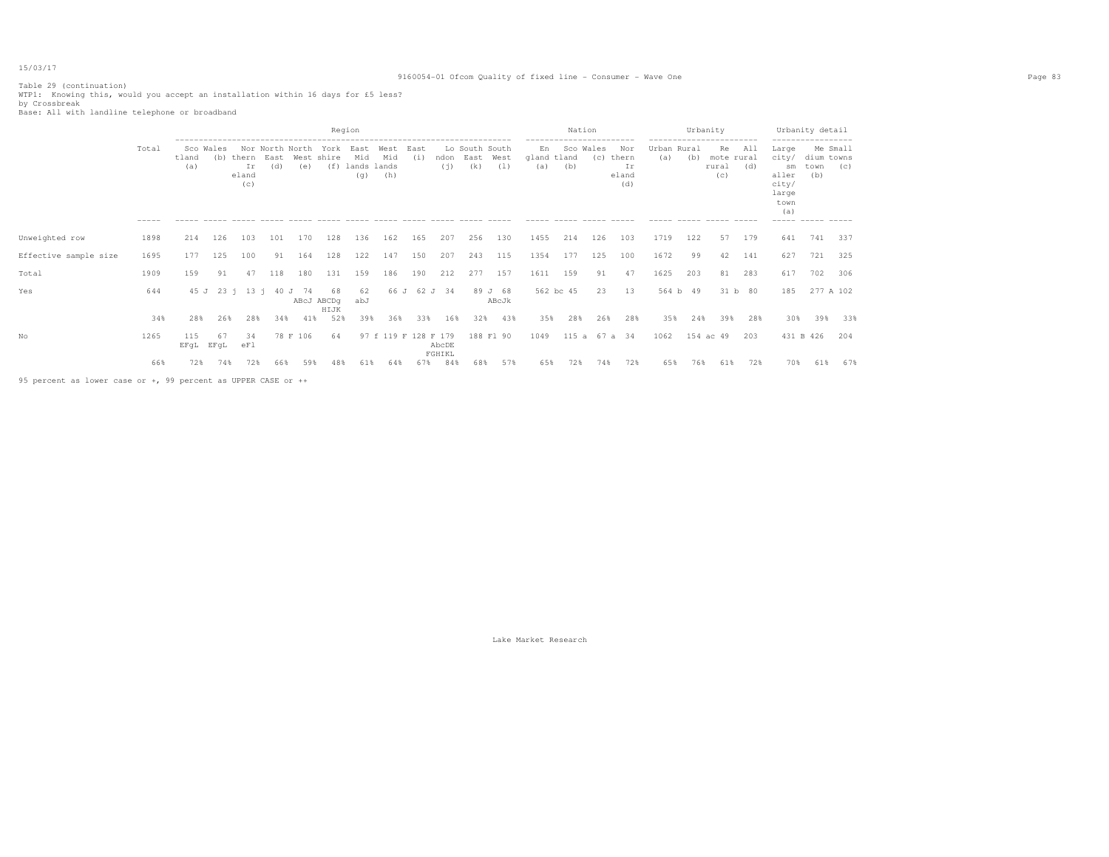## 9160054-01 Ofcom Quality of fixed line - Consumer - Wave One Page 83

Table 29 (continuation) WTP1: Knowing this, would you accept an installation within 16 days for £5 less? by Crossbreak Base: All with landline telephone or broadband

|                                                               |                      |                           |            |                                      |     |                        |                           | Region                            |                      |             |                 |                               |                  |                                          | Nation                                      |                    |                                    |                             | Urbanity |                                                                                    |            |                                                                                                          | Urbanity detail           |                 |
|---------------------------------------------------------------|----------------------|---------------------------|------------|--------------------------------------|-----|------------------------|---------------------------|-----------------------------------|----------------------|-------------|-----------------|-------------------------------|------------------|------------------------------------------|---------------------------------------------|--------------------|------------------------------------|-----------------------------|----------|------------------------------------------------------------------------------------|------------|----------------------------------------------------------------------------------------------------------|---------------------------|-----------------|
|                                                               | Total<br>$- - - - -$ | Sco Wales<br>tland<br>(a) |            | (b) thern East<br>Ιr<br>eland<br>(c) | (d) | Nor North North<br>(e) | York<br>West shire<br>(f) | East<br>Mid<br>lands lands<br>(q) | West<br>Mid<br>(h)   | East<br>(i) | ndon<br>(i)     | Lo South South<br>East<br>(k) | West<br>(1)      | En<br>gland tland<br>(a)<br>------ ----- | -----------------------<br>Sco Wales<br>(b) | (c)<br>----------- | Nor<br>thern<br>Ir<br>eland<br>(d) | Urban Rural<br>(a)<br>----- | (b)      | ------------------------<br>Re<br>mote rural<br>rural<br>(C)<br>------ ----- ----- | All<br>(d) | ------------------<br>Large<br>city/<br>sm<br>aller<br>city/<br>large<br>town<br>(a)<br>----- ----- ---- | dium towns<br>town<br>(b) | Me Small<br>(C) |
| Unweighted row                                                | 1898                 | 214                       | 126        | 103                                  | 101 | 170                    | 128                       | 136                               | 162                  | 165         | 207             | 256                           | 130              | 1455                                     | 214                                         | 126                | 103                                | 1719                        | 122      | 57                                                                                 | 179        | 641                                                                                                      | 741                       | 337             |
| Effective sample size                                         | 1695                 | 177                       | 125        | 100                                  | 91  | 164                    | 128                       | 122                               | 147                  | 150         | 207             | 243                           | 115              | 1354                                     | 177                                         | 125                | 100                                | 1672                        | 99       | 42                                                                                 | 141        | 627                                                                                                      | 721                       | 325             |
| Total                                                         | 1909                 | 159                       | 91         | 47                                   | 118 | 180                    | 131                       | 159                               | 186                  | 190         | 212             | 277                           | 157              | 1611                                     | 159                                         | 91                 | 47                                 | 1625                        | 203      | 81                                                                                 | 283        | 617                                                                                                      | 702                       | 306             |
| Yes                                                           | 644                  |                           |            | 45 J 23 i 13 i 40 J 74               |     |                        | 68<br>ABcJ ABCDq<br>HIJK  | 62<br>abJ                         |                      |             | 66 J 62 J 34    |                               | 89 J 68<br>ABcJk |                                          | 562 bc 45                                   | 23                 | 13                                 |                             | 564 b 49 |                                                                                    | 31 b 80    | 185                                                                                                      | 277 A 102                 |                 |
|                                                               | 34%                  | 28%                       | 26%        | 28%                                  | 34% | 41%                    | 52%                       | 39%                               | 36%                  | 33%         | 16%             | 32%                           | 43%              | 35%                                      | 28%                                         | 26%                | 28%                                | 35%                         | 24%      | 39%                                                                                | 28%        | 30%                                                                                                      | 39%                       | 33%             |
| No                                                            | 1265                 | 115<br>EFqL               | 67<br>EFqL | 34<br>eF1                            |     | 78 F 106               | 64                        |                                   | 97 f 119 F 128 F 179 |             | AbcDE<br>FGHIKL |                               | 188 F1 90        | 1049                                     |                                             | 115 a 67 a 34      |                                    | 1062                        |          | 154 ac 49                                                                          | 203        | 431 B 426                                                                                                |                           | 204             |
|                                                               | 66%                  | 72%                       | 74%        | 72%                                  | 66% | 59%                    | 48%                       | 61%                               | 64%                  | 67%         | 84%             | 68%                           | 57%              | 65%                                      | 72%                                         | 74%                | 72%                                | 65%                         | 76%      | 61%                                                                                | 72%        | 70%                                                                                                      | 61%                       | 67%             |
| 95 percent as lower case or +, 99 percent as UPPER CASE or ++ |                      |                           |            |                                      |     |                        |                           |                                   |                      |             |                 |                               |                  |                                          |                                             |                    |                                    |                             |          |                                                                                    |            |                                                                                                          |                           |                 |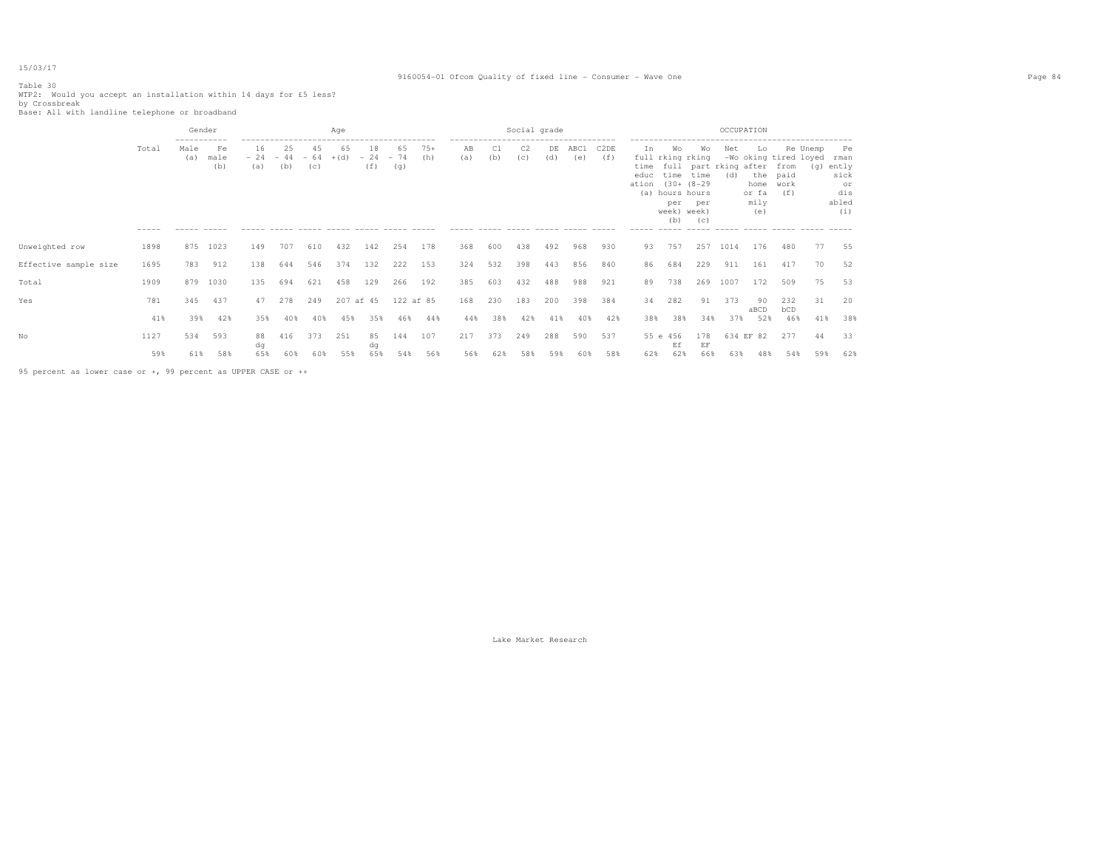## Table 30

## 9160054-01 Ofcom Quality of fixed line - Consumer - Wave One Page 84

WTP2: Would you accept an installation within 14 days for £5 less? <br>by Crossbreak<br>Base: All with landline telephone or broadband

|                       |                      | Gender                     |                   |           |                                    |           | Age                                     |                    |                    |              |                                                    |           | Social grade          |           |             |                                                           |                                 |                                                                                                                      |                                                     | OCCUPATION |                                                  |                                                              |           |                                                                |
|-----------------------|----------------------|----------------------------|-------------------|-----------|------------------------------------|-----------|-----------------------------------------|--------------------|--------------------|--------------|----------------------------------------------------|-----------|-----------------------|-----------|-------------|-----------------------------------------------------------|---------------------------------|----------------------------------------------------------------------------------------------------------------------|-----------------------------------------------------|------------|--------------------------------------------------|--------------------------------------------------------------|-----------|----------------------------------------------------------------|
|                       | Total<br>$- - - - -$ | -----------<br>Male<br>(a) | Fe<br>male<br>(b) | 16<br>(a) | 25<br>$-24 - 44 - 64 + (d)$<br>(b) | 45<br>(c) | 65<br>$\qquad \qquad -\qquad -\qquad -$ | 18<br>$-24$<br>(f) | 65<br>$-74$<br>(q) | $75+$<br>(h) | -------------------------------------<br>AB<br>(a) | C1<br>(b) | C <sub>2</sub><br>(C) | DE<br>(d) | ABC1<br>(e) | C <sub>2</sub> DE<br>(f)<br>$\cdots \cdots \cdots \cdots$ | In<br>educ<br>ation (30+ (8-29) | Wo<br>full rking rking<br>time time<br>(a) hours hours<br>per<br>week) week)<br>(b)<br>$\cdots \cdots \cdots \cdots$ | Wo<br>time full part rking after from<br>per<br>(C) | Net<br>(d) | Lo<br>home<br>or fa<br>mily<br>(e)<br>______ ___ | Re Unemp<br>-Wo oking tired loyed<br>the paid<br>work<br>(f) | (g) ently | Pe<br>rman<br>sick<br>or<br>dis<br>abled<br>(i)<br>$- - - - -$ |
| Unweighted row        | 1898                 | 875                        | 1023              | 149       | 707                                | 610       | 432                                     | 142                | 254                | 178          | 368                                                | 600       | 438                   | 492       | 968         | 930                                                       | 93                              | 757                                                                                                                  | 257                                                 | 1014       | 176                                              | 480                                                          | 77        | 55                                                             |
| Effective sample size | 1695                 | 783                        | 912               | 138       | 644                                | 546       | 374                                     | 132                | 222                | 153          | 324                                                | 532       | 398                   | 443       | 856         | 840                                                       | 86                              | 684                                                                                                                  | 229                                                 | 911        | 161                                              | 417                                                          | 70        | 52                                                             |
| Total                 | 1909                 | 879                        | 1030              | 135       | 694                                | 621       | 458                                     | 129                | 266                | 192          | 385                                                | 603       | 432                   | 488       | 988         | 921                                                       | 89                              | 738                                                                                                                  | 269                                                 | 1007       | 172                                              | 509                                                          | 75        | 53                                                             |
| Yes                   | 781                  | 345                        | 437               | 47        | 278                                | 249       | 207 af 45                               |                    | 122 af 85          |              | 168                                                | 230       | 183                   | 200       | 398         | 384                                                       | 34                              | 282                                                                                                                  | 91                                                  | 373        | -90<br>aBCD                                      | 232<br>bCD                                                   | 31        | 20                                                             |
|                       | 41%                  | 39%                        | 42%               | 35%       | 40%                                | 40%       | 45%                                     | 35%                | 46%                | 44%          | 44%                                                | 38%       | 42%                   | 41%       | 40%         | 42%                                                       | 38%                             | 38%                                                                                                                  | 34%                                                 | 37%        | 52%                                              | 46%                                                          | 41%       | 38%                                                            |
| Nο                    | 1127                 | 534                        | 593               | 88        | 416                                | 373       | 251                                     | 85                 | 144                | 107          | 217                                                | 373       | 249                   | 288       | 590         | 537                                                       |                                 | 55 e 456                                                                                                             | 178                                                 |            | 634 EF 82                                        | 277                                                          | 44        | 33                                                             |
|                       | 59%                  | 61%                        | 58%               | dα<br>65% | 60%                                | 60%       | 55%                                     | dq<br>65%          | 54%                | 56%          | 56%                                                | 62%       | 58%                   | 59%       | 60%         | 58%                                                       | 62%                             | Ef<br>62%                                                                                                            | EF<br>66%                                           | 63%        | 48%                                              | 54%                                                          | 59%       | 62%                                                            |

95 percent as lower case or +, 99 percent as UPPER CASE or ++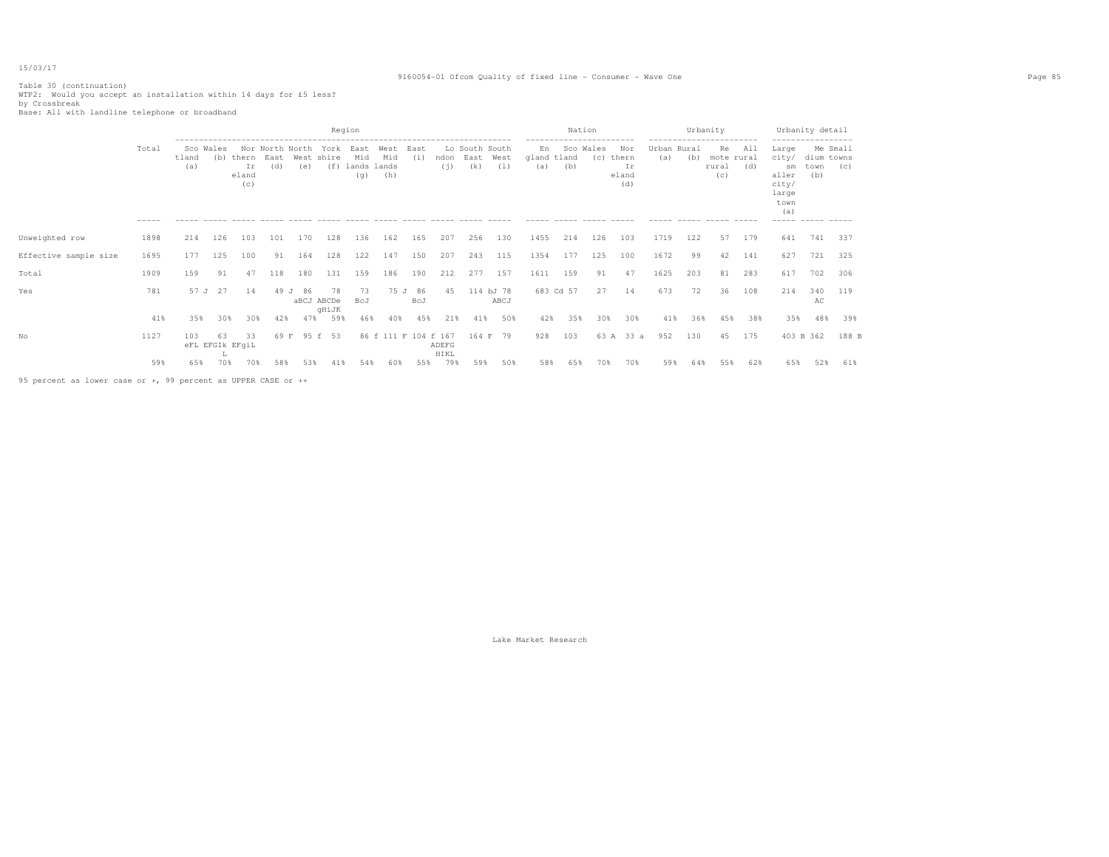## 9160054-01 Ofcom Quality of fixed line - Consumer - Wave One Page 85

Table 30 (continuation) WTP2: Would you accept an installation within 14 days for £5 less? by Crossbreak Base: All with landline telephone or broadband

|                                                               |                      |              |                  |                             |             |                        |                           | Region                            |                      |             |               |                               |                   |                                          | Nation           |                     |                                    |                             | Urbanity | ------------------------                               |            |                                                                                     | Urbanity detail                       |       |
|---------------------------------------------------------------|----------------------|--------------|------------------|-----------------------------|-------------|------------------------|---------------------------|-----------------------------------|----------------------|-------------|---------------|-------------------------------|-------------------|------------------------------------------|------------------|---------------------|------------------------------------|-----------------------------|----------|--------------------------------------------------------|------------|-------------------------------------------------------------------------------------|---------------------------------------|-------|
|                                                               | Total<br>$- - - - -$ | tland<br>(a) | Sco Wales<br>(b) | thern<br>Ir<br>eland<br>(C) | East<br>(d) | Nor North North<br>(e) | York<br>West shire<br>(f) | East<br>Mid<br>lands lands<br>(q) | West<br>Mid<br>(h)   | East<br>(i) | ndon<br>(i)   | Lo South South<br>East<br>(k) | West<br>(1)       | En<br>gland tland<br>(a)<br>------ ----- | Sco Wales<br>(b) | (C)<br>------ ----- | Nor<br>thern<br>Ιr<br>eland<br>(d) | Urban Rural<br>(a)<br>----- | (b)      | Re<br>mote rural<br>rural<br>(c)<br>------ ----- ----- | All<br>(d) | Large<br>city/<br>sm<br>aller<br>city/<br>large<br>town<br>(a)<br>----- ----- ----- | Me Small<br>dium towns<br>town<br>(b) | (C)   |
| Unweighted row                                                | 1898                 | 214          | 126              | 103                         | 101         | 170                    | 128                       | 136                               | 162                  | 165         | 207           | 256                           | 130               | 1455                                     | 214              | 126                 | 103                                | 1719                        | 122      | 57                                                     | 179        | 641                                                                                 | 741                                   | 337   |
| Effective sample size                                         | 1695                 | 177          | 125              | 100                         | 91          | 164                    | 128                       | 122                               | 147                  | 150         | 207           | 243                           | 115               | 1354                                     | 177              | 125                 | 100                                | 1672                        | 99       | 42                                                     | 141        | 627                                                                                 | 721                                   | 325   |
| Total                                                         | 1909                 | 159          | 91               | 47                          | 118         | 180                    | 131                       | 159                               | 186                  | 190         | 212           | 277                           | 157               | 1611                                     | 159              | 91                  | 47                                 | 1625                        | 203      | 81                                                     | 283        | 617                                                                                 | 702                                   | 306   |
| Yes                                                           | 781                  | 57 J         | 27               | 14                          | 49 J        | 86                     | 78<br>aBCJ ABCDe<br>qHiJK | 73<br>BcJ                         | 75 J                 | 86<br>BcJ   | 45            |                               | 114 bJ 78<br>ABCJ |                                          | 683 Cd 57        | 27                  | 14                                 | 673                         | 72       | 36                                                     | 108        | 214                                                                                 | 340<br>AС                             | 119   |
|                                                               | 41%                  | 35%          | 30%              | 30%                         | 42%         | 47%                    | 59%                       | 46%                               | 40%                  | 45%         | 21%           | 41%                           | 50%               | 42%                                      | 35%              | 30%                 | 30%                                | 41%                         | 36%      | 45%                                                    | 38%        | 35%                                                                                 | 48%                                   | 39%   |
| No                                                            | 1127                 | 103          | 63<br>л.         | 33<br>eFL EFGIk EFgiL       | 69 F        |                        | 95 f 53                   |                                   | 86 f 111 F 104 f 167 |             | ADEFG<br>HIKL | 164 F                         | 79                | 928                                      | 103              | 63 A                | 33 a                               | 952                         | 130      | 45                                                     | 175        | 403 B 362                                                                           |                                       | 188 B |
|                                                               | 59%                  | 65%          | 70%              | 70%                         | 58%         | 53%                    | 41%                       | 54%                               | 60%                  | 55%         | 79%           | 59%                           | 50%               | 58%                                      | 65%              | 70%                 | 70%                                | 59%                         | 64%      | 55%                                                    | 62%        | 65%                                                                                 | 52%                                   | 61%   |
| 95 percent as lower case or +, 99 percent as UPPER CASE or ++ |                      |              |                  |                             |             |                        |                           |                                   |                      |             |               |                               |                   |                                          |                  |                     |                                    |                             |          |                                                        |            |                                                                                     |                                       |       |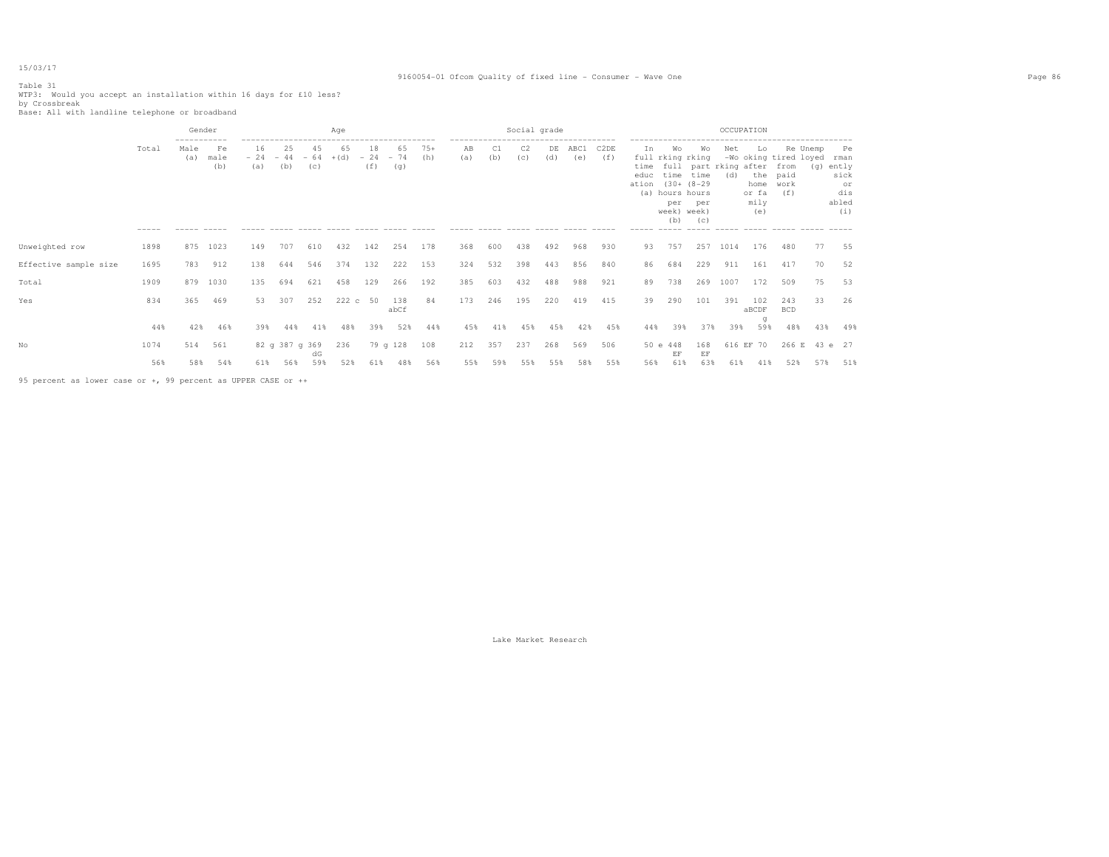# Table 31

## 9160054-01 Ofcom Quality of fixed line - Consumer - Wave One Page 86

WTP3: Would you accept an installation within 16 days for £10 less? <br>by Crossbreak<br>Base: All with landline telephone or broadband

|                       |       | Gender      |                   |                    |                         |           | Age          |                    |                    |              | ------------------------------------- |           | Social grade          |           |             |                          |                                          |                                                                                     |                  | OCCUPATION                               |                                                     |                                          |           |                                                 |
|-----------------------|-------|-------------|-------------------|--------------------|-------------------------|-----------|--------------|--------------------|--------------------|--------------|---------------------------------------|-----------|-----------------------|-----------|-------------|--------------------------|------------------------------------------|-------------------------------------------------------------------------------------|------------------|------------------------------------------|-----------------------------------------------------|------------------------------------------|-----------|-------------------------------------------------|
|                       | Total | Male<br>(a) | Fe<br>male<br>(b) | 16<br>$-24$<br>(a) | 25<br>$-44 - 64$<br>(b) | 45<br>(C) | 65<br>$+(d)$ | 18<br>$-24$<br>(f) | 65<br>$-74$<br>(g) | $75+$<br>(h) | AB<br>(a)                             | C1<br>(b) | C <sub>2</sub><br>(c) | DE<br>(d) | ABC1<br>(e) | C <sub>2</sub> DE<br>(f) | Ιn.<br>time<br>educ<br>ation (30+ (8-29) | Wo<br>full rking rking<br>time time<br>(a) hours hours<br>per<br>week) week)<br>(b) | Wo<br>per<br>(C) | Net<br>full part rking after from<br>(d) | Lo<br>the paid<br>home work<br>or fa<br>mily<br>(e) | Re Unemp<br>-Wo oking tired loyed<br>(f) | (g) ently | Pe<br>rman<br>sick<br>or<br>dis<br>abled<br>(i) |
| Unweighted row        | 1898  | 875         | 1023              | 149                | 707                     | 610       | 432          | 142                | 254                | 178          | 368                                   | 600       | 438                   | 492       | 968         | 930                      | 93                                       | 757                                                                                 | 257              | 1014                                     | 176                                                 | 480                                      | 77        | 55                                              |
| Effective sample size | 1695  | 783         | 912               | 138                | 644                     | 546       | 374          | 132                | 222                | 153          | 324                                   | 532       | 398                   | 443       | 856         | 840                      | 86                                       | 684                                                                                 | 229              | 911                                      | 161                                                 | 417                                      | 70        | 52                                              |
| Total                 | 1909  | 879         | 1030              | 135                | 694                     | 621       | 458          | 129                | 266                | 192          | 385                                   | 603       | 432                   | 488       | 988         | 921                      | 89                                       | 738                                                                                 | 269              | 1007                                     | 172                                                 | 509                                      | 75        | 53                                              |
| Yes                   | 834   | 365         | 469               | 53                 | 307                     | 252       | 222 c 50     |                    | 138<br>abCf        | 84           | 173                                   | 246       | 195                   | 220       | 419         | 415                      | 39                                       | 290                                                                                 | 101              | 391                                      | 102<br>aBCDF                                        | 243<br><b>BCD</b>                        | 33        | 26                                              |
|                       | 44%   | 42%         | 46%               | 39%                | 44%                     | 41%       | 48%          | 39%                | 52%                | 44%          | 45%                                   | 41%       | 45%                   | 45%       | 42%         | 45%                      | 44%                                      | 39%                                                                                 | 37%              | 39%                                      | q<br>59%                                            | 48%                                      | 43%       | 49%                                             |
| Nο                    | 1074  | 514         | 561               |                    | 82 g 387 g 369          | dG        | 236          |                    | 79 g 128           | 108          | 212                                   | 357       | 237                   | 268       | 569         | 506                      |                                          | 50 e 448<br>EF                                                                      | 168<br>EF        | 616 EF 70                                |                                                     | 266 E 43 e 27                            |           |                                                 |
|                       | 56%   | 58%         | 54%               | 61%                | 56%                     | 59%       | 52%          | 61%                | 48%                | 56%          | 55%                                   | 59%       | 55%                   | 55%       | 58%         | 55%                      | 56%                                      | 61%                                                                                 | 63%              | 61%                                      | 41%                                                 | 52%                                      | 57%       | 51%                                             |

95 percent as lower case or +, 99 percent as UPPER CASE or ++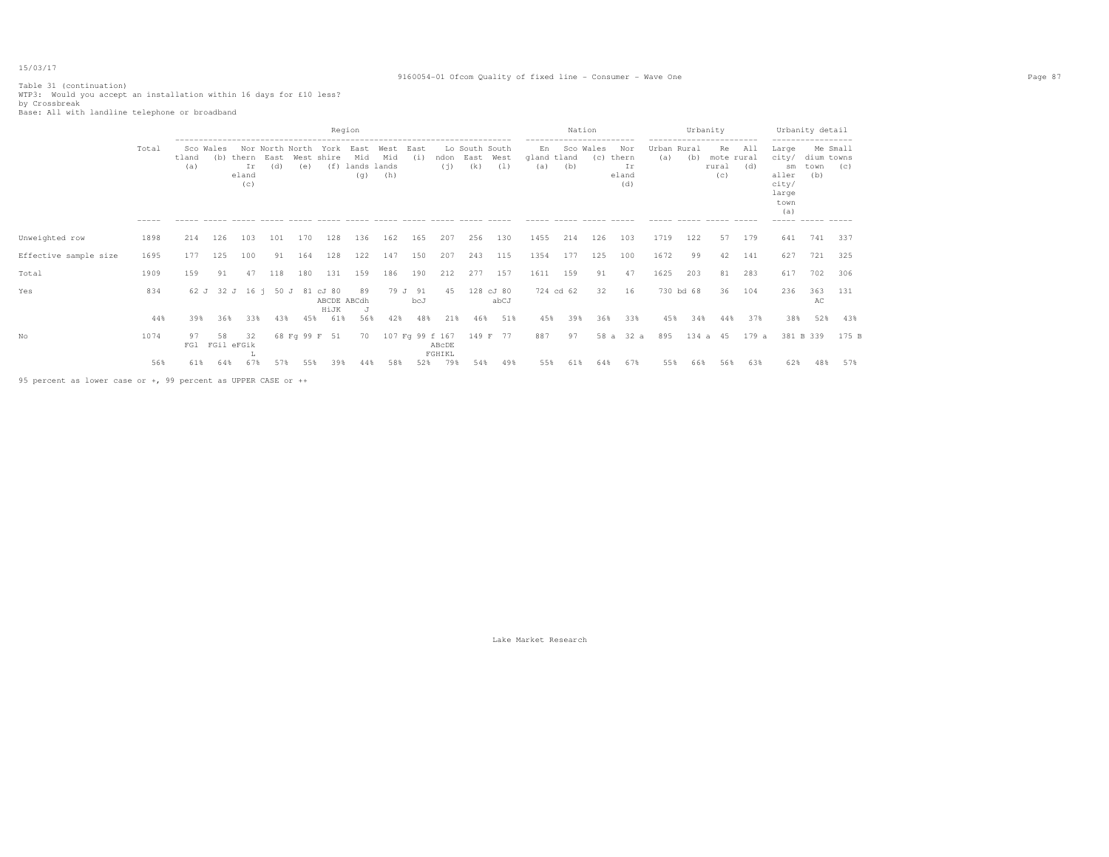## 9160054-01 Ofcom Quality of fixed line - Consumer - Wave One Page 87

# Table 31 (continuation) WTP3: Would you accept an installation within 16 days for £10 less? by Crossbreak Base: All with landline telephone or broadband

| Region                                                                                                                                                                                                                                                                                                                    | Nation                                                                                    | Urbanity                                                                                               | Urbanity detail                                                                                                                                            |
|---------------------------------------------------------------------------------------------------------------------------------------------------------------------------------------------------------------------------------------------------------------------------------------------------------------------------|-------------------------------------------------------------------------------------------|--------------------------------------------------------------------------------------------------------|------------------------------------------------------------------------------------------------------------------------------------------------------------|
| Total<br>Lo South South<br>En<br>Sco Wales<br>Nor North North York<br>East<br>East<br>West<br>Mid<br>East<br>Mid<br>West<br>tland<br>West shire<br>(i)<br>East<br>gland tland<br>(b)<br>thern<br>ndon<br>(d)<br>(f)<br>lands lands<br>(k)<br>(1)<br>Ιr<br>(e)<br>(i)<br>(a)<br>(a)<br>(h)<br>eland<br>(q)<br>(c)<br>----- | ------------------------<br>Sco Wales<br>Nor<br>(C)<br>thern<br>(b)<br>Ιr<br>eland<br>(d) | -----------------------<br>Urban Rural<br>All<br>Re<br>(b)<br>(a)<br>mote rural<br>(d)<br>rural<br>(C) | ------------------<br>Me Small<br>Large<br>city/<br>dium towns<br>(C)<br>town<br>sm<br>(b)<br>aller<br>city/<br>large<br>town<br>(a)<br>----- ------ ----- |
| 1455<br>Unweighted row<br>1898<br>126<br>128<br>136<br>162<br>207<br>256<br>130<br>214<br>103<br>101<br>170<br>165                                                                                                                                                                                                        | 214<br>126<br>103                                                                         | 1719<br>122<br>179<br>57                                                                               | 641<br>741<br>337                                                                                                                                          |
| 1695<br>125<br>100<br>91<br>128<br>122<br>147<br>150<br>207<br>243<br>115<br>1354<br>Effective sample size<br>177<br>164                                                                                                                                                                                                  | 177<br>125<br>100                                                                         | 1672<br>99<br>141<br>42                                                                                | 627<br>721<br>325                                                                                                                                          |
| 159<br>277<br>157<br>1611<br>1909<br>91<br>118<br>180<br>131<br>159<br>186<br>190<br>212<br>Total<br>47                                                                                                                                                                                                                   | 159<br>91<br>47                                                                           | 1625<br>203<br>283<br>81                                                                               | 702<br>617<br>306                                                                                                                                          |
| 834<br>79 J 91<br>128 cJ 80<br>Yes<br>62 J 32 J 16 i 50 J 81 cJ 80<br>89<br>45<br>ABCDE ABCdh<br>abCJ<br>bcJ<br>HiJK                                                                                                                                                                                                      | 724 cd 62<br>32<br>16                                                                     | 730 bd 68<br>104<br>36                                                                                 | 363<br>131<br>236<br>АC                                                                                                                                    |
| 44%<br>61%<br>56%<br>42%<br>48%<br>21%<br>51%<br>45%<br>39%<br>36%<br>33%<br>43%<br>45%<br>46%                                                                                                                                                                                                                            | 33%<br>39%<br>36%                                                                         | 45%<br>37%<br>34%<br>44%                                                                               | 52%<br>38%<br>43%                                                                                                                                          |
| No<br>1074<br>68 Fq 99 F 51<br>107 Fg 99 f 167<br>149 F 77<br>887<br>58<br>97<br>70<br>32<br>FGil eFGik<br>FG1<br>ABcDE<br>FGHIKL                                                                                                                                                                                         | 58 a 32 a<br>97                                                                           | 895<br>134 a 45<br>179 a                                                                               | 381 B 339<br>175 B                                                                                                                                         |
| 56%<br>67%<br>57%<br>79%<br>49%<br>61%<br>64%<br>55%<br>39%<br>58%<br>52%<br>54%<br>55%<br>44%<br>95 percent as lower case or +, 99 percent as UPPER CASE or ++                                                                                                                                                           | 67%<br>61%<br>64%                                                                         | 55%<br>66%<br>56%<br>63%                                                                               | 62%<br>57%<br>48%                                                                                                                                          |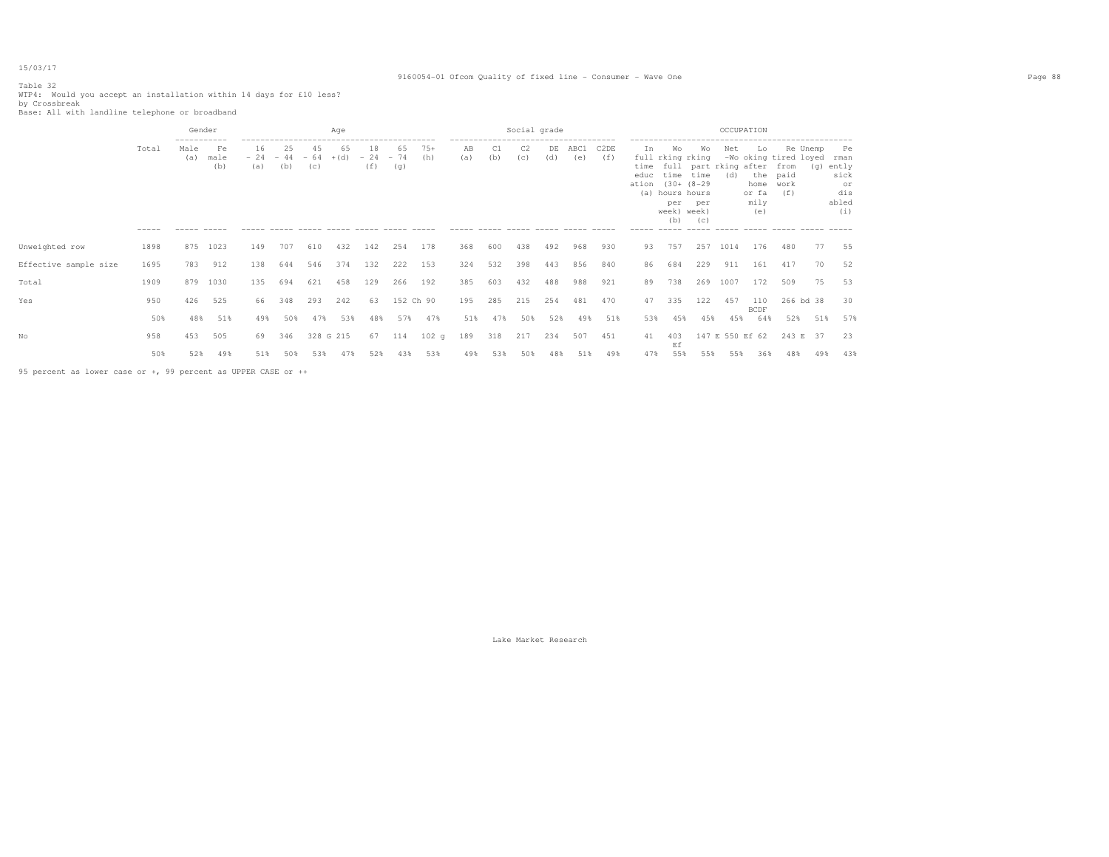## 9160054-01 Ofcom Quality of fixed line - Consumer - Wave One Page 88

Table 32 WTP4: Would you accept an installation within 14 days for £10 less? <br>by Crossbreak<br>Base: All with landline telephone or broadband

|                       |                      | Gender                     |                   |                    |                         |           | Age          |                    |                    |              |                                      |           | Social grade                               |           |                                  |                          |                    |                                                                                                          |                  | OCCUPATION                          |                                         |                                                                   |           |                                         |
|-----------------------|----------------------|----------------------------|-------------------|--------------------|-------------------------|-----------|--------------|--------------------|--------------------|--------------|--------------------------------------|-----------|--------------------------------------------|-----------|----------------------------------|--------------------------|--------------------|----------------------------------------------------------------------------------------------------------|------------------|-------------------------------------|-----------------------------------------|-------------------------------------------------------------------|-----------|-----------------------------------------|
|                       | Total<br>$- - - - -$ | -----------<br>Male<br>(a) | Fe<br>male<br>(b) | 16<br>$-24$<br>(a) | 25<br>$-44 - 64$<br>(b) | 45<br>(c) | 65<br>$+(d)$ | 18<br>$-24$<br>(f) | 65<br>$-74$<br>(q) | $75+$<br>(h) | -------------<br>AB<br>(a)<br>------ | C1<br>(b) | C2<br>(c)<br>------ ----- ----- ----- ---- | DE<br>(d) | -----------------<br>ABC1<br>(e) | C <sub>2</sub> DE<br>(f) | In<br>time<br>educ | Wo<br>full rking rking<br>time time<br>ation (30+ (8-29)<br>(a) hours hours<br>per<br>week) week)<br>(b) | Wo<br>per<br>(C) | Net<br>full part rking after<br>(d) | Lo<br>home work<br>or fa<br>mily<br>(e) | Re Unemp<br>-Wo oking tired loyed rman<br>from<br>the paid<br>(f) | (g) ently | Pe<br>sick<br>or<br>dis<br>abled<br>(i) |
| Unweighted row        | 1898                 | 875                        | 1023              | 149                | 707                     | 610       | 432          | 142                | 254                | 178          | 368                                  | 600       | 438                                        | 492       | 968                              | 930                      | 93                 | 757                                                                                                      | 257              | 1014                                | 176                                     | 480                                                               | 77        | 55                                      |
| Effective sample size | 1695                 | 783                        | 912               | 138                | 644                     | 546       | 374          | 132                | 222                | 153          | 324                                  | 532       | 398                                        | 443       | 856                              | 840                      | 86                 | 684                                                                                                      | 229              | 911                                 | 161                                     | 417                                                               | 70        | 52                                      |
| Total                 | 1909                 | 879                        | 1030              | 135                | 694                     | 621       | 458          | 129                | 266                | 192          | 385                                  | 603       | 432                                        | 488       | 988                              | 921                      | 89                 | 738                                                                                                      | 269              | 1007                                | 172                                     | 509                                                               | 75        | 53                                      |
| Yes                   | 950                  | 426                        | 525               | 66                 | 348                     | 293       | 242          | 63                 | 152 Ch 90          |              | 195                                  | 285       | 215                                        | 254       | 481                              | 470                      | 47                 | 335                                                                                                      | 122              | 457                                 | 110<br><b>BCDF</b>                      | 266 bd 38                                                         |           | 30                                      |
|                       | 50%                  | 48%                        | 51%               | 49%                | 50%                     | 47%       | 53%          | 48%                | 57%                | 47%          | 51%                                  | 47%       | 50%                                        | 52%       | 49%                              | 51%                      | 53%                | 45%                                                                                                      | 45%              | 45%                                 | 64%                                     | 52%                                                               | 51%       | 57%                                     |
| No                    | 958                  | 453                        | 505               | 69                 | 346                     | 328 G 215 |              | 67                 | 114                | 102q         | 189                                  | 318       | 217                                        | 234       | 507                              | 451                      | 41                 | 403<br>Ef                                                                                                |                  | 147 E 550 Ef 62                     |                                         | 243 E 37                                                          |           | 23                                      |
|                       | 50%                  | 52%                        | 49%               | 51%                | 50%                     | 53%       | 47%          | 52%                | 43%                | 53%          | 49%                                  | 53%       | 50%                                        | 48%       | 51%                              | 49%                      | 47%                | 55%                                                                                                      | 55%              | 55%                                 | 36%                                     | 48%                                                               | 49%       | 43%                                     |
|                       |                      |                            |                   |                    |                         |           |              |                    |                    |              |                                      |           |                                            |           |                                  |                          |                    |                                                                                                          |                  |                                     |                                         |                                                                   |           |                                         |

95 percent as lower case or +, 99 percent as UPPER CASE or ++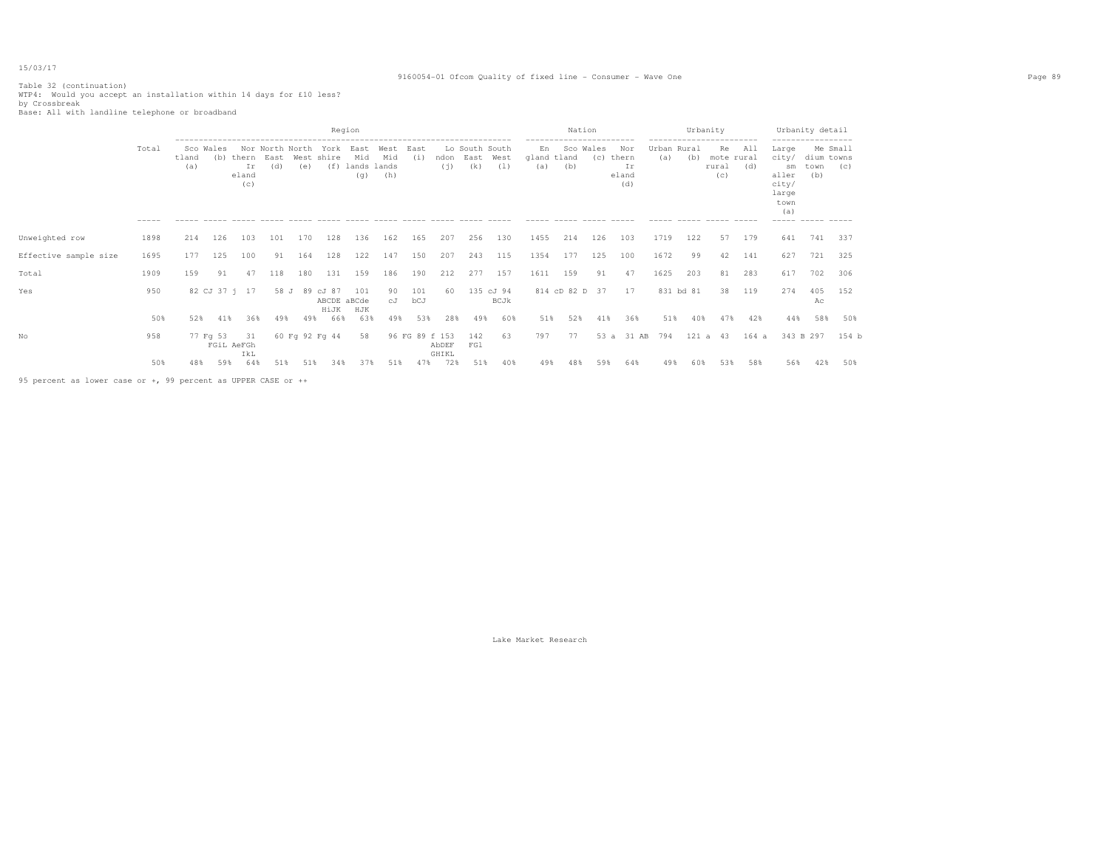## 9160054-01 Ofcom Quality of fixed line - Consumer - Wave One Page 89

# Table 32 (continuation) WTP4: Would you accept an installation within 14 days for £10 less? by Crossbreak Base: All with landline telephone or broadband

|                                                               |                      |              |                        |                                 |             |                        |                              | Region                            |                    |                |                |                               |                          |                                          | Nation                                      |                    |                                    |                    | Urbanity                                                     |                                  |            |                                                                                                           | Urbanity detail           |                 |
|---------------------------------------------------------------|----------------------|--------------|------------------------|---------------------------------|-------------|------------------------|------------------------------|-----------------------------------|--------------------|----------------|----------------|-------------------------------|--------------------------|------------------------------------------|---------------------------------------------|--------------------|------------------------------------|--------------------|--------------------------------------------------------------|----------------------------------|------------|-----------------------------------------------------------------------------------------------------------|---------------------------|-----------------|
|                                                               | Total<br>$- - - - -$ | tland<br>(a) | Sco Wales              | (b) thern<br>Ιr<br>eland<br>(C) | East<br>(d) | Nor North North<br>(e) | York<br>West shire<br>(f)    | East<br>Mid<br>lands lands<br>(q) | West<br>Mid<br>(h) | East<br>(i)    | ndon<br>(i)    | Lo South South<br>East<br>(k) | West<br>(1)              | En<br>gland tland<br>(a)<br>------ ----- | -----------------------<br>Sco Wales<br>(b) | (C)<br>------ ---- | Nor<br>thern<br>Ιr<br>eland<br>(d) | Urban Rural<br>(a) | ------------------------<br>(b)<br>------ ----- ------ ----- | Re<br>mote rural<br>rural<br>(C) | All<br>(d) | ------------------<br>Large<br>city/<br>sm<br>aller<br>city/<br>large<br>town<br>(a)<br>------ ----- ---- | dium towns<br>town<br>(b) | Me Small<br>(C) |
| Unweighted row                                                | 1898                 | 214          | 126                    | 103                             | 101         | 170                    | 128                          | 136                               | 162                | 165            | 207            | 256                           | 130                      | 1455                                     | 214                                         | 126                | 103                                | 1719               | 122                                                          | 57                               | 179        | 641                                                                                                       | 741                       | 337             |
| Effective sample size                                         | 1695                 | 177          | 125                    | 100                             | 91          | 164                    | 128                          | 122                               | 147                | 150            | 207            | 243                           | 115                      | 1354                                     | 177                                         | 125                | 100                                | 1672               | 99                                                           | 42                               | 141        | 627                                                                                                       | 721                       | 325             |
| Total                                                         | 1909                 | 159          | 91                     | 47                              | 118         | 180                    | 131                          | 159                               | 186                | 190            | 212            | 277                           | 157                      | 1611                                     | 159                                         | 91                 | 47                                 | 1625               | 203                                                          | 81                               | 283        | 617                                                                                                       | 702                       | 306             |
| Yes                                                           | 950                  |              | 82 CJ 37 i 17          |                                 | 58 J        | 89                     | cJ 87<br>ABCDE aBCde<br>HiJK | 101<br>HJK                        | 90<br>сJ           | 101<br>bCJ     | 60             |                               | 135 cJ 94<br><b>BCJk</b> |                                          | 814 cD 82 D 37                              |                    | 17                                 |                    | 831 bd 81                                                    | 38                               | 119        | 274                                                                                                       | 405<br>Ac                 | 152             |
|                                                               | 50%                  | 52%          | 41%                    | 36%                             | 49%         | 49%                    | 66%                          | 63%                               | 49%                | 53%            | 28%            | 49%                           | 60%                      | 51%                                      | 52%                                         | 41%                | 36%                                | 51%                | 40%                                                          | 47%                              | 42%        | 44%                                                                                                       | 58%                       | 50%             |
| No                                                            | 958                  |              | 77 Fg 53<br>FGiL AeFGh | - 31<br>IkL                     |             | 60 Fg 92 Fg 44         |                              | 58                                |                    | 96 FG 89 f 153 | AbDEF<br>GHIKL | 142<br>FG1                    | 63                       | 797                                      | 77                                          | 53a                | 31 AB                              | 794                | 121 a 43                                                     |                                  | 164a       |                                                                                                           | 343 B 297                 | 154 b           |
|                                                               | 50%                  | 48%          | 59%                    | 64%                             | 51%         | 51%                    | 34%                          | 37%                               | 51%                | 47%            | 72%            | 51%                           | 40%                      | 49%                                      | 48%                                         | 59%                | 64%                                | 49%                | 60%                                                          | 53%                              | 58%        | 56%                                                                                                       | 42%                       | 50%             |
| 95 percent as lower case or +, 99 percent as UPPER CASE or ++ |                      |              |                        |                                 |             |                        |                              |                                   |                    |                |                |                               |                          |                                          |                                             |                    |                                    |                    |                                                              |                                  |            |                                                                                                           |                           |                 |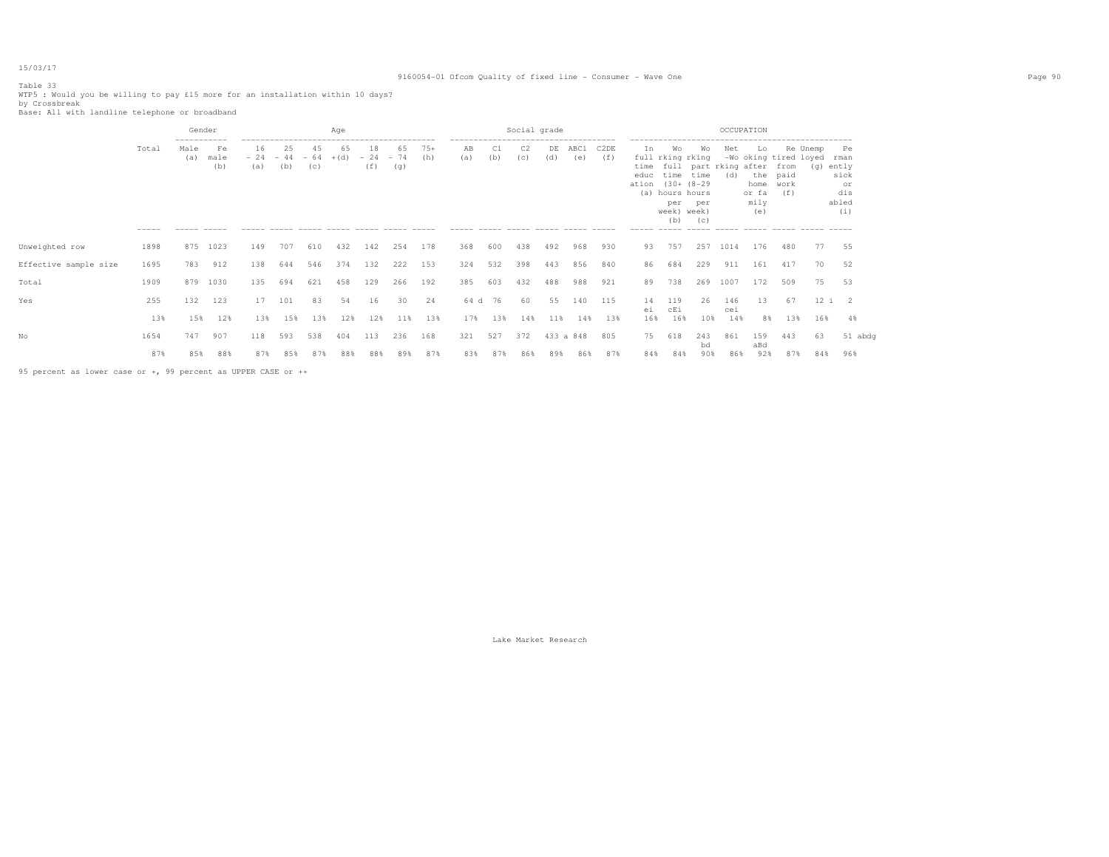#### Table 33

WTP5 : Would you be willing to pay £15 more for an installation within 10 days?<br>by Crossbreak<br>Base: All with landline telephone or broadband

|                       |                      | Gender                                    |                   |                            |           |           | Age          |                         |           |              |                                                                              |           | Social grade          |           |                                 |             |                          |                                                                                          |                  | OCCUPATION                               |                                                     |                                      |                 |                                                          |
|-----------------------|----------------------|-------------------------------------------|-------------------|----------------------------|-----------|-----------|--------------|-------------------------|-----------|--------------|------------------------------------------------------------------------------|-----------|-----------------------|-----------|---------------------------------|-------------|--------------------------|------------------------------------------------------------------------------------------|------------------|------------------------------------------|-----------------------------------------------------|--------------------------------------|-----------------|----------------------------------------------------------|
|                       | Total<br>$- - - - -$ | -----------<br>Male<br>(a)<br>------ ---- | Fe<br>male<br>(b) | 16<br>$-24 -44 -64$<br>(a) | 25<br>(b) | 45<br>(C) | 65<br>$+(d)$ | 18<br>$-24 - 74$<br>(f) | 65<br>(g) | $75+$<br>(h) | --------------------<br>AB<br>(a)<br>----- ----- ----- ----- ---- ----- ---- | C1<br>(b) | C <sub>2</sub><br>(c) | DE<br>(d) | ----------------<br>ABC1<br>(e) | C2DE<br>(f) | In.<br>ation (30+ (8-29) | Wo<br>full rking rking<br>educ time time<br>(a) hours hours<br>per<br>week) week)<br>(b) | Wo<br>per<br>(C) | Net<br>time full part rking after<br>(d) | Lo<br>the paid<br>home work<br>or fa<br>mily<br>(e) | -Wo oking tired loyed<br>from<br>(f) | Re Unemp<br>(g) | Pe<br>rman<br>ently<br>sick<br>or<br>dis<br>abled<br>(i) |
| Unweighted row        | 1898                 | 875                                       | 1023              | 149                        | 707       | 610       | 432          | 142                     | 254       | 178          | 368                                                                          | 600       | 438                   | 492       | 968                             | 930         | 93                       | 757                                                                                      | 257              | 1014                                     | 176                                                 | 480                                  | 77              | 55                                                       |
| Effective sample size | 1695                 | 783                                       | 912               | 138                        | 644       | 546       | 374          | 132                     | 222       | 153          | 324                                                                          | 532       | 398                   | 443       | 856                             | 840         | 86                       | 684                                                                                      | 229              | 911                                      | 161                                                 | 417                                  | 70              | 52                                                       |
| Total                 | 1909                 | 879                                       | 1030              | 135                        | 694       | 621       | 458          | 129                     | 266       | 192          | 385                                                                          | 603       | 432                   | 488       | 988                             | 921         | 89                       | 738                                                                                      | 269              | 1007                                     | 172                                                 | 509                                  | 75              | 53                                                       |
| Yes                   | 255                  | 132                                       | 123               | 17                         | 101       | 83        | 54           | 16                      | 30        | 24           | 64 d                                                                         | 76        | 60                    | 55        | 140                             | 115         | 14<br>еi                 | 119<br>cEi                                                                               | 26               | 146<br>cei                               | 13                                                  | 67                                   |                 | 12 i 2                                                   |
|                       | 13%                  | 15%                                       | 12%               | 13%                        | 15%       | 13%       | 12%          | 12%                     | 11%       | 13%          | 17%                                                                          | 13%       | 14%                   | 11%       | 14%                             | 13%         | 16%                      | 16%                                                                                      | 10%              | 14%                                      | 8%                                                  | 13%                                  | 16%             | 4%                                                       |
| No                    | 1654                 | 747                                       | 907               | 118                        | 593       | 538       | 404          | 113                     | 236       | 168          | 321                                                                          | 527       | 372                   |           | 433 a 848                       | 805         | 75                       | 618                                                                                      | 243              | 861                                      | 159                                                 | 443                                  | 63              | 51 abdg                                                  |
|                       | 87%                  | 85%                                       | 88%               | 87%                        | 85%       | 87%       | 88%          | 88%                     | 89%       | 87%          | 83%                                                                          | 87%       | 86%                   | 89%       | 86%                             | 87%         | 84%                      | 84%                                                                                      | bd<br>90%        | 86%                                      | aBd<br>92%                                          | 87%                                  | 84%             | 96%                                                      |
|                       |                      |                                           |                   |                            |           |           |              |                         |           |              |                                                                              |           |                       |           |                                 |             |                          |                                                                                          |                  |                                          |                                                     |                                      |                 |                                                          |

95 percent as lower case or +, 99 percent as UPPER CASE or ++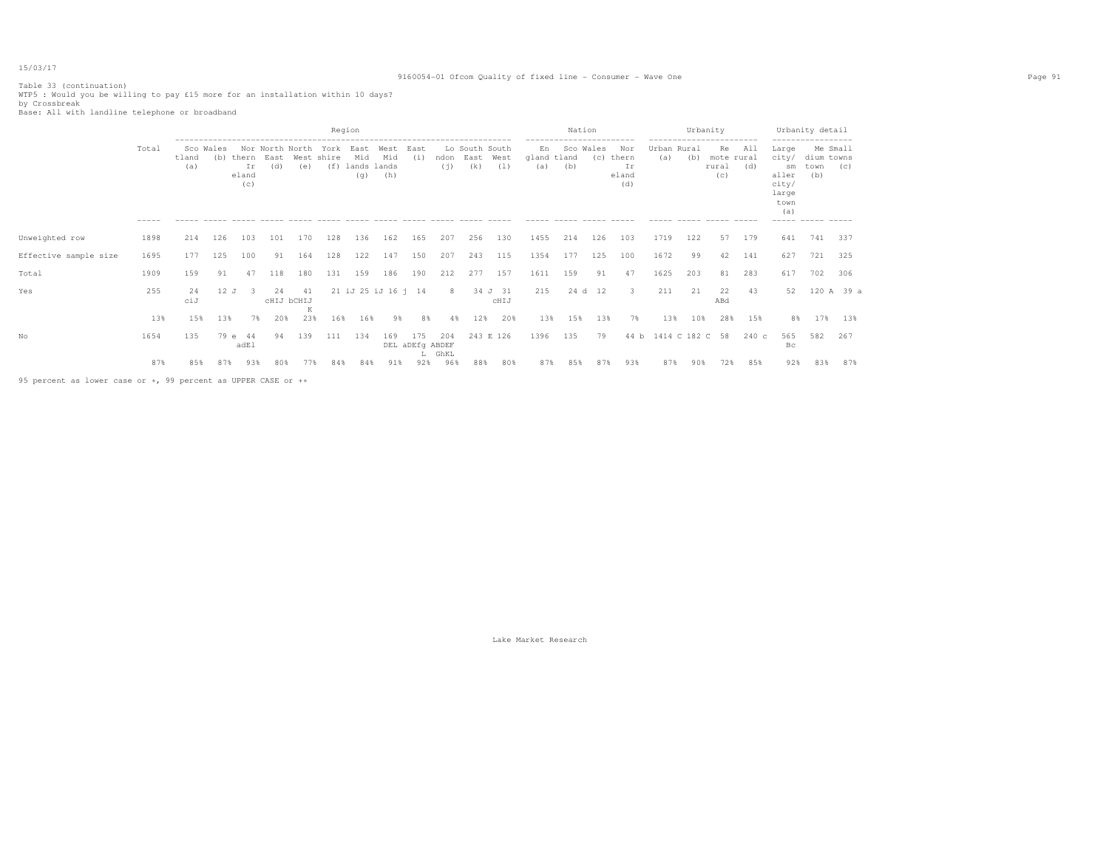## 9160054-01 Ofcom Quality of fixed line - Consumer - Wave One Page 91

Table 33 (continuation) WTP5 : Would you be willing to pay £15 more for an installation within 10 days? by Crossbreak Base: All with landline telephone or broadband

|                       |                      |              |                                  |                             |             |                                |                                                         | Region                            |                     |                        |                                              |                               |                            |                          | Nation |                  |                                                   |                             | Urbanity |                                               |                                                   |                                                                               | Urbanity detail                          |                 |
|-----------------------|----------------------|--------------|----------------------------------|-----------------------------|-------------|--------------------------------|---------------------------------------------------------|-----------------------------------|---------------------|------------------------|----------------------------------------------|-------------------------------|----------------------------|--------------------------|--------|------------------|---------------------------------------------------|-----------------------------|----------|-----------------------------------------------|---------------------------------------------------|-------------------------------------------------------------------------------|------------------------------------------|-----------------|
|                       | Total<br>$- - - - -$ | tland<br>(a) | Sco Wales<br>(b)<br>------ ----- | thern<br>Ir<br>eland<br>(c) | East<br>(d) | Nor North North<br>West<br>(e) | York<br>shire<br>(f)<br>------ ----- ------ ----- ----- | East<br>Mid<br>lands lands<br>(q) | West<br>Mid<br>(h)  | East<br>(i)<br>------  | ndon<br>(i)<br>$\cdots \cdots \cdots \cdots$ | Lo South South<br>East<br>(k) | West<br>(1)<br>$- - - - -$ | En<br>gland tland<br>(a) | (b)    | Sco Wales<br>(C) | Nor<br>thern<br>Ιr<br>eland<br>(d)<br>$- - - - -$ | Urban Rural<br>(a)<br>----- | (b)      | ---------<br>Re<br>mote rural<br>rural<br>(C) | All<br>(d)<br>$\qquad \qquad - \qquad - \qquad -$ | Large<br>city/<br>sm<br>aller<br>city/<br>large<br>town<br>(a)<br>$- - - - -$ | dium towns<br>town<br>(b)<br>------ ---- | Me Small<br>(C) |
| Unweighted row        | 1898                 | 214          | 126                              | 103                         | 101         | 170                            | 128                                                     | 136                               | 162                 | 165                    | 207                                          | 256                           | 130                        | 1455                     | 214    | 126              | 103                                               | 1719                        | 122      | 57                                            | 179                                               | 641                                                                           | 741                                      | 337             |
| Effective sample size | 1695                 | 177          | 125                              | 100                         | 91          | 164                            | 128                                                     | 122                               | 147                 | 150                    | 207                                          | 243                           | 115                        | 1354                     | 177    | 125              | 100                                               | 1672                        | 99       | 42                                            | 141                                               | 627                                                                           | 721                                      | 325             |
| Total                 | 1909                 | 159          | 91                               | 47                          | 118         | 180                            | 131                                                     | 159                               | 186                 | 190                    | 212                                          | 277                           | 157                        | 1611                     | 159    | 91               | 47                                                | 1625                        | 203      | 81                                            | 283                                               | 617                                                                           | 702                                      | 306             |
| Yes                   | 255                  | 24<br>ciJ    | 12J                              | -3                          | 24          | -41<br>CHIJ bCHIJ<br>K         |                                                         |                                   | 21 iJ 25 iJ 16 j 14 |                        | 8                                            |                               | 34 J 31<br>CHIJ            | 215                      |        | 24 d 12          | 3                                                 | 211                         | 21       | 22<br>ABd                                     | 43                                                | 52                                                                            |                                          | 120 A 39 a      |
|                       | 13%                  | 15%          | 13%                              | 7%                          | 20%         | 23%                            | 16%                                                     | 16%                               | 98                  | 8%                     | 4%                                           | 12%                           | 20%                        | 13%                      | 15%    | 13%              | 7%                                                | 13%                         | 10%      | 28%                                           | 15%                                               | 8%                                                                            | 17%                                      | 13%             |
| No                    | 1654                 | 135          | 79 e                             | 44<br>adEl                  | 94          | 139                            | 111                                                     | 134                               | 169                 | 175<br>DEL aDEfg ABDEF | 204<br>L GhKL                                |                               | 243 E 126                  | 1396                     | 135    | 79               | 44 b                                              | 1414 C 182 C                |          | 58                                            | 240c                                              | 565<br>Bс                                                                     | 582                                      | 267             |
|                       | 87%                  | 85%          | 87%                              | 93%                         | 80%         | 77%                            | 84%                                                     | 84%                               | 91%                 | 92%                    | 96%                                          | 88%                           | 80%                        | 87%                      | 85%    | 87%              | 93%                                               | 87%                         | 90%      | 72%                                           | 85%                                               | 92%                                                                           | 83%                                      | 87%             |

95 percent as lower case or +, 99 percent as UPPER CASE or ++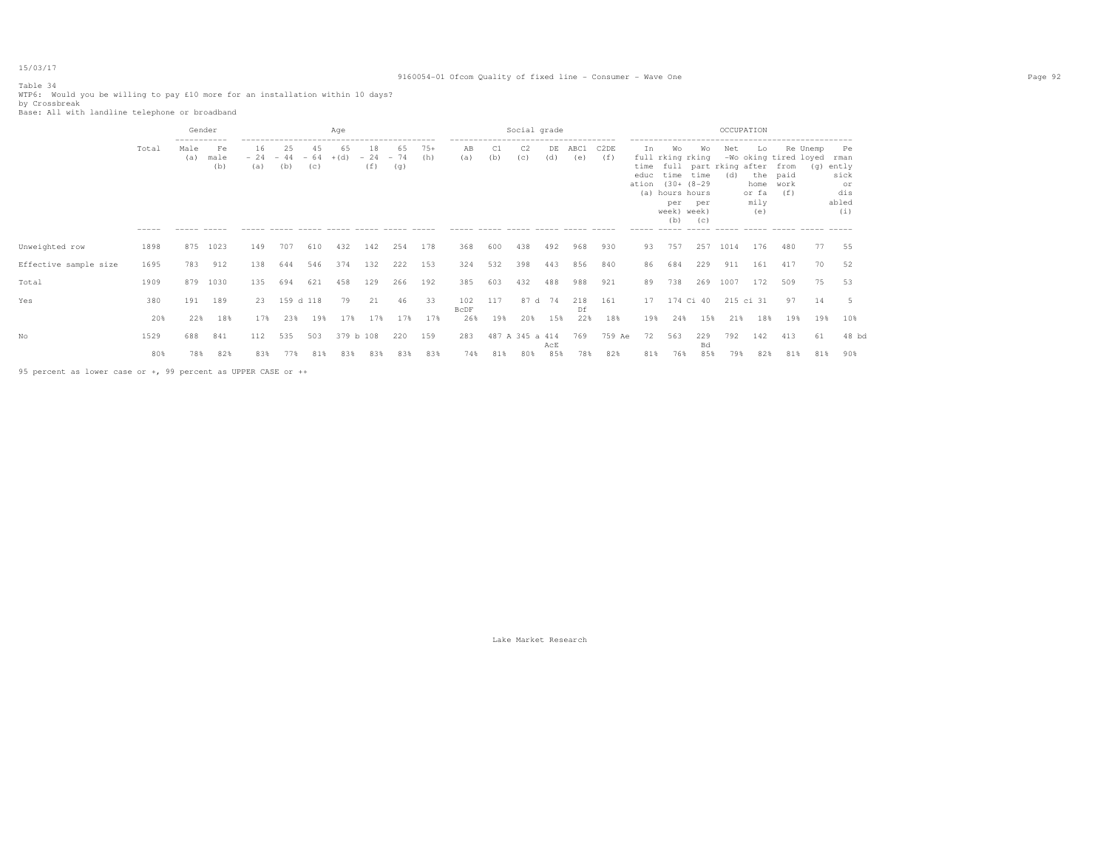#### Table 34

WTP6: Would you be willing to pay £10 more for an installation within 10 days? <br>by Crossbreak<br>Base: All with landline telephone or broadband

|                       |       | Gender                     |                   |                              |           |           | Aae          |                         |           |              |                                  |     | Social grade    |            |                                   |                          |                             |                                                                                                                                      |                  | OCCUPATION |                                                                     |                     |          |                                                              |
|-----------------------|-------|----------------------------|-------------------|------------------------------|-----------|-----------|--------------|-------------------------|-----------|--------------|----------------------------------|-----|-----------------|------------|-----------------------------------|--------------------------|-----------------------------|--------------------------------------------------------------------------------------------------------------------------------------|------------------|------------|---------------------------------------------------------------------|---------------------|----------|--------------------------------------------------------------|
|                       | Total | -----------<br>Male<br>(a) | Fe<br>male<br>(b) | 16<br>$-24 - 44 - 64$<br>(a) | 25<br>(b) | 45<br>(c) | 65<br>$+(d)$ | 18<br>$-24 - 74$<br>(f) | 65<br>(q) | $75+$<br>(h) | -------------------<br>ΆB<br>(a) | (b) | C2<br>(c)       | DE<br>(d)  | ------------------<br>ABC1<br>(e) | C <sub>2</sub> DE<br>(f) | In<br>time<br>educ<br>ation | Wo<br>full rking rking<br>full part rking after from<br>time time<br>$(30 + (8 - 29$<br>(a) hours hours<br>per<br>week) week)<br>(b) | Wo<br>per<br>(C) | Net<br>(d) | Lo.<br>-Wo oking tired loyed<br>the<br>home<br>or fa<br>mily<br>(e) | paid<br>work<br>(f) | Re Unemp | Pe<br>rman<br>(g) ently<br>sick<br>or<br>dis<br>abled<br>(i) |
| Unweighted row        | 1898  | 875                        | 1023              | 149                          | 707       | 610       | 432          | 142                     | 254       | 178          | 368                              | 600 | 438             | 492        | 968                               | 930                      | 93                          | 757                                                                                                                                  | 257              | 1014       | 176                                                                 | 480                 | 77       | 55                                                           |
| Effective sample size | 1695  | 783                        | 912               | 138                          | 644       | 546       | 374          | 132                     | 222       | 153          | 324                              | 532 | 398             | 443        | 856                               | 840                      | 86                          | 684                                                                                                                                  | 229              | 911        | 161                                                                 | 417                 | 70       | 52                                                           |
| Total                 | 1909  | 879                        | 1030              | 135                          | 694       | 621       | 458          | 129                     | 266       | 192          | 385                              | 603 | 432             | 488        | 988                               | 921                      | 89                          | 738                                                                                                                                  | 269              | 1007       | 172                                                                 | 509                 | 75       | 53                                                           |
| Yes                   | 380   | 191                        | 189               | 23                           | 159 d 118 |           | 79           | 21                      | 46        | 33           | 102<br><b>BCDF</b>               | 117 | 87 d 74         |            | 218<br>Df                         | 161                      | 17                          |                                                                                                                                      | 174 Ci 40        |            | 215 ci 31                                                           | 97                  | 14       |                                                              |
|                       | 20%   | 22%                        | 18%               | 17%                          | 23%       | 19%       | 17%          | 17%                     | 17%       | 17%          | 26%                              | 19% | 20%             | 15%        | 22%                               | 18%                      | 19%                         | 24%                                                                                                                                  | 15%              | 21%        | 18%                                                                 | 19%                 | 19%      | 10%                                                          |
| Nο                    | 1529  | 688                        | 841               | 112                          | 535       | 503       | 379 b 108    |                         | 220       | 159          | 283                              |     | 487 A 345 a 414 |            | 769                               | 759 Ae                   | 72                          | 563                                                                                                                                  | 229              | 792        | 142                                                                 | 413                 | 61       | $48$ bd                                                      |
|                       | 80%   | 78%                        | 82%               | 83%                          | 77%       | 81%       | 83%          | 83%                     | 83%       | 83%          | 74%                              | 81% | 80%             | AcE<br>85% | 78%                               | 82%                      | 81%                         | 76%                                                                                                                                  | Bd<br>85%        | 79%        | 82%                                                                 | 81%                 | 81%      | 90%                                                          |
|                       |       |                            |                   |                              |           |           |              |                         |           |              |                                  |     |                 |            |                                   |                          |                             |                                                                                                                                      |                  |            |                                                                     |                     |          |                                                              |

95 percent as lower case or +, 99 percent as UPPER CASE or ++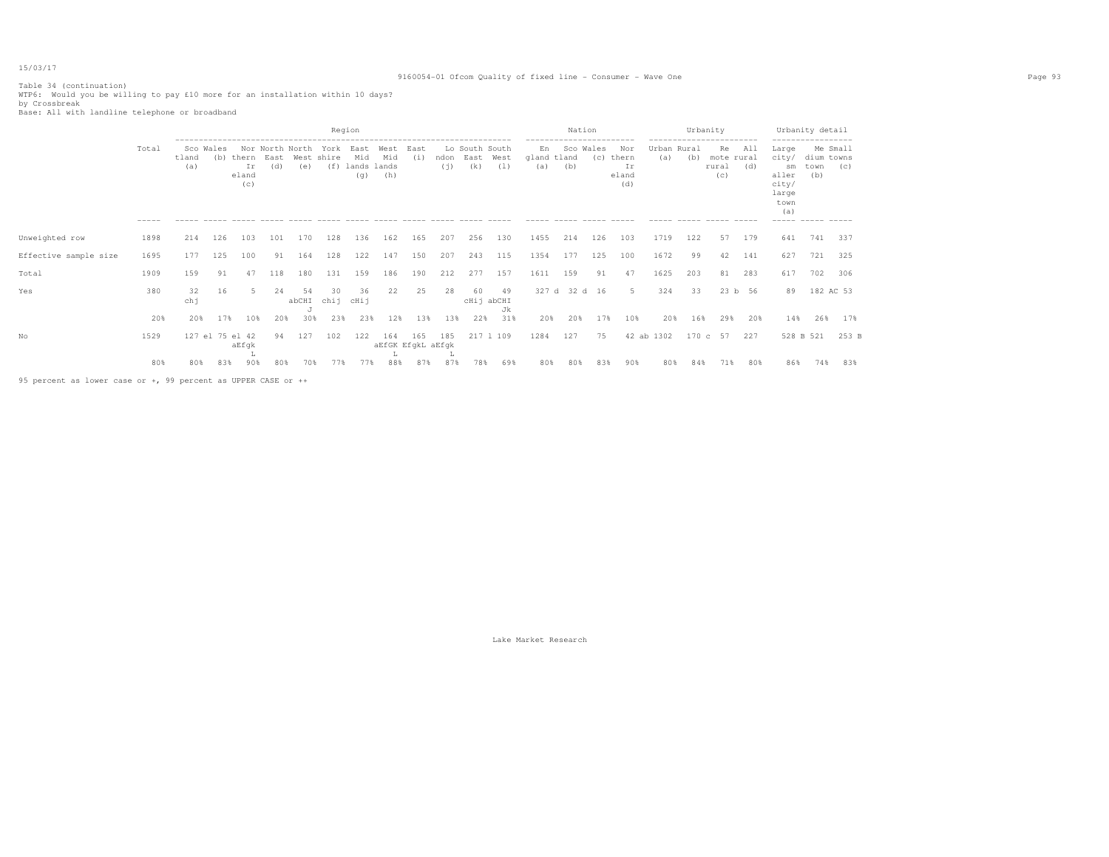Table 34 (continuation) WTP6: Would you be willing to pay £10 more for an installation within 10 days? by Crossbreak Base: All with landline telephone or broadband

|                       |                      |                           |     |                             |                                |                              |                           | Region                                                                       |                                |             |             |                               |             |                    |               | Nation           |                                                   |                             | Urbanity |                                  |                                       |                                                                          | Urbanity detail                                            |                           |
|-----------------------|----------------------|---------------------------|-----|-----------------------------|--------------------------------|------------------------------|---------------------------|------------------------------------------------------------------------------|--------------------------------|-------------|-------------|-------------------------------|-------------|--------------------|---------------|------------------|---------------------------------------------------|-----------------------------|----------|----------------------------------|---------------------------------------|--------------------------------------------------------------------------|------------------------------------------------------------|---------------------------|
|                       | Total<br>$- - - - -$ | Sco Wales<br>tland<br>(a) | (b) | thern<br>Ir<br>eland<br>(C) | Nor North North<br>East<br>(d) | West<br>(e)<br>$\frac{1}{2}$ | York<br>shire<br>$\cdots$ | East<br>Mid<br>(f) lands lands<br>(q)<br>$\qquad \qquad - \qquad - \qquad -$ | West<br>Mid<br>(h)<br>$\cdots$ | East<br>(i) | ndon<br>(i) | Lo South South<br>East<br>(k) | West<br>(1) | En<br>qland<br>(a) | tland<br>(b)  | Sco Wales<br>(C) | Nor<br>thern<br>Ιr<br>eland<br>(d)<br>$- - - - -$ | Urban Rural<br>(a)<br>----- | (b)      | Re<br>mote rural<br>rural<br>(C) | --------<br>All<br>(d)<br>$- - - - -$ | Large<br>city/<br>sm<br>aller<br>city/<br>large<br>town<br>(a)<br>------ | dium towns<br>town<br>(b)<br>$\cdots \cdots \cdots \cdots$ | Me Small<br>(C)<br>------ |
| Unweighted row        | 1898                 | 214                       | 126 | 103                         | 101                            | 170                          | 128                       | 136                                                                          | 162                            | 165         | 207         | 256                           | 130         | 1455               | 214           | 126              | 103                                               | 1719                        | 122      | 57                               | 179                                   | 641                                                                      | 741                                                        | 337                       |
| Effective sample size | 1695                 | 177                       | 125 | 100                         | 91                             | 164                          | 128                       | 122                                                                          | 147                            | 150         | 207         | 243                           | 115         | 1354               | 177           | 125              | 100                                               | 1672                        | 99       | 42                               | 141                                   | 627                                                                      | 721                                                        | 325                       |
| Total                 | 1909                 | 159                       | 91  | 47                          | 118                            | 180                          | 131                       | 159                                                                          | 186                            | 190         | 212         | 277                           | 157         | 1611               | 159           | 91               | 47                                                | 1625                        | 203      | 81                               | 283                                   | 617                                                                      | 702                                                        | 306                       |
| Yes                   | 380                  | 32<br>chj                 | 16  |                             | 24                             | 54<br>abCHI                  | 30<br>chij                | 36<br>cHij                                                                   | 22                             | 25          | 28          | 60<br>cHij abCHI              | 49<br>Jk    |                    | 327 d 32 d 16 |                  | -5                                                | 324                         | 33       |                                  | 23 b 56                               | 89                                                                       | 182 AC 53                                                  |                           |
|                       | 20%                  | 20%                       | 17% | 10 <sup>8</sup>             | 20%                            | 30%                          | 23%                       | 23%                                                                          | 12%                            | 13%         | 13%         | 22%                           | 31%         | 20%                | 20%           | 17%              | 10%                                               | 20%                         | 16%      | 29%                              | 20%                                   | 14%                                                                      | 26%                                                        | 17%                       |
| No                    | 1529                 |                           |     | 127 el 75 el 42<br>aEfgk    | 94                             | 127                          | 102                       | 122                                                                          | 164<br>aEfGK EfgkL aEfgk       | 165         | 185         |                               | 217 1 109   | 1284               | 127           | 75               |                                                   | 42 ab 1302                  | 170 c 57 |                                  | 227                                   |                                                                          | 528 B 521                                                  | 253 B                     |
|                       | 80%                  | 80%                       | 83% | 90%                         | 80%                            | 70%                          | 77%                       | 77%                                                                          | 88%                            | 87%         | 87%         | 78%                           | 69%         | 80%                | 80%           | 83%              | 90%                                               | 80%                         | 84%      | 71%                              | 80%                                   | 86%                                                                      | 74%                                                        | 83%                       |

95 percent as lower case or +, 99 percent as UPPER CASE or ++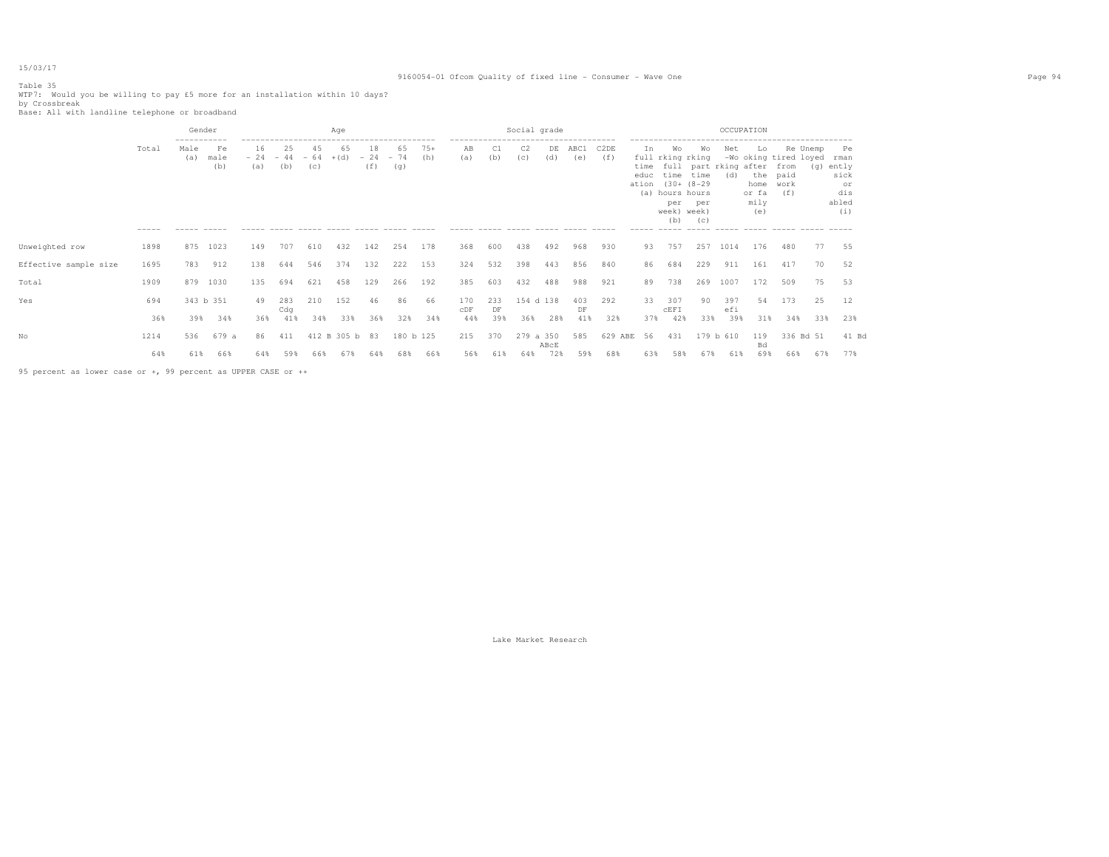# Table 35

WTP7: Would you be willing to pay £5 more for an installation within 10 days? <br>by Crossbreak<br>Base: All with landline telephone or broadband

|                       |                      | Gender                              |                                  |                              |                    |                    | Age                                      |                    |                    |                                               |            |           | Social grade |           |                                 |                                                           |                             |                                                                                                                                                 |                  | OCCUPATION |                                                                                                      |                             |          |                                                              |
|-----------------------|----------------------|-------------------------------------|----------------------------------|------------------------------|--------------------|--------------------|------------------------------------------|--------------------|--------------------|-----------------------------------------------|------------|-----------|--------------|-----------|---------------------------------|-----------------------------------------------------------|-----------------------------|-------------------------------------------------------------------------------------------------------------------------------------------------|------------------|------------|------------------------------------------------------------------------------------------------------|-----------------------------|----------|--------------------------------------------------------------|
|                       | Total<br>$- - - - -$ | -----------<br>Male<br>(a)<br>----- | Fe<br>male<br>(b)<br>$- - - - -$ | 16<br>$-24$<br>(a)<br>------ | 25<br>$-44$<br>(b) | 45<br>$-64$<br>(c) | 65<br>$+(d)$<br>------ ----- ----- ----- | 18<br>$-24$<br>(f) | 65<br>$-74$<br>(g) | $75+$<br>(h)<br>$\cdots \cdots \cdots \cdots$ | ΆB<br>(a)  | (b)       | C2<br>(C)    | DE<br>(d) | ----------------<br>ABC1<br>(e) | C <sub>2</sub> DE<br>(f)<br>$\cdots \cdots \cdots \cdots$ | In<br>time<br>educ<br>ation | Wo<br>full rking rking<br>full part rking after<br>time time<br>$(30 + (8 - 29$<br>(a) hours hours<br>per<br>week) week)<br>(b)<br>------ ----- | Wo<br>per<br>(c) | Net<br>(d) | Lo<br>-Wo oking tired loyed<br>the<br>home<br>or fa<br>mily<br>(e)<br>------ ----- ------ ----- ---- | from<br>paid<br>work<br>(f) | Re Unemp | Pe<br>rman<br>(g) ently<br>sick<br>or<br>dis<br>abled<br>(i) |
| Unweighted row        | 1898                 | 875                                 | 1023                             | 149                          | 707                | 610                | 432                                      | 142                | 254                | 178                                           | 368        | 600       | 438          | 492       | 968                             | 930                                                       | 93                          | 757                                                                                                                                             | 257              | 1014       | 176                                                                                                  | 480                         | 77       | 55                                                           |
| Effective sample size | 1695                 | 783                                 | 912                              | 138                          | 644                | 546                | 374                                      | 132                | 222                | 153                                           | 324        | 532       | 398          | 443       | 856                             | 840                                                       | 86                          | 684                                                                                                                                             | 229              | 911        | 161                                                                                                  | 417                         | 70       | 52                                                           |
| Total                 | 1909                 | 879                                 | 1030                             | 135                          | 694                | 621                | 458                                      | 129                | 266                | 192                                           | 385        | 603       | 432          | 488       | 988                             | 921                                                       | 89                          | 738                                                                                                                                             | 269              | 1007       | 172                                                                                                  | 509                         | 75       | 53                                                           |
| Yes                   | 694                  |                                     | 343 b 351                        | 49                           | 283<br>Cdq         | 210                | 152                                      | 46                 | 86                 | 66                                            | 170<br>CDF | 233<br>DF | 154 d 138    |           | 403<br>DF                       | 292                                                       | 33                          | 307<br>CEFI                                                                                                                                     | 90               | 397<br>efi | 54                                                                                                   | 173                         | 25       | 12                                                           |
|                       | 36%                  | 39%                                 | 34%                              | 36%                          | 41%                | 34%                | 33%                                      | 36%                | 32%                | 34%                                           | 44%        | 39%       | 36%          | 28%       | 41%                             | 32%                                                       | 37%                         | 42%                                                                                                                                             | 33%              | 39%        | 31%                                                                                                  | 34%                         | 33%      | 23%                                                          |
| Nο                    | 1214                 | 536                                 | 679 a                            | 86                           | 411                |                    | 412 B 305 b 83                           |                    | 180 b 125          |                                               | 215        | 370       | 279 a 350    | ABCE      | 585                             | 629 ABE                                                   | 56                          | 431                                                                                                                                             |                  | 179 b 610  | 119<br>Bd                                                                                            | 336 Bd 51                   |          | 41 Bd                                                        |
|                       | 64%                  | 61%                                 | 66%                              | 64%                          | 59%                | 66%                | 67%                                      | 64%                | 68%                | 66%                                           | 56%        | 61%       | 64%          | 72%       | 59%                             | 68%                                                       | 63%                         | 58%                                                                                                                                             | 67%              | 61%        | 69%                                                                                                  | 66%                         | 67%      | 77%                                                          |

95 percent as lower case or +, 99 percent as UPPER CASE or ++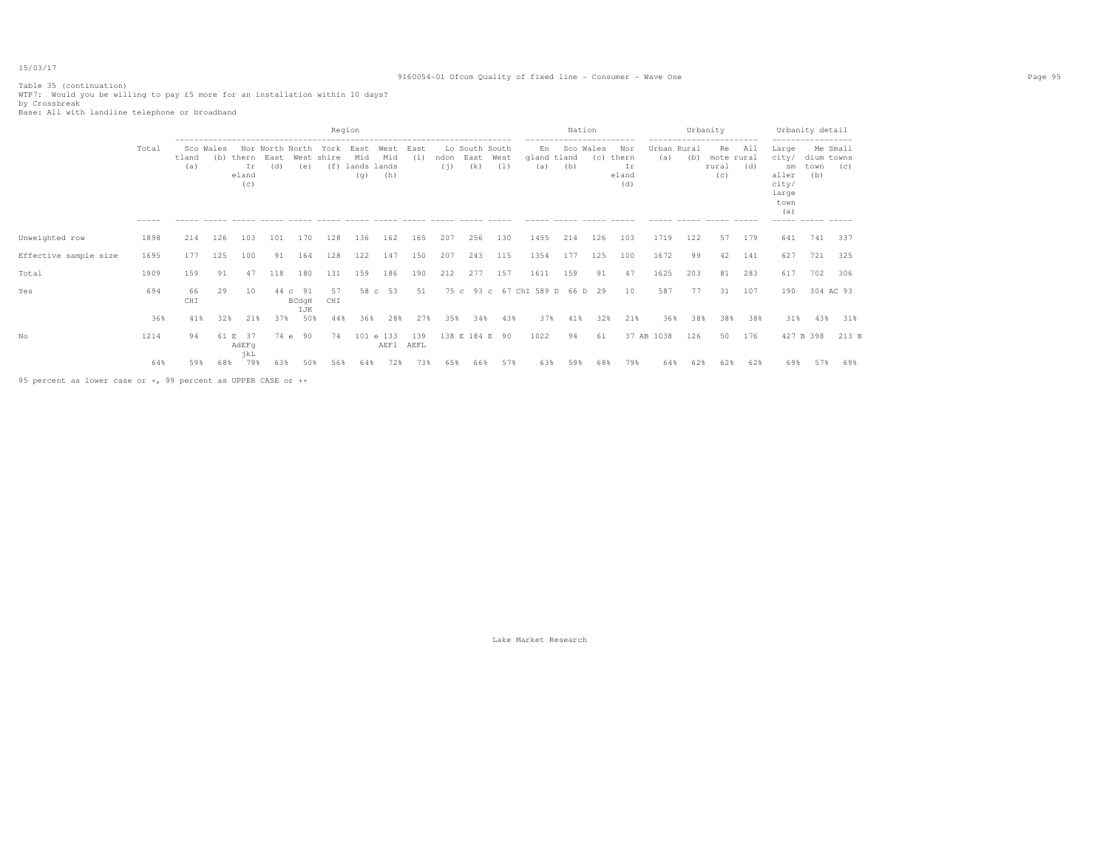## 9160054-01 Ofcom Quality of fixed line - Consumer - Wave One Page 95

Table 35 (continuation) WTP7: Would you be willing to pay £5 more for an installation within 10 days? by Crossbreak Base: All with landline telephone or broadband

|                                                               |                      |              |                  |                             |             |                        |                           | Region                            |                    |             |             |                               |             |                                         | Nation           |                    |                                                                     |                             | Urbanity | ------------------------                               |            |                                                                                     | Urbanity detail           |                 |
|---------------------------------------------------------------|----------------------|--------------|------------------|-----------------------------|-------------|------------------------|---------------------------|-----------------------------------|--------------------|-------------|-------------|-------------------------------|-------------|-----------------------------------------|------------------|--------------------|---------------------------------------------------------------------|-----------------------------|----------|--------------------------------------------------------|------------|-------------------------------------------------------------------------------------|---------------------------|-----------------|
|                                                               | Total<br>$- - - - -$ | tland<br>(a) | Sco Wales<br>(b) | thern<br>Ir<br>eland<br>(C) | East<br>(d) | Nor North North<br>(e) | York<br>West shire<br>(f) | East<br>Mid<br>lands lands<br>(q) | West<br>Mid<br>(h) | East<br>(i) | ndon<br>(i) | Lo South South<br>East<br>(k) | West<br>(1) | En<br>gland tland<br>(a)<br>$- - - - -$ | Sco Wales<br>(b) | (C)<br>$- - - - -$ | Nor<br>thern<br>Ιr<br>eland<br>(d)<br>$\cdots \cdots \cdots \cdots$ | Urban Rural<br>(a)<br>----- | (b)      | Re<br>mote rural<br>rural<br>(c)<br>------ ----- ----- | All<br>(d) | Large<br>city/<br>sm<br>aller<br>city/<br>large<br>town<br>(a)<br>----- ----- ----- | dium towns<br>town<br>(b) | Me Small<br>(C) |
| Unweighted row                                                | 1898                 | 214          | 126              | 103                         | 101         | 170                    | 128                       | 136                               | 162                | 165         | 207         | 256                           | 130         | 1455                                    | 214              | 126                | 103                                                                 | 1719                        | 122      | 57                                                     | 179        | 641                                                                                 | 741                       | 337             |
| Effective sample size                                         | 1695                 | 177          | 125              | 100                         | 91          | 164                    | 128                       | 122                               | 147                | 150         | 207         | 243                           | 115         | 1354                                    | 177              | 125                | 100                                                                 | 1672                        | 99       | 42                                                     | 141        | 627                                                                                 | 721                       | 325             |
| Total                                                         | 1909                 | 159          | 91               | 47                          | 118         | 180                    | 131                       | 159                               | 186                | 190         | 212         | 277                           | 157         | 1611                                    | 159              | 91                 | 47                                                                  | 1625                        | 203      | 81                                                     | 283        | 617                                                                                 | 702                       | 306             |
| Yes                                                           | 694                  | 66<br>CHI    | 29               | 10                          | 44 c        | 91<br>BCdgH<br>IJK     | 57<br>CHI                 | 58 c                              | 53                 | 51          | 75 с        |                               |             | 93 c 67 ChI 589 D 66 D                  |                  | 29                 | 10                                                                  | 587                         | 77       | 31                                                     | 107        | 190                                                                                 | 304 AC 93                 |                 |
|                                                               | 36%                  | 41%          | 32%              | 21%                         | 37%         | 50%                    | 44%                       | 36%                               | 28%                | 27%         | 35%         | 34%                           | 43%         | 37%                                     | 41%              | 32%                | 21%                                                                 | 36%                         | 38%      | 38%                                                    | 38%        | 31%                                                                                 | 43%                       | 31%             |
| No                                                            | 1214                 | 94           | 61 E             | 37<br>AdEFq<br>jkL          | 74 e        | 90                     | 74                        |                                   | 101 e 133<br>AEF1  | 139<br>AEFL |             | 138 E 184 E                   | 90          | 1022                                    | 94               | 61                 |                                                                     | 37 AB 1038                  | 126      | 50                                                     | 176        |                                                                                     | 427 B 398                 | 213 B           |
|                                                               | 64%                  | 59%          | 68%              | 79%                         | 63%         | 50%                    | 56%                       | 64%                               | 72%                | 73%         | 65%         | 66%                           | 57%         | 63%                                     | 59%              | 68%                | 79%                                                                 | 64%                         | 62%      | 62%                                                    | 62%        | 69%                                                                                 | 57%                       | 69%             |
| 95 percent as lower case or +, 99 percent as UPPER CASE or ++ |                      |              |                  |                             |             |                        |                           |                                   |                    |             |             |                               |             |                                         |                  |                    |                                                                     |                             |          |                                                        |            |                                                                                     |                           |                 |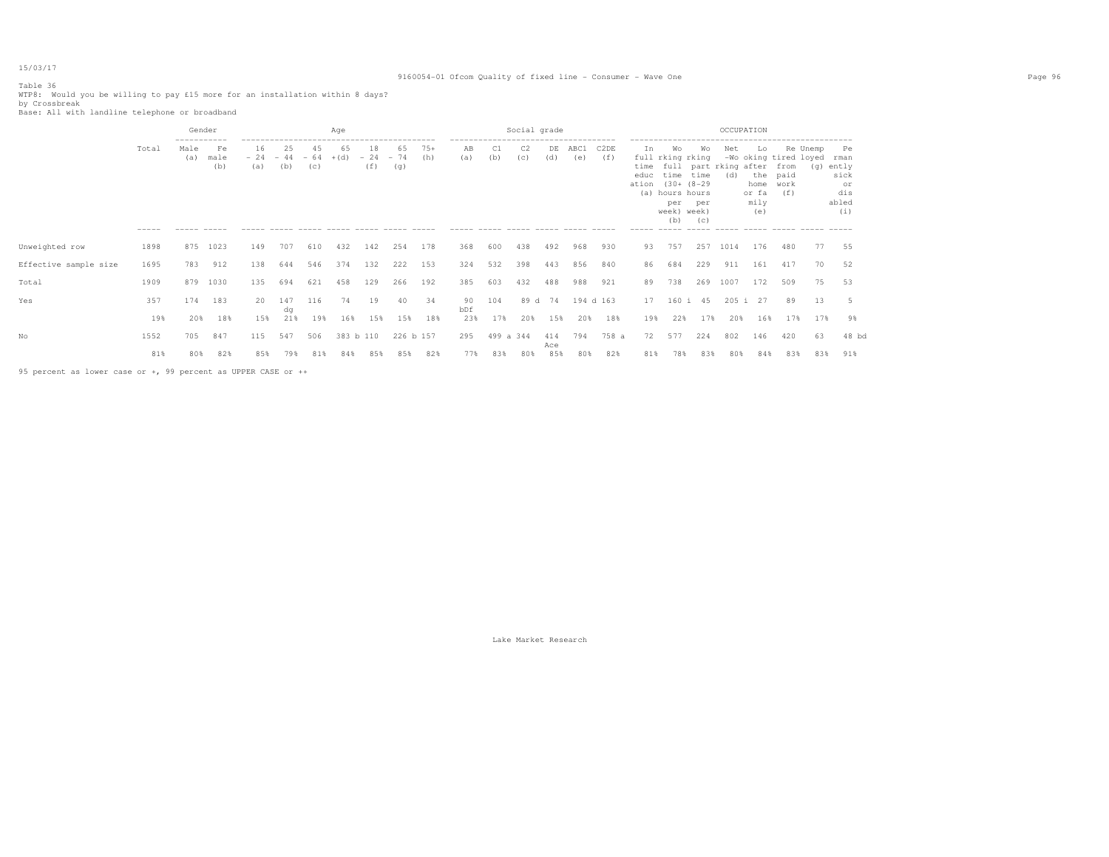#### Table 36

WTP8: Would you be willing to pay £15 more for an installation within 8 days? <br>by Crossbreak<br>Base: All with landline telephone or broadband

|                       |                   | Gender                                    |                   |                              |            |            | Age              |                         |                  |              |                                                                          |                  | Social grade          |                   |                                 |                          |                             |                                                                                                   |                          | OCCUPATION                          |                                                                    |                             |           |                                                                |
|-----------------------|-------------------|-------------------------------------------|-------------------|------------------------------|------------|------------|------------------|-------------------------|------------------|--------------|--------------------------------------------------------------------------|------------------|-----------------------|-------------------|---------------------------------|--------------------------|-----------------------------|---------------------------------------------------------------------------------------------------|--------------------------|-------------------------------------|--------------------------------------------------------------------|-----------------------------|-----------|----------------------------------------------------------------|
|                       | Total<br>$------$ | -----------<br>Male<br>(a)<br>------ ---- | Fe<br>male<br>(b) | 16<br>$-24 - 44 - 64$<br>(a) | 25<br>(b)  | 45<br>(C)  | 65<br>$+(d)$     | 18<br>$-24 - 74$<br>(f) | 65<br>(q)        | $75+$<br>(h) | -------------------------------------<br>AВ<br>(a)<br>------ ----- ----- | (b)              | C <sub>2</sub><br>(C) | DE<br>(d)         | ABC1<br>(e)<br>______ _____ ___ | C <sub>2</sub> DE<br>(f) | In<br>time<br>educ<br>ation | Wo<br>full rking rking<br>time<br>$(30 + (8 - 29$<br>(a) hours hours<br>per<br>week) week)<br>(b) | Wo<br>time<br>per<br>(C) | Net<br>full part rking after<br>(d) | Lo<br>-Wo oking tired loyed<br>the<br>home<br>or fa<br>mily<br>(e) | from<br>paid<br>work<br>(f) | Re Unemp  | - Pe<br>rman<br>(q) ently<br>sick<br>or<br>dis<br>abled<br>(i) |
| Unweighted row        | 1898              | 875                                       | 1023              | 149                          | 707        | 610        | 432              | 142                     | 254              | 178          | 368                                                                      | 600              | 438                   | 492               | 968                             | 930                      | 93                          | 757                                                                                               | 257                      | 1014                                | 176                                                                | 480                         | 77        | 55                                                             |
| Effective sample size | 1695              | 783                                       | 912               | 138                          | 644        | 546        | 374              | 132                     | 222              | 153          | 324                                                                      | 532              | 398                   | 443               | 856                             | 840                      | 86                          | 684                                                                                               | 229                      | 911                                 | 161                                                                | 417                         | 70        | 52                                                             |
| Total                 | 1909              | 879                                       | 1030              | 135                          | 694        | 621        | 458              | 129                     | 266              | 192          | 385                                                                      | 603              | 432                   | 488               | 988                             | 921                      | 89                          | 738                                                                                               | 269                      | 1007                                | 172                                                                | 509                         | 75        | 53                                                             |
| Yes                   | 357               | 174                                       | 183               | 20                           | 147<br>da  | 116        | 74               | 19                      | 40               | 34           | 90<br>bDf                                                                | 104              | 89 d                  | 74                | 194 d 163                       |                          | 17                          |                                                                                                   | 160 i 45                 |                                     | 205 i 27                                                           | 89                          | 13        | 5                                                              |
|                       | 19%               | 20%                                       | 18%               | 15%                          | 21%        | 19%        | 16%              | 15%                     | 15%              | 18%          | 23%                                                                      | 17%              | 20%                   | 15%               | 20%                             | 18%                      | 19%                         | 22%                                                                                               | 17%                      | 20%                                 | 16%                                                                | 17%                         | 17%       | 9%                                                             |
| Nο                    | 1552<br>81%       | 705<br>80%                                | 847<br>82%        | 115<br>85%                   | 547<br>79% | 506<br>81% | 383 b 110<br>84% | 85%                     | 226 b 157<br>85% | 82%          | 295<br>77%                                                               | 499 a 344<br>83% | 80%                   | 414<br>Ace<br>85% | 794<br>80%                      | 758 a<br>82%             | 72<br>81%                   | 577<br>78%                                                                                        | 224<br>83%               | 802<br>80%                          | 146<br>84%                                                         | 420<br>83%                  | 63<br>83% | 48 bd<br>91%                                                   |
|                       |                   |                                           |                   |                              |            |            |                  |                         |                  |              |                                                                          |                  |                       |                   |                                 |                          |                             |                                                                                                   |                          |                                     |                                                                    |                             |           |                                                                |

95 percent as lower case or +, 99 percent as UPPER CASE or ++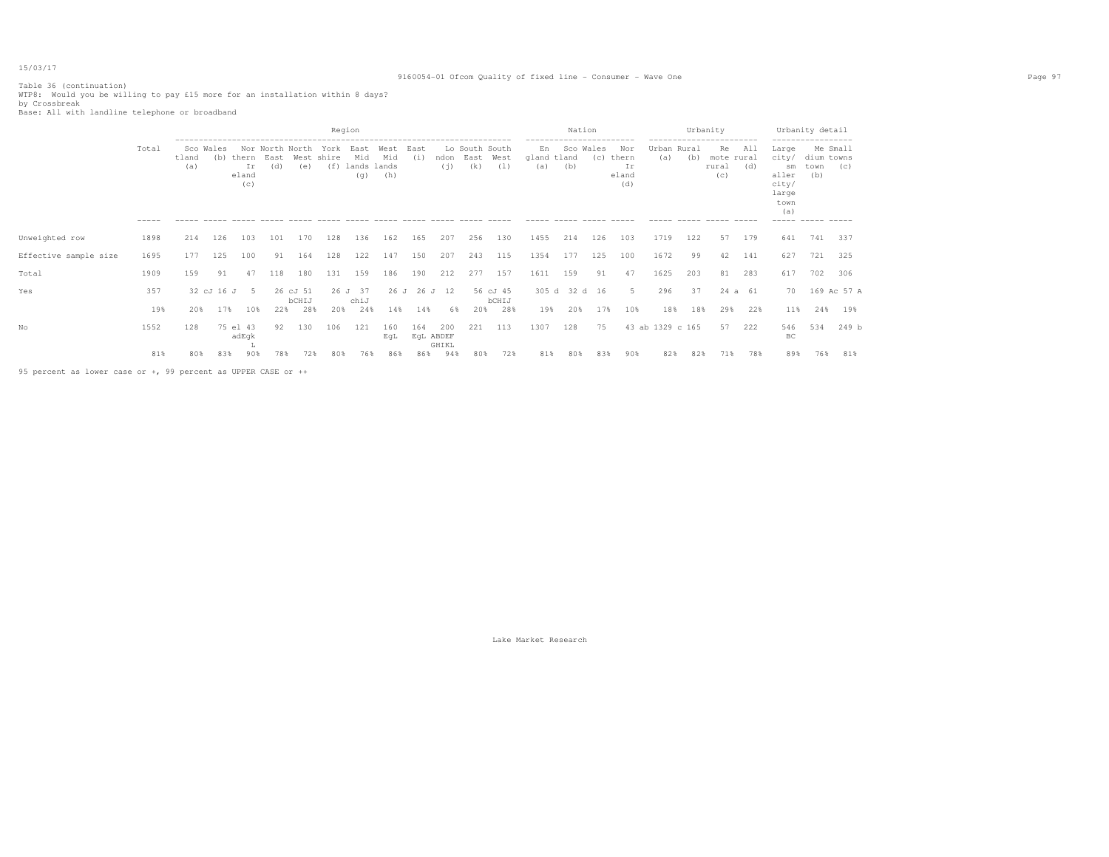## 9160054-01 Ofcom Quality of fixed line - Consumer - Wave One Page 97

Table 36 (continuation) WTP8: Would you be willing to pay £15 more for an installation within 8 days? by Crossbreak Base: All with landline telephone or broadband

|                       |       |                     |              |                             |                                |                   |                      | Region                            |                    |             |                  |                               |                       |                          | Nation           |     |                                    |                    | Urbanity | .                                |            |                                                                         | Urbanity detail                          |                 |
|-----------------------|-------|---------------------|--------------|-----------------------------|--------------------------------|-------------------|----------------------|-----------------------------------|--------------------|-------------|------------------|-------------------------------|-----------------------|--------------------------|------------------|-----|------------------------------------|--------------------|----------|----------------------------------|------------|-------------------------------------------------------------------------|------------------------------------------|-----------------|
|                       | Total | Sco<br>tland<br>(a) | Wales<br>(b) | thern<br>Ir<br>eland<br>(c) | Nor North North<br>East<br>(d) | West<br>(e)       | York<br>shire<br>(f) | East<br>Mid<br>lands lands<br>(g) | West<br>Mid<br>(h) | East<br>(i) | ndon<br>(i)      | Lo South South<br>East<br>(k) | West<br>(1)<br>------ | En<br>gland tland<br>(a) | Sco Wales<br>(b) | (C) | Nor<br>thern<br>Ιr<br>eland<br>(d) | Urban Rural<br>(a) | (b)      | Re<br>mote rural<br>rural<br>(C) | All<br>(d) | Large<br>city/<br>sm<br>aller<br>city/<br>large<br>town<br>(a)<br>----- | dium towns<br>town<br>(b)<br>------ ---- | Me Small<br>(C) |
| Unweighted row        | 1898  | 214                 | 126          | 103                         | 101                            | 170               | 128                  | 136                               | 162                | 165         | 207              | 256                           | 130                   | 1455                     | 214              | 126 | 103                                | 1719               | 122      | 57                               | 179        | 641                                                                     | 741                                      | 337             |
| Effective sample size | 1695  | 177                 | 125          | 100                         | 91                             | 164               | 128                  | 122                               | 147                | 150         | 207              | 243                           | 115                   | 1354                     | 177              | 125 | 100                                | 1672               | 99       | 42                               | 141        | 627                                                                     | 721                                      | 325             |
| Total                 | 1909  | 159                 | 91           | 47                          | 118                            | 180               | 131                  | 159                               | 186                | 190         | 212              | 277                           | 157                   | 1611                     | 159              | 91  | 47                                 | 1625               | 203      | 81                               | 283        | 617                                                                     | 702                                      | 306             |
| Yes                   | 357   |                     | 32 cJ 16 J   | - 5                         |                                | 26 cJ 51<br>bCHIJ |                      | 26 J 37<br>chiJ                   | 26J                |             | 26 J 12          |                               | 56 cJ 45<br>bCHIJ     |                          | 305 d 32 d 16    |     | 5                                  | 296                | 37       |                                  | 24 a 61    | 70                                                                      |                                          | 169 Ac 57 A     |
|                       | 19%   | 20%                 | 17%          | 10%                         | 22%                            | 28%               | 20%                  | 24%                               | 14%                | 14%         | 6%               | 20%                           | 28%                   | 19%                      | 20%              | 17% | 10%                                | 18%                | 18%      | 29%                              | 22%        | 11%                                                                     | 24%                                      | 19%             |
| No                    | 1552  | 128                 |              | 75 el 43<br>adEgk           | 92                             | 130               | 106                  | 121                               | 160<br>EqL         | 164         | 200<br>EqL ABDEF | 221                           | 113                   | 1307                     | 128              | 75  |                                    | 43 ab 1329 c 165   |          | 57                               | 222        | 546<br>BC                                                               | 534                                      | 249 b           |
|                       | 81%   | 80%                 | 83%          | 90%                         | 78%                            | 72%               | 80%                  | 76%                               | 86%                | 86%         | GHIKL<br>94%     | 80%                           | 72%                   | 81%                      | 80%              | 83% | 90%                                | 82%                | 82%      | 71%                              | 78%        | 89%                                                                     | 76%                                      | 81%             |

95 percent as lower case or +, 99 percent as UPPER CASE or ++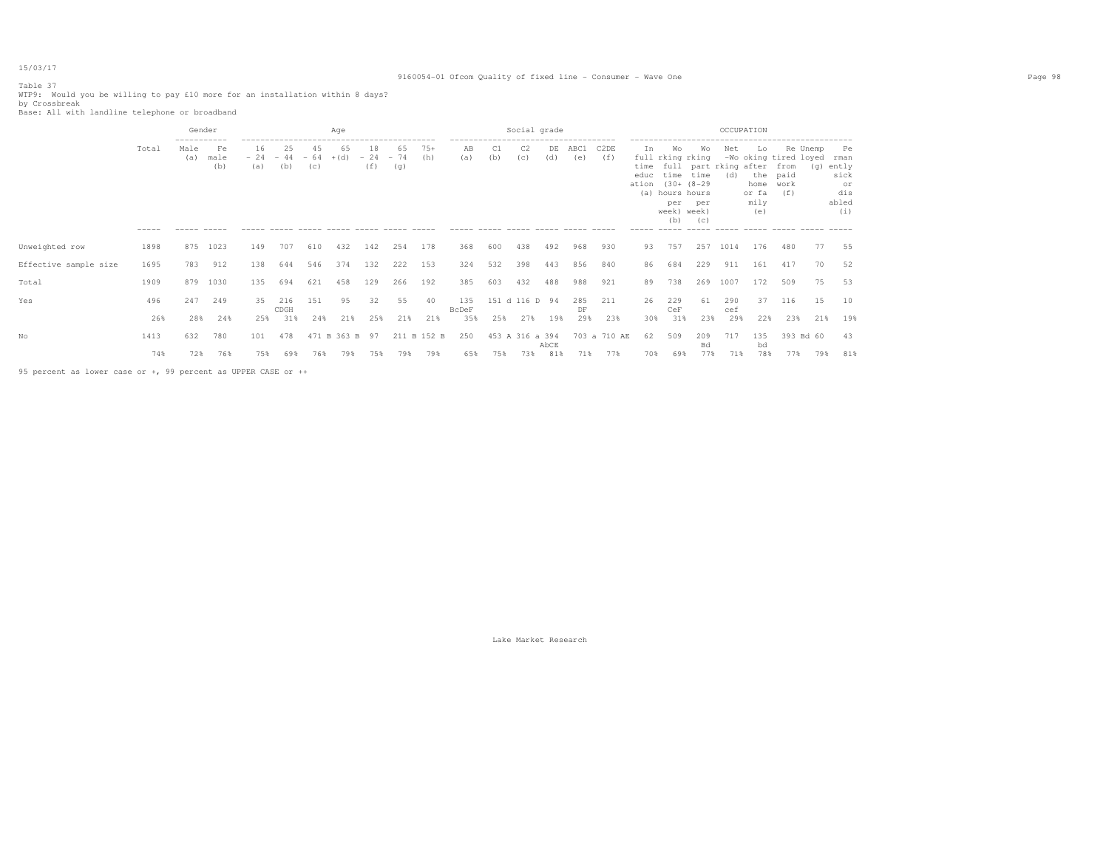#### Table 37

WTP9: Would you be willing to pay £10 more for an installation within 8 days? <br>by Crossbreak<br>Base: All with landline telephone or broadband

|                       |                      | Gender                               |                                                    |           |                              |           | Age          |                    |                    |              |                                                  |           | Social grade    |           |             |              |                   |                                                                                                      |                  | OCCUPATION                                    |                                                     |                                          |     |                                                          |
|-----------------------|----------------------|--------------------------------------|----------------------------------------------------|-----------|------------------------------|-----------|--------------|--------------------|--------------------|--------------|--------------------------------------------------|-----------|-----------------|-----------|-------------|--------------|-------------------|------------------------------------------------------------------------------------------------------|------------------|-----------------------------------------------|-----------------------------------------------------|------------------------------------------|-----|----------------------------------------------------------|
|                       | Total<br>$- - - - -$ | -----------<br>Male<br>(a)<br>------ | Fe<br>male<br>(b)<br>$\cdots \cdots \cdots \cdots$ | 16<br>(a) | 25<br>$-24 - 44 - 64$<br>(b) | 45<br>(C) | 65<br>$+(d)$ | 18<br>$-24$<br>(f) | 65<br>$-74$<br>(g) | $75+$<br>(h) | AB<br>(a)<br>----- ----- ----- ----- ----- ----- | C1<br>(b) | C2<br>(c)       | DE<br>(d) | ABC1<br>(e) | C2DE<br>(f)  | Ιn<br>educ<br>(a) | Wo<br>full rking rking<br>time time<br>ation (30+ (8-29)<br>hours hours<br>per<br>week) week)<br>(b) | Wo<br>per<br>(C) | Net<br>time full part rking after from<br>(d) | Lo<br>the paid<br>home work<br>or fa<br>mily<br>(e) | Re Unemp<br>-Wo oking tired loyed<br>(f) | (g) | Pe<br>rman<br>ently<br>sick<br>or<br>dis<br>abled<br>(i) |
| Unweighted row        | 1898                 | 875                                  | 1023                                               | 149       | 707                          | 610       | 432          | 142                | 254                | 178          | 368                                              | 600       | 438             | 492       | 968         | 930          | 93                | 757                                                                                                  | 257              | 1014                                          | 176                                                 | 480                                      | 77  | 55                                                       |
| Effective sample size | 1695                 | 783                                  | 912                                                | 138       | 644                          | 546       | 374          | 132                | 222                | 153          | 324                                              | 532       | 398             | 443       | 856         | 840          | 86                | 684                                                                                                  | 229              | 911                                           | 161                                                 | 417                                      | 70  | 52                                                       |
| Total                 | 1909                 | 879                                  | 1030                                               | 135       | 694                          | 621       | 458          | 129                | 266                | 192          | 385                                              | 603       | 432             | 488       | 988         | 921          | 89                | 738                                                                                                  | 269              | 1007                                          | 172                                                 | 509                                      | 75  | 53                                                       |
| Yes                   | 496                  | 247                                  | 249                                                | 35.       | 216<br>CDGH                  | 151       | 95           | 32                 | 55                 | 40           | 135<br><b>BcDeF</b>                              |           | 151 d 116 D 94  |           | 285<br>DF   | 211          | 26                | 229<br>CeF                                                                                           | 61               | 290<br>cef                                    | 37                                                  | 116                                      | 15  | 10                                                       |
|                       | 26%                  | 28%                                  | 24%                                                | 25%       | 31%                          | 24%       | 21%          | 25%                | 21%                | 21%          | 35%                                              | 25%       | 27%             | 19%       | 29%         | 23%          | 30%               | 31%                                                                                                  | 23%              | 29%                                           | 22%                                                 | 23%                                      | 21% | 19%                                                      |
| Nο                    | 1413                 | 632                                  | 780                                                | 101       | 478                          |           | 471 B 363 B  | 97                 |                    | 211 B 152 B  | 250                                              |           | 453 A 316 a 394 | AbCE      |             | 703 a 710 AE | 62                | 509                                                                                                  | 209<br>Bd        | 717                                           | 135<br>bd                                           | 393 Bd 60                                |     | 43                                                       |
|                       | 74%                  | 72%                                  | 76%                                                | 75%       | 69%                          | 76%       | 798          | 75%                | 79%                | 79%          | 65%                                              | 75%       | 73%             | 81%       | 71%         | 77%          | 70%               | 69%                                                                                                  | 77%              | 71%                                           | 78%                                                 | 77%                                      | 79% | 81%                                                      |

95 percent as lower case or +, 99 percent as UPPER CASE or ++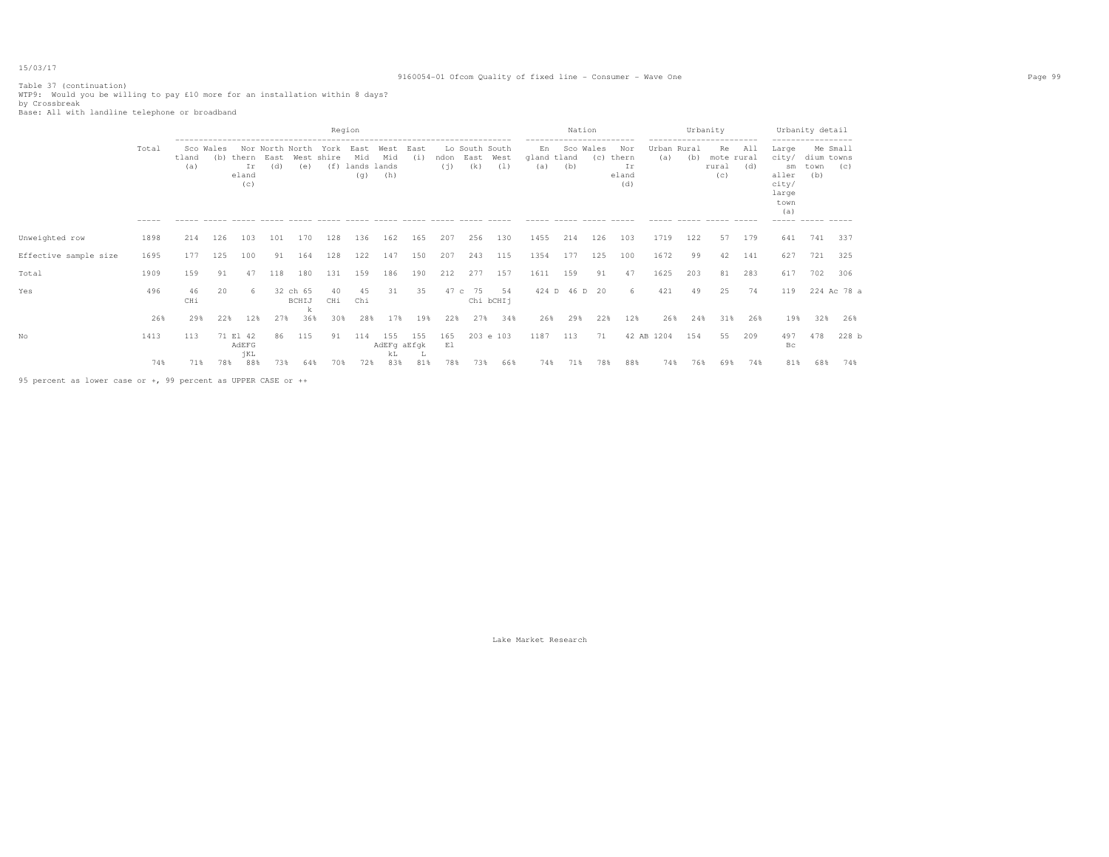## 9160054-01 Ofcom Quality of fixed line - Consumer - Wave One Page 99

Table 37 (continuation)<br>WTP9: Would you be willing to pay £10 more for an installation within 8 days?<br>by Crossbreak<br>Base: All with landline telephone or broadband

|                       |                   |              |                  |                             |             |                                         |                                | Region                                                                     |                                                     |             |             |                               |                 |                    | Nation        |                  |                                    |                    |     | Urbanity<br>------------         |                                                   |                                                                          | Urbanity detail                                      |               |
|-----------------------|-------------------|--------------|------------------|-----------------------------|-------------|-----------------------------------------|--------------------------------|----------------------------------------------------------------------------|-----------------------------------------------------|-------------|-------------|-------------------------------|-----------------|--------------------|---------------|------------------|------------------------------------|--------------------|-----|----------------------------------|---------------------------------------------------|--------------------------------------------------------------------------|------------------------------------------------------|---------------|
|                       | Total<br>$------$ | tland<br>(a) | Sco Wales<br>(b) | thern<br>Ir<br>eland<br>(c) | East<br>(d) | Nor North North<br>(e)<br>$\frac{1}{2}$ | York<br>West shire<br>$\cdots$ | East<br>Mid<br>(f) lands lands<br>(q)<br>$\qquad \qquad -\qquad -\qquad -$ | West<br>Mid<br>(h)<br>$\cdots \cdots \cdots \cdots$ | East<br>(i) | ndon<br>(i) | Lo South South<br>East<br>(k) | West<br>(1)     | En<br>qland<br>(a) | tland<br>(b)  | Sco Wales<br>(C) | Nor<br>thern<br>Ιr<br>eland<br>(d) | Urban Rural<br>(a) | (b) | Re<br>mote rural<br>rural<br>(C) | All<br>(d)<br>$\qquad \qquad - \qquad - \qquad -$ | Large<br>city/<br>sm<br>aller<br>city/<br>large<br>town<br>(a)<br>------ | Me Small<br>dium towns<br>town<br>(b)<br>$- - - - -$ | (C)<br>------ |
| Unweighted row        | 1898              | 214          | 126              | 103                         | 101         | 170                                     | 128                            | 136                                                                        | 162                                                 | 165         | 207         | 256                           | 130             | 1455               | 214           | 126              | 103                                | 1719               | 122 | 57                               | 179                                               | 641                                                                      | 741                                                  | 337           |
| Effective sample size | 1695              | 177          | 125              | 100                         | 91          | 164                                     | 128                            | 122                                                                        | 147                                                 | 150         | 207         | 243                           | 115             | 1354               | 177           | 125              | 100                                | 1672               | 99  | 42                               | 141                                               | 627                                                                      | 721                                                  | 325           |
| Total                 | 1909              | 159          | 91               | 47                          | 118         | 180                                     | 131                            | 159                                                                        | 186                                                 | 190         | 212         | 277                           | 157             | 1611               | 159           | 91               | 47                                 | 1625               | 203 | 81                               | 283                                               | 617                                                                      | 702                                                  | 306           |
| Yes                   | 496               | 46<br>CHi    | 20               |                             |             | 32 ch 65<br>BCHIJ                       | 40<br>CHi                      | 45<br>Chi                                                                  | 31                                                  | 35          | 47 c        | 75                            | 54<br>Chi bCHIj |                    | 424 D 46 D 20 |                  | 6                                  | 421                | 49  | 25                               | 74                                                | 119                                                                      |                                                      | 224 Ac 78 a   |
|                       | 26%               | 29%          | 22%              | 12%                         | 27%         | 36%                                     | 30%                            | 28%                                                                        | 17%                                                 | 19%         | 22%         | 27%                           | 34%             | 26%                | 29%           | 22%              | 12%                                | 26%                | 24% | 31%                              | 26%                                               | 19%                                                                      | 32%                                                  | 26%           |
| No                    | 1413              | 113          |                  | 71 El 42<br>AdEFG<br>jKL    | 86          | 115                                     | 91                             | 114                                                                        | 155<br>AdEFg aEfgk<br>kL                            | 155         | 165<br>E1   |                               | 203 e 103       | 1187               | 113           | 71               |                                    | 42 AB 1204         | 154 | 55                               | 209                                               | 497<br>Bс                                                                | 478                                                  | 228 b         |
|                       | 74%               | 71%          | 78%              | 88%                         | 73%         | 64%                                     | 70%                            | 72%                                                                        | 83%                                                 | 81%         | 78%         | 73%                           | 66%             | 74%                | 71%           | 78%              | 88%                                | 74%                | 76% | 69%                              | 74%                                               | 81%                                                                      | 68%                                                  | 74%           |

95 percent as lower case or +, 99 percent as UPPER CASE or ++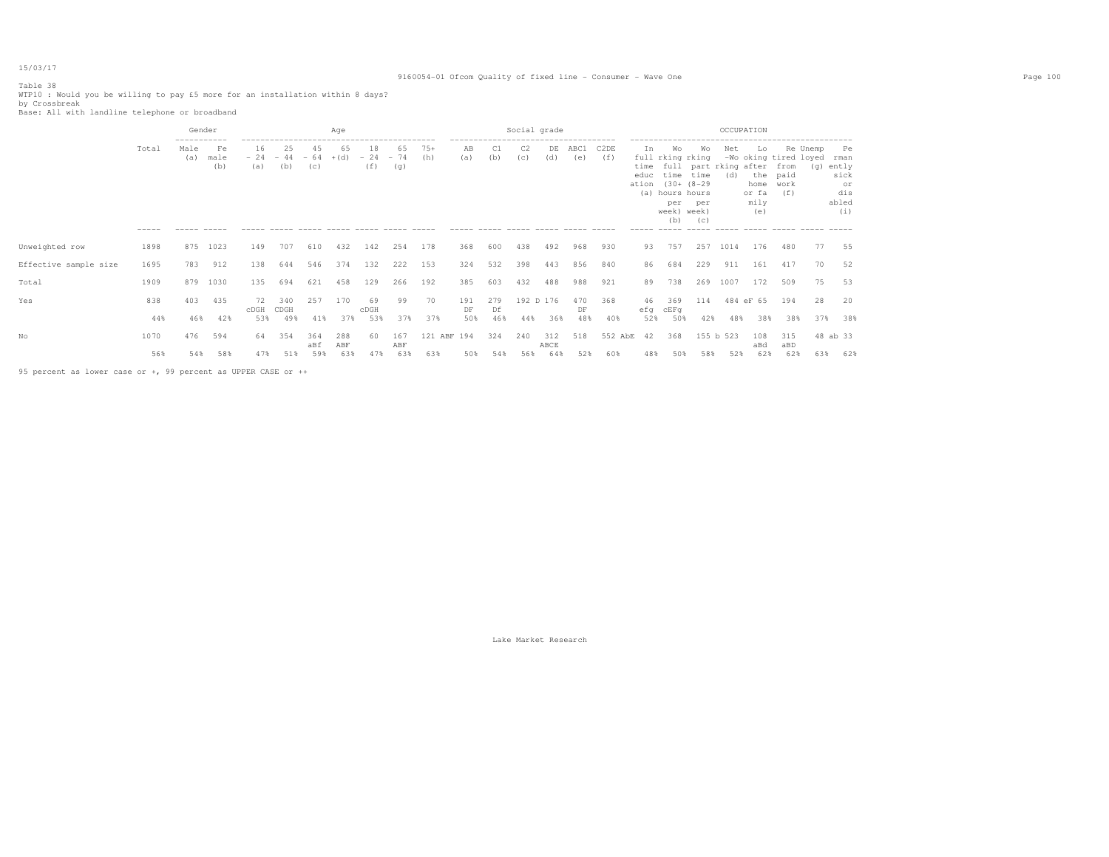# Table 38

## 9160054-01 Ofcom Quality of fixed line - Consumer - Wave One Page 100

WTP10 : Would you be willing to pay £5 more for an installation within 8 days?<br>by Crossbreak<br>Base: All with landline telephone or broadband

|                       |                      | Gender                               |                                                    |                     |                                                                          |            | Age        |                    |                    |              |                          |           | Social grade                                                                                    |             |             |             |                                                   |                                                                                                    |                  | OCCUPATION                                    |                                                     |                                                                           |          |                                                          |
|-----------------------|----------------------|--------------------------------------|----------------------------------------------------|---------------------|--------------------------------------------------------------------------|------------|------------|--------------------|--------------------|--------------|--------------------------|-----------|-------------------------------------------------------------------------------------------------|-------------|-------------|-------------|---------------------------------------------------|----------------------------------------------------------------------------------------------------|------------------|-----------------------------------------------|-----------------------------------------------------|---------------------------------------------------------------------------|----------|----------------------------------------------------------|
|                       | Total<br>$- - - - -$ | -----------<br>Male<br>(a)<br>------ | Fe<br>male<br>(b)<br>$\cdots \cdots \cdots \cdots$ | 16<br>(a)<br>------ | 25<br>$-24 - 44 - 64 + (d)$<br>(b)<br>----- ----- ----- ----- ----- ---- | 45<br>(C)  | 65         | 18<br>$-24$<br>(f) | 65<br>$-74$<br>(g) | $75+$<br>(h) | AB<br>(a)<br>$- - - - -$ | C1<br>(b) | -------------------------------------<br>C <sub>2</sub><br>(c)<br>------ ----- ----- ----- ---- | DE<br>(d)   | ABC1<br>(e) | C2DE<br>(f) | Ιn.<br>educ<br>ation<br>(a)<br>------ ----- ----- | Wo<br>full rking rking<br>time time<br>$(30 + (8 - 29$<br>hours hours<br>per<br>week) week)<br>(b) | Wo<br>per<br>(C) | Net<br>time full part rking after from<br>(d) | Lo<br>the paid<br>home work<br>or fa<br>mily<br>(e) | Re Unemp<br>-Wo oking tired loyed<br>(f)<br>------ ----- ----- ----- ---- | (q)      | Pe<br>rman<br>ently<br>sick<br>or<br>dis<br>abled<br>(i) |
| Unweighted row        | 1898                 | 875                                  | 1023                                               | 149                 | 707                                                                      | 610        | 432        | 142                | 254                | 178          | 368                      | 600       | 438                                                                                             | 492         | 968         | 930         | 93                                                | 757                                                                                                | 257              | 1014                                          | 176                                                 | 480                                                                       | 77       | 55                                                       |
| Effective sample size | 1695                 | 783                                  | 912                                                | 138                 | 644                                                                      | 546        | 374        | 132                | 222                | 153          | 324                      | 532       | 398                                                                                             | 443         | 856         | 840         | 86                                                | 684                                                                                                | 229              | 911                                           | 161                                                 | 417                                                                       | 70       | 52                                                       |
| Total                 | 1909                 | 879                                  | 1030                                               | 135                 | 694                                                                      | 621        | 458        | 129                | 266                | 192          | 385                      | 603       | 432                                                                                             | 488         | 988         | 921         | 89                                                | 738                                                                                                | 269              | 1007                                          | 172                                                 | 509                                                                       | 75       | 53                                                       |
| Yes                   | 838                  | 403                                  | 435                                                | 72<br>CDGH          | 340<br>CDGH                                                              | 257        | 170        | 69<br>cDGH         | 99                 | 70           | 191<br>DF                | 279<br>Df | 192 D 176                                                                                       |             | 470<br>DF   | 368         | 46                                                | 369<br>efg cEFg                                                                                    | 114              |                                               | 484 eF 65                                           | 194                                                                       | 28       | 20                                                       |
|                       | 44%                  | 46%                                  | 42%                                                | 53%                 | 49%                                                                      | 41%        | 37%        | 53%                | 37%                | 37%          | 50%                      | 46%       | 44%                                                                                             | 36%         | 48%         | 40%         | 52%                                               | 50%                                                                                                | 42%              | 48%                                           | 38%                                                 | 38%                                                                       | 37%      | 38%                                                      |
| Nο                    | 1070                 | 476                                  | 594                                                | 64                  | 354                                                                      | 364<br>aBf | 288<br>ABF | 60                 | 167<br>ABF         | 121 ABF 194  |                          | 324       | 240                                                                                             | 312<br>ABCE | 518         | 552 AbE     | 42                                                | 368                                                                                                |                  | 155 b 523                                     | 108<br>aBd                                          | 315<br>aBD                                                                | 48 ab 33 |                                                          |
|                       | 56%                  | 54%                                  | 58%                                                | 47%                 | 51%                                                                      | 59%        | 63%        | 47%                | 63%                | 63%          | 50%                      | 54%       | 56%                                                                                             | 64%         | 52%         | 60%         | 48%                                               | 50%                                                                                                | 58%              | 52%                                           | 62%                                                 | 62%                                                                       | 63%      | 62%                                                      |

95 percent as lower case or +, 99 percent as UPPER CASE or ++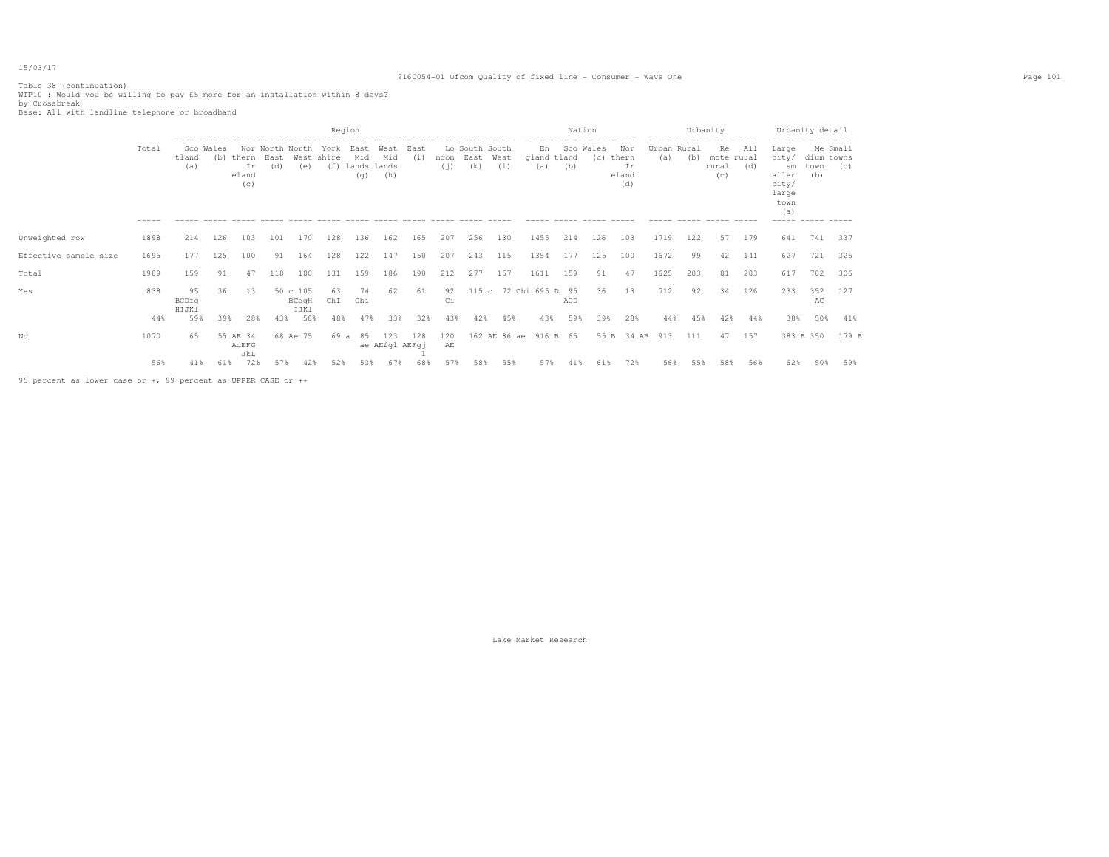## 9160054-01 Ofcom Quality of fixed line - Consumer - Wave One Page 101

Table 38 (continuation) WTP10 : Would you be willing to pay £5 more for an installation within 8 days? by Crossbreak Base: All with landline telephone or broadband

|                       |                      |                      |                  |                             |                                |                                              |                         | Region                                                                       |                                |                                              |             |                               |              |                    |              | Nation           |                                                   |                             | Urbanity |                                               |                                                   |                                                                         | Urbanity detail                          |                           |
|-----------------------|----------------------|----------------------|------------------|-----------------------------|--------------------------------|----------------------------------------------|-------------------------|------------------------------------------------------------------------------|--------------------------------|----------------------------------------------|-------------|-------------------------------|--------------|--------------------|--------------|------------------|---------------------------------------------------|-----------------------------|----------|-----------------------------------------------|---------------------------------------------------|-------------------------------------------------------------------------|------------------------------------------|---------------------------|
|                       | Total<br>$- - - - -$ | tland<br>(a)         | Sco Wales<br>(b) | thern<br>Ir<br>eland<br>(C) | Nor North North<br>East<br>(d) | West<br>(e)<br>$\cdots \cdots \cdots \cdots$ | York<br>shire<br>______ | East<br>Mid<br>(f) lands lands<br>(q)<br>$\qquad \qquad - \qquad - \qquad -$ | West<br>Mid<br>(h)<br>$\cdots$ | East<br>(i)<br>$\cdots \cdots \cdots \cdots$ | ndon<br>(i) | Lo South South<br>East<br>(k) | West<br>(1)  | En<br>qland<br>(a) | tland<br>(b) | Sco Wales<br>(C) | Nor<br>thern<br>Ιr<br>eland<br>(d)<br>$- - - - -$ | Urban Rural<br>(a)<br>----- | (b)      | ---------<br>Re<br>mote rural<br>rural<br>(C) | All<br>(d)<br>$\qquad \qquad - \qquad - \qquad -$ | Large<br>city/<br>sm<br>aller<br>city/<br>large<br>town<br>(a)<br>----- | dium towns<br>town<br>(b)<br>$- - - - -$ | Me Small<br>(C)<br>------ |
| Unweighted row        | 1898                 | 214                  | 126              | 103                         | 101                            | 170                                          | 128                     | 136                                                                          | 162                            | 165                                          | 207         | 256                           | 130          | 1455               | 214          | 126              | 103                                               | 1719                        | 122      | 57                                            | 179                                               | 641                                                                     | 741                                      | 337                       |
| Effective sample size | 1695                 | 177                  | 125              | 100                         | 91                             | 164                                          | 128                     | 122                                                                          | 147                            | 150                                          | 207         | 243                           | 115          | 1354               | 177          | 125              | 100                                               | 1672                        | 99       | 42                                            | 141                                               | 627                                                                     | 721                                      | 325                       |
| Total                 | 1909                 | 159                  | 91               | 47                          | 118                            | 180                                          | 131                     | 159                                                                          | 186                            | 190                                          | 212         | 277                           | 157          | 1611               | 159          | 91               | 47                                                | 1625                        | 203      | 81                                            | 283                                               | 617                                                                     | 702                                      | 306                       |
| Yes                   | 838                  | 95<br>BCDfg<br>HIJK1 | 36               | 13                          |                                | 50 c 105<br>BCdgH<br>IJKl                    | 63<br>ChI               | 74<br>Chi                                                                    | 62                             | 61                                           | 92<br>Сi    | 115c                          |              | 72 Chi 695 D 95    | ACD          | 36               | 13                                                | 712                         | 92       | 34                                            | 126                                               | 233                                                                     | 352<br>AC                                | 127                       |
|                       | 44%                  | 59%                  | 39%              | 28%                         | 43%                            | 58%                                          | 48%                     | 47%                                                                          | 33%                            | 32%                                          | 43%         | 42%                           | 45%          | 43%                | 59%          | 39%              | 28%                                               | 44%                         | 45%      | 42%                                           | 44%                                               | 38%                                                                     | 50%                                      | 41%                       |
| No                    | 1070                 | 65                   |                  | 55 AE 34<br>AdEFG<br>JkL    |                                | 68 Ae 75                                     | 69 a                    | 85                                                                           | 123<br>ae AEfgl AEFgj          | 128                                          | 120<br>AЕ   |                               | 162 AE 86 ae |                    | 916 B 65     |                  | 55 B 34 AB                                        | 913                         | 111      | 47                                            | 157                                               |                                                                         | 383 B 350                                | 179 B                     |
|                       | 56%                  | 41%                  | 61%              | 72%                         | 57%                            | 42%                                          | 52%                     | 53%                                                                          | 67%                            | 68%                                          | 57%         | 58%                           | 55%          | 57%                | 41%          | 61%              | 72%                                               | 56%                         | 55%      | 58%                                           | 56%                                               | 62%                                                                     | 50%                                      | 59%                       |

95 percent as lower case or +, 99 percent as UPPER CASE or ++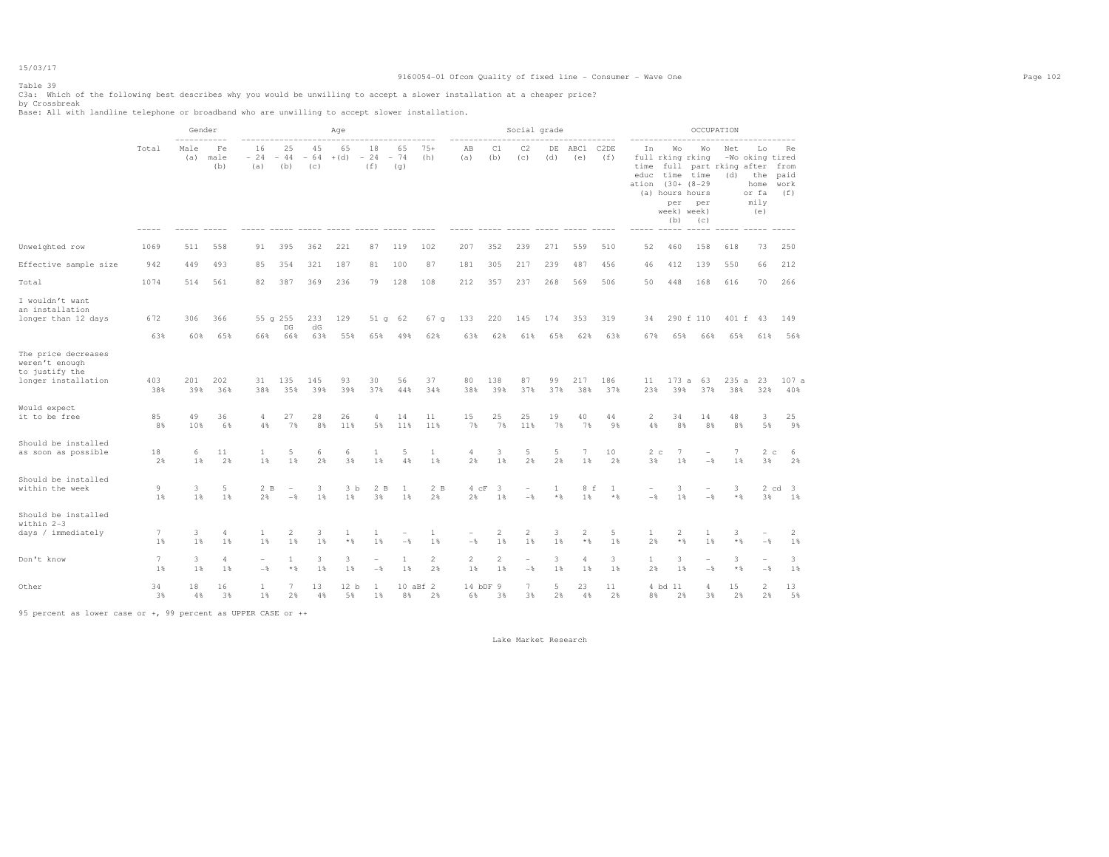## 9160054-01 Ofcom Quality of fixed line - Consumer - Wave One Page 102

# Table 39

C3a: Which of the following best describes why you would be unwilling to accept a slower installation at a cheaper price?<br>by Crossbreak<br>Base: All with landline telephone or broadband who are unwilling to accept slower inst

|                                                                                |                      | Gender      |                   |                       |                                            |                    | Age                   |                                          |                    |                        |                                            |                      | Social grade                               |            |                                          |                                                       |                                                                    |                                         |                                                             | OCCUPATION   |                                                                                                           |                           |
|--------------------------------------------------------------------------------|----------------------|-------------|-------------------|-----------------------|--------------------------------------------|--------------------|-----------------------|------------------------------------------|--------------------|------------------------|--------------------------------------------|----------------------|--------------------------------------------|------------|------------------------------------------|-------------------------------------------------------|--------------------------------------------------------------------|-----------------------------------------|-------------------------------------------------------------|--------------|-----------------------------------------------------------------------------------------------------------|---------------------------|
|                                                                                | Total                | Male<br>(a) | Fe<br>male<br>(b) | 16<br>$-24$<br>(a)    | 25<br>$-44$<br>(b)                         | 45<br>$-64$<br>(c) | 65<br>$+(d)$          | 18<br>$-24$<br>(f)<br>------ ----- ----- | 65<br>$-74$<br>(q) | $75+$<br>(h)           | ΆB<br>(a)<br>------ -----                  | C1<br>(b)            | C2<br>(c)                                  | DE<br>(d)  | ABC1<br>(e)<br>$\qquad \qquad - - - - -$ | C <sub>2</sub> DE<br>(f)<br>$\qquad \qquad - - - - -$ | Ιn<br>full rking rking<br>time<br>educ<br>ation<br>(a) hours hours | Wо<br>time<br>per<br>week) week)<br>(b) | Wо<br>time<br>$(30 + (8 - 29)$<br>per<br>(C)<br>$- - - - -$ | Net<br>(d)   | Lo<br>-Wo oking tired<br>full part rking after from<br>the<br>home<br>or fa<br>mily<br>(e)<br>$- - - - -$ | Re<br>paid<br>work<br>(f) |
| Unweighted row                                                                 | 1069                 | 511         | 558               | 91                    | 395                                        | 362                | 221                   | 87                                       | 119                | 102                    | 207                                        | 352                  | 239                                        | 271        | 559                                      | 510                                                   | 52                                                                 | 460                                     | 158                                                         | 618          | 73                                                                                                        | 250                       |
| Effective sample size                                                          | 942                  | 449         | 493               | 85                    | 354                                        | 321                | 187                   | 81                                       | 100                | 87                     | 181                                        | 305                  | 217                                        | 239        | 487                                      | 456                                                   | 46                                                                 | 412                                     | 139                                                         | 550          | 66                                                                                                        | 212                       |
| Total                                                                          | 1074                 | 514         | 561               | 82                    | 387                                        | 369                | 236                   | 79                                       | 128                | 108                    | 212                                        | 357                  | 237                                        | 268        | 569                                      | 506                                                   | 50                                                                 | 448                                     | 168                                                         | 616          | 70                                                                                                        | 266                       |
| I wouldn't want<br>an installation<br>longer than 12 days                      | 672<br>63%           | 306<br>60%  | 366<br>65%        | 66%                   | 55 g 255<br>$_{\rm DG}$<br>66%             | 233<br>$dG$<br>63% | 129<br>55%            | 51q<br>65%                               | 62<br>49%          | 67 <sub>q</sub><br>62% | 133<br>63%                                 | 220<br>62%           | 145<br>61%                                 | 174<br>65% | 353<br>62%                               | 319<br>63%                                            | 34<br>67%                                                          | 65%                                     | 290 f 110<br>66%                                            | 401 f<br>65% | 43<br>61%                                                                                                 | 149<br>56%                |
| The price decreases<br>weren't enough<br>to justify the<br>longer installation | 403<br>38%           | 201<br>39%  | 202<br>36%        | 31<br>38%             | 135<br>35%                                 | 145<br>39%         | 93<br>39%             | 30<br>37%                                | 56<br>44%          | 37<br>34%              | 80<br>38%                                  | 138<br>39%           | 87<br>37%                                  | 99<br>37%  | 217<br>38%                               | 186<br>37%                                            | 11<br>23%                                                          | 173a<br>39%                             | 63<br>37%                                                   | 235<br>38%   | 23<br>$\mathbf{a}$<br>32%                                                                                 | 107a<br>40%               |
| Would expect<br>it to be free                                                  | 85<br>8%             | 49<br>10%   | 36<br>6%          | 4<br>4%               | 27<br>7%                                   | 28<br>8%           | 26<br>11%             | $\overline{4}$<br>5%                     | 14<br>11%          | 11<br>11%              | 15<br>7%                                   | 25<br>7%             | 25<br>11%                                  | 19<br>7%   | 40<br>7%                                 | 44<br>9%                                              | 2<br>4%                                                            | 34<br>8%                                | 14<br>8%                                                    | 48<br>8%     | $\overline{\mathbf{3}}$<br>5%                                                                             | 25<br>9%                  |
| Should be installed<br>as soon as possible                                     | 18<br>2%             | 6<br>$1\%$  | 11<br>2%          | 1<br>1                | 5<br>1%                                    | 6<br>2%            | 6<br>3%               | 1<br>1%                                  | 5<br>4%            | 1<br>1%                | $\overline{4}$<br>2%                       | 3<br>1%              | 5<br>2%                                    | 5<br>2%    | $7\phantom{.0}$<br>$1\%$                 | 10<br>2%                                              | 2 <sub>c</sub><br>3%                                               | 7<br>1%                                 | $\overline{\phantom{a}}$<br>$-$                             | 7<br>$1\%$   | 2c<br>3%                                                                                                  | - 6<br>2%                 |
| Should be installed<br>within the week                                         | $\overline{9}$<br>1% | 3<br>$1\%$  | 5<br>1%           | 2B<br>2%              | $\overline{\phantom{a}}$<br>$-\frac{6}{5}$ | 3<br>1%            | 3 <sub>b</sub><br>1%  | 2 B<br>3%                                | 1<br>1%            | 2B<br>2%               | $4$ $cF$<br>2%                             | -3<br>1%             | $\overline{\phantom{a}}$<br>$-\frac{6}{5}$ | 1<br>$*$   | 8 f<br>1%                                | -1<br>$*$ %                                           | $-\frac{6}{5}$                                                     | 3<br>1%                                 | $-\frac{6}{5}$                                              | 3<br>$*$ &   | 3%                                                                                                        | 2 cd 3<br>1%              |
| Should be installed<br>within 2-3<br>days / immediately                        | 7<br>1%              | 3<br>1%     | 4<br>$1\%$        | 1<br>1%               | $\overline{2}$<br>1%                       | 3<br>1%            | 1<br>$*$ &            | 1<br>1%                                  | $-$                | $\mathbf{1}$<br>1%     | $\overline{\phantom{a}}$<br>$-\frac{6}{5}$ | $\overline{c}$<br>1% | 2<br>1%                                    | 3<br>1%    | $\overline{2}$<br>$*$ &                  | 5<br>1%                                               | 1<br>2%                                                            | $\overline{2}$<br>$\star$ $\S$          | 1<br>1%                                                     | 3<br>$*$ %   | $\overline{\phantom{a}}$<br>$-$                                                                           | 2<br>1%                   |
| Don't know                                                                     | 7<br>1%              | 3<br>1%     | 4<br>1%           | $\overline{a}$<br>$-$ | 1<br>$*$ %                                 | 3<br>1%            | 3<br>1%               | ۰<br>$-\frac{6}{5}$                      | 1<br>1%            | $\mathbf{2}$<br>2%     | $\overline{c}$<br>1%                       | $\overline{c}$<br>1% | $\overline{\phantom{a}}$<br>$-\,$          | 3<br>$1$ % | 4<br>1%                                  | 3<br>1%                                               | 1<br>2%                                                            | 3<br>1%                                 | ۰<br>$-\frac{6}{6}$                                         | 3<br>$*$     | $\overline{\phantom{a}}$<br>$-$ 8                                                                         | 3<br>1%                   |
| Other                                                                          | 34<br>3%             | 18<br>4%    | 16<br>3%          | 1<br>$1\%$            | 7<br>2%                                    | 13<br>4%           | 12 <sub>b</sub><br>5% | 1<br>$1\%$                               | 8%                 | 10 aBf 2<br>2%         | 14 bDF<br>6%                               | -9<br>3%             | $7\phantom{.0}$<br>3%                      | 5<br>2%    | 23<br>4%                                 | 11<br>2%                                              | 8%                                                                 | 4 bd 11<br>2%                           | 4<br>3%                                                     | 15<br>2%     | $\overline{2}$<br>2%                                                                                      | 13<br>5%                  |

95 percent as lower case or +, 99 percent as UPPER CASE or ++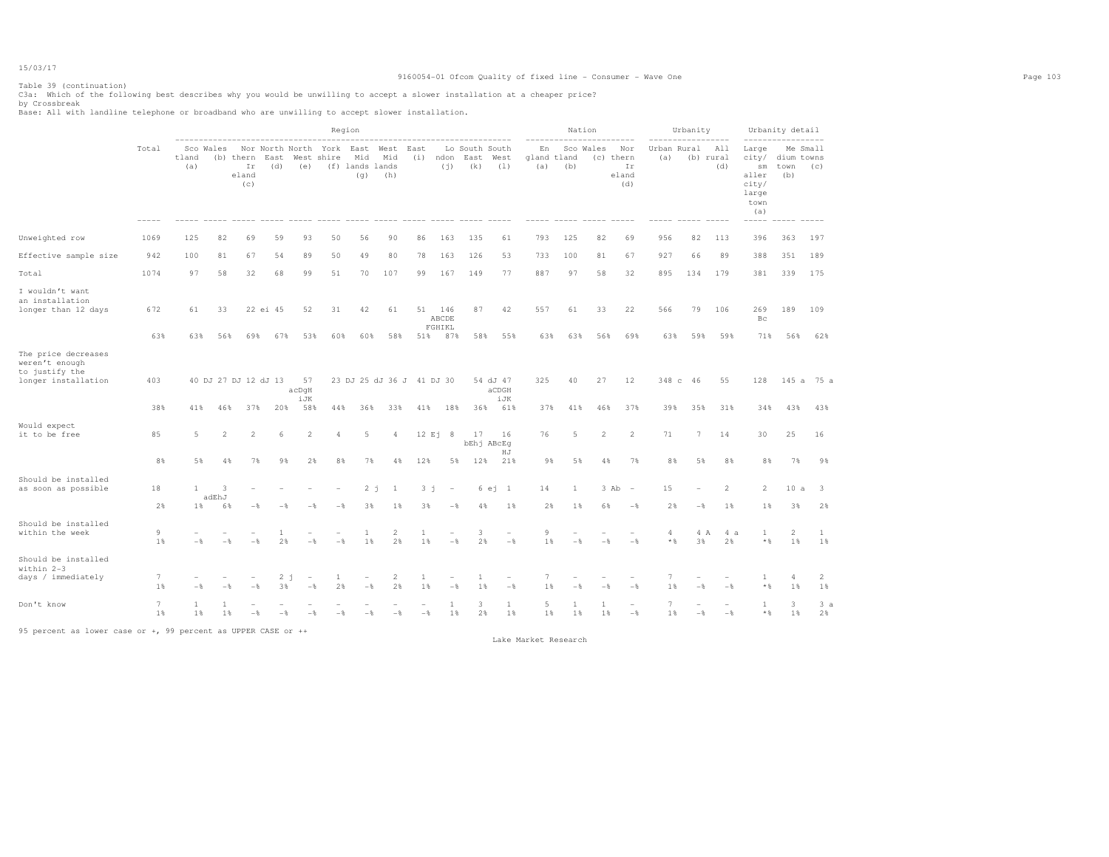## Table 39 (continuation)

|                                                                                |                       |                          |                        |                                 |                 |                           | Region                             |                                       |                                  |                      |                               |                               |                                 |                | Nation                      |                       |                                                          |                      | Urbanity             |                         |                                                                | Urbanity detail |                                     |
|--------------------------------------------------------------------------------|-----------------------|--------------------------|------------------------|---------------------------------|-----------------|---------------------------|------------------------------------|---------------------------------------|----------------------------------|----------------------|-------------------------------|-------------------------------|---------------------------------|----------------|-----------------------------|-----------------------|----------------------------------------------------------|----------------------|----------------------|-------------------------|----------------------------------------------------------------|-----------------|-------------------------------------|
|                                                                                | Total                 | tland<br>(a)             | Sco Wales              | (b) thern<br>Ir<br>eland<br>(c) | East<br>(d)     | (e)                       | Nor North North York<br>West shire | East<br>Mid<br>(f) lands lands<br>(q) | West<br>Mid<br>(h)               | East<br>(i)          | ndon<br>(i)                   | Lo South South<br>East<br>(k) | West<br>(1)                     | En<br>(a)      | gland tland<br>(b)          | Sco Wales             | Nor<br>(c) thern<br>Ir<br>eland<br>(d)                   | Urban Rural<br>(a)   |                      | All<br>(b) rural<br>(d) | Large<br>city/<br>sm<br>aller<br>city/<br>large<br>town<br>(a) | town<br>(b)     | Me Small<br>dium towns<br>(C)       |
| Unweighted row                                                                 | 1069                  | 125                      | 82                     | 69                              | 59              | 93                        | 50                                 | 56                                    | 90                               | 86                   | 163                           | 135                           | 61                              | 793            | 125                         | 82                    | 69                                                       | 956                  | 82                   | 113                     | 396                                                            | 363             | 197                                 |
| Effective sample size                                                          | 942                   | 100                      | 81                     | 67                              | 54              | 89                        | 50                                 | 49                                    | 80                               | 78                   | 163                           | 126                           | 53                              | 733            | 100                         | 81                    | 67                                                       | 927                  | 66                   | 89                      | 388                                                            | 351             | 189                                 |
| Total                                                                          | 1074                  | 97                       | 58                     | 32                              | 68              | 99                        | 51                                 | 70                                    | 107                              | 99                   | 167                           | 149                           | 77                              | 887            | 97                          | 58                    | 32                                                       | 895                  | 134                  | 179                     | 381                                                            | 339             | 175                                 |
| I wouldn't want<br>an installation<br>longer than 12 days                      | 672<br>63%            | 61<br>63%                | 33<br>56%              | 69%                             | 22 ei 45<br>67% | 52<br>53%                 | 31<br>60%                          | 42<br>60%                             | 61<br>58%                        | 51<br>51%            | 146<br>ABCDE<br>FGHIKL<br>87% | 87<br>58%                     | 42<br>55%                       | 557<br>63%     | 61<br>63%                   | 33<br>56%             | 22<br>69%                                                | 566<br>63%           | 79<br>59%            | 106<br>59%              | 269<br>Bc<br>71%                                               | 189<br>56%      | 109<br>62%                          |
| The price decreases<br>weren't enough<br>to justify the<br>longer installation | 403<br>38%            | 41%                      | 46%                    | 40 DJ 27 DJ 12 dJ 13<br>37%     | 20%             | 57<br>acDqH<br>iJK<br>58% | 44%                                | 36%                                   | 23 DJ 25 dJ 36 J 41 DJ 30<br>33% | 41%                  | 18%                           | 36%                           | 54 dJ 47<br>aCDGH<br>iJK<br>61% | 325<br>37%     | 40<br>41%                   | 27<br>46%             | 12<br>37%                                                | 39%                  | 348 c 46<br>35%      | 55<br>31%               | 128<br>34%                                                     | 145a<br>43%     | 75 a<br>43%                         |
| Would expect<br>it to be free                                                  | 85                    | 5                        | $\overline{2}$         | $\overline{2}$                  | 6               | $\overline{2}$            | 4                                  | 5                                     | 4                                |                      | 12 Ei 8                       | 17                            | 16<br>bEhj ABcEq<br>HJ          | 76             | 5                           | $\mathbf{2}$          | $\overline{2}$                                           | 71                   | $7\phantom{.0}$      | 14                      | 30                                                             | 25              | 16                                  |
| Should be installed<br>as soon as possible                                     | 8%<br>18<br>2%        | 5%<br>$\mathbf{1}$<br>1% | 4%<br>3<br>adEhJ<br>6% | 7%<br>- %                       | 9%              | 2%                        | 8%<br>$-$                          | 7%<br>2 i<br>3%                       | 4%<br>$\mathbf{1}$<br>1%         | 12%<br>$3 - i$<br>3% | $\overline{a}$<br>$-$         | 5%<br>12%<br>4%               | 21%<br>6ej1<br>$1\%$            | 9%<br>14<br>2% | 5%<br>$\mathbf{1}$<br>$1\%$ | 4%<br>6%              | 7%<br>3 Ab<br>$\overline{\phantom{a}}$<br>$-\frac{6}{5}$ | 8%<br>15<br>2%       | 5%<br>$-\frac{6}{5}$ | 8%<br>2<br>1%           | 8%<br>2<br>1%                                                  | 7%<br>10a<br>3% | 98<br>$\overline{\mathbf{3}}$<br>2% |
| Should be installed<br>within the week                                         | 9<br>1 %              | $-$                      | $-$                    | $-$                             | 2%              | $-$                       | $-$                                | 1<br>1%                               | $\mathbf{2}$<br>2%               | 1<br>1%              |                               | 3<br>2%<br>$-$                | ÷<br>$-\frac{6}{6}$             | 9<br>1%        | $-$                         | $-$                   | $-$                                                      | 4<br>$*$ &           | 3%                   | 4 A<br>4a<br>2%         | 1<br>$*$ &                                                     | 2<br>1%         | 1<br>1%                             |
| Should be installed<br>within 2-3<br>days / immediately                        | $7\phantom{.0}$<br>1% | $-$                      | - 2                    | $-$                             | 3%              | $2 - i$<br>$-$ %          | 1<br>2%                            | $-$ 8                                 | 2<br>2%                          | -1<br>1%             | $-$                           | $\overline{1}$<br>1%          | $-\frac{6}{6}$                  | 7<br>1%        | $-$                         |                       | $-$                                                      | 1%                   | $-$                  | $-\frac{6}{5}$          | -1<br>$\star$ $\,$                                             | 4<br>1%         | 2<br>1%                             |
| Don't know                                                                     | $7\phantom{.0}$<br>1% | 1<br>1%                  | 1%                     | $-8$                            | $-$             | $-$                       |                                    | $-\frac{6}{5}$                        | $-\frac{6}{5}$                   | $-\frac{6}{5}$       | $\mathbf{1}$<br>1%            | 3                             | 1<br>$2\%$<br>1%                | 5              | 1<br>1%<br>1%               | $\mathbf{1}$<br>$1\%$ | $-\frac{6}{5}$                                           | $\overline{7}$<br>1% | $-\frac{6}{5}$       | $-\frac{6}{5}$          | 1<br>$*$ &                                                     | 3<br>1%         | 3a<br>2%                            |

95 percent as lower case or +, 99 percent as UPPER CASE or ++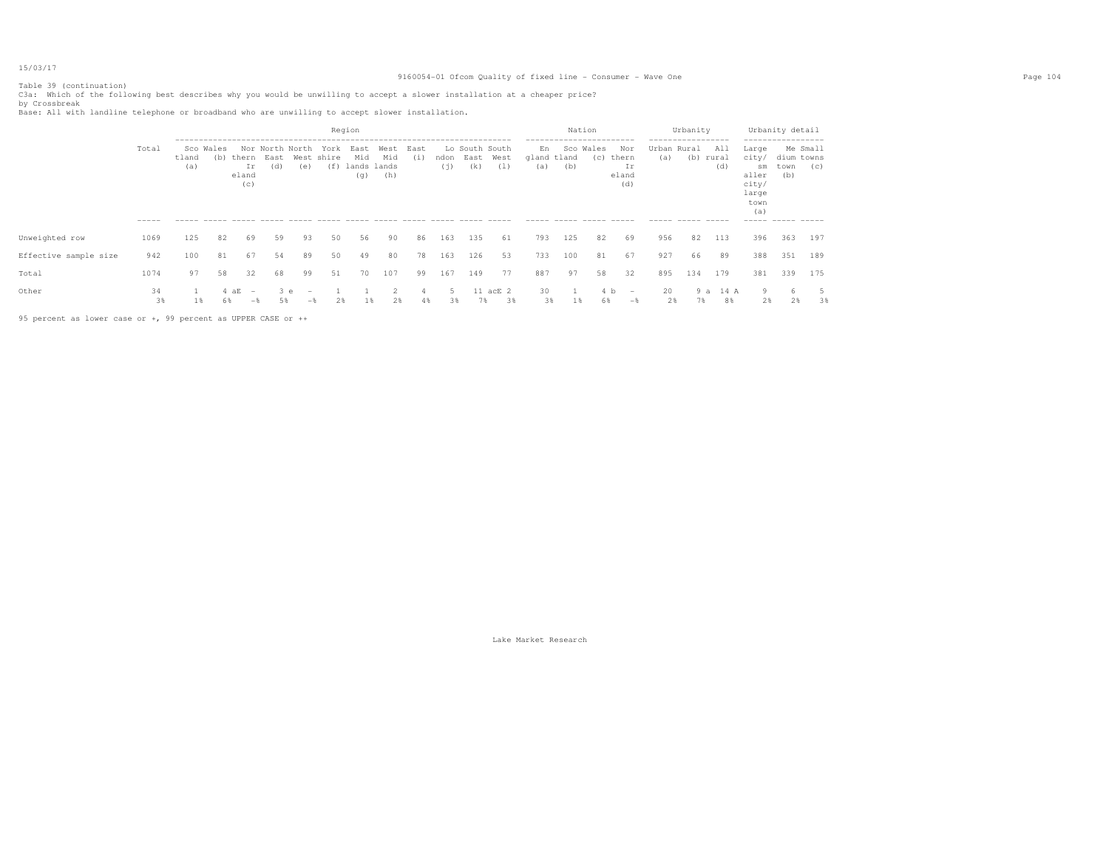## Table 39 (continuation)

C3a: Which of the following best describes why you would be unwilling to accept a slower installation at a cheaper price?<br>by Crossbreak<br>Base: All with landline telephone or broadband who are unwilling to accept slower inst

|                       |          |              |                  |                                                          |                                |     |                           | Region                            |                    |            |             |                               |                |                          | Nation<br>----------------------- |              |                                    | ------------------ | Urbanity  |            | -----------------                                              | Urbanity detail                       |     |
|-----------------------|----------|--------------|------------------|----------------------------------------------------------|--------------------------------|-----|---------------------------|-----------------------------------|--------------------|------------|-------------|-------------------------------|----------------|--------------------------|-----------------------------------|--------------|------------------------------------|--------------------|-----------|------------|----------------------------------------------------------------|---------------------------------------|-----|
|                       | Total    | tland<br>(a) | Sco Wales<br>(b) | thern<br>Ir<br>eland<br>(C)                              | Nor North North<br>East<br>(d) | (e) | York<br>West shire<br>(f) | East<br>Mid<br>lands lands<br>(q) | West<br>Mid<br>(h) | East<br>(i | ndon<br>(i) | Lo South South<br>East<br>(k) | West<br>(1)    | En<br>gland tland<br>(a) | Sco<br>(b)                        | Wales<br>(C) | Nor<br>thern<br>Ir<br>eland<br>(d) | Urban Rural<br>(a) | (b) rural | All<br>(d) | Large<br>city/<br>sm<br>aller<br>city/<br>large<br>town<br>(a) | Me Small<br>dium towns<br>town<br>(b) | (C) |
|                       | -----    |              |                  |                                                          |                                |     |                           |                                   |                    |            |             |                               |                |                          |                                   |              |                                    |                    |           |            | -----                                                          |                                       |     |
| Unweighted row        | 1069     | 125          | 82               | 69                                                       | 59                             | 93  | 50                        | 56                                | 90                 | 86         | 163         | 135                           | 61             | 793                      | 125                               | 82           | 69                                 | 956                | 82        | 113        | 396                                                            | 363                                   | 197 |
| Effective sample size | 942      | 100          | 81               | 67                                                       | 54                             | 89  | 50                        | 49                                | 80                 | 78         | 163         | 126                           | 53             | 733                      | 100                               | 81           | 67                                 | 927                | 66        | 89         | 388                                                            | 351                                   | 189 |
| Total                 | 1074     | 97           | 58               | 32                                                       | 68                             | 99  | 51                        | 70                                | 107                | 99         | 167         | 149                           | 77             | 887                      | 97                                | 58           | 32                                 | 895                | 134       | 179        | 381                                                            | 339                                   | 175 |
| Other                 | 34<br>3% | 18           | 68               | 4aE<br>$\hspace{0.1mm}-\hspace{0.1mm}$<br>$-\frac{1}{2}$ | 3e<br>5%                       | $-$ | 2%                        | Τg.                               | 2%                 | 4%         | 38          | 7%                            | 11 acE 2<br>3% | 30<br>3%                 | 18                                | 6%           | b<br>$\qquad \qquad -$<br>$-$      | 20<br>2%           | 9a<br>7%  | 14 A<br>8% | 9<br>2%                                                        | 2%                                    | 3%  |

95 percent as lower case or +, 99 percent as UPPER CASE or ++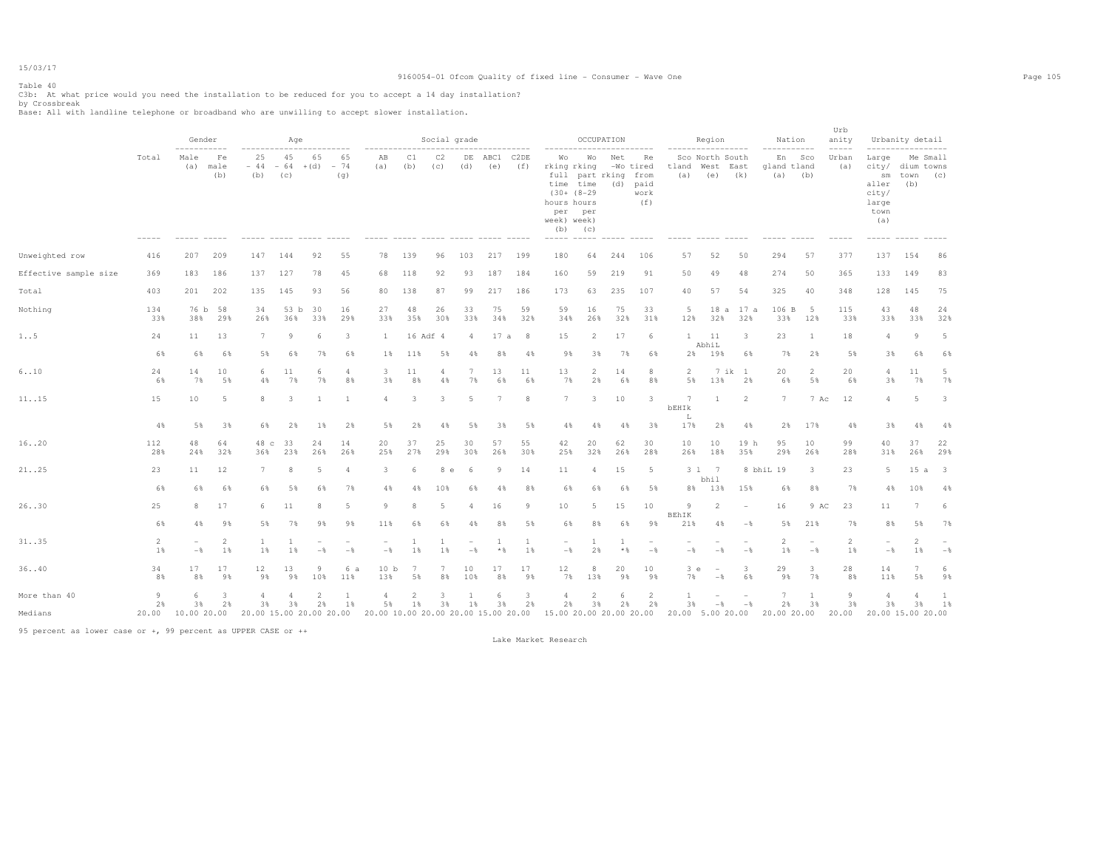# Table 40

C3b: At what price would you need the installation to be reduced for you to accept a 14 day installation?<br>by Crossbreak<br>Base: All with landline telephone or broadband who are unwilling to accept slower installation.

|                       |                      | Gender                          |                      | -----------------------                       | Age                |                      |                                 |                                                               |                      | Social grade |                                            | _____________       |                    |                                                                                                                                              | OCCUPATION                   |                       |                                                | -----------------           | Region                                 |                                     | Nation<br>------------       |                                            | Urb<br>anity<br>$--- - - -$ |                                                                      | Urbanity detail<br>-----------------        |           |
|-----------------------|----------------------|---------------------------------|----------------------|-----------------------------------------------|--------------------|----------------------|---------------------------------|---------------------------------------------------------------|----------------------|--------------|--------------------------------------------|---------------------|--------------------|----------------------------------------------------------------------------------------------------------------------------------------------|------------------------------|-----------------------|------------------------------------------------|-----------------------------|----------------------------------------|-------------------------------------|------------------------------|--------------------------------------------|-----------------------------|----------------------------------------------------------------------|---------------------------------------------|-----------|
|                       | Total<br>$- - - - -$ | -----------<br>Male<br>(a)      | Fe<br>male<br>(b)    | 25<br>$-44$<br>(b)<br>----- ----- ----- ----- | 45<br>$-64$<br>(c) | 65<br>$+(d)$         | 65<br>$-74$<br>(q)              | ----------<br>AB<br>(a)<br>----- ----- ----- ----- ----- ---- | C1<br>(b)            | C2<br>(c)    | (d)                                        | DE ABC1 C2DE<br>(e) | (f)                | -----------------------<br>Wо<br>rking rking<br>time time<br>$(30+ (8-29$<br>hours hours<br>per<br>week) week)<br>$(b)$ $(c)$<br>----- ----- | Wo<br>full part rking<br>per | Net<br>(d)            | Re<br>-Wo tired<br>from<br>paid<br>work<br>(f) | tland<br>(a)<br>$- - - - -$ | Sco North South<br>West<br>(e)         | East<br>(k)                         | En Sco<br>gland tland<br>(a) | (b)                                        | Urban<br>(a)                | Large<br>sm<br>aller<br>city/<br>large<br>town<br>(a)<br>$- - - - -$ | Me Small<br>city/ dium towns<br>town<br>(b) | (C)       |
| Unweighted row        | 416                  | 207                             | 209                  | 147                                           | 144                | 92                   | 55                              | 78                                                            | 139                  | 96           | 103                                        | 217                 | 199                | 180                                                                                                                                          | 64                           | 244                   | 106                                            | 57                          | 52                                     | 50                                  | 294                          | 57                                         | 377                         | 137                                                                  | 154                                         | 86        |
| Effective sample size | 369                  | 183                             | 186                  | 137                                           | 127                | 78                   | 45                              | 68                                                            | 118                  | 92           | 93                                         | 187                 | 184                | 160                                                                                                                                          | 59                           | 219                   | 91                                             | 50                          | 49                                     | 48                                  | 274                          | 50                                         | 365                         | 133                                                                  | 149                                         | 83        |
| Total                 | 403                  | 201                             | 202                  | 135                                           | 145                | 93                   | 56                              | 80                                                            | 138                  | 87           | 99                                         | 217                 | 186                | 173                                                                                                                                          | 63                           | 235                   | 107                                            | 40                          | 57                                     | 54                                  | 325                          | 40                                         | 348                         | 128                                                                  | 145                                         | 75        |
| Nothing               | 134<br>33%           | 76 b<br>38%                     | 58<br>29%            | 34<br>26%                                     | 53 b<br>36%        | 30<br>33%            | 16<br>29%                       | 27<br>33%                                                     | 48<br>35%            | 26<br>30%    | 33<br>33%                                  | 75<br>34%           | 59<br>32%          | 59<br>34%                                                                                                                                    | 16<br>26%                    | 75<br>32%             | 33<br>31%                                      | 5<br>12%                    | 32%                                    | 18 a 17 a<br>32%                    | 106 B<br>33%                 | 5<br>12%                                   | 115<br>33%                  | 43<br>33%                                                            | 48<br>33%                                   | 24<br>32% |
| 1. .5                 | 24                   | 11                              | 13                   | 7                                             | -9                 | 6                    | $\overline{\mathbf{3}}$         | 1                                                             |                      | 16 Adf 4     | $\overline{4}$                             | 17a                 | 8                  | 15                                                                                                                                           | $\overline{2}$               | 17                    | 6                                              | $\mathbf{1}$                | 11                                     | 3                                   | 23                           | <sup>1</sup>                               | 18                          | $\overline{4}$                                                       | $\overline{9}$                              | 5         |
|                       | 6%                   | 6%                              | 6%                   | 5%                                            | 6%                 | 7%                   | 6%                              | 1%                                                            | 11%                  | 5%           | 4%                                         | 8%                  | 4%                 | 9%                                                                                                                                           | 3%                           | 7%                    | 6%                                             | 2%                          | AbhiL<br>19%                           | 6%                                  | 7%                           | 2%                                         | 5%                          | 3%                                                                   | 6%                                          | 6%        |
| 6.10                  | 24<br>6%             | 14<br>7%                        | 10<br>5%             | 6<br>$4\%$                                    | 11<br>7%           | 6<br>7%              | $\overline{4}$<br>8%            | 3<br>3%                                                       | 11<br>8%             | 4<br>4%      | $7\phantom{.0}$<br>7%                      | 13<br>6%            | 11<br>6%           | 13<br>7%                                                                                                                                     | $\overline{2}$<br>2%         | 14<br>6%              | 8<br>8%                                        | $\overline{2}$<br>5%        | 13%                                    | 7 ik 1<br>2%                        | 20<br>6%                     | 2<br>5%                                    | 20<br>6%                    | $\overline{4}$<br>3%                                                 | 11<br>7%                                    | 5<br>7%   |
| 11. .15               | 15                   | 10                              | 5                    | 8                                             | 3                  | $\mathbf{1}$         | <sup>1</sup>                    | $\overline{a}$                                                | $\mathbf{3}$         | 3            | 5                                          | 7                   | 8                  | 7                                                                                                                                            | $\overline{3}$               | 10                    | 3                                              | 7<br>bEHIk                  | -1                                     | $\overline{2}$                      | 7                            | 7 Ac                                       | 12                          | $\overline{4}$                                                       | 5                                           | 3         |
|                       | 4%                   | 5%                              | 3%                   | 6%                                            | 2%                 | 1%                   | 2%                              | 5%                                                            | 2%                   | 4%           | 5%                                         | 3%                  | 5%                 | 4%                                                                                                                                           | 4%                           | 4%                    | 3%                                             | L<br>17%                    | 2%                                     | 4%                                  | 2%                           | 17%                                        | 4%                          | 3%                                                                   | 4%                                          | 4%        |
| 16. .20               | 112<br>28%           | 48<br>24%                       | 64<br>32%            | 48 c<br>36%                                   | 33<br>23%          | 24<br>26%            | 14<br>26%                       | 20<br>25%                                                     | 37<br>27%            | 25<br>29%    | 30<br>30%                                  | 57<br>26%           | 55<br>30%          | 42<br>25%                                                                                                                                    | 20<br>32%                    | 62<br>26%             | 30<br>28%                                      | 10<br>26%                   | 10<br>18%                              | 19 h<br>35%                         | 95<br>29%                    | 10<br>26%                                  | 99<br>28%                   | 40<br>31%                                                            | 37<br>26%                                   | 22<br>29% |
| 21. .25               | 23                   | 11                              | 12                   | 7                                             | 8                  | 5                    | 4                               | 3                                                             | 6                    | 8 e          | -6                                         | 9                   | 14                 | 11                                                                                                                                           | 4                            | 15                    | 5                                              |                             | 3 1 7<br>bhil                          |                                     | 8 bhiL 19                    | $\mathbf{3}$                               | 23                          | 5                                                                    | $15a$ 3                                     |           |
|                       | 6%                   | 6%                              | 6%                   | 6%                                            | 5%                 | 6%                   | 7%                              | 4%                                                            | 4%                   | 10%          | 6%                                         | 4%                  | 8%                 | 6%                                                                                                                                           | 6%                           | 6%                    | 5%                                             | 8%                          | 13%                                    | 15%                                 | 6%                           | 8%                                         | 7%                          | 4%                                                                   | 10%                                         | 4%        |
| 26. .30               | 25                   | 8                               | 17                   | 6                                             | 11                 | 8                    | 5                               | 9                                                             | 8                    | -5           | $\overline{4}$                             | 16                  | 9                  | 10                                                                                                                                           | 5                            | 15                    | 10                                             | $\overline{9}$<br>BEhIK     | 2                                      | $\overline{\phantom{a}}$            | 16                           | 9 AC                                       | 23                          | 11                                                                   | 7                                           | -6        |
|                       | 6%                   | 4%                              | 9%                   | 5%                                            | 7%                 | 9%                   | 9%                              | 11%                                                           | 6%                   | 6%           | 4%                                         | 8%                  | 5%                 | 6%                                                                                                                                           | 8%                           | 6%                    | 98                                             | 21%                         | 4%                                     | $-$ %                               | 5%                           | 21%                                        | 7%                          | 8%                                                                   | 5%                                          | 7%        |
| 31. .35               | 2<br>1%              | $\overline{\phantom{a}}$<br>$-$ | $\overline{2}$<br>1% | 1<br>1%                                       | 1<br>1%            | ۰<br>$-$             | $\overline{\phantom{a}}$<br>$-$ | $\sim$<br>$-$                                                 | 1<br>1%              | 1%           | $\overline{\phantom{a}}$<br>$-\frac{6}{5}$ | -1<br>$\star$ $\,$  | <sup>1</sup><br>1% | $\sim$<br>$-\frac{6}{6}$                                                                                                                     | -1<br>2%                     | <sup>1</sup><br>$*$ & | $\qquad \qquad -$<br>$-$                       | $-\frac{6}{6}$              | $\overline{\phantom{a}}$<br>$-$ % $\,$ | $\qquad \qquad -$<br>$-\frac{6}{5}$ | $\overline{2}$<br>1%         | $\overline{\phantom{a}}$<br>$-\frac{6}{6}$ | 2<br>1%                     | $-\,$                                                                | 2<br>$1\%$                                  | - %       |
| 36. .40               | 34<br>8%             | 17<br>8%                        | 17<br>9%             | 12<br>9%                                      | 13<br>9%           | 9<br>10%             | 6 a<br>11%                      | 10 <sub>b</sub><br>13%                                        | 7<br>5%              | 7<br>8%      | 10<br>10%                                  | 17<br>8%            | 17<br>9%           | 12<br>7%                                                                                                                                     | 8<br>13%                     | 20<br>9%              | 10<br>9%                                       | 3e<br>7%                    | $\sim$<br>$-$                          | 3<br>6%                             | 29<br>9%                     | $\mathbf{3}$<br>7%                         | 28<br>8%                    | 14<br>11%                                                            | $\overline{7}$<br>5%                        | -6<br>9%  |
| More than 40          | $\overline{9}$<br>2% | 6<br>3%                         | 3<br>2%              | $\overline{a}$<br>3%                          | 3%                 | $\overline{2}$<br>2% | 1%                              | 4<br>5%                                                       | $\mathfrak{D}$<br>1% | 3%           | $1\%$                                      | 3%                  | 3<br>2%            | $\overline{4}$<br>2%                                                                                                                         | 2<br>3%                      | 6<br>2%               | 2<br>2%                                        | 3%                          | $-$                                    | $-$ %                               | 7<br>2%                      | $\overline{1}$<br>3%                       | 9<br>3%                     | $\overline{4}$<br>3%                                                 | 3%                                          | -1<br>1%  |
| Medians               | 20.00                | 10.00 20.00                     |                      | 20.00 15.00 20.00 20.00                       |                    |                      |                                 | 20.00 10.00 20.00 20.00 15.00 20.00                           |                      |              |                                            |                     |                    | 15.00 20.00 20.00 20.00                                                                                                                      |                              |                       |                                                | 20.00 5.00 20.00            |                                        |                                     | 20.00 20.00                  |                                            | 20.00                       | 20.00 15.00 20.00                                                    |                                             |           |

95 percent as lower case or +, 99 percent as UPPER CASE or ++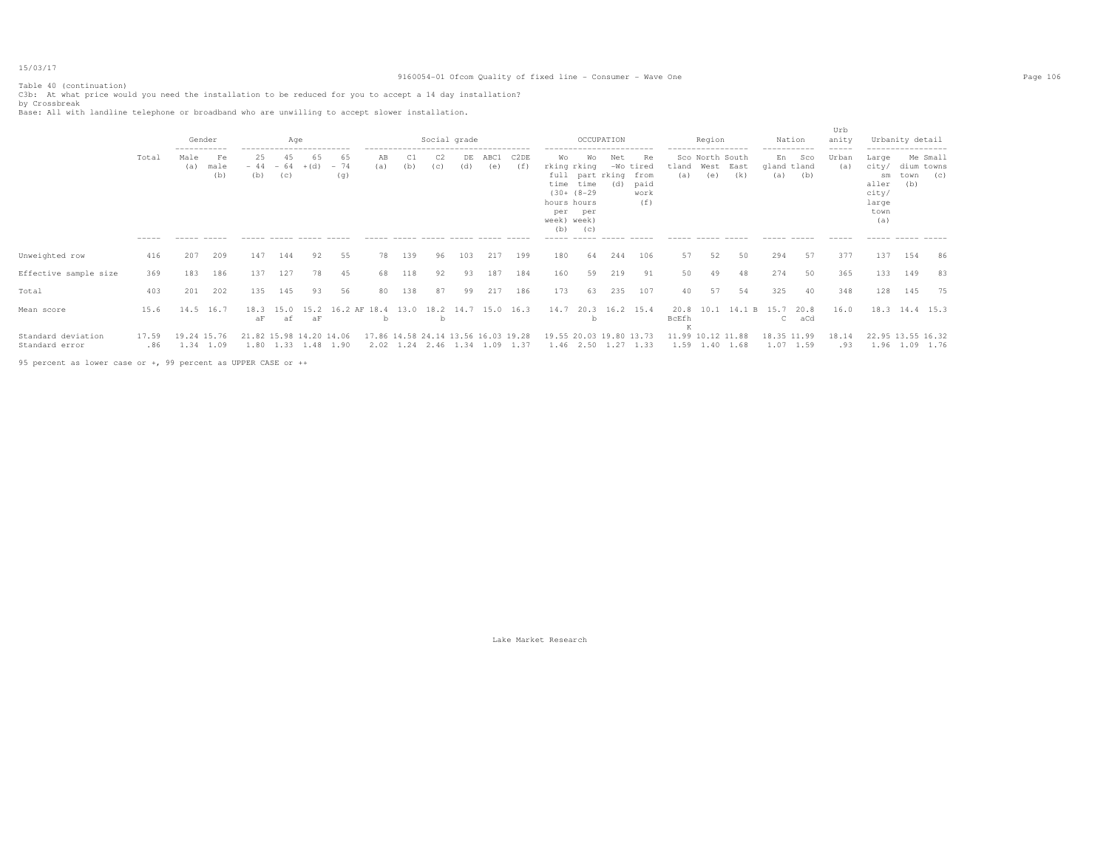## Table 40 (continuation)

C3b: At what price would you need the installation to be reduced for you to accept a 14 day installation?<br>by Crossbreak<br>Base: All with landline telephone or broadband who are unwilling to accept slower installation.

|                                      |              | Gender<br>-----------    |                   |                         | Age                | ------------------------ |                    |                   |     |     | Social grade                                                         |             |                          |                                                                       |                                          | OCCUPATION<br>------------                  |                                    |               | Region                              | .      | -----------              | Nation      | Urb<br>anity<br>$- - - - -$ |                                                                | Urbanity detail<br>------------------ |                 |
|--------------------------------------|--------------|--------------------------|-------------------|-------------------------|--------------------|--------------------------|--------------------|-------------------|-----|-----|----------------------------------------------------------------------|-------------|--------------------------|-----------------------------------------------------------------------|------------------------------------------|---------------------------------------------|------------------------------------|---------------|-------------------------------------|--------|--------------------------|-------------|-----------------------------|----------------------------------------------------------------|---------------------------------------|-----------------|
|                                      | Total        | Male<br>(a)              | Fe<br>male<br>(b) | 25<br>$-44$<br>(b)      | 45<br>$-64$<br>(C) | 65<br>$+(d)$             | 65<br>$-74$<br>(g) | AB<br>(a)         | (b) | (c) | DE.<br>(d)                                                           | ABC1<br>(e) | C <sub>2</sub> DE<br>(f) | Wo<br>rking rking<br>time<br>hours hours<br>per<br>week) week)<br>(b) | Wо<br>time<br>$(30+ (8-29$<br>per<br>(C) | Net<br>$-WO$<br>full part rking from<br>(d) | Re<br>tired<br>paid<br>work<br>(f) | tland<br>(a)  | Sco North South<br>West East<br>(e) | (k)    | En<br>gland tland<br>(a) | Sco<br>(b)  | Urban<br>(a)                | Large<br>city/<br>sm<br>aller<br>city/<br>large<br>town<br>(a) | dium towns<br>town<br>(b)             | Me Small<br>(c) |
|                                      | -----        |                          |                   |                         |                    |                          |                    |                   |     |     |                                                                      |             |                          | -----                                                                 | $- - - - -$                              |                                             |                                    |               |                                     |        |                          |             |                             |                                                                |                                       |                 |
| Unweighted row                       | 416          | 207                      | 209               | 147                     | 144                | 92                       | 55                 | 78                | 139 | 96  | 103                                                                  | 217         | 199                      | 180                                                                   | 64                                       | 244                                         | 106                                | 57            | 52                                  | 50     | 294                      | 57          | 377                         | 137                                                            | 154                                   | 86              |
| Effective sample size                | 369          | 183                      | 186               | 137                     | 127                | 78                       | 45                 | 68                | 118 | 92  | 93                                                                   | 187         | 184                      | 160                                                                   | 59                                       | 219                                         | 91                                 | 50            | 49                                  | 48     | 274                      | 50          | 365                         | 133                                                            | 149                                   | 83              |
| Total                                | 403          | 201                      | 202               | 135                     | 145                | 93                       | 56                 | 80                | 138 | 87  | 99                                                                   | 217         | 186                      | 173                                                                   | 63                                       | 235                                         | 107                                | 40            | 57                                  | 54     | 325                      | 40          | 348                         | 128                                                            | 145                                   | 75              |
| Mean score                           | 15.6         | 14.5                     | 16.7              | 18.3<br>aF              | 15.0<br>af         | 15.2<br>aF               |                    | 16.2 AF 18.4<br>b |     | h   | 13.0 18.2 14.7 15.0 16.3                                             |             |                          | 14.7                                                                  | b                                        | 20.3 16.2 15.4                              |                                    | 20.8<br>BcEfh | 10.1                                | 14.1 B | 15.7<br>$\mathbb{C}$     | 20.8<br>aCd | 16.0                        |                                                                | 18.3 14.4 15.3                        |                 |
| Standard deviation<br>Standard error | 17.59<br>.86 | 19.24 15.76<br>1.34 1.09 |                   | 21.82 15.98 14.20 14.06 |                    | $1.80$ $1.33$ $1.48$     | 1.90               |                   |     |     | 17.86 14.58 24.14 13.56 16.03 19.28<br>2.02 1.24 2.46 1.34 1.09 1.37 |             |                          |                                                                       | 1.46 2.50                                | 19.55 20.03 19.80 13.73<br>1.27 1.33        |                                    | 11.99         | 10.12 11.88<br>1.59 1.40            | 1.68   | 18.35 11.99              | 1.07 1.59   | 18.14<br>.93                | 22.95 13.55 16.32                                              | 1.96 1.09 1.76                        |                 |

95 percent as lower case or +, 99 percent as UPPER CASE or ++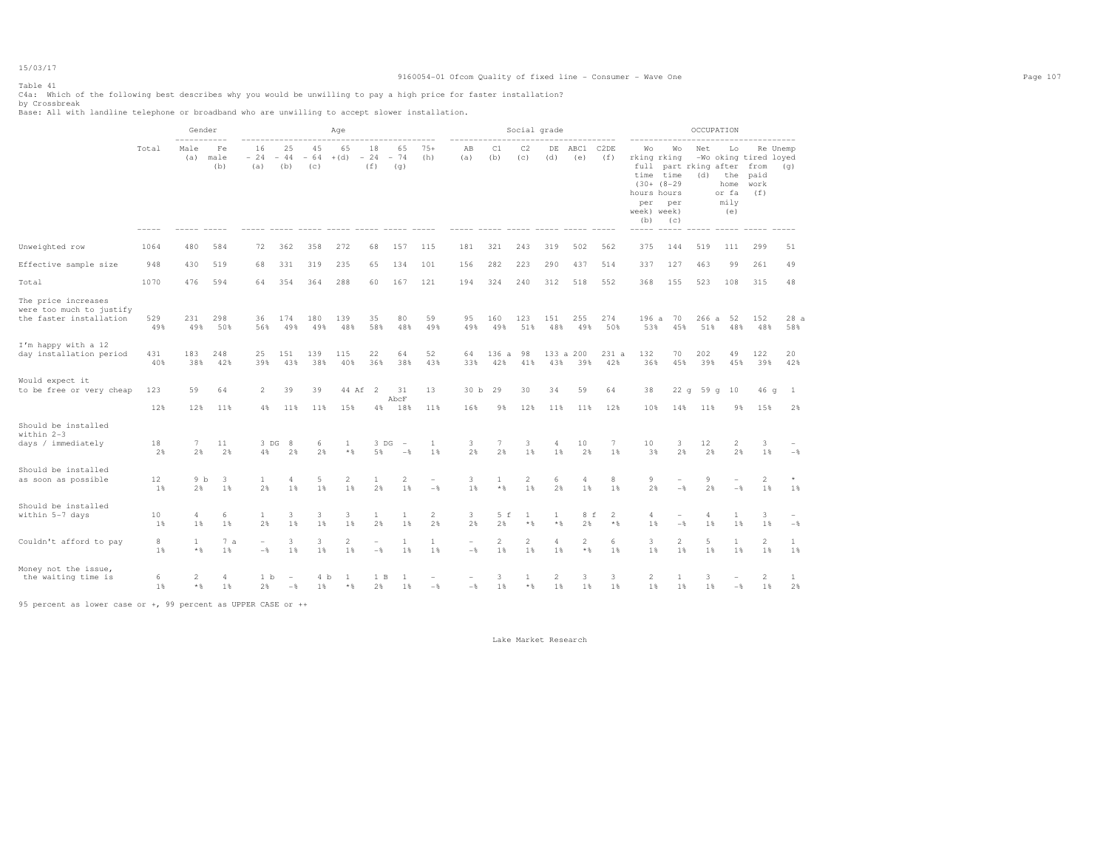## 9160054-01 Ofcom Quality of fixed line - Consumer - Wave One Page 107

# Table 41

C4a: Which of the following best describes why you would be unwilling to pay a high price for faster installation?<br>by Crossbreak<br>Base: All with landline telephone or broadband who are unwilling to accept slower installatio

|                                                                            |            | Gender                     |                   |                                            |                      |                    | Age                  |                                  |                                            |                                 |                                            |                         | Social grade          |                         |                                |                          |                                                                                                   |                                              |              | OCCUPATION                                |                                                      |                 |
|----------------------------------------------------------------------------|------------|----------------------------|-------------------|--------------------------------------------|----------------------|--------------------|----------------------|----------------------------------|--------------------------------------------|---------------------------------|--------------------------------------------|-------------------------|-----------------------|-------------------------|--------------------------------|--------------------------|---------------------------------------------------------------------------------------------------|----------------------------------------------|--------------|-------------------------------------------|------------------------------------------------------|-----------------|
|                                                                            | Total      | -----------<br>Male<br>(a) | Fe<br>male<br>(b) | 16<br>$-24$<br>(a)                         | 25<br>$-44$<br>(b)   | 45<br>$-64$<br>(c) | 65<br>$+(d)$         | 18<br>$-24$<br>(f)               | 65<br>$-74$<br>(q)                         | $75+$<br>(h)                    | AB<br>(a)                                  | C1<br>(b)               | C <sub>2</sub><br>(c) | DE<br>(d)               | ABC1<br>(e)                    | C <sub>2</sub> DE<br>(f) | Wo<br>rking rking<br>full<br>time<br>$(30 + (8 - 29)$<br>hours hours<br>per<br>week) week)<br>(b) | Wо<br>part rking after<br>time<br>per<br>(c) | Net<br>(d)   | Lo<br>the<br>home<br>or fa<br>mily<br>(e) | -Wo oking tired loyed<br>from<br>paid<br>work<br>(f) | Re Unemp<br>(q) |
| Unweighted row                                                             | 1064       | 480                        | 584               | 72                                         | 362                  | 358                | 272                  | 68                               | 157                                        | 115                             | 181                                        | 321                     | 243                   | 319                     | 502                            | 562                      | 375                                                                                               | 144                                          | 519          | 111                                       | 299                                                  | 51              |
| Effective sample size                                                      | 948        | 430                        | 519               | 68                                         | 331                  | 319                | 235                  | 65                               | 134                                        | 101                             | 156                                        | 282                     | 223                   | 290                     | 437                            | 514                      | 337                                                                                               | 127                                          | 463          | 99                                        | 261                                                  | 49              |
| Total                                                                      | 1070       | 476                        | 594               | 64                                         | 354                  | 364                | 288                  | 60                               | 167                                        | 121                             | 194                                        | 324                     | 240                   | 312                     | 518                            | 552                      | 368                                                                                               | 155                                          | 523          | 108                                       | 315                                                  | 48              |
| The price increases<br>were too much to justify<br>the faster installation | 529<br>49% | 231<br>49%                 | 298<br>50%        | 36<br>56%                                  | 174<br>49%           | 180<br>49%         | 139<br>48%           | 35<br>58%                        | 80<br>48%                                  | 59<br>49%                       | 95<br>49%                                  | 160<br>49%              | 123<br>51%            | 151<br>48%              | 255<br>49%                     | 274<br>50%               | 196a<br>53%                                                                                       | 70<br>45%                                    | 266 a<br>51% | 52<br>48%                                 | 152<br>48%                                           | 28a<br>58%      |
| I'm happy with a 12<br>day installation period                             | 431<br>40% | 183<br>38%                 | 248<br>42%        | 25<br>39%                                  | 151<br>43%           | 139<br>38%         | 115<br>40%           | 22<br>36%                        | 64<br>38%                                  | 52<br>43%                       | 64<br>33%                                  | 136<br>a<br>42%         | 98<br>41%             | 133a<br>43%             | 200<br>39%                     | 231 a<br>42%             | 132<br>36%                                                                                        | 70<br>45%                                    | 202<br>39%   | 49<br>45%                                 | 122<br>39%                                           | 20<br>42%       |
| Would expect it<br>to be free or very cheap                                | 123        | 59                         | 64                | 2                                          | 39                   | 39                 | 44 Af 2              |                                  | 31<br>AbcF                                 | 13                              | 30 b 29                                    |                         | 30                    | 34                      | 59                             | 64                       | 38                                                                                                | 22q                                          | 59 $q$       | 10                                        | 46 g                                                 | -1              |
| Should be installed                                                        | 12%        | 12%                        | 11%               | $4\%$                                      | 11%                  | 11%                | 15%                  | 4%                               | 18%                                        | 11%                             | 16%                                        | 9%                      | 12%                   | 11%                     | 11%                            | 12%                      | 10%                                                                                               | 14%                                          | 11%          | 9%                                        | 15%                                                  | 2%              |
| within 2-3<br>days / immediately                                           | 18<br>2%   | $7\phantom{.0}$<br>2%      | 11<br>2%          | 3 DG<br>4%                                 | -8<br>2%             | 6<br>2%            | 1<br>$*$             | 3 DG<br>5%                       | $\overline{\phantom{a}}$<br>$-\frac{6}{5}$ | $\mathbf{1}$<br>1%              | 3<br>2%                                    | $7\phantom{.0}$<br>2%   | 3<br>1%               | 4<br>1%                 | 10<br>2%                       | 7<br>1%                  | 10<br>3%                                                                                          | 3<br>2%                                      | 12<br>2%     | 2<br>2%                                   | 3<br>1%                                              | $-$             |
| Should be installed<br>as soon as possible                                 | 12<br>1%   | 9 <sub>b</sub><br>2%       | 3<br>$1\%$        | $\mathbf{1}$<br>2%                         | $\overline{4}$<br>1% | 5<br>1%            | $\overline{2}$<br>1% | 1<br>2%                          | $\overline{2}$<br>1%                       | $\overline{\phantom{0}}$<br>$-$ | 3<br>1%                                    | $\mathbf{1}$<br>$*$ &   | $\overline{c}$<br>1%  | 6<br>2%                 | $\overline{4}$<br>1            | 8<br>1%                  | 9<br>2%                                                                                           | ۰<br>$-$                                     | 9<br>2%      | $-\frac{6}{5}$                            | $\overline{2}$<br>$1\%$                              | 1%              |
| Should be installed<br>within 5-7 days                                     | 10<br>1%   | 4<br>1%                    | 6<br>1%           | $\mathbf{1}$<br>2%                         | 3<br>1%              | 3<br>1%            | 3<br>1%              | 1<br>2%                          | 1<br>1%                                    | 2<br>2%                         | 3<br>2%                                    | 5 f<br>2%               | 1<br>$*$ &            | 1<br>$*$                | 8 f<br>2%                      | 2<br>$*$ %               | 4<br>1%                                                                                           | $-$                                          | 4<br>1%      | 1<br>1%                                   | 3<br>1%                                              | $-$             |
| Couldn't afford to pay                                                     | 8<br>1%    | 1<br>$*$ $\frac{6}{6}$     | 7a<br>1%          | $\overline{\phantom{0}}$<br>$-\frac{6}{5}$ | 3<br>1%              | 3<br>1%            | 2<br>1%              | $\overline{a}$<br>$-\frac{6}{6}$ | 1<br>1%                                    | $\mathbf{1}$<br>1%              | $\overline{\phantom{a}}$<br>$-\frac{6}{6}$ | $\overline{c}$<br>$1\%$ | $\overline{a}$<br>1%  | 4<br>1%                 | $\overline{2}$<br>$\star$ $\,$ | 6<br>1%                  | 3<br>1%                                                                                           | $\overline{2}$<br>1%                         | 5<br>1%      | 1<br>1%                                   | $\overline{2}$<br>1%                                 | 1<br>1%         |
| Money not the issue,<br>the waiting time is                                | 6<br>1%    | 2<br>$*$ $\frac{6}{5}$     | 4<br>1%           | 1 <sub>b</sub><br>2%                       | $-\frac{6}{5}$       | 4 b<br>$1\%$       | -1<br>$*$            | 1 B<br>2%                        | 1                                          | $-$                             | $-\frac{6}{5}$                             | 3<br>1%                 | 1<br>$*$ &            | $\overline{2}$<br>$1\%$ | 3<br>$1\%$                     | 3<br>1%                  | 2<br>$1\%$                                                                                        | 1<br>1%                                      | 3<br>1%      | $-\frac{6}{5}$                            | 2<br>$1\%$                                           | 1<br>2%         |

95 percent as lower case or +, 99 percent as UPPER CASE or ++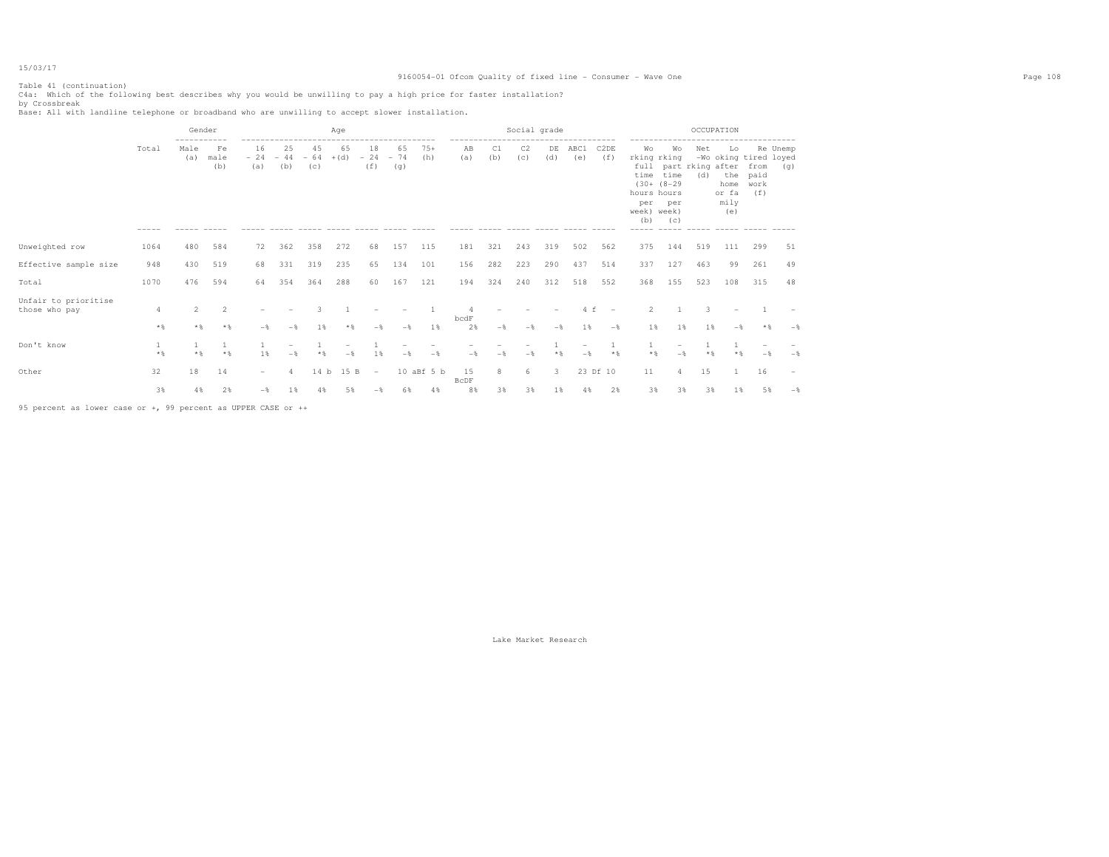## 9160054-01 Ofcom Quality of fixed line - Consumer - Wave One Page 108

## Table 41 (continuation)

C4a: Which of the following best describes why you would be unwilling to pay a high price for faster installation?<br>by Crossbreak<br>Base: All with landline telephone or broadband who are unwilling to accept slower installatio

|                                       |          | Gender      |                   | Age                |                    |                    |              |                          |                    |              | Social grade<br>------------------- |           |           |              |                |                          | OCCUPATION<br>-------------                                           |                                                                       |            |                                                                    |                             |                 |
|---------------------------------------|----------|-------------|-------------------|--------------------|--------------------|--------------------|--------------|--------------------------|--------------------|--------------|-------------------------------------|-----------|-----------|--------------|----------------|--------------------------|-----------------------------------------------------------------------|-----------------------------------------------------------------------|------------|--------------------------------------------------------------------|-----------------------------|-----------------|
|                                       | Total    | Male<br>(a) | Fe<br>male<br>(b) | 16<br>$-24$<br>(a) | 25<br>$-44$<br>(b) | 45<br>$-64$<br>(c) | 65<br>$+(d)$ | 18<br>$-24$<br>(f)       | 65<br>$-74$<br>(q) | $75+$<br>(h) | AB<br>(a)                           | C1<br>(b) | C2<br>(c) | DE<br>(d)    | ABC1<br>(e)    | C <sub>2</sub> DE<br>(f) | Wo<br>rking rking<br>time<br>hours hours<br>per<br>week) week)<br>(b) | Wo<br>full part rking after<br>time<br>$(30 + (8 - 29)$<br>per<br>(C) | Net<br>(d) | Lo<br>-Wo oking tired loyed<br>the<br>home<br>or fa<br>mily<br>(e) | from<br>paid<br>work<br>(f) | Re Unemp<br>(q) |
| Unweighted row                        | 1064     | 480         | 584               | 72                 | 362                | 358                | 272          | 68                       | 157                | 115          | 181                                 | 321       | 243       | 319          | 502            | 562                      | 375                                                                   | 144                                                                   | 519        | 111                                                                | 299                         | 51              |
| Effective sample size                 | 948      | 430         | 519               | 68                 | 331                | 319                | 235          | 65                       | 134                | 101          | 156                                 | 282       | 223       | 290          | 437            | 514                      | 337                                                                   | 127                                                                   | 463        | 99                                                                 | 261                         | 49              |
| Total                                 | 1070     | 476         | 594               | 64                 | 354                | 364                | 288          | 60                       | 167                | 121          | 194                                 | 324       | 240       | 312          | 518            | 552                      | 368                                                                   | 155                                                                   | 523        | 108                                                                | 315                         | 48              |
| Unfair to prioritise<br>those who pay | 4<br>$*$ | 2<br>$*$ &  | 2<br>$*$          | -*                 |                    | 1 %                | $*$ &        | $-$                      | $-$                | 1%           | bcdF<br>2%                          | $-$       | $-$       | $-$          | 1 %            | $-$                      | 2<br>1%                                                               | 1%                                                                    | 1 %        | $-\frac{6}{2}$                                                     | $*$                         | $-$             |
| Don't know                            | $*$ &    |             | $*$ &             | 1 %                | $-$                | $*$ &              | $-$          | 1%                       | $-$                | $-$          | $-$                                 | $-$       | $-$       | $*$          | $-\frac{6}{3}$ | $*$                      | * &                                                                   |                                                                       |            |                                                                    |                             | $-\frac{6}{3}$  |
| Other                                 | 32       | 18          | 14                | $-$                |                    | 14 <sub>b</sub>    | 15 B         | $\overline{\phantom{0}}$ |                    | 10 aBf 5 b   | 15<br>BcDF                          | 8         | 6         | $\mathbf{3}$ |                | 23 Df 10                 | 11                                                                    | 4                                                                     | 15         |                                                                    | 16                          |                 |
|                                       | 3%       | 4%          | 2%                | $-\frac{6}{5}$     | 1%                 | 4%                 | 5%           |                          | 6%                 | 4%           | 8%                                  | 3%        | 3%        | $1\%$        | 4%             | 2%                       | 3%                                                                    | 3%                                                                    | 3%         | 1%                                                                 | 5%                          | $-$             |

95 percent as lower case or +, 99 percent as UPPER CASE or ++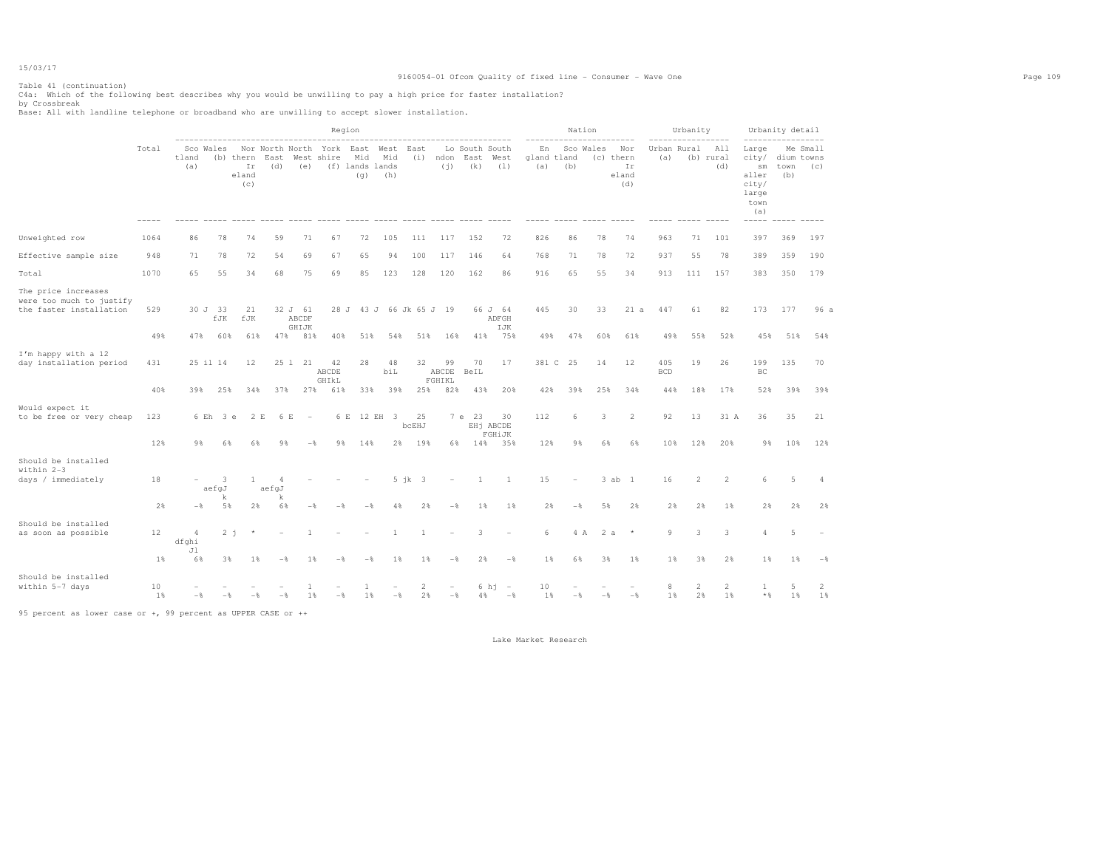### Table 41 (continuation)

C4a: Which of the following best describes why you would be unwilling to pay a high price for faster installation?<br>by Crossbreak<br>Base: All with landline telephone or broadband who are unwilling to accept slower installatio

|                                                                            |                   |                                     |                       |                                 |                  |                                        |                                    | Region                                |                           |                           |        |                 |                                                |                                            |                          | Nation          |                |                                        |                    | Urbanity             |                         |                                                                                                 | Urbanity detail           |                  |
|----------------------------------------------------------------------------|-------------------|-------------------------------------|-----------------------|---------------------------------|------------------|----------------------------------------|------------------------------------|---------------------------------------|---------------------------|---------------------------|--------|-----------------|------------------------------------------------|--------------------------------------------|--------------------------|-----------------|----------------|----------------------------------------|--------------------|----------------------|-------------------------|-------------------------------------------------------------------------------------------------|---------------------------|------------------|
|                                                                            | Total             | tland<br>(a)                        | Sco Wales             | (b) thern<br>Ir<br>eland<br>(C) | East<br>(d)      | (e)                                    | Nor North North York<br>West shire | East<br>Mid<br>(f) lands lands<br>(q) | West<br>Mid<br>(h)        | East<br>(i)               |        | ndon<br>(i)     | Lo South South<br>East<br>(k)<br>$- - - - - -$ | West<br>(1)<br>$- - - - -$                 | En<br>gland tland<br>(a) | (b)             | Sco Wales      | Nor<br>(c) thern<br>Ir<br>eland<br>(d) | Urban Rural<br>(a) |                      | All<br>(b) rural<br>(d) | Large<br>city/<br>$\mathop{\rm sm}\nolimits$<br>aller<br>city/<br>large<br>town<br>(a)<br>----- | dium towns<br>town<br>(b) | Me Small<br>(C)  |
| Unweighted row                                                             | 1064              | 86                                  | 78                    | 74                              | 59               | 71                                     | 67                                 | 72                                    | 105                       | 111                       |        | 117             | 152                                            | 72                                         | 826                      | 86              | 78             | 74                                     | 963                | 71                   | 101                     | 397                                                                                             | 369                       | 197              |
| Effective sample size                                                      | 948               | 71                                  | 78                    | 72                              | 54               | 69                                     | 67                                 | 65                                    | 94                        | 100                       |        | 117             | 146                                            | 64                                         | 768                      | 71              | 78             | 72                                     | 937                | 55                   | 78                      | 389                                                                                             | 359                       | 190              |
| Total                                                                      | 1070              | 65                                  | 55                    | 34                              | 68               | 75                                     | 69                                 | 85                                    | 123                       | 128                       |        | 120             | 162                                            | 86                                         | 916                      | 65              | 55             | 34                                     | 913                | 111                  | 157                     | 383                                                                                             | 350                       | 179              |
| The price increases<br>were too much to justify<br>the faster installation | 529<br>49%        | 47%                                 | 30 J 33<br>fJK<br>60% | 21<br>fJK<br>61%                | 47%              | 32 J 61<br>ABCDF<br>GHIJK<br>81%       | 28 J<br>40%                        | 51%                                   | 43 J 66 Jk 65 J 19<br>54% | 51%                       |        | 16%             | 41%                                            | 66 J 64<br>ADFGH<br>IJK<br>75%             | 445<br>49%               | 30<br>47%       | 33<br>60%      | 21 a<br>61%                            | 447<br>49%         | 61<br>55%            | 82<br>52%               | 173<br>45%                                                                                      | 177<br>51%                | 96 a<br>54%      |
| I'm happy with a 12<br>day installation period                             | 431               |                                     | 25 il 14              | 12                              |                  | 25 1 21                                | 42<br>ABCDE<br>GHIKL               | 28                                    | 48<br>biL                 | 32                        | FGHIKL | 99<br>ABCDE     | 70<br>BeIL                                     | 17                                         |                          | 381 C 25        | 14             | 12                                     | 405<br><b>BCD</b>  | 19                   | 26                      | 199<br>BC                                                                                       | 135                       | 70               |
| Would expect it<br>to be free or very cheap                                | 40%<br>123<br>12% | 39%<br>9 %                          | 25%<br>6 Eh 3 e<br>6% | 34%<br>2 E<br>6%                | 37%<br>6 E<br>9% | 27%<br>$\overline{\phantom{a}}$<br>$-$ | 61%<br>6 E<br>9                    | 33%<br>14%                            | 39%<br>12 EH 3<br>2%      | 25%<br>25<br>bcEHJ<br>19% |        | 82%<br>7e<br>6% | 43%<br>- 23<br>14%                             | 20%<br>30<br>EHj ABCDE<br>FGHiJK<br>35%    | 42%<br>112<br>12%        | 39%<br>6<br>9 % | 25%<br>3<br>6% | 34%<br>2<br>6%                         | 44%<br>92<br>10%   | 18%<br>13<br>12%     | 17%<br>31 A<br>20%      | 52%<br>36<br>9 %                                                                                | 39%<br>35<br>10%          | 39%<br>21<br>12% |
| Should be installed<br>within 2-3<br>days / immediately                    | 18                |                                     | 3<br>aefgJ            | 1                               | 4<br>aefgJ       |                                        |                                    |                                       |                           | $5$ $ik$ $3$              |        |                 | 1                                              | <sup>1</sup>                               | 15                       |                 |                | 3 ab 1                                 | 16                 | 2                    | 2                       | 6                                                                                               | 5                         | $\overline{4}$   |
|                                                                            | 2%                | $-$                                 | k<br>5%               | 2%                              | k<br>6%          | $-\frac{6}{5}$                         | $-$                                | $-$                                   | 4%                        | 2%                        |        | $-\frac{6}{5}$  | $1\%$                                          | 1%                                         | 2%                       | $-\frac{6}{5}$  | 5%             | 2%                                     | 2%                 | 2%                   | 1%                      | 2%                                                                                              | 2%                        | 2%               |
| Should be installed<br>as soon as possible                                 | 12<br>$1\%$       | $\overline{4}$<br>dfghi<br>Jl<br>6% | 3%                    | $2 - i$<br>$1\%$                | $-$ %            | $\overline{1}$<br>$1\%$                | $-$                                | $-$                                   | $\mathbf{1}$<br>1%        | $\mathbf{1}$<br>1%        |        | $-\frac{6}{5}$  | 3<br>2%                                        | $\overline{\phantom{a}}$<br>$-\frac{6}{5}$ | 6<br>1%                  | 4 A<br>6%       | 3%             | 2a<br>$\star$<br>$1\%$                 | 9<br>$1\%$         | 3<br>3%              | 3<br>2%                 | $\Delta$<br>1%                                                                                  | 5<br>1%                   | $-$              |
| Should be installed<br>within 5-7 days                                     | 10<br>1%          | $-$                                 | $-\frac{6}{5}$        | $-$                             | $-\frac{6}{5}$   | 1<br>1%                                | $-$                                | -1<br>1%                              | $-\frac{6}{6}$            | 2<br>2%                   |        | $-\frac{6}{6}$  |                                                | 6 h1<br>$\sim$<br>$4\%$ $ \%$              | 10<br>1%                 | $-\frac{6}{6}$  | $-$            | $-\frac{6}{6}$                         | 8<br>1%            | $\overline{2}$<br>2% | $\overline{c}$<br>1%    | 1<br>$*$ &                                                                                      | 5<br>1%                   | 2<br>1%          |

95 percent as lower case or +, 99 percent as UPPER CASE or ++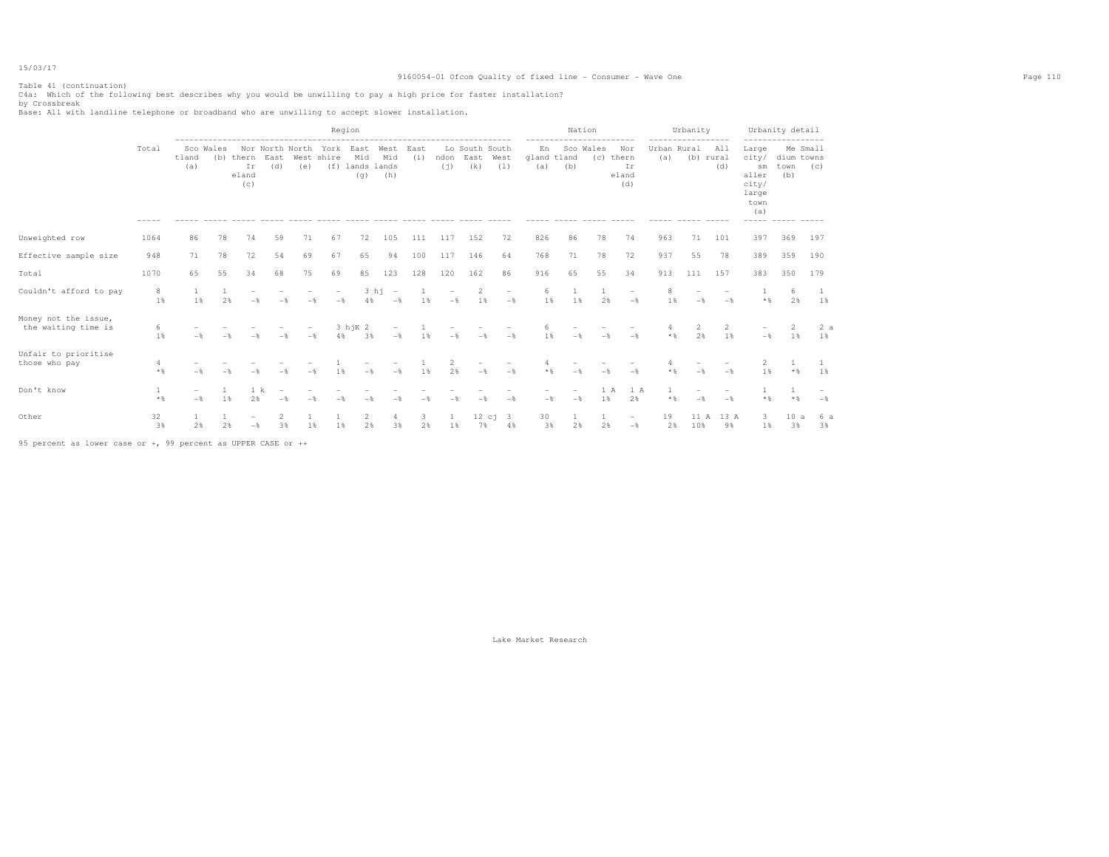Table 41 (continuation)

|                                             |            |                                 |           |                                 |                                            |                                 |                                 | Region                        |                                                           |             |                                 |                               |                                            |                          | Nation | ---------------- |                                        | -----------------  | Urbanity       |                                 |                                                                         | Urbanity detail<br>----------------- |                                     |
|---------------------------------------------|------------|---------------------------------|-----------|---------------------------------|--------------------------------------------|---------------------------------|---------------------------------|-------------------------------|-----------------------------------------------------------|-------------|---------------------------------|-------------------------------|--------------------------------------------|--------------------------|--------|------------------|----------------------------------------|--------------------|----------------|---------------------------------|-------------------------------------------------------------------------|--------------------------------------|-------------------------------------|
|                                             | Total      | tland<br>(a)                    | Sco Wales | (b) thern<br>Ir<br>eland<br>(c) | Nor North North York East<br>East<br>(d)   | (e)                             | West shire                      | Mid<br>(f) lands lands<br>(q) | West<br>Mid<br>(h)                                        | East<br>(i) | ndon<br>(i)                     | Lo South South<br>East<br>(k) | West<br>(1)                                | En<br>gland tland<br>(a) | (b)    | Sco Wales        | Nor<br>(c) thern<br>Ir<br>eland<br>(d) | Urban Rural<br>(a) |                | All<br>(b) rural<br>(d)         | Large<br>city/<br>sm<br>aller<br>city/<br>large<br>town<br>(a)<br>----- | dium towns<br>town<br>(b)            | Me Small<br>(C)                     |
| Unweighted row                              | 1064       | 86                              | 78        | 74                              | 59                                         | 71                              | 67                              | 72                            | 105                                                       | 111         | 117                             | 152                           | 72                                         | 826                      | 86     | 78               | 74                                     | 963                | 71             | 101                             | 397                                                                     | 369                                  | 197                                 |
| Effective sample size                       | 948        | 71                              | 78        | 72                              | 54                                         | 69                              | 67                              | 65                            | 94                                                        | 100         | 117                             | 146                           | 64                                         | 768                      | 71     | 78               | 72                                     | 937                | 55             | 78                              | 389                                                                     | 359                                  | 190                                 |
| Total                                       | 1070       | 65                              | 55        | 34                              | 68                                         | 75                              | 69                              | 85                            | 123                                                       | 128         | 120                             | 162                           | 86                                         | 916                      | 65     | 55               | 34                                     | 913                | 111            | 157                             | 383                                                                     | 350                                  | 179                                 |
| Couldn't afford to pay                      | 8<br>1%    | 1<br>1%                         | 2%        | $\overline{\phantom{m}}$<br>$-$ | $-$                                        | $\overline{\phantom{0}}$<br>$-$ | $\overline{\phantom{a}}$<br>$-$ | 4%                            | 3 h1<br>$\hspace{0.1mm}-\hspace{0.1mm}$<br>$-\frac{6}{6}$ | - 1<br>1%   | $\overline{\phantom{a}}$<br>$-$ | $\overline{2}$<br>1%          | $\overline{\phantom{a}}$<br>$-\frac{6}{6}$ | 6<br>1%                  | 1%     | 2%               | $\overline{\phantom{a}}$<br>$-$        | 8<br>1%            | $-$            | $\overline{\phantom{a}}$<br>$-$ | $*$ &                                                                   | 6<br>2%                              | 1%                                  |
| Money not the issue,<br>the waiting time is | 6<br>1%    |                                 |           |                                 | $-\frac{6}{5}$                             | $\qquad \qquad -$<br>$-$        | 4%                              | 3 h i K 2<br>3%               | $\overline{\phantom{a}}$<br>$-\frac{6}{5}$                | 1%          | $-$                             | $-$                           | $-$                                        | 6<br>1%                  |        |                  | $-$                                    | 4<br>$*$ &         | 2<br>2%        | 2<br>1%                         | $\sim$<br>$-$                                                           | 2<br>1%                              | 2a<br>1%                            |
| Unfair to prioritise<br>those who pay       | 4<br>$*$   | $-$                             |           | $-$                             | $-$                                        | $-$                             | 1%                              | $-$                           | $-\frac{6}{5}$                                            | 1%          | $\overline{2}$<br>2%            | $-\frac{6}{5}$                | $-$                                        | $*$                      | $-$    | $-$              | $-$                                    | $*$ &              | $-$            | $-$                             | 2<br>1%                                                                 | $*$ &                                | 1%                                  |
| Don't know                                  | 1<br>$*$ % | $\overline{\phantom{0}}$<br>$-$ | 1%        | 1 k<br>2%                       | $\overline{\phantom{a}}$<br>$-\frac{6}{5}$ | $-$                             | $-$                             | $-$                           | -*                                                        | $-$         | $-$                             | - &                           | $-$                                        | $-\frac{6}{5}$           | $-$    | 1 A<br>1%        | 1 A<br>2%                              | $*$ &              | $-\frac{6}{5}$ | $\overline{\phantom{0}}$<br>$-$ | $*$ &                                                                   | $*$ &                                | $\qquad \qquad -$<br>$-\frac{6}{5}$ |
| Other                                       | 32<br>3%   | 2%                              | 2%        | $-$<br>$-$ 8                    | 2<br>3%                                    | 1%                              | 1%                              | 2<br>2%                       | 4<br>3%                                                   | 3<br>2%     | 1%                              | $12\,c$ j<br>7%               | $\overline{\phantom{a}}$<br>4%             | 30<br>3%                 | 2%     | 2%               | $\overline{\phantom{m}}$<br>$-$        | 19<br>2%           | 11 A<br>10%    | 13 A<br>9%                      | -3<br>1%                                                                | 10a<br>3%                            | 6 a<br>3%                           |

95 percent as lower case or +, 99 percent as UPPER CASE or ++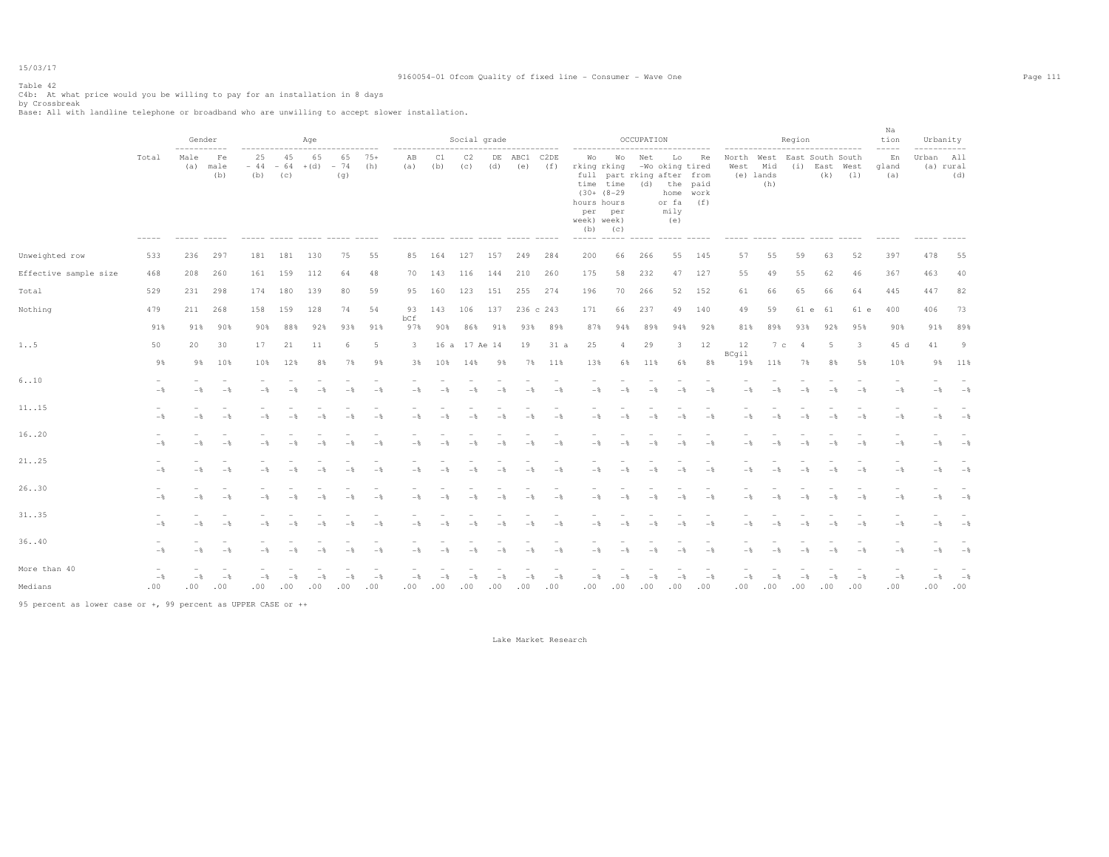# Table 42

C4b: At what price would you be willing to pay for an installation in 8 days<br>by Crossbreak<br>Base: All with landline telephone or broadband who are unwilling to accept slower installation.

|                       |                | Gender                     |                       |                                                           |           | Age            |                    |              |                         |                | Social grade  |           |                 |                |                                                                 |                                                               | OCCUPATION                               |                                                                        |                   |                    |                         | Region                                                         |                |                         | Na<br>tion         | Urbanity           |                     |
|-----------------------|----------------|----------------------------|-----------------------|-----------------------------------------------------------|-----------|----------------|--------------------|--------------|-------------------------|----------------|---------------|-----------|-----------------|----------------|-----------------------------------------------------------------|---------------------------------------------------------------|------------------------------------------|------------------------------------------------------------------------|-------------------|--------------------|-------------------------|----------------------------------------------------------------|----------------|-------------------------|--------------------|--------------------|---------------------|
|                       | Total          | -----------<br>Male<br>(a) | Fe<br>male<br>(b)     | ------------------------------<br>25<br>$-44 - 64$<br>(b) | 45<br>(C) | 65<br>$+(d)$   | 65<br>$-74$<br>(q) | $75+$<br>(h) | ----------<br>AB<br>(a) | C1<br>(b)      | C2<br>(c)     | DE<br>(d) | ABC1<br>(e)     | C2DE<br>(f)    | ------------<br>Wo<br>rking rking<br>hours hours<br>week) week) | Wo<br>time time<br>$(30 + (8 - 29)$<br>per per<br>$(b)$ $(c)$ | Net<br>full part rking after from<br>(d) | .<br>Lo<br>-Wo oking tired<br>the paid<br>home<br>or fa<br>mily<br>(e) | Re<br>work<br>(f) | North West<br>West | Mid<br>(e) lands<br>(h) | ------------------------------<br>East South South<br>(i) East | (k)            | West<br>(1)             | En<br>gland<br>(a) | Urban<br>(a) rural | -----<br>All<br>(d) |
| Unweighted row        | 533            | 236                        | 297                   | 181                                                       | 181       | 130            | 75                 | 55           | 85                      | 164            | 127           | 157       | 249             | 284            | 200                                                             | 66                                                            | 266                                      | 55                                                                     | 145               | 57                 | 55                      | 59                                                             | 63             | 52                      | 397                | 478                | 55                  |
| Effective sample size | 468            | 208                        | 260                   |                                                           | 161 159   | 112            | 64                 | 48           | 70                      | 143            | 116           | 144       | 210             | 260            | 175                                                             | 58                                                            | 232                                      | 47                                                                     | 127               | 55                 | 49                      | 55                                                             | 62             | 46                      | 367                | 463                | 40                  |
| Total                 | 529            | 231                        | 298                   | 174                                                       | 180       | 139            | 80                 | 59           | 95                      | 160            | 123           | 151       | 255             | 274            | 196                                                             | 70                                                            | 266                                      | 52                                                                     | 152               | 61                 | 66                      | 65                                                             | 66             | 64                      | 445                | 447                | 82                  |
| Nothing               | 479            | 211                        | 268                   | 158                                                       | 159       | 128            | 74                 | 54           | 93                      | 143            | 106           | 137       |                 | 236 c 243      | 171                                                             | 66                                                            | 237                                      | 49                                                                     | 140               | 49                 | 59                      | 61 e                                                           | 61             | 61 e                    | 400                | 406                | 73                  |
|                       | 91%            | 91%                        | 90%                   | 90%                                                       | 88%       | 92%            | 93%                | 91%          | bCf<br>97%              | 90%            | 86%           | 91%       | 93%             | 89%            | 87%                                                             | 94%                                                           | 89%                                      | 94%                                                                    | 92%               | 81%                | 89%                     | 93%                                                            | 92%            | 95%                     | 90%                | 91%                | 89%                 |
| $1.5$                 | 50             | 20                         | 30                    | 17                                                        | 21        | 11             | 6                  | -5           | $\overline{\mathbf{3}}$ |                | 16 a 17 Ae 14 |           | 19              | 31 a           | 25                                                              | $\overline{4}$                                                | 29                                       | 3                                                                      | 12                | 12                 | 7c                      | $\overline{4}$                                                 | 5              | $\overline{\mathbf{3}}$ | 45 d               | 41                 | - 9                 |
|                       | 9%             | 9%                         | 10%                   | 10%                                                       | 12%       | 8%             | 7%                 | 9%           | 3%                      | 10%            | 14%           | 9%        | 7%              | 11%            | 13%                                                             | 6%                                                            | 11%                                      | 6%                                                                     | 8%                | BCgil<br>19%       | 11%                     | 7%                                                             | 8%             | 5%                      | 10%                | 9%                 | 11%                 |
| 6.10                  | $-$            | $-$                        | $-$                   | $-$                                                       |           |                | $-$                | $-$          | $-$                     | $-$            |               | $-$       | $-$             | $-$            | $-$                                                             |                                                               | $-$                                      | $-$                                                                    | $-$               | $-$                |                         |                                                                | $-$            | $-$                     | $-$                | $-$                | $-$ %               |
| 1115                  | $-\frac{6}{5}$ | $-$                        | $-$                   | -*                                                        |           | - 8            |                    | $-$          | $-$                     |                | $-$           | $-$       | $-\frac{6}{25}$ | $-$            | $-$                                                             | $ \frac{6}{3}$                                                | $-$                                      | $-$                                                                    | $-$               | $-$                | $-\frac{6}{3}$          | - *                                                            | $-\frac{6}{3}$ | $-\frac{6}{5}$          | $-\frac{6}{5}$     | $-$                | $-$                 |
| 16. .20               | $-$            | $-$                        | $-$                   | $-$                                                       | $-$       | $-\frac{6}{5}$ | $-$                | $-$          | $-\frac{6}{6}$          | $-$            | $-$           | $-$       | $-$ %           | $-$            | $-$                                                             | $-$                                                           | $-$                                      | $-$                                                                    | $-$               | $-$                | $-$                     | $-$                                                            | $-$            | $-$                     | $-$                | $-$                | $-$                 |
| 21. .25               | $-$            | $-$                        | $-$                   | $-$                                                       |           | $-$            | $-$                | $-$          | $-$                     | $-$            | $-$           | $-$       | $-$             | $-$            | $-$                                                             | $-$                                                           | $-$                                      | $-$                                                                    | $-$               | $-$                | $-$                     | $-$                                                            | $-$            | $-$                     | $-$                | $-$                | $-$                 |
| 26. .30               | $-$            | $-$                        | $-$                   | $-$                                                       | $-$       | $-$            | $-8$               | $-$          | $-$                     |                | $-$           | $-$       | $-$             | $-$            | $-$                                                             | $ \frac{6}{3}$                                                | $-$                                      | $-$                                                                    | $-$               | $-$                |                         | $-$                                                            | $-$            | $-$                     | $-$                | $-$                | $-$                 |
| 31. .35               | $-\frac{6}{6}$ | $-$                        | $-$                   | $-\frac{6}{5}$                                            | $-$       | $-$            | $-$                | $-$          | $-\frac{6}{6}$          | $-\frac{6}{5}$ | $-$           | $-$       | $-$ %           | $-\frac{6}{5}$ | $-$                                                             | $-$                                                           | $-$                                      | $-$                                                                    | $-$               | $-$                | $-$                     | $-$                                                            | $-\frac{6}{5}$ | $-$                     | $-$                | $-$                | $-8$                |
| 36. .40               | $-$            | $-\frac{6}{6}$             | $-$                   | $-$                                                       | $-$       | $-$            | $-$                | $-$          | $-$                     | $-$            | $-$           | $-$       | $-$             | $-$            | $-$                                                             | $-$                                                           | $-$                                      | $-$                                                                    | $-$               | $-$                | $-$                     | $-$                                                            | $-$            | $-$                     | $-$                | $-$                | $ \frac{6}{3}$      |
| More than 40          |                |                            |                       |                                                           |           |                |                    |              |                         |                |               |           |                 |                |                                                                 |                                                               |                                          |                                                                        |                   |                    |                         |                                                                |                |                         |                    |                    |                     |
| Medians               | $-$ 8<br>.00   | $-$<br>.00.                | $-\frac{6}{5}$<br>.00 | $-$<br>.00                                                | .00       | .00            | .00                | $-$<br>.00   | $-\frac{6}{5}$<br>.00   | .00            | .00           | .00       | .00             | $-$<br>.00     | $-$<br>.00                                                      | .00                                                           | - %<br>.00                               | .00                                                                    | $-$ %<br>.00      | $-$<br>.00         | .00                     | .00                                                            | .00            | $-$ 8<br>.00            | $-$<br>.00         | $-$<br>.00.        | $-$<br>.00          |

95 percent as lower case or +, 99 percent as UPPER CASE or ++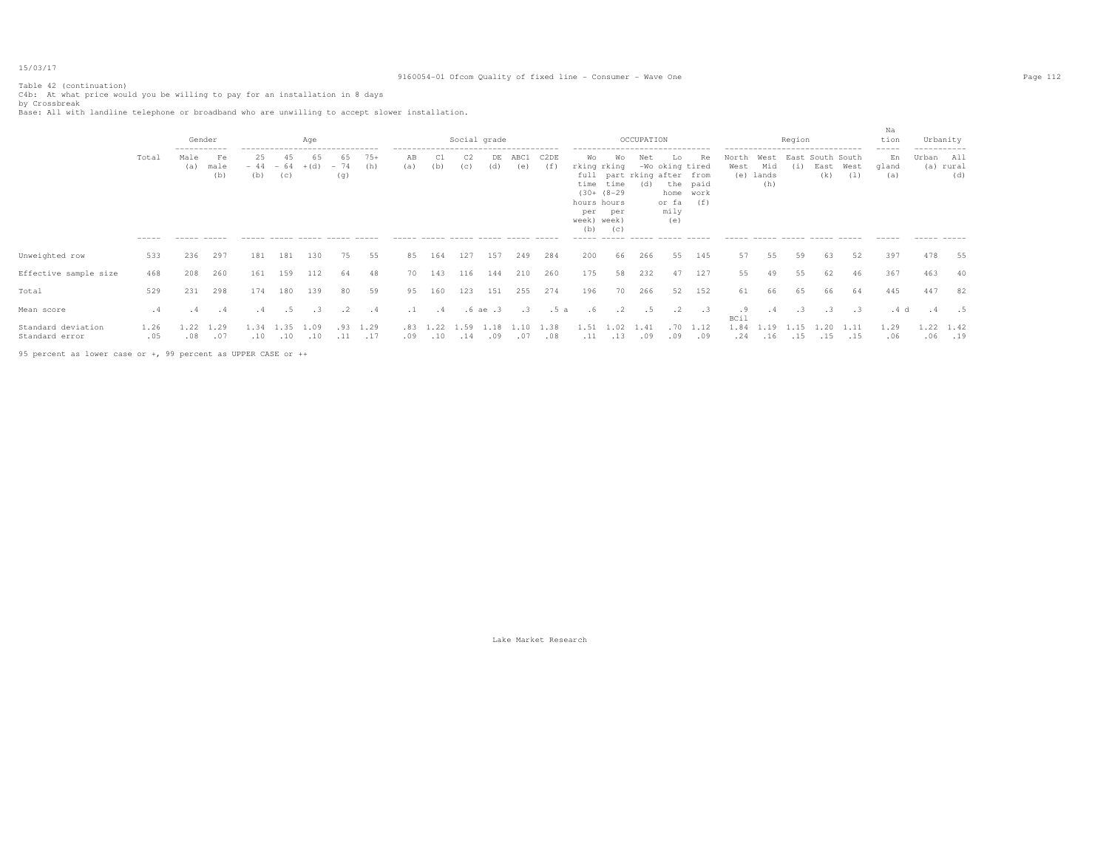## Table 42 (continuation)

### 9160054-01 Ofcom Quality of fixed line - Consumer - Wave One Page 112

C4b: At what price would you be willing to pay for an installation in 8 days<br>by Crossbreak<br>Base: All with landline telephone or broadband who are unwilling to accept slower installation.

|                                      |             | ----------- | Gender            |             |             | Age<br>------------------------------- |                    |              | -------------------------------------- |            |                       | Social grade |             |             |                                                               |                                                | OCCUPATION  | ------------------------------                                              |                                    |                   | ------------------------------- | Region |                                 |             | Na<br>tion<br>$------$ | Urbanity<br>----------- |                     |
|--------------------------------------|-------------|-------------|-------------------|-------------|-------------|----------------------------------------|--------------------|--------------|----------------------------------------|------------|-----------------------|--------------|-------------|-------------|---------------------------------------------------------------|------------------------------------------------|-------------|-----------------------------------------------------------------------------|------------------------------------|-------------------|---------------------------------|--------|---------------------------------|-------------|------------------------|-------------------------|---------------------|
|                                      | Total       | Male<br>(a) | Fe<br>male<br>(b) | 25<br>(b)   | (C)         | 65<br>$-44 - 64 + (d)$                 | 65<br>$-74$<br>(q) | $75+$<br>(h) | AB<br>(a)                              | C1<br>(b)  | C <sub>2</sub><br>(C) | DE<br>(d)    | ABC1<br>(e) | C2DE<br>(f) | Wo<br>rking rking<br>hours hours<br>per<br>week) week)<br>(b) | Wo<br>time time<br>$(30 + (8-29$<br>per<br>(C) | Net<br>(d)  | Lo<br>-Wo oking tired<br>full part rking after from<br>or fa<br>mily<br>(e) | Re<br>the paid<br>home work<br>(f) | North<br>West     | West<br>Mid<br>(e) lands<br>(h) | (i)    | East South South<br>East<br>(k) | West<br>(1) | En<br>gland<br>(a)     | Urban All               | (a) rural<br>(d)    |
|                                      | $- - - - -$ |             |                   |             |             | ------ ----- ----- -----               |                    |              | ------ ----- ------ -----              |            |                       |              |             |             |                                                               |                                                |             |                                                                             |                                    |                   |                                 |        |                                 |             |                        |                         |                     |
| Unweighted row                       | 533         | 236         | 297               | 181         | 181         | 130                                    | 75                 | 55           | 85                                     | 164        | 127                   | 157          | 249         | 284         | 200                                                           | 66                                             | 266         | 55                                                                          | 145                                | 57                | 55                              | 59     | 63                              | 52          | 397                    | 478                     | 55                  |
| Effective sample size                | 468         | 208         | 260               | 161         | 159         | 112                                    | 64                 | 48           | 70                                     | 143        | 116                   | 144          | 210         | 260         | 175                                                           | 58                                             | 232         | 47                                                                          | 127                                | 55                | 49                              | 55     | 62                              | 46          | 367                    | 463                     | 40                  |
| Total                                | 529         | 231         | 298               | 174         | 180         | 139                                    | 80                 | 59           | 95                                     | 160        | 123                   | 151          | 255         | 274         | 196                                                           | 70                                             | 266         | 52                                                                          | 152                                | 61                | 66                              | 65     | 66                              | 64          | 445                    | 447                     | 82                  |
| Mean score                           | . 4         | . 4         | $\cdot$ 4         | .4          | .5          | $\cdot$ 3                              | $\cdot$ 2          | $\cdot$ 4    | $\ldots$ 1                             | .4         |                       | .6ae.3       | $\cdot$ 3   | .5a         | .6                                                            | $\cdot$ 2                                      | . 5         | $\cdot$ 2                                                                   | $\cdot$ .3                         | .9<br><b>BCil</b> | . 4                             | .3     |                                 | $\cdot$ 3   | .4 d                   |                         |                     |
| Standard deviation<br>Standard error | 1.26<br>.05 | 1.22<br>.08 | 1.29<br>.07       | 1.34<br>.10 | 1.35<br>.10 | 1.09<br>.10                            | .93<br>.11         | 1.29<br>.17  | .83 1<br>.09                           | .22<br>.10 | 1.59<br>.14           | .18<br>.09   | .07         | 1.38<br>.08 | 1.51<br>.11                                                   | .02<br>.13                                     | 1.41<br>.09 | .70<br>.09                                                                  | 1.12<br>.09                        | 1.84<br>.24       | 19<br>.16                       | .15    | .15                             | .15         | 1.29<br>.06            |                         | 1.22 1.42<br>.06.19 |
|                                      |             |             |                   |             |             |                                        |                    |              |                                        |            |                       |              |             |             |                                                               |                                                |             |                                                                             |                                    |                   |                                 |        |                                 |             |                        |                         |                     |

95 percent as lower case or +, 99 percent as UPPER CASE or ++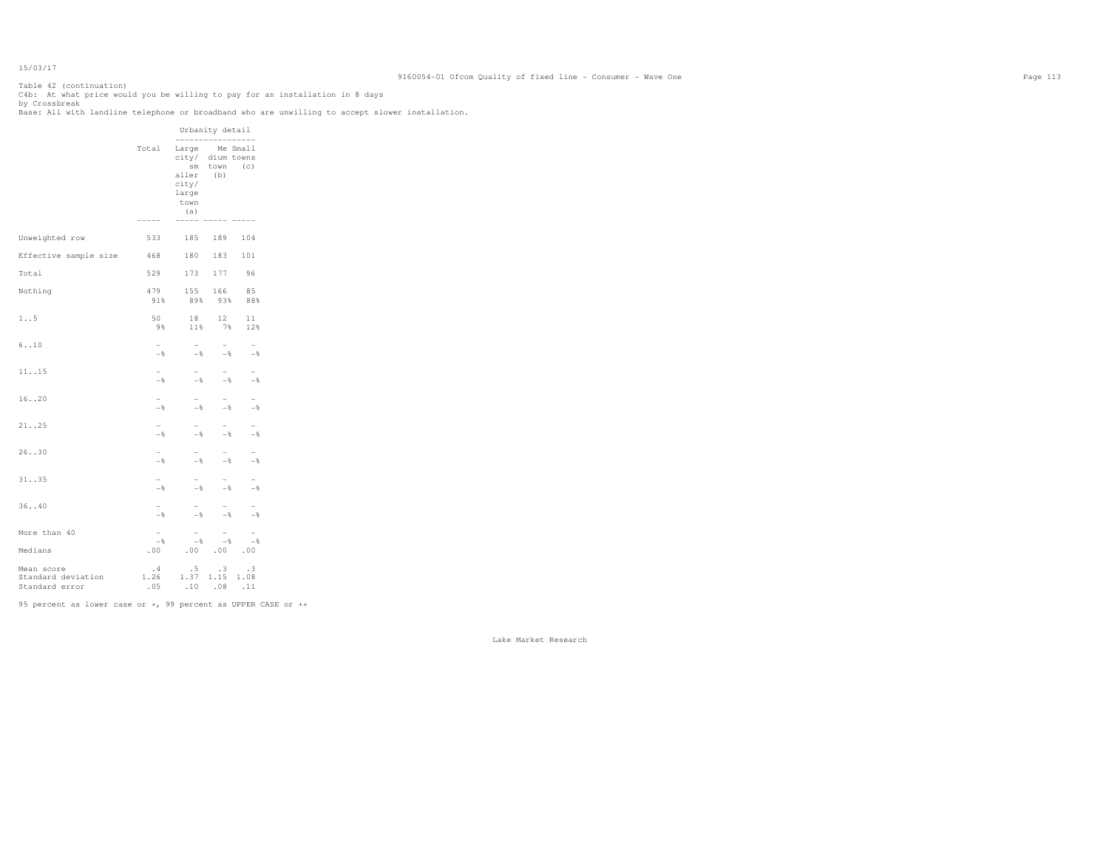Table 42 (continuation) C4b: At what price would you be willing to pay for an installation in 8 days<br>by Crossbreak<br>Base: All with landline telephone or broadband who are unwilling to accept slower installation.

|                                                    |                                      |                                                                                                              | Urbanity detail                            |                                 |
|----------------------------------------------------|--------------------------------------|--------------------------------------------------------------------------------------------------------------|--------------------------------------------|---------------------------------|
|                                                    | Total<br>-----                       | -----------------<br>Large Me Small<br>city/ dium towns<br>aller<br>city/<br>large<br>town<br>(a)<br>----- - | sm town (c)<br>(b)                         |                                 |
| Unweighted row                                     | 533                                  | 185                                                                                                          | 189                                        | 104                             |
|                                                    |                                      |                                                                                                              | 180 183 101                                |                                 |
| Effective sample size 468                          |                                      |                                                                                                              |                                            |                                 |
| Total                                              | 529                                  |                                                                                                              | 173 177 96                                 |                                 |
| Nothing                                            | 479<br>91%                           | 89%                                                                                                          | 155 166<br>93%                             | 85<br>88%                       |
| 1.5                                                | 50<br>9%                             | 18<br>11%                                                                                                    | 12<br>7%                                   | 11<br>12%                       |
| 6.10                                               | $\overline{\phantom{0}}$<br>$-$ %    | $\overline{a}$<br>$-$ %                                                                                      | $-$ 8                                      | $-\frac{6}{6}$                  |
| 1115                                               | $-$                                  | $-$<br>$-$ %                                                                                                 | $-$                                        | $-$ 8                           |
| 16. .20                                            | $\overline{\phantom{0}}$<br>$-$      | $\overline{\phantom{a}}$<br>$-$ %                                                                            | $-$<br>$-\frac{6}{5}$                      | $-$<br>- %                      |
| 21. .25                                            | $\overline{\phantom{0}}$<br>$\sim -$ | $\overline{\phantom{0}}$<br>$-$ %                                                                            | $-$<br>$-8$                                | $-$<br>$-$                      |
| 26.030                                             | $-$                                  | $-$<br>$-$ %                                                                                                 | $-$ %                                      | $-$                             |
| 31. .35                                            | $\overline{\phantom{0}}$<br>$-$      | $\sim$<br>$-$ %                                                                                              | $\overline{\phantom{0}}$<br>$-\frac{6}{6}$ | $\overline{\phantom{a}}$<br>$-$ |
| 36. .40                                            | $\overline{\phantom{0}}$<br>$-$      | $\overline{\phantom{0}}$<br>$-$ %                                                                            | $-$ %                                      | - %                             |
| More than 40                                       | $\overline{\phantom{0}}$<br>$-$ %    | $\sim$<br>$-$ 8                                                                                              | $\overline{\phantom{a}}$<br>$ \frac{8}{3}$ | $\overline{\phantom{0}}$<br>$-$ |
| Medians                                            | .00                                  |                                                                                                              | .00.00.00.00                               |                                 |
| Mean score<br>Standard deviation<br>Standard error | .4<br>1.26                           | .5<br>1.37 1.15 1.08<br>$.05$ $.10$ $.08$ $.11$                                                              | $\cdot$ 3                                  | .3                              |

95 percent as lower case or +, 99 percent as UPPER CASE or ++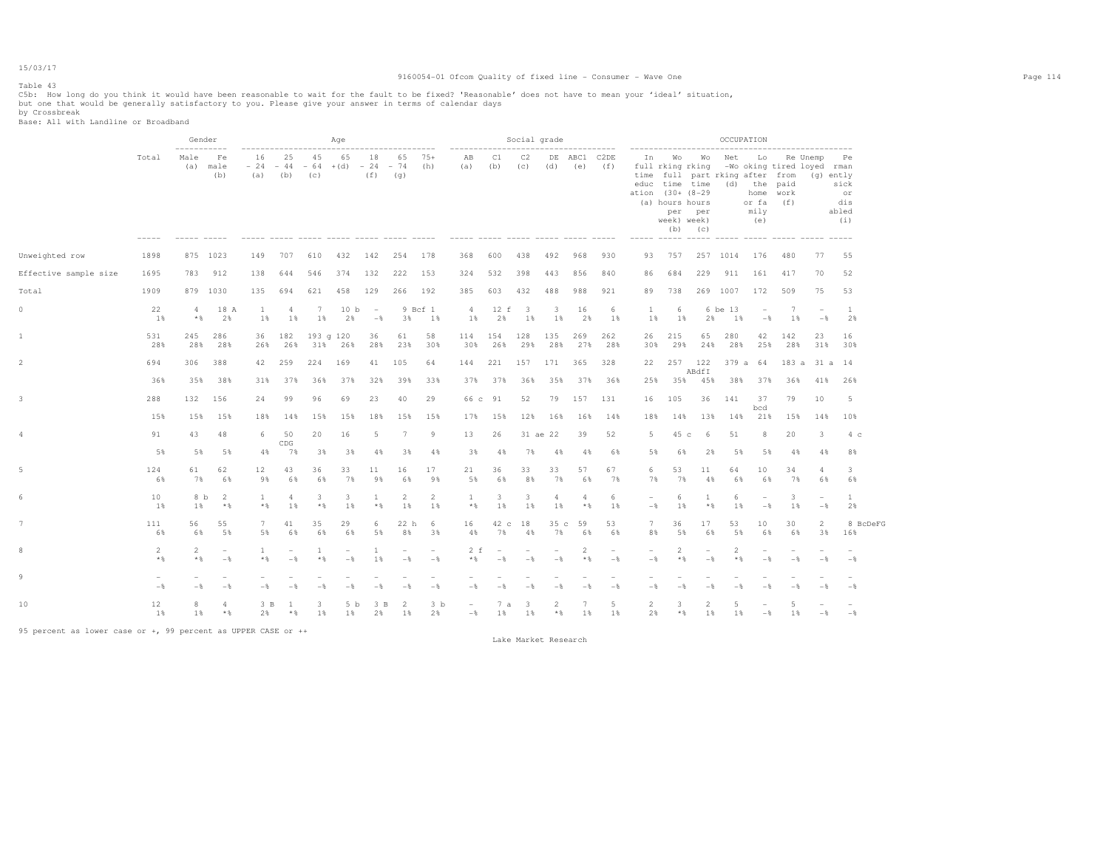#### Table 43

### 9160054-01 Ofcom Quality of fixed line - Consumer - Wave One Page 114

C5b: How long do you think it would have been reasonable to wait for the fault to be fixed? 'Reasonable' does not have to mean your 'ideal' situation,<br>but one that would be generally satisfactory to you. Please give your

by Crossbreak Base: All with Landline or Broadband

|                       |                                 | Gender                  |                                            |                        |                                            |                  | Age                                                    |               |                                            |                                            |                 |                                 | Social grade                    |                                 |                                     |                                 |                                               |                                                    |                                                                                                                                 |               | OCCUPATION                                                                           |                                            |                                   |                                                             |
|-----------------------|---------------------------------|-------------------------|--------------------------------------------|------------------------|--------------------------------------------|------------------|--------------------------------------------------------|---------------|--------------------------------------------|--------------------------------------------|-----------------|---------------------------------|---------------------------------|---------------------------------|-------------------------------------|---------------------------------|-----------------------------------------------|----------------------------------------------------|---------------------------------------------------------------------------------------------------------------------------------|---------------|--------------------------------------------------------------------------------------|--------------------------------------------|-----------------------------------|-------------------------------------------------------------|
|                       | Total                           | Male                    | Fe<br>(a) male<br>(b)                      | 16<br>$-24 -44$<br>(a) | 25<br>(b)                                  | 45<br>(C)        | ----------------------<br>65<br>$-64$ + (d) $-24$ - 74 | 18<br>(f)     | (q)                                        | 65 75+<br>(h)                              | AB<br>(a)       | C1<br>(b)                       | C2<br>(c)                       | (d)                             | ------------<br>DE ABC1 C2DE<br>(e) | (f)                             | ------------------------<br>ation (30+ (8-29) | full rking rking<br>(a) hours hours<br>week) week) | In Wo Wo<br>time full part rking after from<br>educ time time (d) the paid<br>per per<br>$(b)$ $(c)$<br>----- ----- ----- ----- | Net           | Lo<br>-Wo oking tired loyed rman<br>or fa $(f)$<br>mily<br>(e)<br>------ ----- ----- | home work                                  | Re Unemp                          | <b>Pe</b><br>(g) ently<br>sick<br>or<br>dis<br>abled<br>(i) |
| Unweighted row        | 1898                            |                         | 875 1023                                   | 149                    | 707                                        | 610              | 432                                                    | 142           | 254                                        | 178                                        | 368             | 600                             | 438                             | 492                             | 968                                 | 930                             | 93                                            | 757                                                |                                                                                                                                 | 257 1014      | 176                                                                                  | 480                                        | 77                                | 55                                                          |
| Effective sample size | 1695                            | 783                     | 912                                        | 138                    | 644                                        | 546              | 374                                                    | 132           | 222                                        | 153                                        | 324             | 532                             | 398                             | 443                             | 856                                 | 840                             | 86                                            | 684                                                | 229                                                                                                                             | 911           | 161                                                                                  | 417                                        | 70                                | 52                                                          |
| Total                 | 1909                            |                         | 879 1030                                   | 135                    | 694                                        | 621              | 458                                                    | 129           | 266 192                                    |                                            | 385             | 603                             | 432                             | 488                             | 988                                 | 921                             | 89                                            | 738                                                |                                                                                                                                 | 269 1007      | 172                                                                                  | 509                                        | 75                                | 53                                                          |
| $\circ$               | 22<br>1%                        | $\overline{4}$<br>$*$ & | 18 A<br>2%                                 | $\mathbf{1}$<br>1%     | $\overline{4}$<br>1%                       | 7<br>1%          | 10 <sub>b</sub><br>2%                                  | $\sim$<br>$-$ | 3%                                         | 9 Bcf 1<br>1%                              | 4<br>1%         | 12 f<br>2%                      | $_{3}$<br>1%                    | 3<br>1%                         | 16<br>2%                            | 6<br>1%                         | -1<br>1%                                      | 6<br>1%                                            | 2%                                                                                                                              | 6 be 13<br>1% | $\overline{\phantom{a}}$<br>$-$                                                      | 7<br>1%                                    | $\overline{\phantom{a}}$<br>$-$ 8 | <sup>1</sup><br>2%                                          |
| 1                     | 531<br>28%                      | 245<br>28%              | 286<br>28%                                 | 26%                    | 36 182<br>26%                              | 193 g 120<br>31% | 26%                                                    | 36<br>28%     | 61<br>23%                                  | 58<br>30%                                  | 114 154<br>30%  | 26%                             | 128<br>29%                      | 135<br>28%                      | 269<br>27%                          | 262<br>28%                      | 26<br>30%                                     | 215<br>29%                                         | 65<br>24%                                                                                                                       | 280<br>28%    | 42<br>25%                                                                            | 142<br>28%                                 | 23<br>31%                         | 16<br>30%                                                   |
| 2                     | 694                             | 306                     | 388                                        | 42                     | 259                                        | 224              | 169                                                    |               | 41 105                                     | 64                                         | 144             | 221                             | 157                             | 171                             | 365                                 | 328                             | 22                                            |                                                    | 257 122<br>ABdfI                                                                                                                |               | 379 a 64 183 a 31 a 14                                                               |                                            |                                   |                                                             |
|                       | 36%                             | 35%                     | 38%                                        | 31%                    | 37%                                        | 36%              | 37%                                                    | 32%           | 39%                                        | 33%                                        | 37%             | 37%                             | 36%                             | 35%                             | 37%                                 | 36%                             | 25%                                           | 35%                                                | 45%                                                                                                                             |               | 38% 37%                                                                              | 36%                                        | 41%                               | 26%                                                         |
| 3                     | 288                             | 132                     | 156                                        | 24                     | 99                                         | 96               | 69                                                     | 23            | 40                                         | 29                                         | 66 c 91         |                                 | 52                              | 79                              | 157                                 | 131                             | 16                                            | 105                                                | 36                                                                                                                              | 141           | 37<br>bcd                                                                            | 79                                         | 10                                | 5                                                           |
|                       | 15%                             | 15%                     | 15%                                        | 18%                    | 14%                                        | 15%              | 15%                                                    | 18%           | 15%                                        | 15%                                        | 17%             | 15%                             | 12%                             | 16%                             | 16%                                 | 14%                             | 18%                                           | 14%                                                | 13%                                                                                                                             | 14%           | 21%                                                                                  | 15%                                        | 14%                               | 10%                                                         |
| 4                     | 91                              | 43                      | 48                                         | 6.                     | 50<br>CDG                                  | 20               | 16                                                     | 5             | $7\phantom{.0}$                            | 9                                          | 13              | 26                              |                                 | 31 ae 22                        | 39                                  | 52                              | $5 -$                                         | 45 c                                               | 6                                                                                                                               | 51            | 8                                                                                    | 20                                         | 3                                 | 4 <sup>c</sup>                                              |
|                       | 5%                              | 5%                      | 5%                                         | $4\%$                  | 7%                                         | 3%               | 3%                                                     | 4%            | 3%                                         | 4%                                         | 3%              | 4%                              | 7%                              | 4%                              | 4%                                  | 6%                              | 5%                                            | 6%                                                 | 2%                                                                                                                              | 5%            | 5%                                                                                   | 4%                                         | 4%                                | 8%                                                          |
|                       | 124<br>6%                       | 61<br>7%                | 62<br>6%                                   | 12<br>9%               | 43<br>6%                                   | 36<br>6%         | 33<br>7%                                               | 11<br>9%      | 16<br>6%                                   | 17<br>98                                   | 21<br>5%        | 36<br>6%                        | 33<br>8%                        | 33<br>7%                        | 57<br>6%                            | 67<br>7%                        | 6<br>7%                                       | 53<br>7%                                           | 11<br>4%                                                                                                                        | 64<br>6%      | 10<br>6%                                                                             | 34<br>7%                                   | $\overline{4}$<br>6%              | 3<br>6%                                                     |
| 6                     | 10<br>1 %                       | 8 b<br>1 %              | -2<br>$*$                                  | -1<br>$*$              | $\overline{4}$<br>1 %                      | 3<br>$*$         | 3<br>1 %                                               | 1<br>$*$ &    | 2<br>1 %                                   | 2<br>1 %                                   | -1<br>$*$ &     | 3<br>1 %                        | 3<br>1 %                        | $\overline{4}$<br>1 %           | 4<br>$*$ %                          | 6<br>1%                         | $\overline{\phantom{a}}$<br>$-$               | 6<br>1 %                                           | 1<br>$*$ &                                                                                                                      | 6<br>1%       | $\equiv$<br>$-$                                                                      | -3<br>1%                                   | $\sim$<br>$-$                     | $\mathbf{1}$<br>2%                                          |
|                       | 111<br>6%                       | 56<br>6%                | 55<br>5%                                   | 7<br>5%                | 41<br>6%                                   | 35<br>6%         | 29<br>6%                                               | 6<br>5%       | 22 h<br>8%                                 | 6<br>38                                    | 16<br>4%        | 42 c<br>7%                      | 18<br>4%                        | 35 <sub>c</sub><br>7%           | 59<br>6%                            | 53<br>6%                        | 7<br>8%                                       | 36<br>5%                                           | 17<br>6%                                                                                                                        | 53<br>5%      | 10<br>6%                                                                             | 30<br>6%                                   | $\overline{2}$<br>3%              | 8 BcDeFG<br>16%                                             |
|                       | $\overline{2}$<br>$*$           | 2<br>$*$ &              | $\overline{\phantom{a}}$<br>$-\frac{6}{5}$ | 1<br>$*$ %             | $\overline{\phantom{a}}$<br>$-\frac{6}{5}$ | 1<br>$*$ &       | $\overline{\phantom{a}}$<br>$-$                        | 1<br>1%       | $\overline{\phantom{0}}$<br>$-\frac{6}{5}$ | $\overline{\phantom{a}}$<br>$-\frac{6}{5}$ | 2 f<br>$*$ &    | $\overline{\phantom{a}}$<br>$-$ | $\overline{\phantom{a}}$<br>$-$ | $\overline{\phantom{a}}$<br>$-$ | 2<br>$*$ %                          | $\overline{\phantom{a}}$<br>$-$ | $\overline{\phantom{a}}$<br>$-\frac{6}{5}$    | $\overline{2}$<br>$*$ &                            | $\overline{\phantom{a}}$<br>$-$                                                                                                 | 2<br>$*$      | $\overline{\phantom{0}}$<br>$-\frac{6}{5}$                                           | $\overline{\phantom{a}}$<br>$-\frac{6}{5}$ | $-$                               | $-\frac{6}{6}$                                              |
| 9                     | $\overline{\phantom{a}}$<br>$-$ | $-$                     | $-$                                        | $-$                    | $-$                                        | $-$              | $-$                                                    | $-$           | $-$                                        | $-\frac{6}{5}$                             | $-\frac{6}{5}$  | $-$                             | $-$                             | $-$                             | $-\frac{6}{5}$                      | $-$                             | $-\frac{6}{5}$                                | $-$                                                | $-$                                                                                                                             | $-$           | $-$                                                                                  | $-\frac{6}{3}$                             | $-$                               | $-\frac{6}{6}$                                              |
| 10                    | 12<br>1%                        | 8<br>1%                 | 4<br>$*$ %                                 | 3 B<br>2%              | -1<br>$*$ &                                | 3<br>1%          | 5 b<br>1%                                              | 3B<br>2%      | 2<br>1%                                    | 3 <sub>b</sub><br>2%                       | $\sim$<br>$-$ % | 7a<br>$1\%$                     | $\overline{\mathbf{3}}$<br>1%   | 2<br>$\star$ $\,$               | 7<br>1%                             | 5<br>1%                         | $\overline{2}$<br>2%                          | 3<br>$*$ &                                         | $\overline{2}$<br>1%                                                                                                            | 5<br>1%       | $-\frac{6}{5}$                                                                       | 5<br>1%                                    | $-$                               | $-$ 8                                                       |

95 percent as lower case or +, 99 percent as UPPER CASE or ++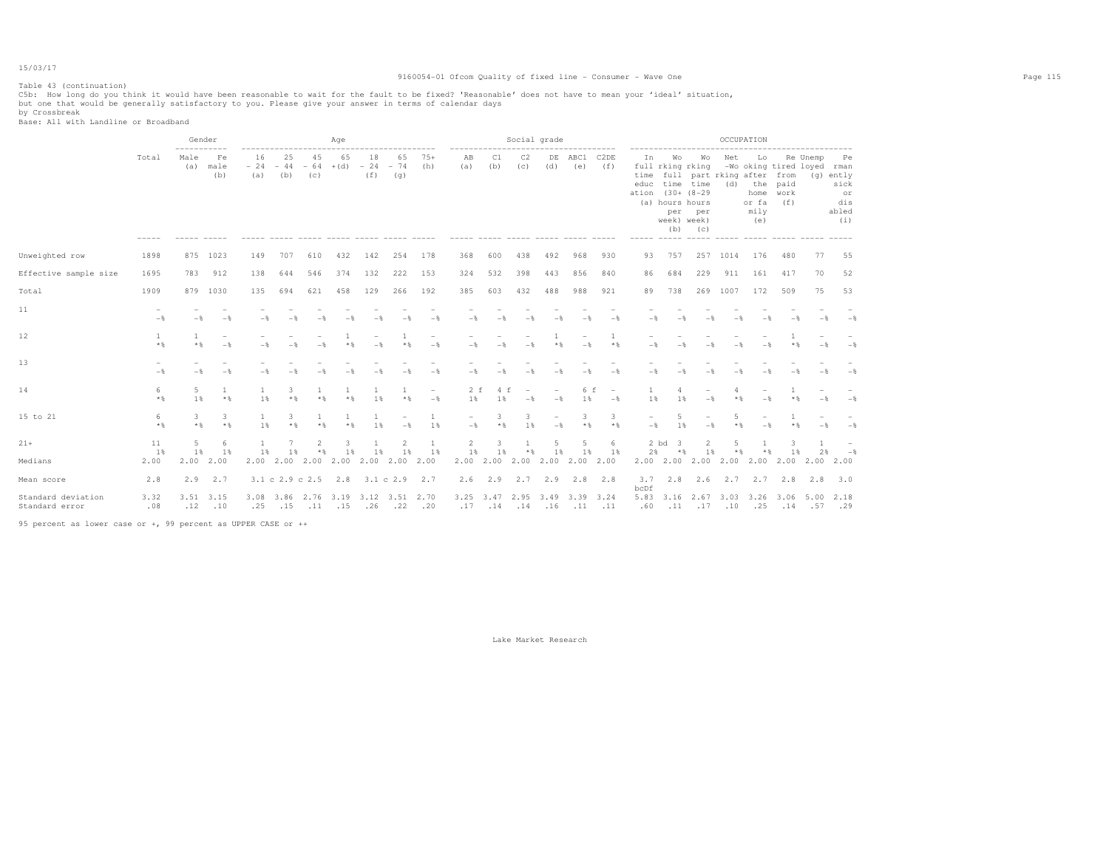# Table 43 (continuation)

### 9160054-01 Ofcom Quality of fixed line - Consumer - Wave One Page 115

C5b: How long do you think it would have been reasonable to wait for the fault to be fixed? 'Reasonable' does not have to mean your 'ideal' situation,<br>but one that would be generally satisfactory to you. Please give your

by Crossbreak Base: All with Landline or Broadband

|                                      |                | Gender<br>----------- |                                            |                |                                         |                   | Aqe                   |                                             |           |                                   |                                      |                 |                | Social grade   | . <u>.</u> .                    |                                 |                    |                                                                                                        |                      |                | OCCUPATION                                                                             |                                                         |            |                                                        |  |
|--------------------------------------|----------------|-----------------------|--------------------------------------------|----------------|-----------------------------------------|-------------------|-----------------------|---------------------------------------------|-----------|-----------------------------------|--------------------------------------|-----------------|----------------|----------------|---------------------------------|---------------------------------|--------------------|--------------------------------------------------------------------------------------------------------|----------------------|----------------|----------------------------------------------------------------------------------------|---------------------------------------------------------|------------|--------------------------------------------------------|--|
|                                      | Total          | Male<br>(a)           | Fe<br>male<br>(b)                          | 16<br>(a)      | 25<br>$-24 - 44 - 64 + (d)$<br>(b)      | 45<br>(C)         | 65                    | 18<br>$-24 - 74$<br>(f)                     | 65<br>(q) | $75+$<br>(h)                      | AB<br>(a)                            | C1<br>(b)       | C2<br>(C)      | DE<br>(d)      | ABC1<br>(e)                     | C <sub>2</sub> DE<br>(f)        | In<br>------ ----- | Wo<br>full rking rking<br>educ time time<br>ation (30+ (8-29)<br>(a) hours hours<br>week) week)<br>(b) | Wo<br>per per<br>(C) | Net<br>(d)     | Lo<br>time full part rking after from<br>the paid<br>home work<br>or fa<br>mily<br>(e) | -Wo oking tired loyed rman<br>(f)<br>------ ----- ----- | Re Unemp   | Pe<br>$(q)$ ently<br>sick<br>or<br>dis<br>abled<br>(i) |  |
| Unweighted row                       | 1898           | 875                   | 1023                                       | 149            | 707                                     | 610               | 432                   | 142                                         | 254       | 178                               | 368                                  | 600             | 438            | 492            | 968                             | 930                             | 93                 | 757                                                                                                    | 257                  | 1014           | 176                                                                                    | 480                                                     | 77         | 55                                                     |  |
| Effective sample size                | 1695           | 783                   | 912                                        | 138            | 644                                     | 546               | 374                   | 132                                         | 222       | 153                               | 324                                  | 532             | 398            | 443            | 856                             | 840                             | 86                 | 684                                                                                                    | 229                  | 911            | 161                                                                                    | 417                                                     | 70         | 52                                                     |  |
| Total                                | 1909           | 879                   | 1030                                       | 135            | 694                                     | 621               | 458                   | 129                                         | 266       | 192                               | 385                                  | 603             | 432            | 488            | 988                             | 921                             | 89                 | 738                                                                                                    |                      | 269 1007       | 172                                                                                    | 509                                                     | 75         | 53                                                     |  |
| 11                                   | $-\frac{6}{5}$ | $-$                   | $-\frac{6}{5}$                             | $-\frac{6}{3}$ |                                         |                   |                       |                                             |           | $-$                               | $-$                                  | $-$             | $-$            | $-$            |                                 | $-$                             | $-\frac{6}{5}$     |                                                                                                        |                      |                |                                                                                        |                                                         |            | $-$                                                    |  |
| 12                                   | 1<br>$*$ &     | $*$ &                 | $\overline{\phantom{a}}$<br>$-\frac{6}{5}$ | $-\frac{6}{3}$ | $-$                                     | $-$               | $*$ &                 | $-$                                         | * &       | $-$                               | $-$                                  | $-$             | $-$            | $*$ &          | $-$                             | $*$ &                           | $-$                |                                                                                                        |                      |                |                                                                                        | $*$ &                                                   |            | $-$                                                    |  |
| 13                                   | $-\frac{6}{5}$ | $-$                   | $\overline{\phantom{a}}$<br>$-$            | $-\frac{6}{3}$ | $-$                                     | $-\frac{6}{2}$    |                       | $-$                                         |           | $-$                               | $-$                                  | $-\frac{6}{25}$ | $-\frac{6}{2}$ | $-$            | $-$                             | $-$                             | $-\frac{6}{5}$     |                                                                                                        |                      |                |                                                                                        |                                                         |            | $-$                                                    |  |
| 14                                   | 6<br>$*$ &     | 5<br>1%               | $\mathbf{1}$<br>$*$                        | -1<br>1%       | 3.<br>$*$ &                             | 1<br>$*$          | $\mathbf{1}$<br>$*$ & | -1<br>1%                                    | $*$       | $\overline{\phantom{a}}$<br>$-$ 8 | 2 f<br>1%                            | 4 f<br>1%       | $-$            | $-$            | 6 f<br>1%                       | $\overline{\phantom{a}}$<br>$-$ | 1%                 | 4<br>1%                                                                                                | $-\frac{6}{5}$       | $*$            | $-$                                                                                    | $*$ &                                                   | $-$        | $-$ 8                                                  |  |
| 15 to 21                             | 6<br>$*$ &     | 3<br>$*$ &            | 3<br>$*$                                   | -1<br>1 %      | 3.<br>$*$ &                             | 1<br>$*$ &        | $\mathbf{1}$<br>$*$ & | -1.<br>1 %                                  | $-$       | -1<br>1%                          | $\overline{\phantom{0}}$<br>$-$      | 3<br>$*$ &      | 3.<br>1 %      | $-$            | 3<br>$*$ &                      | 3<br>$*$ &                      | $-$                | 5<br>1 %                                                                                               | $-$                  | 5<br>$*$ &     | $-$                                                                                    | $*$ &                                                   | $-$        | $-$                                                    |  |
| $21 +$                               | 11             | $\overline{5}$        | 6                                          | 1              | $\overline{7}$                          | 2                 | 3                     | 1                                           | 2         | $\overline{1}$                    | $\overline{2}$                       | 3               | $\mathbf{1}$   | $\overline{2}$ | 5                               | 6                               |                    | 2 bd<br>$\overline{\mathbf{3}}$                                                                        | $\overline{2}$       | $\overline{a}$ | $\mathbf{1}$                                                                           | 3                                                       | 1          |                                                        |  |
| Medians                              | 1%<br>2.00     | $1\%$<br>2.00         | 1%<br>2.00                                 | $1\%$          | 1%                                      | $*$ $\frac{6}{3}$ | 1%                    | $1\%$<br>2.00 2.00 2.00 2.00 2.00 2.00 2.00 | $1\%$     | 1%                                | 1%<br>2.00                           | 1%              | $*$ &          | $1\%$          | 1 %<br>2.00 2.00 2.00 2.00 2.00 | 1%                              | 2%                 | $*$<br>2.00 2.00 2.00 2.00 2.00                                                                        | 1%                   | $*$ &          | $*$ &                                                                                  | 1%<br>2.00                                              | 2%<br>2.00 | $-$ %<br>2.00                                          |  |
| Mean score                           | 2.8            | 2.9                   | 2.7                                        |                | $3.1 \text{ c } 2.9 \text{ c } 2.5$ 2.8 |                   |                       | 3.1 c 2.9                                   |           | 2.7                               | 2.6                                  | 2.9             |                | $2.7$ $2.9$    |                                 | $2.8$ 2.8                       | 3.7                | 2.8                                                                                                    | 2.6                  |                | 2.7 2.7 2.8                                                                            |                                                         | 2.8        | 3.0                                                    |  |
| Standard deviation<br>Standard error | 3.32<br>.08    | 3.51<br>.12           | 3.15<br>.10                                | .25            | .15                                     | $.11-.15$         |                       | 3.08 3.86 2.76 3.19 3.12 3.51 2.70<br>.26   | .22       | .20                               | 3.25 3.47 2.95 3.49 3.39 3.24<br>.17 | $.14 - .14$     |                | .16            | $.11$ $.11$                     |                                 | bcDf<br>.60        |                                                                                                        | $.11 - .17$          | .10            | .25                                                                                    | 5.83 3.16 2.67 3.03 3.26 3.06 5.00<br>$.14 - .57$       |            | 2.18<br>.29                                            |  |
|                                      |                |                       |                                            |                |                                         |                   |                       |                                             |           |                                   |                                      |                 |                |                |                                 |                                 |                    |                                                                                                        |                      |                |                                                                                        |                                                         |            |                                                        |  |

95 percent as lower case or +, 99 percent as UPPER CASE or ++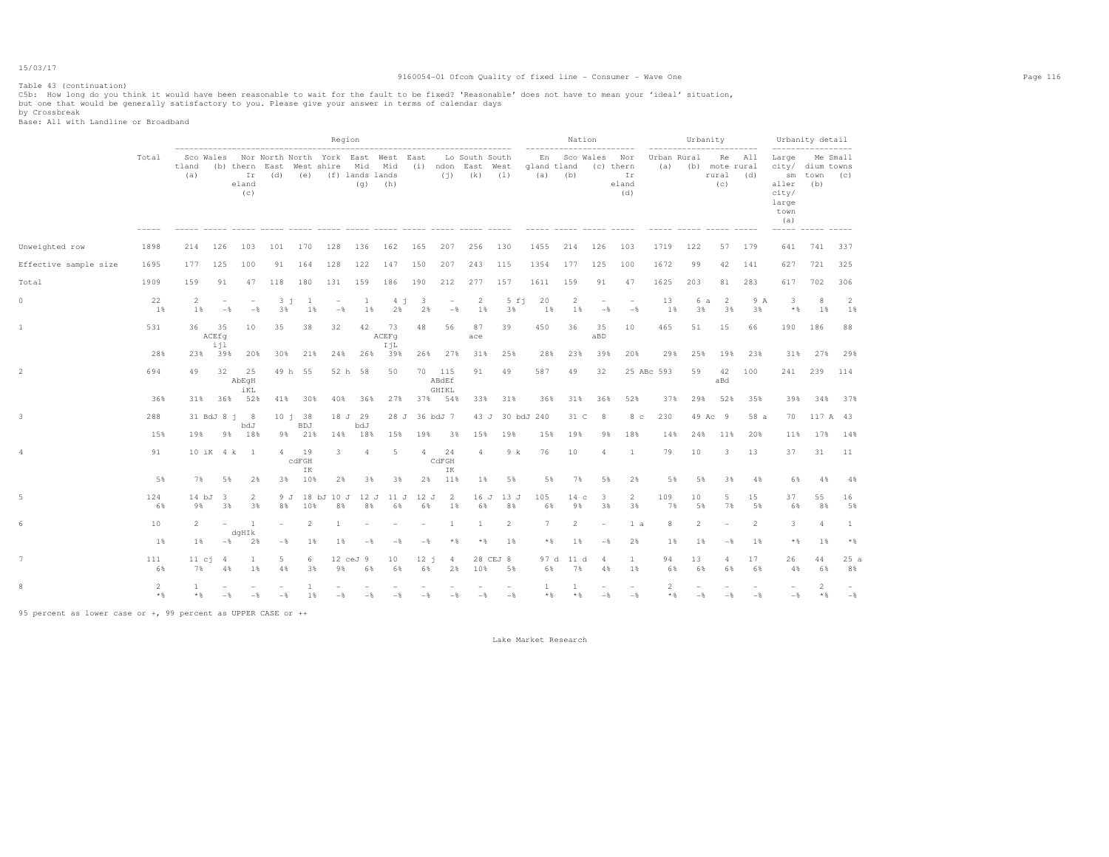### 9160054-01 Ofcom Quality of fixed line - Consumer - Wave One Page 116

C5b: How long do you think it would have been reasonable to wait for the fault to be fixed? 'Reasonable' does not have to mean your 'ideal' situation,<br>but one that would be generally satisfactory to you. Please give your

by Crossbreak Base: All with Landline or Broadband

Table 43 (continuation)

|                       |           |                     |                                    |                                   |                                                           |                          | Region                          |                |                      |                               |                                 |                               |                                                                  |                 | Nation                                              |                      |                                 |                         |                                         | Urbanity                                     |                |                                                                                          | Urbanity detail           |                                 |
|-----------------------|-----------|---------------------|------------------------------------|-----------------------------------|-----------------------------------------------------------|--------------------------|---------------------------------|----------------|----------------------|-------------------------------|---------------------------------|-------------------------------|------------------------------------------------------------------|-----------------|-----------------------------------------------------|----------------------|---------------------------------|-------------------------|-----------------------------------------|----------------------------------------------|----------------|------------------------------------------------------------------------------------------|---------------------------|---------------------------------|
|                       | Total     | tland<br>(a)        |                                    | eland<br>(c)                      | Sco Wales Wor North North York East West East<br>$Ir$ (d) |                          | (e) (f) lands lands             |                | $(q)$ (h)            |                               | (i)                             | Lo South South<br>$(k)$ $(1)$ | (b) thern East West shire Mid Mid (i) ndon East West gland tland | (a)             | ------------------------<br>En Sco Wales Nor<br>(b) |                      | (c) thern<br>Ir<br>eland<br>(d) | (a)                     | ------------------------<br>Urban Rural | Re All<br>(b) mote rural<br>rural (d)<br>(C) |                | -----------------<br>Large<br>city/ dium towns<br>aller<br>city/<br>large<br>town<br>(a) | sm town (c)<br>(b)        | Me Small                        |
| Unweighted row        | 1898      | 214                 | 126                                | 103                               | 101                                                       | 170                      | 128                             | 136            | 162                  | 165                           | 207                             | 256                           | 130                                                              | 1455            | 214                                                 | 126                  | 103                             | 1719                    | 122                                     |                                              | 57 179         | 641                                                                                      | 741 337                   |                                 |
| Effective sample size | 1695      | 177                 | 125                                | 100                               | 91                                                        | 164                      | 128                             | 122            | 147                  | 150                           | 207                             | 243                           | 115                                                              | 1354            | 177                                                 | 125                  | 100                             | 1672                    | 99                                      | 42                                           | 141            | 627                                                                                      | 721                       | 325                             |
| Total                 | 1909      | 159                 | 91                                 | 47                                | 118                                                       | 180                      | 131                             | 159            | 186                  | 190                           | 212                             | 277                           | 157                                                              | 1611            | 159                                                 | 91                   | 47                              | 1625                    | 203                                     | 81                                           | 283            | 617                                                                                      | 702                       | 306                             |
| 0                     | 22<br>1%  | 2<br>1%             | $\overline{\phantom{m}}$<br>$-$    | $\overline{\phantom{a}}$<br>$-$ 8 | $3 - i$<br>3%                                             | $\mathbf{1}$<br>$1\%$    | $\overline{\phantom{a}}$<br>$-$ | <b>1</b><br>1% | 4 <sub>1</sub><br>2% | $\overline{\mathbf{3}}$<br>2% | $\overline{\phantom{a}}$<br>$-$ | $\overline{2}$<br>1%          | $5 \text{ f}$ j<br>3%                                            | 20<br>1%        | $\overline{2}$<br>1%                                | $-$                  | $-$ 8                           | 13<br>1%                | 6 a<br>3%                               | 2<br>3%                                      | 9 A<br>3%      | 3<br>$*$ &                                                                               | 8<br>1%                   | $\overline{2}$<br>1%            |
| 1                     | 531       | 36                  | 35<br>ACEfq<br>iil                 | 10                                | 35                                                        | 38                       | 32                              | 42             | - 73<br>ACEFq<br>IjL | 48                            | 56                              | 87<br>ace                     | 39                                                               | 450             | 36                                                  | 35<br>aBD            | 10                              | 465                     | 51                                      | 15                                           | 66             | 190                                                                                      | 186                       | 88                              |
|                       | 28%       |                     | 23% 39%                            | 20%                               | 30%                                                       | 21%                      | 24%                             | 26%            | 39%                  |                               | 26% 27%                         | 31%                           | 25%                                                              | 28%             | 23%                                                 | 39%                  | 20%                             | 29%                     | 25%                                     | 19%                                          | 23%            | 31%                                                                                      | 27%                       | 29%                             |
|                       | 694       | 49                  | 32                                 | 25<br>AbEqH<br>iKL                |                                                           | 49 h 55                  |                                 | 52 h 58        | 50                   |                               | 70 115<br>ABdEf<br>GHIKL        | 91                            | 49                                                               | 587             | 49                                                  | 32                   |                                 | 25 ABc 593              | 59                                      | 42<br>aBd                                    | 100            | 241                                                                                      | 239                       | 114                             |
|                       | 36%       |                     |                                    | 31% 36% 52%                       |                                                           | 41% 30%                  | 40%                             | 36%            |                      |                               | 27% 37% 54%                     | 33%                           | 31%                                                              | 36%             | 31%                                                 | 36%                  | 52%                             | 37%                     | 29%                                     | 52%                                          | 35%            | 39%                                                                                      | 34%                       | 37%                             |
|                       | 288       |                     |                                    | 31 BdJ 8 i 8<br>bdJ               |                                                           | 10 i 38<br>BDJ           |                                 | 18 J 29<br>bdJ |                      | 28 J 36 bdJ 7                 |                                 |                               | 43 J 30 bdJ 240                                                  |                 | 31 C                                                | 8                    | 8 <sub>c</sub>                  | 230                     |                                         | 49 Ac 9                                      | 58 a           | 70                                                                                       | 117 A 43                  |                                 |
|                       | 15%       | 19%                 | 9%                                 | 18%                               |                                                           | 9% 21%                   | 14%                             | 18%            | 15%                  | 19%                           | 3%                              | 15%                           | 19%                                                              | 15%             | 19%                                                 | 9%                   | 18%                             | 14%                     | 24%                                     | 11%                                          | 20%            | 11%                                                                                      | 17%                       | 14%                             |
| 4                     | 91        |                     |                                    | 10 iK 4 k 1                       | 4                                                         | 19<br>$c$ d $FGH$<br>IK  | 3                               | $\overline{4}$ | 5                    | $\overline{4}$                | 24<br>CdFGH<br>IK               | $\overline{4}$                | 9 k                                                              | 76              | 10                                                  | $\overline{4}$       | 1                               | 79                      | 10                                      | 3                                            | 13             | 37                                                                                       | 31                        | 11                              |
|                       | 5%        | 7%                  | 5%                                 | 2%                                |                                                           | 3% 10%                   | 2%                              | 3%             | 3%                   |                               | 2% 11%                          | 1%                            | 5%                                                               | 5%              | 7%                                                  | 5%                   | 2%                              | 5%                      | 5%                                      | 3%                                           | 4%             | 6%                                                                                       | 4%                        | 4%                              |
|                       | 124<br>6% | $14$ bJ<br>9%       | - 3<br>3%                          | 2<br>3%                           | 9 J<br>8%                                                 | 10%                      | 18 bJ 10 J<br>8%                | 12 J<br>8%     | 11 J<br>6%           | 12 J<br>6%                    | 2<br>1%                         | 16 J<br>6%                    | 13 J<br>8%                                                       | 105<br>6%       | 14 <sub>c</sub><br>9%                               | 3<br>3%              | $\overline{2}$<br>3%            | 109<br>7%               | 10<br>5%                                | 5<br>7%                                      | 15<br>5%       | 37<br>6%                                                                                 | 55<br>8%                  | 16<br>5%                        |
|                       | 10        | $\overline{2}$      | $\sim$                             | 1<br>dqHIk                        | $\sim$                                                    | $\overline{\mathcal{L}}$ | 1                               |                |                      |                               | 1                               | -1                            | 2                                                                | $7\phantom{.0}$ | $\overline{2}$                                      |                      | 1 a                             | 8                       | $\overline{2}$                          |                                              | 2              | 3                                                                                        | $\Delta$                  | 1                               |
|                       | $1\%$     | $1\%$               | $-$ 8                              | 2%                                | $-$ %                                                     | 1%                       | 1%                              | $-$            | $-$                  | $-$                           | $\star$ &                       | $*$ &                         | 1%                                                               | $*$             | 1%                                                  | $-\frac{6}{5}$       | 2%                              | 1%                      | 1%                                      | $-\frac{6}{5}$                               | 1%             | $*$                                                                                      | $1\%$                     | $*$                             |
|                       | 111<br>6% | 7%                  | $11 \text{ c}$ $1 \text{ d}$<br>4% | 1<br>$1\%$                        | 5<br>4%                                                   | 6<br>3%                  | 9%                              | 12 ceJ 9<br>6% | 10<br>6%             | $12 - 1$<br>68                | 4<br>2%                         | 10%                           | 28 CEJ 8<br>5%                                                   | 97 d<br>6%      | 11 d<br>7%                                          | $\overline{4}$<br>4% | $\mathbf{1}$<br>$1\%$           | 94<br>6%                | 13<br>6%                                | 4<br>6%                                      | 17<br>6%       | 26<br>4%                                                                                 | 44<br>6%                  | 25a<br>8%                       |
| 8                     | 2<br>$*$  | $\mathbf{1}$<br>$*$ | $-$                                | $-$                               | $-$                                                       | $\mathbf{1}$<br>$1\%$    | $-$                             | $-$            | $-$                  | $-$                           | $-$                             | $-$                           | $-$                                                              | 1<br>$*$        | 1<br>$*$ &                                          | $-$                  | $\overline{\phantom{a}}$<br>$-$ | $\overline{2}$<br>$*$ & | $-\frac{6}{5}$                          | $-$                                          | $-\frac{6}{5}$ | $-\frac{6}{5}$                                                                           | $\mathbf{2}$<br>$\star$ & | $\overline{\phantom{a}}$<br>$-$ |

95 percent as lower case or +, 99 percent as UPPER CASE or ++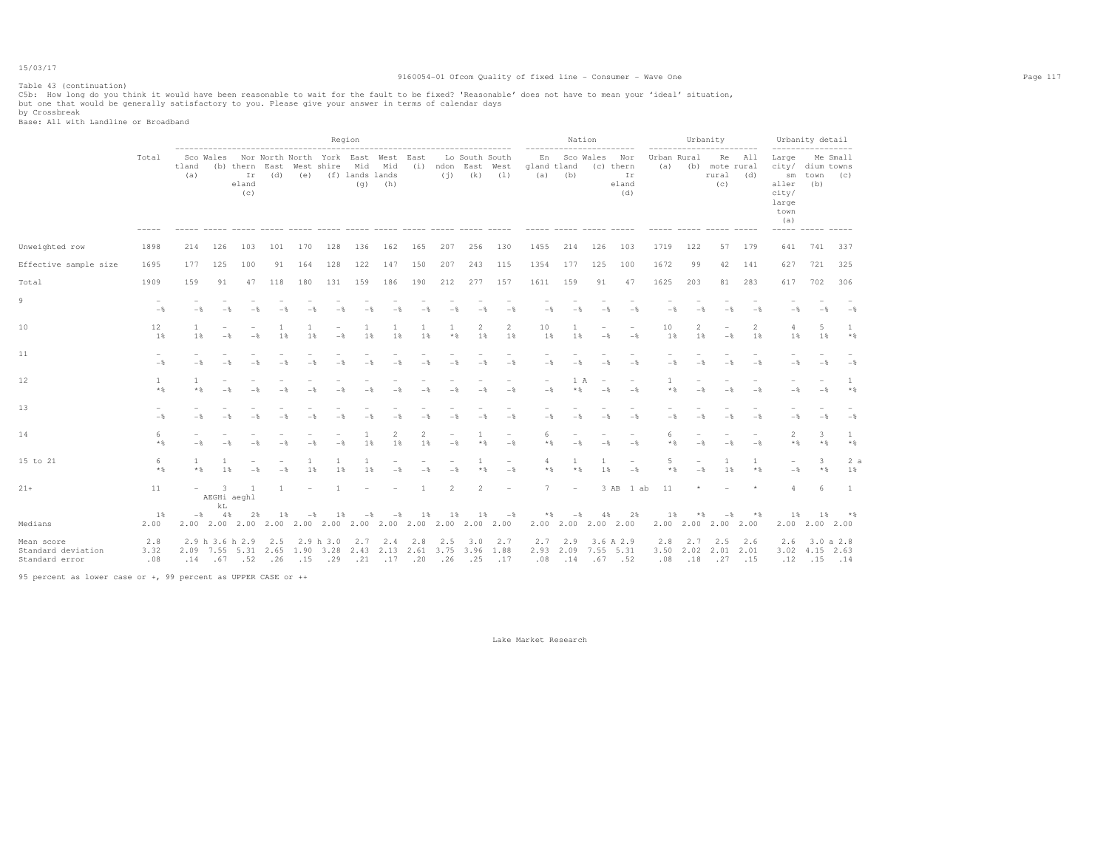### 9160054-01 Ofcom Quality of fixed line - Consumer - Wave One Page 117

C5b: How long do you think it would have been reasonable to wait for the fault to be fixed? 'Reasonable' does not have to mean your 'ideal' situation,<br>but one that would be generally satisfactory to you. Please give your

by Crossbreak Base: All with Landline or Broadband

Table 43 (continuation)

|                                                    |                                 |                     |                |                                                                               |                     |                                                          | Region           |                               | ----------------------------------- |                                 |                                 |                                             |                                 |                                                      | Nation                       |                                 |                                                                         |                    |                                 | Urbanity<br>------------------------                 |                                 |                                                                       | Urbanity detail<br>------------------ |                     |
|----------------------------------------------------|---------------------------------|---------------------|----------------|-------------------------------------------------------------------------------|---------------------|----------------------------------------------------------|------------------|-------------------------------|-------------------------------------|---------------------------------|---------------------------------|---------------------------------------------|---------------------------------|------------------------------------------------------|------------------------------|---------------------------------|-------------------------------------------------------------------------|--------------------|---------------------------------|------------------------------------------------------|---------------------------------|-----------------------------------------------------------------------|---------------------------------------|---------------------|
|                                                    | Total                           | tland<br>(a)        | Sco Wales      | -------------------------------------<br>(b) thern East<br>Ir<br>eland<br>(c) | (d)                 | Nor North North York East West East<br>West shire<br>(e) |                  | Mid<br>(f) lands lands<br>(q) | Mid<br>(h)<br>------ ----- -----    |                                 | (i)                             | Lo South South<br>(i) ndon East West<br>(k) | (1)<br>$- - - - -$              | ------------------------<br>En<br>gland tland<br>(a) | (b)                          | Sco Wales                       | Nor<br>(c) thern<br>Ir<br>eland<br>(d)<br>$\cdots \cdots \cdots \cdots$ | Urban Rural<br>(a) |                                 | Re<br>(b) mote rural<br>rural<br>(C)<br>------ ----- | All<br>(d)                      | Large<br>sm<br>aller<br>city/<br>large<br>town<br>(a)<br>------ ----- | city/ dium towns<br>town<br>(b)       | Me Small<br>(c)     |
| Unweighted row                                     | 1898                            | 214                 | 126            | 103                                                                           | 101                 | 170                                                      | 128              | 136                           | 162                                 | 165                             | 207                             | 256                                         | 130                             | 1455                                                 | 214                          | 126                             | 103                                                                     | 1719               | 122                             | 57                                                   | 179                             | 641                                                                   | 741                                   | 337                 |
| Effective sample size                              | 1695                            | 177                 | 125            | 100                                                                           | 91                  | 164                                                      | 128              | 122                           | 147                                 | 150                             | 207                             | 243                                         | 115                             | 1354                                                 | 177                          | 125                             | 100                                                                     | 1672               | 99                              | 42                                                   | 141                             | 627                                                                   | 721                                   | 325                 |
| Total                                              | 1909                            | 159                 | 91             | 47                                                                            | 118                 | 180                                                      | 131              | 159                           | 186                                 | 190                             | 212                             | 277                                         | 157                             | 1611                                                 | 159                          | 91                              | 47                                                                      | 1625               | 203                             | 81                                                   | 283                             | 617                                                                   | 702                                   | 306                 |
| 9                                                  | $\overline{\phantom{a}}$<br>$-$ | $-$                 | $-\frac{6}{5}$ | $-\frac{6}{25}$                                                               |                     | $-$                                                      | $-\frac{6}{5}$   | $-$                           | $-$                                 | $-$                             | $-$                             | $-$                                         | $-$                             | $-$                                                  | $-$                          | $-$                             | $-$                                                                     | $-$                | $-$                             | $-$                                                  | $-$                             | $-$                                                                   | $-$                                   | $-$                 |
| 10                                                 | 12<br>1%                        | 1<br>1 %            | $-$            | $-$                                                                           | $\mathbf{1}$<br>1 % | -1<br>1 %                                                | $-$              | 1%                            | $\mathbf{1}$<br>1%                  | 1 %                             | $*$ &                           | 2<br>1%                                     | 2<br>1%                         | 10<br>1%                                             | 1<br>1%                      | $-$                             | $-\frac{6}{6}$                                                          | 10<br>1%           | $\overline{2}$<br>1 %           | $-$                                                  | $\overline{2}$<br>1%            | 4<br>1%                                                               | 5<br>1 %                              | 1.<br>$*$ %         |
| 11                                                 | $-$                             | $-$                 | $-\frac{6}{5}$ | $-\frac{6}{25}$                                                               |                     | $-8$                                                     | $-$              | $-$                           | $-$                                 | $-$                             | $-$                             | $-$                                         | $-$                             | $-$                                                  | $-$                          | $-\frac{6}{3}$                  | $-$                                                                     | $-$                | $-$                             | $-$                                                  | $-$                             | $-$                                                                   | $-$                                   | $-$                 |
| 12                                                 | $\mathbf{1}$<br>$*$             | $\mathbf{1}$<br>$*$ |                |                                                                               |                     |                                                          |                  |                               |                                     |                                 |                                 | $-\frac{6}{25}$                             | $-$                             | $\overline{\phantom{a}}$<br>$-\frac{6}{5}$           | 1 A<br>$*$                   | $\overline{\phantom{a}}$<br>$-$ | $\overline{\phantom{a}}$<br>$-$                                         | 1<br>$*$ &         | $\overline{\phantom{0}}$<br>$-$ | $-\frac{6}{2}$                                       | $\overline{\phantom{a}}$<br>$-$ | $-\frac{6}{5}$                                                        | $-$                                   | 1<br>$*$            |
| 13                                                 | $-\frac{6}{5}$                  | $-$                 | $-\frac{6}{5}$ | $-$                                                                           | $-$                 | $-$                                                      | $-$              | $-$                           | $-$                                 | $-$                             | $-$                             | $-$                                         | $-$                             | $-$                                                  | $-$                          | $-$                             | $-$                                                                     | $-$                | $-$                             | $-$                                                  | $-$                             | $-$                                                                   | $-\frac{6}{5}$                        | $-$                 |
| 14                                                 | 6<br>$*$ &                      |                     |                |                                                                               |                     | $-$                                                      | $-$              | 1%                            | 2<br>1%                             | $\overline{2}$<br>1%            | $-$                             | 1<br>$*$ %                                  | $\sim$<br>$-$                   | 6<br>$*$ &                                           | $-$                          | $-\frac{6}{3}$                  | $-\frac{6}{5}$                                                          | 6<br>$*$ &         | $-$                             | $-$                                                  | $-$                             | $\overline{2}$<br>$*$ &                                               | 3<br>$*$ &                            | $\mathbf{1}$<br>$*$ |
| 15 to 21                                           | 6<br>$*$ &                      | 1<br>$*$ &          | 1<br>1%        | $-\frac{6}{25}$                                                               | $-$                 | 1<br>1%                                                  | 1<br>1           | 1<br>1%                       | $\overline{\phantom{a}}$<br>$-$     | $\overline{\phantom{a}}$<br>$-$ | $\overline{\phantom{a}}$<br>$-$ | -1<br>$*$ &                                 | $\overline{\phantom{a}}$<br>$-$ | 4<br>$*$ &                                           | 1<br>$*$ &                   | 1<br>1%                         | $\overline{\phantom{a}}$<br>$-\frac{6}{5}$                              | 5<br>$*$ &         | $\overline{\phantom{0}}$<br>$-$ | 1<br>1%                                              | 1<br>$*$                        | $\overline{\phantom{a}}$<br>$-\frac{6}{5}$                            | 3<br>$*$ &                            | 2a<br>1%            |
| $21+$                                              | 11                              | $\overline{a}$      | 3<br>kL        | -1<br>AEGHi aeghl                                                             | $\mathbf{1}$        |                                                          | 1                |                               |                                     |                                 | $\overline{2}$                  | $\overline{2}$                              | ۰                               | 7                                                    | $\overline{\phantom{m}}$     |                                 | 3 AB<br>1 ab                                                            | 11                 | $\star$                         |                                                      | $\star$                         | $\Delta$                                                              | -6                                    | -1                  |
| Medians                                            | $1\%$<br>2.00                   | $ \frac{8}{3}$      | 4%             | 2%                                                                            | 1%                  | $-$                                                      | 18               | $-$                           | $-$                                 | 1%                              | 1%                              | 1%                                          | $-$ %                           | $*$                                                  | $-$ %<br>2.00 2.00 2.00 2.00 | $4\%$                           | 2%                                                                      | 1%                 | $*$ $\frac{6}{5}$               | $-$ %<br>2.00 2.00 2.00 2.00                         | $*$ &                           | $1\%$                                                                 | $1\%$<br>$2.00$ $2.00$ $2.00$         | $*$ &               |
| Mean score<br>Standard deviation<br>Standard error | 2.8<br>3.32<br>.08              |                     |                | 2.9 h 3.6 h 2.9<br>2.09 7.55 5.31 2.65 1.90 3.28<br>$.14 \t .67 \t .52$       | 2.5<br>.26          | .15                                                      | 2.9 h 3.0<br>.29 | 2.7<br>.21                    | 2.4<br>2.43 2.13 2.61<br>.17        | 2.8<br>.20                      | 2.5<br>.26                      | 3.0<br>3.75 3.96 1.88<br>.25                | 2.7<br>.17                      | 2.7<br>2.932.09<br>.08                               | 2.9<br>.14                   | 7.55<br>$.67 - .52$             | 3.6 A 2.9<br>5.31                                                       | 2.8<br>3.50<br>.08 | 2.7<br>2.02<br>.18              | 2.5<br>2.01<br>$.27 - .15$                           | 2.6<br>2.01                     | 2.6<br>$3.02$ 4.15<br>.12                                             | 3.0 a 2.8<br>.15                      | 2.63<br>.14         |

95 percent as lower case or +, 99 percent as UPPER CASE or ++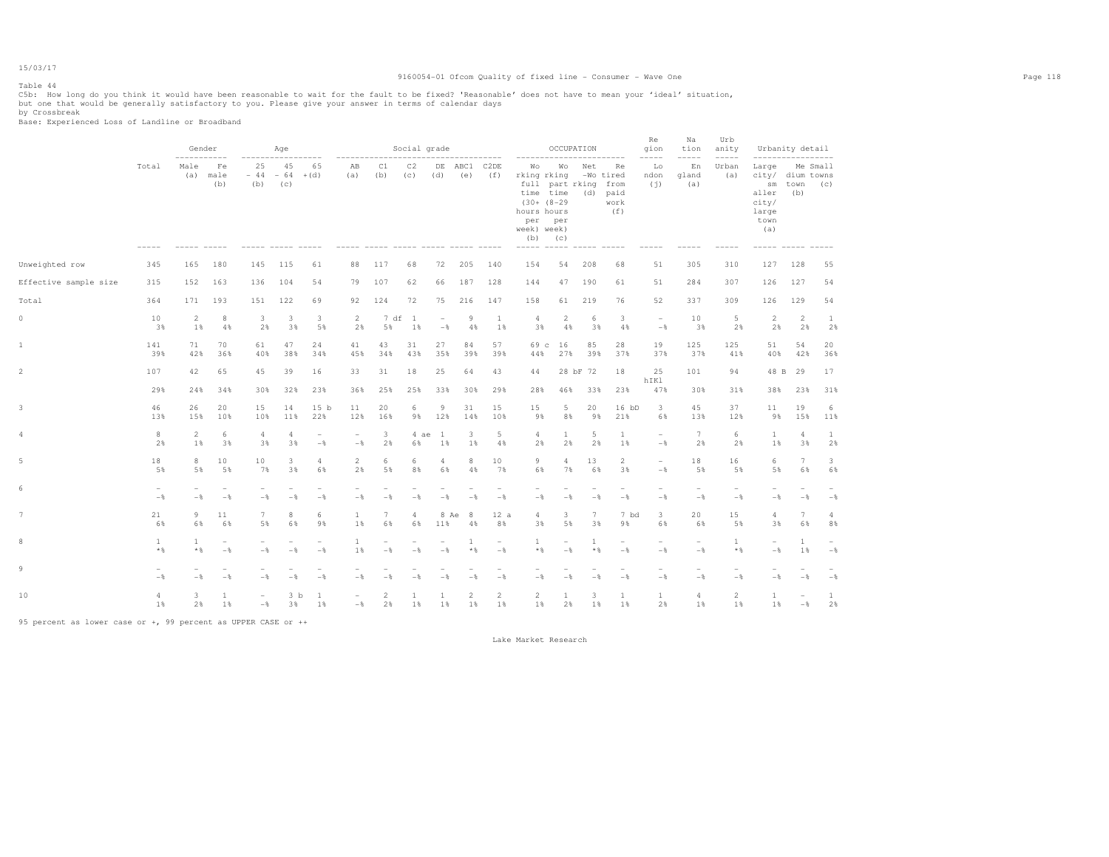15/03/17 Table 44

### 9160054-01 Ofcom Quality of fixed line - Consumer - Wave One Page 118

C5b: How long do you think it would have been reasonable to wait for the fault to be fixed? 'Reasonable' does not have to mean your 'ideal' situation,<br>but one that would be generally satisfactory to you. Please give your a

|                       |                                            | Gender                          |                                            |                                   | Age                             |                                            |                                   |                                 | Social grade         |                                            |                      |                                 | ---------                                                                    | OCCUPATION                                      |                                 | ---------                                          | <b>Re</b><br>gion<br>-----                 | Na<br>tion<br>$--- - - -$                  | Urb<br>anity<br>$--- - - -$     | -----------------                                                            | Urbanity detail                            |                    |
|-----------------------|--------------------------------------------|---------------------------------|--------------------------------------------|-----------------------------------|---------------------------------|--------------------------------------------|-----------------------------------|---------------------------------|----------------------|--------------------------------------------|----------------------|---------------------------------|------------------------------------------------------------------------------|-------------------------------------------------|---------------------------------|----------------------------------------------------|--------------------------------------------|--------------------------------------------|---------------------------------|------------------------------------------------------------------------------|--------------------------------------------|--------------------|
|                       | Total                                      | Male<br>(a)                     | Fe<br>male<br>(b)                          | 25<br>$-44$<br>(b)                | 45<br>$-64 + (d)$<br>(C)        | 65                                         | AB<br>(a)                         | C1<br>(b)                       | C2<br>(C)            | (d)                                        | DE ABC1<br>(e)       | C2DE<br>(f)                     | Wо<br>rking rking<br>time time<br>$(30+ (8-29$<br>hours hours<br>week) week) | Wо<br>full part rking<br>per per<br>$(b)$ $(c)$ | Net                             | Re<br>-Wo tired<br>from<br>(d) paid<br>work<br>(f) | Lo<br>ndon<br>(i)                          | En<br>gland<br>(a)                         | Urban<br>(a)                    | Large Me Small<br>city/ dium towns<br>aller<br>city/<br>large<br>town<br>(a) | sm town<br>(b)                             | (C)                |
| Unweighted row        | 345                                        | 165                             | 180                                        | 145                               | 115                             | 61                                         | 88                                | 117                             | 68                   | 72                                         | 205                  | 140                             | 154                                                                          | 54                                              | 208                             | 68                                                 | 51                                         | 305                                        | 310                             | 127                                                                          | 128                                        | 55                 |
| Effective sample size | 315                                        | 152                             | 163                                        | 136                               | 104                             | 54                                         | 79                                | 107                             | 62                   | 66                                         | 187                  | 128                             | 144                                                                          | 47                                              | 190                             | 61                                                 | 51                                         | 284                                        | 307                             | 126                                                                          | 127                                        | 54                 |
| Total                 | 364                                        | 171                             | 193                                        | 151                               | 122                             | 69                                         | 92                                | 124                             | 72                   | 75                                         | 216                  | 147                             | 158                                                                          | 61                                              | 219                             | 76                                                 | 52                                         | 337                                        | 309                             | 126                                                                          | 129                                        | 54                 |
| $\circ$               | 10<br>3%                                   | $\overline{2}$<br>1%            | 8<br>4%                                    | 3<br>2%                           | 3<br>3%                         | 3<br>5%                                    | $\overline{2}$<br>2%              | 7 df<br>5%                      | $\overline{1}$<br>1% | $\overline{\phantom{a}}$<br>$-\frac{6}{5}$ | 9<br>4%              | $\mathbf{1}$<br>1%              | $\overline{4}$<br>3%                                                         | $\overline{2}$<br>4%                            | 6<br>3%                         | $\overline{\mathbf{3}}$<br>4%                      | $\overline{\phantom{a}}$<br>$-\frac{6}{6}$ | 10<br>3%                                   | 5<br>2%                         | $\overline{2}$<br>2%                                                         | 2<br>2%                                    | $\mathbf{1}$<br>2% |
| 1                     | 141<br>39%                                 | 71<br>42%                       | 70<br>36%                                  | 61<br>40%                         | 47<br>38%                       | 24<br>34%                                  | 41<br>45%                         | 43<br>34%                       | 31<br>43%            | 27<br>35%                                  | 84<br>39%            | 57<br>39%                       | 69 c<br>44%                                                                  | 16<br>27%                                       | 85<br>39%                       | 28<br>37%                                          | 19<br>37%                                  | 125<br>37%                                 | 125<br>41%                      | 51<br>40%                                                                    | 54<br>42%                                  | 20<br>36%          |
| $\overline{a}$        | 107                                        | 42                              | 65                                         | 45                                | 39                              | 16                                         | 33                                | 31                              | 18                   | 25                                         | 64                   | 43                              | 44                                                                           |                                                 | 28 bF 72                        | 18                                                 | 25<br>hIKl                                 | 101                                        | 94                              |                                                                              | 48 B 29                                    | 17                 |
|                       | 29%                                        | 24%                             | 34%                                        | 30%                               | 32%                             | 23%                                        | 36%                               | 25%                             | 25%                  | 33%                                        | 30%                  | 29%                             | 28%                                                                          | 46%                                             | 33%                             | 23%                                                | 47%                                        | 30%                                        | 31%                             | 38%                                                                          | 23%                                        | 31%                |
| 3                     | 46<br>13%                                  | 26<br>15%                       | 20<br>10%                                  | 15<br>10%                         | 14<br>11%                       | 15 <sub>b</sub><br>22%                     | 11<br>12%                         | 20<br>16%                       | 6<br>9%              | 9<br>12%                                   | 31<br>14%            | 15<br>10%                       | 15<br>9%                                                                     | 5<br>8%                                         | 20<br>9%                        | $16$ bD<br>21%                                     | $\overline{3}$<br>6%                       | 45<br>13%                                  | 37<br>12%                       | 11<br>9%                                                                     | 19<br>15%                                  | 6<br>11%           |
| 4                     | 8<br>2%                                    | $\overline{2}$<br>1%            | 6<br>3%                                    | 4<br>3%                           | $\overline{4}$<br>3%            | $\overline{\phantom{0}}$<br>$-\frac{6}{5}$ | $\sim$<br>$-$                     | 3<br>2%                         | 4 ae<br>6%           | <sup>1</sup><br>1%                         | 3<br>1%              | 5<br>4%                         | $\overline{4}$<br>2%                                                         | $\mathbf{1}$<br>2%                              | 5<br>2%                         | $\mathbf{1}$<br>1%                                 | $\overline{\phantom{a}}$<br>$-\frac{6}{6}$ | $7\overline{ }$<br>2%                      | 6<br>2%                         | $\mathbf{1}$<br>1%                                                           | $\overline{4}$<br>3%                       | $\mathbf{1}$<br>2% |
| 5                     | 18<br>5%                                   | 8<br>5%                         | 10<br>5%                                   | 10<br>7%                          | 3<br>3%                         | $\overline{4}$<br>6%                       | 2<br>2%                           | 6<br>5%                         | 6<br>8%              | 4<br>6%                                    | 8<br>4%              | 10<br>7%                        | 9<br>6%                                                                      | 4<br>7%                                         | 13<br>6%                        | $\overline{2}$<br>3%                               | $\overline{\phantom{a}}$<br>$-$ 8          | 18<br>5%                                   | 16<br>5%                        | 6<br>5%                                                                      | $7\phantom{.0}$<br>6%                      | 3<br>6%            |
|                       | $\overline{\phantom{a}}$<br>$-\frac{6}{5}$ | $\overline{\phantom{a}}$<br>$-$ | $\overline{\phantom{a}}$<br>$-$            | $\sim$<br>$-$                     | $-$                             | $\overline{\phantom{0}}$<br>$-\frac{6}{5}$ | $\overline{\phantom{0}}$<br>$-$   | $-\frac{6}{5}$                  | $-$                  | $-$                                        | $-$                  | $\sim$<br>$-$                   | $\overline{\phantom{0}}$<br>$-$                                              | $-$                                             | $\overline{\phantom{a}}$<br>$-$ | $\overline{\phantom{0}}$<br>$-$                    | $\sim$<br>$-\frac{6}{5}$                   | $\overline{\phantom{a}}$<br>$-\frac{6}{5}$ | $\overline{\phantom{a}}$<br>$-$ | $\overline{\phantom{a}}$<br>$-\frac{6}{6}$                                   | $\overline{\phantom{a}}$<br>$-\frac{6}{5}$ | $-$                |
|                       | 21<br>6%                                   | 9<br>6%                         | 11<br>6%                                   | $7\phantom{.0}$<br>5%             | 8<br>6%                         | 6<br>9%                                    | 1<br>1%                           | 7<br>6%                         | 4<br>6%              | 11%                                        | 8 Ae<br>- 8<br>4%    | 12a<br>8%                       | 4<br>3%                                                                      | 3<br>5%                                         | 7<br>3%                         | 7 bd<br>9%                                         | $3 -$<br>6%                                | 20<br>6%                                   | 15<br>5%                        | 4<br>3%                                                                      | $7\phantom{.0}$<br>6%                      | 4<br>8%            |
|                       | 1<br>$*$ %                                 | $\mathbf{1}$<br>$*$ &           | $\overline{\phantom{a}}$<br>$-\frac{6}{6}$ | $\overline{\phantom{a}}$<br>$-$   | $\overline{\phantom{a}}$<br>$-$ | ۰<br>$-$                                   | 1<br>1%                           | $\overline{\phantom{a}}$<br>$-$ | $-$                  | $\overline{\phantom{a}}$<br>$-$            | 1<br>$*$ %           | $\overline{\phantom{0}}$<br>$-$ | 1<br>$*$ %                                                                   | $\overline{\phantom{m}}$<br>$-$                 | 1<br>**                         | $\overline{\phantom{m}}$<br>$-$ %                  | $\overline{\phantom{a}}$<br>$-$            | $-$                                        | <sup>1</sup><br>$*$ %           | $\sim$<br>$-$                                                                | <sup>1</sup><br>1%                         | $-\frac{6}{6}$     |
| 9                     | $-$                                        | $-$                             | $\overline{\phantom{a}}$<br>$-$            | $-$                               | $-$                             | $-$                                        | $-$                               | $-$                             | $-$                  | $-$                                        | $-$                  | $-$                             | $-$                                                                          | $-$                                             | $-$                             | $-$ %                                              | $\overline{\phantom{a}}$<br>$-$            | $\overline{\phantom{a}}$<br>$-$            | ۰<br>$-$                        | $\overline{\phantom{a}}$<br>$-$                                              | $-$                                        | $-\frac{6}{6}$     |
| 10                    | 4<br>1%                                    | 3<br>2%                         | $\mathbf{1}$<br>1%                         | $\overline{\phantom{a}}$<br>$-\,$ | 3 <sub>b</sub><br>3%            | <b>1</b><br>1%                             | $\overline{\phantom{a}}$<br>$-\,$ | $\overline{c}$<br>2%            | 1<br>1%              | 1<br>1%                                    | $\overline{2}$<br>1% | $\overline{2}$<br>1%            | $\overline{2}$<br>1%                                                         | $\mathbf{1}$<br>2%                              | 3<br>1%                         | $\mathbf{1}$<br>1%                                 | $\mathbf{1}$<br>2%                         | $\overline{4}$<br>1%                       | $\overline{2}$<br>1%            | $\mathbf{1}$<br>1%                                                           | $\overline{\phantom{a}}$<br>$-\frac{6}{6}$ | $\mathbf{1}$<br>2% |

95 percent as lower case or +, 99 percent as UPPER CASE or ++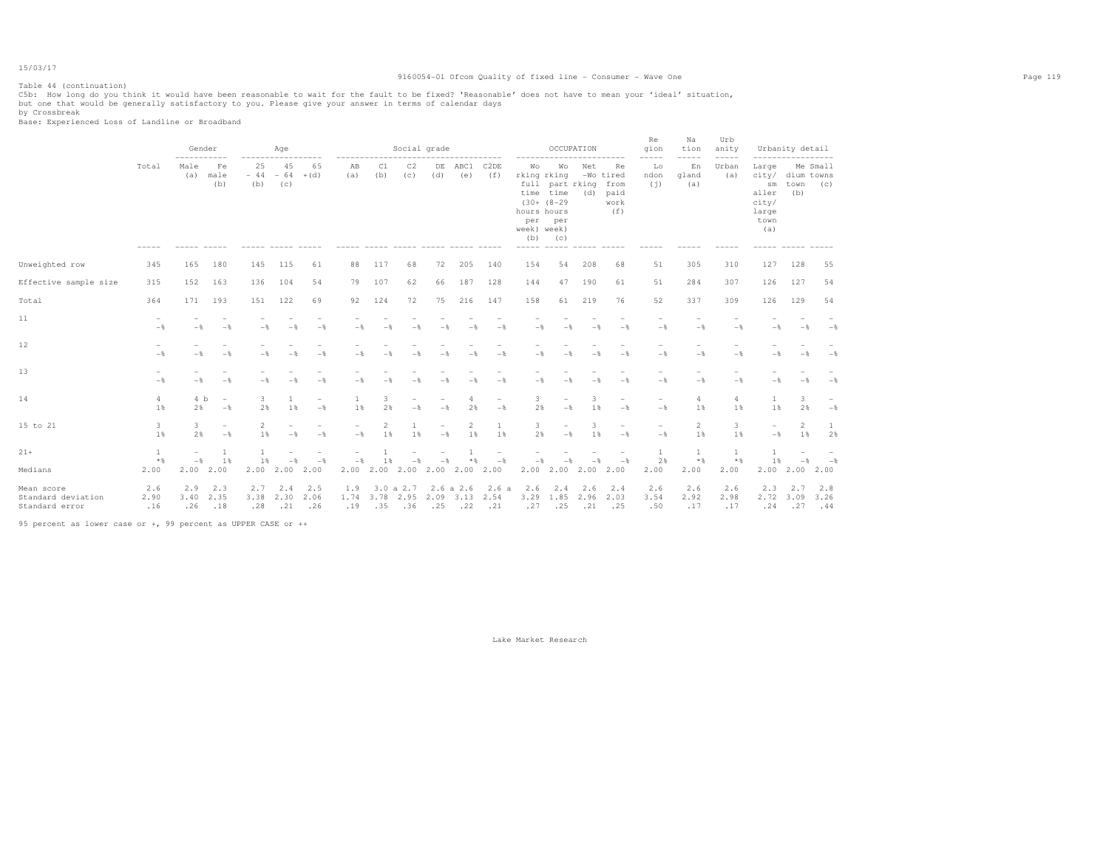### 9160054-01 Ofcom Quality of fixed line - Consumer - Wave One Page 119

Table 44 (continuation) C5b: How long do you think it would have been reasonable to wait for the fault to be fixed? 'Reasonable' does not have to mean your 'ideal' situation,<br>but one that would be generally satisfactory to you. Please give your

by Crossbreak Base: Experienced Loss of Landline or Broadband

|                                                    |                                   | Gender<br>-----------    |                                            | $------$           | Age                      |                                 |                      |                          | Social grade                |                |                          |                                                   |                                                                           |                                                                                  | OCCUPATION         | ----------                                     | Re<br>gion<br>$--- - - -$                  | Na<br>tion<br>$--- - - -$ | Urb<br>anity<br>$--- - - -$ | -----------------                                                         | Urbanity detail |                    |
|----------------------------------------------------|-----------------------------------|--------------------------|--------------------------------------------|--------------------|--------------------------|---------------------------------|----------------------|--------------------------|-----------------------------|----------------|--------------------------|---------------------------------------------------|---------------------------------------------------------------------------|----------------------------------------------------------------------------------|--------------------|------------------------------------------------|--------------------------------------------|---------------------------|-----------------------------|---------------------------------------------------------------------------|-----------------|--------------------|
|                                                    | Total                             | Male<br>(a)              | Fe<br>male<br>(b)                          | 25<br>$-44$<br>(b) | 45<br>$-64 + (d)$<br>(C) | 65                              | ------<br>AB<br>(a)  | C1<br>(b)                | C2<br>(c)                   | (d)            | DE ABC1<br>(e)           | ---------<br>C <sub>2</sub> D <sub>E</sub><br>(f) | --------<br>Wо<br>hours hours<br>per<br>week) week)<br>(b)<br>$- - - - -$ | Wо<br>rking rking<br>full part rking<br>time time<br>$(30+ (8-29)$<br>per<br>(C) | Net<br>(d)         | Re<br>-Wo tired<br>from<br>paid<br>work<br>(f) | Lo<br>ndon<br>(i)                          | En<br>gland<br>(a)        | Urban<br>(a)                | Large<br>city/ dium towns<br>sm<br>aller<br>city/<br>large<br>town<br>(a) | town<br>(b)     | Me Small<br>(C)    |
| Unweighted row                                     | 345                               | 165                      | 180                                        | 145                | 115                      | 61                              | 88                   | 117                      | 68                          | 72             | 205                      | 140                                               | 154                                                                       | 54                                                                               | 208                | 68                                             | 51                                         | 305                       | 310                         | 127                                                                       | 128             | 55                 |
| Effective sample size                              | 315                               | 152                      | 163                                        | 136                | 104                      | 54                              | 79                   | 107                      | 62                          | 66             | 187                      | 128                                               | 144                                                                       | 47                                                                               | 190                | 61                                             | 51                                         | 284                       | 307                         | 126                                                                       | 127             | 54                 |
| Total                                              | 364                               | 171                      | 193                                        | 151                | 122                      | 69                              | 92                   | 124                      | 72                          | 75             | 216                      | 147                                               | 158                                                                       | 61                                                                               | 219                | 76                                             | 52                                         | 337                       | 309                         | 126                                                                       | 129             | 54                 |
| 11                                                 | $\qquad \qquad$<br>$-\frac{6}{5}$ | $-$                      | $-$                                        | $-\frac{6}{5}$     | $-$                      | $-\frac{6}{6}$                  | $-$                  |                          | $-$                         | $-\frac{6}{9}$ | $-$                      | $-\frac{6}{5}$                                    | $-$                                                                       | $-$                                                                              | $-\frac{6}{5}$     | $-\frac{6}{5}$                                 | $\overline{\phantom{a}}$<br>$-\frac{6}{5}$ | $-\frac{6}{5}$            | $-\frac{6}{5}$              | $-$                                                                       | $-$             | $-\frac{6}{5}$     |
| 12 <sub>2</sub>                                    | $\overline{\phantom{0}}$<br>$-$   | $-$                      | $-\frac{6}{5}$                             | $-$                | $-$                      | $-$                             | $-$                  |                          | $-$                         | $-$            | $-$                      | $-$                                               | $-$                                                                       | $-\frac{6}{2}$                                                                   | $-\frac{6}{5}$     | $-$                                            | $-$                                        | $-$                       | $-$                         | $-$                                                                       | $-$             | $-\frac{6}{5}$     |
| 13                                                 | $-\frac{6}{5}$                    | $-$                      | $-$                                        | $-$                | $-$                      | $-$                             | $-$                  | $-$                      | $-$                         | $-$            | $-$                      | $-$                                               | $-$                                                                       | $-$                                                                              | $-$                | $-$                                            | $-\frac{6}{5}$                             | $-\frac{6}{5}$            | $-\frac{6}{5}$              | $-$                                                                       | $-$             | $-\frac{6}{5}$     |
| 14                                                 | $\overline{4}$<br>1%              | 4 <sub>b</sub><br>2%     | $\overline{\phantom{a}}$<br>$-\frac{6}{5}$ | 3.<br>2%           | $\mathbf{1}$<br>1%       | ۰<br>$-\frac{6}{5}$             | 1<br>1%              | 3<br>2%                  | $-\frac{6}{5}$              | $-$            | 4<br>2%                  | $\overline{\phantom{a}}$<br>$-$                   | 3<br>2%                                                                   | $\overline{\phantom{0}}$<br>$-\frac{6}{5}$                                       | 3<br>1%            | $\overline{\phantom{a}}$<br>$-$                | $\overline{\phantom{0}}$<br>$-$            | 4<br>1%                   | $\overline{4}$<br>1%        | 1<br>1%                                                                   | 3<br>2%         | $-$                |
| 15 to 21                                           | 3<br>1%                           | 3<br>2%                  | $\overline{\phantom{a}}$<br>$-$            | 2<br>1%            | $-$                      | $\overline{\phantom{a}}$<br>$-$ | $-$                  | 2<br>1%                  | 1%                          | $-\frac{6}{6}$ | 2<br>1%                  | $\mathbf{1}$<br>1%                                | 3<br>2%                                                                   | $\overline{\phantom{0}}$<br>$-\frac{6}{5}$                                       | 3<br>1%            | ۰<br>$-\frac{6}{5}$                            | $\overline{\phantom{a}}$<br>$-\frac{6}{5}$ | 2<br>1%                   | 3<br>1%                     | $\overline{\phantom{a}}$<br>$-\frac{6}{6}$                                | 2<br>1%         | 2%                 |
| $21 +$                                             | <sup>1</sup>                      | $\overline{\phantom{a}}$ | -1                                         | $\mathbf{1}$       |                          |                                 |                      |                          |                             |                |                          | $\overline{\phantom{m}}$                          |                                                                           |                                                                                  |                    |                                                | $\mathbf{1}$                               | 1                         | $\mathbf{1}$                | $\mathbf{1}$                                                              |                 |                    |
| Medians                                            | $*$ %<br>2.00                     | $-$<br>2.00              | 1%<br>2.00                                 | 1%<br>2.00         | $-$<br>2.00              | $-$<br>2.00                     | $-$<br>$2.00$ $2.00$ | 1 %                      | $-\frac{6}{5}$<br>2.00 2.00 | $-$            | * %<br>2.00              | $-\frac{6}{3}$<br>2.00                            | $-$<br>2.00                                                               | 2.00                                                                             | 2.00               | $-$<br>2.00                                    | 2%<br>2.00                                 | $*$ &<br>2.00             | $*$ %<br>2.00               | 1 %<br>2.00                                                               | $-$<br>2.00     | $-$ 8<br>2.00      |
| Mean score<br>Standard deviation<br>Standard error | 2.6<br>2.90<br>.16                | 2.9<br>3.40<br>.26       | 2.3<br>2.35<br>.18                         | 2.7<br>3.38<br>.28 | 2.4<br>2.30<br>.21       | 2.5<br>2.06<br>.26              | 1.9<br>1.74<br>.19   | 3.0 a 2.7<br>3.78<br>.35 | 2.95<br>.36                 | 2.09<br>.25    | 2.6 a 2.6<br>3.13<br>.22 | 2.6a<br>2.54<br>.21                               | 2.6<br>3.29<br>.27                                                        | 2.4<br>1.85<br>.25                                                               | 2.6<br>2.96<br>.21 | 2.4<br>2.03<br>.25                             | 2.6<br>3.54<br>.50                         | 2.6<br>2.92<br>.17        | 2.6<br>2.98<br>.17          | 2.3<br>2.72 3.09<br>.24                                                   | 2.7<br>.27      | 2.8<br>3.26<br>.44 |

95 percent as lower case or +, 99 percent as UPPER CASE or ++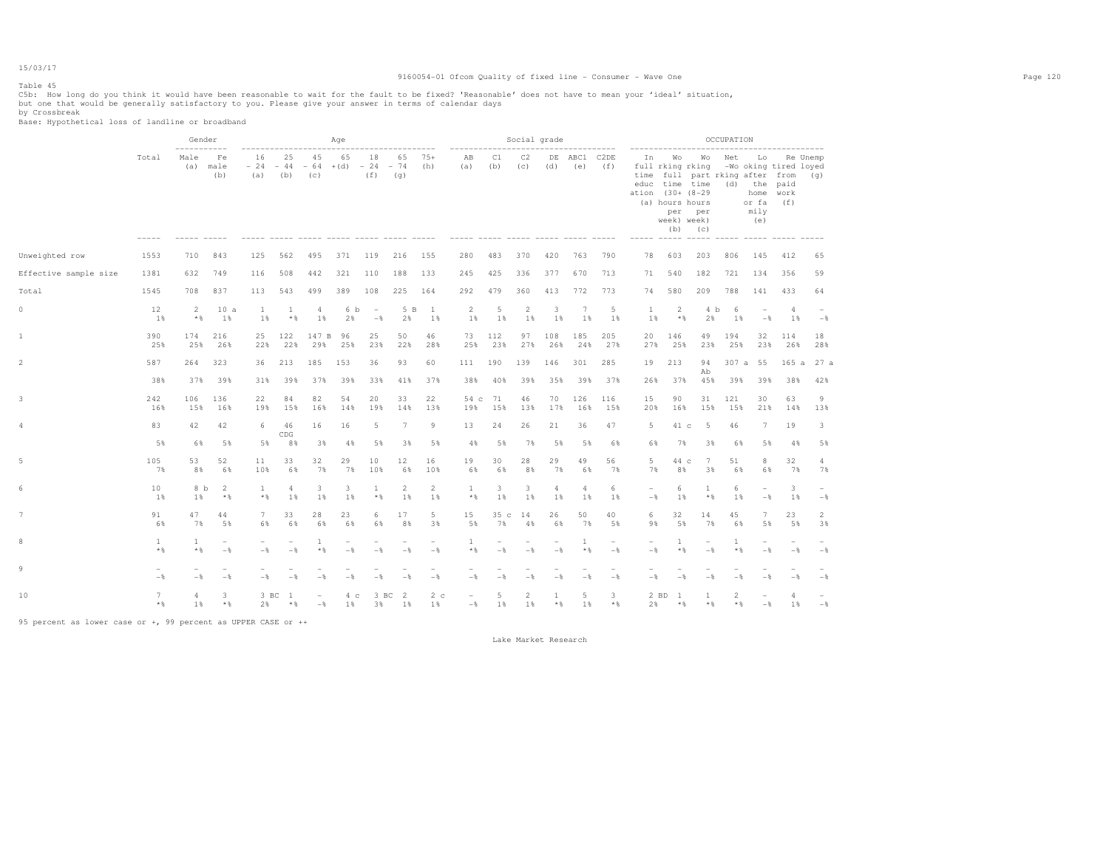#### Table 45

### 9160054-01 Ofcom Quality of fixed line - Consumer - Wave One Page 120

C5b: How long do you think it would have been reasonable to wait for the fault to be fixed? 'Reasonable' does not have to mean your 'ideal' situation,<br>but one that would be generally satisfactory to you. Please give your a

|                       |                                 | Gender<br>-----------    |                                            |                          |                                 |                                     | Age                   |                                 | -----------------               |                      | -------------                                    |            | Social grade         |                                 | -------------                   |                                 |                                              |                                                                                   |                                                                     | OCCUPATION                        |                                 |                                                                   |                      |
|-----------------------|---------------------------------|--------------------------|--------------------------------------------|--------------------------|---------------------------------|-------------------------------------|-----------------------|---------------------------------|---------------------------------|----------------------|--------------------------------------------------|------------|----------------------|---------------------------------|---------------------------------|---------------------------------|----------------------------------------------|-----------------------------------------------------------------------------------|---------------------------------------------------------------------|-----------------------------------|---------------------------------|-------------------------------------------------------------------|----------------------|
|                       | Total                           | Male<br>(a)              | Fe<br>male<br>(b)                          | 16<br>$-24$<br>(a)       | 25<br>$-44$<br>(b)              | 45<br>$-64$ + (d) $-24$ - 74<br>(C) | 65                    | 18<br>(f)                       | 65<br>(q)                       | $75+$<br>(h)         | AB<br>(a)<br>----- ----- ----- ----- ----- ----- | C1<br>(b)  | C2<br>(C)            | (d)                             | DE ABC1 C2DE<br>(e)             | (f)                             | In<br>ation (30+ (8-29)<br>----- ----- ----- | <b>Wo</b><br>full rking rking<br>educ time time<br>(a) hours hours<br>week) week) | Wo<br>time full part rking after from (q)<br>per per<br>$(b)$ $(c)$ | Net<br>(d)<br>------ ------ ----- | Lo<br>or fa<br>mily<br>(e)      | Re Unemp<br>-Wo oking tired loyed<br>the paid<br>home work<br>(f) |                      |
| Unweighted row        | 1553                            | 710                      | 843                                        | 125                      | 562                             | 495                                 | 371                   | 119                             | 216                             | 155                  | 280                                              | 483        | 370                  | 420                             | 763                             | 790                             | 78                                           | 603                                                                               | 203                                                                 | 806                               | 145                             | 412                                                               | 65                   |
| Effective sample size | 1381                            | 632                      | 749                                        | 116                      | 508                             | 442                                 | 321                   | 110                             | 188                             | 133                  | 245                                              | 425        | 336                  | 377                             | 670                             | 713                             | 71                                           | 540                                                                               | 182                                                                 | 721                               | 134                             | 356                                                               | 59                   |
| Total                 | 1545                            | 708                      | 837                                        | 113                      | 543                             | 499                                 | 389                   | 108                             | 225                             | 164                  | 292                                              | 479        | 360                  | 413                             | 772                             | 773                             | 74                                           | 580                                                                               | 209                                                                 | 788                               | 141                             | 433                                                               | 64                   |
| 0                     | 12<br>1%                        | $\overline{2}$<br>$*$ &  | 10a<br>1%                                  | 1<br>1%                  | 1<br>$*$ %                      | 4<br>1%                             | 6 b<br>2%             | $\sim$<br>$-$                   | 5 B<br>2%                       | $\mathbf{1}$<br>1%   | $\overline{2}$<br>1%                             | 5<br>1%    | $\overline{2}$<br>1% | 3<br>1%                         | $7\phantom{.0}$<br>1%           | 5<br>1%                         | 1<br>1%                                      | 2<br>$*$ %                                                                        | 4 b<br>2%                                                           | 6<br>1%                           | $\overline{\phantom{a}}$<br>$-$ | $\overline{4}$<br>1%                                              | $-$                  |
| $\mathbf{1}$          | 390<br>25%                      | 174<br>25%               | 216<br>26%                                 | 25<br>22%                | 122<br>22%                      | 147 B<br>29%                        | 96<br>25%             | 25<br>23%                       | 50<br>22%                       | 46<br>28%            | 73<br>25%                                        | 112<br>23% | 97<br>27%            | 108<br>26%                      | 185<br>24%                      | 205<br>27%                      | 20<br>27%                                    | 146<br>25%                                                                        | 49<br>23%                                                           | 194<br>25%                        | 32<br>23%                       | 114<br>26%                                                        | 18<br>28%            |
| $\overline{c}$        | 587                             | 264                      | 323                                        | 36                       | 213                             | 185                                 | 153                   | 36                              | 93                              | 60                   | 111                                              | 190        | 139                  | 146                             | 301                             | 285                             | 19                                           | 213                                                                               | 94<br>Ab                                                            | 307 a 55                          |                                 | 165a                                                              | 27 a                 |
|                       | 38%                             |                          | 37% 39%                                    | 31%                      | 39%                             | 37%                                 | 39%                   | 33%                             | 41%                             | 37%                  | 38%                                              | 40%        | 39%                  | 35%                             | 39%                             | 37%                             | 26%                                          | 37%                                                                               | 45%                                                                 | 39%                               | 39%                             | 38%                                                               | 42%                  |
| 3                     | 242<br>16%                      | 106<br>15%               | 136<br>16%                                 | 22<br>19%                | 84<br>15%                       | 82<br>16%                           | 54<br>14%             | 20<br>19%                       | 33<br>14%                       | 22<br>13%            | 54 c<br>19%                                      | 71<br>15%  | 46<br>13%            | 70<br>17%                       | 126<br>16%                      | 116<br>15%                      | 15<br>20%                                    | 90<br>16%                                                                         | 31<br>15%                                                           | 121<br>15%                        | 30<br>21%                       | 63<br>14%                                                         | 9<br>13%             |
| 4                     | 83                              | 42                       | 42                                         | 6                        | 46<br>CDG                       | 16                                  | 16                    | 5                               | 7                               | 9                    | 13                                               | 24         | 26                   | 21                              | 36                              | 47                              | 5                                            | 41 c                                                                              | $-5$                                                                | 46                                | $7^{\circ}$                     | 19                                                                | 3                    |
|                       | 5%                              | 6%                       | 5%                                         | 5%                       | 8%                              | 3%                                  | 4%                    | 5%                              | 3%                              | 5%                   | 4%                                               | 5%         | 7%                   | 5%                              | 5%                              | 6%                              | 6%                                           | 7%                                                                                | 3%                                                                  | 6%                                | 5%                              | 4%                                                                | 5%                   |
| 5                     | 105<br>7%                       | 53<br>8%                 | 52<br>6%                                   | 11<br>10%                | 33<br>6%                        | 32<br>7%                            | 29<br>7%              | 10<br>10%                       | 12<br>6%                        | 16<br>10%            | 19<br>6%                                         | 30<br>6%   | 28<br>8%             | 29<br>7%                        | 49<br>6%                        | 56<br>7%                        | 5<br>7%                                      | 44 c<br>8%                                                                        | $7\phantom{.0}$<br>3%                                               | 51<br>6%                          | 8<br>6%                         | 32<br>7%                                                          | $\overline{4}$<br>7% |
| 6                     | 10<br>1%                        | 8 b<br>1%                | $\overline{2}$<br>$*$ %                    | $\mathbf{1}$<br>$*$      | $\overline{4}$<br>1%            | 3<br>1%                             | 3<br>1%               | <sup>1</sup><br>$\star$ $\,$    | $\mathbf{2}$<br>1%              | 2<br>1%              | 1<br>$\star$ $\,$                                | 3<br>1%    | 3<br>1%              | 4<br>1%                         | 4<br>1%                         | 6<br>1%                         | $\overline{\phantom{a}}$<br>$-\frac{6}{6}$   | 6<br>1%                                                                           | 1<br>$*$ %                                                          | 6<br>1%                           | $\overline{\phantom{0}}$<br>$-$ | 3<br>1%                                                           | $-$                  |
| 7                     | 91<br>6%                        | 47<br>7%                 | 44<br>5%                                   | 7<br>6%                  | 33<br>6%                        | 28<br>6%                            | 23<br>6%              | 6<br>6%                         | 17<br>8%                        | 5<br>3%              | 15<br>5%                                         | 35c<br>7%  | 14<br>4%             | 26<br>6%                        | 50<br>7%                        | 40<br>5%                        | 6<br>9%                                      | 32<br>5%                                                                          | 14<br>7%                                                            | 45<br>6%                          | $7^{\circ}$<br>5%               | 23<br>5%                                                          | 2<br>3%              |
| 8                     | $\mathbf{1}$<br>$*$ &           | $\mathbf{1}$<br>$*$ &    | $\overline{\phantom{a}}$<br>$-$            | $\sim$<br>$-\frac{6}{5}$ | $-$                             | <sup>1</sup><br>$*$ %               | $\sim$<br>$-$         | $\overline{\phantom{a}}$<br>$-$ | $\overline{\phantom{a}}$<br>$-$ | $-$                  | 1<br>$*$ %                                       | $-$        | $-$                  | $\overline{\phantom{a}}$<br>$-$ | $\mathbf{1}$<br>$*$ &           | $\overline{\phantom{a}}$<br>$-$ | $\sim$<br>$-$                                | $\mathbf{1}$<br>$*$ %                                                             | $-$                                                                 | $\overline{1}$<br>$*$ %           | $\overline{\phantom{0}}$<br>$-$ | $-$                                                               | $-$                  |
| 9                     | $\overline{\phantom{a}}$<br>$-$ | $\sim$<br>$-\frac{6}{5}$ | $\overline{\phantom{0}}$<br>$-\frac{6}{5}$ | $-$                      | $-$                             | $-$                                 | $-$                   | $-$                             | $-$                             | $\sim$<br>$-$        | $\overline{\phantom{a}}$<br>$-$                  | $-$        | $\sim$<br>$-$        | $\overline{\phantom{a}}$<br>$-$ | $\overline{\phantom{a}}$<br>$-$ | $\overline{\phantom{a}}$<br>$-$ | $-$                                          | $-$                                                                               | $-$                                                                 | $-$                               | $ \frac{6}{3}$                  | $-$                                                               | $-$                  |
| 10                    | 7<br>$*$ &                      | $\overline{4}$<br>1%     | 3<br>$*$ %                                 |                          | 3 BC 1<br>$2\%$ * $\frac{8}{3}$ | $\overline{\phantom{a}}$<br>$-$     | $4\degree$ c<br>$1\%$ | 3 BC<br>3%                      | $\overline{2}$<br>$1\%$         | 2 <sub>c</sub><br>1% | $\overline{\phantom{a}}$<br>$-$ 8                | 5<br>1%    | 2<br>1%              | 1<br>$*$                        | 5<br>1%                         | 3<br>$\star$ &                  | 2%                                           | $2$ BD<br>$\mathbf{1}$<br>— * %                                                   | 1<br>$*$                                                            | 2<br>$*$                          | $-$                             | 4<br>$1\%$                                                        | $-$                  |

95 percent as lower case or +, 99 percent as UPPER CASE or ++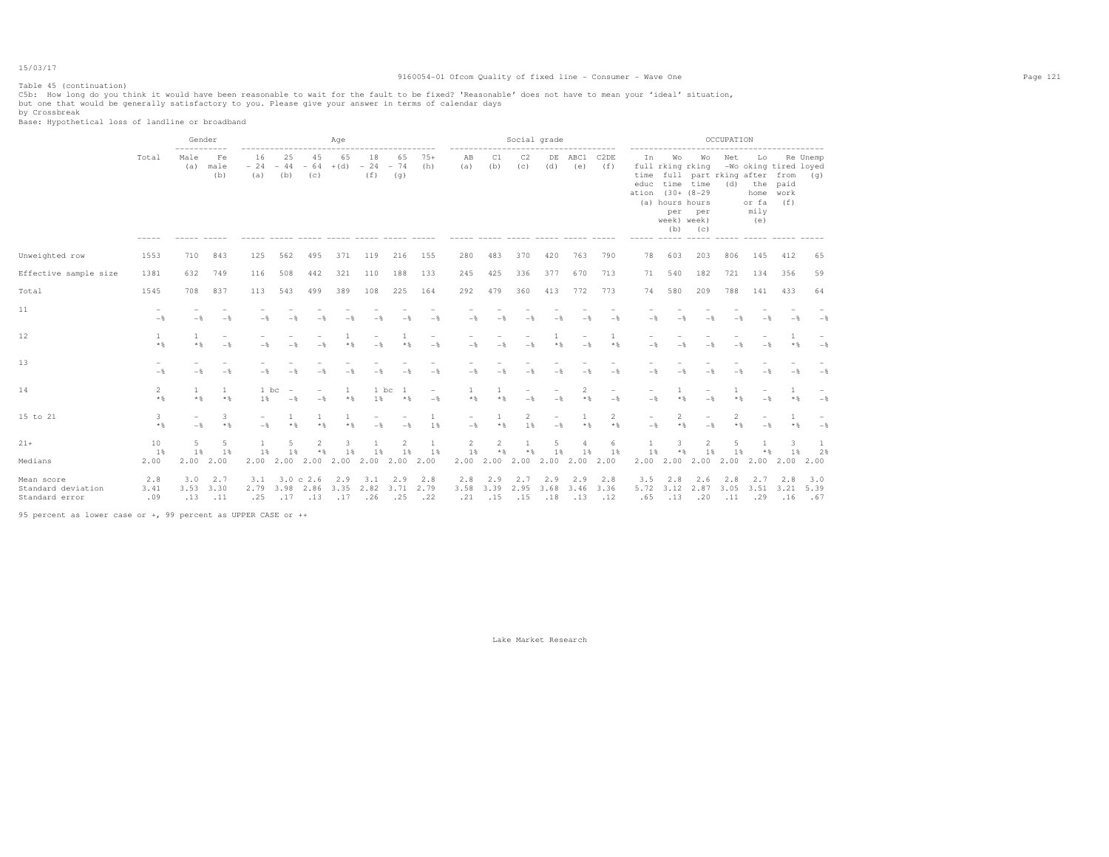# Table 45 (continuation)

### 9160054-01 Ofcom Quality of fixed line - Consumer - Wave One Page 121

C5b: How long do you think it would have been reasonable to wait for the fault to be fixed? 'Reasonable' does not have to mean your 'ideal' situation,<br>but one that would be generally satisfactory to you. Please give your

by Crossbreak Base: Hypothetical loss of landline or broadband

|                                                    |                       | Gender<br>$- - - - -$ |                    |                    |                     |                          | Age                |                    |                         |                    |                    |                      |                      | Social grade                    |                         |                    |                             |                                                                       |                                                                                 | OCCUPATION              |                                           |                                              |                    |
|----------------------------------------------------|-----------------------|-----------------------|--------------------|--------------------|---------------------|--------------------------|--------------------|--------------------|-------------------------|--------------------|--------------------|----------------------|----------------------|---------------------------------|-------------------------|--------------------|-----------------------------|-----------------------------------------------------------------------|---------------------------------------------------------------------------------|-------------------------|-------------------------------------------|----------------------------------------------|--------------------|
|                                                    | Total                 | Male<br>(a)           | Fe<br>male<br>(b)  | 16<br>$-24$<br>(a) | 25<br>$-44$<br>(b)  | 45<br>$-64$<br>(c)       | 65<br>$+(d)$       | 18<br>$-24$<br>(f) | 65<br>$-74$<br>(q)      | $75+$<br>(h)       | AB<br>(a)          | C1<br>(b)            | C2<br>(C)            | DE<br>(d)                       | ABC1<br>(e)             | C2DE<br>(f)        | In<br>time<br>educ<br>ation | Wo<br>$(30 + (8 - 29$<br>(a) hours hours<br>per<br>week) week)<br>(b) | Wo<br>full rking rking<br>full part rking after from<br>time time<br>per<br>(C) | Net<br>(d)              | Lo<br>the<br>home<br>or fa<br>mily<br>(e) | -Wo oking tired loyed<br>paid<br>work<br>(f) | Re Unemp<br>(q)    |
| Unweighted row                                     | 1553                  | 710                   | 843                | 125                | 562                 | 495                      | 371                | 119                | 216                     | 155                | 280                | 483                  | 370                  | 420                             | 763                     | 790                | 78                          | 603                                                                   | 203                                                                             | 806                     | 145                                       | 412                                          | 65                 |
| Effective sample size                              | 1381                  | 632                   | 749                | 116                | 508                 | 442                      | 321                | 110                | 188                     | 133                | 245                | 425                  | 336                  | 377                             | 670                     | 713                | 71                          | 540                                                                   | 182                                                                             | 721                     | 134                                       | 356                                          | 59                 |
| Total                                              | 1545                  | 708                   | 837                | 113                | 543                 | 499                      | 389                | 108                | 225                     | 164                | 292                | 479                  | 360                  | 413                             | 772                     | 773                | 74                          | 580                                                                   | 209                                                                             | 788                     | 141                                       | 433                                          | 64                 |
| 11                                                 | $-\frac{6}{5}$        | $-\frac{6}{5}$        | $-$                | $-$ %              |                     |                          |                    |                    |                         | $-$                | - %                | - %                  |                      |                                 |                         | $-$                | $-\frac{6}{5}$              |                                                                       |                                                                                 |                         |                                           | $-$                                          | $-\frac{6}{5}$     |
| 12                                                 | <sup>1</sup><br>$*$ % | $\overline{1}$<br>$*$ | $-$                | $-$                | - *                 |                          |                    | $-$                | $\overline{1}$<br>$*$ % | $-$                | $-$                | $-$                  | $-\frac{6}{2}$       | 1                               | $-$                     | 1<br>$*$           | - %                         |                                                                       |                                                                                 |                         |                                           | $\overline{1}$<br>$\star$ &                  | $-$                |
| 13                                                 | $-$                   | $-$                   | $-$                | $-$                | - *                 |                          | $-\frac{6}{2}$     |                    | $-$                     | $-$                | $-$                | $-$                  | $-\frac{6}{2}$       | $-$                             | $-$                     | $-$                | $-$                         | $-$                                                                   | - %                                                                             |                         |                                           | $-$                                          | $-$                |
| 14                                                 | 2<br>$*$ &            | 1<br>$*$ &            | $*$                | 1 bc<br>1 %        | $-$                 | $-\frac{6}{2}$           | $*$                | 1 bc<br>1%         | -1<br>$*$ %             | $-$                | $*$ %              | $*$ &                |                      |                                 | $\mathfrak{D}$<br>$*$ % | $-$                | $-$                         | $*$ &                                                                 | $-$                                                                             | $*$ &                   |                                           | $\star$ &                                    | $-$                |
| 15 to 21                                           | 3<br>$*$              | $-$                   | 3<br>$*$ %         | $-$                | $\mathbf{1}$<br>* * | $*$                      | $*$ &              | $-$                | $-$                     | 1<br>1%            | $-$                | 1<br>$*$ %           | $\overline{2}$<br>1% | $\overline{\phantom{a}}$<br>$-$ | $\overline{1}$<br>$*$ % | 2<br>$*$ %         | $-$                         | 2<br>* &                                                              | $-$                                                                             | $\overline{2}$<br>$*$ & | $-$                                       | $\overline{1}$<br>$*$                        | $-$                |
| $21+$                                              | 10                    | 5                     | 5                  | $\mathbf{1}$       | 5                   | $\mathfrak{D}$           | 3                  |                    | $\mathfrak{D}$          | 1                  | 2                  | $\overline{c}$       | -1                   | 5                               |                         | 6                  |                             | 3<br>$*$ %                                                            | $\mathfrak{D}$                                                                  | $\overline{a}$          |                                           | 3                                            | $\mathbf{1}$       |
| Medians                                            | 1%<br>2.00            | 1%<br>2.00            | 1%<br>2.00         | 1%<br>2.00         | 1%<br>2.00          | $*$<br>2.00              | 1%<br>2.00         | 1%<br>2.00         | 1%<br>2.00              | 1%<br>2.00         | 1%<br>2.00         | $\star$ $\S$<br>2.00 | $*$ &<br>2.00        | 1%<br>2.00                      | 1%<br>2.00              | 1%<br>2.00         | 1%<br>2.00                  | 2.00                                                                  | 1%<br>2.00                                                                      | 1%<br>2.00              | * %<br>2.00                               | 1%<br>2.00                                   | 2%<br>2.00         |
| Mean score<br>Standard deviation<br>Standard error | 2.8<br>3.41<br>.09    | 3.0<br>3.53<br>.13    | 2.7<br>3.30<br>.11 | 3.1<br>2.79<br>.25 | 3.98<br>.17         | 3.0 c 2.6<br>2.86<br>.13 | 2.9<br>3.35<br>.17 | 3.1<br>2.82<br>.26 | 2.9<br>3.71<br>.25      | 2.8<br>2.79<br>.22 | 2.8<br>3.58<br>.21 | 2.9<br>3.39<br>.15   | 2.7<br>2.95<br>.15   | 2.9<br>3.68<br>.18              | 2.9<br>3.46<br>.13      | 2.8<br>3.36<br>.12 | 3.5<br>5.72<br>.65          | 2.8<br>3.12<br>.13                                                    | 2.6<br>2.87<br>.20                                                              | 2.8<br>3.05<br>.11      | 2.7<br>3.51<br>.29                        | 2.8<br>3.21<br>.16                           | 3.0<br>5.39<br>.67 |

95 percent as lower case or +, 99 percent as UPPER CASE or ++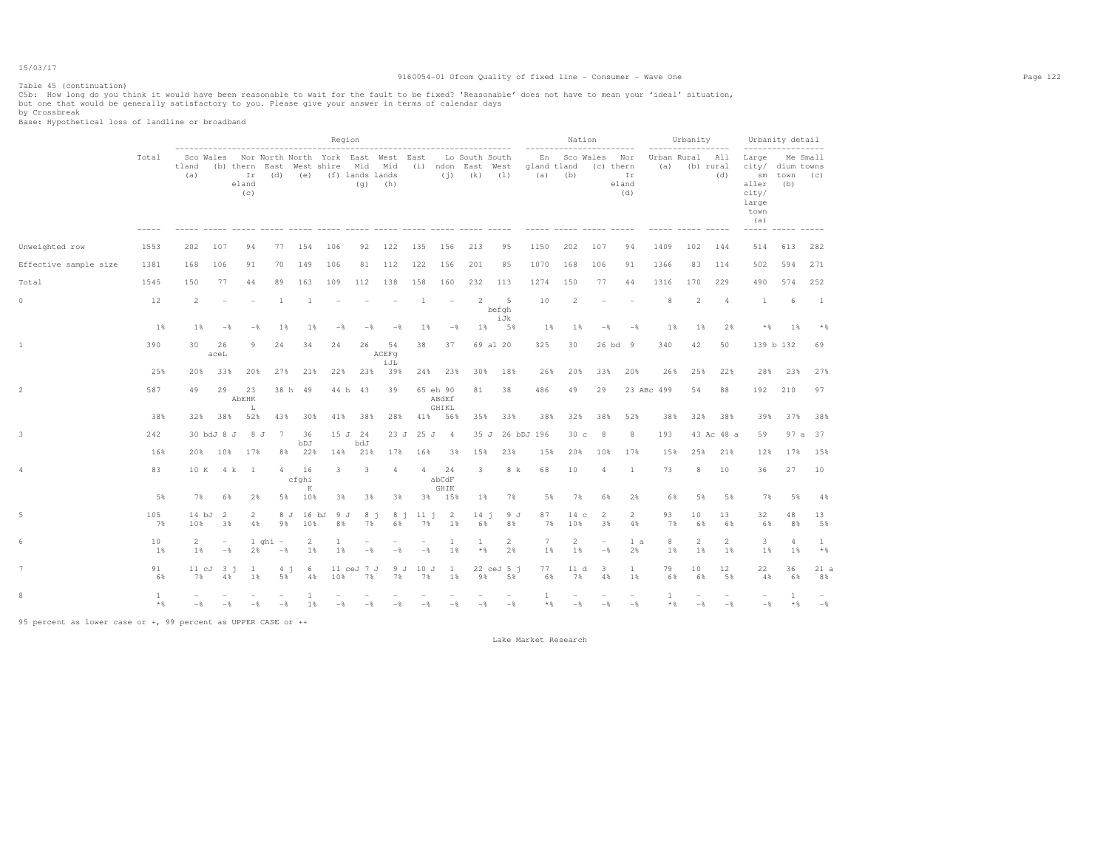## Table 45 (continuation)

### 9160054-01 Ofcom Quality of fixed line - Consumer - Wave One Page 122

C5b: How long do you think it would have been reasonable to wait for the fault to be fixed? 'Reasonable' does not have to mean your 'ideal' situation,<br>but one that would be generally satisfactory to you. Please give your

by Crossbreak Base: Hypothetical loss of landline or broadband

|                       |           |                         |                   |                      |                                                                                           |                      |                    | Region                          |                                 |                                 |                            |     |                                                           |            |                            | Nation                                      |                                        |                       | Urbanity              |                      | Urbanity detail<br>------------------                                                                            |                           |           |
|-----------------------|-----------|-------------------------|-------------------|----------------------|-------------------------------------------------------------------------------------------|----------------------|--------------------|---------------------------------|---------------------------------|---------------------------------|----------------------------|-----|-----------------------------------------------------------|------------|----------------------------|---------------------------------------------|----------------------------------------|-----------------------|-----------------------|----------------------|------------------------------------------------------------------------------------------------------------------|---------------------------|-----------|
|                       | Total     | tland<br>(a)            |                   | Ir<br>eland<br>(c)   | Sco Wales Nor North North York East West East<br>(b) thern East West shire Mid Mid<br>(d) | (e) (f) lands lands  |                    | (q)                             | (h)                             |                                 |                            |     | Lo South South<br>(i) ndon East West<br>$(i)$ $(k)$ $(1)$ | (a)        | En<br>gland tland<br>(b)   | Sco Wales                                   | Nor<br>(c) thern<br>Ir<br>eland<br>(d) | (a)                   | Urban Rural All       | (b) rural<br>(d)     | Large<br>city/ dium towns<br>$\mathop{\rm sm}\nolimits$<br>aller<br>city/<br>large<br>town<br>(a)<br>$- - - - -$ | town (c)<br>(b)           | Me Small  |
| Unweighted row        | 1553      | 202                     | 107               | 94                   | 77                                                                                        | 154                  | 106                | 92                              | 122                             | 135                             | 156                        | 213 | 95                                                        | 1150       | 202                        | 107                                         | 94                                     | 1409                  | 102                   | 144                  | 514                                                                                                              | 613                       | 282       |
| Effective sample size | 1381      | 168                     | 106               | 91                   | 70                                                                                        | 149                  | 106                | 81                              | 112                             | 122                             | 156                        | 201 | 85                                                        | 1070       | 168                        | 106                                         | 91                                     | 1366                  | 83                    | 114                  | 502                                                                                                              | 594                       | 271       |
| Total                 | 1545      | 150                     | 77                | 44                   | 89                                                                                        | 163                  | 109                | 112                             | 138                             | 158                             | 160                        | 232 | 113                                                       | 1274       | 150                        | 77                                          | 44                                     | 1316                  | 170                   | 229                  | 490                                                                                                              | 574                       | 252       |
| $\mathbb O$           | 12        | 2                       |                   |                      | $\overline{1}$                                                                            | $\overline{1}$       |                    |                                 |                                 | $\overline{1}$                  | $\overline{\phantom{a}}$   |     | $\mathfrak{D}$<br>$-5$<br>befgh<br>iJk                    |            | $\overline{2}$<br>10       |                                             |                                        | 8                     | 2                     | $\overline{4}$       | $\mathbf{1}$                                                                                                     | 6                         | 1         |
|                       | 1%        | $1\%$                   | $-\frac{6}{5}$    | $-\frac{6}{5}$       | 1%                                                                                        | 1%                   | $-$                | $-$                             | $-$                             | $1\%$                           | $-$                        |     | $1\%$<br>5%                                               |            | $1\%$                      | 1%<br>$-\frac{6}{5}$                        | $-$                                    | $1\%$                 | $1$ %                 | 2%                   | $*$ &                                                                                                            | 1%                        | $*$       |
| $\mathbf 1$           | 390       | 30                      | 26<br>aceL        | 9                    | 24                                                                                        | 34                   | 24                 | 26                              | 54<br>ACEFq<br>iJL              | 38                              | 37                         |     | 69 al 20                                                  | 325        | 30                         |                                             | 26 bd 9                                | 340                   | 42                    | 50                   | 139 b 132                                                                                                        |                           | 69        |
|                       | 25%       | 20%                     | 33%               | 20%                  | 27%                                                                                       | 21%                  | 22%                | 23%                             | 39%                             | 24%                             | 23%                        | 30% | 18%                                                       |            | 20%<br>26%                 | 33%                                         | 20%                                    | 26%                   | 25%                   | 22%                  | 28%                                                                                                              | 23%                       | 27%       |
| $\overline{2}$        | 587       | 49                      | 29                | 23<br>AbEHK<br>L     |                                                                                           | 38 h 49              |                    | 44 h 43                         | 39                              |                                 | 65 eh 90<br>ABdEf<br>GHIKL | 81  | 38                                                        | 486        | 49                         | 29                                          |                                        | 23 ABc 499            | 54                    | 88                   | 192                                                                                                              | 210                       | 97        |
|                       | 38%       | 32%                     | 38%               | 52%                  | 43%                                                                                       | 30%                  | 41%                | 38%                             | 28%                             | 41%                             | 56%                        | 35% | 33%                                                       |            | 38%<br>32%                 | 38%                                         | 52%                                    | 38%                   | 32%                   | 38%                  | 39%                                                                                                              | 37%                       | 38%       |
| 3                     | 242       |                         | 30 bdJ 8 J        | 8J                   | $7\phantom{.0}\phantom{.0}7$                                                              | 36<br>bDJ            |                    | 15 J 24<br>bdJ                  | 23J                             | 25 J                            | $\sim$ 4                   |     | 35 J                                                      | 26 bDJ 196 |                            | 30 <sub>c</sub><br>8                        | 8                                      | 193                   |                       | 43 Ac 48 a           | 59                                                                                                               |                           | 97 a 37   |
|                       | 16%       | 20%                     | 10%               | 17%                  | 8%                                                                                        | 22%                  | 14%                | 21%                             | 17%                             | 16%                             | 3%                         | 15% | 23%                                                       |            | 20%<br>15%                 | 10%                                         | 17%                                    | 15%                   | 25%                   | 21%                  | 12%                                                                                                              | 17%                       | 15%       |
| 4                     | 83        |                         |                   | 10 K 4 k 1           | $\overline{4}$                                                                            | 16<br>cfghi<br>K     | 3                  | 3                               | 4                               | $\overline{4}$                  | 24<br>abCdF<br>GHIK        |     | 3                                                         | 8 k        | 68<br>10                   | 4                                           | 1                                      | 73                    | 8                     | 10                   | 36                                                                                                               | 27                        | 10        |
|                       | 5%        | 7%                      | 6%                | 2%                   |                                                                                           | 5% 10%               | 3%                 | 3%                              | 3%                              | 3%                              | 15%                        |     | 1%<br>7%                                                  |            | 5%                         | 7%<br>6%                                    | 2%                                     | 6%                    | 5%                    | 5%                   | 7%                                                                                                               | 5%                        | 4%        |
| 5                     | 105<br>7% | 10%                     | 14 bJ 2<br>3%     | $\overline{2}$<br>4% | 9%                                                                                        | 8 J 16 bJ 9 J<br>10% | 8%                 | 8j<br>7%                        | 8j<br>6%                        | 11 j<br>7%                      | $\overline{2}$<br>1%       |     | 14j<br>6%<br>8%                                           | 9 J        | 87<br>7%<br>10%            | 2<br>14 с<br>3%                             | $\overline{2}$<br>4%                   | 93<br>7%              | 10 <sub>1</sub><br>6% | 13<br>6%             | 32<br>6%                                                                                                         | 48<br>8%                  | 13<br>5%  |
| 6                     | 10<br>1%  | $\overline{2}$<br>$1\%$ | $\sim$<br>$-$     | 2%                   | $1$ ghi $-$<br>$-$                                                                        | $\overline{2}$<br>1% | $\mathbf{1}$<br>1% | $\overline{\phantom{a}}$<br>$-$ | $\overline{\phantom{a}}$<br>$-$ | $\overline{\phantom{a}}$<br>$-$ | $\mathbf{1}$<br>1%         |     | 2<br>$\mathbf{1}$<br>$*$ %<br>2%                          |            | 2<br>$7\phantom{.0}$<br>1% | $\overline{\phantom{a}}$<br>1%<br>$-$       | 1 a<br>2%                              | 8<br>$1\%$            | $\overline{2}$<br>1%  | $\overline{c}$<br>1% | 3<br>1%                                                                                                          | 4<br>1%                   | 1<br>$*$  |
| $\overline{7}$        | 91<br>6%  | 7%                      | $11cJ$ $3i$<br>4% | $\mathbf{1}$<br>1%   | 4 <sub>j</sub><br>5%                                                                      | 6<br>4%              | 10%                | 11 ceJ 7 J<br>7%                | 7%                              | 9 J 10 J<br>7%                  | $\mathbf{1}$<br>1%         |     | $22$ ceJ $5$ j<br>9%<br>5%                                |            | 77<br>6%                   | $\overline{\mathbf{3}}$<br>11 d<br>7%<br>4% | $\mathbf{1}$<br>1%                     | 79<br>6%              | 10<br>6%              | 12<br>5%             | 22<br>4%                                                                                                         | 36<br>6%                  | 21a<br>8% |
| 8                     | 1<br>$*$  | $-\frac{6}{5}$          | $-\frac{6}{5}$    | $-$                  | $-\frac{6}{5}$                                                                            | 1%                   | $-$                | $-$                             | $-$                             | $-$                             | $-$                        |     | $-$<br>$-\frac{6}{5}$                                     |            | $\mathbf{1}$<br>$*$        | $-$<br>$-$                                  | $-\frac{6}{5}$                         | $\mathbf{1}$<br>$*$ & | $-$                   | $-$                  | $-$                                                                                                              | $\mathbf{1}$<br>$\star$ & | $-$       |

95 percent as lower case or +, 99 percent as UPPER CASE or ++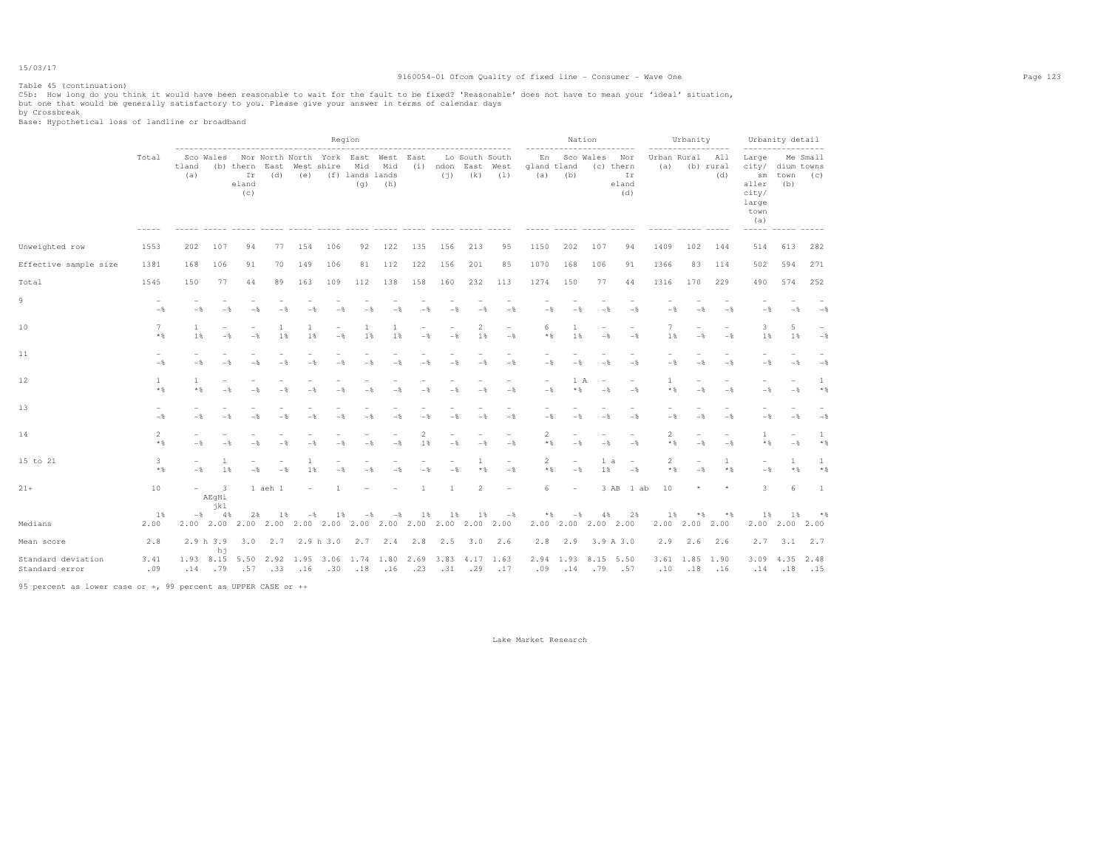# Table 45 (continuation)

### 9160054-01 Ofcom Quality of fixed line - Consumer - Wave One Page 123

C5b: How long do you think it would have been reasonable to wait for the fault to be fixed? 'Reasonable' does not have to mean your 'ideal' situation,<br>but one that would be generally satisfactory to you. Please give your

by Crossbreak Base: Hypothetical loss of landline or broadband

|                                      |               |                       |                                                       |                                            |                                                                         |                      |                | Region                            |                |                |                |                                                     |                                            |                                 |                                 | Nation         |                                            |                         | Urbanity                                   | ------                          | Urbanity detail                                                                    |                                 |                 |
|--------------------------------------|---------------|-----------------------|-------------------------------------------------------|--------------------------------------------|-------------------------------------------------------------------------|----------------------|----------------|-----------------------------------|----------------|----------------|----------------|-----------------------------------------------------|--------------------------------------------|---------------------------------|---------------------------------|----------------|--------------------------------------------|-------------------------|--------------------------------------------|---------------------------------|------------------------------------------------------------------------------------|---------------------------------|-----------------|
|                                      | Total         | tland<br>(a)          | Sco Wales                                             | Ir<br>eland<br>(C)                         | Nor North North York East West East<br>(b) thern East West shire<br>(d) |                      |                | Mid<br>(e) (f) lands lands<br>(q) | Mid<br>(h)     |                | (i)            | Lo South South<br>(i) ndon East West<br>$(k)$ $(1)$ |                                            | gland tland<br>$(a)$ (b)        | En Sco Wales                    |                | Nor<br>(c) thern<br>Ir<br>eland<br>(d)     | Urban Rural All<br>(a)  |                                            | (b) rural<br>(d)                | Large<br>city/ dium towns<br>aller<br>city/<br>large<br>town<br>(a)<br>$- - - - -$ | sm town<br>(b)                  | Me Small<br>(C) |
| Unweighted row                       | 1553          | 202                   | 107                                                   | 94                                         | 77                                                                      | 154                  | 106            | 92                                | 122            | 135            | 156            | 213                                                 | 95                                         | 1150                            | 202                             | 107            | 94                                         | 1409                    | 102                                        | 144                             | 514                                                                                | 613                             | 282             |
| Effective sample size                | 1381          | 168                   | 106                                                   | 91                                         | 70                                                                      | 149                  | 106            | 81                                | 112            | 122            | 156            | 201                                                 | 85                                         | 1070                            | 168                             | 106            | 91                                         | 1366                    | 83                                         | 114                             | 502                                                                                | 594                             | 271             |
| Total                                | 1545          | 1.50                  | 77                                                    | 44                                         | 89                                                                      | 163                  | 109            | 112                               | 138            | 158            | 160            | 232                                                 | 113                                        | 1274                            | 150                             | 77             | 44                                         | 1316                    | 170                                        | 229                             | 490                                                                                | 574                             | 252             |
| 9                                    | $-$           | $-$                   | $-$                                                   | $-$                                        | $-$                                                                     | $-$                  |                |                                   | $-$            | $-$            | $-$            | $-$                                                 | $-$                                        | $-$                             | $-$                             | $-$            | $-$                                        | $-$                     | $-\frac{6}{2}$                             | $-$                             | $-$                                                                                |                                 | $-$             |
| 10                                   | 7<br>$*$      | $\mathbf{1}$<br>1%    | $-\frac{6}{5}$                                        | $\overline{\phantom{a}}$<br>$-\frac{6}{6}$ | $\mathbf{1}$<br>1%                                                      | 1<br>1%              | $-\frac{6}{5}$ | 1<br>1%                           | 1<br>1%        | $-\frac{6}{5}$ | $-$            | $\overline{2}$<br>1%                                | $\overline{\phantom{a}}$<br>$-\frac{6}{5}$ | 6<br>$*$                        | 1<br>1%                         | $-\frac{6}{5}$ | $-\frac{6}{5}$                             | 7<br>1%                 | $\overline{\phantom{0}}$<br>$-\frac{6}{5}$ | $-\frac{6}{5}$                  | 3<br>1%                                                                            | 5<br>1%                         | $-$ 8           |
| 11                                   | $-$           | $-$                   |                                                       | $-$                                        | $-$                                                                     | -8                   |                |                                   | - *            | $-$            | $-\frac{6}{3}$ | $-$                                                 | $-$                                        | $-$                             | $-$                             | $-$            | $-$                                        | $-$                     | $-$                                        | $-\frac{6}{5}$                  | $-$                                                                                | $-$                             | $-$             |
| 12                                   | 1<br>$*$ &    | $\mathbf{1}$<br>$*$ & | $-$                                                   | $-$                                        | $-$                                                                     | $-$                  | $-\frac{6}{2}$ | $-$                               | $-$            | $-$            | $-$            | $-$                                                 | $\overline{\phantom{a}}$<br>$-$            | $\overline{\phantom{a}}$<br>$-$ | 1 A<br>$*$ &                    | $-$            | $\overline{\phantom{a}}$<br>$-$            | 1<br>$*$ %              | $\equiv$<br>$-$                            | $-$                             | $-$                                                                                | $-$                             | 1<br>$*$ %      |
| 13                                   | $-$           | $-$                   | $-8$                                                  | $-$                                        | $-$                                                                     | $-$                  | $-8$           | $-$                               | $-$            | $-$            | $-$            | $-$                                                 | $-$                                        | $-$                             | $-$                             | $-$            | $-$                                        | $-$                     | $-$                                        | $-$                             | $-$                                                                                | $-$                             | $-$             |
| 14                                   | 2<br>$*$ &    | $-$                   |                                                       |                                            | $-$                                                                     |                      |                |                                   | $-$            | 2<br>1 %       | $-$            | $-$                                                 | $-$                                        | $\overline{2}$<br>$*$ &         | ۰<br>$-$                        | $-$            | $\overline{\phantom{a}}$<br>$-$            | $\overline{2}$<br>$*$ & | $\overline{\phantom{0}}$<br>$-$            | $\overline{\phantom{a}}$<br>$-$ | $\mathbf{1}$<br>$*$ &                                                              | $\overline{\phantom{m}}$<br>$-$ | 1<br>$*$ %      |
| 15 to 21                             | 3<br>$*$ &    | $-\frac{6}{5}$        | 1<br>1%                                               | $-$                                        | $-$                                                                     | $\overline{1}$<br>1% |                |                                   | $-$            | $-$            | $-$            | 1<br>$*$ %                                          | $-$                                        | 2<br>$*$ &                      | $\overline{\phantom{a}}$<br>$-$ | 1 a<br>1%      | $\overline{\phantom{a}}$<br>$-\frac{6}{5}$ | $\overline{2}$<br>$*$ & | $-$                                        | $\mathbf{1}$<br>$*$ &           | $-$                                                                                | 1<br>$*$ &                      | 1<br>$*$ %      |
| $21 +$                               | 10            |                       | $\overline{\mathbf{3}}$<br>$\sim$ 100 $\sim$<br>AEgHi |                                            | 1 aeh 1                                                                 |                      |                |                                   |                |                | $\mathbf{1}$   | $\overline{c}$                                      |                                            | 6                               | $\overline{\phantom{0}}$        |                | 3 AB 1 ab                                  | 10                      |                                            |                                 | 3                                                                                  | 6                               | -1              |
| Medians                              | $1\%$<br>2.00 |                       | jkl<br>$-8$ 48                                        | 2%                                         | $1\%$                                                                   | $-$                  | 1              | $-$                               | $-\frac{6}{5}$ | $1\%$          | 1%             | 1%<br>2.00 2.00 2.00 2.00                           | $-$ %                                      | $*$ &                           | $-$<br>2.00 2.00 2.00 2.00      | 4%             | 2%                                         | 1%                      | $*$ &<br>2.00 2.00 2.00                    | $*$                             | 1%                                                                                 | 18<br>2.00 2.00 2.00            | * %             |
| Mean score                           | 2.8           |                       | 2.9 h 3.9<br>hj                                       | 3.0                                        |                                                                         | $2.7$ $2.9$ h $3.0$  |                | 2.7 2.4                           |                | 2.8            | 2.5            | $3.0\quad 2.6$                                      |                                            | 2.8                             | 2.9                             |                | 3.9 A 3.0                                  | 2.9                     |                                            | $2.6$ $2.6$                     | 2.7                                                                                | 3.1                             | 2.7             |
| Standard deviation<br>Standard error | 3.41<br>.09   | 1.93 8.15<br>.14      | .79                                                   | 5.50<br>.57                                | 2.92 1.95 3.06 1.74 1.80<br>.33                                         | .16                  | .30            | .18                               | .16            | .23            | .31            | 2.69 3.83 4.17 1.63<br>.29                          | .17                                        | .09                             | 2.94 1.93<br>.14                | 8.15<br>.79    | 5.50<br>.57                                | .10                     | 3.61 1.85 1.90<br>.18                      | .16                             | $3.09$ 4.35<br>.14                                                                 | .18                             | 2.48<br>.15     |

95 percent as lower case or +, 99 percent as UPPER CASE or ++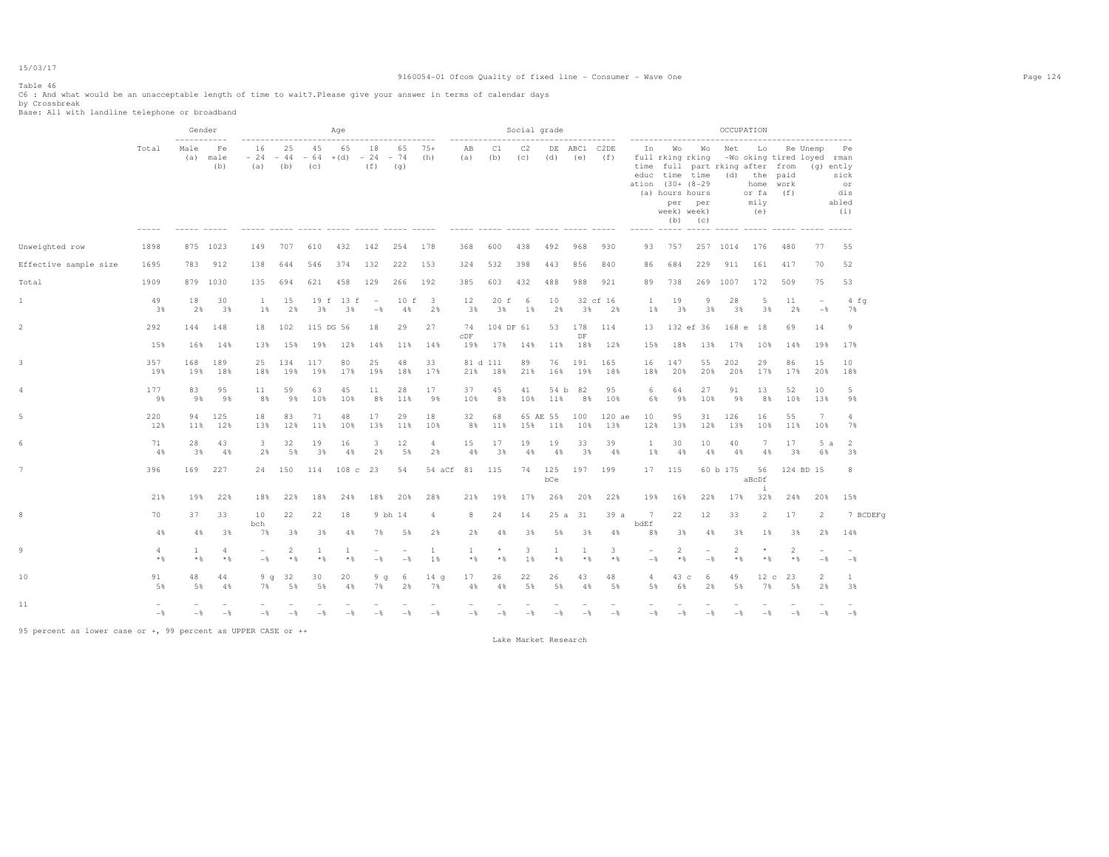### 9160054-01 Ofcom Quality of fixed line - Consumer - Wave One Page 124

Table 46

C6 : And what would be an unacceptable length of time to wait?.Please give your answer in terms of calendar days by Crossbreak Base: All with landline telephone or broadband

|                       |            |                            | Gender            |                                 |                         |                                  | Age             |                |                                 |                                |                              |                      | Social grade          |                 |                                       |                |                                 |                                                    |                                                               |                       | OCCUPATION                                                                                                                              |                         |                                 |                                                      |
|-----------------------|------------|----------------------------|-------------------|---------------------------------|-------------------------|----------------------------------|-----------------|----------------|---------------------------------|--------------------------------|------------------------------|----------------------|-----------------------|-----------------|---------------------------------------|----------------|---------------------------------|----------------------------------------------------|---------------------------------------------------------------|-----------------------|-----------------------------------------------------------------------------------------------------------------------------------------|-------------------------|---------------------------------|------------------------------------------------------|
|                       | Total      | -----------<br>Male<br>(a) | Fe<br>male<br>(b) | 16<br>$-24 -44$<br>(a)          | 25<br>(b)               | 45<br>$-64 + (d) -24 -74$<br>(C) | 65              | 18<br>(f)      | 65<br>(q)                       | 75+<br>(h)                     | ---------------<br>AB<br>(a) | C1<br>(b)            | C <sub>2</sub><br>(C) | (d)             | --------------<br>DE ABC1 C2DE<br>(e) | (f)            | ation (30+ (8-29                | full rking rking<br>(a) hours hours<br>week) week) | In Wo Wo<br>per per<br>$(b)$ $(c)$<br>----- ----- ----- ----- | Net                   | Lo<br>-Wo oking tired loyed rman<br>time full part rking after from<br>educ time time (d) the paid<br>home work<br>or fa<br>mily<br>(e) | (f)                     | Re Unemp                        | Pe<br>(g) ently<br>sick<br>or<br>dis<br>abled<br>(i) |
| Unweighted row        | 1898       |                            | 875 1023          | 149                             | 707                     | 610                              | 432             | 142            | 254                             | 178                            | 368                          | 600                  | 438                   | 492             | 968                                   | 930            | 93                              | 757                                                |                                                               | 257 1014              | 176                                                                                                                                     | 480                     | 77                              | 55                                                   |
| Effective sample size | 1695       | 783                        | 912               | 138                             | 644                     | 546                              | 374             | 132            | 222                             | 153                            | 324                          | 532                  | 398                   | 443             | 856                                   | 840            | 86                              | 684                                                | 229                                                           | 911                   | 161                                                                                                                                     | 417                     | 70                              | 52                                                   |
| Total                 | 1909       |                            | 879 1030          | 135                             | 694                     | 621                              | 458             | 129            | 266                             | 192                            | 385                          | 603                  | 432                   | 488             | 988                                   | 921            | 89                              | 738                                                |                                                               | 269 1007              | 172                                                                                                                                     | 509                     | 75                              | 53                                                   |
| 1                     | 49<br>3%   | 18<br>2%                   | 30<br>3%          | $\mathbf{1}$<br>1%              | 15<br>2%                | 3%                               | 19 f 13 f<br>3% | $\sim$<br>$-$  | 10 f<br>4%                      | $\overline{\phantom{a}}$<br>2% | 12<br>3%                     | 20 f<br>3%           | -6<br>1%              | 10<br>2%        | 3%                                    | 32 cf 16<br>2% | -1<br>$1\%$                     | 19<br>3%                                           | 9<br>3%                                                       | 28<br>3%              | 5<br>3%                                                                                                                                 | 11<br>2%                | $\overline{\phantom{a}}$<br>$-$ | 4 f q<br>7%                                          |
| $\overline{2}$        | 292<br>15% | 144<br>16%                 | 148<br>14%        | 18<br>13%                       | 102<br>15%              | 115 DG 56<br>19%                 | 12%             | 18<br>14%      | 29<br>11%                       | 27<br>14%                      | 74<br>CDF<br>19%             | 104 DF 61<br>17% 14% |                       | 53<br>11%       | 178<br>DF                             | 114<br>18% 12% | 13<br>15%                       | 18%                                                | 132 ef 36<br>13%                                              | 17%                   | 168 e 18<br>10%                                                                                                                         | 69<br>14%               | 14<br>19%                       | $\overline{9}$<br>17%                                |
| 3                     | 357<br>19% | 168<br>19%                 | 189<br>18%        | 25<br>18%                       | 134<br>19%              | 117<br>19%                       | 80<br>17%       | 25<br>19%      | 48<br>18%                       | 33<br>17%                      | 21%                          | 81 d 111<br>18%      | 89<br>21%             | 76<br>16%       | 191<br>19%                            | 165<br>18%     | 16<br>18%                       | 147<br>20%                                         | 55<br>20%                                                     | 202<br>20%            | 29<br>17%                                                                                                                               | 86<br>17%               | 15<br>20%                       | 10<br>18%                                            |
| 4                     | 177<br>9%  | 83<br>98                   | 95<br>9%          | 11<br>8%                        | 59<br>98                | 63<br>10%                        | 45<br>10%       | 11<br>8%       | 28<br>11%                       | 17<br>98                       | 37<br>10%                    | 45<br>8%             | 41                    | 54 b<br>10% 11% | 82<br>8%                              | 95<br>10%      | 6<br>6%                         | 64<br>98                                           | 27<br>10%                                                     | 91<br>9%              | 13<br>8%                                                                                                                                | 52<br>10%               | 10<br>13%                       | 5<br>98                                              |
| 5                     | 220<br>12% | 94<br>11%                  | 125<br>12%        | 18<br>13%                       | 83<br>12%               | 71<br>11%                        | 48<br>10%       | 17<br>13%      | 29<br>11%                       | 18<br>10%                      | 32<br>8%                     | 68<br>11%            | 15%                   | 65 AE 55<br>11% | 100<br>10%                            | 120 ae<br>13%  | 10<br>12%                       | 95<br>13%                                          | 31<br>12%                                                     | 126<br>13%            | 16<br>10%                                                                                                                               | 55<br>11%               | 7<br>10%                        | $\overline{4}$<br>7%                                 |
| 6                     | 71<br>4%   | 28<br>38                   | 43<br>4%          | 3<br>2%                         | 32<br>5%                | 19<br>3%                         | 16<br>4%        | 3<br>2%        | 12<br>5%                        | 4<br>2%                        | 15<br>4%                     | 17<br>3%             | 19<br>4%              | 19<br>4%        | 33<br>3%                              | 39<br>4%       | -1<br>$1\%$                     | 30<br>4%                                           | 10<br>$4\%$                                                   | 40<br>4%              | 7<br>4%                                                                                                                                 | 17<br>3%                | 5a<br>6%                        | 2<br>3%                                              |
|                       | 396        | 169                        | 227               | 24                              | 150                     | 114                              | 108c23          |                | 54                              | 54 aCf                         | 81                           | 115                  | 74                    | 125<br>bCe      | 197                                   | 199            |                                 | 17 115                                             |                                                               | 60 b 175              | 56<br>aBcDf<br>$\mathbf{i}$                                                                                                             |                         | 124 BD 15                       | 8                                                    |
|                       | 21%        | 19%                        | 22%               | 18%                             | 22%                     | 18%                              | 24%             | 18%            | 20%                             | 28%                            | 21%                          | 19%                  | 17%                   | 26%             | 20%                                   | 22%            | 19%                             | 16%                                                | 22%                                                           | 17%                   | 32%                                                                                                                                     | 24%                     | 20%                             | 15%                                                  |
| 8                     | 70         | 37                         | 33                | 10<br>bch                       | 22                      | 22                               | 18              | 9 bh 14        |                                 | 4                              | 8                            | 24                   | 14                    |                 | 25 a 31                               | 39a            | 7<br>bdEf                       | 22                                                 | 12                                                            | 33                    | $\overline{2}$                                                                                                                          | 17                      | 2                               | 7 BCDEFq                                             |
|                       | 4%         | 4%                         | 3%                | 7%                              | 3%                      | 3%                               | 4%              | 7%             | 5%                              | 2%                             | 2%                           | 4%                   | 3%                    | 5%              | 3%                                    | 4%             | 8%                              | 3%                                                 | 4%                                                            | 3%                    | 1%                                                                                                                                      | 38                      | 2%                              | 14%                                                  |
| 9                     | 4<br>$*$   | 1<br>$*$ %                 | 4<br>$*$          | $\overline{\phantom{a}}$<br>$-$ | $\overline{2}$<br>$*$ & | 1<br>$*$                         | 1<br>$*$        | $-$            | $\overline{\phantom{0}}$<br>$-$ | <b>1</b><br>1 %                | 1<br>$*$ &                   | $\star$<br>$*$ %     | 3<br>1%               | 1<br>$*$        | 1<br>$*$ %                            | 3<br>$*$ %     | $\overline{\phantom{a}}$<br>$-$ | $\overline{2}$<br>$*$ &                            | $\sim$<br>$-\frac{6}{5}$                                      | $\overline{2}$<br>$*$ | $\star$<br>$*$ %                                                                                                                        | $\overline{2}$<br>$*$ % | $-$                             | $-$                                                  |
| 10                    | 91<br>5%   | 48<br>5%                   | 44<br>4%          | 9q<br>7%                        | 32<br>5%                | 30<br>5%                         | 20<br>4%        | 9q<br>7%       | -6<br>2%                        | 14 <sub>q</sub><br>7%          | 17<br>4%                     | 26<br>$4\%$          | 22<br>5%              | 26<br>5%        | 43<br>4%                              | 48<br>5%       | $\overline{4}$<br>5%            | 43 с<br>6%                                         | 6<br>2%                                                       | 49<br>5%              | 12c<br>7%                                                                                                                               | -23<br>5%               | 2<br>2%                         | 1<br>3%                                              |
| 11                    | $-\,$      | $-$                        | $-\frac{6}{6}$    | $-\frac{6}{5}$                  | $-$                     | $-\frac{6}{5}$                   | $-$             | $-\frac{6}{5}$ | $-$                             | $-\,$ %                        | $-\frac{6}{5}$               | $-$                  | $-$                   | $-\frac{6}{5}$  | $-\frac{6}{5}$                        | $-$            | $-\frac{6}{9}$                  | $-$                                                | $-$                                                           | $-\frac{6}{5}$        | $-$                                                                                                                                     | $-\frac{6}{5}$          | $-$                             | $-\,$                                                |

95 percent as lower case or +, 99 percent as UPPER CASE or ++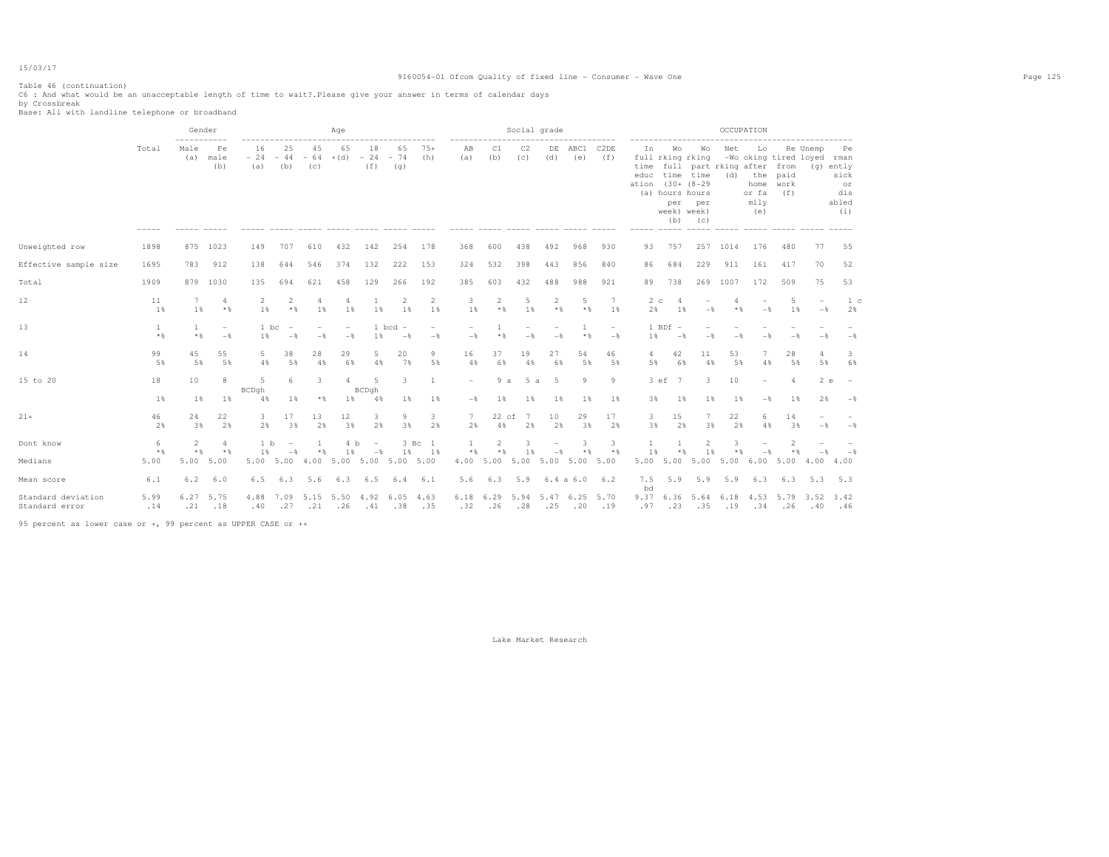### 9160054-01 Ofcom Quality of fixed line - Consumer - Wave One Page 125

Table 46 (continuation) C6 : And what would be an unacceptable length of time to wait?.Please give your answer in terms of calendar days by Crossbreak Base: All with landline telephone or broadband

|                                      |             | Gender<br>----------- |                                            |                    |                          |                          | Age                             |                          |                                 |                      |                                        |                | Social grade |                          |               |                                     |                                |                                                                                                  |                      |             | OCCUPATION                                                                       |                                           |                  |                                                      |
|--------------------------------------|-------------|-----------------------|--------------------------------------------|--------------------|--------------------------|--------------------------|---------------------------------|--------------------------|---------------------------------|----------------------|----------------------------------------|----------------|--------------|--------------------------|---------------|-------------------------------------|--------------------------------|--------------------------------------------------------------------------------------------------|----------------------|-------------|----------------------------------------------------------------------------------|-------------------------------------------|------------------|------------------------------------------------------|
|                                      | Total       | Male<br>(a)           | Fe<br>male<br>(b)                          | 16<br>$-24$<br>(a) | 25<br>$-44$<br>(b)       | 45<br>$-64$ + (d)<br>(C) | 65                              | 18<br>$-24 - 74$<br>(f)  | 65<br>(q)                       | $75+$<br>(h)         | AB<br>(a)                              | C1<br>(b)      | C2<br>(C)    | DE<br>(d)                | ABC1<br>(e)   | C <sub>2</sub> DE<br>(f)            | In<br>time<br>ation (30+ (8-29 | Wo<br>full rking rking<br>educ time time<br>(a) hours hours<br>week) week)<br>(b)<br>$- - - - -$ | Wo<br>per per<br>(C) | Net         | Lo<br>full part rking after from<br>(d) the paid<br>home<br>or fa<br>mily<br>(e) | -Wo oking tired loyed rman<br>work<br>(f) | Re Unemp         | Pe<br>(g) ently<br>sick<br>or<br>dis<br>abled<br>(i) |
| Unweighted row                       | 1898        |                       | 875 1023                                   | 149                | 707                      | 610                      | 432                             | 142                      | 254                             | 178                  | 368                                    | 600            | 438          | 492                      | 968           | 930                                 | 93                             | 757                                                                                              |                      | 257 1014    | 176                                                                              | 480                                       | 77               | 55                                                   |
| Effective sample size                | 1695        | 783                   | 912                                        | 138                | 644                      | 546                      | 374                             | 132                      | 222                             | 153                  | 324                                    | 532            | 398          | 443                      | 856           | 840                                 | 86                             | 684                                                                                              | 229                  | 911         | 161                                                                              | 417                                       | 70               | 52                                                   |
| Total                                | 1909        | 879                   | 1030                                       | 135                | 694                      | 621                      | 458                             | 129                      | 266                             | 192                  | 385                                    | 603            | 432          | 488                      | 988           | 921                                 | 89                             | 738                                                                                              | 269                  | 1007        | 172                                                                              | 509                                       | 75               | 53                                                   |
| 12                                   | 11<br>1%    | 1 %                   | $\overline{4}$<br>$*$                      | 2<br>1 %           | $\overline{2}$<br>$*$ &  | 4<br>1%                  | 4<br>1%                         | 1%                       | $\overline{2}$<br>1%            | $\overline{2}$<br>1% | 3<br>1%                                | 2<br>$*$ %     | 5<br>1%      | 2<br>$*$                 | 5<br>$*$ %    | 7<br>1%                             | 2 <sub>c</sub><br>2%           | 1%                                                                                               | $-$                  | * &         | $-$                                                                              | 5<br>1%                                   | $-$              | 1 с<br>2%                                            |
| 13                                   | 1<br>$*$ %  | -1.<br>$*$            | $\overline{\phantom{a}}$<br>$-\frac{6}{5}$ | 1 bc<br>1%         | $-$                      | $-$                      | $\overline{\phantom{a}}$<br>$-$ | 1 bcd<br>1%              | $\overline{\phantom{a}}$<br>$-$ | $-\frac{6}{5}$       | $-\frac{6}{5}$                         | $*$ %          |              | $-\frac{6}{2}$           | 1<br>$*$ &    | $\qquad \qquad -$<br>$-\frac{6}{5}$ | $1\%$                          | $1$ BDf $-$<br>$-\frac{6}{5}$                                                                    | $-$                  |             |                                                                                  |                                           | $-$              | $-$                                                  |
| 14                                   | 99<br>5%    | 45<br>5%              | 55<br>5%                                   | 5<br>4%            | 38<br>5%                 | 28<br>4%                 | 29<br>6%                        | 5<br>4%                  | 20<br>7%                        | 9<br>5%              | 16<br>4%                               | 37<br>6%       | 19<br>4%     | 27<br>6%                 | 54<br>5%      | 46<br>5%                            | 4<br>5%                        | 42<br>6%                                                                                         | 11<br>4%             | 53<br>5%    | 4%                                                                               | 28<br>5%                                  | 4<br>5%          | 3<br>6%                                              |
| 15 to 20                             | 18<br>1%    | 10<br>$1\%$           | 8<br>$1\%$                                 | 5<br>BCDgh<br>4%   | 6<br>1%                  | 3<br>$*$                 | $\overline{a}$<br>$1\%$         | -5<br>BCDgh<br>4%        | 3<br>$1\%$                      | 1<br>1%              | $\overline{a}$<br>$-\frac{6}{5}$       | 9a<br>$1\%$    | 5 a<br>1%    | 5<br>1%                  | 9<br>1%       | 9<br>1%                             | 3%                             | 3 ef 7<br>1%                                                                                     | 3<br>$1\%$           | 10<br>$1\%$ | $\overline{\phantom{a}}$<br>$-\frac{6}{5}$                                       | $\overline{4}$<br>$1\%$                   | 2e<br>2%         | $\overline{\phantom{a}}$<br>$-$                      |
| $21+$                                | 46<br>2%    | 24<br>3%              | 22<br>2%                                   | 3<br>2%            | 17<br>3%                 | 13<br>2%                 | 12<br>3%                        | 3<br>2%                  | 9<br>3%                         | 3<br>2%              | $7^{\circ}$<br>2%                      | 22 cf<br>4%    | 7<br>2%      | 10<br>2%                 | 29<br>3%      | 17<br>2%                            | 3.<br>3%                       | 15<br>2%                                                                                         | 3%                   | 22<br>2%    | 4%                                                                               | 14<br>3%                                  | $-$              | $-$ %                                                |
| Dont know                            | 6           | 2                     | $\overline{4}$                             | 1 <sub>b</sub>     | $\overline{\phantom{a}}$ |                          | 4 b                             | $\overline{\phantom{a}}$ |                                 | 3 Bc 1               | 1                                      | $\overline{2}$ | 3.           | $\overline{\phantom{m}}$ | 3             | 3                                   |                                |                                                                                                  | $\mathfrak{D}$       | ्र          |                                                                                  | $\mathcal{L}$                             |                  |                                                      |
| Medians                              | $*$<br>5.00 | $*$ %<br>5.00         | $*$<br>5.00                                | 1 %<br>5.00 5.00   | $-$                      | $*$ &                    | 1%<br>4.00 5.00 5.00 5.00 5.00  | $-$                      | 1%                              | 1%                   | $*$ &<br>4.00 5.00 5.00 5.00 5.00 5.00 | $*$ %          | 1%           | $-\frac{6}{2}$           | $*$ %         | $*$ %                               | 1%                             | $*$ &<br>5.00 5.00                                                                               | 1%<br>5.00           | $*$<br>5.00 | $-$<br>6.005.00                                                                  | * %                                       | $-$<br>4.00 4.00 | $-$                                                  |
| Mean score                           | 6.1         | 6.2                   | 6.0                                        | 6.5                | 6.3                      | 5.6                      | 6.3                             | 6.5                      | 6.4                             | 6.1                  | 5.6                                    | 6.3            | 5.9          |                          | 6.4 a 6.0 6.2 |                                     | 7.5<br>bd                      | 5.9                                                                                              | 5.9                  | 5.9         | 6.3                                                                              | 6.3                                       | 5.3 5.3          |                                                      |
| Standard deviation<br>Standard error | 5.99<br>.14 | 6.27<br>.21           | 5.75<br>.18                                | 4.88<br>.40        | .27                      | $.21 - .26$              | 7.09 5.15 5.50 4.92 6.05 4.63   | .41                      | .38                             | .35                  | 6.18 6.29 5.94 5.47 6.25 5.70<br>.32   | .26            | .28          | .25                      | .20           | .19                                 | .97                            | .23                                                                                              | .35                  | .19         | $.34 - .26$                                                                      | 9.37 6.36 5.64 6.18 4.53 5.79 3.52 3.42   | .40 .46          |                                                      |

95 percent as lower case or +, 99 percent as UPPER CASE or ++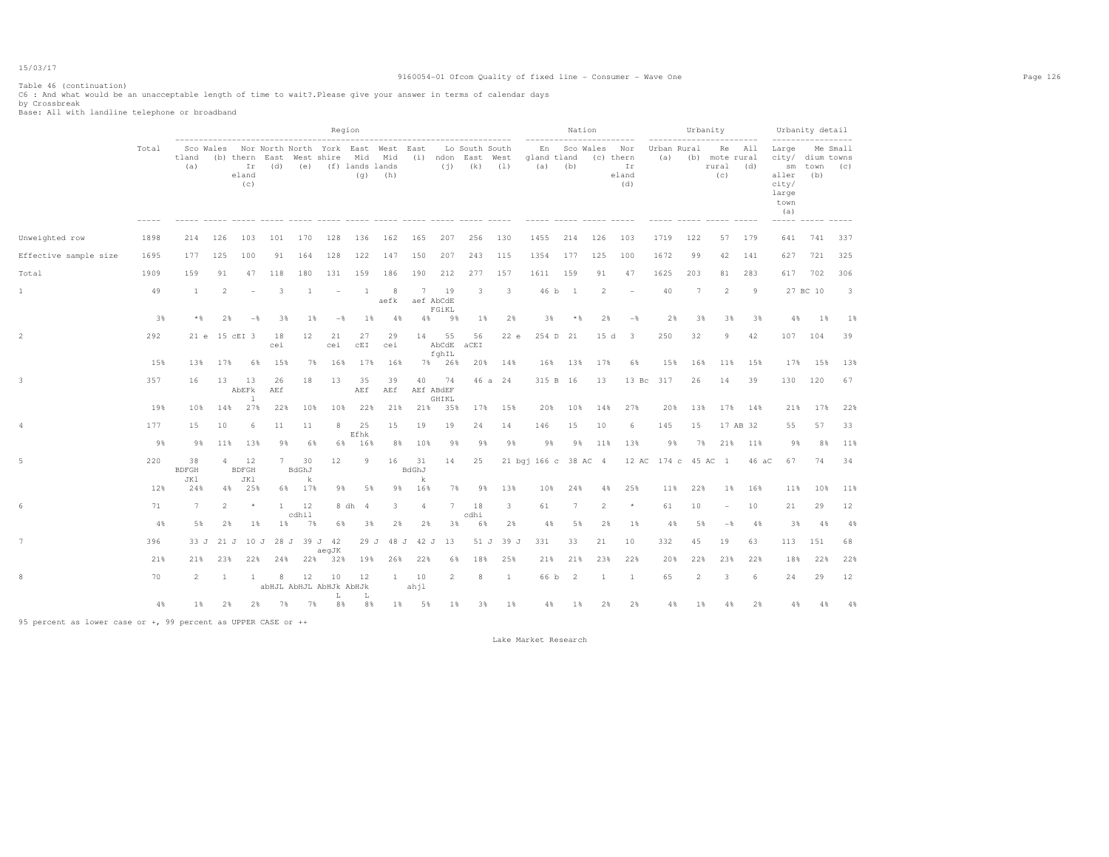### 9160054-01 Ofcom Quality of fixed line - Consumer - Wave One Page 126

Table 46 (continuation) C6 : And what would be an unacceptable length of time to wait?.Please give your answer in terms of calendar days by Crossbreak Base: All with landline telephone or broadband

|                       |       |                           |                |                                      |                             |                  |                                                                                        | Region     |              |                  |                          |                   |                                      |                      |                          | Nation |                |                           |                    | Urbanity            |                                          | ------- | $---$                                                                              | Urbanity detail |                 |
|-----------------------|-------|---------------------------|----------------|--------------------------------------|-----------------------------|------------------|----------------------------------------------------------------------------------------|------------|--------------|------------------|--------------------------|-------------------|--------------------------------------|----------------------|--------------------------|--------|----------------|---------------------------|--------------------|---------------------|------------------------------------------|---------|------------------------------------------------------------------------------------|-----------------|-----------------|
|                       | Total | tland<br>(a)              |                | (b) thern East<br>Ir<br>eland<br>(c) | (d)                         |                  | Sco Wales Nor North North York East West East<br>West shire Mid<br>(e) (f) lands lands | (q)        | Mid<br>(h)   |                  |                          | $(j)$ $(k)$ $(1)$ | Lo South South<br>(i) ndon East West | gland tland<br>(a)   | En Sco Wales<br>(b)      |        | (c) thern      | Nor<br>Ir<br>eland<br>(d) | Urban Rural<br>(a) |                     | Re All<br>(b) mote rural<br>rural<br>(C) | (d)     | Large<br>city/ dium towns<br>aller<br>city/<br>large<br>town<br>(a)<br>----- ----- | sm town<br>(b)  | Me Small<br>(C) |
| Unweighted row        | 1898  | 214                       | 126            | 103                                  | 101                         | 170              | 128                                                                                    | 136        | 162          | 165              | 207                      | 256               | 130                                  | 1455                 | 214                      |        | 126            | 103                       | 1719               | 122                 | 57 179                                   |         | 641                                                                                | 741             | 337             |
| Effective sample size | 1695  | 177                       | 125            | 100                                  | 91                          | 164              | 128                                                                                    | 122        | 147          | 150              | 207                      | 243               | 115                                  | 1354                 | 177                      |        | 125            | 100                       | 1672               | 99                  | 42                                       | 141     | 627                                                                                | 721             | 325             |
| Total                 | 1909  | 159                       | 91             | 47                                   | 118                         | 180              | 131                                                                                    | 159        | 186          | 190              | 212                      | 277               | 157                                  | 1611                 | 159                      |        | 91             | 47                        | 1625               | 203                 | 81                                       | 283     | 617                                                                                | 702             | 306             |
| $\mathbf{1}$          | 49    | <sup>1</sup>              | $\overline{2}$ | $\overline{\phantom{a}}$             | 3                           | -1               | $\overline{\phantom{a}}$                                                               | -1         | 8<br>aefk    | 7                | 19<br>aef AbCdE<br>FGiKL | 3                 | 3                                    | 46 b                 | $\overline{\phantom{1}}$ |        | $\overline{2}$ | ۰                         | 40                 | 7                   | $\overline{2}$                           | 9       |                                                                                    | 27 BC 10        | -3              |
|                       | 3%    | * %                       | 2%             | $-\frac{6}{6}$                       | 3%                          | 1%               | $-\frac{6}{5}$                                                                         | 1%         | 4%           | 4%               | 9%                       | $1\%$             | 2%                                   | 3%                   |                          | * %    | 2%             | $-\frac{6}{5}$            | 2%                 | 3%                  | 3%                                       | 3%      | 4%                                                                                 | 1%              | $1\%$           |
| $\overline{c}$        | 292   |                           |                | 21 e 15 cEI 3                        | 18<br>cei                   | 12               | 21<br>cei                                                                              | 27<br>CEI  | 29<br>cei    | 14               | 55<br>AbCdE<br>fghIL     | 56<br>aCEI        | 22e                                  |                      | 254 D 21                 |        | 15d            | -3                        | 250                | 32                  | 9                                        | 42      |                                                                                    | 107 104         | 39              |
|                       | 15%   | 13%                       | 17%            | 6%                                   | 15%                         | 7%               | 16%                                                                                    | 17%        | 16%          |                  | 7% 26%                   | 20%               | 14%                                  | 16%                  | 13%                      |        | 17%            | 6%                        | 15%                | 16%                 | 11%                                      | 15%     | 17%                                                                                | 15%             | 13%             |
| $\mathbf{3}$          | 357   | 16                        | 13             | 13<br>AbEFk<br><b>1</b>              | 26<br>AEf                   | 18               | 13                                                                                     | 35<br>AEf  | 39<br>AEf    | 40               | 74<br>AEf ABdEF<br>GHIKL |                   | 46 a 24                              |                      | 315 B 16                 |        | 13             | $13\,$ Bc                 | 317                | 26                  | 14                                       | 39      | 130                                                                                | 120             | 67              |
|                       | 19%   | 10%                       | 14%            | 27%                                  | 22%                         | 10%              | 10%                                                                                    | 22%        | 21%          | 21%              | 35%                      | 17%               | 15%                                  | 20%                  | 10%                      |        | 14%            | 27%                       | 20%                | 13%                 | 17%                                      | 14%     | 21%                                                                                | 17%             | 22%             |
| 4                     | 177   | 15                        | 10             | -6                                   | 11                          | 11               | 8                                                                                      | 25<br>Efhk | 15           | 19               | 19                       | 24                | 14                                   | 146                  | 15                       |        | 10             | 6                         | 145                | 15                  | 17 AB 32                                 |         | 55                                                                                 | 57              | 33              |
|                       | 9%    | 9%                        | 11%            | 13%                                  | 9%                          | 6%               | 6%                                                                                     | 16%        | 8%           | 10%              | 98                       | 98                | 9%                                   | 9%                   |                          | 9%     | 11%            | 13%                       | 9%                 | 7%                  | 21%                                      | 11%     | 9%                                                                                 | 8%              | 11%             |
| $\mathbbm{5}$         | 220   | 38<br><b>BDFGH</b><br>JK1 |                | 4 12<br><b>BDFGH</b><br>JK1          | 7                           | 30<br>BdGhJ<br>k | 12                                                                                     | 9          | 16           | 31<br>BdGhJ<br>k | 14                       | 25                |                                      | 21 bgj 166 c 38 AC 4 |                          |        |                |                           |                    | 12 AC 174 c 45 AC 1 |                                          | 46 aC   | 67                                                                                 | 74              | 34              |
|                       | 12%   | 24%                       |                | 4% 25%                               |                             | 6% 17%           | 9%                                                                                     | 5%         | 9%           | 16%              | 7%                       | 9%                | 13%                                  | 10%                  | 24%                      |        | 4%             | 25%                       | 11%                | 22%                 | $1\%$                                    | 16%     | 11%                                                                                | 10%             | 11%             |
| 6                     | 71    | $7\phantom{.0}$           | $\overline{2}$ | $\star$                              | 1                           | 12<br>cdhil      |                                                                                        | 8 dh 4     | 3            | $\overline{4}$   | 7                        | 18<br>cdhi        | 3                                    | 61                   | 7                        |        | $\overline{2}$ | $^{\star}$                | 61                 | 10                  |                                          | 10      | 21                                                                                 | 29              | 12              |
|                       | 4%    | 5%                        | 2%             | $1\%$                                | $1\%$                       | 7%               | 6%                                                                                     | 3%         | 2%           | 2%               | 3%                       | 6%                | 2%                                   | 4%                   |                          | 5%     | 2%             | 1%                        | 4%                 | 5%                  | $-$                                      | 4%      | 3%                                                                                 | 4%              | 4%              |
| 7                     | 396   |                           |                |                                      | 33 J 21 J 10 J 28 J 39 J 42 |                  | aegJK                                                                                  | 29 J       |              | 48 J 42 J        | 13                       | 51 J              | 39 J                                 | 331                  | 33                       |        | 21             | 10                        | 332                | 45                  | 19                                       | 63      | 113                                                                                | 151             | 68              |
|                       | 21%   | 21%                       | 23%            | 22%                                  | 24%                         | 22%              | 32%                                                                                    | 19%        | 26%          | 22%              | 6%                       | 18%               | 25%                                  | 21%                  | 21%                      |        | 23%            | 22%                       | 20%                | 22%                 | 23%                                      | 22%     | 18%                                                                                | 22%             | 22%             |
| 8                     | 70    | 2                         | <sup>1</sup>   | <sup>1</sup>                         | 8                           | 12               | 10<br>abHJL AbHJL AbHJk AbHJk<br>L                                                     | 12<br>L    | $\mathbf{1}$ | 10<br>ahjl       | 2                        | 8                 | 1                                    | 66 b                 | $\overline{c}$           |        | 1              | $\mathbf{1}$              | 65                 | 2                   | 3                                        | 6       | 24                                                                                 | 29              | 12              |
|                       | 4%    | 1%                        | 2%             | 2%                                   | 7%                          | 7%               | 8%                                                                                     | 8%         | $1\%$        | 5%               | 1%                       | 3%                | 1%                                   | 4%                   |                          | 1%     | 2%             | 2%                        | 4%                 | 1%                  | 4%                                       | 2%      | 4%                                                                                 | 4%              | 4%              |

95 percent as lower case or +, 99 percent as UPPER CASE or ++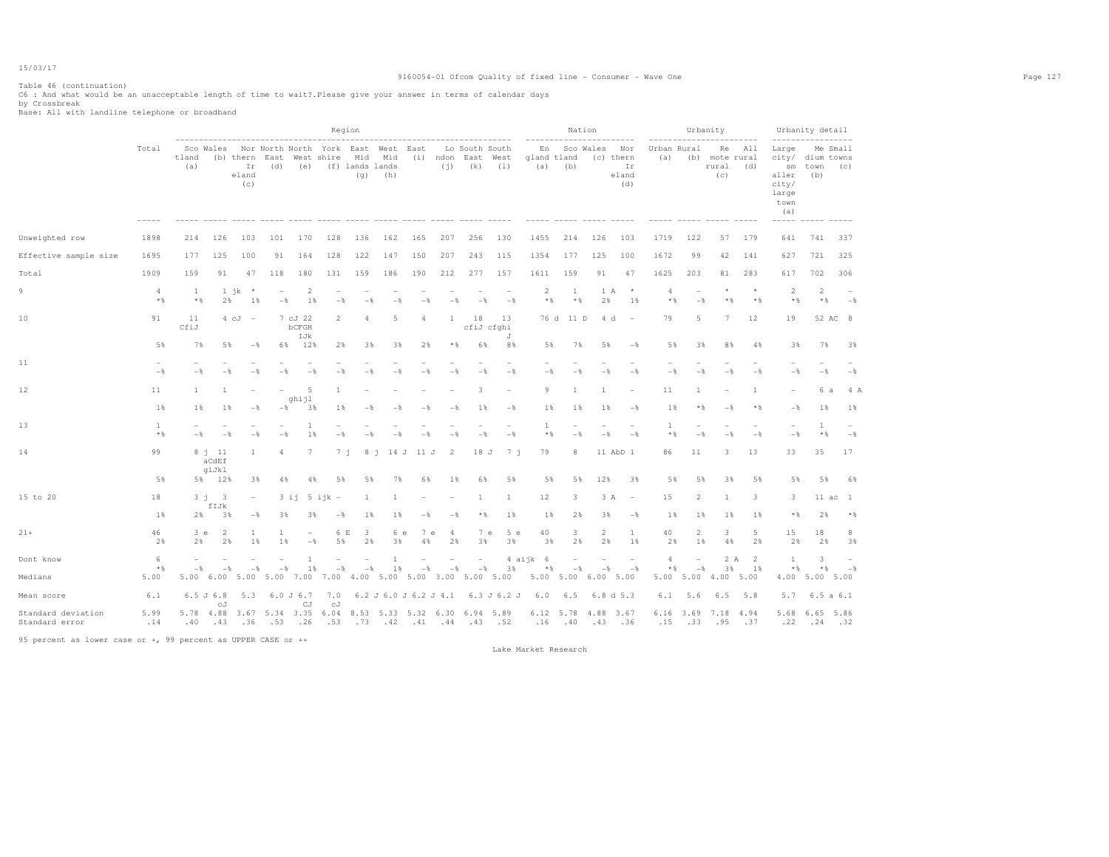Table 46 (continuation) C6 : And what would be an unacceptable length of time to wait?.Please give your answer in terms of calendar days by Crossbreak Base: All with landline telephone or broadband

|                                                    |                         |                     |                                                        |                               |                                                       |                                 | Region                                            |                                                   |              |                                                          |                                 |                                             |                       |                          |                                              | Nation                  |                                                     |                         |                                                    | Urbanity                             |                         |                                                                                                                        | Urbanity detail                     |                                            |
|----------------------------------------------------|-------------------------|---------------------|--------------------------------------------------------|-------------------------------|-------------------------------------------------------|---------------------------------|---------------------------------------------------|---------------------------------------------------|--------------|----------------------------------------------------------|---------------------------------|---------------------------------------------|-----------------------|--------------------------|----------------------------------------------|-------------------------|-----------------------------------------------------|-------------------------|----------------------------------------------------|--------------------------------------|-------------------------|------------------------------------------------------------------------------------------------------------------------|-------------------------------------|--------------------------------------------|
|                                                    | Total                   | tland<br>(a)        | Sco Wales                                              | Ir<br>eland<br>(c)            | ----------------------------<br>(b) thern East<br>(d) | (e)                             | Nor North North York East West East<br>West shire | Mid<br>(f) lands lands<br>(q)                     | Mid<br>(h)   |                                                          | (i)                             | Lo South South<br>(i) ndon East West<br>(k) | (1)                   | En<br>gland tland<br>(a) | (b)                                          | Sco Wales               | ---------<br>Nor<br>(c) thern<br>Ir<br>eland<br>(d) | (a)                     | Urban Rural                                        | Re<br>(b) mote rural<br>rural<br>(C) | ---------<br>All<br>(d) | -----------------<br>Large<br>city/ dium towns<br>$\mathop{\rm sm}\nolimits$<br>aller<br>city/<br>large<br>town<br>(a) | town<br>(b)                         | Me Small<br>(c)                            |
| Unweighted row                                     | 1898                    | 214                 | 126                                                    | 103                           | 101                                                   | 170                             | 128                                               | 136                                               | 162          | 165                                                      | 207                             | 256                                         | 130                   | 1455                     | 214                                          | 126                     | 103                                                 | 1719                    | 122                                                | 57                                   | 179                     | 641                                                                                                                    | 741                                 | 337                                        |
| Effective sample size                              | 1695                    | 177                 | 125                                                    | 100                           | 91                                                    | 164                             | 128                                               | 122                                               | 147          | 150                                                      | 207                             | 243                                         | 115                   | 1354                     | 177                                          | 125                     | 100                                                 | 1672                    | 99                                                 | 42                                   | 141                     | 627                                                                                                                    | 721                                 | 325                                        |
| Total                                              | 1909                    | 159                 | 91                                                     | 47                            | 118                                                   | 180                             | 131                                               | 159                                               | 186          | 190                                                      | 212                             | 277                                         | 157                   | 1611                     | 159                                          | 91                      | 47                                                  | 1625                    | 203                                                | 81                                   | 283                     | 617                                                                                                                    | 702                                 | 306                                        |
| 9                                                  | $\overline{4}$<br>$*$ & | <sup>1</sup><br>$*$ | 2%                                                     | $1$ jk<br>$\rightarrow$<br>1% | ۰<br>$-$                                              | $\overline{2}$<br>$1\%$         | $-\frac{6}{2}$                                    |                                                   |              |                                                          |                                 |                                             | $-\frac{6}{2}$        | $\overline{2}$<br>$*$ &  | 1<br>$*$ &                                   | 1 A<br>2%               | $\star$<br>1%                                       | $\overline{a}$<br>$*$ % | ۰<br>$-\frac{6}{2}$                                | $\star$<br>$*$                       | $\star$<br>$*$          | $\overline{2}$<br>$*$ %                                                                                                | 2<br>$*$ &                          | $-\frac{6}{5}$                             |
| 10                                                 | 91                      | 11<br>CfiJ          |                                                        | $4\text{ cJ}$ -               |                                                       | 7 cJ 22<br>bCFGH<br>IJk         | $\overline{2}$                                    |                                                   | 5            | 4                                                        | 1                               | 18                                          | 13<br>cfiJ cfghi<br>J |                          | 76 d 11 D                                    | 4 d                     | $\overline{\phantom{a}}$                            | 79                      | 5                                                  | 7                                    | 12                      | 19                                                                                                                     |                                     | 52 AC 8                                    |
|                                                    | 5%                      | 7%                  | 5%                                                     | $-\frac{6}{5}$                | 6%                                                    | 12%                             | 2%                                                | 3%                                                | 3%           | 2%                                                       | $*$ &                           | 6%                                          | 8%                    | 5%                       | 7%                                           | 5%                      | $-$                                                 | 5%                      | 3%                                                 | 8%                                   | 4%                      | 3%                                                                                                                     | 7%                                  | 3%                                         |
| 11                                                 | $-\frac{6}{5}$          | $-$                 | $-$                                                    | $-$ %                         | - %                                                   | $-\frac{6}{5}$                  | $-\frac{6}{5}$                                    | $-$                                               | $-$          | $-\frac{6}{5}$                                           | $-\frac{6}{5}$                  | $-$                                         | $-$                   | $-\frac{6}{5}$           | $-$                                          | $ \frac{6}{2}$          | $-$                                                 | $-$                     | $-\frac{6}{5}$                                     | $-$ %                                | $-$ %                   | $-$                                                                                                                    | $-$                                 | $-\frac{6}{5}$                             |
| 12                                                 | 11                      | $\overline{1}$      | 1                                                      |                               |                                                       | -5                              | 1                                                 |                                                   |              |                                                          |                                 | 3                                           |                       | -9                       | $\mathbf{1}$                                 | -1                      |                                                     | 11                      | -1.                                                |                                      | $\mathbf{1}$            |                                                                                                                        | 6 a                                 | 4 A                                        |
|                                                    | 1%                      | 1                   | 1%                                                     | $-$ %                         | - %                                                   | ghijl<br>3%                     | 1%                                                |                                                   |              |                                                          | $ \frac{6}{3}$                  | 1%                                          | $-$                   | 1%                       | 1%                                           | 1%                      | $-$                                                 | 1%                      | $*$                                                | $-$                                  | $*$ &                   | $-\frac{6}{5}$                                                                                                         | 1%                                  | 1%                                         |
| 13                                                 | 1<br>$*$ &              | $-$                 | $-$                                                    | - 2                           | $-$                                                   | 1<br>1%                         | $-$                                               |                                                   |              |                                                          |                                 | $-8$                                        | $-$                   | 1<br>$*$ &               | $-8$                                         | $-8$                    | $-$                                                 | $\mathbf{1}$<br>$*$ &   | $\overline{\phantom{0}}$<br>$-8$                   | $-8$                                 | $-8$                    | $\overline{\phantom{a}}$<br>$-$                                                                                        | $\mathbf{1}$<br>$\star$ &           | $-$                                        |
| 14                                                 | 99                      |                     | $8$ i $11$<br>$\operatorname{acd}\!\operatorname{eff}$ | 1                             | $\overline{4}$                                        | $7\phantom{.0}$                 | $7 - i$                                           | 8j                                                |              | 14 J 11 J                                                | 2                               | 18 J                                        | 7 i                   | 79                       | 8                                            |                         | 11 AbD 1                                            | 86                      | 11                                                 | 3                                    | 13                      | 33                                                                                                                     | 35                                  | 17                                         |
|                                                    | 5%                      |                     | qiJkl<br>5% 12%                                        | 3%                            | 4%                                                    | 4%                              | 5%                                                | 5%                                                | 7%           | 6%                                                       | $1\%$                           | 6%                                          | 5%                    | 5%                       | 5%                                           | 12%                     | 3%                                                  | 5%                      | 5%                                                 | 3%                                   | 5%                      | 5%                                                                                                                     | 5%                                  | 6%                                         |
| 15 to 20                                           | 18                      |                     | 3j <sub>3</sub>                                        |                               |                                                       | $3 i 1 5 i 1 k -$               |                                                   | -1.                                               | $\mathbf{1}$ |                                                          |                                 | 1                                           | 1                     | 12                       | 3                                            | 3 A                     | $\overline{\phantom{a}}$                            | 15                      | $\overline{2}$                                     | 1                                    | 3                       | 3                                                                                                                      |                                     | $11$ ac $1$                                |
|                                                    | 1%                      | 2%                  | fIJk<br>3%                                             | $-$                           | 3%                                                    | 3%                              | $-\frac{6}{5}$                                    | $1\%$                                             | 1%           | $-$                                                      | $-$                             | $*$ &                                       | 1%                    | 1%                       | 2%                                           | 3%                      | $-$ 8                                               | $1\%$                   | $1\%$                                              | $1\%$                                | $1\%$                   | $*$ %                                                                                                                  | 2%                                  | $*$ %                                      |
| $21+$                                              | 46<br>2%                | 3 e<br>2%           | $\overline{2}$<br>2%                                   | 1<br>1%                       | 1<br>18                                               | $\overline{\phantom{a}}$<br>$-$ | 6 E<br>5%                                         | 3<br>2%                                           | 6 e<br>3%    | 7e<br>4%                                                 | 4<br>2%                         | 7 e<br>3%                                   | 5e<br>3%              | 40<br>3%                 | 3<br>2%                                      | $\overline{2}$<br>2%    | 1<br>1%                                             | 40<br>2%                | 2<br>1%                                            | 3<br>4%                              | 5<br>2%                 | 15<br>2%                                                                                                               | 18<br>2%                            | 8<br>3%                                    |
| Dont know<br>Medians                               | 6<br>$*$ %<br>5.00      | $-$<br>5.00         | $-$<br>6.00                                            | $-$<br>5.00                   | $-$<br>5.00                                           | $\overline{1}$<br>1%<br>7.00    | $-$<br>7.00                                       | $-\frac{6}{5}$<br>4.00 5.00 5.00 3.00 5.00 5.00   | 1<br>1       | $-\frac{6}{5}$                                           | $\overline{\phantom{a}}$<br>$-$ | $\overline{\phantom{a}}$<br>$-\frac{6}{6}$  | 3%                    | 4 aijk 6<br>$*$          | $\overline{a}$<br>$-$<br>5.00 5.00 6.00 5.00 | $\overline{a}$<br>$-\,$ | $\overline{\phantom{a}}$<br>$-\frac{6}{9}$          | 4<br>* %<br>5.00        | $\overline{\phantom{a}}$<br>$-\frac{6}{5}$<br>5.00 | 2 A<br>3%<br>4.00 5.00               | <sup>2</sup><br>1%      | 1<br>$*$ %                                                                                                             | 3<br>$*$<br>4.00 5.00 5.00          | $\overline{\phantom{a}}$<br>$-\frac{6}{3}$ |
|                                                    | 6.1                     |                     | 6.5J6.8                                                | 5.3                           |                                                       | $6.0 \text{ J} 6.7$             | 7.0                                               |                                                   |              |                                                          |                                 |                                             |                       |                          | 6.5                                          |                         |                                                     | 6.1                     | 5.6                                                | 6.5                                  | 5.8                     | 5.7                                                                                                                    | 6.5a6.1                             |                                            |
| Mean score<br>Standard deviation<br>Standard error | 5.99<br>.14             | 5.78 4.88<br>.40    | сJ<br>.43                                              | .36                           | 3.67 5.34 3.35<br>.53                                 | CJ<br>.26                       | сJ<br>.53                                         | 6.04 8.53 5.33 5.32 6.30 6.94 5.89<br>$.73 - .42$ |              | $6.2$ J $6.0$ J $6.2$ J $4.1$<br>$.41$ $.44$ $.43$ $.52$ |                                 |                                             | 6.3 J 6.2 J           | 6.0                      | $6.12 \quad 5.78$<br>$.16 - .40$             | 4.88 3.67<br>.43        | 6.8 d 5.3<br>.36                                    | .15                     | .33                                                | 6.16 3.69 7.18 4.94<br>.95           | .37                     |                                                                                                                        | 5.68 6.65 5.86<br>$.22$ $.24$ $.32$ |                                            |

95 percent as lower case or +, 99 percent as UPPER CASE or ++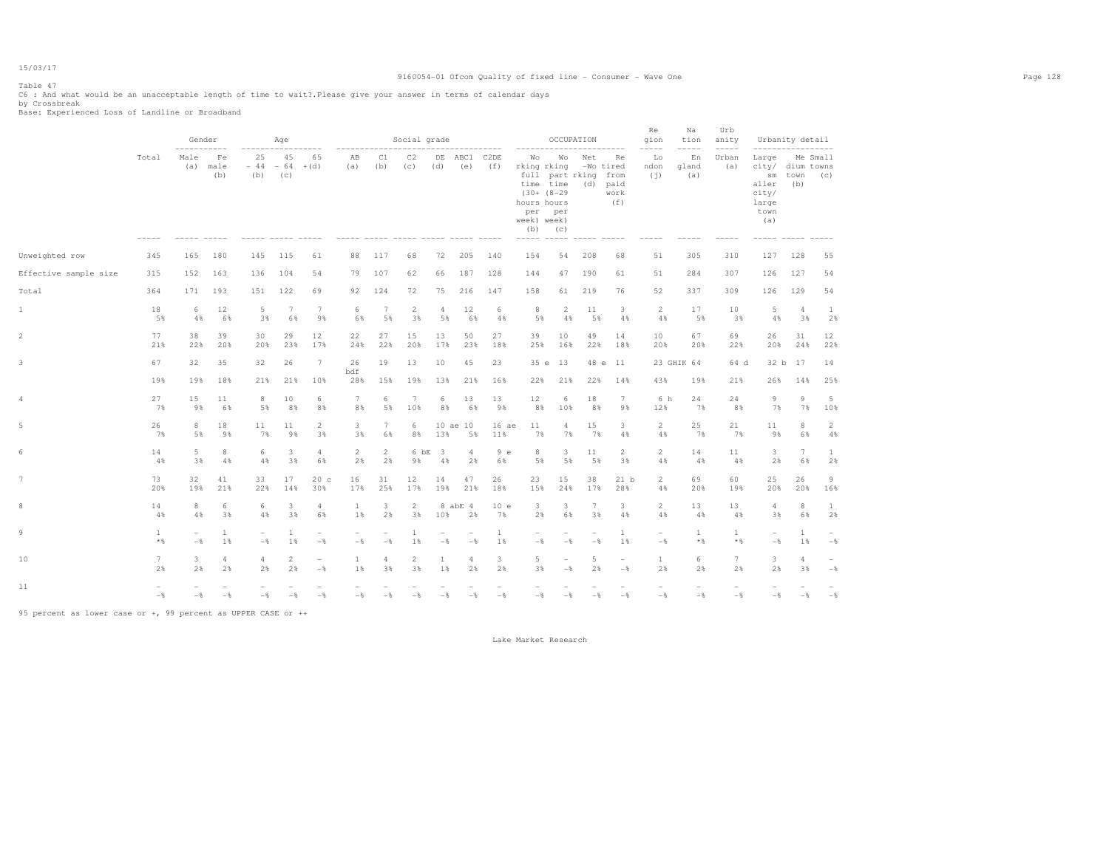# Table 47

C6 : And what would be an unacceptable length of time to wait?.Please give your answer in terms of calendar days<br>by Crossbreak<br>Base: Experienced Loss of Landline or Broadband

|                         |                       | Gender<br>$- - - - -$         |                      |                                            | Age                  |                                            |                                 |                      | Social grade                                   |                                  |                                 |                          |                                                                                     | OCCUPATION                              |                                     |                                                | Re<br>aion<br>-----                        | Na<br>tion<br>$- - - - -$ | Urb<br>anity<br>$- - - - -$ |                                                                                        | Urbanity detail           |                                            |
|-------------------------|-----------------------|-------------------------------|----------------------|--------------------------------------------|----------------------|--------------------------------------------|---------------------------------|----------------------|------------------------------------------------|----------------------------------|---------------------------------|--------------------------|-------------------------------------------------------------------------------------|-----------------------------------------|-------------------------------------|------------------------------------------------|--------------------------------------------|---------------------------|-----------------------------|----------------------------------------------------------------------------------------|---------------------------|--------------------------------------------|
|                         | Total                 | Male<br>(a)                   | Fe<br>male<br>(b)    | 25<br>$-44$<br>(b)                         | 45<br>$-64$<br>(C)   | 65<br>$+(d)$                               | AB<br>(a)                       | C1<br>(b)            | C2<br>(C)<br>----- ----- ----- ---- ----- ---- | DE<br>(d)                        | ABC1<br>(e)                     | C <sub>2</sub> DE<br>(f) | Wo<br>rking rking<br>time time<br>$(30+ (8-29$<br>hours hours<br>week) week)<br>(b) | Wо<br>full part rking<br>per per<br>(c) | Net<br>(d)                          | Re<br>-Wo tired<br>from<br>paid<br>work<br>(f) | Lo<br>ndon<br>(i)                          | En<br>gland<br>(a)        | Urban<br>(a)                | Large<br>city/<br>$\mathop{\rm sm}\nolimits$<br>aller<br>city/<br>large<br>town<br>(a) | dium towns<br>town<br>(b) | Me Small<br>(C)                            |
| Unweighted row          | 345                   | 165                           | 180                  | 145                                        | 115                  | 61                                         | 88                              | 117                  | 68                                             | 72                               | 205                             | 140                      | 154                                                                                 | 54                                      | 208                                 | 68                                             | 51                                         | 305                       | 310                         | 127                                                                                    | 128                       | 55                                         |
| Effective sample size   | 315                   | 152                           | 163                  | 136                                        | 104                  | 54                                         | 79                              | 107                  | 62                                             | 66                               | 187                             | 128                      | 144                                                                                 | 47                                      | 190                                 | 61                                             | 51                                         | 284                       | 307                         | 126                                                                                    | 127                       | 54                                         |
| Total                   | 364                   | 171                           | 193                  | 151                                        | 122                  | 69                                         | 92                              | 124                  | 72                                             | 75                               | 216                             | 147                      | 158                                                                                 | 61                                      | 219                                 | 76                                             | 52                                         | 337                       | 309                         | 126                                                                                    | 129                       | 54                                         |
| $\mathbf{1}$            | 18<br>5%              | 6<br>4%                       | 12<br>6%             | 5<br>3%                                    | 7<br>6%              | $7\phantom{.0}$<br>9%                      | 6<br>6%                         | 7<br>5%              | $\mathbf{2}$<br>3%                             | $\overline{4}$<br>5%             | 12<br>6%                        | 6<br>$4\,$               | 8<br>5%                                                                             | 2<br>$4\,$                              | 11<br>5%                            | 3<br>4%                                        | 2<br>$4\,$                                 | 17<br>5%                  | 10<br>3%                    | 5<br>4%                                                                                | $\overline{4}$<br>3%      | -1<br>2%                                   |
| 2                       | 77<br>21%             | 38<br>22%                     | 39<br>20%            | 30<br>20%                                  | 29<br>23%            | 12<br>17%                                  | 22<br>24%                       | 27<br>22%            | 15<br>20%                                      | 13<br>17%                        | 50<br>23%                       | 27<br>18%                | 39<br>25%                                                                           | 10<br>16%                               | 49<br>22%                           | 14<br>18%                                      | 10<br>20%                                  | 67<br>20%                 | 69<br>22%                   | 26<br>20%                                                                              | 31<br>24%                 | 12<br>22%                                  |
| $\overline{\mathbf{3}}$ | 67<br>19%             | 32<br>19%                     | 35<br>18%            | 32<br>21%                                  | 26<br>21%            | 7<br>10%                                   | 26<br>bdf<br>28%                | 19<br>15%            | 13<br>19%                                      | 10<br>13%                        | 45<br>21%                       | 23<br>16%                | 35 e<br>22%                                                                         | 13<br>21%                               | 48 e<br>22%                         | 11<br>14%                                      | 43%                                        | 23 GHIK 64<br>19%         | 64 d<br>21%                 | 26%                                                                                    | 32 b 17<br>14%            | 14<br>25%                                  |
| $\overline{4}$          | 27<br>7%              | 15<br>9%                      | 11<br>6%             | 8<br>5%                                    | 10<br>8%             | 6<br>8%                                    | 7<br>8%                         | 6<br>5%              | $7\phantom{.0}$<br>10%                         | 6<br>8%                          | 13<br>6%                        | 13<br>9%                 | 12<br>8%                                                                            | 6<br>10%                                | 18<br>8%                            | $7\phantom{.0}$<br>9%                          | 6 h<br>12%                                 | 24<br>7%                  | 24<br>8%                    | 9<br>7%                                                                                | 9<br>7%                   | 5<br>10%                                   |
| 5                       | 26<br>7%              | 8<br>5%                       | 18<br>9%             | 11<br>7%                                   | 11<br>9%             | $\overline{c}$<br>3%                       | 3<br>3%                         | 7<br>6%              | 6<br>8%                                        | 13%                              | 10 ae 10<br>5%                  | 16 ae<br>11%             | 11<br>7%                                                                            | $\overline{4}$<br>7%                    | 15<br>7%                            | 3<br>4%                                        | $\overline{2}$<br>4%                       | 25<br>7%                  | 21<br>7%                    | 11<br>9%                                                                               | 8<br>6%                   | $\overline{2}$<br>4%                       |
| 6                       | 14<br>4%              | $5\phantom{.}$<br>3%          | 8<br>4%              | 6<br>4%                                    | 3<br>3%              | $\overline{4}$<br>6%                       | 2<br>2%                         | $\overline{2}$<br>2% | 6 bE<br>9%                                     | $\overline{\mathbf{3}}$<br>$4\,$ | 4<br>2%                         | 9e<br>6%                 | 8<br>5%                                                                             | 3<br>5%                                 | 11<br>5%                            | $\mathbf{2}$<br>3%                             | $\overline{2}$<br>4%                       | 14<br>4%                  | 11<br>4%                    | $\overline{\mathbf{3}}$<br>2%                                                          | 7<br>6%                   | $\mathbf{1}$<br>2%                         |
| $7\phantom{.0}$         | 73<br>20%             | 32<br>19%                     | 41<br>21%            | 33<br>22%                                  | 17<br>14%            | 20c<br>30%                                 | 16<br>17%                       | 31<br>25%            | 12<br>17%                                      | 14<br>19%                        | 47<br>21%                       | 26<br>18%                | 23<br>15%                                                                           | 15<br>24%                               | 38<br>17%                           | 21 b<br>28%                                    | $\overline{2}$<br>4%                       | 69<br>20%                 | 60<br>19%                   | 25<br>20%                                                                              | 26<br>20%                 | 9<br>16%                                   |
| 8                       | 14<br>4%              | 8<br>4%                       | 6<br>3%              | 6<br>4%                                    | 3<br>3%              | $\overline{4}$<br>6%                       | $\mathbf{1}$<br>1%              | 3<br>2%              | $\mathbf{2}$<br>3%                             | 10%                              | 8 abE 4<br>2%                   | 10e<br>7%                | 3<br>2%                                                                             | 3<br>6%                                 | $7\phantom{.0}$<br>3%               | 3<br>4%                                        | 2<br>4%                                    | 13<br>4%                  | 13<br>4%                    | $\overline{4}$<br>3%                                                                   | 8<br>6%                   | $\mathbf{1}$<br>2%                         |
| 9                       | $\mathbf{1}$<br>$*$ & | $\sim$<br>$-$                 | $\mathbf{1}$<br>1%   | $\overline{\phantom{a}}$<br>$-\frac{6}{5}$ | $\overline{1}$<br>1% | $\overline{\phantom{m}}$<br>$-\frac{6}{6}$ | $\overline{\phantom{a}}$<br>$-$ | ۰<br>$-$             | 1<br>1%                                        | $-$                              | $\overline{\phantom{a}}$<br>$-$ | $\mathbf{1}$<br>1%       | $-$                                                                                 | $\overline{\phantom{a}}$<br>$-$         | $\qquad \qquad -$<br>$-\frac{6}{6}$ | $\mathbf{1}$<br>1%                             | $\overline{\phantom{a}}$<br>$-\frac{6}{6}$ | $\mathbf{1}$<br>$*$ %     | $\mathbf{1}$<br>$*$ %       | $\overline{\phantom{a}}$<br>$-$                                                        | $\mathbf{1}$<br>1%        | $-$                                        |
| 10                      | $7\phantom{.0}$<br>2% | $\overline{\mathbf{3}}$<br>2% | $\overline{4}$<br>2% | $\overline{4}$<br>2%                       | $\overline{c}$<br>2% | $\overline{\phantom{a}}$<br>$-\frac{6}{5}$ | 1<br>1%                         | $\overline{a}$<br>3% | 2<br>3%                                        | 1<br>1%                          | $\overline{4}$<br>2%            | 3<br>2%                  | 5<br>3%                                                                             | $\overline{\phantom{0}}$<br>$-$         | 5<br>2%                             | $\overline{\phantom{m}}$<br>$-$                | 1<br>2%                                    | 6<br>2%                   | 7<br>2%                     | 3<br>2%                                                                                | $\overline{4}$<br>3%      | $\overline{\phantom{0}}$<br>$-\frac{6}{5}$ |
| 11                      | $-\frac{6}{5}$        | $-\frac{6}{5}$                | $-$                  | $-\frac{6}{5}$                             | $-\frac{6}{5}$       | $-\frac{6}{5}$                             | $-$                             | - *                  | $-\frac{6}{5}$                                 | $-$                              | $-$                             | $-\frac{6}{5}$           | $-$                                                                                 | - *                                     | $-\frac{6}{5}$                      | $-$                                            | $-\frac{6}{5}$                             | $-$                       | $-$                         | $-$                                                                                    | $-\frac{6}{5}$            | $-$                                        |

95 percent as lower case or +, 99 percent as UPPER CASE or ++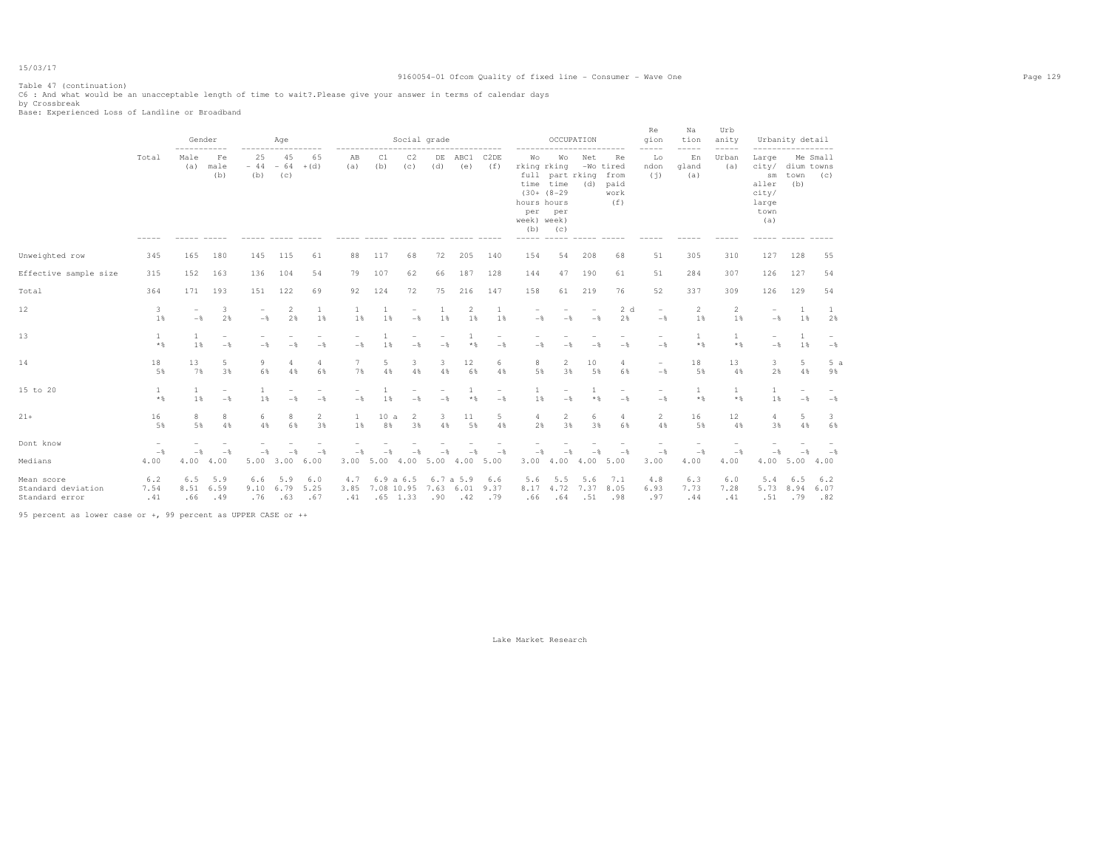### 9160054-01 Ofcom Quality of fixed line - Consumer - Wave One Page 129

Table 47 (continuation) C6 : And what would be an unacceptable length of time to wait?.Please give your answer in terms of calendar days by Crossbreak Base: Experienced Loss of Landline or Broadband

|                                                    |                        |                                            | Gender<br>$- - - - -$  |                                            | Age                |                        |                    |                                       | Social grade   |                  | ----------     |                      |                                                | OCCUPATION                                                                       |                    | --------                                       | Re<br>qion<br>$-- - - -$                   | Na<br>tion<br>$--- - - -$ | Urb<br>anity<br>$- - - - -$ |                                                                | Urbanity detail<br>----------------- |                    |
|----------------------------------------------------|------------------------|--------------------------------------------|------------------------|--------------------------------------------|--------------------|------------------------|--------------------|---------------------------------------|----------------|------------------|----------------|----------------------|------------------------------------------------|----------------------------------------------------------------------------------|--------------------|------------------------------------------------|--------------------------------------------|---------------------------|-----------------------------|----------------------------------------------------------------|--------------------------------------|--------------------|
|                                                    | Total                  | Male<br>(a)                                | Fe<br>male<br>(b)      | 25<br>$-44$<br>(b)                         | 45<br>$-64$<br>(C) | 65<br>$+(d)$           | AВ<br>(a)          | C1<br>(b)                             | C2<br>(c)      | DE<br>(d)        | ABC1<br>(e)    | C2DE<br>(f)          | Wo<br>hours hours<br>per<br>week) week)<br>(b) | Wo<br>rking rking<br>full part rking<br>time time<br>$(30+ (8-29)$<br>per<br>(C) | Net<br>(d)         | Re<br>-Wo tired<br>from<br>paid<br>work<br>(f) | Lo<br>ndon<br>(i)                          | En<br>gland<br>(a)        | Urban<br>(a)                | Large<br>city/<br>sm<br>aller<br>city/<br>large<br>town<br>(a) | dium towns<br>town<br>(b)            | Me Small<br>(C)    |
| Unweighted row                                     | 345                    | 165                                        | 180                    | 145                                        | 115                | 61                     | 88                 | 117                                   | 68             | 72               | 205            | 140                  | 154                                            | 54                                                                               | 208                | 68                                             | 51                                         | 305                       | 310                         | 127                                                            | 128                                  | 55                 |
| Effective sample size                              | 315                    | 152                                        | 163                    | 136                                        | 104                | 54                     | 79                 | 107                                   | 62             | 66               | 187            | 128                  | 144                                            | 47                                                                               | 190                | 61                                             | 51                                         | 284                       | 307                         | 126                                                            | 127                                  | 54                 |
| Total                                              | 364                    | 171                                        | 193                    | 151                                        | 122                | 69                     | 92                 | 124                                   | 72             | 75               | 216            | 147                  | 158                                            | 61                                                                               | 219                | 76                                             | 52                                         | 337                       | 309                         | 126                                                            | 129                                  | 54                 |
| 12                                                 | 3<br>1%                | $\overline{\phantom{a}}$<br>$-\frac{6}{5}$ | 3<br>2%                | $\overline{\phantom{0}}$<br>$-\frac{6}{5}$ | 2<br>2%            | 1<br>1%                | <sup>1</sup><br>1% | $\mathbf{1}$<br>1%                    | $-\,$          | 1<br>1%          | 2<br>1%        | $\overline{1}$<br>1% | $-\frac{6}{5}$                                 | $-$                                                                              | $-\frac{6}{5}$     | 2d<br>2%                                       | $\overline{\phantom{0}}$<br>$-$ %          | 2<br>1%                   | $\overline{2}$<br>1%        | $\overline{\phantom{0}}$<br>$-\,$                              | <sup>1</sup><br>1%                   | -1<br>2%           |
| 13                                                 | $\mathbf{1}$<br>$*$ &  | 1<br>1%                                    | $-$                    | $-$                                        | $-$                | $-$                    | $-$                | $\overline{1}$<br>1%                  | $-\frac{6}{6}$ | $-\frac{6}{6}$   | $*$ %          | ۰<br>$-$             | $-$                                            | $-$                                                                              |                    | $-$                                            | $\overline{\phantom{0}}$<br>$-\frac{6}{6}$ | 1<br>$*$ &                | 1<br>$*$ %                  | $\overline{\phantom{a}}$<br>$-$                                | -1<br>1%                             | $-\frac{6}{5}$     |
| 14                                                 | 18<br>5%               | 13<br>7%                                   | 5<br>3%                | 9<br>6%                                    | 4<br>4%            | 4<br>6%                | 7<br>7%            | 5<br>4%                               | 3<br>4%        | 3<br>4%          | 12<br>6%       | 6<br>4%              | 8<br>5%                                        | $\overline{2}$<br>3%                                                             | 10<br>5%           | 4<br>6%                                        | $\overline{\phantom{0}}$<br>$-\frac{6}{5}$ | 18<br>5%                  | 13<br>4%                    | 3<br>2%                                                        | 5<br>4%                              | 5a<br>9%           |
| 15 to 20                                           | $\mathbf{1}$<br>$*$ &  | $\mathbf{1}$<br>1%                         | $-\frac{6}{5}$         | $\mathbf{1}$<br>1%                         | $-$                | $-$                    | $-$                | 1%                                    | $-$            | $-\frac{6}{5}$   | $*$ %          | $-$                  | 1%                                             | $-$                                                                              | 1<br>$*$ %         | $-$                                            | $\overline{\phantom{0}}$<br>$-\frac{6}{5}$ | $\mathbf{1}$<br>$*$       | $\mathbf{1}$<br>$*$         | $\mathbf{1}$<br>1%                                             | $-$                                  | $-\frac{6}{5}$     |
| $21+$                                              | 16<br>5%               | 8<br>5%                                    | 8<br>4%                | 6<br>4%                                    | 8<br>6%            | 2<br>3%                | 1<br>1%            | 10a<br>8%                             | 2<br>3%        | 3<br>4%          | 11<br>5%       | 5<br>4%              | 4<br>2%                                        | $\overline{2}$<br>3%                                                             | 6<br>3%            | 4<br>6%                                        | $\overline{2}$<br>4%                       | 16<br>5%                  | 12<br>4%                    | 4<br>3%                                                        | 5<br>4%                              | 3<br>6%            |
| Dont know                                          |                        |                                            |                        | $-$                                        |                    |                        |                    |                                       |                |                  |                |                      |                                                |                                                                                  |                    |                                                |                                            |                           |                             |                                                                |                                      |                    |
| Medians                                            | $-\frac{6}{5}$<br>4.00 | $-$<br>4.00                                | $-\frac{6}{5}$<br>4.00 | 5.00                                       | $-$<br>3.00        | $-\frac{6}{5}$<br>6.00 | $-$<br>3.00        | 5.00                                  | $-$<br>4.00    | 5.00             | 4.00           | $-$<br>5.00          | $-\frac{6}{5}$<br>3.00                         | 4.00                                                                             | 4.00               | $-$<br>5.00                                    | $-$<br>3.00                                | $-$<br>4.00               | $-\frac{6}{6}$<br>4.00      | $-$<br>4.00                                                    | $-$<br>5.00                          | $-$<br>4.00        |
| Mean score<br>Standard deviation<br>Standard error | 6.2<br>7.54<br>.41     | 6.5<br>8.51<br>.66                         | 5.9<br>6.59<br>.49     | 6.6<br>9.10<br>.76                         | 5.9<br>6.79<br>.63 | 6.0<br>5.25<br>.67     | 4.7<br>3.85<br>.41 | 6.9 a 6.5<br>7.08 10.95<br>$.65$ 1.33 |                | 7.63 6.01<br>.90 | 6.7a5.9<br>.42 | 6.6<br>9.37<br>.79   | 5.6<br>8.17<br>.66                             | 5.5<br>4.72<br>.64                                                               | 5.6<br>7.37<br>.51 | 7.1<br>8.05<br>.98                             | 4.8<br>6.93<br>.97                         | 6.3<br>7.73<br>.44        | 6.0<br>7.28<br>.41          | 5.4<br>5.73<br>.51                                             | 6.5<br>8.94<br>.79                   | 6.2<br>6.07<br>.82 |

95 percent as lower case or +, 99 percent as UPPER CASE or ++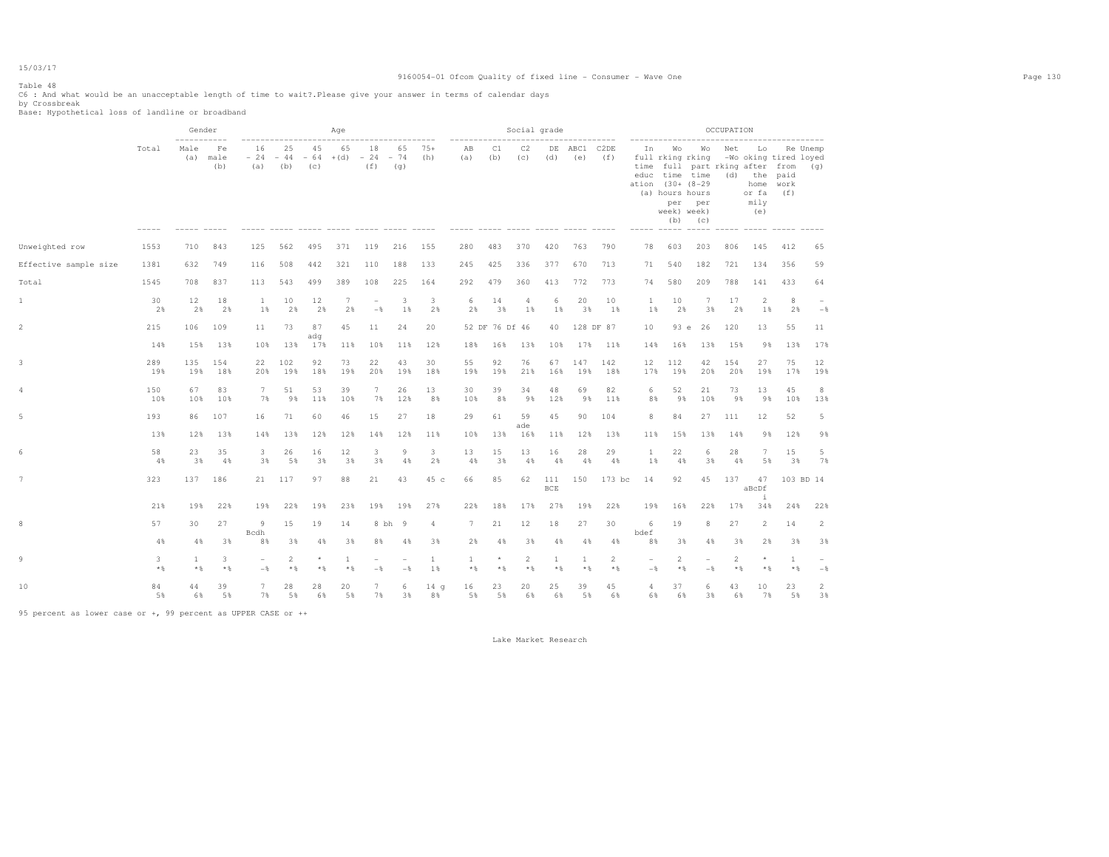### 9160054-01 Ofcom Quality of fixed line - Consumer - Wave One Page 130

# Table 48

C6 : And what would be an unacceptable length of time to wait?.Please give your answer in terms of calendar days by Crossbreak Base: Hypothetical loss of landline or broadband

|                       |            | Gender<br>------------ |                   |                                 |                    |                    | Age          |                                 |                                           |                       | ----------------      |                  | Social grade          |                   | ---------------  |            |                                 |                                                                                                              |                                                                                       | OCCUPATION              |                                                 |                                              |                 |
|-----------------------|------------|------------------------|-------------------|---------------------------------|--------------------|--------------------|--------------|---------------------------------|-------------------------------------------|-----------------------|-----------------------|------------------|-----------------------|-------------------|------------------|------------|---------------------------------|--------------------------------------------------------------------------------------------------------------|---------------------------------------------------------------------------------------|-------------------------|-------------------------------------------------|----------------------------------------------|-----------------|
|                       | Total      | Male<br>(a)            | Fe<br>male<br>(b) | 16<br>$-24$<br>(a)              | 25<br>$-44$<br>(b) | 45<br>$-64$<br>(C) | 65<br>$+(d)$ | 18<br>$-24$<br>(f)              | 65<br>$-74$<br>(q)<br>$- - - - - - - - -$ | $75+$<br>(h)          | AB<br>(a)             | C1<br>(b)        | C <sub>2</sub><br>(C) | DE<br>(d)         | ABC1 C2DE<br>(e) | (f)        | In<br>time                      | Wo<br>full rking rking<br>educ time time<br>ation (30+ (8-29<br>(a) hours hours<br>per<br>week) week)<br>(b) | Wo<br>full part rking after from<br>per<br>(C)<br>----- ----- ----- ----- ----- ----- | Net                     | Lo<br>$(d)$ the<br>home<br>or fa<br>mily<br>(e) | -Wo oking tired loyed<br>paid<br>work<br>(f) | Re Unemp<br>(q) |
| Unweighted row        | 1553       | 710                    | 843               | 125                             | 562                | 495                | 371          | 119                             | 216                                       | 155                   | 280                   | 483              | 370                   | 420               | 763              | 790        | 78                              | 603                                                                                                          | 203                                                                                   | 806                     | 145                                             | 412                                          | 65              |
| Effective sample size | 1381       | 632                    | 749               | 116                             | 508                | 442                | 321          | 110                             | 188                                       | 133                   | 245                   | 425              | 336                   | 377               | 670              | 713        | 71                              | 540                                                                                                          | 182                                                                                   | 721                     | 134                                             | 356                                          | 59              |
| Total                 | 1545       | 708                    | 837               | 113                             | 543                | 499                | 389          | 108                             | 225                                       | 164                   | 292                   | 479              | 360                   | 413               | 772              | 773        | 74                              | 580                                                                                                          | 209                                                                                   | 788                     | 141                                             | 433                                          | 64              |
| $\mathbf{1}$          | 30<br>2%   | 12<br>2%               | 18<br>2%          | 1<br>$1\%$                      | 10<br>2%           | 12<br>2%           | 7<br>2%      | $\overline{\phantom{a}}$<br>$-$ | 3<br>1%                                   | 3<br>2%               | 6<br>2%               | 14<br>3%         | 4<br>1%               | 6<br>$1\%$        | 20<br>3%         | 10<br>1%   | <sup>1</sup><br>1%              | 10<br>2%                                                                                                     | $7\phantom{.0}$<br>3%                                                                 | 17<br>2%                | $\overline{2}$<br>1%                            | 8<br>2%                                      | $-$             |
| $\overline{2}$        | 215        | 106                    | 109               | 11                              | 73                 | 87<br>adq          | 45           | 11                              | 24                                        | 20                    |                       | 52 DF 76 Df 46   |                       | 40                |                  | 128 DF 87  | 10                              | 93 e                                                                                                         | 26                                                                                    | 120                     | 13                                              | 55                                           | 11              |
|                       | 14%        | 15%                    | 13%               | 10%                             | 13%                | 17%                | 11%          | 10%                             | 11%                                       | 12%                   | 18%                   | 16%              | 13%                   | 10%               | 17%              | 11%        | 14%                             | 16%                                                                                                          | 13%                                                                                   | 15%                     | 9%                                              | 13%                                          | 17%             |
| 3                     | 289<br>19% | 135<br>19%             | 154<br>18%        | 22<br>20%                       | 102<br>19%         | 92<br>18%          | 73<br>19%    | 22<br>20%                       | 43<br>19%                                 | 30<br>18%             | 55<br>19%             | 92<br>19%        | 76<br>21%             | 67<br>16%         | 147<br>19%       | 142<br>18% | 12<br>17%                       | 112<br>19%                                                                                                   | 42<br>20%                                                                             | 154<br>20%              | 27<br>19%                                       | 75<br>17%                                    | 12<br>19%       |
| 4                     | 150<br>10% | 67<br>10%              | 83<br>10%         | 7<br>7%                         | 51<br>9%           | 53<br>11%          | 39<br>10%    | 7<br>7%                         | 26<br>12%                                 | 13<br>8%              | 30<br>10%             | 39<br>8%         | 34<br>98              | 48<br>12%         | 69<br>9%         | 82<br>11%  | 6<br>8%                         | 52<br>9%                                                                                                     | 21<br>10%                                                                             | 73<br>9%                | 13<br>9%                                        | 45<br>10%                                    | 8<br>13%        |
| 5                     | 193<br>13% | 86<br>12%              | 107<br>13%        | 16<br>14%                       | 71<br>13%          | 60<br>12%          | 46<br>12%    | 15<br>14%                       | 27<br>12%                                 | 18<br>11%             | 29<br>10%             | 61<br>13%        | 59<br>ade<br>16%      | 45<br>11%         | 90<br>12%        | 104<br>13% | 8<br>11%                        | 84<br>15%                                                                                                    | 27<br>13%                                                                             | 111<br>14%              | 12<br>9%                                        | 52<br>12%                                    | 5<br>9%         |
| 6                     | 58<br>4%   | 23<br>3%               | 35<br>4%          | 3<br>3%                         | 26<br>5%           | 16<br>3%           | 12<br>3%     | 3<br>3%                         | 9<br>4%                                   | 3<br>2%               | 13<br>4%              | 15<br>3%         | 13<br>4%              | 16<br>4%          | 28<br>4%         | 29<br>4%   | 1<br>1%                         | 22<br>4%                                                                                                     | 6<br>3%                                                                               | 28<br>4%                | 7<br>5%                                         | 15<br>3%                                     | 5<br>7%         |
| $7^{\circ}$           | 323        | 137                    | 186               | 21                              | 117                | 97                 | 88           | 21                              | 43                                        | 45 c                  | 66                    | 85               | 62                    | 111<br><b>BCE</b> | 150              | 173 bc     | 14                              | 92                                                                                                           | 45                                                                                    | 137                     | 47<br>aBcDf                                     | 103 BD 14                                    |                 |
|                       | 21%        | 19%                    | 22%               | 19%                             | 22%                | 19%                | 23%          | 19%                             | 19%                                       | 27%                   | 22%                   | 18%              | 17%                   | 27%               | 19%              | 22%        | 19%                             | 16%                                                                                                          | 22%                                                                                   | 17%                     | $\ddot{1}$<br>34%                               | 24%                                          | 22%             |
| 8                     | 57         | 30                     | 27                | 9<br>Bcdh                       | 15                 | 19                 | 14           |                                 | 8 bh 9                                    | 4                     | 7                     | 21               | 12                    | 18                | 27               | 30         | 6<br>bdef                       | 19                                                                                                           | 8                                                                                     | 27                      | 2                                               | 14                                           | $\overline{2}$  |
|                       | 4%         | 4%                     | 3%                | 8%                              | 3%                 | 4%                 | 3%           | 8%                              | 4%                                        | 3%                    | 2%                    | 4%               | 3%                    | 4%                | 4%               | 4%         | 8%                              | 3%                                                                                                           | 4%                                                                                    | 3%                      | 2%                                              | 3%                                           | 3%              |
| 9                     | 3<br>$*$ & | $\mathbf{1}$<br>$*$ &  | 3<br>$*$ %        | $\overline{\phantom{a}}$<br>$-$ | 2<br>$*$ %         | $\star$<br>$*$     | 1<br>$*$     | $\sim$<br>$-$                   | $\overline{\phantom{0}}$<br>$-$           | -1<br>1 %             | $\mathbf{1}$<br>$*$ % | $\star$<br>$*$ % | 2<br>$*$ %            | 1<br>$*$          | -1<br>$\star$ &  | 2<br>$*$ % | $\overline{\phantom{a}}$<br>$-$ | 2<br>$*$ %                                                                                                   | $\overline{\phantom{a}}$<br>$-$                                                       | $\overline{2}$<br>$*$ % | $*$ %                                           | 1<br>$*$                                     | $-$             |
| 10                    | 84<br>5%   | 44<br>6%               | 39<br>5%          | 7<br>7%                         | 28<br>5%           | 28<br>6%           | 20<br>5%     | 7<br>7%                         | 6<br>3%                                   | 14 <sub>g</sub><br>8% | 16<br>5%              | 23<br>5%         | 20<br>6%              | 25<br>6%          | 39<br>5%         | 45<br>6%   | 4<br>6%                         | 37<br>6%                                                                                                     | 6<br>3%                                                                               | 43<br>6%                | 10<br>7%                                        | 23<br>5%                                     | 2<br>3%         |

95 percent as lower case or +, 99 percent as UPPER CASE or ++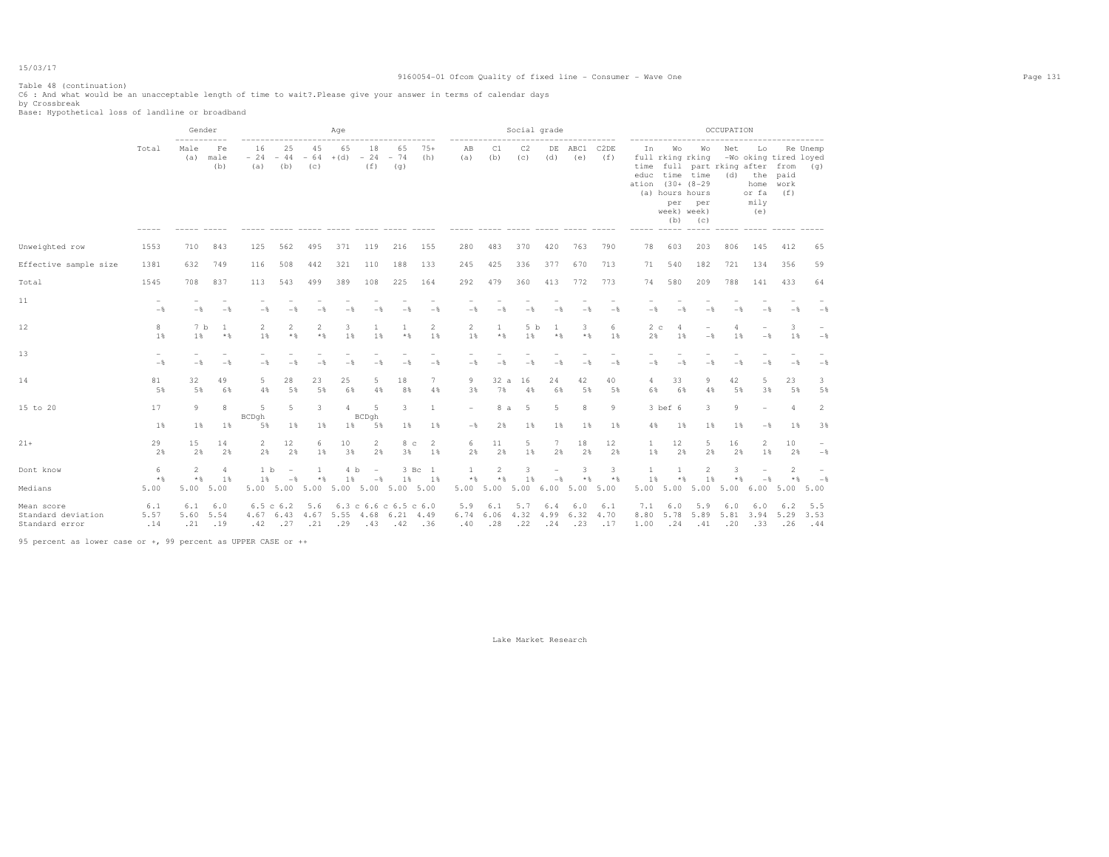### 9160054-01 Ofcom Quality of fixed line - Consumer - Wave One Page 131

Table 48 (continuation) C6 : And what would be an unacceptable length of time to wait?.Please give your answer in terms of calendar days by Crossbreak Base: Hypothetical loss of landline or broadband

|                                                    |                    | Gender<br>----------- |                    |                          |                                 |                       | Age          |                                 |                                                                                                             |                       | -----------          |                       | Social grade          |                       |                    |                          |                      | ------------------                                                                                                          |                                                | OCCUPATION |                                                                          |                      |                                 |
|----------------------------------------------------|--------------------|-----------------------|--------------------|--------------------------|---------------------------------|-----------------------|--------------|---------------------------------|-------------------------------------------------------------------------------------------------------------|-----------------------|----------------------|-----------------------|-----------------------|-----------------------|--------------------|--------------------------|----------------------|-----------------------------------------------------------------------------------------------------------------------------|------------------------------------------------|------------|--------------------------------------------------------------------------|----------------------|---------------------------------|
|                                                    | Total              | Male<br>(a)           | Fe<br>male<br>(b)  | 16<br>$-24$<br>(a)       | 25<br>$-44$<br>(b)              | 45<br>$-64$<br>(C)    | 65<br>$+(d)$ | 18<br>$-24$<br>(f)              | 65<br>$-74$<br>(q)                                                                                          | $75+$<br>(h)          | AB<br>(a)            | C1<br>(b)             | C <sub>2</sub><br>(C) | DE<br>(d)             | ABC1<br>(e)        | C <sub>2</sub> DE<br>(f) | Ιn.<br>time<br>ation | Wo<br>full rking rking<br>educ time time<br>$(30 + 18 - 29)$<br>(a) hours hours<br>per<br>week) week)<br>(b)<br>$- - - - -$ | Wo<br>full part rking after from<br>per<br>(C) | Net        | Lo<br>-Wo oking tired loyed<br>$(d)$ the<br>home<br>or fa<br>mily<br>(e) | paid<br>work<br>(f)  | Re Unemp<br>(q)                 |
| Unweighted row                                     | 1553               | 710                   | 843                | 125                      | 562                             | 495                   | 371          | 119                             | 216                                                                                                         | 155                   | 280                  | 483                   | 370                   | 420                   | 763                | 790                      | 78                   | 603                                                                                                                         | 203                                            | 806        | 145                                                                      | 412                  | 65                              |
| Effective sample size                              | 1381               | 632                   | 749                | 116                      | 508                             | 442                   | 321          | 110                             | 188                                                                                                         | 133                   | 245                  | 425                   | 336                   | 377                   | 670                | 713                      | 71                   | 540                                                                                                                         | 182                                            | 721        | 134                                                                      | 356                  | 59                              |
| Total                                              | 1545               | 708                   | 837                | 113                      | 543                             | 499                   | 389          | 108                             | 225                                                                                                         | 164                   | 292                  | 479                   | 360                   | 413                   | 772                | 773                      | 74                   | 580                                                                                                                         | 209                                            | 788        | 141                                                                      | 433                  | 64                              |
| 11                                                 | $-$                | $-$                   | $-$                | $-\frac{6}{6}$           | $-$                             |                       | $-$          | $-$                             |                                                                                                             | $-$                   | $-$                  |                       | $-$                   | $-$                   | $-$                | $-$                      | $-$                  | $-$                                                                                                                         | $-$                                            |            |                                                                          | $-$                  | $-$                             |
| 12                                                 | 8<br>$1\%$         | 7 b<br>1%             | 1<br>$*$ %         | $\overline{2}$<br>1%     | $\overline{2}$<br>$*$ &         | $\overline{2}$<br>$*$ | 3<br>1%      | 1<br>1%                         | $\mathbf{1}$<br>$*$ &                                                                                       | $\overline{2}$<br>1%  | $\overline{2}$<br>1% | 1<br>$*$              | 5 b<br>1              | -1<br>$*$ %           | 3<br>$*$           | 6<br>$1\%$               | 2c<br>2%             | 4<br>1%                                                                                                                     | $\overline{\phantom{m}}$<br>$-\frac{6}{5}$     | 4<br>1%    | $-\frac{6}{5}$                                                           | 3<br>$1\%$           | $-$ 8                           |
| 13                                                 | $-$                | $-$                   | $-$                | $-$                      | $-$                             |                       | $-$          |                                 |                                                                                                             | $-$                   | $-$                  |                       | $-$                   | $-$                   | $-$                | $-$                      | $-$                  | $-$                                                                                                                         |                                                |            |                                                                          | $-$                  | $-$                             |
| 14                                                 | 81<br>5%           | 32<br>5%              | 49<br>6%           | 5<br>4%                  | 28<br>5%                        | 23<br>5%              | 25<br>6%     | 5<br>4%                         | 18<br>8%                                                                                                    | 7<br>4%               | 9<br>3%              | 32a<br>7%             | 16<br>4%              | 24<br>6%              | 42<br>5%           | 40<br>5%                 | 4<br>6%              | 33<br>6%                                                                                                                    | 9<br>4%                                        | 42<br>5%   | 5<br>3%                                                                  | 23<br>5%             | 3<br>5%                         |
| 15 to 20                                           | 17<br>$1\%$        | 9<br>1%               | 8<br>1%            | 5<br>BCDqh<br>5%         | 5<br>1%                         | 3<br>$1\%$            | 4<br>$1\%$   | 5<br>BCDgh<br>5%                | 3<br>$1\%$                                                                                                  | $\mathbf{1}$<br>$1\%$ | $-\frac{6}{5}$       | 8 a<br>2%             | - 5<br>1              | 5<br>$1\%$            | 8<br>1%            | $\circ$<br>1%            | $4\%$                | $3$ bef $6$<br>1%                                                                                                           | 3<br>1%                                        | Q<br>1%    | $-\frac{6}{5}$                                                           | $\overline{4}$<br>1% | 2<br>3%                         |
| $21+$                                              | 29<br>2%           | 15<br>2%              | 14<br>2%           | $\overline{2}$<br>2%     | 12<br>2%                        | 6<br>1%               | 10<br>3%     | $\overline{2}$<br>2%            | 8 с<br>3%                                                                                                   | 2<br>1%               | 6<br>2%              | 11<br>2%              | 5<br>1%               | $7\phantom{.0}$<br>2% | 18<br>2%           | 12<br>2%                 | $\mathbf{1}$<br>1%   | $12 \,$<br>2%                                                                                                               | 5<br>2%                                        | 16<br>2%   | 2<br>1%                                                                  | 10<br>2%             | $-$ 8                           |
| Dont know                                          | 6<br>$*$           | 2<br>$*$ &            | 4<br>1%            | 1 <sub>b</sub><br>1 %    | $\overline{\phantom{a}}$<br>$-$ | $*$                   | 4 b<br>1%    | $\overline{\phantom{a}}$<br>$-$ | 1 %                                                                                                         | 3 Bc 1<br>1%          | 1<br>$*$             | $\overline{2}$<br>$*$ | 3<br>1%               | $-$                   | 3<br>* %           | 3<br>$*$                 | 1%                   | $*$                                                                                                                         | $\overline{c}$<br>1%                           | 3<br>$*$   |                                                                          | 2<br>$\star$ &       | $\overline{\phantom{a}}$<br>$-$ |
| Medians                                            | 5.00               | 5.00                  | 5.00               | 5.00                     | 5.00                            | 5.00                  |              |                                 | 5.00 5.00 5.00 5.00                                                                                         |                       | 5.00 5.00            |                       | 5.00                  | 6.00                  | 5.00               | 5.00                     | 5.00                 | 5.00                                                                                                                        | 5.00                                           | 5.00       | 6.00                                                                     | 5.00                 | 5.00                            |
| Mean score<br>Standard deviation<br>Standard error | 6.1<br>5.57<br>.14 | 6.1<br>5.60<br>.21    | 6.0<br>5.54<br>.19 | 6.5 c 6.2<br>4.67<br>.42 | 6.43<br>.27                     | 5.6<br>4.67<br>.21    | .29          | .43                             | $6.3 \text{ } c \text{ } 6.6 \text{ } c \text{ } 6.5 \text{ } c \text{ } 6.0$<br>5.55 4.68 6.21 4.49<br>.42 | .36                   | 5.9<br>6.74<br>.40   | 6.1<br>6.06<br>.28    | 5.7<br>4.32<br>.22    | 6.4<br>4.99<br>.24    | 6.0<br>6.32<br>.23 | 6.1<br>4.70<br>.17       | 7.1<br>8.80<br>1.00  | 6.0<br>5.78<br>.24                                                                                                          | 5.9<br>5.89<br>.41                             | 6.0<br>.20 | 6.0<br>5.81 3.94<br>.33                                                  | 6.2<br>5.29<br>.26   | 5.5<br>3.53<br>.44              |

95 percent as lower case or +, 99 percent as UPPER CASE or ++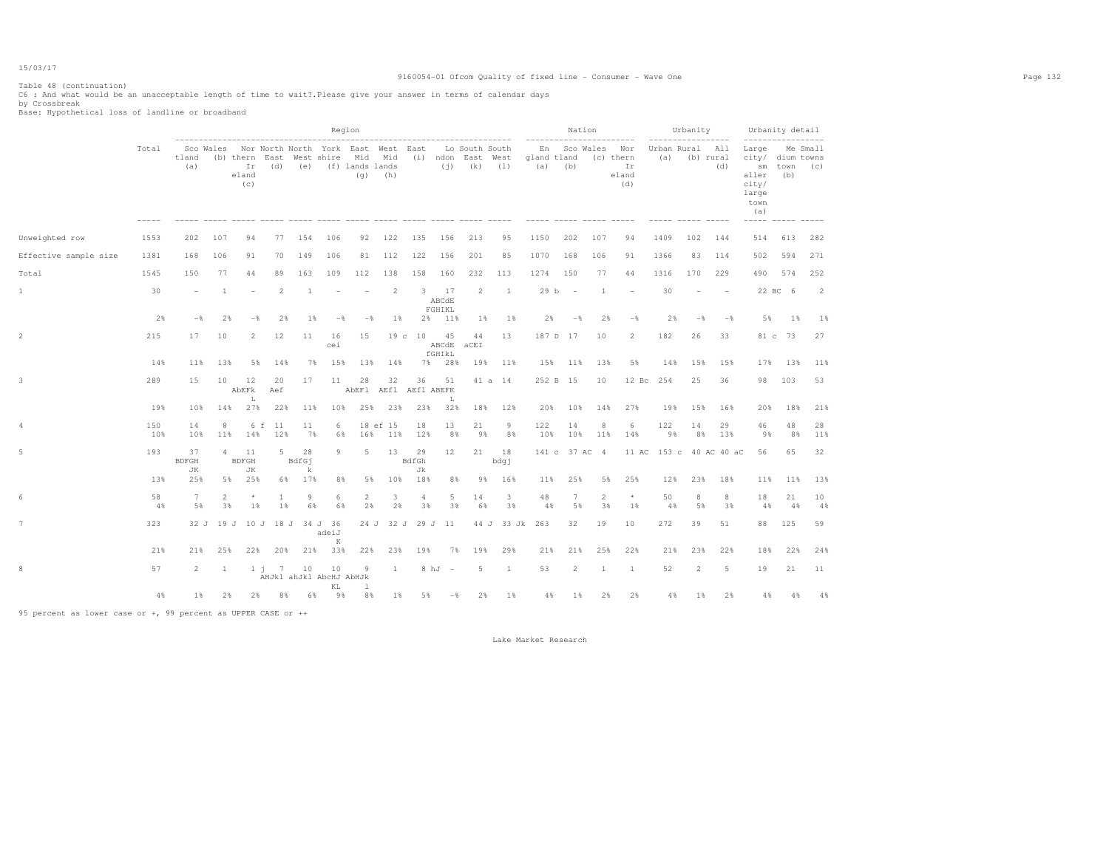### 9160054-01 Ofcom Quality of fixed line - Consumer - Wave One Page 132

Table 48 (continuation) C6 : And what would be an unacceptable length of time to wait?.Please give your answer in terms of calendar days by Crossbreak Base: Hypothetical loss of landline or broadband

|                       |            |                       |                      |                          |                                  |             |                | Region                                                                   |                 |             |                       | ---------------------------------           |                      | -----------                      | Nation                   |          | --------                               |                         | Urbanity                 | ---------        | -----------------                                                            | Urbanity detail    |                |
|-----------------------|------------|-----------------------|----------------------|--------------------------|----------------------------------|-------------|----------------|--------------------------------------------------------------------------|-----------------|-------------|-----------------------|---------------------------------------------|----------------------|----------------------------------|--------------------------|----------|----------------------------------------|-------------------------|--------------------------|------------------|------------------------------------------------------------------------------|--------------------|----------------|
|                       | Total      | tland<br>(a)          | Sco Wales            | Ir<br>eland<br>(C)       | (b) thern East West shire<br>(d) |             |                | Nor North North York East West East<br>Mid<br>(e) (f) lands lands<br>(q) | Mid<br>(h)      |             | (i)                   | Lo South South<br>(i) ndon East West<br>(k) | (1)<br>$\frac{1}{2}$ | En<br>gland tland<br>$(a)$ $(b)$ | Sco Wales                |          | Nor<br>(c) thern<br>Ir<br>eland<br>(d) | Urban Rural All<br>(a)  |                          | (b) rural<br>(d) | Large<br>city/ dium towns<br>aller<br>city/<br>large<br>town<br>(a)<br>----- | sm town (c)<br>(b) | Me Small       |
| Unweighted row        | 1553       | 202                   | 107                  | 94                       | 77                               | 154         | 106            | 92                                                                       | 122             | 135         | 156                   | 213                                         | 95                   | 1150                             | 202                      | 107      | 94                                     | 1409                    | 102                      | 144              | 514                                                                          | 613                | 282            |
| Effective sample size | 1381       | 168                   | 106                  | 91                       | 70                               | 149         | 106            | 81                                                                       | 112             | 122         | 156                   | 201                                         | 85                   | 1070                             | 168                      | 106      | 91                                     | 1366                    | 83                       | 114              | 502                                                                          | 594                | 271            |
| Total                 | 1545       | 150                   | 77                   | 44                       | 89                               | 163         | 109            | 112                                                                      | 138             | 158         | 160                   | 232                                         | 113                  | 1274                             | 150                      | 77       | 44                                     | 1316                    | 170                      | 229              | 490                                                                          | 574                | 252            |
| $\mathbf{1}$          | 30         | $\sim$                | $\overline{1}$       | $\overline{\phantom{a}}$ | $\mathfrak{D}_{1}^{(1)}$         | -1          |                | $\overline{\phantom{a}}$                                                 | 2               | 3           | 17<br>ABCdE<br>FGHIKL | $\overline{2}$                              | 1                    | 29 b                             | $\overline{\phantom{a}}$ | 1        | $\overline{\phantom{a}}$               | 30                      | $\overline{\phantom{a}}$ | $\sim$           |                                                                              | 22 BC 6            | $\overline{2}$ |
|                       | 2%         | $-$                   | 2%                   | $-$                      | 2%                               | 18          | $-\frac{6}{5}$ | $-\frac{6}{5}$                                                           | $1\%$           |             | 2% 11%                | 1%                                          | $1\%$                | 2%                               | $-$                      | 2%       | $-$ 8                                  | 2%                      | $-\frac{6}{5}$           | $-$              | 5%                                                                           | 18                 | $1\%$          |
| 2                     | 215        | 17                    | 10                   | $\overline{2}$           | 12                               | 11          | 16<br>cei      | 15                                                                       |                 | 19c10       | 45<br>ABCdE<br>fGHIkL | 44<br>aCEI                                  | 13                   | 187 D 17                         |                          | 10       | $\overline{2}$                         | 182                     | 26                       | 33               |                                                                              | 81 c 73            | 27             |
|                       | 14%        | 11%                   | 13%                  | 5%                       | 14%                              | 7%          | 15%            | 13%                                                                      | 14%             | 7%          | 28%                   | 19%                                         | 11%                  | 15%                              | 11%                      | 13%      | 5%                                     | 14%                     | 15%                      | 15%              | 17%                                                                          | 13%                | 11%            |
| 3                     | 289        | 15                    | 10                   | 12<br>AbEFk<br>L         | 20<br>Aef                        | 17          | 11             | 28<br>AbEF1 AEf1 AEf1 ABEFK                                              | 32              | 36          | 51<br>L               |                                             | 41 a 14              | 252 B 15                         |                          | 10       | $12\,$ Bc                              | 254                     | 25                       | 36               | 98                                                                           | 103                | 53             |
|                       | 19%        | 10%                   | 14%                  | 27%                      | 22%                              | 11%         | 10%            | 25%                                                                      | 23%             | 23%         | 32%                   | 18%                                         | 12%                  | 20%                              | 10%                      | 14%      | 27%                                    | 19%                     | 15%                      | 16%              | 20%                                                                          | 18%                | 21%            |
| 4                     | 150<br>10% | 14<br>10%             | 8<br>11%             | 6 f<br>14%               | -11<br>12%                       | 11<br>7%    | 6<br>6%        | 16%                                                                      | 18 ef 15<br>11% | 18<br>12%   | 13<br>8%              | 21<br>9%                                    | 9<br>8%              | 122<br>10%                       | 14<br>10%                | 8<br>11% | 6<br>14%                               | 122<br>9%               | 14<br>8%                 | 29<br>13%        | 46<br>9%                                                                     | 48<br>8%           | 28<br>11%      |
| 5                     | 193        | 37<br><b>BDFGH</b>    | 4                    | 11<br><b>BDFGH</b>       | $5 -$                            | 28<br>BdfGj | 9              | 5                                                                        | 13              | 29<br>BdfGh | 12                    | 21                                          | 18<br>bdgj           |                                  | 141 c 37 AC 4            |          |                                        | 11 AC 153 c 40 AC 40 aC |                          |                  | 56                                                                           | 65                 | 32             |
|                       | 13%        | JК<br>25%             | 5%                   | JК<br>25%                |                                  | k<br>6% 17% | 8%             | 5%                                                                       | 10%             | Jk<br>18%   | 8%                    | 98                                          | 16%                  | 11%                              | 25%                      | 5%       | 25%                                    | 12%                     | 23%                      | 18%              | 11%                                                                          | 11%                | 13%            |
| 6                     | 58<br>4%   | $7\phantom{.0}$<br>5% | $\overline{2}$<br>3% | $^{\star}$<br>$1\%$      | 1<br>$1\%$                       | 9<br>6%     | 6<br>6%        | 2<br>2%                                                                  | 3<br>2%         | 4<br>3%     | 5<br>3%               | 14<br>6%                                    | 3<br>3%              | 48<br>4%                         | 7<br>5%                  | 2<br>3%  | $\star$<br>1%                          | 50<br>4%                | 8<br>5%                  | 8<br>3%          | 18<br>4%                                                                     | 21<br>4%           | 10<br>4%       |
| $7\phantom{.0}$       | 323        | 32 J                  | 19 J                 |                          | 10 J 18 J 34 J 36                |             | adeiJ          |                                                                          | 24 J 32 J       |             | 29 J 11               |                                             | 44 J 33 Jk           | 263                              | 32                       | 19       | 10                                     | 272                     | 39                       | 51               | 88                                                                           | 125                | 59             |
|                       | 21%        | 21%                   | 25%                  | 22%                      | 20%                              | 21%         | K<br>33%       | 22%                                                                      | 23%             | 19%         | 7%                    | 19%                                         | 29%                  | 21%                              | 21%                      | 25%      | 22%                                    | 21%                     | 23%                      | 22%              | 18%                                                                          | 22%                | 24%            |
| 8                     | 57         | $\overline{2}$        | <sup>1</sup>         |                          | 1 i 7<br>AHJkl ahJkl AbcHJ AbHJk | 10          | 10<br>KL       | 9<br>-1                                                                  | -1              | 8 hJ        | $\sim$                | 5                                           | <sup>1</sup>         | 53                               | 2                        | -1       | -1                                     | 52                      | $\overline{2}$           | 5                | 19                                                                           | 21                 | 11             |
|                       | 4%         | $1\%$                 | 2%                   | 2%                       | 8%                               | 6%          | 98             | 8%                                                                       | $1\%$           | 5%          | $-$ %                 | 2%                                          | 1%                   | 4%                               | $1\%$                    | 2%       | 2%                                     | 4%                      | $1\%$                    | 2%               | 4%                                                                           | 4%                 | 4%             |

95 percent as lower case or +, 99 percent as UPPER CASE or ++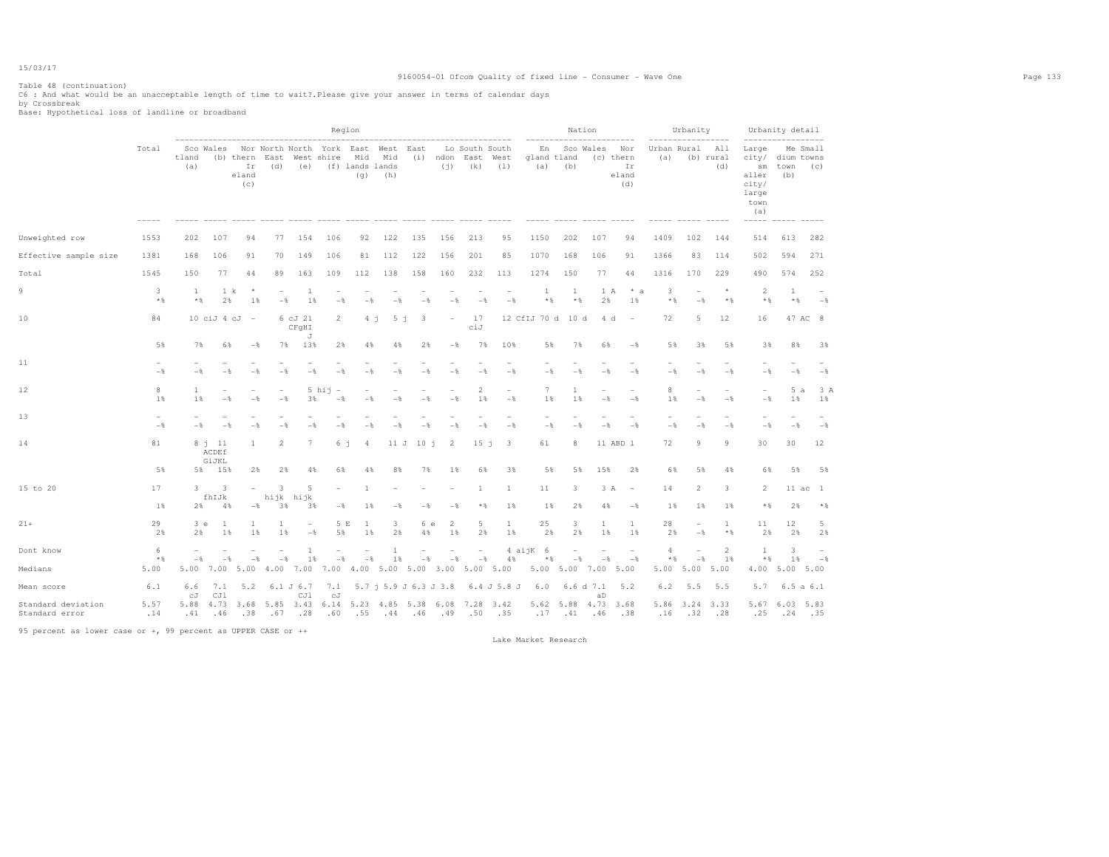### 9160054-01 Ofcom Quality of fixed line - Consumer - Wave One Page 133

Table 48 (continuation) C6 : And what would be an unacceptable length of time to wait?.Please give your answer in terms of calendar days by Crossbreak Base: Hypothetical loss of landline or broadband

|                                      |             |                   |                            |                                 |                |                                   | Region                                       |                               |                |                                                 |                          |                               |                                            |                          | Nation                |                   |                                        |                    | Urbanity                 |                                   |                                                                                                        | Urbanity detail               |                 |
|--------------------------------------|-------------|-------------------|----------------------------|---------------------------------|----------------|-----------------------------------|----------------------------------------------|-------------------------------|----------------|-------------------------------------------------|--------------------------|-------------------------------|--------------------------------------------|--------------------------|-----------------------|-------------------|----------------------------------------|--------------------|--------------------------|-----------------------------------|--------------------------------------------------------------------------------------------------------|-------------------------------|-----------------|
|                                      | Total       | tland<br>(a)      | Sco Wales                  | (b) thern<br>Ιr<br>eland<br>(C) | East<br>(d)    | (e)                               | Nor North North York East West<br>West shire | Mid<br>(f) lands lands<br>(q) | Mid<br>(h)     | East                                            | $(i)$ ndon<br>(i)        | Lo South South<br>East<br>(k) | West<br>(1)                                | En<br>gland tland<br>(a) | (b)                   | Sco Wales         | Nor<br>(c) thern<br>Ir<br>eland<br>(d) | Urban Rural<br>(a) |                          | ------<br>All<br>(b) rural<br>(d) | ------------<br>Large<br>city/<br>$\mathop{\rm sm}\nolimits$<br>aller<br>city/<br>large<br>town<br>(a) | dium towns<br>town<br>(b)     | Me Small<br>(c) |
| Unweighted row                       | 1553        | 202               | 107                        | 94                              | 77             | 154                               | 106                                          | 92                            | 122            | 135                                             | 156                      | 213                           | 95                                         | 1150                     | 202                   | 107               | 94                                     | 1409               | 102                      | 144                               | 514                                                                                                    | 613                           | 282             |
| Effective sample size                | 1381        | 168               | 106                        | 91                              | 70             | 149                               | 106                                          | 81                            | 112            | 122                                             | 156                      | 201                           | 85                                         | 1070                     | 168                   | 106               | 91                                     | 1366               | 83                       | 114                               | 502                                                                                                    | 594                           | 271             |
| Total                                | 1545        | 150               | 77                         | 44                              | 89             | 163                               | 109                                          | 112                           | 138            | 158                                             | 160                      | 232                           | 113                                        | 1274                     | 150                   | 77                | 44                                     | 1316               | 170                      | 229                               | 490                                                                                                    | 574                           | 252             |
| 9                                    | 3<br>$*$    | 1<br>$*$ &        | 1 k<br>2%                  | $\star$<br>$1\%$                | $-\frac{6}{5}$ | 1<br>1%                           | $-\frac{6}{5}$                               | $-$                           | $-\frac{6}{5}$ | $-$                                             | $-$                      | $-$                           | $\overline{\phantom{a}}$<br>$-$            | 1<br>$*$ &               | 1<br>$*$              | 1 A<br>2%         | * a<br>1%                              | 3<br>$*$ %         | ۰<br>$-$                 | $*$ %                             | 2<br>$*$ %                                                                                             | 1<br>$\star$ &                | $-$             |
| 10                                   | 84          |                   | $10 \cii$ $4 \cJ$          | $\overline{\phantom{0}}$        |                | 6 cJ 21<br>CFgHI<br>J             | $\overline{2}$                               | 4j                            | 5 <sub>j</sub> | -3                                              | $\overline{\phantom{a}}$ | 17<br>ciJ                     |                                            | 12 CfIJ 70 d 10 d        |                       | 4 d               | $\overline{\phantom{a}}$               | 72                 | 5                        | 12                                | 16                                                                                                     |                               | 47 AC 8         |
|                                      | 5%          | 7%                | 6%                         | $-$                             | 7%             | 13%                               | 2%                                           | 4%                            | 4%             | 2%                                              | $-\frac{6}{5}$           | 7%                            | 10%                                        | 5%                       | 7%                    | 6%                | $-$                                    | 5%                 | 3%                       | 5%                                | 3%                                                                                                     | 8%                            | 3%              |
| 11                                   | $-$         | $-$               | $-$                        |                                 |                | $-$                               | $ \frac{6}{3}$                               | $-$                           | - 2            | $-$                                             | $-$                      | $-$                           | $-$                                        | $-$                      | $-$                   | - *               | $-\frac{6}{3}$                         | $-$                | $-$                      | $-$                               | $-$                                                                                                    | $-$                           | $-$             |
| 12                                   | 8<br>1%     | 1<br>1 %          | $-$                        | $-$                             | $-$            | 3%                                | $5$ hij<br>$\overline{\phantom{a}}$<br>$-$   | $-$                           | $-$            | $-$                                             | $-$                      | 2<br>1%                       | $\overline{\phantom{a}}$<br>$-\frac{6}{6}$ | $7\phantom{.0}$<br>$1\%$ | -1<br>1               | $-$               | $-$                                    | 8<br>1%            | $-$                      | $-$                               | $-$                                                                                                    | 5a<br>$1\%$                   | 3 A<br>$1\%$    |
| 13                                   | $-$         | $-$               | $-$                        | $-$                             | $-$            | $-$                               | $-$                                          | $-$                           | $-$            | $-$                                             | $-$                      | $-$                           | $-$                                        | $-$                      | $-$                   | $-$               | $-$                                    | $-$                | $-$                      | $-$                               | $-$                                                                                                    | $-$                           | $-$             |
| 14                                   | 81          |                   | $8 - 11$<br>ACDEf<br>GiJKL | 1                               | $\overline{2}$ | 7                                 | 6 j                                          | $\overline{4}$                | 11 J           | 10j                                             | $\overline{2}$           | 15j                           | -3                                         | 61                       | 8                     |                   | 11 ABD 1                               | 72                 | 9                        | 9                                 | 30                                                                                                     | 30                            | 12              |
|                                      | 5%          | 5%                | 15%                        | 2%                              | 2%             | 4%                                | 6%                                           | 4%                            | 8%             | 7%                                              | 1%                       | 6%                            | 3%                                         | 5%                       | 5%                    | 15%               | 2%                                     | 6%                 | 5%                       | 4%                                | 6%                                                                                                     | 5%                            | 5%              |
| 15 to 20                             | 17<br>1%    | 3<br>2%           | 3<br>fhIJk<br>4%           | $\overline{\phantom{0}}$<br>$-$ | 3<br>3%        | 5<br>hijk hijk<br>3%              | $\overline{\phantom{a}}$<br>$-\frac{6}{5}$   | -1.<br>1%                     | $-$            | $-$                                             | $-$                      | 1<br>$*$ &                    | 1<br>1%                                    | 11<br>$1\%$              | 3<br>2%               | 3 A<br>4%         | $\overline{\phantom{a}}$<br>$-$        | 14<br>1%           | $\overline{2}$<br>$1\%$  | 3<br>1%                           | $\overline{2}$<br>$*$ &                                                                                | 2%                            | 11 ac 1<br>$*$  |
| $21+$                                | 29<br>2%    | 3e<br>2%          | 1<br>$1$ %                 | -1<br>1%                        | -1<br>1%       | $\overline{a}$<br>$-\frac{6}{5}$  | 5 E<br>5%                                    | -1<br>1%                      | 3<br>2%        | 6 e<br>4%                                       | 2<br>1%                  | 5<br>2%                       | 1<br>$1\%$                                 | 25<br>2%                 | 3<br>2%               | 1<br>1%           | 1<br>1%                                | 28<br>2%           | $-$                      | 1<br>$*$                          | 11<br>2%                                                                                               | 12<br>2%                      | 5<br>2%         |
| Dont know                            | 6           |                   |                            |                                 |                | -1                                |                                              |                               | 1              | $\qquad \qquad -$                               | $\overline{\phantom{a}}$ | $\overline{\phantom{a}}$      |                                            | 4 aijK 6                 |                       | $\qquad \qquad -$ | $\overline{\phantom{a}}$               | $\overline{4}$     |                          | 2                                 | 1                                                                                                      | 3                             |                 |
| Medians                              | $*$<br>5.00 | $-$<br>5.00       | $-$<br>7.00                | $-\frac{6}{5}$<br>5.00          | $-$<br>4.00    | 1%<br>7.00                        | $-\frac{6}{5}$<br>7.00                       | $-$                           | 1%             | $-\frac{6}{6}$<br>4.00 5.00 5.00 3.00 5.00 5.00 | $-\,$                    | $-$                           | 4%                                         | $*$                      | $-$<br>5.00 5.00 7.00 | $-$               | $-$ %<br>5.00                          | * %<br>5.00        | $-$<br>5.00              | 1%<br>5.00                        | $\star$ &<br>4.00                                                                                      | 1%<br>5.00 5.00               | $-8$            |
| Mean score                           | 6.1         | 6.6               | 7.1                        | 5.2                             |                | 6.1 J 6.7                         | 7.1                                          |                               |                | $5.7$ j $5.9$ J $6.3$ J $3.8$                   |                          |                               | 6.4 J 5.8 J                                | 6.0                      |                       | 6.6 d 7.1         | 5.2                                    | 6.2                | 5.5                      | 5.5                               | 5.7                                                                                                    |                               | 6.5a6.1         |
| Standard deviation<br>Standard error | 5.57<br>.14 | сJ<br>5.88<br>.41 | CJ1<br>.46                 | .38                             | .67            | CJ1<br>4.73 3.68 5.85 3.43<br>.28 | сJ<br>6.14 5.23 4.85 5.38<br>.60             | .55                           | $.44 - .46$    |                                                 | 6.08<br>.49              | 7.28 3.42<br>.50              | .35                                        | .17                      | 5.62 5.88 4.73<br>.41 | aD<br>.46         | 3.68<br>.38                            | 5.86<br>.16        | 3.24 3.33<br>$.32 - .28$ |                                   | .25                                                                                                    | 5.67 6.03 5.83<br>$.24 - .35$ |                 |

95 percent as lower case or +, 99 percent as UPPER CASE or ++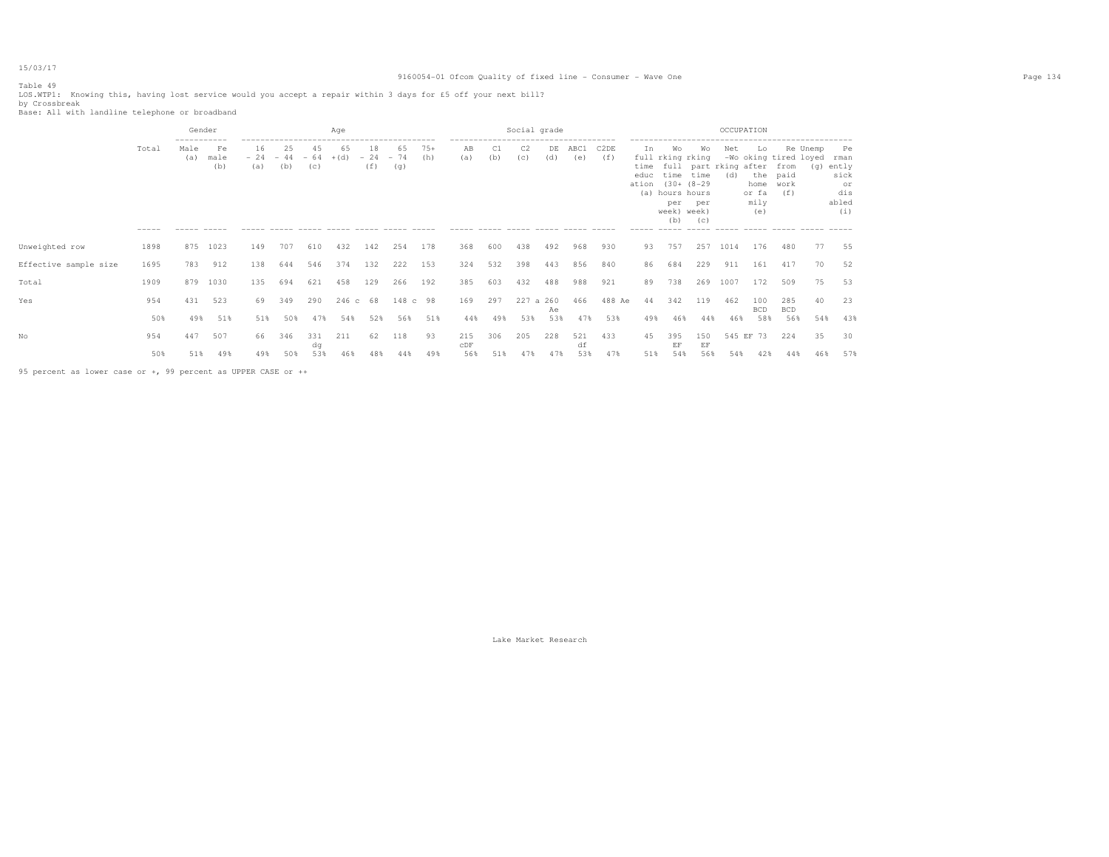### 9160054-01 Ofcom Quality of fixed line - Consumer - Wave One Page 134

# Table 49

LOS.WTP1: Knowing this, having lost service would you accept a repair within 3 days for £5 off your next bill? by Crossbreak Base: All with landline telephone or broadband

|                       |                      | Gender                               |                                                    |           |                              |           | Age          |                    |                    |              |                                                                                           |           | Social grade          |           |             |                          |                                    |                                                                                             |                          | OCCUPATION                               |                                                     |                                          |     |                                                          |
|-----------------------|----------------------|--------------------------------------|----------------------------------------------------|-----------|------------------------------|-----------|--------------|--------------------|--------------------|--------------|-------------------------------------------------------------------------------------------|-----------|-----------------------|-----------|-------------|--------------------------|------------------------------------|---------------------------------------------------------------------------------------------|--------------------------|------------------------------------------|-----------------------------------------------------|------------------------------------------|-----|----------------------------------------------------------|
|                       | Total<br>$- - - - -$ | -----------<br>Male<br>(a)<br>------ | Fe<br>male<br>(b)<br>$\cdots \cdots \cdots \cdots$ | 16<br>(a) | 25<br>$-24 - 44 - 64$<br>(b) | 45<br>(C) | 65<br>$+(d)$ | 18<br>$-24$<br>(f) | 65<br>$-74$<br>(g) | $75+$<br>(h) | -------------------------------------<br>AB<br>(a)<br>----- ----- ----- ----- ----- ----- | C1<br>(b) | C <sub>2</sub><br>(c) | DE<br>(d) | ABC1<br>(e) | C <sub>2</sub> DE<br>(f) | In<br>time<br>educ<br>ation<br>(a) | Wo<br>full rking rking<br>time<br>$(30 + (8-29$<br>hours hours<br>per<br>week) week)<br>(b) | Wo<br>time<br>per<br>(C) | Net<br>full part rking after from<br>(d) | Lo<br>the paid<br>home work<br>or fa<br>mily<br>(e) | Re Unemp<br>-Wo oking tired loyed<br>(f) | (q) | Pe<br>rman<br>ently<br>sick<br>or<br>dis<br>abled<br>(i) |
| Unweighted row        | 1898                 | 875                                  | 1023                                               | 149       | 707                          | 610       | 432          | 142                | 254                | 178          | 368                                                                                       | 600       | 438                   | 492       | 968         | 930                      | 93                                 | 757                                                                                         | 257                      | 1014                                     | 176                                                 | 480                                      | 77  | 55                                                       |
| Effective sample size | 1695                 | 783                                  | 912                                                | 138       | 644                          | 546       | 374          | 132                | 222                | 153          | 324                                                                                       | 532       | 398                   | 443       | 856         | 840                      | 86                                 | 684                                                                                         | 229                      | 911                                      | 161                                                 | 417                                      | 70  | 52                                                       |
| Total                 | 1909                 | 879                                  | 1030                                               | 135       | 694                          | 621       | 458          | 129                | 266                | 192          | 385                                                                                       | 603       | 432                   | 488       | 988         | 921                      | 89                                 | 738                                                                                         | 269                      | 1007                                     | 172                                                 | 509                                      | 75  | 53                                                       |
| Yes                   | 954                  | 431                                  | 523                                                | 69.       | 349                          | 290       | 246c         | 68                 | 148 с              | 98           | 169                                                                                       | 297       | 227 a 260             | Ae        | 466         | 488 Ae                   | 44                                 | 342                                                                                         | 119                      | 462                                      | 100<br><b>BCD</b>                                   | 285<br><b>BCD</b>                        | 40  | 23                                                       |
|                       | 50%                  | 49%                                  | 51%                                                | 51%       | 50%                          | 47%       | 54%          | 52%                | 56%                | 51%          | 44%                                                                                       | 49%       | 53%                   | 53%       | 47%         | 53%                      | 49%                                | 46%                                                                                         | 44%                      | 46%                                      | 58%                                                 | 56%                                      | 54% | 43%                                                      |
| Nο                    | 954                  | 447                                  | 507                                                | 66        | 346                          | 331<br>dq | 211          | 62                 | 118                | 93           | 215<br>CDF                                                                                | 306       | 205                   | 228       | 521<br>df   | 433                      | 45                                 | 395<br>EF                                                                                   | 150<br>EF                | 545 EF                                   | 73                                                  | 224                                      | 35  | 30                                                       |
|                       | 50%                  | 51%                                  | 49%                                                | 49%       | 50%                          | 53%       | 46%          | 48%                | 44%                | 49%          | 56%                                                                                       | 51%       |                       | 47%       | 53%         | 47%                      | 51%                                | 54%                                                                                         | 56%                      | 54%                                      | 42%                                                 | 44%                                      | 46% | 57%                                                      |

95 percent as lower case or +, 99 percent as UPPER CASE or ++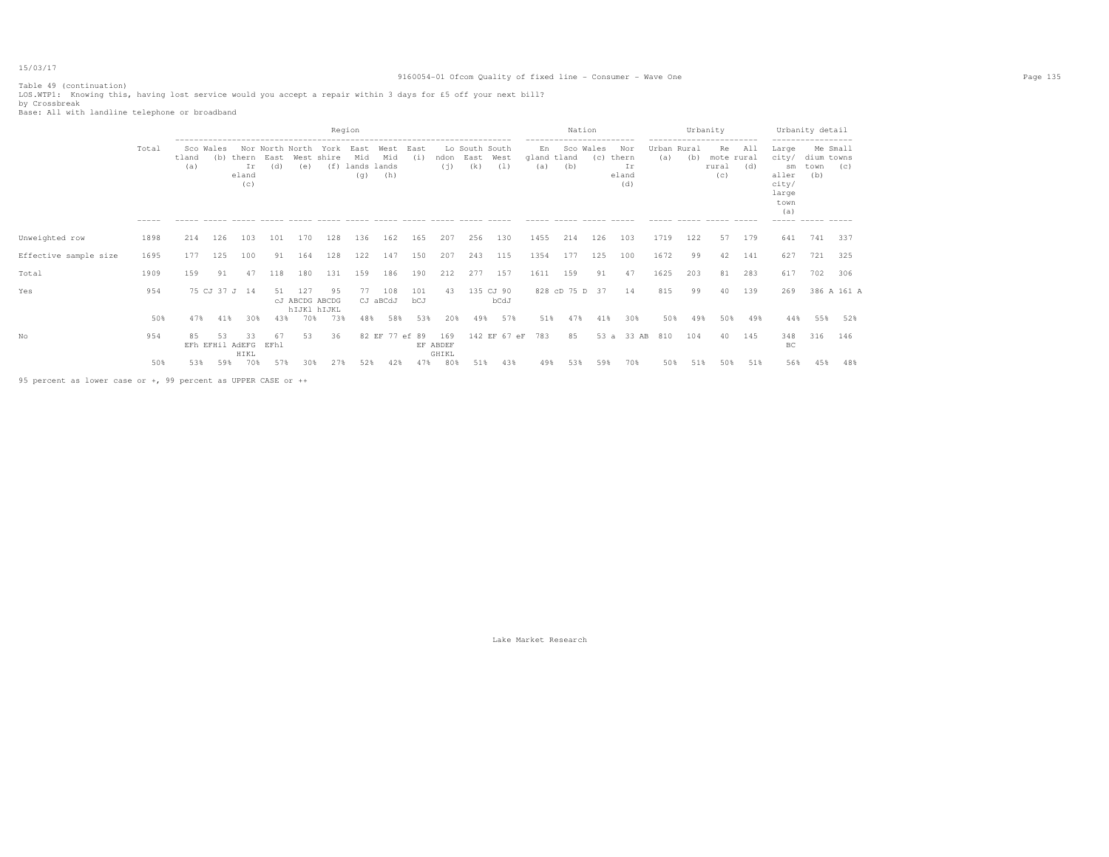### 9160054-01 Ofcom Quality of fixed line - Consumer - Wave One Page 135

|                       |                      |                           |     |                               |             |                                      |                           | Region                            |                    |             |                          |                               |                   |                          | Nation<br>----------------------- |     |                                    |                    | Urbanity | ------------------------         |            | ------------------                                                            | Urbanity detail                       |             |
|-----------------------|----------------------|---------------------------|-----|-------------------------------|-------------|--------------------------------------|---------------------------|-----------------------------------|--------------------|-------------|--------------------------|-------------------------------|-------------------|--------------------------|-----------------------------------|-----|------------------------------------|--------------------|----------|----------------------------------|------------|-------------------------------------------------------------------------------|---------------------------------------|-------------|
|                       | Total<br>$- - - - -$ | Sco Wales<br>tland<br>(a) | (b) | thern<br>Ir<br>eland<br>(C)   | East<br>(d) | Nor North North<br>(e)               | York<br>West shire<br>(f) | East<br>Mid<br>lands lands<br>(q) | West<br>Mid<br>(h) | East<br>(i) | ndon<br>(i)              | Lo South South<br>East<br>(k) | West<br>(1)       | En<br>gland tland<br>(a) | Sco Wales<br>(b)                  | (C) | Nor<br>thern<br>Ιr<br>eland<br>(d) | Urban Rural<br>(a) | (b)      | Re<br>mote rural<br>rural<br>(C) | All<br>(d) | Large<br>city/<br>sm<br>aller<br>city/<br>large<br>town<br>(a)<br>$- - - - -$ | Me Small<br>dium towns<br>town<br>(b) | (C)         |
| Unweighted row        | 1898                 | 214                       | 126 | 103                           | 101         | 170                                  | 128                       | 136                               | 162                | 165         | 207                      | 256                           | 130               | 1455                     | 214                               | 126 | 103                                | 1719               | 122      | 57                               | 179        | 641                                                                           | 741                                   | 337         |
| Effective sample size | 1695                 | 177                       | 125 | 100                           | 91          | 164                                  | 128                       | 122                               | 147                | 150         | 207                      | 243                           | 115               | 1354                     | 177                               | 125 | 100                                | 1672               | 99       | 42                               | 141        | 627                                                                           | 721                                   | 325         |
| Total                 | 1909                 | 159                       | 91  | 47                            | 118         | 180                                  | 131                       | 159                               | 186                | 190         | 212                      | 277                           | 157               | 1611                     | 159                               | 91  | 47                                 | 1625               | 203      | 81                               | 283        | 617                                                                           | 702                                   | 306         |
| Yes                   | 954                  |                           |     | 75 CJ 37 J 14                 | 51          | 127<br>cJ ABCDG ABCDG<br>hIJK1 hIJKL | 95                        | 77                                | 108<br>CJ aBCdJ    | 101<br>bCJ  | 43                       |                               | 135 CJ 90<br>bCdJ |                          | 828 cD 75 D 37                    |     | 14                                 | 815                | 99       | 40                               | 139        | 269                                                                           |                                       | 386 A 161 A |
|                       | 50%                  | 47%                       | 41% | 30%                           | 43%         | 70%                                  | 73%                       | 48%                               | 58%                | 53%         | 20%                      | 49%                           | 57%               | 51%                      | 47%                               | 41% | 30%                                | 50%                | 49%      | 50%                              | 49%        | 44%                                                                           | 55%                                   | 52%         |
| No                    | 954                  | 85                        | 53  | 33<br>EFh EFHil AdEFG<br>HIKL | 67<br>EFhl  | 53                                   | 36                        | 82 EF                             |                    | 77 ef 89    | 169<br>EF ABDEF<br>GHIKL |                               | 142 EF 67 eF      | 783                      | 85                                | 53a | 33 AB                              | 810                | 104      | 40                               | 145        | 348<br>BC                                                                     | 316                                   | 146         |
|                       | 50%                  | 53%                       | 59% | 70%                           | 57%         | 30%                                  | 27%                       | 52%                               | 42%                | 47%         | 80%                      | 51%                           | 43%               | 49%                      | 53%                               | 59% | 70%                                | 50%                | 51%      | 50%                              | 51%        | 56%                                                                           | 45%                                   | 48%         |

95 percent as lower case or +, 99 percent as UPPER CASE or ++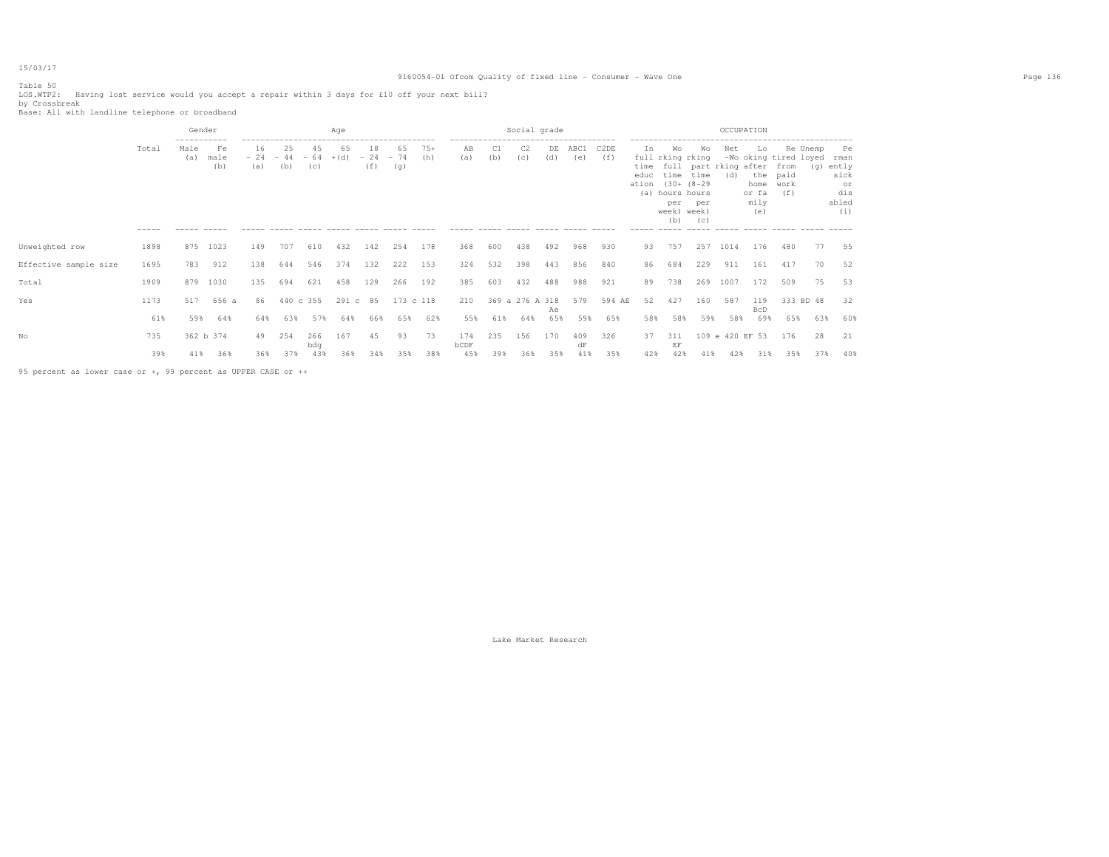### 9160054-01 Ofcom Quality of fixed line - Consumer - Wave One Page 136

Table 50

LOS.WTP2: Having lost service would you accept a repair within 3 days for £10 off your next bill? by Crossbreak Base: All with landline telephone or broadband

|                       |                | Gender                     |                   |           |                                    |            | Aqe  |                    |                    |              |                                                    |           | Social grade          |           |             |                          |                                 |                                                                                     |                  | OCCUPATION                                    |                                                                                                |                                          |           |                                                 |
|-----------------------|----------------|----------------------------|-------------------|-----------|------------------------------------|------------|------|--------------------|--------------------|--------------|----------------------------------------------------|-----------|-----------------------|-----------|-------------|--------------------------|---------------------------------|-------------------------------------------------------------------------------------|------------------|-----------------------------------------------|------------------------------------------------------------------------------------------------|------------------------------------------|-----------|-------------------------------------------------|
|                       | Total<br>----- | -----------<br>Male<br>(a) | Fe<br>male<br>(b) | 16<br>(a) | 25<br>$-24 - 44 - 64 + (d)$<br>(b) | 45<br>(C)  | 65   | 18<br>$-24$<br>(f) | 65<br>$-74$<br>(g) | $75+$<br>(h) | -------------------------------------<br>AB<br>(a) | C1<br>(b) | C <sub>2</sub><br>(c) | DE<br>(d) | ABC1<br>(e) | C <sub>2</sub> DE<br>(f) | In<br>educ<br>ation (30+ (8-29) | Wo<br>full rking rking<br>time time<br>(a) hours hours<br>per<br>week) week)<br>(b) | Wo<br>per<br>(C) | Net<br>time full part rking after from<br>(d) | Lo<br>the paid<br>home work<br>or fa<br>mily<br>(e)<br>$\qquad \qquad -\qquad -\qquad -\qquad$ | Re Unemp<br>-Wo oking tired loyed<br>(f) | (g) ently | Pe<br>rman<br>sick<br>or<br>dis<br>abled<br>(i) |
| Unweighted row        | 1898           |                            | 875 1023          | 149       | 707                                | 610        | 432  | 142                | 254                | 178          | 368                                                | 600       | 438                   | 492       | 968         | 930                      | 93                              | 757                                                                                 | 257              | 1014                                          | 176                                                                                            | 480                                      | 77        | 55                                              |
| Effective sample size | 1695           | 783                        | 912               | 138       | 644                                | 546        | 374  | 132                | 222                | 153          | 324                                                | 532       | 398                   | 443       | 856         | 840                      | 86                              | 684                                                                                 | 229              | 911                                           | 161                                                                                            | 417                                      | 70        | 52                                              |
| Total                 | 1909           | 879                        | 1030              | 135       | 694                                | 621        | 458  | 129                | 266                | 192          | 385                                                | 603       | 432                   | 488       | 988         | 921                      | 89                              | 738                                                                                 | 269              | 1007                                          | 172                                                                                            | 509                                      | 75        | 53                                              |
| Yes                   | 1173           | 517                        | 656 a             | 86        | 440 c 355                          |            | 291c | 85                 | 173 c 118          |              | 210                                                |           | 369 a 276 A 318       | Ae        | 579         | 594 AE                   | 52                              | 427                                                                                 | 160              | 587                                           | 119<br>BcD                                                                                     | 333 BD 48                                |           | 32                                              |
|                       | 61%            | 59%                        | 64%               | 64%       | 63%                                | 57%        | 64%  | 66%                | 65%                | 62%          | 55%                                                | 61%       | 64%                   | 65%       | 59%         | 65%                      | 58%                             | 58%                                                                                 | 59%              | 58%                                           | 69%                                                                                            | 65%                                      | 63%       | 60%                                             |
| Nο                    | 735            |                            | 362 b 374         | 49        | 254                                | 266<br>bdq | 167  | 45                 | 93                 | 73           | 174<br>bCDF                                        | 235       | 156                   | 170       | 409<br>dF   | 326                      | 37                              | 311<br>EF                                                                           |                  | 109 e 420 EF 53                               |                                                                                                | 176                                      | 28        | 21                                              |
|                       | 39%            | 41%                        | 36%               | 36%       | 37%                                | 43%        | 36%  | 34%                | 35%                | 38%          | 45%                                                | 39%       | 36%                   | 35%       | 41%         | 35%                      | 42%                             | 42%                                                                                 | 41%              | 42%                                           | 31 %                                                                                           | 35%                                      | 37%       | 40%                                             |

95 percent as lower case or +, 99 percent as UPPER CASE or ++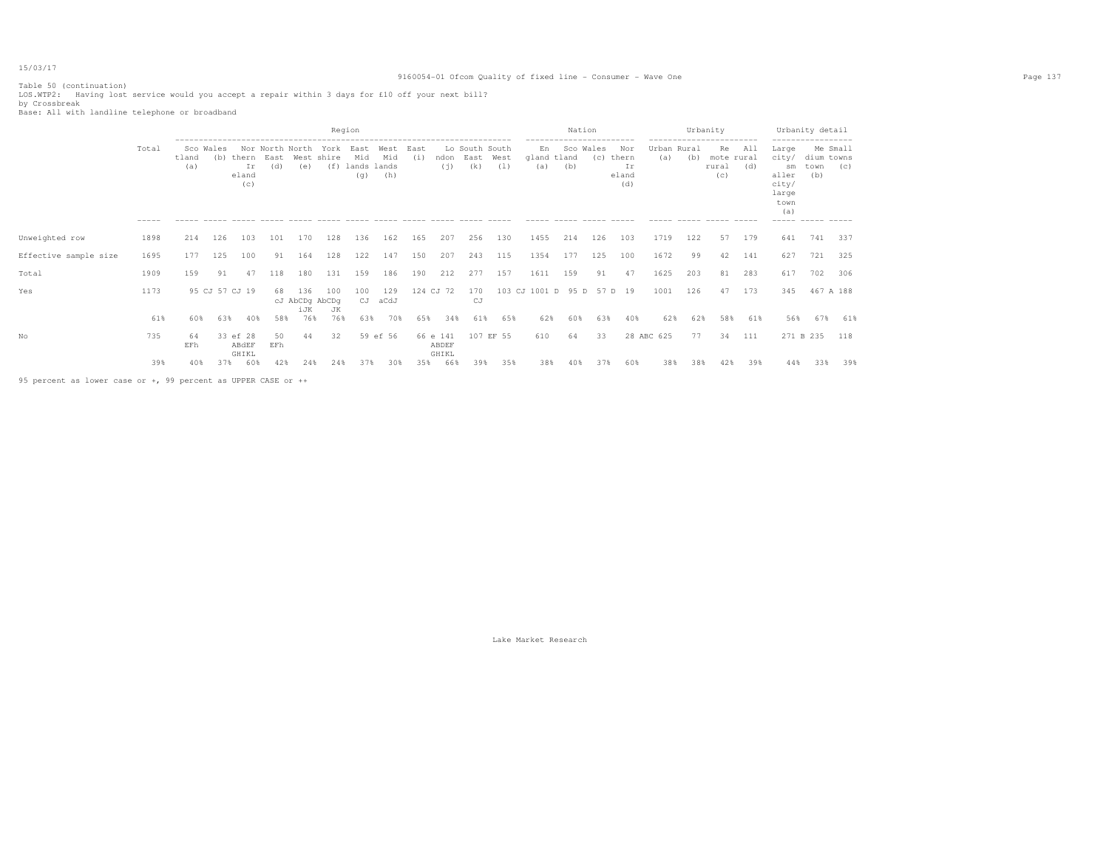Table 50 (continuation) LOS.WTP2: Having lost service would you accept a repair within 3 days for £10 off your next bill? by Crossbreak Base: All with landline telephone or broadband

|                       |                |                           |     |                                      |                        |                                                           |                                             | Region                                                 |                    |             |                            |                               |             |                          | Nation<br>------------------------ |     |                                    |                    |     | Urbanity<br>------------------------ |            | ------------------                                                      | Urbanity detail                          |                 |
|-----------------------|----------------|---------------------------|-----|--------------------------------------|------------------------|-----------------------------------------------------------|---------------------------------------------|--------------------------------------------------------|--------------------|-------------|----------------------------|-------------------------------|-------------|--------------------------|------------------------------------|-----|------------------------------------|--------------------|-----|--------------------------------------|------------|-------------------------------------------------------------------------|------------------------------------------|-----------------|
|                       | Total<br>----- | Sco Wales<br>tland<br>(a) |     | (b) thern East<br>Ir<br>eland<br>(c) | Nor North North<br>(d) | West shire<br>(e)<br>$\cdots \cdots \cdots \cdots \cdots$ | York<br>$\qquad \qquad - \qquad - \qquad -$ | East<br>Mid<br>(f) lands lands<br>(q)<br>$\frac{1}{2}$ | West<br>Mid<br>(h) | East<br>(i) | ndon<br>(i)                | Lo South South<br>East<br>(k) | West<br>(1) | En<br>gland tland<br>(a) | Sco Wales<br>(b)                   | (C) | Nor<br>thern<br>Ιr<br>eland<br>(d) | Urban Rural<br>(a) | (b) | Re.<br>mote rural<br>rural<br>(c)    | All<br>(d) | Large<br>city/<br>sm<br>aller<br>city/<br>large<br>town<br>(a)<br>----- | dium towns<br>town<br>(b)<br>------ ---- | Me Small<br>(C) |
| Unweighted row        | 1898           | 214                       | 126 | 103                                  | 101                    | 170                                                       | 128                                         | 136                                                    | 162                | 165         | 207                        | 256                           | 130         | 1455                     | 214                                | 126 | 103                                | 1719               | 122 | 57                                   | 179        | 641                                                                     | 741                                      | 337             |
| Effective sample size | 1695           | 177                       | 125 | 100                                  | 91                     | 164                                                       | 128                                         | 122                                                    | 147                | 150         | 207                        | 243                           | 115         | 1354                     | 177                                | 125 | 100                                | 1672               | 99  | 42                                   | 141        | 627                                                                     | 721                                      | 325             |
| Total                 | 1909           | 159                       | 91  | 47                                   | 118                    | 180                                                       | 131                                         | 159                                                    | 186                | 190         | 212                        | 277                           | 157         | 1611                     | 159                                | 91  | 47                                 | 1625               | 203 | 81                                   | 283        | 617                                                                     | 702                                      | 306             |
| Yes                   | 1173           |                           |     | 95 CJ 57 CJ 19                       | 68                     | 136<br>cJ AbCDg AbCDg<br>iJK                              | 100<br>JK                                   | 100<br>CJ                                              | 129<br>aCdJ        |             | 124 CJ 72                  | 170<br>CJ                     |             | 103 CJ 1001 D 95 D       |                                    | 57  | D 19                               | 1001               | 126 | 47                                   | 173        | 345                                                                     | 467 A 188                                |                 |
|                       | 61%            | 60%                       | 63% | 40%                                  | 58%                    | 76%                                                       | 76%                                         | 63%                                                    | 70%                | 65%         | 34%                        | 61%                           | 65%         | 62%                      | 60%                                | 63% | 40%                                | 62%                | 62% | 58%                                  | 61%        | 56%                                                                     | 67%                                      | 61%             |
| No                    | 735            | 64<br>EFh                 |     | 33 ef 28<br>ABdEF<br>GHIKL           | 50<br>EFh              | 44                                                        | 32                                          |                                                        | 59 ef 56           |             | 66 e 141<br>ABDEF<br>GHIKL |                               | 107 EF 55   | 610                      | 64                                 | 33  |                                    | 28 ABC 625         | 77  | 34                                   | 111        | 271 B 235                                                               |                                          | 118             |
|                       | 39%            | 40%                       | 37% | 60%                                  | 42%                    | 24%                                                       | 24%                                         |                                                        | 303                | 35%         | 66%                        | 398                           | 35%         | 38%                      |                                    | 37% | 60%                                | 38%                | 38% | 42%                                  | 39%        | 44%                                                                     | 33%                                      | 39%             |

95 percent as lower case or +, 99 percent as UPPER CASE or ++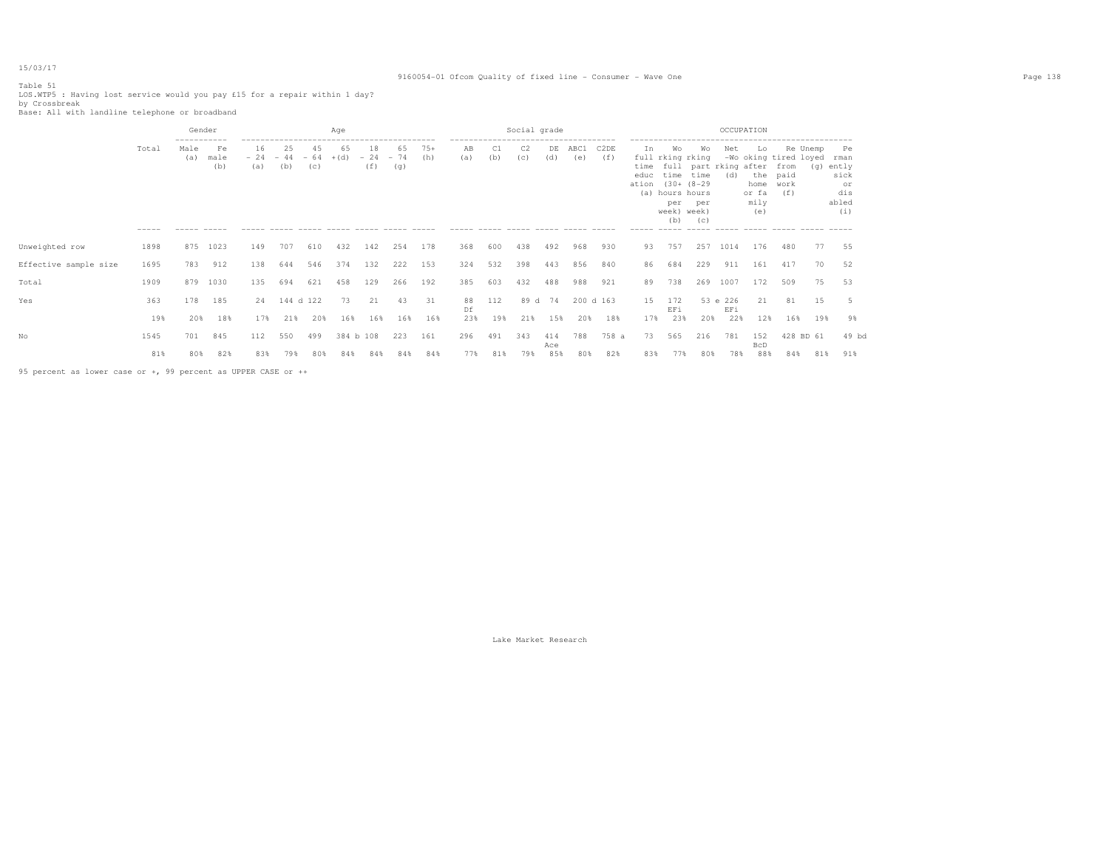### 9160054-01 Ofcom Quality of fixed line - Consumer - Wave One Page 138

Table 51 LOS.WTP5 : Having lost service would you pay £15 for a repair within 1 day? by Crossbreak Base: All with landline telephone or broadband

|                       |       | Gender                     |                   |                        |           |                    | Aae          |                         |           |              |                                                    |     | Social grade |            |             |                          |                             |                                                                                                                                 |                  | OCCUPATION      |                                                                     |                             |          |                                                              |
|-----------------------|-------|----------------------------|-------------------|------------------------|-----------|--------------------|--------------|-------------------------|-----------|--------------|----------------------------------------------------|-----|--------------|------------|-------------|--------------------------|-----------------------------|---------------------------------------------------------------------------------------------------------------------------------|------------------|-----------------|---------------------------------------------------------------------|-----------------------------|----------|--------------------------------------------------------------|
|                       | Total | -----------<br>Male<br>(a) | Fe<br>male<br>(b) | 16<br>$-24 -44$<br>(a) | 25<br>(b) | 45<br>$-64$<br>(c) | 65<br>$+(d)$ | 18<br>$-24 - 74$<br>(f) | 65<br>(q) | $75+$<br>(h) | -------------------------------------<br>ΆB<br>(a) | (b) | C2<br>(c)    | DE<br>(d)  | ABC1<br>(e) | C <sub>2</sub> DE<br>(f) | In<br>time<br>educ<br>ation | Wo<br>full rking rking<br>full part rking after<br>time time<br>$(30 + (8 - 29$<br>(a) hours hours<br>per<br>week) week)<br>(b) | Wo<br>per<br>(C) | Net<br>(d)      | Lo.<br>-Wo oking tired loyed<br>the<br>home<br>or fa<br>mily<br>(e) | from<br>paid<br>work<br>(f) | Re Unemp | Pe<br>rman<br>(g) ently<br>sick<br>or<br>dis<br>abled<br>(i) |
| Unweighted row        | 1898  | 875                        | 1023              | 149                    | 707       | 610                | 432          | 142                     | 254       | 178          | 368                                                | 600 | 438          | 492        | 968         | 930                      | 93                          | 757                                                                                                                             | 257              | 1014            | 176                                                                 | 480                         | 77       | 55                                                           |
| Effective sample size | 1695  | 783                        | 912               | 138                    | 644       | 546                | 374          | 132                     | 222       | 153          | 324                                                | 532 | 398          | 443        | 856         | 840                      | 86                          | 684                                                                                                                             | 229              | 911             | 161                                                                 | 417                         | 70       | 52                                                           |
| Total                 | 1909  | 879                        | 1030              | 135                    | 694       | 621                | 458          | 129                     | 266       | 192          | 385                                                | 603 | 432          | 488        | 988         | 921                      | 89                          | 738                                                                                                                             | 269              | 1007            | 172                                                                 | 509                         | 75       | 53                                                           |
| Yes                   | 363   | 178                        | 185               | 24                     | 144 d 122 |                    | 73           | 21                      | 43        | 31           | 88<br>Df                                           | 112 |              | 89 d 74    |             | 200 d 163                | 15                          | 172<br>EFi                                                                                                                      |                  | 53 e 226<br>EFi | 21                                                                  | 81                          | 15       |                                                              |
|                       | 19%   | 20%                        | 18%               | 17%                    | 21%       | 20%                | 16%          | 16%                     | 16%       | 16%          | 23%                                                | 19% | 21%          | 15%        | 20%         | 18%                      | 17%                         | 23%                                                                                                                             | 20%              | 22%             | 12%                                                                 | 16%                         | 19%      | 9%                                                           |
| Nο                    | 1545  | 701                        | 845               | 112                    | 550       | 499                | 384 b 108    |                         | 223       | 161          | 296                                                | 491 | 343          | 414<br>Ace | 788         | 758 a                    | 73                          | 565                                                                                                                             | 216              | 781             | 152<br><b>BcD</b>                                                   | 428 BD 61                   |          | 49 bd                                                        |
|                       | 81%   | 80%                        | 82%               | 83%                    | 79%       | 80%                | 84%          | 84%                     | 84%       | 84%          | 77%                                                | 81% | 79%          | 85%        | 80%         | 82%                      | 83%                         | 77%                                                                                                                             | 80%              | 78%             | 88%                                                                 | 84%                         | 81%      | 91%                                                          |
|                       |       |                            |                   |                        |           |                    |              |                         |           |              |                                                    |     |              |            |             |                          |                             |                                                                                                                                 |                  |                 |                                                                     |                             |          |                                                              |

95 percent as lower case or +, 99 percent as UPPER CASE or ++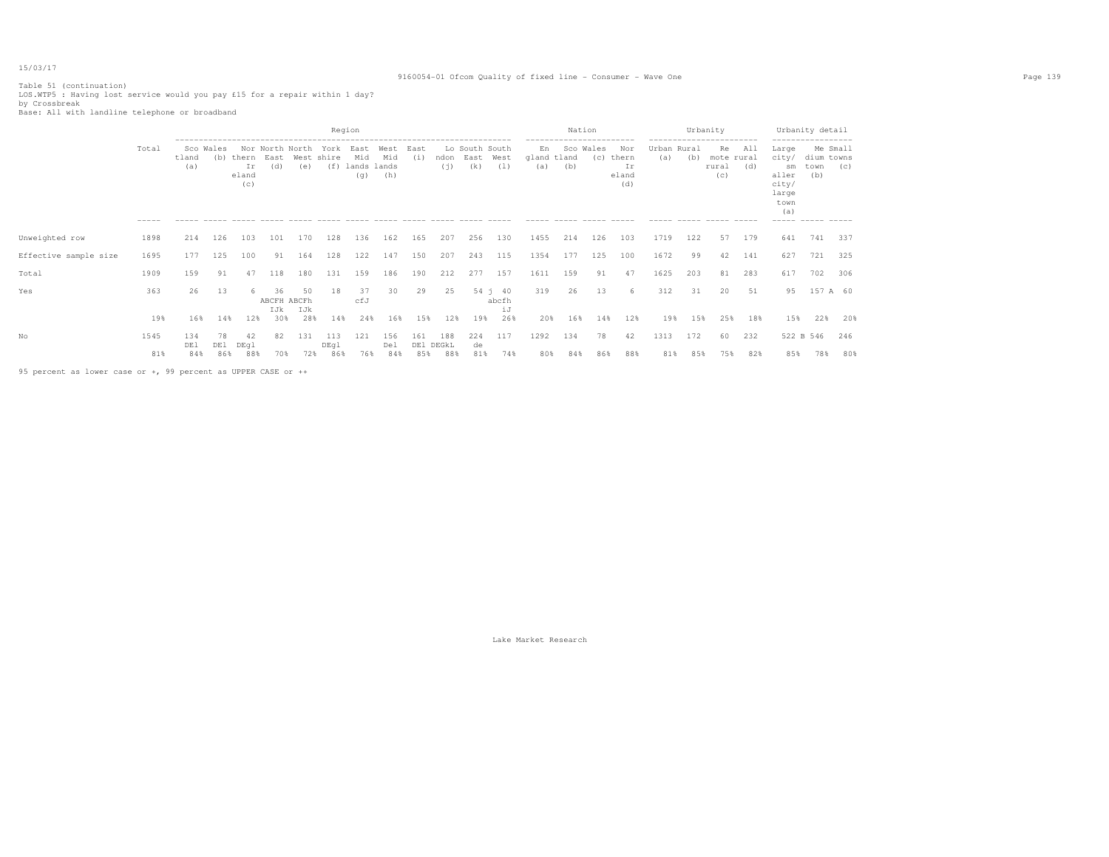### 9160054-01 Ofcom Quality of fixed line - Consumer - Wave One Page 139

Table 51 (continuation) LOS.WTP5 : Having lost service would you pay £15 for a repair within 1 day? by Crossbreak Base: All with landline telephone or broadband

| Total       | tland<br>(a)      | (b)       | Ir<br>(C)         | (d)                          | (e)         | York<br>(f)                                  | East<br>Mid<br>(q)       | West<br>Mid<br>(h)   | East<br>(i)               | (i)        | (k)                     | (1)        | En<br>(a)                                                         | (b)        | (c)         | Nor<br>Ιr<br>(d)    | (a)            | (b)        | Re.<br>(C)  | All<br>(d)               | Large<br>city/<br>sm<br>aller<br>city/<br>large<br>town<br>(a) | (b)         | (C)                                                                               |
|-------------|-------------------|-----------|-------------------|------------------------------|-------------|----------------------------------------------|--------------------------|----------------------|---------------------------|------------|-------------------------|------------|-------------------------------------------------------------------|------------|-------------|---------------------|----------------|------------|-------------|--------------------------|----------------------------------------------------------------|-------------|-----------------------------------------------------------------------------------|
| 1898        | 214               | 126       | 103               | 101                          | 170         | 128                                          | 136                      | 162                  | 165                       | 207        | 256                     | 130        | 1455                                                              | 214        | 126         | 103                 | 1719           | 122        | 57          | 179                      | 641                                                            | 741         | 337                                                                               |
| 1695        | 177               | 125       | 100               | 91                           | 164         | 128                                          | 122                      | 147                  | 150                       | 207        | 243                     | 115        | 1354                                                              | 177        | 125         | 100                 | 1672           | 99         | 42          | 141                      | 627                                                            | 721         | 325                                                                               |
| 1909        | 159               | 91        | 47                | 118                          | 180         | 131                                          | 159                      | 186                  | 190                       | 212        | 277                     | 157        | 1611                                                              | 159        | 91          | 47                  | 1625           | 203        | 81          | 283                      | 617                                                            | 702         | 306                                                                               |
| 363         | 26                | 13        |                   | 36<br>IJk                    | 50<br>IJk   | 18                                           | 37<br>cfJ                | 30                   | 29                        | 25         |                         | iJ         | 319                                                               | 26         | 13          | 6                   | 312            | 31         | 20          | 51                       | 95                                                             |             |                                                                                   |
| 19%         | 16%               |           |                   |                              |             |                                              |                          |                      |                           | 12%        |                         | 26%        | 20%                                                               | 16%        | 14%         | 12%                 | 19%            |            | 25%         | 18%                      |                                                                | 22%         | 20%                                                                               |
| 1545<br>81% | 134<br>DE1<br>84% | 78<br>DE1 | 42<br>DEql<br>88% | 82                           | 131         | 113<br>DEql                                  | 121                      | 156<br>Del           | 161                       | 188<br>88% | 224<br>de<br>81%        | 117<br>74% | 1292<br>80%                                                       | 134<br>84% | 78<br>86%   | 42<br>88%           | 1313<br>81%    | 172<br>85% | 60<br>75%   | 232<br>82%               | 85%                                                            | 78%         | 246<br>80%                                                                        |
|             | -----             |           | Sco Wales         | thern<br>eland<br>14%<br>86% | East<br>12% | Nor North North<br>ABCFH ABCFh<br>30%<br>70% | West shire<br>28%<br>72% | Region<br>14%<br>86% | lands lands<br>24%<br>76% | 16%<br>84% | 15%<br>DE1 DEGKL<br>85% |            | Lo South South<br>ndon East West<br>$54 \t1 \t40$<br>abcfh<br>19% |            | gland tland | Nation<br>Sco Wales | thern<br>eland |            | Urban Rural | Urbanity<br>rural<br>15% | mote rural                                                     | $- - - - -$ | Urbanity detail<br>Me Small<br>dium towns<br>town<br>157 A 60<br>15%<br>522 B 546 |

95 percent as lower case or +, 99 percent as UPPER CASE or ++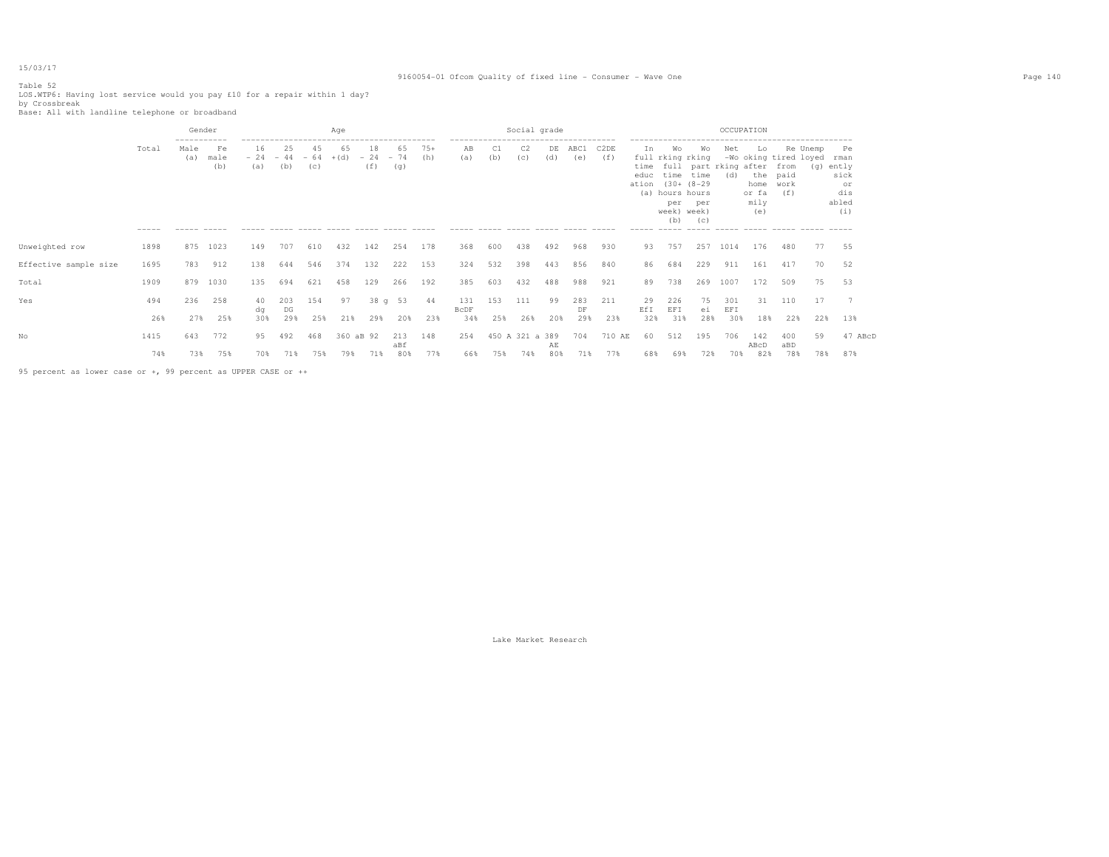# Table 52

### 9160054-01 Ofcom Quality of fixed line - Consumer - Wave One Page 140

LOS.WTP6: Having lost service would you pay £10 for a repair within 1 day?<br>by Crossbreak<br>Base: All with landline telephone or broadband

|                       |       | Gender                               |                               |                              |           |           | Age          |                         |            |              |                                                                                          |           | Social grade    |           |             |             |            |                                                                                                     |                          | OCCUPATION                               |                                         |                                                  |                 |                                                          |  |
|-----------------------|-------|--------------------------------------|-------------------------------|------------------------------|-----------|-----------|--------------|-------------------------|------------|--------------|------------------------------------------------------------------------------------------|-----------|-----------------|-----------|-------------|-------------|------------|-----------------------------------------------------------------------------------------------------|--------------------------|------------------------------------------|-----------------------------------------|--------------------------------------------------|-----------------|----------------------------------------------------------|--|
|                       | Total | -----------<br>Male<br>(a)<br>------ | Fe<br>male<br>(b)<br>$------$ | 16<br>$-24 - 44 - 64$<br>(a) | 25<br>(b) | 45<br>(C) | 65<br>$+(d)$ | 18<br>$-24 - 74$<br>(f) | 65<br>(g)  | $75+$<br>(h) | -------------------------------------<br>AB<br>(a)<br>----- ----- ----- ----- ----- ---- | C1<br>(b) | (C)             | DE<br>(d) | ABC1<br>(e) | C2DE<br>(f) | In<br>educ | Wo<br>full rking rking<br>time<br>ation (30+ (8-29)<br>(a) hours hours<br>per<br>week) week)<br>(b) | Wo<br>time<br>per<br>(C) | Net<br>time full part rking after<br>(d) | Lo<br>home work<br>or fa<br>mily<br>(e) | -Wo oking tired loyed<br>from<br>the paid<br>(f) | Re Unemp<br>(q) | Pe<br>rman<br>ently<br>sick<br>or<br>dis<br>abled<br>(i) |  |
| Unweighted row        | 1898  | 875                                  | 1023                          | 149                          | 707       | 610       | 432          | 142                     | 254        | 178          | 368                                                                                      | 600       | 438             | 492       | 968         | 930         | 93         | 757                                                                                                 | 257                      | 1014                                     | 176                                     | 480                                              | 77              | 55                                                       |  |
| Effective sample size | 1695  | 783                                  | 912                           | 138                          | 644       | 546       | 374          | 132                     | 222        | 153          | 324                                                                                      | 532       | 398             | 443       | 856         | 840         | 86         | 684                                                                                                 | 229                      | 911                                      | 161                                     | 417                                              | 70              | 52                                                       |  |
| Total                 | 1909  | 879                                  | 1030                          | 135                          | 694       | 621       | 458          | 129                     | 266        | 192          | 385                                                                                      | 603       | 432             | 488       | 988         | 921         | 89         | 738                                                                                                 | 269                      | 1007                                     | 172                                     | 509                                              | 75              | 53                                                       |  |
| Yes                   | 494   | 236                                  | 258                           | 40<br>dq                     | 203<br>DG | 154       | 97           |                         | 38 q 53    | 44           | 131<br><b>BcDF</b>                                                                       | 153       | 111             | 99        | 283<br>DF   | 211         | 29<br>EfI  | 226<br>EFI                                                                                          | 75<br>ei                 | 301<br>EFI                               | 31                                      | 110                                              | 17              | $\overline{7}$                                           |  |
|                       | 26%   | 2.7%                                 | 25%                           | 30%                          | 29%       | 25%       | 21%          | 29%                     | 20%        | 23%          | 34%                                                                                      | 25%       | 26%             | 20%       | 29%         | 23%         | 32%        | 31%                                                                                                 | 28%                      | 30%                                      | 18%                                     | 22%                                              | 22%             | 13%                                                      |  |
| Nο                    | 1415  | 643                                  | 772                           | 95                           | 492       | 468       | 360 aB 92    |                         | 213<br>aBf | 148          | 254                                                                                      |           | 450 A 321 a 389 | AE        | 704         | 710 AE      | 60         | 512                                                                                                 | 195                      | 706                                      | 142<br>ABcD                             | 400<br>aBD                                       | 59              | 47 ABcD                                                  |  |
|                       | 74%   | 73%                                  | 75%                           | 70%                          | 71%       | 75%       | 79%          | 71%                     | 80%        | 77%          | 66%                                                                                      | 75%       | 74%             | 80%       | 71%         | 77%         | 68%        | 69%                                                                                                 | 72%                      | 70%                                      | 82%                                     | 78%                                              | 78%             | 87%                                                      |  |

95 percent as lower case or +, 99 percent as UPPER CASE or ++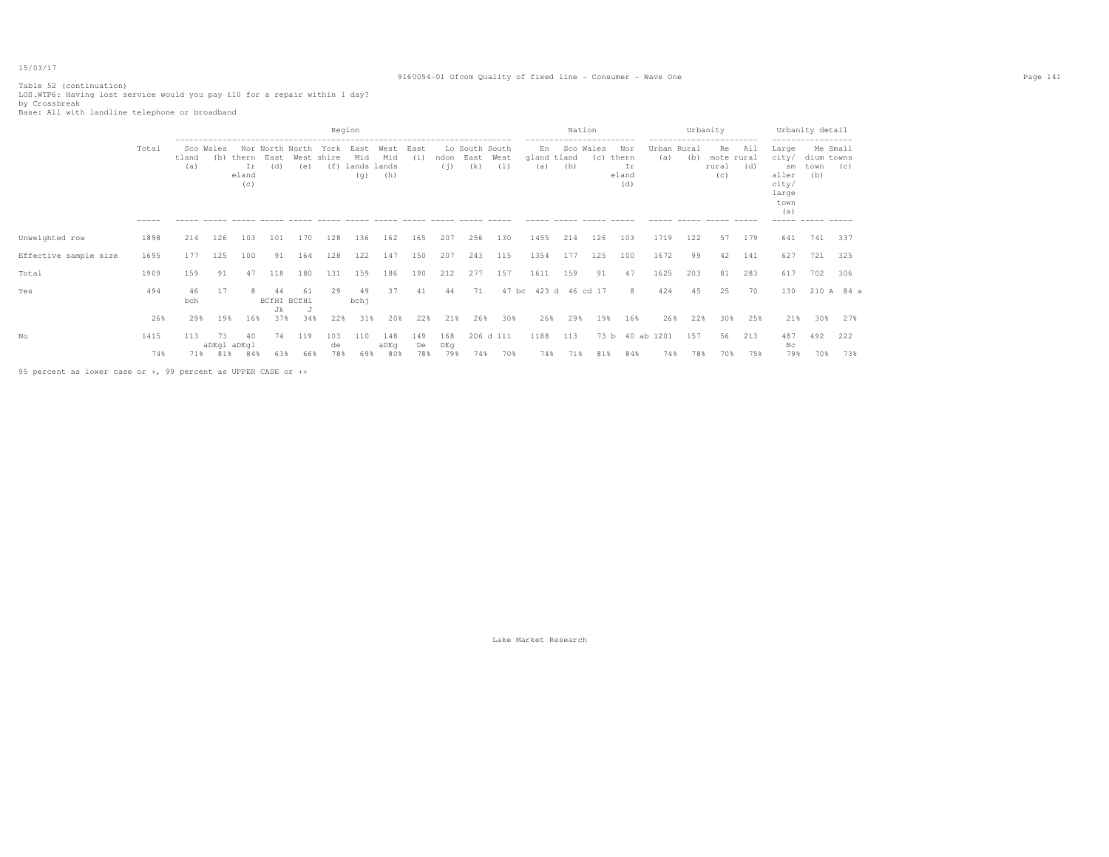### 9160054-01 Ofcom Quality of fixed line - Consumer - Wave One Page 141

Table 52 (continuation)<br>LOS.WTP6: Having lost service would you pay £10 for a repair within 1 day?<br>by Crossbreak<br>Base: All with landline telephone or broadband

|                       |                     |              |                              |                             |                                |            |                    | Region                                |                    |                  |                   |                               |                  |                          | Nation           |             |                                    |                    | Urbanity   |                                  |            |                                                                | Urbanity detail                       |            |
|-----------------------|---------------------|--------------|------------------------------|-----------------------------|--------------------------------|------------|--------------------|---------------------------------------|--------------------|------------------|-------------------|-------------------------------|------------------|--------------------------|------------------|-------------|------------------------------------|--------------------|------------|----------------------------------|------------|----------------------------------------------------------------|---------------------------------------|------------|
|                       | Total               | tland<br>(a) | Sco Wales<br>(b)             | thern<br>Ir<br>eland<br>(C) | Nor North North<br>East<br>(d) | (e)        | York<br>West shire | East<br>Mid<br>(f) lands lands<br>(q) | West<br>Mid<br>(h) | East<br>(i)      | ndon<br>(i)       | Lo South South<br>East<br>(k) | West<br>(1)      | En<br>gland tland<br>(a) | Sco Wales<br>(b) | (C)         | Nor<br>thern<br>Ir<br>eland<br>(d) | Urban Rural<br>(a) | (b)        | Re<br>mote rural<br>rural<br>(c) | All<br>(d) | Large<br>city/<br>sm<br>aller<br>city/<br>large<br>town<br>(a) | Me Small<br>dium towns<br>town<br>(b) | (C)        |
| Unweighted row        | $- - - - -$<br>1898 | 214          | 126                          | 103                         | 101                            | 170        | 128                | 136                                   | 162                | 165              | 207               | 256                           | 130              | 1455                     | 214              | 126         | 103                                | 1719               | 122        | 57                               | 179        | $- - - - -$<br>641                                             | 741                                   | 337        |
| Effective sample size | 1695                | 177          | 125                          | 100                         | 91                             | 164        | 128                | 122                                   | 147                | 150              | 207               | 243                           | 115              | 1354                     | 177              | 125         | 100                                | 1672               | 99         | 42                               | 141        | 627                                                            | 721                                   | 325        |
| Total                 | 1909                | 159          | 91                           | 47                          | 118                            | 180        | 131                | 159                                   | 186                | 190              | 212               | 277                           | 157              | 1611                     | 159              | 91          | 47                                 | 1625               | 203        | 81                               | 283        | 617                                                            | 702                                   | 306        |
| Yes                   | 494                 | 46<br>bch    | 17                           |                             | 44<br>BCfHI BCfHi<br>Jk        | 61         | 29                 | 49<br>bchj                            | 37                 | 41               | 44                | 71                            | 47 bc            |                          | 423 d 46 cd 17   |             | 8                                  | 424                | 45         | 25                               | 70         | 130                                                            |                                       | 210 A 84 a |
|                       | 26%                 | 29%          | 19%                          | 16%                         | 37%                            | 34%        | 22%                | 31%                                   | 20%                | 22%              | 21%               | 26%                           | 30%              | 26%                      | 29%              | 19%         | 16%                                | 26%                | 22%        | 30%                              | 25%        | 21%                                                            | 30%                                   | 27%        |
| No                    | 1415<br>74%         | 113          | 73<br>aDEgl aDEgl<br>71% 81% | 40<br>84%                   | 74<br>63%                      | 119<br>66% | 103<br>de<br>78%   | 110<br>69%                            | 148<br>aDEq<br>80% | 149<br>De<br>78% | 168<br>DEg<br>79% | 74%                           | 206 d 111<br>70% | 1188<br>74%              | 113<br>71%       | 73 b<br>81% | 84%                                | 40 ab 1201<br>74%  | 157<br>78% | 56<br>70%                        | 213<br>75% | 487<br>Bс<br>79%                                               | 492<br>70%                            | 222<br>73% |
|                       |                     |              |                              |                             |                                |            |                    |                                       |                    |                  |                   |                               |                  |                          |                  |             |                                    |                    |            |                                  |            |                                                                |                                       |            |

95 percent as lower case or +, 99 percent as UPPER CASE or ++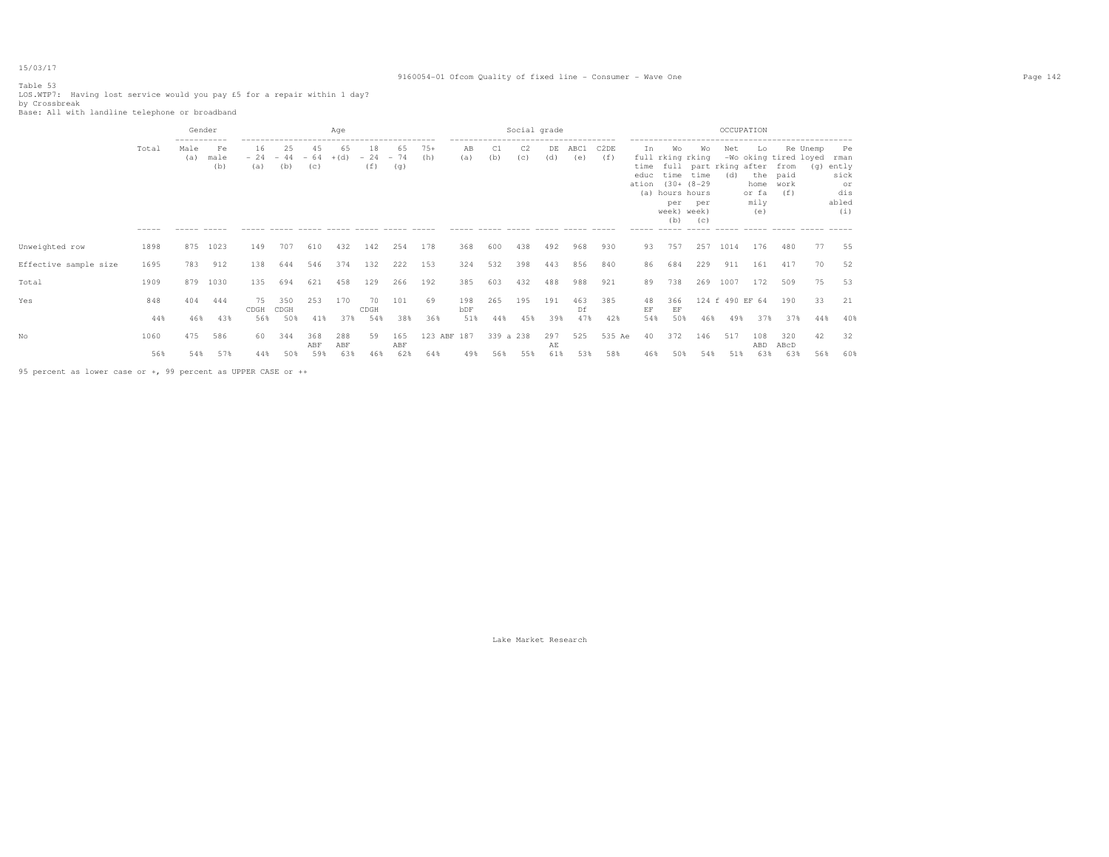### 9160054-01 Ofcom Quality of fixed line - Consumer - Wave One Page 142

Table 53 LOS.WTP7: Having lost service would you pay £5 for a repair within 1 day? by Crossbreak Base: All with landline telephone or broadband

|                       |                      | Gender                               |                                  |                     |                                                                          |            | Age        |                    |                    |              |                                                              |           | Social grade                               |           |             |                          |                                                 |                                                                                                  |                          | OCCUPATION                               |                                         |                                                                            |                 |                                                          |
|-----------------------|----------------------|--------------------------------------|----------------------------------|---------------------|--------------------------------------------------------------------------|------------|------------|--------------------|--------------------|--------------|--------------------------------------------------------------|-----------|--------------------------------------------|-----------|-------------|--------------------------|-------------------------------------------------|--------------------------------------------------------------------------------------------------|--------------------------|------------------------------------------|-----------------------------------------|----------------------------------------------------------------------------|-----------------|----------------------------------------------------------|
|                       | Total<br>$- - - - -$ | -----------<br>Male<br>(a)<br>------ | Fe<br>male<br>(b)<br>$- - - - -$ | 16<br>(a)<br>------ | 25<br>$-24 - 44 - 64 + (d)$<br>(b)<br>----- ----- ----- ----- ----- ---- | 45<br>(C)  | 65         | 18<br>$-24$<br>(f) | 65<br>$-74$<br>(g) | $75+$<br>(h) | -------------------------------------<br>AB<br>(a)<br>------ | C1<br>(b) | C2<br>(c)<br>------ ----- ----- ----- ---- | DE<br>(d) | ABC1<br>(e) | C <sub>2</sub> DE<br>(f) | Ιn.<br>time<br>educ<br>ation (30+ (8-29)<br>(a) | Wo<br>full rking rking<br>time<br>hours hours<br>per<br>week) week)<br>(b)<br>------ ----- ----- | Wo<br>time<br>per<br>(C) | Net<br>full part rking after from<br>(d) | Lo<br>home work<br>or fa<br>mily<br>(e) | -Wo oking tired loyed<br>the paid<br>(f)<br>----- ----- ------ ----- ----- | Re Unemp<br>(q) | Pe<br>rman<br>ently<br>sick<br>or<br>dis<br>abled<br>(i) |
| Unweighted row        | 1898                 | 875                                  | 1023                             | 149                 | 707                                                                      | 610        | 432        | 142                | 254                | 178          | 368                                                          | 600       | 438                                        | 492       | 968         | 930                      | 93                                              | 757                                                                                              | 257                      | 1014                                     | 176                                     | 480                                                                        | 77              | 55                                                       |
| Effective sample size | 1695                 | 783                                  | 912                              | 138                 | 644                                                                      | 546        | 374        | 132                | 222                | 153          | 324                                                          | 532       | 398                                        | 443       | 856         | 840                      | 86                                              | 684                                                                                              | 229                      | 911                                      | 161                                     | 417                                                                        | 70              | 52                                                       |
| Total                 | 1909                 | 879                                  | 1030                             | 135                 | 694                                                                      | 621        | 458        | 129                | 266                | 192          | 385                                                          | 603       | 432                                        | 488       | 988         | 921                      | 89                                              | 738                                                                                              | 269                      | 1007                                     | 172                                     | 509                                                                        | 75              | 53                                                       |
| Yes                   | 848                  | 404                                  | 444                              | 75<br>CDGH          | 350<br>CDGH                                                              | 253        | 170        | 70<br>CDGH         | 101                | 69           | 198<br>bDF                                                   | 265       | 195                                        | 191       | 463<br>Df   | 385                      | 48<br>EF                                        | 366<br>EF                                                                                        |                          | 124 f 490 EF 64                          |                                         | 190                                                                        | 33              | 21                                                       |
|                       | 44%                  | 46%                                  | 43%                              | 56%                 | 50%                                                                      | 41%        | 37%        | 54%                | 38%                | 36%          | 51%                                                          | 44%       | 45%                                        | 39%       | 47%         | 42%                      | 54%                                             | 50%                                                                                              | 46%                      | 49%                                      | 37%                                     | 37%                                                                        | 44%             | 40%                                                      |
| Nο                    | 1060                 | 475                                  | 586                              | 60                  | 344                                                                      | 368<br>ABF | 288<br>ABF | 59                 | 165<br>ABF         | 123 ABF 187  |                                                              | 339 a 238 |                                            | 297<br>AЕ | 525         | 535 Ae                   | 40                                              | 372                                                                                              | 146                      | 517                                      | 108<br>ABD                              | 320<br>ABcD                                                                | 42              | 32                                                       |
|                       | 56%                  | 54%                                  | 57%                              | 44%                 | 50%                                                                      | 59%        | 63%        | 46%                | 62%                | 64%          | 49%                                                          | 56%       | 55%                                        | 61%       | 53%         | 58%                      | 46%                                             | 50%                                                                                              | 54%                      | 51%                                      | 63%                                     | 63%                                                                        | 56%             | 60%                                                      |

95 percent as lower case or +, 99 percent as UPPER CASE or ++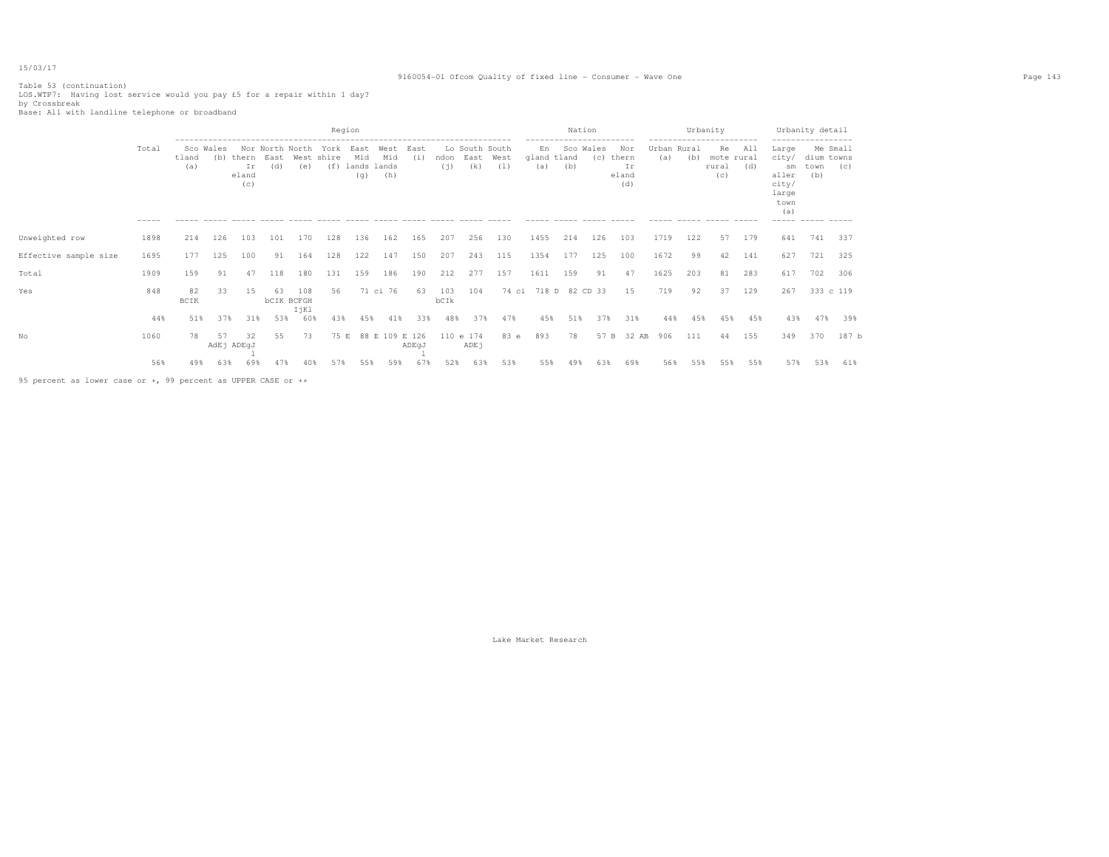### 9160054-01 Ofcom Quality of fixed line - Consumer - Wave One Page 143

Table 53 (continuation) LOS.WTP7: Having lost service would you pay £5 for a repair within 1 day? by Crossbreak Base: All with landline telephone or broadband

|                                                                                                                                                                                                                                |                      |              |                  |                             |             |                                  |                    | Region             |                                       |             |             |                               |             |                          | Nation |                  |                                    |                    |     | Urbanity<br>----------------     |            |                                                                               | Urbanity detail                                            |                 |
|--------------------------------------------------------------------------------------------------------------------------------------------------------------------------------------------------------------------------------|----------------------|--------------|------------------|-----------------------------|-------------|----------------------------------|--------------------|--------------------|---------------------------------------|-------------|-------------|-------------------------------|-------------|--------------------------|--------|------------------|------------------------------------|--------------------|-----|----------------------------------|------------|-------------------------------------------------------------------------------|------------------------------------------------------------|-----------------|
|                                                                                                                                                                                                                                | Total<br>$- - - - -$ | tland<br>(a) | Sco Wales<br>(b) | thern<br>Ir<br>eland<br>(c) | East<br>(d) | Nor North North<br>(e)           | York<br>West shire | East<br>Mid<br>(q) | West<br>Mid<br>(f) lands lands<br>(h) | East<br>(i) | ndon<br>(i) | Lo South South<br>East<br>(k) | West<br>(1) | En<br>gland tland<br>(a) | (b)    | Sco Wales<br>(C) | Nor<br>thern<br>Ιr<br>eland<br>(d) | Urban Rural<br>(a) | (b) | Re<br>mote rural<br>rural<br>(c) | All<br>(d) | Large<br>city/<br>sm<br>aller<br>city/<br>large<br>town<br>(a)<br>$- - - - -$ | dium towns<br>town<br>(b)<br>$\cdots \cdots \cdots \cdots$ | Me Small<br>(C) |
| Unweighted row                                                                                                                                                                                                                 | 1898                 | 214          | 126              | 103                         | 101         | 170                              | 128                | 136                | 162                                   | 165         | 207         | 256                           | 130         | 1455                     | 214    | 126              | 103                                | 1719               | 122 | 57                               | 179        | 641                                                                           | 741                                                        | 337             |
| Effective sample size                                                                                                                                                                                                          | 1695                 | 177          | 125              | 100                         | 91          | 164                              | 128                | 122                | 147                                   | 150         | 207         | 243                           | 115         | 1354                     | 177    | 125              | 100                                | 1672               | 99  | 42                               | 141        | 627                                                                           | 721 325                                                    |                 |
| Total                                                                                                                                                                                                                          | 1909                 | 159          | 91               | 47                          | 118         | 180                              | 131                | 159                | 186                                   | 190         | 212         | 277                           | 157         | 1611                     | 159    | 91               | 47                                 | 1625               | 203 | 81                               | 283        | 617                                                                           | 702                                                        | 306             |
| Yes                                                                                                                                                                                                                            | 848                  | 82<br>BCIK   | 33               | 15                          | 63          | 108<br><b>bCIK BCFGH</b><br>IjKl | 56                 |                    | 71 ci 76                              | 63          | 103<br>bCIk | 104                           |             | 74 ci 718 D 82 CD 33     |        |                  | 15                                 | 719                | 92  | 37                               | 129        | 267                                                                           | 333 c 119                                                  |                 |
|                                                                                                                                                                                                                                | 44%                  | 51%          | 37%              | 31%                         | 53%         | 60%                              | 43%                | 45%                | 41%                                   | 33%         | 48%         | 37%                           | 47%         | 45%                      | 51%    | 37%              | 31%                                | 44%                | 45% | 45%                              | 45%        | 43%                                                                           | 47%                                                        | 39%             |
| No                                                                                                                                                                                                                             | 1060                 | 78           | 57               | 32<br>AdEj ADEqJ            | 55          | 73                               | 75 E               |                    | 88 E 109 E 126                        | ADEqJ       |             | 110 e 174<br>ADEj             | 83 e        | 893                      | 78     | 57 B             | 32 AB                              | 906                | 111 | 44                               | 155        | 349                                                                           | 370                                                        | 187 b           |
| or a strong contract of the contract of the contract of the contract of the contract of the contract of the contract of the contract of the contract of the contract of the contract of the contract of the contract of the co | 56%                  | 49%          | 63%              | 69%                         | 47%         | 40%                              | 57%                | 55%                | 59%                                   | 67%         | 52%         | 63%                           | 53%         | 55%                      | 49%    | 63%              | 69%                                | 56%                | 55% | 55%                              | 55%        | 57%                                                                           | 53%                                                        | 61%             |

95 percent as lower case or +, 99 percent as UPPER CASE or ++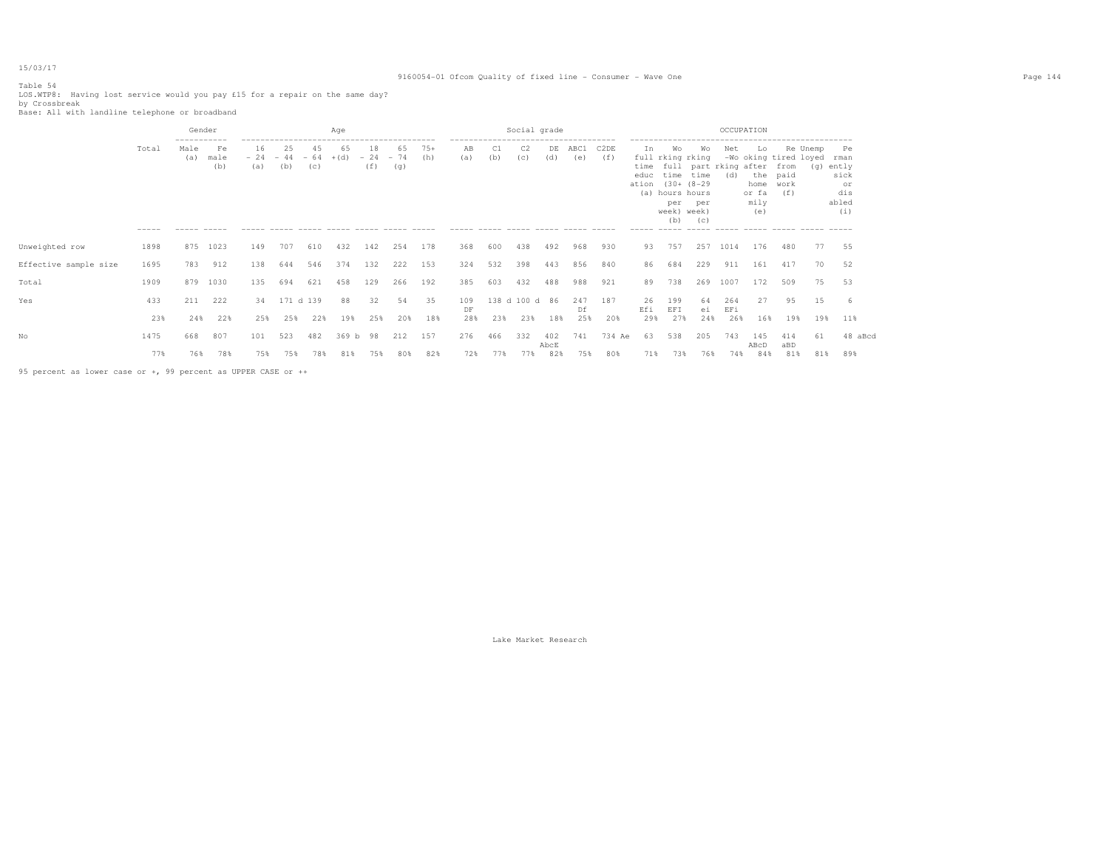### 9160054-01 Ofcom Quality of fixed line - Consumer - Wave One Page 144

Table 54 LOS.WTP8: Having lost service would you pay £15 for a repair on the same day? by Crossbreak Base: All with landline telephone or broadband

|                       |                      | Gender                                    |                   |                              |              |           | Age          |                         |           |              |           |           | Social grade                                                                                         |             |             |             |            |                                                                                                          |                  | OCCUPATION                               |                                    |                                                          |                 |                                                          |
|-----------------------|----------------------|-------------------------------------------|-------------------|------------------------------|--------------|-----------|--------------|-------------------------|-----------|--------------|-----------|-----------|------------------------------------------------------------------------------------------------------|-------------|-------------|-------------|------------|----------------------------------------------------------------------------------------------------------|------------------|------------------------------------------|------------------------------------|----------------------------------------------------------|-----------------|----------------------------------------------------------|
|                       | Total<br>$- - - - -$ | -----------<br>Male<br>(a)<br>------ ---- | Fe<br>male<br>(b) | 16<br>$-24 - 44 - 64$<br>(a) | 25<br>(b)    | 45<br>(C) | 65<br>$+(d)$ | 18<br>$-24 - 74$<br>(f) | 65<br>(q) | $75+$<br>(h) | AВ<br>(a) | C1<br>(b) | -------------------------------------<br>C <sub>2</sub><br>(C)<br>----- ----- ----- ----- ----- ---- | DE<br>(d)   | ABC1<br>(e) | C2DE<br>(f) | In<br>educ | Wo<br>full rking rking<br>time time<br>ation (30+ (8-29)<br>(a) hours hours<br>per<br>week) week)<br>(b) | Wo<br>per<br>(C) | Net<br>time full part rking after<br>(d) | Lo<br>home<br>or fa<br>mily<br>(e) | -Wo oking tired loyed<br>from<br>the paid<br>work<br>(f) | Re Unemp<br>(q) | Pe<br>rman<br>ently<br>sick<br>or<br>dis<br>abled<br>(i) |
| Unweighted row        | 1898                 | 875                                       | 1023              | 149                          | 707          | 610       | 432          | 142                     | 254       | 178          | 368       | 600       | 438                                                                                                  | 492         | 968         | 930         | 93         | 757                                                                                                      | 257              | 1014                                     | 176                                | 480                                                      | 77              | 55                                                       |
| Effective sample size | 1695                 | 783                                       | 912               | 138                          | 644          | 546       | 374          | 132                     | 222       | 153          | 324       | 532       | 398                                                                                                  | 443         | 856         | 840         | 86         | 684                                                                                                      | 229              | 911                                      | 161                                | 417                                                      | 70              | 52                                                       |
| Total                 | 1909                 | 879                                       | 1030              | 135                          | 694          | 621       | 458          | 129                     | 266       | 192          | 385       | 603       | 432                                                                                                  | 488         | 988         | 921         | 89         | 738                                                                                                      | 269              | 1007                                     | 172                                | 509                                                      | 75              | 53                                                       |
| Yes                   | 433                  | 211                                       | 222               |                              | 34 171 d 139 |           | 88           | 32                      | 54        | 35           | 109<br>DF |           | 138 d 100 d 86                                                                                       |             | 247<br>Df   | 187         | 26<br>Efi  | 199<br>EFI                                                                                               | 64<br>ei         | 264<br>EFi                               | 27                                 | 95                                                       | 15              | -6                                                       |
|                       | 23%                  | 24%                                       | 22%               | 25%                          | 25%          | 22%       | 19%          | 25%                     | 20%       | 18%          | 28%       | 23%       | 23%                                                                                                  | 18%         | 25%         | 20%         | 29%        | 27%                                                                                                      | 24%              | 26%                                      | 16%                                | 19%                                                      | 19%             | 11%                                                      |
| No                    | 1475                 | 668                                       | 807               | 101                          | 523          | 482       | 369 b        | 98                      | 212       | 157          | 276       | 466       | 332                                                                                                  | 402<br>AbcE | 741         | 734 Ae      | 63         | 538                                                                                                      | 205              | 743                                      | 145<br>ABcD                        | 414<br>aBD                                               | 61              | 48 aBcd                                                  |
|                       | 77%                  | 76%                                       | 78%               | 75%                          | 75%          | 78%       | 81%          | 75%                     | 80%       | 82%          | 72%       | 77%       | 77%                                                                                                  | 82%         | 75%         | 80%         | 71%        | 73%                                                                                                      | 76%              | 74%                                      | 84%                                | 81%                                                      | 81%             | 89%                                                      |
|                       |                      |                                           |                   |                              |              |           |              |                         |           |              |           |           |                                                                                                      |             |             |             |            |                                                                                                          |                  |                                          |                                    |                                                          |                 |                                                          |

95 percent as lower case or +, 99 percent as UPPER CASE or ++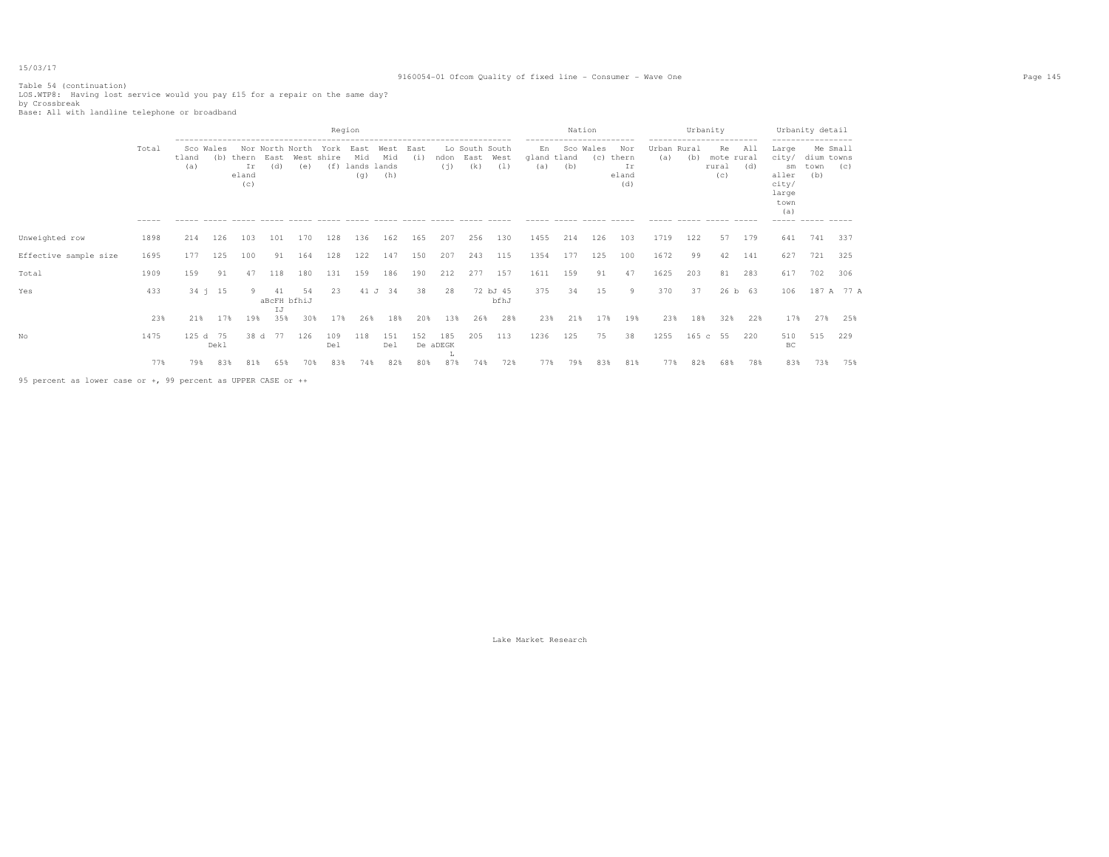# 9160054-01 Ofcom Quality of fixed line - Consumer - Wave One Page 145

Table 54 (continuation) LOS.WTP8: Having lost service would you pay £15 for a repair on the same day? by Crossbreak Base: All with landline telephone or broadband

|                       |                      |              |                  |                             |             |                        |                           | Region                            |                    |             |                      |                                                                |                                              |                                      | Nation           |     |                                    |                             | Urbanity<br>------------------------- |                                  |                           |                                                                         | Urbanity detail                                      |            |
|-----------------------|----------------------|--------------|------------------|-----------------------------|-------------|------------------------|---------------------------|-----------------------------------|--------------------|-------------|----------------------|----------------------------------------------------------------|----------------------------------------------|--------------------------------------|------------------|-----|------------------------------------|-----------------------------|---------------------------------------|----------------------------------|---------------------------|-------------------------------------------------------------------------|------------------------------------------------------|------------|
|                       | Total<br>$- - - - -$ | tland<br>(a) | Sco Wales<br>(b) | thern<br>Ir<br>eland<br>(c) | East<br>(d) | Nor North North<br>(e) | York<br>West shire<br>(f) | East<br>Mid<br>lands lands<br>(q) | West<br>Mid<br>(h) | East<br>(i) | ndon<br>(i)          | Lo South South<br>East<br>(k)<br>$\cdots \cdots \cdots \cdots$ | West<br>(1)<br>$\cdots \cdots \cdots \cdots$ | En<br>gland tland<br>(a)<br>$------$ | Sco Wales<br>(b) | (C) | Nor<br>thern<br>Ιr<br>eland<br>(d) | Urban Rural<br>(a)<br>----- | (b)                                   | Re<br>mote rural<br>rural<br>(C) | All<br>(d)<br>$- - - - -$ | Large<br>city/<br>sm<br>aller<br>city/<br>large<br>town<br>(a)<br>----- | Me Small<br>dium towns<br>town<br>(b)<br>------ ---- | (C)        |
| Unweighted row        | 1898                 | 214          | 126              | 103                         | 101         | 170                    | 128                       | 136                               | 162                | 165         | 207                  | 256                                                            | 130                                          | 1455                                 | 214              | 126 | 103                                | 1719                        | 122                                   | 57                               | 179                       | 641                                                                     | 741                                                  | 337        |
| Effective sample size | 1695                 | 177          | 125              | 100                         | 91          | 164                    | 128                       | 122                               | 147                | 150         | 207                  | 243                                                            | 115                                          | 1354                                 | 177              | 125 | 100                                | 1672                        | 99                                    | 42                               | 141                       | 627                                                                     | 721                                                  | 325        |
| Total                 | 1909                 | 159          | 91               | 47                          | 118         | 180                    | 131                       | 159                               | 186                | 190         | 212                  | 277                                                            | 157                                          | 1611                                 | 159              | 91  | 47                                 | 1625                        | 203                                   | 81                               | 283                       | 617                                                                     | 702                                                  | 306        |
| Yes                   | 433                  |              | $34 \quad 15$    |                             | 41<br>IJ    | 54<br>aBcFH bfhiJ      | 23                        | 41 J                              | 34                 | 38          | 28                   |                                                                | 72 bJ 45<br>bfhJ                             | 375                                  | 34               | 15  | 9                                  | 370                         | 37                                    |                                  | 26 b 63                   | 106                                                                     |                                                      | 187 A 77 A |
|                       | 23%                  | 21%          | 17%              | 19%                         | 35%         | 30%                    | 17%                       | 26%                               | 18%                | 20%         | 13%                  | 26%                                                            | 28%                                          | 23%                                  | 21%              | 17% | 19%                                | 23%                         | 18%                                   | 32%                              | 22%                       | 17%                                                                     | 27%                                                  | 25%        |
| No                    | 1475                 | 125 d 75     | Dekl             | 38 d                        | 77          | 126                    | 109<br>Del                | 118                               | 151<br>Del         | 152         | 185<br>De aDEGK<br>ш | 205                                                            | 113                                          | 1236                                 | 125              | 75  | 38                                 | 1255                        | 165 c 55                              |                                  | 220                       | 510<br>BC                                                               | 515                                                  | 229        |
|                       | 77%                  | 79%          | 83%              | 81%                         | 65%         | 70%                    | 83%                       | 74%                               | 82%                | 80%         | 87%                  | 74%                                                            | 72%                                          | 77%                                  | 79%              | 83% | 81%                                | 77%                         | 82%                                   | 68%                              | 78%                       | 83%                                                                     | 73%                                                  | 75%        |

95 percent as lower case or +, 99 percent as UPPER CASE or ++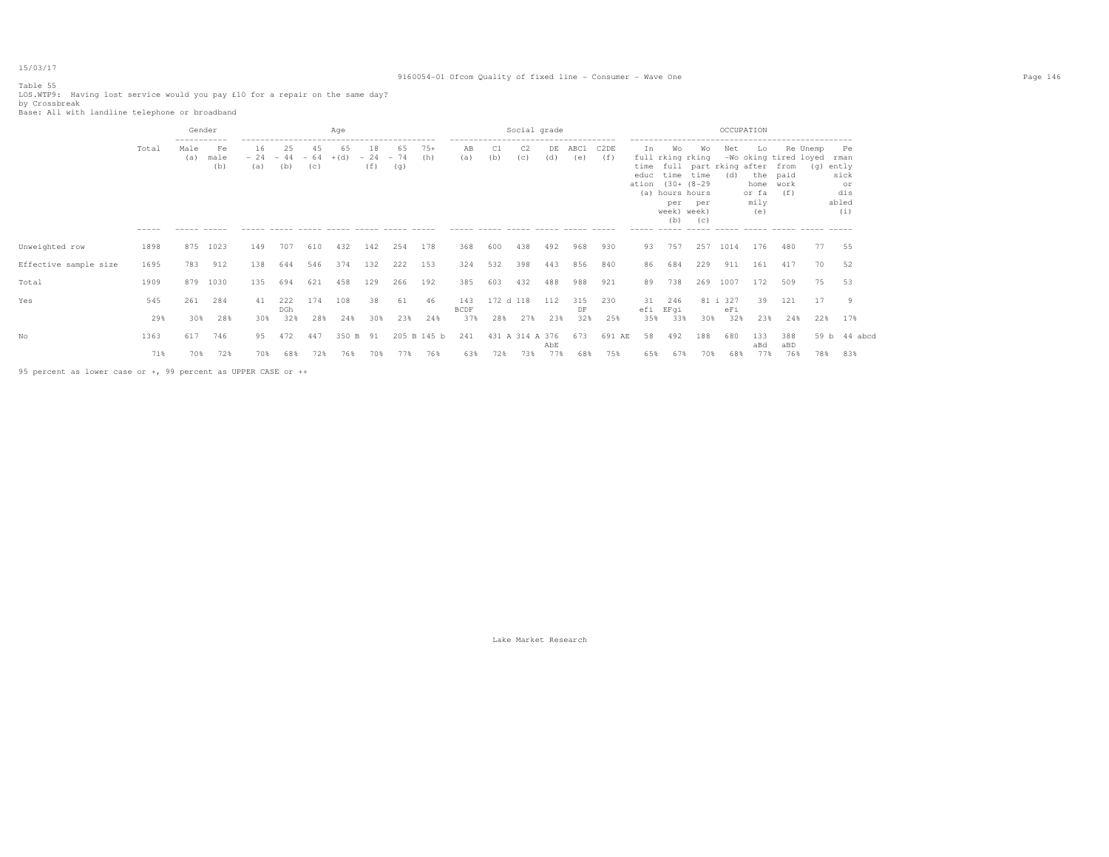# 9160054-01 Ofcom Quality of fixed line - Consumer - Wave One Page 146

Table 55 LOS.WTP9: Having lost service would you pay £10 for a repair on the same day? by Crossbreak Base: All with landline telephone or broadband

|                       |                      | Gender                                     |                   |                              |                   |            | Age          |                         |           |              |                                                                                            |                  | Social grade          |            |                  |             |                       |                                                                                                               |                  | OCCUPATION                               |                                                     |                                      |                 |                                                          |
|-----------------------|----------------------|--------------------------------------------|-------------------|------------------------------|-------------------|------------|--------------|-------------------------|-----------|--------------|--------------------------------------------------------------------------------------------|------------------|-----------------------|------------|------------------|-------------|-----------------------|---------------------------------------------------------------------------------------------------------------|------------------|------------------------------------------|-----------------------------------------------------|--------------------------------------|-----------------|----------------------------------------------------------|
|                       | Total<br>$- - - - -$ | -----------<br>Male<br>(a)<br>------ ----- | Fe<br>male<br>(b) | 16<br>$-24 - 44 - 64$<br>(a) | 25<br>(b)         | 45<br>(C)  | 65<br>$+(d)$ | 18<br>$-24 - 74$<br>(f) | 65<br>(g) | $75+$<br>(h) | -------------------------------------<br>AВ<br>(a)<br>------ ----- ----- ----- ----- ----- | C1<br>(b)        | C <sub>2</sub><br>(C) | DE<br>(d)  | ABC1<br>(e)      | C2DE<br>(f) | In                    | Wo<br>full rking rking<br>educ time time<br>ation (30+ (8-29)<br>(a) hours hours<br>per<br>week) week)<br>(b) | Wo<br>per<br>(C) | Net<br>time full part rking after<br>(d) | Lo<br>the paid<br>home work<br>or fa<br>mily<br>(e) | -Wo oking tired loyed<br>from<br>(f) | Re Unemp<br>(q) | Pe<br>rman<br>ently<br>sick<br>or<br>dis<br>abled<br>(i) |
| Unweighted row        | 1898                 | 875                                        | 1023              | 149                          | 707               | 610        | 432          | 142                     | 254       | 178          | 368                                                                                        | 600              | 438                   | 492        | 968              | 930         | 93                    | 757                                                                                                           | 257              | 1014                                     | 176                                                 | 480                                  | 77              | 55                                                       |
| Effective sample size | 1695                 | 783                                        | 912               | 138                          | 644               | 546        | 374          | 132                     | 222       | 153          | 324                                                                                        | 532              | 398                   | 443        | 856              | 840         | 86                    | 684                                                                                                           | 229              | 911                                      | 161                                                 | 417                                  | 70              | 52                                                       |
| Total                 | 1909                 | 879                                        | 1030              | 135                          | 694               | 621        | 458          | 129                     | 266       | 192          | 385                                                                                        | 603              | 432                   | 488        | 988              | 921         | 89                    | 738                                                                                                           | 269              | 1007                                     | 172                                                 | 509                                  | 75              | 53                                                       |
| Yes                   | 545<br>29%           | 261<br>30%                                 | 284<br>28%        | 41<br>30%                    | 222<br>DGh<br>32% | 174<br>28% | 108<br>24%   | 38<br>30%               | 61<br>23% | 46<br>24%    | 143<br><b>BCDF</b><br>37%                                                                  | 172 d 118<br>28% | 27%                   | 112<br>23% | 315<br>DF<br>32% | 230<br>25%  | 31<br>efi EFqi<br>35% | 246<br>33%                                                                                                    | 30%              | 81 i 327<br>eFi<br>32%                   | 39<br>23%                                           | 121<br>24%                           | 17<br>22%       | -9<br>17%                                                |
| No                    | 1363                 | 617                                        | 746               | 9.5                          | 472               | 447        | 350 B 91     |                         |           | 205 B 145 b  | 241                                                                                        |                  | 431 A 314 A 376       |            | 673              | 691 AE      | 58                    | 492                                                                                                           | 188              | 680                                      | 133                                                 | 388                                  |                 | 59 b 44 abcd                                             |
|                       | 71%                  | 70%                                        | 72%               | 70%                          | 68%               | 72%        | 76%          | 70%                     | 77%       | 76%          | 63%                                                                                        | 72%              | 73%                   | AbE<br>77% | 68%              | 75%         | 65%                   | 67%                                                                                                           | 70%              | 68%                                      | aBd<br>77%                                          | aBD<br>76%                           | 78%             | 83%                                                      |

95 percent as lower case or +, 99 percent as UPPER CASE or ++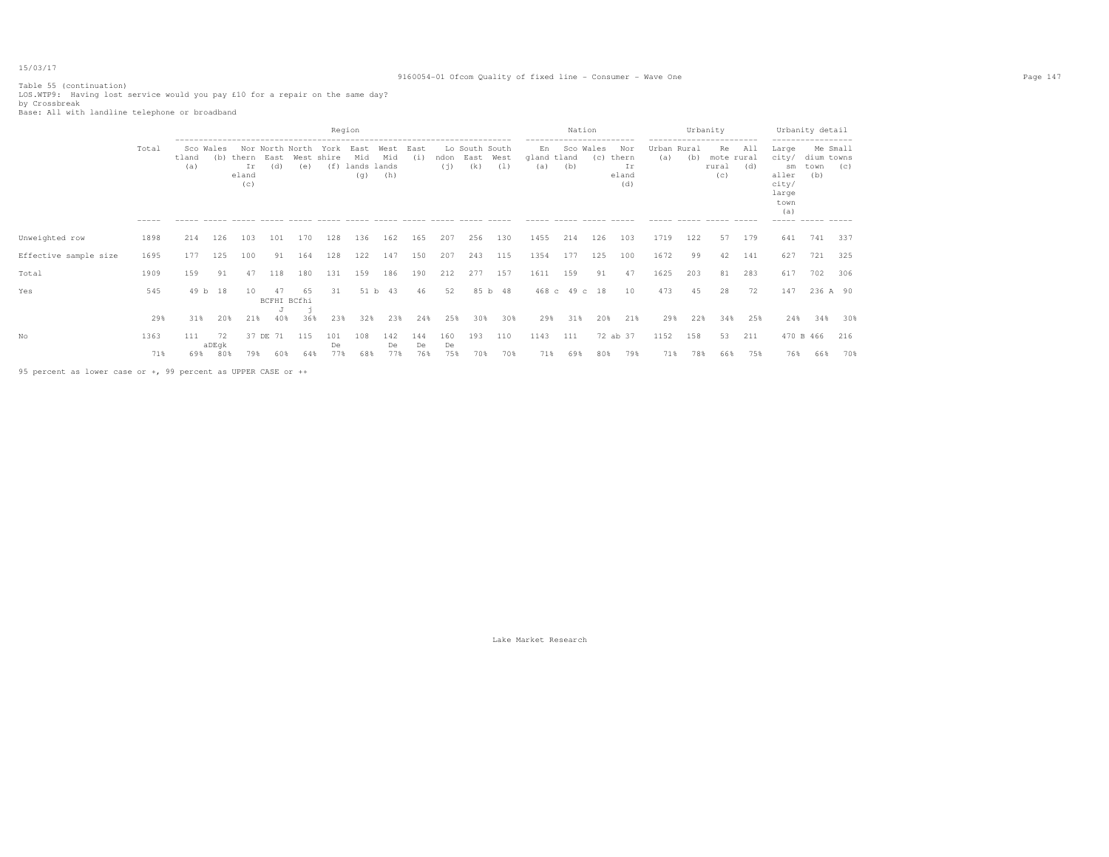# 9160054-01 Ofcom Quality of fixed line - Consumer - Wave One Page 147

Table 55 (continuation) LOS.WTP9: Having lost service would you pay £10 for a repair on the same day? by Crossbreak Base: All with landline telephone or broadband

|                       |                      |                     |                    |                             |                   |                        |                           | Region                            |                    |                  |                  |                               |             | ------------------------                | Nation           |     |                                                                     | ------------------------ | Urbanity   |                                  |            | ------------------                                                            | Urbanity detail                                      |            |
|-----------------------|----------------------|---------------------|--------------------|-----------------------------|-------------------|------------------------|---------------------------|-----------------------------------|--------------------|------------------|------------------|-------------------------------|-------------|-----------------------------------------|------------------|-----|---------------------------------------------------------------------|--------------------------|------------|----------------------------------|------------|-------------------------------------------------------------------------------|------------------------------------------------------|------------|
|                       | Total<br>$- - - - -$ | Sco<br>tland<br>(a) | Wales<br>(b)       | thern<br>Ir<br>eland<br>(C) | East<br>(d)       | Nor North North<br>(e) | York<br>West shire<br>(f) | East<br>Mid<br>lands lands<br>(q) | West<br>Mid<br>(h) | East<br>(i)      | ndon<br>(i)      | Lo South South<br>East<br>(k) | West<br>(1) | En<br>gland tland<br>(a)<br>$- - - - -$ | Sco Wales<br>(b) | (C) | Nor<br>thern<br>Ιr<br>eland<br>(d)<br>$\cdots \cdots \cdots \cdots$ | Urban Rural<br>(a)       | (b)        | Re<br>mote rural<br>rural<br>(C) | All<br>(d) | Large<br>city/<br>sm<br>aller<br>city/<br>large<br>town<br>(a)<br>$- - - - -$ | Me Small<br>dium towns<br>town<br>(b)<br>------ ---- | (C)        |
| Unweighted row        | 1898                 | 214                 | 126                | 103                         | 101               | 170                    | 128                       | 136                               | 162                | 165              | 207              | 256                           | 130         | 1455                                    | 214              | 126 | 103                                                                 | 1719                     | 122        | 57                               | 179        | 641                                                                           | 741                                                  | 337        |
| Effective sample size | 1695                 | 177                 | 125                | 100                         | 91                | 164                    | 128                       | 122                               | 147                | 150              | 207              | 243                           | 115         | 1354                                    | 177              | 125 | 100                                                                 | 1672                     | 99         | 42                               | 141        | 627                                                                           | 721                                                  | 325        |
| Total                 | 1909                 | 159                 | 91                 | 47                          | 118               | 180                    | 131                       | 159                               | 186                | 190              | 212              | 277                           | 157         | 1611                                    | 159              | 91  | 47                                                                  | 1625                     | 203        | 81                               | 283        | 617                                                                           | 702                                                  | 306        |
| Yes                   | 545                  |                     | 49 b 18            | 10                          | 47<br>BCFHI BCfhi |                        | 31                        | 51 h                              | 43                 | 46               | 52               |                               | 85 b 48     |                                         | 468 c 49 c 18    |     | 10                                                                  | 473                      | 45         | 28                               | 72         | 147                                                                           | 236 A 90                                             |            |
|                       | 29%                  | 31%                 | 20%                | 21%                         | 40%               | 36%                    | 23%                       | 32%                               | 23%                | 24%              | 25%              | 30%                           | 30%         | 29%                                     | 31%              | 20% | 21%                                                                 | 29%                      | 22%        | 34%                              | 25%        | 24%                                                                           | 34%                                                  | 30%        |
| No                    | 1363<br>71%          | 111<br>69%          | 72<br>aDEgk<br>80% | 37 DE<br>79%                | 71<br>60%         | 115<br>64%             | 101<br>De<br>77%          | 108<br>68%                        | 142<br>De<br>77%   | 144<br>De<br>76% | 160<br>De<br>75% | 193<br>70%                    | 110<br>70%  | 1143<br>71%                             | 111<br>69%       | 80% | 72 ab 37<br>79%                                                     | 1152<br>71%              | 158<br>78% | 53<br>66%                        | 211<br>75% | 76%                                                                           | 470 B 466<br>66%                                     | 216<br>70% |
|                       |                      |                     |                    |                             |                   |                        |                           |                                   |                    |                  |                  |                               |             |                                         |                  |     |                                                                     |                          |            |                                  |            |                                                                               |                                                      |            |

95 percent as lower case or +, 99 percent as UPPER CASE or ++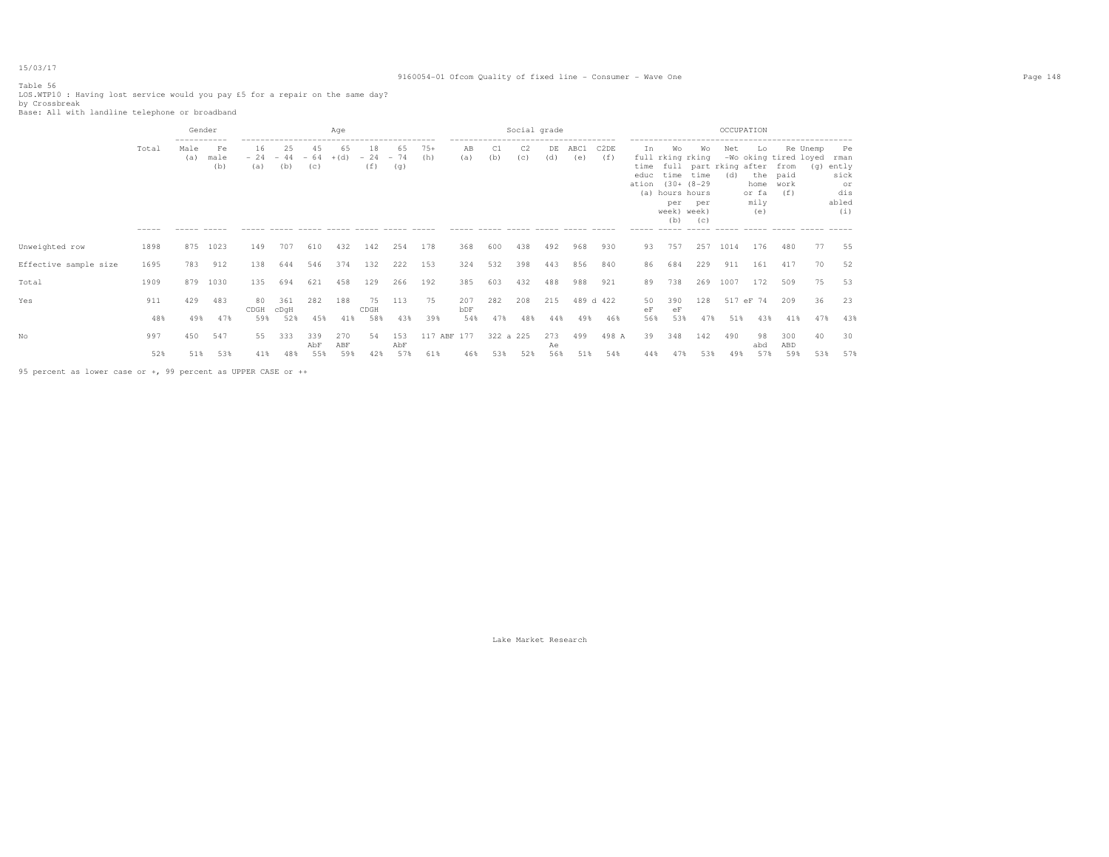# Table 56

# 9160054-01 Ofcom Quality of fixed line - Consumer - Wave One Page 148

LOS.WTP10 : Having lost service would you pay £5 for a repair on the same day? by Crossbreak Base: All with landline telephone or broadband

|                       |                      | Gender                                    |                             |            |                                    |            | Age        |                    |                    |              |                                                                                           |           | Social grade          |           |             |                          |                    |                                                                                                      |                  | OCCUPATION                                    |                                                      |                                          |     |                                                          |
|-----------------------|----------------------|-------------------------------------------|-----------------------------|------------|------------------------------------|------------|------------|--------------------|--------------------|--------------|-------------------------------------------------------------------------------------------|-----------|-----------------------|-----------|-------------|--------------------------|--------------------|------------------------------------------------------------------------------------------------------|------------------|-----------------------------------------------|------------------------------------------------------|------------------------------------------|-----|----------------------------------------------------------|
|                       | Total<br>$- - - - -$ | -----------<br>Male<br>(a)<br>$- - - - -$ | Fe<br>male<br>(b)<br>------ | 16<br>(a)  | 25<br>$-24 - 44 - 64 + (d)$<br>(b) | 45<br>(c)  | 65         | 18<br>$-24$<br>(f) | 65<br>$-74$<br>(q) | $75+$<br>(h) | -------------------------------------<br>AB<br>(a)<br>----- ----- ----- ----- ----- ----- | C1<br>(b) | C <sub>2</sub><br>(C) | DE<br>(d) | ABC1<br>(e) | C <sub>2</sub> DE<br>(f) | Ιn.<br>educ<br>(a) | Wo<br>full rking rking<br>time time<br>ation (30+ (8-29)<br>hours hours<br>per<br>week) week)<br>(b) | Wo<br>per<br>(C) | Net<br>time full part rking after from<br>(d) | Lo.<br>the paid<br>home work<br>or fa<br>mily<br>(e) | Re Unemp<br>-Wo oking tired loyed<br>(f) | (q) | Pe<br>rman<br>ently<br>sick<br>or<br>dis<br>abled<br>(i) |
| Unweighted row        | 1898                 | 875                                       | 1023                        | 149        | 707                                | 610        | 432        | 142                | 254                | 178          | 368                                                                                       | 600       | 438                   | 492       | 968         | 930                      | 93                 | 757                                                                                                  | 257              | 1014                                          | 176                                                  | 480                                      | 77  | 55                                                       |
| Effective sample size | 1695                 | 783                                       | 912                         | 138        | 644                                | 546        | 374        | 132                | 222                | 153          | 324                                                                                       | 532       | 398                   | 443       | 856         | 840                      | 86                 | 684                                                                                                  | 229              | 911                                           | 161                                                  | 417                                      | 70  | 52                                                       |
| Total                 | 1909                 | 879                                       | 1030                        | 135        | 694                                | 621        | 458        | 129                | 266                | 192          | 385                                                                                       | 603       | 432                   | 488       | 988         | 921                      | 89                 | 738                                                                                                  | 269              | 1007                                          | 172                                                  | 509                                      | 75  | 53                                                       |
| Yes                   | 911                  | 429                                       | 483                         | 80<br>CDGH | 361<br>cDqH                        | 282        | 188        | 75<br>CDGH         | 113                | 75           | 207<br>bDF                                                                                | 282       | 208                   | 215       |             | 489 d 422                | 50<br>еF           | 390<br>eF                                                                                            | 128              |                                               | 517 eF 74                                            | 209                                      | 36  | 23                                                       |
|                       | 48%                  | 49%                                       | 47%                         | 59%        | 52%                                | 45%        | 41%        | 58%                | 43%                | 39%          | 54%                                                                                       | 47%       | 48%                   | 44%       | 49%         | 46%                      | 56%                | 53%                                                                                                  | 47%              | 51%                                           | 43%                                                  | 41%                                      | 47% | 43%                                                      |
| Nο                    | 997                  | 450                                       | 547                         | 55.        | 333                                | 339<br>AbF | 270<br>ABF | 54                 | 153<br>AbF         | 117 ABF 177  |                                                                                           | 322 a 225 |                       | 273<br>Ae | 499         | 498 A                    | 39                 | 348                                                                                                  | 142              | 490                                           | 98<br>abd                                            | 300<br>ABD                               | 40  | 30                                                       |
|                       | 52%                  | 51%                                       | 53%                         | 41%        | 48%                                | 55%        | 59%        | 42%                | 57%                | 61%          | 46%                                                                                       | 53%       | 52%                   | 56%       | 51%         | 54%                      | 44%                | 47%                                                                                                  | 53%              | 49%                                           | 57%                                                  | 59%                                      | 53% | 57%                                                      |

95 percent as lower case or +, 99 percent as UPPER CASE or ++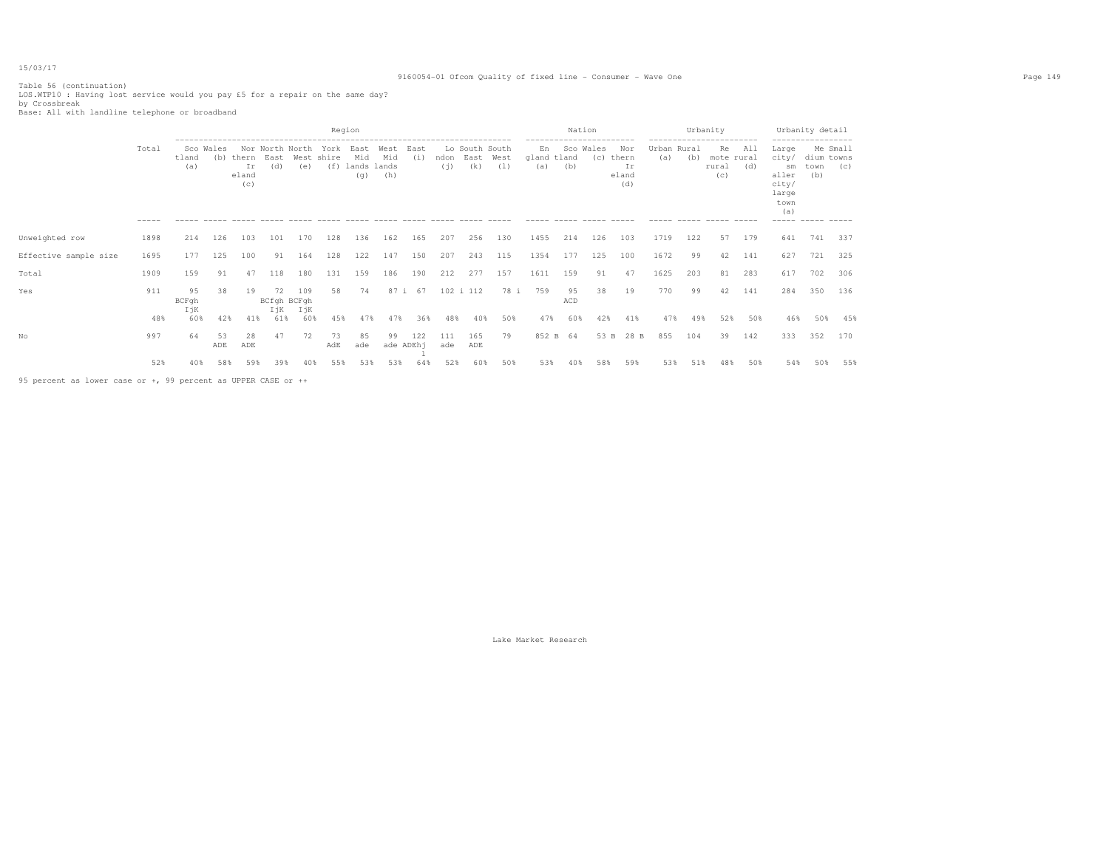# 9160054-01 Ofcom Quality of fixed line - Consumer - Wave One Page 149

Table 56 (continuation) LOS.WTP10 : Having lost service would you pay £5 for a repair on the same day? by Crossbreak Base: All with landline telephone or broadband

|                       |                        |                     |           |                                 |             |                               |                           | Region                            |                    |             |             |                               |             |                                         | Nation    |                                     |                                                                     |                    | Urbanity |                                                              |            |                                                                               | Urbanity detail                                                               |     |
|-----------------------|------------------------|---------------------|-----------|---------------------------------|-------------|-------------------------------|---------------------------|-----------------------------------|--------------------|-------------|-------------|-------------------------------|-------------|-----------------------------------------|-----------|-------------------------------------|---------------------------------------------------------------------|--------------------|----------|--------------------------------------------------------------|------------|-------------------------------------------------------------------------------|-------------------------------------------------------------------------------|-----|
|                       | Total<br>$- - - - - -$ | tland<br>(a)        | Sco Wales | (b) thern<br>Ιr<br>eland<br>(c) | East<br>(d) | Nor North North<br>(e)        | York<br>West shire<br>(f) | East<br>Mid<br>lands lands<br>(q) | West<br>Mid<br>(h) | East<br>(i) | ndon<br>(i) | Lo South South<br>East<br>(k) | West<br>(1) | En<br>gland tland<br>(a)<br>$- - - - -$ | (b)       | ---------------<br>Sco Wales<br>(C) | Nor<br>thern<br>Ιr<br>eland<br>(d)<br>$\cdots \cdots \cdots \cdots$ | Urban Rural<br>(a) | (b)      | ------------------------<br>Re<br>mote rural<br>rural<br>(c) | All<br>(d) | Large<br>city/<br>sm<br>aller<br>city/<br>large<br>town<br>(a)<br>$- - - - -$ | Me Small<br>dium towns<br>town<br>(b)<br>$\cdots \cdots \cdots \cdots \cdots$ | (C) |
| Unweighted row        | 1898                   | 214                 | 126       | 103                             | 101         | 170                           | 128                       | 136                               | 162                | 165         | 207         | 256                           | 130         | 1455                                    | 214       | 126                                 | 103                                                                 | 1719               | 122      | 57                                                           | 179        | 641                                                                           | 741                                                                           | 337 |
| Effective sample size | 1695                   | 177                 | 125       | 100                             | 91          | 164                           | 128                       | 122                               | 147                | 150         | 207         | 243                           | 115         | 1354                                    | 177       | 125                                 | 100                                                                 | 1672               | 99       | 42                                                           | 141        | 627                                                                           | 721                                                                           | 325 |
| Total                 | 1909                   | 159                 | 91        | 47                              | 118         | 180                           | 131                       | 159                               | 186                | 190         | 212         | 277                           | 157         | 1611                                    | 159       | 91                                  | 47                                                                  | 1625               | 203      | 81                                                           | 283        | 617                                                                           | 702                                                                           | 306 |
| Yes                   | 911                    | 9.5<br>BCFgh<br>IjK | 38        | 19                              | 72          | 109<br>BCfgh BCFgh<br>IjK IjK | 58                        | 74                                | 87 i               | 67          |             | 102 i 112                     | 78 i        | 759                                     | 95<br>ACD | 38                                  | 19                                                                  | 770                | 99       | 42                                                           | 141        | 284                                                                           | 350                                                                           | 136 |
|                       | 48%                    | 60%                 | 42%       | 41%                             | 61%         | 60%                           | 45%                       |                                   | 47%                | 36%         | 48%         | 40%                           | 50%         | 47%                                     | 60%       | 42%                                 | 41%                                                                 | 47%                | 49%      | 52%                                                          | 50%        | 46%                                                                           | 50%                                                                           | 45% |
| No                    | 997                    | 64                  | 53<br>ADE | 28<br>ADE                       | 47          | 72                            | 73<br>AdE                 | 85<br>ade                         | 99<br>ade ADEh-    | 122         | 111<br>ade  | 165<br>ADE                    | 79          | 852 B 64                                |           | 53 B                                | 28 B                                                                | 855                | 104      | 39                                                           | 142        | 333                                                                           | 352                                                                           | 170 |
|                       | 52%                    | 40%                 | 58%       | 59%                             | 39%         | 40%                           | 55%                       | 53%                               | 53%                | 64%         | 52%         | 60%                           | 50%         | 53%                                     | 40%       | 58%                                 | 59%                                                                 | 53%                | 51%      | 48%                                                          | 50%        | 54%                                                                           | 50%                                                                           | 55% |

95 percent as lower case or +, 99 percent as UPPER CASE or ++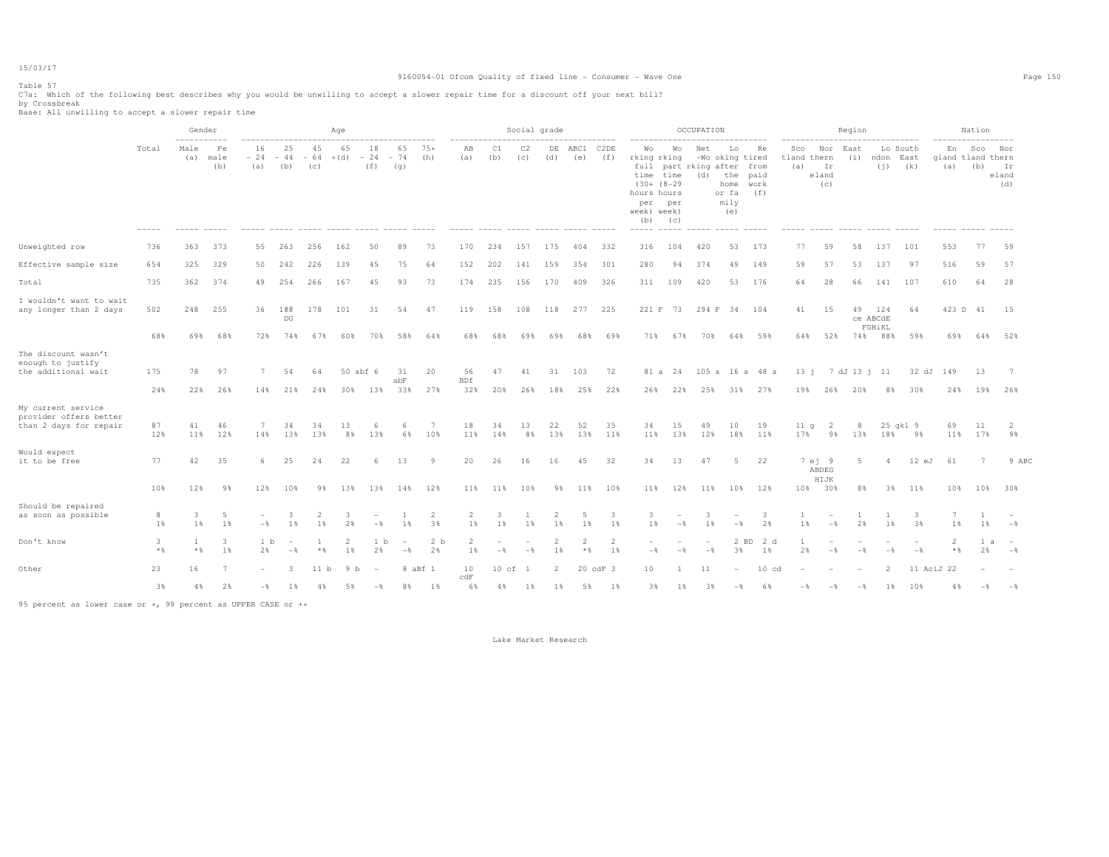# 9160054-01 Ofcom Quality of fixed line - Consumer - Wave One Page 150

Table 57

C7a: Which of the following best describes why you would be unwilling to accept a slower repair time for a discount off your next bill? by Crossbreak Base: All unwilling to accept a slower repair time

|                                                                        |                   | -----------                  | Gender            |                      |                         |                      | Age                  |                          |                                   |                      | -------------------     |              | Social grade                    |                | --------------- |             |                                                        | ---------------                                                                      | OCCUPATION                      | ---------------                                              |                                |                           |                           | Region         | ------------------------------- |                         | -----------------               | Nation     |                           |
|------------------------------------------------------------------------|-------------------|------------------------------|-------------------|----------------------|-------------------------|----------------------|----------------------|--------------------------|-----------------------------------|----------------------|-------------------------|--------------|---------------------------------|----------------|-----------------|-------------|--------------------------------------------------------|--------------------------------------------------------------------------------------|---------------------------------|--------------------------------------------------------------|--------------------------------|---------------------------|---------------------------|----------------|---------------------------------|-------------------------|---------------------------------|------------|---------------------------|
|                                                                        | Total             | Male<br>(a)                  | Fe<br>male<br>(b) | 16<br>$-24$<br>(a)   | 25<br>$-44$<br>(b)      | 45<br>$-64$<br>(C)   | 65<br>$+(d)$         | 18<br>$-24$<br>(f)       | 65<br>$-74$<br>(q)                | $75+$<br>(h)         | AB<br>(a)               | C1<br>(b)    | C2<br>(c)                       | DE<br>(d)      | ABC1<br>(e)     | C2DE<br>(f) | Wo<br>rking rking<br>hours hours<br>per<br>week) week) | Wo<br>full part rking after from<br>time time<br>$(30 + (8-29$<br>per<br>$(b)$ $(c)$ | Net<br>(d)                      | Lo<br>-Wo oking tired<br>the<br>home<br>or fa<br>mily<br>(e) | Re<br>paid<br>work<br>(f)      | Sco<br>tland thern<br>(a) | Nor<br>Ir<br>eland<br>(c) | East<br>(i)    | ndon East                       | Lo South<br>$(i)$ $(k)$ | En<br>gland tland thern<br>(a)  | Sco<br>(b) | Nor<br>Ir<br>eland<br>(d) |
| Unweighted row                                                         | 736               | 363                          | 373               | 55                   | 263                     | 256                  | 162                  | 50                       | 89                                | 73                   | 170                     | 234          | 157                             | 175            | 404             | 332         | 316                                                    | 104                                                                                  | 420                             | 53                                                           | 173                            | 77                        | 59                        | 58             | 137                             | 101                     | 553                             | 77         | 59                        |
| Effective sample size                                                  | 654               | 325                          | 329               | 50                   | 242                     | 226                  | 139                  | 45                       | 75                                | 64                   | 152                     | 202          | 141                             | 159            | 354             | 301         | 280                                                    | 94                                                                                   | 374                             | 49                                                           | 149                            | 59                        | 57                        | 53             | 137                             | 97                      | 516                             | 59         | 57                        |
| Total                                                                  | 735               | 362                          | 374               | 49                   | 254                     | 266                  | 167                  | 45                       | 93                                | 73                   | 174                     | 235          | 156                             | 170            | 409             | 326         | 311                                                    | 109                                                                                  | 420                             | 53                                                           | 176                            | 64                        | 28                        | 66             | 141                             | 107                     | 610                             | 64         | 28                        |
| I wouldn't want to wait<br>any longer than 2 days                      | 502               |                              | 248 255           | 36                   | 188<br>DG               | 178                  | 101                  | 31                       | 54                                | 47                   | 119                     | 158          | 108                             |                | 118 277 225     |             |                                                        | 221 F 73 294 F 34 104                                                                |                                 |                                                              |                                | 41                        | 15                        |                | 49 124<br>ce ABCdE<br>FGHiKL    | 64                      | 423 D 41 15                     |            |                           |
|                                                                        | 68%               |                              | 69% 68%           | 72%                  | 74%                     | 67%                  | 60%                  | 70%                      | 58%                               | 64%                  | 68%                     | 68%          | 69%                             | 69%            | 68%             | 69%         |                                                        | 71% 67% 70%                                                                          |                                 |                                                              | 64% 59%                        | 64%                       |                           |                | 52% 74% 88%                     | 59%                     |                                 |            | 69% 64% 52%               |
| The discount wasn't<br>enough to justify<br>the additional wait        | 175<br>24%        | 78<br>22%                    | 97<br>26%         | 7<br>14%             | 54<br>21%               | 64<br>24%            | 30%                  | 50 abf 6<br>13%          | 31<br>abF<br>33%                  | 20<br>27%            | 56<br><b>BDf</b><br>32% | 47<br>20%    | 41<br>26%                       | 18%            | 31 103<br>25%   | 72<br>22%   | 26%                                                    | 22%                                                                                  | 25%                             | 31%                                                          | 81 a 24 105 a 16 a 48 a<br>27% | 19%                       | 26%                       | 20%            | 13 j 7 dJ 13 j 11<br>8%         | 32 dJ<br>30%            | 149<br>24%                      | 13<br>19%  | 26%                       |
| My current service<br>provider offers better<br>than 2 days for repair | 87<br>12%         | 41<br>11%                    | 46<br>12%         | 7<br>14%             | 34<br>13%               | 34<br>13%            | 13<br>8%             | 6<br>13%                 | -6<br>6%                          | 7<br>10%             | 18<br>11%               | 34<br>14%    | 13<br>8%                        | 22<br>13%      | 52<br>13%       | 35<br>11%   | 34<br>11%                                              | 15<br>13%                                                                            | 49<br>12%                       | 10<br>18%                                                    | 19<br>11%                      | 11 <sub>q</sub><br>17%    | 2<br>9%                   | 8<br>13%       | 18%                             | 25 gkl 9<br>9%          | 69<br>11%                       | 11<br>17%  | 2<br>9%                   |
| Would expect<br>it to be free                                          | 77                | 42                           | 35                | 6                    | 25                      | 24                   | 22                   | 6                        | 13                                | 9                    | 20                      | 26           | 16                              | 16             | 45              | 32          | 34                                                     | 13                                                                                   | 47                              | 5                                                            | 22                             |                           | 7 ej 9<br>ABDEG<br>HIJK   | $5 -$          | $\overline{a}$                  | $12$ eJ                 | 61                              | 7          | 9 ABC                     |
|                                                                        | 10%               | 12%                          | 98                | 12%                  | 10%                     | 9%                   | 13%                  | 13%                      | 14%                               | 12%                  | 11%                     | 11%          | 10%                             | 9%             | 11%             | 10%         |                                                        | 11% 12% 11%                                                                          |                                 |                                                              | 10% 12%                        |                           | 10% 30%                   | 8%             | 3%                              | 11%                     | 10%                             |            | 10% 30%                   |
| Should be repaired<br>as soon as possible                              | 8<br>1%           | 3<br>1%                      | -5<br>1%          | $-\frac{6}{5}$       | 3.<br>1%                | $\overline{2}$<br>1% | -3<br>2%             | $-\frac{6}{5}$           | 1%                                | 2<br>3%              | 2<br>1%                 | -3.<br>$1\,$ | 1<br>1%                         | 2<br>1%        | -5<br>1%        | -3<br>1%    | $\overline{\mathbf{3}}$<br>1%                          | $-\frac{6}{5}$                                                                       | 3<br>1%                         | $-$                                                          | -3<br>2%                       | $\mathbf{1}$<br>1%        | $-$ 8                     | 2%             | 1%                              | -3<br>3%                | 7<br>1%                         | $1\%$      | $-$ 8                     |
| Don't know                                                             | 3<br>$\star$ $\,$ | $\mathbf{1}$<br>$\star$ $\,$ | 3<br>1%           | 1 <sub>b</sub><br>2% | $-$                     | $*$                  | $\overline{2}$<br>1% | 1 <sub>b</sub><br>2%     | $\overline{\phantom{a}}$<br>$-$ 8 | 2 <sub>b</sub><br>2% | $\overline{c}$<br>1%    | $-$ %        | $\overline{\phantom{a}}$<br>$-$ | 2<br>1%        | $\star$ $\S$    | 2<br>1%     | $\sim$<br>$-$ 8                                        | $-$                                                                                  | $\overline{\phantom{a}}$<br>$-$ | 3%                                                           | $2$ BD<br>2 d<br>1%            | 2%                        | $-$ %                     | $-\frac{6}{5}$ | $-$ 8                           | $\sim$<br>$-$           | $\overline{\mathcal{L}}$<br>$*$ | l a<br>2%  | $-$ 8                     |
| Other                                                                  | 23                | 16                           | 7                 | $-$                  | $\overline{\mathbf{3}}$ | 11 b                 | 9 <sub>b</sub>       | $\overline{\phantom{a}}$ |                                   | 8 aBf 1              | 10<br>c dF              |              | 10 cf 1                         | $\overline{2}$ |                 | 20 cdF 3    | 10                                                     | -1                                                                                   | 11                              | $\overline{\phantom{a}}$                                     | $10 \text{ cd}$                |                           |                           |                | 2                               |                         | 11 AciJ 22                      |            |                           |
|                                                                        | 3%                | 4%                           | 2%                |                      | 1%<br>$-8$              | 4%                   | 5%                   | $-$ %                    |                                   | 8% 1%                | 6%                      | 4%           | $1\%$                           | 1%             | 5%              | 1%          | 3%                                                     | 1%                                                                                   | 3%                              | $-$                                                          | 6%                             | $-$ 8                     | $-$ %                     | $-$ 8          | $1\%$                           | 10%                     | 4%                              | $-$        | $ \frac{6}{9}$            |

95 percent as lower case or +, 99 percent as UPPER CASE or ++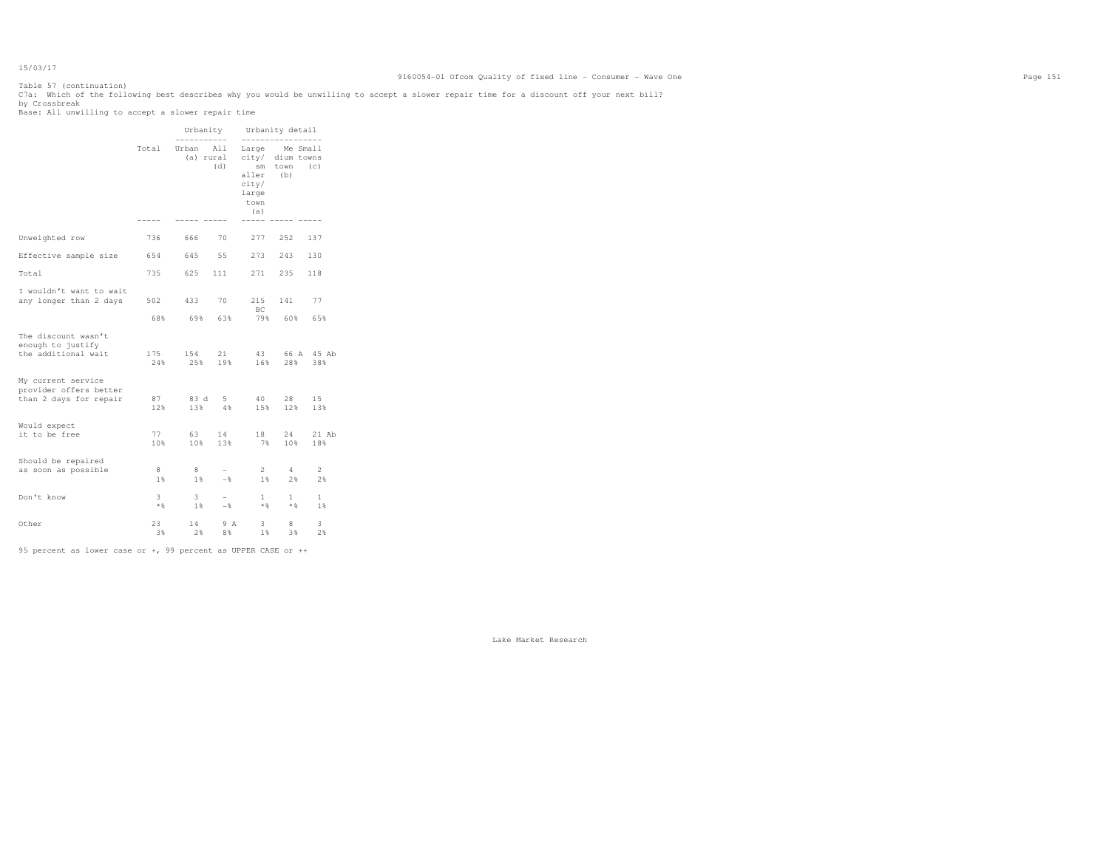Table 57 (continuation) C7a: Which of the following best describes why you would be unwilling to accept a slower repair time for a discount off your next bill?<br>by Crossbreak<br>Base: All unwilling to accept a slower repair time

|                                                                        |            | Urbanity<br>------------                               |                  |                                            | Urbanity detail<br>-------------- |                             |
|------------------------------------------------------------------------|------------|--------------------------------------------------------|------------------|--------------------------------------------|-----------------------------------|-----------------------------|
|                                                                        | Total      | Urban All Large Me Small<br>(a) rural city/ dium towns | (d)              | aller (b)<br>city/<br>large<br>town<br>(a) | sm town (c)                       |                             |
| Unweighted row                                                         | 736        | 666                                                    | 70               |                                            | 277 252                           | 137                         |
|                                                                        |            |                                                        |                  |                                            | 273 243                           | 130                         |
| Effective sample size                                                  |            | 654 645 55                                             |                  |                                            |                                   |                             |
| Total                                                                  | 735        | 625                                                    | 111              | 271                                        | 235                               | 118                         |
| I wouldn't want to wait<br>any longer than 2 days                      | 502        | 433                                                    | 70               | BC.                                        | 215 141                           | 77                          |
|                                                                        | 68%        | 69% 63%                                                |                  |                                            | 79% 60%                           | 65%                         |
| The discount wasn't<br>enough to justify<br>the additional wait        | 175<br>24% | 154<br>25%                                             | 21<br>19%        | 43<br>16%                                  | 28%                               | 66 A 45 Ab<br>38%           |
| My current service<br>provider offers better<br>than 2 days for repair | 87<br>12%  | 13%                                                    | 83 d 5<br>$-4.8$ | 40<br>15%                                  | 28<br>12%                         | 15<br>13%                   |
| Would expect<br>it to be free                                          | 77<br>10%  | 63<br>10%                                              | 14<br>13%        | 18<br>7%                                   | 24<br>10%                         | $21$ Ab<br>18%              |
| Should be repaired<br>as soon as possible                              | 8<br>$1\%$ | 8<br>1%                                                | $-$<br>$-$       | $2^{\circ}$<br>$1\%$                       | 4<br>2%                           | $\mathbf{2}^{\prime}$<br>2% |
| Don't know                                                             | 3<br>$*$   | $\mathbf{3}$<br>1%                                     | $-$<br>$-$       | 1<br>$*$ &                                 | $\mathbf{1}$<br>$*$ &             | $\mathbf{1}$<br>1%          |
| Other                                                                  | 23<br>3%   | 14<br>2%                                               | 9 A<br>8%        | 3<br>1 %                                   | 8<br>3 %                          | 3<br>2%                     |

95 percent as lower case or +, 99 percent as UPPER CASE or ++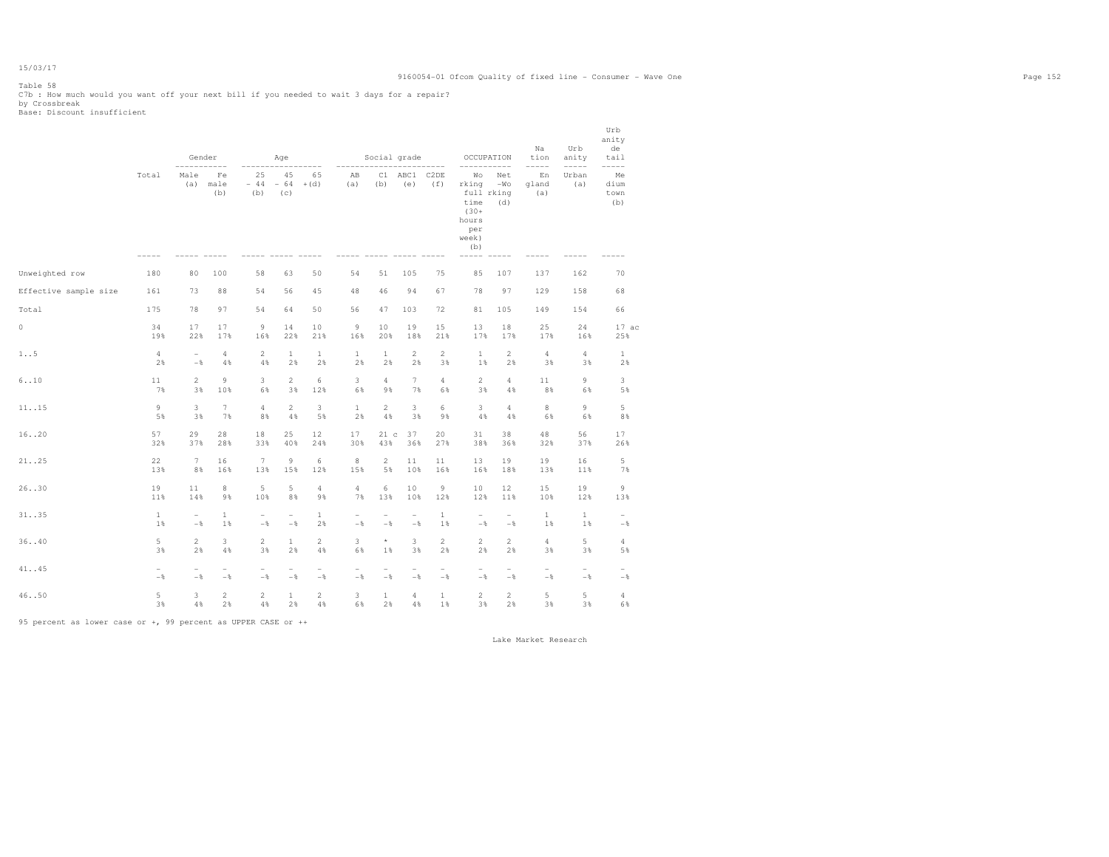Table 58

C7b : How much would you want off your next bill if you needed to wait 3 days for a repair? by Crossbreak Base: Discount insufficient

|                       |                       | Gender                |                              |                                   | Age                               |                                   |                                 | Social grade                        |                                 |                                 | OCCUPATION                                                                   |                                      | Na<br>tion                                 | Urb<br>anity                    | Urb<br>anity<br>de<br>tail                 |  |
|-----------------------|-----------------------|-----------------------|------------------------------|-----------------------------------|-----------------------------------|-----------------------------------|---------------------------------|-------------------------------------|---------------------------------|---------------------------------|------------------------------------------------------------------------------|--------------------------------------|--------------------------------------------|---------------------------------|--------------------------------------------|--|
|                       | Total                 | $---$<br>Male<br>(a)  | $- - -$<br>Fe<br>male<br>(b) | 25<br>$-44$<br>(b)                | 45<br>$-64$<br>(c)                | -----<br>65<br>$+(d)$             | $- - - - - -$<br>AB<br>(a)      | C1<br>(b)                           | ABC1 C2DE<br>(e)                | $- - - - -$<br>(f)              | Wo<br>rking<br>full rking<br>time<br>$(30 +$<br>hours<br>per<br>week)<br>(b) | $- - - - - -$<br>Net<br>$-WO$<br>(d) | $- - - - -$<br>En<br>gland<br>(a)          | $--- - - -$<br>Urban<br>(a)     | $--- - - -$<br>Me<br>dium<br>town<br>(b)   |  |
| Unweighted row        | 180                   | 80                    | 100                          | 58                                | 63                                | 50                                | 54                              | 51                                  | 105                             | 75                              | 85                                                                           | 107                                  | 137                                        | 162                             | 70                                         |  |
| Effective sample size | 161                   | 73                    | 88                           | 54                                | 56                                | 45                                | 48                              | 46                                  | 94                              | 67                              | 78                                                                           | 97                                   | 129                                        | 158                             | 68                                         |  |
| Total                 | 175                   | 78                    | 97                           | 54                                | 64                                | 50                                | 56                              | 47                                  | 103                             | 72                              | 81                                                                           | 105                                  | 149                                        | 154                             | 66                                         |  |
| 0                     | 34<br>19%             | 17<br>22%             | 17<br>17%                    | 9<br>16%                          | 14<br>22%                         | 10<br>21%                         | 9<br>16%                        | 10<br>20%                           | 19<br>18%                       | 15<br>21%                       | 13<br>17%                                                                    | 18<br>17%                            | 25<br>17%                                  | 24<br>16%                       | 17ac<br>25%                                |  |
| 1.5                   | $\overline{4}$<br>2%  | $\overline{a}$<br>$-$ | 4<br>4%                      | $\overline{a}$<br>4%              | $\mathbf{1}$<br>2%                | $\mathbf{1}$<br>2%                | $\mathbf{1}$<br>2%              | $\mathbf{1}$<br>2%                  | $\overline{2}$<br>2%            | $\overline{2}$<br>3%            | $\mathbf{1}$<br>1%                                                           | $\overline{2}$<br>2%                 | $\overline{4}$<br>3%                       | 4<br>3%                         | $\mathbf{1}$<br>2%                         |  |
| 6.10                  | 11<br>7%              | $\overline{2}$<br>3%  | 9<br>10%                     | 3<br>6%                           | $\overline{2}$<br>3%              | 6<br>12%                          | 3<br>6%                         | $\overline{4}$<br>9%                | $7^{\circ}$<br>7%               | $\overline{4}$<br>6%            | $\overline{2}$<br>3%                                                         | $\overline{4}$<br>4%                 | 11<br>8%                                   | 9<br>6%                         | 3<br>5%                                    |  |
| 11.15                 | $\circ$<br>5%         | 3<br>3%               | $7\phantom{.0}$<br>7%        | 4<br>8%                           | $\overline{2}$<br>4%              | 3<br>5%                           | $\mathbf{1}$<br>2%              | $\mathbf{2}$<br>$4\,$ %             | $\mathbf{3}$<br>3%              | 6<br>9%                         | 3<br>4%                                                                      | 4<br>4%                              | 8<br>6%                                    | 9<br>6%                         | 5<br>8%                                    |  |
| 16. .20               | 57<br>32%             | 29<br>37%             | 28<br>28%                    | 18<br>33%                         | 25<br>40%                         | 12<br>24%                         | 17<br>30%                       | 21 c<br>43%                         | 37<br>36%                       | 20<br>27%                       | 31<br>38%                                                                    | 38<br>36%                            | 48<br>32%                                  | 56<br>37%                       | 17<br>26%                                  |  |
| 21.125                | 22<br>13%             | $7\phantom{.0}$<br>8% | 16<br>16%                    | 7<br>13%                          | $\overline{9}$<br>15%             | 6<br>12%                          | $^{\rm 8}$<br>15%               | $\overline{2}$<br>5%                | 11<br>10%                       | 11<br>16%                       | 13<br>16%                                                                    | 19<br>18%                            | 19<br>13%                                  | 16<br>11%                       | 5<br>7%                                    |  |
| 26.030                | 19<br>11%             | 11<br>14%             | 8<br>9%                      | 5<br>10%                          | 5<br>8%                           | $\overline{4}$<br>9%              | $\overline{4}$<br>7%            | 6<br>13%                            | 10<br>10%                       | 9<br>12%                        | 10<br>12%                                                                    | 12<br>11%                            | 15<br>10%                                  | 19<br>12%                       | $\overline{9}$<br>13%                      |  |
| 31. .35               | $\mathbf{1}$<br>1%    | $ \,$<br>$-$          | $\mathbf{1}$<br>1%           | $\overline{\phantom{a}}$<br>$-$ 8 | $\overline{\phantom{a}}$<br>$-$ % | $\mathbf{1}$<br>2%                | $\overline{\phantom{a}}$<br>$-$ | $\overline{\phantom{a}}$<br>$-$     | $\overline{\phantom{a}}$<br>$-$ | $\mathbf{1}$<br>1%              | $\overline{\phantom{a}}$<br>$-$                                              | $\overline{\phantom{a}}$<br>$-$      | 1<br>1%                                    | 1<br>1%                         | $\overline{\phantom{a}}$<br>$-$            |  |
| 3640                  | 5<br>3%               | $\overline{2}$<br>2%  | 3<br>4%                      | $\overline{a}$<br>3%              | $\mathbf{1}$<br>2%                | $\overline{2}$<br>4%              | 3<br>6%                         | $^\star$<br>1%                      | 3<br>3%                         | $\overline{c}$<br>2%            | $\overline{2}$<br>2%                                                         | $\overline{2}$<br>2%                 | $\overline{4}$<br>3%                       | 5<br>3%                         | 4<br>5%                                    |  |
| 41. .45               | $\overline{a}$<br>$-$ | $\overline{a}$<br>$-$ | $\overline{a}$<br>$-$ 8      | $\overline{\phantom{0}}$<br>$-$ 8 | $\overline{\phantom{a}}$<br>$-$ % | $\overline{\phantom{a}}$<br>$-\,$ | $\overline{\phantom{m}}$<br>$-$ | $\overline{\phantom{0}}$<br>$-\,$ % | $\overline{\phantom{a}}$<br>$-$ | $\overline{\phantom{a}}$<br>$-$ | $\overline{\phantom{a}}$<br>$-$                                              | $\overline{\phantom{m}}$<br>$-$      | $\overline{\phantom{a}}$<br>$-\frac{6}{5}$ | $\overline{\phantom{a}}$<br>$-$ | $\overline{\phantom{a}}$<br>$-\frac{6}{6}$ |  |
| 46. .50               | 5<br>3%               | 3<br>4%               | $\overline{c}$<br>2%         | $\overline{2}$<br>$4\%$           | $\mathbf{1}$<br>2%                | $\overline{2}$<br>$4\%$           | 3<br>6%                         | $\mathbf{1}$<br>2%                  | 4<br>4%                         | $\mathbf{1}$<br>1%              | $\overline{2}$<br>3%                                                         | $\overline{2}$<br>2%                 | 5<br>3%                                    | 5<br>3%                         | $\overline{4}$<br>6%                       |  |

95 percent as lower case or +, 99 percent as UPPER CASE or ++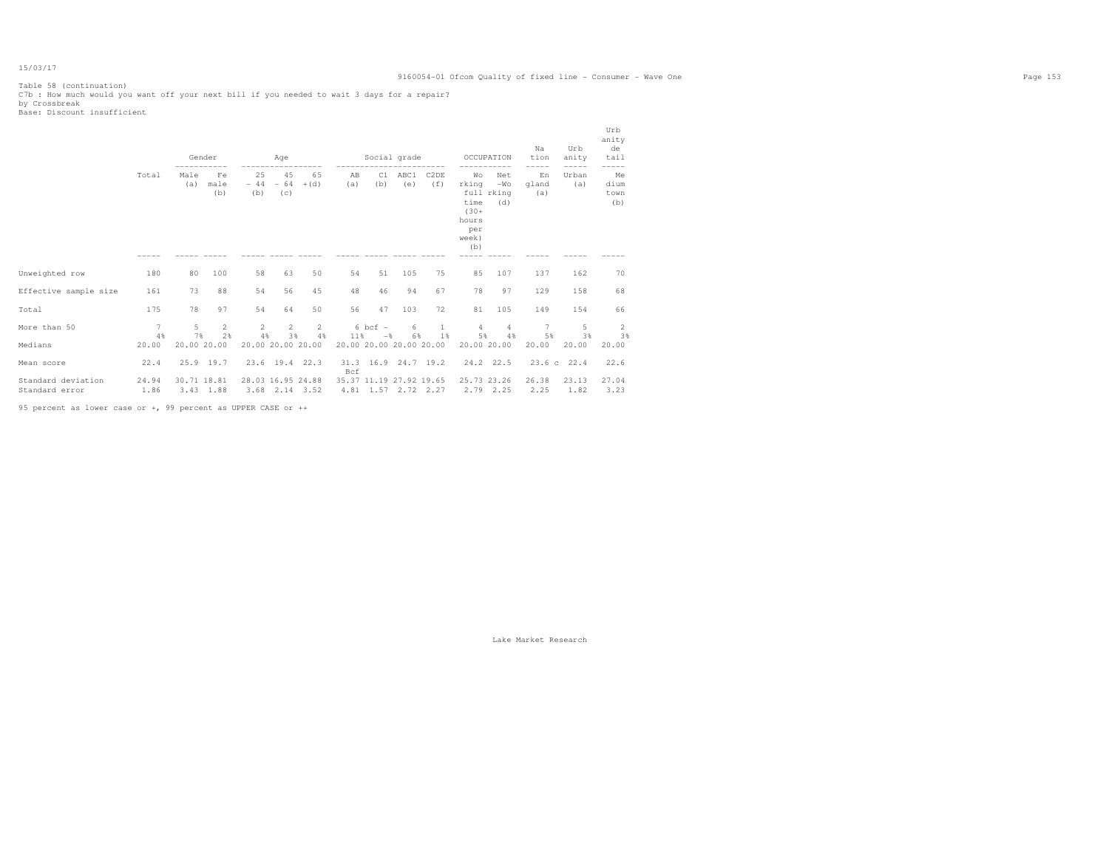Table 58 (continuation) C7b : How much would you want off your next bill if you needed to wait 3 days for a repair? by Crossbreak Base: Discount insufficient

|                                      |                       | Gender      |                      |                   | <b>Age</b><br>------------------ |                      |                            | Social grade<br>------------------------ |                |                                                |                                                                | OCCUPATION                        | Na<br>tion<br>$-- - - -$ | Urb<br>anity<br>-----   | Urb<br>anity<br>de<br>tail<br>----- |  |
|--------------------------------------|-----------------------|-------------|----------------------|-------------------|----------------------------------|----------------------|----------------------------|------------------------------------------|----------------|------------------------------------------------|----------------------------------------------------------------|-----------------------------------|--------------------------|-------------------------|-------------------------------------|--|
|                                      | Total                 | Male<br>(a) | Fe<br>male<br>(b)    | 25<br>(b)         | 45<br>$-44 - 64 + (d)$<br>(C)    | 65                   | AB<br>(a)                  | (b)                                      | C1 ABC1<br>(e) | C <sub>2</sub> DE<br>(f)                       | Wo<br>rking<br>time<br>$(30 +$<br>hours<br>per<br>week)<br>(b) | Net<br>$-WO$<br>full rking<br>(d) | En<br>qland<br>(a)       | Urban<br>(a)            | Me<br>dium<br>town<br>(b)           |  |
|                                      |                       |             |                      |                   |                                  |                      |                            |                                          |                |                                                |                                                                |                                   |                          |                         |                                     |  |
| Unweighted row                       | 180                   | 80          | 100                  | 58                | 63                               | 50                   | 54                         | 51                                       | 105            | 75                                             | 85                                                             | 107                               | 137                      | 162                     | 70                                  |  |
| Effective sample size                | 161                   | 73          | 88                   | 54                | 56                               | 45                   | 48                         | 46                                       | 94             | 67                                             | 78                                                             | 97                                | 129                      | 158                     | 68                                  |  |
| Total                                | 175                   | 78          | 97                   | 54                | 64                               | 50                   | 56                         | 47                                       | 103            | 72                                             | 81                                                             | 105                               | 149                      | 154                     | 66                                  |  |
| More than 50                         | $7\overline{7}$<br>4% | $5 -$<br>7% | $\overline{2}$<br>2% | 4%                | $2^{\circ}$<br>3%                | $2 \t 2$<br>4%       | 11%                        | $6$ bcf $-$<br>$-$                       | 6<br>6%        | $\mathbf{1}$<br>1%                             | $\overline{4}$<br>5%                                           | $\overline{4}$<br>4%              | 7<br>5%                  | $5 -$<br>3%             | <sup>2</sup><br>3%                  |  |
| Medians                              | 20.00                 | 20.00 20.00 |                      |                   |                                  | 20.00 20.00 20.00    |                            |                                          |                | 20.00 20.00 20.00 20.00                        | 20.00 20.00                                                    |                                   | 20.00                    | 20.00                   | 20.00                               |  |
| Mean score                           | 22.4                  |             | $25.9$ 19.7          |                   |                                  | 23.6 19.4 22.3       | 31.3 16.9 24.7 19.2<br>Bcf |                                          |                |                                                |                                                                | 24.2 22.5                         |                          | $23.6 \text{ c}$ $22.4$ | 22.6                                |  |
| Standard deviation<br>Standard error | 24.94<br>1.86         | 30.71 18.81 | $3.43$ 1.88          | 28.03 16.95 24.88 |                                  | $3.68$ $2.14$ $3.52$ |                            |                                          |                | 35.37 11.19 27.92 19.65<br>4.81 1.57 2.72 2.27 | 25.73 23.26                                                    | $2.79$ $2.25$                     | 26.38<br>2.25            | 23.13<br>1.82           | 27.04<br>3.23                       |  |

95 percent as lower case or +, 99 percent as UPPER CASE or ++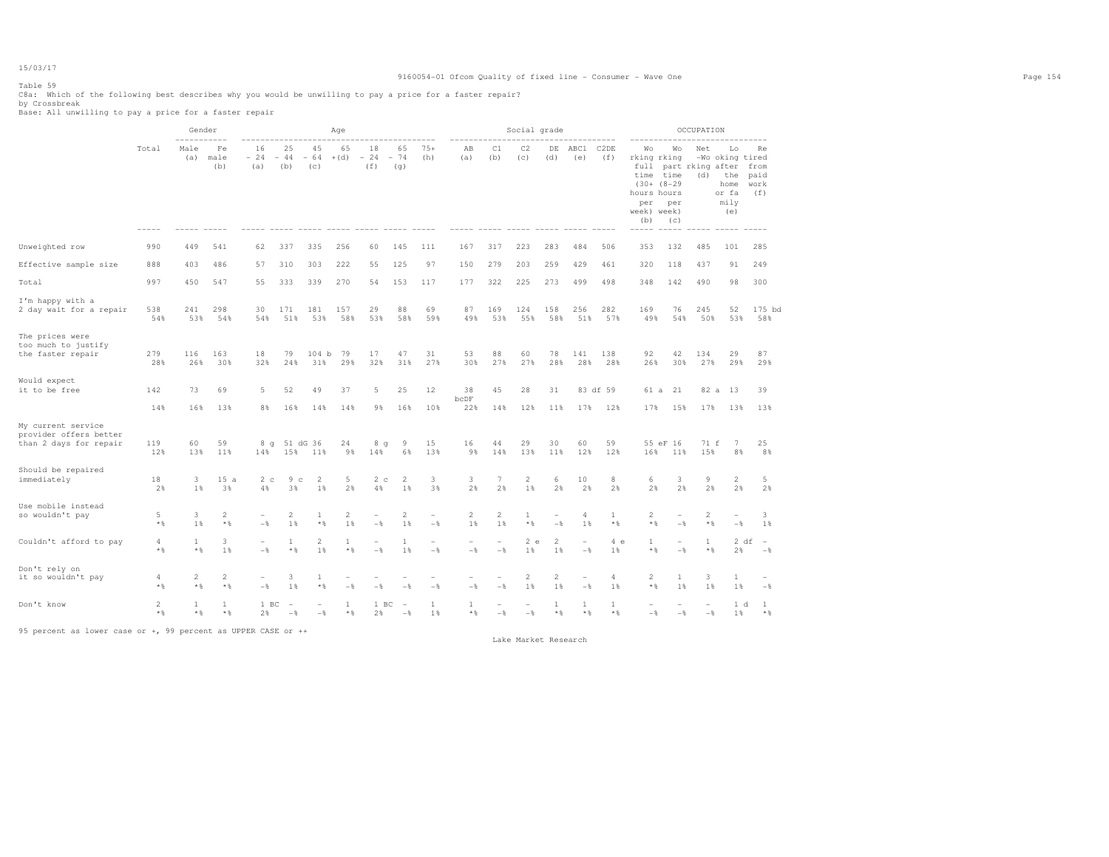# 9160054-01 Ofcom Quality of fixed line - Consumer - Wave One Page 154

Table 59

C8a: Which of the following best describes why you would be unwilling to pay a price for a faster repair?<br>by Crossbreak<br>Base: All unwilling to pay a price for a faster repair

|                                                                        |                        | Gender                   |                       |                            |                                 |                                            | Age                   |                                   |                                 |                                            |                       |                         | Social grade                               |                          |                       |                       |                                                                                                                     |                                            | OCCUPATION                                 |                                                              |                                                |
|------------------------------------------------------------------------|------------------------|--------------------------|-----------------------|----------------------------|---------------------------------|--------------------------------------------|-----------------------|-----------------------------------|---------------------------------|--------------------------------------------|-----------------------|-------------------------|--------------------------------------------|--------------------------|-----------------------|-----------------------|---------------------------------------------------------------------------------------------------------------------|--------------------------------------------|--------------------------------------------|--------------------------------------------------------------|------------------------------------------------|
|                                                                        | Total                  | $- - - -$<br>Male<br>(a) | Fe<br>male<br>(b)     | 16<br>$-24$<br>(a)         | 25<br>$-44$<br>(b)              | 45<br>$-64$<br>(c)                         | 65<br>$+(d)$          | 18<br>$-24$<br>(f)                | 65<br>$-74$<br>(q)              | $75+$<br>(h)                               | AB<br>(a)             | C1<br>(b)               | C2<br>(c)                                  | DE<br>(d)                | ABC1<br>(e)           | C2DE<br>(f)           | -------------<br>Wo<br>rking rking<br>full<br>time<br>$(30 + (8 - 29))$<br>hours hours<br>per<br>week) week)<br>(b) | Wo<br>time<br>per<br>(c)                   | Net<br>part rking after from<br>(d)        | Lo<br>-Wo oking tired<br>the<br>home<br>or fa<br>mily<br>(e) | Re<br>paid<br>work<br>(f)                      |
| Unweighted row                                                         | 990                    | 449                      | 541                   | 62                         | 337                             | 335                                        | 256                   | 60                                | 145                             | 111                                        | 167                   | 317                     | 223                                        | 283                      | 484                   | 506                   | 353                                                                                                                 | 132                                        | 485                                        | 101                                                          | 285                                            |
| Effective sample size                                                  | 888                    | 403                      | 486                   | 57                         | 310                             | 303                                        | 222                   | 55                                | 125                             | 97                                         | 150                   | 279                     | 203                                        | 259                      | 429                   | 461                   | 320                                                                                                                 | 118                                        | 437                                        | 91                                                           | 249                                            |
| Total                                                                  | 997                    | 450                      | 547                   | 55                         | 333                             | 339                                        | 270                   | 54                                | 153                             | 117                                        | 177                   | 322                     | 225                                        | 273                      | 499                   | 498                   | 348                                                                                                                 | 142                                        | 490                                        | 98                                                           | 300                                            |
| I'm happy with a<br>2 day wait for a repair                            | 538<br>54%             | 241<br>53%               | 298<br>54%            | 30<br>54%                  | 171<br>51%                      | 181<br>53%                                 | 157<br>58%            | 29<br>53%                         | 88<br>58%                       | 69<br>59%                                  | 87<br>49%             | 169<br>53%              | 124<br>55%                                 | 158<br>58%               | 256<br>51%            | 282<br>57%            | 169<br>49%                                                                                                          | 76<br>54%                                  | 245<br>50%                                 | 52<br>53%                                                    | 175 bd<br>58%                                  |
| The prices were<br>too much to justify<br>the faster repair            | 279<br>28%             | 116<br>26%               | 163<br>30%            | 18<br>32%                  | 79<br>24%                       | 104 b<br>31%                               | 79<br>29%             | 17<br>32%                         | 47<br>31%                       | 31<br>27%                                  | 53<br>30%             | 88<br>27%               | 60<br>27%                                  | 78<br>28%                | 141<br>28%            | 138<br>28%            | 92<br>26%                                                                                                           | 42<br>30%                                  | 134<br>27%                                 | 29<br>29%                                                    | 87<br>29%                                      |
| Would expect<br>it to be free                                          | 142                    | 73                       | 69                    | 5                          | 52                              | 49                                         | 37                    | 5                                 | 25                              | 12                                         | 38<br>bcDF            | 45                      | 28                                         | 31                       |                       | 83 df 59              |                                                                                                                     | 61 a 21                                    | 82 a                                       | 13                                                           | 39                                             |
|                                                                        | 14%                    | 16%                      | 13%                   | 8%                         | 16%                             | 14%                                        | 14%                   | 9%                                | 16%                             | 10%                                        | 22%                   | 14%                     | 12%                                        | 11%                      | 17%                   | 12%                   | 17%                                                                                                                 | 15%                                        | 17%                                        | 13%                                                          | 13%                                            |
| My current service<br>provider offers better<br>than 2 days for repair | 119<br>12%             | 60<br>13%                | 59<br>11%             | 8<br>$\alpha$<br>14%       | 15%                             | 51 dG 36<br>11%                            | 24<br>9%              | 8<br>q<br>14%                     | 9<br>6%                         | 15<br>13%                                  | 16<br>9%              | 44<br>14%               | 29<br>13%                                  | 30<br>11%                | 60<br>12%             | 59<br>12%             | 16%                                                                                                                 | 55 eF 16<br>11%                            | 71 f<br>15%                                | 7<br>8%                                                      | 25<br>8%                                       |
| Should be repaired<br>immediately                                      | 18<br>2%               | 3<br>1 %                 | 15a<br>3%             | 2 <sub>c</sub><br>4%       | 9 <sub>c</sub><br>3%            | 2<br>1%                                    | 5<br>2%               | 2c<br>4%                          | 2<br>1%                         | 3<br>3%                                    | 3<br>2%               | 7<br>2%                 | $\overline{2}$<br>1%                       | 6<br>2%                  | 10<br>2%              | 8<br>2%               | 6<br>2%                                                                                                             | 3<br>2%                                    | 9<br>2%                                    | $\overline{2}$<br>2%                                         | 5<br>2%                                        |
| Use mobile instead<br>so wouldn't pay                                  | 5<br>$*$ $\frac{6}{5}$ | 3<br>1%                  | $\overline{c}$<br>$*$ | $\equiv$<br>$-\frac{6}{5}$ | $\overline{2}$<br>1%            | $\mathbf{1}$<br>$*$ &                      | 2<br>1%               | $\equiv$<br>$-$                   | $\overline{2}$<br>1%            | $\overline{\phantom{0}}$<br>$-\frac{6}{5}$ | $\overline{2}$<br>1%  | $\overline{c}$<br>$1\%$ | $\mathbf{1}$<br>* %                        | $\sim$<br>$-\frac{6}{5}$ | 4<br>$1\%$            | $\mathbf{1}$<br>$*$ & | $\overline{c}$<br>$*$ %                                                                                             | $\overline{\phantom{m}}$<br>$-\frac{6}{5}$ | $\overline{c}$<br>$*$ %                    | $\equiv$<br>$-\frac{6}{5}$                                   | 3<br>$1\%$                                     |
| Couldn't afford to pay                                                 | 4<br>$*$ &             | 1<br>$*$ %               | 3<br>1%               | $\overline{a}$<br>$-$ 8    | 1<br>$*$ &                      | 2<br>1%                                    | $\mathbf{1}$<br>$*$ & | $\overline{\phantom{0}}$<br>$-$ 8 | 1<br>1%                         | $\overline{a}$<br>$-$                      | $\overline{a}$<br>$-$ | $\overline{a}$<br>$-$   | 2 e<br>1%                                  | 2<br>1%                  | ۰<br>$-$              | 4e<br>1%              | $\mathbf{1}$<br>$*$ $\frac{6}{3}$                                                                                   | $\overline{a}$<br>$-\frac{6}{6}$           | $\mathbf{1}$<br>$\star$ $\S$               | 2%                                                           | 2 df<br>$\hspace{0.1mm}-\hspace{0.1mm}$<br>$-$ |
| Don't rely on<br>it so wouldn't pay                                    | 4<br>$*$               | 2<br>$*$ %               | $\overline{2}$<br>$*$ | ۰<br>$-$                   | 3<br>1%                         | 1<br>$*$                                   | ۰<br>$-\frac{6}{2}$   | $-$                               | $ \frac{6}{3}$                  | $-$                                        | $-$ %                 | $-\frac{6}{5}$          | $\overline{c}$<br>1%                       | $\overline{c}$<br>1%     | ۰<br>$-$              | 4<br>$1\%$            | $\mathbf{2}$<br>$*$ $\frac{6}{3}$                                                                                   | 1<br>$1\%$                                 | 3<br>1%                                    | 1<br>$1\%$                                                   | ۰<br>$-$                                       |
| Don't know                                                             | $\overline{2}$<br>$*$  | <sup>1</sup><br>$*$ %    | $\mathbf{1}$<br>$*$   | 1 BC<br>2%                 | $\overline{\phantom{a}}$<br>$-$ | $\overline{\phantom{0}}$<br>$-\frac{6}{5}$ | $\mathbf{1}$<br>$*$ & | 1 BC<br>2%                        | $\overline{\phantom{a}}$<br>$-$ | 1<br>1%                                    | $\mathbf{1}$<br>$*$ & | $-\frac{6}{5}$          | $\overline{\phantom{m}}$<br>$-\frac{6}{6}$ | -1<br>$*$ &              | $\mathbf{1}$<br>$*$ & | 1<br>$*$ %            | $-$                                                                                                                 | $\overline{\phantom{a}}$<br>$-$            | $\overline{\phantom{a}}$<br>$-\frac{6}{5}$ | 1 d<br>1%                                                    | <sup>1</sup><br>$*$ %                          |

95 percent as lower case or +, 99 percent as UPPER CASE or ++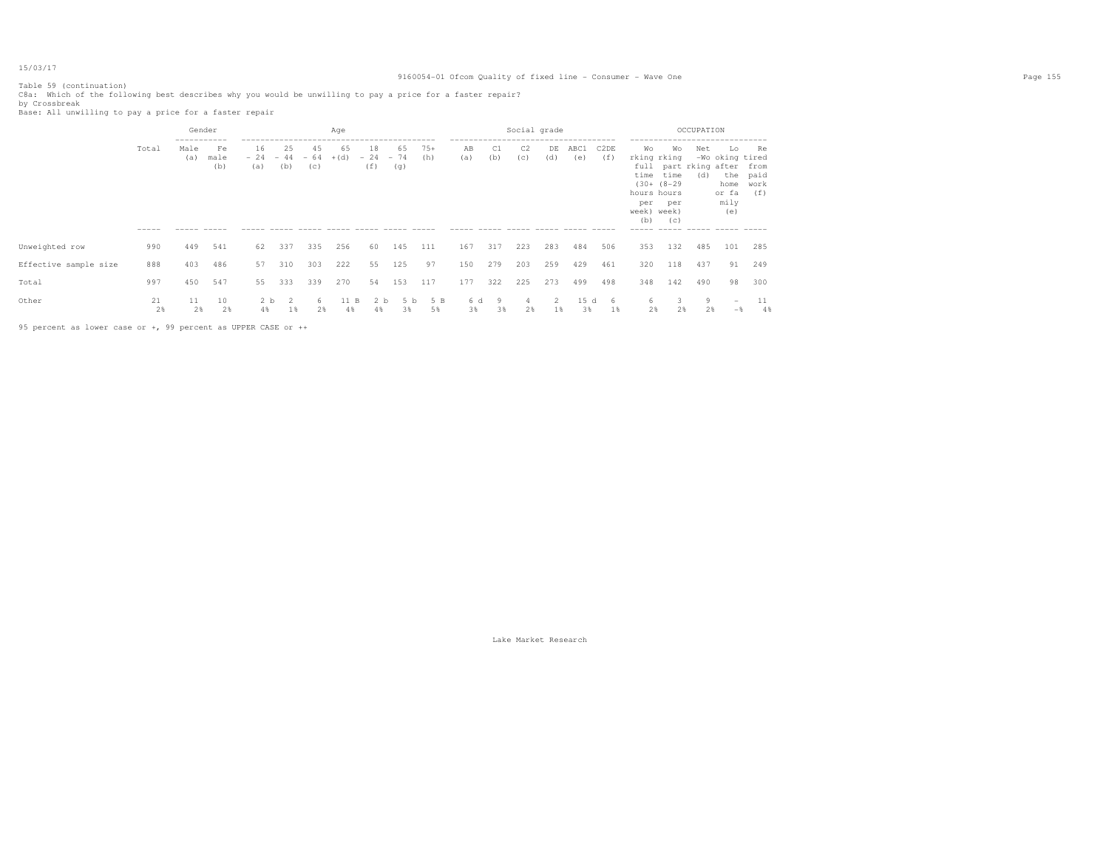Table 59 (continuation) C8a: Which of the following best describes why you would be unwilling to pay a price for a faster repair?<br>by Crossbreak<br>Base: All unwilling to pay a price for a faster repair

|                       |                      | Gender                     |                   |                      |                     |                    | Age          |                      |                      |              |           |           | Social grade |           |             |             |                                                               |                                                | OCCUPATION |                                                                                          |                       |
|-----------------------|----------------------|----------------------------|-------------------|----------------------|---------------------|--------------------|--------------|----------------------|----------------------|--------------|-----------|-----------|--------------|-----------|-------------|-------------|---------------------------------------------------------------|------------------------------------------------|------------|------------------------------------------------------------------------------------------|-----------------------|
|                       | Total<br>$- - - - -$ | -----------<br>Male<br>(a) | Fe<br>male<br>(b) | 16<br>$-24$<br>(a)   | -25<br>$-44$<br>(b) | 45<br>$-64$<br>(C) | 65<br>$+(d)$ | 18<br>$-24$<br>(f)   | 65<br>$-74$<br>(g)   | $75+$<br>(h) | AB<br>(a) | C1<br>(b) | C2<br>(C)    | DE<br>(d) | ABC1<br>(e) | C2DE<br>(f) | Wо<br>rking rking<br>hours hours<br>per<br>week) week)<br>(b) | Wo<br>time time<br>$(30 + (8-29$<br>per<br>(C) | Net<br>(d) | Lo<br>-Wo oking tired<br>full part rking after from<br>home work<br>or fa<br>mily<br>(e) | Re<br>the paid<br>(f) |
| Unweighted row        | 990                  | 449                        | 541               | 62                   | 337                 | 335                | 256          | 60                   | 145                  | 111          | 167       | 317       | 223          | 283       | 484         | 506         | 353                                                           | 132                                            | 485        | 101                                                                                      | 285                   |
| Effective sample size | 888                  | 403                        | 486               | 57                   | 310                 | 303                | 222          | 55                   | 125                  | 97           | 150       | 279       | 203          | 259       | 429         | 461         | 320                                                           | 118                                            | 437        | 91                                                                                       | 249                   |
| Total                 | 997                  | 450                        | 547               | 55                   | 333                 | 339                | 270          | 54                   | 153                  | 117          | 177       | 322       | 225          | 273       | 499         | 498         | 348                                                           | 142                                            | 490        | 98                                                                                       | 300                   |
| Other                 | 21<br>2%             | 11<br>2%                   | 10<br>2%          | 2 <sub>b</sub><br>4% | -2<br>1%            | 6<br>2%            | 11 B<br>4%   | 2 <sub>b</sub><br>4% | 5 <sub>b</sub><br>3% | 5 B<br>5%    | 6 d<br>3% | 9<br>38   | 2%           | 1%        | 15 d<br>3%  | 6<br>$1\%$  | 6.<br>2%                                                      | 2%                                             | 9<br>2%    | $\hspace{0.1mm}-\hspace{0.1mm}$<br>$-$                                                   | 11<br>4%              |

95 percent as lower case or +, 99 percent as UPPER CASE or ++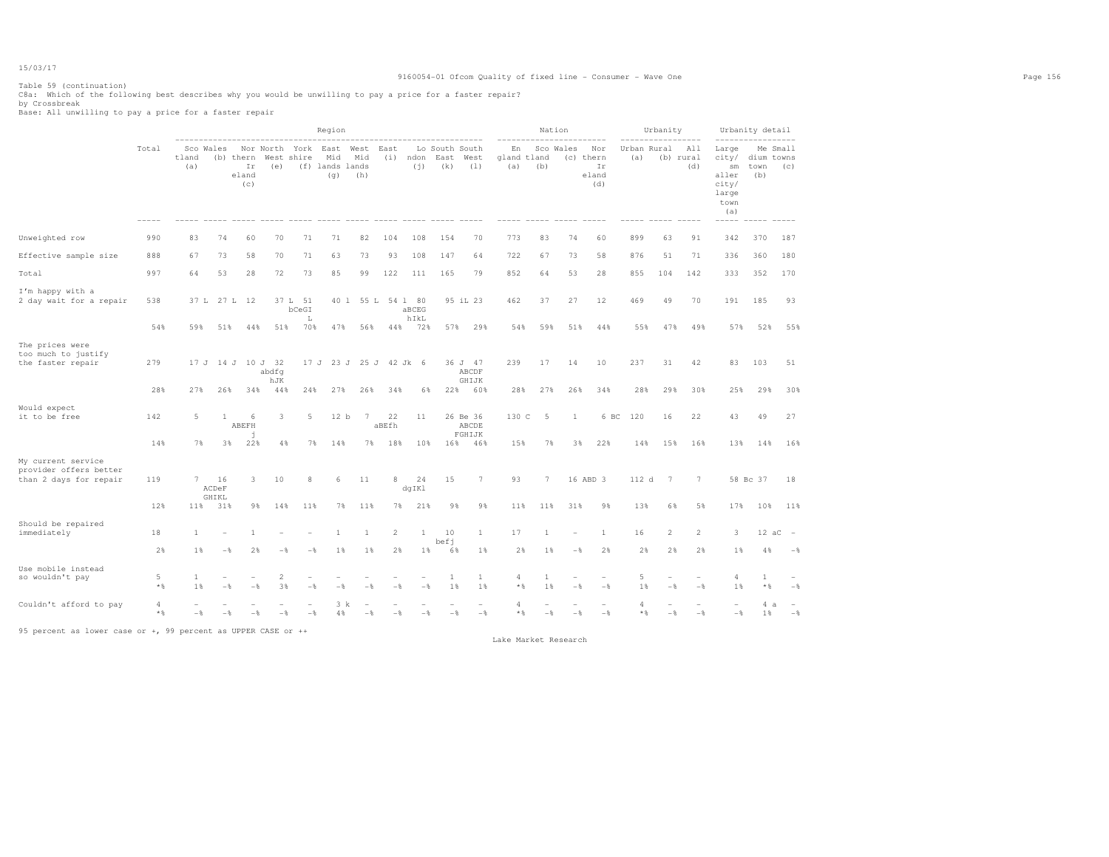Table 59 (continuation) C8a: Which of the following best describes why you would be unwilling to pay a price for a faster repair? by Crossbreak Base: All unwilling to pay a price for a faster repair

|                                                                        |                         |              |                      |                                 |                              |                         | Region                                |                    |                        |                          |                               |                             |                          |         | Nation         |                                        |                    | Urbanity       |                         |                                                                | Urbanity detail           |                          |
|------------------------------------------------------------------------|-------------------------|--------------|----------------------|---------------------------------|------------------------------|-------------------------|---------------------------------------|--------------------|------------------------|--------------------------|-------------------------------|-----------------------------|--------------------------|---------|----------------|----------------------------------------|--------------------|----------------|-------------------------|----------------------------------------------------------------|---------------------------|--------------------------|
|                                                                        | Total                   | tland<br>(a) | Sco Wales            | (b) thern<br>Ir<br>eland<br>(c) | West<br>(e)                  | Nor North York<br>shire | East<br>Mid<br>(f) lands lands<br>(q) | West<br>Mid<br>(h) | East<br>(i)            | ndon<br>(i)              | Lo South South<br>East<br>(k) | West<br>(1)                 | En<br>gland tland<br>(a) | (b)     | Sco Wales      | Nor<br>(c) thern<br>Ir<br>eland<br>(d) | Urban Rural<br>(a) |                | All<br>(b) rural<br>(d) | Large<br>city/<br>sm<br>aller<br>city/<br>large<br>town<br>(a) | dium towns<br>town<br>(b) | Me Small<br>(C)          |
| Unweighted row                                                         | 990                     | 83           | 74                   | 60                              | 70                           | 71                      | 71                                    | 82                 | 104                    | 108                      | 154                           | 70                          | 773                      | 83      | 74             | 60                                     | 899                | 63             | 91                      | 342                                                            | 370                       | 187                      |
| Effective sample size                                                  | 888                     | 67           | 73                   | 58                              | 70                           | 71                      | 63                                    | 73                 | 93                     | 108                      | 147                           | 64                          | 722                      | 67      | 73             | 58                                     | 876                | 51             | 71                      | 336                                                            | 360                       | 180                      |
| Total                                                                  | 997                     | 64           | 53                   | 28                              | 72                           | 73                      | 85                                    | 99                 | 122                    | 111                      | 165                           | 79                          | 852                      | 64      | 53             | 28                                     | 855                | 104            | 142                     | 333                                                            | 352                       | 170                      |
| I'm happy with a<br>2 day wait for a repair                            | 538                     | 37 L         |                      | 27 L 12                         | 37 L                         | 51<br>bCeGI<br>L        | 40 1                                  | 55 L               |                        | 54 1 80<br>aBCEG<br>hIkL |                               | 95 iL 23                    | 462                      | 37      | 27             | 12                                     | 469                | 49             | 70                      | 191                                                            | 185                       | 93                       |
|                                                                        | 54%                     | 59%          | 51%                  | 44%                             | 51%                          | 70%                     | 47%                                   | 56%                | 44%                    | 72%                      | 57%                           | 29%                         | 54%                      | 59%     | 51%            | 44%                                    | 55%                | 47%            | 49%                     | 57%                                                            | 52%                       | 55%                      |
| The prices were<br>too much to justify<br>the faster repair            | 279                     | 17 J         |                      |                                 | 14 J 10 J 32<br>abdfq<br>hJK |                         |                                       |                    | 17 J 23 J 25 J 42 Jk 6 |                          |                               | 36 J 47<br>ABCDF<br>GHIJK   | 239                      | 17      | 14             | 10                                     | 237                | 31             | 42                      | 83                                                             | 103                       | 51                       |
|                                                                        | 28%                     | 27%          | 26%                  | 34%                             | 44%                          | 24%                     | 27%                                   | 26%                | 34%                    | 6%                       | 22%                           | 60%                         | 28%                      | 27%     | 26%            | 34%                                    | 28%                | 29%            | 30%                     | 25%                                                            | 29%                       | 30%                      |
| Would expect<br>it to be free                                          | 142                     | 5            | 1                    | 6<br>ABEFH<br>h                 | 3                            | 5                       | 12 <sub>b</sub>                       | 7                  | 22<br>aBEfh            | 11                       |                               | 26 Be 36<br>ABCDE<br>FGHIJK | 130 C                    | 5       | 1              | 6 BC                                   | 120                | 16             | 22                      | 43                                                             | 49                        | 27                       |
|                                                                        | 14%                     | 7%           | 3%                   | 22%                             | 4%                           | 7%                      | 14%                                   | 7%                 | 18%                    | 10%                      | 16%                           | 46%                         | 15%                      | 7%      | 3%             | 22%                                    | 14%                | 15%            | 16%                     | 13%                                                            | 14%                       | 16%                      |
| My current service<br>provider offers better<br>than 2 days for repair | 119                     | 7            | 16<br>ACDeF<br>GHIKL | 3                               | 10                           | 8                       | -6                                    | 11                 | 8                      | 24<br>dqIKl              | 15                            | $7\phantom{.0}$             | 93                       | 7       |                | 16 ABD 3                               | 112 d              | 7              | $7\phantom{.0}$         |                                                                | 58 Bc 37                  | 18                       |
|                                                                        | 12%                     | 11%          | 31%                  | 9%                              | 14%                          | 11%                     | 7%                                    | 11%                | 7%                     | 21%                      | 9%                            | 9%                          | 11%                      | 11%     | 31%            | 9%                                     | 13%                | 6%             | 5%                      | 17%                                                            | 10%                       | 11%                      |
| Should be repaired<br>immediately                                      | 18                      | 1            |                      |                                 |                              |                         | 1                                     | 1                  | 2                      | $\mathbf{1}$             | 10<br>befi                    | <sup>1</sup>                | 17                       | 1       |                | 1                                      | 16                 | $\overline{c}$ | $\overline{c}$          | 3                                                              | $12 \text{ aC}$           | $\overline{\phantom{a}}$ |
|                                                                        | 2%                      | 1%           | $-$                  | 2%                              | $-$                          | $-\frac{6}{25}$         | 1                                     | 1                  | 2%                     | 1%                       | 6%                            | 1%                          | 2%                       | $1\%$   | $-\frac{6}{5}$ | 2%                                     | 2%                 | 2%             | 2%                      | 1%                                                             | 4%                        | $-$ 8                    |
| Use mobile instead<br>so wouldn't pay                                  | 5<br>$*$ &              | 1<br>1%      |                      | $-$                             | 2<br>3%                      | $-$                     | - 2                                   |                    |                        | $-\frac{6}{5}$           | 1<br>1%                       | 1<br>1%                     | 4<br>$*$                 | 1<br>1% | $-$            | $-$ 8                                  | 5<br>1%            | $-$            | $-$ 8                   | 4<br>1%                                                        | $\mathbf{1}$<br>$\star$ & | $-$                      |
| Couldn't afford to pay                                                 | $\overline{4}$<br>$*$ % | $-$          | - 2                  | $-$                             | - &                          | $-$                     | 3 k<br>4%                             |                    |                        | $-$                      | $-$                           | $-\frac{6}{5}$              | Δ<br>$*$                 | $-$     |                | $-\frac{6}{5}$                         | 4<br>$*$ &         | $-$            | $-\frac{6}{5}$          | $-\frac{6}{5}$                                                 | 4a<br>1                   | $-$                      |

95 percent as lower case or +, 99 percent as UPPER CASE or ++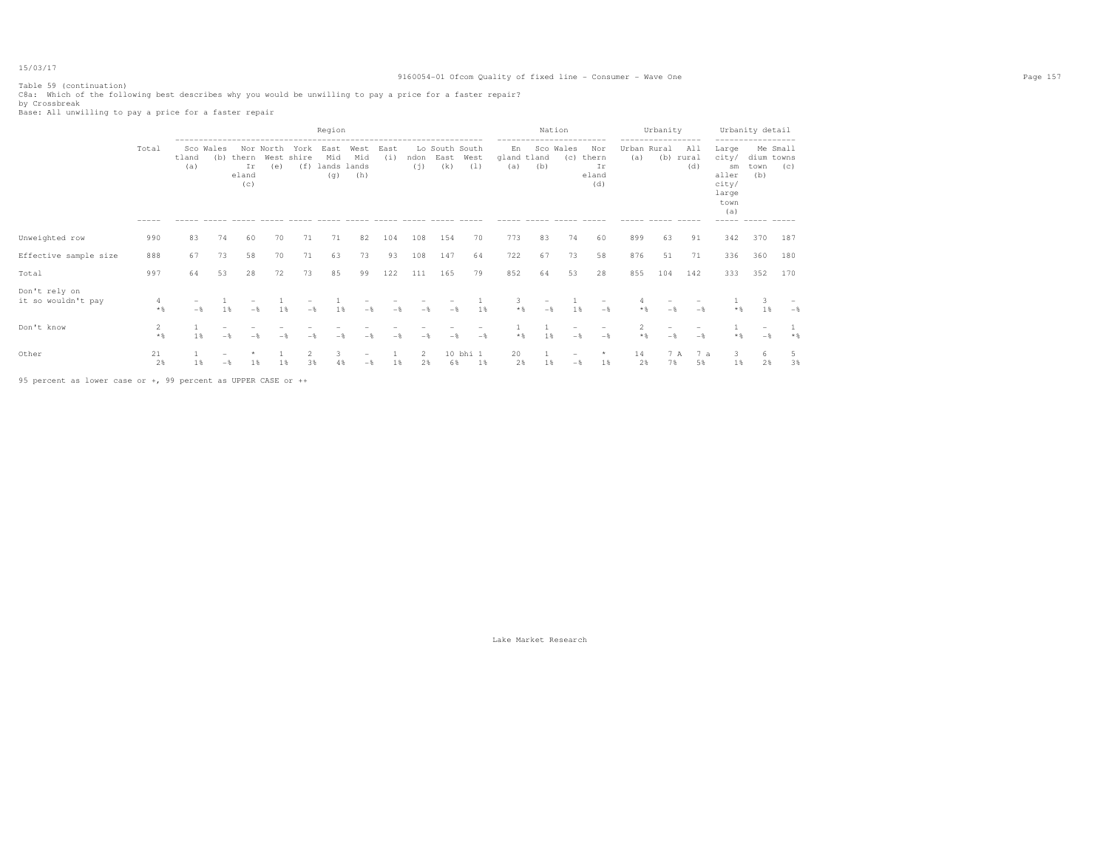Table 59 (continuation) C8a: Which of the following best describes why you would be unwilling to pay a price for a faster repair? by Crossbreak Base: All unwilling to pay a price for a faster repair

|                                     |                |              |                  |                             |                  |                           | Region                      |                             |             |                                                                                                                              |                               |                 |                          | Nation<br>------------------------ |                  |                                    |                         | Urbanity<br>----------- |                           |                                                                               | Urbanity detail           |                 |
|-------------------------------------|----------------|--------------|------------------|-----------------------------|------------------|---------------------------|-----------------------------|-----------------------------|-------------|------------------------------------------------------------------------------------------------------------------------------|-------------------------------|-----------------|--------------------------|------------------------------------|------------------|------------------------------------|-------------------------|-------------------------|---------------------------|-------------------------------------------------------------------------------|---------------------------|-----------------|
|                                     | Total<br>----- | tland<br>(a) | Sco Wales<br>(b) | thern<br>Ιr<br>eland<br>(c) | Nor North<br>(e) | York<br>West shire<br>(f) | East<br>Mid<br>lands<br>(q) | West<br>Mid<br>lands<br>(h) | East<br>(i) | ndon<br>(i)                                                                                                                  | Lo South South<br>East<br>(k) | West<br>(1)     | En<br>gland tland<br>(a) | (b)                                | Sco Wales<br>(c) | Nor<br>thern<br>Ιr<br>eland<br>(d) | Urban Rural<br>(a)      | (b) rural               | All<br>(d)<br>$- - - - -$ | Large<br>city/<br>sm<br>aller<br>city/<br>large<br>town<br>(a)<br>$- - - - -$ | dium towns<br>town<br>(b) | Me Small<br>(C) |
| Unweighted row                      | 990            | 83           | 74               | 60                          | 70               | 71                        | 71                          | 82                          | 104         | 108                                                                                                                          | 154                           | 70              | 773                      | 83                                 | 74               | 60                                 | 899                     | 63                      | 91                        | 342                                                                           | 370                       | 187             |
| Effective sample size               | 888            | 67           | 73               | 58                          | 70               | 71                        | 63                          | 73                          | 93          | 108                                                                                                                          | 147                           | 64              | 722                      | 67                                 | 73               | 58                                 | 876                     | 51                      | 71                        | 336                                                                           | 360                       | 180             |
| Total                               | 997            | 64           | 53               | 28                          | 72               | 73                        | 85                          | 99                          | 122         | 111                                                                                                                          | 165                           | 79              | 852                      | 64                                 | 53               | 28                                 | 855                     | 104                     | 142                       | 333                                                                           | 352                       | 170             |
| Don't rely on<br>it so wouldn't pay | 4<br>$*$ %     | $-$          | 1%               | $-$                         | 1%               | $-$                       | 1%                          |                             | - *         |                                                                                                                              |                               | 1%              | 3<br>$*$ &               | $\overline{\phantom{0}}$<br>$-$    | 1%               | $-$                                |                         | - 2                     | $-$                       | $*$ &                                                                         | 3<br>1%                   | $-\frac{6}{5}$  |
| Don't know                          | 2<br>$*$ &     | 1%           |                  |                             |                  |                           |                             |                             |             |                                                                                                                              |                               | $-\frac{6}{25}$ | $*$ &                    | 1 %                                |                  | $-$                                | $\overline{2}$<br>$*$ & | - &                     | $-$                       | $*$ &                                                                         |                           | $*$ %           |
| Other                               | 21<br>2%       | $1$ %        |                  | 1%                          | 1%               | 38                        | 3<br>48                     | $\overline{\phantom{a}}$    | 18          | $\mathfrak{D}_{1}^{2}(\mathfrak{D}_{1})=\mathfrak{D}_{2}^{2}(\mathfrak{D}_{2})=\mathfrak{D}_{2}^{2}(\mathfrak{D}_{1})$<br>2% | 6%                            | 10 bhi 1<br>1%  | 20<br>2%                 | $\mathbf{1}$<br>$1\%$              |                  | $\star$<br>$1\%$                   | 14<br>2%                | 7 A<br>7%               | 7a<br>5%                  | 3<br>$1\%$                                                                    | 6<br>2%                   | 5<br>3%         |

95 percent as lower case or +, 99 percent as UPPER CASE or ++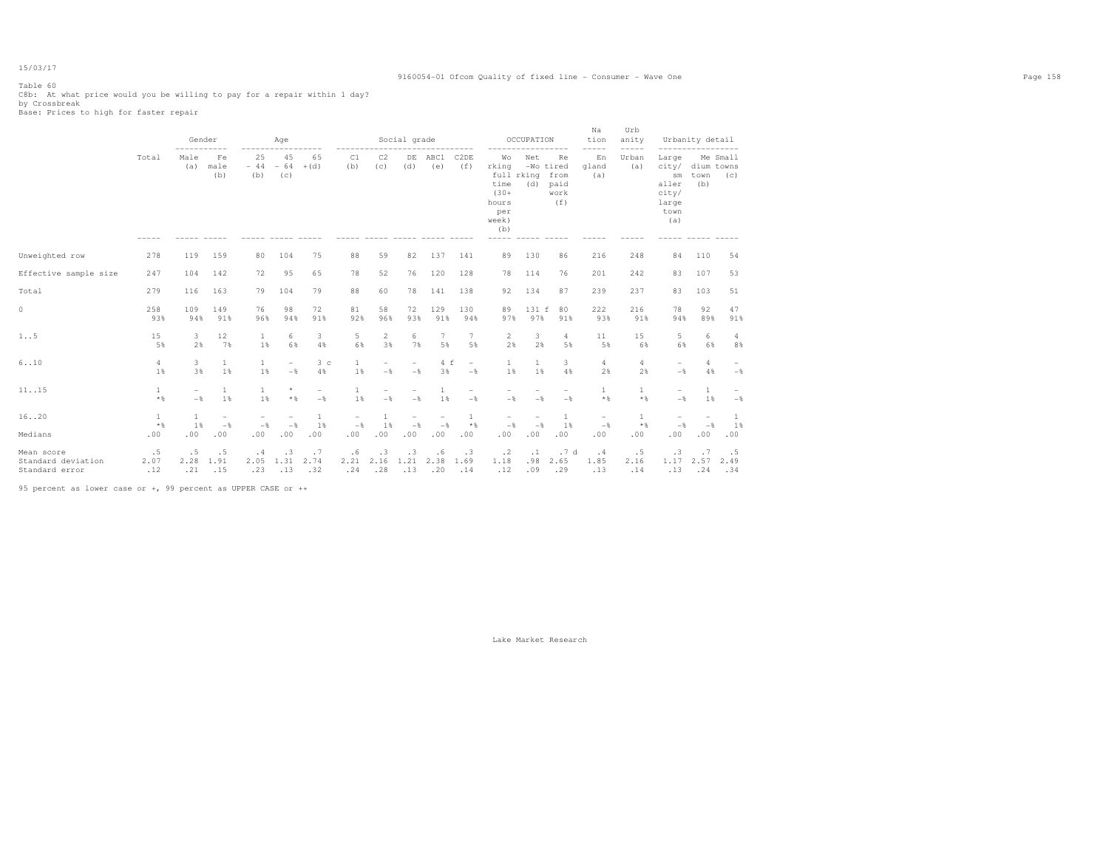# Table 60

C8b: At what price would you be willing to pay for a repair within 1 day? by Crossbreak Base: Prices to high for faster repair

|                                                               |                       |                                 | Gender                          |                                 | Age                                        |                      |                                 |                                 | Social grade                    |                                 |                                            |                                                                              | OCCUPATION              |                                                 | Na<br>tion<br>-----                        | Urb<br>anity<br>----- |                                                                                        | Urbanity detail<br>----------------- |                                            |
|---------------------------------------------------------------|-----------------------|---------------------------------|---------------------------------|---------------------------------|--------------------------------------------|----------------------|---------------------------------|---------------------------------|---------------------------------|---------------------------------|--------------------------------------------|------------------------------------------------------------------------------|-------------------------|-------------------------------------------------|--------------------------------------------|-----------------------|----------------------------------------------------------------------------------------|--------------------------------------|--------------------------------------------|
|                                                               | Total                 | Male<br>(a)                     | Fe<br>male<br>(b)               | 25<br>$-44$<br>(b)              | 45<br>$-64$<br>(C)                         | 65<br>$+(d)$         | C1<br>(b)                       | C2<br>(C)                       | DE<br>(d)                       | ABC1<br>(e)                     | C <sub>2</sub> DE<br>(f)                   | Wo<br>rking<br>full rking<br>time<br>$(30 +$<br>hours<br>per<br>week)<br>(b) | Net<br>(d)              | Re.<br>-Wo tired<br>from<br>paid<br>work<br>(f) | En<br>gland<br>(a)                         | Urban<br>(a)          | Large<br>city/<br>$\mathop{\rm sm}\nolimits$<br>aller<br>city/<br>large<br>town<br>(a) | dium towns<br>town<br>(b)            | Me Small<br>(C)                            |
| Unweighted row                                                | 278                   | 119                             | 159                             | 80                              | 104                                        | 75                   | 88                              | 59                              | 82                              | 137                             | 141                                        | 89                                                                           | 130                     | 86                                              | 216                                        | 248                   | 84                                                                                     | 110                                  | 54                                         |
| Effective sample size                                         | 247                   | 104                             | 142                             | 72                              | 95                                         | 65                   | 78                              | 52                              | 76                              | 120                             | 128                                        | 78                                                                           | 114                     | 76                                              | 201                                        | 242                   | 83                                                                                     | 107                                  | 53                                         |
| Total                                                         | 279                   | 116                             | 163                             | 79                              | 104                                        | 79                   | 88                              | 60                              | 78                              | 141                             | 138                                        | 92                                                                           | 134                     | 87                                              | 239                                        | 237                   | 83                                                                                     | 103                                  | 51                                         |
| $\circ$                                                       | 258<br>93%            | 109<br>94%                      | 149<br>91%                      | 76<br>96%                       | 98<br>94%                                  | 72<br>91%            | 81<br>92%                       | 58<br>96%                       | 72<br>93%                       | 129<br>91%                      | 130<br>94%                                 | 89<br>97%                                                                    | 131 f<br>97%            | 80<br>91%                                       | 222<br>93%                                 | 216<br>91%            | 78<br>94%                                                                              | 92<br>89%                            | 47<br>91%                                  |
| 1.5                                                           | 15<br>5%              | 3<br>2%                         | 12<br>7%                        | 1<br>1%                         | 6<br>6%                                    | 3<br>4%              | 5<br>6%                         | 2<br>3%                         | 6<br>7%                         | 7<br>5%                         | $7\phantom{.0}$<br>5%                      | $\overline{2}$<br>2%                                                         | 3<br>2%                 | $\overline{4}$<br>5%                            | 11<br>5%                                   | 15<br>6%              | 5<br>6%                                                                                | 6<br>6%                              | $\overline{4}$<br>8%                       |
| 6.10                                                          | 4<br>1%               | 3<br>3%                         | $\mathbf{1}$<br>1%              | $\mathbf{1}$<br>1%              | $\overline{\phantom{a}}$<br>$-\frac{6}{5}$ | 3 <sub>c</sub><br>4% | 1<br>1%                         | $\overline{\phantom{m}}$<br>$-$ | $\qquad \qquad -$<br>$-$        | 4f<br>3%                        | $\overline{\phantom{a}}$<br>$-\frac{6}{5}$ | $\mathbf{1}$<br>1%                                                           | $\mathbf{1}$<br>1%      | 3<br>4%                                         | $\overline{4}$<br>2%                       | 4<br>2%               | $-$<br>$-\frac{6}{5}$                                                                  | 4<br>4%                              | $\overline{\phantom{a}}$<br>$-\frac{6}{5}$ |
| 11. .15                                                       | $\mathbf{1}$<br>$*$   | $\overline{\phantom{m}}$<br>$-$ | $\mathbf{1}$<br>1%              | $\mathbf{1}$<br>1%              | $^\star$<br>$*$ &                          | $-$                  | $\mathbf{1}$<br>1%              | $-$                             | $\overline{\phantom{0}}$<br>$-$ | 1<br>1%                         | ۰<br>$-\frac{6}{5}$                        | $-\frac{6}{5}$                                                               | $-$                     | $\overline{\phantom{m}}$<br>$-\frac{6}{5}$      | $\mathbf{1}$<br>$*$ %                      | $\mathbf{1}$<br>* %   | $-$                                                                                    | 1<br>1%                              | $-\,$                                      |
| 16. .20                                                       | $\mathbf{1}$<br>$*$ & | 1<br>1%                         | $\overline{\phantom{a}}$<br>$-$ | $\overline{\phantom{m}}$<br>$-$ | $\overline{\phantom{a}}$<br>$-$            | $\mathbf{1}$<br>1%   | $\overline{\phantom{m}}$<br>$-$ | $\mathbf{1}$<br>1%              | $\overline{\phantom{0}}$<br>$-$ | $\overline{\phantom{a}}$<br>$-$ | 1<br>$*$ %                                 | $\overline{\phantom{m}}$<br>$-$                                              | ۰<br>$-$                | $\mathbf{1}$<br>1%                              | $\overline{\phantom{0}}$<br>$-\frac{6}{5}$ | $\mathbf{1}$<br>$*$ % | $-\frac{6}{6}$                                                                         | $\overline{\phantom{0}}$<br>$-$      | -1<br>1%                                   |
| Medians                                                       | .00                   | .00                             | .00                             | .00                             | .00                                        | .00                  | .00                             | .00                             | .00                             | .00                             | .00                                        | .00                                                                          | .00                     | .00                                             | .00                                        | .00                   | .00                                                                                    | .00                                  | .00                                        |
| Mean score<br>Standard deviation<br>Standard error            | .5<br>2.07<br>.12     | .5<br>2.28<br>.21               | .5<br>1.91<br>.15               | .4<br>2.05<br>.23               | .3<br>1.31<br>.13                          | .7<br>2.74<br>.32    | .6<br>2.21<br>.24               | .3<br>2.16<br>.28               | .3<br>1.21<br>.13               | .6<br>2.38<br>.20               | .3<br>1.69<br>.14                          | $\cdot$ 2<br>1.18<br>.12                                                     | $\cdot$ 1<br>.98<br>.09 | .7d<br>2.65<br>.29                              | .4<br>1.85<br>.13                          | .5<br>2.16<br>.14     | .3<br>1.17<br>.13                                                                      | .7<br>2.57<br>.24                    | .5<br>2.49<br>.34                          |
| 95 percent as lower case or +, 99 percent as UPPER CASE or ++ |                       |                                 |                                 |                                 |                                            |                      |                                 |                                 |                                 |                                 |                                            |                                                                              |                         |                                                 |                                            |                       |                                                                                        |                                      |                                            |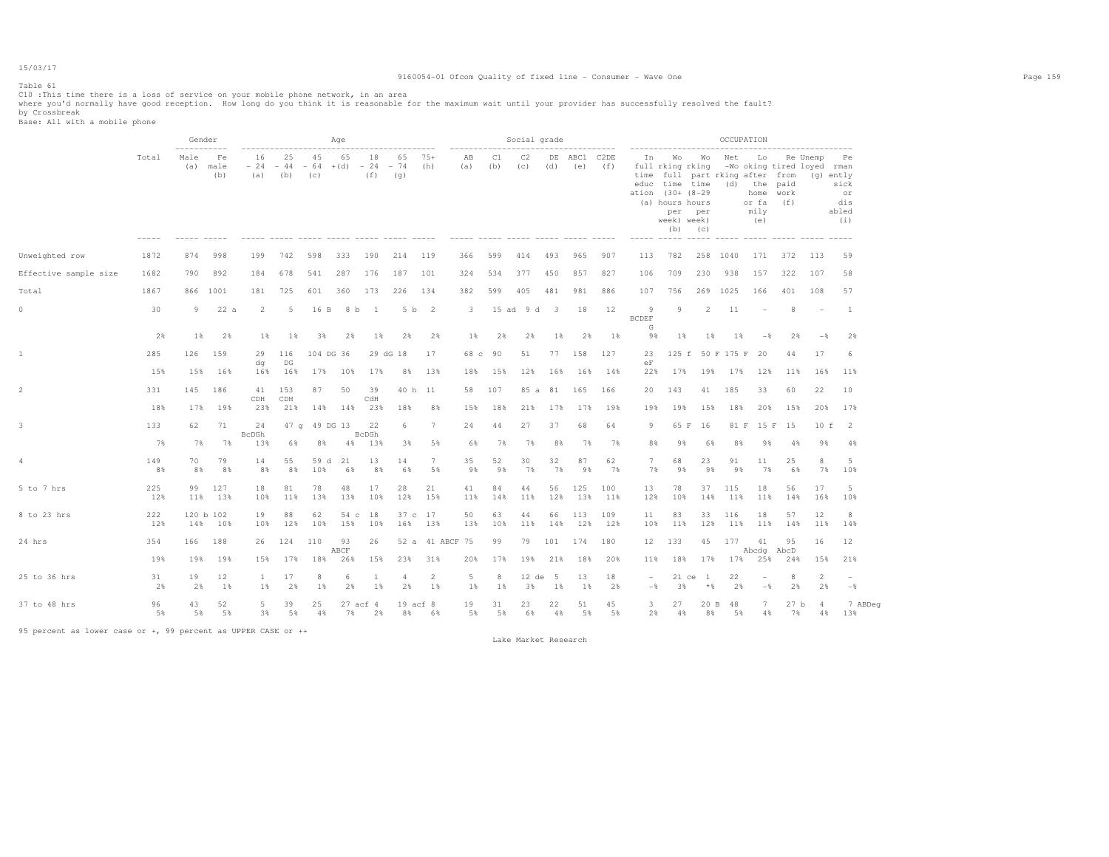# Table 61

# 9160054-01 Ofcom Quality of fixed line - Consumer - Wave One Page 159

ClO :This time there is a loss of service on your mobile phone network, in an area<br>where you'd normally have good reception. How long do you think it is reasonable for the maximum wait until your provider has successfully

|                       |            | Gender<br>$- - - - -$ |                   |                    |                    |                    | Age          |                    |                      |                       |           |           | Social grade |           |             |             |                                            |                                                                                                               |                     |            | OCCUPATION                                                                   | ---------------------                |                      |                                                              |
|-----------------------|------------|-----------------------|-------------------|--------------------|--------------------|--------------------|--------------|--------------------|----------------------|-----------------------|-----------|-----------|--------------|-----------|-------------|-------------|--------------------------------------------|---------------------------------------------------------------------------------------------------------------|---------------------|------------|------------------------------------------------------------------------------|--------------------------------------|----------------------|--------------------------------------------------------------|
|                       | Total      | Male<br>(a)           | Fe<br>male<br>(b) | 16<br>$-24$<br>(a) | 25<br>$-44$<br>(b) | 45<br>$-64$<br>(c) | 65<br>$+(d)$ | 18<br>$-24$<br>(f) | 65<br>$-74$<br>(q)   | $75+$<br>(h)          | AВ<br>(a) | C1<br>(b) | C2<br>(C)    | DE<br>(d) | ABC1<br>(e) | C2DE<br>(f) | In<br>time<br>ation (30+ (8-29             | -----------------<br>Wo<br>full rking rking<br>educ time time<br>(a) hours hours<br>per<br>week) week)<br>(b) | Wo<br>per<br>(c)    | Net<br>(d) | Lo<br>full part rking after from<br>the paid<br>home<br>or fa<br>mily<br>(e) | -Wo oking tired loyed<br>work<br>(f) | Re Unemp             | Pe<br>rman<br>(g) ently<br>sick<br>or<br>dis<br>abled<br>(i) |
| Unweighted row        | 1872       | 874                   | 998               | 199                | 742                | 598                | 333          | 190                | 214                  | 119                   | 366       | 599       | 414          | 493       | 965         | 907         | 113                                        | 782                                                                                                           | 258                 | 1040       | 171                                                                          | 372                                  | 113                  | 59                                                           |
| Effective sample size | 1682       | 790                   | 892               | 184                | 678                | 541                | 287          | 176                | 187                  | 101                   | 324       | 534       | 377          | 450       | 857         | 827         | 106                                        | 709                                                                                                           | 230                 | 938        | 157                                                                          | 322                                  | 107                  | 58                                                           |
| Total                 | 1867       | 866                   | 1001              | 181                | 725                | 601                | 360          | 173                | 226                  | 134                   | 382       | 599       | 405          | 481       | 981         | 886         | 107                                        | 756                                                                                                           | 269                 | 1025       | 166                                                                          | 401                                  | 108                  | 57                                                           |
| $\circ$               | 30         | 9                     | 22a               | $\overline{2}$     | 5                  | 16 B               | 8 b          | $\overline{1}$     | 5 <sub>b</sub>       | <sup>2</sup>          | 3         |           | 15 ad 9 d    | -3        | 18          | 12          | 9<br><b>BCDEF</b><br>G                     | 9                                                                                                             | $\mathfrak{D}$      | 11         |                                                                              | 8                                    |                      | $\overline{1}$                                               |
|                       | 2%         | 1%                    | 2%                | $1\%$              | 1%                 | 3%                 | 2%           | $1$ %              | 2%                   | 2%                    | $1\%$     | 2%        | 2%           | $1\%$     | 2%          | 1%          | 9%                                         | 1%                                                                                                            | 1%                  | 18         | $-$                                                                          | 2%                                   | $-$                  | 2%                                                           |
| $\mathbf{1}$          | 285        | 126                   | 159               | 29<br>dq           | 116<br>DG          | 104 DG 36          |              | 29 dG 18           |                      | 17                    | 68 c      | 90        | 51           | 77        | 158         | 127         | 23<br>$\rm{eF}$                            | 125 f                                                                                                         |                     | 50 F 175 F | 20                                                                           | 44                                   | 17                   | 6                                                            |
|                       | 15%        | 15%                   | 16%               | 16%                | 16%                | 17%                | 10%          | 17%                | 8%                   | 13%                   | 18%       | 15%       | 12%          | 16%       | 16%         | 14%         | 22%                                        | 17%                                                                                                           | 19%                 | 17%        | 12%                                                                          | 11%                                  | 16%                  | 11%                                                          |
| $\mathbf{2}$          | 331        | 145                   | 186               | 41<br>CDH          | 153<br>CDH         | 87                 | 50           | 39<br>CdH          | 40 h 11              |                       | 58        | 107       | 85 a         | 81        | 165         | 166         | 20                                         | 143                                                                                                           | 41                  | 185        | 33                                                                           | 60                                   | 22                   | 10                                                           |
|                       | 18%        | 17%                   | 19%               | 23%                | 21%                | 14%                | 14%          | 23%                | 18%                  | 8%                    | 15%       | 18%       | 21%          | 17%       | 17%         | 19%         | 19%                                        | 19%                                                                                                           | 15%                 | 18%        | 20%                                                                          | 15%                                  | 20%                  | 17%                                                          |
| 3                     | 133        | 62                    | 71                | 24<br>BcDGh        |                    | 47 q 49 DG 13      |              | 22<br>BcDGh        | 6                    | $7\phantom{.0}$       | 24        | 44        | 27           | 37        | 68          | 64          | 9                                          | 65 F                                                                                                          | 16                  | 81 F       |                                                                              | 15 F 15                              | 10 f                 | $\overline{2}$                                               |
|                       | 7%         | 7%                    | 7%                | 13%                | 6%                 | 8%                 | 4%           | 13%                | 3%                   | 5%                    | 6%        | 7%        | 7%           | 8%        | 7%          | 7%          | 8%                                         | 9%                                                                                                            | 6%                  | 8%         | 9%                                                                           | 4%                                   | 9%                   | 4%                                                           |
| 4                     | 149<br>8%  | 70<br>8%              | 79<br>8%          | 14<br>8%           | 55<br>8%           | 59 d<br>10%        | 21<br>6%     | 13<br>8%           | 14<br>6%             | $7\phantom{.0}$<br>5% | 35<br>9%  | 52<br>9%  | 30<br>7%     | 32<br>7%  | 87<br>9%    | 62<br>7%    | $7\phantom{.0}$<br>7%                      | 68<br>9%                                                                                                      | 23<br>9%            | 91<br>9%   | 11<br>7%                                                                     | 25<br>6%                             | 8<br>7%              | 5<br>10%                                                     |
| 5 to 7 hrs            | 225<br>12% | 99<br>11%             | 127<br>13%        | 18<br>10%          | 81<br>11%          | 78<br>13%          | 48<br>13%    | 17<br>10%          | 28<br>12%            | 21<br>15%             | 41<br>11% | 84<br>14% | 44<br>11%    | 56<br>12% | 125<br>13%  | 100<br>11%  | 13<br>12%                                  | 78<br>10%                                                                                                     | 37<br>14%           | 115<br>11% | 18<br>11%                                                                    | 56<br>14%                            | 17<br>16%            | 5<br>10%                                                     |
| 8 to 23 hrs           | 222<br>12% | 14%                   | 120 b 102<br>10%  | 19<br>10%          | 88<br>12%          | 62<br>10%          | 54 c<br>15%  | 18<br>10%          | 37c<br>16%           | 17<br>13%             | 50<br>13% | 63<br>10% | 44<br>11%    | 66<br>14% | 113<br>12%  | 109<br>12%  | 11<br>10%                                  | 83<br>11%                                                                                                     | 33<br>12%           | 116<br>11% | 18<br>11%                                                                    | 57<br>14%                            | 12<br>11%            | 8<br>14%                                                     |
| 24 hrs                | 354        | 166                   | 188               | 26                 | 124                | 110                | 93           | 26                 | 52a                  | 41 ABCF 75            |           | 99        | 79           | 101       | 174         | 180         | 12                                         | 133                                                                                                           | 45                  | 177        | 41                                                                           | 95                                   | 16                   | 12                                                           |
|                       | 19%        | 19%                   | 19%               | 15%                | 17%                | 18%                | ABCF<br>26%  | 15%                | 23%                  | 31%                   | 20%       | 17%       | 19%          | 21%       | 18%         | 20%         | 11%                                        | 18%                                                                                                           | 17%                 | 17%        | Abcdg AbcD<br>25%                                                            | 24%                                  | 15%                  | 21%                                                          |
| 25 to 36 hrs          | 31<br>2%   | 19<br>2%              | 12<br>1%          | -1<br>1%           | 17<br>2%           | 8<br>1%            | 6<br>2%      | <sup>1</sup><br>1% | $\overline{4}$<br>2% | 2<br>1%               | 5<br>1%   | 8<br>1%   | 12 de<br>3%  | 5<br>1%   | 13<br>1%    | 18<br>2%    | $\overline{\phantom{a}}$<br>$-\frac{6}{6}$ | $21$ ce<br>3%                                                                                                 | - 1<br>$\star$ $\S$ | 22<br>2%   | $-$                                                                          | 8<br>2%                              | 2<br>2%              | $-$                                                          |
| 37 to 48 hrs          | 96<br>5%   | 43<br>5%              | 52<br>5%          | 5<br>3%            | 39<br>5%           | 25<br>4%           | 7%           | 27 acf 4<br>2%     | $19$ acf $8$<br>8%   | 6%                    | 19<br>5%  | 31<br>5%  | 23<br>6%     | 22<br>4%  | 51<br>5%    | 45<br>5%    | 3.<br>2%                                   | 27<br>4%                                                                                                      | 20 B<br>8%          | 48<br>5%   | 7<br>4%                                                                      | 27 <sub>b</sub><br>7%                | $\overline{4}$<br>4% | 7 ABDeg<br>13%                                               |

95 percent as lower case or +, 99 percent as UPPER CASE or ++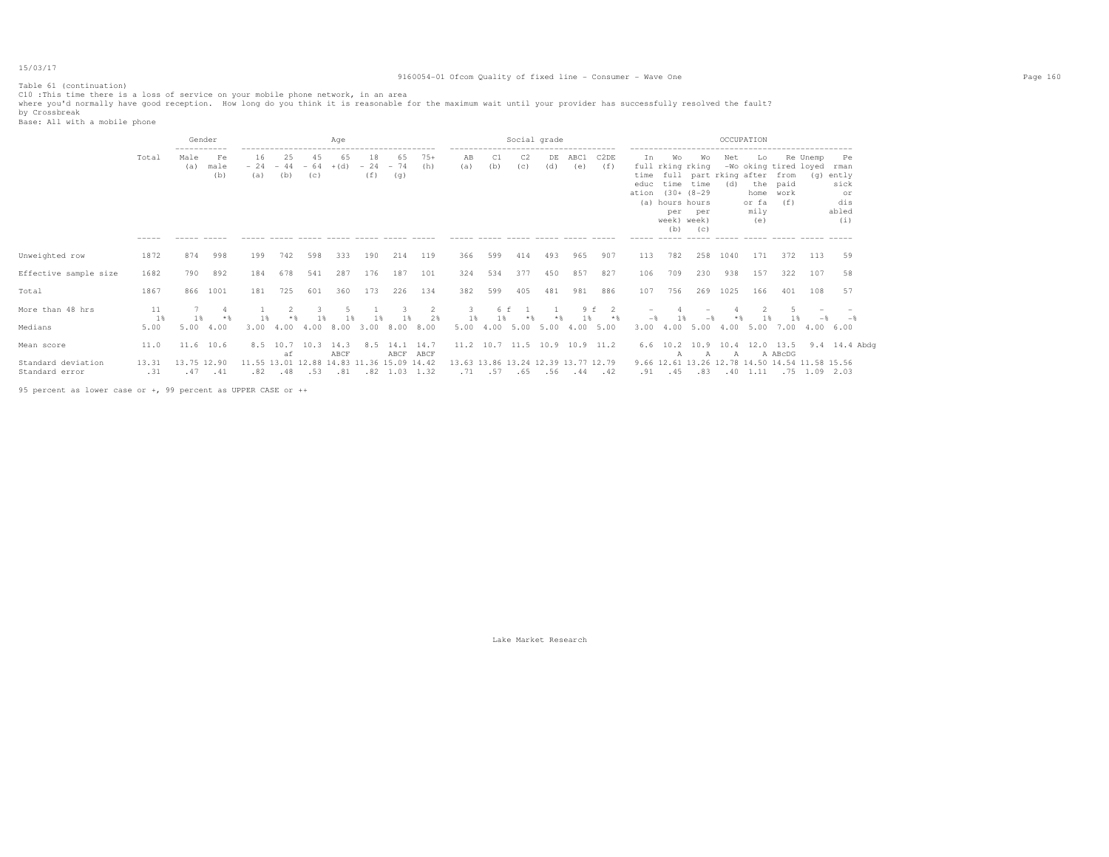# 9160054-01 Ofcom Quality of fixed line - Consumer - Wave One Page 160

Table 61 (continuation)

ClO :This time there is a loss of service on your mobile phone network, in an area<br>where you'd normally have good reception. How long do you think it is reasonable for the maximum wait until your provider has successfully

|                                      |                      | Gender<br>------------ |                   | Age<br>------------------------<br>--------------- |                                                                    |           |              |                         |                             |                 | ------------                        |                    | Social grade          |           |                               |                               |                                 | ------------------                                                                  |                                                | OCCUPATION         |                                    |                                                          | ------------------------ |                                                          |
|--------------------------------------|----------------------|------------------------|-------------------|----------------------------------------------------|--------------------------------------------------------------------|-----------|--------------|-------------------------|-----------------------------|-----------------|-------------------------------------|--------------------|-----------------------|-----------|-------------------------------|-------------------------------|---------------------------------|-------------------------------------------------------------------------------------|------------------------------------------------|--------------------|------------------------------------|----------------------------------------------------------|--------------------------|----------------------------------------------------------|
|                                      | Total<br>$- - - - -$ | Male<br>(a)            | Fe<br>male<br>(b) | 16<br>(a)                                          | 25<br>$-24 -44 -64$<br>(b)<br>------ ----- ----- ----- ----- ----- | 45<br>(C) | 65<br>$+(d)$ | 18<br>$-24 - 74$<br>(f) | 65<br>(q)                   | $75+$<br>(h)    | AB<br>(a)                           | C1<br>(b)          | C <sub>2</sub><br>(c) | DE<br>(d) | ABC1<br>(e)                   | C2DE<br>(f)                   | Ιn<br>educ<br>ation (30+ (8-29) | Wo<br>full rking rking<br>time time<br>(a) hours hours<br>per<br>week) week)<br>(b) | Wо<br>time full part rking after<br>per<br>(C) | Net<br>(d)         | Lo<br>home<br>or fa<br>mily<br>(e) | -Wo oking tired loyed<br>from<br>the paid<br>work<br>(f) | Re Unemp<br>(q)          | Pe<br>rman<br>ently<br>sick<br>or<br>dis<br>abled<br>(i) |
| Unweighted row                       | 1872                 | 874                    | 998               | 199                                                | 742                                                                | 598       | 333          | 190                     | 214                         | 119             | 366                                 | 599                | 414                   | 493       | 965                           | 907                           | 113                             | 782                                                                                 | 258                                            | 1040               | 171                                | 372                                                      | 113                      | 59                                                       |
| Effective sample size                | 1682                 | 790                    | 892               | 184                                                | 678                                                                | 541       | 287          | 176                     | 187                         | 101             | 324                                 | 534                | 377                   | 450       | 857                           | 827                           | 106                             | 709                                                                                 | 230                                            | 938                | 157                                | 322                                                      | 107                      | 58                                                       |
| Total                                | 1867                 | 866                    | 1001              | 181                                                | 725                                                                | 601       | 360          | 173                     | 226                         | 134             | 382                                 | 599                | 405                   | 481       | 981                           | 886                           | 107                             | 756                                                                                 | 269                                            | 1025               | 166                                | 401                                                      | 108                      | 57                                                       |
| More than 48 hrs<br>Medians          | 11<br>1 %<br>5.00    | 1 %<br>5.00            | 4.00              | 1 %<br>3.00                                        | 4.00                                                               | 4.00      | 8.00         | 3.00                    | $\mathcal{R}$<br>8.00       | 2<br>2%<br>8.00 | 3.<br>1%<br>5.00                    | 6 f<br>1 %<br>4.00 | 5.00                  | $*$       | 9f<br>5.00 4.00               | $\overline{2}$<br>$*$<br>5.00 | $-\frac{6}{5}$<br>3.00          | 4.00                                                                                | 5.004.00                                       |                    |                                    | 5.00 7.00                                                | 4.00 6.00                |                                                          |
| Mean score                           | 11.0                 | 11.6 10.6              |                   | 8.5                                                | 10.7<br>аf                                                         | 10.3      | 14.3<br>ABCF | 8.5                     | 14.1 14.7<br>ABCF ABCF      |                 |                                     |                    |                       |           | 11.2 10.7 11.5 10.9 10.9 11.2 |                               |                                 | А                                                                                   | $\mathbb{A}$                                   | A                  |                                    | A ABcDG                                                  |                          | 6.6 10.2 10.9 10.4 12.0 13.5 9.4 14.4 Abdq               |
| Standard deviation<br>Standard error | 13.31<br>.31         | 13.75 12.90<br>.47     | .41               | .82                                                | 11.55 13.01 12.88 14.83 11.36 15.09 14.42<br>.48                   | .53       | .81          |                         | $.82 \quad 1.03 \quad 1.32$ |                 | 13.63 13.86 13.24 12.39 13.77 12.79 | $.71 - .57$        | .65                   |           | .56 .44                       | .42                           | .91                             | .45                                                                                 | 9.66 12.61 13.26 12.78 14.50 14.54 11.58 15.56 | $.83$ $.40$ $1.11$ |                                    |                                                          | .75 1.09 2.03            |                                                          |

95 percent as lower case or +, 99 percent as UPPER CASE or ++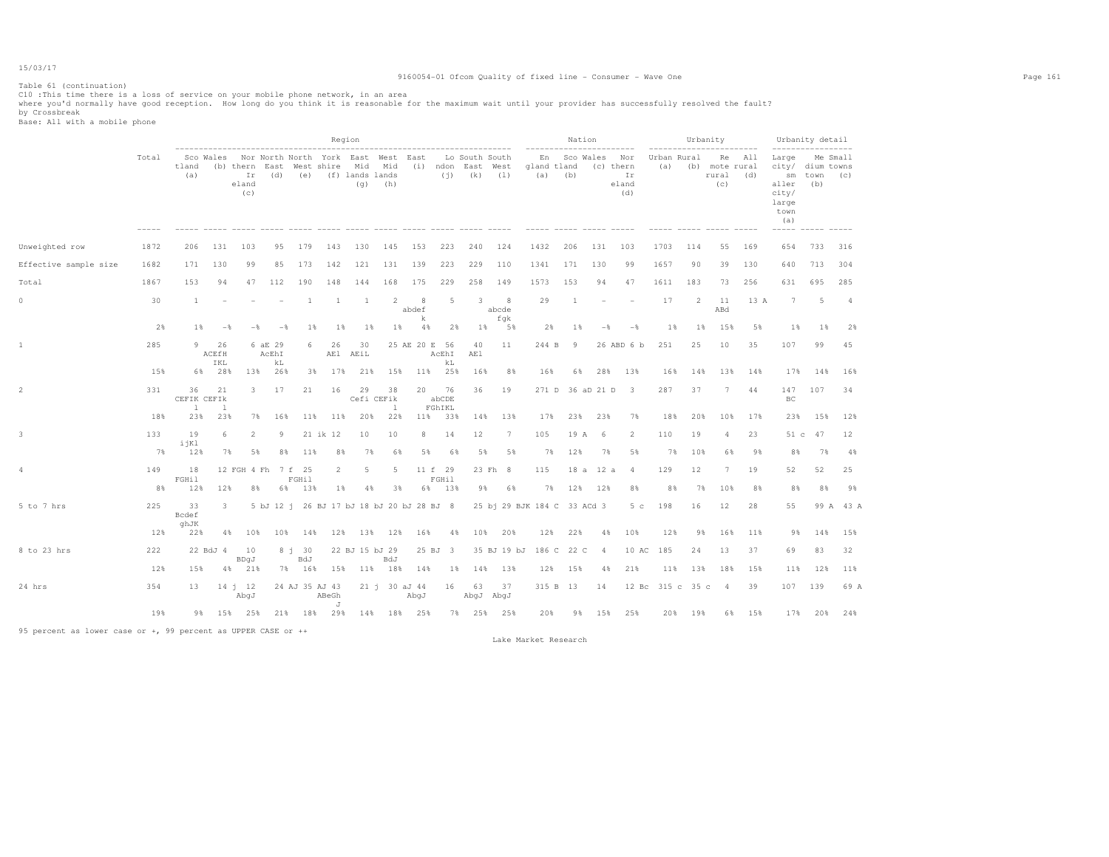# 9160054-01 Ofcom Quality of fixed line - Consumer - Wave One Page 161

Table 61 (continuation)

ClO :This time there is a loss of service on your mobile phone network, in an area<br>where you'd normally have good reception. How long do you think it is reasonable for the maximum wait until your provider has successfully

|                       |           |                    |                         |                                                                                                    |                  |                |                                           | Region           |           |                       |                                |                                     |                 |                             | Nation |                  |                                                                  |                    |          | Urbanity                           |                      |                                                                                                                           | Urbanity detail    |                |
|-----------------------|-----------|--------------------|-------------------------|----------------------------------------------------------------------------------------------------|------------------|----------------|-------------------------------------------|------------------|-----------|-----------------------|--------------------------------|-------------------------------------|-----------------|-----------------------------|--------|------------------|------------------------------------------------------------------|--------------------|----------|------------------------------------|----------------------|---------------------------------------------------------------------------------------------------------------------------|--------------------|----------------|
|                       | Total     | tland<br>(a)       |                         | Sco Wales Nor North North York East West East<br>(b) thern East West shire Mid Mid<br>eland<br>(C) |                  |                | Ir (d) (e) (f) lands lands                |                  | $(q)$ (h) |                       | (i) ndon East West gland tland | Lo South South<br>$(i)$ $(k)$ $(l)$ |                 | $(a)$ (b)                   |        |                  | ---------<br>En Sco Wales Nor<br>(c) thern<br>Ir<br>eland<br>(d) | Urban Rural<br>(a) |          | (b) mote rural<br>rural (d)<br>(c) | ----------<br>Re All | ------------------<br>Large Me Small<br>city/ dium towns<br>aller<br>city/<br>large<br>town<br>(a)<br>$- - - - - - - - -$ | sm town (c)<br>(b) |                |
| Unweighted row        | 1872      | 206                | 131                     | 103                                                                                                | 95               | 179            | 143                                       | 130              | 145       | 153                   | 223                            | 240                                 | 124             | 1432                        | 206    | 131              | 103                                                              | 1703               | 114      | 55                                 | 169                  | 654                                                                                                                       | 733                | 316            |
| Effective sample size | 1682      | 171                | 130                     | 99                                                                                                 | 85               | 173            | 142                                       | 121              | 131       | 139                   | 223                            | 229                                 | 110             | 1341                        | 171    | 130              | 99                                                               | 1657               | 90       | 39                                 | 130                  | 640                                                                                                                       | 713                | 304            |
| Total                 | 1867      | 153                | 94                      | 47                                                                                                 | 112              | 190            | 148                                       | 144              | 168       | 175                   | 229                            | 258                                 | 149             | 1573                        | 153    | 94               | 47                                                               | 1611               | 183      | 73                                 | 256                  | 631                                                                                                                       | 695                | 285            |
| 0                     | 30        | $\overline{1}$     |                         |                                                                                                    |                  | 1              | -1                                        | 1                | 2         | 8<br>abdef            | 5                              | 3                                   | 8<br>abcde      | 29                          | 1      |                  |                                                                  | 17                 | 2        | 11<br>ABd                          | 13 A                 | 7                                                                                                                         | 5                  | $\overline{4}$ |
|                       | 2%        | $1\%$              | $-$                     | $-$                                                                                                | $-$              | $1\%$          | $1\%$                                     | 1%               | $1\%$     | k<br>$4\%$            | 2%                             | 18                                  | fqk<br>5%       | 2%                          | 18     | $-$              | $-$                                                              | 1%                 | $1\%$    | 15%                                | 5%                   | 1%                                                                                                                        | 1%                 | 2%             |
|                       | 285       | 9                  | 26<br>ACEfH             |                                                                                                    | 6 aE 29<br>AcEhI | 6              | 26                                        | 30<br>AE1 AEiL   |           |                       | 25 AE 20 E 56<br>AcEhI         | 40<br>AE1                           | 11              | 244 B                       | 9      |                  | 26 ABD 6 b                                                       | 251                | 25       | 10                                 | 35                   | 107                                                                                                                       | 99                 | 45             |
|                       | 15%       |                    | IKL<br>6% 28%           | 13%                                                                                                | kL<br>26%        | 3%             | 17%                                       | 21%              | 15%       |                       | kL<br>11% 25%                  | 16%                                 | 8%              | 16%                         | 6%     | 28%              | 13%                                                              | 16%                | 14%      | 13%                                | 14%                  | 17%                                                                                                                       | 14%                | 16%            |
| $\overline{2}$        | 331       | 36<br>CEFIK CEFIK  | 21                      | $3 -$                                                                                              | 17               | 21             | 16                                        | 29<br>Cefi CEFik | 38        | 20                    | 76<br>abCDE                    | 36                                  | 19              |                             |        |                  | 271 D 36 aD 21 D 3                                               | 287                | 37       | 7                                  | 44                   | 147<br>BC                                                                                                                 | 107                | 34             |
|                       | 18%       | $\perp$<br>23%     | -1<br>23%               |                                                                                                    | 7% 16%           |                | 11% 11% 20%                               |                  | 1<br>22%  |                       | FGhIKL<br>11% 33%              | 14%                                 | 13%             | 17%                         | 23%    | 23%              | 7%                                                               | 18%                | 20%      | 10%                                | 17%                  | 23%                                                                                                                       | 15%                | 12%            |
| 3                     | 133       | 19<br>ijKl         | 6                       | $\mathfrak{D}$                                                                                     | 9                |                | 21 ik 12                                  | 10               | 10        | 8                     | 14                             | 12                                  | $7\phantom{.0}$ | 105                         | 19 A   | 6                | 2                                                                | 110                | 19       | 4                                  | 23                   | 51 c                                                                                                                      | 47                 | 12             |
|                       | 7%        | 12%                | 7%                      | 5%                                                                                                 | 8%               | 11%            | 8%                                        | 7%               | 6%        | 5%                    | 6%                             | 5%                                  | 5%              | 7%                          | 12%    | 7%               | 5%                                                               | 7%                 | 10%      | 6%                                 | 9%                   | 8%                                                                                                                        | 7%                 | 4%             |
| 4                     | 149<br>8% | 18<br>FGHil<br>12% | 12%                     | 12 FGH 4 Fh 7 f 25<br>8%                                                                           | 6%               | FGHil<br>13%   | $\overline{2}$<br>$1\%$                   | -5<br>4%         | 5<br>3%   | 6%                    | 11 f 29<br>FGHil<br>13%        | 98                                  | 23 Fh 8<br>6%   | 115<br>7%                   | 12%    | 18 a 12 a<br>12% | 4<br>8%                                                          | 129<br>8%          | 12<br>7% | 7<br>10%                           | 19<br>8%             | 52<br>8%                                                                                                                  | 52<br>8%           | 25<br>98       |
| 5 to 7 hrs            | 225       | 33<br>Bcdef        | $\overline{\mathbf{3}}$ |                                                                                                    |                  |                | 5 bJ 12 j 26 BJ 17 bJ 18 bJ 20 bJ 28 BJ 8 |                  |           |                       |                                |                                     |                 | 25 bj 29 BJK 184 C 33 ACd 3 |        |                  | 5 <sub>c</sub>                                                   | 198                | 16       | 12                                 | 28                   | 55                                                                                                                        |                    | 99 A 43 A      |
|                       | 12%       | ghJK<br>22%        |                         | 4%<br>10%                                                                                          | 10%              | 14%            |                                           | 12% 13% 12%      |           | 16%                   | 4%                             | 10%                                 | 20%             | 12%                         | 22%    | 4%               | 10%                                                              | 12%                | 9%       | 16%                                | 11%                  | 9%                                                                                                                        | 14%                | 15%            |
| 8 to 23 hrs           | 222       |                    | 22 BdJ 4                | 10<br>BDqJ                                                                                         |                  | $8j$ 30<br>BdJ |                                           | 22 BJ 15 bJ 29   | BdJ       |                       | 25 BJ 3                        |                                     | 35 BJ 19 bJ     | 186 C 22 C                  |        | 4                | 10 AC                                                            | 185                | 24       | 13                                 | 37                   | 69                                                                                                                        | 83                 | 32             |
|                       | 12%       | 15%                |                         | 4% 21%                                                                                             |                  | 7% 16%         |                                           | 15% 11% 18%      |           | 14%                   | 1%                             |                                     | 14% 13%         | 12%                         | 15%    | 4%               | 21%                                                              | 11%                | 13%      | 18%                                | 15%                  | 11%                                                                                                                       | 12%                | 11%            |
| 24 hrs                | 354       | 13                 |                         | 14 j 12<br>LpdA                                                                                    |                  |                | 24 AJ 35 AJ 43<br>ABeGh<br>J              |                  |           | 21 j 30 aJ 44<br>AbgJ | 16                             | 63                                  | 37<br>AbqJ AbqJ | 315 B 13                    |        | 14               |                                                                  | 12 Bc 315 c 35 c   |          | $\frac{4}{3}$                      | 39                   | 107                                                                                                                       | 139                | 69 A           |
|                       | 19%       | 98                 |                         | 15% 25%                                                                                            |                  |                | 21% 18% 29% 14% 18% 25%                   |                  |           |                       |                                | 7% 25% 25%                          |                 | 20%                         |        |                  | 9% 15% 25%                                                       |                    | 20% 19%  | 6%                                 | 15%                  | 17%                                                                                                                       | 20%                | 24%            |

95 percent as lower case or +, 99 percent as UPPER CASE or ++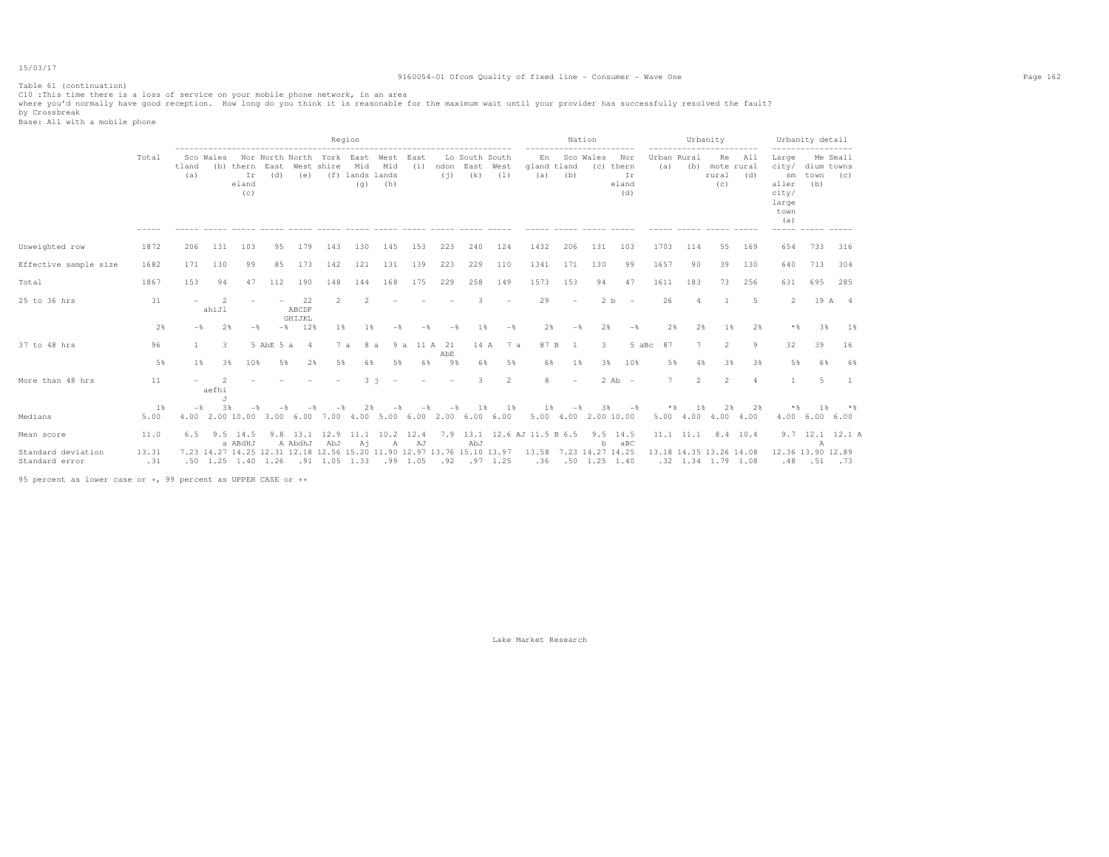# 9160054-01 Ofcom Quality of fixed line - Consumer - Wave One Page 162

Table 61 (continuation)

ClO :This time there is a loss of service on your mobile phone network, in an area<br>where you'd normally have good reception. How long do you think it is reasonable for the maximum wait until your provider has successfully

|                                      |               |              |             |                                 |             |                       |                                                                                                            | Region                        |                    |                |             |                                    |                |                             | Nation                                    |                |                                        |        |                                               | Urbanity                         |              |                                                                               | Urbanity detail           |                 |
|--------------------------------------|---------------|--------------|-------------|---------------------------------|-------------|-----------------------|------------------------------------------------------------------------------------------------------------|-------------------------------|--------------------|----------------|-------------|------------------------------------|----------------|-----------------------------|-------------------------------------------|----------------|----------------------------------------|--------|-----------------------------------------------|----------------------------------|--------------|-------------------------------------------------------------------------------|---------------------------|-----------------|
|                                      | Total         | tland<br>(a) | Sco Wales   | (b) thern<br>Ir<br>eland<br>(C) | East<br>(d) | (e)                   | Nor North North York East<br>West shire                                                                    | Mid<br>(f) lands lands<br>(q) | West<br>Mid<br>(h) | East<br>(i)    | ndon<br>(i) | Lo South South<br>East West<br>(k) | (1)            | En<br>gland tland<br>(a)    | (b)                                       | Sco Wales      | Nor<br>(c) thern<br>Ir<br>eland<br>(d) | (a)    | Urban Rural<br>(b)                            | Re<br>mote rural<br>rural<br>(C) | - All<br>(d) | Large<br>city/<br>sm<br>aller<br>city/<br>large<br>town<br>(a)<br>$- - - - -$ | dium towns<br>town<br>(b) | Me Small<br>(C) |
| Unweighted row                       | 1872          | 206          | 131         | 103                             | 95          | 179                   | 143                                                                                                        | 130                           | 145                | 153            | 223         | 240                                | 124            | 1432                        | 206                                       | 131            | 103                                    | 1703   | 114                                           | 55                               | 169          | 654                                                                           | 733                       | 316             |
| Effective sample size                | 1682          | 171          | 130         | 99                              | 85          | 173                   | 142                                                                                                        | 121                           | 131                | 139            | 223         | 229                                | 110            | 1341                        | 171                                       | 130            | 99                                     | 1657   | 90                                            | 39                               | 130          | 640                                                                           | 713                       | 304             |
| Total                                | 1867          | 153          | 94          | 47                              | 112         | 190                   | 148                                                                                                        | 144                           | 168                | 175            | 229         | 258                                | 149            | 1573                        | 153                                       | 94             | 47                                     | 1611   | 183                                           | 73                               | 256          | 631                                                                           | 695                       | 285             |
| 25 to 36 hrs                         | 31            |              | -2<br>ahiJl |                                 |             | 22<br>ABCDF           | $\mathfrak{D}$                                                                                             |                               |                    |                |             |                                    |                | 29                          | $\overline{\phantom{a}}$                  | 2 <sub>b</sub> | $\overline{\phantom{a}}$               | 26     |                                               |                                  | 5            | 2                                                                             |                           | 19 A 4          |
|                                      | 2%            | $-$ %        | 2%          | $-$                             | $-$ %       | GHIJKL<br>12%         | 1%                                                                                                         | 1%                            | $-$                | -*             |             | 18                                 | $-$            | 2%                          | $-$                                       | 2%             | $-$                                    | 2%     | 2%                                            | 1%                               | 2%           | $*$ %                                                                         | 3%                        | 18              |
| 37 to 48 hrs                         | 96            |              | 3.          |                                 | 5 AbE 5 a   | 4                     | 7a                                                                                                         | 8 a                           |                    | 9 a 11 A 21    | AbE         | 14 A                               | 7 a            | 87 B                        | $\overline{1}$                            | 3              | 5 aBc                                  | 87     |                                               | 2                                | 9            | 32                                                                            | 39                        | 16              |
|                                      | 5%            | 1            | 3%          | 10%                             | 5%          | 2%                    | 5%                                                                                                         | 6%                            | 5%                 | 6%             | 9%          | 6%                                 | 5%             | 6%                          | 1%                                        | 3%             | 10%                                    | 5%     | 4%                                            | 3%                               | 3%           | 5%                                                                            | 6%                        | 68              |
| More than 48 hrs                     | 11            |              | aefhi<br>J. |                                 |             |                       |                                                                                                            | $3 - i$                       |                    |                |             | 3                                  | $\overline{2}$ | 8                           | $\overline{\phantom{a}}$                  |                | $2$ Ab $-$                             | $\tau$ | $\overline{2}$                                | $\mathfrak{D}$                   | $\Delta$     |                                                                               | 5                         |                 |
| Medians                              | $1$ %<br>5.00 | $-$          | 3%          |                                 |             |                       | 4.00 2.00 10.00 3.00 6.00 7.00 4.00 5.00 6.00 2.00 6.00 6.00                                               |                               |                    |                | $-$         | 1 %                                | 1%             | $1\%$                       | $-$<br>5.00 4.00 2.00 10.00               | 38             | $-$                                    | * %    | 1 %<br>5.00 4.00 4.00 4.00                    | 2%                               | 2%           | **                                                                            | 1 &<br>4.00 6.00 6.00     |                 |
| Mean score                           | 11.0          |              |             | $6.5$ $9.5$ $14.5$<br>a ABdHJ   |             | $9.8$ 13.1<br>A AbdhJ | 12.9<br>AbJ                                                                                                |                               | 11.1 10.2 12.4     |                |             | AbJ                                |                | 7.9 13.1 12.6 AJ 11.5 B 6.5 |                                           |                | $9.5$ 14.5<br>aBC                      |        | 11.1 11.1 8.4 10.4                            |                                  |              |                                                                               |                           | 9.7 12.1 12.1 A |
| Standard deviation<br>Standard error | 13.31<br>.31  |              |             |                                 |             |                       | 7.23 14.27 14.25 12.31 12.18 12.56 15.20 11.90 12.97 13.76 15.10 13.97<br>.50 1.25 1.40 1.26 .91 1.05 1.33 | Ai                            | $\mathbb{A}$       | AJ<br>.99 1.05 |             | $.92$ $.97$ 1.25                   |                | 13.58                       | 7.23 14.27 14.25<br>$.36$ $.50$ 1.25 1.40 | b              |                                        |        | 13.18 14.35 13.26 14.08<br>.32 1.34 1.79 1.08 |                                  |              | 12.36 13.90 12.89<br>.48                                                      | А<br>.51                  | . 73            |

95 percent as lower case or +, 99 percent as UPPER CASE or ++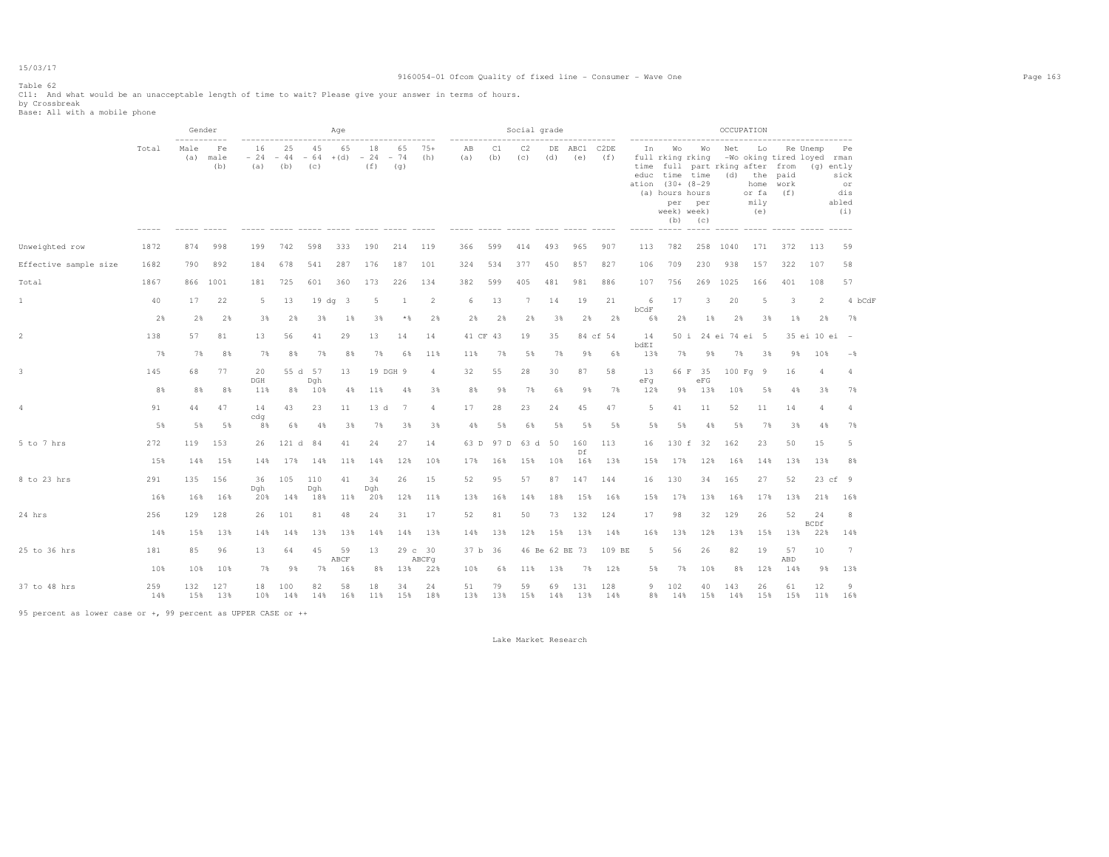# 9160054-01 Ofcom Quality of fixed line - Consumer - Wave One Page 163

# Table 62

Cll: And what would be an unacceptable length of time to wait? Please give your answer in terms of hours.<br>by Crossbreak<br>Base: All with a mobile phone

|                       |            | ------------ | Gender            |                        |            |                    | Age          |                    |                    |                  |           |           | Social grade |                |                     |            |                    |                                                                                                               |                  |                                          | OCCUPATION                                     |             |                                                       |                                         |  |
|-----------------------|------------|--------------|-------------------|------------------------|------------|--------------------|--------------|--------------------|--------------------|------------------|-----------|-----------|--------------|----------------|---------------------|------------|--------------------|---------------------------------------------------------------------------------------------------------------|------------------|------------------------------------------|------------------------------------------------|-------------|-------------------------------------------------------|-----------------------------------------|--|
|                       | Total      | Male<br>(a)  | Fe<br>male<br>(b) | 16<br>$-24 -44$<br>(a) | 25<br>(b)  | 45<br>$-64$<br>(C) | 65<br>$+(d)$ | 18<br>$-24$<br>(f) | 65<br>$-74$<br>(q) | $75+$<br>(h)     | AB<br>(a) | C1<br>(b) | C2<br>(c)    | (d)            | DE ABC1 C2DE<br>(e) | (f)        | In<br>time         | Wo<br>full rking rking<br>educ time time<br>ation (30+ (8-29)<br>(a) hours hours<br>per<br>week) week)<br>(b) | Wo<br>per<br>(c) | Net<br>full part rking after from<br>(d) | Lo<br>the paid<br>home<br>or fa<br>mily<br>(e) | work<br>(f) | Re Unemp<br>-Wo oking tired loyed rman<br>$(q)$ ently | Pe<br>sick<br>or<br>dis<br>abled<br>(i) |  |
| Unweighted row        | 1872       | 874          | 998               | 199                    | 742        | 598                | 333          | 190                | 214                | 119              | 366       | 599       | 414          | 493            | 965                 | 907        | 113                | 782                                                                                                           | 258              | 1040                                     | 171                                            | 372         | 113                                                   | 59                                      |  |
| Effective sample size | 1682       | 790          | 892               | 184                    | 678        | 541                | 287          | 176                | 187                | 101              | 324       | 534       | 377          | 450            | 857                 | 827        | 106                | 709                                                                                                           | 230              | 938                                      | 157                                            | 322         | 107                                                   | 58                                      |  |
| Total                 | 1867       | 866          | 1001              | 181                    | 725        | 601                | 360          | 173                | 226                | 134              | 382       | 599       | 405          | 481            | 981                 | 886        | 107                | 756                                                                                                           | 269              | 1025                                     | 166                                            | 401         | 108                                                   | 57                                      |  |
| 1                     | 40         | 17           | 22                | 5                      | 13         |                    | 19 dg 3      | 5                  |                    | $\overline{2}$   | 6         | 13        | 7            | 14             | 19                  | 21         | 6                  | 17                                                                                                            | 3                | 20                                       | 5                                              | 3           | $\overline{2}$                                        | 4 bCdF                                  |  |
|                       | 2%         | 2%           | 2%                | 3%                     | 2%         | 3%                 | $1\%$        | 3%                 | $*$ &              | 2%               | 2%        | 2%        | 2%           | 3%             | 2%                  | 2%         | bcdF<br>6%         | 2%                                                                                                            | 1%               | 2%                                       | 3%                                             | $1\%$       | 2%                                                    | 7%                                      |  |
|                       | 138        | 57           | 81                | 13                     | 56         | 41                 | 29           | 13                 | 14                 | 14               |           | 41 CF 43  | 19           | 35             |                     | 84 cf 54   | 14                 | 50 i                                                                                                          |                  | 24 ei 74 ei 5                            |                                                |             | 35 ei 10 ei -                                         |                                         |  |
|                       | 7%         | 7%           | 8%                | 7%                     | 8%         | 7%                 | 8%           | 7%                 | 6%                 | 11%              | 11%       | 7%        | 5%           | 7%             | 9%                  | 6%         | <b>bdEI</b><br>13% | 7%                                                                                                            | 98               | 7%                                       | 3%                                             | 98          | 10%                                                   | $-$ 8                                   |  |
|                       | 145        | 68           | 77                | 20<br>DGH              |            | 55 d 57            | 13           |                    | 19 DGH 9           | $\overline{4}$   | 32        | 55        | 28           | 30             | 87                  | 58         | 13                 |                                                                                                               | 66 F 35<br>eFG   |                                          | 100 Fg 9                                       | 16          | $\overline{4}$                                        | $\overline{4}$                          |  |
|                       | 8%         | 8%           | 8%                | 11%                    | 8%         | Dqh<br>10%         | 4%           | 11%                | 4%                 | 3%               | 8%        | 9%        | 7%           | 6%             | 9%                  | 7%         | eFq<br>12%         | 98                                                                                                            | 13%              | 10%                                      | 5%                                             | 4%          | 3%                                                    | 7%                                      |  |
| 4                     | 91         | 44           | 47                | 14                     | 43         | 23                 | 11           | 13 d               | 7                  | 4                | 17        | 28        | 23           | 24             | 45                  | 47         | 5                  | 41                                                                                                            | 11               | 52                                       | 11                                             | 14          | 4                                                     | $\overline{4}$                          |  |
|                       | 5%         | 5%           | 5%                | cdg<br>8%              | 6%         | 4%                 | 3%           | 7%                 | 3%                 | 3%               | 4%        | 5%        | 6%           | 5%             | 5%                  | 5%         | 5%                 | 5%                                                                                                            | 4%               | 5%                                       | 7%                                             | 3%          | 4%                                                    | 7%                                      |  |
| 5 to 7 hrs            | 272        | 119          | 153               | 26                     | 121 d      | 84                 | 41           | 24                 | 27                 | 14               | 63 D      | 97 D      | 63 d         | 50             | 160<br>Df           | 113        | 16                 | 130 f                                                                                                         | 32               | 162                                      | 23                                             | 50          | 15                                                    | 5                                       |  |
|                       | 15%        | 14%          | 15%               | 14%                    | 17%        | 14%                | 11%          | 14%                | 12%                | 10%              | 17%       | 16%       | 15%          | 10%            | 16%                 | 13%        | 15%                | 17%                                                                                                           | 12%              | 16%                                      | 14%                                            | 13%         | 13%                                                   | 8%                                      |  |
| 8 to 23 hrs           | 291        | 135          | 156               | 36<br>Dqh              | 105        | 110<br>Dqh         | 41           | 34<br>Dqh          | 26                 | 15               | 52        | 95        | 57           |                | 87 147              | 144        | 16                 | 130                                                                                                           | 34               | 165                                      | 27                                             | 52          |                                                       | 23 cf 9                                 |  |
|                       | 16%        | 16%          | 16%               | 20%                    | 14%        | 18%                | 11%          | 20%                | 12%                | 11%              | 13%       | 16%       | 14%          | 18%            | 15%                 | 16%        | 15%                | 17%                                                                                                           | 13%              | 16%                                      | 17%                                            | 13%         | 21%                                                   | 16%                                     |  |
| 24 hrs                | 256        | 129          | 128               | 26                     | 101        | 81                 | 48           | 24                 | 31                 | 17               | 52        | 81        | 50           | 73             | 132                 | 124        | 17                 | 98                                                                                                            | 32               | 129                                      | 26                                             | 52          | 24<br><b>BCDf</b>                                     | 8                                       |  |
|                       | 14%        | 15%          | 13%               | 14%                    | 14%        | 13%                | 13%          | 14%                | 14%                | 13%              | 14%       | 13%       | 12%          | 15%            | 13%                 | 14%        | 16%                | 13%                                                                                                           | 12%              | 13%                                      | 15%                                            | 13%         | 22%                                                   | 14%                                     |  |
| 25 to 36 hrs          | 181        | 85           | 96                | 13                     | 64         | 45                 | 59<br>ABCF   | 13                 |                    | 29 c 30<br>ABCFq | 37 b 36   |           |              | 46 Be 62 BE 73 |                     | 109 BE     | 5                  | 56                                                                                                            | 26               | 82                                       | 19                                             | 57<br>ABD   | 10                                                    | $7\phantom{.0}$                         |  |
|                       | 10%        | 10%          | 10%               | 7%                     | 9%         | 7%                 | 16%          | 8%                 | 13%                | 22%              | 10%       | 6%        | 11%          | 13%            | 7%                  | 12%        | 5%                 | 7%                                                                                                            | 10%              | 8%                                       | 12%                                            | 14%         | 9%                                                    | 13%                                     |  |
| 37 to 48 hrs          | 259<br>14% | 132<br>15%   | 127<br>13%        | 18<br>10%              | 100<br>14% | 82<br>14%          | 58<br>16%    | 18<br>11%          | 34<br>15%          | 24<br>18%        | 51<br>13% | 79<br>13% | 59<br>15%    | 69             | 131<br>14% 13%      | 128<br>14% | 9<br>8%            | 102<br>14%                                                                                                    | 40<br>15%        | 143<br>14%                               | 26<br>15%                                      | 61<br>15%   | 12<br>11%                                             | 9<br>16%                                |  |
|                       |            |              |                   |                        |            |                    |              |                    |                    |                  |           |           |              |                |                     |            |                    |                                                                                                               |                  |                                          |                                                |             |                                                       |                                         |  |

95 percent as lower case or +, 99 percent as UPPER CASE or ++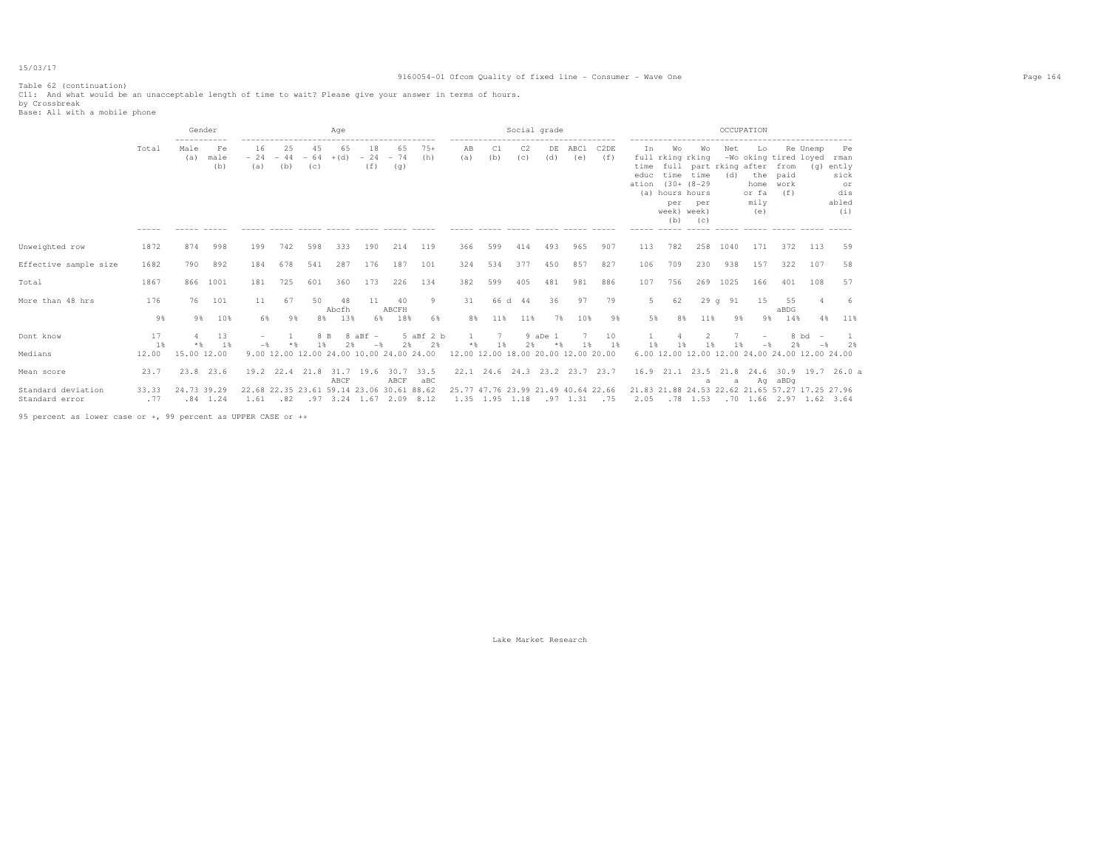# 9160054-01 Ofcom Quality of fixed line - Consumer - Wave One Page 164

|                       |          | Gender      |                   |                                           |                                      |                    | Aqe          |                                          |                    |                 |                                     |           | Social grade |                  |                               |                          |                             |                                                                                                   |                                                   |            | OCCUPATION                                |                                                           |                   |                                                      |
|-----------------------|----------|-------------|-------------------|-------------------------------------------|--------------------------------------|--------------------|--------------|------------------------------------------|--------------------|-----------------|-------------------------------------|-----------|--------------|------------------|-------------------------------|--------------------------|-----------------------------|---------------------------------------------------------------------------------------------------|---------------------------------------------------|------------|-------------------------------------------|-----------------------------------------------------------|-------------------|------------------------------------------------------|
|                       | Total    | Male<br>(a) | Fe<br>male<br>(b) | 16<br>$-24$<br>(a)                        | 25<br>44<br>$\qquad \qquad -$<br>(b) | 45<br>$-64$<br>(C) | 65<br>$+(d)$ | 18<br>$-24$<br>(f)                       | 65<br>$-74$<br>(g) | $75+$<br>(h)    | ΆB<br>(a)                           | C1<br>(b) | C2<br>(C)    | DE<br>(d)        | ABC1<br>(e)                   | C <sub>2</sub> DE<br>(f) | In<br>time<br>educ<br>ation | W∩<br>full rking rking<br>time<br>$(30 + (8 - 29$<br>(a) hours hours<br>per<br>week) week)<br>(b) | Wo<br>full part rking after<br>time<br>per<br>(C) | Net<br>(d) | Lo<br>the<br>home<br>or fa<br>mily<br>(e) | -Wo oking tired loyed rman<br>from<br>paid<br>work<br>(f) | Re Unemp          | Pe<br>(g) ently<br>sick<br>or<br>dis<br>abled<br>(i) |
|                       |          |             |                   |                                           |                                      |                    |              |                                          |                    |                 |                                     |           |              |                  |                               |                          |                             |                                                                                                   |                                                   |            |                                           |                                                           |                   |                                                      |
| Unweighted row        | 1872     | 874         | 998               | 199                                       | 742                                  | 598                | 333          | 190                                      | 214                | 119             | 366                                 | 599       | 414          | 493              | 965                           | 907                      | 113                         | 782                                                                                               | 258                                               | 1040       | 171                                       | 372                                                       | 113               | 59                                                   |
| Effective sample size | 1682     | 790         | 892               | 184                                       | 678                                  | 541                | 287          | 176                                      | 187                | 101             | 324                                 | 534       | 377          | 450              | 857                           | 827                      | 106                         | 709                                                                                               | 230                                               | 938        | 157                                       | 322                                                       | 107               | 58                                                   |
| Total                 | 1867     | 866         | 1001              | 181                                       | 725                                  | 601                | 360          | 173                                      | 226                | 134             | 382                                 | 599       | 405          | 481              | 981                           | 886                      | 107                         | 756                                                                                               | 269                                               | 1025       | 166                                       | 401                                                       | 108               | 57                                                   |
| More than 48 hrs      | 176      | 76          | 101               | 11                                        | 67                                   | 50                 | 48<br>Abcfh  | 11                                       | 40<br>ABCFH        | 9               | 31                                  |           | 66 d 44      | 36               | 97                            | 79                       | 5                           | 62                                                                                                |                                                   | 29q91      | 15                                        | 55<br>aBDG                                                |                   |                                                      |
|                       | 9%       | 9%          | 10%               | 6%                                        | 9%                                   | 8%                 | 13%          | 6%                                       | 18%                | 6%              | 8%                                  | 11%       | 11%          | 7%               | 10%                           | 9%                       | 5%                          | 8%                                                                                                | 11%                                               | 9%         | 9%                                        | 14%                                                       | 4%                | 11%                                                  |
| Dont know             | 17<br>1% | $*$ &       | 13<br>- 1 %       |                                           |                                      | 8 B                |              | $8$ aBf $-$<br>$-$                       | 2%                 | 5 aBf 2 b<br>2% |                                     | 7<br>1 %  | 2%           | 9 aDe 1<br>$*$ & | 1 %                           | 10<br>1 %                | 1 %                         |                                                                                                   | 1%                                                | 1 %        | $-$                                       | $2$ $\%$                                                  | $8$ bd $-$<br>$-$ | つみ                                                   |
| Medians               | 12.00    | 15.00 12.00 |                   |                                           |                                      |                    |              | 9.00 12.00 12.00 24.00 10.00 24.00 24.00 |                    |                 | 12.00 12.00 18.00 20.00 12.00 20.00 |           |              |                  |                               |                          |                             |                                                                                                   |                                                   |            |                                           | 6.00 12.00 12.00 12.00 24.00 24.00 12.00 24.00            |                   |                                                      |
| Mean score            | 23.7     | 23.8 23.6   |                   | 19.2                                      | 22.4 21.8                            |                    | 31.7<br>ABCF | 19.6                                     | 30.7<br>ABCF       | 33.5<br>aBC     |                                     |           |              |                  | 22.1 24.6 24.3 23.2 23.7 23.7 |                          | 16.9                        | 21.1                                                                                              | a                                                 | а          |                                           | Ag aBDg                                                   |                   | 23.5 21.8 24.6 30.9 19.7 26.0 a                      |
| Standard deviation    | 33.33    | 24.73 39.29 |                   | 22.68 22.35 23.61 59.14 23.06 30.61 88.62 |                                      |                    |              |                                          |                    |                 | 25.77 47.76 23.99 21.49 40.64 22.66 |           |              |                  |                               |                          |                             |                                                                                                   |                                                   |            |                                           | 21.83 21.88 24.53 22.62 21.65 57.27 17.25 27.96           |                   |                                                      |
| Standard error        | .77      |             | $.84$ 1.24        | 1.61 .82 .97 3.24 1.67 2.09 8.12          |                                      |                    |              |                                          |                    |                 | 1.35 1.95 1.18 .97 1.31 .75         |           |              |                  |                               |                          |                             |                                                                                                   |                                                   |            |                                           | 2.05 .78 1.53 .70 1.66 2.97 1.62 3.64                     |                   |                                                      |

95 percent as lower case or +, 99 percent as UPPER CASE or ++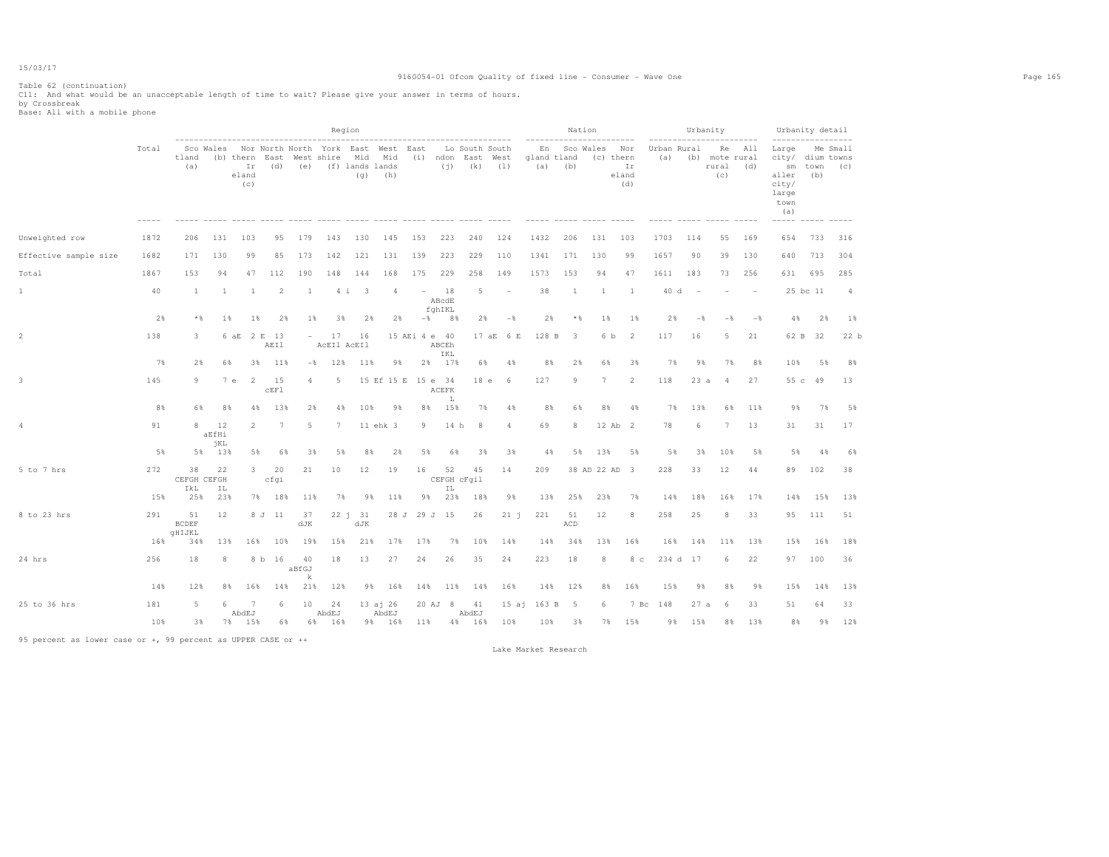# 9160054-01 Ofcom Quality of fixed line - Consumer - Wave One Page 165

Table 62 (continuation) C11: And what would be an unacceptable length of time to wait? Please give your answer in terms of hours. by Crossbreak Base: All with a mobile phone

|                       |       |                              |                    |                    |                                  |                          |                   | Region                                                                                 |                    |               |                       |                   |                                                     |                |                          | Nation           |               |                           |                    |                | Urbanity                             |                |                                                                           | Urbanity detail |                 |
|-----------------------|-------|------------------------------|--------------------|--------------------|----------------------------------|--------------------------|-------------------|----------------------------------------------------------------------------------------|--------------------|---------------|-----------------------|-------------------|-----------------------------------------------------|----------------|--------------------------|------------------|---------------|---------------------------|--------------------|----------------|--------------------------------------|----------------|---------------------------------------------------------------------------|-----------------|-----------------|
|                       | Total | tland<br>(a)                 |                    | Ir<br>eland<br>(c) | (b) thern East West shire<br>(d) |                          |                   | Sco Wales Nor North North York East West East<br>Mid Mid<br>(e) (f) lands lands<br>(q) | (h)                |               | (i)                   |                   | Lo South South<br>(i) ndon East West<br>$(k)$ $(1)$ |                | En<br>gland tland<br>(a) | Sco Wales<br>(b) | (c) thern     | Nor<br>Ir<br>eland<br>(d) | Urban Rural<br>(a) |                | Re<br>(b) mote rural<br>rural<br>(C) | All<br>(d)     | Large<br>city/ dium towns<br>sm<br>aller<br>city/<br>large<br>town<br>(a) | town<br>(b)     | Me Small<br>(C) |
| Unweighted row        | 1872  | 206                          | 131                | 103                | 95                               | 179                      | 143               | 130                                                                                    | 145                | 153           | 223                   | 240               | 124                                                 |                | 1432                     | 206              | 131           | 103                       | 1703               | 114            | 55                                   | 169            | 654                                                                       | 733             | 316             |
| Effective sample size | 1682  | 171                          | 130                | 99                 | 85                               | 173                      | 142               | 121                                                                                    | 131                | 139           | 223                   | 229               | 110                                                 |                | 1341                     | 171              | 130           | 99                        | 1657               | 90             | 39                                   | 130            | 640                                                                       | 713             | 304             |
| Total                 | 1867  | 153                          | 94                 | 47                 | 112                              | 190                      | 148               | 144                                                                                    | 168                | 175           | 229                   | 258               | 149                                                 |                | 1573                     | 153              | 94            | 47                        | 1611               | 183            | 73                                   | 256            | 631                                                                       | 695             | 285             |
| $\mathbf{1}$          | 40    | <sup>1</sup>                 | -1                 | -1                 | 2                                | -1                       | 4i                | $\overline{\phantom{a}}$                                                               | $\overline{4}$     | $\sim$        | 18<br>ABcdE<br>fghIKL | 5                 | $\overline{\phantom{a}}$                            |                | 38                       | 1                | <sup>1</sup>  | -1                        | 40 d               | $\sim$         |                                      | $\sim$         |                                                                           | 25 bc 11        | $\overline{4}$  |
|                       | 2%    | * %                          | $1\%$              | 1%                 | 2%                               | 1%                       | 3%                | 2%                                                                                     | 2%                 |               | $-$ % 8 %             | 2%                |                                                     | $-\frac{6}{5}$ | 2%                       | * %              | $1\%$         | 1%                        | 2%                 | $-\frac{6}{5}$ | $-$ %                                | $-\frac{6}{2}$ | 4%                                                                        | 2%              | $1\%$           |
| $\overline{2}$        | 138   | 3                            |                    | 6 aE 2 E 13        | AEI1                             | $\overline{\phantom{0}}$ | 17<br>ACEI1 ACEI1 | 16                                                                                     |                    | 15 AEi 4 e 40 | ABCEh<br>IKL          |                   | 17 aE 6 E                                           |                | 128 B                    | 3                | 6 b           | -2                        | 117                | 16             | 5                                    | 21             | 62 B                                                                      | - 32            | 22 b            |
|                       | 7%    | 2%                           | 6%                 | 3%                 | 11%                              | $-$ %                    | 12%               | 11%                                                                                    | 9%                 | 2%            | 17%                   | 6%                | 4%                                                  |                | 8%                       | 2%               | 6%            | 3%                        | 7%                 | 9%             | 7%                                   | 8%             | 10%                                                                       | 5%              | 8%              |
| 3                     | 145   | 9                            |                    | 7e<br>-2           | 15<br>CEF1                       | 4                        | 5                 |                                                                                        | 15 Ef 15 E 15 e 34 |               | ACEFK                 | 18 e              | 6                                                   |                | 127                      | $\overline{9}$   | 7             | $\overline{2}$            | 118                | 23a            | 4                                    | 27             | 55c                                                                       | 49              | 13              |
|                       | 8%    | 6%                           | 8%                 | 4%                 | 13%                              | 2%                       | 4%                | 10%                                                                                    | 98                 | 8%            | L<br>15%              | 7%                | 4%                                                  |                | 8%                       | 6%               | 8%            | 4%                        | 7%                 | 13%            | 6%                                   | 11%            | 9%                                                                        | 7%              | 5%              |
| 4                     | 91    | 8                            | 12<br>aEfHi<br>jKL | $\overline{2}$     | 7                                | 5                        | $7\phantom{.0}$   |                                                                                        | 11 ehk 3           | 9             | 14 h                  | 8                 | 4                                                   |                | 69                       | 8                | 12 Ab 2       |                           | 78                 | 6              | 7                                    | 13             | 31                                                                        | 31              | 17              |
|                       | 5%    | 5%                           | 13%                | 5%                 | 6%                               | 3%                       | 5%                | 8%                                                                                     | 2%                 | 5%            | 6%                    | 3%                |                                                     | 3%             | 4%                       | 5%               | 13%           | 5%                        | 5%                 | 3%             | 10%                                  | 5%             | 5%                                                                        | 4%              | 6%              |
| 5 to 7 hrs            | 272   | 38<br>CEFGH CEFGH<br>IkL     | 22<br>ΙL           | $3 -$              | 20<br>cfqi                       | 21                       | 10                | 12                                                                                     | 19                 | 16            | 52<br>ΙL              | 45<br>CEFGH cFqil | 14                                                  |                | 209                      |                  | 38 AD 22 AD 3 |                           | 228                | 33             | 12                                   | 44             | 89                                                                        | 102             | 38              |
|                       | 15%   | 25%                          | 23%                |                    | 7% 18%                           | 11%                      | 7%                | 9%                                                                                     | 11%                | 98            | 23%                   | 18%               | 9%                                                  |                | 13%                      | 25%              | 23%           | 7%                        | 14%                | 18%            | 16%                                  | 17%            | 14%                                                                       | 15%             | 13%             |
| 8 to 23 hrs           | 291   | 51<br><b>BCDEF</b><br>qHIJKL | 12                 |                    | 8 J 11                           | 37<br>dJK                |                   | 22 j 31<br>dJK                                                                         |                    | 28 J 29 J 15  |                       | 26                | $21 - i$                                            |                | 221                      | 51<br>ACD        | 12            | 8                         | 258                | 25             | 8                                    | 33             | 95                                                                        | 111             | 51              |
|                       | 16%   | 34%                          | 13%                | 16%                | 10%                              | 19%                      | 15%               | 21%                                                                                    | 17%                | 17%           | 7%                    | 10%               | 14%                                                 |                | 14%                      | 34%              | 13%           | 16%                       | 16%                | 14%            | 11%                                  | 13%            | 15%                                                                       | 16%             | 18%             |
| 24 hrs                | 256   | 18                           | 8                  |                    | 8 b 16                           | 40<br>aBfGJ<br>k         | 18                | 13                                                                                     | 27                 | 24            | 26                    | 35                | 24                                                  |                | 223                      | 18               | 8             | 8 <sub>c</sub>            |                    | 234 d 17       | 6                                    | 22             |                                                                           | 97 100          | 36              |
|                       | 14%   | 12%                          | 8%                 | 16%                | 14%                              | 21%                      | 12%               | 9%                                                                                     | 16%                | 14%           | 11%                   | 14%               | 16%                                                 |                | 14%                      | 12%              | 8%            | 16%                       | 15%                | 98             | 8%                                   | 9%             | 15%                                                                       | 14%             | 13%             |
| 25 to 36 hrs          | 181   | 5                            | 6                  | 7<br>AbdEJ         | 6                                | 10                       | 24<br>AbdEJ       |                                                                                        | 13 aj 26<br>AbdEJ  |               | 20 AJ 8               | 41<br>AbdEJ       |                                                     |                | 15 aj 163 B              | -5               | 6             | 7 Bc                      | 148                | 27a            | 6                                    | 33             | 51                                                                        | 64              | 33              |
|                       | 10%   | 3%                           | 7%                 | 15%                | 6%                               |                          | 6% 16%            |                                                                                        | 9% 16%             | 11%           |                       | 4% 16%            | 10%                                                 |                | 10%                      | 3%               | 7%            | 15%                       | 9%                 | 15%            | 8%                                   | 13%            | 8%                                                                        | 9%              | 12%             |

95 percent as lower case or +, 99 percent as UPPER CASE or ++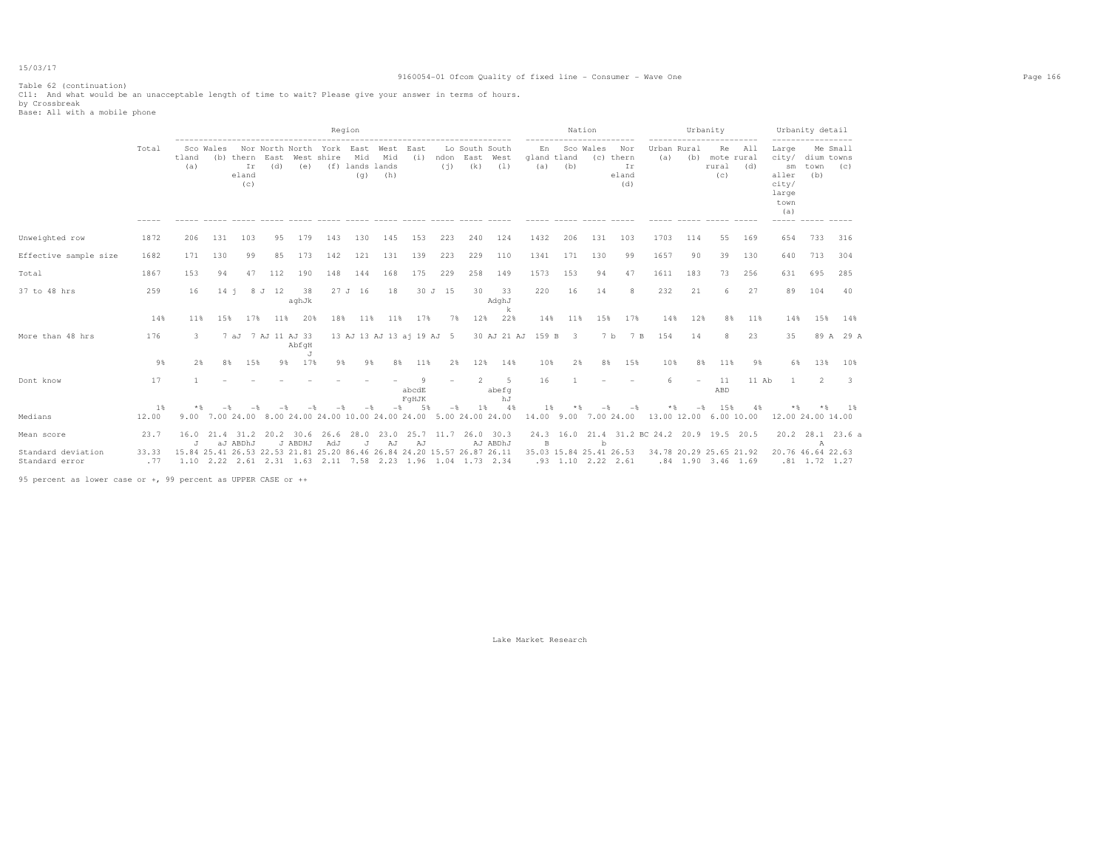# 9160054-01 Ofcom Quality of fixed line - Consumer - Wave One Page 166

Table 62 (continuation) C11: And what would be an unacceptable length of time to wait? Please give your answer in terms of hours. by Crossbreak Base: All with a mobile phone

|                                      |                |                                                                         |           |                    |                       |             |                                                                     | Region                        |            |                           |         |                                         |                         |                                |           | Nation                                          |                                        |                        |             | Urbanity                                        | ---------  |                                                       | Urbanity detail                             |           |
|--------------------------------------|----------------|-------------------------------------------------------------------------|-----------|--------------------|-----------------------|-------------|---------------------------------------------------------------------|-------------------------------|------------|---------------------------|---------|-----------------------------------------|-------------------------|--------------------------------|-----------|-------------------------------------------------|----------------------------------------|------------------------|-------------|-------------------------------------------------|------------|-------------------------------------------------------|---------------------------------------------|-----------|
|                                      | Total          | tland<br>(a)                                                            | Sco Wales | Ir<br>eland<br>(c) | (b) thern East<br>(d) | (e)         | Nor North North York East West<br>West shire                        | Mid<br>(f) lands lands<br>(q) | Mid<br>(h) | East<br>(i)               | (i)     | Lo South South<br>ndon East West<br>(k) | (1)                     | gland tland<br>(a)             | (b)       | En Sco Wales                                    | Nor<br>(c) thern<br>Ir<br>eland<br>(d) | (a)                    | Urban Rural | Re<br>(b) mote rural<br>rural<br>(C)            | All<br>(d) | Large<br>sm<br>aller<br>city/<br>large<br>town<br>(a) | Me Small<br>city/ dium towns<br>town<br>(b) | (C)       |
| Unweighted row                       | 1872           | 206                                                                     | 131       | 103                | 95                    | 179         | 143                                                                 | 130                           | 145        | 153                       | 223     | 240                                     | 124                     | 1432                           | 206       | 131                                             | 103                                    | 1703                   | 114         | 55                                              | 169        | 654                                                   | 733                                         | 316       |
| Effective sample size                | 1682           | 171                                                                     | 130       | 99                 | 85                    | 173         | 142                                                                 | 121                           | 131        | 139                       | 223     | 229                                     | 110                     | 1341                           | 171       | 130                                             | 99                                     | 1657                   | 90          | 39                                              | 130        | 640                                                   | 713                                         | 304       |
| Total                                | 1867           | 153                                                                     | 94        | 47                 | 112                   | 190         | 148                                                                 | 144                           | 168        | 175                       | 229     | 258                                     | 149                     | 1573                           | 153       | 94                                              | 47                                     | 1611                   | 183         | 73                                              | 256        | 631                                                   | 695                                         | 285       |
| 37 to 48 hrs                         | 259            | 16                                                                      | $14 - 1$  |                    | 8 J 12                | 38<br>aghJk |                                                                     | 27 J 16                       | 18         |                           | 30 J 15 | 30                                      | 33<br>AdghJ<br>k        | 220                            | 16        | 14                                              | 8                                      | 232                    | 21          | 6                                               | 27         | 89                                                    | 104                                         | 40        |
|                                      | 14%            | 11%                                                                     | 15%       | 17%                | 11%                   | 20%         | 18%                                                                 | 11%                           | 11%        | 17%                       | 7%      | 12%                                     | 22%                     | 14%                            | 11%       | 15%                                             | 17%                                    | 14%                    | 12%         | 8%                                              | 11%        | 14%                                                   | 15%                                         | 14%       |
| More than 48 hrs                     | 176            | 3.                                                                      |           |                    | 7 aJ 7 AJ 11 AJ 33    | AbfqH<br>J  |                                                                     |                               |            | 13 AJ 13 AJ 13 aj 19 AJ 5 |         |                                         | 30 AJ 21 AJ 159 B 3     |                                |           | 7 b                                             | 7 B                                    | 154                    | 14          | 8                                               | 23         | 35                                                    |                                             | 89 A 29 A |
|                                      | 9%             | 2%                                                                      | 8%        | 15%                |                       | 17%<br>98.  | 9%                                                                  | 9%                            | 8%         | 11%                       | 2%      | 12%                                     | 14%                     | 10%                            | 2%        | 8%                                              | 15%                                    | 10%                    | 8%          | 11%                                             | 9%         | 6%                                                    | 13%                                         | 10%       |
| Dont know                            | 17             |                                                                         |           |                    |                       |             |                                                                     |                               |            | -9<br>abcdE<br>FqHJK      |         | 2                                       | - 5<br>abefq<br>hJ      | 16                             |           |                                                 |                                        | 6.                     |             | 11<br>ABD                                       | $11$ Ab    |                                                       | 2                                           | -3        |
| Medians                              | $1\%$<br>12.00 |                                                                         |           |                    |                       |             | 9.00 7.00 24.00 8.00 24.00 24.00 10.00 24.00 24.00 5.00 24.00 24.00 |                               | $-$        | 5%                        | $-$     | 1 %                                     | 4%                      | $1\%$<br>14.00 9.00 7.00 24.00 | $*$       |                                                 |                                        | 13.00 12.00 6.00 10.00 | $-$         | 1.5%                                            | 4%         | $*$                                                   | $*$<br>12.00 24.00 14.00                    | - 1 %     |
| Mean score                           | 23.7           | 16.0<br>J                                                               |           | aJ ABDhJ           | 21.4 31.2 20.2 30.6   | J ABDHJ     | 26.6<br>AdJ                                                         | 28.0<br>$\cdot$ T             | 23.0<br>AJ | 25.7<br>AJ                | 11.7    |                                         | $26.0$ 30.3<br>AJ ABDhJ | B                              | 24.3 16.0 | b                                               | 21.4 31.2 BC 24.2 20.9 19.5 20.5       |                        |             |                                                 |            |                                                       | 20.2 28.1 23.6 a<br>$\mathbb{A}$            |           |
| Standard deviation<br>Standard error | 33.33<br>. 77  | 15.84 25.41 26.53 22.53 21.81 25.20 86.46 26.84 24.20 15.57 26.87 26.11 |           |                    |                       |             | 1.10 2.22 2.61 2.31 1.63 2.11 7.58 2.23 1.96 1.04 1.73 2.34         |                               |            |                           |         |                                         |                         |                                |           | 35.03 15.84 25.41 26.53<br>$.93$ 1.10 2.22 2.61 |                                        |                        |             | 34.78 20.29 25.65 21.92<br>$.84$ 1.90 3.46 1.69 |            |                                                       | 20.76 46.64 22.63<br>$.81$ 1.72 1.27        |           |

95 percent as lower case or +, 99 percent as UPPER CASE or ++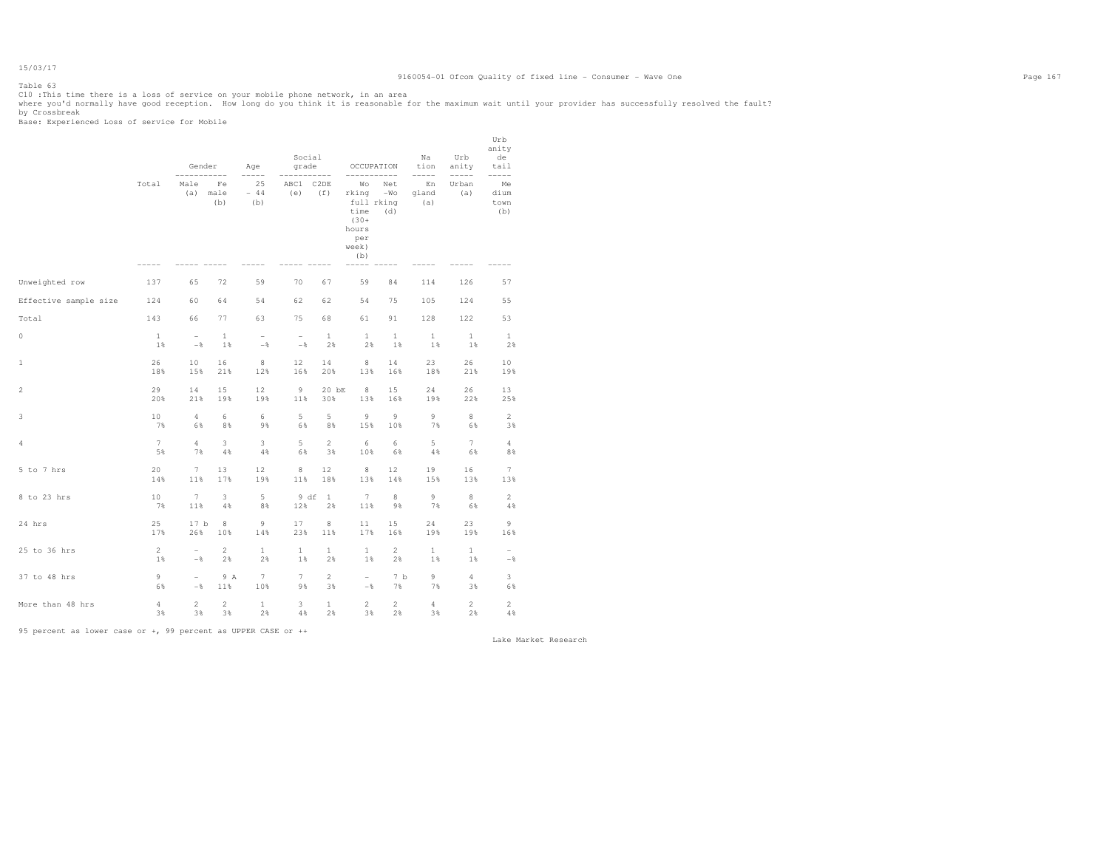15/03/17 Table 63

ClO :This time there is a loss of service on your mobile phone network, in an area<br>where you'd normally have good reception. How long do you think it is reasonable for the maximum wait until your provider has successfully

|                       |                       | Gender                                 |                      | Age                               | Social<br>grade<br>$--- - - -$  | ------               | OCCUPATION<br>___________                                                    |                        | Na<br>tion<br>$--- - - -$ | Urb<br>anity          | Urb<br>anity<br>de<br>tail<br>$--- - - -$  |  |
|-----------------------|-----------------------|----------------------------------------|----------------------|-----------------------------------|---------------------------------|----------------------|------------------------------------------------------------------------------|------------------------|---------------------------|-----------------------|--------------------------------------------|--|
|                       | Total                 | Male<br>(a)                            | Fe<br>male<br>(b)    | 25<br>$-44$<br>(b)                | ABC1 C2DE<br>(e)                | (f)                  | Wо<br>rking<br>full rking<br>time<br>$(30 +$<br>hours<br>per<br>week)<br>(b) | Net<br>$-WO$<br>(d)    | En<br>gland<br>(a)        | Urban<br>(a)          | Me<br>dium<br>town<br>(b)                  |  |
| Unweighted row        | 137                   | 65                                     | 72                   | 59                                | 70                              | 67                   | 59                                                                           | 84                     | 114                       | 126                   | 57                                         |  |
| Effective sample size | 124                   | 60                                     | 64                   | 54                                | 62                              | 62                   | 54                                                                           | 75                     | 105                       | 124                   | 55                                         |  |
| Total                 | 143                   | 66                                     | 77                   | 63                                | 75                              | 68                   | 61                                                                           | 91                     | 128                       | 122                   | 53                                         |  |
| 0                     | $\mathbf{1}$<br>$1$ % | $\overline{\phantom{a}}$<br>$-\,$ $\,$ | $\mathbf{1}$<br>1%   | $\overline{\phantom{a}}$<br>$-\,$ | $\overline{\phantom{a}}$<br>$-$ | $\mathbf{1}$<br>2%   | $\mathbf{1}$<br>2%                                                           | $\mathbf{1}$<br>1%     | $\mathbf{1}$<br>1%        | $\mathbf{1}$<br>1%    | $\mathbf{1}$<br>2%                         |  |
| 1                     | 26<br>18%             | 10<br>15%                              | 16<br>21%            | 8<br>12%                          | 12<br>16%                       | 14<br>20%            | 8<br>13%                                                                     | 14<br>16%              | 23<br>18%                 | 26<br>21%             | 10<br>19%                                  |  |
| 2                     | 29<br>20%             | 14<br>21%                              | 15<br>19%            | 12<br>19%                         | - 9<br>11%                      | 20 bE<br>30%         | 8<br>13%                                                                     | 15<br>16%              | 24<br>19%                 | 26<br>22%             | 13<br>25%                                  |  |
| 3                     | 10<br>7%              | $\overline{4}$<br>6%                   | 6<br>8%              | 6<br>9%                           | 5<br>6%                         | 5<br>8%              | 9<br>15%                                                                     | 9<br>10%               | 9<br>7%                   | 8<br>6%               | $\overline{2}$<br>3%                       |  |
| 4                     | $7\phantom{.}$<br>5%  | $\overline{4}$<br>7%                   | 3<br>4%              | 3<br>4%                           | 5<br>6%                         | $\overline{2}$<br>3% | 6<br>10%                                                                     | 6<br>6%                | 5<br>4%                   | $\overline{7}$<br>6%  | $\overline{4}$<br>8%                       |  |
| 5 to 7 hrs            | 20<br>14%             | $7\phantom{.0}$<br>11%                 | 13<br>17%            | 12<br>19%                         | 8<br>11%                        | 12<br>18%            | 8<br>13%                                                                     | 12<br>14%              | 19<br>15%                 | 16<br>13%             | $7\phantom{.0}$<br>13%                     |  |
| 8 to 23 hrs           | 10 <sup>°</sup><br>7% | 7<br>11%                               | 3<br>$4\,$           | 5<br>8%                           | 9 df<br>12%                     | <b>1</b><br>2%       | 7<br>11%                                                                     | 8<br>9%                | 9<br>7%                   | 8<br>6%               | $\overline{2}$<br>4%                       |  |
| 24 hrs                | 25<br>17%             | 17 <sub>b</sub><br>26%                 | 8<br>10%             | 9<br>14%                          | 17<br>23%                       | 8<br>11%             | 11<br>17%                                                                    | 15 <sub>1</sub><br>16% | 24<br>19%                 | 23<br>19%             | 9<br>16%                                   |  |
| 25 to 36 hrs          | $\overline{2}$<br>1%  | $ \,$<br>$-$                           | $\overline{2}$<br>2% | $\mathbf{1}$<br>2%                | $\mathbf{1}$<br>1%              | $\mathbf{1}$<br>2%   | $\mathbf{1}$<br>$1\%$                                                        | $\overline{2}$<br>2%   | $\mathbf{1}$<br>1%        | $\mathbf{1}$<br>$1\%$ | $\overline{\phantom{a}}$<br>$-\frac{6}{6}$ |  |
| 37 to 48 hrs          | $\overline{9}$<br>6%  | $\overline{a}$<br>$-$                  | 9 A<br>11%           | $7\phantom{.0}$<br>10%            | $7\phantom{.0}$<br>98           | $\overline{2}$<br>3% | $\overline{\phantom{a}}$<br>$-\frac{6}{6}$                                   | 7 b<br>7%              | 9<br>7%                   | 4<br>3%               | 3<br>6%                                    |  |
| More than 48 hrs      | 4<br>3%               | $\overline{2}$<br>3%                   | $\overline{2}$<br>3% | $\mathbf{1}$<br>2%                | 3<br>4%                         | $\mathbf{1}$<br>2%   | $\overline{2}$<br>3%                                                         | $\overline{2}$<br>2%   | 4<br>3%                   | $\overline{2}$<br>2%  | $\overline{2}$<br>4%                       |  |

95 percent as lower case or +, 99 percent as UPPER CASE or ++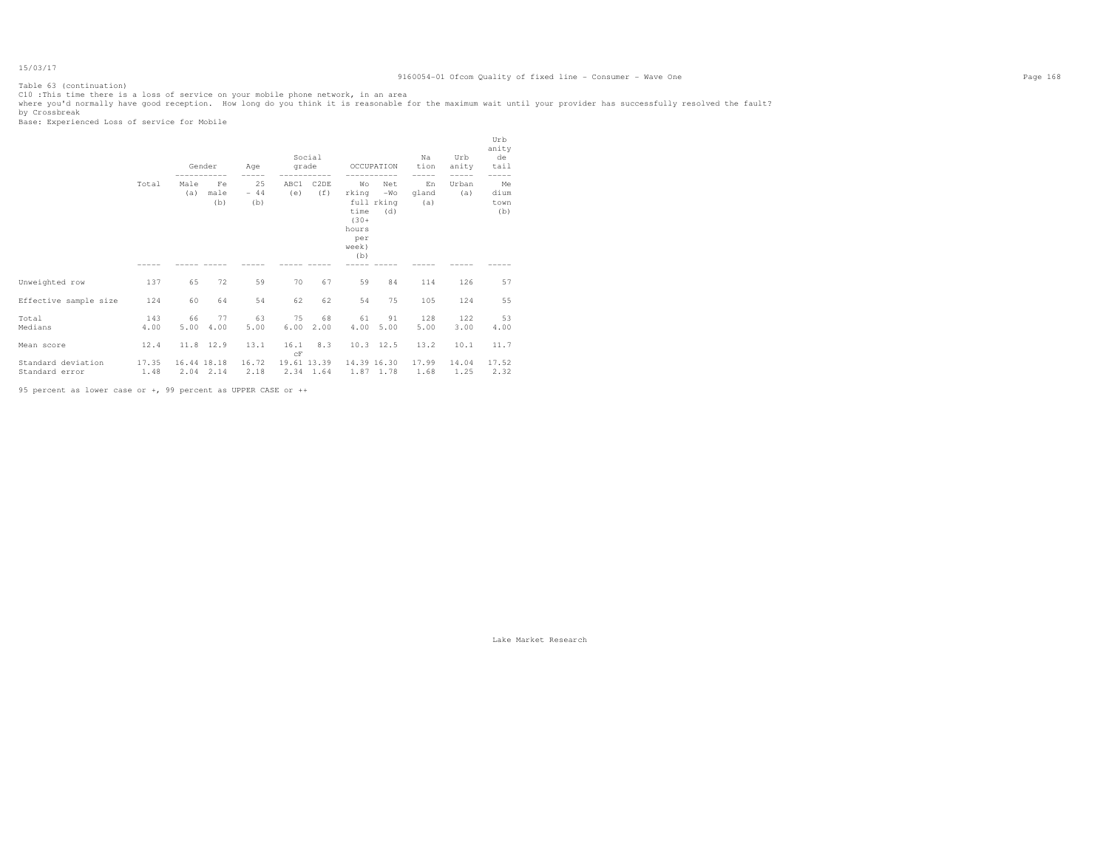Table 63 (continuation)

ClO :This time there is a loss of service on your mobile phone network, in an area<br>where you'd normally have good reception. How long do you think it is reasonable for the maximum wait until your provider has successfully

|                                      |               |             | Gender            | Age                | grade       | Social                   |                                                                | OCCUPATION                        | Na<br>tion         | Urb<br>anity  | Urb<br>anity<br>de<br>tail |
|--------------------------------------|---------------|-------------|-------------------|--------------------|-------------|--------------------------|----------------------------------------------------------------|-----------------------------------|--------------------|---------------|----------------------------|
|                                      | Total         | Male<br>(a) | Fe<br>male<br>(b) | 25<br>$-44$<br>(b) | ABC1<br>(e) | C <sub>2</sub> DE<br>(f) | Wo<br>rking<br>time<br>$(30 +$<br>hours<br>per<br>week)<br>(b) | Net<br>$-WO$<br>full rking<br>(d) | En<br>gland<br>(a) | Urban<br>(a)  | Me<br>dium<br>town<br>(b)  |
|                                      |               |             |                   |                    |             |                          |                                                                |                                   |                    |               |                            |
| Unweighted row                       | 137           | 65          | 72                | 59                 | 70          | 67                       | 59                                                             | 84                                | 114                | 126           | 57                         |
| Effective sample size                | 124           | 60          | 64                | 54                 | 62          | 62                       | 54                                                             | 75                                | 105                | 124           | 55                         |
| Total<br>Medians                     | 143<br>4.00   | 66<br>5.00  | 77<br>4.00        | 63<br>5.00         | 75<br>6.00  | 68<br>2.00               | 61<br>4.00                                                     | 91<br>5.00                        | 128<br>5.00        | 122<br>3.00   | 53<br>4.00                 |
| Mean score                           | 12.4          |             | 11.8 12.9         | 13.1               | 16.1<br>CF  | 8.3                      |                                                                | $10.3$ 12.5                       | 13.2               | 10.1          | 11.7                       |
| Standard deviation<br>Standard error | 17.35<br>1.48 | 16.44 18.18 | 2.04 2.14         | 16.72<br>2.18      | 19.61 13.39 | 2.34 1.64                |                                                                | 14.39 16.30<br>1.87 1.78          | 17.99<br>1.68      | 14.04<br>1.25 | 17.52<br>2.32              |
|                                      |               |             |                   |                    |             |                          |                                                                |                                   |                    |               |                            |

95 percent as lower case or +, 99 percent as UPPER CASE or ++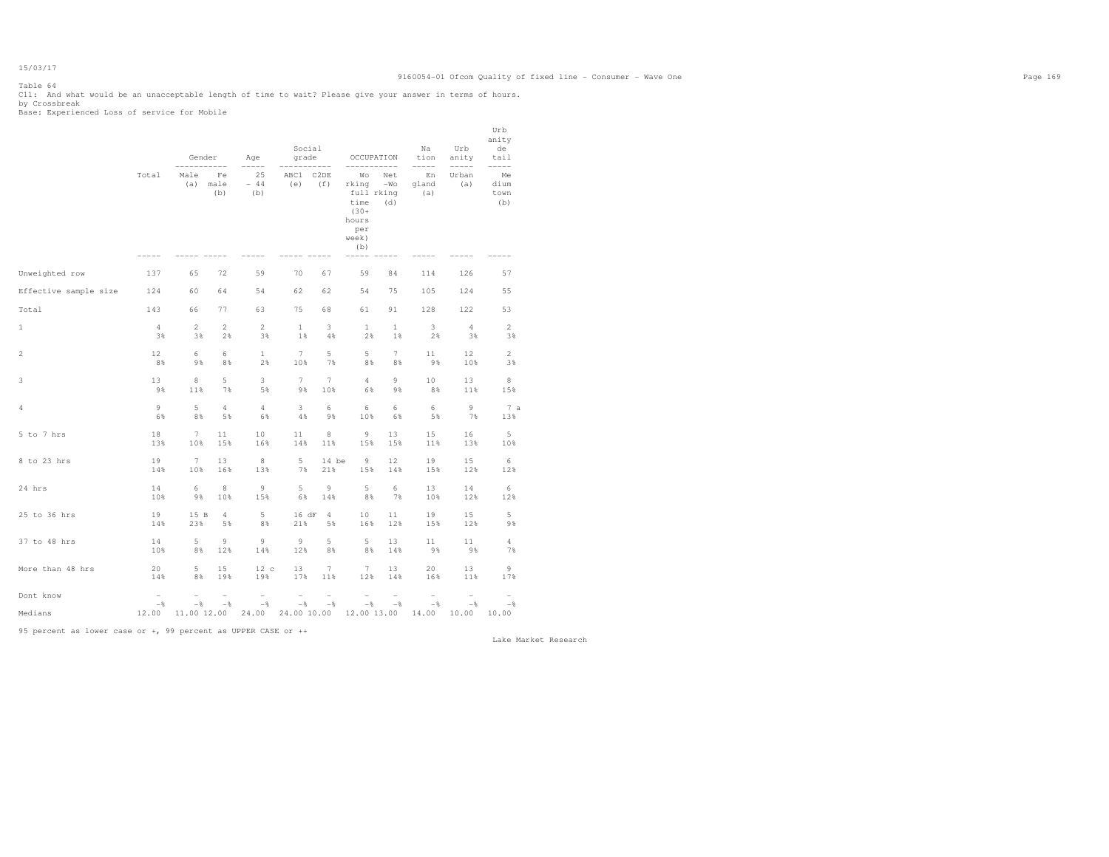# Table 64

Cll: And what would be an unacceptable length of time to wait? Please give your answer in terms of hours.<br>by Crossbreak<br>Base: Experienced Loss of service for Mobile

|                       |                                 | Gender          | $---$             | Age<br>$- - - - -$ | Social<br>grade |                                      | OCCUPATION                                                                   | $- - - -$           | Na<br>tion<br>$--- - - -$ | Urb<br>anity<br>$--- - - -$ | Urb<br>anity<br>de<br>tail<br>$--- - - -$ |
|-----------------------|---------------------------------|-----------------|-------------------|--------------------|-----------------|--------------------------------------|------------------------------------------------------------------------------|---------------------|---------------------------|-----------------------------|-------------------------------------------|
|                       | Total                           | Male<br>(a)     | Fe<br>male<br>(b) | 25<br>$-44$<br>(b) | ABC1<br>(e)     | C <sub>2</sub> D <sub>E</sub><br>(f) | Wо<br>rking<br>full rking<br>time<br>$(30 +$<br>hours<br>per<br>week)<br>(b) | Net<br>$-WO$<br>(d) | En<br>qland<br>(a)        | Urban<br>(a)                | Me<br>dium<br>town<br>(b)                 |
| Unweighted row        | 137                             | 65              | 72                | 59                 | 70              | 67                                   | 59                                                                           | 84                  | 114                       | 126                         | 57                                        |
| Effective sample size | 124                             | 60              | 64                | 54                 | 62              | 62                                   | 54                                                                           | 75                  | 105                       | 124                         | 55                                        |
| Total                 | 143                             | 66              | 77                | 63                 | 75              | 68                                   | 61                                                                           | 91                  | 128                       | 122                         | 53                                        |
| $1\,$                 | $\overline{4}$                  | $\mathbf{2}$    | $\overline{c}$    | $\overline{c}$     | $\mathbf{1}$    | 3                                    | $\mathbf{1}$                                                                 | $\mathbf{1}$        | 3                         | $\overline{4}$              | $\mathbf{2}$                              |
|                       | 3%                              | 3%              | 2%                | 3%                 | 1%              | 4%                                   | 2%                                                                           | $1$ %               | 2%                        | 3%                          | 3%                                        |
| $\overline{2}$        | 12                              | 6               | 6                 | $\mathbf{1}$       | $\overline{7}$  | 5                                    | 5                                                                            | $7\phantom{.}$      | 11                        | 12                          | $\mathbf{2}$                              |
|                       | 8%                              | 9%              | 8%                | 2%                 | 10%             | 7%                                   | 8%                                                                           | 8%                  | 9%                        | 10%                         | 3%                                        |
| 3                     | 13                              | $\,$ 8          | 5                 | 3                  | $\overline{7}$  | $7\overline{ }$                      | $\overline{4}$                                                               | 9                   | 10                        | 13                          | $\,$ 8                                    |
|                       | 9%                              | 11%             | 7%                | 5%                 | 9%              | 10%                                  | 6%                                                                           | 9%                  | 8%                        | 11%                         | 15%                                       |
| 4                     | $\circ$                         | 5               | $\overline{4}$    | 4                  | 3               | 6                                    | 6                                                                            | 6                   | 6                         | 9                           | 7a                                        |
|                       | 6%                              | 8%              | 5%                | 6%                 | 4%              | 9%                                   | 10%                                                                          | 6%                  | 5%                        | 7%                          | 13%                                       |
| 5 to 7 hrs            | 18                              | $7\phantom{.}$  | 11                | 10                 | 11              | $\,$ 8 $\,$                          | 9                                                                            | 13                  | 15                        | 16                          | 5                                         |
|                       | 13%                             | 10%             | 15%               | 16%                | 14%             | 11%                                  | 15%                                                                          | 15%                 | 11%                       | 13%                         | 10%                                       |
| 8 to 23 hrs           | 19                              | $7\phantom{.0}$ | 13                | $\,8\,$            | 5               | 14 be                                | 9                                                                            | 12                  | 19                        | 15                          | 6                                         |
|                       | 14%                             | 10%             | 16%               | 13%                | 7%              | 21%                                  | 15%                                                                          | 14%                 | 15%                       | 12%                         | 12%                                       |
| 24 hrs                | 14                              | 6               | 8                 | $\overline{9}$     | 5               | 9                                    | 5                                                                            | 6                   | 13                        | 14                          | 6                                         |
|                       | 10%                             | 98              | 10%               | 15%                | 6%              | 14%                                  | 8%                                                                           | 7%                  | 10%                       | 12%                         | 12%                                       |
| 25 to 36 hrs          | 19                              | 15 B            | $\overline{4}$    | 5                  | 16 dF           | $\overline{4}$                       | 10                                                                           | 11                  | 19                        | 15                          | 5                                         |
|                       | 14%                             | 23%             | 5%                | 8%                 | 21%             | 5%                                   | 16%                                                                          | 12%                 | 15%                       | 12%                         | 9%                                        |
| 37 to 48 hrs          | 14                              | 5               | 9                 | 9                  | $\overline{9}$  | 5                                    | 5                                                                            | 13                  | 11                        | 11                          | 4                                         |
|                       | 10%                             | 8%              | 12%               | 14%                | 12%             | 8%                                   | 8%                                                                           | 14%                 | $9\,$ %                   | 9%                          | 7%                                        |
| More than 48 hrs      | 20                              | 5               | 15                | 12c                | 13              | $7\phantom{.0}$                      | $7\phantom{.}$                                                               | 13                  | 20                        | 13                          | 9                                         |
|                       | 14%                             | 8%              | 19%               | 19%                | 17%             | 11%                                  | 12%                                                                          | 14%                 | 16%                       | 11%                         | 17%                                       |
| Dont know             | $\overline{\phantom{0}}$<br>$-$ | $-\,$           | $-$ 8             | $-\frac{6}{6}$     | ۰<br>$-\,$      | $-\frac{6}{6}$                       | ÷<br>$-\,$                                                                   | $-$                 | $-$                       | $-\frac{6}{5}$              | $-$                                       |
| Medians               | 12.00                           | 11.00 12.00     |                   | 24.00              | 24.00 10.00     |                                      | 12.00 13.00                                                                  |                     | 14.00                     | 10.00                       | 10.00                                     |

95 percent as lower case or +, 99 percent as UPPER CASE or ++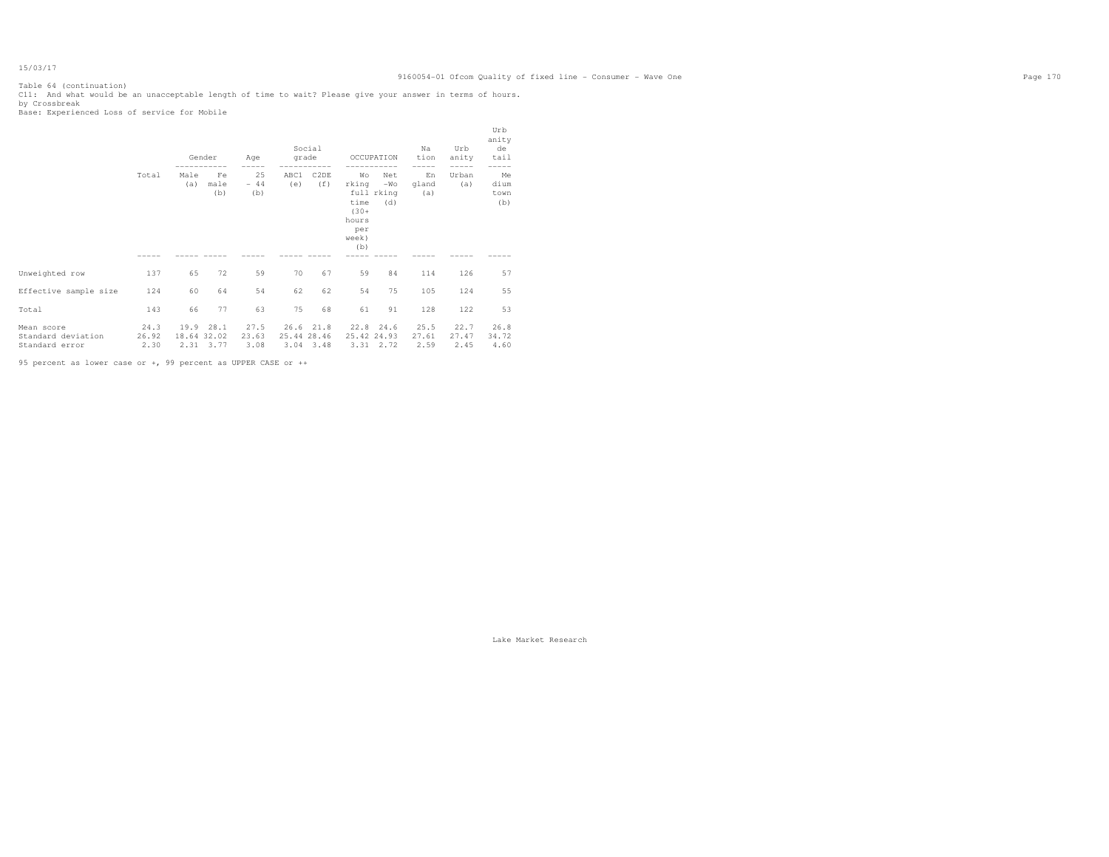# 9160054-01 Ofcom Quality of fixed line - Consumer - Wave One Page 170

Table 64 (continuation) C11: And what would be an unacceptable length of time to wait? Please give your answer in terms of hours. by Crossbreak Base: Experienced Loss of service for Mobile

|                                                    |                       |                             | Gender            | Age                   | grade                       | Social                   |                                                                | OCCUPATION                        | Na<br>tion            | Urb<br>anity          | Urb<br>anity<br>de<br>tail |
|----------------------------------------------------|-----------------------|-----------------------------|-------------------|-----------------------|-----------------------------|--------------------------|----------------------------------------------------------------|-----------------------------------|-----------------------|-----------------------|----------------------------|
|                                                    | Total                 | Male<br>(a)                 | Fe<br>male<br>(b) | 25<br>$-44$<br>(b)    | ABC1<br>(e)                 | C <sub>2</sub> DE<br>(f) | Wо<br>rking<br>time<br>$(30 +$<br>hours<br>per<br>week)<br>(b) | Net<br>$-WO$<br>full rking<br>(d) | En<br>qland<br>(a)    | Urban<br>(a)          | Me<br>dium<br>town<br>(b)  |
|                                                    |                       |                             |                   |                       |                             |                          |                                                                |                                   |                       |                       |                            |
| Unweighted row                                     | 137                   | 65                          | 72                | 59                    | 70                          | 67                       | 59                                                             | 84                                | 114                   | 126                   | 57                         |
| Effective sample size                              | 124                   | 60                          | 64                | 54                    | 62                          | 62                       | 54                                                             | 75                                | 105                   | 124                   | 55                         |
| Total                                              | 143                   | 66                          | 77                | 63                    | 75                          | 68                       | 61                                                             | 91                                | 128                   | 122                   | 53                         |
| Mean score<br>Standard deviation<br>Standard error | 24.3<br>26.92<br>2.30 | 19.9<br>18.64 32.02<br>2.31 | 28.1<br>3.77      | 27.5<br>23.63<br>3.08 | 26.6<br>25.44 28.46<br>3.04 | 21.8<br>3.48             | 22.8<br>25.42 24.93                                            | 24.6<br>3.31 2.72                 | 25.5<br>27.61<br>2.59 | 22.7<br>27.47<br>2.45 | 26.8<br>34.72<br>4.60      |

95 percent as lower case or +, 99 percent as UPPER CASE or ++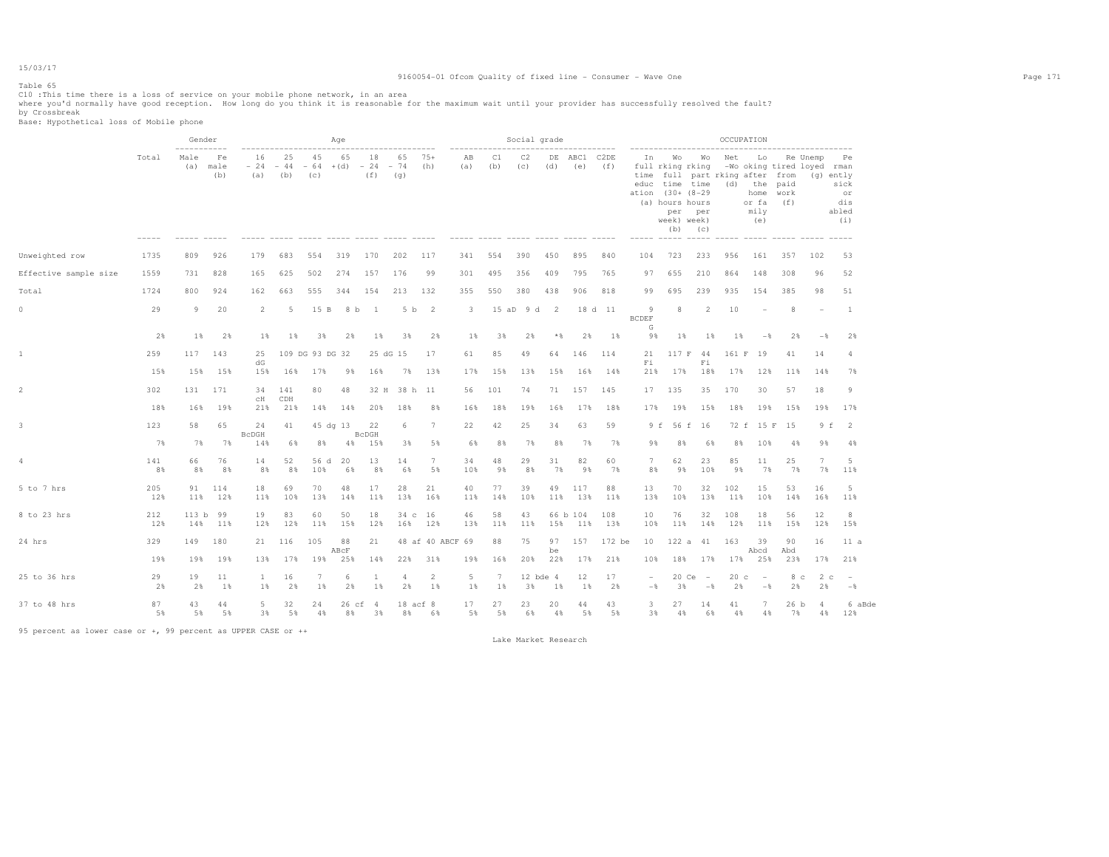### Table 65

ClO :This time there is a loss of service on your mobile phone network, in an area<br>where you'd normally have good reception. How long do you think it is reasonable for the maximum wait until your provider has successfully

|                       |            | Gender                     |                   |                                                |                    |                    | Age           |                    |                                        |                  |                           |           | Social grade |                   |                                      |            |                         |                                                                                                               |                               | OCCUPATION                                                     |                                           |                                                                    |                         |                                          |
|-----------------------|------------|----------------------------|-------------------|------------------------------------------------|--------------------|--------------------|---------------|--------------------|----------------------------------------|------------------|---------------------------|-----------|--------------|-------------------|--------------------------------------|------------|-------------------------|---------------------------------------------------------------------------------------------------------------|-------------------------------|----------------------------------------------------------------|-------------------------------------------|--------------------------------------------------------------------|-------------------------|------------------------------------------|
|                       | Total      | -----------<br>Male<br>(a) | Fe<br>male<br>(b) | ------------------------<br>16<br>$-24$<br>(a) | 25<br>$-44$<br>(b) | 45<br>$-64$<br>(C) | 65<br>$+(d)$  | 18<br>$-24$<br>(f) | ----------------<br>65<br>$-74$<br>(q) | $75+$<br>(h)     | ------------<br>AB<br>(a) | C1<br>(b) | C2<br>(c)    | (d)               | -------------<br>DE ABC1 C2DE<br>(e) | (f)        | In<br>$--- - - -$       | Wo<br>full rking rking<br>educ time time<br>ation (30+ (8-29)<br>(a) hours hours<br>per<br>week) week)<br>(b) | Wo<br>per<br>(C)<br>$- - - -$ | Net<br>time full part rking after from<br>(d)<br>------ ------ | Lo<br>the<br>home<br>or fa<br>mily<br>(e) | -Wo oking tired loyed rman<br>paid<br>work<br>(f)<br>$\frac{1}{2}$ | Re Unemp<br>$(q)$ ently | Pe.<br>sick<br>or<br>dis<br>abled<br>(i) |
| Unweighted row        | 1735       | 809                        | 926               | 179                                            | 683                | 554                | 319           | 170                | 202                                    | 117              | 341                       | 554       | 390          | 450               | 895                                  | 840        | 104                     | 723                                                                                                           | 233                           | 956                                                            | 161                                       | 357                                                                | 102                     | 53                                       |
| Effective sample size | 1559       | 731                        | 828               | 165                                            | 625                | 502                | 274           | 157                | 176                                    | 99               | 301                       | 495       | 356          | 409               | 795                                  | 765        | 97                      | 655                                                                                                           | 210                           | 864                                                            | 148                                       | 308                                                                | 96                      | 52                                       |
| Total                 | 1724       | 800                        | 924               | 162                                            | 663                | 555                | 344           | 154                | 213                                    | 132              | 355                       | 550       | 380          | 438               | 906                                  | 818        | 99                      | 695                                                                                                           | 239                           | 935                                                            | 154                                       | 385                                                                | 98                      | 51                                       |
| $\circ$               | 29         | 9                          | 20                | $\overline{2}$                                 | 5                  | 15 B               | 8 b           | $\overline{1}$     | 5 b                                    | $\overline{2}$   | 3                         |           | 15 aD 9 d    | <sup>2</sup>      |                                      | 18 d 11    | -9<br><b>BCDEF</b><br>G | 8                                                                                                             | $\overline{2}$                | 10                                                             |                                           | 8                                                                  |                         | $\mathbf{1}$                             |
|                       | 2%         | 1%                         | 2%                | $1\%$                                          | 1%                 | 3%                 | 2%            | 1%                 | 3%                                     | 2%               | $1\%$                     | 3%        | 2%           | $*$               | 2%                                   | 1%         | 9%                      | $1\%$                                                                                                         | 1%                            | $1$ %                                                          | $-$ 8                                     | 2%                                                                 | $-$ 8                   | 2%                                       |
| 1                     | 259        | 117                        | 143               | 25<br>dG                                       |                    | 109 DG 93 DG 32    |               |                    | 25 dG 15                               | 17               | 61                        | 85        | 49           | 64                | 146                                  | 114        | 21<br>Fi                | 117 F                                                                                                         | 44<br>Fi                      | 161 F                                                          | 19                                        | 41                                                                 | 14                      | $\overline{4}$                           |
|                       | 15%        | 15%                        | 15%               | 15%                                            | 16%                | 17%                | 9%            | 16%                | 7%                                     | 13%              | 17%                       | 15%       | 13%          | 15%               | 16%                                  | 14%        | 21%                     | 17%                                                                                                           | 18%                           | 17%                                                            | 12%                                       | 11%                                                                | 14%                     | 7%                                       |
| $\overline{2}$        | 302        | 131                        | 171               | 34<br>сH                                       | 141<br>CDH         | 80                 | 48            | 32 H               | 38 h 11                                |                  | 56                        | 101       | 74           | 71                | 157                                  | 145        | 17                      | 135                                                                                                           | 35                            | 170                                                            | 30                                        | 57                                                                 | 18                      | 9                                        |
|                       | 18%        | 16%                        | 19%               | 21%                                            | 21%                | 14%                | 14%           | 20%                | 18%                                    | 8%               | 16%                       | 18%       | 19%          | 16%               | 17%                                  | 18%        | 17%                     | 19%                                                                                                           | 15%                           | 18%                                                            | 19%                                       | 15%                                                                | 19%                     | 17%                                      |
| 3                     | 123        | 58                         | 65                | 24<br><b>BcDGH</b>                             | 41                 |                    | 45 dg 13      | 22<br><b>BcDGH</b> | 6                                      | 7                | 22                        | 42        | 25           | 34                | 63                                   | 59         | 9 f                     |                                                                                                               | 56 f 16                       |                                                                | 72 f 15 F                                 | 15                                                                 | 9 f                     | $\overline{2}$                           |
|                       | 7%         | 7%                         | 7%                | 14%                                            | 6%                 | 8%                 | 4%            | 15%                | 3%                                     | 5%               | 6%                        | 8%        | 7%           | 8%                | 7%                                   | 7%         | 9%                      | 8%                                                                                                            | 6%                            | 8%                                                             | 10%                                       | 4%                                                                 | 9%                      | $4\%$                                    |
| 4                     | 141<br>8%  | 66<br>8%                   | 76<br>8%          | 14<br>8%                                       | 52<br>8%           | 56 d<br>10%        | 20<br>6%      | 13<br>8%           | 14<br>6%                               | 7<br>5%          | 34<br>10%                 | 48<br>98  | 29<br>8%     | 31<br>7%          | 82<br>9%                             | 60<br>7%   | $7\phantom{.0}$<br>8%   | 62<br>98                                                                                                      | 23<br>10%                     | 85<br>98                                                       | 11<br>7%                                  | 25<br>7%                                                           | 7<br>7%                 | 5<br>11%                                 |
| 5 to 7 hrs            | 205<br>12% | 91<br>11%                  | 114<br>12%        | 18<br>11%                                      | 69<br>10%          | 70<br>13%          | 48<br>14%     | 17<br>11%          | 28<br>13%                              | 21<br>16%        | 40<br>11%                 | 77<br>14% | 39<br>10%    | 49<br>11%         | 117<br>13%                           | 88<br>11%  | 13<br>13%               | 70<br>10%                                                                                                     | 32<br>13%                     | 102<br>11%                                                     | 15<br>10%                                 | 53<br>14%                                                          | 16<br>16%               | 5<br>11%                                 |
| 8 to 23 hrs           | 212<br>12% | 113 <sub>b</sub><br>14%    | 99<br>11%         | 19<br>12%                                      | 83<br>12%          | 60<br>11%          | 50<br>15%     | 18<br>12%          | $34\text{ c}$<br>16%                   | 16<br>12%        | 46<br>13%                 | 58<br>11% | 43<br>11%    | 15%               | 66 b 104<br>11%                      | 108<br>13% | 10<br>10%               | 76<br>11%                                                                                                     | 32<br>14%                     | 108<br>12%                                                     | 18<br>11%                                 | 56<br>15%                                                          | 12<br>12%               | 8<br>15%                                 |
| 24 hrs                | 329        | 149                        | 180               | 21                                             | 116                | 105                | 88            | 21                 |                                        | 48 af 40 ABCF 69 |                           | 88        | 75           | 97                | 157                                  | 172 be     | 10                      | 122a                                                                                                          | 41                            | 163                                                            | 39                                        | 90                                                                 | 16                      | 11a                                      |
|                       | 19%        | 19%                        | 19%               | 13%                                            | 17%                | 19%                | ABcF<br>25%   | 14%                | 22%                                    | 31%              | 19%                       | 16%       | 20%          | be<br>22%         | 17%                                  | 21%        | 10%                     | 18%                                                                                                           | 17%                           | 17%                                                            | Abcd<br>25%                               | Abd<br>23%                                                         | 17%                     | 21%                                      |
| 25 to 36 hrs          | 29<br>2%   | 19<br>2%                   | 11<br>1%          | $\mathbf{1}$<br>1%                             | 16<br>2%           | 7<br>1%            | 6<br>2%       | <sup>1</sup><br>1% | 4<br>2%                                | 2<br>1%          | 5<br>1%                   | 7<br>1%   | 3%           | 12 bde 4<br>$1\%$ | 12<br>1%                             | 17<br>2%   | $-\frac{6}{6}$          | 20 Ce<br>3%                                                                                                   | $\sim$<br>$-$ 8               | 20 <sub>c</sub><br>2%                                          | $\hspace{0.1mm}-\hspace{0.1mm}$<br>$-$ %  | 8 <sub>c</sub><br>2%                                               | 2 c<br>2%               | $\overline{\phantom{a}}$<br>$-$ 8        |
| 37 to 48 hrs          | 87<br>5%   | 43<br>5%                   | 44<br>5%          | 5.<br>3%                                       | 32<br>5%           | 24<br>4%           | 26 cf 4<br>8% | 3%                 | 18 acf 8<br>8%                         | 6%               | 17<br>5%                  | 27<br>5%  | 23<br>6%     | 20<br>4%          | 44<br>5%                             | 43<br>5%   | 3<br>3%                 | 27<br>4%                                                                                                      | 14<br>6%                      | 41<br>4%                                                       | 7<br>4%                                   | 26 b<br>7%                                                         | 4<br>4%                 | 6 aBde<br>12%                            |

95 percent as lower case or +, 99 percent as UPPER CASE or ++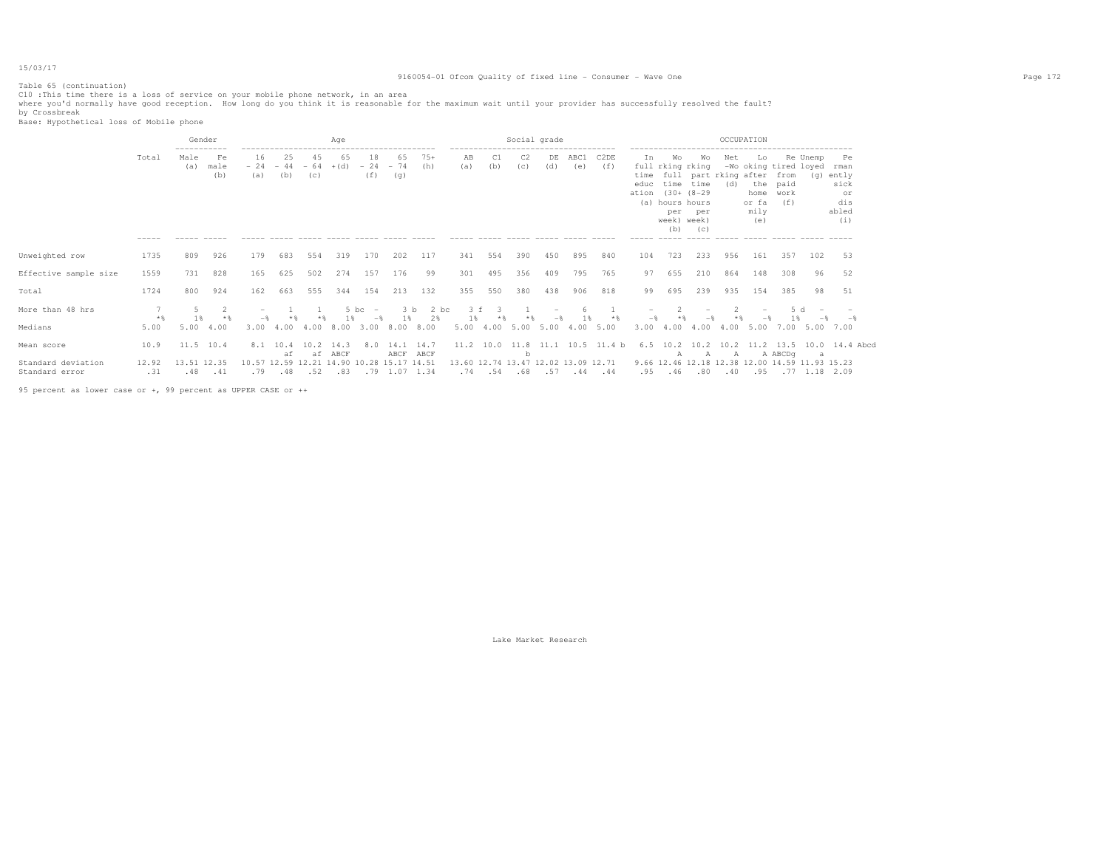# 9160054-01 Ofcom Quality of fixed line - Consumer - Wave One Page 172

Table 65 (continuation)

ClO :This time there is a loss of service on your mobile phone network, in an area<br>where you'd normally have good reception. How long do you think it is reasonable for the maximum wait until your provider has successfully

|                                      |              | Gender                     |                   |                    |                                                  |                    | Age          |                                  |                        |                    |                                            |                                    |           | Social grade |             |                  |                                 |                                                                                |                                                        | OCCUPATION |                                           |                                                      |                                                                 |                                                          |  |
|--------------------------------------|--------------|----------------------------|-------------------|--------------------|--------------------------------------------------|--------------------|--------------|----------------------------------|------------------------|--------------------|--------------------------------------------|------------------------------------|-----------|--------------|-------------|------------------|---------------------------------|--------------------------------------------------------------------------------|--------------------------------------------------------|------------|-------------------------------------------|------------------------------------------------------|-----------------------------------------------------------------|----------------------------------------------------------|--|
|                                      | Total        | -----------<br>Male<br>(a) | Fe<br>male<br>(b) | 16<br>$-24$<br>(a) | 25<br>$-44$<br>(b)                               | 45<br>$-64$<br>(C) | 65<br>$+(d)$ | 18<br>$-24$<br>(f)               | 65<br>$-74$<br>(g)     | $75+$<br>(h)       | AΒ<br>(a)                                  | _____________________<br>C1<br>(b) | C2<br>(c) | DE<br>(d)    | ABC1<br>(e) | C2DE<br>(f)      | In<br>educ<br>ation (30+ (8-29) | Wo<br>full rking rking<br>time<br>(a) hours hours<br>per<br>week) week)<br>(b) | Wo<br>time full part rking after<br>time<br>per<br>(c) | Net<br>(d) | Lo<br>the<br>home<br>or fa<br>mily<br>(e) | -Wo oking tired loyed<br>from<br>paid<br>work<br>(f) | Re Unemp<br>(q)                                                 | Pe<br>rman<br>ently<br>sick<br>or<br>dis<br>abled<br>(i) |  |
| Unweighted row                       | 1735         | 809                        | 926               | 179                | 683                                              | 554                | 319          | 170                              | 202                    | 117                | 341                                        | 554                                | 390       | 450          | 895         | 840              | 104                             | 723                                                                            | 233                                                    | 956        | 161                                       | 357                                                  | 102                                                             | 53                                                       |  |
| Effective sample size                | 1559         | 731                        | 828               | 165                | 625                                              | 502                | 274          | 157                              | 176                    | 99                 | 301                                        | 495                                | 356       | 409          | 795         | 765              | 97                              | 655                                                                            | 210                                                    | 864        | 148                                       | 308                                                  | 96                                                              | 52                                                       |  |
| Total                                | 1724         | 800                        | 924               | 162                | 663                                              | 555                | 344          | 154                              | 213                    | 132                | 355                                        | 550                                | 380       | 438          | 906         | 818              | 99                              | 695                                                                            | 239                                                    | 935        | 154                                       | 385                                                  | 98                                                              | 51                                                       |  |
| More than 48 hrs<br>Medians          | $*$<br>5.00  | 5<br>5.00                  | 4.00              | 3.00               | 4.00                                             | 4.00               | 5 bc<br>8.00 | $\overline{\phantom{a}}$<br>3.00 | 3 <sub>b</sub><br>8.00 | 2 bc<br>2%<br>8.00 | $3-f$<br>1 %<br>5.00                       | 4.00 5.00                          |           | 5.00         | 4.00        | 5.00             |                                 | 3.004.00                                                                       | 4.00 4.00                                              |            | 5.00 7.00                                 | .5 d                                                 | 5.00 7.00                                                       | $\overline{\phantom{0}}$<br>$-$                          |  |
| Mean score                           | 10.9         | 11.5                       | 10.4              |                    | $8.1 \quad 10.4$<br>af                           | 10.2<br>af         | 14.3<br>ABCF | 8.0                              | 14.1<br>ABCF           | 14.7<br>ABCF       |                                            | 11.2 10.0 11.8                     | h         |              |             | 11.1 10.5 11.4 b | 6.5                             | 10.2                                                                           | 10.2<br>А                                              | 10.2<br>А  |                                           | A ABCDg                                              |                                                                 | 11.2 13.5 10.0 14.4 Abcd                                 |  |
| Standard deviation<br>Standard error | 12.92<br>.31 | 13.51 12.35<br>.48         | .41               | .79                | 10.57 12.59 12.21 14.90 10.28 15.17 14.51<br>.48 | .52                | .83          |                                  | $.79$ 1.07 1.34        |                    | 13.60 12.74 13.47 12.02 13.09 12.71<br>.74 | .54                                | .68       | .57          | .44         | .44              | .95                             | .46                                                                            | .80                                                    | .40        | .95                                       |                                                      | 9.66 12.46 12.18 12.38 12.00 14.59 11.93 15.23<br>.77 1.18 2.09 |                                                          |  |

95 percent as lower case or +, 99 percent as UPPER CASE or ++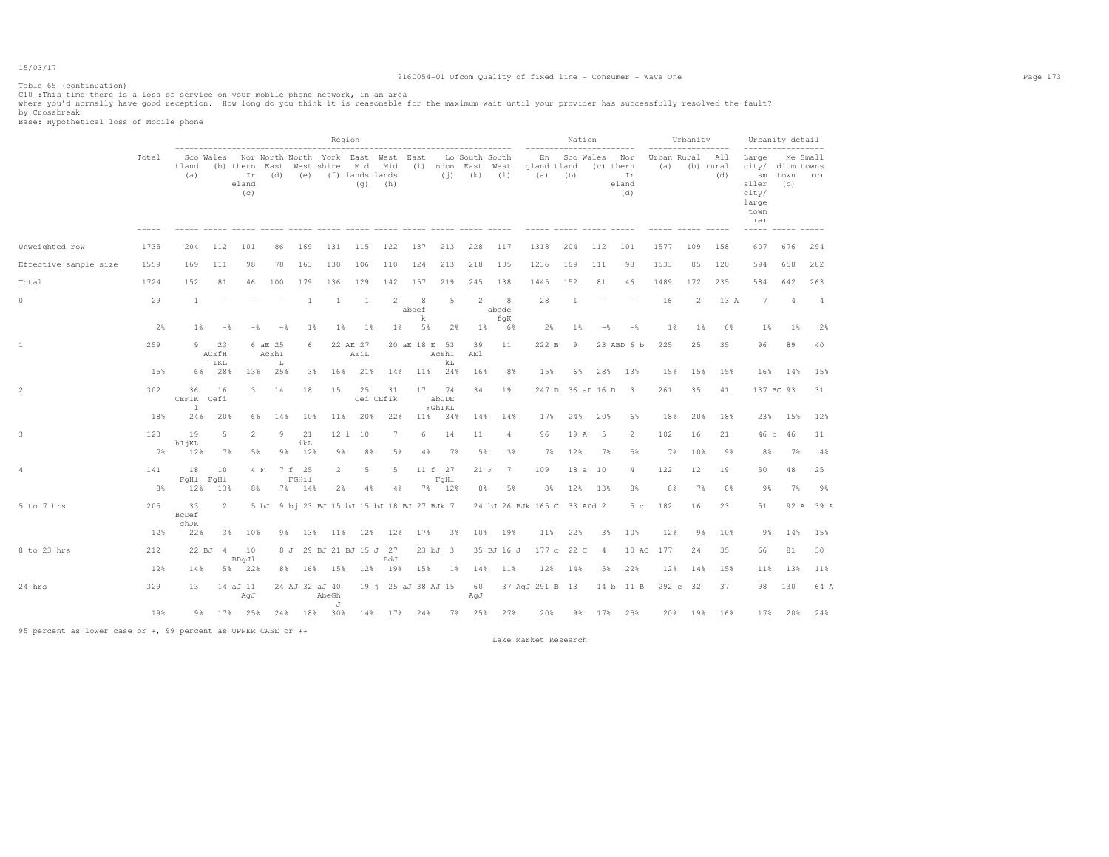# 9160054-01 Ofcom Quality of fixed line - Consumer - Wave One Page 173

Table 65 (continuation)

ClO :This time there is a loss of service on your mobile phone network, in an area<br>where you'd normally have good reception. How long do you think it is reasonable for the maximum wait until your provider has successfully

|                       |           |                             |                    |                                                         |                       |                               |                         | Region           |                                                      |       |                        |             |                                                           |            |                             | Nation              |                | --------                               |           | Urbanity        |                                   | Urbanity detail                                                                      |                    |           |
|-----------------------|-----------|-----------------------------|--------------------|---------------------------------------------------------|-----------------------|-------------------------------|-------------------------|------------------|------------------------------------------------------|-------|------------------------|-------------|-----------------------------------------------------------|------------|-----------------------------|---------------------|----------------|----------------------------------------|-----------|-----------------|-----------------------------------|--------------------------------------------------------------------------------------|--------------------|-----------|
|                       | Total     | tland<br>(a)                |                    | (b) thern East West shire Mid Mid<br>Ir<br>eland<br>(c) |                       |                               | (d) (e) (f) lands lands | (q)              | Sco Wales Nor North North York East West East<br>(h) |       |                        |             | Lo South South<br>(i) ndon East West<br>$(i)$ $(k)$ $(1)$ |            | gland tland<br>(a)          | En Sco Wales<br>(b) |                | Nor<br>(c) thern<br>Ir<br>eland<br>(d) | (a)       | Urban Rural All | $- - - - - -$<br>(b) rural<br>(d) | $- - - - - -$<br>Large<br>city/ dium towns<br>aller<br>city/<br>large<br>town<br>(a) | sm town (c)<br>(b) | Me Small  |
| Unweighted row        | 1735      | 204                         | 112                | 101                                                     | 86                    | 169                           | 131                     | 115              | 122                                                  | 137   |                        | 213         | 228                                                       | 117        | 1318                        | 204                 | 112            | 101                                    | 1577      | 109             | 158                               | 607                                                                                  | 676                | 294       |
| Effective sample size | 1559      | 169                         | 111                | 98                                                      | 78                    | 163                           | 130                     | 106              | 110                                                  | 124   |                        | 213         | 218                                                       | 105        | 1236                        | 169                 | 111            | 98                                     | 1533      | 85              | 120                               | 594                                                                                  | 658                | 282       |
| Total                 | 1724      | 152                         | 81                 | 46                                                      | 100                   | 179                           | 136                     | 129              | 142                                                  | 157   |                        | 219         | 245                                                       | 138        | 1445                        | 152                 | 81             | 46                                     | 1489      | 172             | 235                               | 584                                                                                  | 642                | 263       |
| $\circ$               | 29        | 1                           |                    |                                                         |                       | $\overline{1}$                | <sup>1</sup>            | <sup>1</sup>     | 2                                                    | abdef | 8                      | 5           | $\overline{2}$                                            | 8<br>abcde | 28                          | 1                   |                |                                        | 16        | 2               | 13 A                              | 7                                                                                    | 4                  | 4         |
|                       | 2%        | 1%                          | $-$                | $-$                                                     | $-$                   | 1%                            | 1%                      | 1%               | $1\%$                                                |       | k<br>5%                | 2%          | $1\%$                                                     | fqK<br>6%  | 2%                          | 1%                  | $-\frac{6}{5}$ | $-\frac{6}{5}$                         | $1\%$     | 1%              | 6%                                | $1\%$                                                                                | $1\%$              | 2%        |
|                       | 259       | 9                           | 23<br>ACEfH<br>IKL |                                                         | 6 aE 25<br>AcEhI<br>L | 6                             |                         | 22 AE 27<br>AEiL |                                                      |       | 20 aE 18 E 53<br>AcEhI |             | 39<br>AE1                                                 | 11         | 222 B                       | $\overline{9}$      |                | 23 ABD 6 b                             | 225       | 25              | 35                                | 96                                                                                   | 89                 | 40        |
|                       | 15%       |                             | 6% 28%             | 13%                                                     | 25%                   | 3%                            | 16%                     | 21%              | 14%                                                  |       | 11%                    | kL<br>24%   | 16%                                                       | 8%         | 15%                         | 6%                  | 28%            | 13%                                    | 15%       | 15%             | 15%                               | 16%                                                                                  | 14%                | 15%       |
| $\overline{2}$        | 302       | 36<br>CEFIK Cefi<br>$\perp$ | 16                 | 3                                                       | 14                    | 18                            | 15                      | 25               | 31<br>Cei CEfik                                      |       | 17<br>abCDE<br>FGhIKL  | 74          | 34                                                        | 19         |                             | 247 D 36 aD 16 D    |                | $\overline{\phantom{a}}$               | 261       | 35              | 41                                |                                                                                      | 137 BC 93          | 31        |
|                       | 18%       | 24%                         | 20%                | 6%                                                      | 14%                   | 10%                           | 11%                     | 20%              | 22%                                                  |       | 11%                    | 34%         | 14%                                                       | 14%        | 17%                         | 24%                 | 20%            | 6%                                     | 18%       | 20%             | 18%                               | 23%                                                                                  | 15%                | 12%       |
|                       | 123       | 19<br>hIjKL                 | 5                  | 2                                                       | 9                     | 21<br>ikL                     | 12 <sub>1</sub>         | 10               | 7                                                    |       | 6                      | 14          | 11                                                        | 4          | 96                          | 19 A                | 5              | 2                                      | 102       | 16              | 21                                | 46 с                                                                                 | 46                 | 11        |
|                       | 7%        | 12%                         | 7%                 | 5%                                                      | 98                    | 12%                           | 98                      | 8%               | 5%                                                   |       | 4%                     | 7%          | 5%                                                        | 3%         | 7%                          | 12%                 | 7%             | 5%                                     | 7%        | 10%             | 9%                                | 8%                                                                                   | 7%                 | 4%        |
| 4                     | 141<br>8% | 18<br>FqH1 FqH1<br>12%      | 10<br>13%          | 4 F<br>8%                                               | 7%                    | 7 f 25<br><b>FGHil</b><br>14% | $\overline{2}$<br>2%    | 5<br>4%          | 5<br>4%                                              |       | 11 f 27<br>7%          | FqH1<br>12% | 21 F<br>88                                                | 7<br>5%    | 109<br>8%                   | 12%                 | 18 a 10<br>13% | 4<br>8%                                | 122<br>8% | 12<br>7%        | 19<br>8%                          | 50<br>9%                                                                             | 48<br>7%           | 25<br>9%  |
| 5 to 7 hrs            | 205       | 33<br>BcDef                 | 2                  |                                                         |                       |                               |                         |                  | 5 bJ 9 bj 23 BJ 15 bJ 15 bJ 18 BJ 27 BJk 7           |       |                        |             |                                                           |            | 24 bJ 26 BJk 165 C 33 ACd 2 |                     |                | 5 <sub>c</sub>                         | 182       | 16              | 23                                | 51                                                                                   |                    | 92 A 39 A |
|                       | 12%       | ghJK<br>22%                 | 3%                 | 10%                                                     | 98                    | 13%                           | 11%                     | 12%              | 12%                                                  |       | 17%                    | 3%          | 10%                                                       | 19%        | 11%                         | 22%                 | 3%             | 10%                                    | 12%       | 9%              | 10%                               | 9%                                                                                   | 14%                | 15%       |
| 8 to 23 hrs           | 212       |                             | 22 BJ 4            | 10                                                      |                       | 8 J                           | 29 BJ 21 BJ 15 J 27     |                  |                                                      |       | 23 bJ 3                |             |                                                           | 35 BJ 16 J |                             | 177 c 22 C          | $\overline{4}$ | 10 AC                                  | 177       | 24              | 35                                | 66                                                                                   | 81                 | 30        |
|                       | 12%       | 14%                         |                    | BDgJl<br>5% 22%                                         |                       |                               | 8% 16% 15%              |                  | BdJ<br>12% 19%                                       |       | 15%                    | 1%          | 14%                                                       | 11%        | 12%                         | 14%                 | 5%             | 22%                                    | 12%       | 14%             | 15%                               | 11%                                                                                  | 13%                | 11%       |
| 24 hrs                | 329       | 13                          |                    | 14 aJ 11<br>AqJ                                         |                       | 24 AJ 32 aJ 40                | AbeGh                   |                  | 19 i 25 aJ 38 AJ 15                                  |       |                        |             | 60<br>AqJ                                                 |            | 37 AgJ 291 B 13             |                     |                | 14 b 11 B                              |           | 292 c 32        | 37                                | 98                                                                                   | 130                | 64 A      |
|                       | 19%       |                             |                    | 9% 17% 25%                                              |                       |                               | J<br>24% 18% 30%        |                  | 14% 17% 24%                                          |       |                        |             | 7% 25% 27%                                                |            | 20%                         |                     |                | 9% 17% 25%                             | 20%       | 19%             | 16%                               | 17%                                                                                  | 20%                | 24%       |

95 percent as lower case or +, 99 percent as UPPER CASE or ++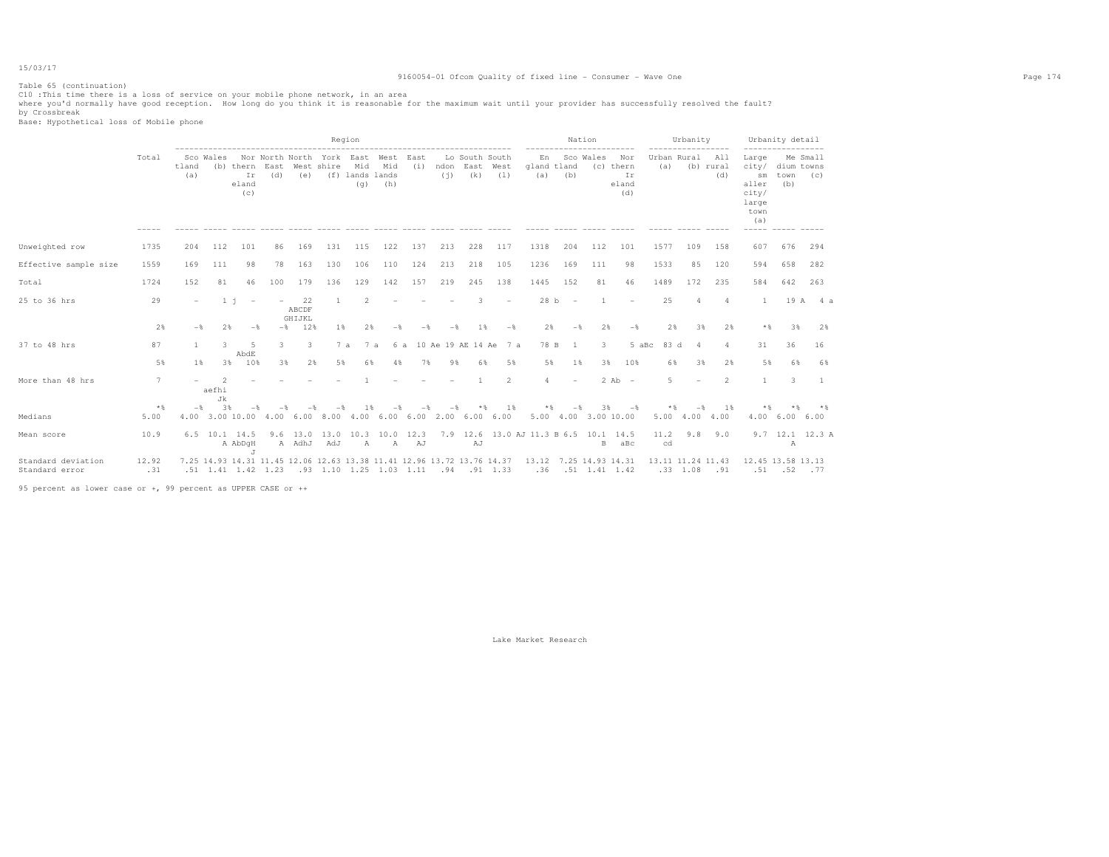# 9160054-01 Ofcom Quality of fixed line - Consumer - Wave One Page 174

Table 65 (continuation)

ClO :This time there is a loss of service on your mobile phone network, in an area<br>where you'd normally have good reception. How long do you think it is reasonable for the maximum wait until your provider has successfully

|                                      |              |              |                               |                          |                                                    |               |            | Region                        |                                                              |                |     |                                         |                                                                        |                                       |                          | Nation                     |                                                                                                                |                        | Urbanity                 |                                    |                                                                                                 | Urbanity detail           |                   |
|--------------------------------------|--------------|--------------|-------------------------------|--------------------------|----------------------------------------------------|---------------|------------|-------------------------------|--------------------------------------------------------------|----------------|-----|-----------------------------------------|------------------------------------------------------------------------|---------------------------------------|--------------------------|----------------------------|----------------------------------------------------------------------------------------------------------------|------------------------|--------------------------|------------------------------------|-------------------------------------------------------------------------------------------------|---------------------------|-------------------|
|                                      | Total        | tland<br>(a) | Sco Wales                     | Ir<br>eland<br>(c)       | Nor North North York East<br>(b) thern East<br>(d) | (e)           | West shire | Mid<br>(f) lands lands<br>(q) | West<br>Mid<br>(h)                                           | East<br>(i)    | (i) | Lo South South<br>ndon East West<br>(k) | (1)                                                                    | En<br>gland tland<br>(a)              | (b)                      | Sco Wales                  | Nor<br>(c) thern<br>Ir<br>eland<br>(d)                                                                         | Urban Rural All<br>(a) |                          | .<br>(b) rural<br>(d)              | Large<br>city/<br>$\mathop{\rm sm}\nolimits$<br>aller<br>city/<br>large<br>town<br>(a)<br>----- | dium towns<br>town<br>(b) | Me Small<br>(C)   |
| Unweighted row                       | 1735         | 204          | 112                           | 101                      | 86                                                 | 169           | 131        | 115                           | 122                                                          | 137            | 213 | 228                                     | 117                                                                    | 1318                                  | 204                      | 112                        | 101                                                                                                            | 1577                   | 109                      | 158                                | 607                                                                                             | 676                       | 294               |
| Effective sample size                | 1559         | 169          | 111                           | 98                       | 78                                                 | 163           | 130        | 106                           | 110                                                          | 124            | 213 | 218                                     | 105                                                                    | 1236                                  | 169                      | 111                        | 98                                                                                                             | 1533                   | 85                       | 120                                | 594                                                                                             | 658                       | 282               |
| Total                                | 1724         | 152          | 81                            | 46                       | 100                                                | 179           | 136        | 129                           | 142                                                          | 157            | 219 | 245                                     | 138                                                                    | 1445                                  | 152                      | 81                         | 46                                                                                                             | 1489                   | 172                      | 235                                | 584                                                                                             | 642                       | 263               |
| 25 to 36 hrs                         | 29           |              | $1 - i$                       | $\overline{\phantom{a}}$ |                                                    | 22<br>ABCDF   |            | $\mathfrak{D}$                |                                                              |                |     |                                         |                                                                        | 28 b                                  | $\sim$                   |                            |                                                                                                                | 25                     | 4                        | 4                                  | $\mathbf{1}$                                                                                    |                           | 19 A 4 a          |
|                                      | 2%           | $-$          | 2%                            | $-$                      | $-$ %                                              | GHIJKL<br>12% | 1%         | 2%                            | $-$                                                          | $-\frac{6}{5}$ |     | 1 %                                     | $-$                                                                    | 2%                                    | $-$                      | 2%                         | $-$                                                                                                            | 2%                     | 3%                       | 2%                                 | $*$                                                                                             | 3%                        | 2%                |
| 37 to 48 hrs                         | 87           | $\mathbf{1}$ | 3.                            | 5<br>AbdE                | 3                                                  | 3.            | 7a         | 7 a                           | 6 a                                                          |                |     | 10 Ae 19 AE 14 Ae                       | 7 a                                                                    | 78 B                                  | $\overline{1}$           | 3                          | 5 aBc                                                                                                          | 83 d                   | $\Delta$                 | Δ                                  | 31                                                                                              | 36                        | 16                |
|                                      | 5%           | 1%           | 3%                            | 10%                      | 3%                                                 | 2%            | 5%         | 6%                            | 4%                                                           | 7%             | 9%  | 6%                                      | 5%                                                                     | 5%                                    | 1%                       | 3%                         | 10%                                                                                                            | 6%                     | 3%                       | 2%                                 | 5%                                                                                              | 6%                        | 6%                |
| More than 48 hrs                     | 7            |              | $\overline{2}$<br>aefhi<br>Jk |                          |                                                    |               |            |                               |                                                              |                |     |                                         | $\overline{2}$                                                         | $\overline{4}$                        | $\overline{\phantom{a}}$ |                            | $2$ Ab $-$                                                                                                     | 5                      | $\overline{\phantom{0}}$ | 2                                  | $\mathbb{1}$                                                                                    | 3                         | $\overline{1}$    |
| Medians                              | $*$<br>5.00  | $-$ %        | 3%                            |                          |                                                    |               |            | 1 %                           | 4.00 3.00 10.00 4.00 6.00 8.00 4.00 6.00 6.00 2.00 6.00 6.00 |                |     | **                                      | 1%                                                                     | $*$                                   | $-$                      | 3%<br>5.00 4.00 3.00 10.00 | $-\frac{6}{5}$                                                                                                 | * &                    |                          | 1%<br>$5.00 \quad 4.00 \quad 4.00$ | * %                                                                                             | 4.00 6.00 6.00            |                   |
| Mean score                           | 10.9         |              | 6.5 10.1 14.5                 | A AbDqH<br>$\cdot$ T     |                                                    |               | A AdhJ AdJ | $\mathbb{A}$                  | 9.6 13.0 13.0 10.3 10.0 12.3<br>$\mathbb{A}$                 | AJ             |     | AJ                                      |                                                                        | 7.9 12.6 13.0 AJ 11.3 B 6.5 10.1 14.5 |                          | B                          | aBc                                                                                                            | 11.2<br>cd             | 9.8                      | 9.0                                |                                                                                                 | Α                         | $9.7$ 12.1 12.3 A |
| Standard deviation<br>Standard error | 12.92<br>.31 |              |                               |                          |                                                    |               |            |                               |                                                              |                |     |                                         | 7.25 14.93 14.31 11.45 12.06 12.63 13.38 11.41 12.96 13.72 13.76 14.37 | 13.12 7.25 14.93 14.31                |                          |                            | . 57. 52. 51. 91. 1.93. 1.03. 1.42. 51. 36. 36. 91. 94. 1.03. 1.11 94. 1.33. 1.33. 1.42. 1.43. 1.41. 51. 51. 5 | 13.11 11.24 11.43      |                          |                                    | 12.45 13.58 13.13                                                                               |                           |                   |

95 percent as lower case or +, 99 percent as UPPER CASE or ++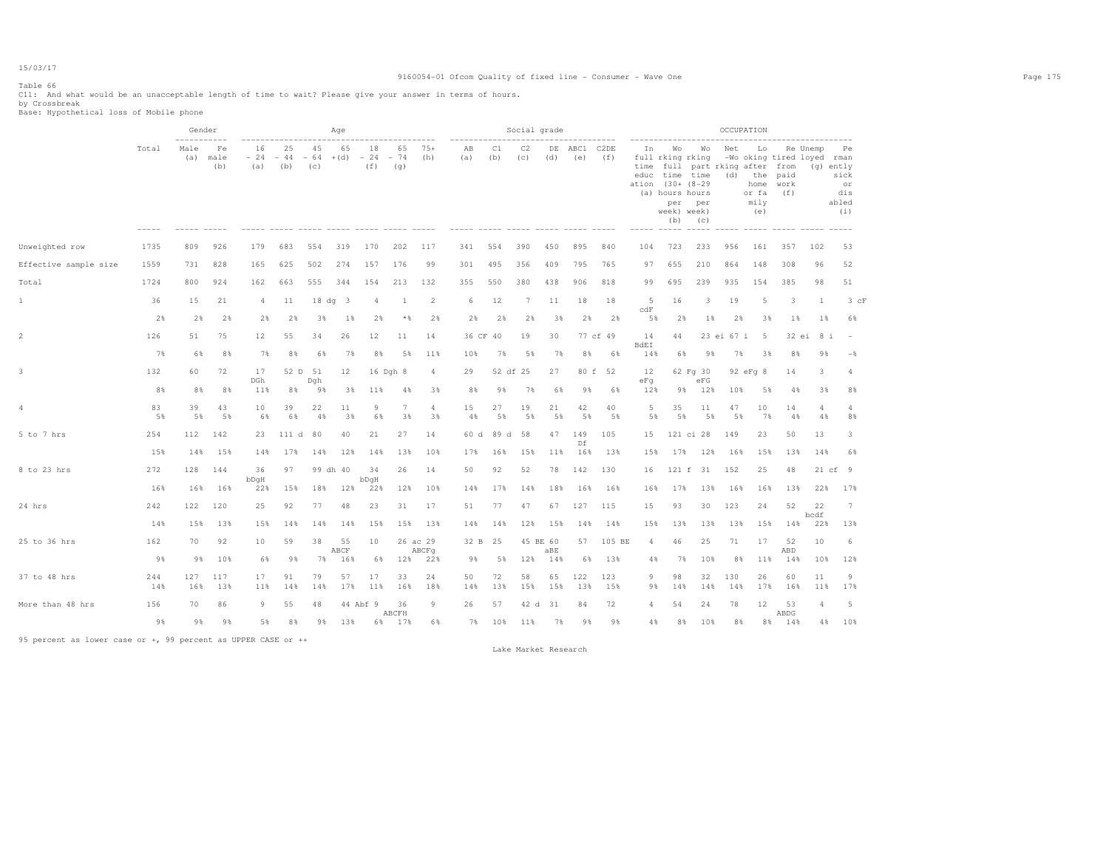# 9160054-01 Ofcom Quality of fixed line - Consumer - Wave One Page 175

# Table 66

C11: And what would be an unacceptable length of time to wait? Please give your answer in terms of hours. by Crossbreak Base: Hypothetical loss of Mobile phone

|                       |            | Gender                     |                   |                    |                    |                               | Age        |                |                    |              |           |                | Social grade |           |             |                |                          |                                                                                            |                               |                  | OCCUPATION                                                                                            |                     |            |                                                      |
|-----------------------|------------|----------------------------|-------------------|--------------------|--------------------|-------------------------------|------------|----------------|--------------------|--------------|-----------|----------------|--------------|-----------|-------------|----------------|--------------------------|--------------------------------------------------------------------------------------------|-------------------------------|------------------|-------------------------------------------------------------------------------------------------------|---------------------|------------|------------------------------------------------------|
|                       | Total      | -----------<br>Male<br>(a) | Fe<br>male<br>(b) | 16<br>$-24$<br>(a) | 25<br>$-44$<br>(b) | 45<br>$-64$ +(d) $-24$<br>(C) | 65         | 18<br>(f)      | 65<br>$-74$<br>(q) | $75+$<br>(h) | ΑB<br>(a) | C1<br>(b)      | C2<br>(C)    | DE<br>(d) | ABC1<br>(e) | C2DE<br>(f)    | In<br>time<br>educ       | Wo<br>full rking rking<br>ation (30+ (8-29<br>(a) hours hours<br>per<br>week) week)<br>(b) | Wo<br>time time<br>per<br>(C) | Net<br>(d)       | Lo<br>-Wo oking tired loyed rman<br>full part rking after from<br>the<br>home<br>or fa<br>mily<br>(e) | paid<br>work<br>(f) | Re Unemp   | Pe<br>(g) ently<br>sick<br>or<br>dis<br>abled<br>(i) |
| Unweighted row        | 1735       | 809                        | 926               | 179                | 683                | 554                           | 319        | 170            | 202                | 117          | 341       | 554            | 390          | 450       | 895         | 840            | 104                      | 723                                                                                        | 233                           | 956              | 161                                                                                                   | 357                 | 102        | 53                                                   |
| Effective sample size | 1559       | 731                        | 828               | 165                | 625                | 502                           | 274        | 157            | 176                | 99           | 301       | 495            | 356          | 409       | 795         | 765            | 97                       | 655                                                                                        | 210                           | 864              | 148                                                                                                   | 308                 | 96         | 52                                                   |
| Total                 | 1724       | 800                        | 924               | 162                | 663                | 555                           | 344        | 154            | 213                | 132          | 355       | 550            | 380          | 438       | 906         | 818            | 99                       | 695                                                                                        | 239                           | 935              | 154                                                                                                   | 385                 | 98         | 51                                                   |
| $1\,$                 | 36         | 15                         | 21                | $\overline{4}$     | 11                 | $18 dq$ 3                     |            | $\overline{4}$ | -1                 | 2            | 6         | 12             | 7            | 11        | 18          | 18             | 5<br>c dF                | 16                                                                                         | 3                             | 19               | 5                                                                                                     | 3                   | 1          | $3$ $cF$                                             |
|                       | 2%         | 2%                         | 2%                | 2%                 | 2%                 | 3%                            | 1%         | 2%             | $*$                | 2%           | 2%        | 2%             | 2%           | 3%        | 2%          | 2%             | 5%                       | 2%                                                                                         | $1\%$                         | 2%               | 3%                                                                                                    | 1%                  | 1%         | 6%                                                   |
| $\overline{c}$        | 126<br>7%  | 51<br>6%                   | 75<br>8%          | 12<br>7%           | 55<br>8%           | 34<br>6%                      | 26<br>7%   | 12<br>8%       | 11<br>5%           | 14<br>11%    | 10%       | 36 CF 40<br>7% | 19<br>5%     | 30<br>7%  | 8%          | 77 cf 49<br>6% | 14<br><b>BdEI</b><br>14% | 44<br>6%                                                                                   | 98                            | 23 ei 67 i<br>7% | 5<br>3%                                                                                               | 32 ei<br>8%         | 8 i<br>98  | $-\frac{6}{5}$                                       |
| 3                     | 132        | 60                         | 72                | 17                 | 52 D 51            |                               | 12         | 16 Dgh 8       |                    | 4            | 29        |                | 52 df 25     | 27        |             | 80 f 52        | 12                       |                                                                                            | 62 Fg 30                      |                  | 92 eFq 8                                                                                              | 14                  | 3          | 4                                                    |
|                       | 8%         | 8%                         | 8%                | DGh<br>11%         | 8%                 | Dqh<br>98                     | 3%         | 11%            | 4%                 | 3%           | 8%        | 9%             | 7%           | 6%        | 9%          | 6%             | eFq<br>12%               | 9%                                                                                         | eFG<br>12%                    | 10%              | 5%                                                                                                    | 4%                  | 3%         | 8%                                                   |
| $\sqrt{4}$            | 83<br>5%   | 39<br>5%                   | 43<br>5%          | 10<br>6%           | 39<br>6%           | 22<br>4%                      | 11<br>3%   | 9<br>6%        | 7<br>3%            | 4<br>3%      | 15<br>4%  | 27<br>5%       | 19<br>5%     | 21<br>5%  | 42<br>5%    | 40<br>5%       | 5<br>5%                  | 35<br>5%                                                                                   | 11<br>5%                      | 47<br>5%         | 10<br>7%                                                                                              | 14<br>4%            | 4<br>4%    | 4<br>8%                                              |
| 5 to 7 hrs            | 254        | 112                        | 142               | 23                 | 111 d              | 80                            | 40         | 21             | 27                 | 14           | 60 d      | 89 d           | 58           | 47        | 149         | 105            | 15                       |                                                                                            | 121 ci 28                     | 149              | 23                                                                                                    | 50                  | 13         | 3                                                    |
|                       | 15%        | 14%                        | 15%               | 14%                | 17%                | 14%                           | 12%        | 14%            | 13%                | 10%          | 17%       | 16%            | 15%          | 11%       | Df<br>16%   | 13%            | 15%                      | 17%                                                                                        | 12%                           | 16%              | 15%                                                                                                   | 13%                 | 14%        | 6%                                                   |
| 8 to 23 hrs           | 272        | 128                        | 144               | 36                 | 97                 | 99 dh 40                      |            | 34             | 26                 | 14           | 50        | 92             | 52           | 78        | 142         | 130            | 16                       | 121 f                                                                                      | 31                            | 152              | 25                                                                                                    | 48                  |            | 21 cf 9                                              |
|                       | 16%        | 16%                        | 16%               | bDqH<br>22%        | 15%                | 18%                           | 12%        | bDqH<br>22%    | 12%                | 10%          | 14%       | 17%            | 14%          | 18%       | 16%         | 16%            | 16%                      | 17%                                                                                        | 13%                           | 16%              | 16%                                                                                                   | 13%                 | 22%        | 17%                                                  |
| 24 hrs                | 242        | 122                        | 120               | 25                 | 92                 | 77                            | 48         | 23             | 31                 | 17           | 51        | 77             | 47           | 67        | 127         | 115            | 15                       | 93                                                                                         | 30                            | 123              | 24                                                                                                    | 52                  | 22<br>bcdf | $\overline{7}$                                       |
|                       | 14%        | 15%                        | 13%               | 15%                | 14%                | 14%                           | 14%        | 15%            | 15%                | 13%          | 14%       | 14%            | 12%          | 15%       | 14%         | 14%            | 15%                      | 13%                                                                                        | 13%                           | 13%              | 15%                                                                                                   | 14%                 | 22%        | 13%                                                  |
| 25 to 36 hrs          | 162        | 70                         | 92                | 10                 | 59                 | 38                            | 55<br>ABCF | 10             | 26 ac 29           | ABCFq        | 32 B      | 25             | 45 BE 60     | aBE       | 57          | 105 BE         | 4                        | 46                                                                                         | 25                            | 71               | 17                                                                                                    | 52<br>ABD           | 10         | 6                                                    |
|                       | 9%         | 9%                         | 10%               | 68                 | 9%                 | 7%                            | 16%        | 6%             | 12%                | 22%          | 98        | 5%             | 12%          | 14%       | 6%          | 13%            | 4%                       | 7%                                                                                         | 10%                           | 8%               | 11%                                                                                                   | 14%                 | 10%        | 12%                                                  |
| 37 to 48 hrs          | 244<br>14% | 127<br>16%                 | 117<br>13%        | 17<br>11%          | 91<br>14%          | 79<br>14%                     | 57<br>17%  | 17<br>11%      | 33<br>16%          | 24<br>18%    | 50<br>14% | 72<br>13%      | 58<br>15%    | 65<br>15% | 122<br>13%  | 123<br>15%     | 9<br>9%                  | 98<br>14%                                                                                  | 32<br>14%                     | 130<br>14%       | 26<br>17%                                                                                             | 60<br>16%           | 11<br>11%  | 9<br>17%                                             |
| More than 48 hrs      | 156        | 70                         | 86                | 9                  | 55                 | 48                            |            | 44 Abf 9       | 36                 | 9            | 26        | 57             | 42 d 31      |           | 84          | 72             | 4                        | 54                                                                                         | 24                            | 78               | 12                                                                                                    | 53                  | 4          | 5                                                    |
|                       | 9%         | 9%                         | 9%                | 5%                 | 8%                 | 9%                            | 13%        | 6%             | ABCFH<br>17%       | 6%           | 7%        | 10%            | 11%          | 7%        | 9%          | 9%             | 4%                       | 8%                                                                                         | 10%                           | 8%               | 8%                                                                                                    | ABDG<br>14%         | 4%         | 10%                                                  |

95 percent as lower case or +, 99 percent as UPPER CASE or ++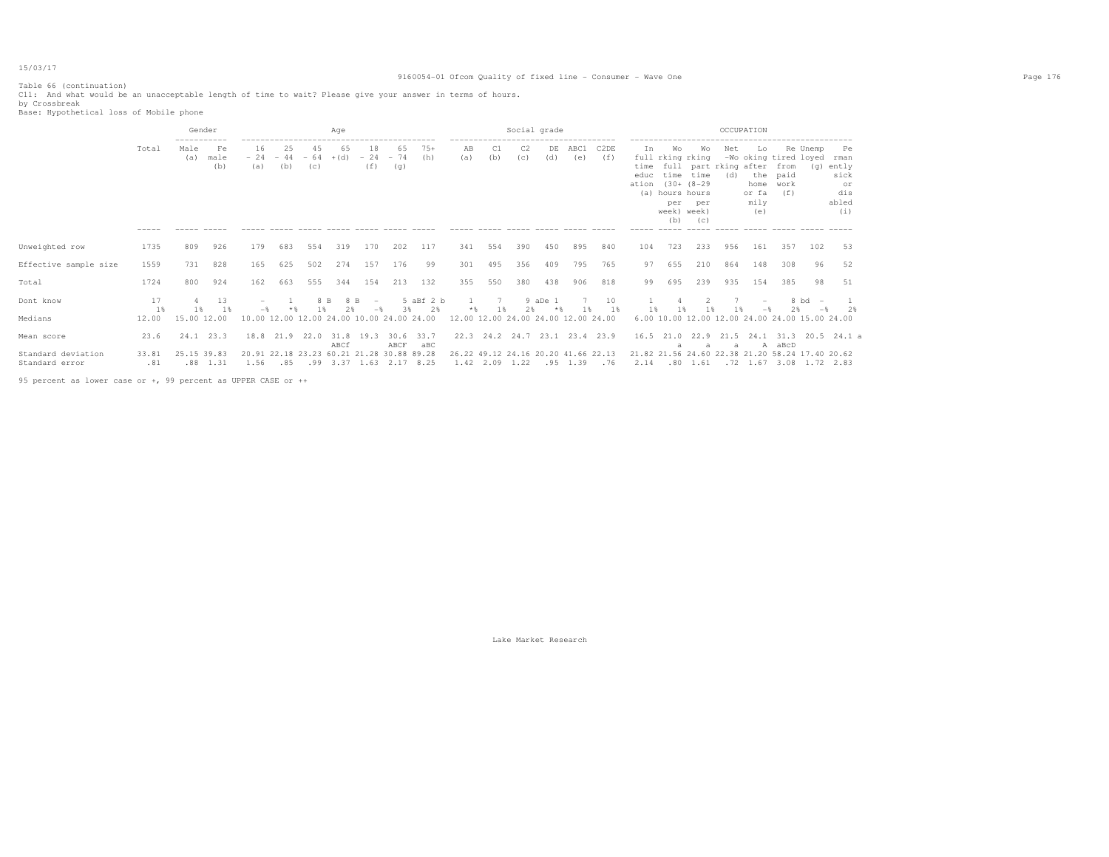# 9160054-01 Ofcom Quality of fixed line - Consumer - Wave One Page 176

Table 66 (continuation) C11: And what would be an unacceptable length of time to wait? Please give your answer in terms of hours. by Crossbreak Base: Hypothetical loss of Mobile phone

|                       |                      |             | Gender            |                                           |                    |                    | Aqe          |                                     |                    |                    |                                     |           |           | Social grade |                                     |             |                                    |                                                                            |                                                                      |            | OCCUPATION                                                               |                             |                                         |                                                      |
|-----------------------|----------------------|-------------|-------------------|-------------------------------------------|--------------------|--------------------|--------------|-------------------------------------|--------------------|--------------------|-------------------------------------|-----------|-----------|--------------|-------------------------------------|-------------|------------------------------------|----------------------------------------------------------------------------|----------------------------------------------------------------------|------------|--------------------------------------------------------------------------|-----------------------------|-----------------------------------------|------------------------------------------------------|
|                       | Total                | Male<br>(a) | Fe<br>male<br>(b) | 16<br>$-24$<br>(a)                        | 25<br>$-44$<br>(b) | 45<br>$-64$<br>(c) | 65<br>$+(d)$ | 18<br>$-24$<br>(f)                  | 65<br>$-74$<br>(q) | $75+$<br>(h)       | AΒ<br>(a)                           | C1<br>(b) | C2<br>(c) | DE<br>(d)    | ABC1<br>(e)                         | C2DE<br>(f) | In<br>time<br>educ<br>ation<br>(a) | Wo<br>full rking rking<br>time<br>hours hours<br>per<br>week) week)<br>(b) | Wо<br>full part rking after<br>time<br>$(30 + (8 - 29$<br>per<br>(C) | Net<br>(d) | Lo.<br>-Wo oking tired loyed rman<br>the<br>home<br>or fa<br>mily<br>(e) | from<br>paid<br>work<br>(f) | Re Unemp                                | Pe<br>(q) ently<br>sick<br>or<br>dis<br>abled<br>(i) |
| Unweighted row        | 1735                 | 809         | 926               | 179                                       | 683                | 554                | 319          | 170                                 | 202                | 117                | 341                                 | 554       | 390       | 450          | 895                                 | 840         | 104                                | 723                                                                        | 233                                                                  | 956        | 161                                                                      | 357                         | 102                                     | 53                                                   |
| Effective sample size | 1559                 | 731         | 828               | 165                                       | 625                | 502                | 274          | 157                                 | 176                | 99                 | 301                                 | 495       | 356       | 409          | 795                                 | 765         | 97                                 | 655                                                                        | 210                                                                  | 864        | 148                                                                      | 308                         | 96                                      | 52                                                   |
| Total                 | 1724                 | 800         | 924               | 162                                       | 663                | 555                | 344          | 154                                 | 213                | 132                | 355                                 | 550       | 380       | 438          | 906                                 | 818         | 99                                 | 695                                                                        | 239                                                                  | 935        | 154                                                                      | 385                         | 98                                      | 51                                                   |
| Dont know             | 17<br>1 <sup>8</sup> | 1 %         | 13<br>1 %         |                                           |                    | 8 B                | 8 B          |                                     | 3%                 | 5 aBf 2 b<br>2%    |                                     |           | 2.8       | 9 aDe 1      |                                     | 10<br>1 %   | 1%                                 |                                                                            | 1%                                                                   |            |                                                                          | 2.8                         | 8 bd<br>$\overline{\phantom{0}}$<br>$-$ | 2%                                                   |
| Medians               | 12.00                | 15.00 12.00 |                   | 10.00 12.00 12.00 24.00 10.00 24.00 24.00 |                    |                    |              |                                     |                    |                    | 12.00 12.00 24.00 24.00 12.00 24.00 |           |           |              |                                     |             |                                    | 6.00 10.00 12.00 12.00 24.00 24.00 15.00 24.00                             |                                                                      |            |                                                                          |                             |                                         |                                                      |
| Mean score            | 23.6                 |             | $24.1$ $23.3$     |                                           | 18.8 21.9 22.0     |                    | ABCf         | 31.8 19.3                           | ABCF               | $30.6$ 33.7<br>aBC |                                     |           |           |              | 22.3 24.2 24.7 23.1 23.4 23.9       |             |                                    | $16.5$ $21.0$                                                              | 22.9                                                                 | 21.5<br>a  |                                                                          | A aBcD                      |                                         | 24.1 31.3 20.5 24.1 a                                |
| Standard deviation    | 33.81                | 25.15 39.83 |                   |                                           |                    |                    |              | 20.91 22.18 23.23 60.21 21.28 30.88 |                    | 89.28              |                                     |           |           |              | 26.22 49.12 24.16 20.20 41.66 22.13 |             |                                    | 21.82 21.56 24.60 22.38 21.20 58.24 17.40 20.62                            |                                                                      |            |                                                                          |                             |                                         |                                                      |
| Standard error        | .81                  |             | $.88$ 1.31        | 1.56                                      | .85                |                    |              | $.99$ 3.37 1.63                     |                    | 2.17 8.25          |                                     | 1.42 2.09 | 1.22      |              | .95 1.39                            | .76         | 2.14                               |                                                                            | .80 1.61                                                             |            | $.72$ 1.67 3.08 1.72 2.83                                                |                             |                                         |                                                      |

95 percent as lower case or +, 99 percent as UPPER CASE or ++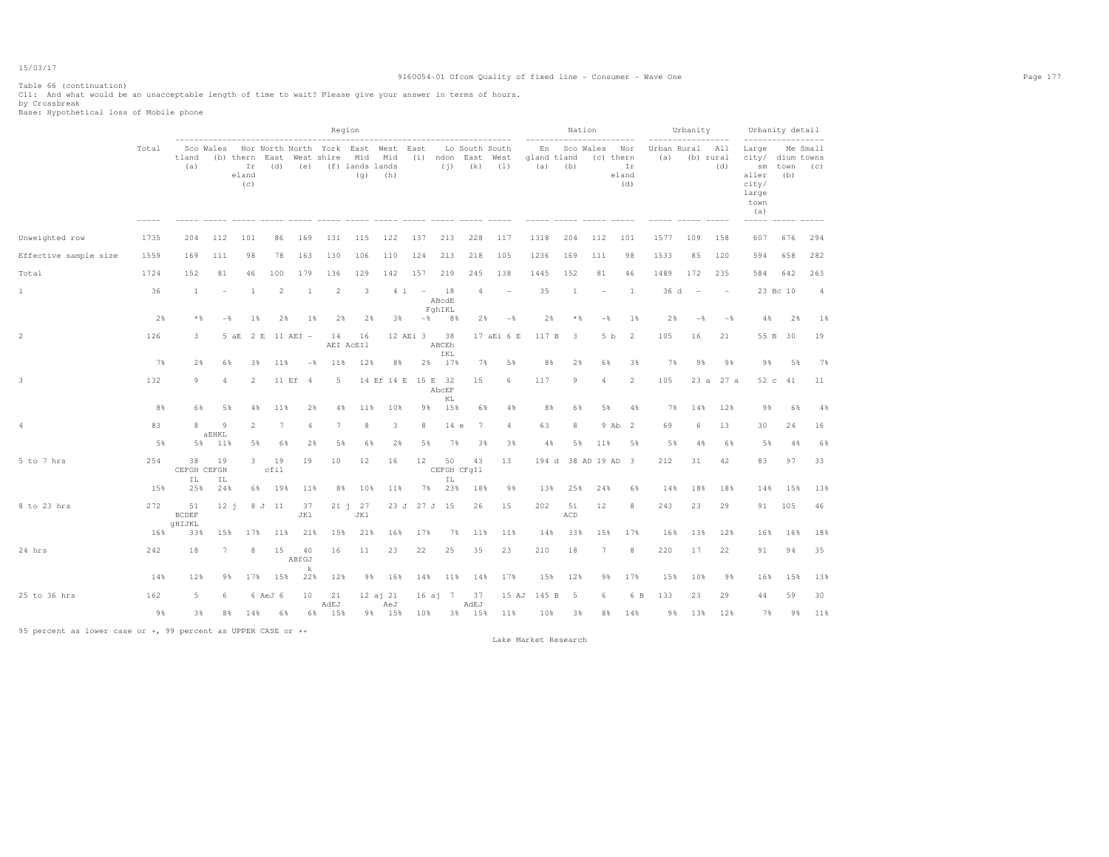# 9160054-01 Ofcom Quality of fixed line - Consumer - Wave One Page 177

Table 66 (continuation) C11: And what would be an unacceptable length of time to wait? Please give your answer in terms of hours. by Crossbreak Base: Hypothetical loss of Mobile phone

|                       |       |                              |                |                                                 |                |                  |                | Region                                                               |                  |                |                         |      |                                         |                |                          |                         | Nation         |                                        |                    | Urbanity       |                         |                                                                           | Urbanity detail |                 |
|-----------------------|-------|------------------------------|----------------|-------------------------------------------------|----------------|------------------|----------------|----------------------------------------------------------------------|------------------|----------------|-------------------------|------|-----------------------------------------|----------------|--------------------------|-------------------------|----------------|----------------------------------------|--------------------|----------------|-------------------------|---------------------------------------------------------------------------|-----------------|-----------------|
|                       | Total | tland<br>(a)                 | Sco Wales      | (b) thern East West shire<br>Ir<br>eland<br>(C) | (d)            | (e)              |                | Nor North North York East West East<br>Mid<br>(f) lands lands<br>(q) | Mid<br>(h)       | (i)            | (i)                     |      | Lo South South<br>ndon East West<br>(k) | (1)            | En<br>gland tland<br>(a) | (b)                     | Sco Wales      | Nor<br>(c) thern<br>Ir<br>eland<br>(d) | Urban Rural<br>(a) |                | All<br>(b) rural<br>(d) | Large<br>city/ dium towns<br>sm<br>aller<br>city/<br>large<br>town<br>(a) | town<br>(b)     | Me Small<br>(C) |
| Unweighted row        | 1735  | 204                          | 112            | 101                                             | 86             | 169              | 131            | 115                                                                  | 122              | 137            | 213                     |      | 228                                     | 117            | 1318                     | 204                     | 112            | 101                                    | 1577               | 109            | 158                     | 607                                                                       | 676             | 294             |
| Effective sample size | 1559  | 169                          | 111            | 98                                              | 78             | 163              | 130            | 106                                                                  | 110              | 124            | 213                     |      | 218                                     | 105            | 1236                     | 169                     | 111            | 98                                     | 1533               | 85             | 120                     | 594                                                                       | 658             | 282             |
| Total                 | 1724  | 152                          | 81             | 46                                              | 100            | 179              | 136            | 129                                                                  | 142              | 157            | 219                     |      | 245                                     | 138            | 1445                     | 152                     | 81             | 46                                     | 1489               | 172            | 235                     | 584                                                                       | 642             | 263             |
| $1\,$                 | 36    | 1                            |                | -1                                              | $\overline{2}$ | 1                | $\overline{2}$ | -3                                                                   | 4i               | $\sim$ $-$     | 18<br>ABcdE<br>FghIKL   |      | 4                                       |                | 35                       | <sup>1</sup>            |                | $\overline{1}$                         | 36 d               | $\sim$         |                         |                                                                           | 23 Bc 10        | $\overline{4}$  |
|                       | 2%    | $\star$ &                    | $-\frac{6}{5}$ | $1\%$                                           | 2%             | 1%               | 2%             | 2%                                                                   | 3%               | $-\frac{6}{6}$ |                         | 8%   | 2%                                      | $-\frac{6}{5}$ | 2%                       | * %                     | $-\frac{6}{5}$ | 1%                                     | 2%                 | $-\frac{6}{5}$ | $-\frac{6}{5}$          | 4%                                                                        | 2%              | 1%              |
| $\overline{c}$        | 126   | 3                            |                | 2 E<br>5aE                                      |                | 11 AEI -         | 14             | 16<br>AEI ACEI1                                                      |                  | 12 AEi 3       | 38<br>ABCEh<br>IKL      |      |                                         | 17 aEi 6 E     | 117 B                    | $\overline{\mathbf{3}}$ | 5 b            | $\overline{2}$                         | 105                | 16             | 21                      | 55 B                                                                      | 30              | 19              |
|                       | 7%    | 2%                           | 6%             | 3%                                              | 11%            | $-\frac{6}{5}$   | 11%            | 12%                                                                  | 8%               | 2%             | 17%                     |      | 7%                                      | 5%             | 8%                       | 2%                      | 6%             | 3%                                     | 7%                 | 9%             | 9%                      | 9%                                                                        | 5%              | 7%              |
| 3                     | 132   | 9                            | 4              | 2                                               | 11 Ef          | $\overline{4}$   | 5              |                                                                      | 14 Ef 14 E       | 15 E           | 32<br>AbcEF<br>KL       |      | 15                                      | 6              | 117                      | 9                       | 4              | 2                                      | 105                | 23a            | 27 a                    |                                                                           | 52 c 41         | 11              |
|                       | 8%    | 6%                           | 5%             | 4%                                              | 11%            | 2%               | 4%             | 11%                                                                  | 10%              | 98             | 15%                     |      | 6%                                      | 4%             | 8%                       | 6%                      | 5%             | 4%                                     | 7%                 | 14%            | 12%                     | 98                                                                        | 6%              | 4%              |
| $\overline{4}$        | 83    | $\mathcal{R}$                | 9<br>aEHKL     | 2                                               | $\overline{7}$ |                  | 7              | 8                                                                    | 3                | 8              |                         | 14 e | 7                                       | 4              | 63                       | 8                       |                | 9 Ab 2                                 | 69                 | 6              | 13                      | 30                                                                        | 24              | 16              |
|                       | 5%    | 5%                           | 11%            | 5%                                              | 6%             | 2%               | 5%             | 6%                                                                   | 2%               | 5%             |                         | 7%   | 3%                                      | 3%             | 4%                       | 5%                      | 11%            | 5%                                     | 5%                 | 4%             | 6%                      | 5%                                                                        | 4%              | 6%              |
| 5 to 7 hrs            | 254   | 38<br>CEFGH CEFGH<br>ΙL      | 19<br>ΙL       | 3                                               | 19<br>cfil     | 19               | 10             | 12                                                                   | 16               | 12             | 50<br>CEFGH CFqIl<br>ΙL |      | 43                                      | 13             | 194 d                    |                         | 38 AD 19 AD 3  |                                        | 212                | 31             | 42                      | 83                                                                        | 97              | 33              |
|                       | 15%   | 25%                          | 24%            | 6%                                              | 19%            | 11%              | 8%             | 10%                                                                  | 11%              | 7%             |                         | 23%  | 18%                                     | 9%             | 13%                      | 25%                     | 24%            | 6%                                     | 14%                | 18%            | 18%                     | 14%                                                                       | 15%             | 13%             |
| 8 to 23 hrs           | 272   | 51<br><b>BCDEF</b><br>qHIJKL | 12 i           |                                                 | 8 J 11         | 37<br>JK1        |                | 21 j 27<br>JK1                                                       | 23 J             |                | 27 J 15                 |      | 26                                      | 15             | 202                      | 51<br>ACD               | 12             | 8                                      | 243                | 23             | 29                      | 91                                                                        | 105             | 46              |
|                       | 16%   | 33%                          | 15%            | 17%                                             | 11%            | 21%              | 15%            | 21%                                                                  | 16%              | 17%            |                         | 7%   | 11%                                     | 11%            | 14%                      | 33%                     | 15%            | 17%                                    | 16%                | 13%            | 12%                     | 16%                                                                       | 16%             | 18%             |
| 24 hrs                | 242   | 18                           | $\tau$         | 8                                               | 15             | 40<br>ABfGJ<br>k | 16             | 11                                                                   | 23               | 22             | 25                      |      | 35                                      | 23             | 210                      | 18                      | $\overline{7}$ | 8                                      | 220                | 17             | 22                      | 91                                                                        | 94              | 35              |
|                       | 14%   | 12%                          | 9%             | 17%                                             | 15%            | 22%              | 12%            | 9%                                                                   | 16%              | 14%            |                         | 11%  | 14%                                     | 17%            | 15%                      | 12%                     | 9%             | 17%                                    | 15%                | 10%            | 9%                      | 16%                                                                       | 15%             | 13%             |
| 25 to 36 hrs          | 162   | 5                            | Б              |                                                 | 6 AeJ 6        | 10               | 21<br>AdEJ     |                                                                      | 12 a j 21<br>AeJ |                | $16ai$ 7                |      | 37<br>AdEJ                              | 15 AJ          | 145 B                    | -5                      | ĥ              | 6 B                                    | 133                | 23             | 29                      | 44                                                                        | 59              | 30              |
|                       | 9%    | 3%                           | 8%             | 14%                                             | 6%             |                  | 6% 15%         |                                                                      | 9% 15%           | 10%            |                         |      | 3% 15%                                  | 11%            | 10%                      | 3%                      | 8%             | 14%                                    | 98                 | 13%            | 12%                     | 7%                                                                        | 9%              | 11%             |

95 percent as lower case or +, 99 percent as UPPER CASE or ++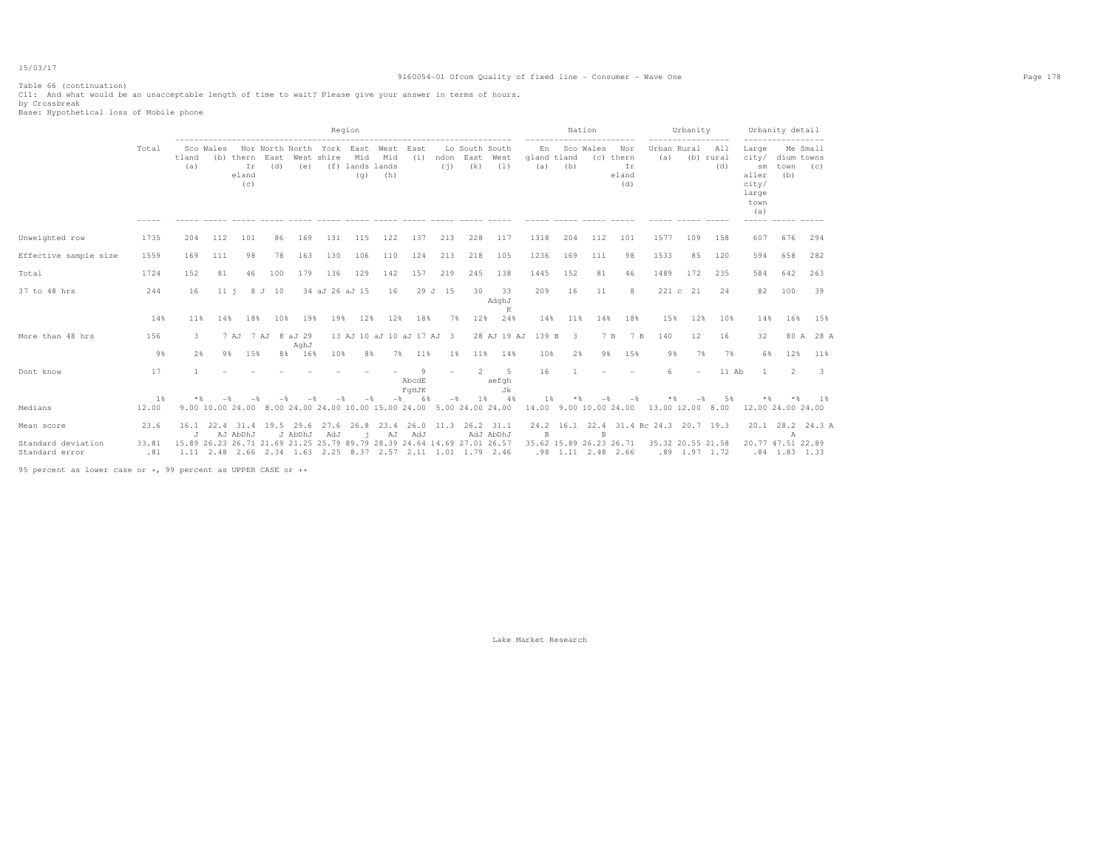# 9160054-01 Ofcom Quality of fixed line - Consumer - Wave One Page 178

Table 66 (continuation) C11: And what would be an unacceptable length of time to wait? Please give your answer in terms of hours. by Crossbreak Base: Hypothetical loss of Mobile phone

|                                      |              |                                                                         |                  |                                 |             |                               |                | Region                                |                                    |                     |             |                               |                            |                          |           | Nation               |                                        |                    | Urbanity        |                         |                                                                | Urbanity detail                       |             |
|--------------------------------------|--------------|-------------------------------------------------------------------------|------------------|---------------------------------|-------------|-------------------------------|----------------|---------------------------------------|------------------------------------|---------------------|-------------|-------------------------------|----------------------------|--------------------------|-----------|----------------------|----------------------------------------|--------------------|-----------------|-------------------------|----------------------------------------------------------------|---------------------------------------|-------------|
|                                      | Total        | tland<br>(a)                                                            | Sco Wales        | (b) thern<br>Ir<br>eland<br>(c) | East<br>(d) | Nor North North York<br>(e)   | West shire     | East<br>Mid<br>(f) lands lands<br>(q) | West<br>Mid<br>(h)                 | East<br>(i)         | ndon<br>(i) | Lo South South<br>East<br>(k) | West<br>(1)                | En<br>gland tland<br>(a) | (b)       | Sco Wales            | Nor<br>(c) thern<br>Ir<br>eland<br>(d) | Urban Rural<br>(a) |                 | All<br>(b) rural<br>(d) | Large<br>city/<br>sm<br>aller<br>city/<br>large<br>town<br>(a) | Me Small<br>dium towns<br>town<br>(b) | (c)         |
| Unweighted row                       | 1735         | 204                                                                     | 112              | 101                             | 86          | 169                           | 131            | 115                                   | 122                                | 137                 | 213         | 228                           | 117                        | 1318                     | 204       | 112                  | 101                                    | 1577               | 109             | 158                     | 607                                                            | 676                                   | 294         |
| Effective sample size                | 1559         | 169                                                                     | 111              | 98                              | 78          | 163                           | 130            | 106                                   | 110                                | 124                 | 213         | 218                           | 105                        | 1236                     | 169       | 111                  | 98                                     | 1533               | 85              | 120                     | 594                                                            | 658                                   | 282         |
| Total                                | 1724         | 152                                                                     | 81               | 46                              | 100         | 179                           | 136            | 129                                   | 142                                | 157                 | 219         | 245                           | 138                        | 1445                     | 152       | 81                   | 46                                     | 1489               | 172             | 235                     | 584                                                            | 642                                   | 263         |
| 37 to 48 hrs                         | 244          | 16                                                                      | $11-i$           | 8 J                             | 10          |                               | 34 aJ 26 aJ 15 |                                       | 16                                 |                     | 29 J 15     | 30                            | 33<br>AdghJ<br>K           | 209                      | 16        | 11                   | 8                                      | 221c               | 21              | 24                      | 82                                                             | 100                                   | 39          |
|                                      | 14%          | 11%                                                                     | 14%              | 18%                             | 10%         | 19%                           | 19%            | 12%                                   | 12%                                | 18%                 | 7%          | 12%                           | 24%                        | 14%                      | 11%       | 14%                  | 18%                                    | 15%                | 12%             | 10%                     | 14%                                                            | 16%                                   | 15%         |
| More than 48 hrs                     | 156          | 3                                                                       |                  | 7 AJ                            |             | 7 AJ 8 aJ 29<br>AghJ          |                |                                       | 13 AJ 10 aJ 10 aJ 17 AJ            |                     | - 3         |                               | 28 AJ 19 AJ                | 139 B                    | -3        | 7 B                  | 7 B                                    | 140                | 12              | 16                      | 32                                                             |                                       | 80 A 28 A   |
|                                      | 9%           | 2%                                                                      | 9%               | 15%                             |             | 8% 16%                        | 10%            | 8%                                    | 7%                                 | 11%                 | 18          | 11%                           | 14%                        | 10%                      | 2%        | 9%                   | 15%                                    | 9%                 | 7%              | 7%                      | 6%                                                             | 12%                                   | 11%         |
| Dont know                            | 17           |                                                                         |                  |                                 |             |                               |                |                                       |                                    | Q<br>AbcdE<br>FqHJK |             | $\mathcal{L}$                 | -5<br>aefgh<br>Jk          | 16                       |           |                      |                                        |                    |                 | 11 Ab                   |                                                                | $\overline{2}$                        | 3           |
|                                      | $1\%$        | $*$ &                                                                   |                  |                                 |             |                               |                |                                       |                                    | 68                  |             | 1 %                           | $-4.8$                     | 1 %                      |           |                      |                                        |                    |                 | 5%                      |                                                                |                                       | 1 %         |
| Medians                              | 12.00        |                                                                         | 9.00 10.00 24.00 |                                 |             |                               |                |                                       | 8.00 24.00 24.00 10.00 15.00 24.00 |                     |             | 5.00 24.00 24.00              |                            | 14.00 9.00 10.00 24.00   |           |                      |                                        | 13.00 12.00 8.00   |                 |                         | 12.00 24.00 24.00                                              |                                       |             |
| Mean score                           | 23.6         | J                                                                       |                  | 16.1 22.4 31.4 19.5<br>AJ AbDhJ |             | 29.6<br>J AbDhJ               | 27.6<br>AdJ    | 26.8                                  | 23.4<br>AJ                         | 26.0 11.3<br>AdJ    |             |                               | $26.2$ $31.1$<br>AdJ AbDhJ | 24.2<br>B                | 16.1 22.4 | <b>B</b>             | 31.4 Bc 24.3 20.7 19.3                 |                    |                 |                         | 20.1                                                           | $\mathbb A$                           | 28.2 24.3 A |
| Standard deviation<br>Standard error | 33.81<br>.81 | 15.89 26.23 26.71 21.69 21.25 25.79 89.79 28.39 24.64 14.69 27.01 26.57 |                  |                                 |             | 1.11 2.48 2.66 2.34 1.63 2.25 |                |                                       |                                    |                     |             | 8.37 2.57 2.11 1.01 1.79 2.46 |                            | 35.62 15.89 26.23 26.71  |           | $.98$ 1.11 2.48 2.66 |                                        | 35.32 20.55 21.58  | $.89$ 1.97 1.72 |                         | 20.77 47.51 22.89                                              | $.84$ 1.83 1.33                       |             |

95 percent as lower case or +, 99 percent as UPPER CASE or ++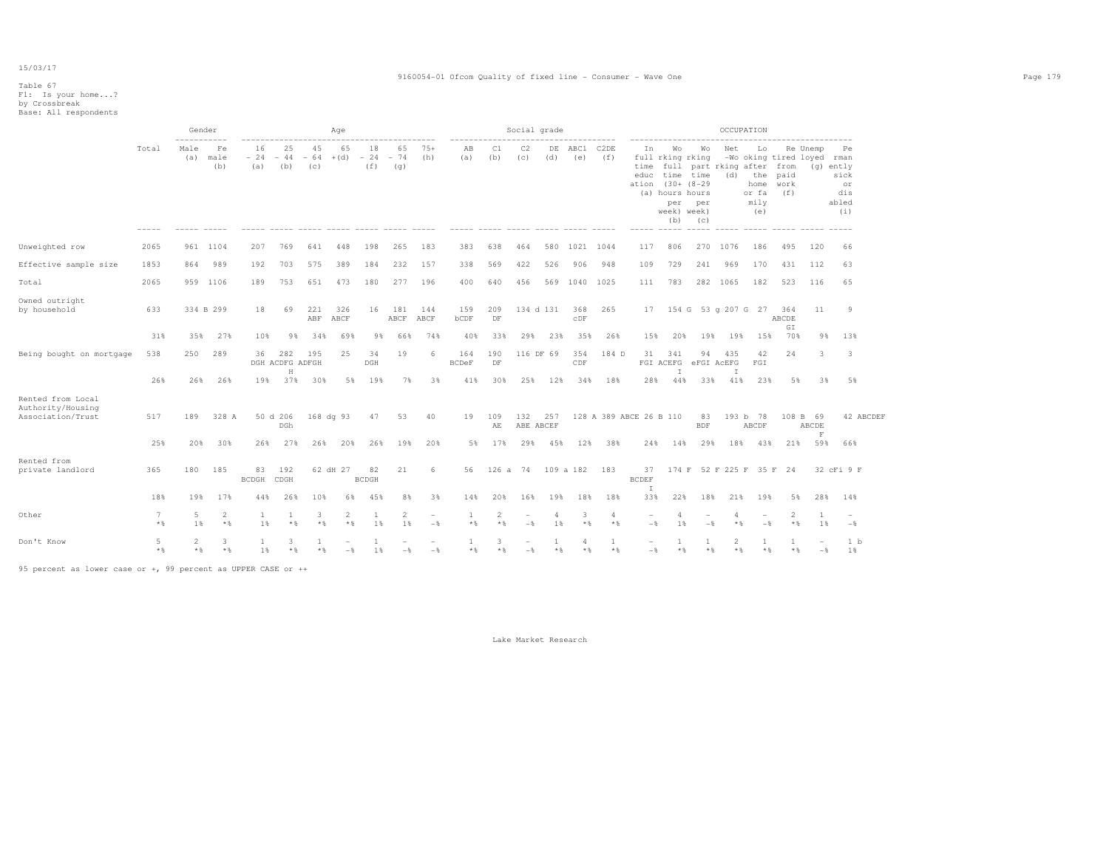# 9160054-01 Ofcom Quality of fixed line - Consumer - Wave One Page 179

# Table 67 F1: Is your home...? by Crossbreak Base: All respondents

|                                                             |                          |             | Gender                |                        |                                   |                    | Age                     |                    |                |                                 |                     |                        | Social grade     |                      |                     |                         |                                 |                                                                                                 |                                                               |          | OCCUPATION                                                               |                         |                                   |                                                        |
|-------------------------------------------------------------|--------------------------|-------------|-----------------------|------------------------|-----------------------------------|--------------------|-------------------------|--------------------|----------------|---------------------------------|---------------------|------------------------|------------------|----------------------|---------------------|-------------------------|---------------------------------|-------------------------------------------------------------------------------------------------|---------------------------------------------------------------|----------|--------------------------------------------------------------------------|-------------------------|-----------------------------------|--------------------------------------------------------|
|                                                             | Total                    | Male<br>(a) | Fe<br>male<br>(b)     | 16<br>$-24 -44$<br>(a) | 25<br>(b)                         | 45<br>$-64$<br>(c) | 65<br>$+(d) - 24 - 74$  | 18<br>(f)          | 65<br>(q)      | $75+$<br>(h)                    | AB<br>(a)           | C1<br>(b)              | C2<br>(c)        | (d)                  | DE ABC1<br>(e)      | C2DE<br>(f)             |                                 | full rking rking<br>educ time time<br>ation (30+ (8-29<br>(a) hours hours<br>week) week)<br>(b) | In Wo Wo<br>time full part rking after from<br>per per<br>(C) | Net      | Lo<br>-Wo oking tired loyed rman<br>(d) the paid<br>or fa<br>mily<br>(e) | home work<br>(f)        | Re Unemp                          | Pe<br>$(q)$ ently<br>sick<br>or<br>dis<br>abled<br>(i) |
| Unweighted row                                              | 2065                     |             | 961 1104              | 207                    | 769                               | 641                | 448                     | 198                | 265            | 183                             | 383                 | 638                    | 464              |                      | 580 1021 1044       |                         | 117                             | 806                                                                                             |                                                               | 270 1076 | 186                                                                      | 495                     | 120                               | 66                                                     |
| Effective sample size                                       | 1853                     | 864         | 989                   | 192                    | 703                               | 575                | 389                     | 184                | 232            | 157                             | 338                 | 569                    | 422              | 526                  | 906                 | 948                     | 109                             | 729                                                                                             | 241                                                           | 969      | 170                                                                      | 431                     | 112                               | 63                                                     |
| Total                                                       | 2065                     |             | 959 1106              | 189                    | 753                               | 651                | 473                     | 180                | 277            | 196                             | 400                 | 640                    | 456              |                      | 569 1040 1025       |                         | 111                             | 783                                                                                             |                                                               | 282 1065 | 182                                                                      | 523                     | 116                               | 65                                                     |
| Owned outright<br>by household                              | 633                      |             | 334 B 299             | 18                     | 69                                | 221<br>ABF         | 326<br>ABCF             | 16                 | 181<br>ABCF    | 144<br>ABCF                     | 159<br>bCDF         | 209<br>DF              |                  | 134 d 131            | 368<br>$_{\rm CDF}$ | 265                     |                                 |                                                                                                 | 17 154 G 53 g 207 G 27 364                                    |          |                                                                          | ABCDE                   | 11                                | -9                                                     |
|                                                             | 31%                      | 35%         | 27%                   | 10%                    | 9%                                | 34%                | 69%                     | 9%                 | 66%            | 74%                             | 40%                 | 33%                    | 29%              | 23%                  | 35%                 | 26%                     | 15%                             | 20%                                                                                             | 19%                                                           | 19%      | 15%                                                                      | GI<br>70%               | 9%                                | 13%                                                    |
| Being bought on mortgage                                    | 538                      | 250         | 289                   | 36                     | 282<br>DGH ACDFG ADFGH<br>$\rm H$ | 195                | 25                      | 34<br>DGH          | 19             | 6                               | 164<br><b>BCDeF</b> | 190<br>DF              |                  | 116 DF 69            | 354<br>CDF          | 184 D                   | 31                              | 341<br>$\mathbb{I}$                                                                             | 94<br>FGI ACEFG eFGI ACEFG                                    | 435<br>I | 42<br>FGI                                                                | 24                      | 3                                 | 3                                                      |
|                                                             | 26%                      | 26%         | 26%                   | 19%                    | 37%                               | 30%                |                         | 5% 19%             | 7%             | 3%                              | 41%                 | 30%                    |                  | 25% 12%              | 34%                 | 18%                     | 28%                             | 44%                                                                                             | 33%                                                           | 41%      | 23%                                                                      | 5%                      | 3%                                | 5%                                                     |
| Rented from Local<br>Authority/Housing<br>Association/Trust | 517                      | 189         | 328 A                 |                        | 50 d 206<br>DGh                   |                    | 168 dg 93               |                    | 47 53          | 40                              | 19                  | 109<br>AE              | 132<br>ABE ABCEF | 257                  |                     | 128 A 389 ABCE 26 B 110 |                                 |                                                                                                 | 83<br><b>BDF</b>                                              |          | 193 b 78<br>ABCDF                                                        |                         | 108 B 69<br>ABCDE<br>$\mathbf{F}$ | 42 ABCDEF                                              |
|                                                             | 25%                      | 20%         | 30%                   |                        | 26% 27%                           |                    | 26% 20%                 |                    | 26% 19%        | 20%                             |                     | 5% 17% 29% 45% 12% 38% |                  |                      |                     |                         |                                 |                                                                                                 | 24% 14% 29% 18% 43%                                           |          |                                                                          |                         | 21% 59%                           | 66%                                                    |
| Rented from<br>private landlord                             | 365                      | 180         | 185                   | 83<br><b>BCDGH</b>     | 192<br>CDGH                       |                    | 62 dH 27                | 82<br><b>BCDGH</b> | 21             | 6.                              | 56                  | 126 a 74               |                  |                      | 109 a 182 183       |                         | <b>BCDEF</b>                    |                                                                                                 | 37 174 F 52 F 225 F 35 F 24                                   |          |                                                                          |                         |                                   | 32 cFi 9 F                                             |
|                                                             | 18%                      | 19%         | 17%                   | 44%                    | 26%                               | 10%                | 6%                      | 45%                | 8%             | 3%                              | 14%                 | 20%                    | 16%              | 19%                  | 18%                 | 18%                     | T<br>33%                        | 22%                                                                                             | 18%                                                           | 21%      | 19%                                                                      | 5%                      | 28%                               | 14%                                                    |
| Other                                                       | $7\phantom{.0}$<br>$*$ & | 5<br>1 %    | $\mathfrak{D}$<br>$*$ | -1<br>1 %              | 1<br>$*$ %                        | 3<br>$*$ %         | $\overline{2}$<br>$*$ & | 1%                 | 2<br>1 %       | $\overline{\phantom{a}}$<br>$-$ | -1<br>$*$ &         | $\overline{2}$<br>$*$  | $-$              | $\overline{4}$<br>1% | 3<br>$*$ %          | 4<br>$*$ %              | $\overline{\phantom{a}}$<br>$-$ | 4<br>1%                                                                                         | $-$                                                           | $*$      | $\overline{\phantom{0}}$<br>$-$                                          | $\mathfrak{D}$<br>$*$ % | 1 %                               | $\sim$<br>$-$                                          |
| Don't Know                                                  | 5<br>$*$                 | 2<br>$*$ &  | 3<br>$*$ %            | -1.<br>1%              | 3<br>$*$ &                        | $*$ &              | $-$                     | 1%                 | $-\frac{6}{5}$ | $-\frac{6}{5}$                  | -1<br>$*$ &         | 3<br>$*$               | $-$              | $*$                  | $*$ &               | 1<br>$*$ %              | $-\frac{6}{5}$                  | -1<br>$*$ &                                                                                     | $*$ &                                                         | 2<br>$*$ | $*$ &                                                                    | 1<br>$\star$ &          | $-$                               | 1 b<br>1%                                              |
|                                                             |                          |             |                       |                        |                                   |                    |                         |                    |                |                                 |                     |                        |                  |                      |                     |                         |                                 |                                                                                                 |                                                               |          |                                                                          |                         |                                   |                                                        |

95 percent as lower case or +, 99 percent as UPPER CASE or ++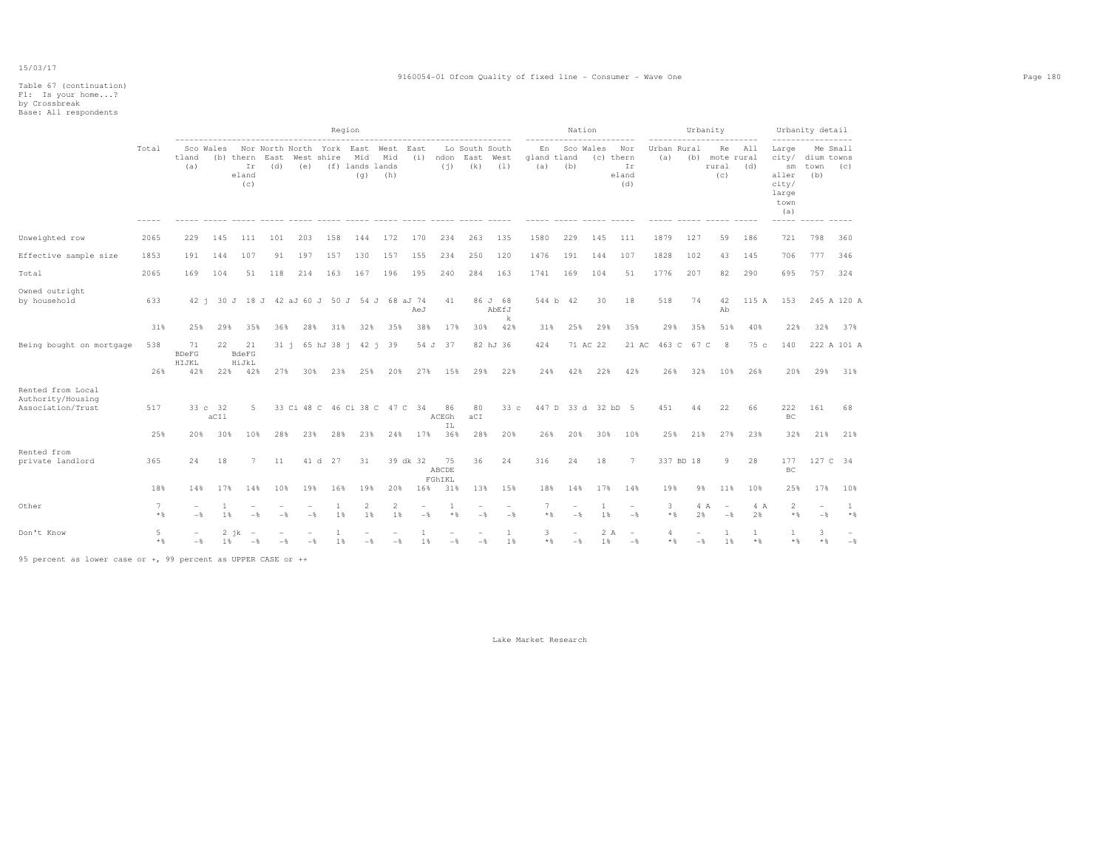|                                                             |                                 |                                    |                        |                                 |                                         |            |                | Region                                          |                                      |             |                              |                       |                       |                              |                                 | Nation          |                                        |                   |                    | Urbanity                                          |                     |                                                                                    | Urbanity detail |                    |
|-------------------------------------------------------------|---------------------------------|------------------------------------|------------------------|---------------------------------|-----------------------------------------|------------|----------------|-------------------------------------------------|--------------------------------------|-------------|------------------------------|-----------------------|-----------------------|------------------------------|---------------------------------|-----------------|----------------------------------------|-------------------|--------------------|---------------------------------------------------|---------------------|------------------------------------------------------------------------------------|-----------------|--------------------|
|                                                             | Total                           | tland<br>(a)                       | Sco Wales              | (b) thern<br>Ir<br>eland<br>(c) | Nor North North<br>East<br>(d)          | (e)        | West shire     | York East West<br>Mid<br>(f) lands lands<br>(q) | Mid<br>(h)                           | East<br>(i) | ndon<br>(i)                  | Lo South South<br>(k) | East West<br>(1)      | En<br>(a)                    | gland tland<br>(b)              | Sco Wales       | Nor<br>(c) thern<br>Ir<br>eland<br>(d) | (a)               | Urban Rural<br>(b) | Re<br>mote rural<br>rural<br>(C)                  | All<br>(d)          | Large<br>city/ dium towns<br>sm<br>aller<br>city/<br>large<br>town<br>(a)<br>----- | town<br>(b)     | Me Small<br>(c)    |
| Unweighted row                                              | 2065                            | 229                                | 145                    | 111                             | 101                                     | 203        | 158            | 144                                             | 172                                  | 170         | 234                          | 263                   | 135                   | 1580                         | 229                             | 145             | 111                                    | 1879              | 127                | 59                                                | 186                 | 721                                                                                | 798             | 360                |
| Effective sample size                                       | 1853                            | 191                                | 144                    | 107                             | 91                                      | 197        | 157            | 130                                             | 157                                  | 155         | 234                          | 250                   | 120                   | 1476                         | 191                             | 144             | 107                                    | 1828              | 102                | 43                                                | 145                 | 706                                                                                | 777             | 346                |
| Total                                                       | 2065                            | 169                                | 104                    | 51                              | 118                                     | 214        | 163            | 167                                             | 196                                  | 195         | 240                          | 284                   | 163                   | 1741                         | 169                             | 104             | 51                                     | 1776              | 207                | 82                                                | 290                 | 695                                                                                | 757             | 324                |
| Owned outright<br>by household                              | 633                             | 42 i                               |                        |                                 | 30 J 18 J 42 aJ 60 J 50 J 54 J 68 aJ 74 |            |                |                                                 |                                      | AeJ         | 41                           |                       | 86 J 68<br>AbEfJ<br>k |                              | 544 b 42                        | 30              | 18                                     | 518               | 74                 | 42<br>Ab                                          | 115 A               | 153                                                                                |                 | 245 A 120 A        |
|                                                             | 31%                             | 25%                                | 29%                    | 35%                             | 36%                                     | 28%        | 31%            | 32%                                             | 35%                                  | 38%         | 17%                          | 30%                   | 42%                   | 31%                          | 25%                             | 29%             | 35%                                    | 29%               | 35%                | 51%                                               | 40%                 | 22%                                                                                | 32%             | 37%                |
| Being bought on mortgage                                    | 538<br>26%                      | 71<br><b>BDeFG</b><br>HIJKL<br>42% | 22                     | 21<br>BdeFG<br>HiJkL<br>22% 42% | 27%                                     | 30%        | 23%            | 31 i 65 hJ 38 i 42 i 39<br>25%                  | 20%                                  | 27%         | 54 J 37<br>15%               | 29%                   | 82 hJ 36<br>22%       | 424<br>24%                   | 42%                             | 71 AC 22<br>22% | 21 AC<br>42%                           | 26%               | 463 C 67 C<br>32%  | 8<br>10%                                          | 75 c<br>26%         | 140<br>20%                                                                         | 29%             | 222 A 101 A<br>31% |
| Rented from Local<br>Authority/Housing<br>Association/Trust | 517<br>25%                      | 20%                                | 33 c 32<br>aCIl<br>30% | 5<br>10%                        | 28%                                     | 23%        | 28%            | 23%                                             | 33 Ci 48 C 46 Ci 38 C 47 C 34<br>24% | 17%         | 86<br>ACEGh<br>IL<br>36%     | 80<br>aCI<br>28%      | 33c<br>20%            | 26%                          | 447 D 33 d 32 bD 5<br>20%       | 30%             | 10%                                    | 451<br>25%        | 44<br>21%          | 22<br>27%                                         | 66<br>23%           | 222<br>BC<br>32%                                                                   | 161<br>21%      | 68<br>21%          |
| Rented from<br>private landlord                             | 365                             | 24                                 | 18                     | 7                               | 11                                      | 41 d       | 27             | 31                                              |                                      | 39 dk 32    | 75<br>ABCDE<br>FGhIKL        | 36                    | 24                    | 316                          | 24                              | 18              | 7                                      |                   | 337 BD 18          | 9                                                 | 28                  | 177<br>BC                                                                          | 127 C 34        |                    |
| Other                                                       | 18%<br>$7\phantom{.0}$<br>$*$ & | 14%<br>$-\frac{6}{5}$              | 17%<br>1<br>1%         | 14%<br>$-$                      | 10%<br>$-$                              | 19%<br>$-$ | 16%<br>1<br>1% | 19%<br>2<br>1%                                  | 20%<br>2<br>1%                       | 16%<br>$-$  | 31%<br>$\mathbf{1}$<br>$*$ & | 13%<br>$-$            | 15%<br>$-$            | 18%<br>$\overline{7}$<br>$*$ | 14%<br>۰<br>$-$                 | 17%<br>-1<br>1% | 14%<br>$\overline{\phantom{a}}$<br>$-$ | 19%<br>3<br>$*$ % | 9%<br>4 A<br>2%    | 11%<br>$\overline{\phantom{a}}$<br>$-\frac{6}{5}$ | 10%<br>4 A<br>2%    | 25%<br>$\overline{2}$<br>$*$ &                                                     | 17%<br>$-$      | 10%<br>1<br>$*$ %  |
| Don't Know                                                  | 5<br>$*$ %                      | $-$                                | 1 %                    | $2$ $ik$<br>$-$                 | $-$                                     | $-$        | 1%             | $-$                                             | $-$                                  | 1%          | $-\frac{6}{5}$               | $-\frac{6}{5}$        | $\mathbf{1}$<br>1%    | 3<br>$*$                     | $\overline{\phantom{a}}$<br>$-$ | 1%              | 2 A<br>$\overline{\phantom{a}}$<br>$-$ | 4<br>$*$ %        | $-$                | 1 %                                               | $\mathbf{1}$<br>$*$ | $*$ &                                                                              | 3<br>$*$ %      | $-$                |

95 percent as lower case or +, 99 percent as UPPER CASE or ++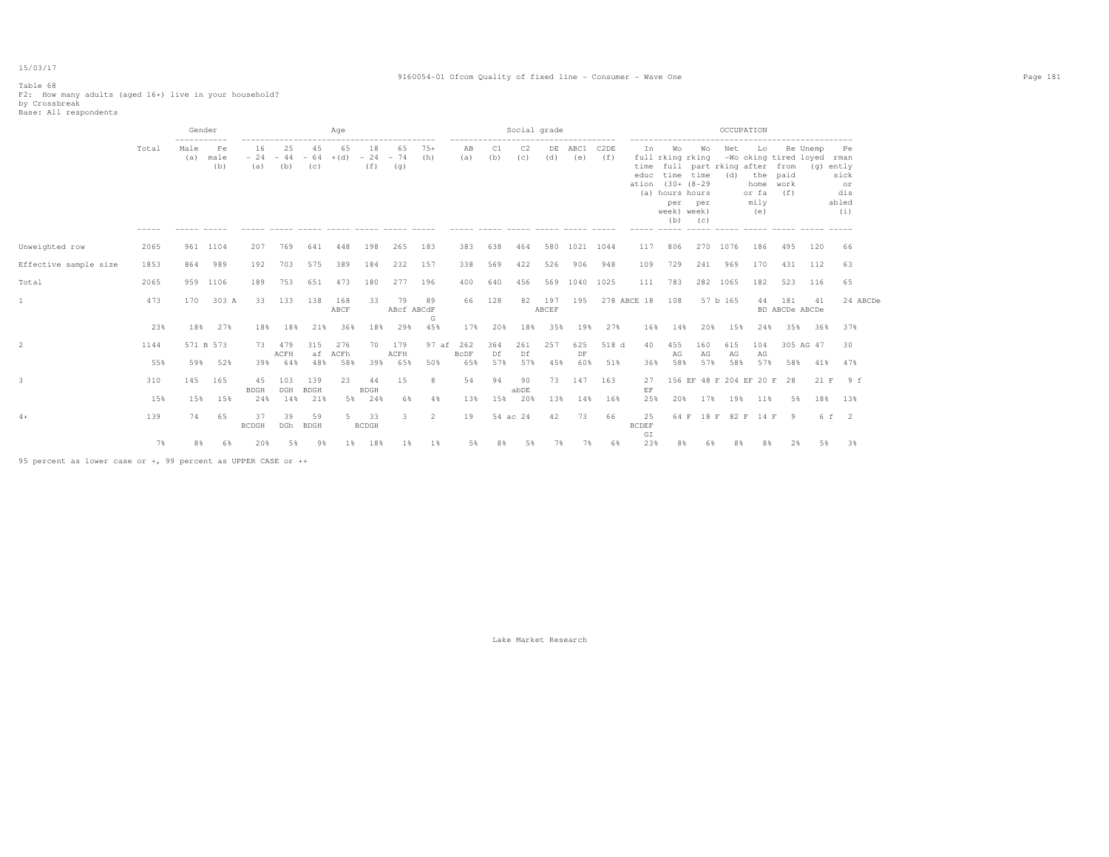#### 9160054-01 Ofcom Quality of fixed line - Consumer - Wave One Page 181

## Table 68 F2: How many adults (aged 16+) live in your household? by Crossbreak Base: All respondents

|                       |       | Gender<br>----------- |                   |                        |             |                    | Age               |                    |                    |              |                                                    |           | Social grade |              |                |             | OCCUPATION                |                                                                                          |                             |            |                                                                                                     |                       |                 |                                                          |  |  |  |
|-----------------------|-------|-----------------------|-------------------|------------------------|-------------|--------------------|-------------------|--------------------|--------------------|--------------|----------------------------------------------------|-----------|--------------|--------------|----------------|-------------|---------------------------|------------------------------------------------------------------------------------------|-----------------------------|------------|-----------------------------------------------------------------------------------------------------|-----------------------|-----------------|----------------------------------------------------------|--|--|--|
|                       | Total | Male<br>(a)           | Fe<br>male<br>(b) | 16<br>$-24 -44$<br>(a) | 25<br>(b)   | 45<br>$-64$<br>(c) | 65<br>$+(d) - 24$ | 18<br>(f)          | 65<br>$-74$<br>(q) | $75+$<br>(h) | -------------------------------------<br>AB<br>(a) | C1<br>(b) | C2<br>(C)    | (d)          | DE ABC1<br>(e) | C2DE<br>(f) | In<br>ation (30+ (8-29)   | <b>Wo</b><br>full rking rking<br>educ time time<br>(a) hours hours<br>week) week)<br>(b) | <b>Wo</b><br>per per<br>(C) | Net<br>(d) | Lo<br>-Wo oking tired loyed<br>time full part rking after from<br>home work<br>or fa<br>mily<br>(e) | the paid<br>(f)       | Re Unemp<br>(α) | Pe<br>rman<br>ently<br>sick<br>or<br>dis<br>abled<br>(i) |  |  |  |
| Unweighted row        | 2065  | 961 1104              |                   | 207                    | 769         | 641                | 448               | 198                | 265                | 183          | 383                                                | 638       | 464          |              | 580 1021 1044  |             | 117                       | 806                                                                                      | 270                         | 1076       | 186                                                                                                 | 495                   | 120             | 66                                                       |  |  |  |
| Effective sample size | 1853  | 864                   | 989               | 192                    | 703         | 575                | 389               | 184                | 232                | 157          | 338                                                | 569       | 422          | 526          | 906            | 948         | 109                       | 729                                                                                      | 241                         | 969        | 170                                                                                                 | 431                   | 112             | 63                                                       |  |  |  |
| Total                 | 2065  | 959 1106              |                   | 189                    | 753         | 651                | 473               | 180                | 277                | 196          | 400                                                | 640       | 456          |              | 569 1040 1025  |             | 111                       | 783                                                                                      |                             | 282 1065   | 182                                                                                                 | 523                   | 116             | 65                                                       |  |  |  |
|                       | 473   | 170                   | 303 A             | 33                     | 133         | 138                | 168<br>ABCF       | 33                 | 79<br>ABcf ABCdF   | 89           | 66                                                 | 128       | 82           | 197<br>ABCEF | 195            |             | 278 ABCE 18               | 108                                                                                      |                             | 57 b 165   | 44                                                                                                  | 181<br>BD ABCDe ABCDe | 41              | 24 ABCDe                                                 |  |  |  |
|                       | 23%   | 18%                   | 27%               | 18%                    | 18%         | 21%                | 36%               | 18%                | 29%                | G<br>45%     | 17%                                                | 20%       |              | 18% 35%      | 19%            | 27%         |                           | 16% 14%                                                                                  | 20%                         | 15%        | 24%                                                                                                 | 35%                   | 36%             | 37%                                                      |  |  |  |
|                       | 1144  | 571 B 573             |                   | 73                     | 479<br>ACFH | 315<br>af          | 276<br>ACFh       | 70                 | 179<br>ACFH        | 97 af        | 262<br>BcDF                                        | 364<br>Df | 261<br>Df    | 257          | 625<br>DF      | 518 d       | 40                        | 455<br>AG                                                                                | 160<br>AG                   | 615<br>AG  | 104<br>AG                                                                                           |                       | 305 AG 47       | 30                                                       |  |  |  |
|                       | 55%   | 59%                   | 52%               |                        | 39% 64%     | 48%                | 58%               | 39%                | 65%                | 50%          | 65%                                                | 57%       | 57%          | 45%          | 60%            | 51%         | 36%                       | 58%                                                                                      | 57%                         | 58%        | 57%                                                                                                 | 58%                   | 41%             | 47%                                                      |  |  |  |
|                       | 310   | 145                   | 165               | 4.5<br><b>BDGH</b>     | 103<br>DGH  | 139<br><b>BDGH</b> | 23                | 44<br><b>BDGH</b>  | 15                 | 8            | 54                                                 | 94        | 90<br>abDE   |              | 73 147 163     |             | 27<br>$\operatorname{EF}$ |                                                                                          |                             |            | 156 EF 48 F 204 EF 20 F 28                                                                          |                       |                 | 21 F 9 f                                                 |  |  |  |
|                       | 15%   | 15%                   | 15%               | 24%                    | 14%         | 21%                | 5%                | 24%                | 6%                 | $4\%$        | 13%                                                | 15%       | 20%          | 13%          | 14%            | 16%         | 25%                       | 20%                                                                                      | 17%                         | 19%        | 11%                                                                                                 | 5%                    | 18%             | 13%                                                      |  |  |  |
| $4+$                  | 139   | 74                    | 65                | 37<br><b>BCDGH</b>     | 39<br>DGh   | 59<br>BDGH         | $5 -$             | 33<br><b>BCDGH</b> | 3                  | 2            | 19                                                 |           | 54 ac 24     | 42           | 73             | 66          | 25<br><b>BCDEF</b><br>GI  | 64 F                                                                                     |                             |            | 18 F 82 F 14 F 9                                                                                    |                       |                 | 6 f 2                                                    |  |  |  |
|                       | 7%    | 8%                    | 6%                | 20%                    | 5%          | 98                 | $1\%$             | 18%                | $1\%$              | 1%           | 5%                                                 | 8%        | 5%           | 7%           | 7%             | 6%          | 23%                       | 8%                                                                                       | 6%                          | 8%         | 8%                                                                                                  | 2%                    | 5%              | 3%                                                       |  |  |  |

95 percent as lower case or +, 99 percent as UPPER CASE or ++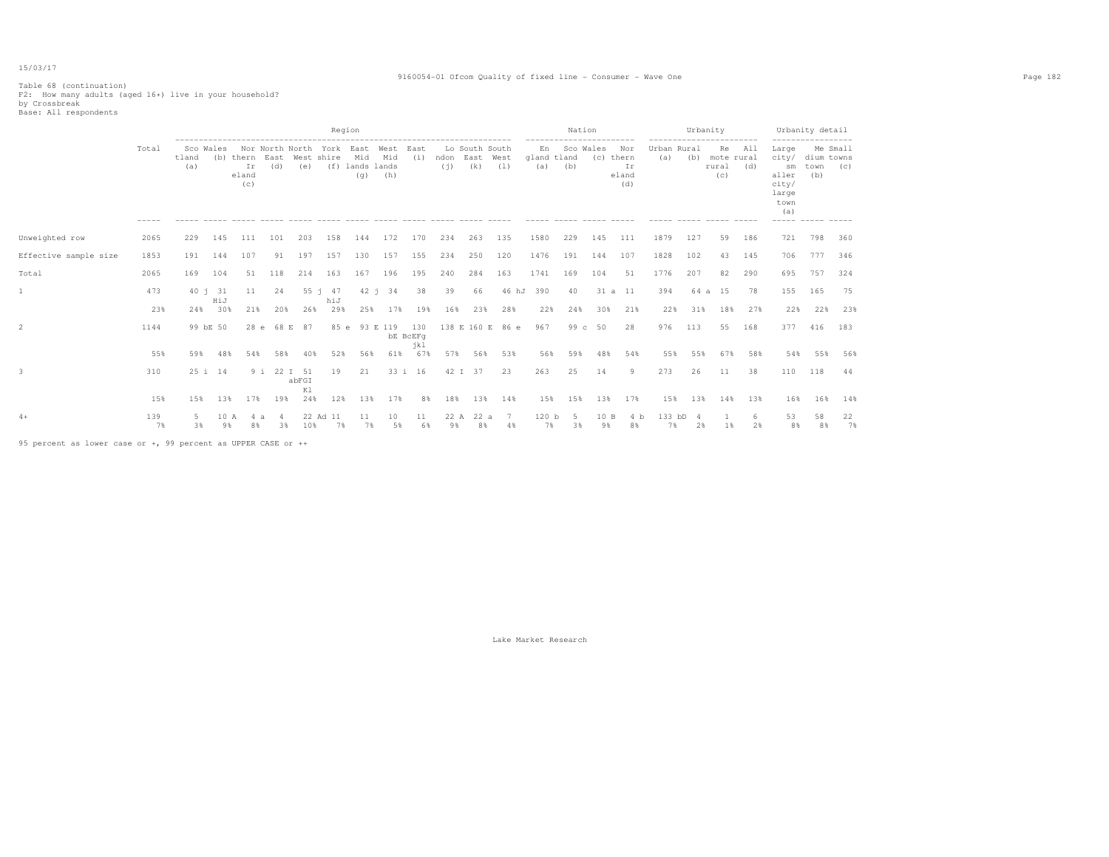#### 9160054-01 Ofcom Quality of fixed line - Consumer - Wave One Page 182

Table 68 (continuation) F2: How many adults (aged 16+) live in your household? by Crossbreak Base: All respondents

|                       |                   |              | Region     |                                      |             |             |                                         |                               |                    |                        |                       |                       |       |                                           |                                                   |            |                                                            |                                   | Urbanity |                                                                   | Urbanity detail<br>------------------ |                                                                                     |                                       |          |
|-----------------------|-------------------|--------------|------------|--------------------------------------|-------------|-------------|-----------------------------------------|-------------------------------|--------------------|------------------------|-----------------------|-----------------------|-------|-------------------------------------------|---------------------------------------------------|------------|------------------------------------------------------------|-----------------------------------|----------|-------------------------------------------------------------------|---------------------------------------|-------------------------------------------------------------------------------------|---------------------------------------|----------|
|                       | Total<br>$------$ | tland<br>(a) | Sco Wales  | (b) thern East<br>Ir<br>eland<br>(c) | (d)         | (e)         | Nor North North York East<br>West shire | Mid<br>(f) lands lands<br>(q) | West<br>Mid<br>(h) | East<br>(i)            | ndon East West<br>(i) | Lo South South<br>(k) | (1)   | En<br>gland tland<br>(a)<br>$--- - - - -$ | Sco Wales<br>(b)<br>$\cdots \cdots \cdots \cdots$ | (c) thern  | Nor<br>Ir<br>eland<br>(d)<br>$\cdots \cdots \cdots \cdots$ | Urban Rural<br>(a)<br>$- - - - -$ | (b)      | -------------<br>Re<br>mote rural<br>rural<br>(C)<br>------ ----- | All<br>(d)                            | Large<br>city/<br>sm<br>aller<br>city/<br>large<br>town<br>(a)<br>------ ----- ---- | Me Small<br>dium towns<br>town<br>(b) | (C)      |
| Unweighted row        | 2065              | 229          | 145        | 111                                  | 101         | 203         | 158                                     | 144                           | 172                | 170                    | 234                   | 263                   | 135   | 1580                                      | 229                                               | 145        | 111                                                        | 1879                              | 127      | 59                                                                | 186                                   | 721                                                                                 | 798                                   | 360      |
| Effective sample size | 1853              | 191          | 144        | 107                                  | 91          | 197         | 157                                     | 130                           | 157                | 155                    | 234                   | 250                   | 120   | 1476                                      | 191                                               | 144        | 107                                                        | 1828                              | 102      | 43                                                                | 145                                   | 706                                                                                 | 777                                   | 346      |
| Total                 | 2065              | 169          | 104        | 51                                   | 118         | 214         | 163                                     | 167                           | 196                | 195                    | 240                   | 284                   | 163   | 1741                                      | 169                                               | 104        | 51                                                         | 1776                              | 207      | 82                                                                | 290                                   | 695                                                                                 | 757                                   | 324      |
|                       | 473               |              | 40 i 31    | 11                                   | 24          |             | $55 \t1 \t47$                           | 42 i                          | 34                 | 38                     | 39                    | 66                    | 46 hJ | 390                                       | 40                                                | 31 a 11    |                                                            | 394                               | 64 a     | 15                                                                | 78                                    | 155                                                                                 | 165                                   | 75       |
|                       | 23%               | 24%          | HiJ<br>30% | 21%                                  | 20%         | 26%         | hiJ<br>29%                              | 25%                           | 17%                | 19%                    | 16%                   | 23%                   | 28%   | 22%                                       | 24%                                               | 30%        | 21%                                                        | 22%                               | 31%      | 18%                                                               | 27%                                   | 22%                                                                                 | 22%                                   | 23%      |
|                       | 1144              |              | 99 bE 50   | 28e                                  | 68 E        | 87          | 85 e                                    |                               | 93 E 119           | 130<br>bE BcEFq<br>jk1 |                       | 138 E 160 E           | 86 e  | 967                                       | 99 $c$                                            | 50         | 28                                                         | 976                               | 113      | 55                                                                | 168                                   | 377                                                                                 | 416                                   | 183      |
|                       | 55%               | 59%          | 48%        | 54%                                  | 58%         | 40%         | 52%                                     | 56%                           | 61%                | 67%                    | 57%                   | 56%                   | 53%   | 56%                                       | 59%                                               | 48%        | 54%                                                        | 55%                               | 55%      | 67%                                                               | 58%                                   | 54%                                                                                 | 55%                                   | 56%      |
|                       | 310               |              | 25 i 14    |                                      | 9 i 22 I 51 | abFGI<br>K1 | 19                                      | 21                            |                    | 33 i 16                |                       | 42 I 37               | 23    | 263                                       | 25                                                | 14         | 9                                                          | 273                               | 26       | 11                                                                | 38                                    | 110                                                                                 | 118                                   | 44       |
|                       | 15%               | 15%          | 13%        | 17%                                  | 19%         | 24%         | 12%                                     | 13%                           | 17%                | 8%                     | 18%                   | 13%                   | 14%   | 15%                                       | 15%                                               | 13%        | 17%                                                        | 15%                               | 13%      | 14%                                                               | 13%                                   | 16%                                                                                 | 16%                                   | 14%      |
| $4+$                  | 139<br>7%         | -5<br>3%     | 10 A<br>9% | 8%                                   | 3%          | 10%         | 22 Ad 11<br>7%                          | 11<br>7%                      | 10<br>5%           | 11<br>6%               | 22 A<br>9%            | 22 a<br>8%            | 4%    | 120 <sub>b</sub><br>7%                    | -5<br>3%                                          | 10 B<br>9% | 4 h<br>8%                                                  | 133 bD<br>7%                      | 2%       | 1%                                                                | 6.<br>2%                              | 53<br>8%                                                                            | 58<br>8%                              | 22<br>7% |

95 percent as lower case or +, 99 percent as UPPER CASE or ++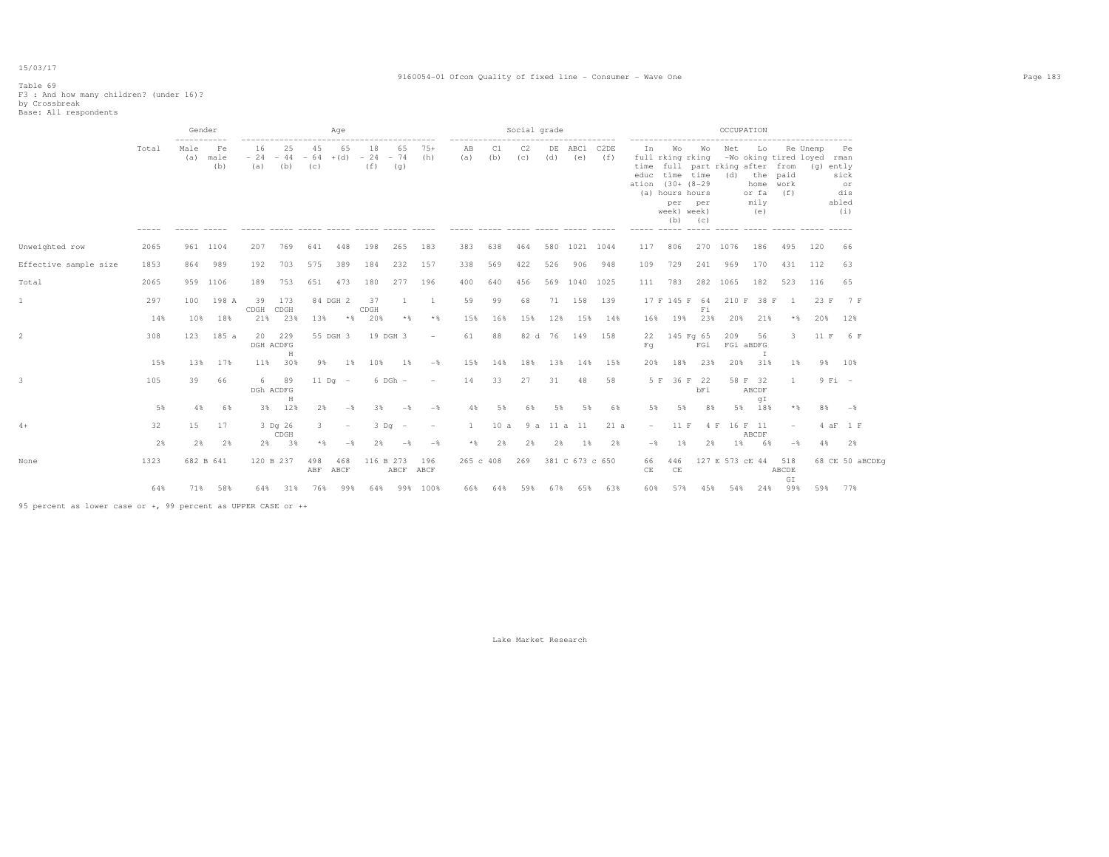#### 9160054-01 Ofcom Quality of fixed line - Consumer - Wave One Page 183

# Table 69 F3 : And how many children? (under 16)? by Crossbreak Base: All respondents

|                       |       |             | Gender<br>Social grade<br>Age<br>-----------<br>--------------------<br>-------------- |            |                                |            |                          |                                    |                        |                          |              | OCCUPATION |           |         |                 |             |                                            |                                             |                          |             |                                                                                                                                         |                          |          |                                                      |
|-----------------------|-------|-------------|----------------------------------------------------------------------------------------|------------|--------------------------------|------------|--------------------------|------------------------------------|------------------------|--------------------------|--------------|------------|-----------|---------|-----------------|-------------|--------------------------------------------|---------------------------------------------|--------------------------|-------------|-----------------------------------------------------------------------------------------------------------------------------------------|--------------------------|----------|------------------------------------------------------|
|                       | Total | Male<br>(a) | Fe<br>male<br>(b)                                                                      | 16<br>(a)  | -25<br>$-24 -44$<br>(b)        | 45<br>(c)  | 65                       | 18<br>$-64$ +(d) $-24$ - 74<br>(f) | 65<br>(q)              | $75+$<br>(h)             | AB<br>(a)    | C1<br>(b)  | C2<br>(C) | (d)     | DE ABC1<br>(e)  | C2DE<br>(f) | In<br>full rking rking<br>ation (30+ (8-29 | Wo<br>(a) hours hours<br>per<br>week) week) | Wo<br>per<br>$(b)$ $(c)$ | Net         | Lo<br>-Wo oking tired loyed rman<br>time full part rking after from<br>educ time time (d) the paid<br>home work<br>or fa<br>mily<br>(e) | (f)                      | Re Unemp | Pe<br>(g) ently<br>sick<br>or<br>dis<br>abled<br>(i) |
| Unweighted row        | 2065  |             | 961 1104                                                                               | 207        | 769                            | 641        | 448                      | 198                                | 265                    | 183                      | 383          | 638        | 464       |         | 580 1021 1044   |             | 117                                        | 806                                         |                          | 270 1076    | 186                                                                                                                                     | 495                      | 120      | 66                                                   |
| Effective sample size | 1853  | 864         | 989                                                                                    | 192        | 703                            | 575        | 389                      | 184                                | 232                    | 157                      | 338          | 569        | 422       | 526     | 906             | 948         | 109                                        | 729                                         | 241                      | 969         | 170                                                                                                                                     | 431                      | 112      | 63                                                   |
| Total                 | 2065  |             | 959 1106                                                                               | 189        | 753                            | 651        | 473                      | 180                                | 277                    | 196                      | 400          | 640        | 456       |         | 569 1040 1025   |             | 111                                        | 783                                         |                          | 282 1065    | 182                                                                                                                                     | 523                      | 116      | 65                                                   |
| 1                     | 297   | 100         | 198 A                                                                                  | 39<br>CDGH | 173<br>CDGH                    |            | 84 DGH 2                 | 37<br>CDGH                         | $\mathbf{1}$           | <sup>1</sup>             | 59           | 99         | 68        | 71      | 158             | 139         |                                            | 17 F 145 F 64                               | Fi                       |             | 210 F 38 F                                                                                                                              | $\mathbf{1}$             | 23 F     | 7 F                                                  |
|                       | 14%   | 10%         | 18%                                                                                    | 21%        | 23%                            | 13%        | $*$ $\frac{6}{5}$        | 20%                                | * %                    | $*$ &                    | 15%          | 16%        | 15%       | 12%     |                 | 15% 14%     | 16%                                        | 19%                                         | 23%                      | 20%         | 21%                                                                                                                                     | $*$ &                    | 20%      | 12%                                                  |
| 2                     | 308   | 123         | 185 a                                                                                  | 20         | 229<br>DGH ACDFG<br>$_{\rm H}$ |            | 55 DGH 3                 |                                    | 19 DGH 3               | $\overline{\phantom{a}}$ | 61           | 88         |           | 82 d 76 | 149             | 158         | 22<br>Fq                                   | 145 Fg 65                                   | FGi                      | 209         | 56<br>FGi aBDFG<br>I                                                                                                                    | 3                        | 11 F     | 6 F                                                  |
|                       | 15%   | 13%         | 17%                                                                                    |            | 11% 30%                        | 9%         | 1%                       | 10%                                | 18                     | $-$ 8                    | 15%          | 14%        | 18%       | 13%     | 14%             | 15%         | 20%                                        | 18%                                         | 23%                      | 20%         | 31%                                                                                                                                     | 18                       | $9\%$    | 10%                                                  |
|                       | 105   | 39          | 66                                                                                     |            | 6 89<br>DGh ACDFG              |            | $11$ Dq $-$              |                                    | $6$ DGh $-$            | $\overline{\phantom{a}}$ | 14           | 33         | 27        | 31      | 48              | 58          |                                            | 5 F 36 F 22                                 | bFi                      |             | 58 F 32<br>ABCDF                                                                                                                        | $\mathbf{1}$             |          | $9$ Fi $-$                                           |
|                       | 5%    | 4%          | 6%                                                                                     | 3%         | Н<br>12%                       | 2%         | $-$                      | 3%                                 | $-$                    | $-\frac{6}{3}$           | 4%           | 5%         | 68        | 5%      | 5%              | 6%          | 5%                                         | 5%                                          | 8%                       | 5%          | gI<br>18%                                                                                                                               | $*$ %                    | 8%       | $ \frac{6}{5}$                                       |
| $4+$                  | 32    | 15          | 17                                                                                     |            | 3 Dq 26<br>CDGH                | 3          | $\overline{\phantom{a}}$ |                                    | $3$ Dq $-$             | $\overline{\phantom{a}}$ | $\mathbf{1}$ | 10 a       |           |         | 9 a 11 a 11     | 21 a        | $ \,$                                      | 11 F                                        |                          | 4 F 16 F 11 | ABCDF                                                                                                                                   | $\overline{\phantom{a}}$ |          | 4 aF 1 F                                             |
|                       | 2%    | 2%          | 2%                                                                                     |            | 2% 3%                          | $*$        | $-$                      | 2%                                 | $-$                    | $-$                      | $*$          | 2%         | 2%        | 2%      | 1%              | 2%          | $-$                                        | $1\%$                                       | 2%                       | 1%          | 6%                                                                                                                                      | $-$ 8                    | 4%       | 2%                                                   |
| None                  | 1323  |             | 682 B 641                                                                              |            | 120 B 237                      | 498<br>ABF | 468<br>ABCF              |                                    | 116 B 273<br>ABCF ABCF | 196                      | 265 c 408    |            | 269       |         | 381 C 673 c 650 |             | 66<br>CE                                   | 446<br>CE                                   |                          |             | 127 E 573 cE 44 518                                                                                                                     | ABCDE                    |          | 68 CE 50 aBCDEq                                      |
|                       | 64%   | 71%         | 58%                                                                                    | 64%        | 31%                            | 76%        | 99%                      | 64%                                | 99%                    | 100%                     | 66%          | 64%        | 59%       | 67%     | 65%             | 63%         | 60%                                        | 57%                                         | 45%                      | 54%         | 24%                                                                                                                                     | GI<br>998                | 59%      | 77%                                                  |

95 percent as lower case or +, 99 percent as UPPER CASE or ++